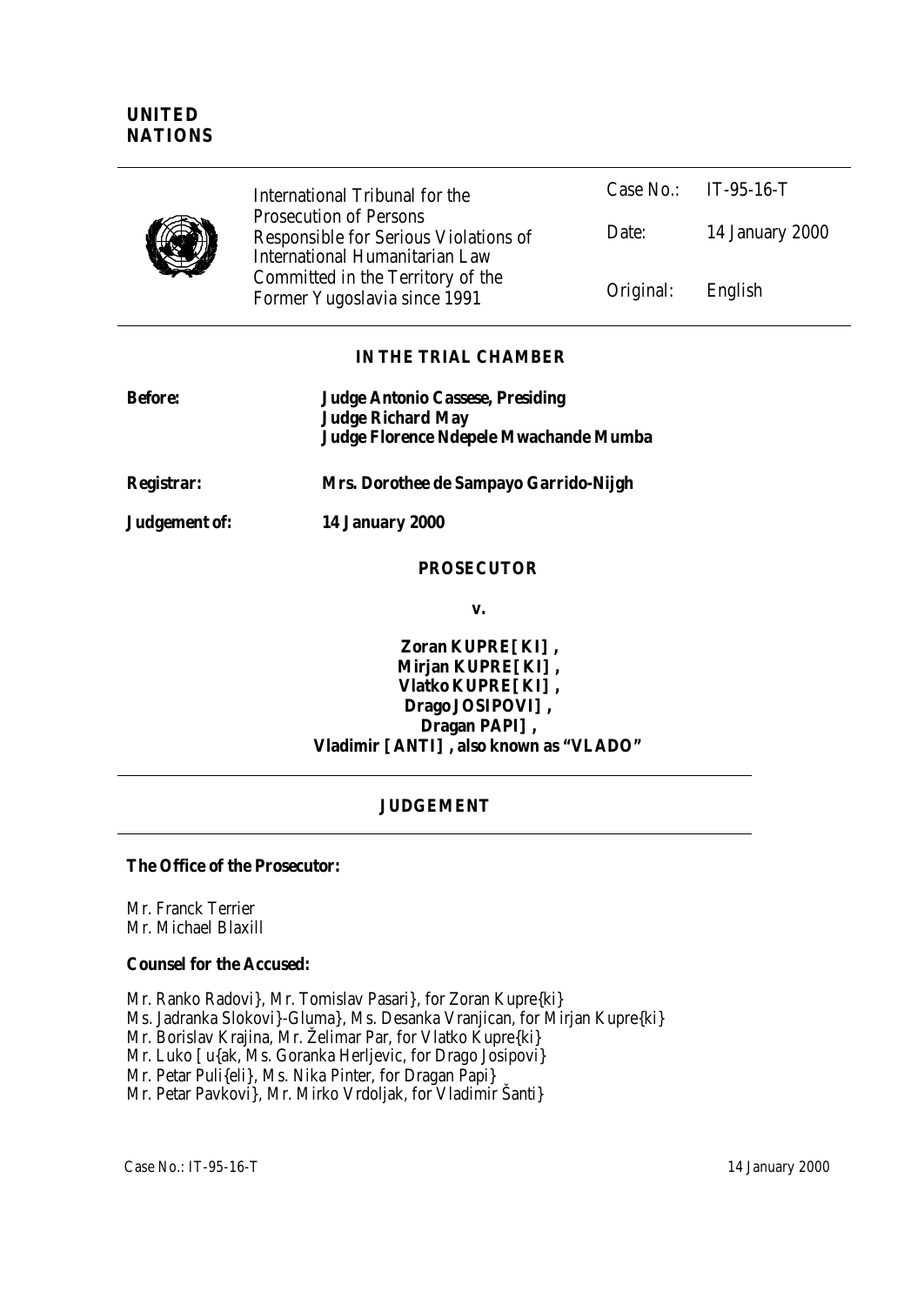|  | International Tribunal for the                                                                    |           | Case No.: $IT-95-16-T$ |
|--|---------------------------------------------------------------------------------------------------|-----------|------------------------|
|  | Prosecution of Persons<br>Responsible for Serious Violations of<br>International Humanitarian Law | Date:     | 14 January 2000        |
|  | Committed in the Territory of the<br>Former Yugoslavia since 1991                                 | Original: | English                |

#### **IN THE TRIAL CHAMBER**

| Before:       | <b>Judge Antonio Cassese, Presiding</b><br><b>Judge Richard May</b><br>Judge Florence Ndepele Mwachande Mumba |
|---------------|---------------------------------------------------------------------------------------------------------------|
| Registrar:    | Mrs. Dorothee de Sampayo Garrido-Nijgh                                                                        |
| Judgement of: | 14 January 2000                                                                                               |

#### **PROSECUTOR**

**v.**

**Zoran KUPRE[KI], Mirjan KUPRE[KI], Vlatko KUPRE[KI], Drago JOSIPOVI], Dragan PAPI], Vladimir [ANTI], also known as "VLADO"**

#### **JUDGEMENT**

#### **The Office of the Prosecutor:**

Mr. Franck Terrier Mr. Michael Blaxill

#### **Counsel for the Accused:**

Mr. Ranko Radovi}, Mr. Tomislav Pasari}, for Zoran Kupre{ki} Ms. Jadranka Slokovi}-Gluma}, Ms. Desanka Vranjican, for Mirjan Kupre{ki} Mr. Borislav Krajina, Mr. Želimar Par, for Vlatko Kupre{ki} Mr. Luko [u{ak, Ms. Goranka Herljevic, for Drago Josipovi} Mr. Petar Puli{eli}, Ms. Nika Pinter, for Dragan Papi} Mr. Petar Pavkovi}, Mr. Mirko Vrdoljak, for Vladimir Šanti}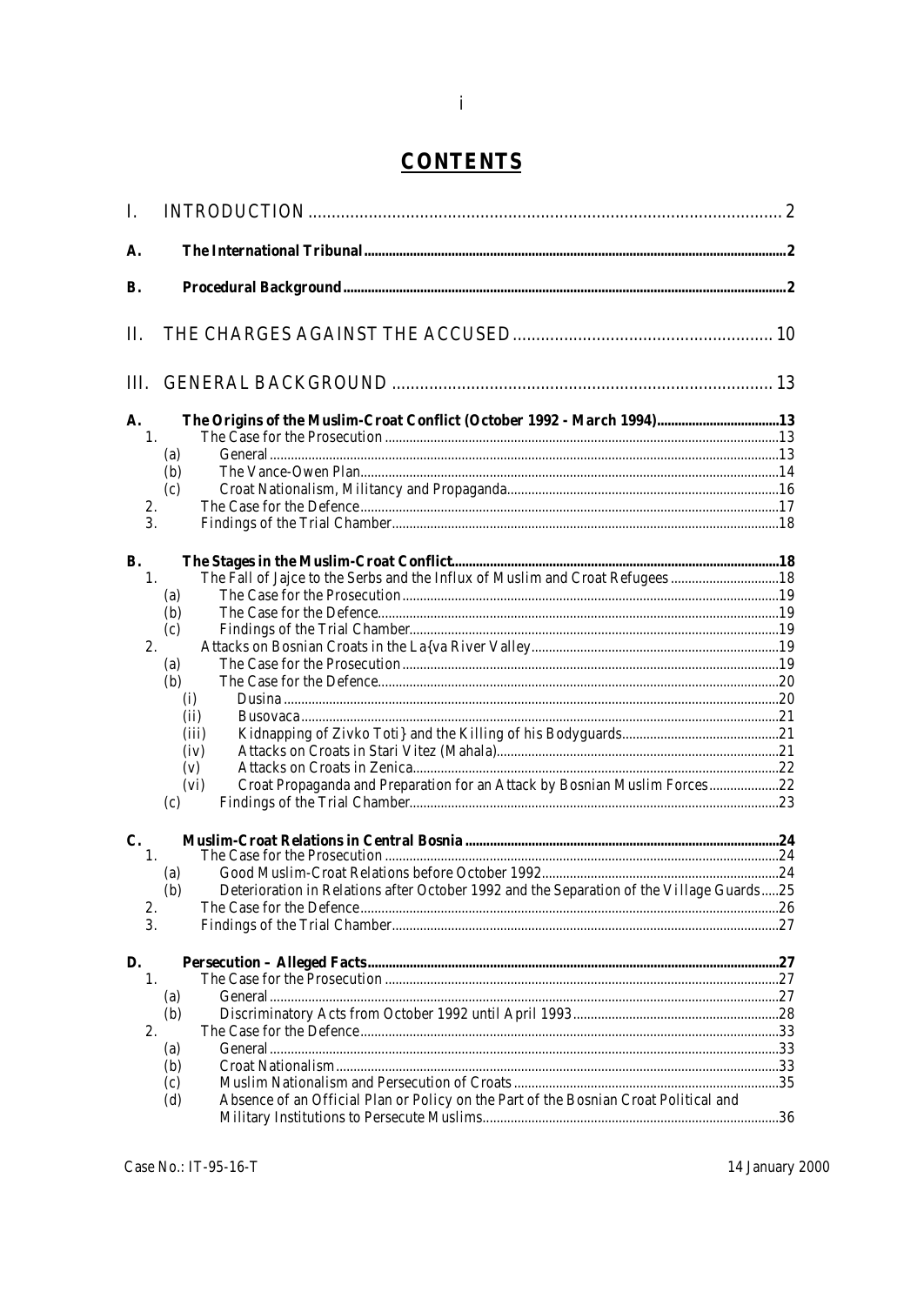# **CONTENTS**

| $\mathsf{L}$          |                                                                                                                                                                    |  |
|-----------------------|--------------------------------------------------------------------------------------------------------------------------------------------------------------------|--|
| Α.                    |                                                                                                                                                                    |  |
| В.                    |                                                                                                                                                                    |  |
| $\prod$               |                                                                                                                                                                    |  |
| III.                  |                                                                                                                                                                    |  |
| А.<br>1.<br>2.<br>3.  | (a)<br>(b)<br>(c)                                                                                                                                                  |  |
| <b>B.</b><br>1.<br>2. | (a)<br>(b)<br>(c)<br>(a)<br>(b)<br>(i)<br>(ii)<br>(iii)<br>(iv)<br>(v)<br>Croat Propaganda and Preparation for an Attack by Bosnian Muslim Forces22<br>(vi)<br>(c) |  |
| C.<br>1.<br>2.<br>3.  | (a)<br>Deterioration in Relations after October 1992 and the Separation of the Village Guards25<br>(b)                                                             |  |
| D.<br>1.<br>2.        | (a)<br>(b)<br>(a)<br>(b)<br>(c)<br>Absence of an Official Plan or Policy on the Part of the Bosnian Croat Political and<br>(d)                                     |  |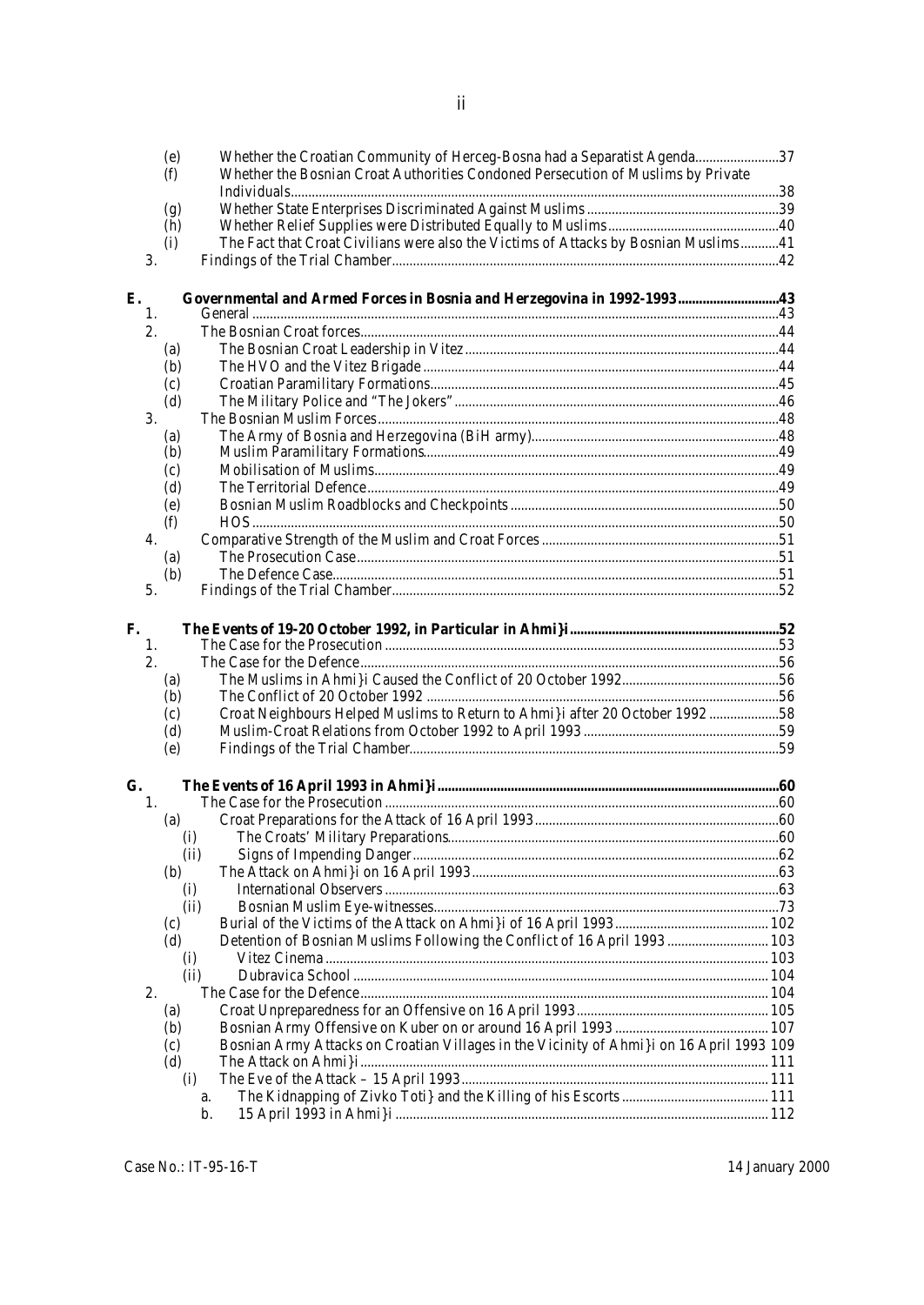$\mathop{\rm iii}\nolimits$ 

|                | (e)         | Whether the Croatian Community of Herceg-Bosna had a Separatist Agenda37<br>Whether the Bosnian Croat Authorities Condoned Persecution of Muslims by Private |  |
|----------------|-------------|--------------------------------------------------------------------------------------------------------------------------------------------------------------|--|
|                | (f)         |                                                                                                                                                              |  |
|                | (g)         |                                                                                                                                                              |  |
|                | (h)         |                                                                                                                                                              |  |
|                | (i)         | The Fact that Croat Civilians were also the Victims of Attacks by Bosnian Muslims41                                                                          |  |
| 3.             |             |                                                                                                                                                              |  |
|                |             |                                                                                                                                                              |  |
| Ε.             |             |                                                                                                                                                              |  |
| 1.             |             |                                                                                                                                                              |  |
| 2.             |             |                                                                                                                                                              |  |
|                | (a)         |                                                                                                                                                              |  |
|                | (b)         |                                                                                                                                                              |  |
|                | (c)         |                                                                                                                                                              |  |
|                | (d)         |                                                                                                                                                              |  |
| 3 <sub>1</sub> |             |                                                                                                                                                              |  |
|                | (a)         |                                                                                                                                                              |  |
|                | (b)         |                                                                                                                                                              |  |
|                | (c)         |                                                                                                                                                              |  |
|                | (d)         |                                                                                                                                                              |  |
|                | (e)         |                                                                                                                                                              |  |
|                | (f)         |                                                                                                                                                              |  |
| 4.             |             |                                                                                                                                                              |  |
|                | (a)         |                                                                                                                                                              |  |
| 5.             | (b)         |                                                                                                                                                              |  |
|                |             |                                                                                                                                                              |  |
| F.             |             |                                                                                                                                                              |  |
| 1.             |             |                                                                                                                                                              |  |
| 2.             |             |                                                                                                                                                              |  |
|                | (a)         |                                                                                                                                                              |  |
|                | (b)         |                                                                                                                                                              |  |
|                | (c)         | Croat Neighbours Helped Muslims to Return to Ahmi}i after 20 October 1992 58                                                                                 |  |
|                | (d)         |                                                                                                                                                              |  |
|                | (e)         |                                                                                                                                                              |  |
|                |             |                                                                                                                                                              |  |
| G.             |             |                                                                                                                                                              |  |
| 1.             |             |                                                                                                                                                              |  |
|                | (a)         |                                                                                                                                                              |  |
|                | (i)         |                                                                                                                                                              |  |
|                | (ii)        |                                                                                                                                                              |  |
|                | (b)         |                                                                                                                                                              |  |
|                | (i)         |                                                                                                                                                              |  |
|                | (ii)        |                                                                                                                                                              |  |
|                | (c)         |                                                                                                                                                              |  |
|                | (d)         | Detention of Bosnian Muslims Following the Conflict of 16 April 1993  103                                                                                    |  |
|                | (i)<br>(ii) |                                                                                                                                                              |  |
| 2.             |             |                                                                                                                                                              |  |
|                | (a)         |                                                                                                                                                              |  |
|                | (b)         |                                                                                                                                                              |  |
|                | (c)         | Bosnian Army Attacks on Croatian Villages in the Vicinity of Ahmi}i on 16 April 1993 109                                                                     |  |
|                | (d)         |                                                                                                                                                              |  |
|                | (i)         |                                                                                                                                                              |  |
|                |             | a.                                                                                                                                                           |  |
|                |             | b.                                                                                                                                                           |  |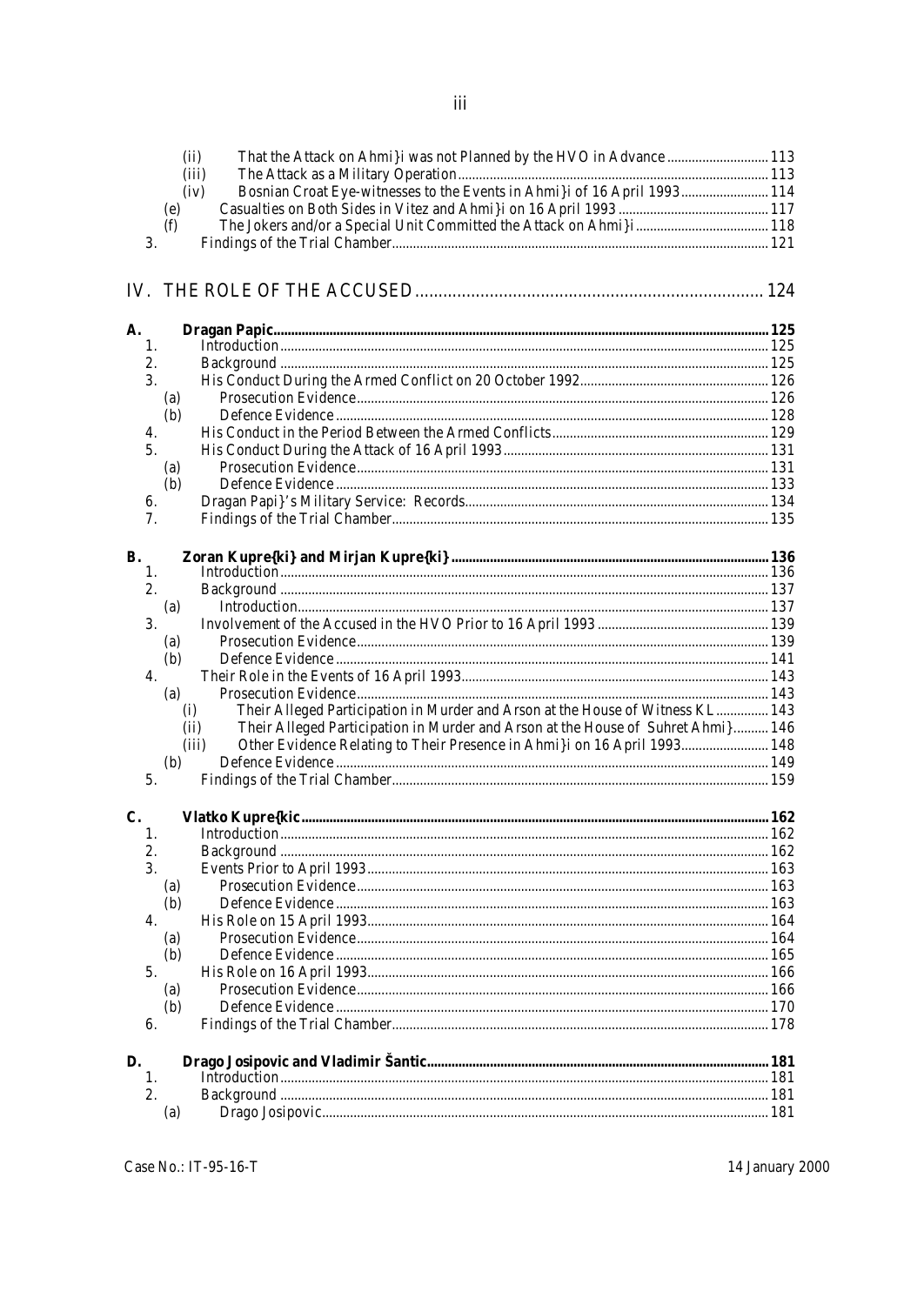|             | (ii)<br>That the Attack on Ahmi}i was not Planned by the HVO in Advance  113             |  |
|-------------|------------------------------------------------------------------------------------------|--|
|             | (iii)                                                                                    |  |
|             | Bosnian Croat Eye-witnesses to the Events in Ahmi}i of 16 April 1993 114<br>(iv)         |  |
|             | (e)                                                                                      |  |
|             | (f)                                                                                      |  |
| 3.          |                                                                                          |  |
|             |                                                                                          |  |
|             |                                                                                          |  |
| А.<br>1.    |                                                                                          |  |
| 2.          |                                                                                          |  |
| 3.          |                                                                                          |  |
|             | (a)                                                                                      |  |
|             | (b)                                                                                      |  |
| 4.          |                                                                                          |  |
| 5.          |                                                                                          |  |
|             | (a)                                                                                      |  |
|             | (b)                                                                                      |  |
| 6.          |                                                                                          |  |
| 7.          |                                                                                          |  |
|             |                                                                                          |  |
| <b>B.</b>   |                                                                                          |  |
| 1.<br>2.    |                                                                                          |  |
|             |                                                                                          |  |
| 3.          | (a)                                                                                      |  |
|             |                                                                                          |  |
|             | (a)<br>(b)                                                                               |  |
| 4.          |                                                                                          |  |
|             | (a)                                                                                      |  |
|             | Their Alleged Participation in Murder and Arson at the House of Witness KL 143<br>(i)    |  |
|             | Their Alleged Participation in Murder and Arson at the House of Suhret Ahmi} 146<br>(ii) |  |
|             | Other Evidence Relating to Their Presence in Ahmi}i on 16 April 1993 148<br>(iii)        |  |
|             | (b)                                                                                      |  |
| 5.          |                                                                                          |  |
|             |                                                                                          |  |
| $C_{\cdot}$ |                                                                                          |  |
| 2.          |                                                                                          |  |
| 3.          |                                                                                          |  |
|             | (a)                                                                                      |  |
|             | (b)                                                                                      |  |
| 4.          |                                                                                          |  |
|             | (a)                                                                                      |  |
|             | (b)                                                                                      |  |
| 5.          |                                                                                          |  |
|             | (a)                                                                                      |  |
|             | (b)                                                                                      |  |
| 6.          |                                                                                          |  |
|             |                                                                                          |  |
| D.<br>1.    |                                                                                          |  |
| 2.          |                                                                                          |  |
|             | (a)                                                                                      |  |
|             |                                                                                          |  |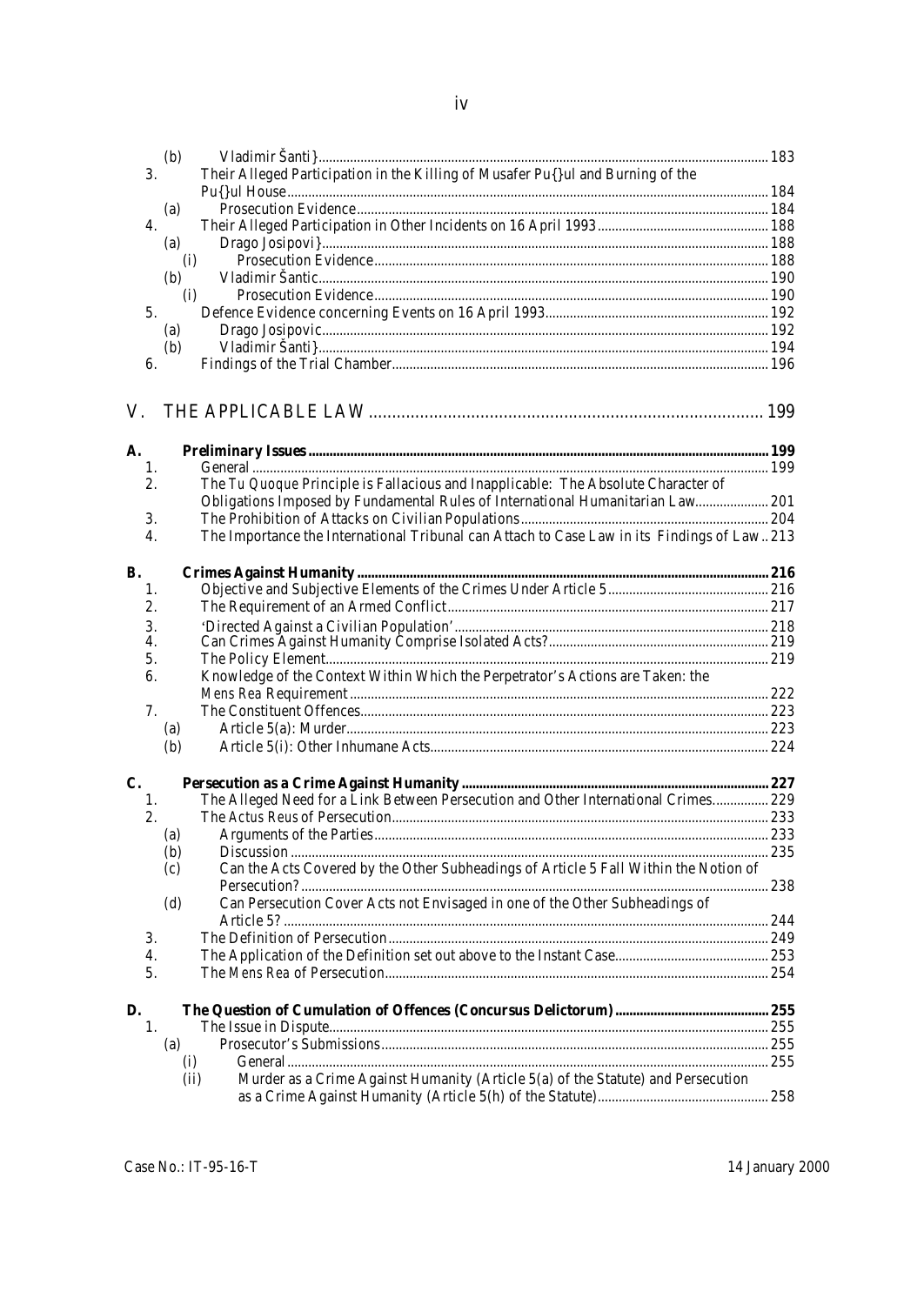|           | (b)        |                                                                                            |  |
|-----------|------------|--------------------------------------------------------------------------------------------|--|
| 3.        |            | Their Alleged Participation in the Killing of Musafer Pu{}ul and Burning of the            |  |
|           |            |                                                                                            |  |
|           | (a)        |                                                                                            |  |
| 4.        |            |                                                                                            |  |
|           | (a)        |                                                                                            |  |
|           | (i)<br>(b) |                                                                                            |  |
|           | (i)        |                                                                                            |  |
| 5.        |            |                                                                                            |  |
|           | (a)        |                                                                                            |  |
|           | (b)        |                                                                                            |  |
| 6.        |            |                                                                                            |  |
| V.        |            |                                                                                            |  |
|           |            |                                                                                            |  |
| А.<br>1.  |            |                                                                                            |  |
| 2.        |            | The Tu Quoque Principle is Fallacious and Inapplicable: The Absolute Character of          |  |
|           |            | Obligations Imposed by Fundamental Rules of International Humanitarian Law 201             |  |
| 3.        |            |                                                                                            |  |
| 4.        |            | The Importance the International Tribunal can Attach to Case Law in its Findings of Law213 |  |
| <b>B.</b> |            |                                                                                            |  |
| 1.        |            |                                                                                            |  |
| 2.        |            |                                                                                            |  |
| 3.        |            |                                                                                            |  |
| 4.        |            |                                                                                            |  |
| 5.        |            |                                                                                            |  |
| 6.        |            | Knowledge of the Context Within Which the Perpetrator's Actions are Taken: the             |  |
|           |            |                                                                                            |  |
| 7.        |            |                                                                                            |  |
|           | (a)        |                                                                                            |  |
|           | (b)        |                                                                                            |  |
| C.        |            |                                                                                            |  |
| 1.        |            | The Alleged Need for a Link Between Persecution and Other International Crimes 229         |  |
| 2.        |            |                                                                                            |  |
|           | (a)        |                                                                                            |  |
|           | (b)        |                                                                                            |  |
|           | (c)        | Can the Acts Covered by the Other Subheadings of Article 5 Fall Within the Notion of       |  |
|           |            |                                                                                            |  |
|           | (d)        | Can Persecution Cover Acts not Envisaged in one of the Other Subheadings of                |  |
|           |            |                                                                                            |  |
| 3.        |            |                                                                                            |  |
| 4.        |            |                                                                                            |  |
| 5.        |            |                                                                                            |  |
| D.        |            |                                                                                            |  |
| 1.        |            |                                                                                            |  |
|           | (a)        |                                                                                            |  |
|           | (i)        |                                                                                            |  |
|           | (ii)       | Murder as a Crime Against Humanity (Article 5(a) of the Statute) and Persecution           |  |
|           |            |                                                                                            |  |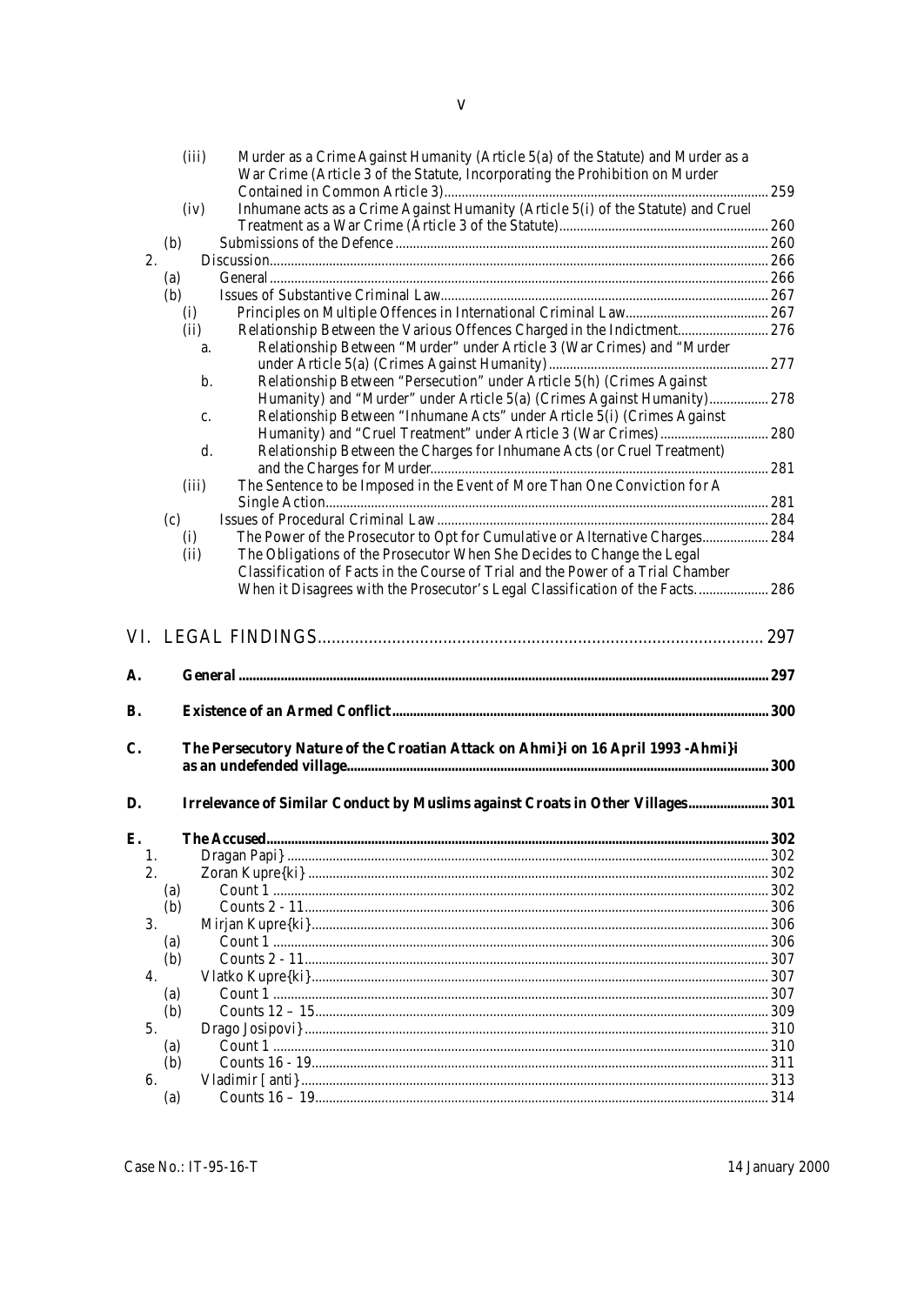|    | (iii)       | Murder as a Crime Against Humanity (Article 5(a) of the Statute) and Murder as a<br>War Crime (Article 3 of the Statute, Incorporating the Prohibition on Murder |     |
|----|-------------|------------------------------------------------------------------------------------------------------------------------------------------------------------------|-----|
|    | (iv)        | Inhumane acts as a Crime Against Humanity (Article 5(i) of the Statute) and Cruel                                                                                |     |
|    | (b)         |                                                                                                                                                                  |     |
| 2. |             |                                                                                                                                                                  |     |
|    | (a)         |                                                                                                                                                                  |     |
|    | (b)         |                                                                                                                                                                  |     |
|    | (i)         |                                                                                                                                                                  |     |
|    | (ii)        | Relationship Between the Various Offences Charged in the Indictment 276                                                                                          |     |
|    |             | Relationship Between "Murder" under Article 3 (War Crimes) and "Murder<br>a.                                                                                     |     |
|    |             | Relationship Between "Persecution" under Article 5(h) (Crimes Against<br>$b$ .                                                                                   |     |
|    |             | Humanity) and "Murder" under Article 5(a) (Crimes Against Humanity) 278                                                                                          |     |
|    |             | Relationship Between "Inhumane Acts" under Article 5(i) (Crimes Against<br>C.                                                                                    |     |
|    |             |                                                                                                                                                                  |     |
|    |             | Relationship Between the Charges for Inhumane Acts (or Cruel Treatment)<br>$d$ .                                                                                 |     |
|    | (iii)       | The Sentence to be Imposed in the Event of More Than One Conviction for A                                                                                        |     |
|    |             |                                                                                                                                                                  |     |
|    | (c)         |                                                                                                                                                                  |     |
|    | (i)<br>(ii) | The Power of the Prosecutor to Opt for Cumulative or Alternative Charges 284<br>The Obligations of the Prosecutor When She Decides to Change the Legal           |     |
|    |             | Classification of Facts in the Course of Trial and the Power of a Trial Chamber                                                                                  |     |
|    |             | When it Disagrees with the Prosecutor's Legal Classification of the Facts 286                                                                                    |     |
|    |             |                                                                                                                                                                  |     |
|    |             |                                                                                                                                                                  |     |
| Α. |             |                                                                                                                                                                  |     |
| В. |             |                                                                                                                                                                  |     |
| C. |             | The Persecutory Nature of the Croatian Attack on Ahmi}i on 16 April 1993 - Ahmi}i                                                                                |     |
|    |             |                                                                                                                                                                  |     |
| D. |             | Irrelevance of Similar Conduct by Muslims against Croats in Other Villages 301                                                                                   |     |
| E. |             |                                                                                                                                                                  | 302 |
| 1. |             |                                                                                                                                                                  |     |
| 2. |             |                                                                                                                                                                  |     |
|    | (a)         |                                                                                                                                                                  |     |
|    | (b)         |                                                                                                                                                                  |     |
| 3. |             |                                                                                                                                                                  |     |
|    | (a)         |                                                                                                                                                                  |     |
|    | (b)         |                                                                                                                                                                  |     |
| 4. |             |                                                                                                                                                                  |     |
|    | (a)         |                                                                                                                                                                  |     |
|    | (b)         |                                                                                                                                                                  |     |
| 5. |             |                                                                                                                                                                  |     |
|    | (a)         |                                                                                                                                                                  |     |
|    | (b)         |                                                                                                                                                                  |     |
| 6. |             |                                                                                                                                                                  |     |
|    | (a)         |                                                                                                                                                                  |     |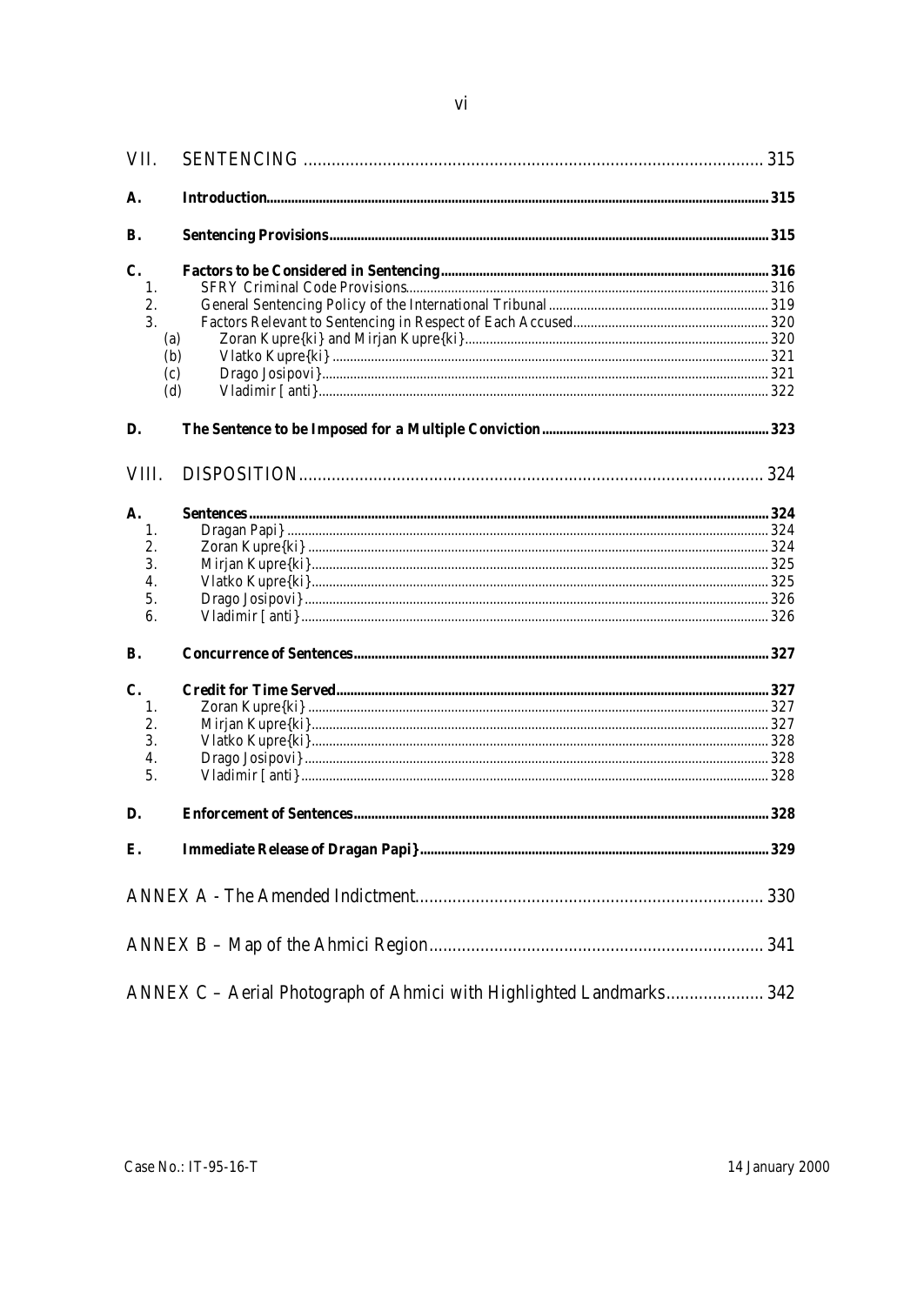vi

| VII.                                      |                                                                      |  |
|-------------------------------------------|----------------------------------------------------------------------|--|
| А.                                        |                                                                      |  |
| В.                                        |                                                                      |  |
| C.<br>1.<br>2.<br>3.                      | (a)<br>(b)<br>(c)                                                    |  |
| D.                                        | (d)                                                                  |  |
| VIII.                                     |                                                                      |  |
| А.<br>1.<br>2.<br>3.<br>4.<br>5.<br>6.    |                                                                      |  |
| В.                                        |                                                                      |  |
| $C_{\cdot}$<br>1.<br>2.<br>3.<br>4.<br>5. |                                                                      |  |
| D.                                        |                                                                      |  |
| Ε.                                        |                                                                      |  |
|                                           |                                                                      |  |
|                                           |                                                                      |  |
|                                           | ANNEX C - Aerial Photograph of Ahmici with Highlighted Landmarks 342 |  |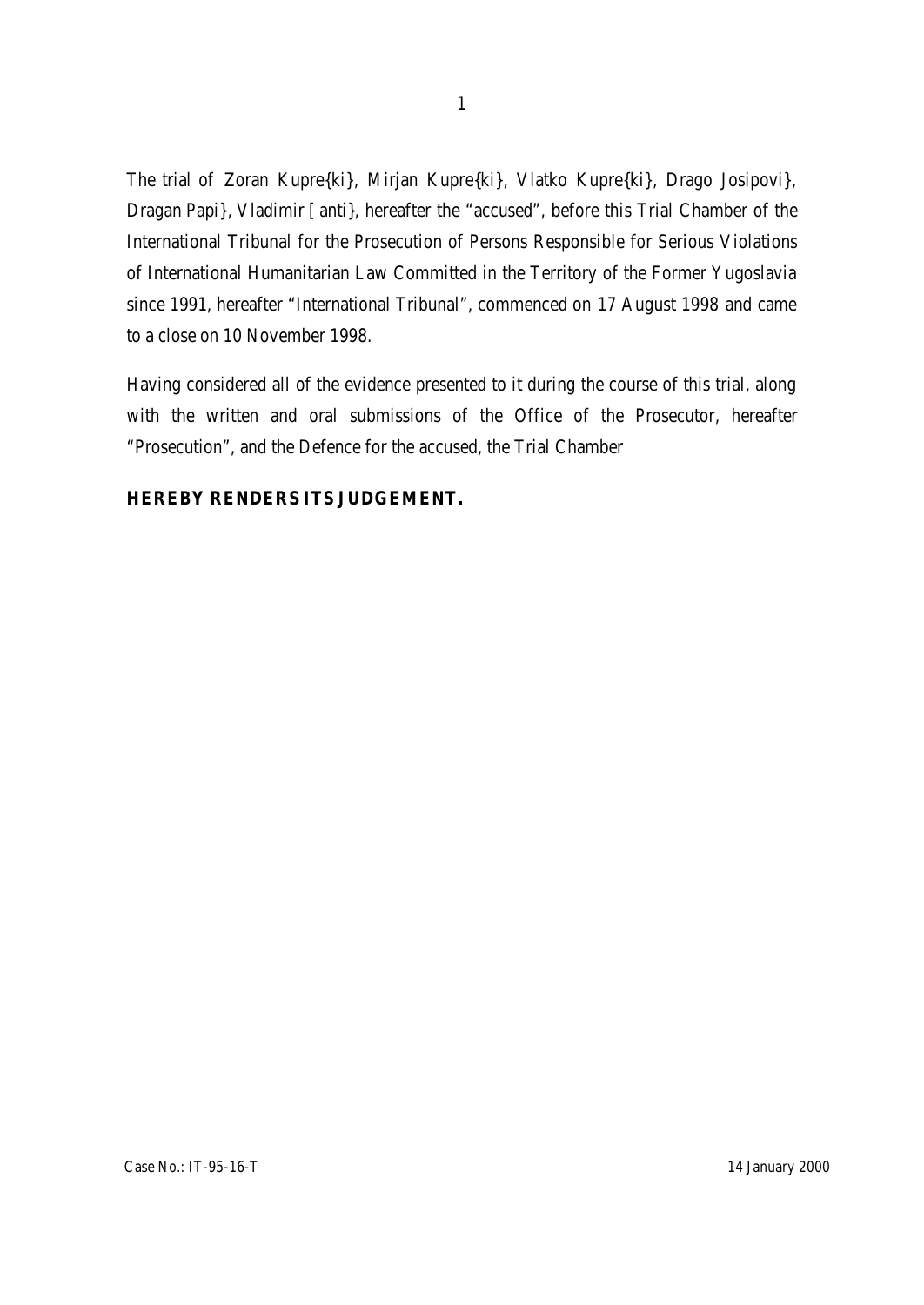The trial of Zoran Kupre{ki}, Mirjan Kupre{ki}, Vlatko Kupre{ki}, Drago Josipovi}, Dragan Papi}, Vladimir [anti}, hereafter the "accused", before this Trial Chamber of the International Tribunal for the Prosecution of Persons Responsible for Serious Violations of International Humanitarian Law Committed in the Territory of the Former Yugoslavia since 1991, hereafter "International Tribunal", commenced on 17 August 1998 and came to a close on 10 November 1998.

Having considered all of the evidence presented to it during the course of this trial, along with the written and oral submissions of the Office of the Prosecutor, hereafter "Prosecution", and the Defence for the accused, the Trial Chamber

## **HEREBY RENDERS ITS JUDGEMENT.**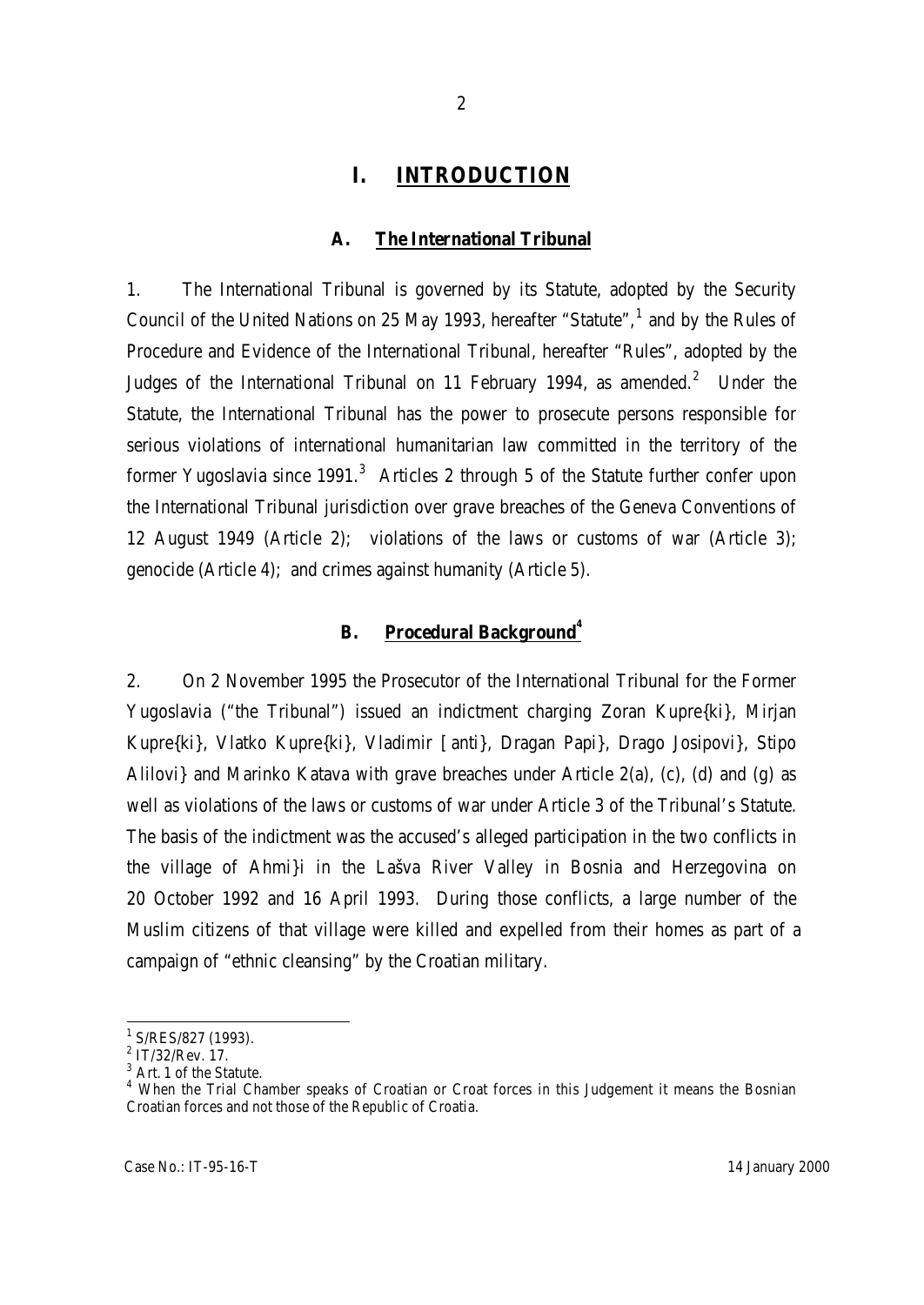# **I. INTRODUCTION**

#### **A. The International Tribunal**

1. The International Tribunal is governed by its Statute, adopted by the Security Council of the United Nations on 25 May 1993, hereafter "Statute",<sup>1</sup> and by the Rules of Procedure and Evidence of the International Tribunal, hereafter "Rules", adopted by the Judges of the International Tribunal on 11 February 1994, as amended.<sup>2</sup> Under the Statute, the International Tribunal has the power to prosecute persons responsible for serious violations of international humanitarian law committed in the territory of the former Yugoslavia since 1991.<sup>3</sup> Articles 2 through 5 of the Statute further confer upon the International Tribunal jurisdiction over grave breaches of the Geneva Conventions of 12 August 1949 (Article 2); violations of the laws or customs of war (Article 3); genocide (Article 4); and crimes against humanity (Article 5).

#### **B.** Procedural Background<sup>4</sup>

2. On 2 November 1995 the Prosecutor of the International Tribunal for the Former Yugoslavia ("the Tribunal") issued an indictment charging Zoran Kupre{ki}, Mirjan Kupre{ki}, Vlatko Kupre{ki}, Vladimir [anti}, Dragan Papi}, Drago Josipovi}, Stipo Alilovi} and Marinko Katava with grave breaches under Article 2(a), (c), (d) and (g) as well as violations of the laws or customs of war under Article 3 of the Tribunal's Statute. The basis of the indictment was the accused's alleged participation in the two conflicts in the village of Ahmi}i in the Lašva River Valley in Bosnia and Herzegovina on 20 October 1992 and 16 April 1993. During those conflicts, a large number of the Muslim citizens of that village were killed and expelled from their homes as part of a campaign of "ethnic cleansing" by the Croatian military.

 $\overline{a}$ 

<sup>&</sup>lt;sup>1</sup> S/RES/827 (1993).

<sup>&</sup>lt;sup>2</sup> IT/32/Rev. 17.

<sup>3</sup> Art. 1 of the Statute.

<sup>&</sup>lt;sup>4</sup> When the Trial Chamber speaks of Croatian or Croat forces in this Judgement it means the Bosnian Croatian forces and not those of the Republic of Croatia.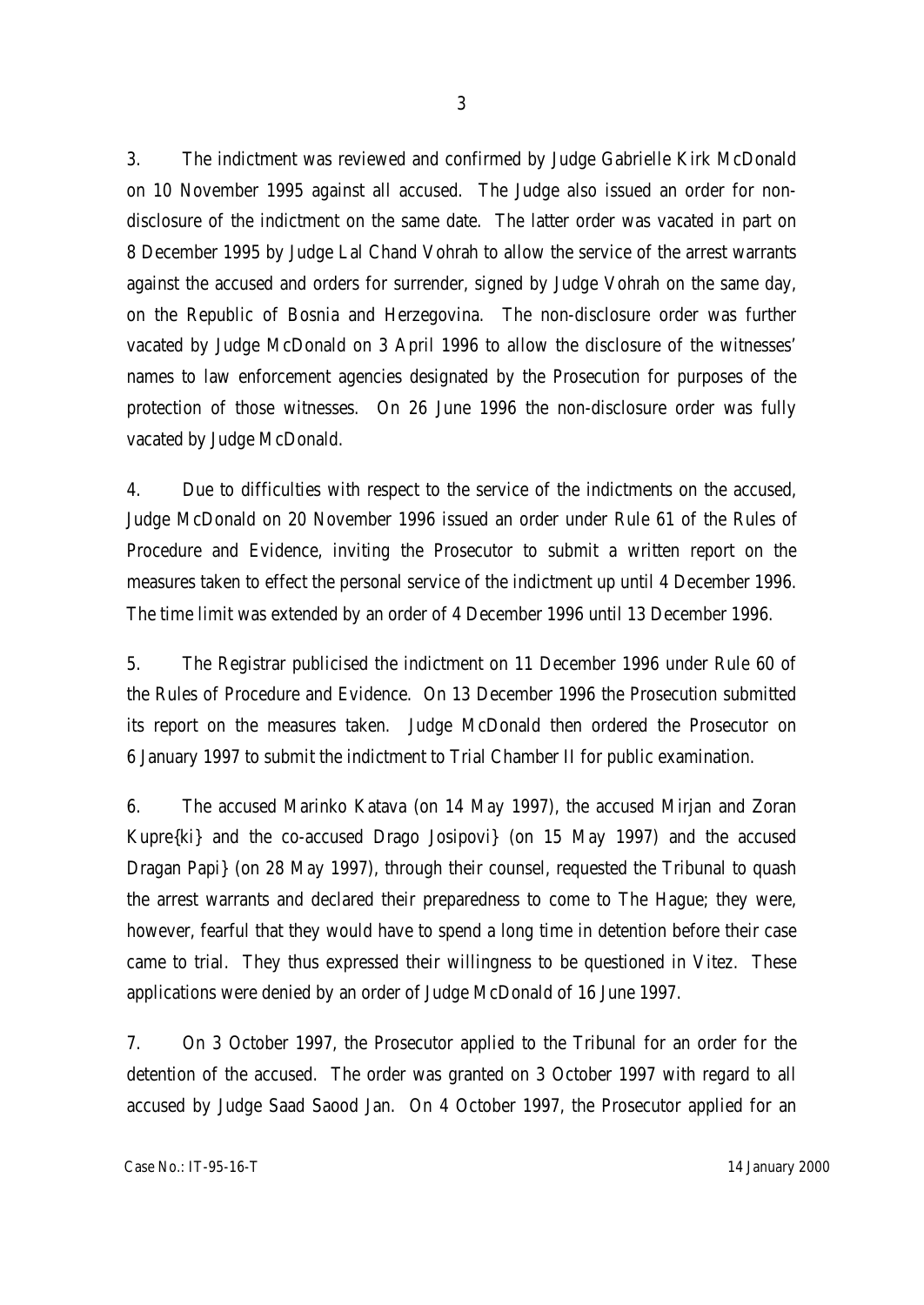3. The indictment was reviewed and confirmed by Judge Gabrielle Kirk McDonald on 10 November 1995 against all accused. The Judge also issued an order for nondisclosure of the indictment on the same date. The latter order was vacated in part on 8 December 1995 by Judge Lal Chand Vohrah to allow the service of the arrest warrants against the accused and orders for surrender, signed by Judge Vohrah on the same day, on the Republic of Bosnia and Herzegovina. The non-disclosure order was further vacated by Judge McDonald on 3 April 1996 to allow the disclosure of the witnesses' names to law enforcement agencies designated by the Prosecution for purposes of the protection of those witnesses. On 26 June 1996 the non-disclosure order was fully vacated by Judge McDonald.

4. Due to difficulties with respect to the service of the indictments on the accused, Judge McDonald on 20 November 1996 issued an order under Rule 61 of the Rules of Procedure and Evidence, inviting the Prosecutor to submit a written report on the measures taken to effect the personal service of the indictment up until 4 December 1996. The time limit was extended by an order of 4 December 1996 until 13 December 1996.

5. The Registrar publicised the indictment on 11 December 1996 under Rule 60 of the Rules of Procedure and Evidence. On 13 December 1996 the Prosecution submitted its report on the measures taken. Judge McDonald then ordered the Prosecutor on 6 January 1997 to submit the indictment to Trial Chamber II for public examination.

6. The accused Marinko Katava (on 14 May 1997), the accused Mirjan and Zoran Kupre{ki} and the co-accused Drago Josipovi} (on 15 May 1997) and the accused Dragan Papi} (on 28 May 1997), through their counsel, requested the Tribunal to quash the arrest warrants and declared their preparedness to come to The Hague; they were, however, fearful that they would have to spend a long time in detention before their case came to trial. They thus expressed their willingness to be questioned in Vitez. These applications were denied by an order of Judge McDonald of 16 June 1997.

7. On 3 October 1997, the Prosecutor applied to the Tribunal for an order for the detention of the accused. The order was granted on 3 October 1997 with regard to all accused by Judge Saad Saood Jan. On 4 October 1997, the Prosecutor applied for an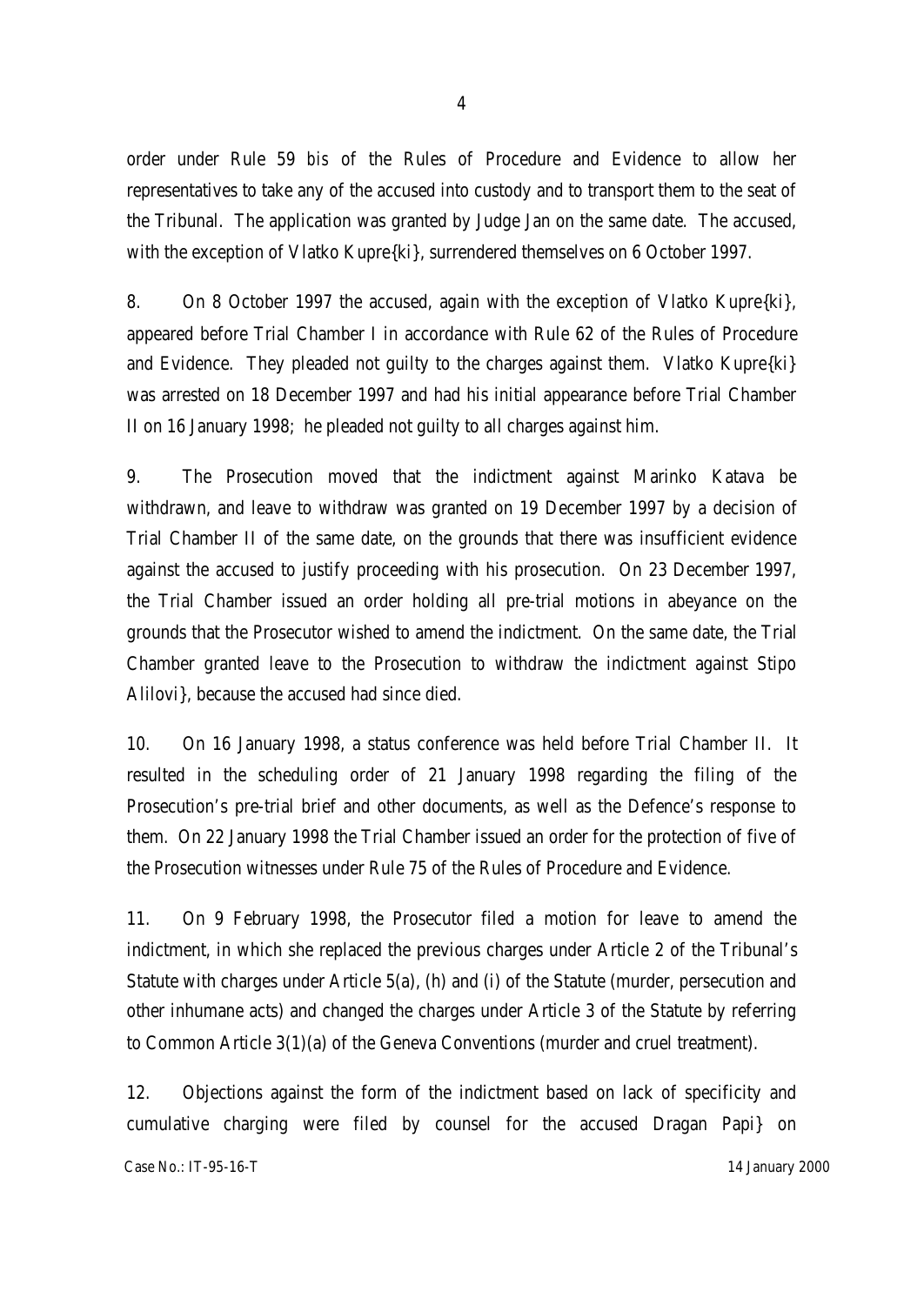order under Rule 59 *bis* of the Rules of Procedure and Evidence to allow her representatives to take any of the accused into custody and to transport them to the seat of the Tribunal. The application was granted by Judge Jan on the same date. The accused, with the exception of Vlatko Kupre{ki}, surrendered themselves on 6 October 1997.

8. On 8 October 1997 the accused, again with the exception of Vlatko Kupre{ki}, appeared before Trial Chamber I in accordance with Rule 62 of the Rules of Procedure and Evidence. They pleaded not guilty to the charges against them. Vlatko Kupre{ki} was arrested on 18 December 1997 and had his initial appearance before Trial Chamber II on 16 January 1998; he pleaded not guilty to all charges against him.

9. The Prosecution moved that the indictment against Marinko Katava be withdrawn, and leave to withdraw was granted on 19 December 1997 by a decision of Trial Chamber II of the same date, on the grounds that there was insufficient evidence against the accused to justify proceeding with his prosecution. On 23 December 1997, the Trial Chamber issued an order holding all pre-trial motions in abeyance on the grounds that the Prosecutor wished to amend the indictment. On the same date, the Trial Chamber granted leave to the Prosecution to withdraw the indictment against Stipo Alilovi}, because the accused had since died.

10. On 16 January 1998, a status conference was held before Trial Chamber II. It resulted in the scheduling order of 21 January 1998 regarding the filing of the Prosecution's pre-trial brief and other documents, as well as the Defence's response to them. On 22 January 1998 the Trial Chamber issued an order for the protection of five of the Prosecution witnesses under Rule 75 of the Rules of Procedure and Evidence.

11. On 9 February 1998, the Prosecutor filed a motion for leave to amend the indictment, in which she replaced the previous charges under Article 2 of the Tribunal's Statute with charges under Article 5(a), (h) and (i) of the Statute (murder, persecution and other inhumane acts) and changed the charges under Article 3 of the Statute by referring to Common Article 3(1)(a) of the Geneva Conventions (murder and cruel treatment).

12. Objections against the form of the indictment based on lack of specificity and cumulative charging were filed by counsel for the accused Dragan Papi} on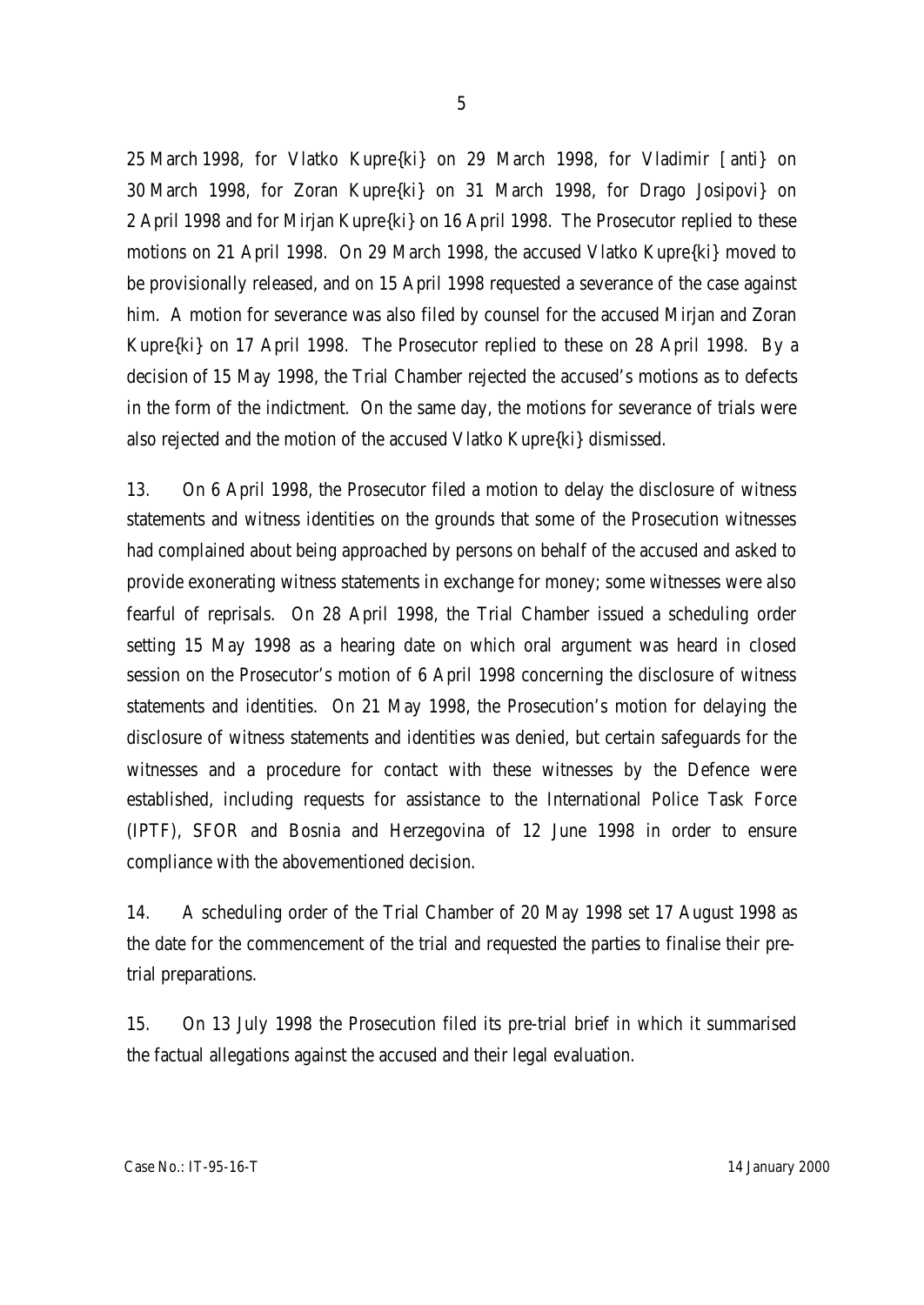25 March 1998, for Vlatko Kupre{ki} on 29 March 1998, for Vladimir [anti} on 30 March 1998, for Zoran Kupre{ki} on 31 March 1998, for Drago Josipovi} on 2 April 1998 and for Mirjan Kupre{ki} on 16 April 1998. The Prosecutor replied to these motions on 21 April 1998. On 29 March 1998, the accused Vlatko Kupre{ki} moved to be provisionally released, and on 15 April 1998 requested a severance of the case against him. A motion for severance was also filed by counsel for the accused Mirjan and Zoran Kupre{ki} on 17 April 1998. The Prosecutor replied to these on 28 April 1998. By a decision of 15 May 1998, the Trial Chamber rejected the accused's motions as to defects in the form of the indictment. On the same day, the motions for severance of trials were also rejected and the motion of the accused Vlatko Kupre{ki} dismissed.

13. On 6 April 1998, the Prosecutor filed a motion to delay the disclosure of witness statements and witness identities on the grounds that some of the Prosecution witnesses had complained about being approached by persons on behalf of the accused and asked to provide exonerating witness statements in exchange for money; some witnesses were also fearful of reprisals. On 28 April 1998, the Trial Chamber issued a scheduling order setting 15 May 1998 as a hearing date on which oral argument was heard in closed session on the Prosecutor's motion of 6 April 1998 concerning the disclosure of witness statements and identities. On 21 May 1998, the Prosecution's motion for delaying the disclosure of witness statements and identities was denied, but certain safeguards for the witnesses and a procedure for contact with these witnesses by the Defence were established, including requests for assistance to the International Police Task Force (IPTF), SFOR and Bosnia and Herzegovina of 12 June 1998 in order to ensure compliance with the abovementioned decision.

14. A scheduling order of the Trial Chamber of 20 May 1998 set 17 August 1998 as the date for the commencement of the trial and requested the parties to finalise their pretrial preparations.

15. On 13 July 1998 the Prosecution filed its pre-trial brief in which it summarised the factual allegations against the accused and their legal evaluation.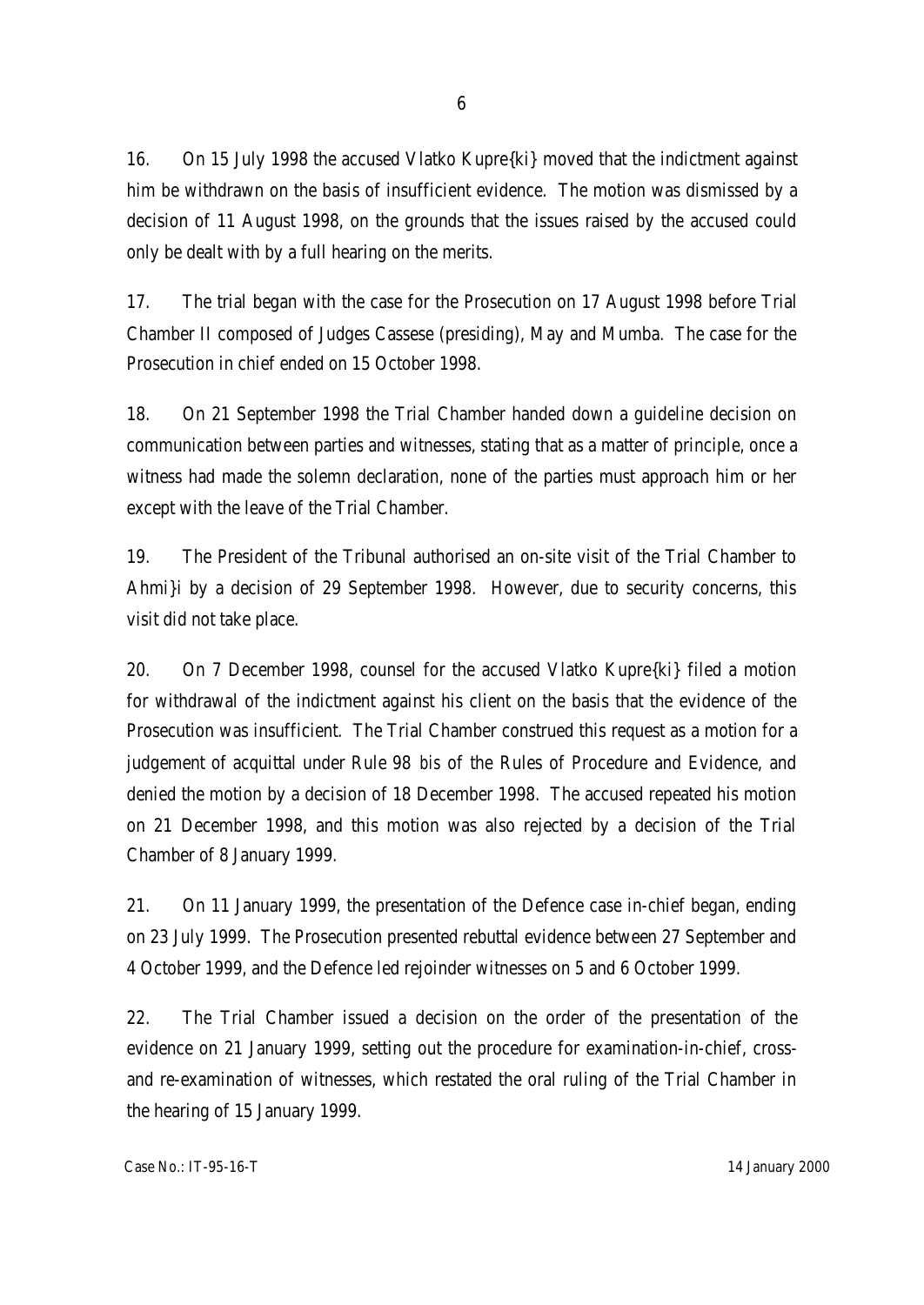16. On 15 July 1998 the accused Vlatko Kupre{ki} moved that the indictment against him be withdrawn on the basis of insufficient evidence. The motion was dismissed by a decision of 11 August 1998, on the grounds that the issues raised by the accused could only be dealt with by a full hearing on the merits.

17. The trial began with the case for the Prosecution on 17 August 1998 before Trial Chamber II composed of Judges Cassese (presiding), May and Mumba. The case for the Prosecution in chief ended on 15 October 1998.

18. On 21 September 1998 the Trial Chamber handed down a guideline decision on communication between parties and witnesses, stating that as a matter of principle, once a witness had made the solemn declaration, none of the parties must approach him or her except with the leave of the Trial Chamber.

19. The President of the Tribunal authorised an on-site visit of the Trial Chamber to Ahmi}i by a decision of 29 September 1998. However, due to security concerns, this visit did not take place.

20. On 7 December 1998, counsel for the accused Vlatko Kupre{ki} filed a motion for withdrawal of the indictment against his client on the basis that the evidence of the Prosecution was insufficient. The Trial Chamber construed this request as a motion for a judgement of acquittal under Rule 98 *bis* of the Rules of Procedure and Evidence, and denied the motion by a decision of 18 December 1998. The accused repeated his motion on 21 December 1998, and this motion was also rejected by a decision of the Trial Chamber of 8 January 1999.

21. On 11 January 1999, the presentation of the Defence case in-chief began, ending on 23 July 1999. The Prosecution presented rebuttal evidence between 27 September and 4 October 1999, and the Defence led rejoinder witnesses on 5 and 6 October 1999.

22. The Trial Chamber issued a decision on the order of the presentation of the evidence on 21 January 1999, setting out the procedure for examination-in-chief, crossand re-examination of witnesses, which restated the oral ruling of the Trial Chamber in the hearing of 15 January 1999.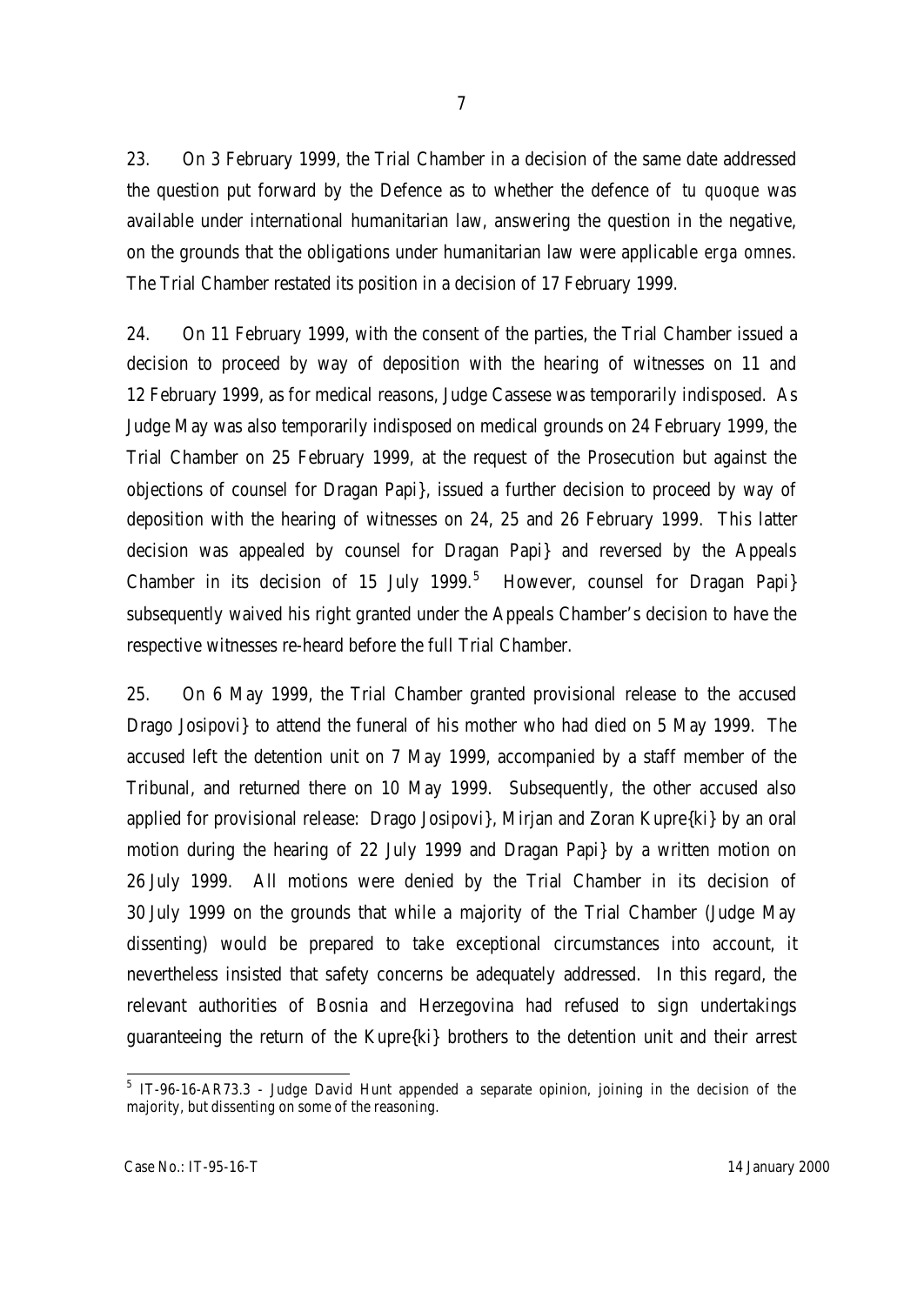23. On 3 February 1999, the Trial Chamber in a decision of the same date addressed the question put forward by the Defence as to whether the defence of *tu quoque* was available under international humanitarian law, answering the question in the negative, on the grounds that the obligations under humanitarian law were applicable *erga omnes*. The Trial Chamber restated its position in a decision of 17 February 1999.

24. On 11 February 1999, with the consent of the parties, the Trial Chamber issued a decision to proceed by way of deposition with the hearing of witnesses on 11 and 12 February 1999, as for medical reasons, Judge Cassese was temporarily indisposed. As Judge May was also temporarily indisposed on medical grounds on 24 February 1999, the Trial Chamber on 25 February 1999, at the request of the Prosecution but against the objections of counsel for Dragan Papi}, issued a further decision to proceed by way of deposition with the hearing of witnesses on 24, 25 and 26 February 1999. This latter decision was appealed by counsel for Dragan Papi} and reversed by the Appeals Chamber in its decision of 15 July 1999. $5$  However, counsel for Dragan Papi} subsequently waived his right granted under the Appeals Chamber's decision to have the respective witnesses re-heard before the full Trial Chamber.

25. On 6 May 1999, the Trial Chamber granted provisional release to the accused Drago Josipovi} to attend the funeral of his mother who had died on 5 May 1999. The accused left the detention unit on 7 May 1999, accompanied by a staff member of the Tribunal, and returned there on 10 May 1999. Subsequently, the other accused also applied for provisional release: Drago Josipovi}, Mirjan and Zoran Kupre{ki} by an oral motion during the hearing of 22 July 1999 and Dragan Papi} by a written motion on 26 July 1999. All motions were denied by the Trial Chamber in its decision of 30 July 1999 on the grounds that while a majority of the Trial Chamber (Judge May dissenting) would be prepared to take exceptional circumstances into account, it nevertheless insisted that safety concerns be adequately addressed. In this regard, the relevant authorities of Bosnia and Herzegovina had refused to sign undertakings guaranteeing the return of the Kupre{ki} brothers to the detention unit and their arrest

 5 IT-96-16-AR73.3 - Judge David Hunt appended a separate opinion, joining in the decision of the majority, but dissenting on some of the reasoning.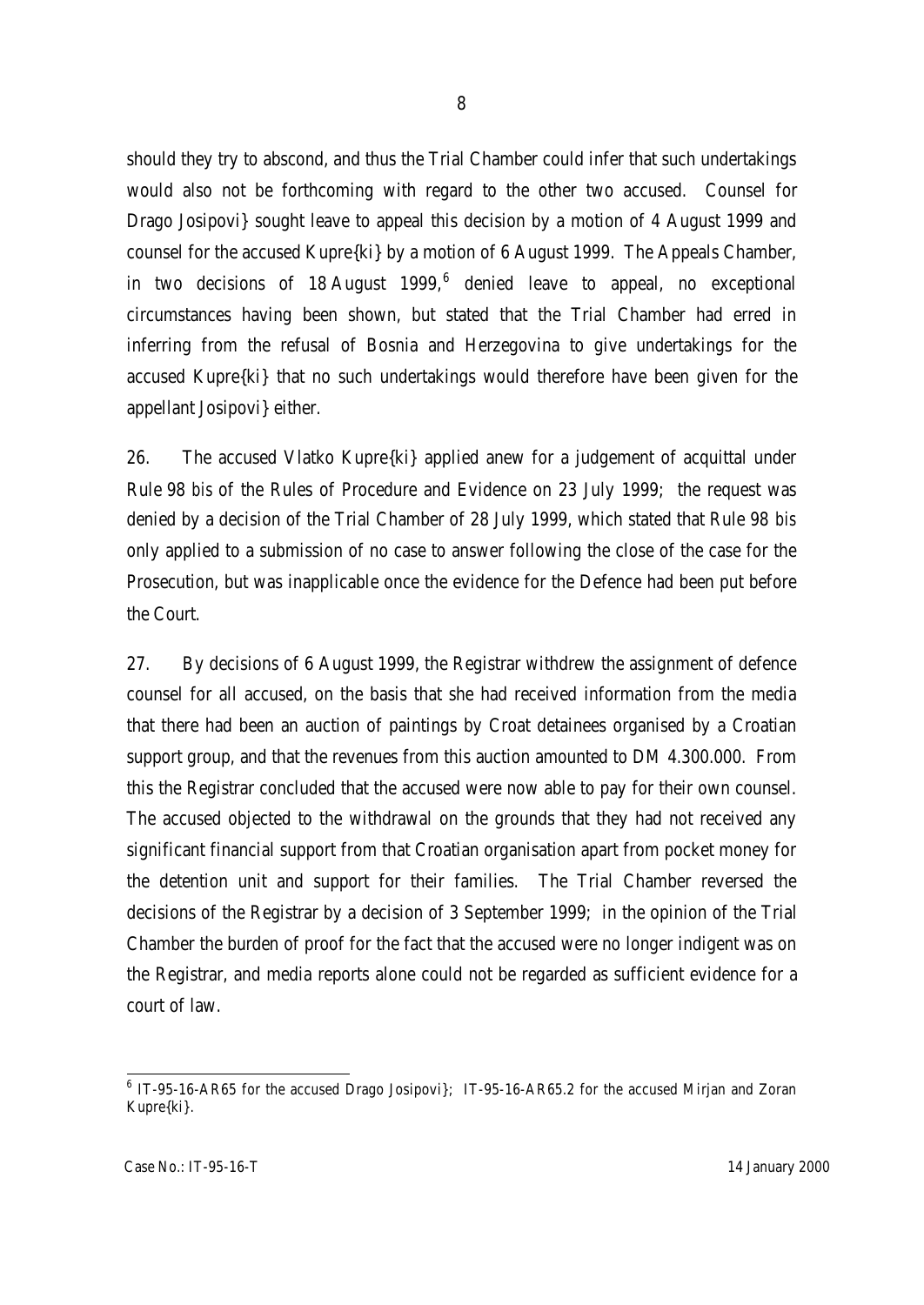should they try to abscond, and thus the Trial Chamber could infer that such undertakings would also not be forthcoming with regard to the other two accused. Counsel for Drago Josipovi} sought leave to appeal this decision by a motion of 4 August 1999 and counsel for the accused Kupre{ki} by a motion of 6 August 1999. The Appeals Chamber, in two decisions of 18 August 1999, $^6$  denied leave to appeal, no exceptional circumstances having been shown, but stated that the Trial Chamber had erred in inferring from the refusal of Bosnia and Herzegovina to give undertakings for the accused Kupre{ki} that no such undertakings would therefore have been given for the appellant Josipovi} either.

26. The accused Vlatko Kupre{ki} applied anew for a judgement of acquittal under Rule 98 *bis* of the Rules of Procedure and Evidence on 23 July 1999; the request was denied by a decision of the Trial Chamber of 28 July 1999, which stated that Rule 98 *bis* only applied to a submission of no case to answer following the close of the case for the Prosecution, but was inapplicable once the evidence for the Defence had been put before the Court.

27. By decisions of 6 August 1999, the Registrar withdrew the assignment of defence counsel for all accused, on the basis that she had received information from the media that there had been an auction of paintings by Croat detainees organised by a Croatian support group, and that the revenues from this auction amounted to DM 4.300.000. From this the Registrar concluded that the accused were now able to pay for their own counsel. The accused objected to the withdrawal on the grounds that they had not received any significant financial support from that Croatian organisation apart from pocket money for the detention unit and support for their families. The Trial Chamber reversed the decisions of the Registrar by a decision of 3 September 1999; in the opinion of the Trial Chamber the burden of proof for the fact that the accused were no longer indigent was on the Registrar, and media reports alone could not be regarded as sufficient evidence for a court of law.

 6 IT-95-16-AR65 for the accused Drago Josipovi}; IT-95-16-AR65.2 for the accused Mirjan and Zoran Kupre{ki}.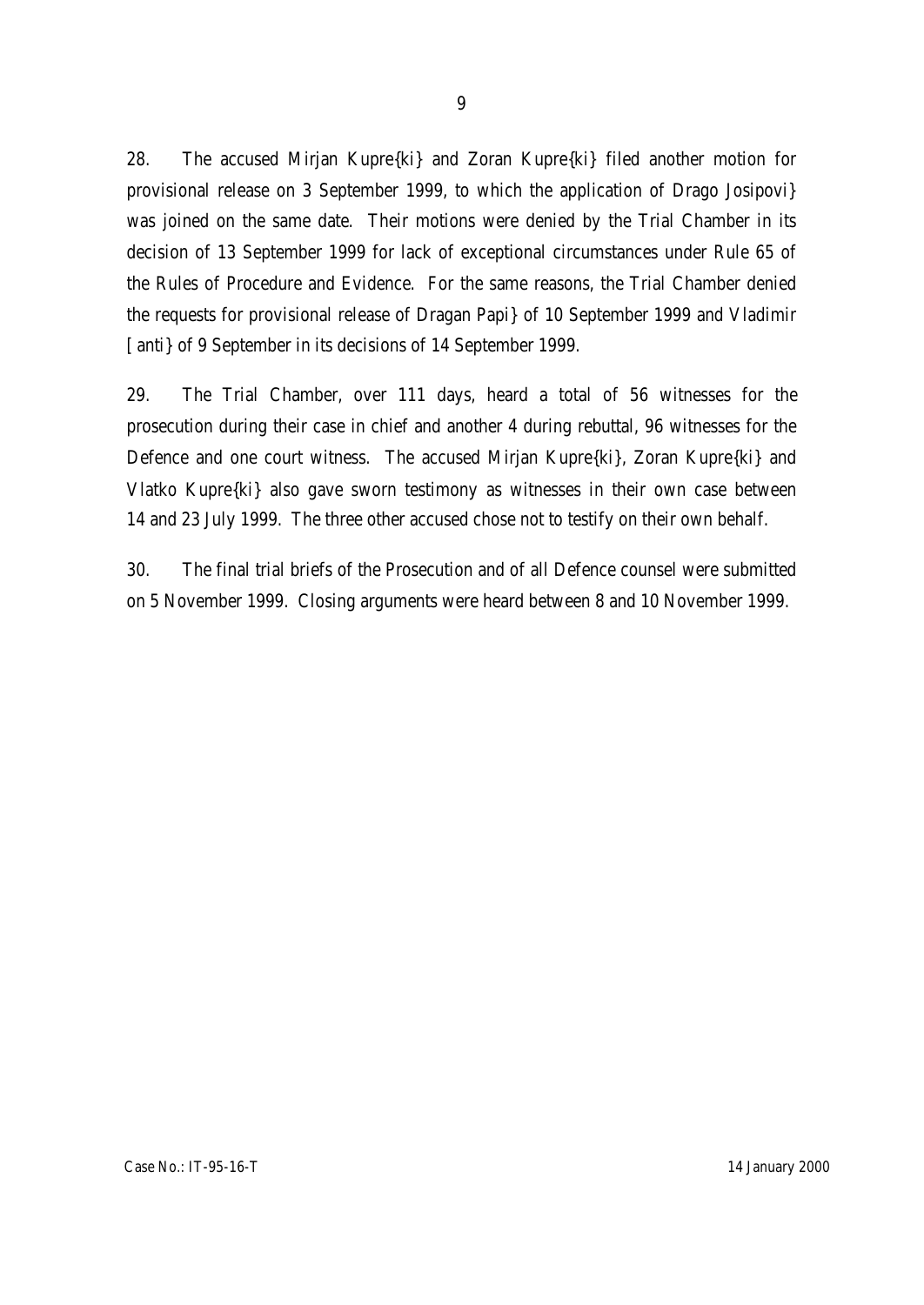28. The accused Mirjan Kupre{ki} and Zoran Kupre{ki} filed another motion for provisional release on 3 September 1999, to which the application of Drago Josipovi} was joined on the same date. Their motions were denied by the Trial Chamber in its decision of 13 September 1999 for lack of exceptional circumstances under Rule 65 of the Rules of Procedure and Evidence. For the same reasons, the Trial Chamber denied the requests for provisional release of Dragan Papi} of 10 September 1999 and Vladimir [anti} of 9 September in its decisions of 14 September 1999.

29. The Trial Chamber, over 111 days, heard a total of 56 witnesses for the prosecution during their case in chief and another 4 during rebuttal, 96 witnesses for the Defence and one court witness. The accused Mirjan Kupre{ki}, Zoran Kupre{ki} and Vlatko Kupre{ki} also gave sworn testimony as witnesses in their own case between 14 and 23 July 1999. The three other accused chose not to testify on their own behalf.

30. The final trial briefs of the Prosecution and of all Defence counsel were submitted on 5 November 1999. Closing arguments were heard between 8 and 10 November 1999.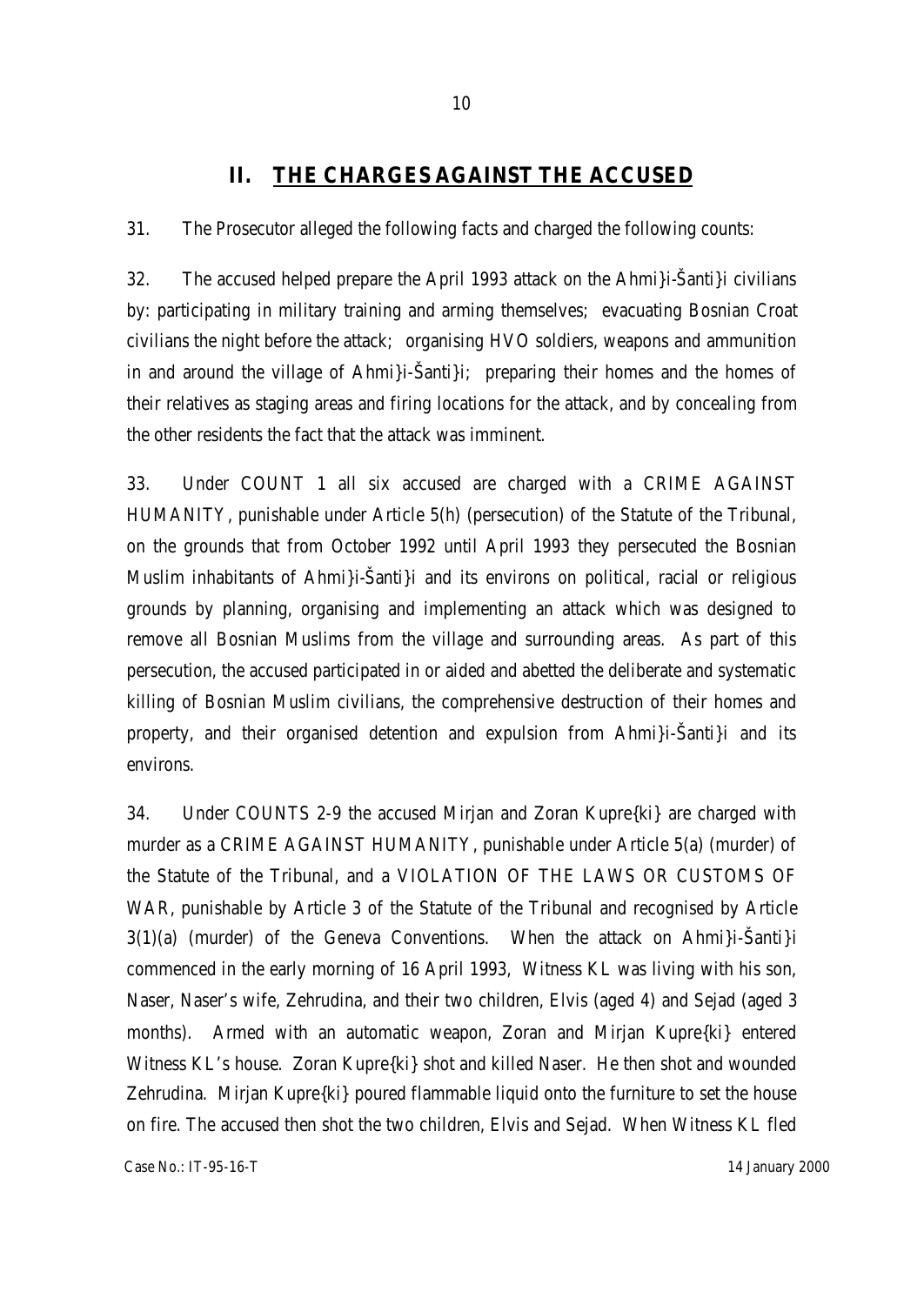# **II. THE CHARGES AGAINST THE ACCUSED**

31. The Prosecutor alleged the following facts and charged the following counts:

32. The accused helped prepare the April 1993 attack on the Ahmi}i-Šanti}i civilians by: participating in military training and arming themselves; evacuating Bosnian Croat civilians the night before the attack; organising HVO soldiers, weapons and ammunition in and around the village of Ahmi}i-Šanti}i; preparing their homes and the homes of their relatives as staging areas and firing locations for the attack, and by concealing from the other residents the fact that the attack was imminent.

33. Under COUNT 1 all six accused are charged with a CRIME AGAINST HUMANITY, punishable under Article 5(h) (persecution) of the Statute of the Tribunal, on the grounds that from October 1992 until April 1993 they persecuted the Bosnian Muslim inhabitants of Ahmi}i-Šanti}i and its environs on political, racial or religious grounds by planning, organising and implementing an attack which was designed to remove all Bosnian Muslims from the village and surrounding areas. As part of this persecution, the accused participated in or aided and abetted the deliberate and systematic killing of Bosnian Muslim civilians, the comprehensive destruction of their homes and property, and their organised detention and expulsion from Ahmi}i-Šanti}i and its environs.

34. Under COUNTS 2-9 the accused Mirjan and Zoran Kupre{ki} are charged with murder as a CRIME AGAINST HUMANITY, punishable under Article 5(a) (murder) of the Statute of the Tribunal, and a VIOLATION OF THE LAWS OR CUSTOMS OF WAR, punishable by Article 3 of the Statute of the Tribunal and recognised by Article 3(1)(a) (murder) of the Geneva Conventions. When the attack on Ahmi}i-Šanti}i commenced in the early morning of 16 April 1993, Witness KL was living with his son, Naser, Naser's wife, Zehrudina, and their two children, Elvis (aged 4) and Sejad (aged 3 months). Armed with an automatic weapon, Zoran and Mirjan Kupre{ki} entered Witness KL's house. Zoran Kupre{ki} shot and killed Naser. He then shot and wounded Zehrudina. Mirjan Kupre{ki} poured flammable liquid onto the furniture to set the house on fire. The accused then shot the two children, Elvis and Sejad. When Witness KL fled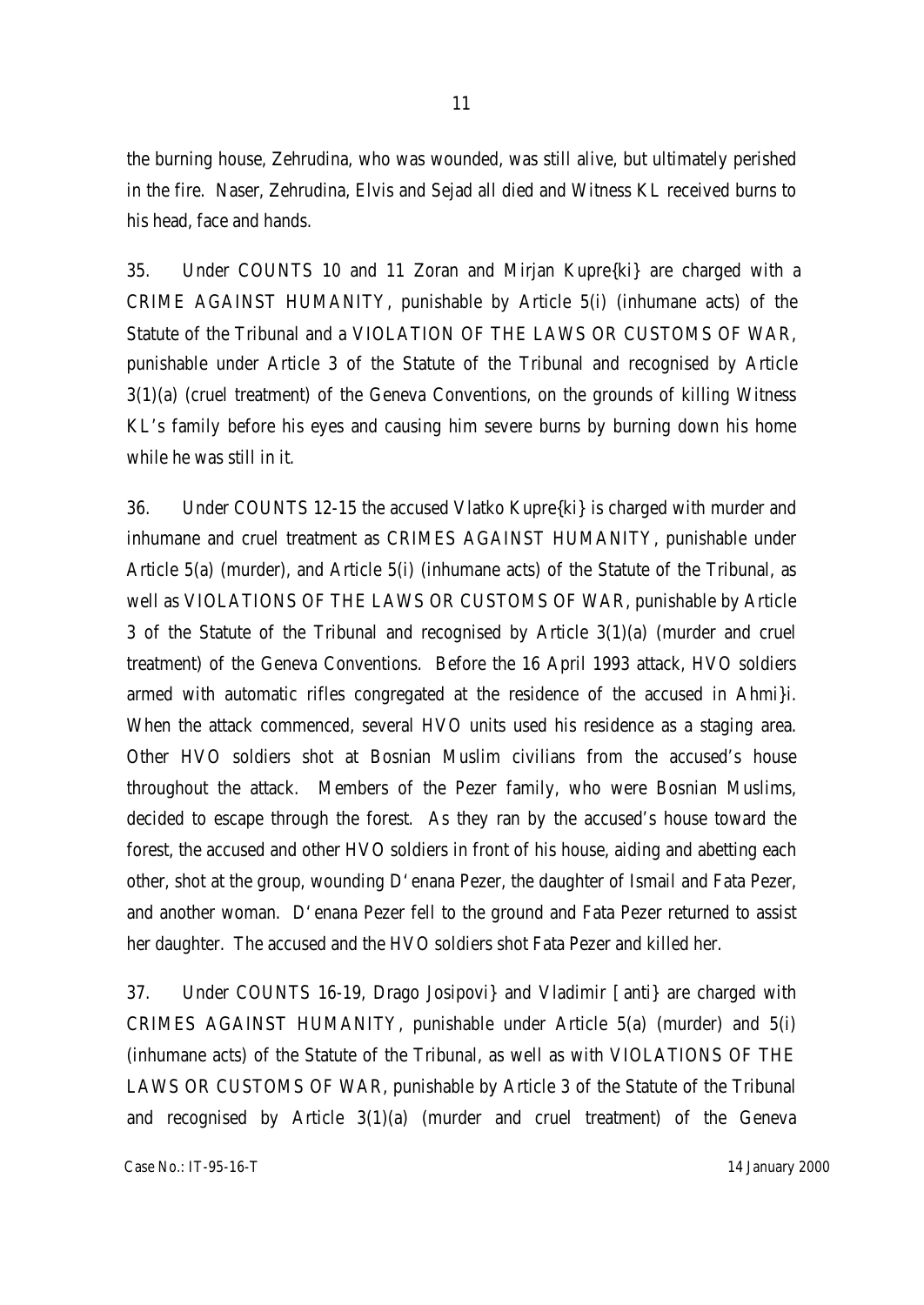the burning house, Zehrudina, who was wounded, was still alive, but ultimately perished in the fire. Naser, Zehrudina, Elvis and Sejad all died and Witness KL received burns to his head, face and hands.

35. Under COUNTS 10 and 11 Zoran and Mirjan Kupre{ki} are charged with a CRIME AGAINST HUMANITY, punishable by Article 5(i) (inhumane acts) of the Statute of the Tribunal and a VIOLATION OF THE LAWS OR CUSTOMS OF WAR, punishable under Article 3 of the Statute of the Tribunal and recognised by Article 3(1)(a) (cruel treatment) of the Geneva Conventions, on the grounds of killing Witness KL's family before his eyes and causing him severe burns by burning down his home while he was still in it.

36. Under COUNTS 12-15 the accused Vlatko Kupre{ki} is charged with murder and inhumane and cruel treatment as CRIMES AGAINST HUMANITY, punishable under Article 5(a) (murder), and Article 5(i) (inhumane acts) of the Statute of the Tribunal, as well as VIOLATIONS OF THE LAWS OR CUSTOMS OF WAR, punishable by Article 3 of the Statute of the Tribunal and recognised by Article 3(1)(a) (murder and cruel treatment) of the Geneva Conventions. Before the 16 April 1993 attack, HVO soldiers armed with automatic rifles congregated at the residence of the accused in Ahmi}i. When the attack commenced, several HVO units used his residence as a staging area. Other HVO soldiers shot at Bosnian Muslim civilians from the accused's house throughout the attack. Members of the Pezer family, who were Bosnian Muslims, decided to escape through the forest. As they ran by the accused's house toward the forest, the accused and other HVO soldiers in front of his house, aiding and abetting each other, shot at the group, wounding D'enana Pezer, the daughter of Ismail and Fata Pezer, and another woman. D'enana Pezer fell to the ground and Fata Pezer returned to assist her daughter. The accused and the HVO soldiers shot Fata Pezer and killed her.

37. Under COUNTS 16-19, Drago Josipovi} and Vladimir [anti} are charged with CRIMES AGAINST HUMANITY, punishable under Article 5(a) (murder) and 5(i) (inhumane acts) of the Statute of the Tribunal, as well as with VIOLATIONS OF THE LAWS OR CUSTOMS OF WAR, punishable by Article 3 of the Statute of the Tribunal and recognised by Article 3(1)(a) (murder and cruel treatment) of the Geneva

Case No.: IT-95-16-T 14 January 2000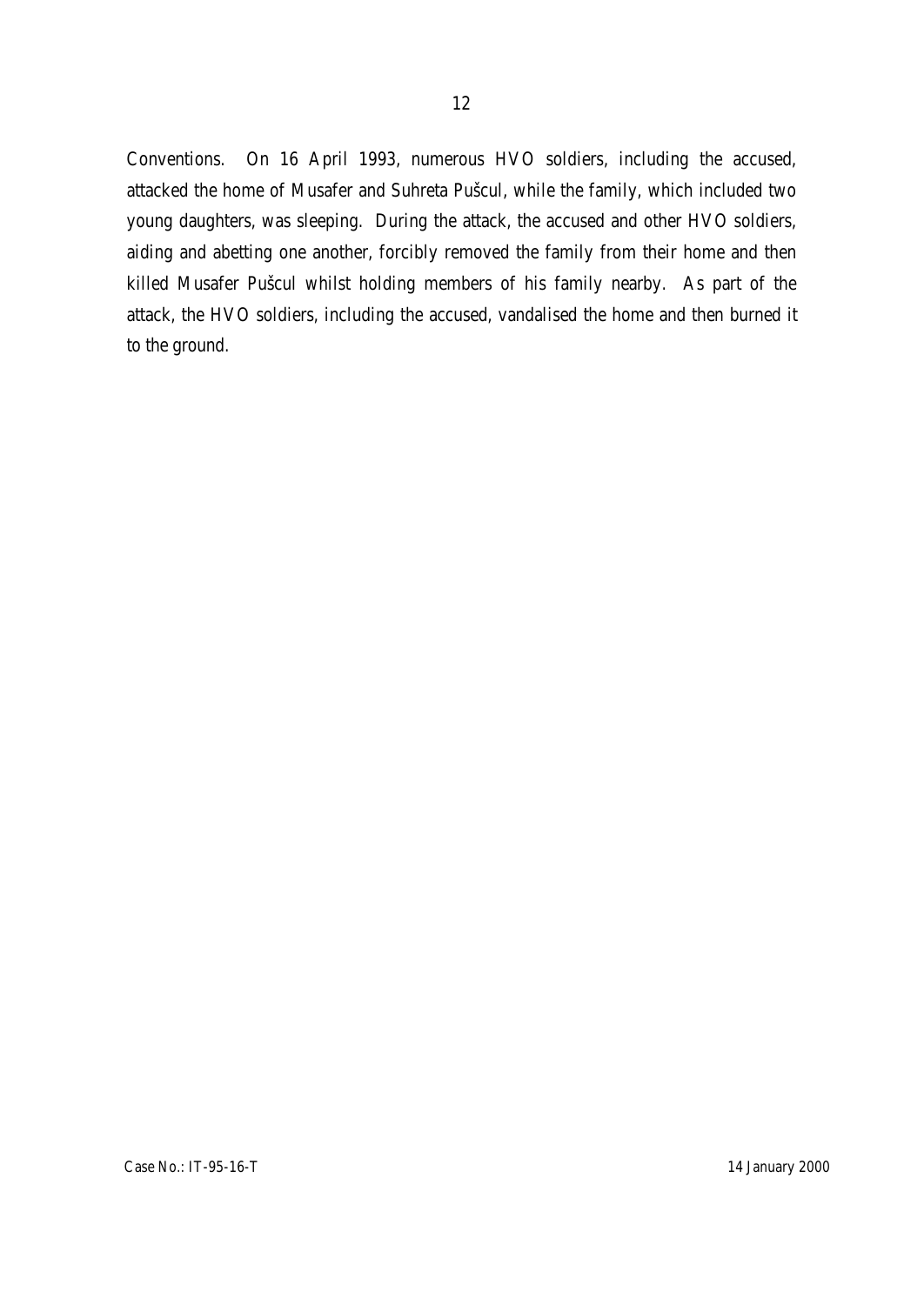Conventions. On 16 April 1993, numerous HVO soldiers, including the accused, attacked the home of Musafer and Suhreta Pušcul, while the family, which included two young daughters, was sleeping. During the attack, the accused and other HVO soldiers, aiding and abetting one another, forcibly removed the family from their home and then killed Musafer Pušcul whilst holding members of his family nearby. As part of the attack, the HVO soldiers, including the accused, vandalised the home and then burned it to the ground.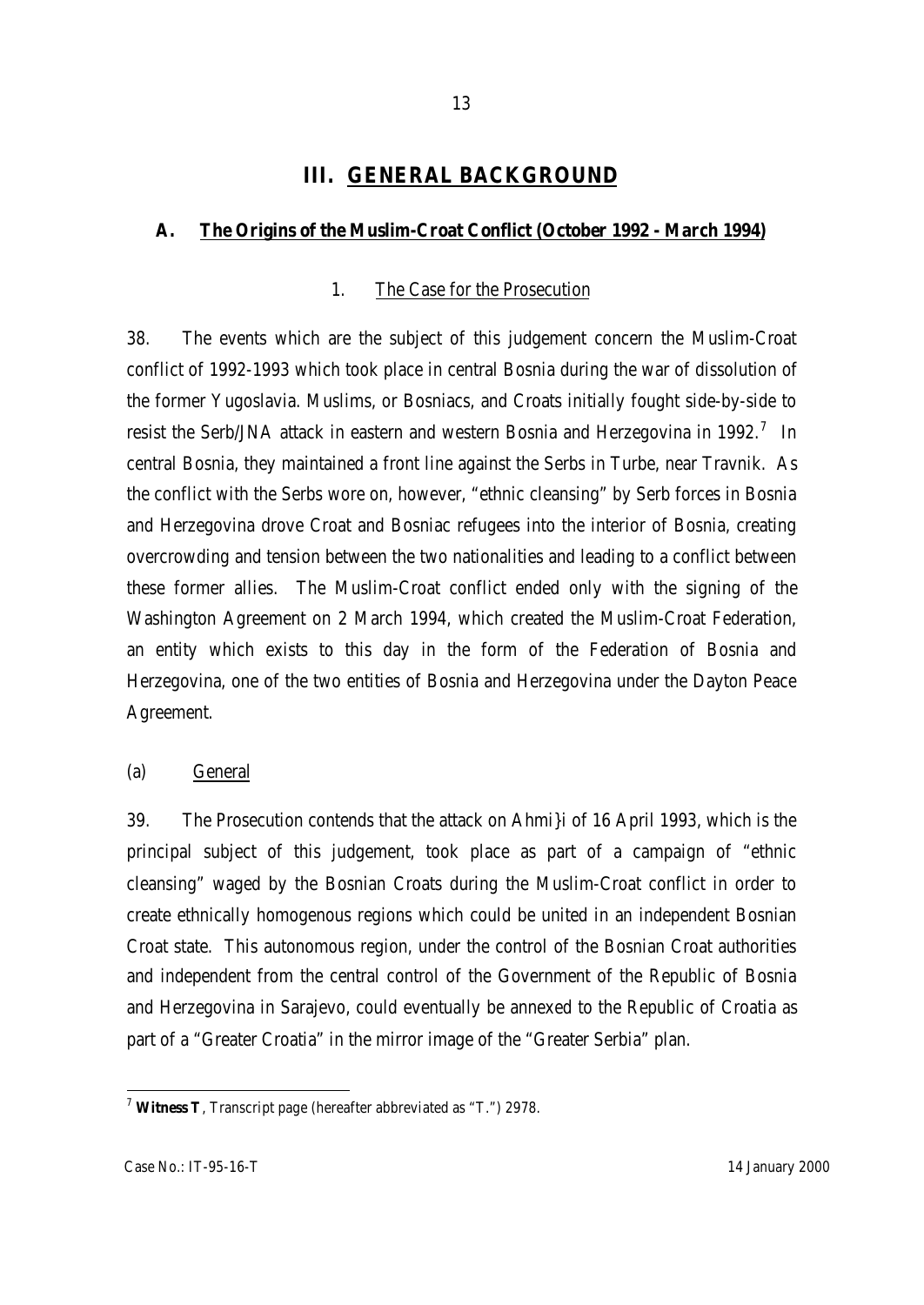# **III. GENERAL BACKGROUND**

## **A. The Origins of the Muslim-Croat Conflict (October 1992 - March 1994)**

## 1. The Case for the Prosecution

38. The events which are the subject of this judgement concern the Muslim-Croat conflict of 1992-1993 which took place in central Bosnia during the war of dissolution of the former Yugoslavia. Muslims, or Bosniacs, and Croats initially fought side-by-side to resist the Serb/JNA attack in eastern and western Bosnia and Herzegovina in 1992.<sup>7</sup> In central Bosnia, they maintained a front line against the Serbs in Turbe, near Travnik. As the conflict with the Serbs wore on, however, "ethnic cleansing" by Serb forces in Bosnia and Herzegovina drove Croat and Bosniac refugees into the interior of Bosnia, creating overcrowding and tension between the two nationalities and leading to a conflict between these former allies. The Muslim-Croat conflict ended only with the signing of the Washington Agreement on 2 March 1994, which created the Muslim-Croat Federation, an entity which exists to this day in the form of the Federation of Bosnia and Herzegovina, one of the two entities of Bosnia and Herzegovina under the Dayton Peace Agreement.

## (a) General

39. The Prosecution contends that the attack on Ahmi}i of 16 April 1993, which is the principal subject of this judgement, took place as part of a campaign of "ethnic cleansing" waged by the Bosnian Croats during the Muslim-Croat conflict in order to create ethnically homogenous regions which could be united in an independent Bosnian Croat state. This autonomous region, under the control of the Bosnian Croat authorities and independent from the central control of the Government of the Republic of Bosnia and Herzegovina in Sarajevo, could eventually be annexed to the Republic of Croatia as part of a "Greater Croatia" in the mirror image of the "Greater Serbia" plan.

l <sup>7</sup> **Witness T**, Transcript page (hereafter abbreviated as "T.") 2978.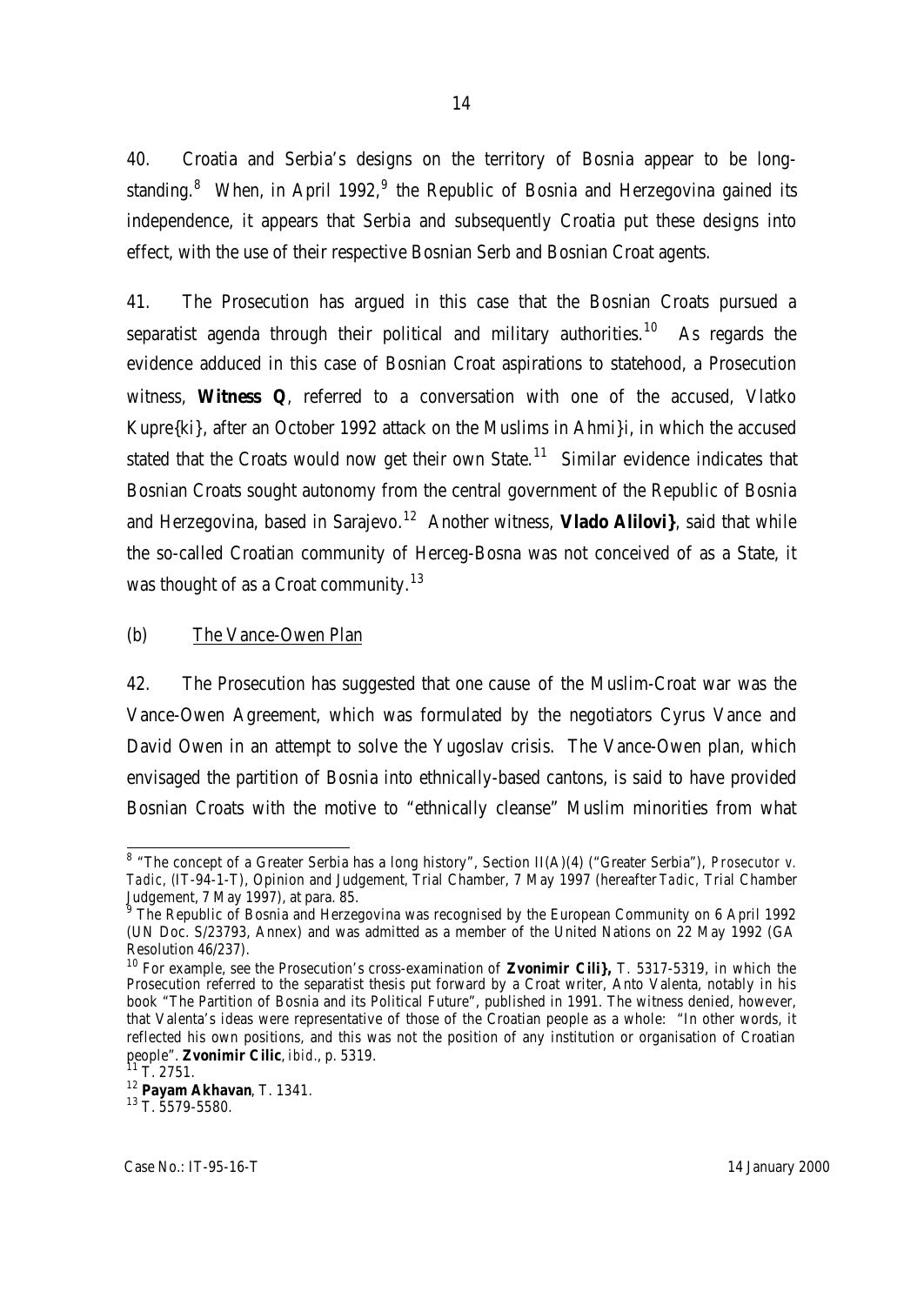40. Croatia and Serbia's designs on the territory of Bosnia appear to be longstanding.<sup>8</sup> When, in April 1992,<sup>9</sup> the Republic of Bosnia and Herzegovina gained its independence, it appears that Serbia and subsequently Croatia put these designs into effect, with the use of their respective Bosnian Serb and Bosnian Croat agents.

41. The Prosecution has argued in this case that the Bosnian Croats pursued a separatist agenda through their political and military authorities.<sup>10</sup> As regards the evidence adduced in this case of Bosnian Croat aspirations to statehood, a Prosecution witness, **Witness Q**, referred to a conversation with one of the accused, Vlatko Kupre{ki}, after an October 1992 attack on the Muslims in Ahmi}i, in which the accused stated that the Croats would now get their own State.<sup>11</sup> Similar evidence indicates that Bosnian Croats sought autonomy from the central government of the Republic of Bosnia and Herzegovina, based in Sarajevo.<sup>12</sup> Another witness, **Vlado Alilovi}**, said that while the so-called Croatian community of Herceg-Bosna was not conceived of as a State, it was thought of as a Croat community.<sup>13</sup>

#### (b) The Vance-Owen Plan

42. The Prosecution has suggested that one cause of the Muslim-Croat war was the Vance-Owen Agreement, which was formulated by the negotiators Cyrus Vance and David Owen in an attempt to solve the Yugoslav crisis. The Vance-Owen plan, which envisaged the partition of Bosnia into ethnically-based cantons, is said to have provided Bosnian Croats with the motive to "ethnically cleanse" Muslim minorities from what

 8 "The concept of a Greater Serbia has a long history", Section II(A)(4) ("Greater Serbia"), *Prosecutor v. Tadic, (*IT-94-1-T), Opinion and Judgement*,* Trial Chamber, 7 May 1997 (hereafter *Tadic,* Trial Chamber

Judgement, 7 May 1997), at para. 85.<br><sup>9</sup> The Republic of Bosnia and Herzegovina was recognised by the European Community on 6 April 1992 (UN Doc. S/23793, Annex) and was admitted as a member of the United Nations on 22 May 1992 (GA Resolution 46/237).

<sup>10</sup> For example, see the Prosecution's cross-examination of **Zvonimir Cili},** T. 5317-5319, in which the Prosecution referred to the separatist thesis put forward by a Croat writer, Anto Valenta, notably in his book "The Partition of Bosnia and its Political Future", published in 1991. The witness denied, however, that Valenta's ideas were representative of those of the Croatian people as a whole: "In other words, it reflected his own positions, and this was not the position of any institution or organisation of Croatian people". **Zvonimir Cilic**, *ibid.*, p. 5319.

 $T. 2751.$ 

<sup>12</sup> **Payam Akhavan**, T. 1341.

<sup>13</sup> T. 5579-5580.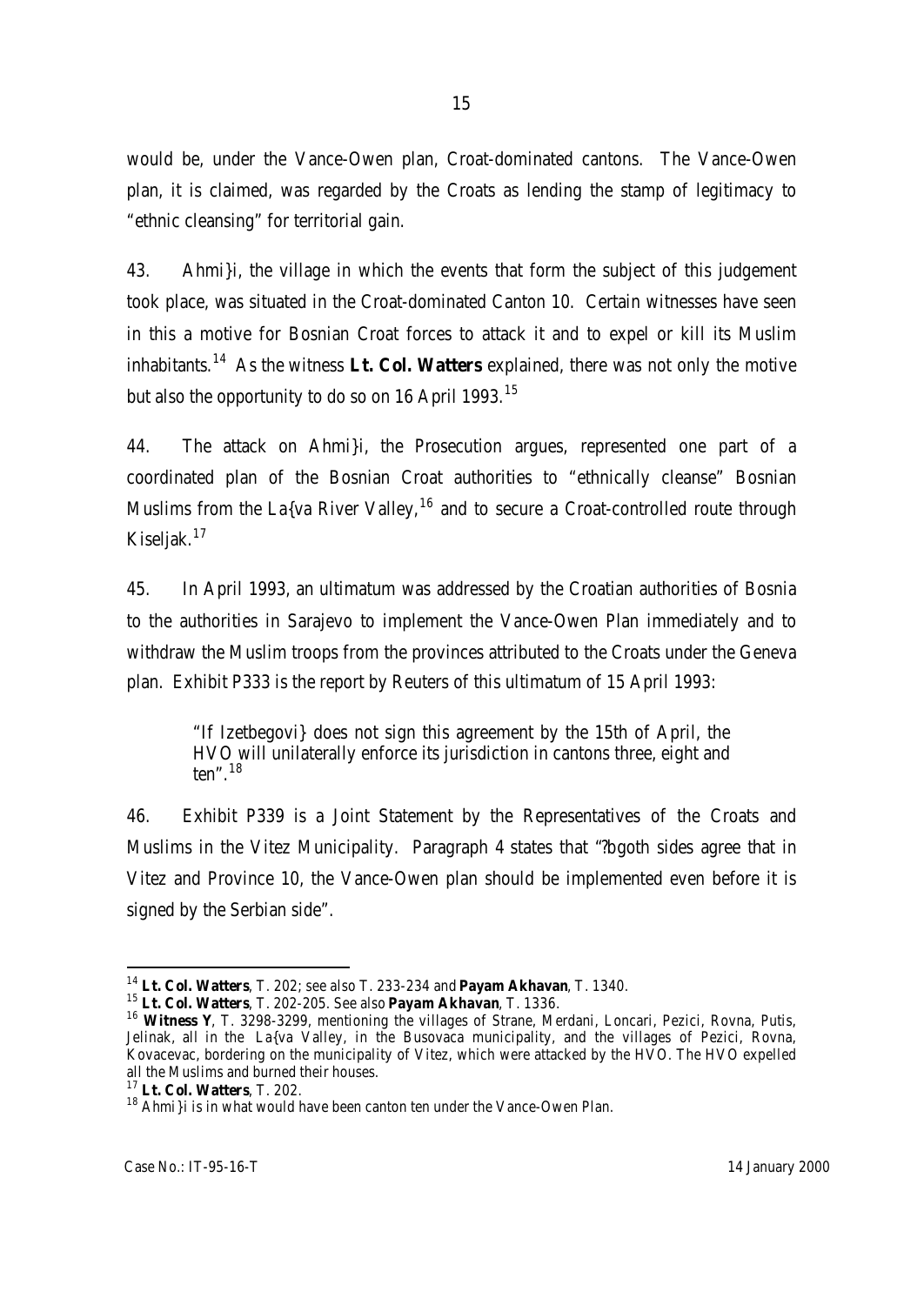would be, under the Vance-Owen plan, Croat-dominated cantons. The Vance-Owen plan, it is claimed, was regarded by the Croats as lending the stamp of legitimacy to "ethnic cleansing" for territorial gain.

43. Ahmi}i, the village in which the events that form the subject of this judgement took place, was situated in the Croat-dominated Canton 10. Certain witnesses have seen in this a motive for Bosnian Croat forces to attack it and to expel or kill its Muslim inhabitants.<sup>14</sup> As the witness **Lt. Col. Watters** explained, there was not only the motive but also the opportunity to do so on 16 April 1993.<sup>15</sup>

44. The attack on Ahmi}i, the Prosecution argues, represented one part of a coordinated plan of the Bosnian Croat authorities to "ethnically cleanse" Bosnian Muslims from the La{va River Valley,<sup>16</sup> and to secure a Croat-controlled route through Kiseljak.<sup>17</sup>

45. In April 1993, an ultimatum was addressed by the Croatian authorities of Bosnia to the authorities in Sarajevo to implement the Vance-Owen Plan immediately and to withdraw the Muslim troops from the provinces attributed to the Croats under the Geneva plan. Exhibit P333 is the report by Reuters of this ultimatum of 15 April 1993:

"If Izetbegovi} does not sign this agreement by the 15th of April, the HVO will unilaterally enforce its jurisdiction in cantons three, eight and ten".<sup>18</sup>

46. Exhibit P339 is a Joint Statement by the Representatives of the Croats and Muslims in the Vitez Municipality. Paragraph 4 states that "?bgoth sides agree that in Vitez and Province 10, the Vance-Owen plan should be implemented even before it is signed by the Serbian side".

l

<sup>14</sup> **Lt. Col. Watters**, T. 202; see also T. 233-234 and **Payam Akhavan**, T. 1340.

<sup>15</sup> **Lt. Col. Watters**, T. 202-205. See also **Payam Akhavan**, T. 1336.

<sup>&</sup>lt;sup>16</sup> Witness Y, T. 3298-3299, mentioning the villages of Strane, Merdani, Loncari, Pezici, Rovna, Putis, Jelinak, all in the La{va Valley, in the Busovaca municipality, and the villages of Pezici, Rovna, Kovacevac, bordering on the municipality of Vitez, which were attacked by the HVO. The HVO expelled all the Muslims and burned their houses.

<sup>17</sup> **Lt. Col. Watters**, T. 202.

<sup>&</sup>lt;sup>18</sup> Ahmi }i is in what would have been canton ten under the Vance-Owen Plan.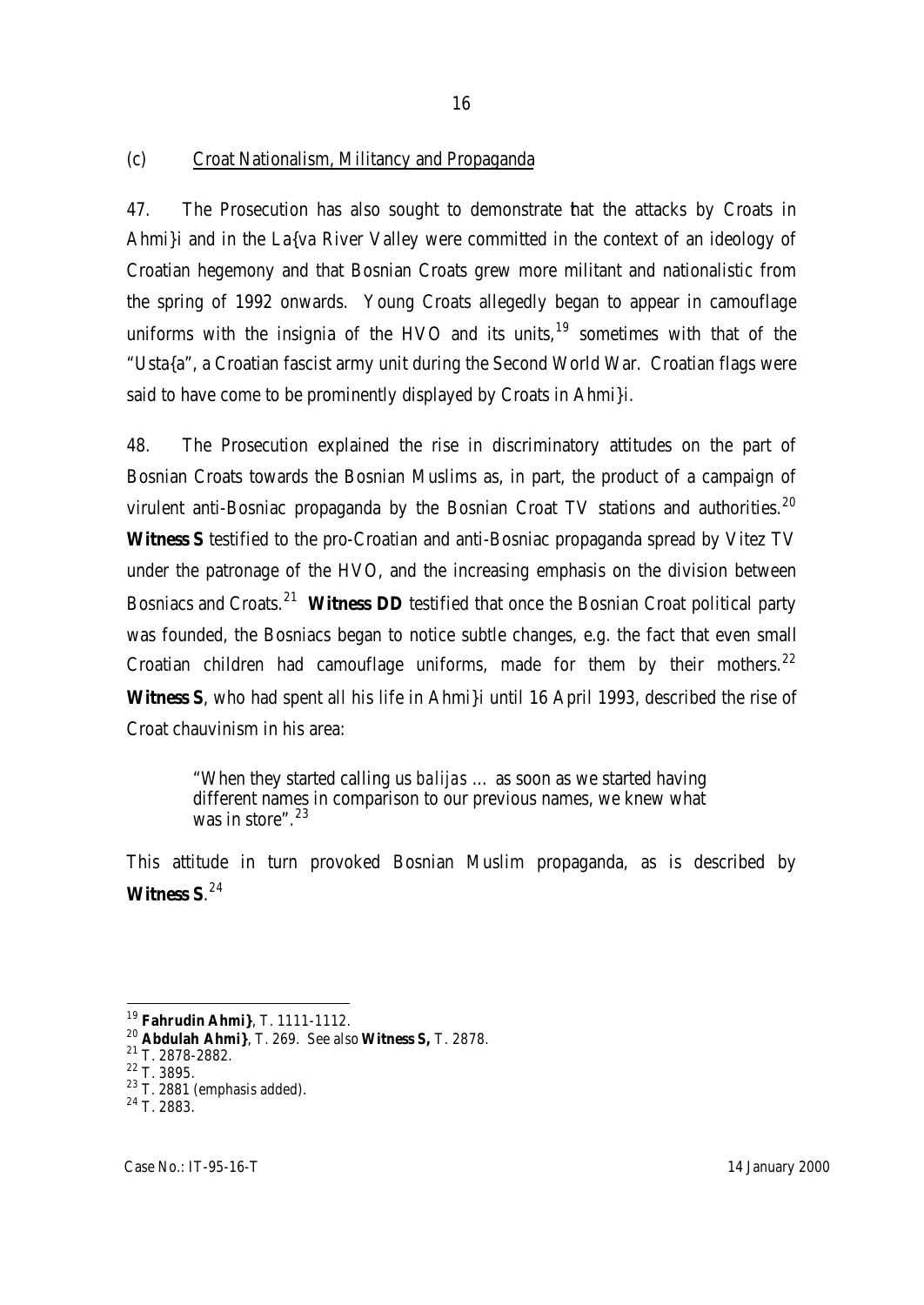(c) Croat Nationalism, Militancy and Propaganda

47. The Prosecution has also sought to demonstrate that the attacks by Croats in Ahmi}i and in the La{va River Valley were committed in the context of an ideology of Croatian hegemony and that Bosnian Croats grew more militant and nationalistic from the spring of 1992 onwards. Young Croats allegedly began to appear in camouflage uniforms with the insignia of the HVO and its units,<sup>19</sup> sometimes with that of the "Usta{a", a Croatian fascist army unit during the Second World War. Croatian flags were said to have come to be prominently displayed by Croats in Ahmi}i.

48. The Prosecution explained the rise in discriminatory attitudes on the part of Bosnian Croats towards the Bosnian Muslims as, in part, the product of a campaign of virulent anti-Bosniac propaganda by the Bosnian Croat TV stations and authorities.<sup>20</sup> **Witness S** testified to the pro-Croatian and anti-Bosniac propaganda spread by Vitez TV under the patronage of the HVO, and the increasing emphasis on the division between Bosniacs and Croats.<sup>21</sup> Witness DD testified that once the Bosnian Croat political party was founded, the Bosniacs began to notice subtle changes, e.g. the fact that even small Croatian children had camouflage uniforms, made for them by their mothers.<sup>22</sup> **Witness S**, who had spent all his life in Ahmi}i until 16 April 1993, described the rise of Croat chauvinism in his area:

"When they started calling us *balijas* … as soon as we started having different names in comparison to our previous names, we knew what was in store".<sup>23</sup>

This attitude in turn provoked Bosnian Muslim propaganda, as is described by **Witness S**. 24

l

<sup>19</sup> **Fahrudin Ahmi}**, T. 1111-1112.

<sup>20</sup> **Abdulah Ahmi}**, T. 269. See also **Witness S,** T. 2878.

<sup>21</sup> T. 2878-2882.

 $^{22}$  T. 3895.

 $23$  T. 2881 (emphasis added).

<sup>24</sup> T. 2883.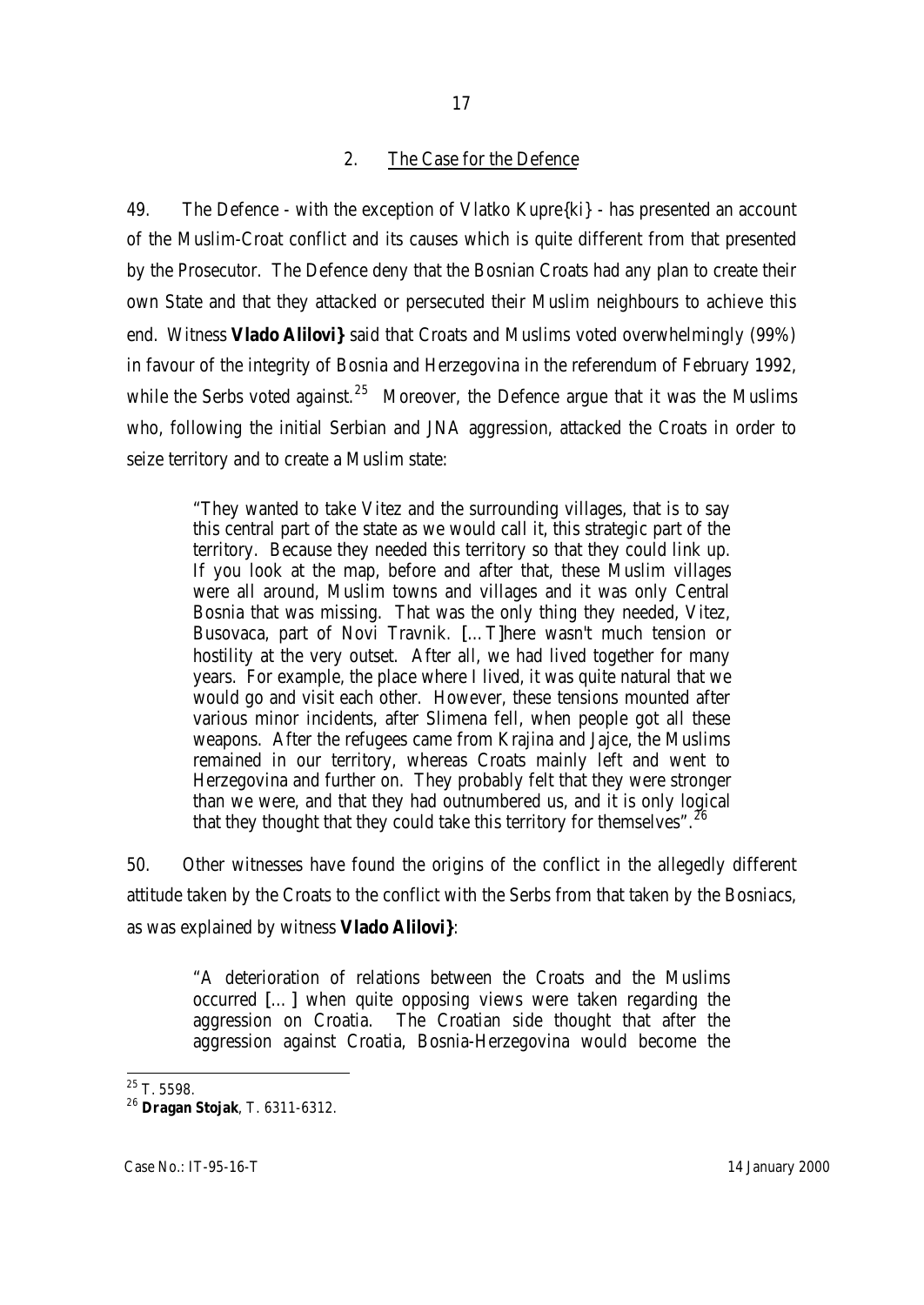#### 2. The Case for the Defence

49. The Defence - with the exception of Vlatko Kupre{ki} - has presented an account of the Muslim-Croat conflict and its causes which is quite different from that presented by the Prosecutor. The Defence deny that the Bosnian Croats had any plan to create their own State and that they attacked or persecuted their Muslim neighbours to achieve this end. Witness **Vlado Alilovi}** said that Croats and Muslims voted overwhelmingly (99%) in favour of the integrity of Bosnia and Herzegovina in the referendum of February 1992, while the Serbs voted against.<sup>25</sup> Moreover, the Defence argue that it was the Muslims who, following the initial Serbian and JNA aggression, attacked the Croats in order to seize territory and to create a Muslim state:

"They wanted to take Vitez and the surrounding villages, that is to say this central part of the state as we would call it, this strategic part of the territory. Because they needed this territory so that they could link up. If you look at the map, before and after that, these Muslim villages were all around, Muslim towns and villages and it was only Central Bosnia that was missing. That was the only thing they needed, Vitez, Busovaca, part of Novi Travnik*.* […T]here wasn't much tension or hostility at the very outset. After all, we had lived together for many years. For example, the place where I lived, it was quite natural that we would go and visit each other*.* However, these tensions mounted after various minor incidents, after Slimena fell, when people got all these weapons. After the refugees came from Krajina and Jajce, the Muslims remained in our territory, whereas Croats mainly left and went to Herzegovina and further on. They probably felt that they were stronger than we were, and that they had outnumbered us, and it is only logical that they thought that they could take this territory for themselves".<sup>26</sup>

50. Other witnesses have found the origins of the conflict in the allegedly different attitude taken by the Croats to the conflict with the Serbs from that taken by the Bosniacs, as was explained by witness **Vlado Alilovi}**:

"A deterioration of relations between the Croats and the Muslims occurred […] when quite opposing views were taken regarding the aggression on Croatia. The Croatian side thought that after the aggression against Croatia, Bosnia-Herzegovina would become the

Case No.: IT-95-16-T 14 January 2000

 $\overline{a}$  $^{25}$  T. 5598.

<sup>26</sup> **Dragan Stojak**, T. 6311-6312.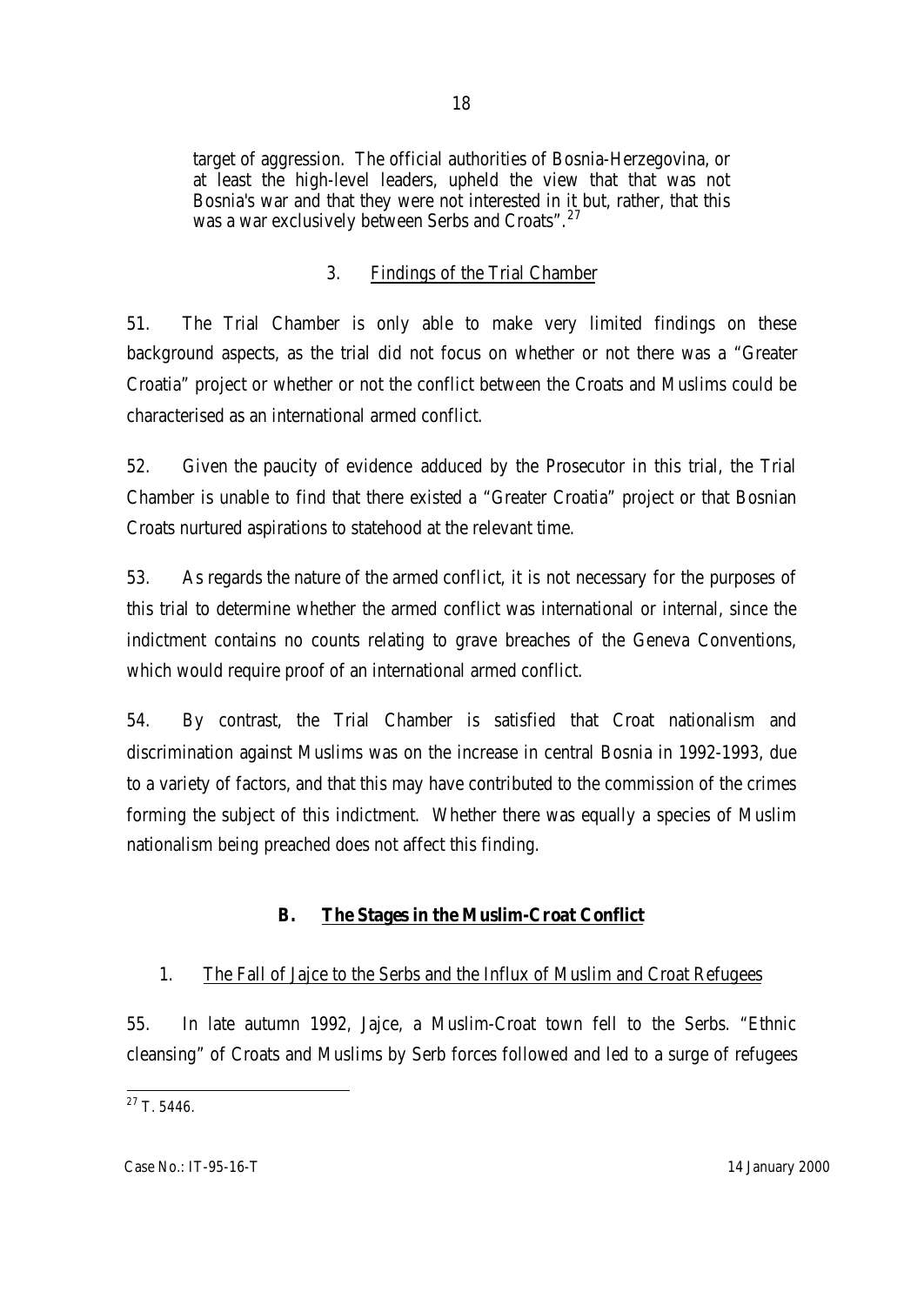target of aggression. The official authorities of Bosnia-Herzegovina, or at least the high-level leaders, upheld the view that that was not Bosnia's war and that they were not interested in it but, rather, that this was a war exclusively between Serbs and Croats".<sup>27</sup>

# 3. Findings of the Trial Chamber

51. The Trial Chamber is only able to make very limited findings on these background aspects, as the trial did not focus on whether or not there was a "Greater Croatia" project or whether or not the conflict between the Croats and Muslims could be characterised as an international armed conflict.

52. Given the paucity of evidence adduced by the Prosecutor in this trial, the Trial Chamber is unable to find that there existed a "Greater Croatia" project or that Bosnian Croats nurtured aspirations to statehood at the relevant time.

53. As regards the nature of the armed conflict, it is not necessary for the purposes of this trial to determine whether the armed conflict was international or internal, since the indictment contains no counts relating to grave breaches of the Geneva Conventions, which would require proof of an international armed conflict.

54. By contrast, the Trial Chamber is satisfied that Croat nationalism and discrimination against Muslims was on the increase in central Bosnia in 1992-1993, due to a variety of factors, and that this may have contributed to the commission of the crimes forming the subject of this indictment. Whether there was equally a species of Muslim nationalism being preached does not affect this finding.

# **B. The Stages in the Muslim-Croat Conflict**

# 1. The Fall of Jajce to the Serbs and the Influx of Muslim and Croat Refugees

55. In late autumn 1992, Jajce, a Muslim-Croat town fell to the Serbs. "Ethnic cleansing" of Croats and Muslims by Serb forces followed and led to a surge of refugees

 $\overline{a}$  $^{27}$  T. 5446.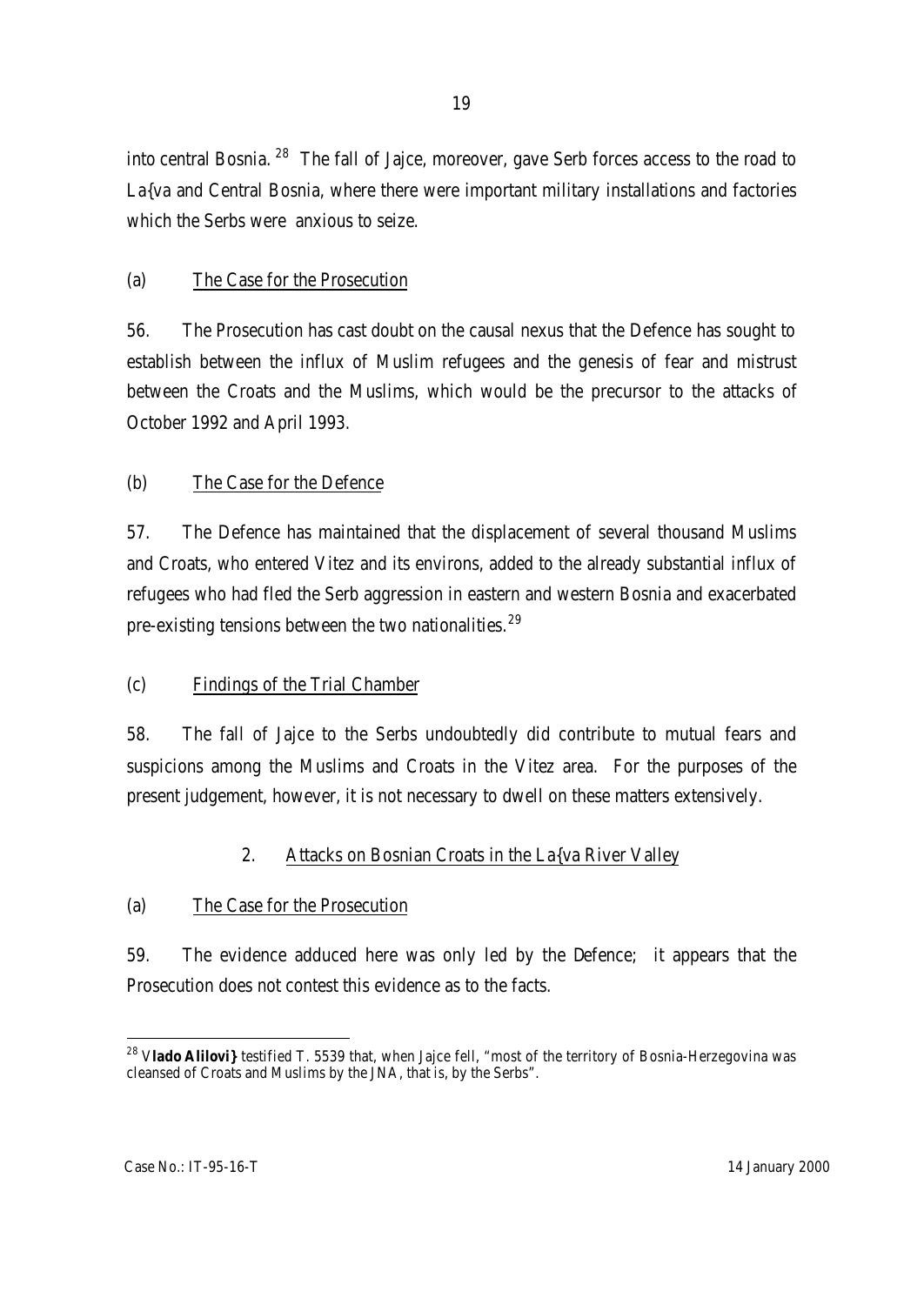into central Bosnia.<sup>28</sup> The fall of Jajce, moreover, gave Serb forces access to the road to La{va and Central Bosnia, where there were important military installations and factories which the Serbs were anxious to seize.

## (a) The Case for the Prosecution

56. The Prosecution has cast doubt on the causal nexus that the Defence has sought to establish between the influx of Muslim refugees and the genesis of fear and mistrust between the Croats and the Muslims, which would be the precursor to the attacks of October 1992 and April 1993.

# (b) The Case for the Defence

57. The Defence has maintained that the displacement of several thousand Muslims and Croats, who entered Vitez and its environs, added to the already substantial influx of refugees who had fled the Serb aggression in eastern and western Bosnia and exacerbated pre-existing tensions between the two nationalities.<sup>29</sup>

## (c) Findings of the Trial Chamber

58. The fall of Jajce to the Serbs undoubtedly did contribute to mutual fears and suspicions among the Muslims and Croats in the Vitez area. For the purposes of the present judgement, however, it is not necessary to dwell on these matters extensively.

## 2. Attacks on Bosnian Croats in the La{va River Valley

## (a) The Case for the Prosecution

59. The evidence adduced here was only led by the Defence; it appears that the Prosecution does not contest this evidence as to the facts.

l <sup>28</sup> Vlado Alilovi} testified T. 5539 that, when Jajce fell, "most of the territory of Bosnia-Herzegovina was cleansed of Croats and Muslims by the JNA, that is, by the Serbs".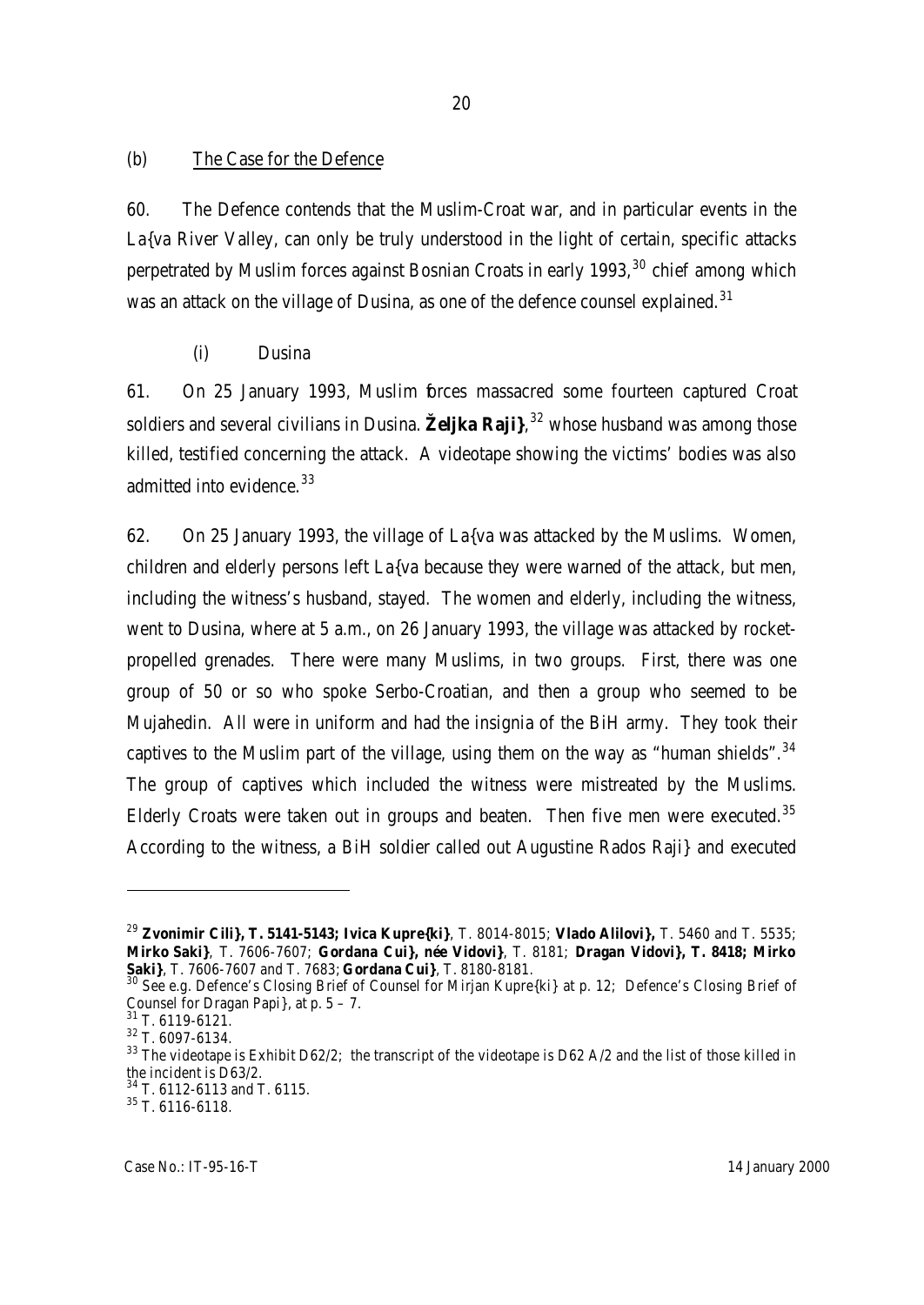#### (b) The Case for the Defence

60. The Defence contends that the Muslim-Croat war, and in particular events in the La{va River Valley, can only be truly understood in the light of certain, specific attacks perpetrated by Muslim forces against Bosnian Croats in early 1993, $30$  chief among which was an attack on the village of Dusina, as one of the defence counsel explained.<sup>31</sup>

(i) Dusina

61. On 25 January 1993, Muslim forces massacred some fourteen captured Croat soldiers and several civilians in Dusina. **Željka Raji}**, <sup>32</sup> whose husband was among those killed, testified concerning the attack. A videotape showing the victims' bodies was also admitted into evidence.<sup>33</sup>

62. On 25 January 1993, the village of La{va was attacked by the Muslims. Women, children and elderly persons left La{va because they were warned of the attack, but men, including the witness's husband, stayed. The women and elderly, including the witness, went to Dusina, where at 5 a.m., on 26 January 1993, the village was attacked by rocketpropelled grenades. There were many Muslims, in two groups. First, there was one group of 50 or so who spoke Serbo-Croatian, and then a group who seemed to be Mujahedin. All were in uniform and had the insignia of the BiH army. They took their captives to the Muslim part of the village, using them on the way as "human shields".  $34$ The group of captives which included the witness were mistreated by the Muslims. Elderly Croats were taken out in groups and beaten. Then five men were executed.  $35$ According to the witness, a BiH soldier called out Augustine Rados Raji} and executed

l

<sup>29</sup> **Zvonimir Cili}, T. 5141-5143; Ivica Kupre{ki}**, T. 8014-8015; **Vlado Alilovi},** T. 5460 and T. 5535; **Mirko Saki}**, T. 7606-7607; **Gordana Cui}, née Vidovi}**, T. 8181; **Dragan Vidovi}, T. 8418; Mirko Saki}**, T. 7606-7607 and T. 7683; **Gordana Cui}**, T. 8180-8181.<br><sup>30</sup> See e.g. Defenseis Clesias: Dr. 606.000 and **Cui}**, T. 8180-8181.

See e.g. Defence's Closing Brief of Counsel for Mirjan Kupre{ki} at p. 12; Defence's Closing Brief of Counsel for Dragan Papi }, at  $p. 5 - 7$ .

 $31$  T. 6119-6121.

<sup>32</sup> T. 6097-6134.

<sup>&</sup>lt;sup>33</sup> The videotape is Exhibit D62/2; the transcript of the videotape is D62 A/2 and the list of those killed in the incident is D63/2.

 $34$  T. 6112-6113 and T. 6115.

 $35$  T. 6116-6118.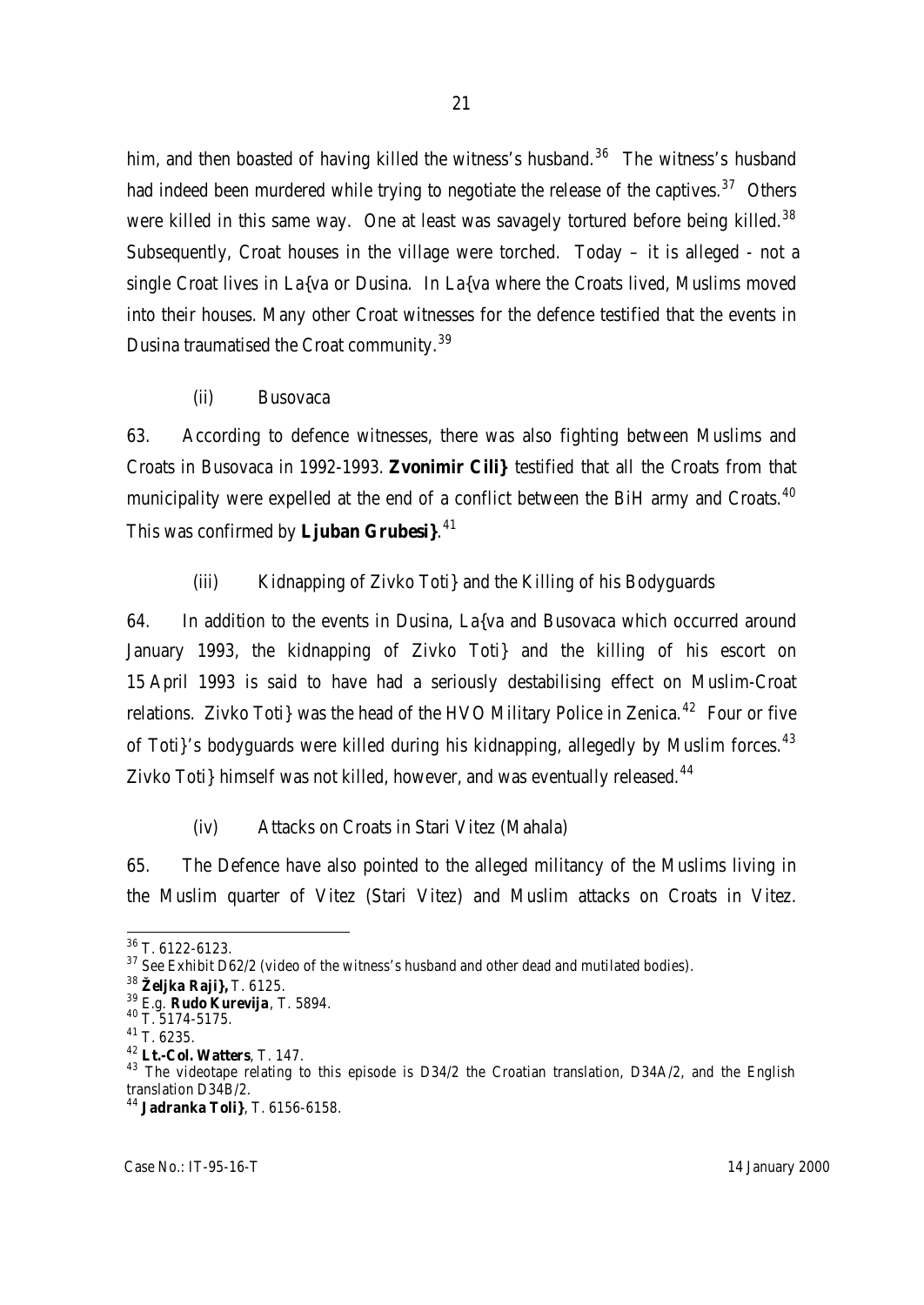him, and then boasted of having killed the witness's husband.<sup>36</sup> The witness's husband had indeed been murdered while trying to negotiate the release of the captives.<sup>37</sup> Others were killed in this same way. One at least was savagely tortured before being killed.<sup>38</sup> Subsequently, Croat houses in the village were torched. Today – it is alleged - not a single Croat lives in La{va or Dusina. In La{va where the Croats lived, Muslims moved into their houses. Many other Croat witnesses for the defence testified that the events in Dusina traumatised the Croat community.<sup>39</sup>

#### (ii) Busovaca

63. According to defence witnesses, there was also fighting between Muslims and Croats in Busovaca in 1992-1993. **Zvonimir Cili}** testified that all the Croats from that municipality were expelled at the end of a conflict between the BiH army and Croats.<sup>40</sup> This was confirmed by **Ljuban Grubesi}**. 41

(iii) Kidnapping of Zivko Toti} and the Killing of his Bodyguards

64. In addition to the events in Dusina, La{va and Busovaca which occurred around January 1993, the kidnapping of Zivko Toti} and the killing of his escort on 15 April 1993 is said to have had a seriously destabilising effect on Muslim-Croat relations. Zivko Toti was the head of the HVO Military Police in Zenica.<sup>42</sup> Four or five of Toti}'s bodyguards were killed during his kidnapping, allegedly by Muslim forces.  $43$ Zivko Toti} himself was not killed, however, and was eventually released.<sup>44</sup>

(iv) Attacks on Croats in Stari Vitez (Mahala)

65. The Defence have also pointed to the alleged militancy of the Muslims living in the Muslim quarter of Vitez (Stari Vitez) and Muslim attacks on Croats in Vitez.

 $\overline{a}$  $36$  T. 6122-6123.

<sup>&</sup>lt;sup>37</sup> See Exhibit D62/2 (video of the witness's husband and other dead and mutilated bodies).

<sup>38</sup> **Željka Raji},** T. 6125.

<sup>39</sup> E.g. **Rudo Kurevija**, T. 5894.

 $40$  T. 5174-5175.

<sup>41</sup> T. 6235.

<sup>42</sup> **Lt.-Col. Watters**, T. 147.

<sup>&</sup>lt;sup>43</sup> The videotape relating to this episode is D34/2 the Croatian translation, D34A/2, and the English translation D34B/2.

<sup>44</sup> **Jadranka Toli}**, T. 6156-6158.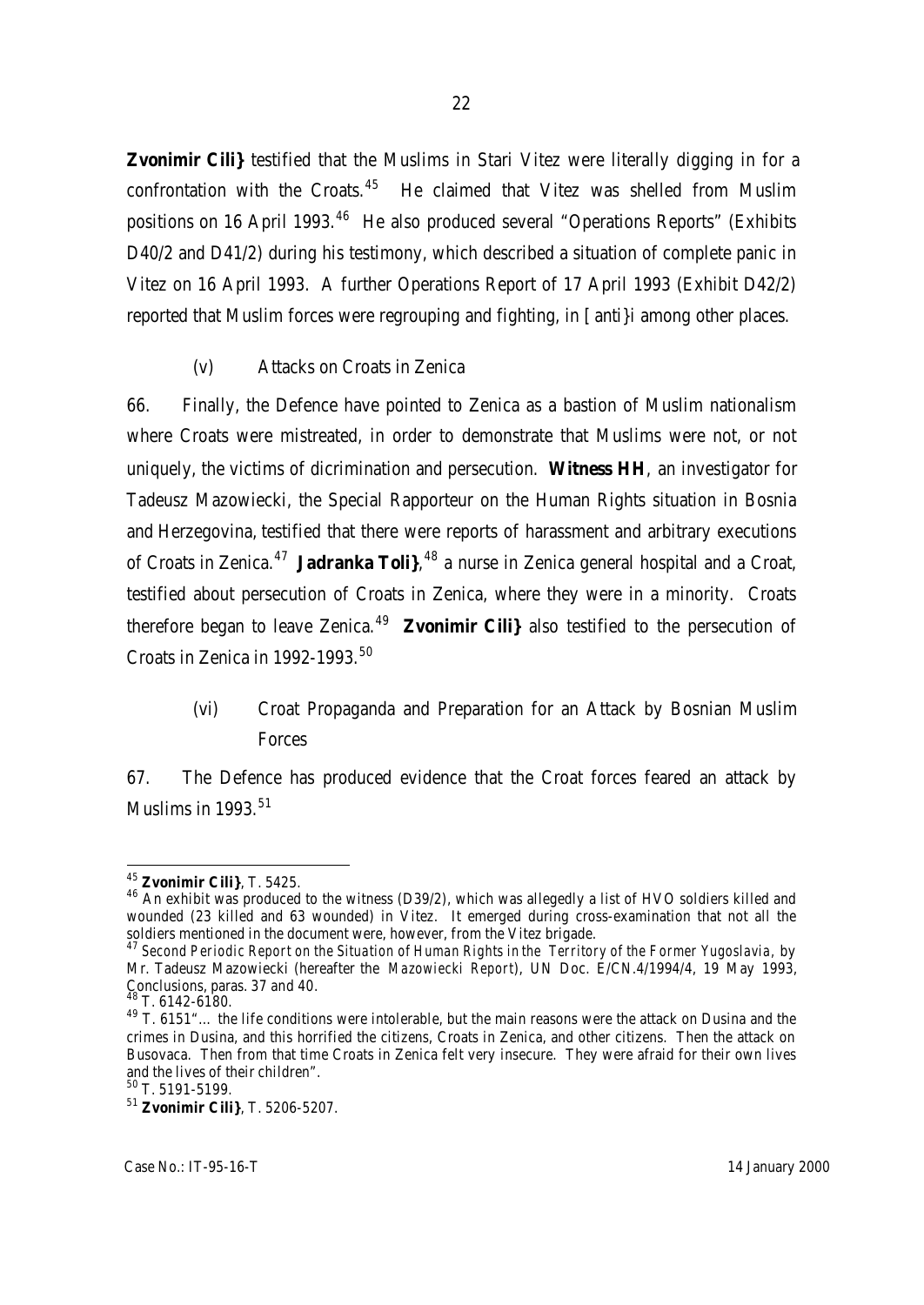**Zvonimir Cili**} testified that the Muslims in Stari Vitez were literally digging in for a confrontation with the Croats. $45$  He claimed that Vitez was shelled from Muslim positions on 16 April 1993.<sup>46</sup> He also produced several "Operations Reports" (Exhibits D40/2 and D41/2) during his testimony, which described a situation of complete panic in Vitez on 16 April 1993. A further Operations Report of 17 April 1993 (Exhibit D42/2) reported that Muslim forces were regrouping and fighting, in [anti}i among other places.

(v) Attacks on Croats in Zenica

66. Finally, the Defence have pointed to Zenica as a bastion of Muslim nationalism where Croats were mistreated, in order to demonstrate that Muslims were not, or not uniquely, the victims of dicrimination and persecution. **Witness HH**, an investigator for Tadeusz Mazowiecki, the Special Rapporteur on the Human Rights situation in Bosnia and Herzegovina, testified that there were reports of harassment and arbitrary executions of Croats in Zenica.<sup>47</sup> Jadranka Toli},<sup>48</sup> a nurse in Zenica general hospital and a Croat, testified about persecution of Croats in Zenica, where they were in a minority. Croats therefore began to leave Zenica.<sup>49</sup> Zvonimir Cili} also testified to the persecution of Croats in Zenica in 1992-1993.<sup>50</sup>

(vi) Croat Propaganda and Preparation for an Attack by Bosnian Muslim Forces

67. The Defence has produced evidence that the Croat forces feared an attack by Muslims in  $1993$ .<sup>51</sup>

l <sup>45</sup> **Zvonimir Cili}**, T. 5425.

<sup>46</sup> An exhibit was produced to the witness (D39/2), which was allegedly a list of HVO soldiers killed and wounded (23 killed and 63 wounded) in Vitez. It emerged during cross-examination that not all the soldiers mentioned in the document were, however, from the Vitez brigade.

<sup>47</sup> *Second Periodic Report on the Situation of Human Rights in the Territory of the Former Yugoslavia,* by Mr. Tadeusz Mazowiecki (hereafter the *Mazowiecki Report*), UN Doc. E/CN.4/1994/4, 19 May 1993, Conclusions, paras. 37 and 40.

T. 6142-6180.

 $^{49}$  T. 6151"... the life conditions were intolerable, but the main reasons were the attack on Dusina and the crimes in Dusina, and this horrified the citizens, Croats in Zenica, and other citizens. Then the attack on Busovaca. Then from that time Croats in Zenica felt very insecure. They were afraid for their own lives and the lives of their children".

 $50$  T. 5191-5199.

<sup>51</sup> **Zvonimir Cili}**, T. 5206-5207.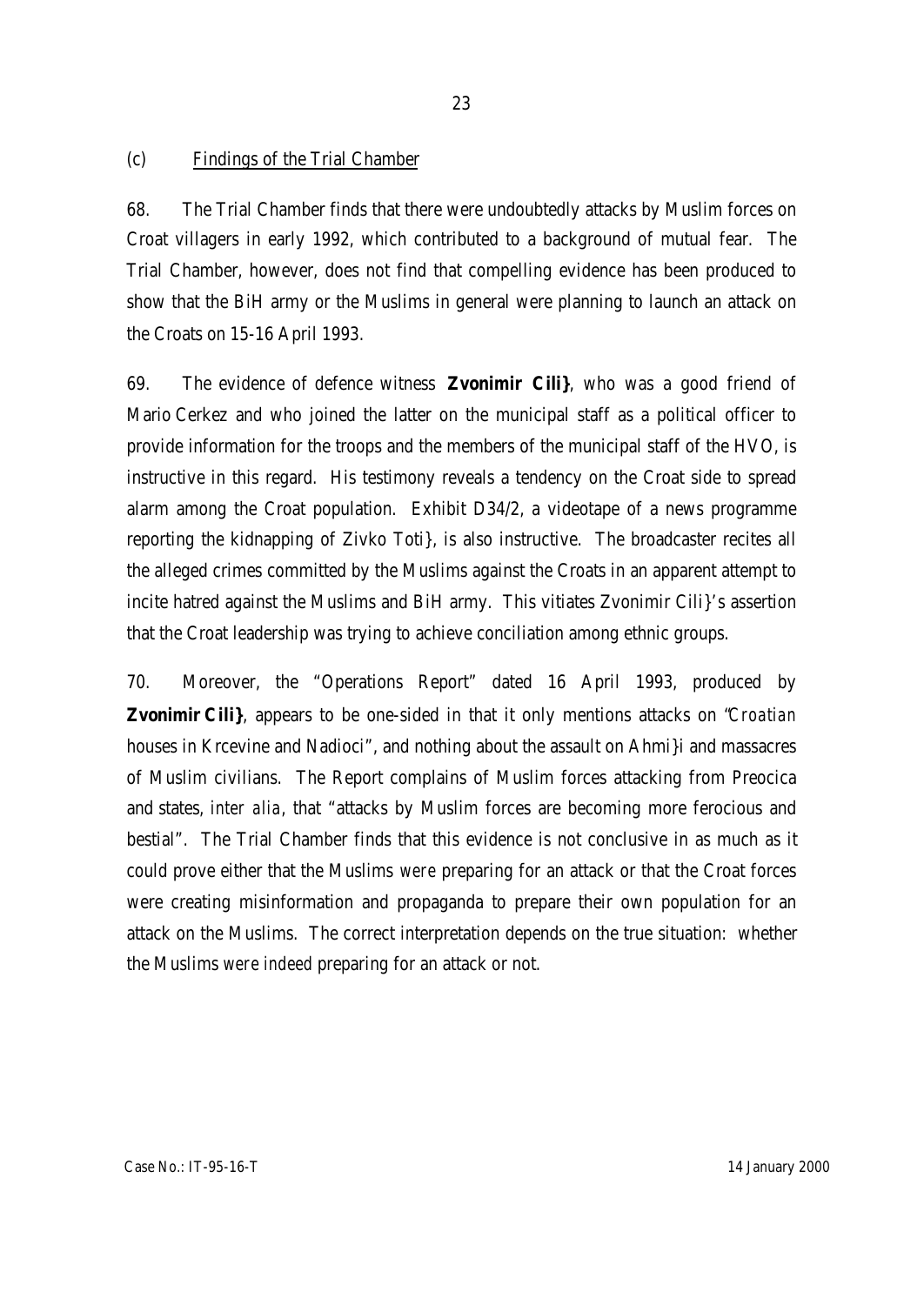#### (c) Findings of the Trial Chamber

68. The Trial Chamber finds that there were undoubtedly attacks by Muslim forces on Croat villagers in early 1992, which contributed to a background of mutual fear. The Trial Chamber, however, does not find that compelling evidence has been produced to show that the BiH army or the Muslims in general were planning to launch an attack on the Croats on 15-16 April 1993.

69. The evidence of defence witness **Zvonimir Cili}**, who was a good friend of Mario Cerkez and who joined the latter on the municipal staff as a political officer to provide information for the troops and the members of the municipal staff of the HVO, is instructive in this regard. His testimony reveals a tendency on the Croat side to spread alarm among the Croat population. Exhibit D34/2, a videotape of a news programme reporting the kidnapping of Zivko Toti}, is also instructive. The broadcaster recites all the alleged crimes committed by the Muslims against the Croats in an apparent attempt to incite hatred against the Muslims and BiH army. This vitiates Zvonimir Cili}'s assertion that the Croat leadership was trying to achieve conciliation among ethnic groups.

70. Moreover, the "Operations Report" dated 16 April 1993, produced by **Zvonimir Cili}**, appears to be one-sided in that it only mentions attacks on "*Croatian* houses in Krcevine and Nadioci", and nothing about the assault on Ahmi}i and massacres of Muslim civilians. The Report complains of Muslim forces attacking from Preocica and states, *inter alia*, that "attacks by Muslim forces are becoming more ferocious and bestial". The Trial Chamber finds that this evidence is not conclusive in as much as it could prove either that the Muslims *were* preparing for an attack or that the Croat forces were creating misinformation and propaganda to prepare their own population for an attack on the Muslims. The correct interpretation depends on the true situation: whether the Muslims *were indeed* preparing for an attack or not.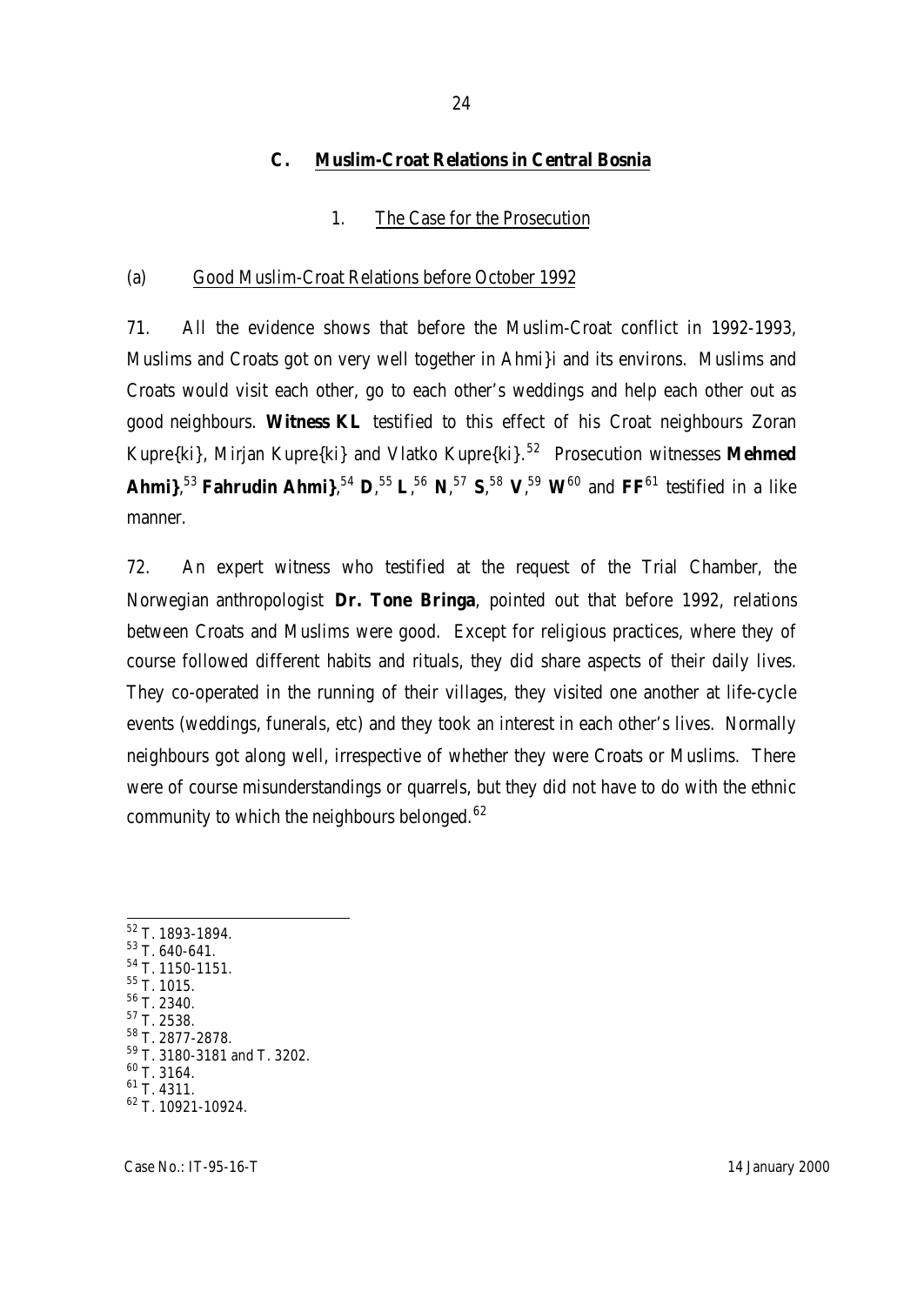## **C. Muslim-Croat Relations in Central Bosnia**

#### 1. The Case for the Prosecution

#### (a) Good Muslim-Croat Relations before October 1992

71. All the evidence shows that before the Muslim-Croat conflict in 1992-1993, Muslims and Croats got on very well together in Ahmi}i and its environs. Muslims and Croats would visit each other, go to each other's weddings and help each other out as good neighbours. **Witness KL** testified to this effect of his Croat neighbours Zoran Kupre{ki}, Mirjan Kupre{ki} and Vlatko Kupre{ki}.<sup>52</sup> Prosecution witnesses **Mehmed Ahmi}**, <sup>53</sup> **Fahrudin Ahmi}**, <sup>54</sup> **D**, <sup>55</sup> **L**, <sup>56</sup> **N**, <sup>57</sup> **S**, <sup>58</sup> **V**, <sup>59</sup> **W**<sup>60</sup> and **FF**<sup>61</sup> testified in a like manner.

72. An expert witness who testified at the request of the Trial Chamber, the Norwegian anthropologist **Dr. Tone Bringa**, pointed out that before 1992, relations between Croats and Muslims were good. Except for religious practices, where they of course followed different habits and rituals, they did share aspects of their daily lives. They co-operated in the running of their villages, they visited one another at life-cycle events (weddings, funerals, etc) and they took an interest in each other's lives. Normally neighbours got along well, irrespective of whether they were Croats or Muslims. There were of course misunderstandings or quarrels, but they did not have to do with the ethnic community to which the neighbours belonged.<sup>62</sup>

- $\overline{a}$ <sup>52</sup> T. 1893-1894.
- <sup>53</sup> T. 640-641.
- <sup>54</sup> T. 1150-1151.
- <sup>55</sup> T. 1015. <sup>56</sup> T. 2340.
- <sup>57</sup> T. 2538.
- <sup>58</sup> T. 2877-2878.
- <sup>59</sup> T. 3180-3181 and T. 3202.
- <sup>60</sup> T. 3164. <sup>61</sup> T. 4311.

<sup>62</sup> T. 10921-10924.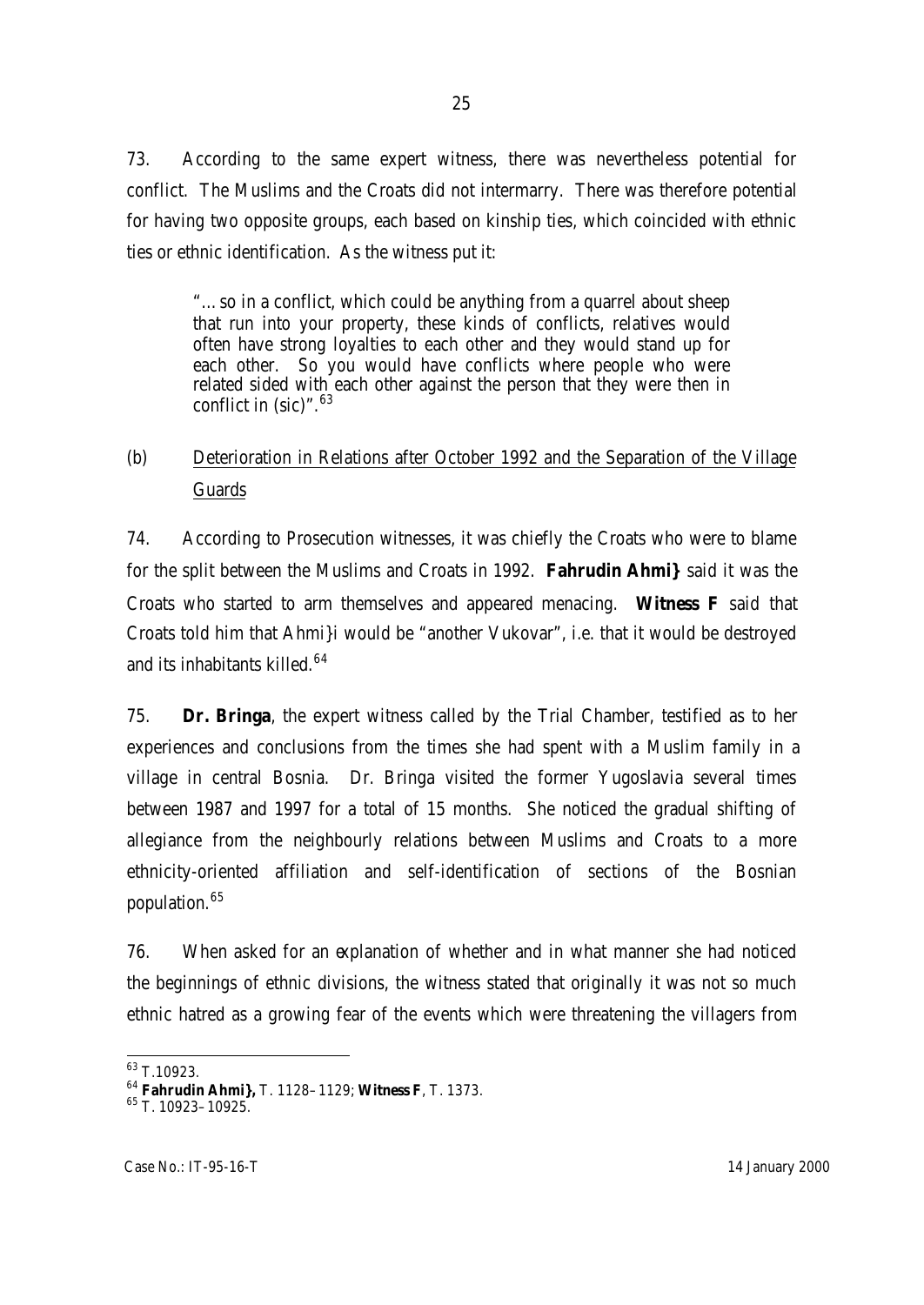73. According to the same expert witness, there was nevertheless potential for conflict. The Muslims and the Croats did not intermarry. There was therefore potential for having two opposite groups, each based on kinship ties, which coincided with ethnic ties or ethnic identification. As the witness put it:

"…so in a conflict, which could be anything from a quarrel about sheep that run into your property, these kinds of conflicts, relatives would often have strong loyalties to each other and they would stand up for each other. So you would have conflicts where people who were related sided with each other against the person that they were then in conflict in (sic)".<sup>63</sup>

# (b) Deterioration in Relations after October 1992 and the Separation of the Village Guards

74. According to Prosecution witnesses, it was chiefly the Croats who were to blame for the split between the Muslims and Croats in 1992. **Fahrudin Ahmi}** said it was the Croats who started to arm themselves and appeared menacing. **Witness F** said that Croats told him that Ahmi}i would be "another Vukovar", i.e. that it would be destroyed and its inhabitants killed.<sup>64</sup>

75. **Dr. Bringa**, the expert witness called by the Trial Chamber, testified as to her experiences and conclusions from the times she had spent with a Muslim family in a village in central Bosnia. Dr. Bringa visited the former Yugoslavia several times between 1987 and 1997 for a total of 15 months. She noticed the gradual shifting of allegiance from the neighbourly relations between Muslims and Croats to a more ethnicity-oriented affiliation and self-identification of sections of the Bosnian population.<sup>65</sup>

76. When asked for an explanation of whether and in what manner she had noticed the beginnings of ethnic divisions, the witness stated that originally it was not so much ethnic hatred as a growing fear of the events which were threatening the villagers from

 $\overline{a}$  $^{63}$  T.10923.

<sup>64</sup> **Fahrudin Ahmi},** T. 1128–1129; **Witness F**, T. 1373.

 $^{65}$  T. 10923-10925.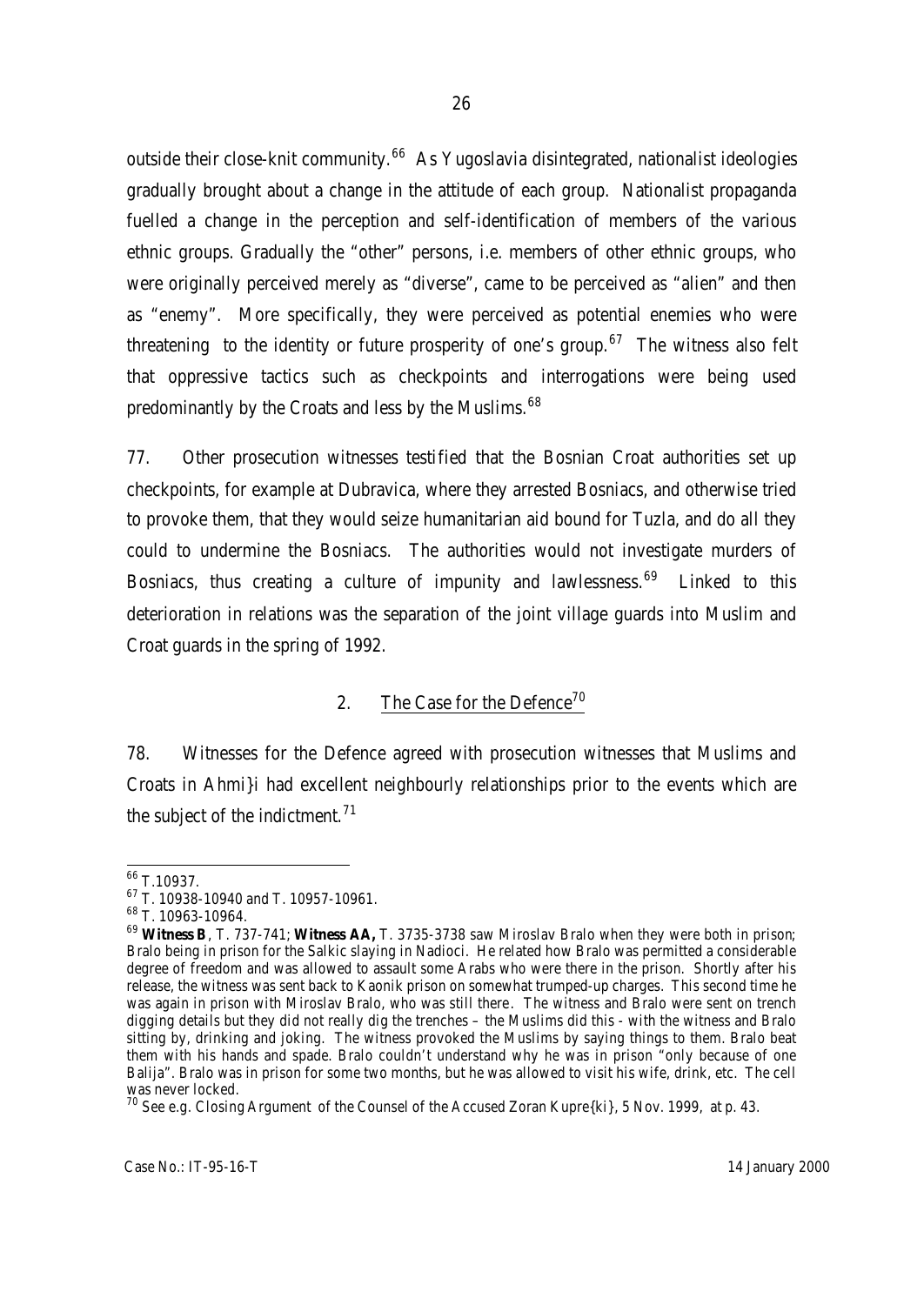outside their close-knit community.<sup>66</sup> As Yugoslavia disintegrated, nationalist ideologies gradually brought about a change in the attitude of each group. Nationalist propaganda fuelled a change in the perception and self-identification of members of the various ethnic groups. Gradually the "other" persons, i.e. members of other ethnic groups, who were originally perceived merely as "diverse", came to be perceived as "alien" and then as "enemy". More specifically, they were perceived as potential enemies who were threatening to the identity or future prosperity of one's group.<sup>67</sup> The witness also felt that oppressive tactics such as checkpoints and interrogations were being used predominantly by the Croats and less by the Muslims.<sup>68</sup>

77. Other prosecution witnesses testified that the Bosnian Croat authorities set up checkpoints, for example at Dubravica, where they arrested Bosniacs, and otherwise tried to provoke them, that they would seize humanitarian aid bound for Tuzla, and do all they could to undermine the Bosniacs. The authorities would not investigate murders of Bosniacs, thus creating a culture of impunity and lawlessness.<sup>69</sup> Linked to this deterioration in relations was the separation of the joint village guards into Muslim and Croat guards in the spring of 1992.

## 2. The Case for the Defence<sup>70</sup>

78. Witnesses for the Defence agreed with prosecution witnesses that Muslims and Croats in Ahmi}i had excellent neighbourly relationships prior to the events which are the subject of the indictment. $71$ 

 $\overline{a}$ <sup>66</sup> T.10937.

<sup>67</sup> T. 10938-10940 and T. 10957-10961.

<sup>68</sup> T. 10963-10964.

<sup>69</sup> **Witness B**, T. 737-741; **Witness AA,** T. 3735-3738 saw Miroslav Bralo when they were both in prison; Bralo being in prison for the Salkic slaying in Nadioci. He related how Bralo was permitted a considerable degree of freedom and was allowed to assault some Arabs who were there in the prison. Shortly after his release, the witness was sent back to Kaonik prison on somewhat trumped-up charges. This second time he was again in prison with Miroslav Bralo, who was still there. The witness and Bralo were sent on trench digging details but they did not really dig the trenches – the Muslims did this - with the witness and Bralo sitting by, drinking and joking. The witness provoked the Muslims by saying things to them. Bralo beat them with his hands and spade. Bralo couldn't understand why he was in prison "only because of one Balija". Bralo was in prison for some two months, but he was allowed to visit his wife, drink, etc. The cell was never locked.

<sup>&</sup>lt;sup>70</sup> See e.g. Closing Argument of the Counsel of the Accused Zoran Kupre{ki}, 5 Nov. 1999, at p. 43.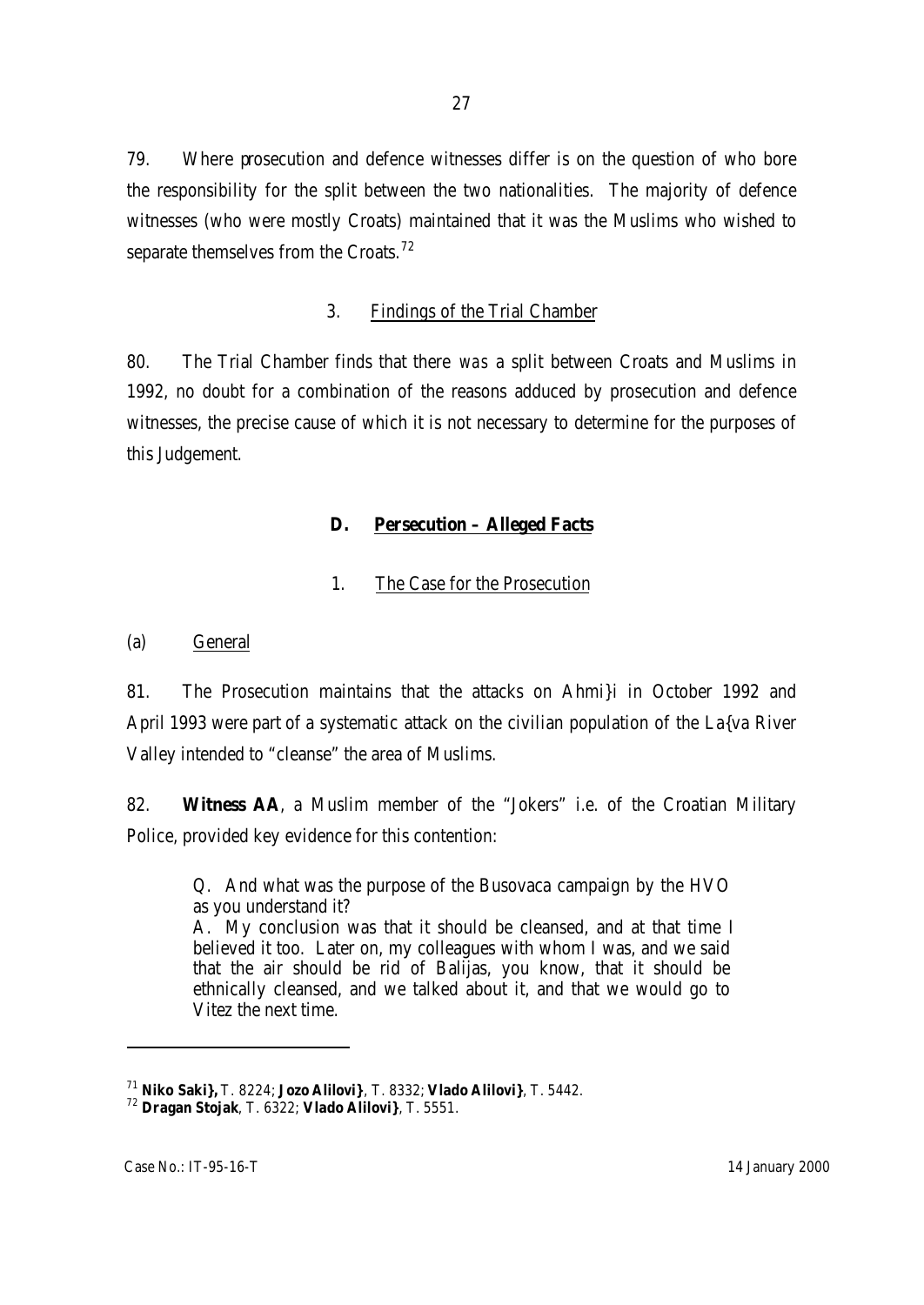79. Where prosecution and defence witnesses differ is on the question of who bore the responsibility for the split between the two nationalities. The majority of defence witnesses (who were mostly Croats) maintained that it was the Muslims who wished to separate themselves from the Croats.<sup>72</sup>

## 3. Findings of the Trial Chamber

80. The Trial Chamber finds that there *was* a split between Croats and Muslims in 1992, no doubt for a combination of the reasons adduced by prosecution and defence witnesses, the precise cause of which it is not necessary to determine for the purposes of this Judgement.

# **D. Persecution – Alleged Facts**

# 1. The Case for the Prosecution

## (a) General

81. The Prosecution maintains that the attacks on Ahmi}i in October 1992 and April 1993 were part of a systematic attack on the civilian population of the La{va River Valley intended to "cleanse" the area of Muslims.

82. **Witness AA**, a Muslim member of the "Jokers" i.e. of the Croatian Military Police, provided key evidence for this contention:

Q. And what was the purpose of the Busovaca campaign by the HVO as you understand it?

A. My conclusion was that it should be cleansed, and at that time I believed it too. Later on, my colleagues with whom I was, and we said that the air should be rid of Balijas, you know, that it should be ethnically cleansed, and we talked about it, and that we would go to Vitez the next time.

l

<sup>71</sup> **Niko Saki}***,* T. 8224; **Jozo Alilovi}**, T. 8332; **Vlado Alilovi}**, T. 5442.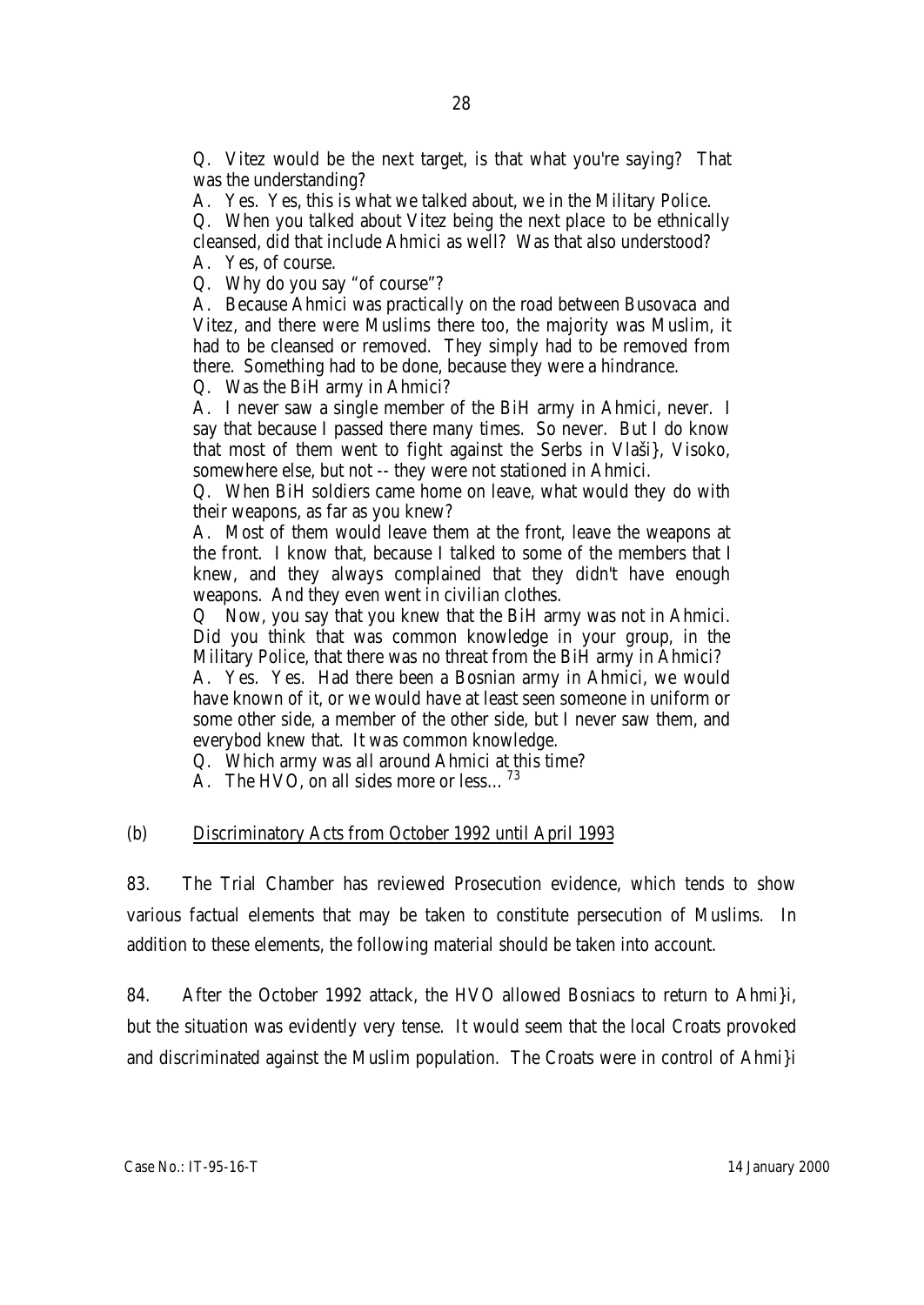Q. Vitez would be the next target, is that what you're saying? That was the understanding?

A. Yes. Yes, this is what we talked about, we in the Military Police.

Q. When you talked about Vitez being the next place to be ethnically cleansed, did that include Ahmici as well? Was that also understood?

A. Yes, of course.

Q. Why do you say "of course"?

A. Because Ahmici was practically on the road between Busovaca and Vitez, and there were Muslims there too, the majority was Muslim, it had to be cleansed or removed. They simply had to be removed from there. Something had to be done, because they were a hindrance.

Q. Was the BiH army in Ahmici?

A. I never saw a single member of the BiH army in Ahmici, never. I say that because I passed there many times. So never. But I do know that most of them went to fight against the Serbs in Vlaši}, Visoko, somewhere else, but not -- they were not stationed in Ahmici.

Q. When BiH soldiers came home on leave, what would they do with their weapons, as far as you knew?

A. Most of them would leave them at the front, leave the weapons at the front. I know that, because I talked to some of the members that I knew, and they always complained that they didn't have enough weapons. And they even went in civilian clothes.

Q Now, you say that you knew that the BiH army was not in Ahmici. Did you think that was common knowledge in your group, in the Military Police, that there was no threat from the BiH army in Ahmici? A. Yes. Yes. Had there been a Bosnian army in Ahmici, we would have known of it, or we would have at least seen someone in uniform or some other side, a member of the other side, but I never saw them, and

everybod knew that. It was common knowledge.

Q. Which army was all around Ahmici at this time?

A. The HVO, on all sides more or less...<sup>73</sup>

#### (b) Discriminatory Acts from October 1992 until April 1993

83. The Trial Chamber has reviewed Prosecution evidence, which tends to show various factual elements that may be taken to constitute persecution of Muslims. In addition to these elements, the following material should be taken into account.

84. After the October 1992 attack, the HVO allowed Bosniacs to return to Ahmi}i, but the situation was evidently very tense. It would seem that the local Croats provoked and discriminated against the Muslim population. The Croats were in control of Ahmi}i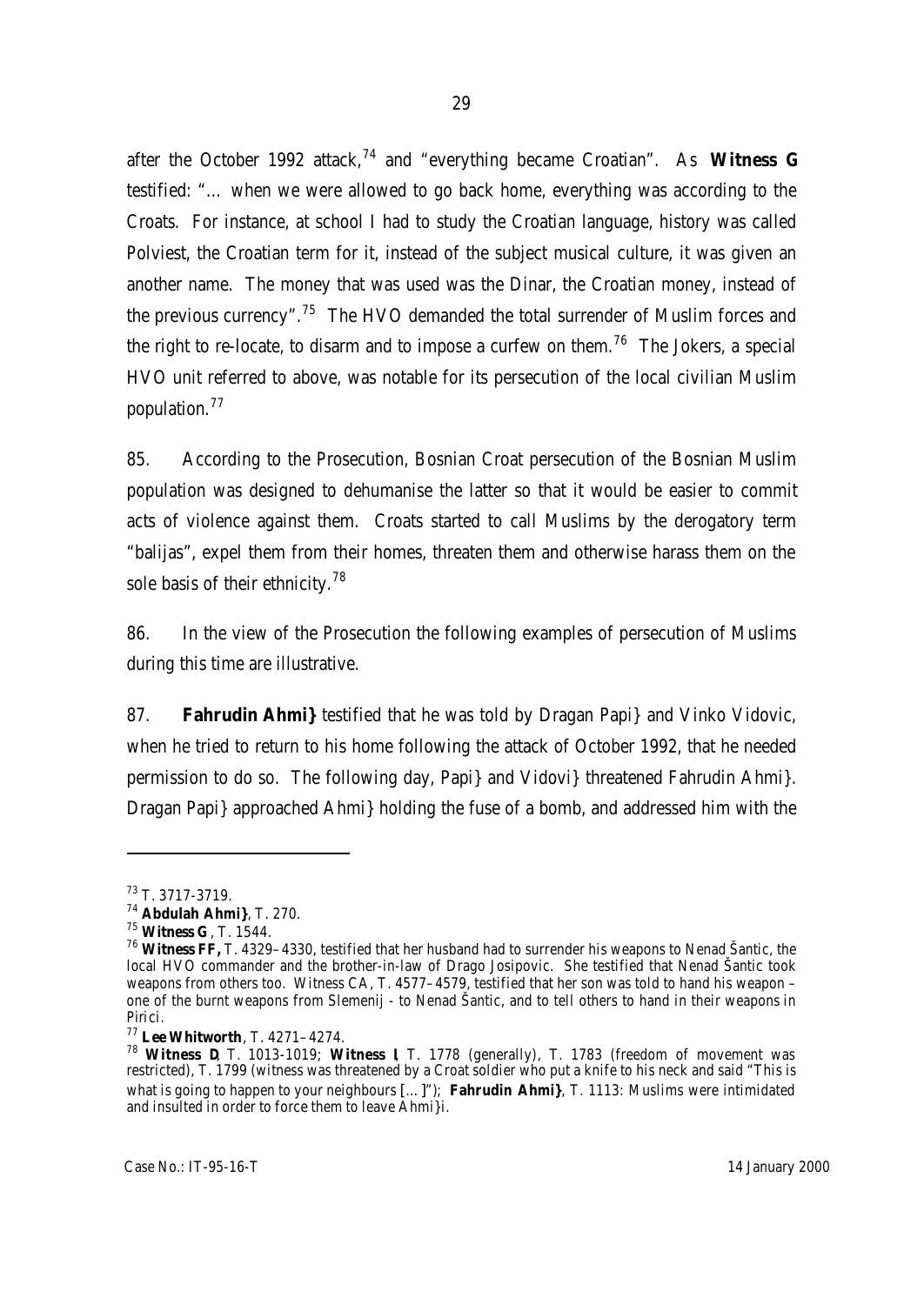after the October 1992 attack,<sup>74</sup> and "everything became Croatian". As Witness G testified: "… when we were allowed to go back home, everything was according to the Croats. For instance, at school I had to study the Croatian language, history was called Polviest, the Croatian term for it, instead of the subject musical culture, it was given an another name. The money that was used was the Dinar, the Croatian money, instead of the previous currency".<sup>75</sup> The HVO demanded the total surrender of Muslim forces and the right to re-locate, to disarm and to impose a curfew on them.<sup>76</sup> The Jokers, a special HVO unit referred to above, was notable for its persecution of the local civilian Muslim population.<sup>77</sup>

85. According to the Prosecution, Bosnian Croat persecution of the Bosnian Muslim population was designed to dehumanise the latter so that it would be easier to commit acts of violence against them. Croats started to call Muslims by the derogatory term "balijas", expel them from their homes, threaten them and otherwise harass them on the sole basis of their ethnicity.<sup>78</sup>

86. In the view of the Prosecution the following examples of persecution of Muslims during this time are illustrative.

87. **Fahrudin Ahmi}** testified that he was told by Dragan Papi} and Vinko Vidovic, when he tried to return to his home following the attack of October 1992, that he needed permission to do so. The following day, Papi} and Vidovi} threatened Fahrudin Ahmi}. Dragan Papi} approached Ahmi} holding the fuse of a bomb, and addressed him with the

l

<sup>73</sup> T. 3717-3719.

<sup>74</sup> **Abdulah Ahmi}**, T. 270.

<sup>75</sup> **Witness G**, T. 1544.

<sup>76</sup> **Witness FF,** T. 4329–4330, testified that her husband had to surrender his weapons to Nenad Šantic, the local HVO commander and the brother-in-law of Drago Josipovic. She testified that Nenad Šantic took weapons from others too. Witness CA, T. 4577–4579, testified that her son was told to hand his weapon – one of the burnt weapons from Slemenij - to Nenad Šantic, and to tell others to hand in their weapons in Pirici.

<sup>77</sup> **Lee Whitworth**, T. 4271–4274.

<sup>&</sup>lt;sup>78</sup> Witness D, T. 1013-1019; Witness I, T. 1778 (generally), T. 1783 (freedom of movement was restricted), T. 1799 (witness was threatened by a Croat soldier who put a knife to his neck and said "This is what is going to happen to your neighbours […]"); **Fahrudin Ahmi}**, T. 1113: Muslims were intimidated and insulted in order to force them to leave Ahmi}i.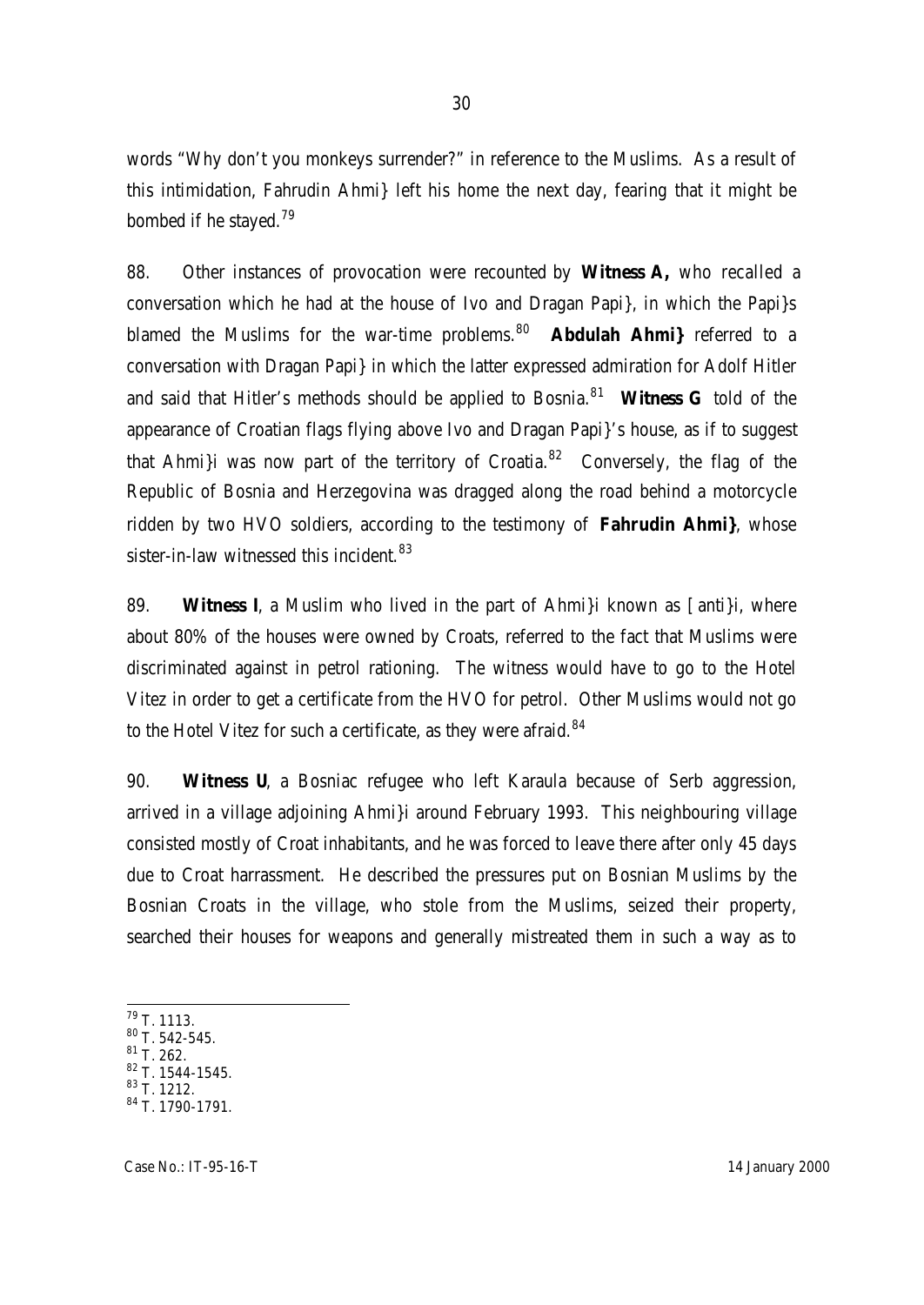words "Why don't you monkeys surrender?" in reference to the Muslims. As a result of this intimidation, Fahrudin Ahmi} left his home the next day, fearing that it might be bombed if he stayed.<sup>79</sup>

30

88. Other instances of provocation were recounted by **Witness A,** who recalled a conversation which he had at the house of Ivo and Dragan Papi}, in which the Papi}s blamed the Muslims for the war-time problems.<sup>80</sup> Abdulah Ahmi} referred to a conversation with Dragan Papi} in which the latter expressed admiration for Adolf Hitler and said that Hitler's methods should be applied to Bosnia.<sup>81</sup> Witness G told of the appearance of Croatian flags flying above Ivo and Dragan Papi}'s house, as if to suggest that Ahmi i was now part of the territory of Croatia.<sup>82</sup> Conversely, the flag of the Republic of Bosnia and Herzegovina was dragged along the road behind a motorcycle ridden by two HVO soldiers, according to the testimony of **Fahrudin Ahmi}**, whose sister-in-law witnessed this incident.<sup>83</sup>

89. **Witness I**, a Muslim who lived in the part of Ahmi}i known as [anti}i, where about 80% of the houses were owned by Croats, referred to the fact that Muslims were discriminated against in petrol rationing. The witness would have to go to the Hotel Vitez in order to get a certificate from the HVO for petrol. Other Muslims would not go to the Hotel Vitez for such a certificate, as they were afraid.<sup>84</sup>

90. **Witness U**, a Bosniac refugee who left Karaula because of Serb aggression, arrived in a village adjoining Ahmi}i around February 1993. This neighbouring village consisted mostly of Croat inhabitants, and he was forced to leave there after only 45 days due to Croat harrassment. He described the pressures put on Bosnian Muslims by the Bosnian Croats in the village, who stole from the Muslims, seized their property, searched their houses for weapons and generally mistreated them in such a way as to

<sup>82</sup> T. 1544-1545.  $83$  T. 1212.

 $\overline{a}$ <sup>79</sup> T. 1113.

<sup>80</sup> T. 542-545.

<sup>81</sup> T. 262.

<sup>84</sup> T. 1790-1791.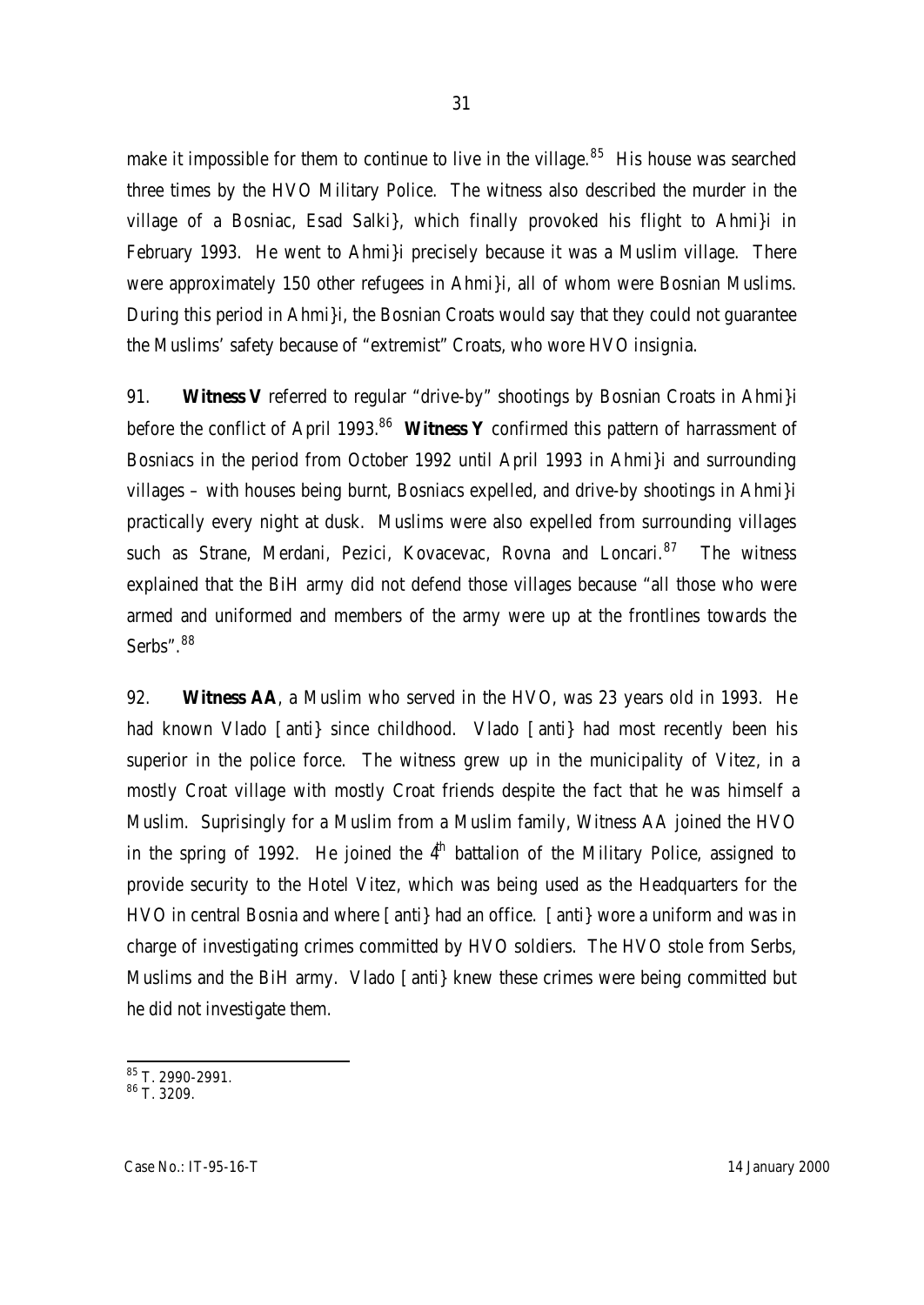make it impossible for them to continue to live in the village. $85$  His house was searched three times by the HVO Military Police. The witness also described the murder in the village of a Bosniac, Esad Salki}, which finally provoked his flight to Ahmi}i in February 1993. He went to Ahmi}i precisely because it was a Muslim village. There were approximately 150 other refugees in Ahmi}i, all of whom were Bosnian Muslims. During this period in Ahmi}i, the Bosnian Croats would say that they could not guarantee the Muslims' safety because of "extremist" Croats, who wore HVO insignia.

91. **Witness V** referred to regular "drive-by" shootings by Bosnian Croats in Ahmi}i before the conflict of April 1993.<sup>86</sup> Witness Y confirmed this pattern of harrassment of Bosniacs in the period from October 1992 until April 1993 in Ahmi}i and surrounding villages – with houses being burnt, Bosniacs expelled, and drive-by shootings in Ahmi}i practically every night at dusk. Muslims were also expelled from surrounding villages such as Strane, Merdani, Pezici, Kovacevac, Rovna and Loncari.<sup>87</sup> The witness explained that the BiH army did not defend those villages because "all those who were armed and uniformed and members of the army were up at the frontlines towards the Serbs".<sup>88</sup>

92. **Witness AA**, a Muslim who served in the HVO, was 23 years old in 1993. He had known Vlado [anti} since childhood. Vlado [anti} had most recently been his superior in the police force. The witness grew up in the municipality of Vitez, in a mostly Croat village with mostly Croat friends despite the fact that he was himself a Muslim. Suprisingly for a Muslim from a Muslim family, Witness AA joined the HVO in the spring of 1992. He joined the  $4<sup>h</sup>$  battalion of the Military Police, assigned to provide security to the Hotel Vitez, which was being used as the Headquarters for the HVO in central Bosnia and where [anti] had an office. [anti] wore a uniform and was in charge of investigating crimes committed by HVO soldiers. The HVO stole from Serbs, Muslims and the BiH army. Vlado [anti} knew these crimes were being committed but he did not investigate them.

 $\overline{a}$  $^{85}$  T. 2990-2991.

<sup>86</sup> T. 3209.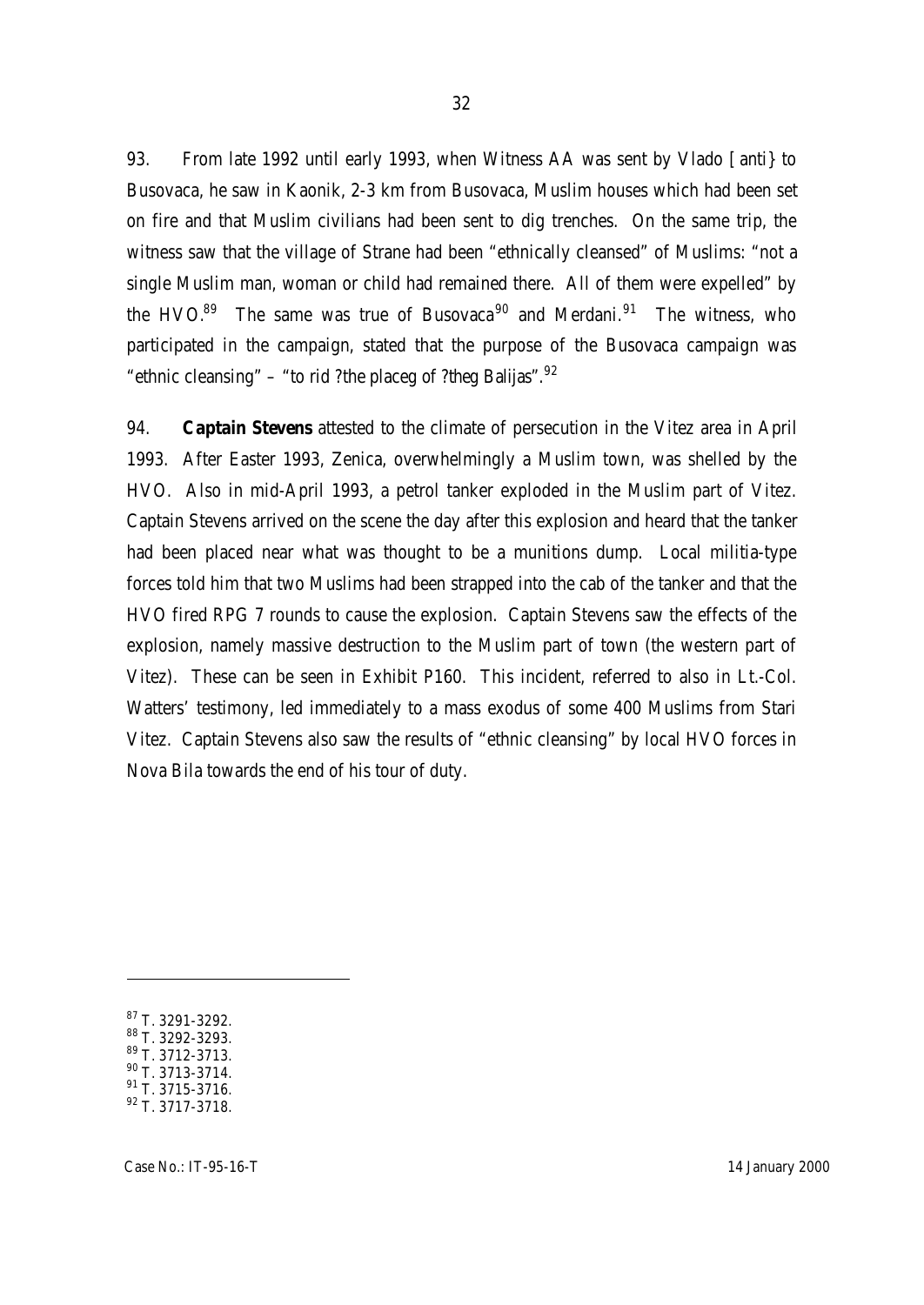93. From late 1992 until early 1993, when Witness AA was sent by Vlado [anti} to Busovaca, he saw in Kaonik, 2-3 km from Busovaca, Muslim houses which had been set on fire and that Muslim civilians had been sent to dig trenches. On the same trip, the witness saw that the village of Strane had been "ethnically cleansed" of Muslims: "not a single Muslim man, woman or child had remained there. All of them were expelled" by the HVO.<sup>89</sup> The same was true of Busovaca<sup>90</sup> and Merdani.<sup>91</sup> The witness, who participated in the campaign, stated that the purpose of the Busovaca campaign was "ethnic cleansing" – "to rid?the placeg of?theg Balijas". $92$ 

32

94. **Captain Stevens** attested to the climate of persecution in the Vitez area in April 1993. After Easter 1993, Zenica, overwhelmingly a Muslim town, was shelled by the HVO. Also in mid-April 1993, a petrol tanker exploded in the Muslim part of Vitez. Captain Stevens arrived on the scene the day after this explosion and heard that the tanker had been placed near what was thought to be a munitions dump. Local militia-type forces told him that two Muslims had been strapped into the cab of the tanker and that the HVO fired RPG 7 rounds to cause the explosion. Captain Stevens saw the effects of the explosion, namely massive destruction to the Muslim part of town (the western part of Vitez). These can be seen in Exhibit P160. This incident, referred to also in Lt.-Col. Watters' testimony, led immediately to a mass exodus of some 400 Muslims from Stari Vitez. Captain Stevens also saw the results of "ethnic cleansing" by local HVO forces in Nova Bila towards the end of his tour of duty.

<sup>87</sup> T. 3291-3292.

<sup>88</sup> T. 3292-3293.

<sup>89</sup> T. 3712-3713. <sup>90</sup> T. 3713-3714.

 $91$  T. 3715-3716.

 $92$  T. 3717-3718.

Case No.: IT-95-16-T 14 January 2000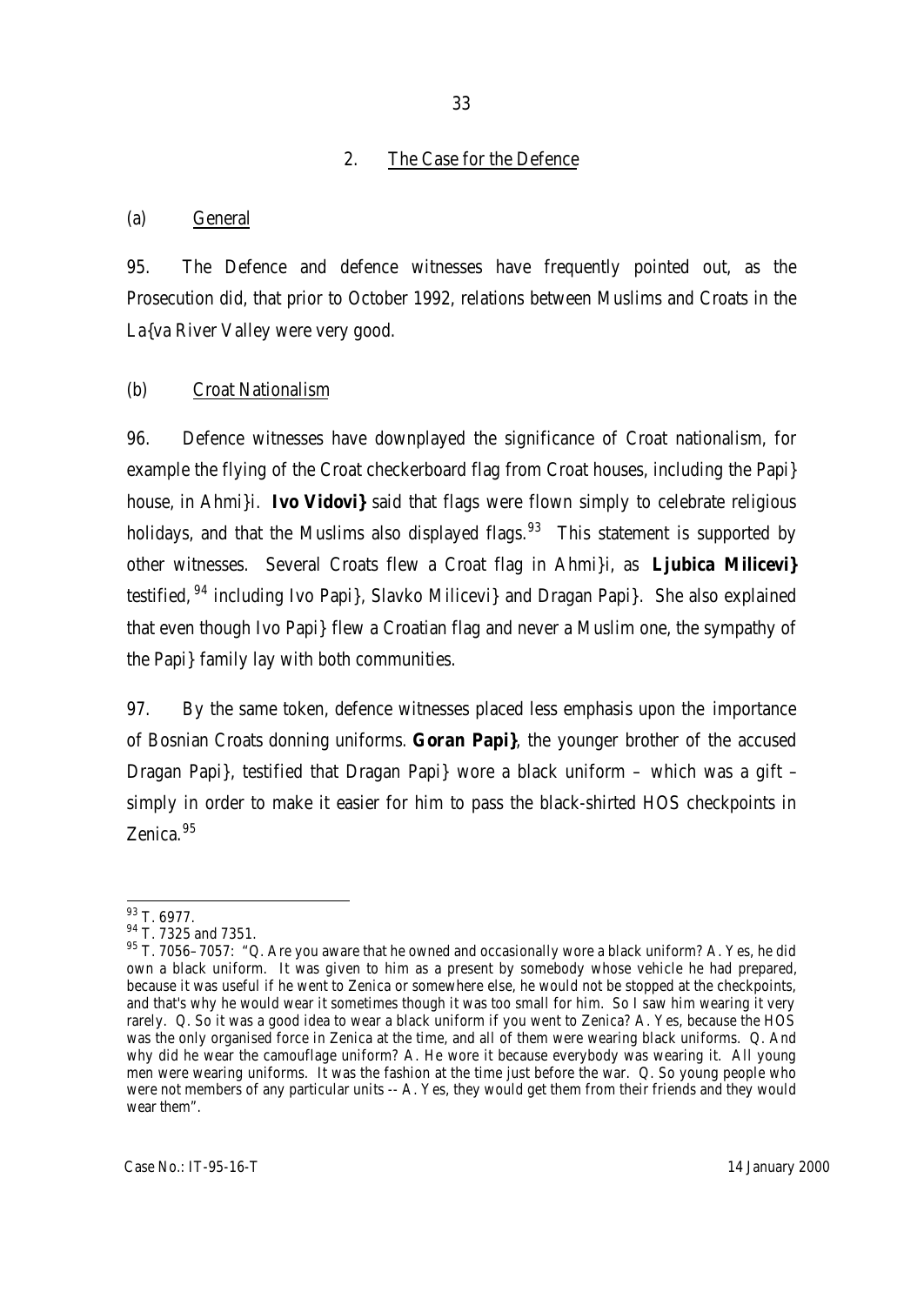# 2. The Case for the Defence

### (a) General

95. The Defence and defence witnesses have frequently pointed out, as the Prosecution did, that prior to October 1992, relations between Muslims and Croats in the La{va River Valley were very good.

# (b) Croat Nationalism

96. Defence witnesses have downplayed the significance of Croat nationalism, for example the flying of the Croat checkerboard flag from Croat houses, including the Papi} house, in Ahmi}i. **Ivo Vidovi}** said that flags were flown simply to celebrate religious holidays, and that the Muslims also displayed flags.<sup>93</sup> This statement is supported by other witnesses. Several Croats flew a Croat flag in Ahmi}i, as **Ljubica Milicevi}** testified, <sup>94</sup> including Ivo Papi}, Slavko Milicevi} and Dragan Papi}. She also explained that even though Ivo Papi} flew a Croatian flag and never a Muslim one, the sympathy of the Papi} family lay with both communities.

97. By the same token, defence witnesses placed less emphasis upon the importance of Bosnian Croats donning uniforms*.* **Goran Papi}**, the younger brother of the accused Dragan Papi}, testified that Dragan Papi} wore a black uniform – which was a gift – simply in order to make it easier for him to pass the black-shirted HOS checkpoints in Zenica.<sup>95</sup>

 $\overline{a}$  $^{93}$  T. 6977.

<sup>94</sup> T. 7325 and 7351.

 $95$  T. 7056–7057: "Q. Are you aware that he owned and occasionally wore a black uniform? A. Yes, he did own a black uniform. It was given to him as a present by somebody whose vehicle he had prepared, because it was useful if he went to Zenica or somewhere else, he would not be stopped at the checkpoints, and that's why he would wear it sometimes though it was too small for him. So I saw him wearing it very rarely. Q. So it was a good idea to wear a black uniform if you went to Zenica? A. Yes, because the HOS was the only organised force in Zenica at the time, and all of them were wearing black uniforms. Q. And why did he wear the camouflage uniform? A. He wore it because everybody was wearing it. All young men were wearing uniforms. It was the fashion at the time just before the war. Q. So young people who were not members of any particular units -- A. Yes, they would get them from their friends and they would wear them".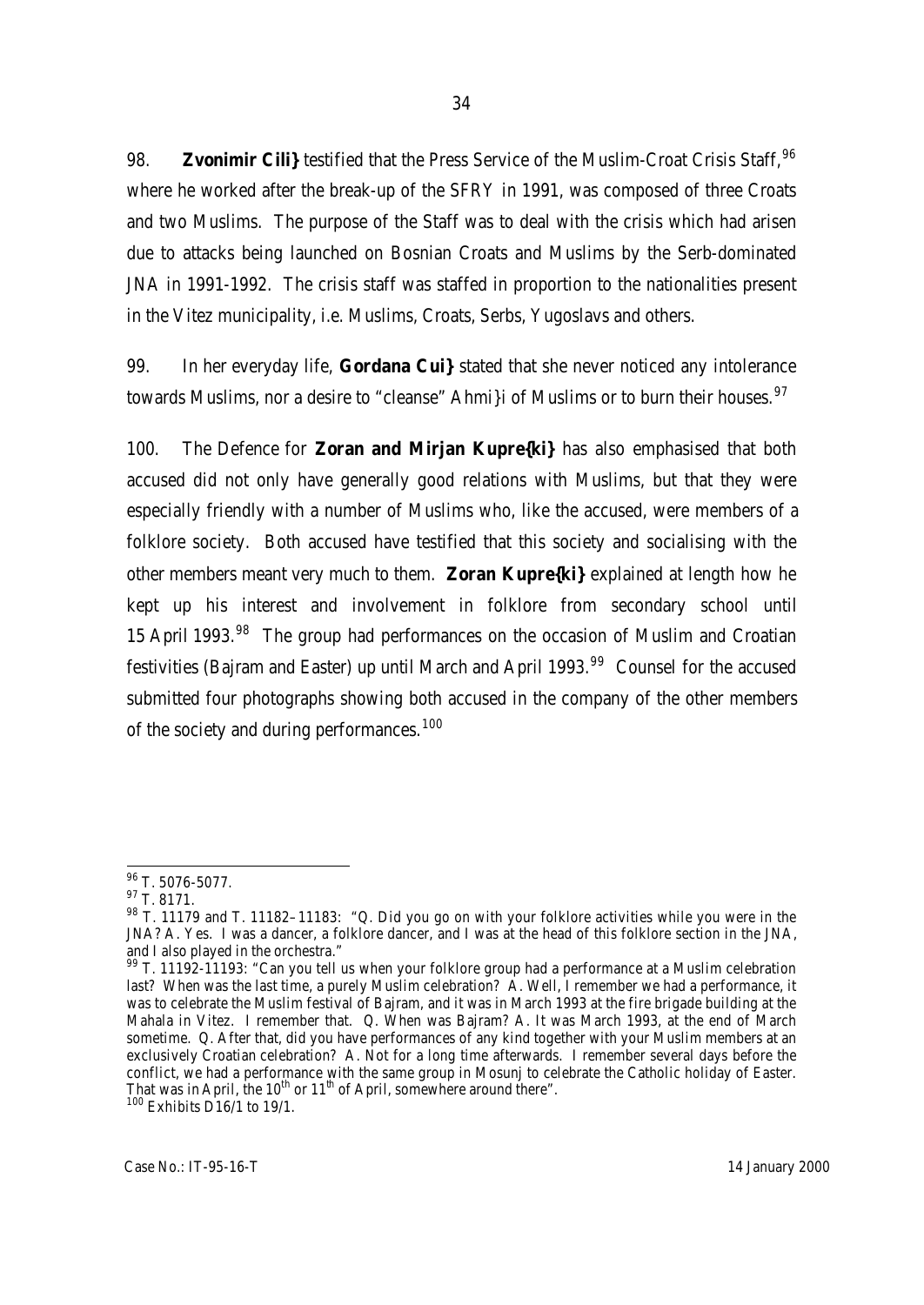98. **Zvonimir Cili**} testified that the Press Service of the Muslim-Croat Crisis Staff, <sup>96</sup> where he worked after the break-up of the SFRY in 1991, was composed of three Croats and two Muslims. The purpose of the Staff was to deal with the crisis which had arisen due to attacks being launched on Bosnian Croats and Muslims by the Serb-dominated JNA in 1991-1992. The crisis staff was staffed in proportion to the nationalities present in the Vitez municipality, i.e. Muslims, Croats, Serbs, Yugoslavs and others.

99. In her everyday life, **Gordana Cui}** stated that she never noticed any intolerance towards Muslims, nor a desire to "cleanse" Ahmi}i of Muslims or to burn their houses.<sup>97</sup>

100. The Defence for **Zoran and Mirjan Kupre{ki}** has also emphasised that both accused did not only have generally good relations with Muslims, but that they were especially friendly with a number of Muslims who, like the accused, were members of a folklore society. Both accused have testified that this society and socialising with the other members meant very much to them. **Zoran Kupre{ki}** explained at length how he kept up his interest and involvement in folklore from secondary school until 15 April 1993.<sup>98</sup> The group had performances on the occasion of Muslim and Croatian festivities (Bajram and Easter) up until March and April 1993.<sup>99</sup> Counsel for the accused submitted four photographs showing both accused in the company of the other members of the society and during performances.<sup>100</sup>

 $\overline{a}$ 

<sup>&</sup>lt;sup>96</sup> T. 5076-5077.

<sup>97</sup> T. 8171.

<sup>98</sup> T. 11179 and T. 11182-11183: "Q. Did you go on with your folklore activities while you were in the JNA? A. Yes. I was a dancer, a folklore dancer, and I was at the head of this folklore section in the JNA, and I also played in the orchestra."

 $99$  T. 11192-11193: "Can you tell us when your folklore group had a performance at a Muslim celebration last? When was the last time, a purely Muslim celebration? A. Well, I remember we had a performance, it was to celebrate the Muslim festival of Bajram, and it was in March 1993 at the fire brigade building at the Mahala in Vitez. I remember that. Q. When was Bajram? A. It was March 1993, at the end of March sometime. Q. After that, did you have performances of any kind together with your Muslim members at an exclusively Croatian celebration? A. Not for a long time afterwards. I remember several days before the conflict, we had a performance with the same group in Mosunj to celebrate the Catholic holiday of Easter. That was in April, the 10<sup>th</sup> or 11<sup>th</sup> of April, somewhere around there". <sup>100</sup> Exhibits D16/1 to 19/1.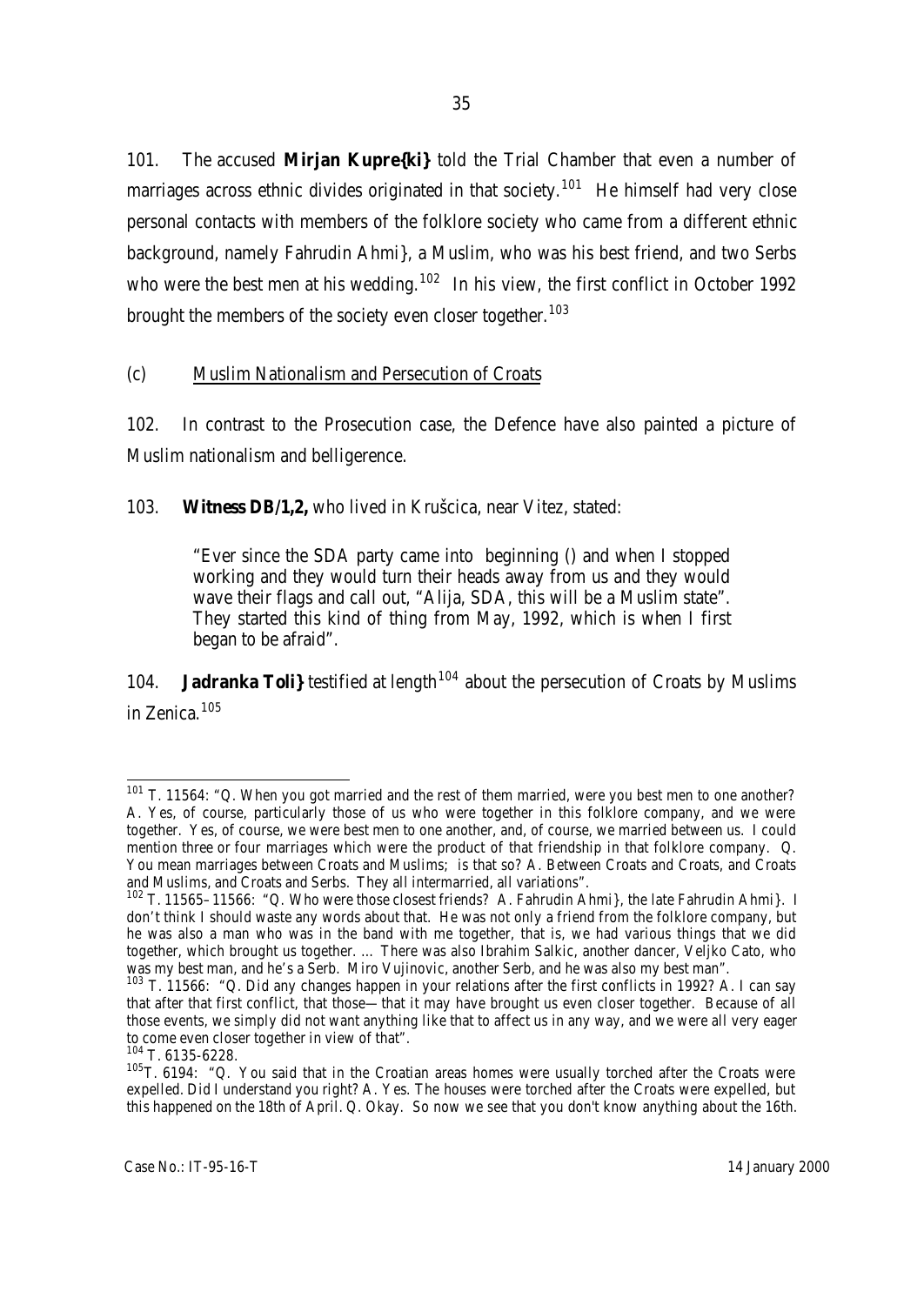101. The accused **Mirjan Kupre{ki}** told the Trial Chamber that even a number of marriages across ethnic divides originated in that society.<sup>101</sup> He himself had very close personal contacts with members of the folklore society who came from a different ethnic background, namely Fahrudin Ahmi}, a Muslim, who was his best friend, and two Serbs who were the best men at his wedding.<sup>102</sup> In his view, the first conflict in October 1992 brought the members of the society even closer together.<sup>103</sup>

# (c) Muslim Nationalism and Persecution of Croats

102. In contrast to the Prosecution case, the Defence have also painted a picture of Muslim nationalism and belligerence.

103. **Witness DB/1,2,** who lived in Krušcica, near Vitez, stated:

"Ever since the SDA party came into beginning () and when I stopped working and they would turn their heads away from us and they would wave their flags and call out, "Alija, SDA, this will be a Muslim state". They started this kind of thing from May, 1992, which is when I first began to be afraid".

104. **Jadranka Toli}** *testified at length*<sup>104</sup> about the persecution of Croats by Muslims in Zenica.<sup>105</sup>

 $\overline{\phantom{a}}$  $101$  T. 11564: "Q. When you got married and the rest of them married, were you best men to one another? A. Yes, of course, particularly those of us who were together in this folklore company, and we were together. Yes, of course, we were best men to one another, and, of course, we married between us. I could mention three or four marriages which were the product of that friendship in that folklore company. Q. You mean marriages between Croats and Muslims; is that so? A. Between Croats and Croats, and Croats and Muslims, and Croats and Serbs. They all intermarried, all variations".

<sup>&</sup>lt;sup>102</sup> T. 11565–11566: "Q. Who were those closest friends? A. Fahrudin Ahmi}, the late Fahrudin Ahmi}. I don't think I should waste any words about that. He was not only a friend from the folklore company, but he was also a man who was in the band with me together, that is, we had various things that we did together, which brought us together. … There was also Ibrahim Salkic, another dancer, Veljko Cato, who was my best man, and he's a Serb. Miro Vujinovic, another Serb, and he was also my best man".

<sup>&</sup>lt;sup>103</sup> T. 11566: "Q. Did any changes happen in your relations after the first conflicts in 1992? A. I can say that after that first conflict, that those—that it may have brought us even closer together. Because of all those events, we simply did not want anything like that to affect us in any way, and we were all very eager to come even closer together in view of that".

<sup>104</sup> T. 6135-6228.

<sup>&</sup>lt;sup>105</sup>T. 6194: "Q. You said that in the Croatian areas homes were usually torched after the Croats were expelled. Did I understand you right? A. Yes. The houses were torched after the Croats were expelled, but this happened on the 18th of April. Q. Okay. So now we see that you don't know anything about the 16th.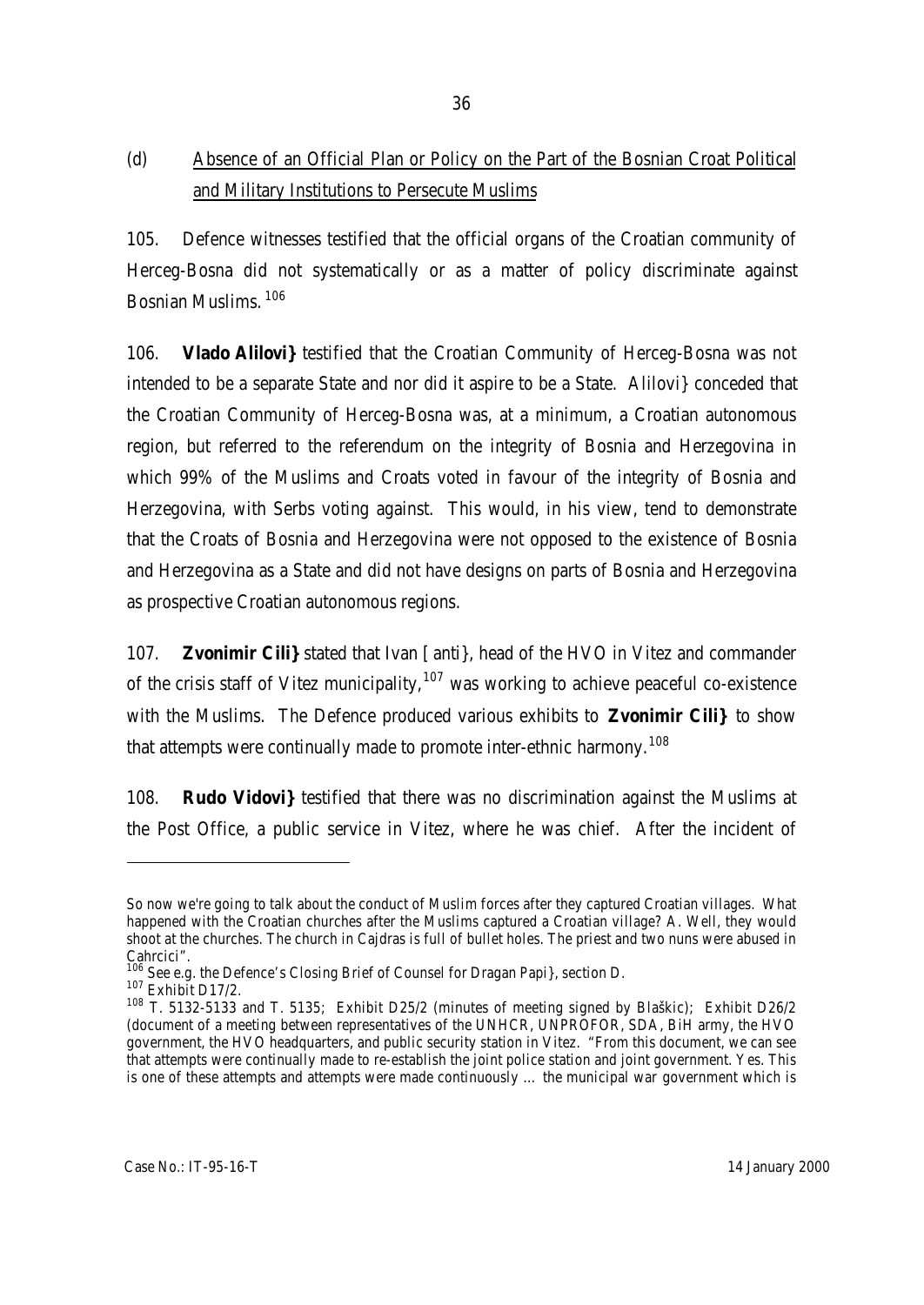105. Defence witnesses testified that the official organs of the Croatian community of Herceg-Bosna did not systematically or as a matter of policy discriminate against Bosnian Muslims. <sup>106</sup>

106. **Vlado Alilovi}** testified that the Croatian Community of Herceg-Bosna was not intended to be a separate State and nor did it aspire to be a State. Alilovi} conceded that the Croatian Community of Herceg-Bosna was, at a minimum, a Croatian autonomous region, but referred to the referendum on the integrity of Bosnia and Herzegovina in which 99% of the Muslims and Croats voted in favour of the integrity of Bosnia and Herzegovina, with Serbs voting against. This would, in his view, tend to demonstrate that the Croats of Bosnia and Herzegovina were not opposed to the existence of Bosnia and Herzegovina as a State and did not have designs on parts of Bosnia and Herzegovina as prospective Croatian autonomous regions.

107. **Zvonimir Cili}** stated that Ivan [anti}, head of the HVO in Vitez and commander of the crisis staff of Vitez municipality, $107$  was working to achieve peaceful co-existence with the Muslims. The Defence produced various exhibits to **Zvonimir Cili}** to show that attempts were continually made to promote inter-ethnic harmony.<sup>108</sup>

108. **Rudo Vidovi}** testified that there was no discrimination against the Muslims at the Post Office, a public service in Vitez, where he was chief. After the incident of

So now we're going to talk about the conduct of Muslim forces after they captured Croatian villages. What happened with the Croatian churches after the Muslims captured a Croatian village? A. Well, they would shoot at the churches. The church in Cajdras is full of bullet holes. The priest and two nuns were abused in Cahrcici".

 $106$  See e.g. the Defence's Closing Brief of Counsel for Dragan Papi}, section D.

<sup>107</sup> Exhibit D17/2.

<sup>108</sup> T. 5132-5133 and T. 5135; Exhibit D25/2 (minutes of meeting signed by Blaškic); Exhibit D26/2 (document of a meeting between representatives of the UNHCR, UNPROFOR, SDA, BiH army, the HVO government, the HVO headquarters, and public security station in Vitez. "From this document, we can see that attempts were continually made to re-establish the joint police station and joint government. Yes. This is one of these attempts and attempts were made continuously … the municipal war government which is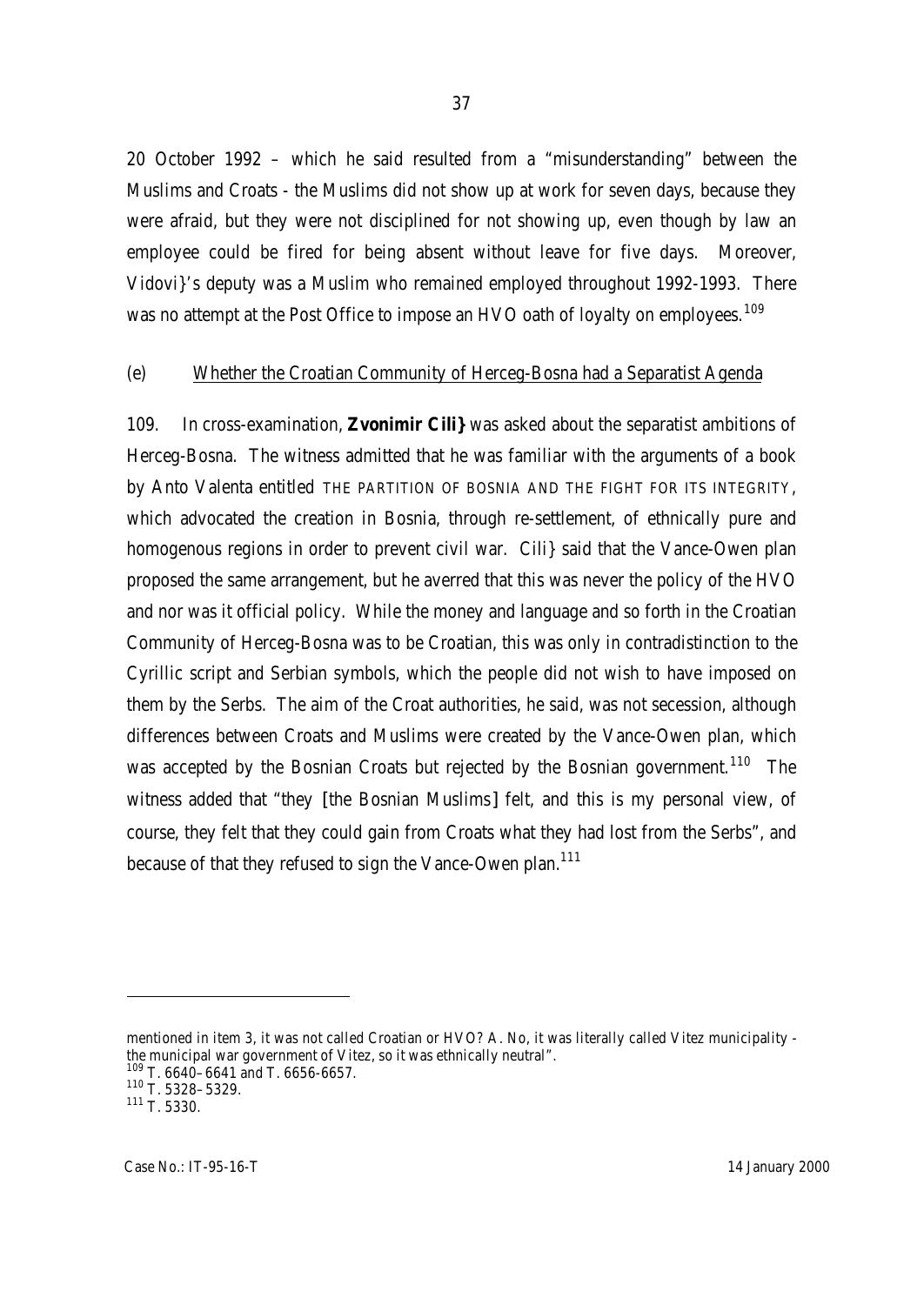20 October 1992 – which he said resulted from a "misunderstanding" between the Muslims and Croats - the Muslims did not show up at work for seven days, because they were afraid, but they were not disciplined for not showing up, even though by law an employee could be fired for being absent without leave for five days. Moreover, Vidovi}'s deputy was a Muslim who remained employed throughout 1992-1993. There was no attempt at the Post Office to impose an HVO oath of loyalty on employees.<sup>109</sup>

# (e) Whether the Croatian Community of Herceg-Bosna had a Separatist Agenda

109. In cross-examination, **Zvonimir Cili}** was asked about the separatist ambitions of Herceg-Bosna. The witness admitted that he was familiar with the arguments of a book by Anto Valenta entitled THE PARTITION OF BOSNIA AND THE FIGHT FOR ITS INTEGRITY, which advocated the creation in Bosnia, through re-settlement, of ethnically pure and homogenous regions in order to prevent civil war. Cili} said that the Vance-Owen plan proposed the same arrangement, but he averred that this was never the policy of the HVO and nor was it official policy. While the money and language and so forth in the Croatian Community of Herceg-Bosna was to be Croatian, this was only in contradistinction to the Cyrillic script and Serbian symbols, which the people did not wish to have imposed on them by the Serbs. The aim of the Croat authorities, he said, was not secession, although differences between Croats and Muslims were created by the Vance-Owen plan, which was accepted by the Bosnian Croats but rejected by the Bosnian government.<sup>110</sup> The witness added that "they [the Bosnian Muslims] felt, and this is my personal view, of course, they felt that they could gain from Croats what they had lost from the Serbs", and because of that they refused to sign the Vance-Owen plan.<sup>111</sup>

mentioned in item 3, it was not called Croatian or HVO? A. No, it was literally called Vitez municipality the municipal war government of Vitez, so it was ethnically neutral".

 $^{109}$  T. 6640–6641 and T. 6656-6657.

<sup>110</sup> T. 5328–5329.

<sup>111</sup> T. 5330.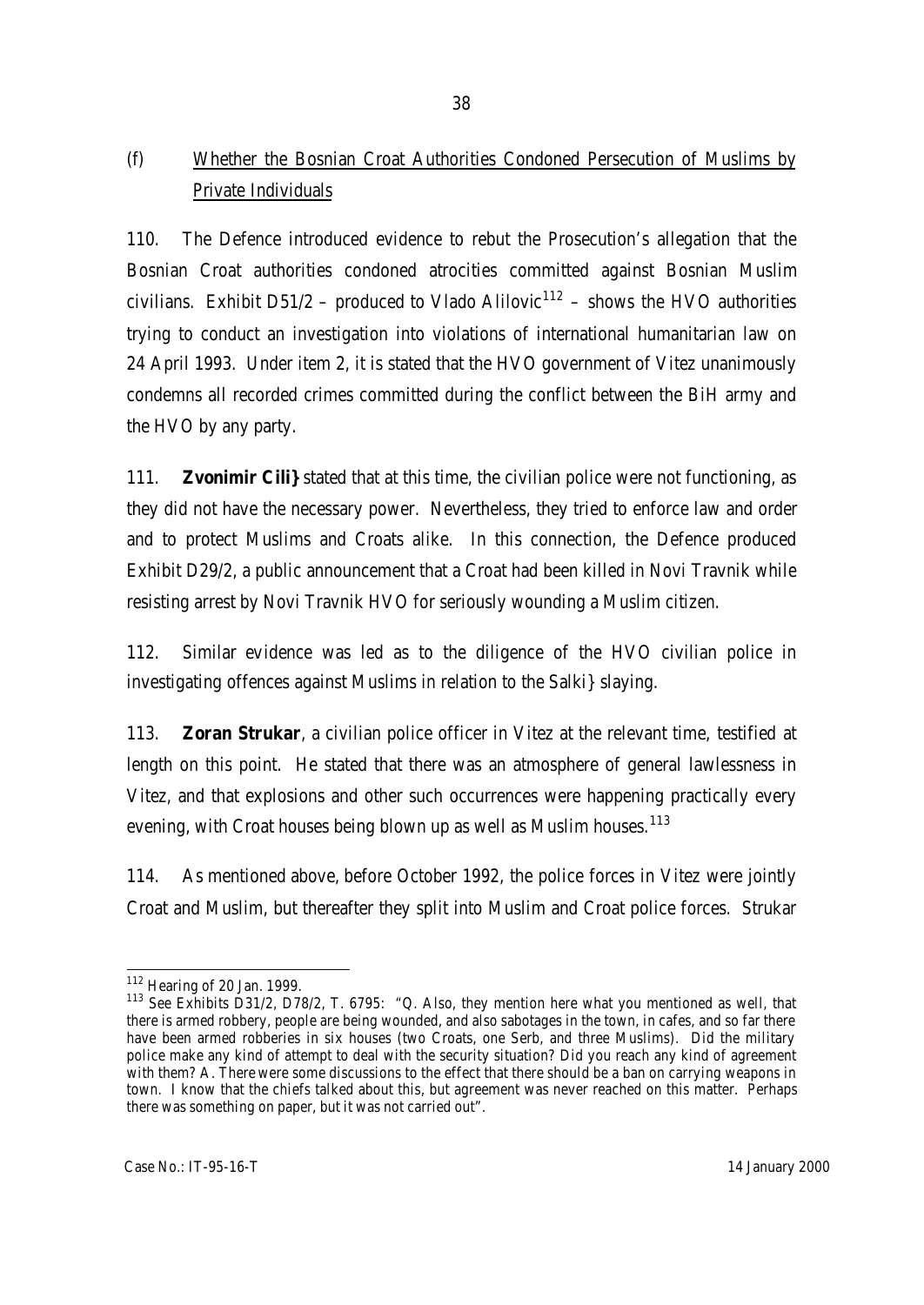110. The Defence introduced evidence to rebut the Prosecution's allegation that the Bosnian Croat authorities condoned atrocities committed against Bosnian Muslim civilians. Exhibit D51/2 – produced to Vlado Alilovic $^{112}$  – shows the HVO authorities trying to conduct an investigation into violations of international humanitarian law on 24 April 1993. Under item 2, it is stated that the HVO government of Vitez unanimously condemns all recorded crimes committed during the conflict between the BiH army and the HVO by any party.

111. **Zvonimir Cili}** stated that at this time, the civilian police were not functioning, as they did not have the necessary power. Nevertheless, they tried to enforce law and order and to protect Muslims and Croats alike. In this connection, the Defence produced Exhibit D29/2, a public announcement that a Croat had been killed in Novi Travnik while resisting arrest by Novi Travnik HVO for seriously wounding a Muslim citizen.

112. Similar evidence was led as to the diligence of the HVO civilian police in investigating offences against Muslims in relation to the Salki} slaying.

113. **Zoran Strukar**, a civilian police officer in Vitez at the relevant time, testified at length on this point. He stated that there was an atmosphere of general lawlessness in Vitez, and that explosions and other such occurrences were happening practically every evening, with Croat houses being blown up as well as Muslim houses.<sup>113</sup>

114. As mentioned above, before October 1992, the police forces in Vitez were jointly Croat and Muslim, but thereafter they split into Muslim and Croat police forces. Strukar

 $\overline{a}$  $112$  Hearing of 20 Jan. 1999.

<sup>&</sup>lt;sup>113</sup> See Exhibits D31/2, D78/2, T. 6795: "Q. Also, they mention here what you mentioned as well, that there is armed robbery, people are being wounded, and also sabotages in the town, in cafes, and so far there have been armed robberies in six houses (two Croats, one Serb, and three Muslims). Did the military police make any kind of attempt to deal with the security situation? Did you reach any kind of agreement with them? A. There were some discussions to the effect that there should be a ban on carrying weapons in town. I know that the chiefs talked about this, but agreement was never reached on this matter. Perhaps there was something on paper, but it was not carried out".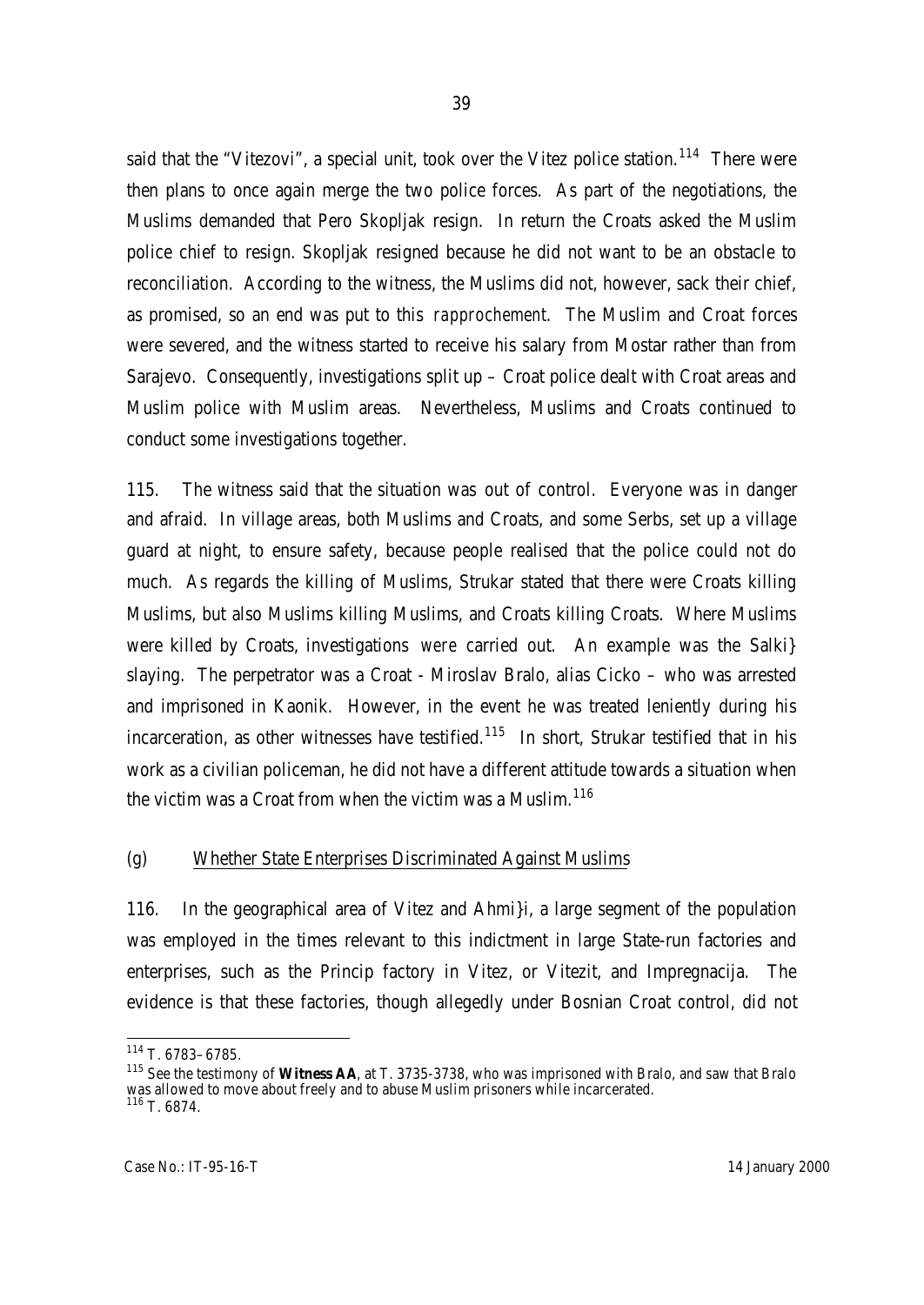said that the "Vitezovi", a special unit, took over the Vitez police station.<sup>114</sup> There were then plans to once again merge the two police forces. As part of the negotiations, the Muslims demanded that Pero Skopljak resign. In return the Croats asked the Muslim police chief to resign. Skopljak resigned because he did not want to be an obstacle to reconciliation. According to the witness, the Muslims did not, however, sack their chief, as promised, so an end was put to this *rapprochement*. The Muslim and Croat forces were severed, and the witness started to receive his salary from Mostar rather than from Sarajevo. Consequently, investigations split up – Croat police dealt with Croat areas and Muslim police with Muslim areas. Nevertheless, Muslims and Croats continued to conduct some investigations together.

115. The witness said that the situation was out of control. Everyone was in danger and afraid. In village areas, both Muslims and Croats, and some Serbs, set up a village guard at night, to ensure safety, because people realised that the police could not do much. As regards the killing of Muslims, Strukar stated that there were Croats killing Muslims, but also Muslims killing Muslims, and Croats killing Croats. Where Muslims were killed by Croats, investigations *were* carried out. An example was the Salki} slaying. The perpetrator was a Croat - Miroslav Bralo, alias Cicko – who was arrested and imprisoned in Kaonik. However, in the event he was treated leniently during his incarceration, as other witnesses have testified.<sup>115</sup> In short, Strukar testified that in his work as a civilian policeman, he did not have a different attitude towards a situation when the victim was a Croat from when the victim was a Muslim.<sup>116</sup>

### (g) Whether State Enterprises Discriminated Against Muslims

116. In the geographical area of Vitez and Ahmi}i, a large segment of the population was employed in the times relevant to this indictment in large State-run factories and enterprises, such as the Princip factory in Vitez, or Vitezit, and Impregnacija. The evidence is that these factories, though allegedly under Bosnian Croat control, did not

 $\overline{a}$ <sup>114</sup> T. 6783–6785.

<sup>115</sup> See the testimony of **Witness AA**, at T. 3735-3738, who was imprisoned with Bralo, and saw that Bralo was allowed to move about freely and to abuse Muslim prisoners while incarcerated.  $116$  T. 6874.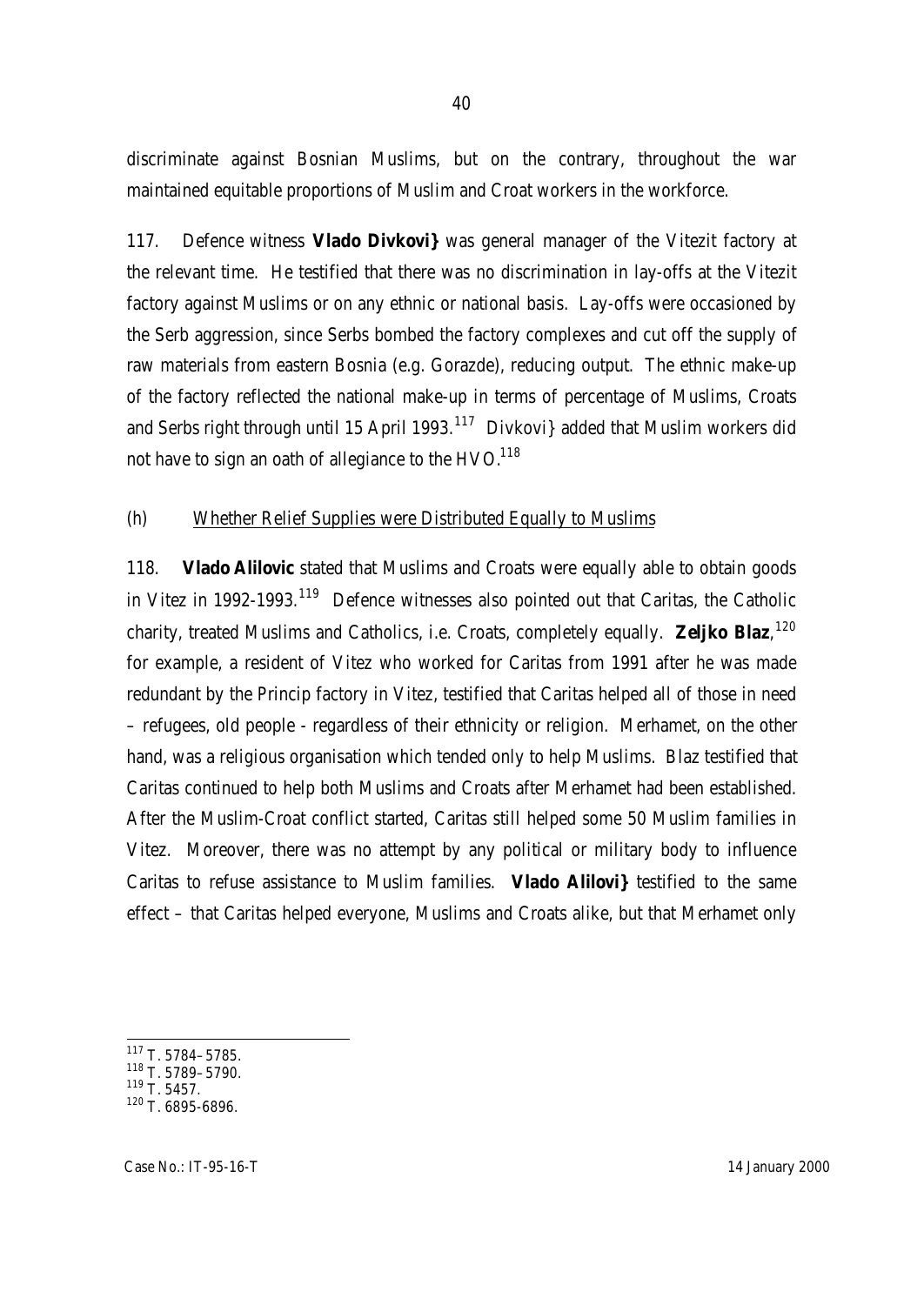discriminate against Bosnian Muslims, but on the contrary, throughout the war maintained equitable proportions of Muslim and Croat workers in the workforce.

40

117. Defence witness **Vlado Divkovi}** was general manager of the Vitezit factory at the relevant time. He testified that there was no discrimination in lay-offs at the Vitezit factory against Muslims or on any ethnic or national basis. Lay-offs were occasioned by the Serb aggression, since Serbs bombed the factory complexes and cut off the supply of raw materials from eastern Bosnia (e.g. Gorazde), reducing output. The ethnic make-up of the factory reflected the national make-up in terms of percentage of Muslims, Croats and Serbs right through until 15 April 1993.<sup>117</sup> Divkovi} added that Muslim workers did not have to sign an oath of allegiance to the  $HVO.<sup>118</sup>$ 

# (h) Whether Relief Supplies were Distributed Equally to Muslims

118. **Vlado Alilovic** stated that Muslims and Croats were equally able to obtain goods in Vitez in 1992-1993.<sup>119</sup> Defence witnesses also pointed out that Caritas, the Catholic charity, treated Muslims and Catholics, i.e. Croats, completely equally. **Zeljko Blaz**, 120 for example, a resident of Vitez who worked for Caritas from 1991 after he was made redundant by the Princip factory in Vitez, testified that Caritas helped all of those in need – refugees, old people - regardless of their ethnicity or religion. Merhamet, on the other hand, was a religious organisation which tended only to help Muslims. Blaz testified that Caritas continued to help both Muslims and Croats after Merhamet had been established. After the Muslim-Croat conflict started, Caritas still helped some 50 Muslim families in Vitez. Moreover, there was no attempt by any political or military body to influence Caritas to refuse assistance to Muslim families. **Vlado Alilovi}** testified to the same effect – that Caritas helped everyone, Muslims and Croats alike, but that Merhamet only

 $\overline{a}$ <sup>117</sup> T. 5784–5785.

 $118$  T. 5789-5790.

 $119$  T. 5457.

<sup>120</sup> T. 6895-6896.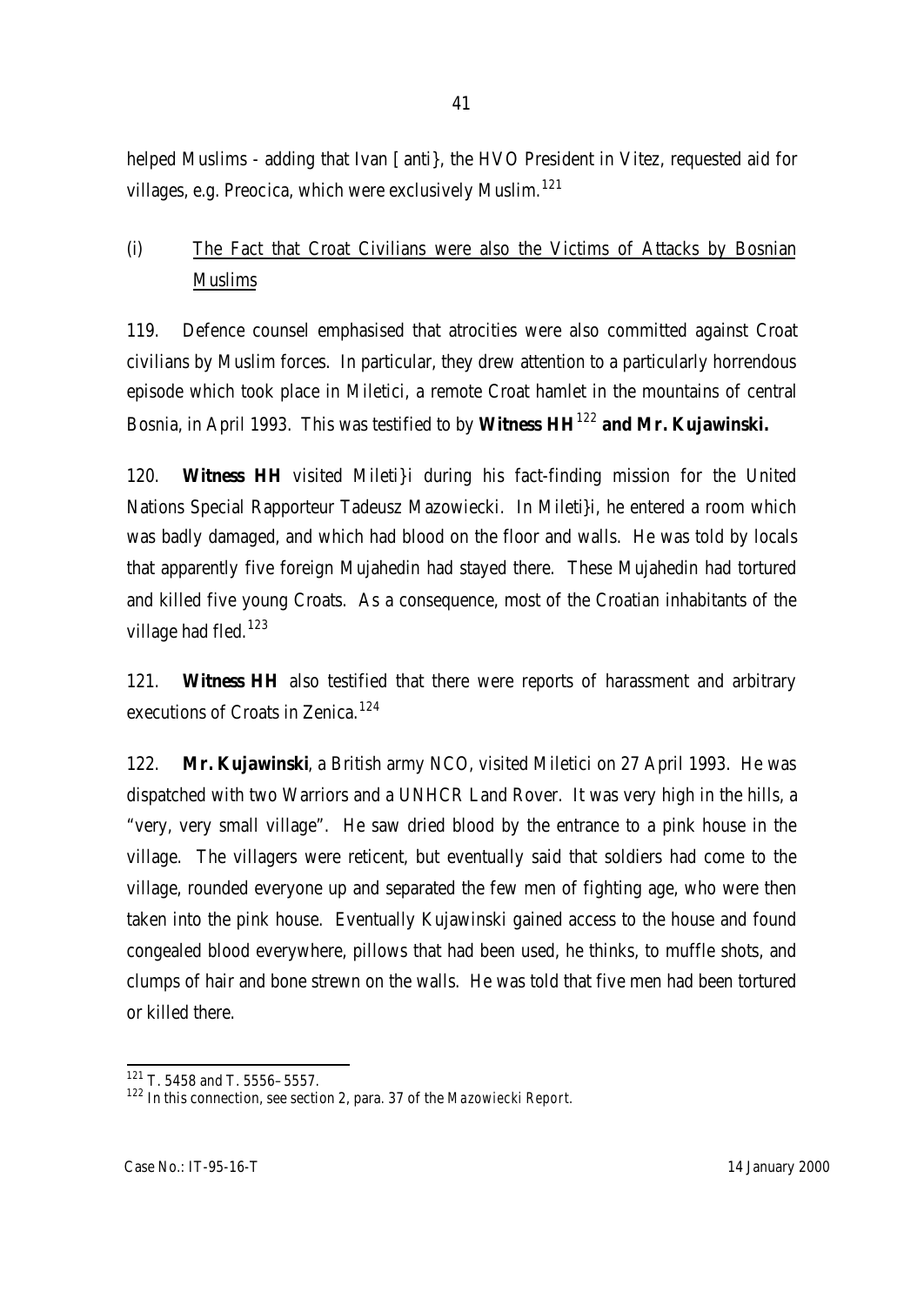helped Muslims - adding that Ivan [anti}, the HVO President in Vitez, requested aid for villages, e.g. Preocica, which were exclusively Muslim.<sup>121</sup>

# (i) The Fact that Croat Civilians were also the Victims of Attacks by Bosnian Muslims

119. Defence counsel emphasised that atrocities were also committed against Croat civilians by Muslim forces. In particular, they drew attention to a particularly horrendous episode which took place in Miletici, a remote Croat hamlet in the mountains of central Bosnia, in April 1993. This was testified to by **Witness HH**<sup>122</sup> **and Mr. Kujawinski.**

120. **Witness HH** visited Mileti}i during his fact-finding mission for the United Nations Special Rapporteur Tadeusz Mazowiecki. In Mileti}i, he entered a room which was badly damaged, and which had blood on the floor and walls. He was told by locals that apparently five foreign Mujahedin had stayed there. These Mujahedin had tortured and killed five young Croats. As a consequence, most of the Croatian inhabitants of the village had fled.<sup>123</sup>

121. **Witness HH** also testified that there were reports of harassment and arbitrary executions of Croats in Zenica.<sup>124</sup>

122. **Mr. Kujawinski**, a British army NCO, visited Miletici on 27 April 1993. He was dispatched with two Warriors and a UNHCR Land Rover. It was very high in the hills, a "very, very small village". He saw dried blood by the entrance to a pink house in the village. The villagers were reticent, but eventually said that soldiers had come to the village, rounded everyone up and separated the few men of fighting age, who were then taken into the pink house. Eventually Kujawinski gained access to the house and found congealed blood everywhere, pillows that had been used, he thinks, to muffle shots, and clumps of hair and bone strewn on the walls. He was told that five men had been tortured or killed there.

 $\overline{a}$ <sup>121</sup> T. 5458 and T. 5556-5557.

<sup>122</sup> In this connection, see section 2, para. 37 of the *Mazowiecki Report.*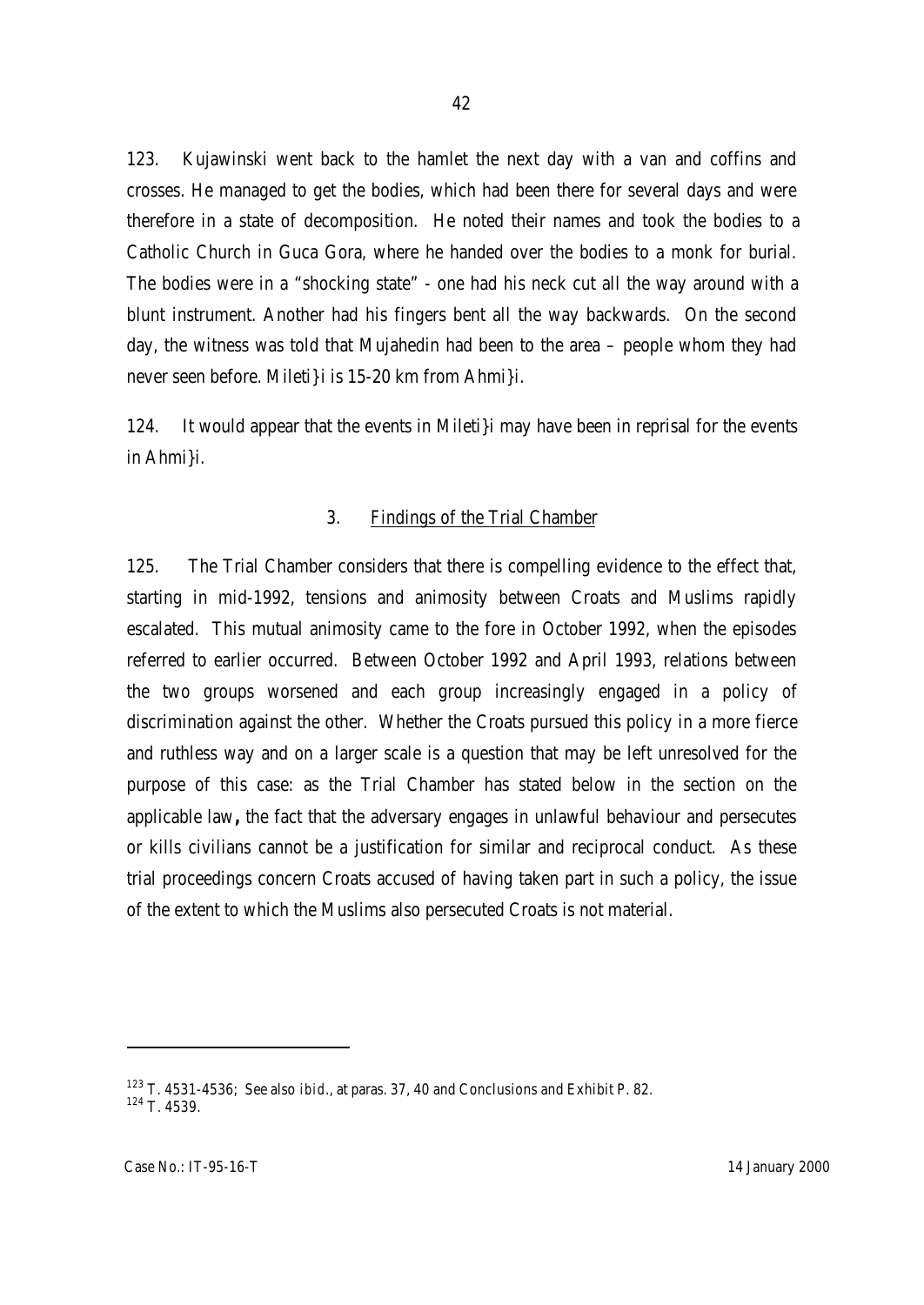123. Kujawinski went back to the hamlet the next day with a van and coffins and crosses. He managed to get the bodies, which had been there for several days and were therefore in a state of decomposition. He noted their names and took the bodies to a Catholic Church in Guca Gora, where he handed over the bodies to a monk for burial. The bodies were in a "shocking state" - one had his neck cut all the way around with a blunt instrument. Another had his fingers bent all the way backwards. On the second day, the witness was told that Mujahedin had been to the area – people whom they had never seen before. Mileti}i is 15-20 km from Ahmi}i.

124. It would appear that the events in Mileti}i may have been in reprisal for the events in Ahmi}i.

### 3. Findings of the Trial Chamber

125. The Trial Chamber considers that there is compelling evidence to the effect that, starting in mid-1992, tensions and animosity between Croats and Muslims rapidly escalated. This mutual animosity came to the fore in October 1992, when the episodes referred to earlier occurred. Between October 1992 and April 1993, relations between the two groups worsened and each group increasingly engaged in a policy of discrimination against the other. Whether the Croats pursued this policy in a more fierce and ruthless way and on a larger scale is a question that may be left unresolved for the purpose of this case: as the Trial Chamber has stated below in the section on the applicable law**,** the fact that the adversary engages in unlawful behaviour and persecutes or kills civilians cannot be a justification for similar and reciprocal conduct. As these trial proceedings concern Croats accused of having taken part in such a policy, the issue of the extent to which the Muslims also persecuted Croats is not material.

<sup>123</sup> T. 4531-4536; See also *ibid*., at paras. 37, 40 and Conclusions and Exhibit P. 82. <sup>124</sup> T. 4539.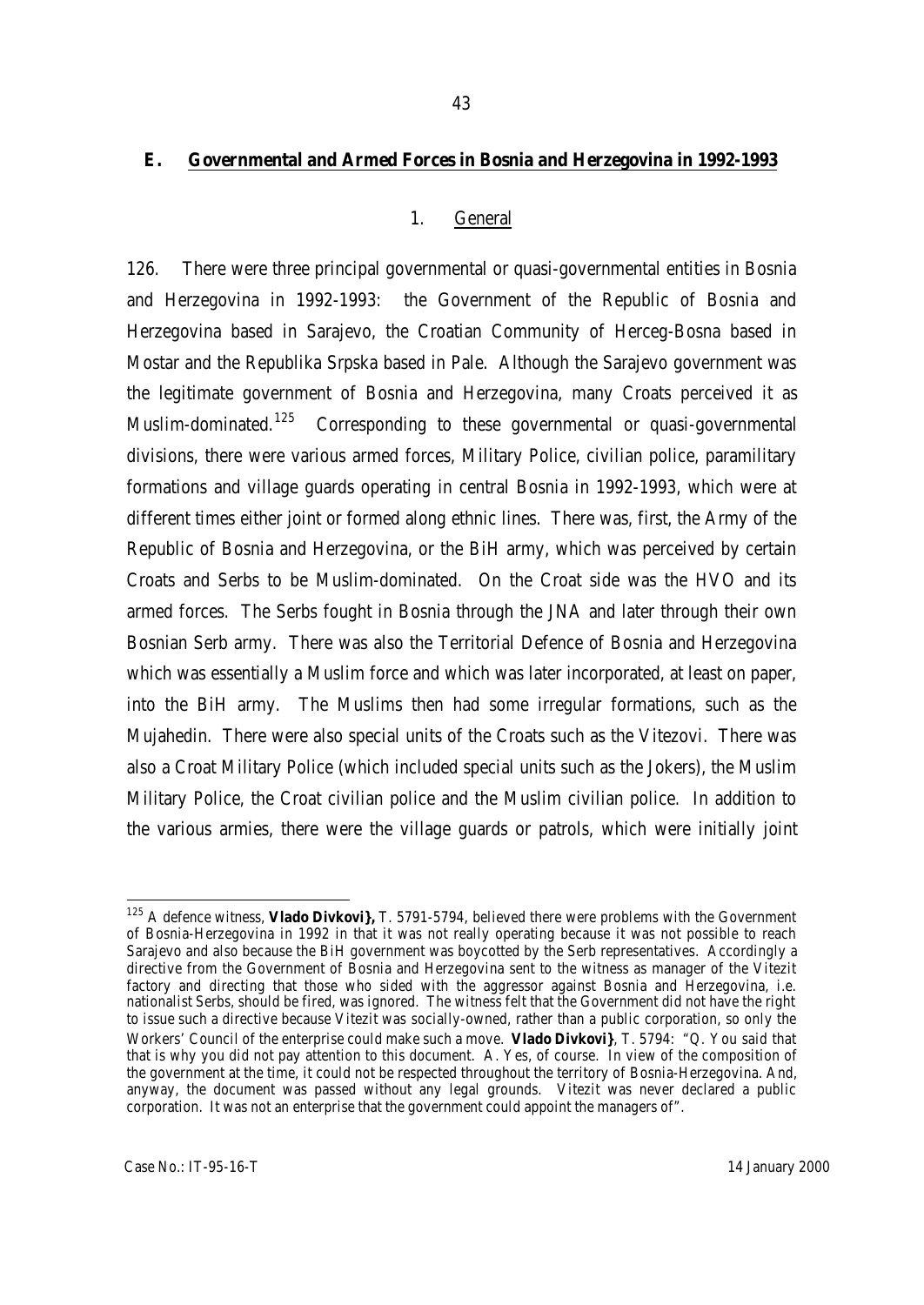### **E. Governmental and Armed Forces in Bosnia and Herzegovina in 1992-1993**

### 1. General

126. There were three principal governmental or quasi-governmental entities in Bosnia and Herzegovina in 1992-1993: the Government of the Republic of Bosnia and Herzegovina based in Sarajevo, the Croatian Community of Herceg-Bosna based in Mostar and the Republika Srpska based in Pale. Although the Sarajevo government was the legitimate government of Bosnia and Herzegovina, many Croats perceived it as Muslim-dominated.<sup>125</sup> Corresponding to these governmental or quasi-governmental divisions, there were various armed forces, Military Police, civilian police, paramilitary formations and village guards operating in central Bosnia in 1992-1993, which were at different times either joint or formed along ethnic lines. There was, first, the Army of the Republic of Bosnia and Herzegovina, or the BiH army, which was perceived by certain Croats and Serbs to be Muslim-dominated. On the Croat side was the HVO and its armed forces. The Serbs fought in Bosnia through the JNA and later through their own Bosnian Serb army. There was also the Territorial Defence of Bosnia and Herzegovina which was essentially a Muslim force and which was later incorporated, at least on paper, into the BiH army. The Muslims then had some irregular formations, such as the Mujahedin. There were also special units of the Croats such as the Vitezovi. There was also a Croat Military Police (which included special units such as the Jokers), the Muslim Military Police, the Croat civilian police and the Muslim civilian police. In addition to the various armies, there were the village guards or patrols, which were initially joint

<sup>125</sup> A defence witness, **Vlado Divkovi},** T. 5791-5794, believed there were problems with the Government of Bosnia-Herzegovina in 1992 in that it was not really operating because it was not possible to reach Sarajevo and also because the BiH government was boycotted by the Serb representatives. Accordingly a directive from the Government of Bosnia and Herzegovina sent to the witness as manager of the Vitezit factory and directing that those who sided with the aggressor against Bosnia and Herzegovina, i.e. nationalist Serbs, should be fired, was ignored. The witness felt that the Government did not have the right to issue such a directive because Vitezit was socially-owned, rather than a public corporation, so only the Workers' Council of the enterprise could make such a move. **Vlado Divkovi}**, T. 5794: "Q. You said that that is why you did not pay attention to this document. A. Yes, of course. In view of the composition of the government at the time, it could not be respected throughout the territory of Bosnia-Herzegovina. And, anyway, the document was passed without any legal grounds. Vitezit was never declared a public corporation. It was not an enterprise that the government could appoint the managers of".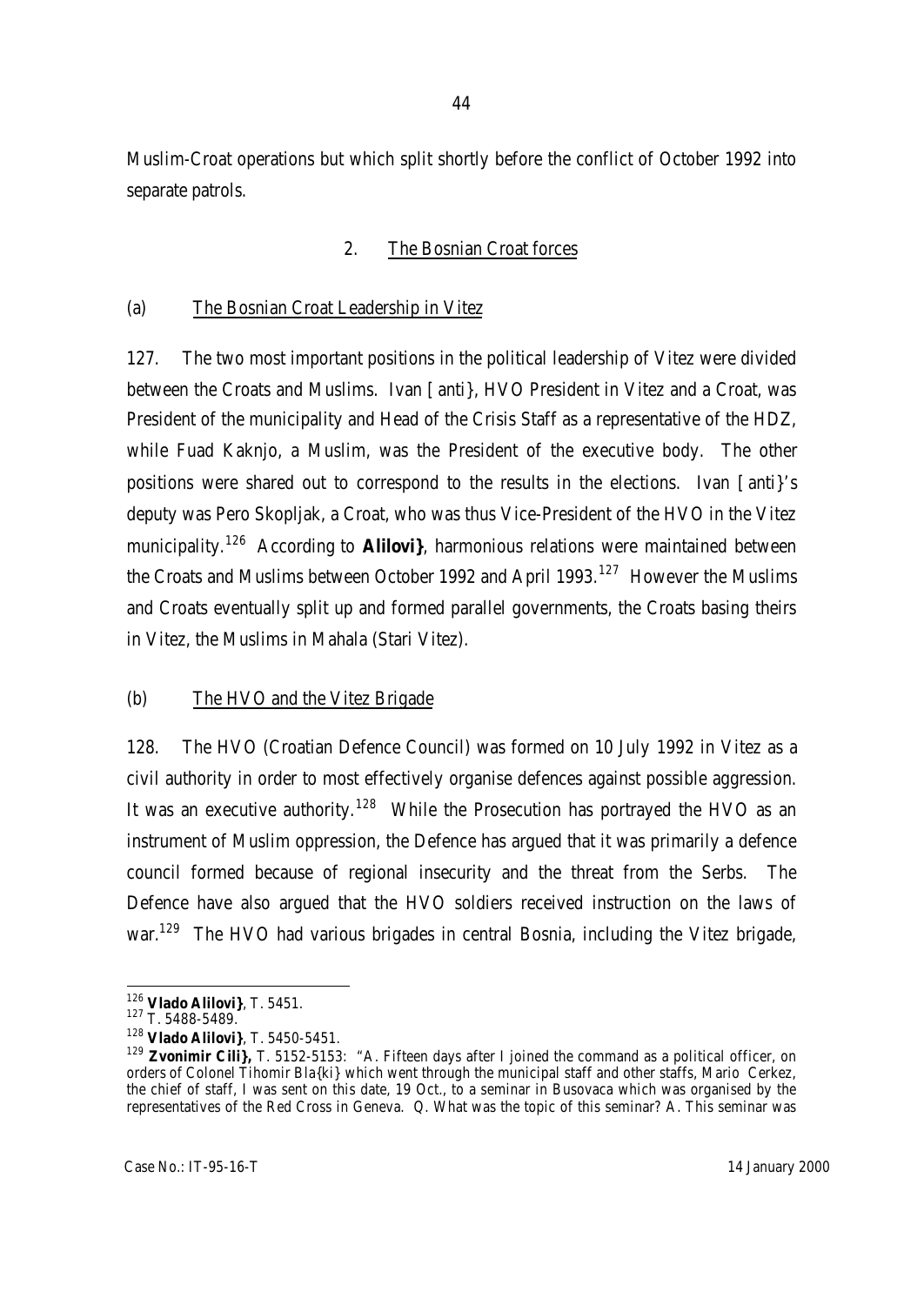Muslim-Croat operations but which split shortly before the conflict of October 1992 into separate patrols.

# 2. The Bosnian Croat forces

# (a) The Bosnian Croat Leadership in Vitez

127. The two most important positions in the political leadership of Vitez were divided between the Croats and Muslims. Ivan [anti], HVO President in Vitez and a Croat, was President of the municipality and Head of the Crisis Staff as a representative of the HDZ, while Fuad Kaknjo, a Muslim, was the President of the executive body. The other positions were shared out to correspond to the results in the elections. Ivan [anti}'s deputy was Pero Skopljak, a Croat, who was thus Vice-President of the HVO in the Vitez municipality.<sup>126</sup> According to **Alilovi}**, harmonious relations were maintained between the Croats and Muslims between October 1992 and April 1993.<sup>127</sup> However the Muslims and Croats eventually split up and formed parallel governments, the Croats basing theirs in Vitez, the Muslims in Mahala (Stari Vitez).

# (b) The HVO and the Vitez Brigade

128. The HVO (Croatian Defence Council) was formed on 10 July 1992 in Vitez as a civil authority in order to most effectively organise defences against possible aggression. It was an executive authority.<sup>128</sup> While the Prosecution has portrayed the HVO as an instrument of Muslim oppression, the Defence has argued that it was primarily a defence council formed because of regional insecurity and the threat from the Serbs. The Defence have also argued that the HVO soldiers received instruction on the laws of war.<sup>129</sup> The HVO had various brigades in central Bosnia, including the Vitez brigade,

l <sup>126</sup> **Vlado Alilovi}**, T. 5451.

<sup>&</sup>lt;sup>127</sup> T. 5488-5489.

<sup>128</sup> **Vlado Alilovi}**, T. 5450-5451.

<sup>&</sup>lt;sup>129</sup> Zvonimir Cili}, T. 5152-5153: "A. Fifteen days after I joined the command as a political officer, on orders of Colonel Tihomir Bla{ki} which went through the municipal staff and other staffs, Mario Cerkez, the chief of staff, I was sent on this date, 19 Oct., to a seminar in Busovaca which was organised by the representatives of the Red Cross in Geneva. Q. What was the topic of this seminar? A. This seminar was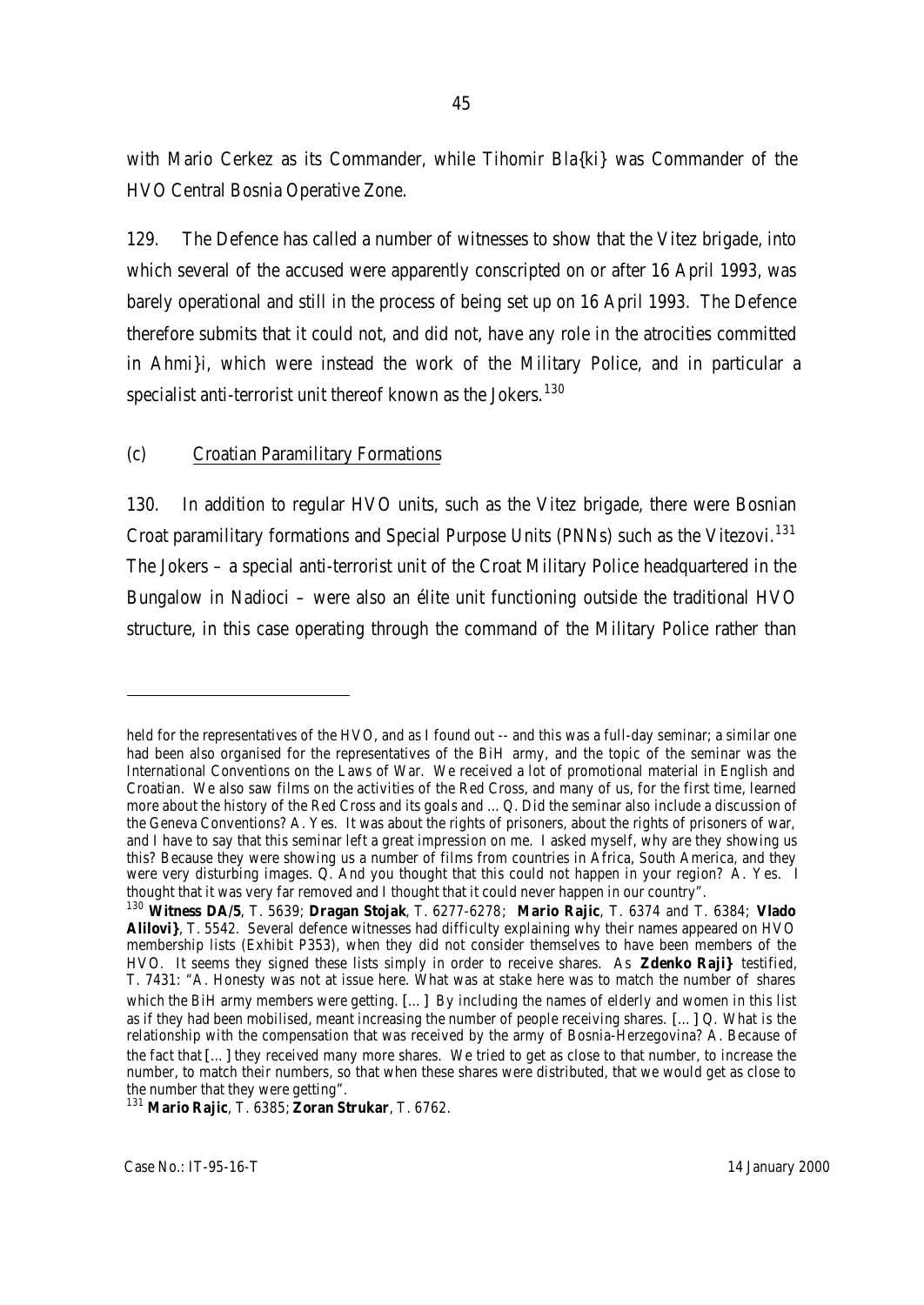with Mario Cerkez as its Commander, while Tihomir Bla{ki} was Commander of the HVO Central Bosnia Operative Zone.

129. The Defence has called a number of witnesses to show that the Vitez brigade, into which several of the accused were apparently conscripted on or after 16 April 1993, was barely operational and still in the process of being set up on 16 April 1993. The Defence therefore submits that it could not, and did not, have any role in the atrocities committed in Ahmi}i, which were instead the work of the Military Police, and in particular a specialist anti-terrorist unit thereof known as the Jokers.<sup>130</sup>

# (c) Croatian Paramilitary Formations

130. In addition to regular HVO units, such as the Vitez brigade, there were Bosnian Croat paramilitary formations and Special Purpose Units (PNNs) such as the Vitezovi.<sup>131</sup> The Jokers – a special anti-terrorist unit of the Croat Military Police headquartered in the Bungalow in Nadioci – were also an élite unit functioning outside the traditional HVO structure, in this case operating through the command of the Military Police rather than

j

held for the representatives of the HVO, and as I found out -- and this was a full-day seminar; a similar one had been also organised for the representatives of the BiH army, and the topic of the seminar was the International Conventions on the Laws of War. We received a lot of promotional material in English and Croatian. We also saw films on the activities of the Red Cross, and many of us, for the first time, learned more about the history of the Red Cross and its goals and ... Q. Did the seminar also include a discussion of the Geneva Conventions? A. Yes. It was about the rights of prisoners, about the rights of prisoners of war, and I have to say that this seminar left a great impression on me. I asked myself, why are they showing us this? Because they were showing us a number of films from countries in Africa, South America, and they were very disturbing images. Q. And you thought that this could not happen in your region? A. Yes. I thought that it was very far removed and I thought that it could never happen in our country".

<sup>130</sup> **Witness DA/5**, T. 5639; **Dragan Stojak**, T. 6277-6278; **Mario Rajic**, T. 6374 and T. 6384; **Vlado Alilovi}**, T. 5542. Several defence witnesses had difficulty explaining why their names appeared on HVO membership lists (Exhibit P353), when they did not consider themselves to have been members of the HVO. It seems they signed these lists simply in order to receive shares. As **Zdenko Raji}** testified, T. 7431: "A. Honesty was not at issue here. What was at stake here was to match the number of shares which the BiH army members were getting. […] By including the names of elderly and women in this list as if they had been mobilised, meant increasing the number of people receiving shares. […] Q. What is the relationship with the compensation that was received by the army of Bosnia-Herzegovina? A. Because of the fact that […] they received many more shares. We tried to get as close to that number, to increase the number, to match their numbers, so that when these shares were distributed, that we would get as close to the number that they were getting".

<sup>131</sup> **Mario Rajic**, T. 6385; **Zoran Strukar**, T. 6762.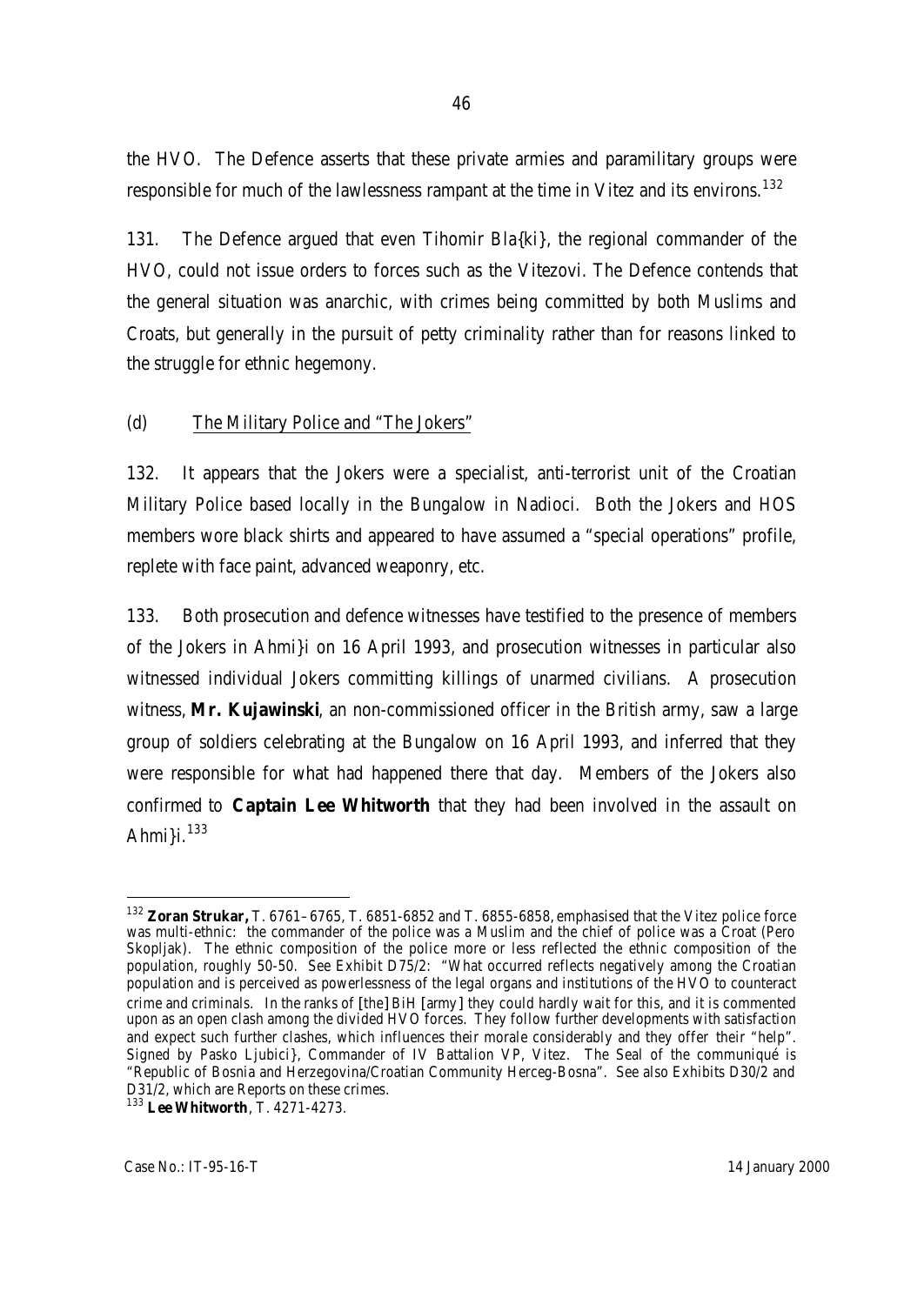the HVO. The Defence asserts that these private armies and paramilitary groups were responsible for much of the lawlessness rampant at the time in Vitez and its environs.<sup>132</sup>

131. The Defence argued that even Tihomir Bla{ki}, the regional commander of the HVO, could not issue orders to forces such as the Vitezovi. The Defence contends that the general situation was anarchic, with crimes being committed by both Muslims and Croats, but generally in the pursuit of petty criminality rather than for reasons linked to the struggle for ethnic hegemony.

# (d) The Military Police and "The Jokers"

132. It appears that the Jokers were a specialist, anti-terrorist unit of the Croatian Military Police based locally in the Bungalow in Nadioci. Both the Jokers and HOS members wore black shirts and appeared to have assumed a "special operations" profile, replete with face paint, advanced weaponry, etc.

133. Both prosecution and defence witnesses have testified to the presence of members of the Jokers in Ahmi}i on 16 April 1993, and prosecution witnesses in particular also witnessed individual Jokers committing killings of unarmed civilians. A prosecution witness, **Mr. Kujawinski**, an non-commissioned officer in the British army, saw a large group of soldiers celebrating at the Bungalow on 16 April 1993, and inferred that they were responsible for what had happened there that day. Members of the Jokers also confirmed to **Captain Lee Whitworth** that they had been involved in the assault on Ahmi $\,$ i.<sup>133</sup>

<sup>132</sup> **Zoran Strukar,** T. 6761–6765, T. 6851-6852 and T. 6855-6858, emphasised that the Vitez police force was multi-ethnic: the commander of the police was a Muslim and the chief of police was a Croat (Pero Skopljak). The ethnic composition of the police more or less reflected the ethnic composition of the population, roughly 50-50. See Exhibit D75/2: "What occurred reflects negatively among the Croatian population and is perceived as powerlessness of the legal organs and institutions of the HVO to counteract crime and criminals. In the ranks of [the] BiH [army] they could hardly wait for this, and it is commented upon as an open clash among the divided HVO forces. They follow further developments with satisfaction and expect such further clashes, which influences their morale considerably and they offer their "help". Signed by Pasko Ljubici}, Commander of IV Battalion VP, Vitez. The Seal of the communiqué is "Republic of Bosnia and Herzegovina/Croatian Community Herceg-Bosna". See also Exhibits D30/2 and D31/2, which are Reports on these crimes.

<sup>133</sup> **Lee Whitworth**, T. 4271-4273*.*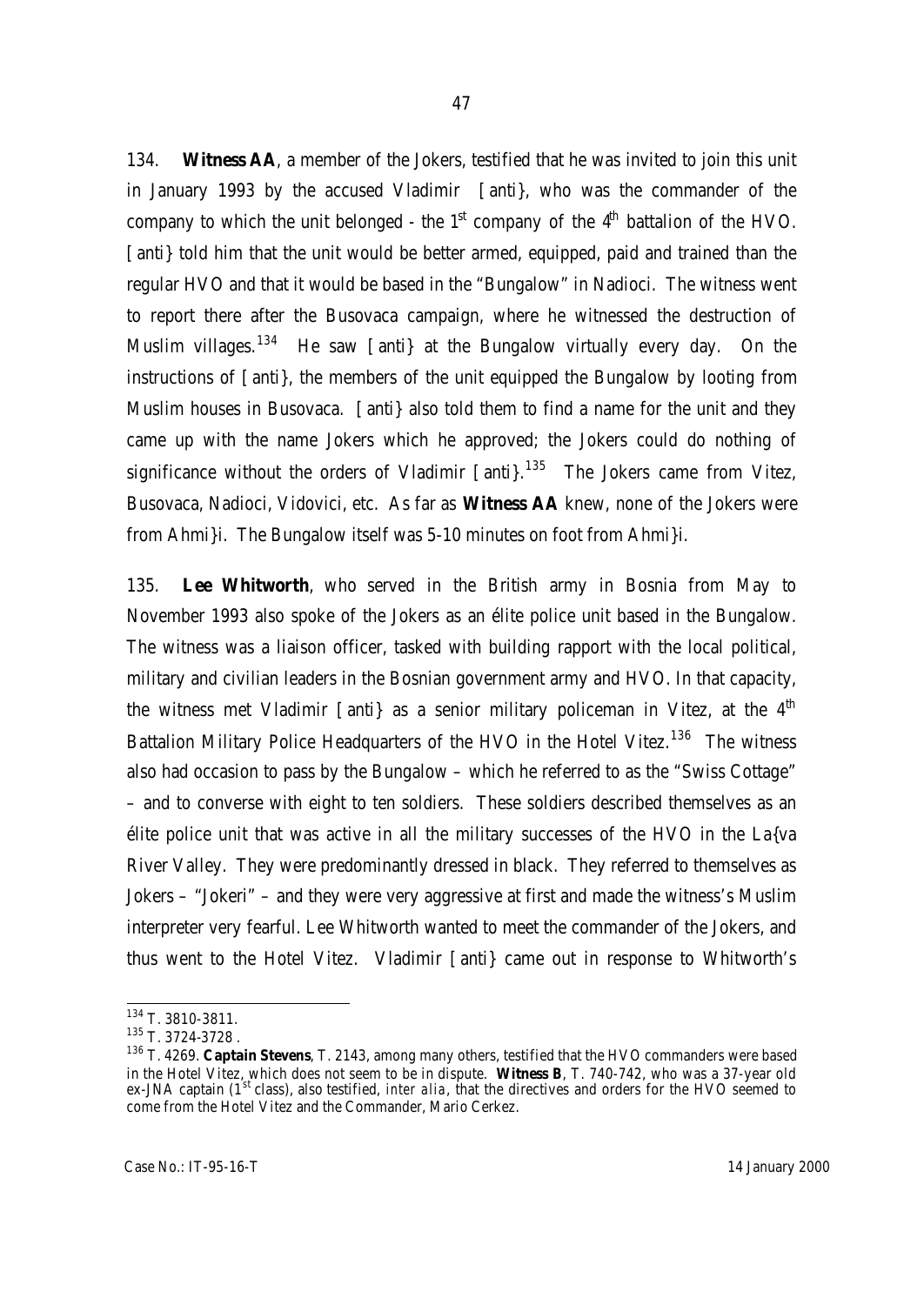134. **Witness AA**, a member of the Jokers, testified that he was invited to join this unit in January 1993 by the accused Vladimir [anti}, who was the commander of the company to which the unit belonged - the  $1<sup>st</sup>$  company of the  $4<sup>th</sup>$  battalion of the HVO. [anti] told him that the unit would be better armed, equipped, paid and trained than the regular HVO and that it would be based in the "Bungalow" in Nadioci. The witness went to report there after the Busovaca campaign, where he witnessed the destruction of Muslim villages.<sup>134</sup> He saw [anti] at the Bungalow virtually every day. On the instructions of [anti}, the members of the unit equipped the Bungalow by looting from Muslim houses in Busovaca. [anti} also told them to find a name for the unit and they came up with the name Jokers which he approved; the Jokers could do nothing of significance without the orders of Vladimir  $\lceil$  anti $\rceil$ .<sup>135</sup> The Jokers came from Vitez, Busovaca, Nadioci, Vidovici, etc. As far as **Witness AA** knew, none of the Jokers were from Ahmi}i. The Bungalow itself was 5-10 minutes on foot from Ahmi}i.

135. **Lee Whitworth**, who served in the British army in Bosnia from May to November 1993 also spoke of the Jokers as an élite police unit based in the Bungalow. The witness was a liaison officer, tasked with building rapport with the local political, military and civilian leaders in the Bosnian government army and HVO. In that capacity, the witness met Vladimir [anti} as a senior military policeman in Vitez, at the 4<sup>th</sup> Battalion Military Police Headquarters of the HVO in the Hotel Vitez.<sup>136</sup> The witness also had occasion to pass by the Bungalow – which he referred to as the "Swiss Cottage" – and to converse with eight to ten soldiers. These soldiers described themselves as an élite police unit that was active in all the military successes of the HVO in the  $La{va}$ River Valley. They were predominantly dressed in black. They referred to themselves as Jokers – "Jokeri" – and they were very aggressive at first and made the witness's Muslim interpreter very fearful. Lee Whitworth wanted to meet the commander of the Jokers, and thus went to the Hotel Vitez. Vladimir [anti} came out in response to Whitworth's

 $\overline{a}$ <sup>134</sup> T. 3810-3811.

<sup>135</sup> T. 3724-3728 .

<sup>136</sup> T. 4269. **Captain Stevens**, T. 2143, among many others, testified that the HVO commanders were based in the Hotel Vitez, which does not seem to be in dispute. **Witness B**, T. 740-742, who was a 37-year old<br>ex-JNA captain (1<sup>st</sup> class), also testified, *inter alia*, that the directives and orders for the HVO seemed to come from the Hotel Vitez and the Commander, Mario Cerkez.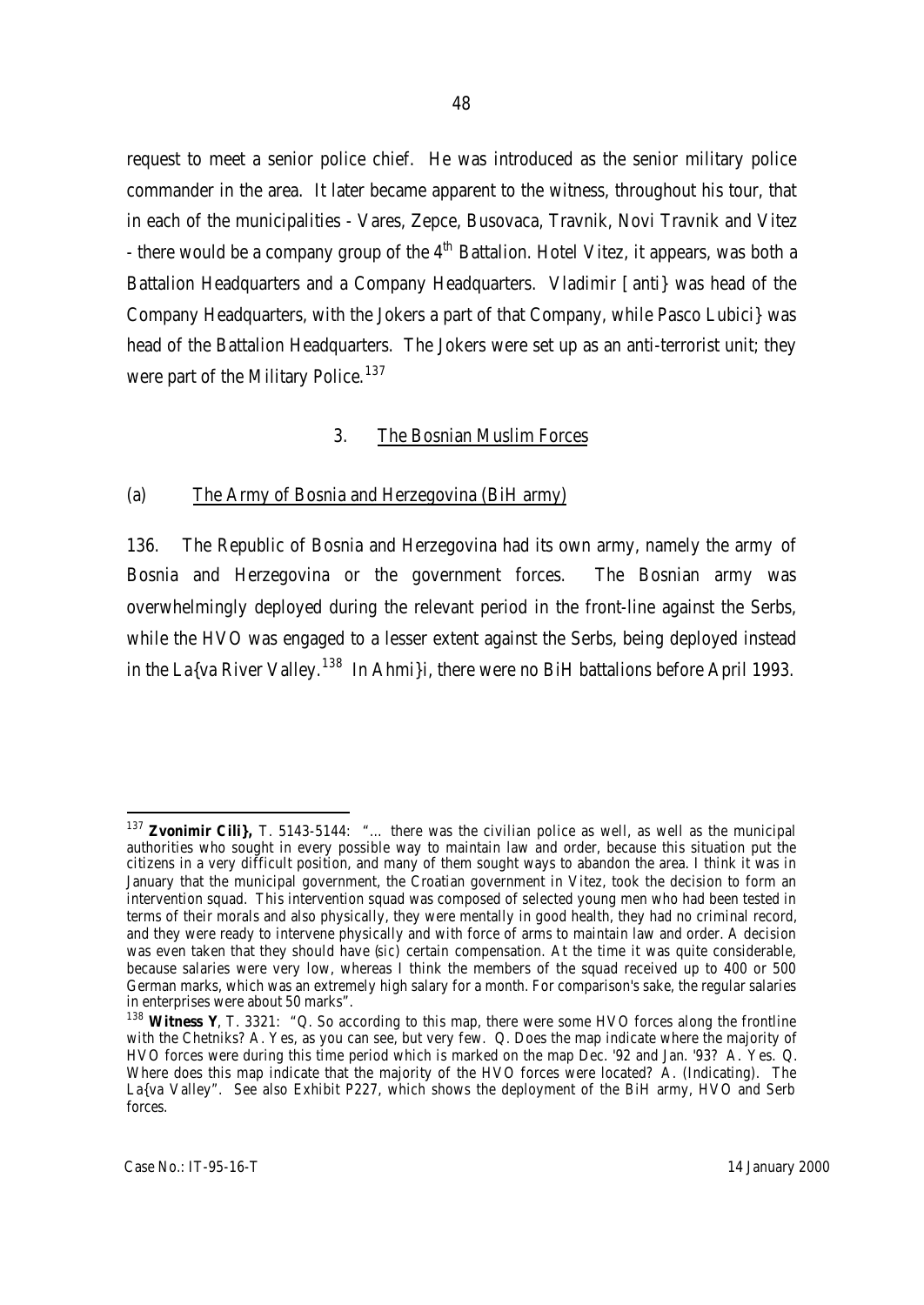request to meet a senior police chief. He was introduced as the senior military police commander in the area. It later became apparent to the witness, throughout his tour, that in each of the municipalities - Vares, Zepce, Busovaca, Travnik, Novi Travnik and Vitez - there would be a company group of the  $4<sup>th</sup>$  Battalion. Hotel Vitez, it appears, was both a Battalion Headquarters and a Company Headquarters. Vladimir [anti} was head of the Company Headquarters, with the Jokers a part of that Company, while Pasco Lubici} was head of the Battalion Headquarters. The Jokers were set up as an anti-terrorist unit; they were part of the Military Police.<sup>137</sup>

# 3. The Bosnian Muslim Forces

# (a) The Army of Bosnia and Herzegovina (BiH army)

136. The Republic of Bosnia and Herzegovina had its own army, namely the army of Bosnia and Herzegovina or the government forces. The Bosnian army was overwhelmingly deployed during the relevant period in the front-line against the Serbs, while the HVO was engaged to a lesser extent against the Serbs, being deployed instead in the La{va River Valley.<sup>138</sup> In Ahmi}i, there were no BiH battalions before April 1993.

<sup>137</sup> **Zvonimir Cili},** T. 5143-5144: "… there was the civilian police as well, as well as the municipal authorities who sought in every possible way to maintain law and order, because this situation put the citizens in a very difficult position, and many of them sought ways to abandon the area. I think it was in January that the municipal government, the Croatian government in Vitez, took the decision to form an intervention squad. This intervention squad was composed of selected young men who had been tested in terms of their morals and also physically, they were mentally in good health, they had no criminal record, and they were ready to intervene physically and with force of arms to maintain law and order. A decision was even taken that they should have (*sic*) certain compensation. At the time it was quite considerable, because salaries were very low, whereas I think the members of the squad received up to 400 or 500 German marks, which was an extremely high salary for a month. For comparison's sake, the regular salaries in enterprises were about 50 marks".

<sup>138</sup> **Witness Y**, T. 3321: "Q. So according to this map, there were some HVO forces along the frontline with the Chetniks? A. Yes, as you can see, but very few. Q. Does the map indicate where the majority of HVO forces were during this time period which is marked on the map Dec. '92 and Jan. '93? A. Yes. Q. Where does this map indicate that the majority of the HVO forces were located? A. (Indicating). The La{va Valley". See also Exhibit P227, which shows the deployment of the BiH army, HVO and Serb forces.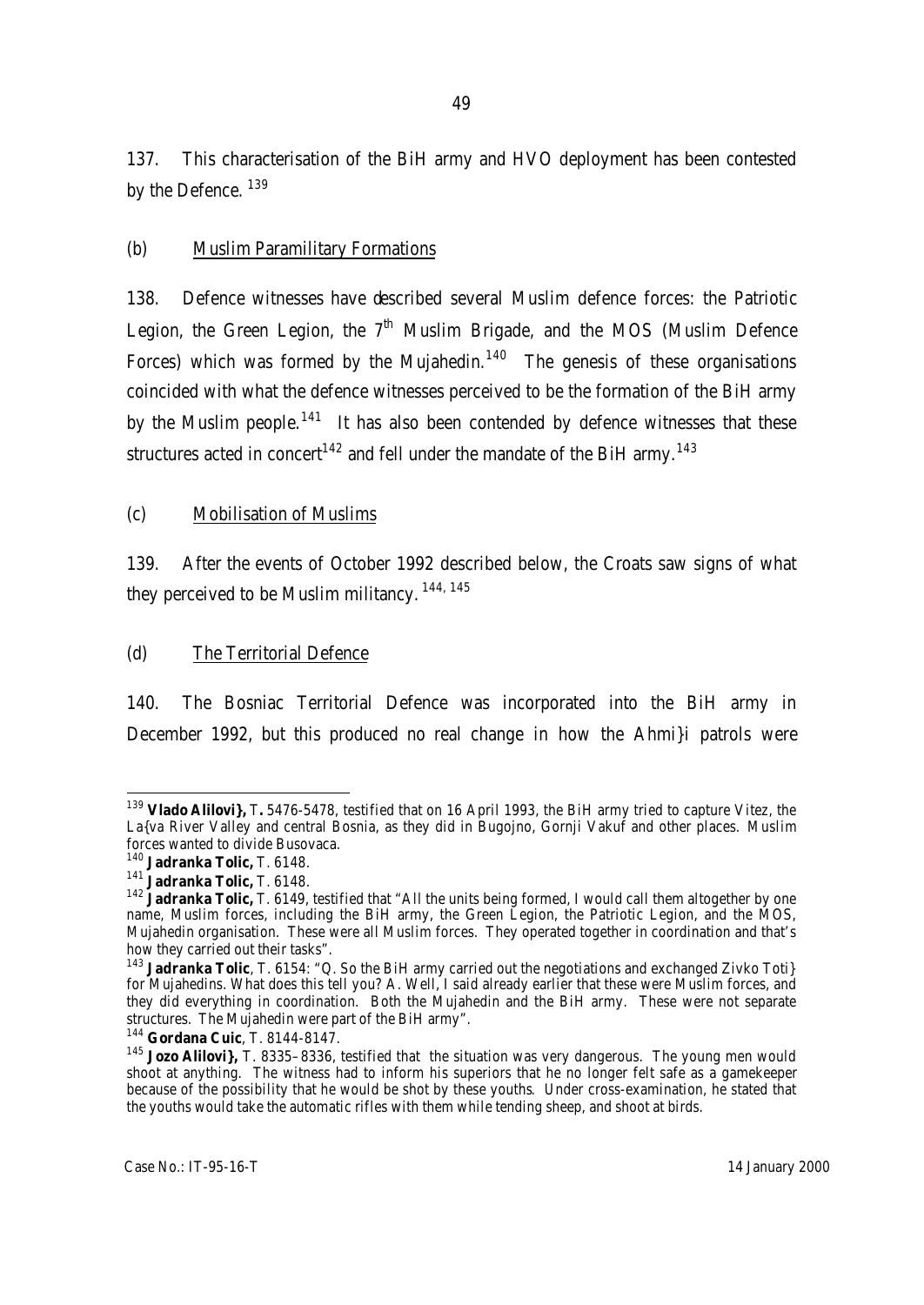137. This characterisation of the BiH army and HVO deployment has been contested by the Defence.  $139$ 

### (b) Muslim Paramilitary Formations

138. Defence witnesses have described several Muslim defence forces: the Patriotic Legion, the Green Legion, the 7<sup>th</sup> Muslim Brigade, and the MOS (Muslim Defence Forces) which was formed by the Mujahedin.<sup>140</sup> The genesis of these organisations coincided with what the defence witnesses perceived to be the formation of the BiH army by the Muslim people.<sup>141</sup> It has also been contended by defence witnesses that these structures acted in concert<sup>142</sup> and fell under the mandate of the BiH army.<sup>143</sup>

### (c) Mobilisation of Muslims

139. After the events of October 1992 described below, the Croats saw signs of what they perceived to be Muslim militancy. 144, 145

#### (d) The Territorial Defence

140. The Bosniac Territorial Defence was incorporated into the BiH army in December 1992, but this produced no real change in how the Ahmi}i patrols were

j <sup>139</sup> **Vlado Alilovi},** T**.** 5476-5478, testified that on 16 April 1993, the BiH army tried to capture Vitez, the La{va River Valley and central Bosnia, as they did in Bugojno, Gornji Vakuf and other places. Muslim forces wanted to divide Busovaca.

<sup>140</sup> **Jadranka Tolic,** T. 6148.

<sup>141</sup> **Jadranka Tolic,** T. 6148.

<sup>142</sup> **Jadranka Tolic,** T. 6149, testified that "All the units being formed, I would call them altogether by one name, Muslim forces, including the BiH army, the Green Legion, the Patriotic Legion, and the MOS, Mujahedin organisation. These were all Muslim forces. They operated together in coordination and that's how they carried out their tasks".

<sup>143</sup> **Jadranka Tolic**, T. 6154: "Q. So the BiH army carried out the negotiations and exchanged Zivko Toti} for Mujahedins. What does this tell you? A. Well, I said already earlier that these were Muslim forces, and they did everything in coordination. Both the Mujahedin and the BiH army. These were not separate structures. The Mujahedin were part of the BiH army".

<sup>144</sup> **Gordana Cuic**, T. 8144-8147.

<sup>145</sup> **Jozo Alilovi},** T. 8335–8336, testified that the situation was very dangerous. The young men would shoot at anything. The witness had to inform his superiors that he no longer felt safe as a gamekeeper because of the possibility that he would be shot by these youths. Under cross-examination, he stated that the youths would take the automatic rifles with them while tending sheep, and shoot at birds.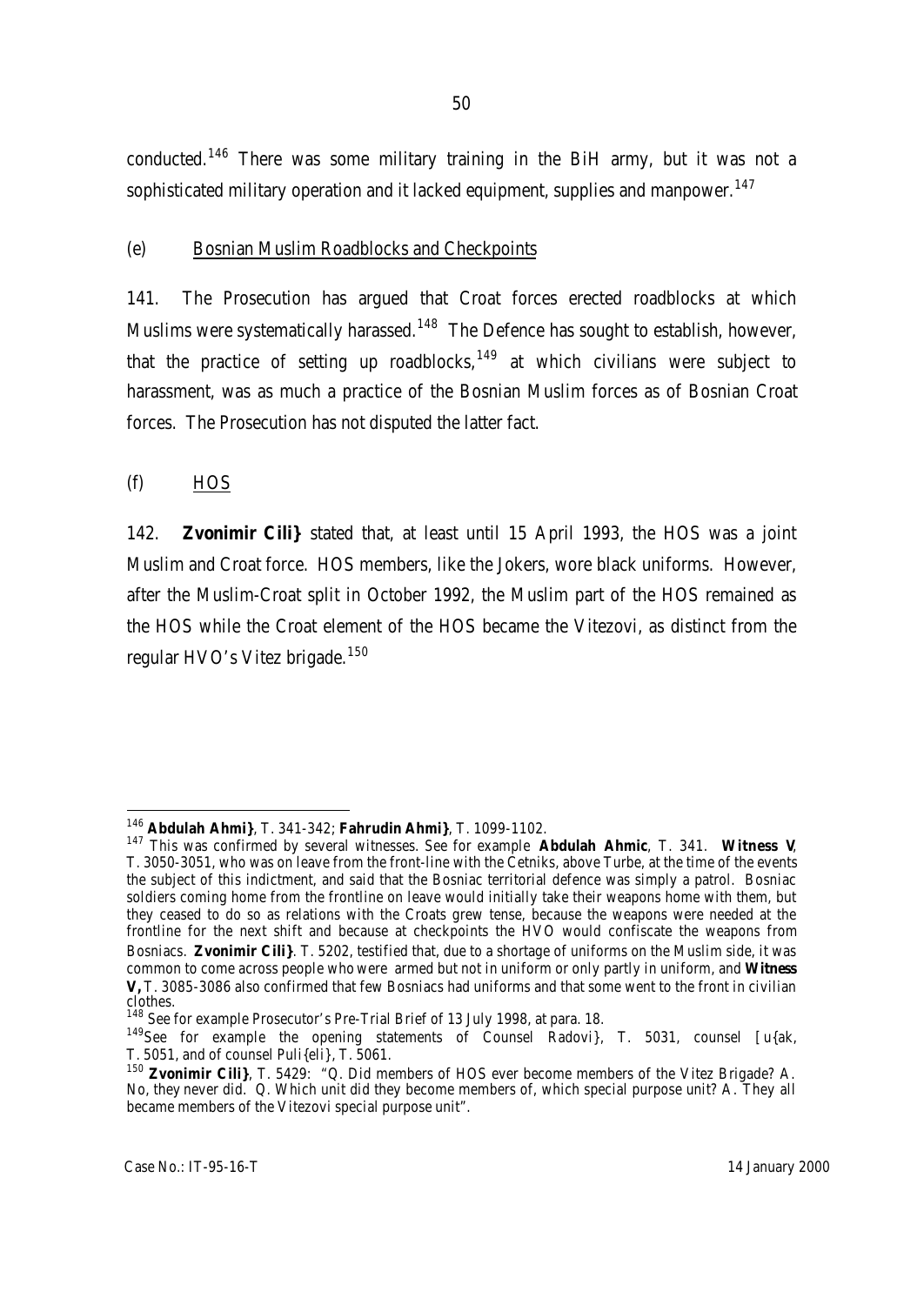conducted.<sup>146</sup> There was some military training in the BiH army, but it was not a sophisticated military operation and it lacked equipment, supplies and manpower.<sup>147</sup>

# (e) Bosnian Muslim Roadblocks and Checkpoints

141. The Prosecution has argued that Croat forces erected roadblocks at which Muslims were systematically harassed.<sup>148</sup> The Defence has sought to establish, however, that the practice of setting up roadblocks, $149$  at which civilians were subject to harassment, was as much a practice of the Bosnian Muslim forces as of Bosnian Croat forces. The Prosecution has not disputed the latter fact.

# (f) HOS

142. **Zvonimir Cili}** stated that, at least until 15 April 1993, the HOS was a joint Muslim and Croat force. HOS members, like the Jokers, wore black uniforms. However, after the Muslim-Croat split in October 1992, the Muslim part of the HOS remained as the HOS while the Croat element of the HOS became the Vitezovi, as distinct from the regular HVO's Vitez brigade.<sup>150</sup>

<sup>146</sup> **Abdulah Ahmi}**, T. 341-342; **Fahrudin Ahmi}**, T. 1099-1102.

<sup>147</sup> This was confirmed by several witnesses. See for example **Abdulah Ahmic**, T. 341. **Witness V**, T. 3050-3051, who was on leave from the front-line with the Cetniks, above Turbe, at the time of the events the subject of this indictment, and said that the Bosniac territorial defence was simply a patrol. Bosniac soldiers coming home from the frontline on leave would initially take their weapons home with them, but they ceased to do so as relations with the Croats grew tense, because the weapons were needed at the frontline for the next shift and because at checkpoints the HVO would confiscate the weapons from Bosniacs. **Zvonimir Cili}**. T. 5202, testified that, due to a shortage of uniforms on the Muslim side, it was common to come across people who were armed but not in uniform or only partly in uniform, and **Witness V,** T. 3085-3086 also confirmed that few Bosniacs had uniforms and that some went to the front in civilian clothes.

 $148$  See for example Prosecutor's Pre-Trial Brief of 13 July 1998, at para. 18.

 $149$ See for example the opening statements of Counsel Radovi}, T. 5031, counsel [u{ak, T. 5051, and of counsel Puli{eli}, T. 5061.

<sup>150</sup> **Zvonimir Cili}**, T. 5429: "Q. Did members of HOS ever become members of the Vitez Brigade? A. No, they never did. Q. Which unit did they become members of, which special purpose unit? A. They all became members of the Vitezovi special purpose unit".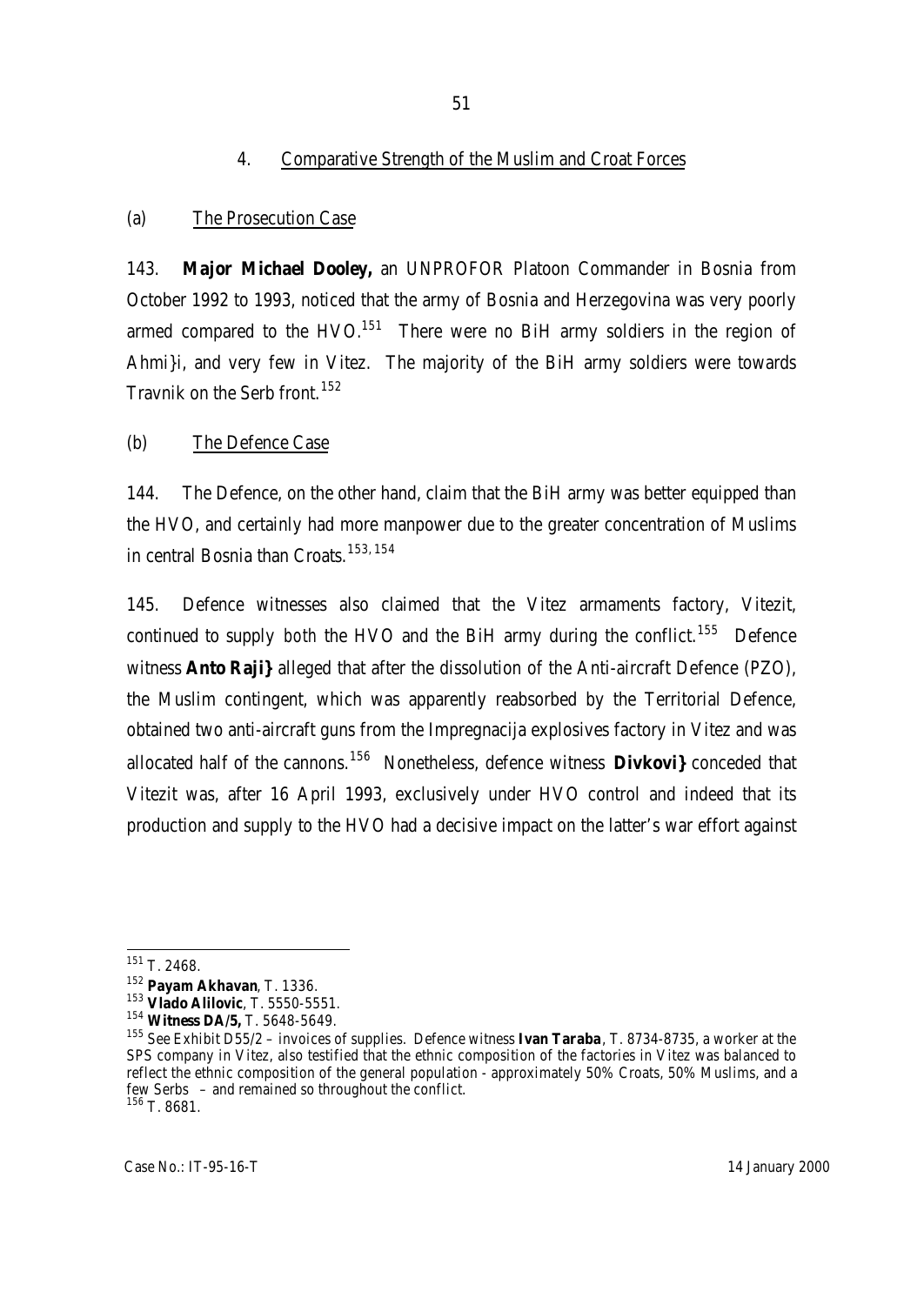# 4. Comparative Strength of the Muslim and Croat Forces

# (a) The Prosecution Case

143. **Major Michael Dooley,** an UNPROFOR Platoon Commander in Bosnia from October 1992 to 1993, noticed that the army of Bosnia and Herzegovina was very poorly armed compared to the HVO.<sup>151</sup> There were no BiH army soldiers in the region of Ahmi}i, and very few in Vitez. The majority of the BiH army soldiers were towards Travnik on the Serb front.<sup>152</sup>

# (b) The Defence Case

144. The Defence, on the other hand, claim that the BiH army was better equipped than the HVO, and certainly had more manpower due to the greater concentration of Muslims in central Bosnia than Croats.<sup>153, 154</sup>

145. Defence witnesses also claimed that the Vitez armaments factory, Vitezit, continued to supply *both* the HVO and the BiH army during the conflict.<sup>155</sup> Defence witness **Anto Raji}** alleged that after the dissolution of the Anti-aircraft Defence (PZO), the Muslim contingent, which was apparently reabsorbed by the Territorial Defence, obtained two anti-aircraft guns from the Impregnacija explosives factory in Vitez and was allocated half of the cannons.<sup>156</sup> Nonetheless, defence witness **Divkovi}** conceded that Vitezit was, after 16 April 1993, exclusively under HVO control and indeed that its production and supply to the HVO had a decisive impact on the latter's war effort against

 $\overline{a}$  $151$  T. 2468.

<sup>152</sup> **Payam Akhavan**, T. 1336.

<sup>153</sup> **Vlado Alilovic**, T. 5550-5551.

<sup>154</sup> **Witness DA/5,** T. 5648-5649.

<sup>155</sup> See Exhibit D55/2 – invoices of supplies. Defence witness **Ivan Taraba**, T. 8734-8735, a worker at the SPS company in Vitez, also testified that the ethnic composition of the factories in Vitez was balanced to reflect the ethnic composition of the general population - approximately 50% Croats, 50% Muslims, and a few Serbs – and remained so throughout the conflict. <sup>156</sup> T. 8681.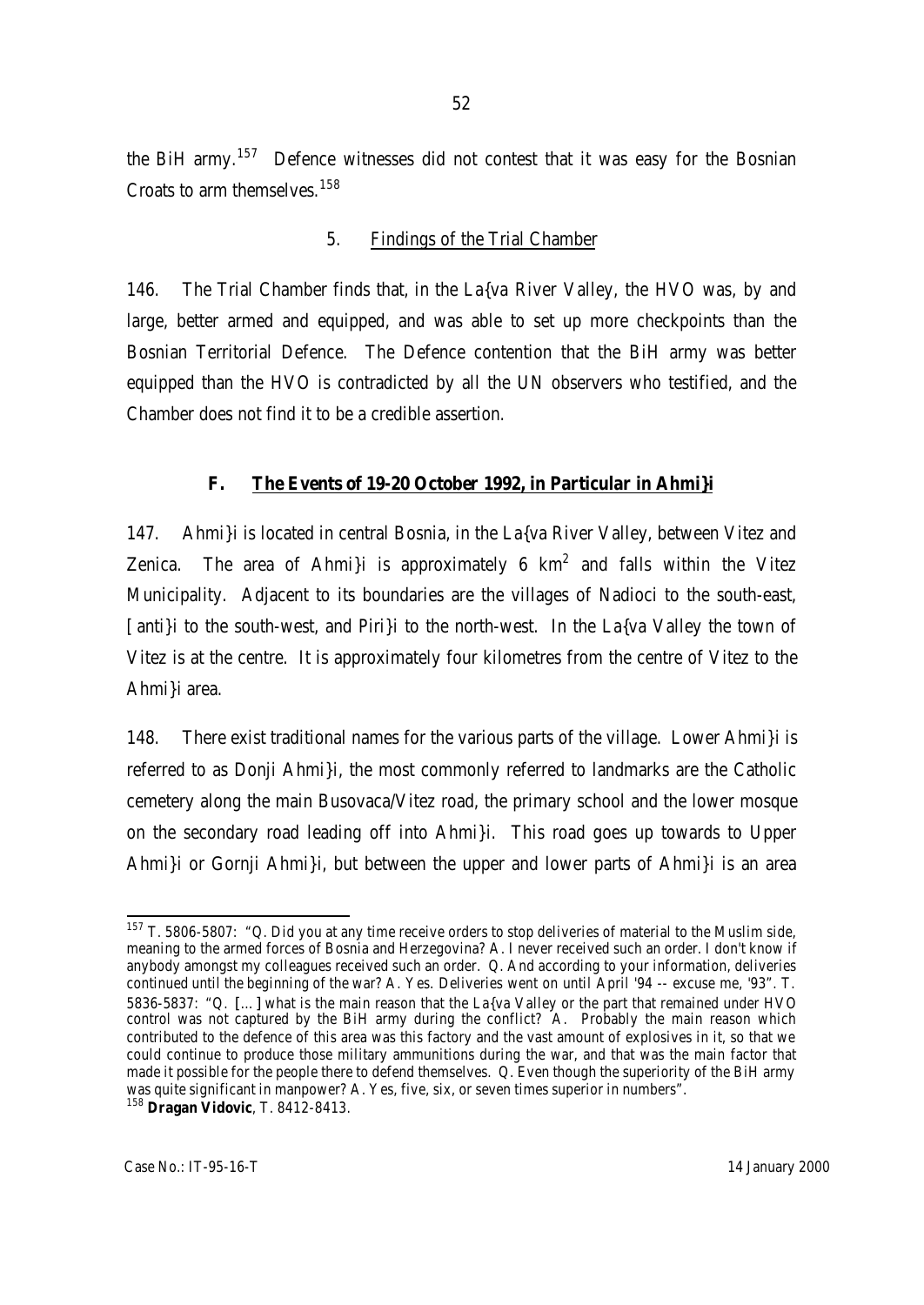the BiH army.<sup>157</sup> Defence witnesses did not contest that it was easy for the Bosnian Croats to arm themselves.<sup>158</sup>

#### 5. Findings of the Trial Chamber

146. The Trial Chamber finds that, in the La{va River Valley, the HVO was, by and large, better armed and equipped, and was able to set up more checkpoints than the Bosnian Territorial Defence. The Defence contention that the BiH army was better equipped than the HVO is contradicted by all the UN observers who testified, and the Chamber does not find it to be a credible assertion.

### **F. The Events of 19-20 October 1992, in Particular in Ahmi}i**

147. Ahmi}i is located in central Bosnia, in the La{va River Valley, between Vitez and Zenica. The area of Ahmi}i is approximately 6  $km^2$  and falls within the Vitez Municipality. Adjacent to its boundaries are the villages of Nadioci to the south-east, [anti}i to the south-west, and Piri}i to the north-west. In the La{va Valley the town of Vitez is at the centre. It is approximately four kilometres from the centre of Vitez to the Ahmi}i area.

148. There exist traditional names for the various parts of the village. Lower Ahmi}i is referred to as Donji Ahmi}i, the most commonly referred to landmarks are the Catholic cemetery along the main Busovaca/Vitez road, the primary school and the lower mosque on the secondary road leading off into Ahmi}i. This road goes up towards to Upper Ahmi}i or Gornji Ahmi}i, but between the upper and lower parts of Ahmi}i is an area

 $\overline{a}$ <sup>157</sup> T. 5806-5807:  $"Q.$  Did you at any time receive orders to stop deliveries of material to the Muslim side, meaning to the armed forces of Bosnia and Herzegovina? A. I never received such an order. I don't know if anybody amongst my colleagues received such an order. Q. And according to your information, deliveries continued until the beginning of the war? A. Yes. Deliveries went on until April '94 -- excuse me, '93". T. 5836-5837: "Q. […] what is the main reason that the La{va Valley or the part that remained under HVO control was not captured by the BiH army during the conflict? A. Probably the main reason which contributed to the defence of this area was this factory and the vast amount of explosives in it, so that we could continue to produce those military ammunitions during the war, and that was the main factor that made it possible for the people there to defend themselves. Q. Even though the superiority of the BiH army was quite significant in manpower? A. Yes, five, six, or seven times superior in numbers". <sup>158</sup> **Dragan Vidovic**, T. 8412-8413.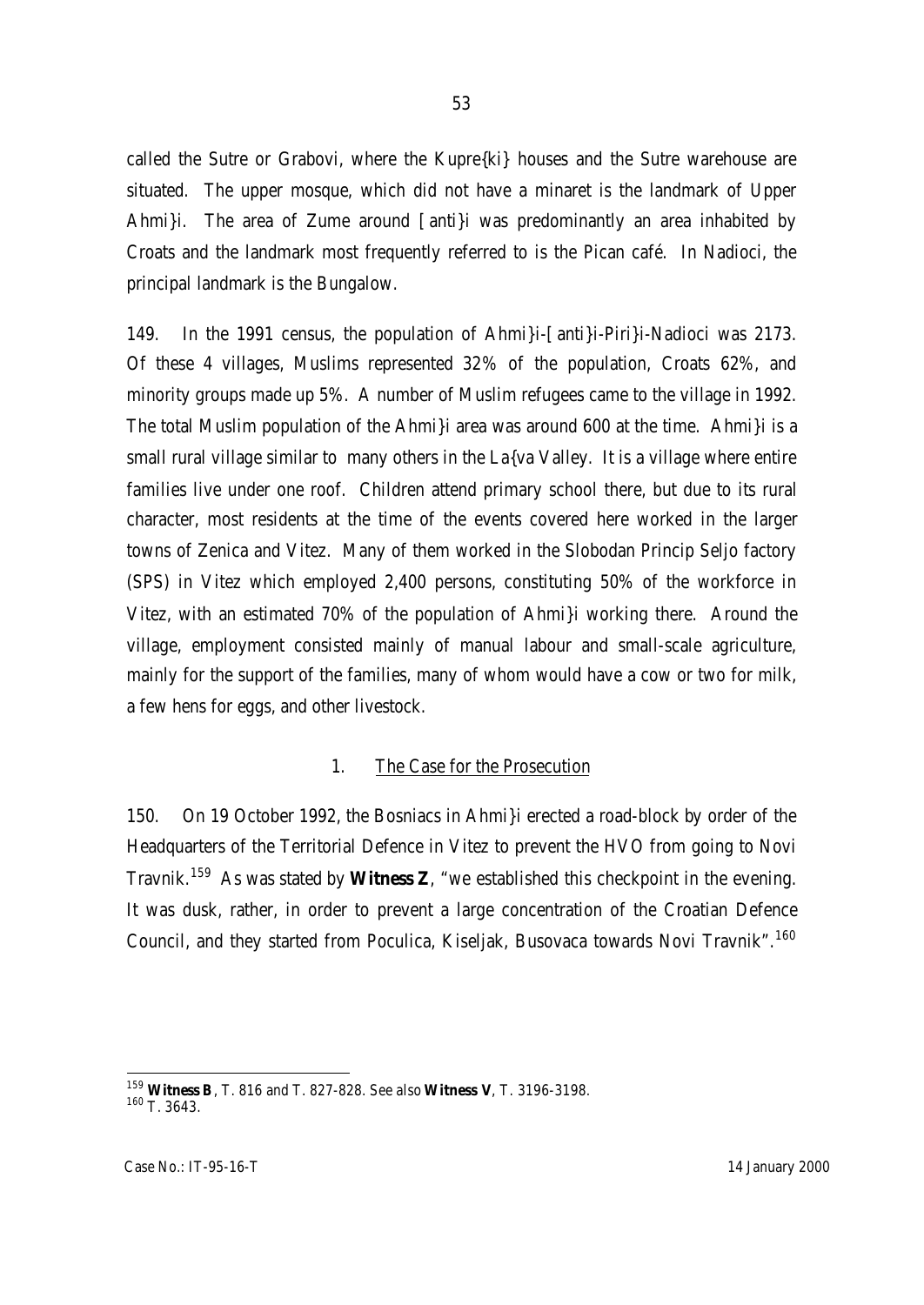called the Sutre or Grabovi, where the Kupre{ki} houses and the Sutre warehouse are situated. The upper mosque, which did not have a minaret is the landmark of Upper Ahmi}i. The area of Zume around [anti}i was predominantly an area inhabited by Croats and the landmark most frequently referred to is the Pican café. In Nadioci, the principal landmark is the Bungalow.

149. In the 1991 census, the population of Ahmi}i-[anti}i-Piri}i-Nadioci was 2173. Of these 4 villages, Muslims represented 32% of the population, Croats 62%, and minority groups made up 5%. A number of Muslim refugees came to the village in 1992. The total Muslim population of the Ahmi}i area was around 600 at the time. Ahmi}i is a small rural village similar to many others in the La{va Valley. It is a village where entire families live under one roof. Children attend primary school there, but due to its rural character, most residents at the time of the events covered here worked in the larger towns of Zenica and Vitez. Many of them worked in the Slobodan Princip Seljo factory (SPS) in Vitez which employed 2,400 persons, constituting 50% of the workforce in Vitez, with an estimated 70% of the population of Ahmi}i working there. Around the village, employment consisted mainly of manual labour and small-scale agriculture, mainly for the support of the families, many of whom would have a cow or two for milk, a few hens for eggs, and other livestock.

# 1. The Case for the Prosecution

150. On 19 October 1992, the Bosniacs in Ahmi}i erected a road-block by order of the Headquarters of the Territorial Defence in Vitez to prevent the HVO from going to Novi Travnik.<sup>159</sup> As was stated by **Witness Z**, "we established this checkpoint in the evening. It was dusk, rather, in order to prevent a large concentration of the Croatian Defence Council, and they started from Poculica, Kiseljak, Busovaca towards Novi Travnik".<sup>160</sup>

l <sup>159</sup> **Witness B**, T. 816 and T. 827-828. See also **Witness V**, T. 3196-3198. <sup>160</sup> T. 3643.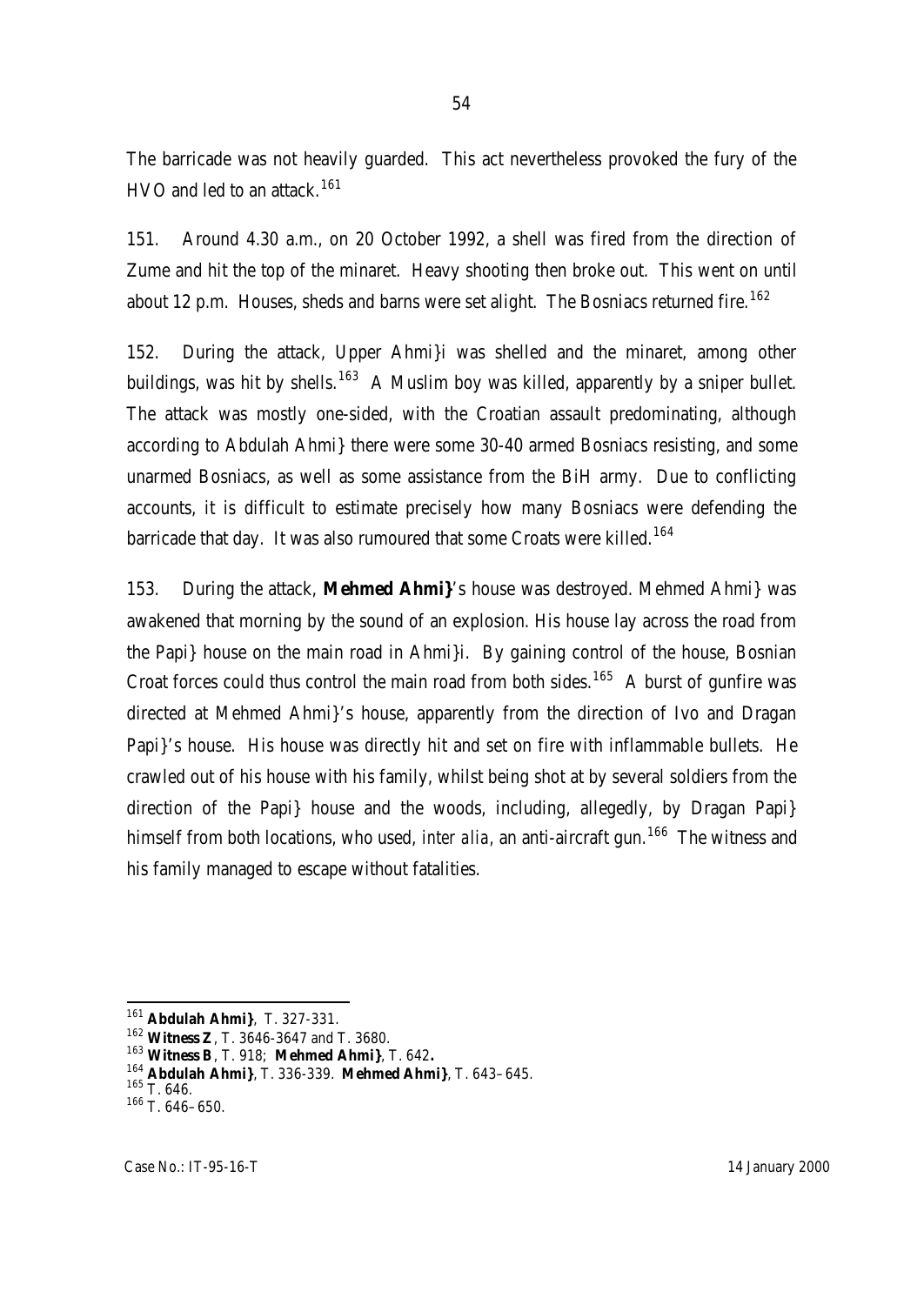The barricade was not heavily guarded. This act nevertheless provoked the fury of the HVO and led to an attack.<sup>161</sup>

151. Around 4.30 a.m., on 20 October 1992, a shell was fired from the direction of Zume and hit the top of the minaret. Heavy shooting then broke out. This went on until about 12 p.m. Houses, sheds and barns were set alight. The Bosniacs returned fire.<sup>162</sup>

152. During the attack, Upper Ahmi}i was shelled and the minaret, among other buildings, was hit by shells.<sup>163</sup> A Muslim boy was killed, apparently by a sniper bullet. The attack was mostly one-sided, with the Croatian assault predominating, although according to Abdulah Ahmi} there were some 30-40 armed Bosniacs resisting, and some unarmed Bosniacs, as well as some assistance from the BiH army. Due to conflicting accounts, it is difficult to estimate precisely how many Bosniacs were defending the barricade that day. It was also rumoured that some Croats were killed.<sup>164</sup>

153. During the attack, **Mehmed Ahmi}**'s house was destroyed. Mehmed Ahmi} was awakened that morning by the sound of an explosion. His house lay across the road from the Papi} house on the main road in Ahmi}i. By gaining control of the house, Bosnian Croat forces could thus control the main road from both sides.<sup>165</sup> A burst of gunfire was directed at Mehmed Ahmi}'s house, apparently from the direction of Ivo and Dragan Papi}'s house. His house was directly hit and set on fire with inflammable bullets. He crawled out of his house with his family, whilst being shot at by several soldiers from the direction of the Papi} house and the woods, including, allegedly, by Dragan Papi} himself from both locations, who used, *inter alia*, an anti-aircraft gun.<sup>166</sup> The witness and his family managed to escape without fatalities.

<sup>161</sup> **Abdulah Ahmi}**, T. 327-331.

<sup>162</sup> **Witness Z**, T. 3646-3647 and T. 3680.

<sup>163</sup> **Witness B**, T. 918; **Mehmed Ahmi}**, T. 642**.**

<sup>164</sup> **Abdulah Ahmi}**, T. 336-339. **Mehmed Ahmi}**, T. 643–645.

 $165$  T. 646.

<sup>166</sup> T. 646–650.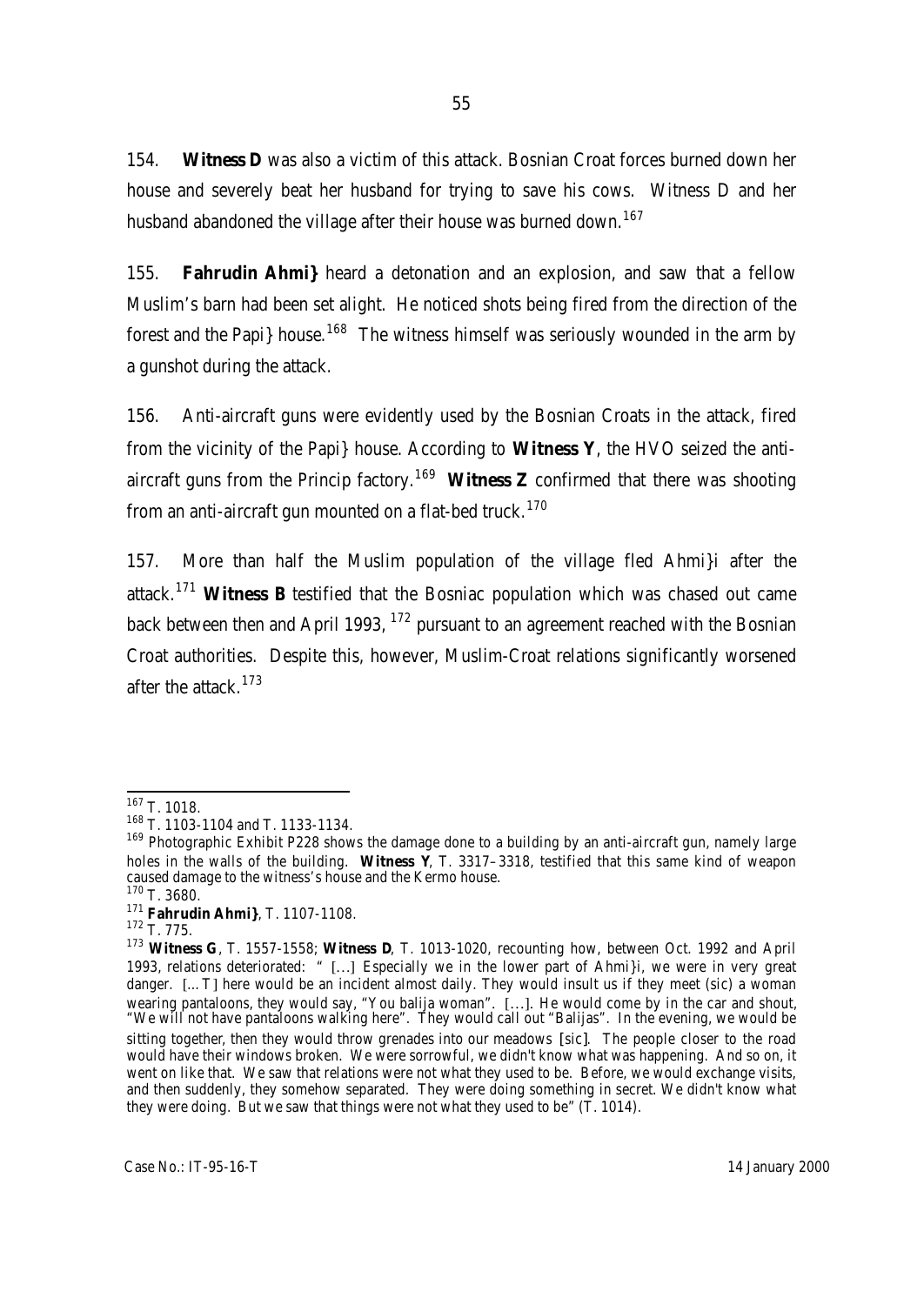154. **Witness D** was also a victim of this attack. Bosnian Croat forces burned down her house and severely beat her husband for trying to save his cows. Witness D and her husband abandoned the village after their house was burned down.<sup>167</sup>

155. **Fahrudin Ahmi}** heard a detonation and an explosion, and saw that a fellow Muslim's barn had been set alight. He noticed shots being fired from the direction of the forest and the Papi  $\}$  house.<sup>168</sup> The witness himself was seriously wounded in the arm by a gunshot during the attack.

156. Anti-aircraft guns were evidently used by the Bosnian Croats in the attack, fired from the vicinity of the Papi} house. According to **Witness Y**, the HVO seized the antiaircraft guns from the Princip factory.<sup>169</sup> Witness Z confirmed that there was shooting from an anti-aircraft gun mounted on a flat-bed truck.<sup>170</sup>

157. More than half the Muslim population of the village fled Ahmi}i after the attack.<sup>171</sup> **Witness B** testified that the Bosniac population which was chased out came back between then and April 1993, <sup>172</sup> pursuant to an agreement reached with the Bosnian Croat authorities. Despite this, however, Muslim-Croat relations significantly worsened after the attack.<sup>173</sup>

j  $167$  T. 1018.

<sup>168</sup> T. 1103-1104 and T. 1133-1134.

<sup>&</sup>lt;sup>169</sup> Photographic Exhibit P228 shows the damage done to a building by an anti-aircraft gun, namely large holes in the walls of the building. **Witness Y**, T. 3317–3318, testified that this same kind of weapon caused damage to the witness's house and the Kermo house.

 $170$  T. 3680.

<sup>171</sup> **Fahrudin Ahmi}**, T. 1107-1108.

<sup>&</sup>lt;sup>172</sup> T. 775.

<sup>173</sup> **Witness G**, T. 1557-1558; **Witness D**, T. 1013-1020, recounting how, between Oct. 1992 and April 1993, relations deteriorated: " […] Especially we in the lower part of Ahmi}i, we were in very great danger. [...T] here would be an incident almost daily. They would insult us if they meet (sic) a woman wearing pantaloons, they would say, "You balija woman". […]. He would come by in the car and shout, "We will not have pantaloons walking here". They would call out "Balijas". In the evening, we would be sitting together, then they would throw grenades into our meadows [sic]. The people closer to the road would have their windows broken. We were sorrowful, we didn't know what was happening. And so on, it went on like that. We saw that relations were not what they used to be. Before, we would exchange visits, and then suddenly, they somehow separated. They were doing something in secret. We didn't know what they were doing. But we saw that things were not what they used to be"  $(T. 1014)$ .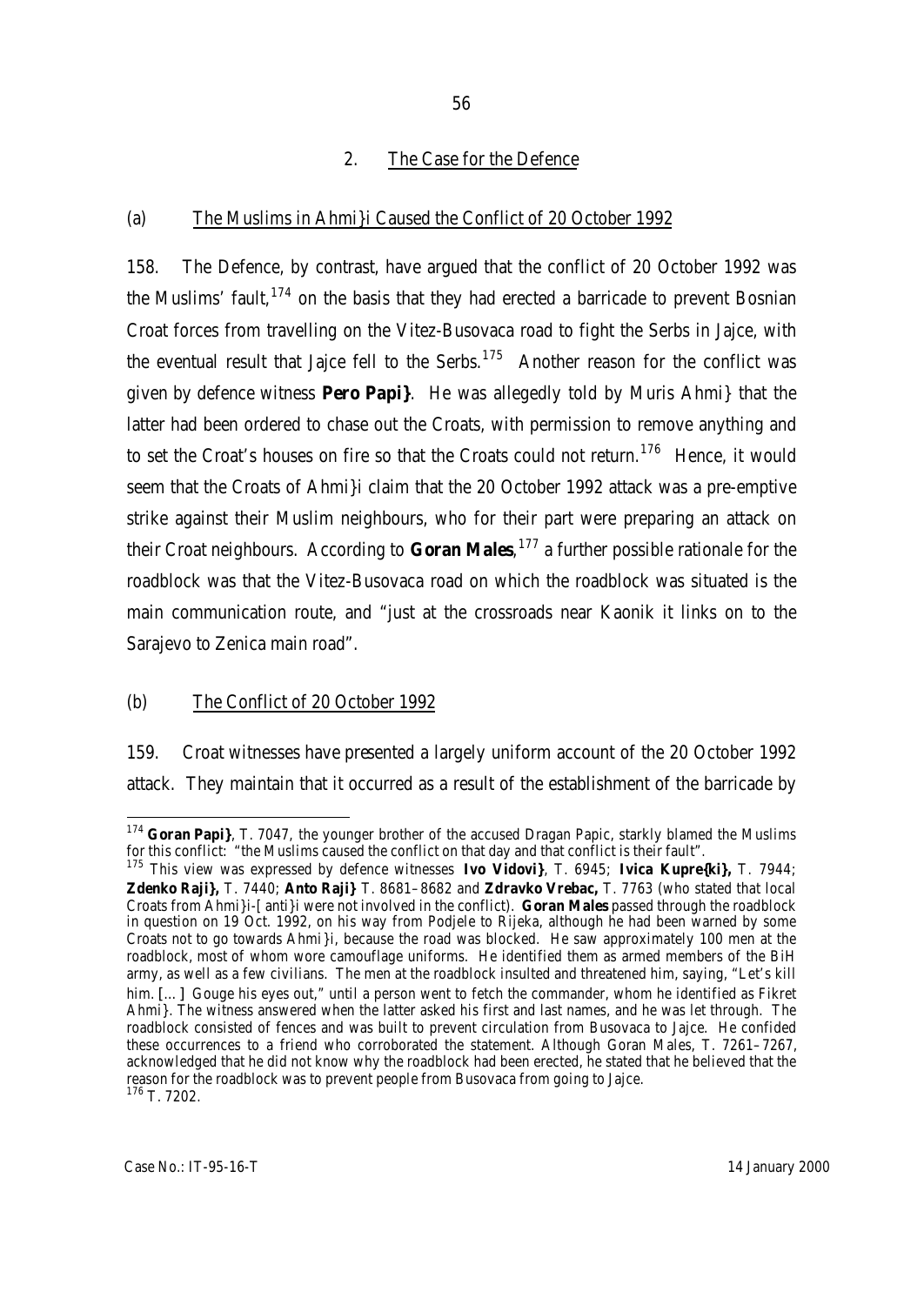#### 56

# 2. The Case for the Defence

### (a) The Muslims in Ahmi}i Caused the Conflict of 20 October 1992

158. The Defence, by contrast, have argued that the conflict of 20 October 1992 was the Muslims' fault,  $174$  on the basis that they had erected a barricade to prevent Bosnian Croat forces from travelling on the Vitez-Busovaca road to fight the Serbs in Jajce, with the eventual result that Jajce fell to the Serbs.<sup>175</sup> Another reason for the conflict was given by defence witness **Pero Papi}**. He was allegedly told by Muris Ahmi} that the latter had been ordered to chase out the Croats, with permission to remove anything and to set the Croat's houses on fire so that the Croats could not return.<sup>176</sup> Hence, it would seem that the Croats of Ahmi}i claim that the 20 October 1992 attack was a pre-emptive strike against their Muslim neighbours, who for their part were preparing an attack on their Croat neighbours. According to **Goran Males**, <sup>177</sup> a further possible rationale for the roadblock was that the Vitez-Busovaca road on which the roadblock was situated is the main communication route, and "just at the crossroads near Kaonik it links on to the Sarajevo to Zenica main road".

### (b) The Conflict of 20 October 1992

159. Croat witnesses have presented a largely uniform account of the 20 October 1992 attack. They maintain that it occurred as a result of the establishment of the barricade by

 <sup>174</sup> **Goran Papi}**, T. 7047, the younger brother of the accused Dragan Papic, starkly blamed the Muslims for this conflict: "the Muslims caused the conflict on that day and that conflict is their fault".

<sup>175</sup> This view was expressed by defence witnesses **Ivo Vidovi}**, T. 6945; **Ivica Kupre{ki},** T. 7944; **Zdenko Raji},** T. 7440; **Anto Raji}** T. 8681–8682 and **Zdravko Vrebac,** T. 7763 (who stated that local Croats from Ahmi}i-[anti}i were not involved in the conflict). **Goran Males** passed through the roadblock in question on 19 Oct. 1992, on his way from Podjele to Rijeka, although he had been warned by some Croats not to go towards Ahmi}i, because the road was blocked. He saw approximately 100 men at the roadblock, most of whom wore camouflage uniforms. He identified them as armed members of the BiH army, as well as a few civilians. The men at the roadblock insulted and threatened him, saying, "Let's kill him. […] Gouge his eyes out," until a person went to fetch the commander, whom he identified as Fikret Ahmi}. The witness answered when the latter asked his first and last names, and he was let through. The roadblock consisted of fences and was built to prevent circulation from Busovaca to Jajce. He confided these occurrences to a friend who corroborated the statement. Although Goran Males, T. 7261–7267, acknowledged that he did not know why the roadblock had been erected, he stated that he believed that the reason for the roadblock was to prevent people from Busovaca from going to Jajce.  $176$  T. 7202.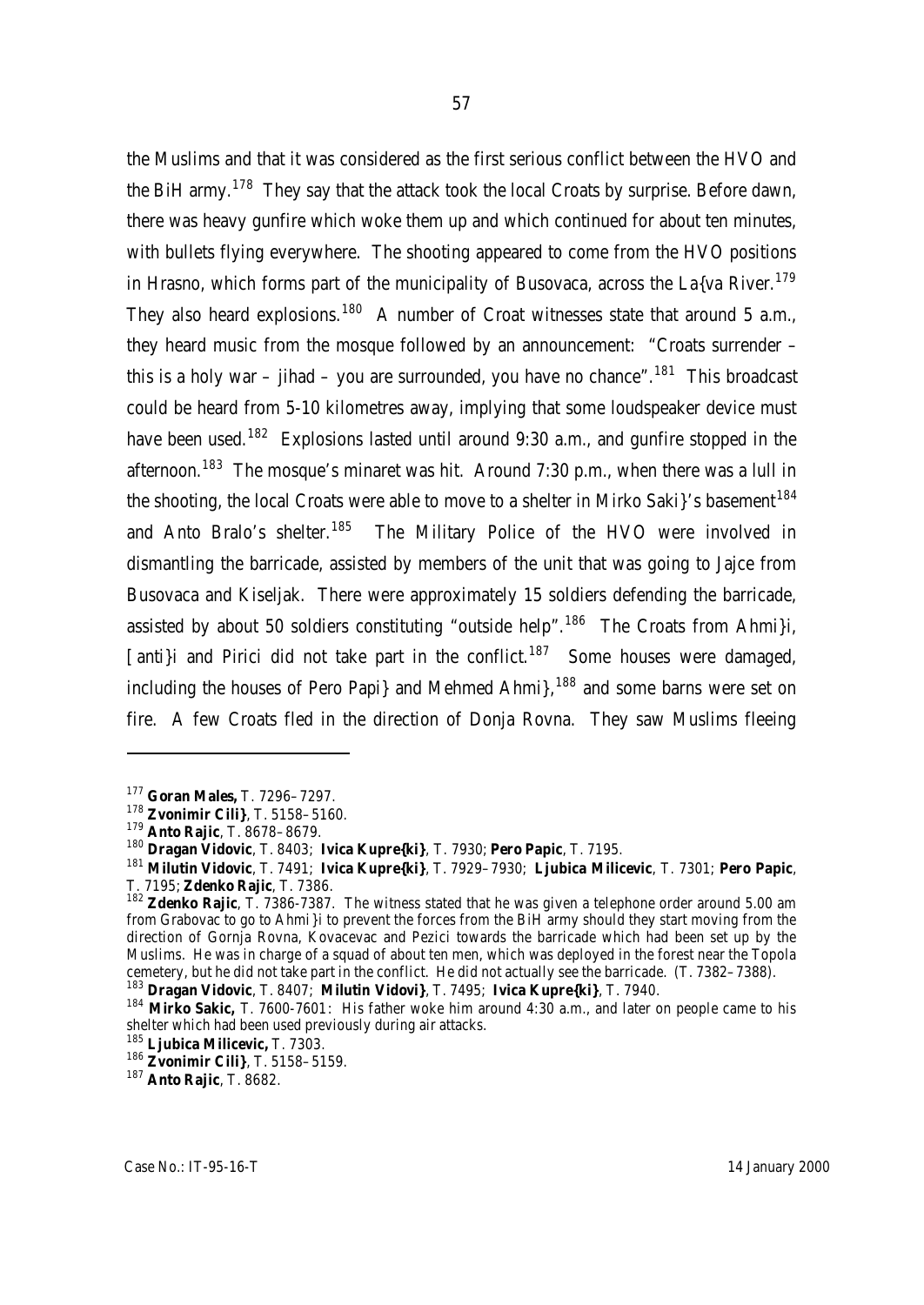the Muslims and that it was considered as the first serious conflict between the HVO and the BiH army.<sup>178</sup> They say that the attack took the local Croats by surprise. Before dawn, there was heavy gunfire which woke them up and which continued for about ten minutes, with bullets flying everywhere. The shooting appeared to come from the HVO positions in Hrasno, which forms part of the municipality of Busovaca, across the La{va River.<sup>179</sup> They also heard explosions.<sup>180</sup> A number of Croat witnesses state that around 5 a.m., they heard music from the mosque followed by an announcement: "Croats surrender – this is a holy war – jihad – you are surrounded, you have no chance".<sup>181</sup> This broadcast could be heard from 5-10 kilometres away, implying that some loudspeaker device must have been used.<sup>182</sup> Explosions lasted until around 9:30 a.m., and gunfire stopped in the afternoon.<sup>183</sup> The mosque's minaret was hit. Around 7:30 p.m., when there was a lull in the shooting, the local Croats were able to move to a shelter in Mirko Saki}'s basement<sup>184</sup> and Anto Bralo's shelter.<sup>185</sup> The Military Police of the HVO were involved in dismantling the barricade, assisted by members of the unit that was going to Jajce from Busovaca and Kiseljak. There were approximately 15 soldiers defending the barricade, assisted by about 50 soldiers constituting "outside help".<sup>186</sup> The Croats from Ahmi}i, [anti}i and Pirici did not take part in the conflict.<sup>187</sup> Some houses were damaged, including the houses of Pero Papi} and Mehmed Ahmi $\lambda^{188}$  and some barns were set on fire. A few Croats fled in the direction of Donja Rovna. They saw Muslims fleeing

j

<sup>183</sup> **Dragan Vidovic**, T. 8407; **Milutin Vidovi}**, T. 7495; **Ivica Kupre{ki}**, T. 7940.

<sup>177</sup> **Goran Males,** T. 7296–7297.

<sup>178</sup> **Zvonimir Cili}**, T. 5158–5160.

<sup>179</sup> **Anto Rajic**, T. 8678–8679.

<sup>180</sup> **Dragan Vidovic**, T. 8403; **Ivica Kupre{ki}**, T. 7930; **Pero Papic**, T. 7195.

<sup>181</sup> **Milutin Vidovic**, T. 7491; **Ivica Kupre{ki}**, T. 7929–7930; **Ljubica Milicevic**, T. 7301; **Pero Papic**, T. 7195; **Zdenko Rajic**, T. 7386.

<sup>182</sup> **Zdenko Rajic**, T. 7386-7387. The witness stated that he was given a telephone order around 5.00 am from Grabovac to go to Ahmi }i to prevent the forces from the BiH army should they start moving from the direction of Gornja Rovna, Kovacevac and Pezici towards the barricade which had been set up by the Muslims. He was in charge of a squad of about ten men, which was deployed in the forest near the Topola cemetery, but he did not take part in the conflict. He did not actually see the barricade. (T. 7382–7388).

<sup>184</sup> **Mirko Sakic,** T. 7600-7601: His father woke him around 4:30 a.m., and later on people came to his shelter which had been used previously during air attacks.

<sup>185</sup> **Ljubica Milicevic,** T. 7303.

<sup>186</sup> **Zvonimir Cili}**, T. 5158–5159.

<sup>187</sup> **Anto Rajic**, T. 8682.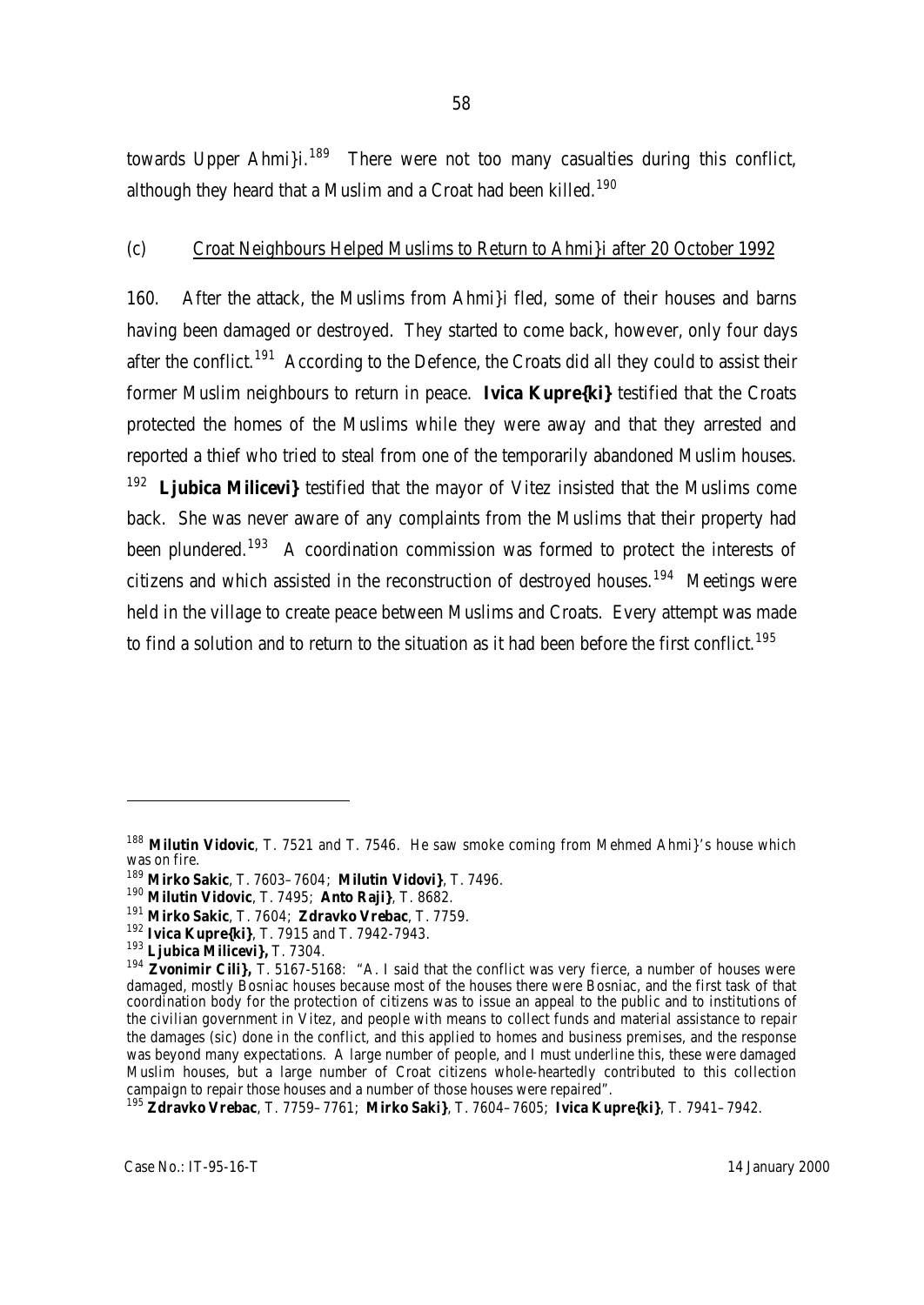towards Upper Ahmi}i.<sup>189</sup> There were not too many casualties during this conflict, although they heard that a Muslim and a Croat had been killed.<sup>190</sup>

### (c) Croat Neighbours Helped Muslims to Return to Ahmi}i after 20 October 1992

160. After the attack, the Muslims from Ahmi}i fled, some of their houses and barns having been damaged or destroyed. They started to come back, however, only four days after the conflict.<sup>191</sup> According to the Defence, the Croats did all they could to assist their former Muslim neighbours to return in peace. **Ivica Kupre{ki}** testified that the Croats protected the homes of the Muslims while they were away and that they arrested and reported a thief who tried to steal from one of the temporarily abandoned Muslim houses. <sup>192</sup> Ljubica Milicevi} testified that the mayor of Vitez insisted that the Muslims come

back. She was never aware of any complaints from the Muslims that their property had been plundered.<sup>193</sup> A coordination commission was formed to protect the interests of citizens and which assisted in the reconstruction of destroyed houses.<sup>194</sup> Meetings were held in the village to create peace between Muslims and Croats. Every attempt was made to find a solution and to return to the situation as it had been before the first conflict.<sup>195</sup>

j

<sup>188</sup> **Milutin Vidovic**, T. 7521 and T. 7546. He saw smoke coming from Mehmed Ahmi}'s house which was on fire.

<sup>189</sup> **Mirko Sakic**, T. 7603–7604; **Milutin Vidovi}**, T. 7496.

<sup>190</sup> **Milutin Vidovic**, T. 7495; **Anto Raji}**, T. 8682.

<sup>191</sup> **Mirko Sakic**, T. 7604; **Zdravko Vrebac**, T. 7759.

<sup>192</sup> **Ivica Kupre{ki}**, T. 7915 and T. 7942-7943.

<sup>193</sup> **Ljubica Milicevi},** T. 7304.

<sup>194</sup> **Zvonimir Cili},** T. 5167-5168:"A. I said that the conflict was very fierce, a number of houses were damaged, mostly Bosniac houses because most of the houses there were Bosniac, and the first task of that coordination body for the protection of citizens was to issue an appeal to the public and to institutions of the civilian government in Vitez, and people with means to collect funds and material assistance to repair the damages (sic) done in the conflict, and this applied to homes and business premises, and the response was beyond many expectations. A large number of people, and I must underline this, these were damaged Muslim houses, but a large number of Croat citizens whole-heartedly contributed to this collection campaign to repair those houses and a number of those houses were repaired".

<sup>195</sup> **Zdravko Vrebac**, T. 7759–7761; **Mirko Saki}**, T. 7604–7605; **Ivica Kupre{ki}**, T. 7941–7942.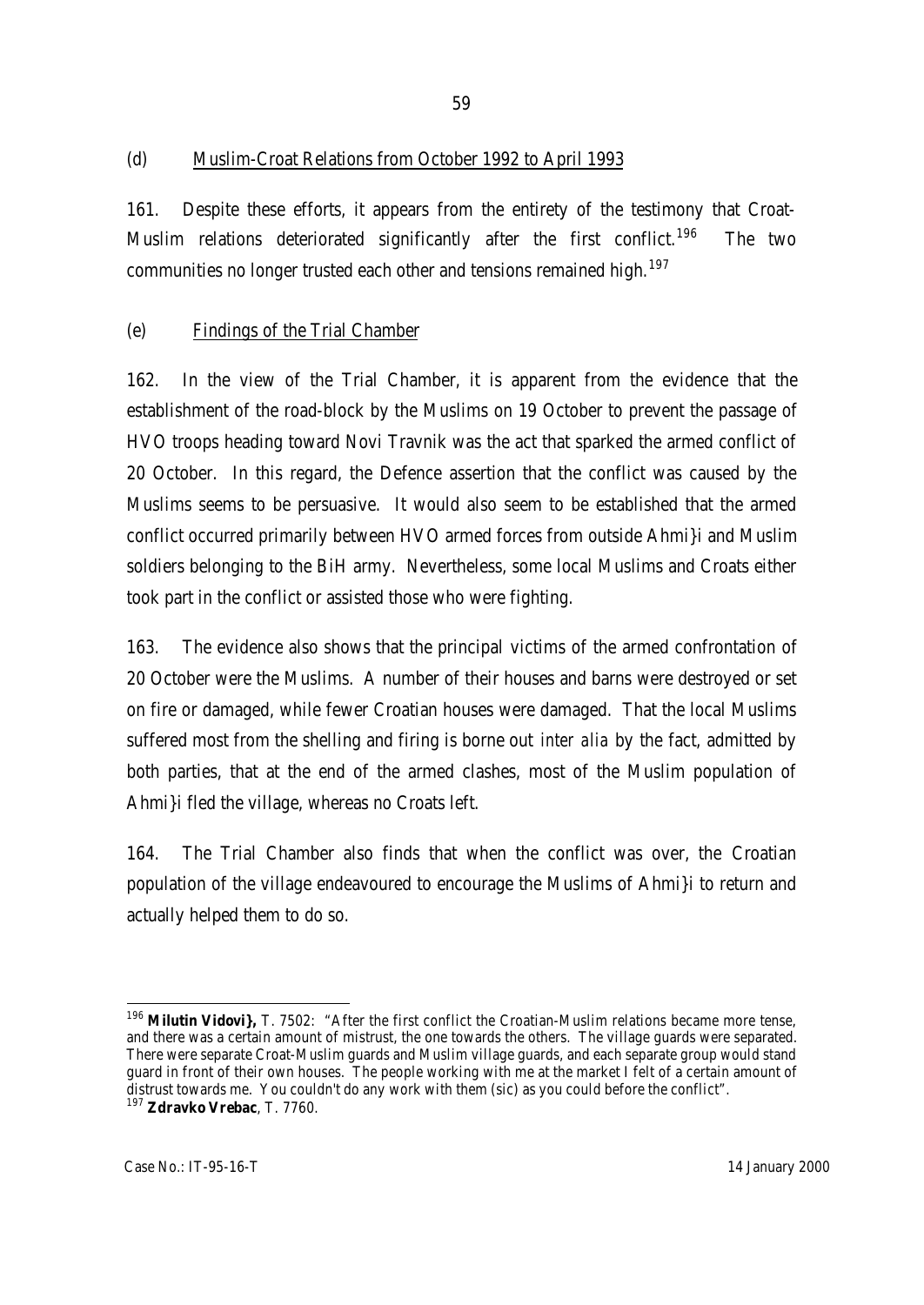59

# (d) Muslim-Croat Relations from October 1992 to April 1993

161. Despite these efforts, it appears from the entirety of the testimony that Croat-Muslim relations deteriorated significantly after the first conflict.<sup>196</sup> The two communities no longer trusted each other and tensions remained high.<sup>197</sup>

# (e) Findings of the Trial Chamber

162. In the view of the Trial Chamber, it is apparent from the evidence that the establishment of the road-block by the Muslims on 19 October to prevent the passage of HVO troops heading toward Novi Travnik was the act that sparked the armed conflict of 20 October. In this regard, the Defence assertion that the conflict was caused by the Muslims seems to be persuasive. It would also seem to be established that the armed conflict occurred primarily between HVO armed forces from outside Ahmi}i and Muslim soldiers belonging to the BiH army. Nevertheless, some local Muslims and Croats either took part in the conflict or assisted those who were fighting.

163. The evidence also shows that the principal victims of the armed confrontation of 20 October were the Muslims. A number of their houses and barns were destroyed or set on fire or damaged, while fewer Croatian houses were damaged. That the local Muslims suffered most from the shelling and firing is borne out *inter alia* by the fact, admitted by both parties, that at the end of the armed clashes, most of the Muslim population of Ahmi}i fled the village, whereas no Croats left.

164. The Trial Chamber also finds that when the conflict was over, the Croatian population of the village endeavoured to encourage the Muslims of Ahmi}i to return and actually helped them to do so.

l <sup>196</sup> **Milutin Vidovi},** T. 7502: "After the first conflict the Croatian-Muslim relations became more tense, and there was a certain amount of mistrust, the one towards the others. The village guards were separated. There were separate Croat-Muslim guards and Muslim village guards, and each separate group would stand guard in front of their own houses. The people working with me at the market I felt of a certain amount of distrust towards me. You couldn't do any work with them (sic) as you could before the conflict". <sup>197</sup> **Zdravko Vrebac**, T. 7760.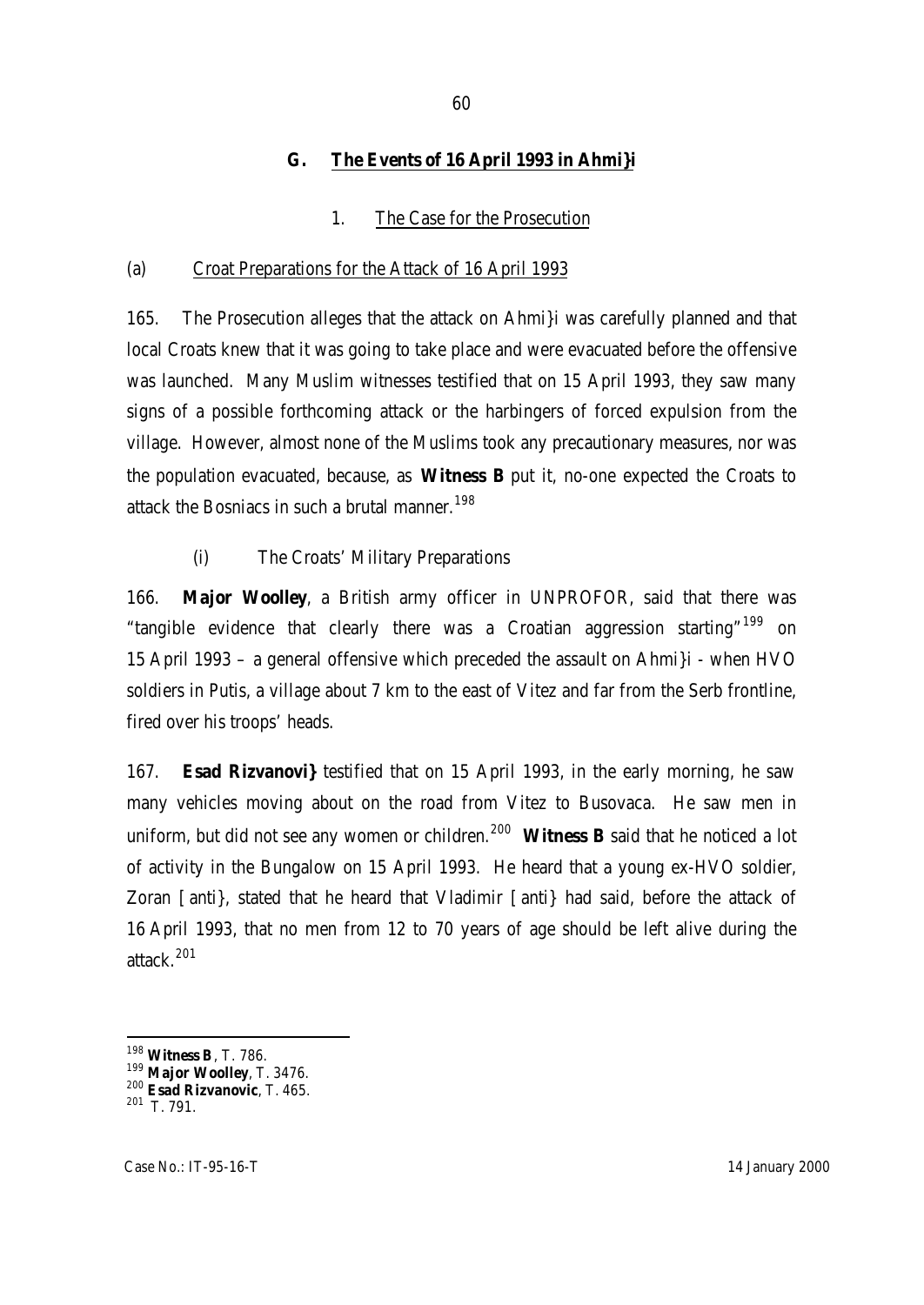# **G. The Events of 16 April 1993 in Ahmi}i**

### 1. The Case for the Prosecution

#### (a) Croat Preparations for the Attack of 16 April 1993

165. The Prosecution alleges that the attack on Ahmi}i was carefully planned and that local Croats knew that it was going to take place and were evacuated before the offensive was launched. Many Muslim witnesses testified that on 15 April 1993, they saw many signs of a possible forthcoming attack or the harbingers of forced expulsion from the village. However, almost none of the Muslims took any precautionary measures, nor was the population evacuated, because, as **Witness B** put it, no-one expected the Croats to attack the Bosniacs in such a brutal manner.<sup>198</sup>

### (i) The Croats' Military Preparations

166. **Major Woolley**, a British army officer in UNPROFOR, said that there was "tangible evidence that clearly there was a Croatian aggression starting"  $199$  on 15 April 1993 – a general offensive which preceded the assault on Ahmi}i - when HVO soldiers in Putis, a village about 7 km to the east of Vitez and far from the Serb frontline, fired over his troops' heads.

167. **Esad Rizvanovi}** testified that on 15 April 1993, in the early morning, he saw many vehicles moving about on the road from Vitez to Busovaca. He saw men in uniform, but did not see any women or children.<sup>200</sup> Witness B said that he noticed a lot of activity in the Bungalow on 15 April 1993. He heard that a young ex-HVO soldier, Zoran [anti}, stated that he heard that Vladimir [anti} had said, before the attack of 16 April 1993, that no men from 12 to 70 years of age should be left alive during the attack.<sup>201</sup>

<sup>198</sup> **Witness B**, T. 786.

<sup>199</sup> **Major Woolley**, T. 3476.

<sup>200</sup> **Esad Rizvanovic**, T. 465.

<sup>&</sup>lt;sup>201</sup> T. 791.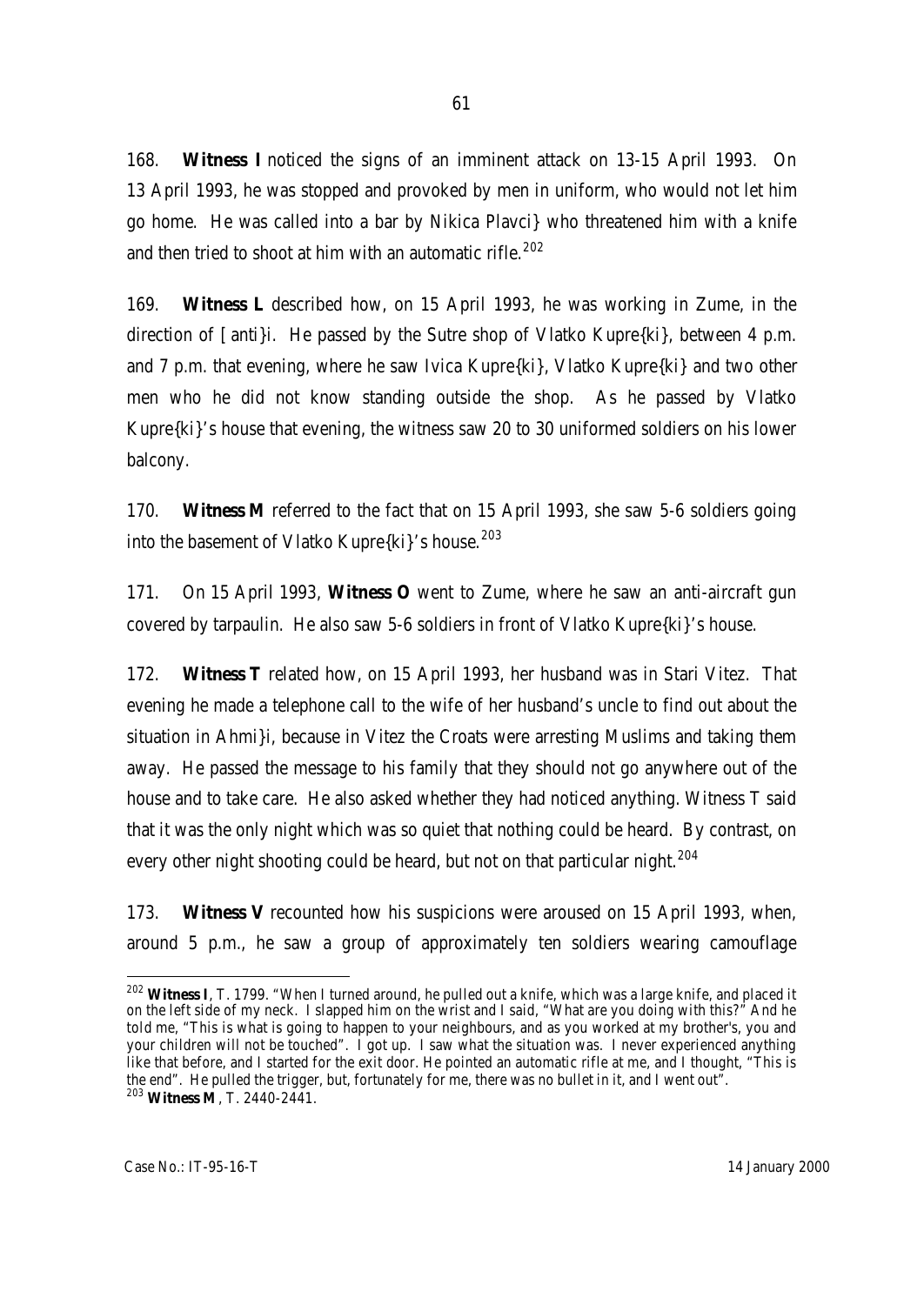168. **Witness I** noticed the signs of an imminent attack on 13-15 April 1993. On 13 April 1993, he was stopped and provoked by men in uniform, who would not let him go home. He was called into a bar by Nikica Plavci} who threatened him with a knife and then tried to shoot at him with an automatic rifle.<sup>202</sup>

169. **Witness L** described how, on 15 April 1993, he was working in Zume, in the direction of [anti}i. He passed by the Sutre shop of Vlatko Kupre{ki}, between 4 p.m. and 7 p.m. that evening, where he saw Ivica Kupre{ki}, Vlatko Kupre{ki} and two other men who he did not know standing outside the shop. As he passed by Vlatko Kupre{ki}'s house that evening, the witness saw 20 to 30 uniformed soldiers on his lower balcony.

170. **Witness M** referred to the fact that on 15 April 1993, she saw 5-6 soldiers going into the basement of Vlatko Kupre $\{ki\}'$ s house.<sup>203</sup>

171. On 15 April 1993, **Witness O** went to Zume, where he saw an anti-aircraft gun covered by tarpaulin. He also saw 5-6 soldiers in front of Vlatko Kupre{ki}'s house.

172. **Witness T** related how, on 15 April 1993, her husband was in Stari Vitez. That evening he made a telephone call to the wife of her husband's uncle to find out about the situation in Ahmi}i, because in Vitez the Croats were arresting Muslims and taking them away. He passed the message to his family that they should not go anywhere out of the house and to take care. He also asked whether they had noticed anything. Witness T said that it was the only night which was so quiet that nothing could be heard. By contrast, on every other night shooting could be heard, but not on that particular night.<sup>204</sup>

173. **Witness V** recounted how his suspicions were aroused on 15 April 1993, when, around 5 p.m., he saw a group of approximately ten soldiers wearing camouflage

<sup>202</sup> **Witness I**, T. 1799. "When I turned around, he pulled out a knife, which was a large knife, and placed it on the left side of my neck. I slapped him on the wrist and I said, "What are you doing with this?" And he told me, "This is what is going to happen to your neighbours, and as you worked at my brother's, you and your children will not be touched". I got up. I saw what the situation was. I never experienced anything like that before, and I started for the exit door. He pointed an automatic rifle at me, and I thought, "This is the end". He pulled the trigger, but, fortunately for me, there was no bullet in it, and I went out". <sup>203</sup> **Witness M**, T. 2440-2441.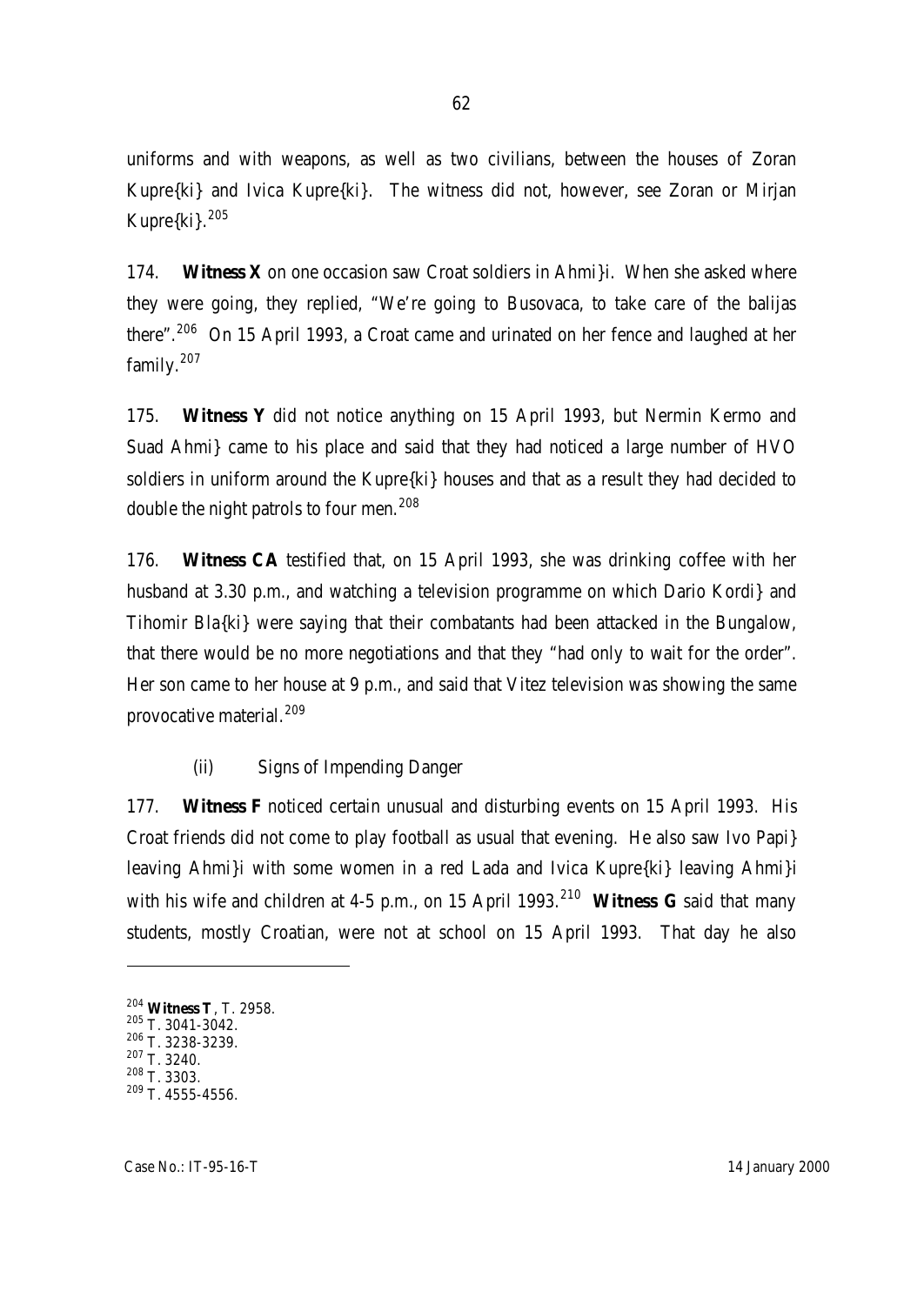uniforms and with weapons, as well as two civilians, between the houses of Zoran Kupre{ki} and Ivica Kupre{ki}. The witness did not, however, see Zoran or Mirjan Kupre $\{ki\}$ .<sup>205</sup>

174. **Witness X** on one occasion saw Croat soldiers in Ahmi}i. When she asked where they were going, they replied, "We're going to Busovaca, to take care of the balijas there".<sup>206</sup> On 15 April 1993, a Croat came and urinated on her fence and laughed at her family.<sup>207</sup>

175. **Witness Y** did not notice anything on 15 April 1993, but Nermin Kermo and Suad Ahmi} came to his place and said that they had noticed a large number of HVO soldiers in uniform around the Kupre{ki} houses and that as a result they had decided to double the night patrols to four men.<sup>208</sup>

176. **Witness CA** testified that, on 15 April 1993, she was drinking coffee with her husband at 3.30 p.m., and watching a television programme on which Dario Kordi} and Tihomir Bla{ki} were saying that their combatants had been attacked in the Bungalow, that there would be no more negotiations and that they "had only to wait for the order". Her son came to her house at 9 p.m., and said that Vitez television was showing the same provocative material.<sup>209</sup>

(ii) Signs of Impending Danger

177. **Witness F** noticed certain unusual and disturbing events on 15 April 1993. His Croat friends did not come to play football as usual that evening. He also saw Ivo Papi} leaving Ahmi}i with some women in a red Lada and Ivica Kupre{ki} leaving Ahmi}i with his wife and children at 4-5 p.m., on 15 April 1993.<sup>210</sup> Witness G said that many students, mostly Croatian, were not at school on 15 April 1993. That day he also

<sup>204</sup> **Witness T**, T. 2958.

<sup>205</sup> T. 3041-3042.

<sup>206</sup> T. 3238-3239.

<sup>207</sup> T. 3240. <sup>208</sup> T. 3303.

<sup>209</sup> T. 4555-4556.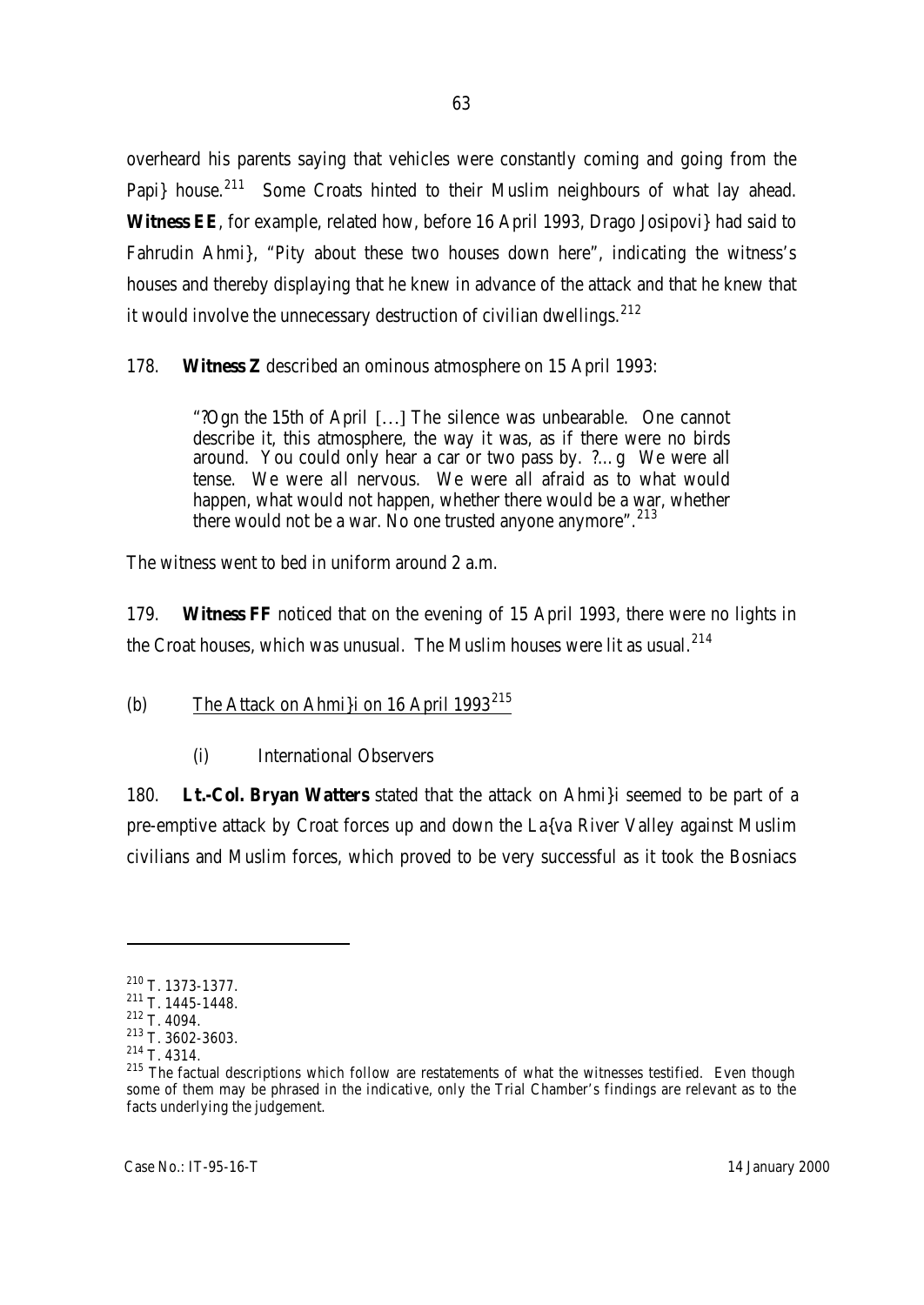overheard his parents saying that vehicles were constantly coming and going from the Papi} house.<sup>211</sup> Some Croats hinted to their Muslim neighbours of what lay ahead. **Witness EE**, for example, related how, before 16 April 1993, Drago Josipovi} had said to Fahrudin Ahmi}, "Pity about these two houses down here", indicating the witness's houses and thereby displaying that he knew in advance of the attack and that he knew that it would involve the unnecessary destruction of civilian dwellings.  $2^{12}$ 

178. **Witness Z** described an ominous atmosphere on 15 April 1993:

"?Ogn the 15th of April […] The silence was unbearable. One cannot describe it, this atmosphere, the way it was, as if there were no birds around. You could only hear a car or two pass by. ?…g We were all tense. We were all nervous. We were all afraid as to what would happen, what would not happen, whether there would be a war, whether there would not be a war. No one trusted anyone anymore".<sup>213</sup>

The witness went to bed in uniform around 2 a.m.

179. **Witness FF** noticed that on the evening of 15 April 1993, there were no lights in the Croat houses, which was unusual. The Muslim houses were lit as usual. $^{214}$ 

# (b) The Attack on Ahmi } i on 16 April 1993<sup>215</sup>

# (i) International Observers

180. **Lt.-Col. Bryan Watters** stated that the attack on Ahmi}i seemed to be part of a pre-emptive attack by Croat forces up and down the La{va River Valley against Muslim civilians and Muslim forces, which proved to be very successful as it took the Bosniacs

<sup>210</sup> T. 1373-1377.

<sup>211</sup> T. 1445-1448.

<sup>212</sup> T. 4094.

<sup>213</sup> T. 3602-3603.

<sup>214</sup> T. 4314.

<sup>&</sup>lt;sup>215</sup> The factual descriptions which follow are restatements of what the witnesses testified. Even though some of them may be phrased in the indicative, only the Trial Chamber's findings are relevant as to the facts underlying the judgement.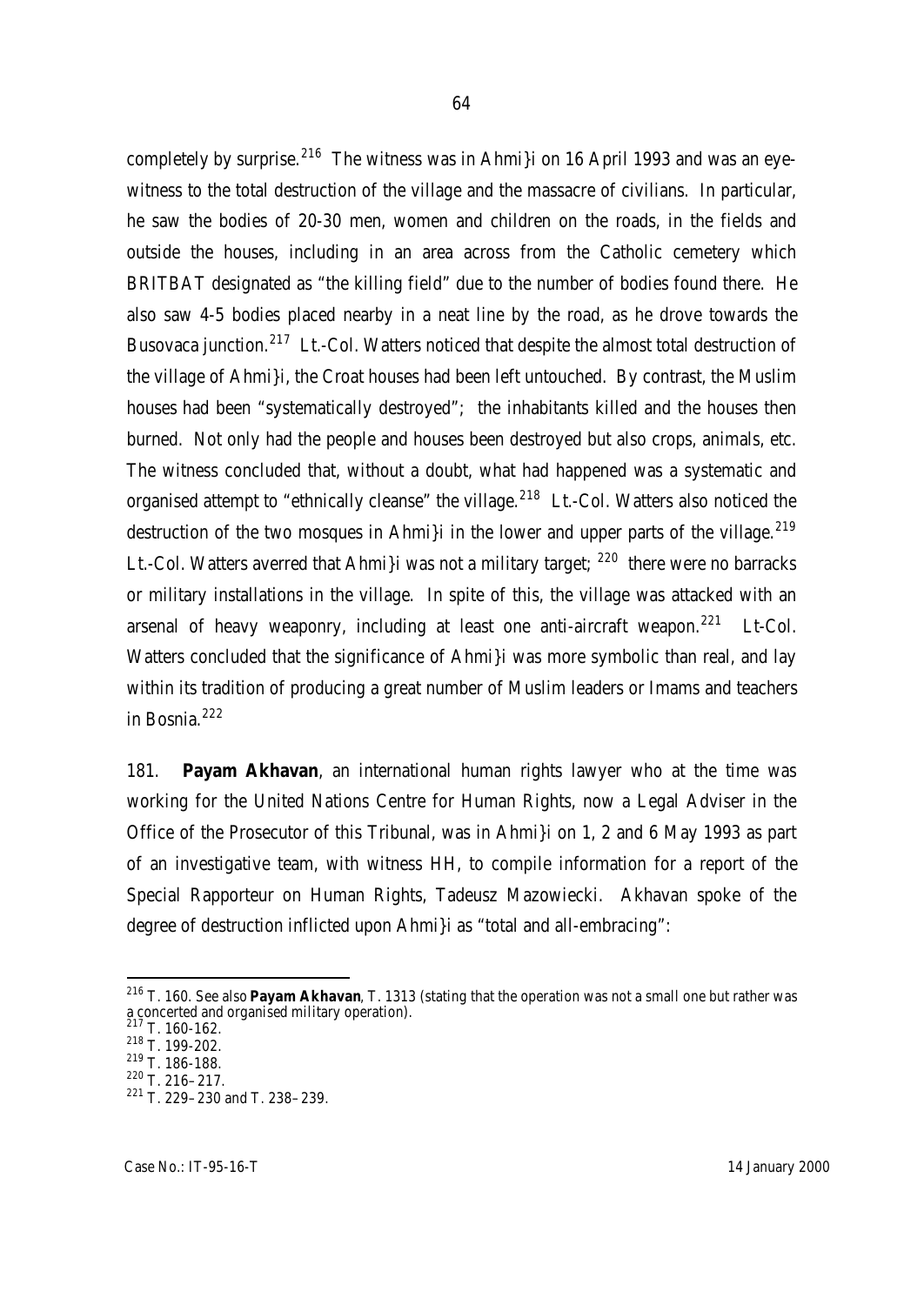completely by surprise.<sup>216</sup> The witness was in Ahmi}i on 16 April 1993 and was an eyewitness to the total destruction of the village and the massacre of civilians. In particular, he saw the bodies of 20-30 men, women and children on the roads, in the fields and outside the houses, including in an area across from the Catholic cemetery which BRITBAT designated as "the killing field" due to the number of bodies found there. He also saw 4-5 bodies placed nearby in a neat line by the road, as he drove towards the Busovaca junction.<sup>217</sup> Lt.-Col. Watters noticed that despite the almost total destruction of the village of Ahmi}i, the Croat houses had been left untouched. By contrast, the Muslim houses had been "systematically destroyed"; the inhabitants killed and the houses then burned. Not only had the people and houses been destroyed but also crops, animals, etc. The witness concluded that, without a doubt, what had happened was a systematic and organised attempt to "ethnically cleanse" the village.<sup>218</sup> Lt.-Col. Watters also noticed the destruction of the two mosques in Ahmi i in the lower and upper parts of the village.<sup>219</sup> Lt.-Col. Watters averred that Ahmi i was not a military target;  $^{220}$  there were no barracks or military installations in the village. In spite of this, the village was attacked with an arsenal of heavy weaponry, including at least one anti-aircraft weapon. $221$  Lt-Col. Watters concluded that the significance of Ahmi}i was more symbolic than real, and lay within its tradition of producing a great number of Muslim leaders or Imams and teachers in Bosnia. $222$ 

181. **Payam Akhavan**, an international human rights lawyer who at the time was working for the United Nations Centre for Human Rights, now a Legal Adviser in the Office of the Prosecutor of this Tribunal, was in Ahmi}i on 1, 2 and 6 May 1993 as part of an investigative team, with witness HH, to compile information for a report of the Special Rapporteur on Human Rights, Tadeusz Mazowiecki. Akhavan spoke of the degree of destruction inflicted upon Ahmi}i as "total and all-embracing":

<sup>216</sup> T. 160. See also **Payam Akhavan**, T. 1313 (stating that the operation was not a small one but rather was a concerted and organised military operation).

 $^{217}$  T. 160-162.

<sup>218</sup> T. 199-202.

 $^{219}$  T. 186-188. <sup>220</sup> T. 216–217.

<sup>221</sup> T. 229–230 and T. 238–239.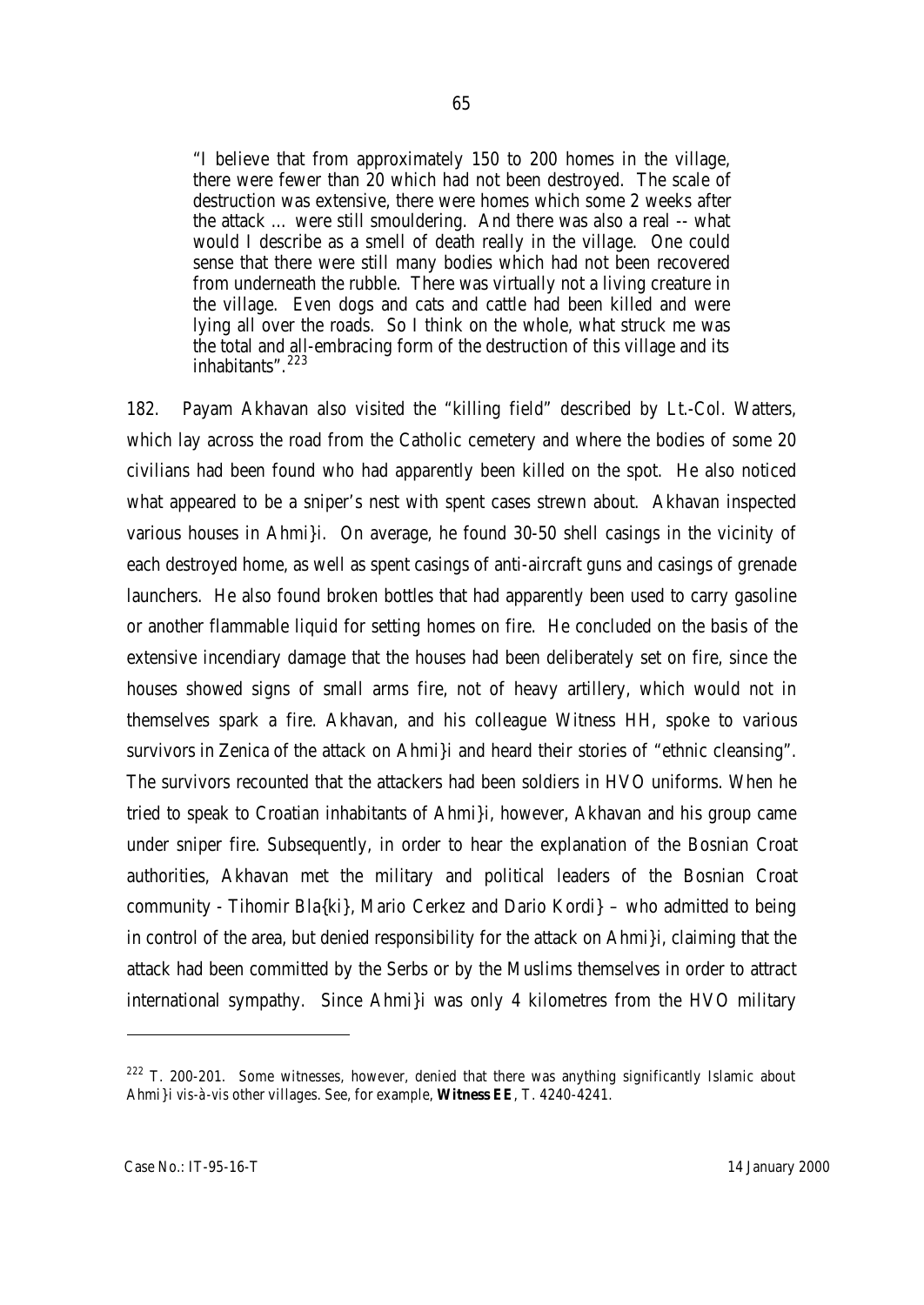"I believe that from approximately 150 to 200 homes in the village, there were fewer than 20 which had not been destroyed. The scale of destruction was extensive, there were homes which some 2 weeks after the attack … were still smouldering. And there was also a real -- what would I describe as a smell of death really in the village. One could sense that there were still many bodies which had not been recovered from underneath the rubble. There was virtually not a living creature in the village. Even dogs and cats and cattle had been killed and were lying all over the roads. So I think on the whole, what struck me was the total and all-embracing form of the destruction of this village and its inhabitants".<sup>223</sup>

182. Payam Akhavan also visited the "killing field" described by Lt.-Col. Watters, which lay across the road from the Catholic cemetery and where the bodies of some 20 civilians had been found who had apparently been killed on the spot. He also noticed what appeared to be a sniper's nest with spent cases strewn about. Akhavan inspected various houses in Ahmi}i. On average, he found 30-50 shell casings in the vicinity of each destroyed home, as well as spent casings of anti-aircraft guns and casings of grenade launchers. He also found broken bottles that had apparently been used to carry gasoline or another flammable liquid for setting homes on fire. He concluded on the basis of the extensive incendiary damage that the houses had been deliberately set on fire, since the houses showed signs of small arms fire, not of heavy artillery, which would not in themselves spark a fire. Akhavan, and his colleague Witness HH, spoke to various survivors in Zenica of the attack on Ahmi}i and heard their stories of "ethnic cleansing". The survivors recounted that the attackers had been soldiers in HVO uniforms. When he tried to speak to Croatian inhabitants of Ahmi}i, however, Akhavan and his group came under sniper fire. Subsequently, in order to hear the explanation of the Bosnian Croat authorities, Akhavan met the military and political leaders of the Bosnian Croat community - Tihomir Bla{ki}, Mario Cerkez and Dario Kordi} – who admitted to being in control of the area, but denied responsibility for the attack on Ahmi}i, claiming that the attack had been committed by the Serbs or by the Muslims themselves in order to attract international sympathy. Since Ahmi}i was only 4 kilometres from the HVO military

<sup>&</sup>lt;sup>222</sup> T. 200-201. Some witnesses, however, denied that there was anything significantly Islamic about Ahmi}i *vis-à-vis* other villages. See, for example, **Witness EE**, T. 4240-4241.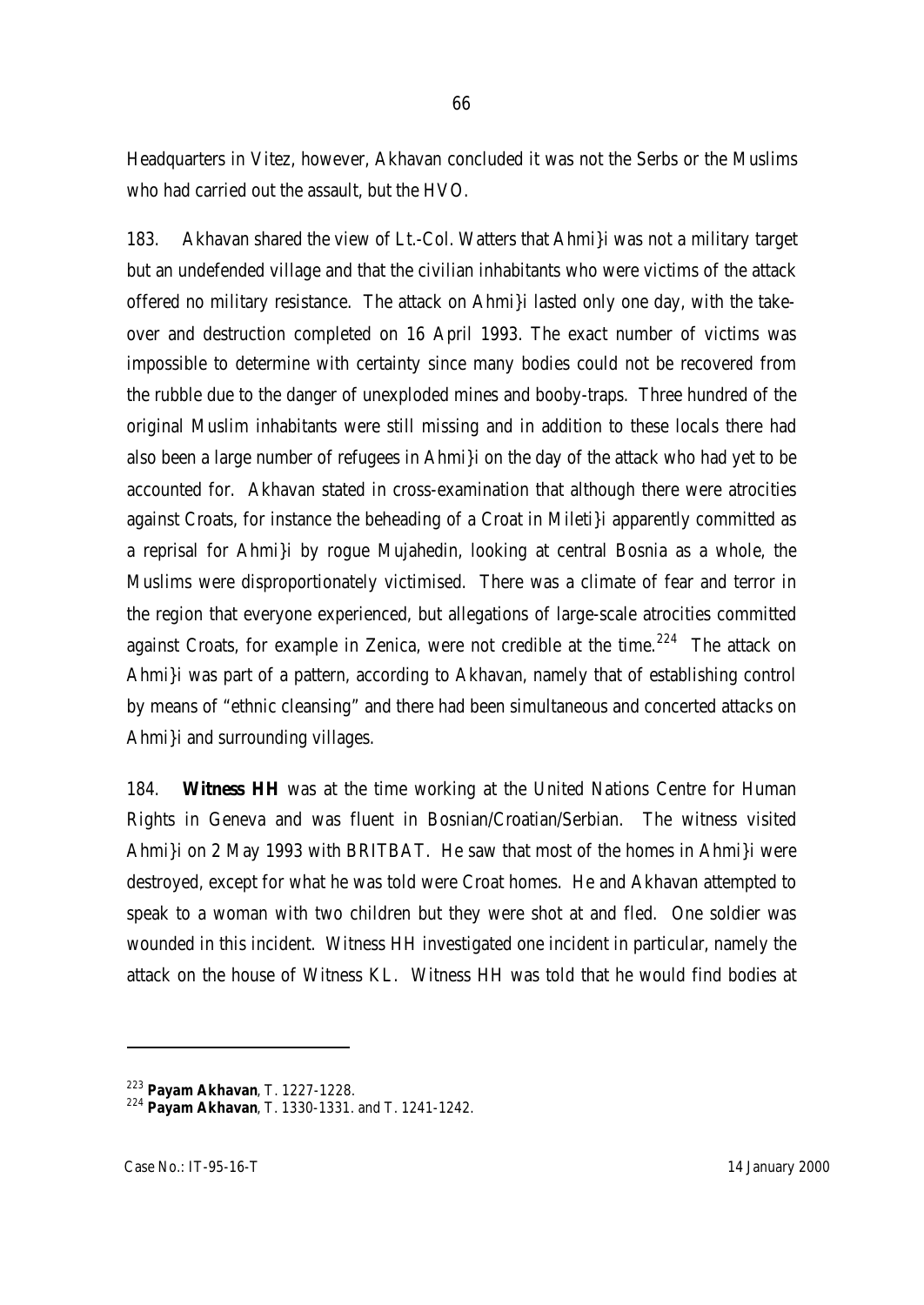Headquarters in Vitez, however, Akhavan concluded it was not the Serbs or the Muslims who had carried out the assault, but the HVO.

183. Akhavan shared the view of Lt.-Col. Watters that Ahmi}i was not a military target but an undefended village and that the civilian inhabitants who were victims of the attack offered no military resistance. The attack on Ahmi}i lasted only one day, with the takeover and destruction completed on 16 April 1993. The exact number of victims was impossible to determine with certainty since many bodies could not be recovered from the rubble due to the danger of unexploded mines and booby-traps. Three hundred of the original Muslim inhabitants were still missing and in addition to these locals there had also been a large number of refugees in Ahmi}i on the day of the attack who had yet to be accounted for. Akhavan stated in cross-examination that although there were atrocities against Croats, for instance the beheading of a Croat in Mileti}i apparently committed as a reprisal for Ahmi}i by rogue Mujahedin, looking at central Bosnia as a whole, the Muslims were disproportionately victimised. There was a climate of fear and terror in the region that everyone experienced, but allegations of large-scale atrocities committed against Croats, for example in Zenica, were not credible at the time.<sup>224</sup> The attack on Ahmi}i was part of a pattern, according to Akhavan, namely that of establishing control by means of "ethnic cleansing" and there had been simultaneous and concerted attacks on Ahmi}i and surrounding villages.

184. **Witness HH** was at the time working at the United Nations Centre for Human Rights in Geneva and was fluent in Bosnian/Croatian/Serbian. The witness visited Ahmi}i on 2 May 1993 with BRITBAT. He saw that most of the homes in Ahmi}i were destroyed, except for what he was told were Croat homes. He and Akhavan attempted to speak to a woman with two children but they were shot at and fled. One soldier was wounded in this incident. Witness HH investigated one incident in particular, namely the attack on the house of Witness KL. Witness HH was told that he would find bodies at

<sup>223</sup> **Payam Akhavan**, T. 1227-1228.

<sup>224</sup> **Payam Akhavan**, T. 1330-1331. and T. 1241-1242.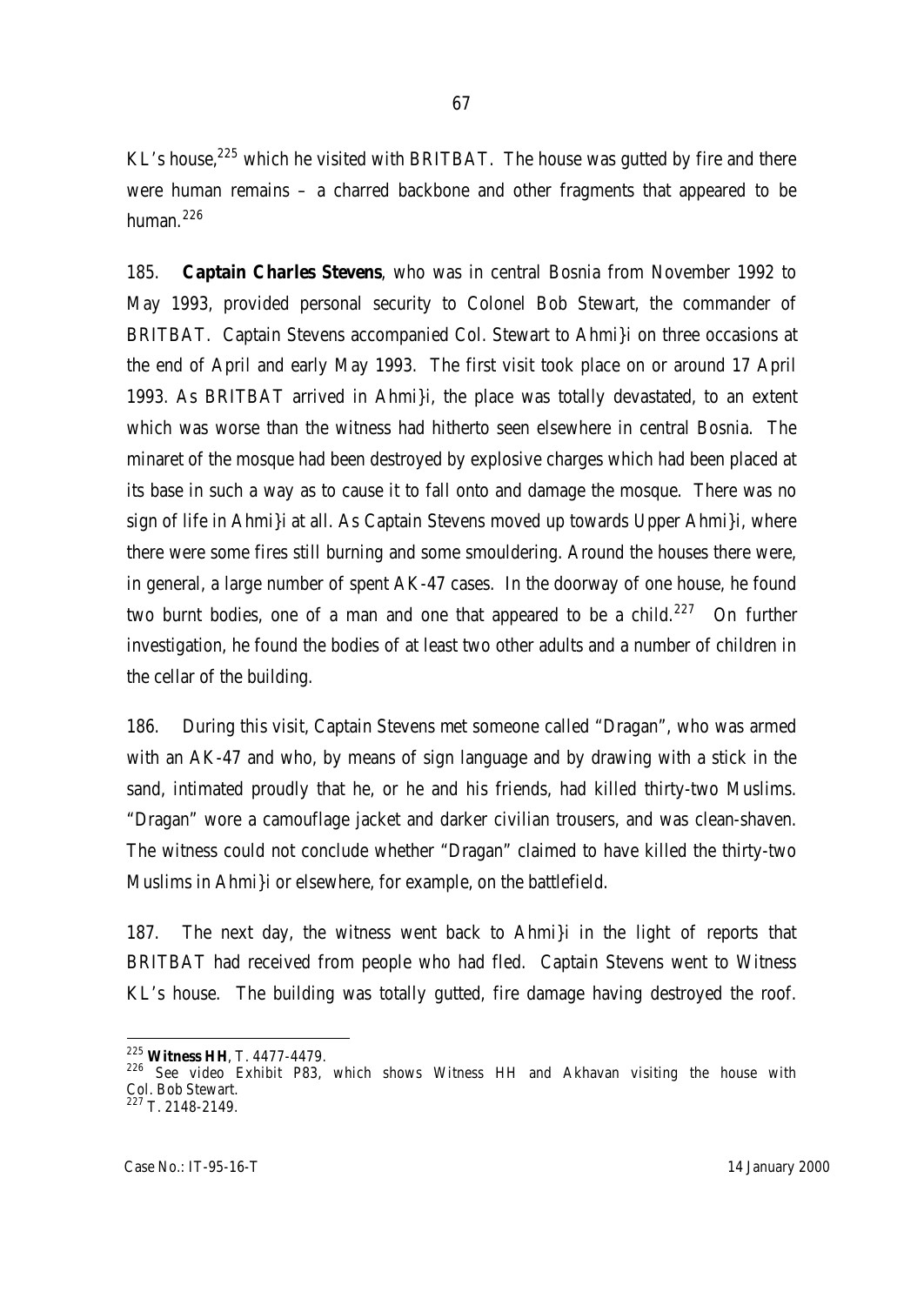$KL$ 's house,<sup>225</sup> which he visited with BRITBAT. The house was gutted by fire and there were human remains – a charred backbone and other fragments that appeared to be human.<sup>226</sup>

185. **Captain Charles Stevens**, who was in central Bosnia from November 1992 to May 1993, provided personal security to Colonel Bob Stewart, the commander of BRITBAT. Captain Stevens accompanied Col. Stewart to Ahmi}i on three occasions at the end of April and early May 1993. The first visit took place on or around 17 April 1993. As BRITBAT arrived in Ahmi}i, the place was totally devastated, to an extent which was worse than the witness had hitherto seen elsewhere in central Bosnia. The minaret of the mosque had been destroyed by explosive charges which had been placed at its base in such a way as to cause it to fall onto and damage the mosque. There was no sign of life in Ahmi}i at all. As Captain Stevens moved up towards Upper Ahmi}i, where there were some fires still burning and some smouldering. Around the houses there were, in general, a large number of spent AK-47 cases. In the doorway of one house, he found two burnt bodies, one of a man and one that appeared to be a child.<sup>227</sup> On further investigation, he found the bodies of at least two other adults and a number of children in the cellar of the building.

186. During this visit, Captain Stevens met someone called "Dragan", who was armed with an AK-47 and who, by means of sign language and by drawing with a stick in the sand, intimated proudly that he, or he and his friends, had killed thirty-two Muslims. "Dragan" wore a camouflage jacket and darker civilian trousers, and was clean-shaven. The witness could not conclude whether "Dragan" claimed to have killed the thirty-two Muslims in Ahmi}i or elsewhere, for example, on the battlefield.

187. The next day, the witness went back to Ahmi}i in the light of reports that BRITBAT had received from people who had fled. Captain Stevens went to Witness KL's house. The building was totally gutted, fire damage having destroyed the roof.

<sup>225</sup> **Witness HH**, T. 4477-4479.

 $226$  See video Exhibit P83, which shows Witness HH and Akhavan visiting the house with Col. Bob Stewart.

<sup>&</sup>lt;sup>227</sup> T. 2148-2149.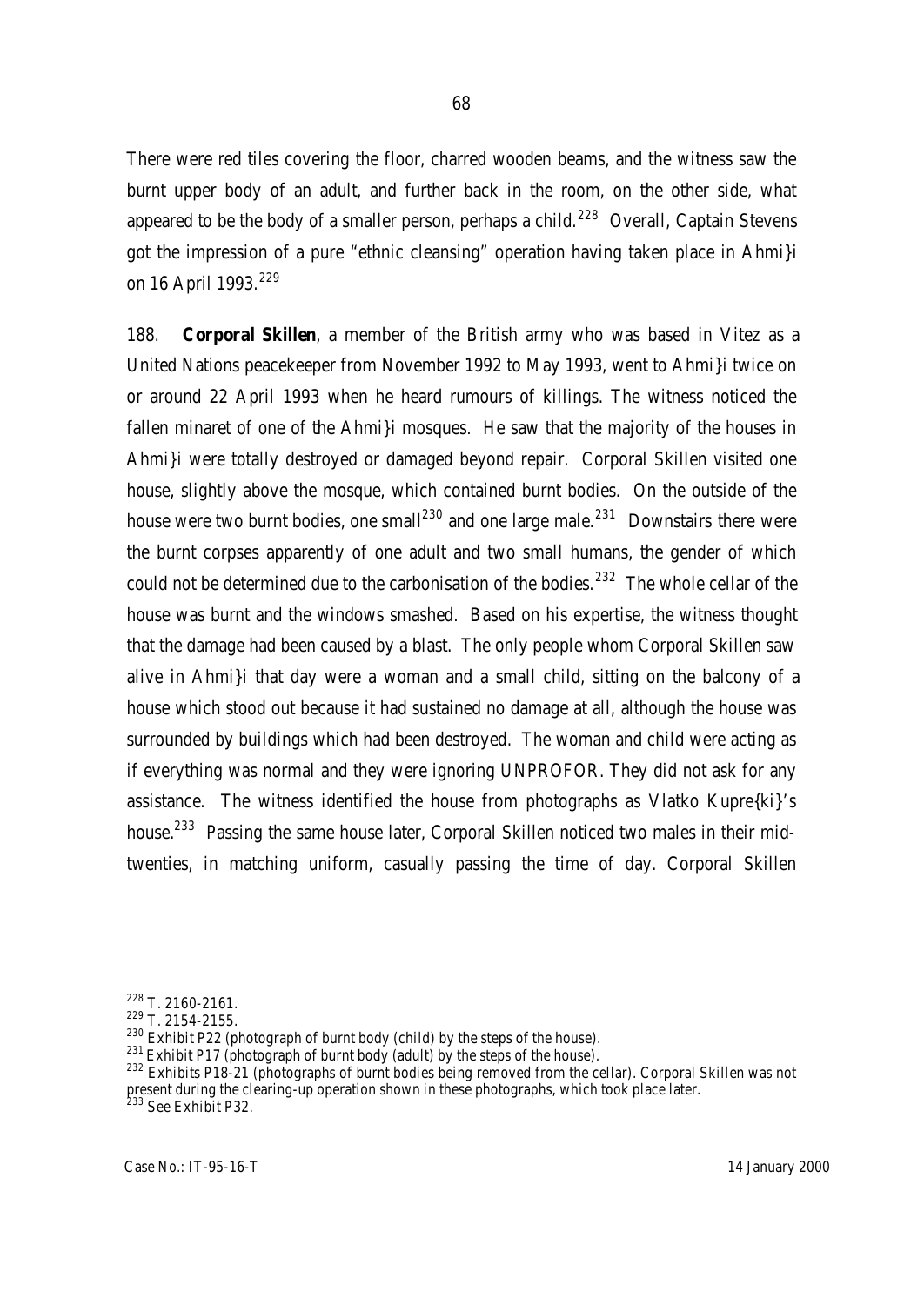There were red tiles covering the floor, charred wooden beams, and the witness saw the burnt upper body of an adult, and further back in the room, on the other side, what appeared to be the body of a smaller person, perhaps a child.<sup>228</sup> Overall, Captain Stevens got the impression of a pure "ethnic cleansing" operation having taken place in Ahmi}i on 16 April 1993.<sup>229</sup>

188. **Corporal Skillen**, a member of the British army who was based in Vitez as a United Nations peacekeeper from November 1992 to May 1993, went to Ahmi}i twice on or around 22 April 1993 when he heard rumours of killings. The witness noticed the fallen minaret of one of the Ahmi}i mosques. He saw that the majority of the houses in Ahmi}i were totally destroyed or damaged beyond repair. Corporal Skillen visited one house, slightly above the mosque, which contained burnt bodies. On the outside of the house were two burnt bodies, one small<sup>230</sup> and one large male.<sup>231</sup> Downstairs there were the burnt corpses apparently of one adult and two small humans, the gender of which could not be determined due to the carbonisation of the bodies.<sup>232</sup> The whole cellar of the house was burnt and the windows smashed. Based on his expertise, the witness thought that the damage had been caused by a blast. The only people whom Corporal Skillen saw alive in Ahmi}i that day were a woman and a small child, sitting on the balcony of a house which stood out because it had sustained no damage at all, although the house was surrounded by buildings which had been destroyed. The woman and child were acting as if everything was normal and they were ignoring UNPROFOR. They did not ask for any assistance. The witness identified the house from photographs as Vlatko Kupre{ki}'s house.<sup>233</sup> Passing the same house later, Corporal Skillen noticed two males in their midtwenties, in matching uniform, casually passing the time of day. Corporal Skillen

 $\overline{a}$  $^{228}$  T. 2160-2161.

 $^{229}$  T. 2154-2155.

<sup>&</sup>lt;sup>230</sup> Exhibit P22 (photograph of burnt body (child) by the steps of the house).

 $^{231}$  Exhibit P17 (photograph of burnt body (adult) by the steps of the house).

<sup>&</sup>lt;sup>232</sup> Exhibits P18-21 (photographs of burnt bodies being removed from the cellar). Corporal Skillen was not present during the clearing-up operation shown in these photographs, which took place later. <sup>233</sup> See Exhibit P32.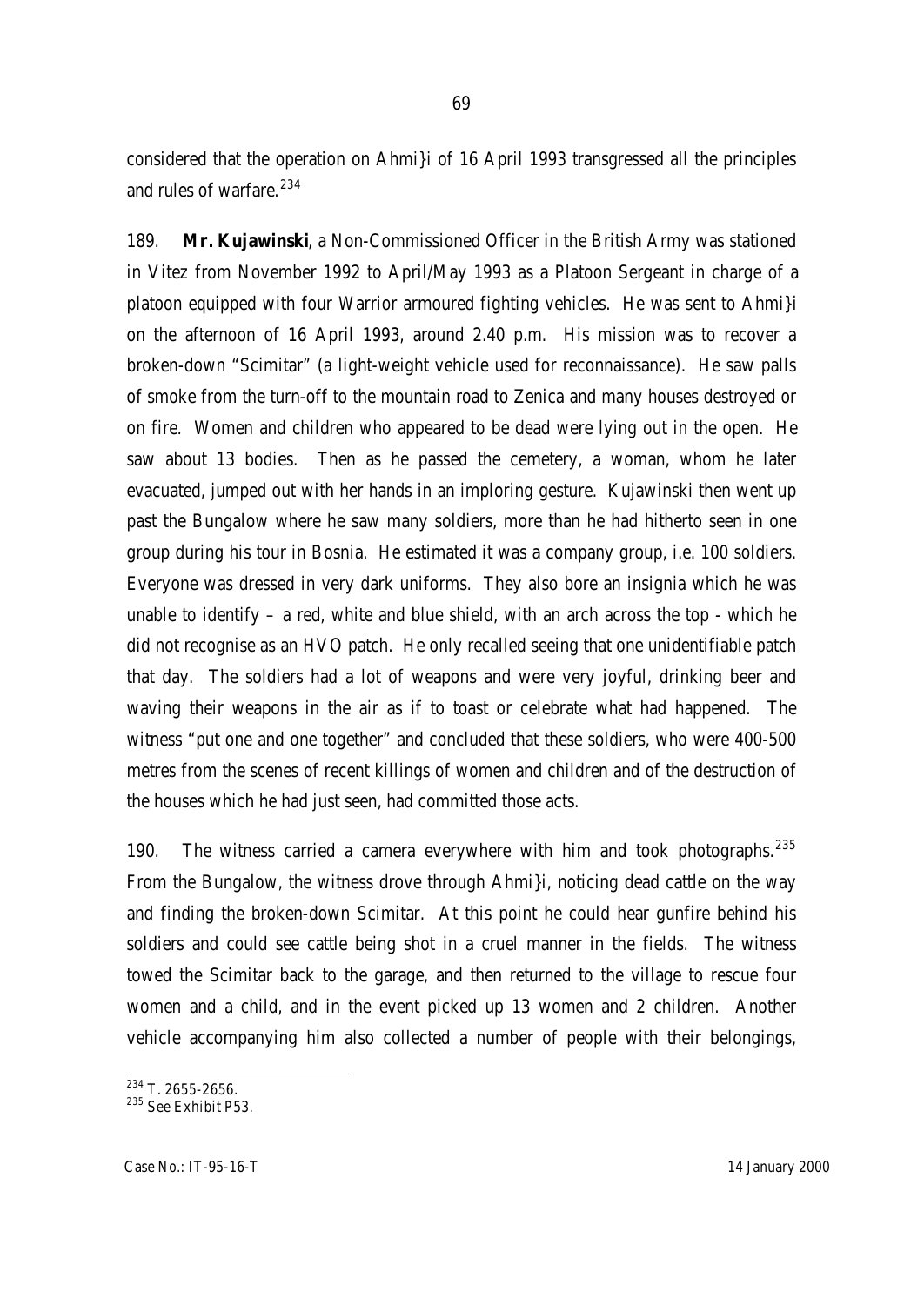189. **Mr. Kujawinski**, a Non-Commissioned Officer in the British Army was stationed in Vitez from November 1992 to April/May 1993 as a Platoon Sergeant in charge of a platoon equipped with four Warrior armoured fighting vehicles. He was sent to Ahmi}i on the afternoon of 16 April 1993, around 2.40 p.m. His mission was to recover a broken-down "Scimitar" (a light-weight vehicle used for reconnaissance). He saw palls of smoke from the turn-off to the mountain road to Zenica and many houses destroyed or on fire. Women and children who appeared to be dead were lying out in the open. He saw about 13 bodies. Then as he passed the cemetery, a woman, whom he later evacuated, jumped out with her hands in an imploring gesture. Kujawinski then went up past the Bungalow where he saw many soldiers, more than he had hitherto seen in one group during his tour in Bosnia. He estimated it was a company group, i.e. 100 soldiers. Everyone was dressed in very dark uniforms. They also bore an insignia which he was unable to identify – a red, white and blue shield, with an arch across the top - which he did not recognise as an HVO patch. He only recalled seeing that one unidentifiable patch that day. The soldiers had a lot of weapons and were very joyful, drinking beer and waving their weapons in the air as if to toast or celebrate what had happened. The witness "put one and one together" and concluded that these soldiers, who were 400-500 metres from the scenes of recent killings of women and children and of the destruction of the houses which he had just seen, had committed those acts.

190. The witness carried a camera everywhere with him and took photographs.  $235$ From the Bungalow, the witness drove through Ahmi}i, noticing dead cattle on the way and finding the broken-down Scimitar. At this point he could hear gunfire behind his soldiers and could see cattle being shot in a cruel manner in the fields. The witness towed the Scimitar back to the garage, and then returned to the village to rescue four women and a child, and in the event picked up 13 women and 2 children. Another vehicle accompanying him also collected a number of people with their belongings,

 $\overline{\phantom{a}}$ <sup>234</sup> T. 2655-2656.

<sup>235</sup> See Exhibit P53.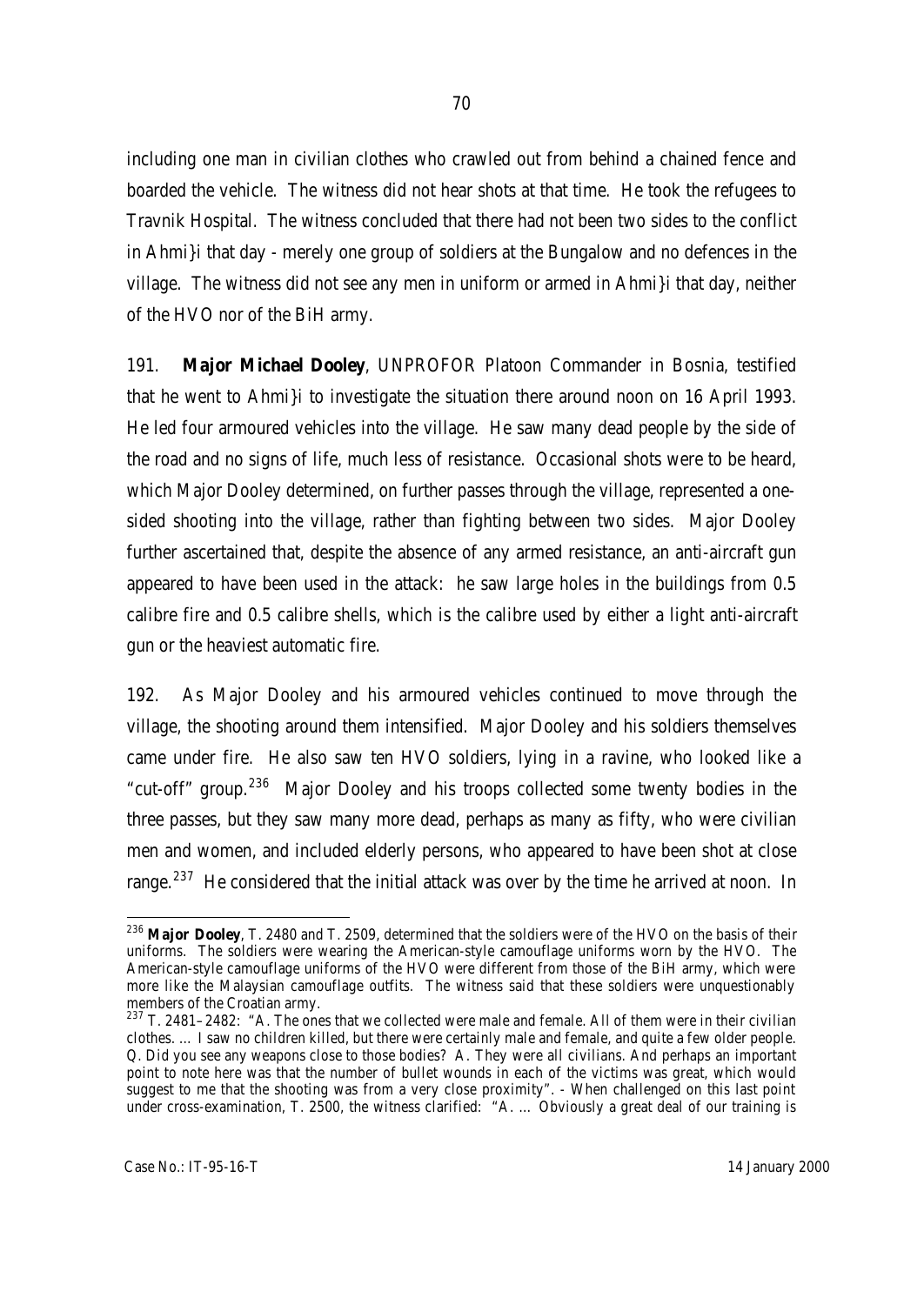including one man in civilian clothes who crawled out from behind a chained fence and boarded the vehicle. The witness did not hear shots at that time. He took the refugees to Travnik Hospital. The witness concluded that there had not been two sides to the conflict in Ahmi}i that day - merely one group of soldiers at the Bungalow and no defences in the village. The witness did not see any men in uniform or armed in Ahmi}i that day, neither of the HVO nor of the BiH army.

191. **Major Michael Dooley**, UNPROFOR Platoon Commander in Bosnia, testified that he went to Ahmi}i to investigate the situation there around noon on 16 April 1993. He led four armoured vehicles into the village. He saw many dead people by the side of the road and no signs of life, much less of resistance. Occasional shots were to be heard, which Major Dooley determined, on further passes through the village, represented a onesided shooting into the village, rather than fighting between two sides. Major Dooley further ascertained that, despite the absence of any armed resistance, an anti-aircraft gun appeared to have been used in the attack: he saw large holes in the buildings from 0.5 calibre fire and 0.5 calibre shells, which is the calibre used by either a light anti-aircraft gun or the heaviest automatic fire.

192. As Major Dooley and his armoured vehicles continued to move through the village, the shooting around them intensified. Major Dooley and his soldiers themselves came under fire. He also saw ten HVO soldiers, lying in a ravine, who looked like a "cut-off" group.<sup>236</sup> Major Dooley and his troops collected some twenty bodies in the three passes, but they saw many more dead, perhaps as many as fifty, who were civilian men and women, and included elderly persons, who appeared to have been shot at close range.<sup>237</sup> He considered that the initial attack was over by the time he arrived at noon. In

l <sup>236</sup> **Major Dooley**, T. 2480 and T. 2509, determined that the soldiers were of the HVO on the basis of their uniforms. The soldiers were wearing the American-style camouflage uniforms worn by the HVO. The American-style camouflage uniforms of the HVO were different from those of the BiH army, which were more like the Malaysian camouflage outfits. The witness said that these soldiers were unquestionably members of the Croatian army.

 $237$  T. 2481–2482: "A. The ones that we collected were male and female. All of them were in their civilian clothes. … I saw no children killed, but there were certainly male and female, and quite a few older people. Q. Did you see any weapons close to those bodies? A. They were all civilians. And perhaps an important point to note here was that the number of bullet wounds in each of the victims was great, which would suggest to me that the shooting was from a very close proximity". - When challenged on this last point under cross-examination, T. 2500, the witness clarified: "A. … Obviously a great deal of our training is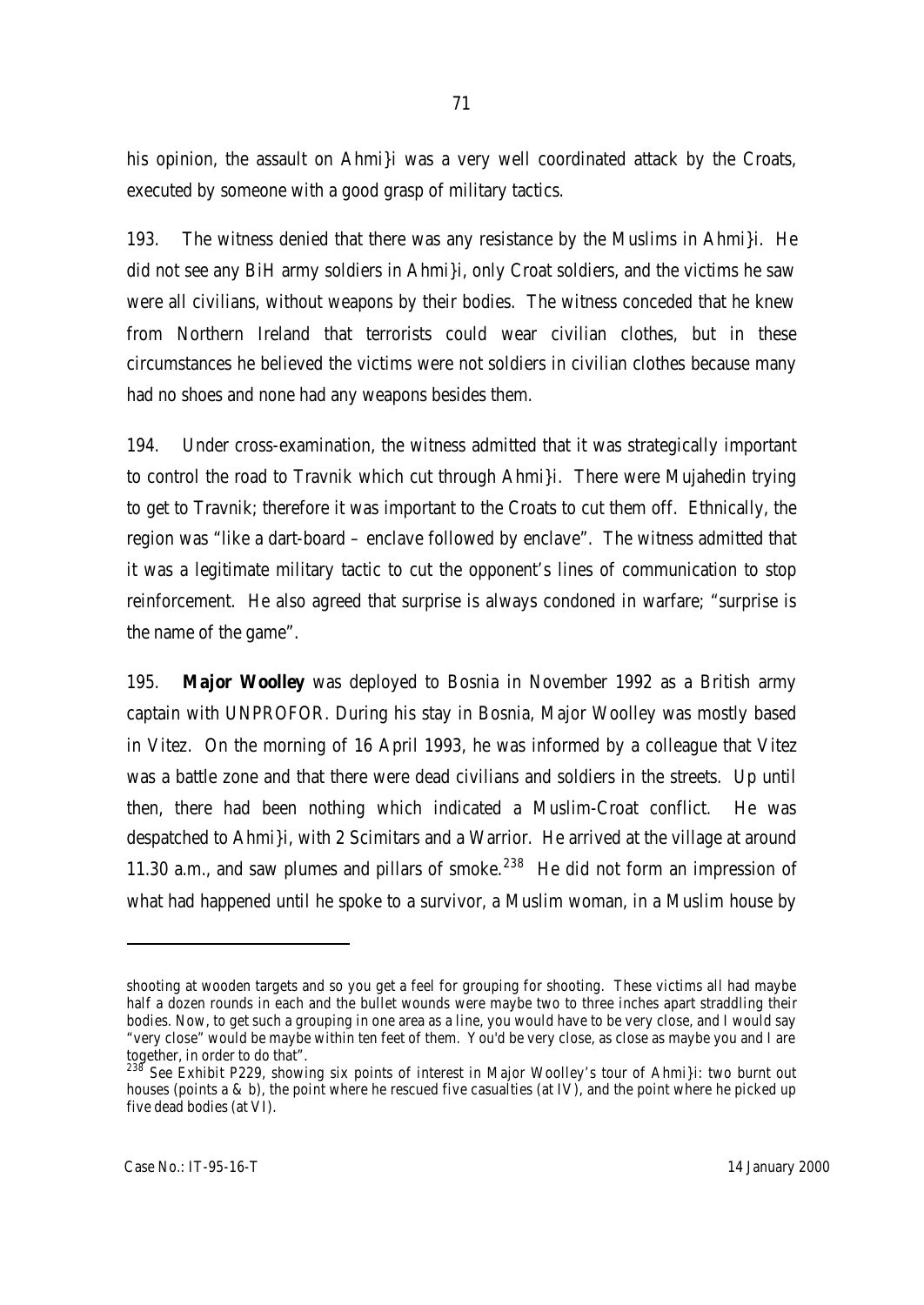his opinion, the assault on Ahmi}i was a very well coordinated attack by the Croats, executed by someone with a good grasp of military tactics.

193. The witness denied that there was any resistance by the Muslims in Ahmi}i. He did not see any BiH army soldiers in Ahmi}i, only Croat soldiers, and the victims he saw were all civilians, without weapons by their bodies. The witness conceded that he knew from Northern Ireland that terrorists could wear civilian clothes, but in these circumstances he believed the victims were not soldiers in civilian clothes because many had no shoes and none had any weapons besides them.

194. Under cross-examination, the witness admitted that it was strategically important to control the road to Travnik which cut through Ahmi}i. There were Mujahedin trying to get to Travnik; therefore it was important to the Croats to cut them off. Ethnically, the region was "like a dart-board – enclave followed by enclave". The witness admitted that it was a legitimate military tactic to cut the opponent's lines of communication to stop reinforcement. He also agreed that surprise is always condoned in warfare; "surprise is the name of the game".

195. **Major Woolley** was deployed to Bosnia in November 1992 as a British army captain with UNPROFOR. During his stay in Bosnia, Major Woolley was mostly based in Vitez. On the morning of 16 April 1993, he was informed by a colleague that Vitez was a battle zone and that there were dead civilians and soldiers in the streets. Up until then, there had been nothing which indicated a Muslim-Croat conflict. He was despatched to Ahmi}i, with 2 Scimitars and a Warrior. He arrived at the village at around 11.30 a.m., and saw plumes and pillars of smoke.<sup>238</sup> He did not form an impression of what had happened until he spoke to a survivor, a Muslim woman, in a Muslim house by

shooting at wooden targets and so you get a feel for grouping for shooting. These victims all had maybe half a dozen rounds in each and the bullet wounds were maybe two to three inches apart straddling their bodies. Now, to get such a grouping in one area as a line, you would have to be very close, and I would say "very close" would be maybe within ten feet of them. You'd be very close, as close as maybe you and I are together, in order to do that".<br> $^{238}$  See EVALLY 2001

See Exhibit P229, showing six points of interest in Major Woolley's tour of Ahmi}i: two burnt out houses (points a & b), the point where he rescued five casualties (at IV), and the point where he picked up five dead bodies (at VI).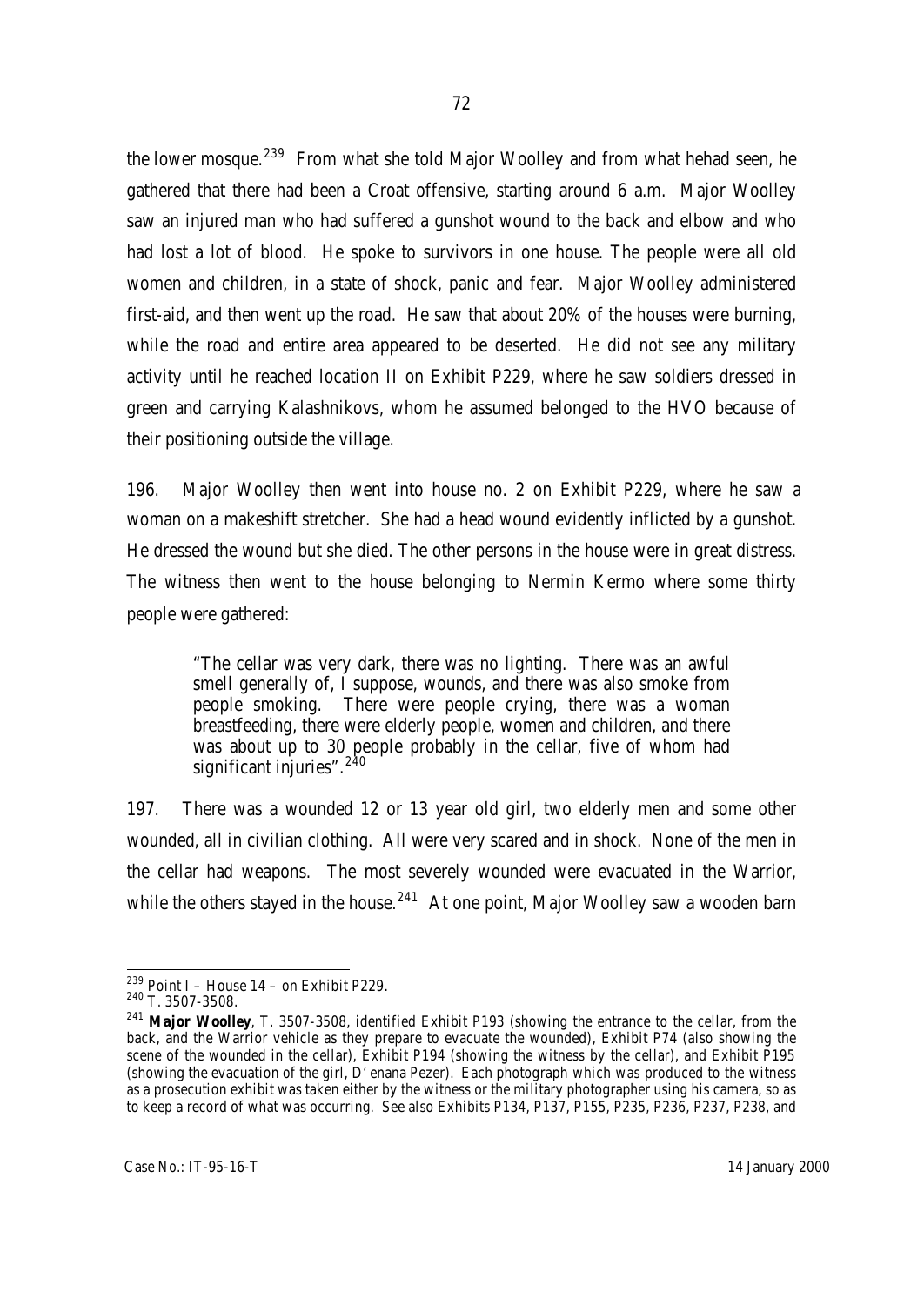the lower mosque.<sup>239</sup> From what she told Major Woolley and from what hehad seen, he gathered that there had been a Croat offensive, starting around 6 a.m. Major Woolley saw an injured man who had suffered a gunshot wound to the back and elbow and who had lost a lot of blood. He spoke to survivors in one house. The people were all old women and children, in a state of shock, panic and fear. Major Woolley administered first-aid, and then went up the road. He saw that about 20% of the houses were burning, while the road and entire area appeared to be deserted. He did not see any military activity until he reached location II on Exhibit P229, where he saw soldiers dressed in green and carrying Kalashnikovs, whom he assumed belonged to the HVO because of their positioning outside the village.

196. Major Woolley then went into house no. 2 on Exhibit P229, where he saw a woman on a makeshift stretcher. She had a head wound evidently inflicted by a gunshot. He dressed the wound but she died. The other persons in the house were in great distress. The witness then went to the house belonging to Nermin Kermo where some thirty people were gathered:

"The cellar was very dark, there was no lighting. There was an awful smell generally of, I suppose, wounds, and there was also smoke from people smoking. There were people crying, there was a woman breastfeeding, there were elderly people, women and children, and there was about up to 30 people probably in the cellar, five of whom had significant injuries".<sup>240</sup>

197. There was a wounded 12 or 13 year old girl, two elderly men and some other wounded, all in civilian clothing. All were very scared and in shock. None of the men in the cellar had weapons. The most severely wounded were evacuated in the Warrior, while the others stayed in the house.<sup>241</sup> At one point, Major Woolley saw a wooden barn

 $\overline{a}$  $^{239}$  Point I – House 14 – on Exhibit P229.

<sup>240</sup> T. 3507-3508.

<sup>241</sup> **Major Woolley**, T. 3507-3508, identified Exhibit P193 (showing the entrance to the cellar, from the back, and the Warrior vehicle as they prepare to evacuate the wounded), Exhibit P74 (also showing the scene of the wounded in the cellar), Exhibit P194 (showing the witness by the cellar), and Exhibit P195 (showing the evacuation of the girl, D'enana Pezer). Each photograph which was produced to the witness as a prosecution exhibit was taken either by the witness or the military photographer using his camera, so as to keep a record of what was occurring. See also Exhibits P134, P137, P155, P235, P236, P237, P238, and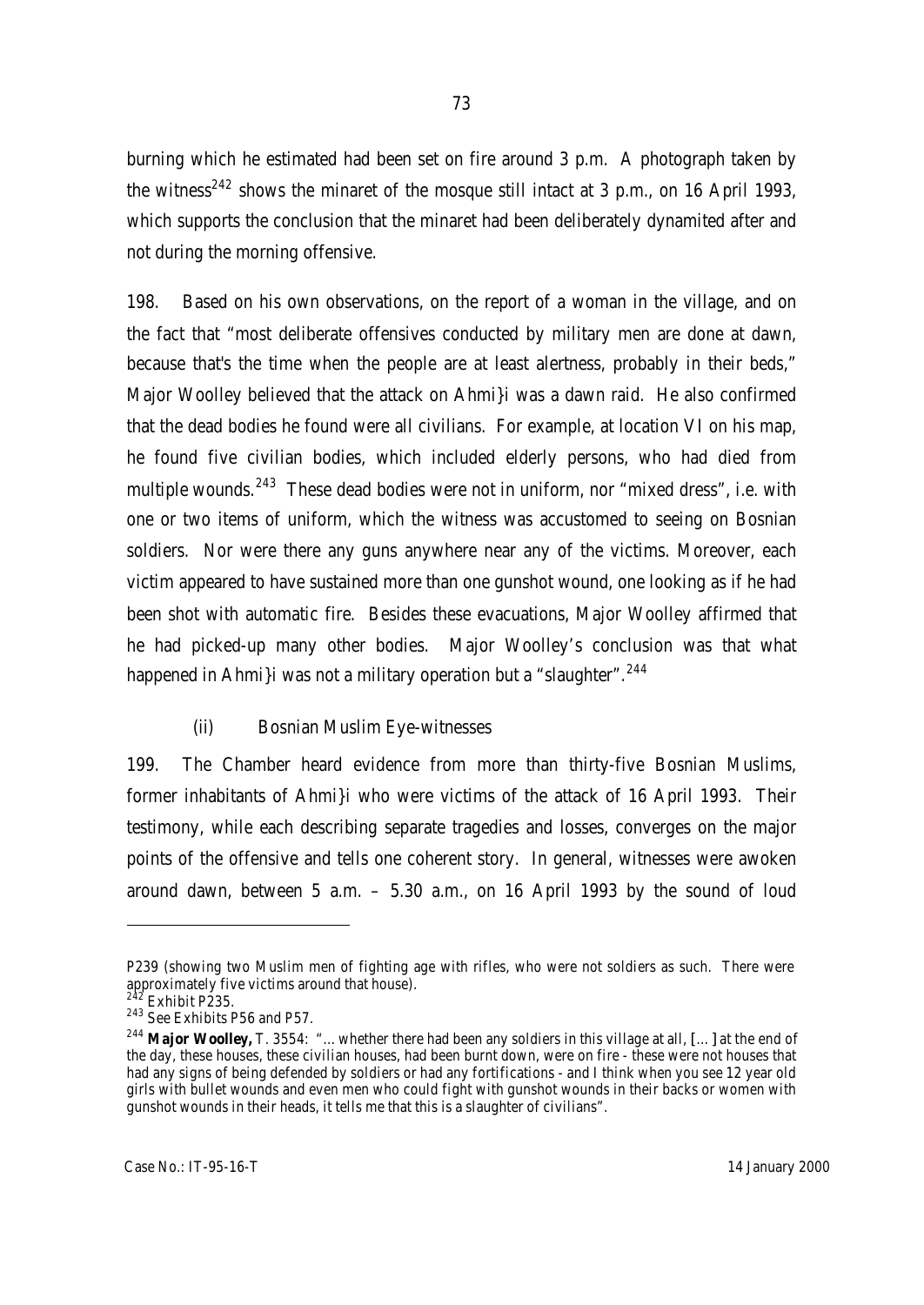burning which he estimated had been set on fire around 3 p.m. A photograph taken by the witness<sup>242</sup> shows the minaret of the mosque still intact at 3 p.m., on 16 April 1993, which supports the conclusion that the minaret had been deliberately dynamited after and not during the morning offensive.

198. Based on his own observations, on the report of a woman in the village, and on the fact that "most deliberate offensives conducted by military men are done at dawn, because that's the time when the people are at least alertness, probably in their beds," Major Woolley believed that the attack on Ahmi}i was a dawn raid. He also confirmed that the dead bodies he found were all civilians. For example, at location VI on his map, he found five civilian bodies, which included elderly persons, who had died from multiple wounds.<sup>243</sup> These dead bodies were not in uniform, nor "mixed dress", i.e. with one or two items of uniform, which the witness was accustomed to seeing on Bosnian soldiers. Nor were there any guns anywhere near any of the victims. Moreover, each victim appeared to have sustained more than one gunshot wound, one looking as if he had been shot with automatic fire. Besides these evacuations, Major Woolley affirmed that he had picked-up many other bodies. Major Woolley's conclusion was that what happened in Ahmi}i was not a military operation but a "slaughter".<sup>244</sup>

## (ii) Bosnian Muslim Eye-witnesses

199. The Chamber heard evidence from more than thirty-five Bosnian Muslims, former inhabitants of Ahmi}i who were victims of the attack of 16 April 1993. Their testimony, while each describing separate tragedies and losses, converges on the major points of the offensive and tells one coherent story. In general, witnesses were awoken around dawn, between 5 a.m.  $-$  5.30 a.m., on 16 April 1993 by the sound of loud

P239 (showing two Muslim men of fighting age with rifles, who were not soldiers as such. There were approximately five victims around that house).

 $^{242}$  Exhibit P235.

<sup>&</sup>lt;sup>243</sup> See Exhibits P56 and P57.

<sup>244</sup> **Major Woolley,** T. 3554:"…whether there had been any soldiers in this village at all, […] at the end of the day, these houses, these civilian houses, had been burnt down, were on fire - these were not houses that had any signs of being defended by soldiers or had any fortifications - and I think when you see 12 year old girls with bullet wounds and even men who could fight with gunshot wounds in their backs or women with gunshot wounds in their heads, it tells me that this is a slaughter of civilians".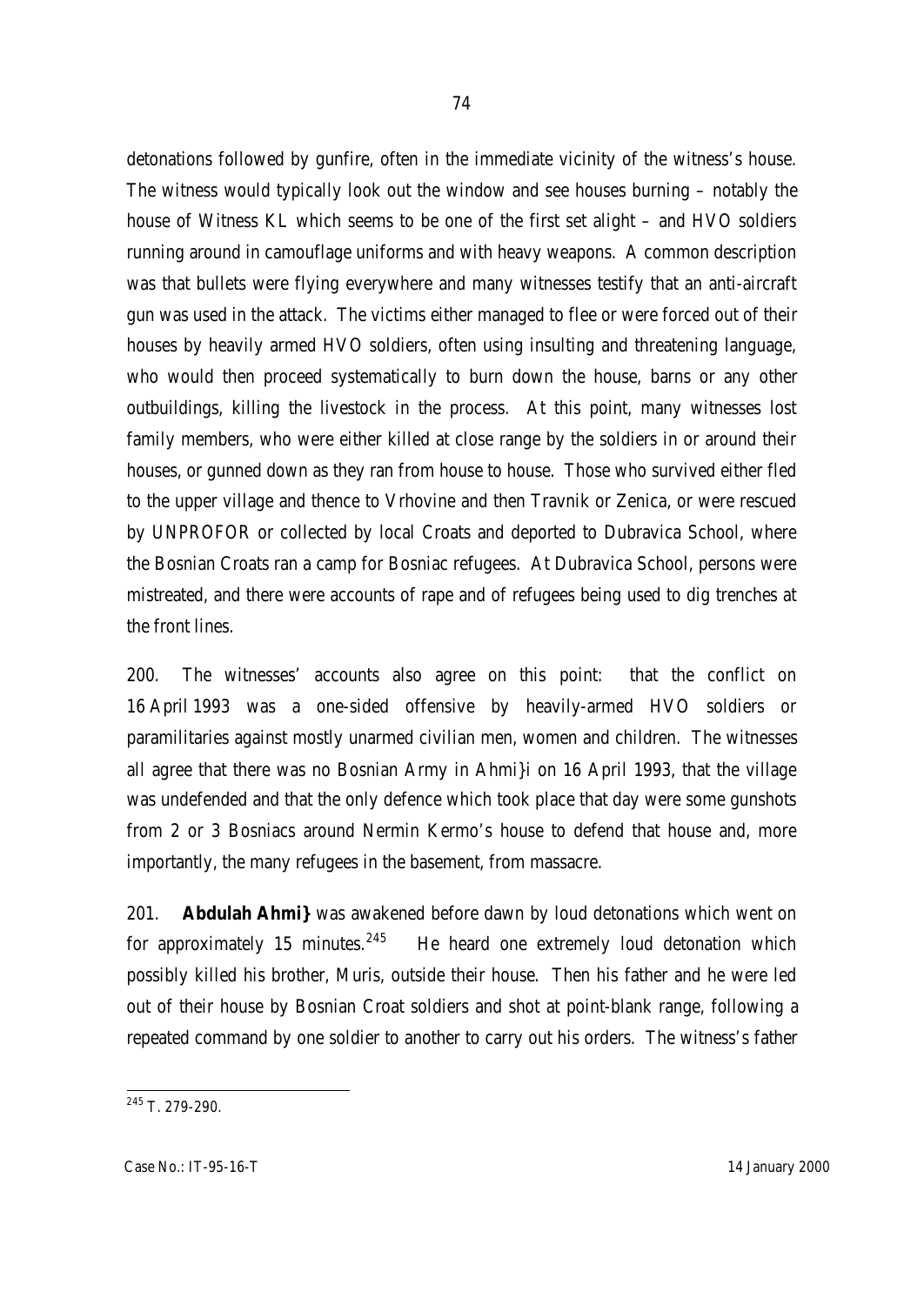detonations followed by gunfire, often in the immediate vicinity of the witness's house. The witness would typically look out the window and see houses burning – notably the house of Witness KL which seems to be one of the first set alight – and HVO soldiers running around in camouflage uniforms and with heavy weapons. A common description was that bullets were flying everywhere and many witnesses testify that an anti-aircraft gun was used in the attack. The victims either managed to flee or were forced out of their houses by heavily armed HVO soldiers, often using insulting and threatening language, who would then proceed systematically to burn down the house, barns or any other outbuildings, killing the livestock in the process. At this point, many witnesses lost family members, who were either killed at close range by the soldiers in or around their houses, or gunned down as they ran from house to house. Those who survived either fled to the upper village and thence to Vrhovine and then Travnik or Zenica, or were rescued by UNPROFOR or collected by local Croats and deported to Dubravica School, where the Bosnian Croats ran a camp for Bosniac refugees. At Dubravica School, persons were mistreated, and there were accounts of rape and of refugees being used to dig trenches at the front lines.

200. The witnesses' accounts also agree on this point: that the conflict on 16 April 1993 was a one-sided offensive by heavily-armed HVO soldiers or paramilitaries against mostly unarmed civilian men, women and children. The witnesses all agree that there was no Bosnian Army in Ahmi}i on 16 April 1993, that the village was undefended and that the only defence which took place that day were some gunshots from 2 or 3 Bosniacs around Nermin Kermo's house to defend that house and, more importantly, the many refugees in the basement, from massacre.

201. **Abdulah Ahmi}** was awakened before dawn by loud detonations which went on for approximately 15 minutes. $^{245}$  He heard one extremely loud detonation which possibly killed his brother, Muris, outside their house. Then his father and he were led out of their house by Bosnian Croat soldiers and shot at point-blank range, following a repeated command by one soldier to another to carry out his orders. The witness's father

 $\overline{a}$ <sup>245</sup> T. 279-290.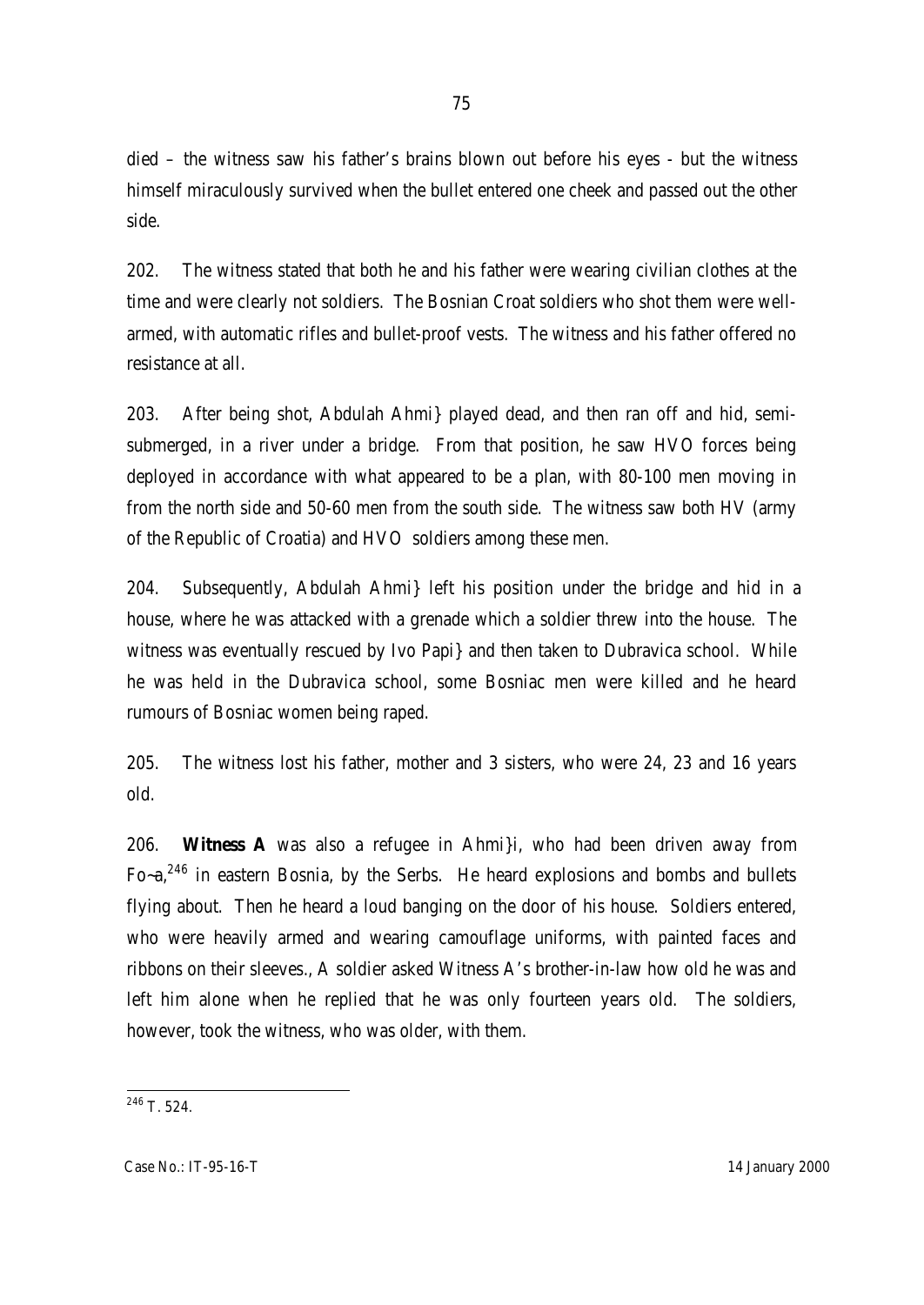died – the witness saw his father's brains blown out before his eyes - but the witness himself miraculously survived when the bullet entered one cheek and passed out the other side.

202. The witness stated that both he and his father were wearing civilian clothes at the time and were clearly not soldiers. The Bosnian Croat soldiers who shot them were wellarmed, with automatic rifles and bullet-proof vests. The witness and his father offered no resistance at all.

203. After being shot, Abdulah Ahmi} played dead, and then ran off and hid, semisubmerged, in a river under a bridge. From that position, he saw HVO forces being deployed in accordance with what appeared to be a plan, with 80-100 men moving in from the north side and 50-60 men from the south side. The witness saw both HV (army of the Republic of Croatia) and HVO soldiers among these men.

204. Subsequently, Abdulah Ahmi} left his position under the bridge and hid in a house, where he was attacked with a grenade which a soldier threw into the house. The witness was eventually rescued by Ivo Papi} and then taken to Dubravica school. While he was held in the Dubravica school, some Bosniac men were killed and he heard rumours of Bosniac women being raped.

205. The witness lost his father, mother and 3 sisters, who were 24, 23 and 16 years old.

206. **Witness A** was also a refugee in Ahmi}i, who had been driven away from Fo-a,<sup>246</sup> in eastern Bosnia, by the Serbs. He heard explosions and bombs and bullets flying about. Then he heard a loud banging on the door of his house. Soldiers entered, who were heavily armed and wearing camouflage uniforms, with painted faces and ribbons on their sleeves., A soldier asked Witness A's brother-in-law how old he was and left him alone when he replied that he was only fourteen years old. The soldiers, however, took the witness, who was older, with them.

 $\overline{a}$  $246$  T. 524.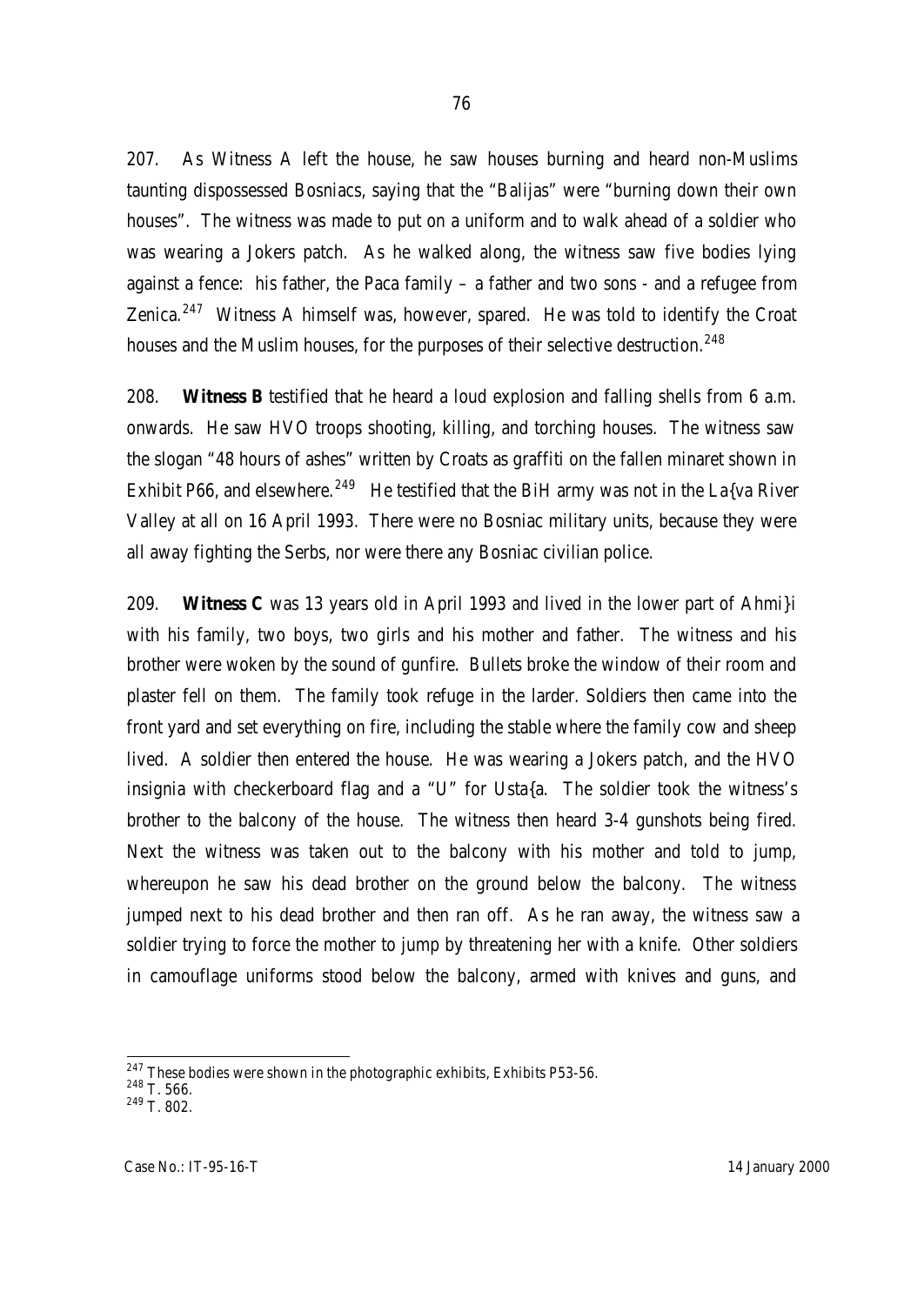207. As Witness A left the house, he saw houses burning and heard non-Muslims taunting dispossessed Bosniacs, saying that the "Balijas" were "burning down their own houses". The witness was made to put on a uniform and to walk ahead of a soldier who was wearing a Jokers patch. As he walked along, the witness saw five bodies lying against a fence: his father, the Paca family – a father and two sons - and a refugee from Zenica.<sup>247</sup> Witness A himself was, however, spared. He was told to identify the Croat houses and the Muslim houses, for the purposes of their selective destruction.<sup>248</sup>

208. **Witness B** testified that he heard a loud explosion and falling shells from 6 a.m. onwards. He saw HVO troops shooting, killing, and torching houses. The witness saw the slogan "48 hours of ashes" written by Croats as graffiti on the fallen minaret shown in Exhibit P66, and elsewhere.<sup>249</sup> He testified that the BiH army was not in the La{va River Valley at all on 16 April 1993. There were no Bosniac military units, because they were all away fighting the Serbs, nor were there any Bosniac civilian police.

209. **Witness C** was 13 years old in April 1993 and lived in the lower part of Ahmi}i with his family, two boys, two girls and his mother and father. The witness and his brother were woken by the sound of gunfire. Bullets broke the window of their room and plaster fell on them. The family took refuge in the larder. Soldiers then came into the front yard and set everything on fire, including the stable where the family cow and sheep lived. A soldier then entered the house. He was wearing a Jokers patch, and the HVO insignia with checkerboard flag and a "U" for Usta{a. The soldier took the witness's brother to the balcony of the house. The witness then heard 3-4 gunshots being fired. Next the witness was taken out to the balcony with his mother and told to jump, whereupon he saw his dead brother on the ground below the balcony. The witness jumped next to his dead brother and then ran off. As he ran away, the witness saw a soldier trying to force the mother to jump by threatening her with a knife. Other soldiers in camouflage uniforms stood below the balcony, armed with knives and guns, and

 $\overline{a}$  $^{247}$  These bodies were shown in the photographic exhibits, Exhibits P53-56.

 $^{248}$  T. 566.

 $^{249}$  T. 802.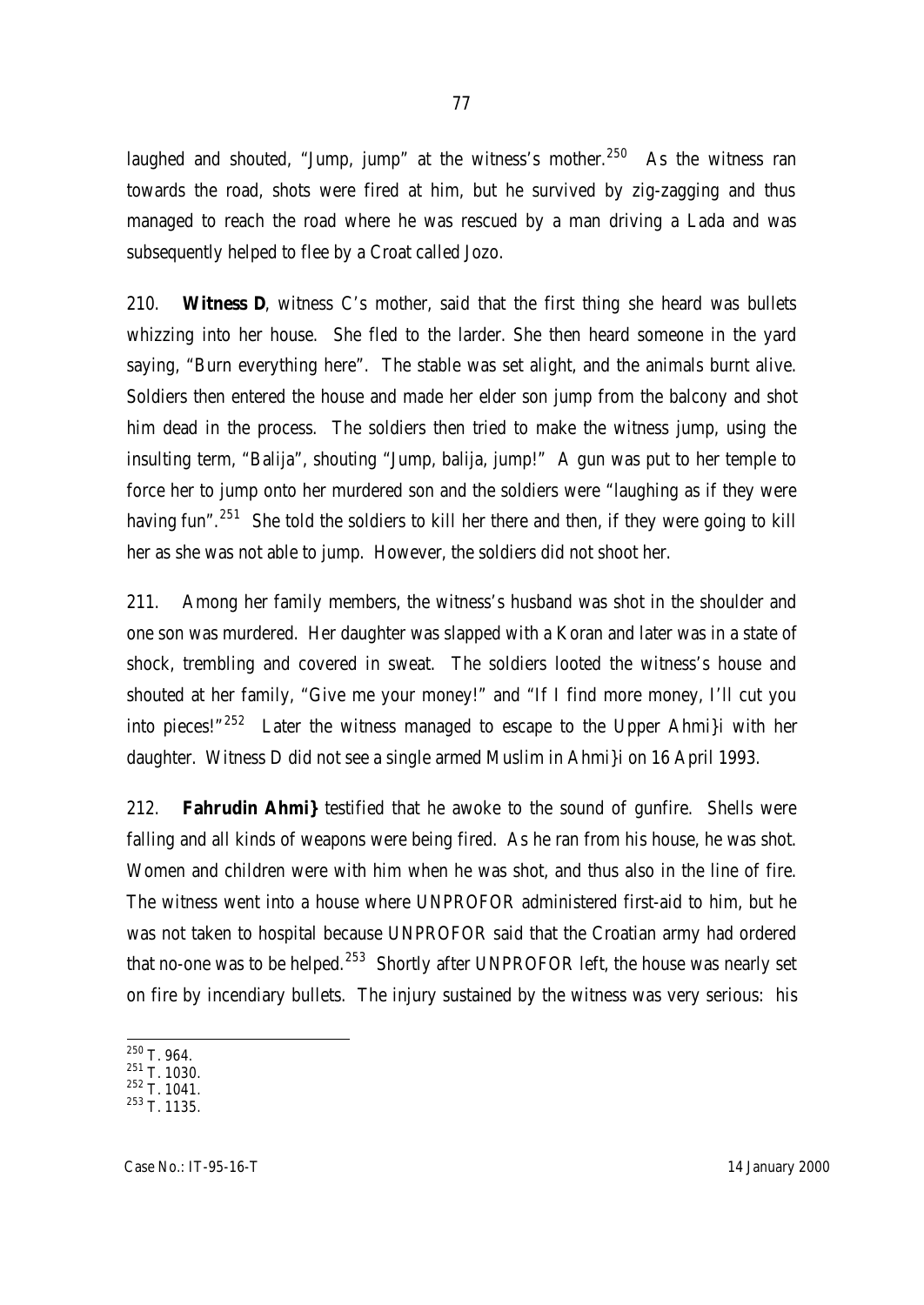laughed and shouted, "Jump, jump" at the witness's mother.<sup>250</sup> As the witness ran towards the road, shots were fired at him, but he survived by zig-zagging and thus managed to reach the road where he was rescued by a man driving a Lada and was subsequently helped to flee by a Croat called Jozo.

77

210. **Witness D**, witness C's mother, said that the first thing she heard was bullets whizzing into her house. She fled to the larder. She then heard someone in the yard saying, "Burn everything here". The stable was set alight, and the animals burnt alive. Soldiers then entered the house and made her elder son jump from the balcony and shot him dead in the process. The soldiers then tried to make the witness jump, using the insulting term, "Balija", shouting "Jump, balija, jump!" A gun was put to her temple to force her to jump onto her murdered son and the soldiers were "laughing as if they were having fun".<sup>251</sup> She told the soldiers to kill her there and then, if they were going to kill her as she was not able to jump. However, the soldiers did not shoot her.

211. Among her family members, the witness's husband was shot in the shoulder and one son was murdered. Her daughter was slapped with a Koran and later was in a state of shock, trembling and covered in sweat. The soldiers looted the witness's house and shouted at her family, "Give me your money!" and "If I find more money, I'll cut you into pieces!" $252$  Later the witness managed to escape to the Upper Ahmi}i with her daughter. Witness D did not see a single armed Muslim in Ahmi}i on 16 April 1993.

212. **Fahrudin Ahmi}** testified that he awoke to the sound of gunfire. Shells were falling and all kinds of weapons were being fired. As he ran from his house, he was shot. Women and children were with him when he was shot, and thus also in the line of fire. The witness went into a house where UNPROFOR administered first-aid to him, but he was not taken to hospital because UNPROFOR said that the Croatian army had ordered that no-one was to be helped. $253$  Shortly after UNPROFOR left, the house was nearly set on fire by incendiary bullets. The injury sustained by the witness was very serious: his

 $\overline{a}$ <sup>250</sup> T. 964.

 $^{251}$  T. 1030.

<sup>&</sup>lt;sup>252</sup> T. 1041.

 $^{253}$  T. 1135.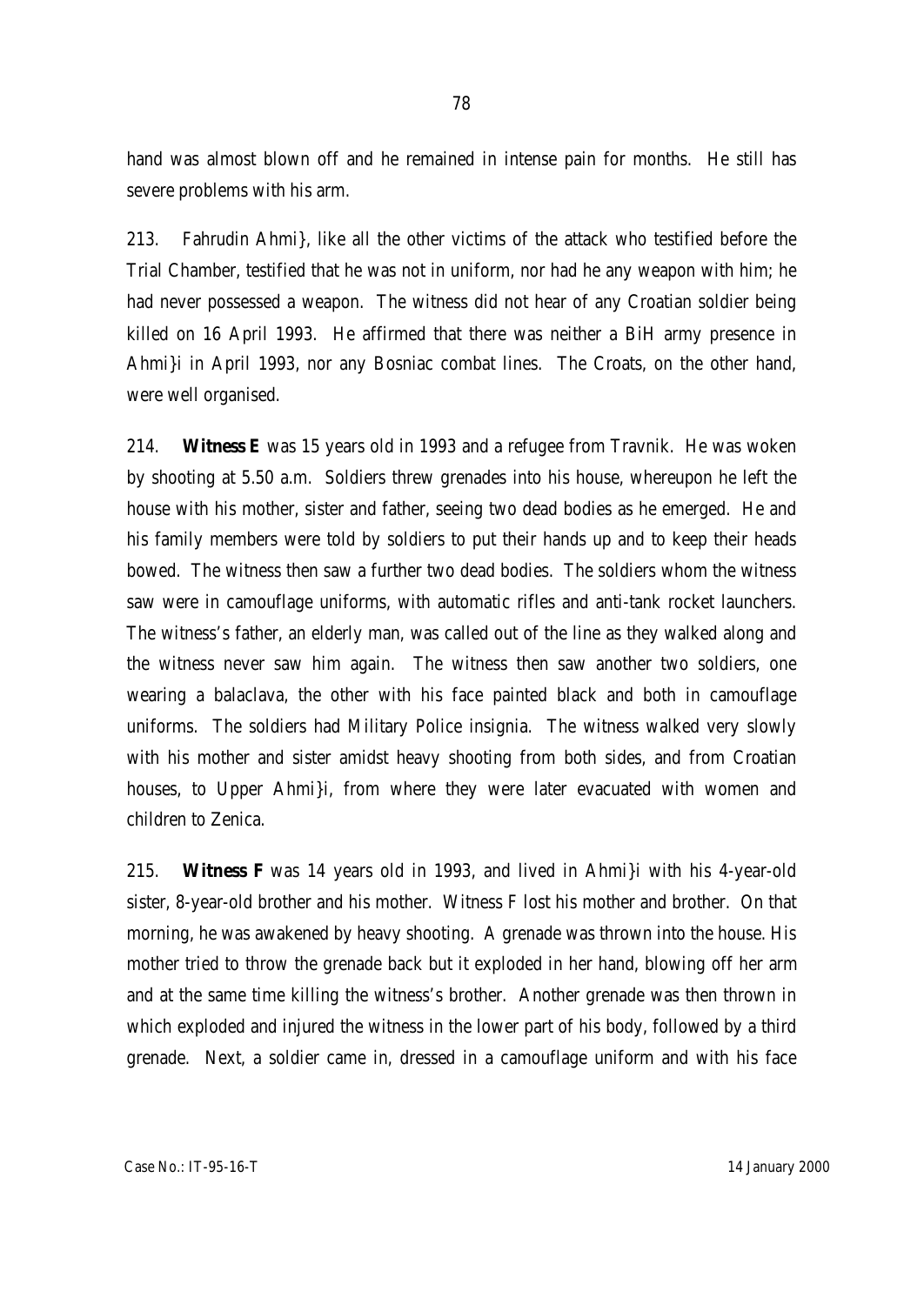hand was almost blown off and he remained in intense pain for months. He still has severe problems with his arm.

213. Fahrudin Ahmi}, like all the other victims of the attack who testified before the Trial Chamber, testified that he was not in uniform, nor had he any weapon with him; he had never possessed a weapon. The witness did not hear of any Croatian soldier being killed on 16 April 1993. He affirmed that there was neither a BiH army presence in Ahmi}i in April 1993, nor any Bosniac combat lines. The Croats, on the other hand, were well organised.

214. **Witness E** was 15 years old in 1993 and a refugee from Travnik. He was woken by shooting at 5.50 a.m. Soldiers threw grenades into his house, whereupon he left the house with his mother, sister and father, seeing two dead bodies as he emerged. He and his family members were told by soldiers to put their hands up and to keep their heads bowed. The witness then saw a further two dead bodies. The soldiers whom the witness saw were in camouflage uniforms, with automatic rifles and anti-tank rocket launchers. The witness's father, an elderly man, was called out of the line as they walked along and the witness never saw him again. The witness then saw another two soldiers, one wearing a balaclava, the other with his face painted black and both in camouflage uniforms. The soldiers had Military Police insignia. The witness walked very slowly with his mother and sister amidst heavy shooting from both sides, and from Croatian houses, to Upper Ahmi}i, from where they were later evacuated with women and children to Zenica.

215. **Witness F** was 14 years old in 1993, and lived in Ahmi}i with his 4-year-old sister, 8-year-old brother and his mother. Witness F lost his mother and brother. On that morning, he was awakened by heavy shooting. A grenade was thrown into the house. His mother tried to throw the grenade back but it exploded in her hand, blowing off her arm and at the same time killing the witness's brother. Another grenade was then thrown in which exploded and injured the witness in the lower part of his body, followed by a third grenade. Next, a soldier came in, dressed in a camouflage uniform and with his face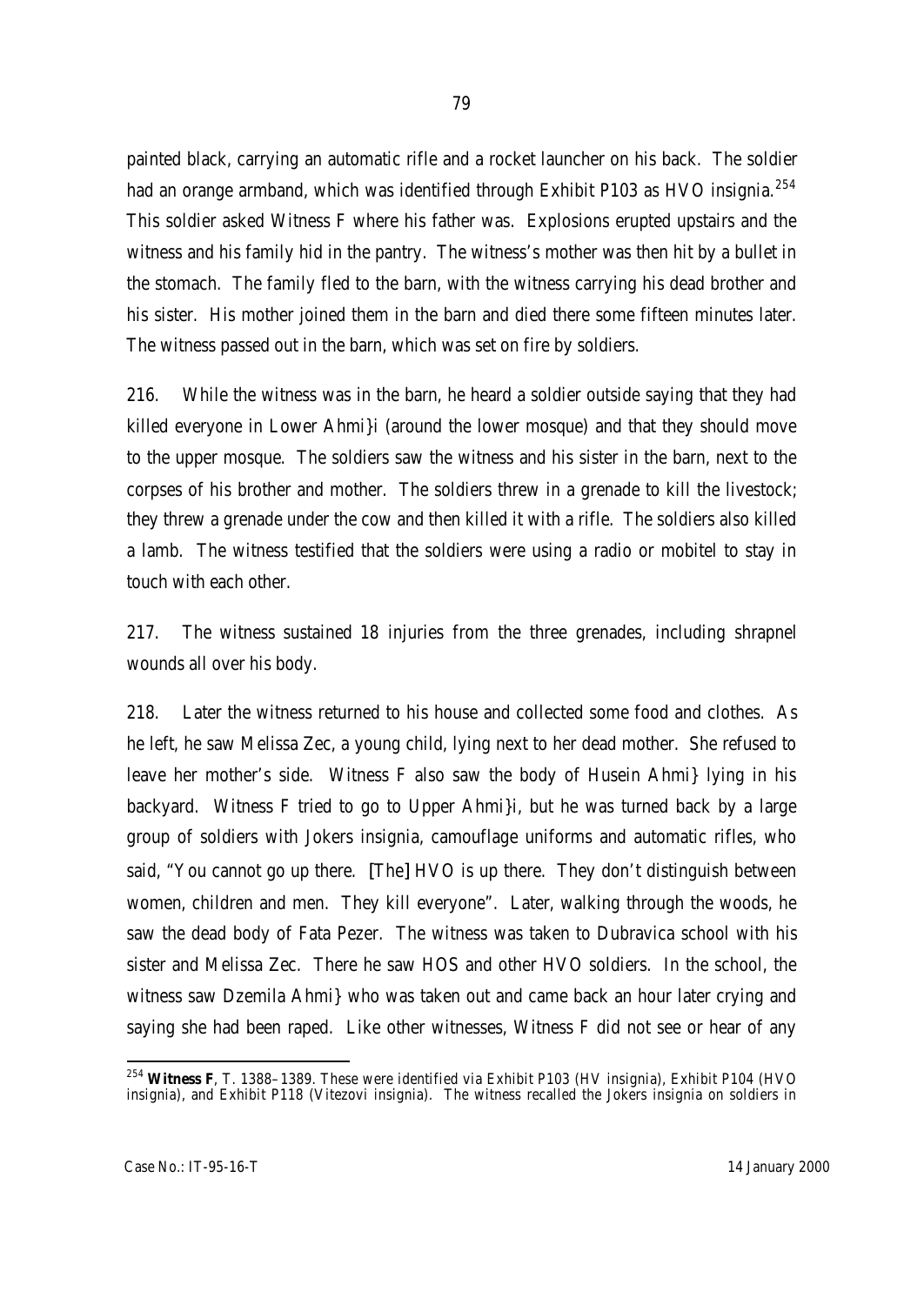painted black, carrying an automatic rifle and a rocket launcher on his back. The soldier had an orange armband, which was identified through Exhibit P103 as HVO insignia.<sup>254</sup> This soldier asked Witness F where his father was. Explosions erupted upstairs and the witness and his family hid in the pantry. The witness's mother was then hit by a bullet in the stomach. The family fled to the barn, with the witness carrying his dead brother and his sister. His mother joined them in the barn and died there some fifteen minutes later. The witness passed out in the barn, which was set on fire by soldiers.

216. While the witness was in the barn, he heard a soldier outside saying that they had killed everyone in Lower Ahmi}i (around the lower mosque) and that they should move to the upper mosque. The soldiers saw the witness and his sister in the barn, next to the corpses of his brother and mother. The soldiers threw in a grenade to kill the livestock; they threw a grenade under the cow and then killed it with a rifle. The soldiers also killed a lamb. The witness testified that the soldiers were using a radio or mobitel to stay in touch with each other.

217. The witness sustained 18 injuries from the three grenades, including shrapnel wounds all over his body.

218. Later the witness returned to his house and collected some food and clothes. As he left, he saw Melissa Zec, a young child, lying next to her dead mother. She refused to leave her mother's side. Witness F also saw the body of Husein Ahmi} lying in his backyard. Witness F tried to go to Upper Ahmi}i, but he was turned back by a large group of soldiers with Jokers insignia, camouflage uniforms and automatic rifles, who said, "You cannot go up there. [The] HVO is up there. They don't distinguish between women, children and men. They kill everyone". Later, walking through the woods, he saw the dead body of Fata Pezer. The witness was taken to Dubravica school with his sister and Melissa Zec. There he saw HOS and other HVO soldiers. In the school, the witness saw Dzemila Ahmi} who was taken out and came back an hour later crying and saying she had been raped. Like other witnesses, Witness F did not see or hear of any

l <sup>254</sup> **Witness F**, T. 1388–1389. These were identified via Exhibit P103 (HV insignia), Exhibit P104 (HVO insignia), and Exhibit P118 (Vitezovi insignia). The witness recalled the Jokers insignia on soldiers in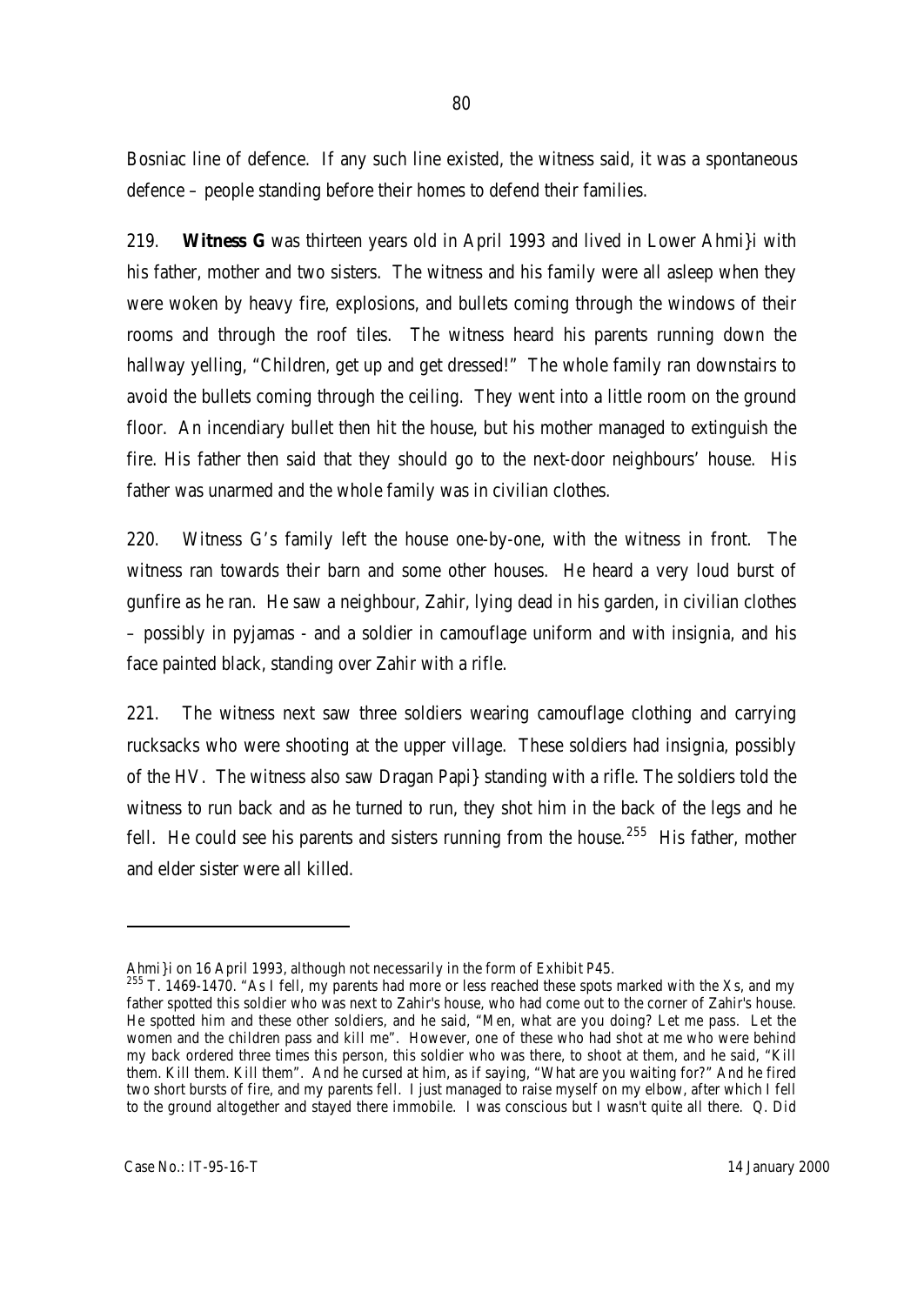Bosniac line of defence. If any such line existed, the witness said, it was a spontaneous defence – people standing before their homes to defend their families.

219. **Witness G** was thirteen years old in April 1993 and lived in Lower Ahmi}i with his father, mother and two sisters. The witness and his family were all asleep when they were woken by heavy fire, explosions, and bullets coming through the windows of their rooms and through the roof tiles. The witness heard his parents running down the hallway yelling, "Children, get up and get dressed!" The whole family ran downstairs to avoid the bullets coming through the ceiling. They went into a little room on the ground floor. An incendiary bullet then hit the house, but his mother managed to extinguish the fire. His father then said that they should go to the next-door neighbours' house. His father was unarmed and the whole family was in civilian clothes.

220. Witness G's family left the house one-by-one, with the witness in front. The witness ran towards their barn and some other houses. He heard a very loud burst of gunfire as he ran. He saw a neighbour, Zahir, lying dead in his garden, in civilian clothes – possibly in pyjamas - and a soldier in camouflage uniform and with insignia, and his face painted black, standing over Zahir with a rifle.

221. The witness next saw three soldiers wearing camouflage clothing and carrying rucksacks who were shooting at the upper village. These soldiers had insignia, possibly of the HV. The witness also saw Dragan Papi} standing with a rifle. The soldiers told the witness to run back and as he turned to run, they shot him in the back of the legs and he fell. He could see his parents and sisters running from the house.<sup>255</sup> His father, mother and elder sister were all killed.

Ahmi}i on 16 April 1993, although not necessarily in the form of Exhibit P45.

 $^{255}$  T. 1469-1470. "As I fell, my parents had more or less reached these spots marked with the Xs, and my father spotted this soldier who was next to Zahir's house, who had come out to the corner of Zahir's house. He spotted him and these other soldiers, and he said, "Men, what are you doing? Let me pass. Let the women and the children pass and kill me". However, one of these who had shot at me who were behind my back ordered three times this person, this soldier who was there, to shoot at them, and he said, "Kill them. Kill them. Kill them". And he cursed at him, as if saying, "What are you waiting for?" And he fired two short bursts of fire, and my parents fell. I just managed to raise myself on my elbow, after which I fell to the ground altogether and stayed there immobile. I was conscious but I wasn't quite all there. Q. Did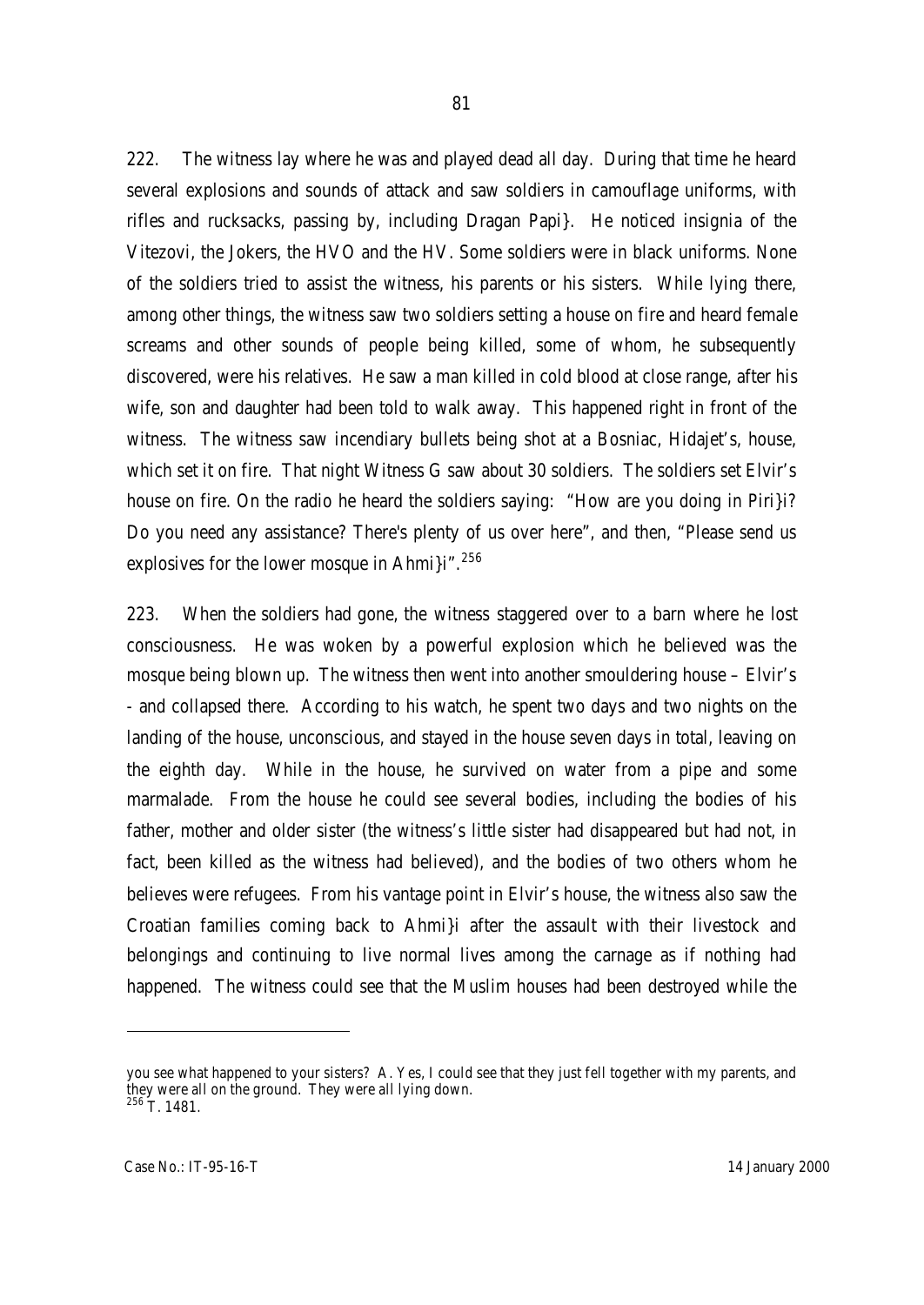222. The witness lay where he was and played dead all day. During that time he heard several explosions and sounds of attack and saw soldiers in camouflage uniforms, with rifles and rucksacks, passing by, including Dragan Papi}. He noticed insignia of the Vitezovi, the Jokers, the HVO and the HV. Some soldiers were in black uniforms. None of the soldiers tried to assist the witness, his parents or his sisters. While lying there, among other things, the witness saw two soldiers setting a house on fire and heard female screams and other sounds of people being killed, some of whom, he subsequently discovered, were his relatives. He saw a man killed in cold blood at close range, after his wife, son and daughter had been told to walk away. This happened right in front of the witness. The witness saw incendiary bullets being shot at a Bosniac, Hidajet's, house, which set it on fire. That night Witness G saw about 30 soldiers. The soldiers set Elvir's house on fire. On the radio he heard the soldiers saying: "How are you doing in Piri}i? Do you need any assistance? There's plenty of us over here", and then, "Please send us explosives for the lower mosque in Ahmi $\frac{1}{2}$ <sup>256</sup>

223. When the soldiers had gone, the witness staggered over to a barn where he lost consciousness. He was woken by a powerful explosion which he believed was the mosque being blown up. The witness then went into another smouldering house – Elvir's - and collapsed there. According to his watch, he spent two days and two nights on the landing of the house, unconscious, and stayed in the house seven days in total, leaving on the eighth day. While in the house, he survived on water from a pipe and some marmalade. From the house he could see several bodies, including the bodies of his father, mother and older sister (the witness's little sister had disappeared but had not, in fact, been killed as the witness had believed), and the bodies of two others whom he believes were refugees. From his vantage point in Elvir's house, the witness also saw the Croatian families coming back to Ahmi}i after the assault with their livestock and belongings and continuing to live normal lives among the carnage as if nothing had happened. The witness could see that the Muslim houses had been destroyed while the

you see what happened to your sisters? A. Yes, I could see that they just fell together with my parents, and they were all on the ground. They were all lying down.  $^{256}$  T. 1481.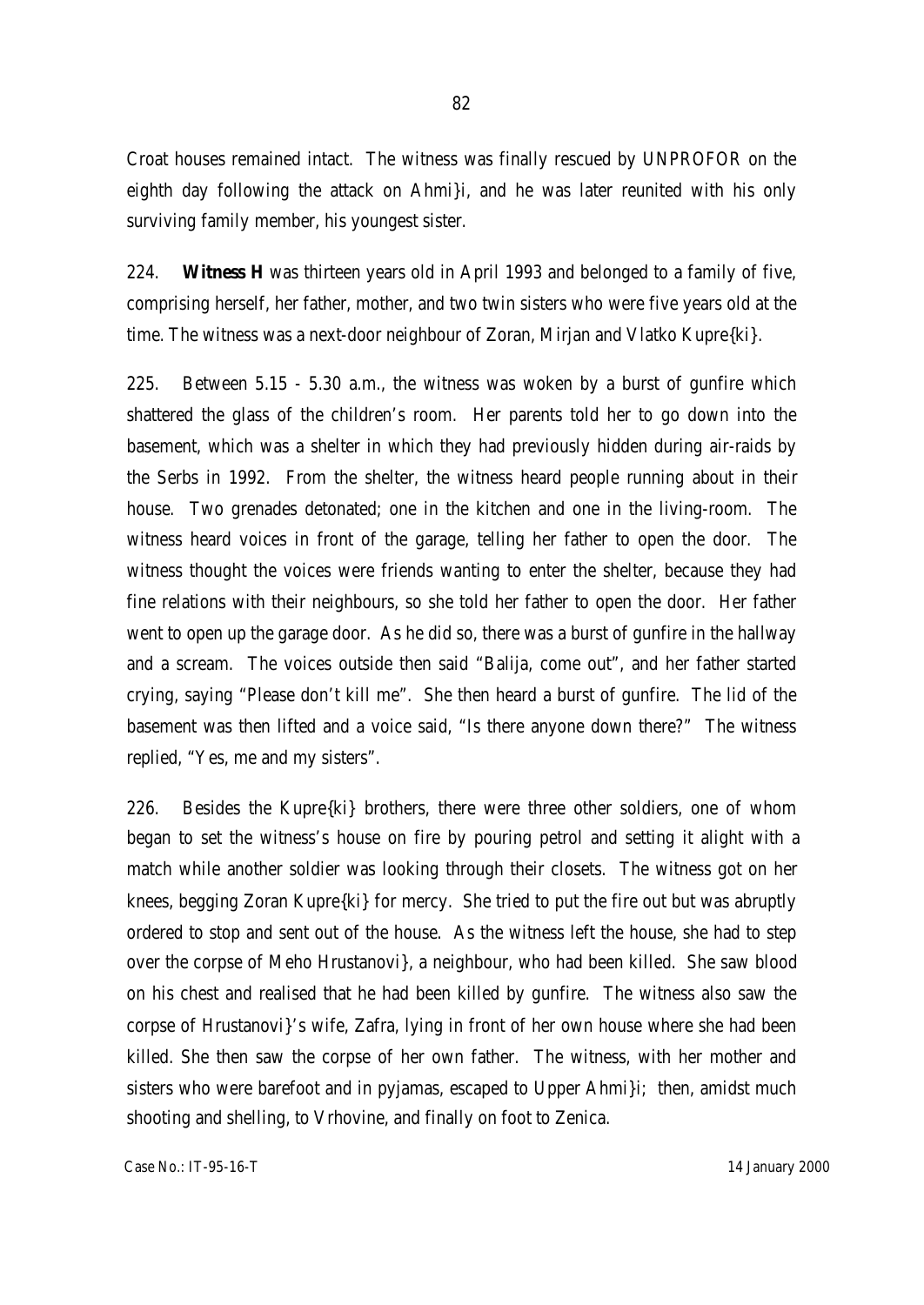Croat houses remained intact. The witness was finally rescued by UNPROFOR on the eighth day following the attack on Ahmi}i, and he was later reunited with his only surviving family member, his youngest sister.

224. **Witness H** was thirteen years old in April 1993 and belonged to a family of five, comprising herself, her father, mother, and two twin sisters who were five years old at the time. The witness was a next-door neighbour of Zoran, Mirjan and Vlatko Kupre{ki}.

225. Between 5.15 - 5.30 a.m., the witness was woken by a burst of gunfire which shattered the glass of the children's room. Her parents told her to go down into the basement, which was a shelter in which they had previously hidden during air-raids by the Serbs in 1992. From the shelter, the witness heard people running about in their house. Two grenades detonated; one in the kitchen and one in the living-room. The witness heard voices in front of the garage, telling her father to open the door. The witness thought the voices were friends wanting to enter the shelter, because they had fine relations with their neighbours, so she told her father to open the door. Her father went to open up the garage door. As he did so, there was a burst of gunfire in the hallway and a scream. The voices outside then said "Balija, come out", and her father started crying, saying "Please don't kill me". She then heard a burst of gunfire. The lid of the basement was then lifted and a voice said, "Is there anyone down there?" The witness replied, "Yes, me and my sisters".

226. Besides the Kupre{ki} brothers, there were three other soldiers, one of whom began to set the witness's house on fire by pouring petrol and setting it alight with a match while another soldier was looking through their closets. The witness got on her knees, begging Zoran Kupre{ki} for mercy. She tried to put the fire out but was abruptly ordered to stop and sent out of the house. As the witness left the house, she had to step over the corpse of Meho Hrustanovi}, a neighbour, who had been killed. She saw blood on his chest and realised that he had been killed by gunfire. The witness also saw the corpse of Hrustanovi}'s wife, Zafra, lying in front of her own house where she had been killed. She then saw the corpse of her own father. The witness, with her mother and sisters who were barefoot and in pyjamas, escaped to Upper Ahmi}i; then, amidst much shooting and shelling, to Vrhovine, and finally on foot to Zenica.

Case No.: IT-95-16-T 14 January 2000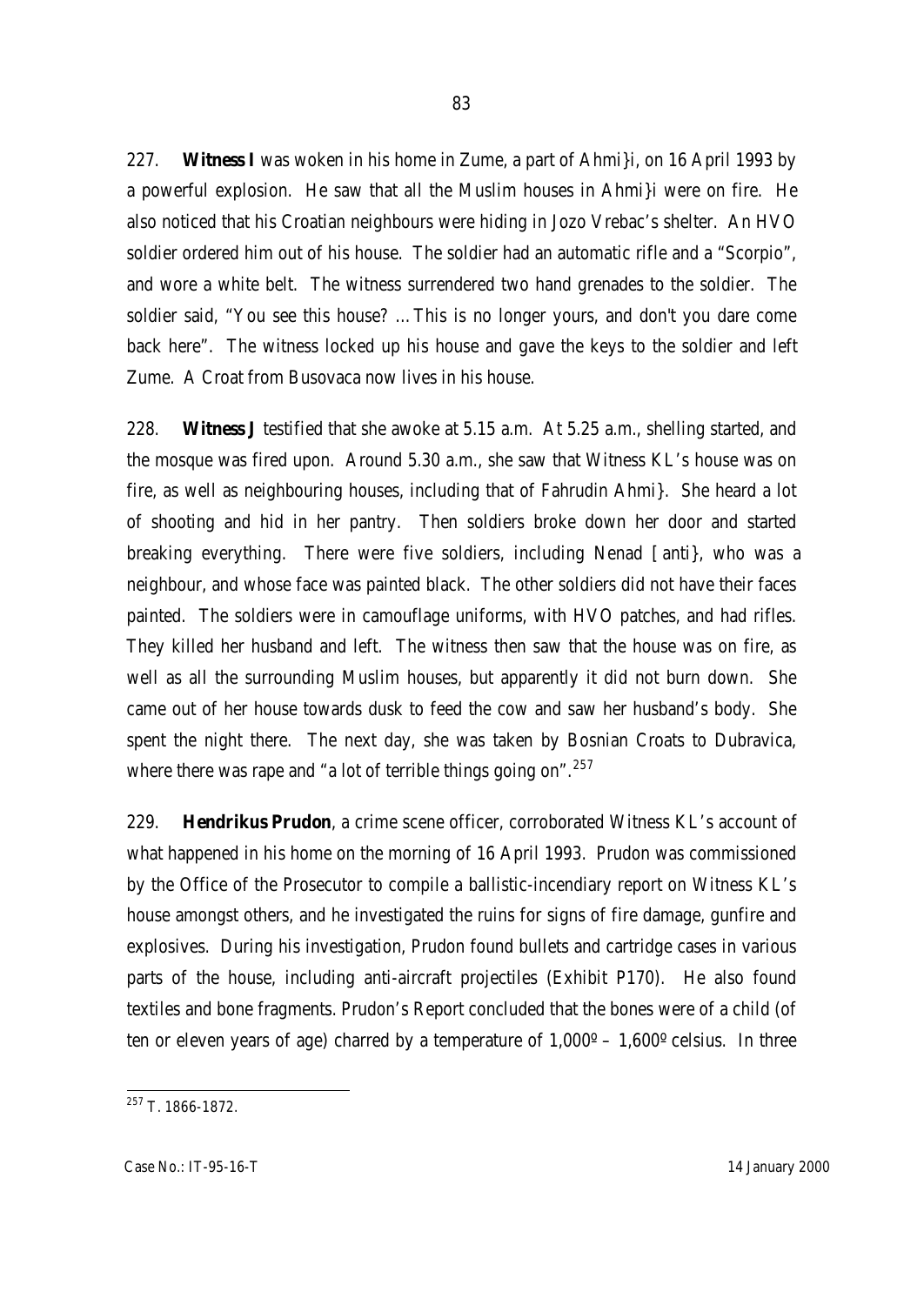227. **Witness I** was woken in his home in Zume, a part of Ahmi}i, on 16 April 1993 by a powerful explosion. He saw that all the Muslim houses in Ahmi}i were on fire. He also noticed that his Croatian neighbours were hiding in Jozo Vrebac's shelter. An HVO soldier ordered him out of his house. The soldier had an automatic rifle and a "Scorpio", and wore a white belt. The witness surrendered two hand grenades to the soldier. The soldier said, "You see this house? …This is no longer yours, and don't you dare come back here". The witness locked up his house and gave the keys to the soldier and left Zume. A Croat from Busovaca now lives in his house.

228. **Witness J** testified that she awoke at 5.15 a.m. At 5.25 a.m., shelling started, and the mosque was fired upon. Around 5.30 a.m., she saw that Witness KL's house was on fire, as well as neighbouring houses, including that of Fahrudin Ahmi}. She heard a lot of shooting and hid in her pantry. Then soldiers broke down her door and started breaking everything. There were five soldiers, including Nenad [anti}, who was a neighbour, and whose face was painted black. The other soldiers did not have their faces painted. The soldiers were in camouflage uniforms, with HVO patches, and had rifles. They killed her husband and left. The witness then saw that the house was on fire, as well as all the surrounding Muslim houses, but apparently it did not burn down. She came out of her house towards dusk to feed the cow and saw her husband's body. She spent the night there. The next day, she was taken by Bosnian Croats to Dubravica, where there was rape and "a lot of terrible things going on".<sup>257</sup>

229. **Hendrikus Prudon**, a crime scene officer, corroborated Witness KL's account of what happened in his home on the morning of 16 April 1993. Prudon was commissioned by the Office of the Prosecutor to compile a ballistic-incendiary report on Witness KL's house amongst others, and he investigated the ruins for signs of fire damage, gunfire and explosives. During his investigation, Prudon found bullets and cartridge cases in various parts of the house, including anti-aircraft projectiles (Exhibit P170). He also found textiles and bone fragments. Prudon's Report concluded that the bones were of a child (of ten or eleven years of age) charred by a temperature of 1,000º – 1,600º celsius. In three

 $\overline{a}$  $^{257}$  T. 1866-1872.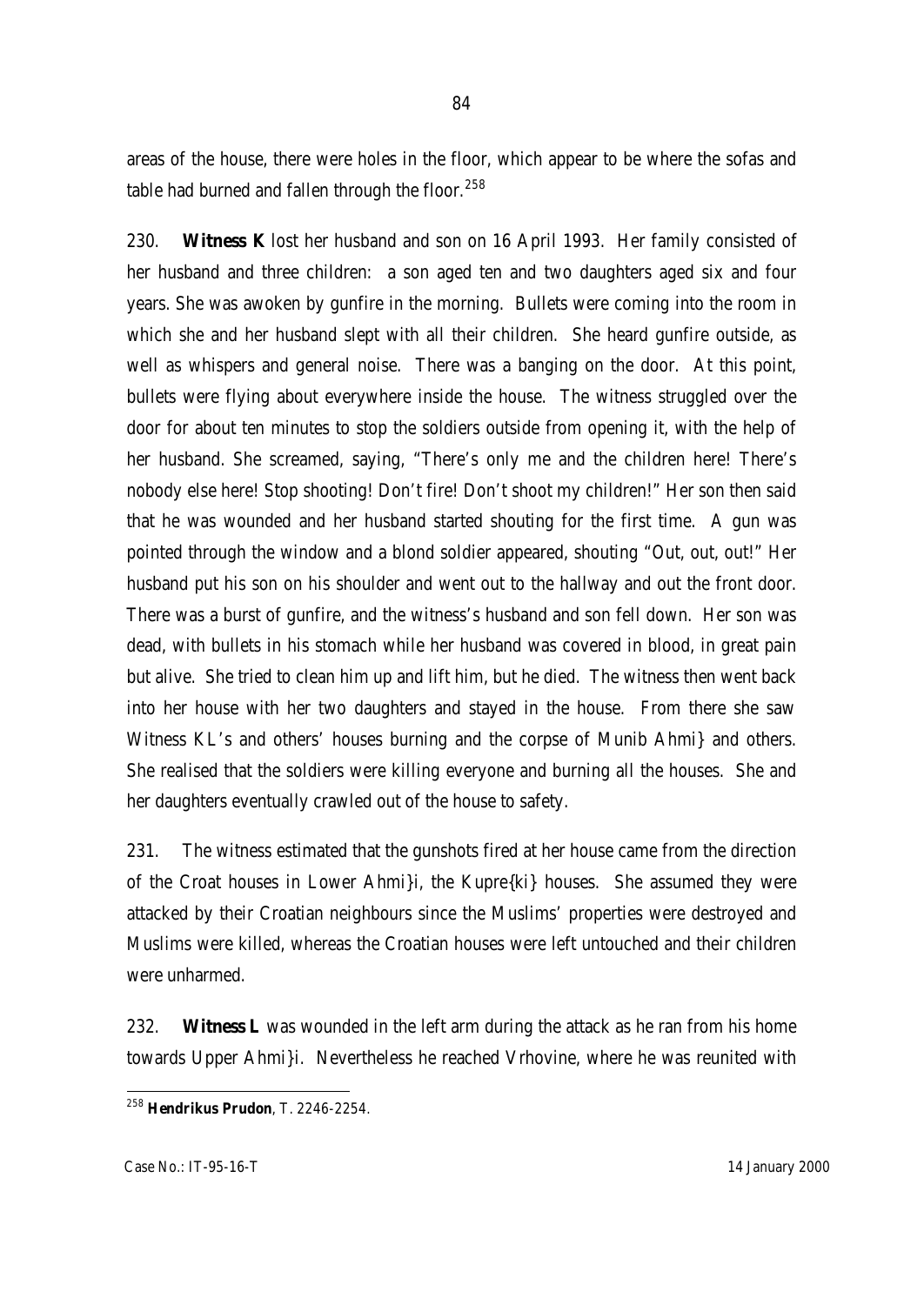areas of the house, there were holes in the floor, which appear to be where the sofas and table had burned and fallen through the floor.<sup>258</sup>

230. **Witness K** lost her husband and son on 16 April 1993. Her family consisted of her husband and three children: a son aged ten and two daughters aged six and four years. She was awoken by gunfire in the morning. Bullets were coming into the room in which she and her husband slept with all their children. She heard gunfire outside, as well as whispers and general noise. There was a banging on the door. At this point, bullets were flying about everywhere inside the house. The witness struggled over the door for about ten minutes to stop the soldiers outside from opening it, with the help of her husband. She screamed, saying, "There's only me and the children here! There's nobody else here! Stop shooting! Don't fire! Don't shoot my children!" Her son then said that he was wounded and her husband started shouting for the first time. A gun was pointed through the window and a blond soldier appeared, shouting "Out, out, out!" Her husband put his son on his shoulder and went out to the hallway and out the front door. There was a burst of gunfire, and the witness's husband and son fell down. Her son was dead, with bullets in his stomach while her husband was covered in blood, in great pain but alive. She tried to clean him up and lift him, but he died. The witness then went back into her house with her two daughters and stayed in the house. From there she saw Witness KL's and others' houses burning and the corpse of Munib Ahmi} and others. She realised that the soldiers were killing everyone and burning all the houses. She and her daughters eventually crawled out of the house to safety.

231. The witness estimated that the gunshots fired at her house came from the direction of the Croat houses in Lower Ahmi}i, the Kupre{ki} houses. She assumed they were attacked by their Croatian neighbours since the Muslims' properties were destroyed and Muslims were killed, whereas the Croatian houses were left untouched and their children were unharmed.

232. **Witness L** was wounded in the left arm during the attack as he ran from his home towards Upper Ahmi}i. Nevertheless he reached Vrhovine, where he was reunited with

l <sup>258</sup> **Hendrikus Prudon**, T. 2246-2254.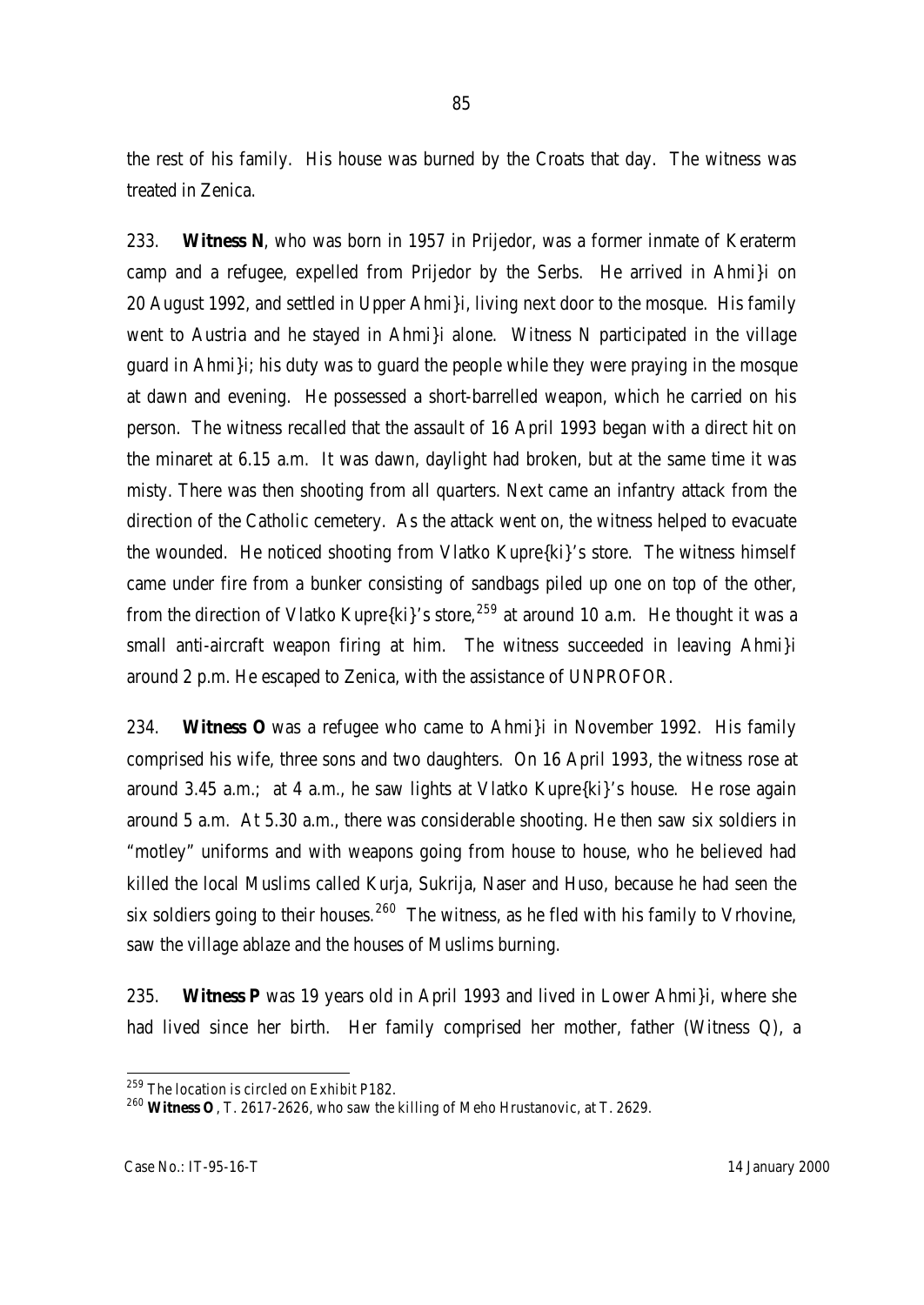the rest of his family. His house was burned by the Croats that day. The witness was treated in Zenica.

233. **Witness N**, who was born in 1957 in Prijedor, was a former inmate of Keraterm camp and a refugee, expelled from Prijedor by the Serbs. He arrived in Ahmi}i on 20 August 1992, and settled in Upper Ahmi}i, living next door to the mosque. His family went to Austria and he stayed in Ahmi}i alone. Witness N participated in the village guard in Ahmi}i; his duty was to guard the people while they were praying in the mosque at dawn and evening. He possessed a short-barrelled weapon, which he carried on his person. The witness recalled that the assault of 16 April 1993 began with a direct hit on the minaret at 6.15 a.m. It was dawn, daylight had broken, but at the same time it was misty. There was then shooting from all quarters. Next came an infantry attack from the direction of the Catholic cemetery. As the attack went on, the witness helped to evacuate the wounded. He noticed shooting from Vlatko Kupre{ki}'s store. The witness himself came under fire from a bunker consisting of sandbags piled up one on top of the other, from the direction of Vlatko Kupre $\{ki\}$ 's store,<sup>259</sup> at around 10 a.m. He thought it was a small anti-aircraft weapon firing at him. The witness succeeded in leaving Ahmi}i around 2 p.m. He escaped to Zenica, with the assistance of UNPROFOR.

234. **Witness O** was a refugee who came to Ahmi}i in November 1992. His family comprised his wife, three sons and two daughters. On 16 April 1993, the witness rose at around 3.45 a.m.; at 4 a.m., he saw lights at Vlatko Kupre{ki}'s house. He rose again around 5 a.m. At 5.30 a.m., there was considerable shooting. He then saw six soldiers in "motley" uniforms and with weapons going from house to house, who he believed had killed the local Muslims called Kurja, Sukrija, Naser and Huso, because he had seen the six soldiers going to their houses.<sup>260</sup> The witness, as he fled with his family to Vrhovine, saw the village ablaze and the houses of Muslims burning.

235. **Witness P** was 19 years old in April 1993 and lived in Lower Ahmi}i, where she had lived since her birth. Her family comprised her mother, father (Witness Q), a

 $\overline{a}$ <sup>259</sup> The location is circled on Exhibit P182.

<sup>260</sup> **Witness O**, T. 2617-2626, who saw the killing of Meho Hrustanovic, at T. 2629.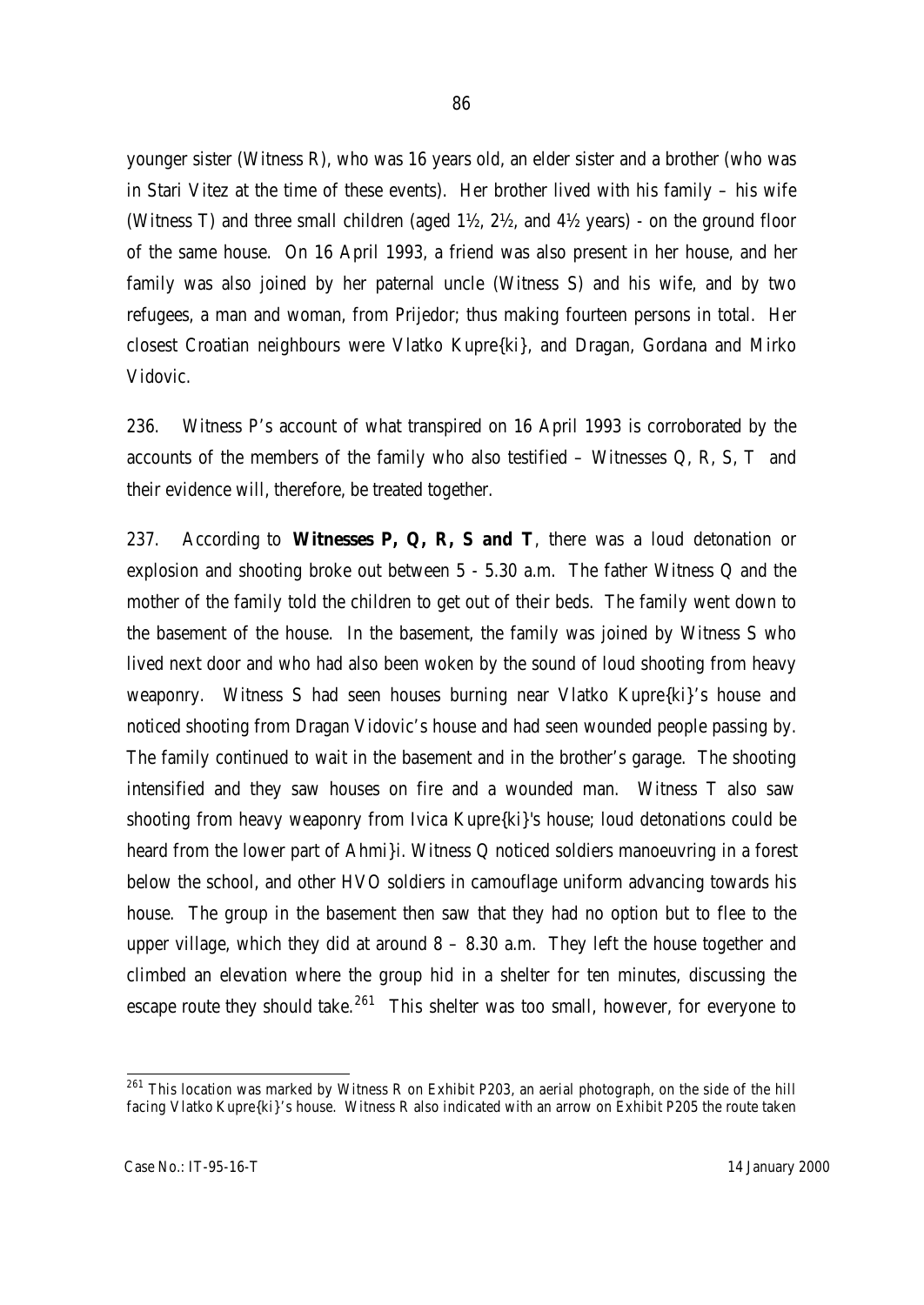younger sister (Witness R), who was 16 years old, an elder sister and a brother (who was in Stari Vitez at the time of these events). Her brother lived with his family – his wife (Witness T) and three small children (aged 1½, 2½, and 4½ years) - on the ground floor of the same house. On 16 April 1993, a friend was also present in her house, and her family was also joined by her paternal uncle (Witness S) and his wife, and by two refugees, a man and woman, from Prijedor; thus making fourteen persons in total. Her closest Croatian neighbours were Vlatko Kupre{ki}, and Dragan, Gordana and Mirko Vidovic.

236. Witness P's account of what transpired on 16 April 1993 is corroborated by the accounts of the members of the family who also testified  $-$  Witnesses  $Q$ , R, S, T and their evidence will, therefore, be treated together.

237. According to **Witnesses P, Q, R, S and T**, there was a loud detonation or explosion and shooting broke out between 5 - 5.30 a.m. The father Witness Q and the mother of the family told the children to get out of their beds. The family went down to the basement of the house. In the basement, the family was joined by Witness S who lived next door and who had also been woken by the sound of loud shooting from heavy weaponry. Witness S had seen houses burning near Vlatko Kupre{ki}'s house and noticed shooting from Dragan Vidovic's house and had seen wounded people passing by. The family continued to wait in the basement and in the brother's garage. The shooting intensified and they saw houses on fire and a wounded man. Witness T also saw shooting from heavy weaponry from Ivica Kupre{ki}'s house; loud detonations could be heard from the lower part of Ahmi}i. Witness Q noticed soldiers manoeuvring in a forest below the school, and other HVO soldiers in camouflage uniform advancing towards his house. The group in the basement then saw that they had no option but to flee to the upper village, which they did at around 8 – 8.30 a.m. They left the house together and climbed an elevation where the group hid in a shelter for ten minutes, discussing the escape route they should take.<sup>261</sup> This shelter was too small, however, for everyone to

 $\overline{\phantom{0}}$  $^{261}$  This location was marked by Witness R on Exhibit P203, an aerial photograph, on the side of the hill facing Vlatko Kupre{ki}'s house. Witness R also indicated with an arrow on Exhibit P205 the route taken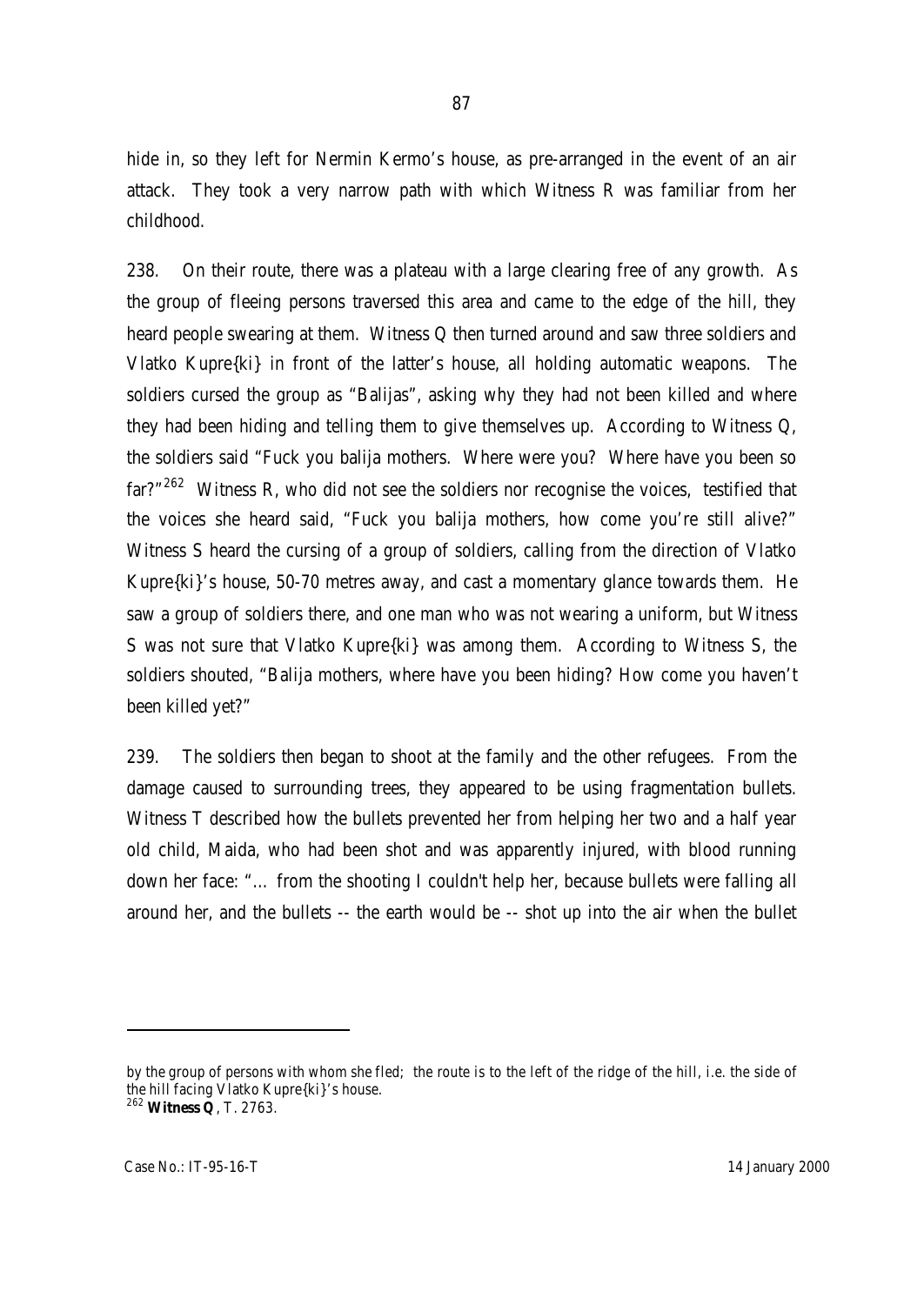hide in, so they left for Nermin Kermo's house, as pre-arranged in the event of an air attack. They took a very narrow path with which Witness R was familiar from her childhood.

238. On their route, there was a plateau with a large clearing free of any growth. As the group of fleeing persons traversed this area and came to the edge of the hill, they heard people swearing at them. Witness Q then turned around and saw three soldiers and Vlatko Kupre{ki} in front of the latter's house, all holding automatic weapons. The soldiers cursed the group as "Balijas", asking why they had not been killed and where they had been hiding and telling them to give themselves up. According to Witness Q, the soldiers said "Fuck you balija mothers. Where were you? Where have you been so  $far?$ <sup> $262$ </sup> Witness R, who did not see the soldiers nor recognise the voices, testified that the voices she heard said, "Fuck you balija mothers, how come you're still alive?" Witness S heard the cursing of a group of soldiers, calling from the direction of Vlatko Kupre{ki}'s house, 50-70 metres away, and cast a momentary glance towards them. He saw a group of soldiers there, and one man who was not wearing a uniform, but Witness S was not sure that Vlatko Kupre{ki} was among them. According to Witness S, the soldiers shouted, "Balija mothers, where have you been hiding? How come you haven't been killed yet?"

239. The soldiers then began to shoot at the family and the other refugees. From the damage caused to surrounding trees, they appeared to be using fragmentation bullets. Witness T described how the bullets prevented her from helping her two and a half year old child, Maida, who had been shot and was apparently injured, with blood running down her face: "… from the shooting I couldn't help her, because bullets were falling all around her, and the bullets -- the earth would be -- shot up into the air when the bullet

by the group of persons with whom she fled; the route is to the left of the ridge of the hill, i.e. the side of the hill facing Vlatko Kupre{ki}'s house. <sup>262</sup> **Witness Q**, T. 2763.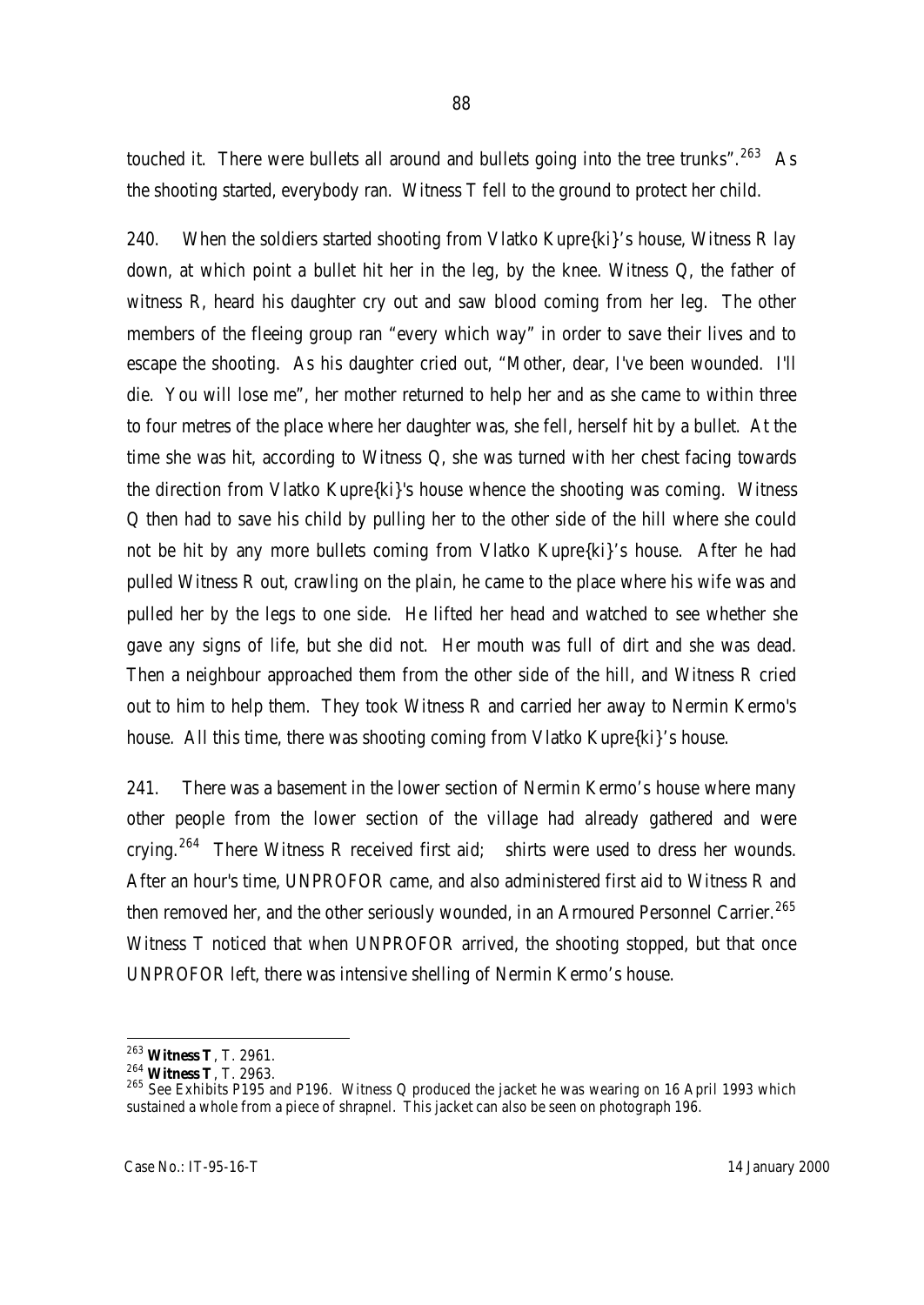touched it. There were bullets all around and bullets going into the tree trunks".  $^{263}$  As the shooting started, everybody ran. Witness T fell to the ground to protect her child.

240. When the soldiers started shooting from Vlatko Kupre{ki}'s house, Witness R lay down, at which point a bullet hit her in the leg, by the knee. Witness Q, the father of witness R, heard his daughter cry out and saw blood coming from her leg. The other members of the fleeing group ran "every which way" in order to save their lives and to escape the shooting. As his daughter cried out, "Mother, dear, I've been wounded. I'll die. You will lose me", her mother returned to help her and as she came to within three to four metres of the place where her daughter was, she fell, herself hit by a bullet. At the time she was hit, according to Witness Q, she was turned with her chest facing towards the direction from Vlatko Kupre{ki}'s house whence the shooting was coming. Witness Q then had to save his child by pulling her to the other side of the hill where she could not be hit by any more bullets coming from Vlatko Kupre{ki}'s house. After he had pulled Witness R out, crawling on the plain, he came to the place where his wife was and pulled her by the legs to one side. He lifted her head and watched to see whether she gave any signs of life, but she did not. Her mouth was full of dirt and she was dead. Then a neighbour approached them from the other side of the hill, and Witness R cried out to him to help them. They took Witness R and carried her away to Nermin Kermo's house. All this time, there was shooting coming from Vlatko Kupre{ki}'s house.

241. There was a basement in the lower section of Nermin Kermo's house where many other people from the lower section of the village had already gathered and were crying.<sup>264</sup> There Witness R received first aid; shirts were used to dress her wounds. After an hour's time, UNPROFOR came, and also administered first aid to Witness R and then removed her, and the other seriously wounded, in an Armoured Personnel Carrier.<sup>265</sup> Witness T noticed that when UNPROFOR arrived, the shooting stopped, but that once UNPROFOR left, there was intensive shelling of Nermin Kermo's house.

l <sup>263</sup> **Witness T**, T. 2961.

<sup>264</sup> **Witness T**, T. 2963.

<sup>&</sup>lt;sup>265</sup> See Exhibits P195 and P196. Witness Q produced the jacket he was wearing on 16 April 1993 which sustained a whole from a piece of shrapnel. This jacket can also be seen on photograph 196.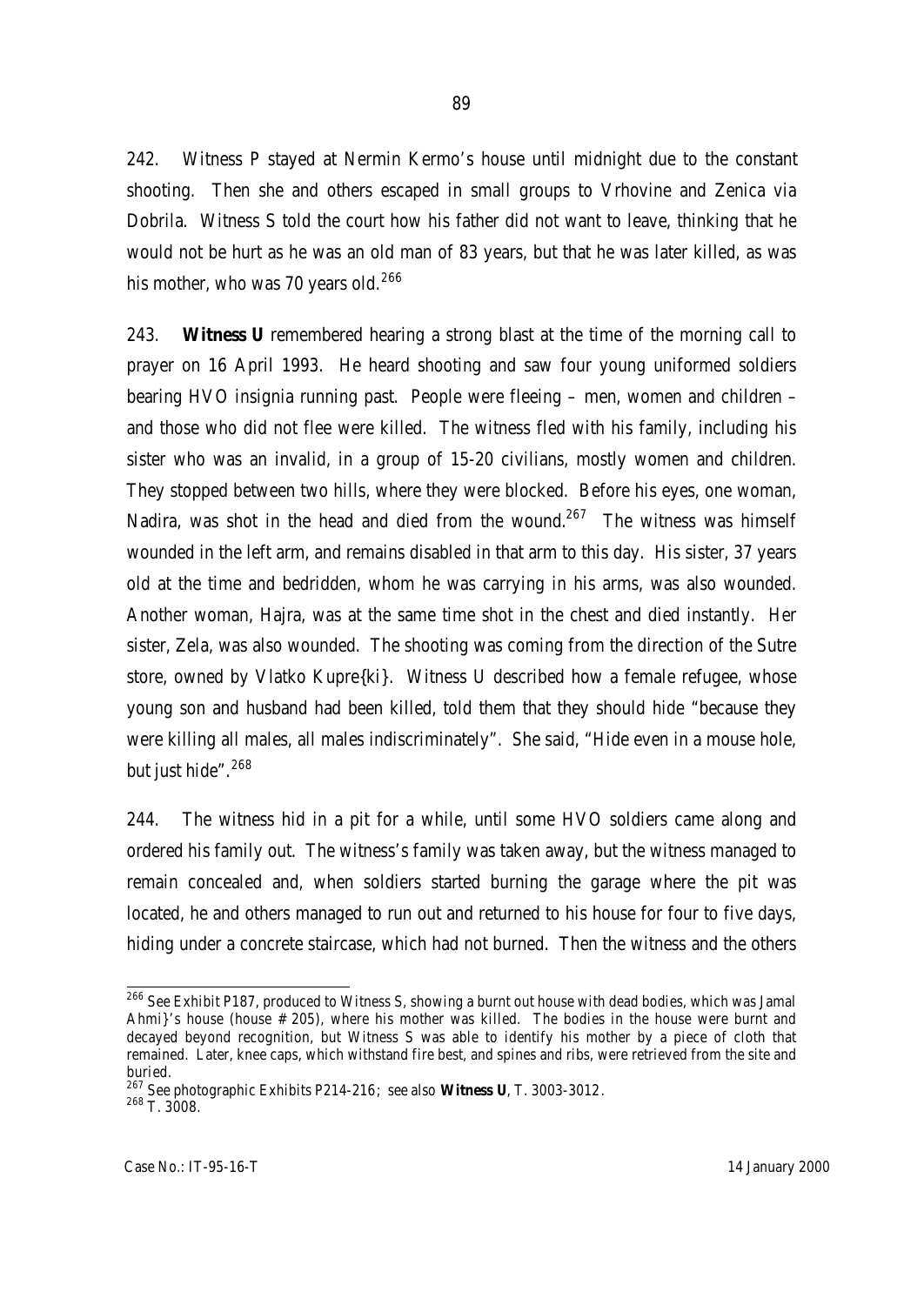242. Witness P stayed at Nermin Kermo's house until midnight due to the constant shooting. Then she and others escaped in small groups to Vrhovine and Zenica via Dobrila. Witness S told the court how his father did not want to leave, thinking that he would not be hurt as he was an old man of 83 years, but that he was later killed, as was his mother, who was 70 years old.<sup>266</sup>

243. **Witness U** remembered hearing a strong blast at the time of the morning call to prayer on 16 April 1993. He heard shooting and saw four young uniformed soldiers bearing HVO insignia running past. People were fleeing – men, women and children – and those who did not flee were killed. The witness fled with his family, including his sister who was an invalid, in a group of 15-20 civilians, mostly women and children. They stopped between two hills, where they were blocked. Before his eyes, one woman, Nadira, was shot in the head and died from the wound.<sup>267</sup> The witness was himself wounded in the left arm, and remains disabled in that arm to this day. His sister, 37 years old at the time and bedridden, whom he was carrying in his arms, was also wounded. Another woman, Hajra, was at the same time shot in the chest and died instantly. Her sister, Zela, was also wounded. The shooting was coming from the direction of the Sutre store, owned by Vlatko Kupre{ki}. Witness U described how a female refugee, whose young son and husband had been killed, told them that they should hide "because they were killing all males, all males indiscriminately". She said, "Hide even in a mouse hole, but just hide".<sup>268</sup>

244. The witness hid in a pit for a while, until some HVO soldiers came along and ordered his family out. The witness's family was taken away, but the witness managed to remain concealed and, when soldiers started burning the garage where the pit was located, he and others managed to run out and returned to his house for four to five days, hiding under a concrete staircase, which had not burned. Then the witness and the others

 $\overline{\phantom{0}}$  $^{266}$  See Exhibit P187, produced to Witness S, showing a burnt out house with dead bodies, which was Jamal Ahmi}'s house (house # 205), where his mother was killed. The bodies in the house were burnt and decayed beyond recognition, but Witness S was able to identify his mother by a piece of cloth that remained. Later, knee caps, which withstand fire best, and spines and ribs, were retrieved from the site and buried.

<sup>267</sup> See photographic Exhibits P214-216; see also **Witness U**, T. 3003-3012*.*  $^{268}$  T. 3008.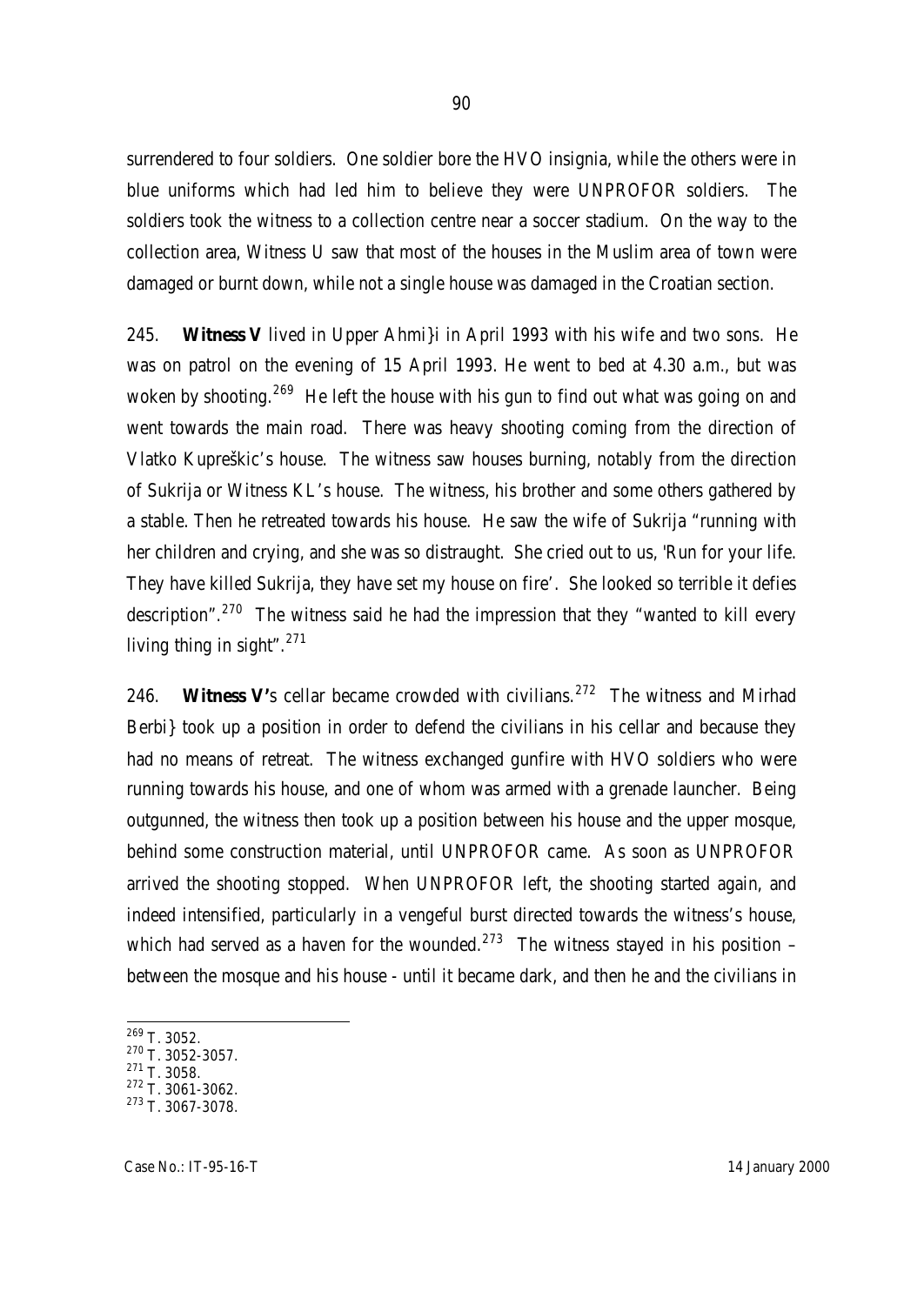surrendered to four soldiers. One soldier bore the HVO insignia, while the others were in blue uniforms which had led him to believe they were UNPROFOR soldiers. The soldiers took the witness to a collection centre near a soccer stadium. On the way to the collection area, Witness U saw that most of the houses in the Muslim area of town were damaged or burnt down, while not a single house was damaged in the Croatian section.

90

245. **Witness V** lived in Upper Ahmi}i in April 1993 with his wife and two sons. He was on patrol on the evening of 15 April 1993. He went to bed at 4.30 a.m., but was woken by shooting.<sup>269</sup> He left the house with his gun to find out what was going on and went towards the main road. There was heavy shooting coming from the direction of Vlatko Kupreškic's house. The witness saw houses burning, notably from the direction of Sukrija or Witness KL's house. The witness, his brother and some others gathered by a stable. Then he retreated towards his house. He saw the wife of Sukrija "running with her children and crying, and she was so distraught. She cried out to us, 'Run for your life. They have killed Sukrija, they have set my house on fire'. She looked so terrible it defies description".<sup>270</sup> The witness said he had the impression that they "wanted to kill every living thing in sight". $271$ 

246. **Witness V'**s cellar became crowded with civilians.<sup>272</sup> The witness and Mirhad Berbi} took up a position in order to defend the civilians in his cellar and because they had no means of retreat. The witness exchanged gunfire with HVO soldiers who were running towards his house, and one of whom was armed with a grenade launcher. Being outgunned, the witness then took up a position between his house and the upper mosque, behind some construction material, until UNPROFOR came. As soon as UNPROFOR arrived the shooting stopped. When UNPROFOR left, the shooting started again, and indeed intensified, particularly in a vengeful burst directed towards the witness's house, which had served as a haven for the wounded.<sup>273</sup> The witness stayed in his position – between the mosque and his house - until it became dark, and then he and the civilians in

- $\overline{a}$ <sup>269</sup> T. 3052.
- <sup>270</sup> T. 3052-3057.
- $^{271}$  T. 3058.

 $^{272}$  T. 3061-3062.

<sup>273</sup> T. 3067-3078.

Case No.: IT-95-16-T 14 January 2000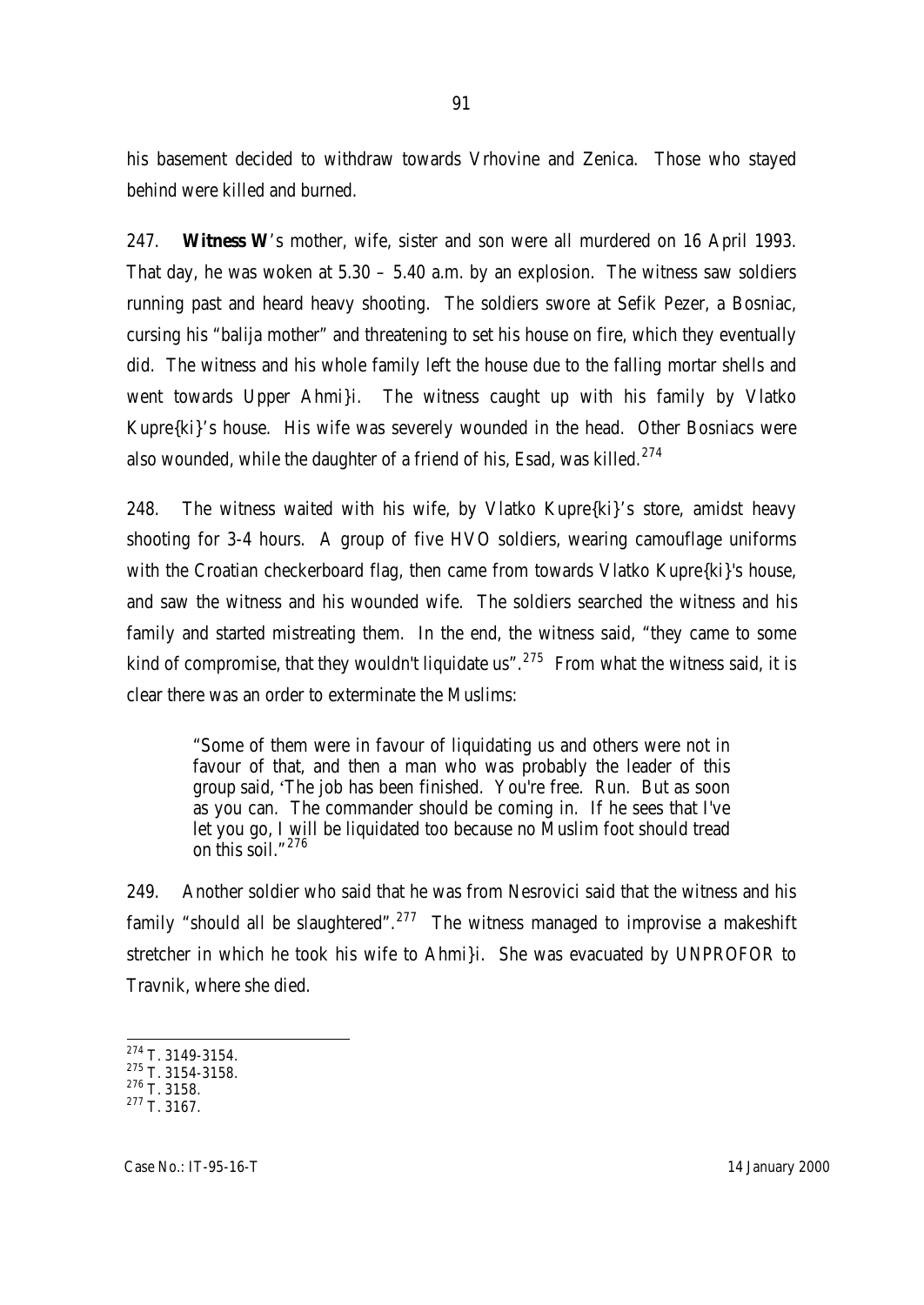his basement decided to withdraw towards Vrhovine and Zenica. Those who stayed behind were killed and burned.

247. **Witness W**'s mother, wife, sister and son were all murdered on 16 April 1993. That day, he was woken at 5.30 – 5.40 a.m. by an explosion. The witness saw soldiers running past and heard heavy shooting. The soldiers swore at Sefik Pezer, a Bosniac, cursing his "balija mother" and threatening to set his house on fire, which they eventually did. The witness and his whole family left the house due to the falling mortar shells and went towards Upper Ahmi}i. The witness caught up with his family by Vlatko Kupre{ki}'s house. His wife was severely wounded in the head. Other Bosniacs were also wounded, while the daughter of a friend of his, Esad, was killed. $274$ 

248. The witness waited with his wife, by Vlatko Kupre{ki}'s store, amidst heavy shooting for 3-4 hours. A group of five HVO soldiers, wearing camouflage uniforms with the Croatian checkerboard flag, then came from towards Vlatko Kupre{ki}'s house, and saw the witness and his wounded wife. The soldiers searched the witness and his family and started mistreating them. In the end, the witness said, "they came to some kind of compromise, that they wouldn't liquidate us".<sup>275</sup> From what the witness said, it is clear there was an order to exterminate the Muslims:

"Some of them were in favour of liquidating us and others were not in favour of that, and then a man who was probably the leader of this group said, 'The job has been finished. You're free. Run. But as soon as you can. The commander should be coming in. If he sees that I've let you go, I will be liquidated too because no Muslim foot should tread on this soil."<sup>276</sup>

249. Another soldier who said that he was from Nesrovici said that the witness and his family "should all be slaughtered".<sup>277</sup> The witness managed to improvise a makeshift stretcher in which he took his wife to Ahmi}i. She was evacuated by UNPROFOR to Travnik, where she died.

 $\overline{a}$ <sup>274</sup> T. 3149-3154.

 $^{275}$  T. 3154-3158.

<sup>&</sup>lt;sup>276</sup> Т. 3158. <sup>277</sup> T. 3167.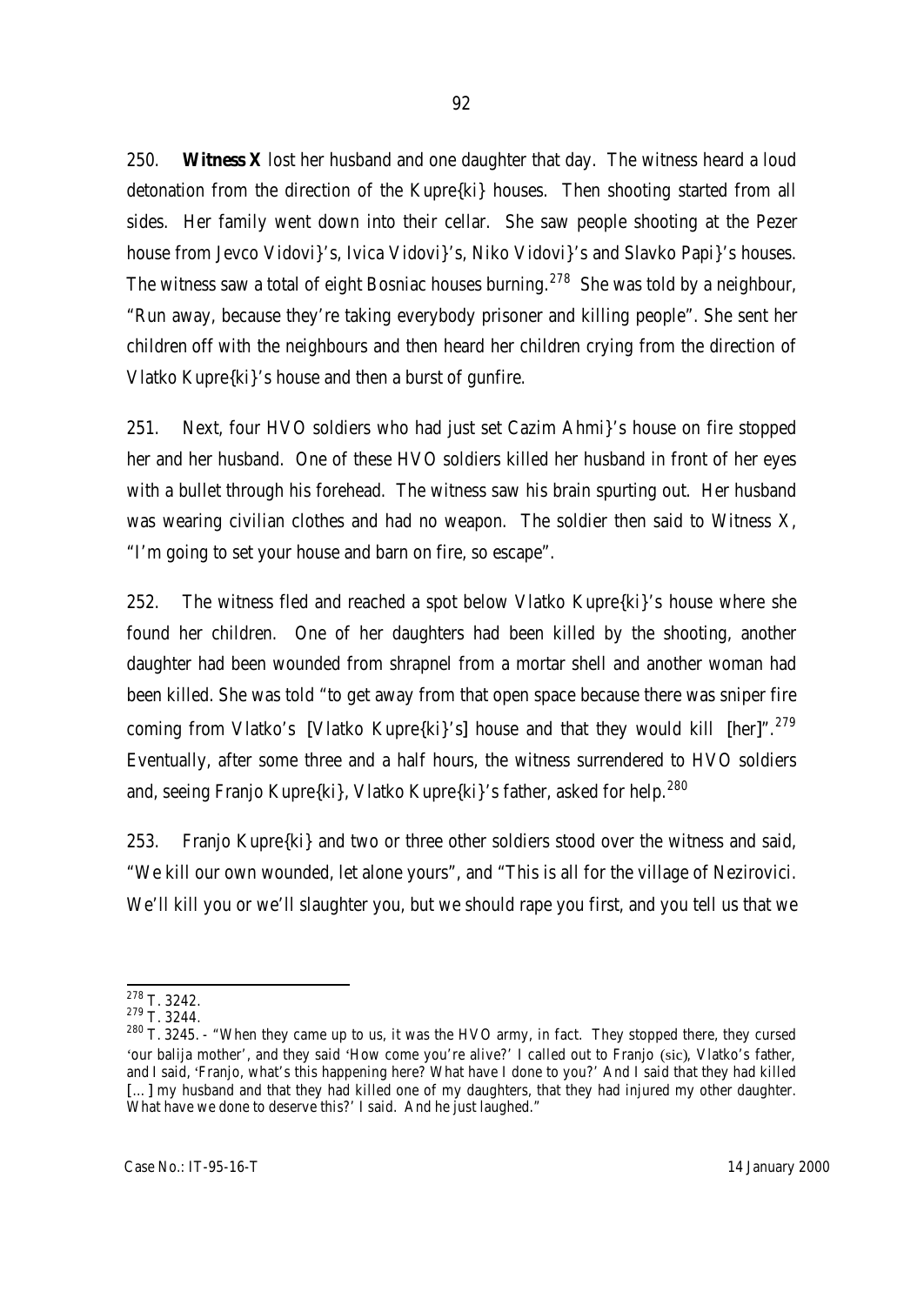250. **Witness X** lost her husband and one daughter that day. The witness heard a loud detonation from the direction of the Kupre{ki} houses. Then shooting started from all sides. Her family went down into their cellar. She saw people shooting at the Pezer house from Jevco Vidovi}'s, Ivica Vidovi}'s, Niko Vidovi}'s and Slavko Papi}'s houses. The witness saw a total of eight Bosniac houses burning.<sup>278</sup> She was told by a neighbour, "Run away, because they're taking everybody prisoner and killing people". She sent her children off with the neighbours and then heard her children crying from the direction of Vlatko Kupre{ki}'s house and then a burst of gunfire.

251. Next, four HVO soldiers who had just set Cazim Ahmi}'s house on fire stopped her and her husband. One of these HVO soldiers killed her husband in front of her eyes with a bullet through his forehead. The witness saw his brain spurting out. Her husband was wearing civilian clothes and had no weapon. The soldier then said to Witness X, "I'm going to set your house and barn on fire, so escape".

252. The witness fled and reached a spot below Vlatko Kupre{ki}'s house where she found her children. One of her daughters had been killed by the shooting, another daughter had been wounded from shrapnel from a mortar shell and another woman had been killed. She was told "to get away from that open space because there was sniper fire coming from Vlatko's [Vlatko Kupre $\{ki\}$ 's] house and that they would kill [her]".<sup>279</sup> Eventually, after some three and a half hours, the witness surrendered to HVO soldiers and, seeing Franjo Kupre{ki}, Vlatko Kupre{ki}'s father, asked for help.<sup>280</sup>

253. Franjo Kupre{ki} and two or three other soldiers stood over the witness and said, "We kill our own wounded, let alone yours", and "This is all for the village of Nezirovici. We'll kill you or we'll slaughter you, but we should rape you first, and you tell us that we

 $\overline{a}$  $^{278}$  T. 3242.

<sup>&</sup>lt;sup>279</sup> T. 3244.

<sup>&</sup>lt;sup>280</sup> T. 3245. - "When they came up to us, it was the HVO army, in fact. They stopped there, they cursed 'our balija mother', and they said 'How come you're alive?' I called out to Franjo (sic), Vlatko's father, and I said, 'Franjo, what's this happening here? What have I done to you?' And I said that they had killed [...] my husband and that they had killed one of my daughters, that they had injured my other daughter. What have we done to deserve this?' I said. And he just laughed."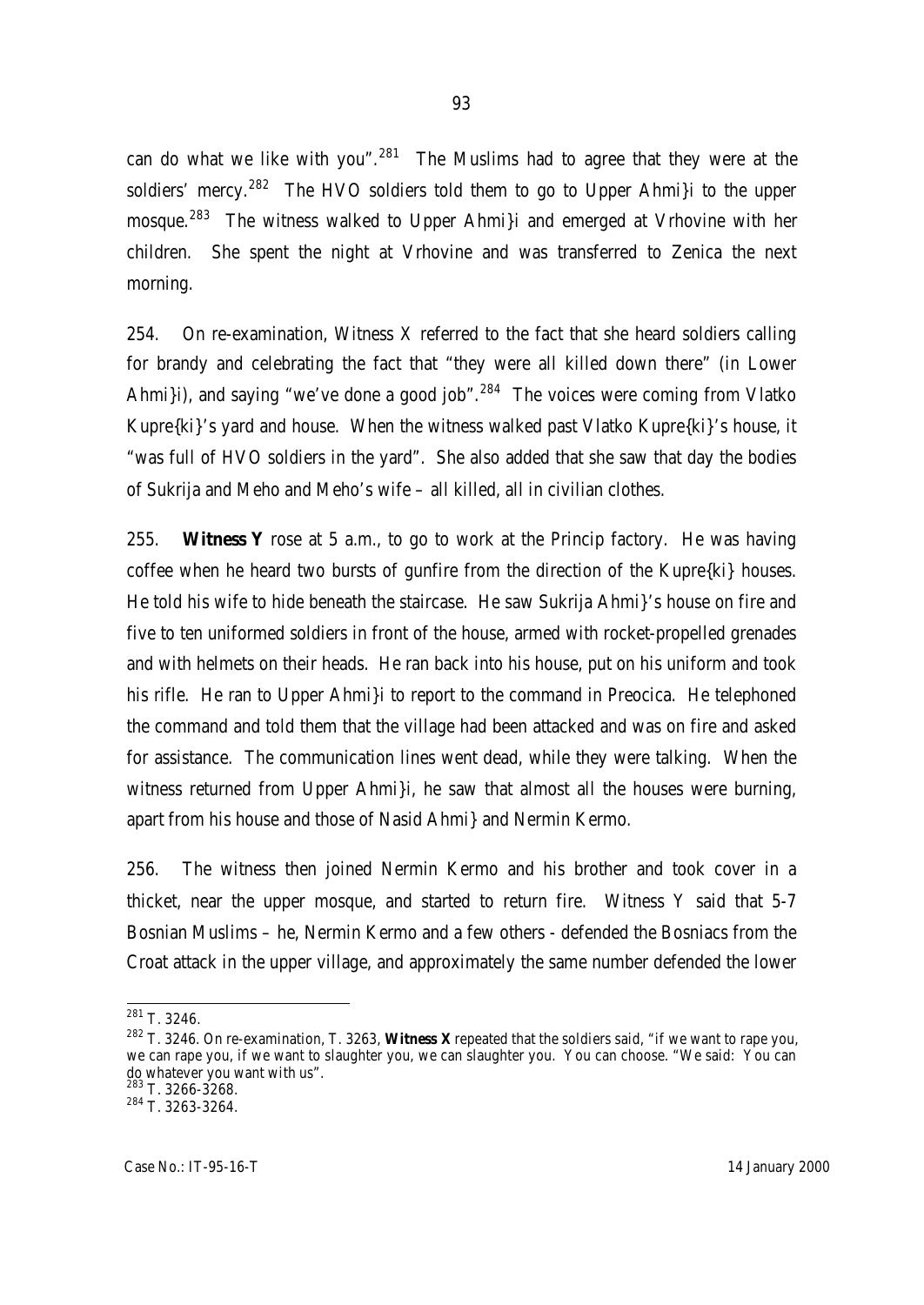can do what we like with you".<sup>281</sup> The Muslims had to agree that they were at the soldiers' mercy.<sup>282</sup> The HVO soldiers told them to go to Upper Ahmi}i to the upper mosque.<sup>283</sup> The witness walked to Upper Ahmi}i and emerged at Vrhovine with her children. She spent the night at Vrhovine and was transferred to Zenica the next morning.

254. On re-examination, Witness X referred to the fact that she heard soldiers calling for brandy and celebrating the fact that "they were all killed down there" (in Lower Ahmi}i), and saying "we've done a good job".<sup>284</sup> The voices were coming from Vlatko Kupre{ki}'s yard and house. When the witness walked past Vlatko Kupre{ki}'s house, it "was full of HVO soldiers in the yard". She also added that she saw that day the bodies of Sukrija and Meho and Meho's wife – all killed, all in civilian clothes.

255. **Witness Y** rose at 5 a.m., to go to work at the Princip factory. He was having coffee when he heard two bursts of gunfire from the direction of the Kupre{ki} houses. He told his wife to hide beneath the staircase. He saw Sukrija Ahmi}'s house on fire and five to ten uniformed soldiers in front of the house, armed with rocket-propelled grenades and with helmets on their heads. He ran back into his house, put on his uniform and took his rifle. He ran to Upper Ahmi}i to report to the command in Preocica. He telephoned the command and told them that the village had been attacked and was on fire and asked for assistance. The communication lines went dead, while they were talking. When the witness returned from Upper Ahmi i, he saw that almost all the houses were burning, apart from his house and those of Nasid Ahmi} and Nermin Kermo.

256. The witness then joined Nermin Kermo and his brother and took cover in a thicket, near the upper mosque, and started to return fire. Witness Y said that 5-7 Bosnian Muslims – he, Nermin Kermo and a few others - defended the Bosniacs from the Croat attack in the upper village, and approximately the same number defended the lower

 $\overline{a}$  $^{281}$  T. 3246.

<sup>282</sup> T. 3246. On re-examination, T. 3263, **Witness X** repeated that the soldiers said, "if we want to rape you, we can rape you, if we want to slaughter you, we can slaughter you. You can choose. "We said: You can do whatever you want with us".

 $^{283}$  T. 3266-3268.

<sup>284</sup> T. 3263-3264.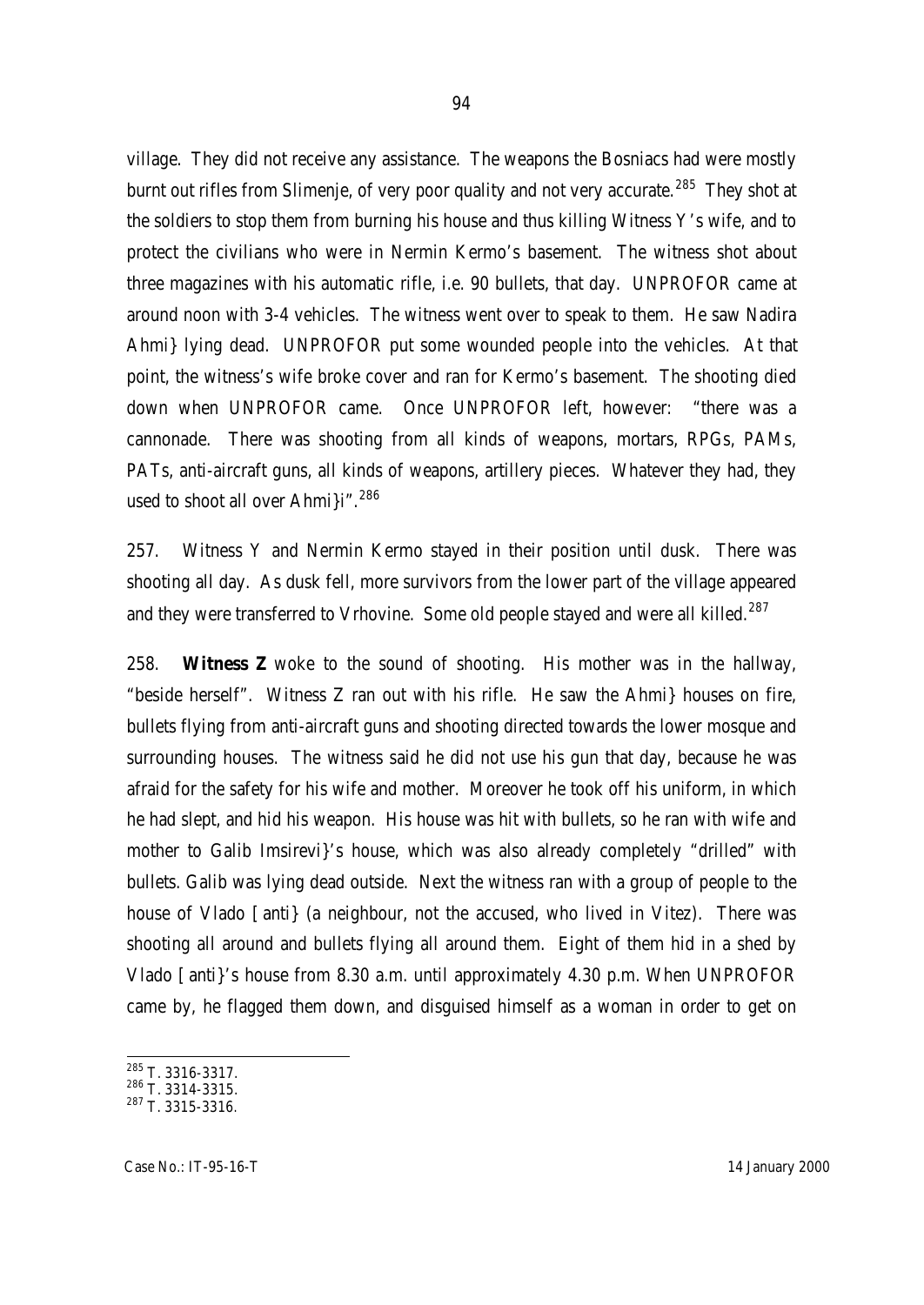village. They did not receive any assistance. The weapons the Bosniacs had were mostly burnt out rifles from Slimenje, of very poor quality and not very accurate.<sup>285</sup> They shot at the soldiers to stop them from burning his house and thus killing Witness Y's wife, and to protect the civilians who were in Nermin Kermo's basement. The witness shot about three magazines with his automatic rifle, i.e. 90 bullets, that day. UNPROFOR came at around noon with 3-4 vehicles. The witness went over to speak to them. He saw Nadira Ahmi} lying dead. UNPROFOR put some wounded people into the vehicles. At that point, the witness's wife broke cover and ran for Kermo's basement. The shooting died down when UNPROFOR came. Once UNPROFOR left, however: "there was a cannonade. There was shooting from all kinds of weapons, mortars, RPGs, PAMs, PATs, anti-aircraft guns, all kinds of weapons, artillery pieces. Whatever they had, they used to shoot all over Ahmi $\}i$ ".<sup>286</sup>

257. Witness Y and Nermin Kermo stayed in their position until dusk. There was shooting all day. As dusk fell, more survivors from the lower part of the village appeared and they were transferred to Vrhovine. Some old people stayed and were all killed.<sup>287</sup>

258. **Witness Z** woke to the sound of shooting. His mother was in the hallway, "beside herself". Witness Z ran out with his rifle. He saw the Ahmi} houses on fire, bullets flying from anti-aircraft guns and shooting directed towards the lower mosque and surrounding houses. The witness said he did not use his gun that day, because he was afraid for the safety for his wife and mother. Moreover he took off his uniform, in which he had slept, and hid his weapon. His house was hit with bullets, so he ran with wife and mother to Galib Imsirevi}'s house, which was also already completely "drilled" with bullets. Galib was lying dead outside. Next the witness ran with a group of people to the house of Vlado [anti} (a neighbour, not the accused, who lived in Vitez). There was shooting all around and bullets flying all around them. Eight of them hid in a shed by Vlado [anti}'s house from 8.30 a.m. until approximately 4.30 p.m. When UNPROFOR came by, he flagged them down, and disguised himself as a woman in order to get on

 $\overline{a}$  $^{285}$  T. 3316-3317.

<sup>&</sup>lt;sup>286</sup> T. 3314-3315.

<sup>287</sup> T. 3315-3316*.*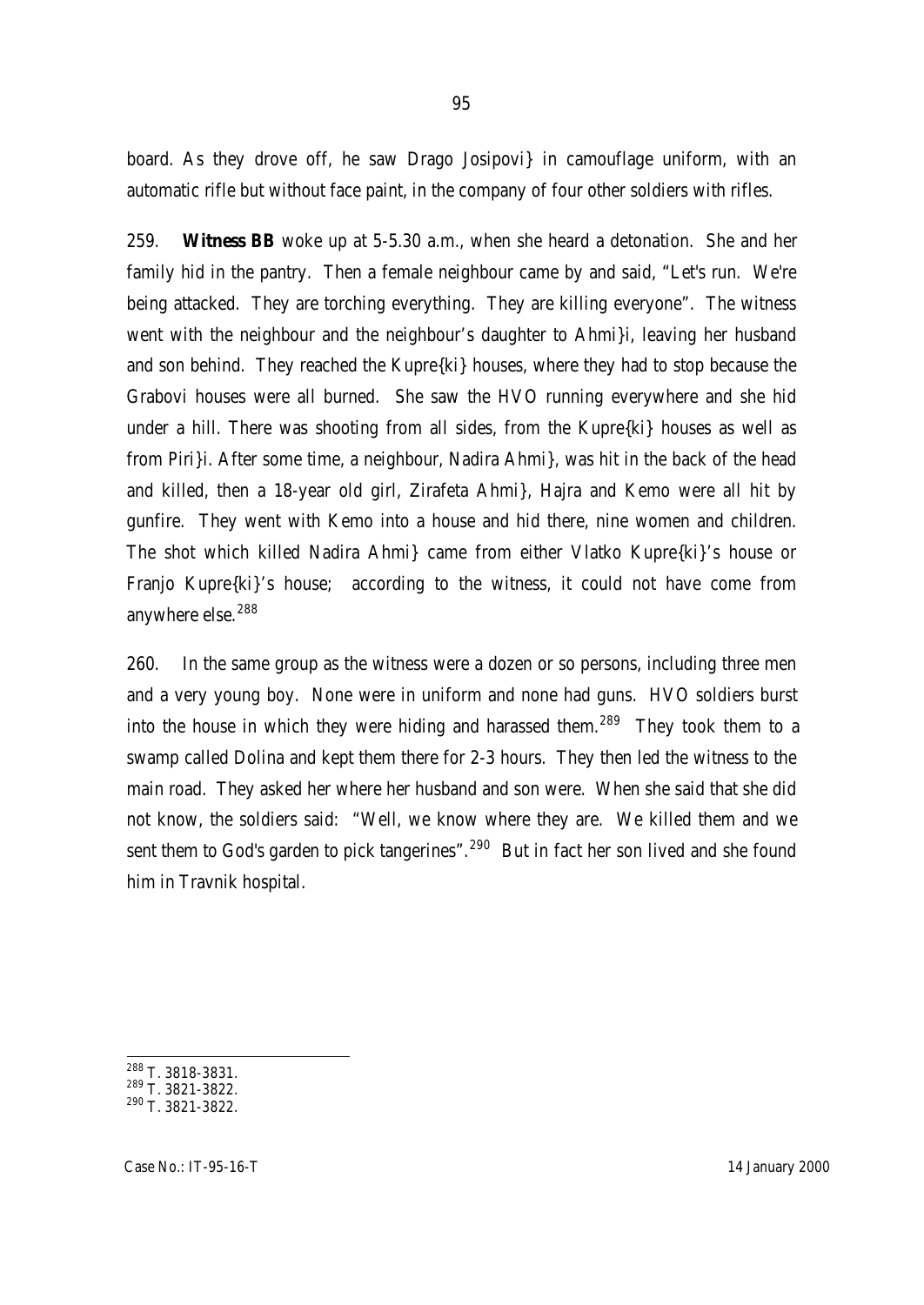board. As they drove off, he saw Drago Josipovi} in camouflage uniform, with an automatic rifle but without face paint, in the company of four other soldiers with rifles.

95

259. **Witness BB** woke up at 5-5.30 a.m., when she heard a detonation. She and her family hid in the pantry. Then a female neighbour came by and said, "Let's run. We're being attacked. They are torching everything. They are killing everyone". The witness went with the neighbour and the neighbour's daughter to Ahmi}i, leaving her husband and son behind. They reached the Kupre{ki} houses, where they had to stop because the Grabovi houses were all burned. She saw the HVO running everywhere and she hid under a hill. There was shooting from all sides, from the Kupre{ki} houses as well as from Piri}i. After some time, a neighbour, Nadira Ahmi}, was hit in the back of the head and killed, then a 18-year old girl, Zirafeta Ahmi}, Hajra and Kemo were all hit by gunfire. They went with Kemo into a house and hid there, nine women and children. The shot which killed Nadira Ahmi} came from either Vlatko Kupre{ki}'s house or Franjo Kupre{ki}'s house; according to the witness, it could not have come from anywhere else.<sup>288</sup>

260. In the same group as the witness were a dozen or so persons, including three men and a very young boy. None were in uniform and none had guns. HVO soldiers burst into the house in which they were hiding and harassed them.<sup>289</sup> They took them to a swamp called Dolina and kept them there for 2-3 hours. They then led the witness to the main road. They asked her where her husband and son were. When she said that she did not know, the soldiers said: "Well, we know where they are. We killed them and we sent them to God's garden to pick tangerines".<sup>290</sup> But in fact her son lived and she found him in Travnik hospital.

 $\overline{a}$ 

 $^{288}$  T. 3818-3831.

<sup>&</sup>lt;sup>289</sup> T. 3821-3822.

<sup>290</sup> T. 3821-3822.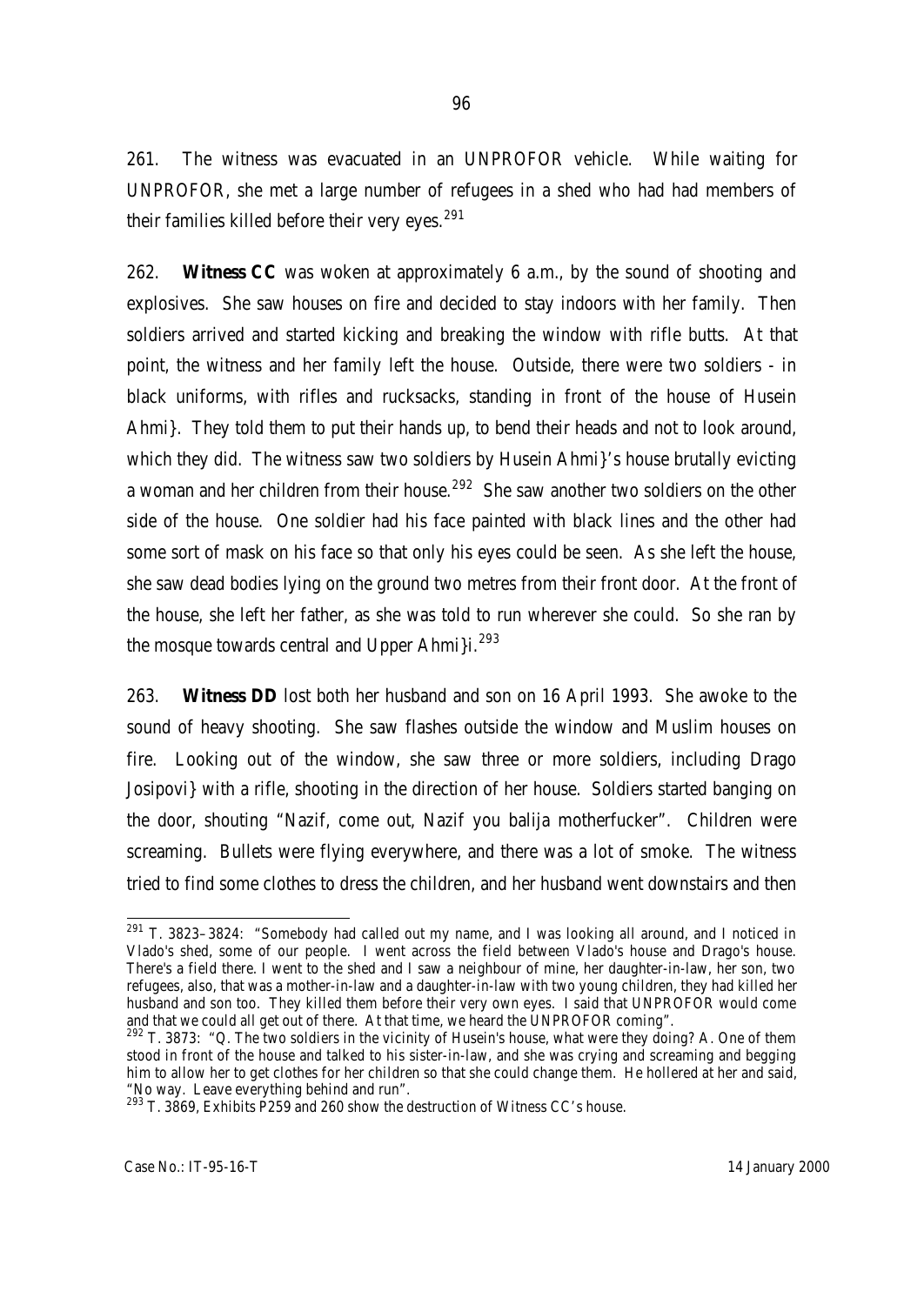261. The witness was evacuated in an UNPROFOR vehicle. While waiting for UNPROFOR, she met a large number of refugees in a shed who had had members of their families killed before their very eyes. $291$ 

262. **Witness CC** was woken at approximately 6 a.m., by the sound of shooting and explosives. She saw houses on fire and decided to stay indoors with her family. Then soldiers arrived and started kicking and breaking the window with rifle butts. At that point, the witness and her family left the house. Outside, there were two soldiers - in black uniforms, with rifles and rucksacks, standing in front of the house of Husein Ahmi}. They told them to put their hands up, to bend their heads and not to look around, which they did. The witness saw two soldiers by Husein Ahmi}'s house brutally evicting a woman and her children from their house.<sup>292</sup> She saw another two soldiers on the other side of the house. One soldier had his face painted with black lines and the other had some sort of mask on his face so that only his eyes could be seen. As she left the house, she saw dead bodies lying on the ground two metres from their front door. At the front of the house, she left her father, as she was told to run wherever she could. So she ran by the mosque towards central and Upper Ahmi}i.<sup>293</sup>

263. **Witness DD** lost both her husband and son on 16 April 1993. She awoke to the sound of heavy shooting. She saw flashes outside the window and Muslim houses on fire. Looking out of the window, she saw three or more soldiers, including Drago Josipovi} with a rifle, shooting in the direction of her house. Soldiers started banging on the door, shouting "Nazif, come out, Nazif you balija motherfucker". Children were screaming. Bullets were flying everywhere, and there was a lot of smoke. The witness tried to find some clothes to dress the children, and her husband went downstairs and then

 $\overline{\phantom{0}}$  $^{291}$  T. 3823–3824: "Somebody had called out my name, and I was looking all around, and I noticed in Vlado's shed, some of our people. I went across the field between Vlado's house and Drago's house. There's a field there. I went to the shed and I saw a neighbour of mine, her daughter-in-law, her son, two refugees, also, that was a mother-in-law and a daughter-in-law with two young children, they had killed her husband and son too. They killed them before their very own eyes. I said that UNPROFOR would come and that we could all get out of there. At that time, we heard the UNPROFOR coming".

 $^{292}$  T. 3873: "Q. The two soldiers in the vicinity of Husein's house, what were they doing? A. One of them stood in front of the house and talked to his sister-in-law, and she was crying and screaming and begging him to allow her to get clothes for her children so that she could change them. He hollered at her and said, "No way. Leave everything behind and run".

 $^{293}$  T. 3869, Exhibits P259 and 260 show the destruction of Witness CC's house.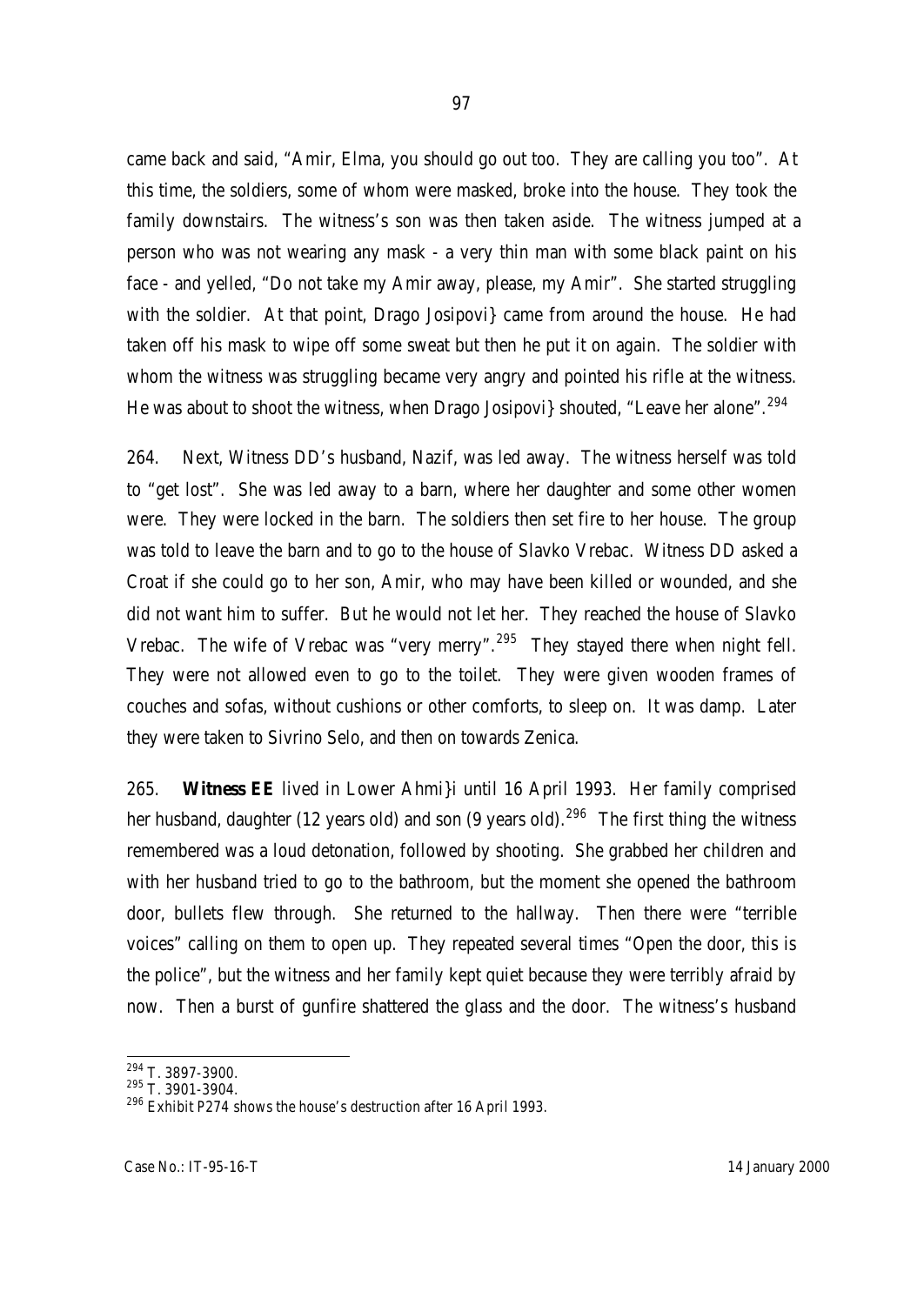came back and said, "Amir, Elma, you should go out too. They are calling you too". At this time, the soldiers, some of whom were masked, broke into the house. They took the family downstairs. The witness's son was then taken aside. The witness jumped at a person who was not wearing any mask - a very thin man with some black paint on his face - and yelled, "Do not take my Amir away, please, my Amir". She started struggling with the soldier. At that point, Drago Josipovi came from around the house. He had taken off his mask to wipe off some sweat but then he put it on again. The soldier with whom the witness was struggling became very angry and pointed his rifle at the witness. He was about to shoot the witness, when Drago Josipovi } shouted, "Leave her alone".<sup>294</sup>

264. Next, Witness DD's husband, Nazif, was led away. The witness herself was told to "get lost". She was led away to a barn, where her daughter and some other women were. They were locked in the barn. The soldiers then set fire to her house. The group was told to leave the barn and to go to the house of Slavko Vrebac. Witness DD asked a Croat if she could go to her son, Amir, who may have been killed or wounded, and she did not want him to suffer. But he would not let her. They reached the house of Slavko Vrebac. The wife of Vrebac was "very merry".<sup>295</sup> They stayed there when night fell. They were not allowed even to go to the toilet. They were given wooden frames of couches and sofas, without cushions or other comforts, to sleep on. It was damp. Later they were taken to Sivrino Selo, and then on towards Zenica.

265. **Witness EE** lived in Lower Ahmi}i until 16 April 1993. Her family comprised her husband, daughter (12 years old) and son (9 years old).<sup>296</sup> The first thing the witness remembered was a loud detonation, followed by shooting. She grabbed her children and with her husband tried to go to the bathroom, but the moment she opened the bathroom door, bullets flew through. She returned to the hallway. Then there were "terrible voices" calling on them to open up. They repeated several times "Open the door, this is the police", but the witness and her family kept quiet because they were terribly afraid by now. Then a burst of gunfire shattered the glass and the door. The witness's husband

 $\overline{a}$  $^{294}$  T. 3897-3900.

<sup>&</sup>lt;sup>295</sup> T. 3901-3904.

<sup>&</sup>lt;sup>296</sup> Exhibit P274 shows the house's destruction after 16 April 1993.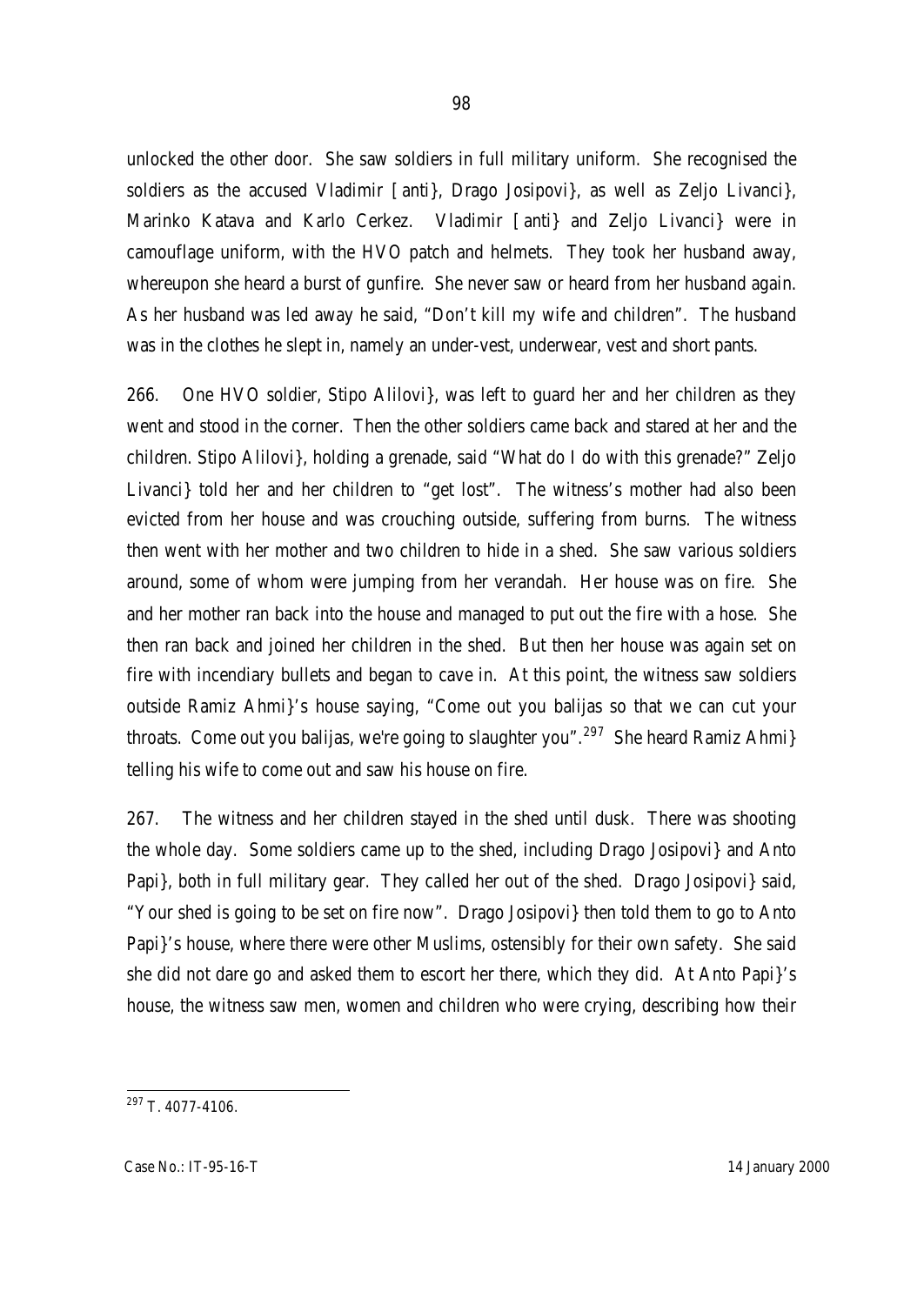unlocked the other door. She saw soldiers in full military uniform. She recognised the soldiers as the accused Vladimir [anti}, Drago Josipovi}, as well as Zeljo Livanci}, Marinko Katava and Karlo Cerkez. Vladimir [anti} and Zeljo Livanci} were in camouflage uniform, with the HVO patch and helmets. They took her husband away, whereupon she heard a burst of gunfire. She never saw or heard from her husband again. As her husband was led away he said, "Don't kill my wife and children". The husband was in the clothes he slept in, namely an under-vest, underwear, vest and short pants.

266. One HVO soldier, Stipo Alilovi}, was left to guard her and her children as they went and stood in the corner. Then the other soldiers came back and stared at her and the children. Stipo Alilovi}, holding a grenade, said "What do I do with this grenade?" Zeljo Livanci} told her and her children to "get lost". The witness's mother had also been evicted from her house and was crouching outside, suffering from burns. The witness then went with her mother and two children to hide in a shed. She saw various soldiers around, some of whom were jumping from her verandah. Her house was on fire. She and her mother ran back into the house and managed to put out the fire with a hose. She then ran back and joined her children in the shed. But then her house was again set on fire with incendiary bullets and began to cave in. At this point, the witness saw soldiers outside Ramiz Ahmi}'s house saying, "Come out you balijas so that we can cut your throats. Come out you balijas, we're going to slaughter you".<sup>297</sup> She heard Ramiz Ahmi} telling his wife to come out and saw his house on fire.

267. The witness and her children stayed in the shed until dusk. There was shooting the whole day. Some soldiers came up to the shed, including Drago Josipovi} and Anto Papi}, both in full military gear. They called her out of the shed. Drago Josipovi} said, "Your shed is going to be set on fire now". Drago Josipovi} then told them to go to Anto Papi}'s house, where there were other Muslims, ostensibly for their own safety. She said she did not dare go and asked them to escort her there, which they did. At Anto Papi}'s house, the witness saw men, women and children who were crying, describing how their

 $\overline{a}$ <sup>297</sup> T. 4077-4106.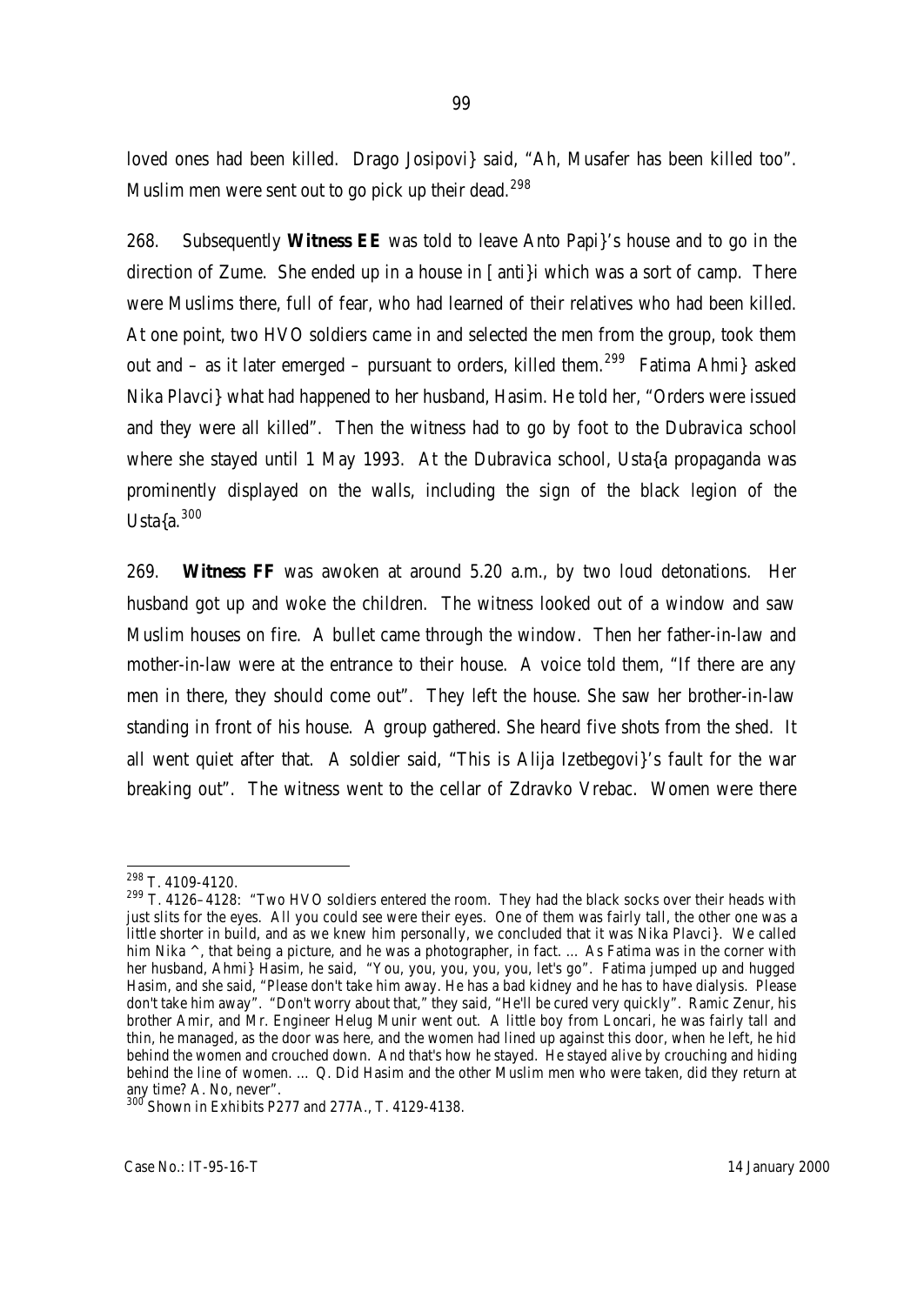loved ones had been killed. Drago Josipovi} said, "Ah, Musafer has been killed too". Muslim men were sent out to go pick up their dead.<sup>298</sup>

268. Subsequently **Witness EE** was told to leave Anto Papi}'s house and to go in the direction of Zume. She ended up in a house in [anti}i which was a sort of camp. There were Muslims there, full of fear, who had learned of their relatives who had been killed. At one point, two HVO soldiers came in and selected the men from the group, took them out and – as it later emerged – pursuant to orders, killed them.<sup>299</sup> Fatima Ahmi asked Nika Plavci} what had happened to her husband, Hasim. He told her, "Orders were issued and they were all killed". Then the witness had to go by foot to the Dubravica school where she stayed until 1 May 1993. At the Dubravica school, Usta{a propaganda was prominently displayed on the walls, including the sign of the black legion of the Usta $\{a, \frac{300}{2}\}$ 

269. **Witness FF** was awoken at around 5.20 a.m., by two loud detonations. Her husband got up and woke the children. The witness looked out of a window and saw Muslim houses on fire. A bullet came through the window. Then her father-in-law and mother-in-law were at the entrance to their house. A voice told them, "If there are any men in there, they should come out". They left the house. She saw her brother-in-law standing in front of his house. A group gathered. She heard five shots from the shed. It all went quiet after that. A soldier said, "This is Alija Izetbegovi}'s fault for the war breaking out". The witness went to the cellar of Zdravko Vrebac. Women were there

 $\overline{a}$ <sup>298</sup> T. 4109-4120.

 $299$  T. 4126-4128: "Two HVO soldiers entered the room. They had the black socks over their heads with just slits for the eyes. All you could see were their eyes. One of them was fairly tall, the other one was a little shorter in build, and as we knew him personally, we concluded that it was Nika Plavci}. We called him Nika  $\land$ , that being a picture, and he was a photographer, in fact. ... As Fatima was in the corner with her husband, Ahmi} Hasim, he said, "You, you, you, you, you, let's go". Fatima jumped up and hugged Hasim, and she said, "Please don't take him away. He has a bad kidney and he has to have dialysis. Please don't take him away". "Don't worry about that," they said, "He'll be cured very quickly". Ramic Zenur, his brother Amir, and Mr. Engineer Helug Munir went out. A little boy from Loncari, he was fairly tall and thin, he managed, as the door was here, and the women had lined up against this door, when he left, he hid behind the women and crouched down. And that's how he stayed. He stayed alive by crouching and hiding behind the line of women. … Q. Did Hasim and the other Muslim men who were taken, did they return at any time? A. No, never".

 $^{300}$  Shown in Exhibits P277 and 277A., T. 4129-4138.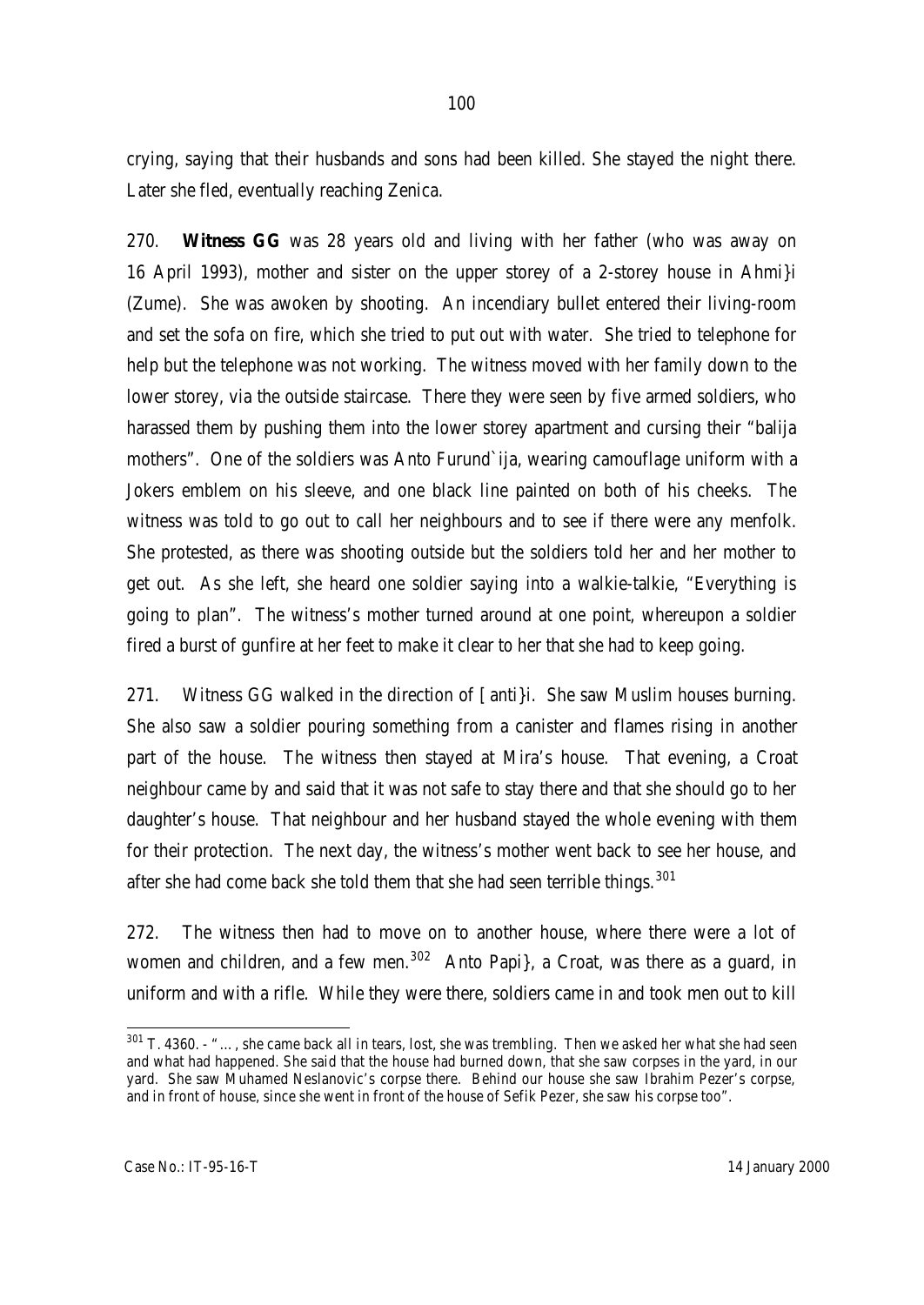crying, saying that their husbands and sons had been killed. She stayed the night there. Later she fled, eventually reaching Zenica.

270. **Witness GG** was 28 years old and living with her father (who was away on 16 April 1993), mother and sister on the upper storey of a 2-storey house in Ahmi}i (Zume). She was awoken by shooting. An incendiary bullet entered their living-room and set the sofa on fire, which she tried to put out with water. She tried to telephone for help but the telephone was not working. The witness moved with her family down to the lower storey, via the outside staircase. There they were seen by five armed soldiers, who harassed them by pushing them into the lower storey apartment and cursing their "balija mothers". One of the soldiers was Anto Furund`ija, wearing camouflage uniform with a Jokers emblem on his sleeve, and one black line painted on both of his cheeks. The witness was told to go out to call her neighbours and to see if there were any menfolk. She protested, as there was shooting outside but the soldiers told her and her mother to get out. As she left, she heard one soldier saying into a walkie-talkie, "Everything is going to plan". The witness's mother turned around at one point, whereupon a soldier fired a burst of gunfire at her feet to make it clear to her that she had to keep going.

271. Witness GG walked in the direction of [anti}i. She saw Muslim houses burning. She also saw a soldier pouring something from a canister and flames rising in another part of the house. The witness then stayed at Mira's house. That evening, a Croat neighbour came by and said that it was not safe to stay there and that she should go to her daughter's house. That neighbour and her husband stayed the whole evening with them for their protection. The next day, the witness's mother went back to see her house, and after she had come back she told them that she had seen terrible things.<sup>301</sup>

272. The witness then had to move on to another house, where there were a lot of women and children, and a few men.<sup>302</sup> Anto Papi}, a Croat, was there as a quard, in uniform and with a rifle. While they were there, soldiers came in and took men out to kill

 $\overline{a}$  $301$  T. 4360. - "…, she came back all in tears, lost, she was trembling. Then we asked her what she had seen and what had happened. She said that the house had burned down, that she saw corpses in the yard, in our yard. She saw Muhamed Neslanovic's corpse there. Behind our house she saw Ibrahim Pezer's corpse, and in front of house, since she went in front of the house of Sefik Pezer, she saw his corpse too".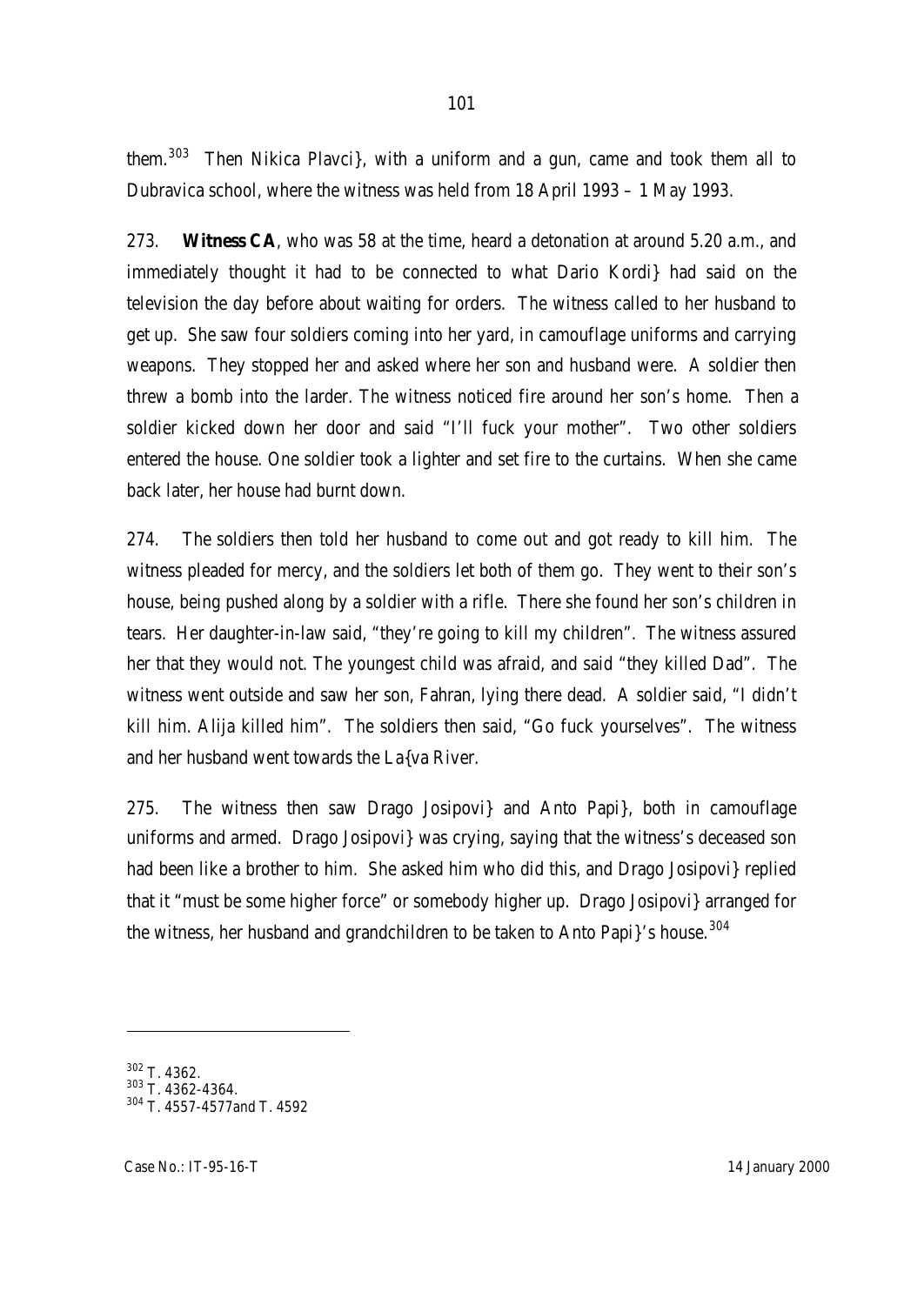them.<sup>303</sup> Then Nikica Plavci}, with a uniform and a gun, came and took them all to Dubravica school, where the witness was held from 18 April 1993 – 1 May 1993.

273. **Witness CA**, who was 58 at the time, heard a detonation at around 5.20 a.m., and immediately thought it had to be connected to what Dario Kordi} had said on the television the day before about waiting for orders. The witness called to her husband to get up. She saw four soldiers coming into her yard, in camouflage uniforms and carrying weapons. They stopped her and asked where her son and husband were. A soldier then threw a bomb into the larder. The witness noticed fire around her son's home. Then a soldier kicked down her door and said "I'll fuck your mother". Two other soldiers entered the house. One soldier took a lighter and set fire to the curtains. When she came back later, her house had burnt down.

274. The soldiers then told her husband to come out and got ready to kill him. The witness pleaded for mercy, and the soldiers let both of them go. They went to their son's house, being pushed along by a soldier with a rifle. There she found her son's children in tears. Her daughter-in-law said, "they're going to kill my children". The witness assured her that they would not. The youngest child was afraid, and said "they killed Dad". The witness went outside and saw her son, Fahran, lying there dead. A soldier said, "I didn't kill him. Alija killed him". The soldiers then said, "Go fuck yourselves". The witness and her husband went towards the La{va River.

275. The witness then saw Drago Josipovi} and Anto Papi}, both in camouflage uniforms and armed. Drago Josipovi} was crying, saying that the witness's deceased son had been like a brother to him. She asked him who did this, and Drago Josipovi} replied that it "must be some higher force" or somebody higher up. Drago Josipovi} arranged for the witness, her husband and grandchildren to be taken to Anto Papi}'s house.<sup>304</sup>

 $302$  T. 4362.

 $303$  T. 4362-4364.

<sup>304</sup> T. 4557-4577and T. 4592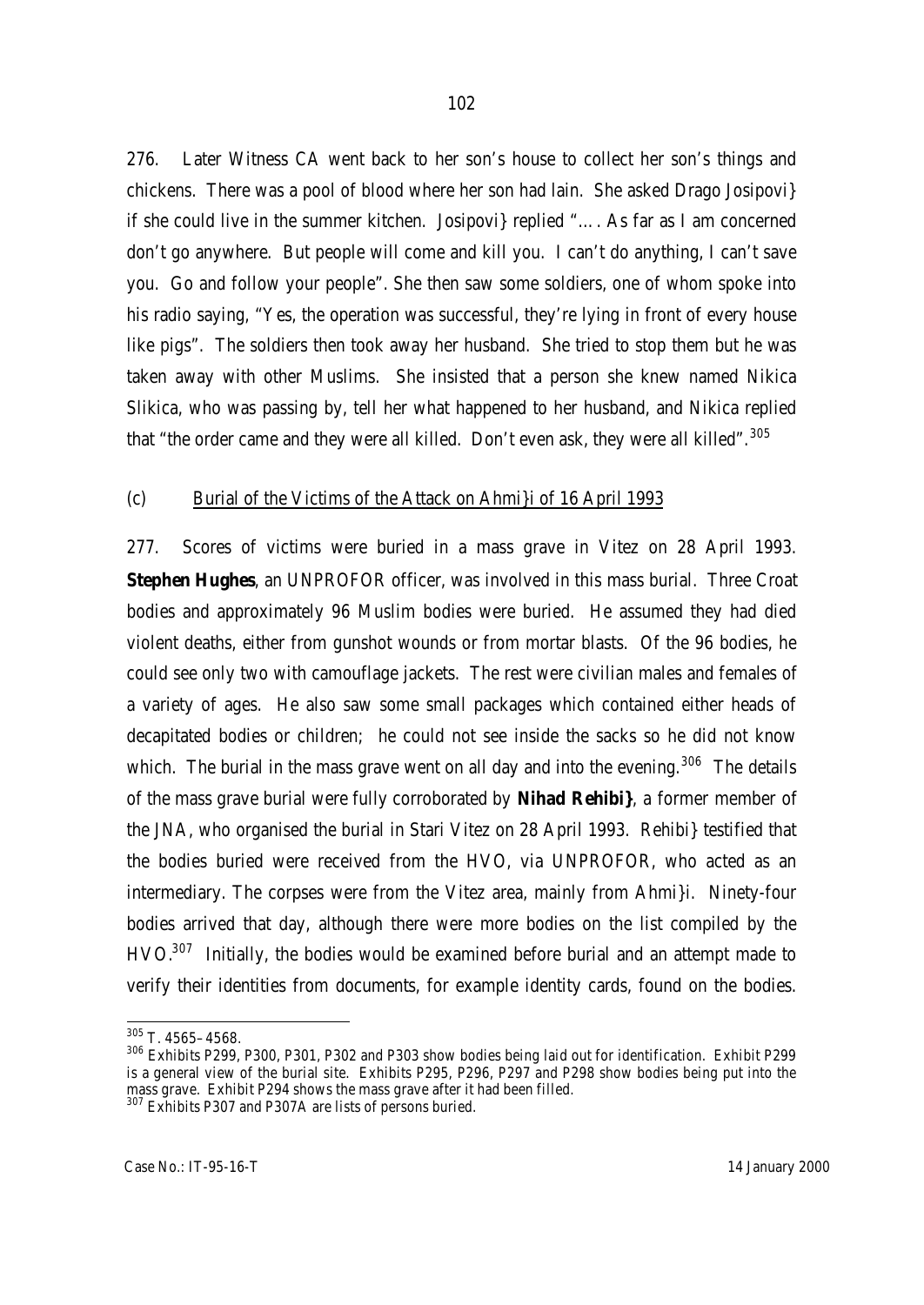102

276. Later Witness CA went back to her son's house to collect her son's things and chickens. There was a pool of blood where her son had lain. She asked Drago Josipovi} if she could live in the summer kitchen. Josipovi} replied "…. As far as I am concerned don't go anywhere. But people will come and kill you. I can't do anything, I can't save you. Go and follow your people". She then saw some soldiers, one of whom spoke into his radio saying, "Yes, the operation was successful, they're lying in front of every house like pigs". The soldiers then took away her husband. She tried to stop them but he was taken away with other Muslims. She insisted that a person she knew named Nikica Slikica, who was passing by, tell her what happened to her husband, and Nikica replied that "the order came and they were all killed. Don't even ask, they were all killed".<sup>305</sup>

#### (c) Burial of the Victims of the Attack on Ahmi}i of 16 April 1993

277. Scores of victims were buried in a mass grave in Vitez on 28 April 1993. **Stephen Hughes**, an UNPROFOR officer, was involved in this mass burial. Three Croat bodies and approximately 96 Muslim bodies were buried. He assumed they had died violent deaths, either from gunshot wounds or from mortar blasts. Of the 96 bodies, he could see only two with camouflage jackets. The rest were civilian males and females of a variety of ages. He also saw some small packages which contained either heads of decapitated bodies or children; he could not see inside the sacks so he did not know which. The burial in the mass grave went on all day and into the evening.<sup>306</sup> The details of the mass grave burial were fully corroborated by **Nihad Rehibi}**, a former member of the JNA, who organised the burial in Stari Vitez on 28 April 1993. Rehibi} testified that the bodies buried were received from the HVO, via UNPROFOR, who acted as an intermediary. The corpses were from the Vitez area, mainly from Ahmi}i. Ninety-four bodies arrived that day, although there were more bodies on the list compiled by the HVO.<sup>307</sup> Initially, the bodies would be examined before burial and an attempt made to verify their identities from documents, for example identity cards, found on the bodies.

 $\overline{a}$  $305$  T. 4565-4568.

<sup>306</sup> Exhibits P299, P300, P301, P302 and P303 show bodies being laid out for identification. Exhibit P299 is a general view of the burial site. Exhibits P295, P296, P297 and P298 show bodies being put into the mass grave. Exhibit P294 shows the mass grave after it had been filled. <sup>307</sup> Exhibits P307 and P307A are lists of persons buried.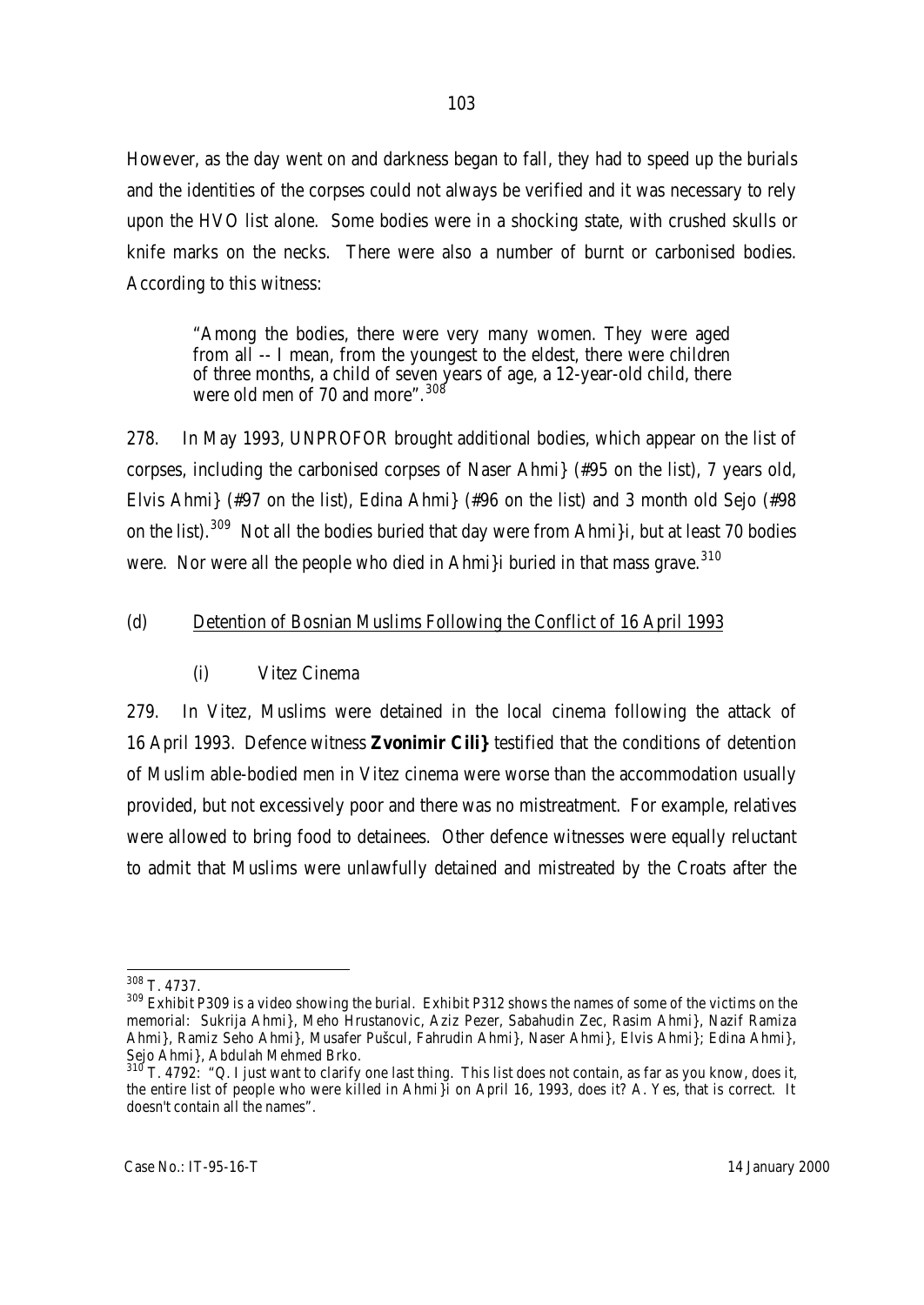However, as the day went on and darkness began to fall, they had to speed up the burials and the identities of the corpses could not always be verified and it was necessary to rely upon the HVO list alone. Some bodies were in a shocking state, with crushed skulls or knife marks on the necks. There were also a number of burnt or carbonised bodies. According to this witness:

"Among the bodies, there were very many women. They were aged from all -- I mean, from the youngest to the eldest, there were children of three months, a child of seven years of age, a 12-year-old child, there were old men of 70 and more".<sup>308</sup>

278. In May 1993, UNPROFOR brought additional bodies, which appear on the list of corpses, including the carbonised corpses of Naser Ahmi} (#95 on the list), 7 years old, Elvis Ahmi} (#97 on the list), Edina Ahmi} (#96 on the list) and 3 month old Sejo (#98 on the list).<sup>309</sup> Not all the bodies buried that day were from Ahmi}i, but at least 70 bodies were. Nor were all the people who died in Ahmi i buried in that mass grave.<sup>310</sup>

# (d) Detention of Bosnian Muslims Following the Conflict of 16 April 1993

# (i) Vitez Cinema

279. In Vitez, Muslims were detained in the local cinema following the attack of 16 April 1993. Defence witness **Zvonimir Cili}** testified that the conditions of detention of Muslim able-bodied men in Vitez cinema were worse than the accommodation usually provided, but not excessively poor and there was no mistreatment. For example, relatives were allowed to bring food to detainees. Other defence witnesses were equally reluctant to admit that Muslims were unlawfully detained and mistreated by the Croats after the

 $\overline{a}$  $308$  T. 4737.

<sup>&</sup>lt;sup>309</sup> Exhibit P309 is a video showing the burial. Exhibit P312 shows the names of some of the victims on the memorial: Sukrija Ahmi}, Meho Hrustanovic, Aziz Pezer, Sabahudin Zec, Rasim Ahmi}, Nazif Ramiza Ahmi}, Ramiz Seho Ahmi}, Musafer Pušcul, Fahrudin Ahmi}, Naser Ahmi}, Elvis Ahmi}; Edina Ahmi}, Sejo Ahmi}, Abdulah Mehmed Brko.

 $310$  T. 4792:  $\degree$ Q. I just want to clarify one last thing. This list does not contain, as far as you know, does it, the entire list of people who were killed in Ahmi}i on April 16, 1993, does it? A. Yes, that is correct. It doesn't contain all the names".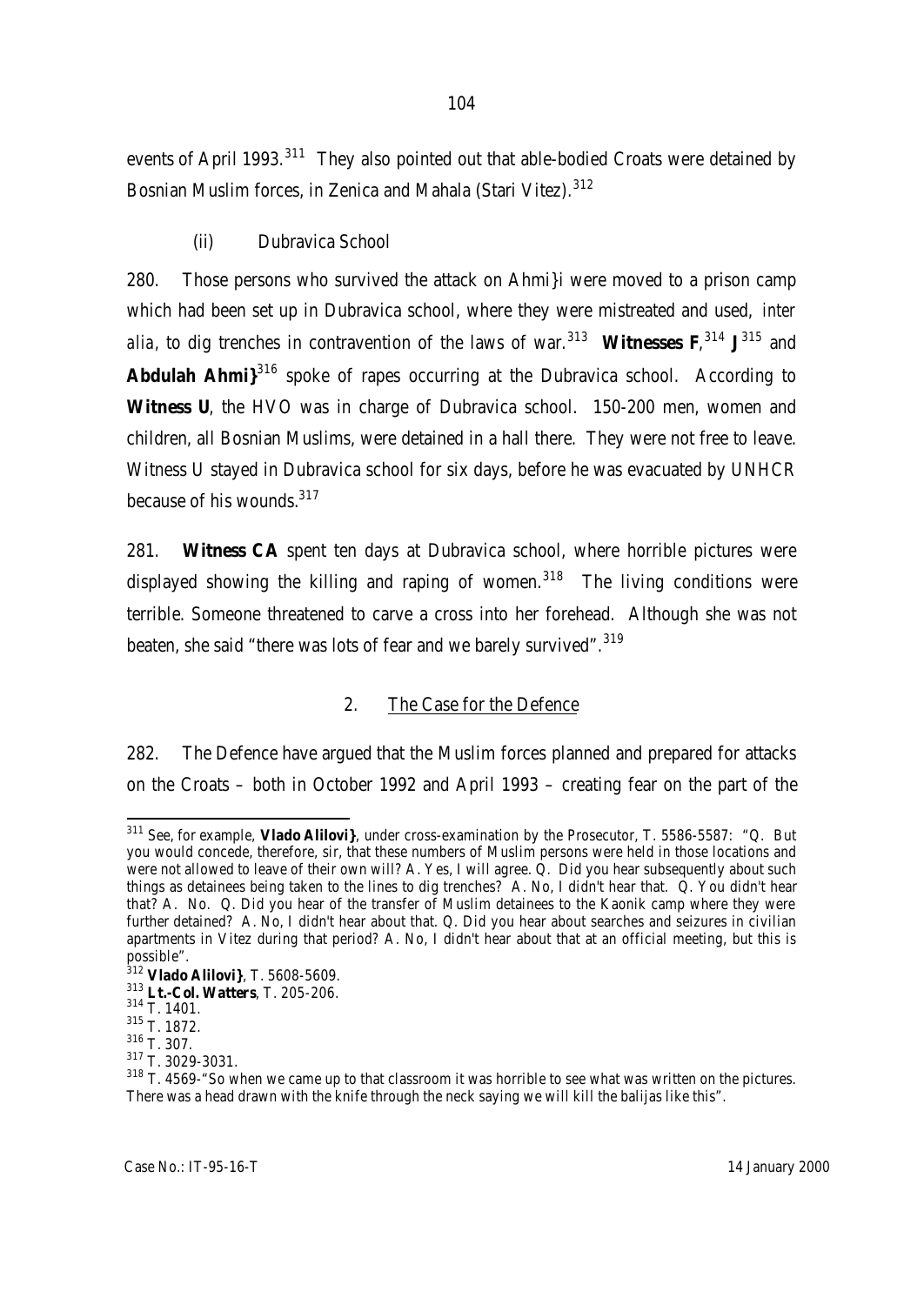events of April 1993.<sup>311</sup> They also pointed out that able-bodied Croats were detained by Bosnian Muslim forces, in Zenica and Mahala (Stari Vitez).<sup>312</sup>

(ii) Dubravica School

280. Those persons who survived the attack on Ahmi}i were moved to a prison camp which had been set up in Dubravica school, where they were mistreated and used, *inter* alia, to dig trenches in contravention of the laws of war.<sup>313</sup> Witnesses F,<sup>314</sup> J<sup>315</sup> and **Abdulah Ahmi**<sup>316</sup> spoke of rapes occurring at the Dubravica school. According to **Witness U**, the HVO was in charge of Dubravica school. 150-200 men, women and children, all Bosnian Muslims, were detained in a hall there. They were not free to leave. Witness U stayed in Dubravica school for six days, before he was evacuated by UNHCR because of his wounds.<sup>317</sup>

281. **Witness CA** spent ten days at Dubravica school, where horrible pictures were displayed showing the killing and raping of women.<sup>318</sup> The living conditions were terrible. Someone threatened to carve a cross into her forehead. Although she was not beaten, she said "there was lots of fear and we barely survived".<sup>319</sup>

# 2. The Case for the Defence

282. The Defence have argued that the Muslim forces planned and prepared for attacks on the Croats – both in October 1992 and April 1993 – creating fear on the part of the

<sup>313</sup> **Lt.-Col. Watters**, T. 205-206.

<sup>311</sup> See, for example, **Vlado Alilovi}**, under cross-examination by the Prosecutor, T. 5586-5587: "Q. But you would concede, therefore, sir, that these numbers of Muslim persons were held in those locations and were not allowed to leave of their own will? A. Yes, I will agree. Q. Did you hear subsequently about such things as detainees being taken to the lines to dig trenches? A. No, I didn't hear that. Q. You didn't hear that? A. No. Q. Did you hear of the transfer of Muslim detainees to the Kaonik camp where they were further detained? A. No, I didn't hear about that. Q. Did you hear about searches and seizures in civilian apartments in Vitez during that period? A. No, I didn't hear about that at an official meeting, but this is possible".

<sup>312</sup> **Vlado Alilovi}**, T. 5608-5609.

 $314 \overline{T}$ . 1401.

<sup>315</sup> T. 1872.

<sup>316</sup> T. 307.

<sup>317</sup> T. 3029-3031.

<sup>&</sup>lt;sup>318</sup> T. 4569-"So when we came up to that classroom it was horrible to see what was written on the pictures. There was a head drawn with the knife through the neck saying we will kill the balijas like this".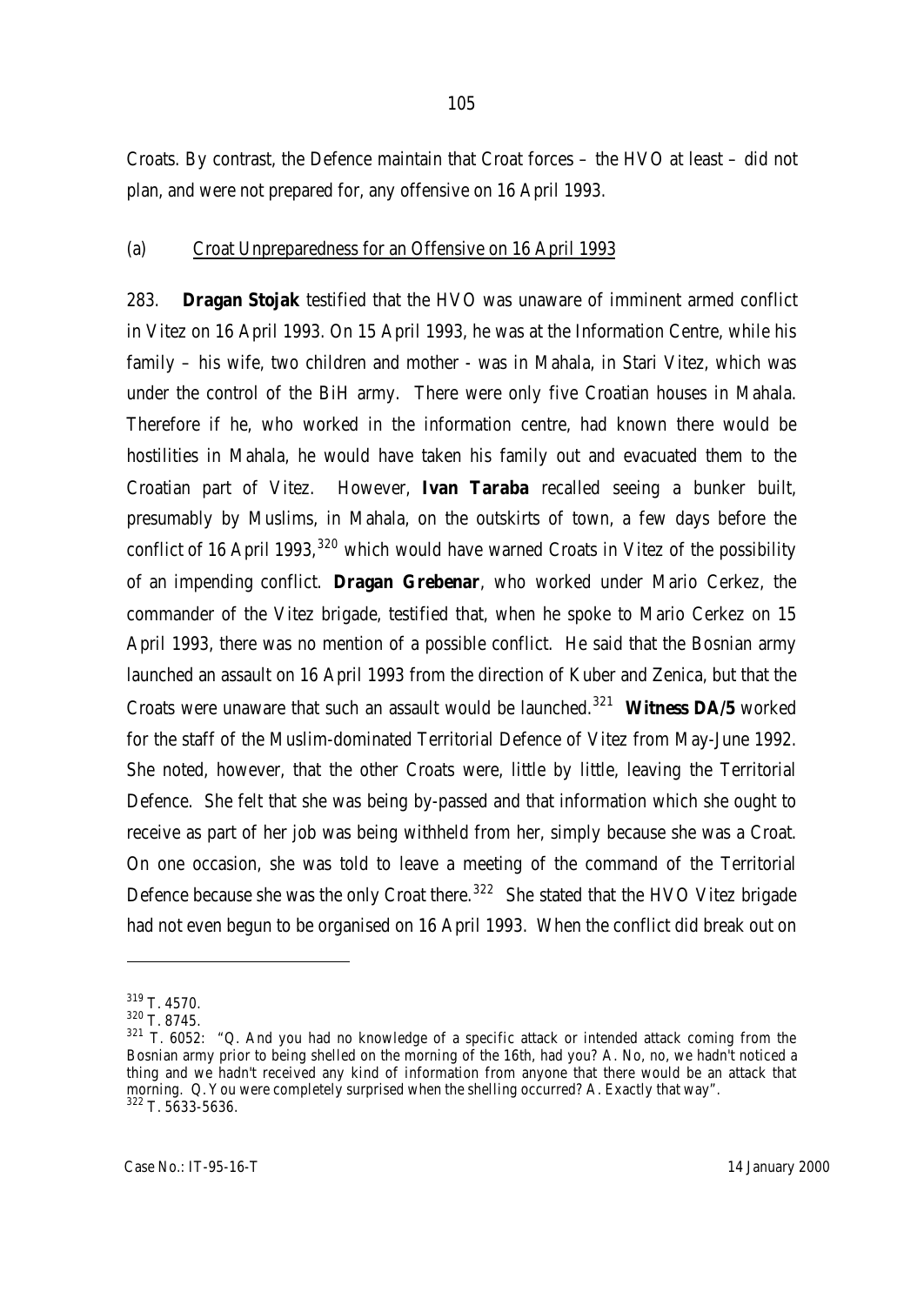Croats. By contrast, the Defence maintain that Croat forces – the HVO at least – did not plan, and were not prepared for, any offensive on 16 April 1993.

#### (a) Croat Unpreparedness for an Offensive on 16 April 1993

283. **Dragan Stojak** testified that the HVO was unaware of imminent armed conflict in Vitez on 16 April 1993. On 15 April 1993, he was at the Information Centre, while his family – his wife, two children and mother - was in Mahala, in Stari Vitez, which was under the control of the BiH army. There were only five Croatian houses in Mahala. Therefore if he, who worked in the information centre, had known there would be hostilities in Mahala, he would have taken his family out and evacuated them to the Croatian part of Vitez. However, **Ivan Taraba** recalled seeing a bunker built, presumably by Muslims, in Mahala, on the outskirts of town, a few days before the conflict of 16 April 1993,  $320$  which would have warned Croats in Vitez of the possibility of an impending conflict. **Dragan Grebenar**, who worked under Mario Cerkez, the commander of the Vitez brigade, testified that, when he spoke to Mario Cerkez on 15 April 1993, there was no mention of a possible conflict. He said that the Bosnian army launched an assault on 16 April 1993 from the direction of Kuber and Zenica, but that the Croats were unaware that such an assault would be launched.<sup>321</sup> Witness DA/5 worked for the staff of the Muslim-dominated Territorial Defence of Vitez from May-June 1992. She noted, however, that the other Croats were, little by little, leaving the Territorial Defence. She felt that she was being by-passed and that information which she ought to receive as part of her job was being withheld from her, simply because she was a Croat. On one occasion, she was told to leave a meeting of the command of the Territorial Defence because she was the only Croat there.<sup>322</sup> She stated that the HVO Vitez brigade had not even begun to be organised on 16 April 1993. When the conflict did break out on

<sup>319</sup> T. 4570.

 $320$  T. 8745.

 $321$  T. 6052: "Q. And you had no knowledge of a specific attack or intended attack coming from the Bosnian army prior to being shelled on the morning of the 16th, had you? A. No, no, we hadn't noticed a thing and we hadn't received any kind of information from anyone that there would be an attack that morning. Q. You were completely surprised when the shelling occurred? A. Exactly that way".  $322$  T. 5633-5636.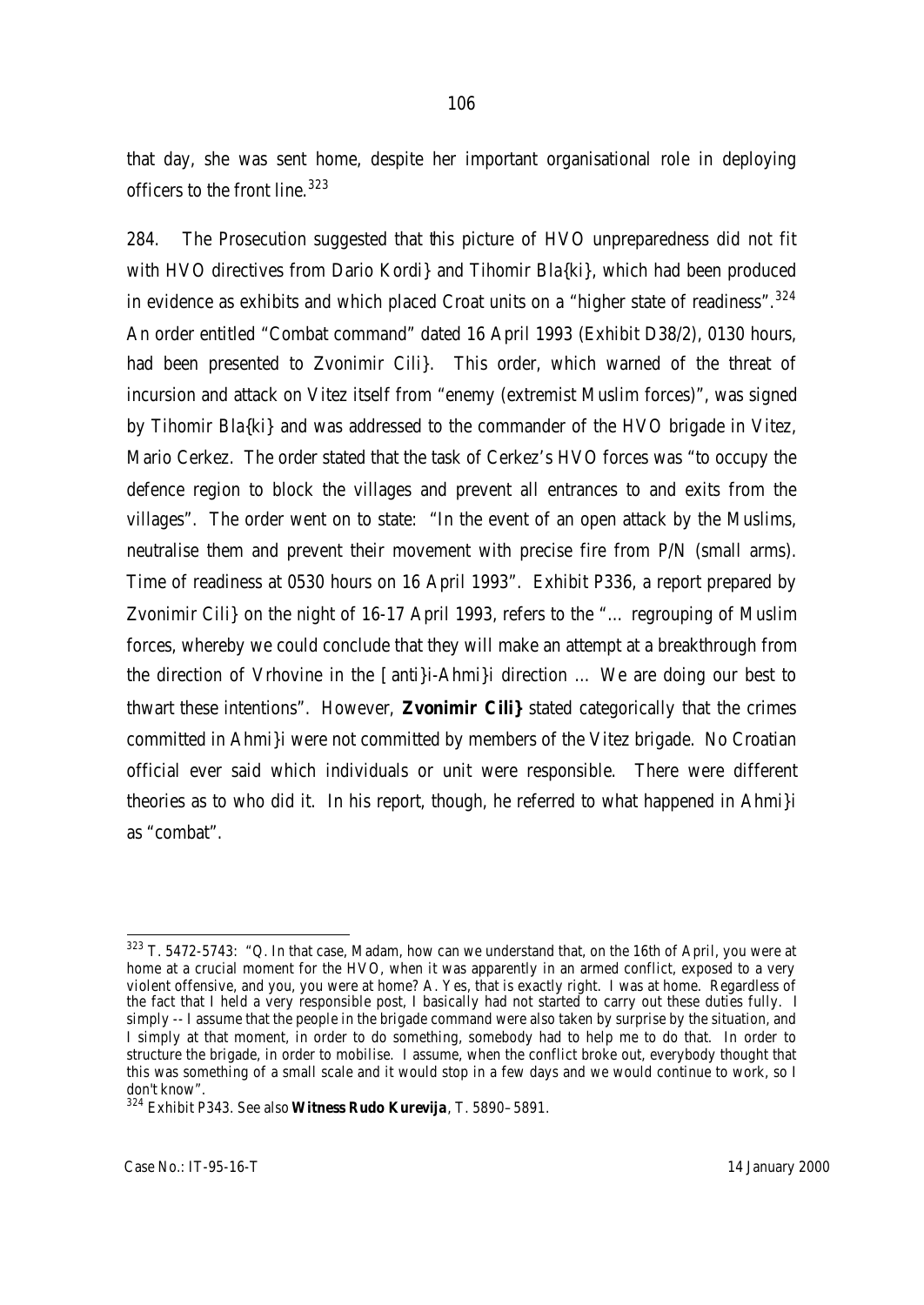that day, she was sent home, despite her important organisational role in deploying officers to the front line.<sup>323</sup>

284. The Prosecution suggested that this picture of HVO unpreparedness did not fit with HVO directives from Dario Kordi} and Tihomir Bla{ki}, which had been produced in evidence as exhibits and which placed Croat units on a "higher state of readiness".  $324$ An order entitled "Combat command" dated 16 April 1993 (Exhibit D38/2), 0130 hours, had been presented to Zvonimir Cili}. This order, which warned of the threat of incursion and attack on Vitez itself from "enemy (extremist Muslim forces)", was signed by Tihomir Bla{ki} and was addressed to the commander of the HVO brigade in Vitez, Mario Cerkez. The order stated that the task of Cerkez's HVO forces was "to occupy the defence region to block the villages and prevent all entrances to and exits from the villages". The order went on to state: "In the event of an open attack by the Muslims, neutralise them and prevent their movement with precise fire from P/N (small arms). Time of readiness at 0530 hours on 16 April 1993". Exhibit P336, a report prepared by Zvonimir Cili} on the night of 16-17 April 1993, refers to the "… regrouping of Muslim forces, whereby we could conclude that they will make an attempt at a breakthrough from the direction of Vrhovine in the [anti}i-Ahmi}i direction … We are doing our best to thwart these intentions". However, **Zvonimir Cili}** stated categorically that the crimes committed in Ahmi}i were not committed by members of the Vitez brigade. No Croatian official ever said which individuals or unit were responsible. There were different theories as to who did it. In his report, though, he referred to what happened in Ahmi}i as "combat".

 $\overline{a}$  $323$  T. 5472-5743:  $"Q$ . In that case, Madam, how can we understand that, on the 16th of April, you were at home at a crucial moment for the HVO, when it was apparently in an armed conflict, exposed to a very violent offensive, and you, you were at home? A. Yes, that is exactly right. I was at home. Regardless of the fact that I held a very responsible post, I basically had not started to carry out these duties fully. I simply -- I assume that the people in the brigade command were also taken by surprise by the situation, and I simply at that moment, in order to do something, somebody had to help me to do that. In order to structure the brigade, in order to mobilise. I assume, when the conflict broke out, everybody thought that this was something of a small scale and it would stop in a few days and we would continue to work, so I don't know".

<sup>324</sup> Exhibit P343. See also **Witness Rudo Kurevija**, T. 5890–5891.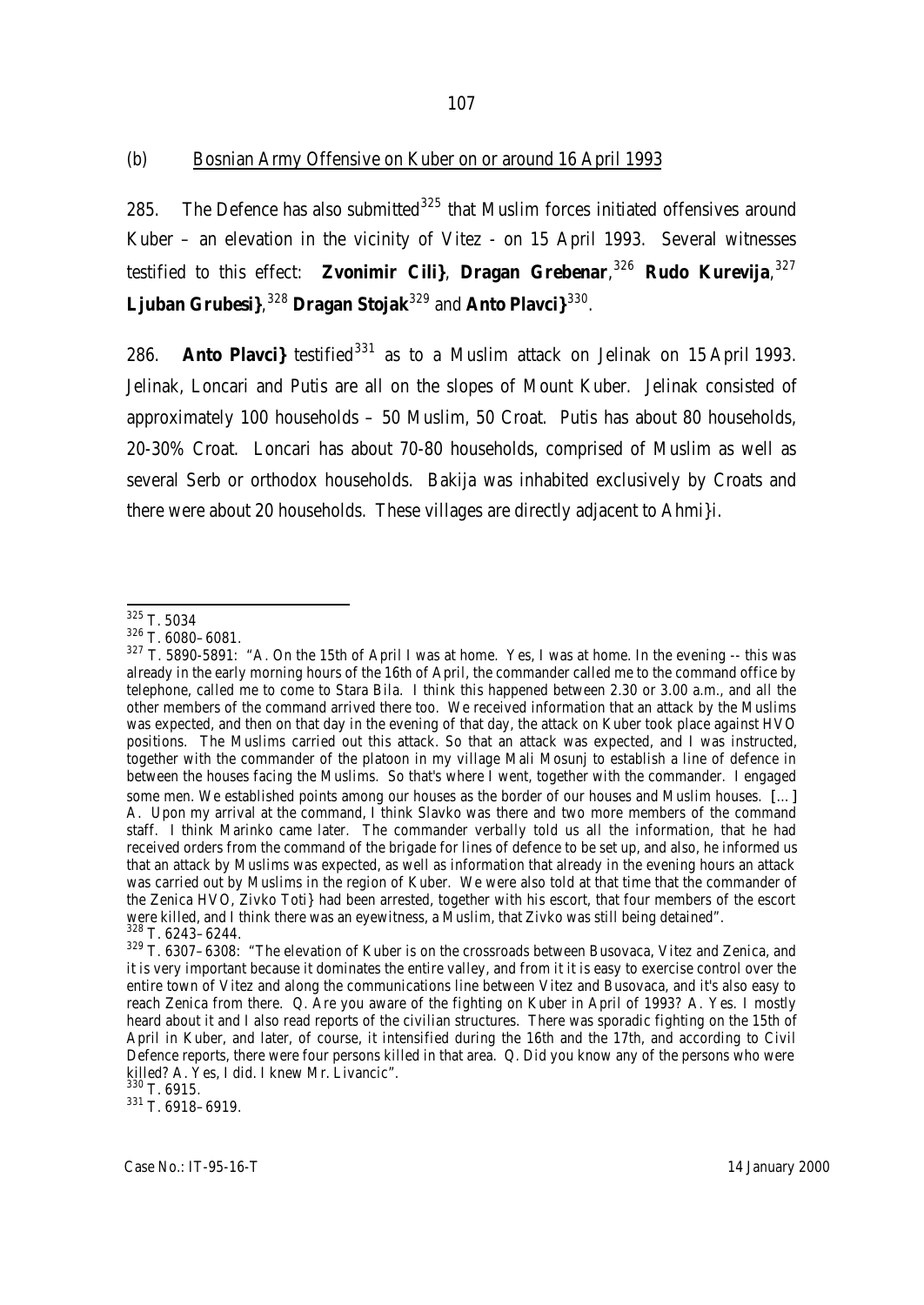107

#### (b) Bosnian Army Offensive on Kuber on or around 16 April 1993

285. The Defence has also submitted $325$  that Muslim forces initiated offensives around Kuber – an elevation in the vicinity of Vitez - on 15 April 1993. Several witnesses testified to this effect: **Zvonimir Cili}**, **Dragan Grebenar**, <sup>326</sup> **Rudo Kurevija**, 327 **Ljuban Grubesi}**, <sup>328</sup> **Dragan Stojak**<sup>329</sup> and **Anto Plavci}**<sup>330</sup> .

286. **Anto Plavci**} testified<sup>331</sup> as to a Muslim attack on Jelinak on 15 April 1993. Jelinak, Loncari and Putis are all on the slopes of Mount Kuber. Jelinak consisted of approximately 100 households – 50 Muslim, 50 Croat. Putis has about 80 households, 20-30% Croat. Loncari has about 70-80 households, comprised of Muslim as well as several Serb or orthodox households. Bakija was inhabited exclusively by Croats and there were about 20 households. These villages are directly adjacent to Ahmi}i.

j  $325$  T. 5034

 $326$  T. 6080-6081.

<sup>&</sup>lt;sup>327</sup> T. 5890-5891: "A. On the 15th of April I was at home. Yes, I was at home. In the evening -- this was already in the early morning hours of the 16th of April, the commander called me to the command office by telephone, called me to come to Stara Bila. I think this happened between 2.30 or 3.00 a.m., and all the other members of the command arrived there too. We received information that an attack by the Muslims was expected, and then on that day in the evening of that day, the attack on Kuber took place against HVO positions. The Muslims carried out this attack. So that an attack was expected, and I was instructed, together with the commander of the platoon in my village Mali Mosunj to establish a line of defence in between the houses facing the Muslims. So that's where I went, together with the commander. I engaged some men. We established points among our houses as the border of our houses and Muslim houses. [...] A. Upon my arrival at the command, I think Slavko was there and two more members of the command staff. I think Marinko came later. The commander verbally told us all the information, that he had received orders from the command of the brigade for lines of defence to be set up, and also, he informed us that an attack by Muslims was expected, as well as information that already in the evening hours an attack was carried out by Muslims in the region of Kuber. We were also told at that time that the commander of the Zenica HVO, Zivko Toti} had been arrested, together with his escort, that four members of the escort were killed, and I think there was an eyewitness, a Muslim, that Zivko was still being detained". <sup>328</sup> T. 6243–6244.

<sup>329</sup> T. 6307-6308: "The elevation of Kuber is on the crossroads between Busovaca, Vitez and Zenica, and it is very important because it dominates the entire valley, and from it it is easy to exercise control over the entire town of Vitez and along the communications line between Vitez and Busovaca, and it's also easy to reach Zenica from there. Q. Are you aware of the fighting on Kuber in April of 1993? A. Yes. I mostly heard about it and I also read reports of the civilian structures. There was sporadic fighting on the 15th of April in Kuber, and later, of course, it intensified during the 16th and the 17th, and according to Civil Defence reports, there were four persons killed in that area. Q. Did you know any of the persons who were killed? A. Yes, I did. I knew Mr. Livancic".

 $330$  T. 6915.

 $331$  T. 6918–6919.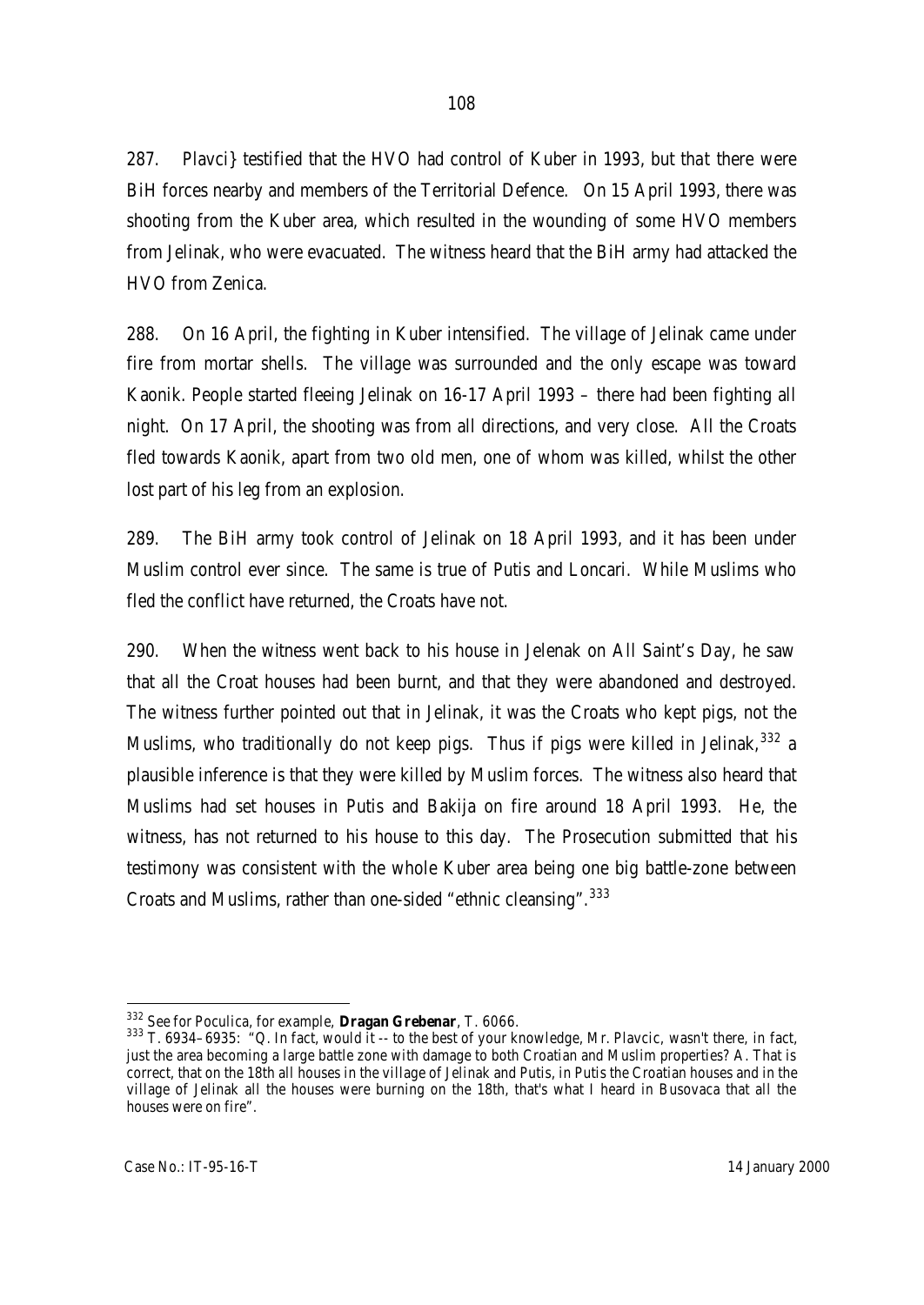287. Plavci} testified that the HVO had control of Kuber in 1993, but that there were BiH forces nearby and members of the Territorial Defence. On 15 April 1993, there was shooting from the Kuber area, which resulted in the wounding of some HVO members from Jelinak, who were evacuated. The witness heard that the BiH army had attacked the HVO from Zenica.

288. On 16 April, the fighting in Kuber intensified. The village of Jelinak came under fire from mortar shells. The village was surrounded and the only escape was toward Kaonik. People started fleeing Jelinak on 16-17 April 1993 – there had been fighting all night. On 17 April, the shooting was from all directions, and very close. All the Croats fled towards Kaonik, apart from two old men, one of whom was killed, whilst the other lost part of his leg from an explosion.

289. The BiH army took control of Jelinak on 18 April 1993, and it has been under Muslim control ever since. The same is true of Putis and Loncari. While Muslims who fled the conflict have returned, the Croats have not.

290. When the witness went back to his house in Jelenak on All Saint's Day, he saw that all the Croat houses had been burnt, and that they were abandoned and destroyed. The witness further pointed out that in Jelinak, it was the Croats who kept pigs, not the Muslims, who traditionally do not keep pigs. Thus if pigs were killed in Jelinak,  $332$  a plausible inference is that they were killed by Muslim forces. The witness also heard that Muslims had set houses in Putis and Bakija on fire around 18 April 1993. He, the witness, has not returned to his house to this day. The Prosecution submitted that his testimony was consistent with the whole Kuber area being one big battle-zone between Croats and Muslims, rather than one-sided "ethnic cleansing". 333

<sup>332</sup> See for Poculica, for example, **Dragan Grebenar**, T. 6066.

<sup>333</sup> T. 6934–6935: "Q. In fact, would it -- to the best of your knowledge, Mr. Plavcic, wasn't there, in fact, just the area becoming a large battle zone with damage to both Croatian and Muslim properties? A. That is correct, that on the 18th all houses in the village of Jelinak and Putis, in Putis the Croatian houses and in the village of Jelinak all the houses were burning on the 18th, that's what I heard in Busovaca that all the houses were on fire".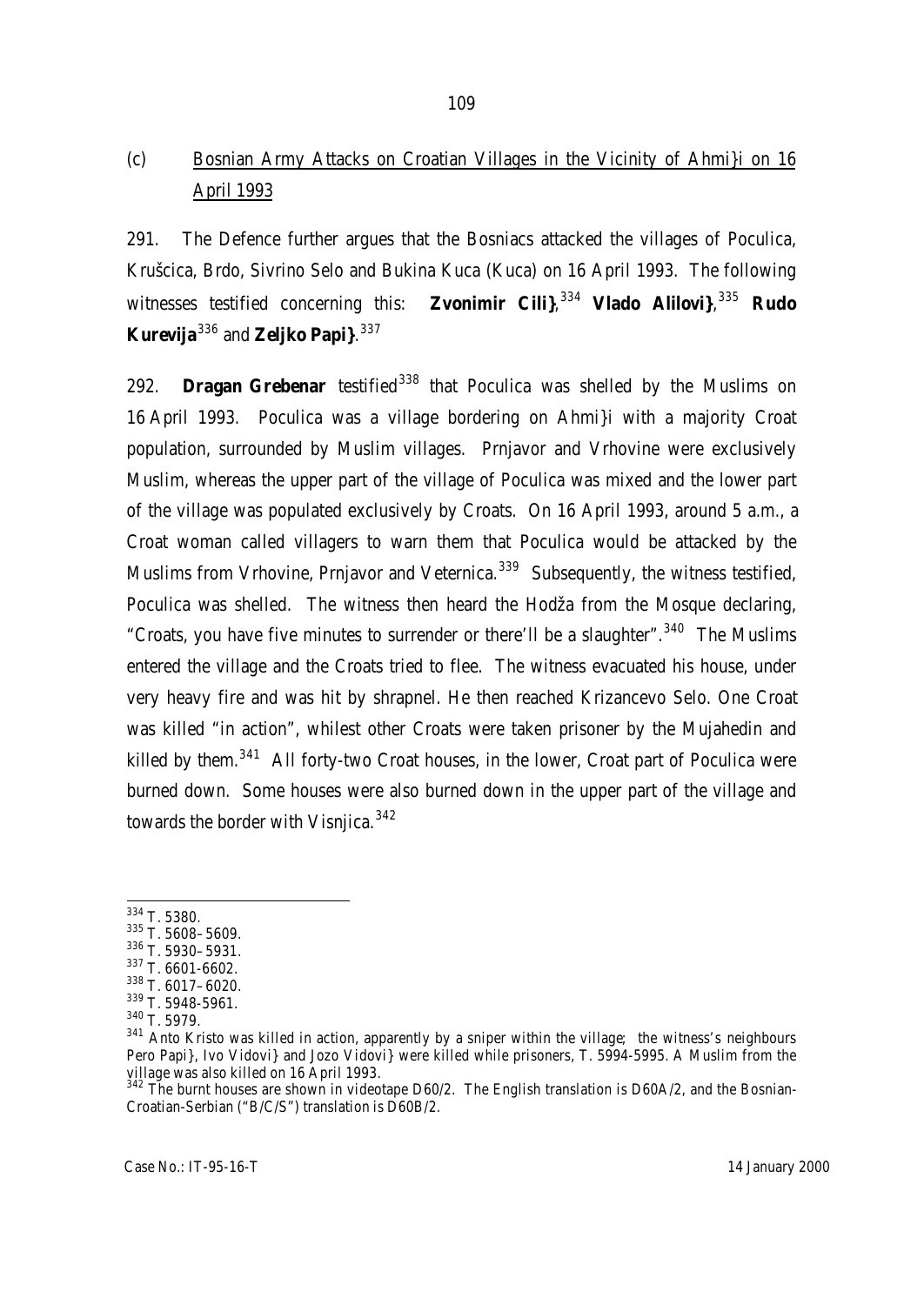# (c) Bosnian Army Attacks on Croatian Villages in the Vicinity of Ahmi}i on 16 April 1993

291. The Defence further argues that the Bosniacs attacked the villages of Poculica, Krušcica, Brdo, Sivrino Selo and Bukina Kuca (Kuca) on 16 April 1993. The following witnesses testified concerning this: <sup>334</sup> **Vlado Alilovi}**, <sup>335</sup> **Rudo Kurevija**<sup>336</sup> and **Zeljko Papi}**. 337

292. **Dragan Grebenar** testified<sup>338</sup> that Poculica was shelled by the Muslims on 16 April 1993. Poculica was a village bordering on Ahmi}i with a majority Croat population, surrounded by Muslim villages. Prnjavor and Vrhovine were exclusively Muslim, whereas the upper part of the village of Poculica was mixed and the lower part of the village was populated exclusively by Croats. On 16 April 1993, around 5 a.m., a Croat woman called villagers to warn them that Poculica would be attacked by the Muslims from Vrhovine, Prnjavor and Veternica.<sup>339</sup> Subsequently, the witness testified, Poculica was shelled. The witness then heard the Hodža from the Mosque declaring, "Croats, you have five minutes to surrender or there'll be a slaughter".<sup>340</sup> The Muslims entered the village and the Croats tried to flee. The witness evacuated his house, under very heavy fire and was hit by shrapnel. He then reached Krizancevo Selo. One Croat was killed "in action", whilest other Croats were taken prisoner by the Mujahedin and killed by them. $341$  All forty-two Croat houses, in the lower, Croat part of Poculica were burned down. Some houses were also burned down in the upper part of the village and towards the border with Visniica.<sup>342</sup>

<sup>336</sup> T. 5930–5931.

 $\overline{a}$  $\frac{334}{100}$  T. 5380.

 $335 \text{ T}$ . 5500.<br> $\overline{)}$ . 5608–5609.

<sup>337</sup> T. 6601-6602.

<sup>338</sup> T. 6017–6020.

<sup>339</sup> T. 5948-5961.

<sup>340</sup> T. 5979.

<sup>&</sup>lt;sup>341</sup> Anto Kristo was killed in action, apparently by a sniper within the village; the witness's neighbours Pero Papi}, Ivo Vidovi} and Jozo Vidovi} were killed while prisoners, T. 5994-5995. A Muslim from the village was also killed on 16 April 1993.

 $342$  The burnt houses are shown in videotape D60/2. The English translation is D60A/2, and the Bosnian-Croatian-Serbian ("B/C/S") translation is D60B/2.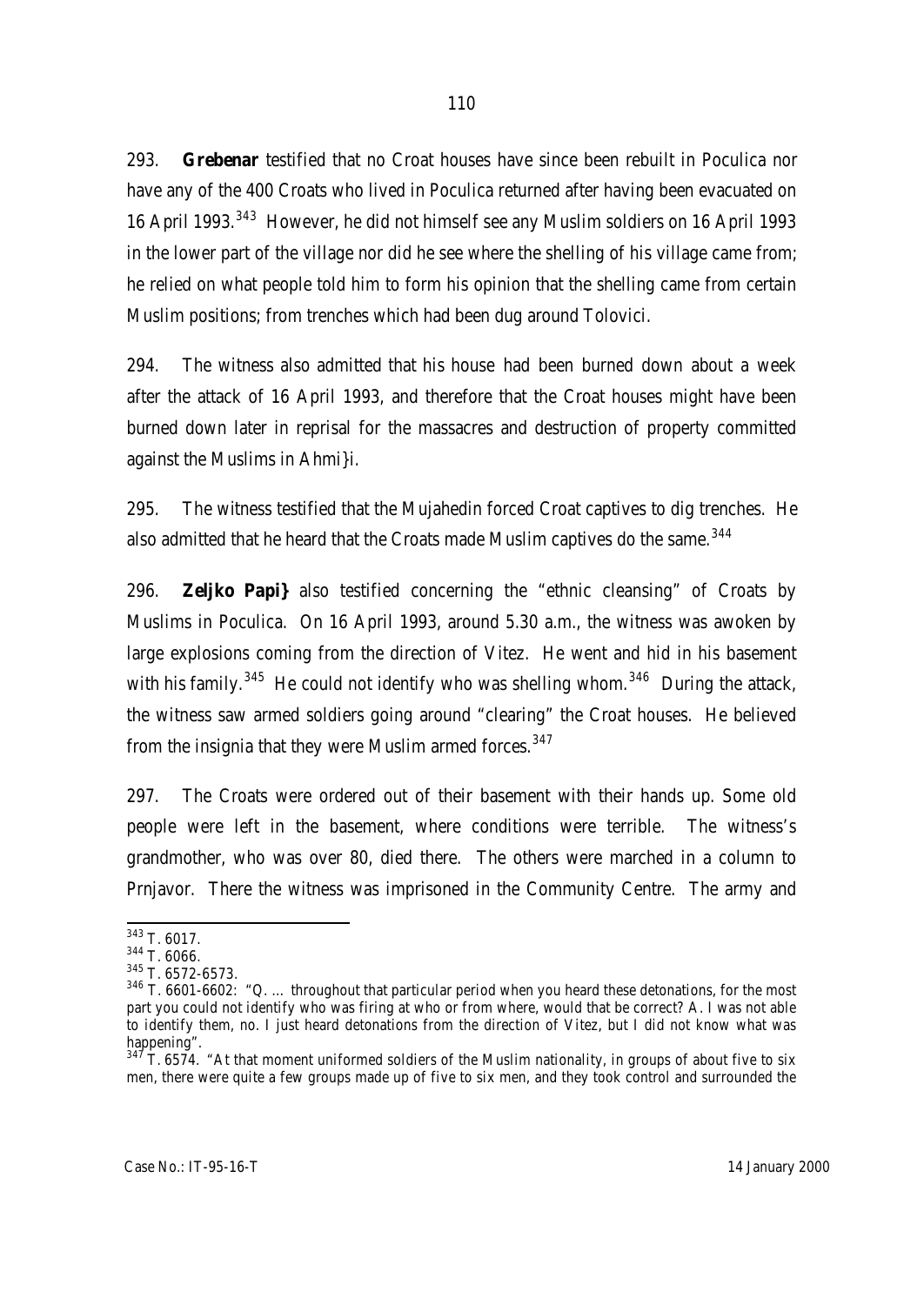293. **Grebenar** testified that no Croat houses have since been rebuilt in Poculica nor have any of the 400 Croats who lived in Poculica returned after having been evacuated on 16 April 1993.<sup>343</sup> However, he did not himself see any Muslim soldiers on 16 April 1993 in the lower part of the village nor did he see where the shelling of his village came from; he relied on what people told him to form his opinion that the shelling came from certain Muslim positions; from trenches which had been dug around Tolovici.

294. The witness also admitted that his house had been burned down about a week after the attack of 16 April 1993, and therefore that the Croat houses might have been burned down later in reprisal for the massacres and destruction of property committed against the Muslims in Ahmi}i.

295. The witness testified that the Mujahedin forced Croat captives to dig trenches. He also admitted that he heard that the Croats made Muslim captives do the same.<sup>344</sup>

296. **Zeljko Papi}** also testified concerning the "ethnic cleansing" of Croats by Muslims in Poculica. On 16 April 1993, around 5.30 a.m., the witness was awoken by large explosions coming from the direction of Vitez. He went and hid in his basement with his family.<sup>345</sup> He could not identify who was shelling whom.<sup>346</sup> During the attack, the witness saw armed soldiers going around "clearing" the Croat houses. He believed from the insignia that they were Muslim armed forces.  $347$ 

297. The Croats were ordered out of their basement with their hands up. Some old people were left in the basement, where conditions were terrible. The witness's grandmother, who was over 80, died there. The others were marched in a column to Prnjavor. There the witness was imprisoned in the Community Centre. The army and

 $\overline{a}$  $343$  T. 6017.

<sup>344</sup> T. 6066.

<sup>345</sup> T. 6572-6573.

<sup>346</sup> T. 6601-6602: "Q. … throughout that particular period when you heard these detonations, for the most part you could not identify who was firing at who or from where, would that be correct? A. I was not able to identify them, no. I just heard detonations from the direction of Vitez, but I did not know what was happening".

 $347$  T. 6574. "At that moment uniformed soldiers of the Muslim nationality, in groups of about five to six men, there were quite a few groups made up of five to six men, and they took control and surrounded the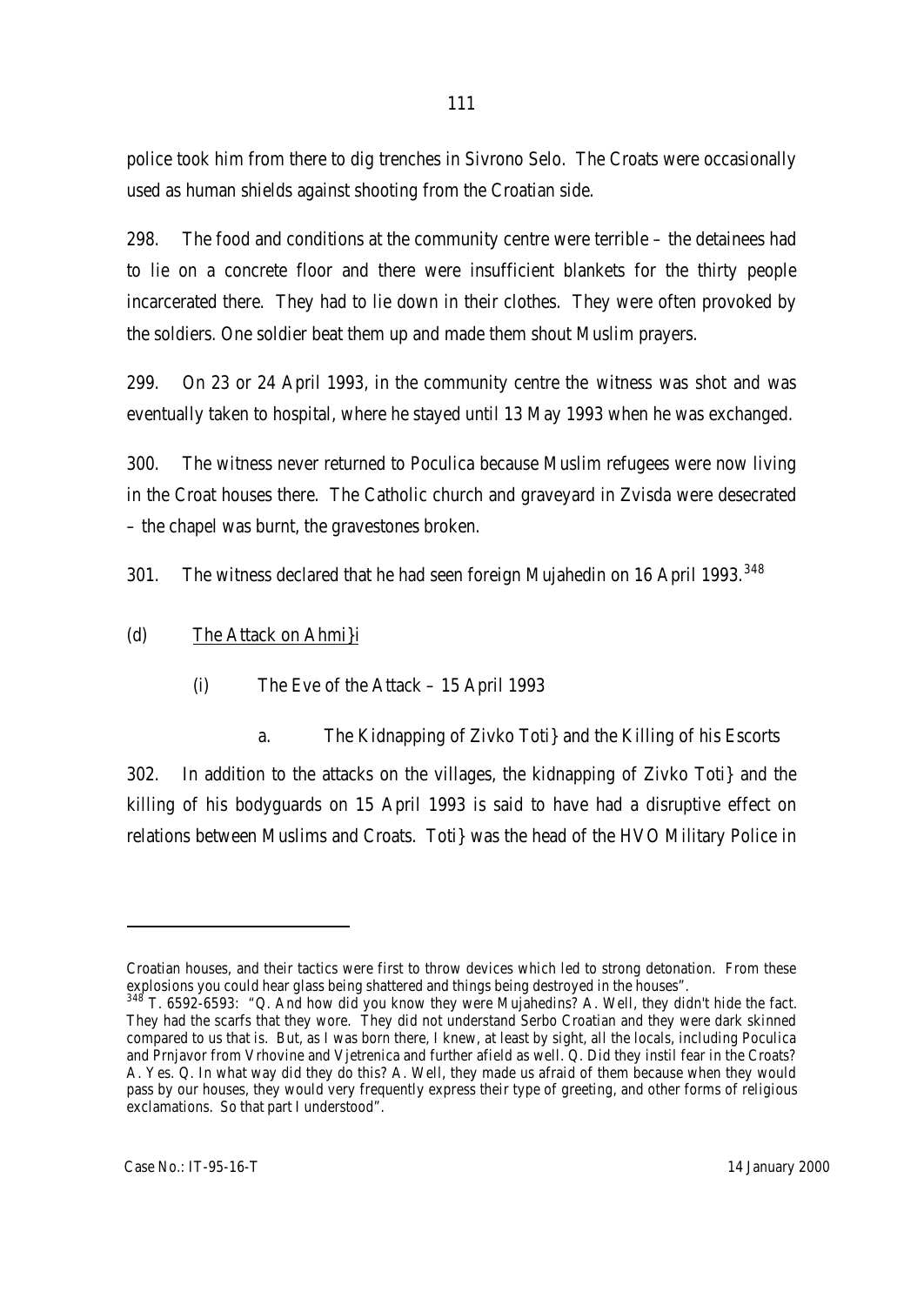police took him from there to dig trenches in Sivrono Selo. The Croats were occasionally used as human shields against shooting from the Croatian side.

298. The food and conditions at the community centre were terrible – the detainees had to lie on a concrete floor and there were insufficient blankets for the thirty people incarcerated there. They had to lie down in their clothes. They were often provoked by the soldiers. One soldier beat them up and made them shout Muslim prayers.

299. On 23 or 24 April 1993, in the community centre the witness was shot and was eventually taken to hospital, where he stayed until 13 May 1993 when he was exchanged.

300. The witness never returned to Poculica because Muslim refugees were now living in the Croat houses there. The Catholic church and graveyard in Zvisda were desecrated – the chapel was burnt, the gravestones broken.

301. The witness declared that he had seen foreign Mujahedin on 16 April 1993.<sup>348</sup>

# (d) The Attack on Ahmi}i

(i) The Eve of the Attack – 15 April 1993

a. The Kidnapping of Zivko Toti} and the Killing of his Escorts

302. In addition to the attacks on the villages, the kidnapping of Zivko Toti} and the killing of his bodyguards on 15 April 1993 is said to have had a disruptive effect on relations between Muslims and Croats. Toti} was the head of the HVO Military Police in

Croatian houses, and their tactics were first to throw devices which led to strong detonation. From these explosions you could hear glass being shattered and things being destroyed in the houses".

 $348$  T. 6592-6593: "Q. And how did you know they were Mujahedins? A. Well, they didn't hide the fact. They had the scarfs that they wore. They did not understand Serbo Croatian and they were dark skinned compared to us that is. But, as I was born there, I knew, at least by sight, all the locals, including Poculica and Prnjavor from Vrhovine and Vjetrenica and further afield as well. Q. Did they instil fear in the Croats? A. Yes. Q. In what way did they do this? A. Well, they made us afraid of them because when they would pass by our houses, they would very frequently express their type of greeting, and other forms of religious exclamations. So that part I understood".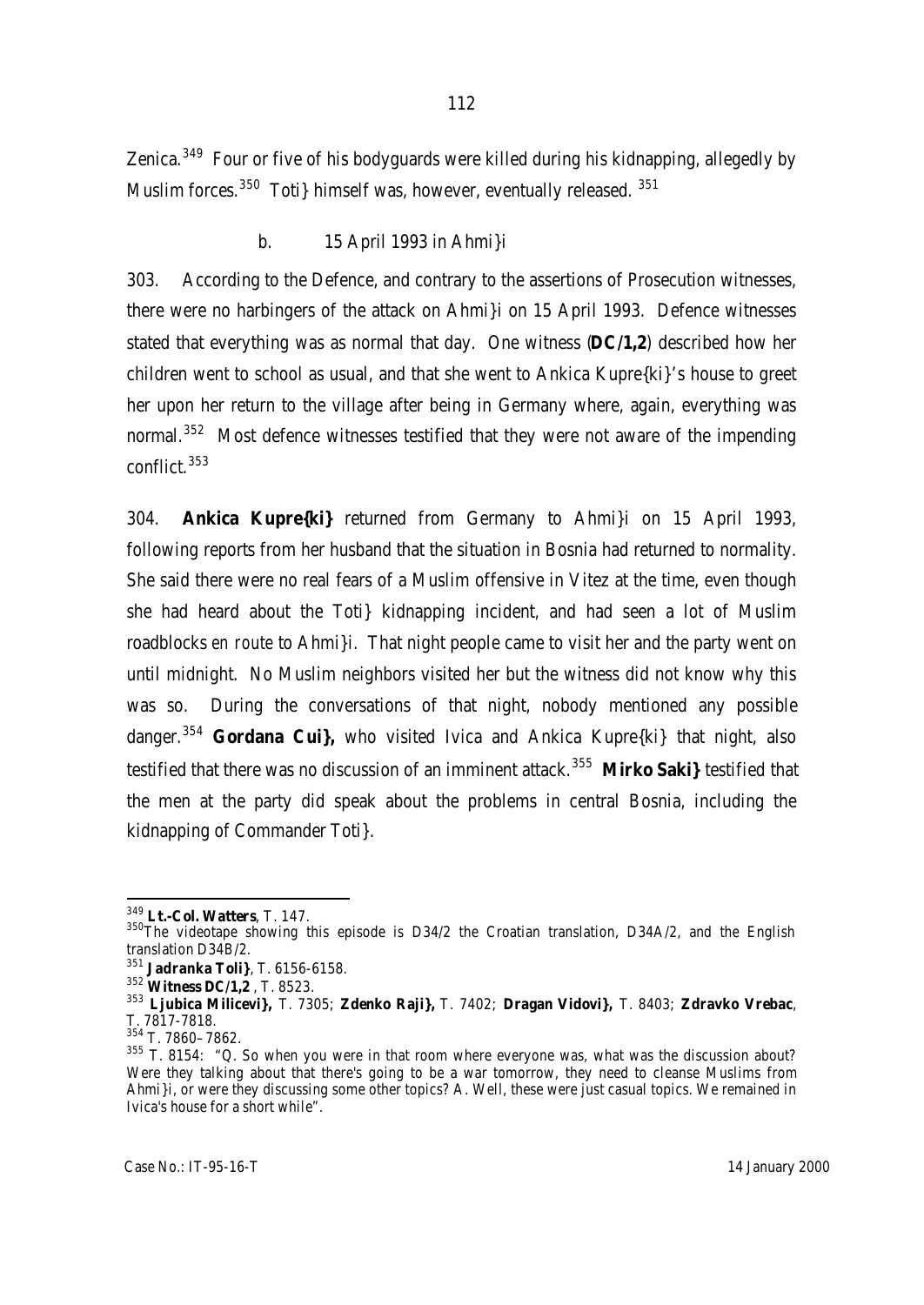Zenica.<sup>349</sup> Four or five of his bodyguards were killed during his kidnapping, allegedly by Muslim forces.<sup>350</sup> Toti} himself was, however, eventually released.<sup>351</sup>

#### b. 15 April 1993 in Ahmi}i

303. According to the Defence, and contrary to the assertions of Prosecution witnesses, there were no harbingers of the attack on Ahmi}i on 15 April 1993. Defence witnesses stated that everything was as normal that day. One witness (**DC/1,2**) described how her children went to school as usual, and that she went to Ankica Kupre{ki}'s house to greet her upon her return to the village after being in Germany where, again, everything was normal.<sup>352</sup> Most defence witnesses testified that they were not aware of the impending conflict.<sup>353</sup>

304. **Ankica Kupre{ki}** returned from Germany to Ahmi}i on 15 April 1993, following reports from her husband that the situation in Bosnia had returned to normality. She said there were no real fears of a Muslim offensive in Vitez at the time, even though she had heard about the Toti} kidnapping incident, and had seen a lot of Muslim roadblocks *en route* to Ahmi}i. That night people came to visit her and the party went on until midnight. No Muslim neighbors visited her but the witness did not know why this was so. During the conversations of that night, nobody mentioned any possible danger.<sup>354</sup> **Gordana Cui},** who visited Ivica and Ankica Kupre{ki} that night, also testified that there was no discussion of an imminent attack.<sup>355</sup> **Mirko Saki}** testified that the men at the party did speak about the problems in central Bosnia, including the kidnapping of Commander Toti}.

<sup>349</sup> **Lt.-Col. Watters**, T. 147.

 $350$ The videotape showing this episode is D34/2 the Croatian translation, D34A/2, and the English translation D34B/2.

<sup>351</sup> **Jadranka Toli}**, T. 6156-6158.

<sup>352</sup> **Witness DC/1,2** , T. 8523.

<sup>353</sup> **Ljubica Milicevi},** T. 7305; **Zdenko Raji},** T. 7402; **Dragan Vidovi},** T. 8403; **Zdravko Vrebac**, T. 7817-7818*.*

 $354$  T. 7860-7862.

 $355$  T. 8154:  $"Q$ . So when you were in that room where everyone was, what was the discussion about? Were they talking about that there's going to be a war tomorrow, they need to cleanse Muslims from Ahmi}i, or were they discussing some other topics? A. Well, these were just casual topics. We remained in Ivica's house for a short while".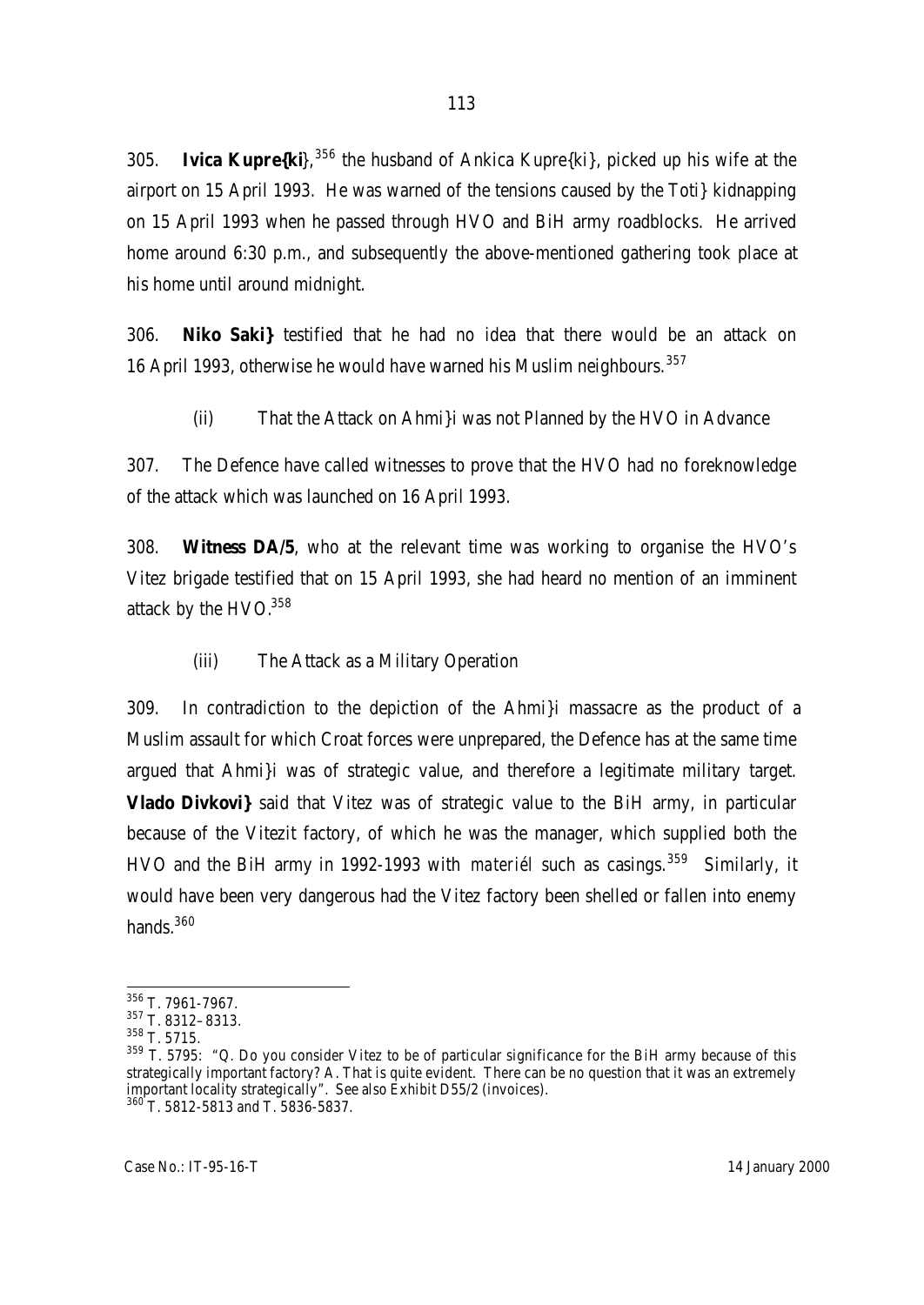305. **Ivica Kupre{ki**},<sup>356</sup> the husband of Ankica Kupre{ki}, picked up his wife at the airport on 15 April 1993. He was warned of the tensions caused by the Toti} kidnapping on 15 April 1993 when he passed through HVO and BiH army roadblocks. He arrived home around 6:30 p.m., and subsequently the above-mentioned gathering took place at his home until around midnight.

306. **Niko Saki}** testified that he had no idea that there would be an attack on 16 April 1993, otherwise he would have warned his Muslim neighbours.<sup>357</sup>

(ii) That the Attack on Ahmi}i was not Planned by the HVO in Advance

307. The Defence have called witnesses to prove that the HVO had no foreknowledge of the attack which was launched on 16 April 1993.

308. **Witness DA/5**, who at the relevant time was working to organise the HVO's Vitez brigade testified that on 15 April 1993, she had heard no mention of an imminent attack by the HVO.<sup>358</sup>

# (iii) The Attack as a Military Operation

309. In contradiction to the depiction of the Ahmi}i massacre as the product of a Muslim assault for which Croat forces were unprepared, the Defence has at the same time argued that Ahmi}i was of strategic value, and therefore a legitimate military target. **Vlado Divkovi}** said that Vitez was of strategic value to the BiH army, in particular because of the Vitezit factory, of which he was the manager, which supplied both the HVO and the BiH army in 1992-1993 with *materiél* such as casings.<sup>359</sup> Similarly, it would have been very dangerous had the Vitez factory been shelled or fallen into enemy hands.<sup>360</sup>

 $\overline{a}$ <sup>356</sup> T. 7961-7967.

<sup>357</sup> T. 8312–8313.

<sup>358</sup> T. 5715.

<sup>&</sup>lt;sup>359</sup> T. 5795: "Q. Do you consider Vitez to be of particular significance for the BiH army because of this strategically important factory? A. That is quite evident. There can be no question that it was an extremely important locality strategically". See also Exhibit D55/2 (invoices). <sup>360</sup> T. 5812-5813 and T. 5836-5837.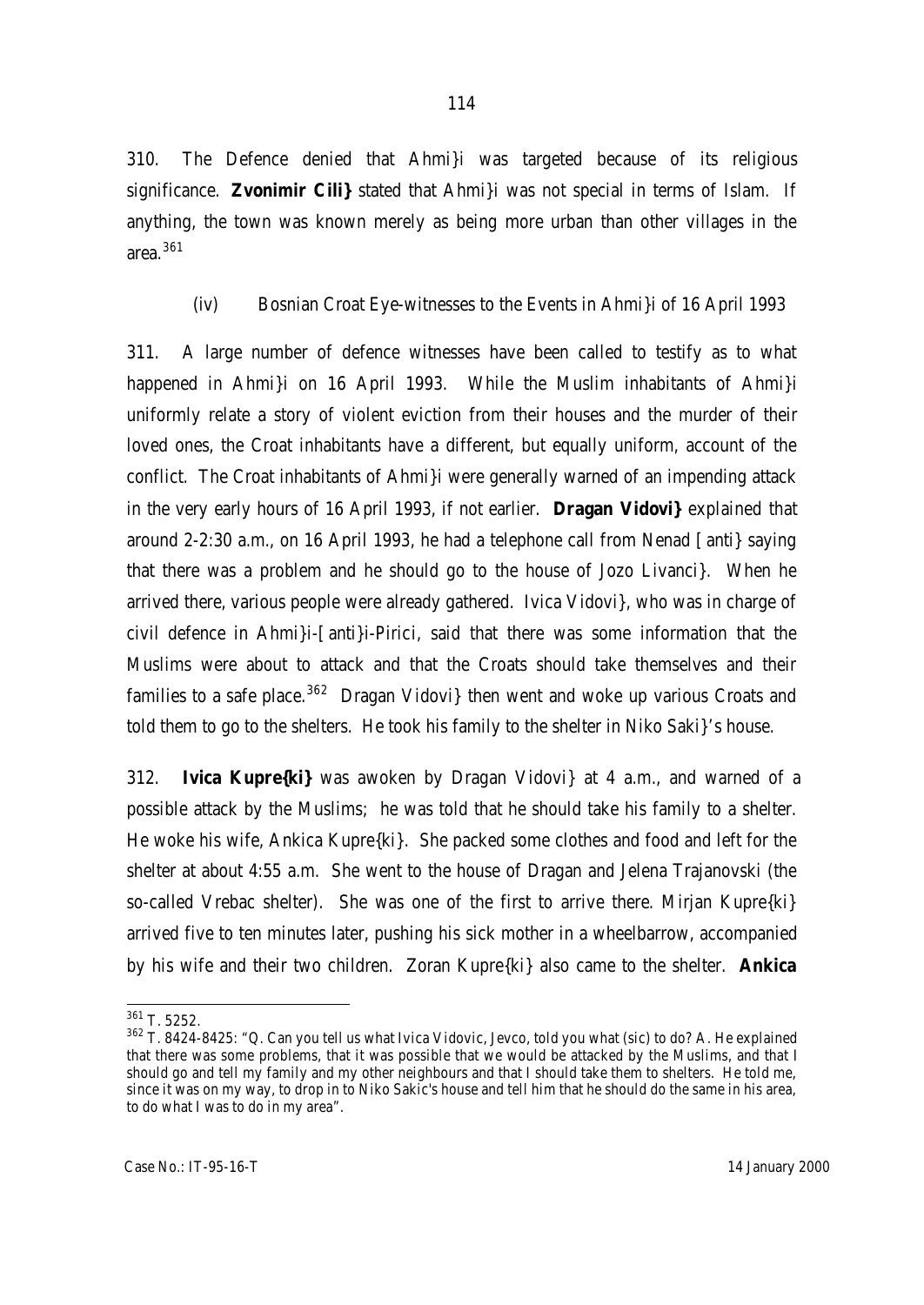310. The Defence denied that Ahmi}i was targeted because of its religious significance. **Zvonimir Cili}** stated that Ahmi}i was not special in terms of Islam. If anything, the town was known merely as being more urban than other villages in the area.<sup>361</sup>

(iv) Bosnian Croat Eye-witnesses to the Events in Ahmi}i of 16 April 1993

311. A large number of defence witnesses have been called to testify as to what happened in Ahmi}i on 16 April 1993. While the Muslim inhabitants of Ahmi}i uniformly relate a story of violent eviction from their houses and the murder of their loved ones, the Croat inhabitants have a different, but equally uniform, account of the conflict. The Croat inhabitants of Ahmi}i were generally warned of an impending attack in the very early hours of 16 April 1993, if not earlier. **Dragan Vidovi}** explained that around 2-2:30 a.m., on 16 April 1993, he had a telephone call from Nenad [anti} saying that there was a problem and he should go to the house of Jozo Livanci}. When he arrived there, various people were already gathered. Ivica Vidovi}, who was in charge of civil defence in Ahmi}i-[anti}i-Pirici, said that there was some information that the Muslims were about to attack and that the Croats should take themselves and their families to a safe place.<sup>362</sup> Dragan Vidovi then went and woke up various Croats and told them to go to the shelters. He took his family to the shelter in Niko Saki}'s house.

312. **Ivica Kupre{ki}** was awoken by Dragan Vidovi} at 4 a.m., and warned of a possible attack by the Muslims; he was told that he should take his family to a shelter. He woke his wife, Ankica Kupre{ki}. She packed some clothes and food and left for the shelter at about 4:55 a.m. She went to the house of Dragan and Jelena Trajanovski (the so-called Vrebac shelter). She was one of the first to arrive there. Mirjan Kupre{ki} arrived five to ten minutes later, pushing his sick mother in a wheelbarrow, accompanied by his wife and their two children. Zoran Kupre{ki} also came to the shelter. **Ankica**

 $\overline{a}$  $361$  T. 5252.

<sup>362</sup> T. 8424-8425*:* "Q. Can you tell us what Ivica Vidovic, Jevco, told you what (sic) to do? A. He explained that there was some problems, that it was possible that we would be attacked by the Muslims, and that I should go and tell my family and my other neighbours and that I should take them to shelters. He told me, since it was on my way, to drop in to Niko Sakic's house and tell him that he should do the same in his area, to do what I was to do in my area".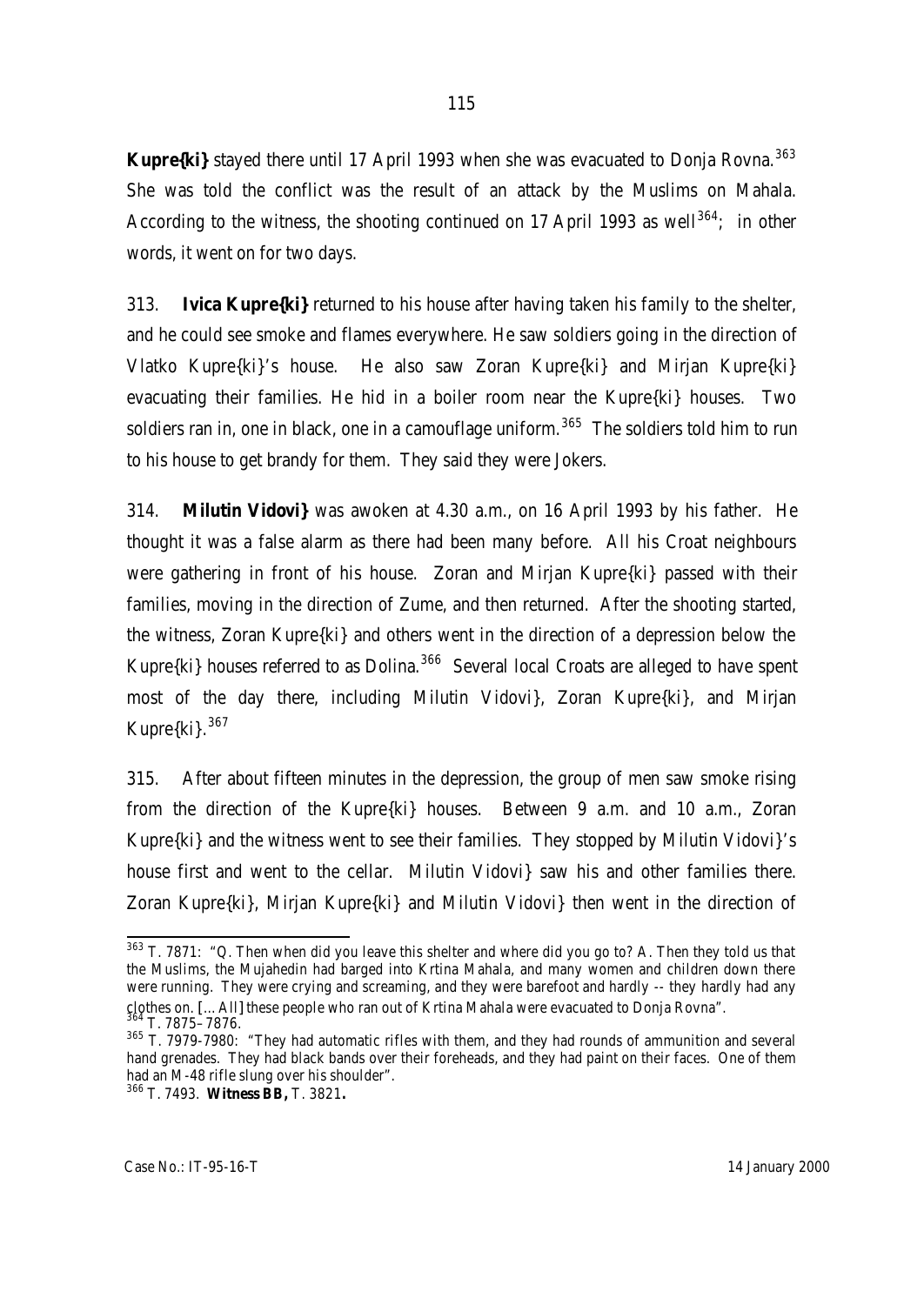**Kupre{ki}** stayed there until 17 April 1993 when she was evacuated to Donja Rovna.<sup>363</sup> She was told the conflict was the result of an attack by the Muslims on Mahala. According to the witness, the shooting continued on 17 April 1993 as well<sup>364</sup>; in other words, it went on for two days.

313. **Ivica Kupre{ki}** returned to his house after having taken his family to the shelter, and he could see smoke and flames everywhere. He saw soldiers going in the direction of Vlatko Kupre{ki}'s house. He also saw Zoran Kupre{ki} and Mirjan Kupre{ki} evacuating their families. He hid in a boiler room near the Kupre{ki} houses. Two soldiers ran in, one in black, one in a camouflage uniform.<sup>365</sup> The soldiers told him to run to his house to get brandy for them. They said they were Jokers.

314. **Milutin Vidovi}** was awoken at 4.30 a.m., on 16 April 1993 by his father. He thought it was a false alarm as there had been many before. All his Croat neighbours were gathering in front of his house. Zoran and Mirjan Kupre{ki} passed with their families, moving in the direction of Zume, and then returned. After the shooting started, the witness, Zoran Kupre{ki} and others went in the direction of a depression below the Kupre{ki} houses referred to as Dolina.<sup>366</sup> Several local Croats are alleged to have spent most of the day there, including Milutin Vidovi}, Zoran Kupre{ki}, and Mirjan Kupre{ki}.<sup>367</sup>

315. After about fifteen minutes in the depression, the group of men saw smoke rising from the direction of the Kupre{ki} houses. Between 9 a.m. and 10 a.m., Zoran Kupre{ki} and the witness went to see their families. They stopped by Milutin Vidovi}'s house first and went to the cellar. Milutin Vidovi} saw his and other families there. Zoran Kupre{ki}, Mirjan Kupre{ki} and Milutin Vidovi} then went in the direction of

 $\overline{a}$  $363$  T. 7871: "Q. Then when did you leave this shelter and where did you go to? A. Then they told us that the Muslims, the Mujahedin had barged into Krtina Mahala, and many women and children down there were running. They were crying and screaming, and they were barefoot and hardly -- they hardly had any clothes on. [...All] these people who ran out of Krtina Mahala were evacuated to Donja Rovna". <sup>364</sup> T. 7875–7876.

<sup>365</sup> T. 7979-7980: "They had automatic rifles with them, and they had rounds of ammunition and several hand grenades. They had black bands over their foreheads, and they had paint on their faces. One of them had an M-48 rifle slung over his shoulder".

<sup>366</sup> T. 7493. **Witness BB,** T. 3821**.**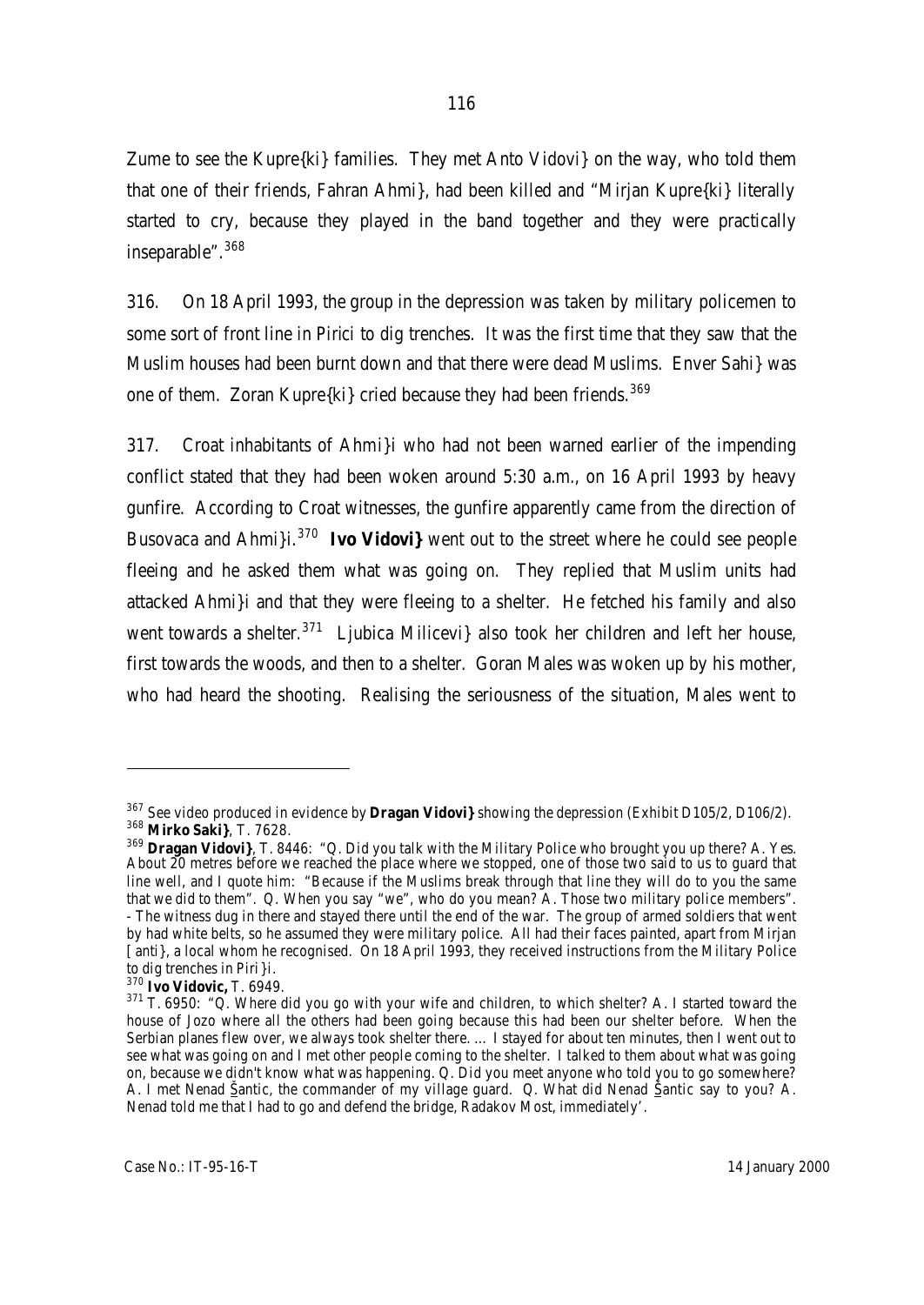Zume to see the Kupre{ki} families. They met Anto Vidovi} on the way, who told them that one of their friends, Fahran Ahmi}, had been killed and "Mirjan Kupre{ki} literally started to cry, because they played in the band together and they were practically inseparable". 368

316. On 18 April 1993, the group in the depression was taken by military policemen to some sort of front line in Pirici to dig trenches. It was the first time that they saw that the Muslim houses had been burnt down and that there were dead Muslims. Enver Sahi} was one of them. Zoran Kupre{ki} cried because they had been friends.<sup>369</sup>

317. Croat inhabitants of Ahmi}i who had not been warned earlier of the impending conflict stated that they had been woken around 5:30 a.m., on 16 April 1993 by heavy gunfire. According to Croat witnesses, the gunfire apparently came from the direction of Busovaca and Ahmi}i.<sup>370</sup> Ivo Vidovi} went out to the street where he could see people fleeing and he asked them what was going on. They replied that Muslim units had attacked Ahmi}i and that they were fleeing to a shelter. He fetched his family and also went towards a shelter.<sup>371</sup> Ljubica Milicevi also took her children and left her house, first towards the woods, and then to a shelter. Goran Males was woken up by his mother, who had heard the shooting. Realising the seriousness of the situation, Males went to

j

<sup>367</sup> See video produced in evidence by **Dragan Vidovi}** showing the depression (Exhibit D105/2, D106/2). <sup>368</sup> **Mirko Saki}**, T. 7628.

<sup>369</sup> **Dragan Vidovi}**, T. 8446: "Q. Did you talk with the Military Police who brought you up there? A. Yes. About 20 metres before we reached the place where we stopped, one of those two said to us to guard that line well, and I quote him: "Because if the Muslims break through that line they will do to you the same that we did to them". Q. When you say "we", who do you mean? A. Those two military police members". - The witness dug in there and stayed there until the end of the war. The group of armed soldiers that went by had white belts, so he assumed they were military police. All had their faces painted, apart from Mirjan [anti], a local whom he recognised. On 18 April 1993, they received instructions from the Military Police to dig trenches in Piri}i.

<sup>370</sup> **Ivo Vidovic,** T. 6949.

<sup>371</sup> T. 6950:"Q. Where did you go with your wife and children, to which shelter? A. I started toward the house of Jozo where all the others had been going because this had been our shelter before. When the Serbian planes flew over, we always took shelter there. … I stayed for about ten minutes, then I went out to see what was going on and I met other people coming to the shelter. I talked to them about what was going on, because we didn't know what was happening. Q. Did you meet anyone who told you to go somewhere? A. I met Nenad Santic, the commander of my village guard. Q. What did Nenad Santic say to you? A. Nenad told me that I had to go and defend the bridge, Radakov Most, immediately'.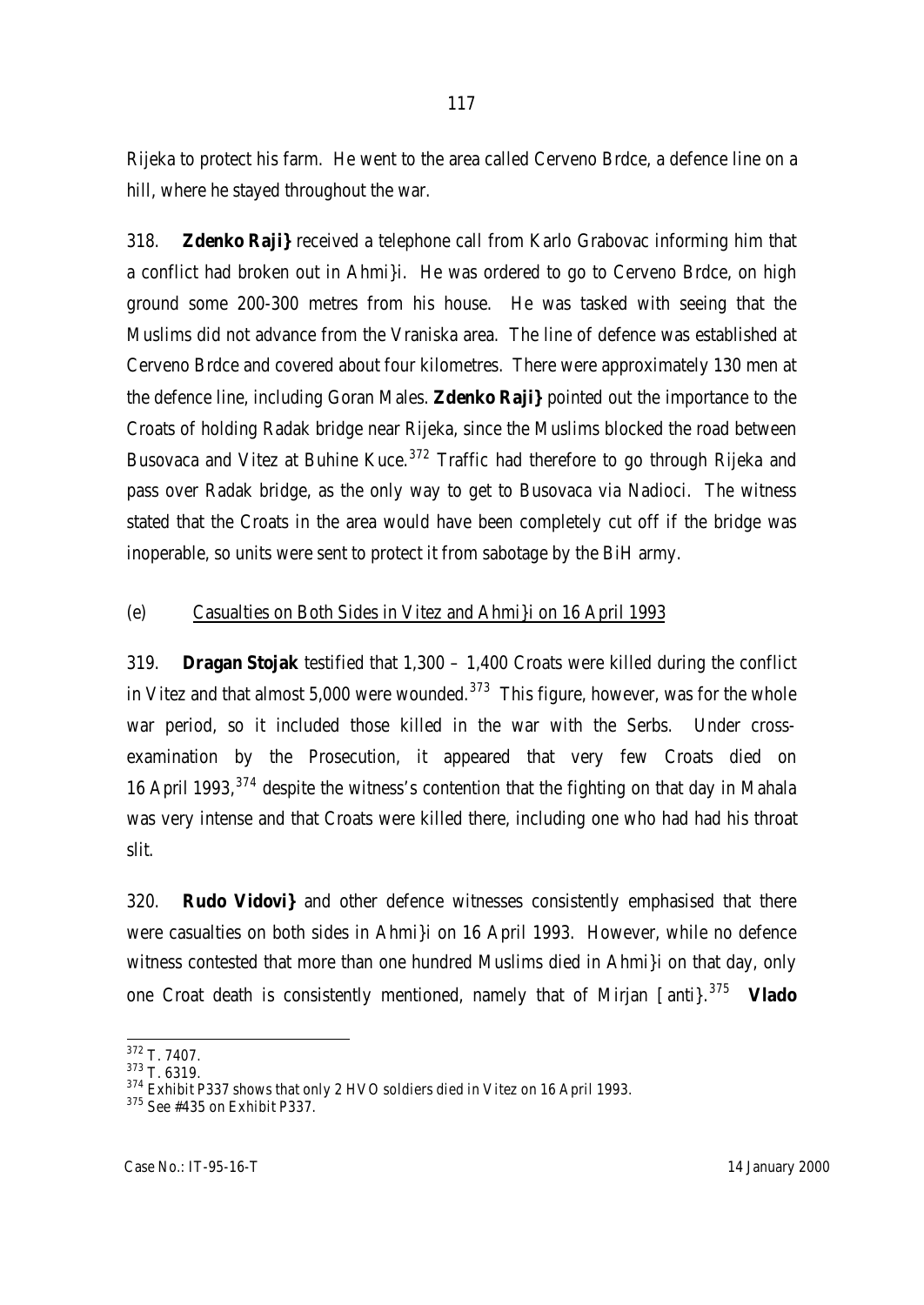Rijeka to protect his farm. He went to the area called Cerveno Brdce, a defence line on a hill, where he stayed throughout the war.

318. **Zdenko Raji}** received a telephone call from Karlo Grabovac informing him that a conflict had broken out in Ahmi}i. He was ordered to go to Cerveno Brdce, on high ground some 200-300 metres from his house. He was tasked with seeing that the Muslims did not advance from the Vraniska area. The line of defence was established at Cerveno Brdce and covered about four kilometres. There were approximately 130 men at the defence line, including Goran Males. **Zdenko Raji}** pointed out the importance to the Croats of holding Radak bridge near Rijeka, since the Muslims blocked the road between Busovaca and Vitez at Buhine Kuce.<sup>372</sup> Traffic had therefore to go through Rijeka and pass over Radak bridge, as the only way to get to Busovaca via Nadioci. The witness stated that the Croats in the area would have been completely cut off if the bridge was inoperable, so units were sent to protect it from sabotage by the BiH army.

#### (e) Casualties on Both Sides in Vitez and Ahmi}i on 16 April 1993

319. **Dragan Stojak** testified that 1,300 – 1,400 Croats were killed during the conflict in Vitez and that almost 5,000 were wounded.<sup>373</sup> This figure, however, was for the whole war period, so it included those killed in the war with the Serbs. Under crossexamination by the Prosecution, it appeared that very few Croats died on 16 April 1993,<sup>374</sup> despite the witness's contention that the fighting on that day in Mahala was very intense and that Croats were killed there, including one who had had his throat slit.

320. **Rudo Vidovi}** and other defence witnesses consistently emphasised that there were casualties on both sides in Ahmi}i on 16 April 1993. However, while no defence witness contested that more than one hundred Muslims died in Ahmi}i on that day, only one Croat death is consistently mentioned, namely that of Mirjan [anti}.<sup>375</sup> **Vlado**

 $\overline{a}$  $372$  T. 7407.

 $^{373}$  T. 6319.

 $^{374}$  Exhibit P337 shows that only 2 HVO soldiers died in Vitez on 16 April 1993.

 $375$  See #435 on Exhibit P337.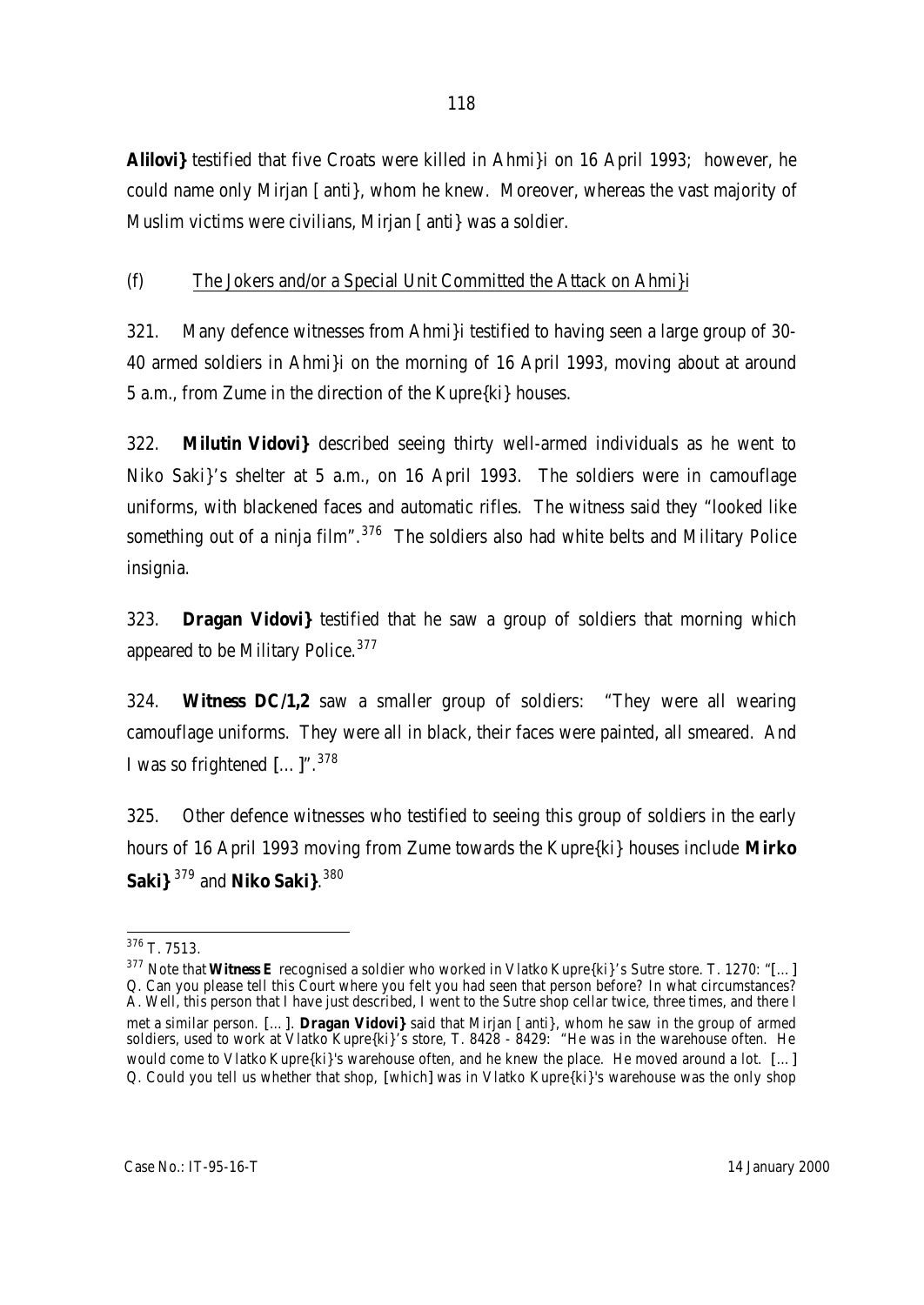118

**Alilovi}** testified that five Croats were killed in Ahmi}i on 16 April 1993; however, he could name only Mirjan [anti}, whom he knew. Moreover, whereas the vast majority of Muslim victims were civilians, Mirjan [anti} was a soldier.

# (f) The Jokers and/or a Special Unit Committed the Attack on Ahmi}i

321. Many defence witnesses from Ahmi}i testified to having seen a large group of 30- 40 armed soldiers in Ahmi}i on the morning of 16 April 1993, moving about at around 5 a.m., from Zume in the direction of the Kupre{ki} houses.

322. **Milutin Vidovi}** described seeing thirty well-armed individuals as he went to Niko Saki}'s shelter at 5 a.m., on 16 April 1993. The soldiers were in camouflage uniforms, with blackened faces and automatic rifles. The witness said they "looked like something out of a ninja film". $376$  The soldiers also had white belts and Military Police insignia.

323. **Dragan Vidovi}** testified that he saw a group of soldiers that morning which appeared to be Military Police.<sup>377</sup>

324. **Witness DC/1,2** saw a smaller group of soldiers: "They were all wearing camouflage uniforms. They were all in black, their faces were painted, all smeared. And I was so frightened [...]".<sup>378</sup>

325. Other defence witnesses who testified to seeing this group of soldiers in the early hours of 16 April 1993 moving from Zume towards the Kupre{ki} houses include **Mirko Saki}** <sup>379</sup> and **Niko Saki}**. 380

 $\overline{a}$  $376$  T. 7513.

<sup>377</sup> Note that **Witness E** recognised a soldier who worked in Vlatko Kupre{ki}'s Sutre store. T. 1270: "[…] Q. Can you please tell this Court where you felt you had seen that person before? In what circumstances? A. Well, this person that I have just described, I went to the Sutre shop cellar twice, three times, and there I met a similar person. […]. **Dragan Vidovi}** said that Mirjan [anti}, whom he saw in the group of armed soldiers, used to work at Vlatko Kupre{ki}'s store, T. 8428 - 8429: "He was in the warehouse often. He would come to Vlatko Kupre{ki}'s warehouse often, and he knew the place. He moved around a lot. [...] Q. Could you tell us whether that shop, [which] was in Vlatko Kupre{ki}'s warehouse was the only shop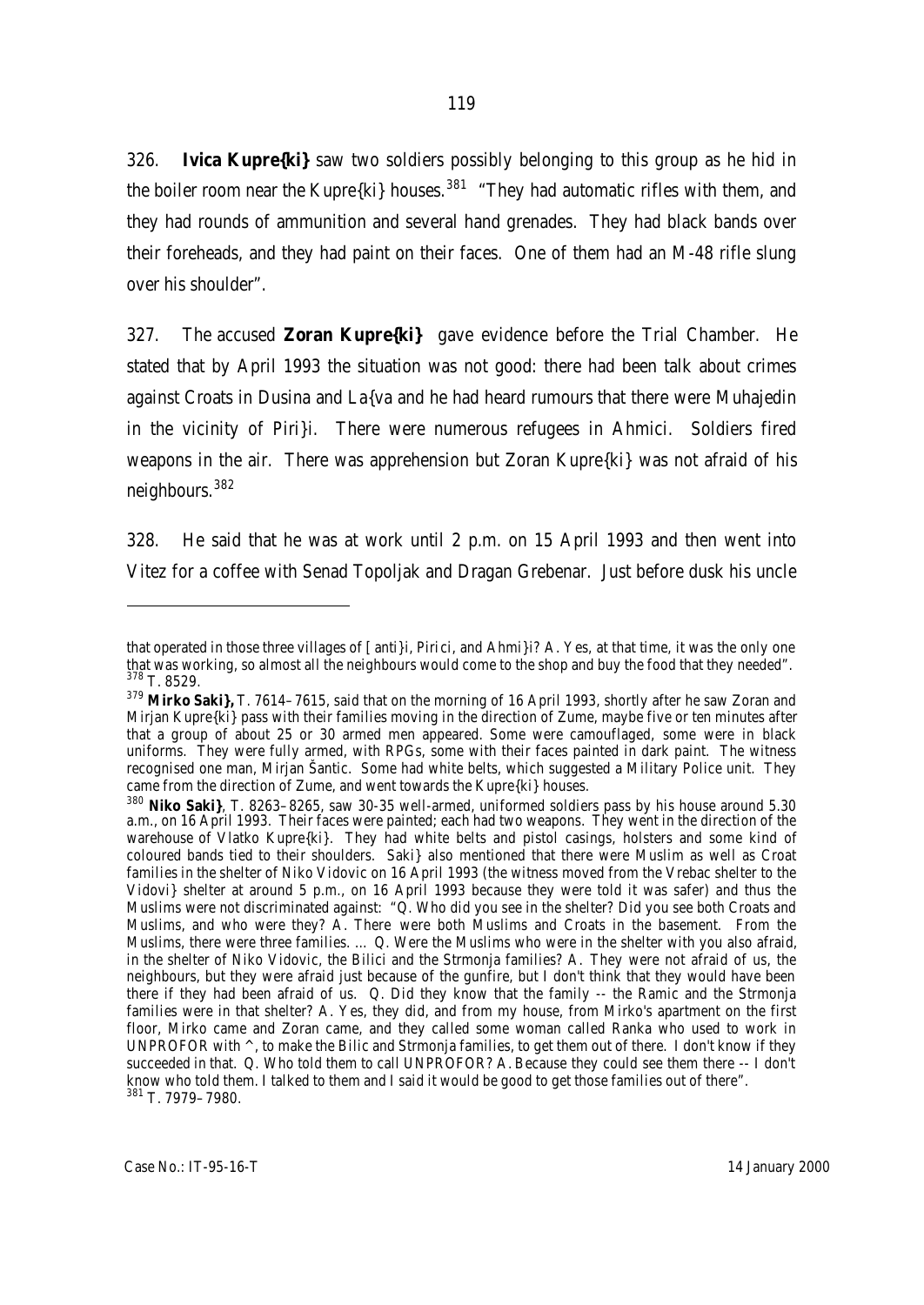119

326. **Ivica Kupre{ki}** saw two soldiers possibly belonging to this group as he hid in the boiler room near the Kupre ${k_i}$  houses.<sup>381</sup> "They had automatic rifles with them, and they had rounds of ammunition and several hand grenades. They had black bands over their foreheads, and they had paint on their faces. One of them had an M-48 rifle slung over his shoulder".

327. The accused **Zoran Kupre{ki}** gave evidence before the Trial Chamber. He stated that by April 1993 the situation was not good: there had been talk about crimes against Croats in Dusina and La{va and he had heard rumours that there were Muhajedin in the vicinity of Piri}i. There were numerous refugees in Ahmici. Soldiers fired weapons in the air. There was apprehension but Zoran Kupre{ki} was not afraid of his neighbours.<sup>382</sup>

328. He said that he was at work until 2 p.m. on 15 April 1993 and then went into Vitez for a coffee with Senad Topoljak and Dragan Grebenar. Just before dusk his uncle

j

that operated in those three villages of [anti}i, Pirici, and Ahmi}i? A. Yes, at that time, it was the only one that was working, so almost all the neighbours would come to the shop and buy the food that they needed".  $3^3$  T. 8529.

<sup>379</sup> **Mirko Saki},** T. 7614–7615, said that on the morning of 16 April 1993, shortly after he saw Zoran and Mirjan Kupre{ki} pass with their families moving in the direction of Zume, maybe five or ten minutes after that a group of about 25 or 30 armed men appeared. Some were camouflaged, some were in black uniforms. They were fully armed, with RPGs, some with their faces painted in dark paint. The witness recognised one man, Mirjan Šantic. Some had white belts, which suggested a Military Police unit. They came from the direction of Zume, and went towards the Kupre{ki} houses.

<sup>380</sup> **Niko Saki}**, T. 8263–8265, saw 30-35 well-armed, uniformed soldiers pass by his house around 5.30 a.m., on 16 April 1993. Their faces were painted; each had two weapons. They went in the direction of the warehouse of Vlatko Kupre{ki}. They had white belts and pistol casings, holsters and some kind of coloured bands tied to their shoulders. Saki} also mentioned that there were Muslim as well as Croat families in the shelter of Niko Vidovic on 16 April 1993 (the witness moved from the Vrebac shelter to the Vidovi} shelter at around 5 p.m., on 16 April 1993 because they were told it was safer) and thus the Muslims were not discriminated against: "Q. Who did you see in the shelter? Did you see both Croats and Muslims, and who were they? A. There were both Muslims and Croats in the basement. From the Muslims, there were three families. … Q. Were the Muslims who were in the shelter with you also afraid, in the shelter of Niko Vidovic, the Bilici and the Strmonja families? A. They were not afraid of us, the neighbours, but they were afraid just because of the gunfire, but I don't think that they would have been there if they had been afraid of us. Q. Did they know that the family -- the Ramic and the Strmonja families were in that shelter? A. Yes, they did, and from my house, from Mirko's apartment on the first floor, Mirko came and Zoran came, and they called some woman called Ranka who used to work in UNPROFOR with ^, to make the Bilic and Strmonja families, to get them out of there. I don't know if they succeeded in that. Q. Who told them to call UNPROFOR? A. Because they could see them there -- I don't know who told them. I talked to them and I said it would be good to get those families out of there". <sup>381</sup> T. 7979–7980.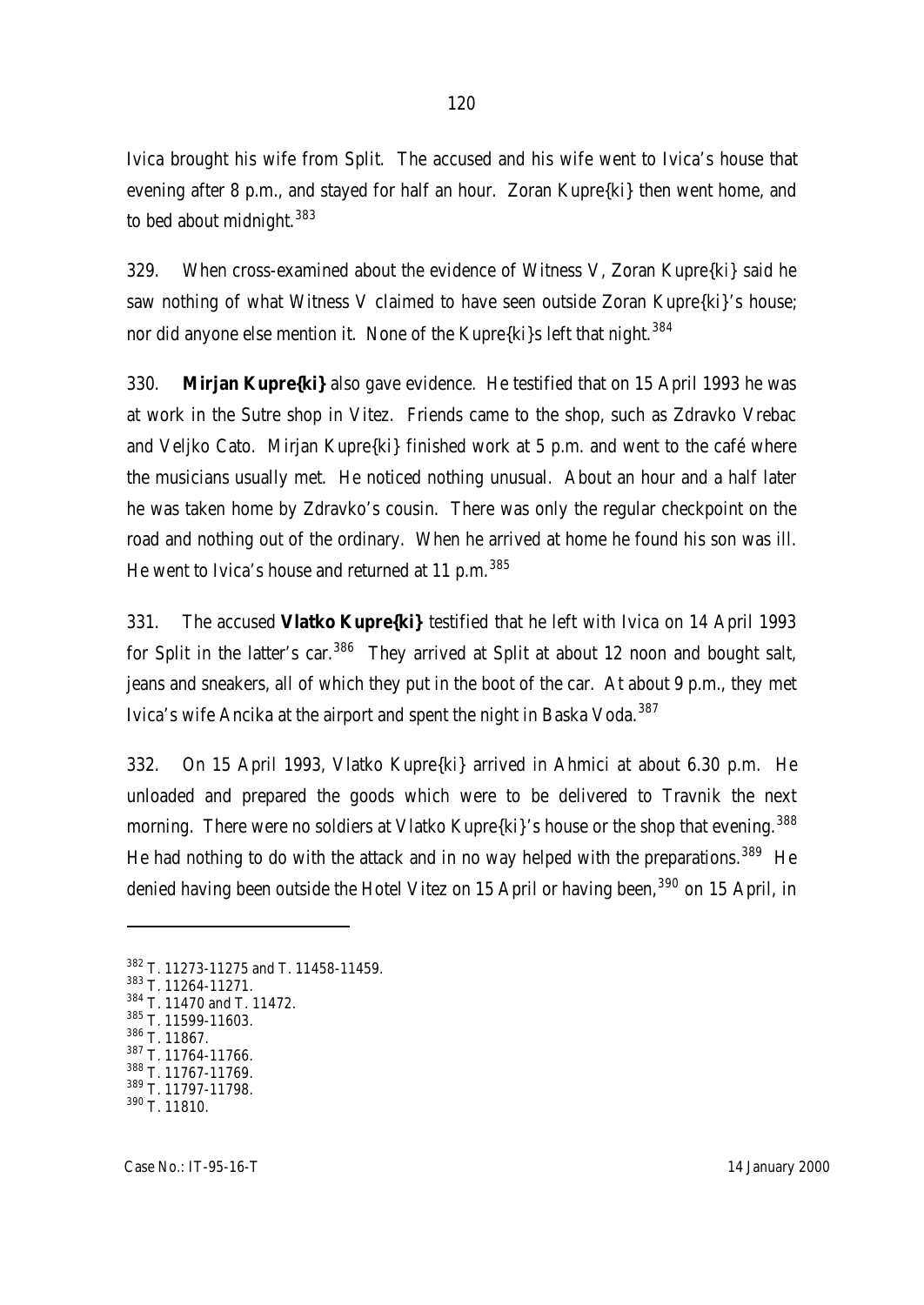Ivica brought his wife from Split. The accused and his wife went to Ivica's house that evening after 8 p.m., and stayed for half an hour. Zoran Kupre{ki} then went home, and to bed about midnight.  $383$ 

329. When cross-examined about the evidence of Witness V, Zoran Kupre{ki} said he saw nothing of what Witness V claimed to have seen outside Zoran Kupre{ki}'s house; nor did anyone else mention it. None of the Kupre $\{ki\}$ s left that night.<sup>384</sup>

330. **Mirjan Kupre{ki}** also gave evidence. He testified that on 15 April 1993 he was at work in the Sutre shop in Vitez. Friends came to the shop, such as Zdravko Vrebac and Veljko Cato. Mirjan Kupre{ki} finished work at 5 p.m. and went to the café where the musicians usually met. He noticed nothing unusual. About an hour and a half later he was taken home by Zdravko's cousin. There was only the regular checkpoint on the road and nothing out of the ordinary. When he arrived at home he found his son was ill. He went to Ivica's house and returned at 11 p.m.<sup>385</sup>

331. The accused **Vlatko Kupre{ki}** testified that he left with Ivica on 14 April 1993 for Split in the latter's car.<sup>386</sup> They arrived at Split at about 12 noon and bought salt, jeans and sneakers, all of which they put in the boot of the car. At about 9 p.m., they met Ivica's wife Ancika at the airport and spent the night in Baska Voda.<sup>387</sup>

332. On 15 April 1993, Vlatko Kupre{ki} arrived in Ahmici at about 6.30 p.m. He unloaded and prepared the goods which were to be delivered to Travnik the next morning. There were no soldiers at Vlatko Kupre{ki}'s house or the shop that evening.<sup>388</sup> He had nothing to do with the attack and in no way helped with the preparations.<sup>389</sup> He denied having been outside the Hotel Vitez on 15 April or having been, <sup>390</sup> on 15 April, in

<sup>382</sup> T. 11273-11275 and T. 11458-11459.

<sup>383</sup> T. 11264-11271.

<sup>384</sup> T. 11470 and T. 11472.

<sup>385</sup> T. 11599-11603.

<sup>386</sup> T. 11867.

<sup>387</sup> T. 11764-11766.

<sup>388</sup> T. 11767-11769. <sup>389</sup> T. 11797-11798.

<sup>390</sup> T. 11810.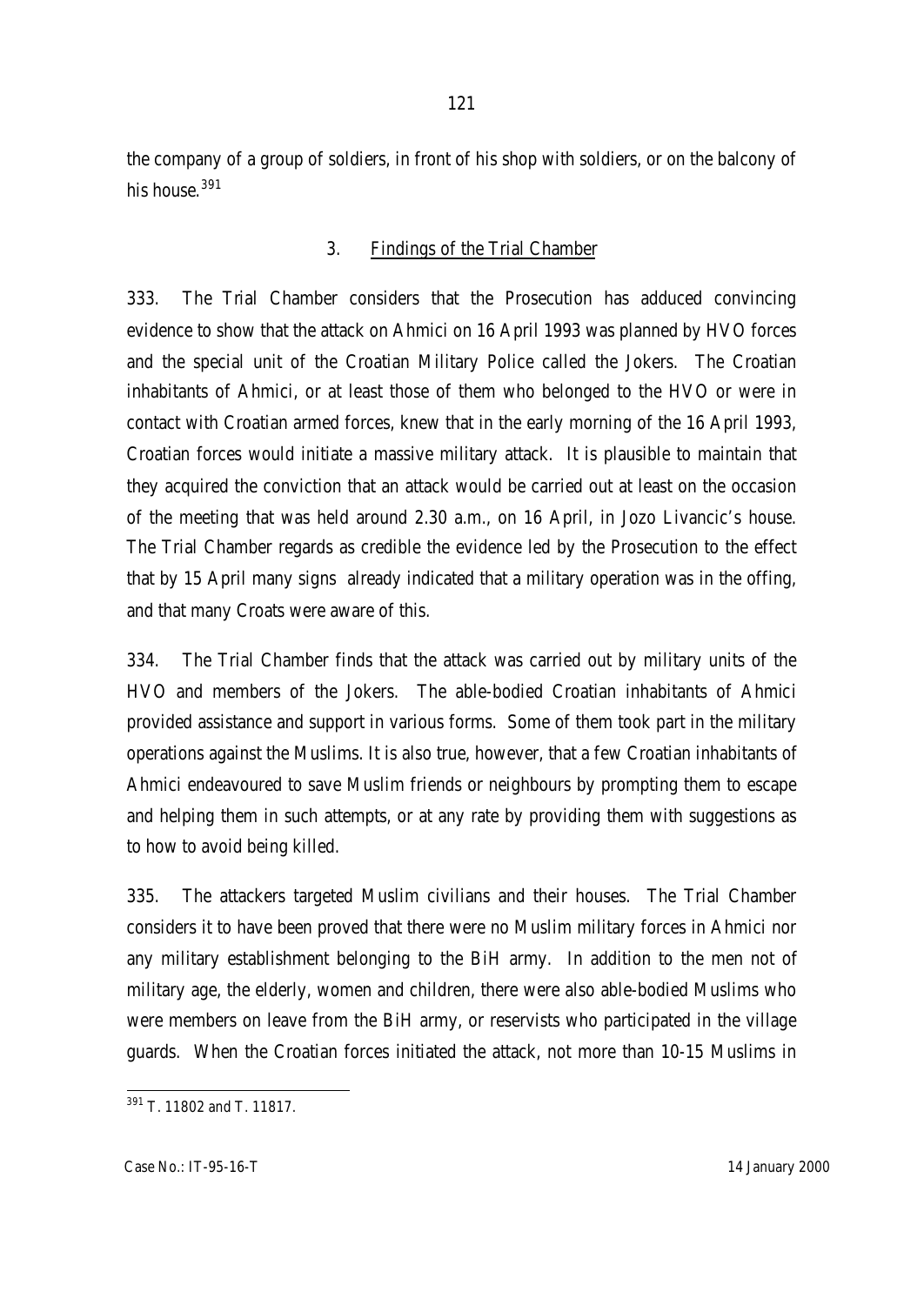the company of a group of soldiers, in front of his shop with soldiers, or on the balcony of his house.<sup>391</sup>

#### 3. Findings of the Trial Chamber

333. The Trial Chamber considers that the Prosecution has adduced convincing evidence to show that the attack on Ahmici on 16 April 1993 was planned by HVO forces and the special unit of the Croatian Military Police called the Jokers. The Croatian inhabitants of Ahmici, or at least those of them who belonged to the HVO or were in contact with Croatian armed forces, knew that in the early morning of the 16 April 1993, Croatian forces would initiate a massive military attack. It is plausible to maintain that they acquired the conviction that an attack would be carried out at least on the occasion of the meeting that was held around 2.30 a.m., on 16 April, in Jozo Livancic's house. The Trial Chamber regards as credible the evidence led by the Prosecution to the effect that by 15 April many signs already indicated that a military operation was in the offing, and that many Croats were aware of this.

334. The Trial Chamber finds that the attack was carried out by military units of the HVO and members of the Jokers. The able-bodied Croatian inhabitants of Ahmici provided assistance and support in various forms. Some of them took part in the military operations against the Muslims. It is also true, however, that a few Croatian inhabitants of Ahmici endeavoured to save Muslim friends or neighbours by prompting them to escape and helping them in such attempts, or at any rate by providing them with suggestions as to how to avoid being killed.

335. The attackers targeted Muslim civilians and their houses. The Trial Chamber considers it to have been proved that there were no Muslim military forces in Ahmici nor any military establishment belonging to the BiH army. In addition to the men not of military age, the elderly, women and children, there were also able-bodied Muslims who were members on leave from the BiH army, or reservists who participated in the village guards. When the Croatian forces initiated the attack, not more than 10-15 Muslims in

 $\overline{a}$ <sup>391</sup> T. 11802 and T. 11817.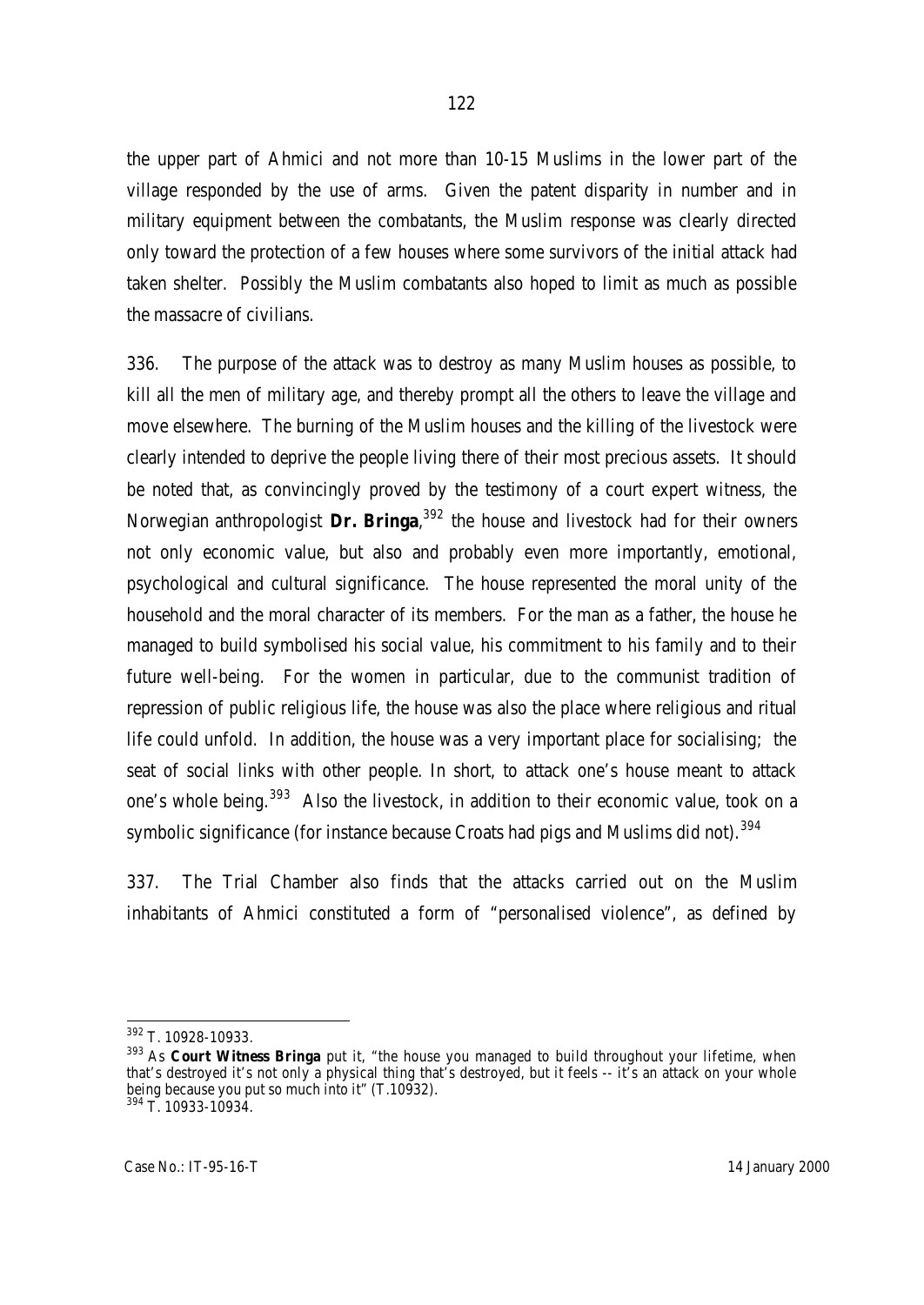the upper part of Ahmici and not more than 10-15 Muslims in the lower part of the village responded by the use of arms. Given the patent disparity in number and in military equipment between the combatants, the Muslim response was clearly directed only toward the protection of a few houses where some survivors of the initial attack had taken shelter. Possibly the Muslim combatants also hoped to limit as much as possible the massacre of civilians.

336. The purpose of the attack was to destroy as many Muslim houses as possible, to kill all the men of military age, and thereby prompt all the others to leave the village and move elsewhere. The burning of the Muslim houses and the killing of the livestock were clearly intended to deprive the people living there of their most precious assets. It should be noted that, as convincingly proved by the testimony of a court expert witness, the Norwegian anthropologist **Dr. Bringa**, <sup>392</sup> the house and livestock had for their owners not only economic value, but also and probably even more importantly, emotional, psychological and cultural significance. The house represented the moral unity of the household and the moral character of its members. For the man as a father, the house he managed to build symbolised his social value, his commitment to his family and to their future well-being. For the women in particular, due to the communist tradition of repression of public religious life, the house was also the place where religious and ritual life could unfold. In addition, the house was a very important place for socialising; the seat of social links with other people. In short, to attack one's house meant to attack one's whole being.<sup>393</sup> Also the livestock, in addition to their economic value, took on a symbolic significance (for instance because Croats had pigs and Muslims did not).<sup>394</sup>

337. The Trial Chamber also finds that the attacks carried out on the Muslim inhabitants of Ahmici constituted a form of "personalised violence", as defined by

 $\overline{a}$ <sup>392</sup> T. 10928-10933.

<sup>&</sup>lt;sup>393</sup> As **Court Witness Bringa** put it, "the house you managed to build throughout your lifetime, when that's destroyed it's not only a physical thing that's destroyed, but it feels -- it's an attack on your whole being because you put so much into it" (T.10932). <sup>394</sup> T. 10933-10934.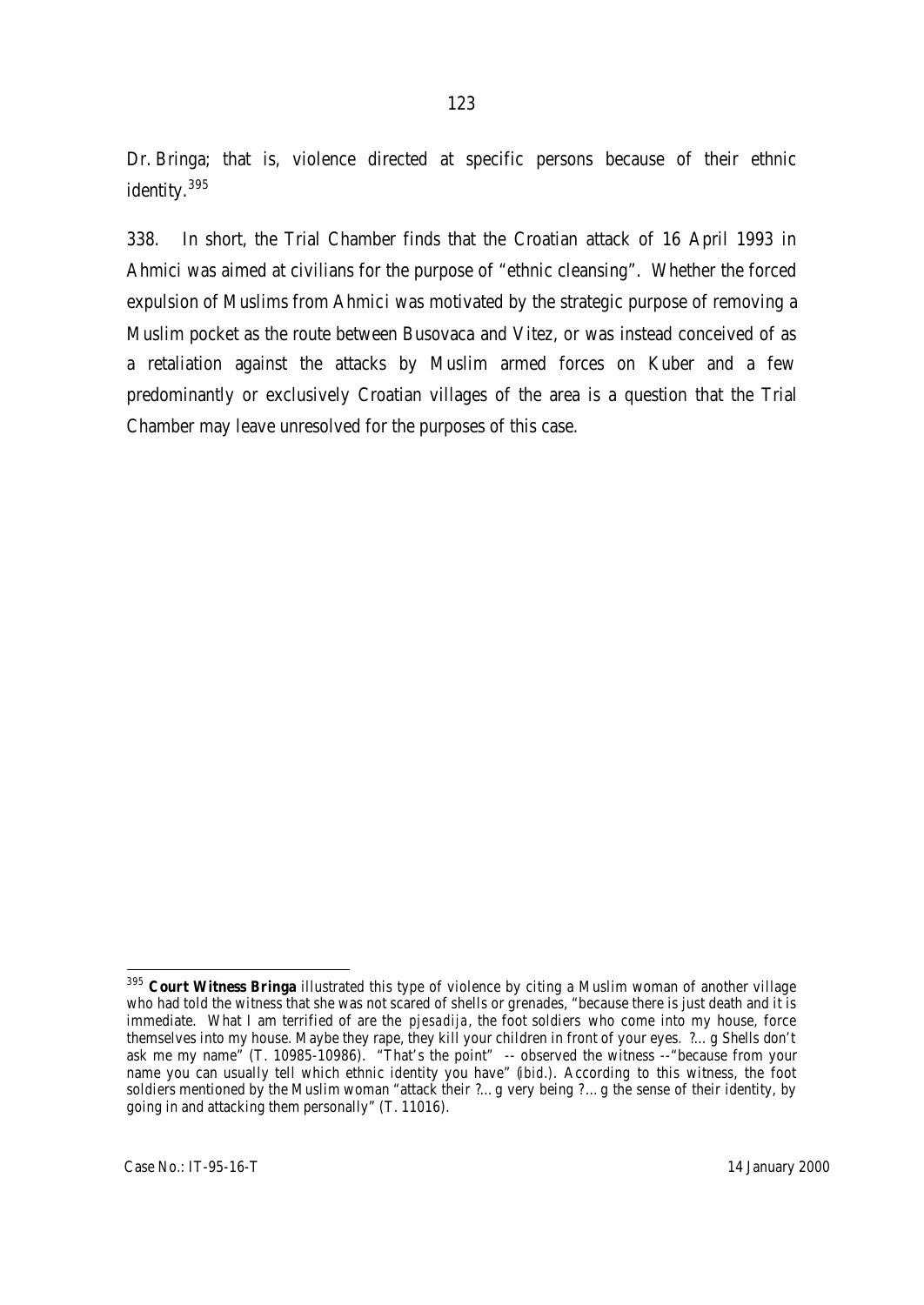Dr. Bringa; that is, violence directed at specific persons because of their ethnic identity.<sup>395</sup>

338. In short, the Trial Chamber finds that the Croatian attack of 16 April 1993 in Ahmici was aimed at civilians for the purpose of "ethnic cleansing". Whether the forced expulsion of Muslims from Ahmici was motivated by the strategic purpose of removing a Muslim pocket as the route between Busovaca and Vitez, or was instead conceived of as a retaliation against the attacks by Muslim armed forces on Kuber and a few predominantly or exclusively Croatian villages of the area is a question that the Trial Chamber may leave unresolved for the purposes of this case.

l <sup>395</sup> **Court Witness Bringa** illustrated this type of violence by citing a Muslim woman of another village who had told the witness that she was not scared of shells or grenades, "because there is just death and it is immediate. What I am terrified of are the *pjesadija*, the foot soldiers who come into my house, force themselves into my house. Maybe they rape, they kill your children in front of your eyes. ?…g Shells don't ask me my name" (T. 10985-10986). "That's the point" -- observed the witness --"because from your name you can usually tell which ethnic identity you have" (*ibid.)*. According to this witness, the foot soldiers mentioned by the Muslim woman "attack their ?…g very being ?…g the sense of their identity, by going in and attacking them personally" (T. 11016).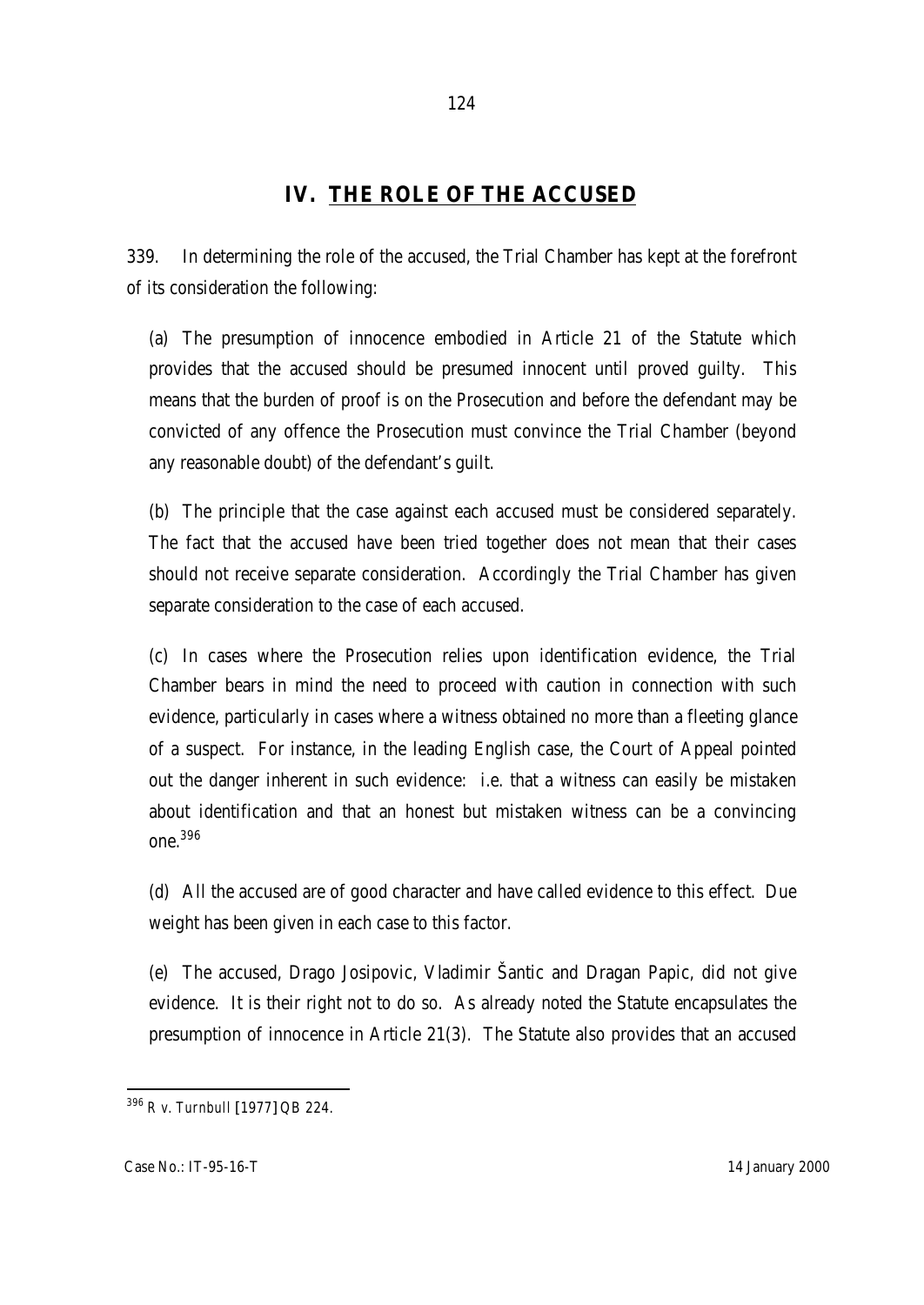# **IV. THE ROLE OF THE ACCUSED**

339. In determining the role of the accused, the Trial Chamber has kept at the forefront of its consideration the following:

(a) The presumption of innocence embodied in Article 21 of the Statute which provides that the accused should be presumed innocent until proved guilty. This means that the burden of proof is on the Prosecution and before the defendant may be convicted of any offence the Prosecution must convince the Trial Chamber (beyond any reasonable doubt) of the defendant's guilt.

(b) The principle that the case against each accused must be considered separately. The fact that the accused have been tried together does not mean that their cases should not receive separate consideration. Accordingly the Trial Chamber has given separate consideration to the case of each accused.

(c) In cases where the Prosecution relies upon identification evidence, the Trial Chamber bears in mind the need to proceed with caution in connection with such evidence, particularly in cases where a witness obtained no more than a fleeting glance of a suspect. For instance, in the leading English case, the Court of Appeal pointed out the danger inherent in such evidence: i.e. that a witness can easily be mistaken about identification and that an honest but mistaken witness can be a convincing one.<sup>396</sup>

(d) All the accused are of good character and have called evidence to this effect. Due weight has been given in each case to this factor.

(e) The accused, Drago Josipovic, Vladimir Šantic and Dragan Papic, did not give evidence. It is their right not to do so. As already noted the Statute encapsulates the presumption of innocence in Article 21(3). The Statute also provides that an accused

<sup>396</sup> *R v. Turnbull* [1977] QB 224.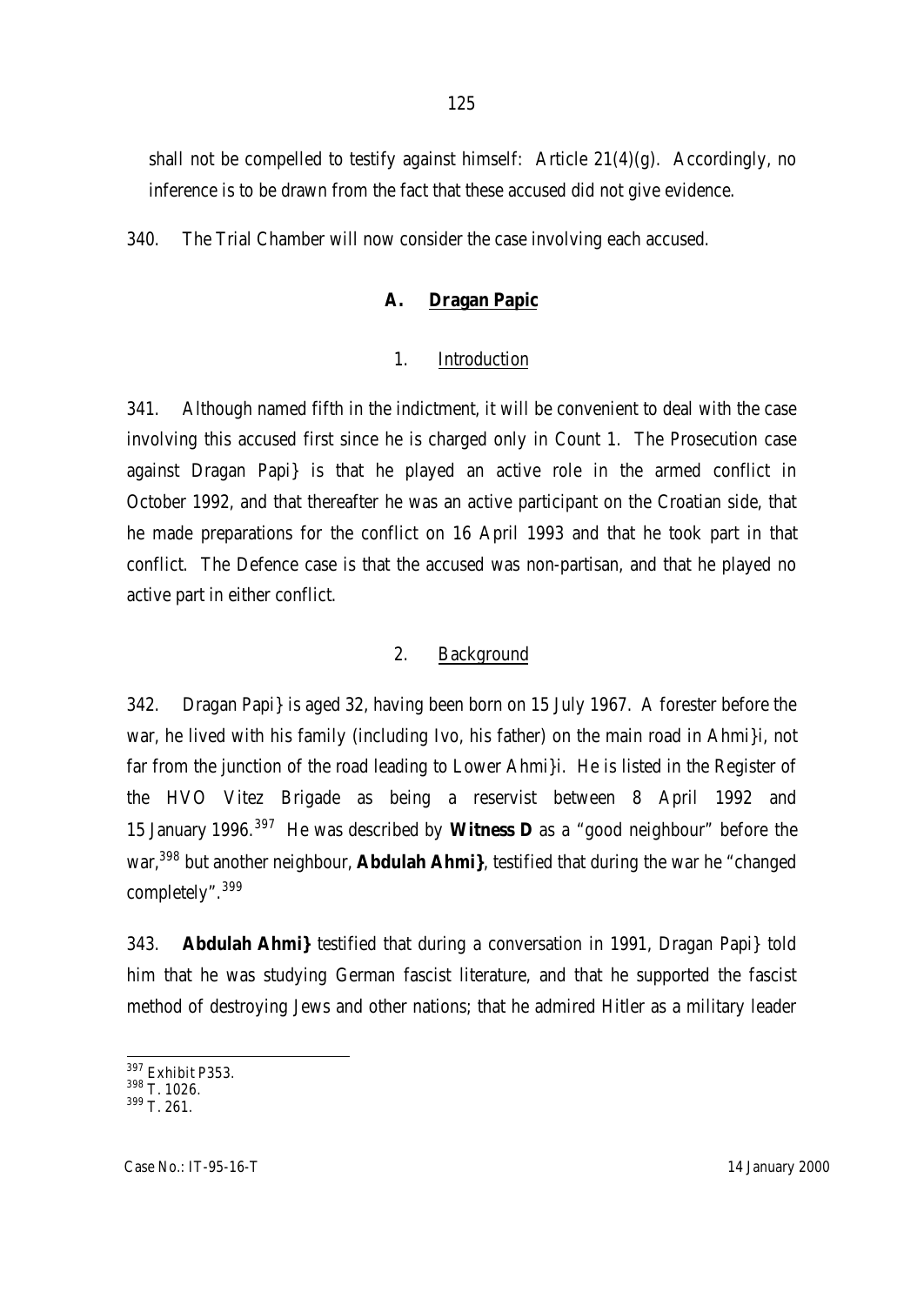shall not be compelled to testify against himself: Article 21(4)(g). Accordingly, no inference is to be drawn from the fact that these accused did not give evidence.

340. The Trial Chamber will now consider the case involving each accused.

### **A. Dragan Papic**

#### 1. Introduction

341. Although named fifth in the indictment, it will be convenient to deal with the case involving this accused first since he is charged only in Count 1. The Prosecution case against Dragan Papi} is that he played an active role in the armed conflict in October 1992, and that thereafter he was an active participant on the Croatian side, that he made preparations for the conflict on 16 April 1993 and that he took part in that conflict. The Defence case is that the accused was non-partisan, and that he played no active part in either conflict.

#### 2. Background

342. Dragan Papi} is aged 32, having been born on 15 July 1967. A forester before the war, he lived with his family (including Ivo, his father) on the main road in Ahmi}i, not far from the junction of the road leading to Lower Ahmi}i. He is listed in the Register of the HVO Vitez Brigade as being a reservist between 8 April 1992 and 15 January 1996.<sup>397</sup> He was described by **Witness D** as a "good neighbour" before the war,<sup>398</sup> but another neighbour, **Abdulah Ahmi}**, testified that during the war he "changed completely". 399

343. **Abdulah Ahmi}** testified that during a conversation in 1991, Dragan Papi} told him that he was studying German fascist literature, and that he supported the fascist method of destroying Jews and other nations; that he admired Hitler as a military leader

 $\overline{a}$  $^{397}$  Exhibit P353.

<sup>&</sup>lt;sup>398</sup> T. 1026.

<sup>&</sup>lt;sup>399</sup> T. 261.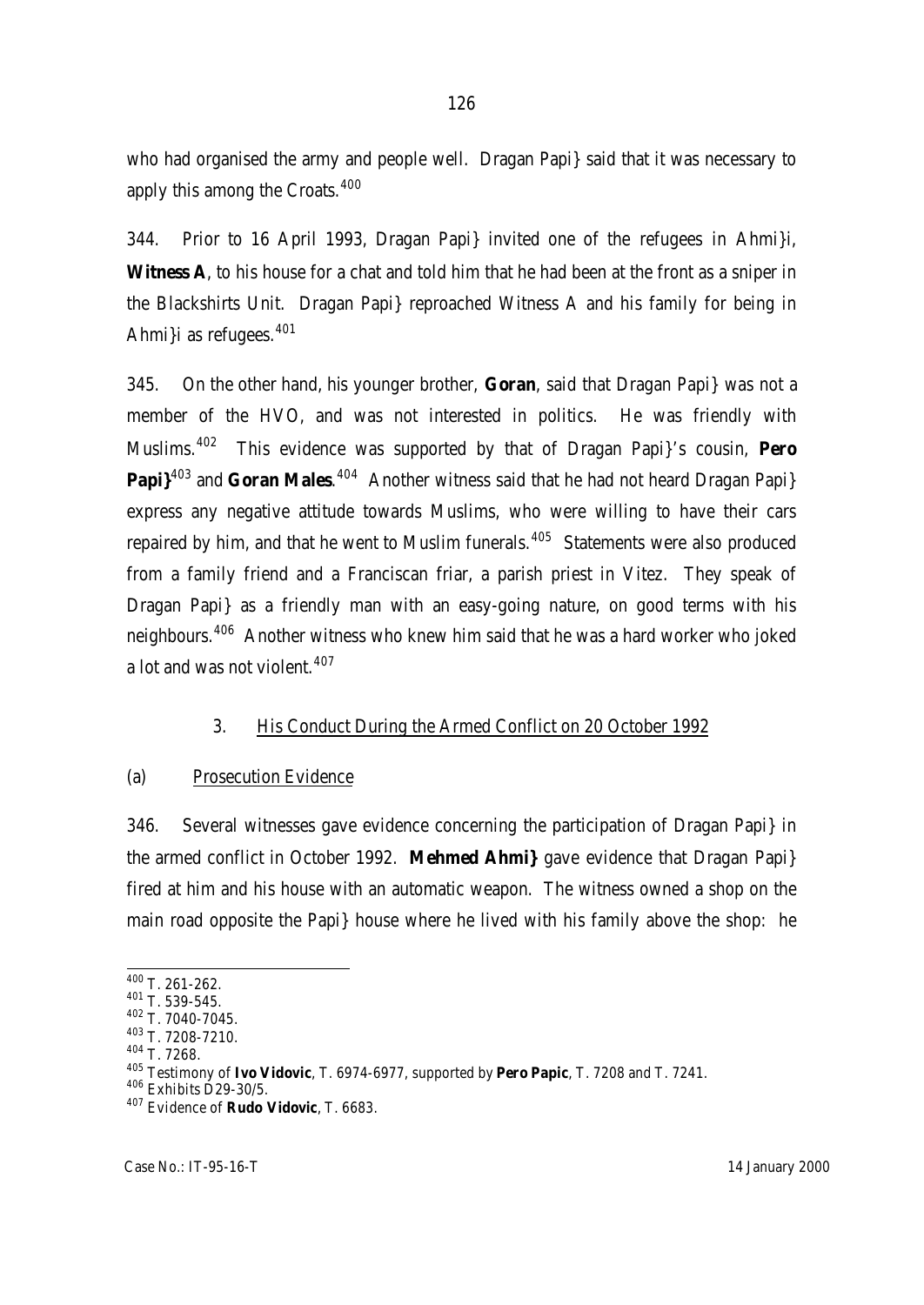who had organised the army and people well. Dragan Papi} said that it was necessary to apply this among the Croats.<sup>400</sup>

344. Prior to 16 April 1993, Dragan Papi} invited one of the refugees in Ahmi}i, **Witness A**, to his house for a chat and told him that he had been at the front as a sniper in the Blackshirts Unit. Dragan Papi} reproached Witness A and his family for being in Ahmi}i as refugees. 401

345. On the other hand, his younger brother, **Goran**, said that Dragan Papi} was not a member of the HVO, and was not interested in politics. He was friendly with Muslims.<sup>402</sup> This evidence was supported by that of Dragan Papi}'s cousin, **Pero** Papi}<sup>403</sup> and Goran Males.<sup>404</sup> Another witness said that he had not heard Dragan Papi} express any negative attitude towards Muslims, who were willing to have their cars repaired by him, and that he went to Muslim funerals.<sup>405</sup> Statements were also produced from a family friend and a Franciscan friar, a parish priest in Vitez. They speak of Dragan Papi} as a friendly man with an easy-going nature, on good terms with his neighbours.<sup>406</sup> Another witness who knew him said that he was a hard worker who joked a lot and was not violent.<sup>407</sup>

# 3. His Conduct During the Armed Conflict on 20 October 1992

#### (a) Prosecution Evidence

346. Several witnesses gave evidence concerning the participation of Dragan Papi} in the armed conflict in October 1992. **Mehmed Ahmi}** gave evidence that Dragan Papi} fired at him and his house with an automatic weapon. The witness owned a shop on the main road opposite the Papi} house where he lived with his family above the shop: he

 $\overline{a}$ 

<sup>400</sup> T. 261-262.

<sup>401</sup> T. 539-545.

<sup>402</sup> T. 7040-7045.

<sup>403</sup> T. 7208-7210. <sup>404</sup> T. 7268.

<sup>405</sup> Testimony of **Ivo Vidovic**, T. 6974-6977, supported by **Pero Papic**, T. 7208 and T. 7241.

<sup>406</sup> Exhibits D29-30/5. <sup>407</sup> Evidence of **Rudo Vidovic**, T. 6683.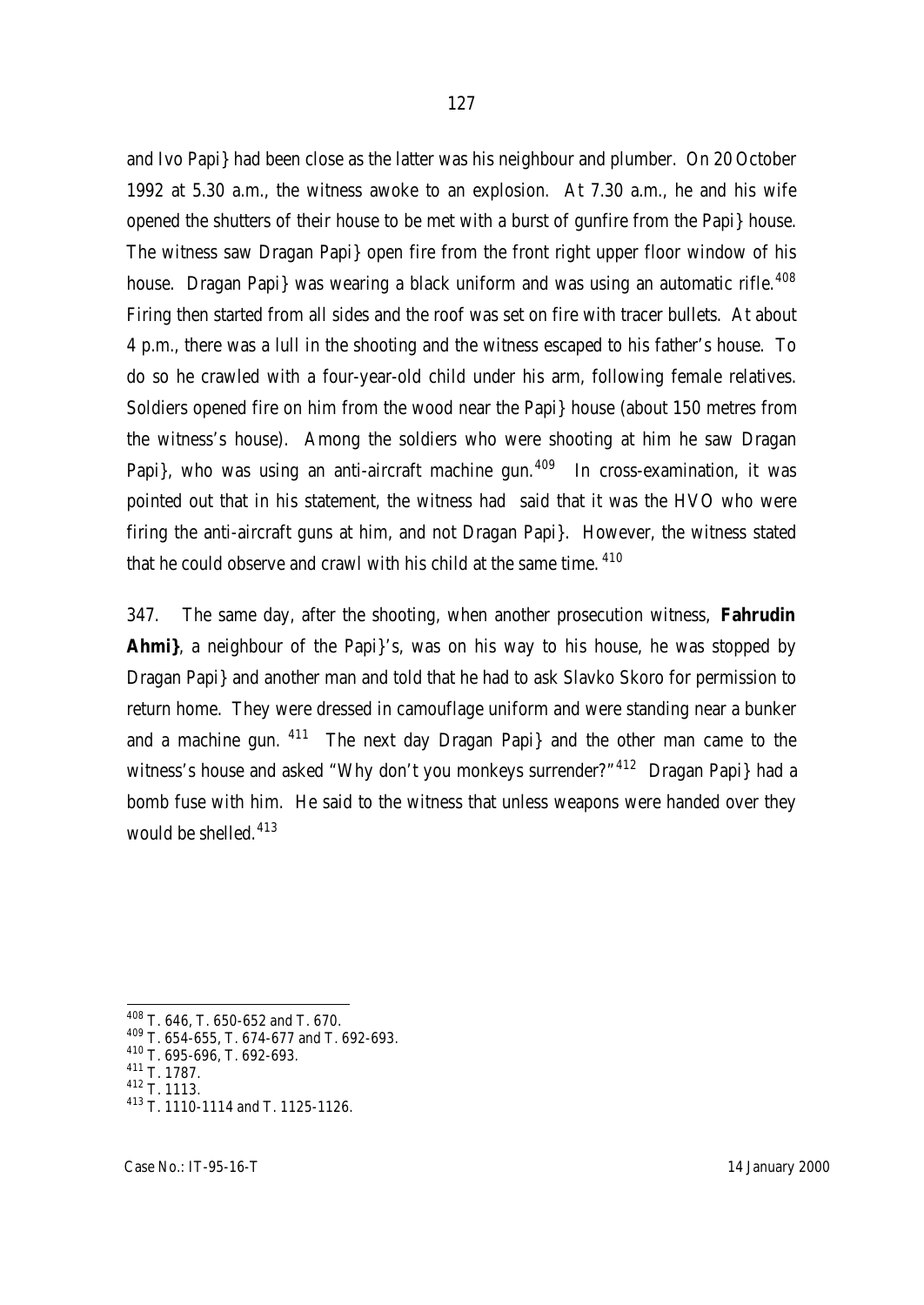and Ivo Papi} had been close as the latter was his neighbour and plumber. On 20 October 1992 at 5.30 a.m., the witness awoke to an explosion. At 7.30 a.m., he and his wife opened the shutters of their house to be met with a burst of gunfire from the Papi} house. The witness saw Dragan Papi} open fire from the front right upper floor window of his house. Dragan Papi} was wearing a black uniform and was using an automatic rifle.<sup>408</sup> Firing then started from all sides and the roof was set on fire with tracer bullets. At about 4 p.m., there was a lull in the shooting and the witness escaped to his father's house. To do so he crawled with a four-year-old child under his arm, following female relatives. Soldiers opened fire on him from the wood near the Papi} house (about 150 metres from the witness's house). Among the soldiers who were shooting at him he saw Dragan Papi}, who was using an anti-aircraft machine gun.<sup>409</sup> In cross-examination, it was pointed out that in his statement, the witness had said that it was the HVO who were firing the anti-aircraft guns at him, and not Dragan Papi}. However, the witness stated that he could observe and crawl with his child at the same time. <sup>410</sup>

347. The same day, after the shooting, when another prosecution witness, **Fahrudin Ahmi}**, a neighbour of the Papi}'s, was on his way to his house, he was stopped by Dragan Papi} and another man and told that he had to ask Slavko Skoro for permission to return home. They were dressed in camouflage uniform and were standing near a bunker and a machine gun. <sup>411</sup> The next day Dragan Papi} and the other man came to the witness's house and asked "Why don't you monkeys surrender?"<sup>412</sup> Dragan Papi} had a bomb fuse with him. He said to the witness that unless weapons were handed over they would be shelled.<sup>413</sup>

 $\overline{a}$ <sup>408</sup> T. 646, T. 650-652 and T. 670.

<sup>409</sup> T. 654-655, T. 674-677 and T. 692-693.

<sup>410</sup> T. 695-696, T. 692-693.

<sup>411</sup> T. 1787.

<sup>412</sup> T. 1113.

<sup>413</sup> T. 1110-1114 and T. 1125-1126.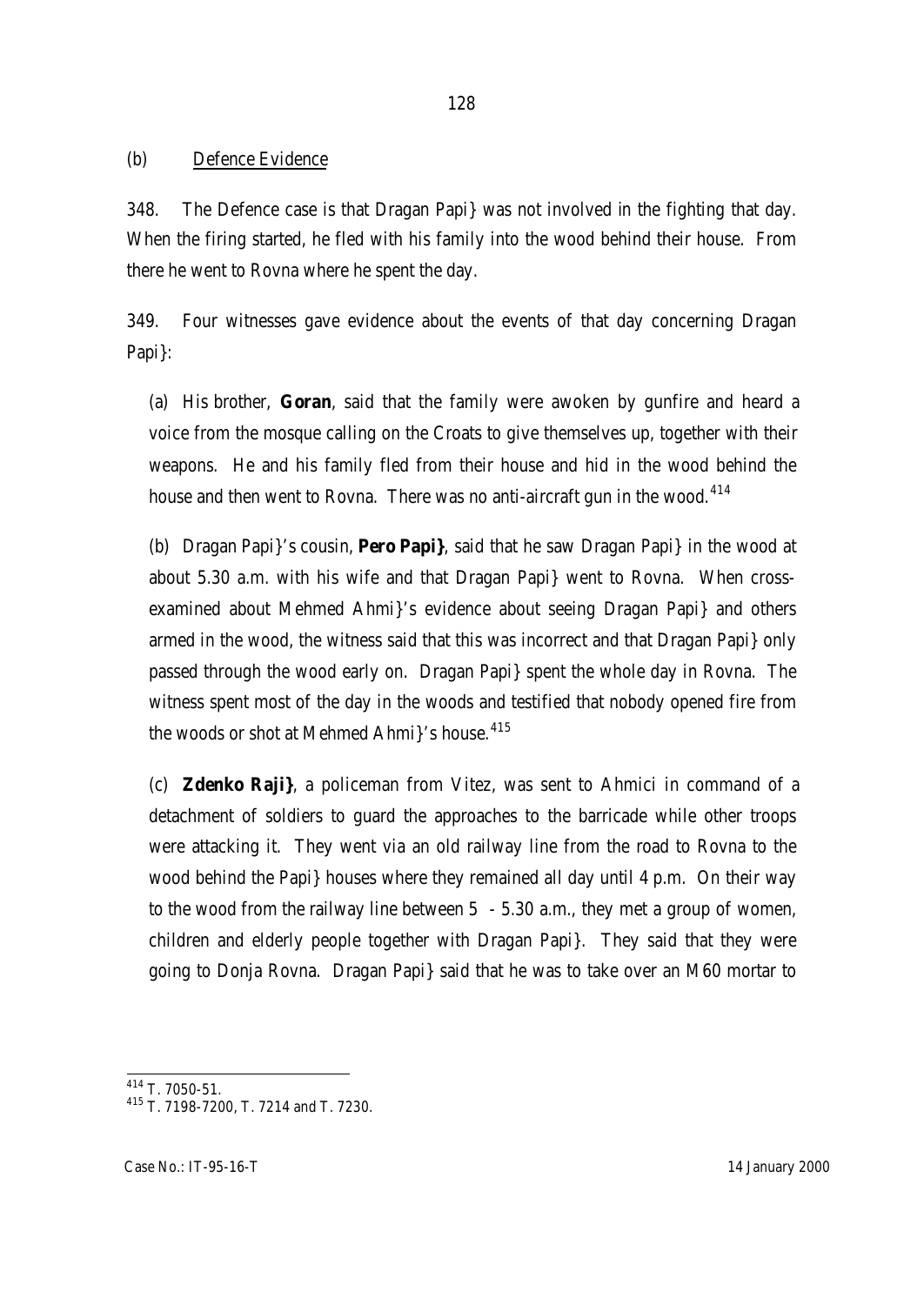128

# (b) Defence Evidence

348. The Defence case is that Dragan Papi} was not involved in the fighting that day. When the firing started, he fled with his family into the wood behind their house. From there he went to Rovna where he spent the day.

349. Four witnesses gave evidence about the events of that day concerning Dragan Papi}:

(a) His brother, **Goran**, said that the family were awoken by gunfire and heard a voice from the mosque calling on the Croats to give themselves up, together with their weapons. He and his family fled from their house and hid in the wood behind the house and then went to Rovna. There was no anti-aircraft gun in the wood.<sup>414</sup>

(b) Dragan Papi}'s cousin, **Pero Papi}**, said that he saw Dragan Papi} in the wood at about 5.30 a.m. with his wife and that Dragan Papi} went to Rovna. When crossexamined about Mehmed Ahmi}'s evidence about seeing Dragan Papi} and others armed in the wood, the witness said that this was incorrect and that Dragan Papi} only passed through the wood early on. Dragan Papi} spent the whole day in Rovna. The witness spent most of the day in the woods and testified that nobody opened fire from the woods or shot at Mehmed Ahmi}'s house.<sup>415</sup>

(c) **Zdenko Raji}**, a policeman from Vitez, was sent to Ahmici in command of a detachment of soldiers to guard the approaches to the barricade while other troops were attacking it. They went via an old railway line from the road to Rovna to the wood behind the Papi} houses where they remained all day until 4 p.m. On their way to the wood from the railway line between 5 - 5.30 a.m., they met a group of women, children and elderly people together with Dragan Papi}. They said that they were going to Donja Rovna. Dragan Papi} said that he was to take over an M60 mortar to

 $\overline{a}$ <sup>414</sup> T. 7050-51.

<sup>415</sup> T. 7198-7200, T. 7214 and T. 7230.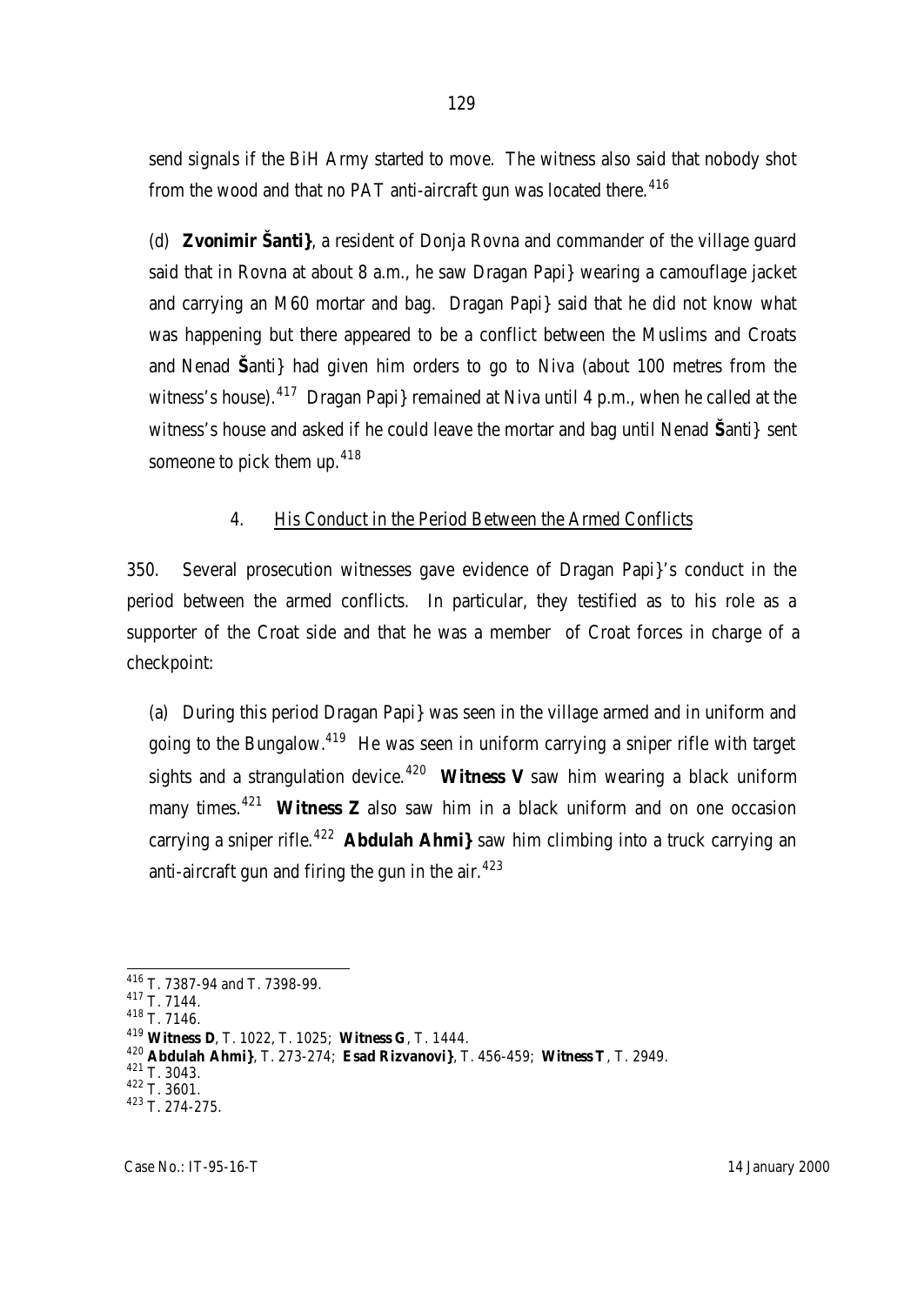send signals if the BiH Army started to move. The witness also said that nobody shot from the wood and that no PAT anti-aircraft gun was located there.<sup>416</sup>

(d) **Zvonimir Šanti}**, a resident of Donja Rovna and commander of the village guard said that in Rovna at about 8 a.m., he saw Dragan Papi} wearing a camouflage jacket and carrying an M60 mortar and bag. Dragan Papi} said that he did not know what was happening but there appeared to be a conflict between the Muslims and Croats and Nenad **Š**anti} had given him orders to go to Niva (about 100 metres from the witness's house).<sup>417</sup> Dragan Papi} remained at Niva until 4 p.m., when he called at the witness's house and asked if he could leave the mortar and bag until Nenad **Š**anti} sent someone to pick them up.  $418$ 

# 4. His Conduct in the Period Between the Armed Conflicts

350. Several prosecution witnesses gave evidence of Dragan Papi}'s conduct in the period between the armed conflicts. In particular, they testified as to his role as a supporter of the Croat side and that he was a member of Croat forces in charge of a checkpoint:

(a) During this period Dragan Papi} was seen in the village armed and in uniform and going to the Bungalow.<sup>419</sup> He was seen in uniform carrying a sniper rifle with target sights and a strangulation device.<sup>420</sup> Witness V saw him wearing a black uniform many times.<sup>421</sup> Witness Z also saw him in a black uniform and on one occasion carrying a sniper rifle.<sup>422</sup> Abdulah Ahmi} saw him climbing into a truck carrying an anti-aircraft gun and firing the gun in the air.  $423$ 

 $\overline{a}$ <sup>416</sup> T. 7387-94 and T. 7398-99.

 $417$  T. 7144.

<sup>418</sup> T. 7146.

<sup>419</sup> **Witness D**, T. 1022, T. 1025; **Witness G**, T. 1444.

<sup>420</sup> **Abdulah Ahmi}**, T. 273-274; **Esad Rizvanovi}**, T. 456-459; **Witness T**, T. 2949.

 $^{421}$  T. 3043.

 $422$  T. 3601.

<sup>423</sup> T. 274-275.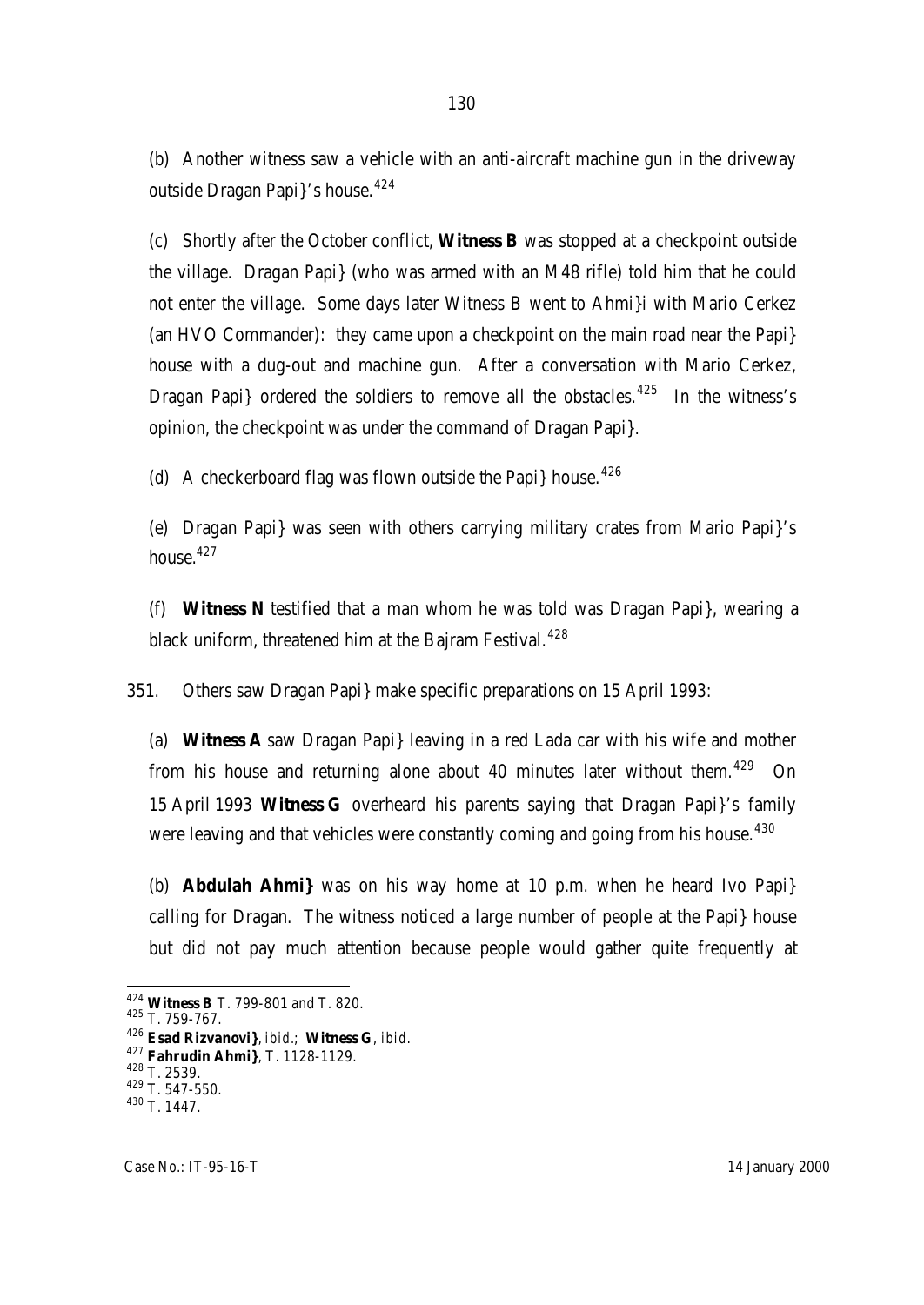(b) Another witness saw a vehicle with an anti-aircraft machine gun in the driveway outside Dragan Papi}'s house.<sup>424</sup>

130

(c) Shortly after the October conflict, **Witness B** was stopped at a checkpoint outside the village. Dragan Papi} (who was armed with an M48 rifle) told him that he could not enter the village. Some days later Witness B went to Ahmi}i with Mario Cerkez (an HVO Commander): they came upon a checkpoint on the main road near the Papi} house with a dug-out and machine gun. After a conversation with Mario Cerkez, Dragan Papi} ordered the soldiers to remove all the obstacles.<sup>425</sup> In the witness's opinion, the checkpoint was under the command of Dragan Papi}.

(d) A checkerboard flag was flown outside the Papi } house.  $426$ 

(e) Dragan Papi} was seen with others carrying military crates from Mario Papi}'s house.<sup>427</sup>

(f) **Witness N** testified that a man whom he was told was Dragan Papi}, wearing a black uniform, threatened him at the Bajram Festival.<sup>428</sup>

351. Others saw Dragan Papi} make specific preparations on 15 April 1993:

(a) **Witness A** saw Dragan Papi} leaving in a red Lada car with his wife and mother from his house and returning alone about 40 minutes later without them.  $429$  On 15 April 1993 **Witness G** overheard his parents saying that Dragan Papi}'s family were leaving and that vehicles were constantly coming and going from his house.<sup>430</sup>

(b) **Abdulah Ahmi}** was on his way home at 10 p.m. when he heard Ivo Papi} calling for Dragan. The witness noticed a large number of people at the Papi} house but did not pay much attention because people would gather quite frequently at

<sup>424</sup> **Witness B** T. 799-801 and T. 820.

 $425$  T. 759-767.

<sup>426</sup> **Esad Rizvanovi}**, *ibid.*; **Witness G**, *ibid*.

<sup>427</sup> **Fahrudin Ahmi}**, T. 1128-1129.

 $^{428}$  T. 2539.

<sup>&</sup>lt;sup>429</sup> T. 547-550.

<sup>430</sup> T. 1447.

Case No.: IT-95-16-T 14 January 2000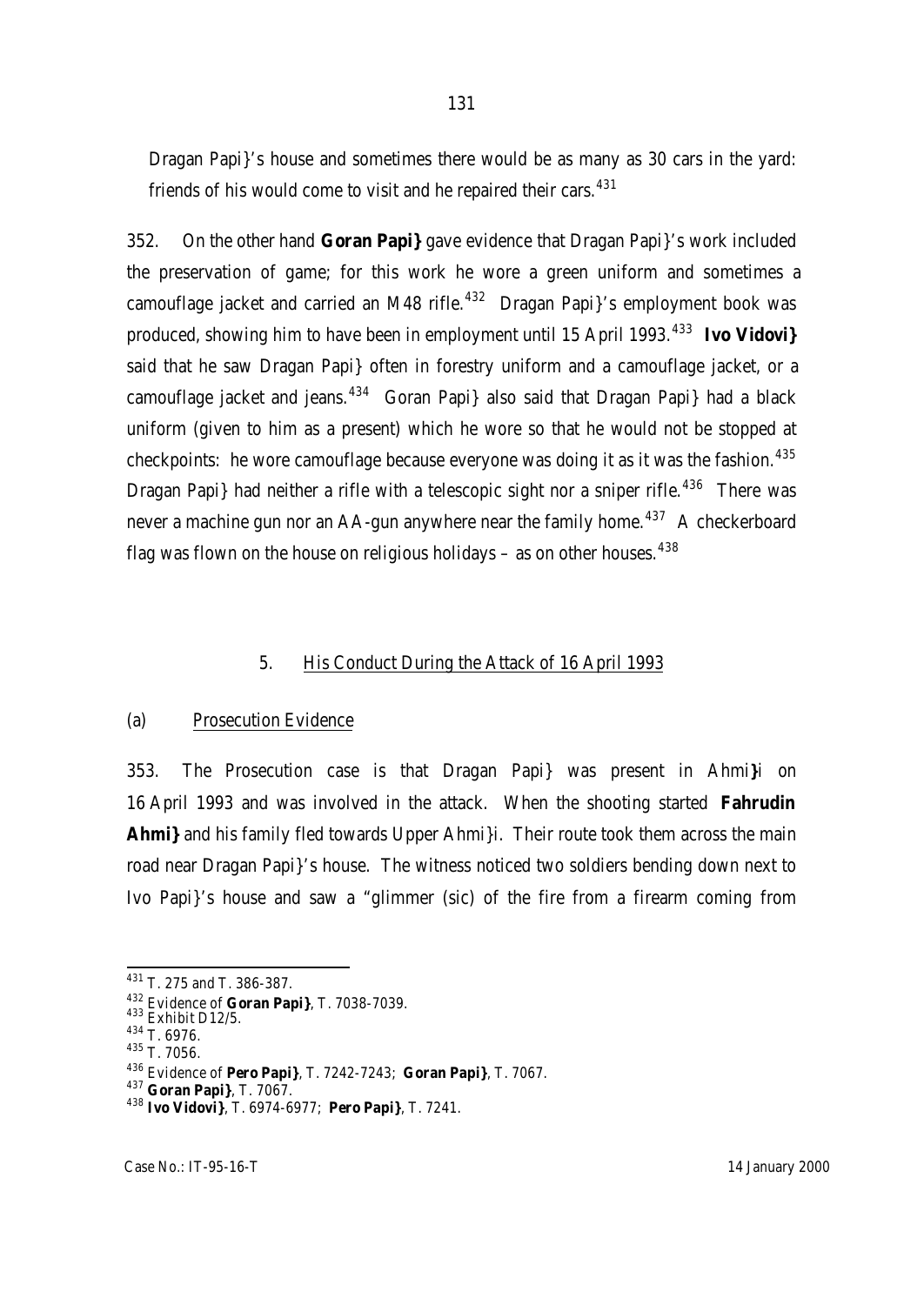Dragan Papi}'s house and sometimes there would be as many as 30 cars in the yard: friends of his would come to visit and he repaired their cars.<sup>431</sup>

352. On the other hand **Goran Papi}** gave evidence that Dragan Papi}'s work included the preservation of game; for this work he wore a green uniform and sometimes a camouflage jacket and carried an M48 rifle.<sup>432</sup> Dragan Papi $\gamma$ 's employment book was produced, showing him to have been in employment until 15 April 1993.<sup>433</sup> Ivo Vidovi} said that he saw Dragan Papi} often in forestry uniform and a camouflage jacket, or a camouflage jacket and jeans.<sup>434</sup> Goran Papi} also said that Dragan Papi} had a black uniform (given to him as a present) which he wore so that he would not be stopped at checkpoints: he wore camouflage because everyone was doing it as it was the fashion.<sup>435</sup> Dragan Papi} had neither a rifle with a telescopic sight nor a sniper rifle.<sup>436</sup> There was never a machine gun nor an AA-gun anywhere near the family home.<sup>437</sup> A checkerboard flag was flown on the house on religious holidays  $-$  as on other houses.  $438$ 

#### 5. His Conduct During the Attack of 16 April 1993

#### (a) Prosecution Evidence

353. The Prosecution case is that Dragan Papi} was present in Ahmi**}**i on 16 April 1993 and was involved in the attack. When the shooting started **Fahrudin** Ahmi} and his family fled towards Upper Ahmi}i. Their route took them across the main road near Dragan Papi}'s house. The witness noticed two soldiers bending down next to Ivo Papi}'s house and saw a "glimmer (sic) of the fire from a firearm coming from

 $\overline{a}$ <sup>431</sup> T. 275 and T. 386-387.

<sup>432</sup> Evidence of **Goran Papi}**, T. 7038-7039.

<sup>433</sup> Exhibit D12/5. <sup>434</sup> T. 6976.

<sup>435</sup> T. 7056.

<sup>436</sup> Evidence of **Pero Papi}**, T. 7242-7243; **Goran Papi}**, T. 7067.

<sup>437</sup> **Goran Papi}**, T. 7067.

<sup>438</sup> **Ivo Vidovi}**, T. 6974-6977; **Pero Papi}**, T. 7241.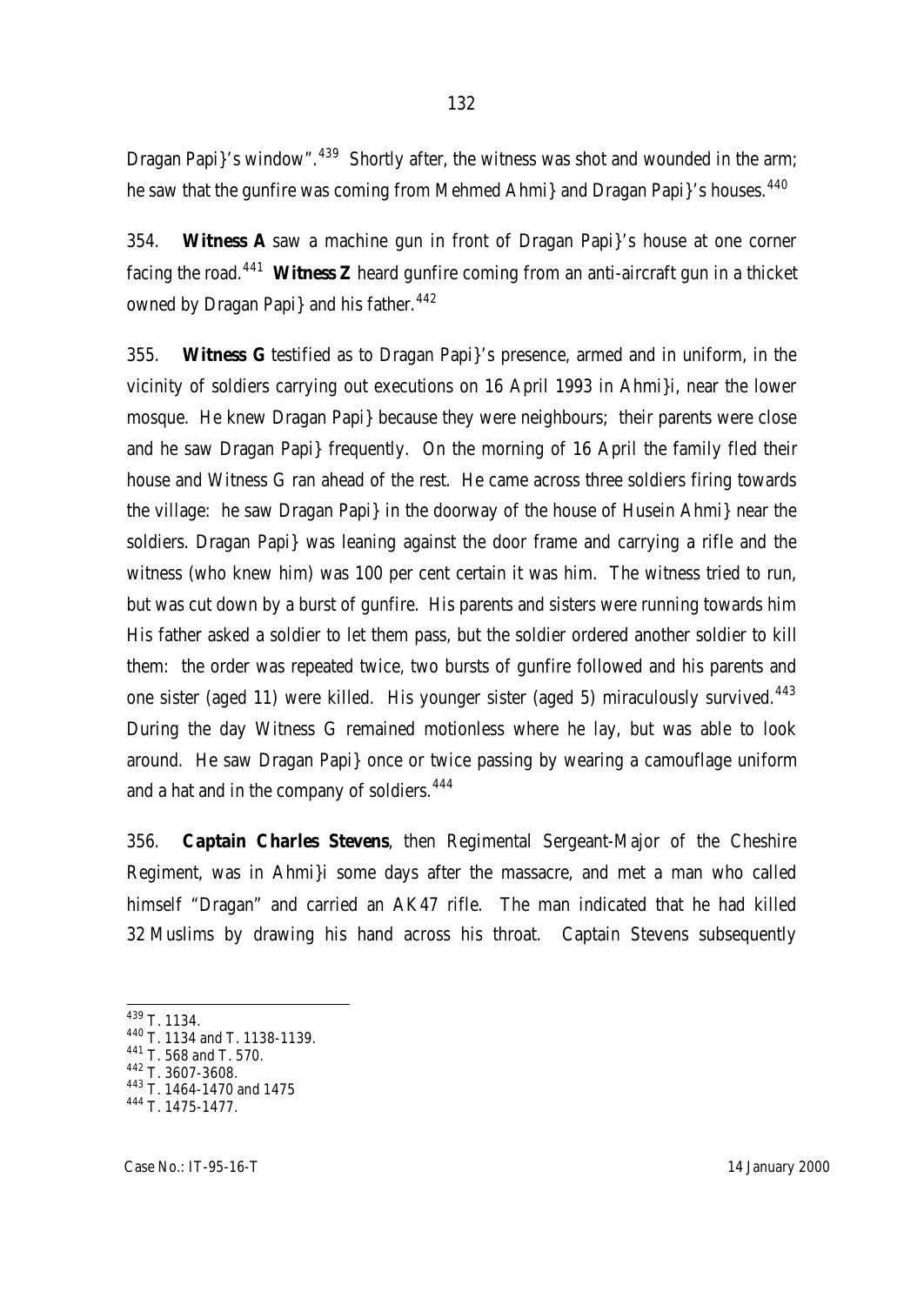Dragan Papi}'s window".<sup>439</sup> Shortly after, the witness was shot and wounded in the arm; he saw that the gunfire was coming from Mehmed Ahmi} and Dragan Papi}'s houses.<sup>440</sup>

354. **Witness A** saw a machine gun in front of Dragan Papi}'s house at one corner facing the road.<sup>441</sup> **Witness Z** heard gunfire coming from an anti-aircraft gun in a thicket owned by Dragan Papi} and his father.<sup>442</sup>

355. **Witness G** testified as to Dragan Papi}'s presence, armed and in uniform, in the vicinity of soldiers carrying out executions on 16 April 1993 in Ahmi}i, near the lower mosque. He knew Dragan Papi} because they were neighbours; their parents were close and he saw Dragan Papi} frequently. On the morning of 16 April the family fled their house and Witness G ran ahead of the rest. He came across three soldiers firing towards the village: he saw Dragan Papi} in the doorway of the house of Husein Ahmi} near the soldiers. Dragan Papi} was leaning against the door frame and carrying a rifle and the witness (who knew him) was 100 per cent certain it was him. The witness tried to run, but was cut down by a burst of gunfire. His parents and sisters were running towards him His father asked a soldier to let them pass, but the soldier ordered another soldier to kill them: the order was repeated twice, two bursts of gunfire followed and his parents and one sister (aged 11) were killed. His younger sister (aged 5) miraculously survived.<sup>443</sup> During the day Witness G remained motionless where he lay, but was able to look around. He saw Dragan Papi} once or twice passing by wearing a camouflage uniform and a hat and in the company of soldiers.<sup>444</sup>

356. **Captain Charles Stevens**, then Regimental Sergeant-Major of the Cheshire Regiment, was in Ahmi}i some days after the massacre, and met a man who called himself "Dragan" and carried an AK47 rifle. The man indicated that he had killed 32 Muslims by drawing his hand across his throat. Captain Stevens subsequently

Case No.: IT-95-16-T 14 January 2000

 $\overline{a}$ <sup>439</sup> T. 1134.

<sup>440</sup> T. 1134 and T. 1138-1139.

<sup>441</sup> T. 568 and T. 570.

<sup>442</sup> T. 3607-3608.

<sup>443</sup> T. 1464-1470 and 1475

<sup>444</sup> T. 1475-1477.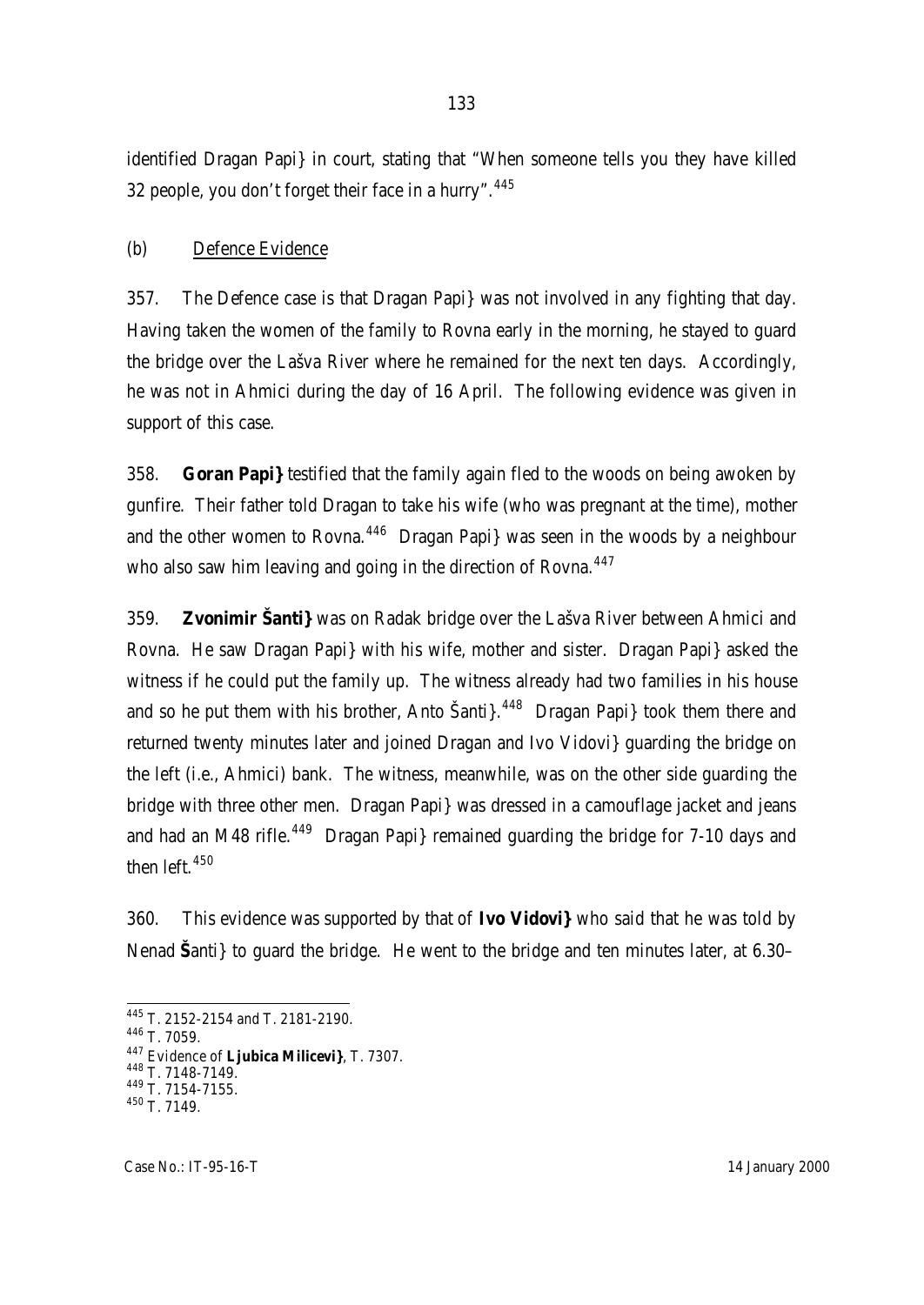identified Dragan Papi} in court, stating that "When someone tells you they have killed 32 people, you don't forget their face in a hurry". 445

#### (b) Defence Evidence

357. The Defence case is that Dragan Papi} was not involved in any fighting that day. Having taken the women of the family to Rovna early in the morning, he stayed to guard the bridge over the Lašva River where he remained for the next ten days. Accordingly, he was not in Ahmici during the day of 16 April. The following evidence was given in support of this case.

358. **Goran Papi}** testified that the family again fled to the woods on being awoken by gunfire. Their father told Dragan to take his wife (who was pregnant at the time), mother and the other women to Rovna.<sup>446</sup> Dragan Papi} was seen in the woods by a neighbour who also saw him leaving and going in the direction of Rovna.<sup>447</sup>

359. **Zvonimir Šanti}** was on Radak bridge over the Lašva River between Ahmici and Rovna. He saw Dragan Papi} with his wife, mother and sister. Dragan Papi} asked the witness if he could put the family up. The witness already had two families in his house and so he put them with his brother, Anto Šanti $\frac{1}{448}$  Dragan Papi took them there and returned twenty minutes later and joined Dragan and Ivo Vidovi} guarding the bridge on the left (i.e., Ahmici) bank. The witness, meanwhile, was on the other side guarding the bridge with three other men. Dragan Papi} was dressed in a camouflage jacket and jeans and had an M48 rifle.<sup>449</sup> Dragan Papi} remained quarding the bridge for 7-10 days and then left.<sup>450</sup>

360. This evidence was supported by that of **Ivo Vidovi}** who said that he was told by Nenad **Š**anti} to guard the bridge. He went to the bridge and ten minutes later, at 6.30–

 $\overline{a}$ <sup>445</sup> T. 2152-2154 and T. 2181-2190.

<sup>446</sup> T. 7059.

<sup>447</sup> Evidence of **Ljubica Milicevi}**, T. 7307.

<sup>448</sup> T. 7148-7149.

<sup>&</sup>lt;sup>449</sup> T. 7154-7155.

<sup>450</sup> T. 7149.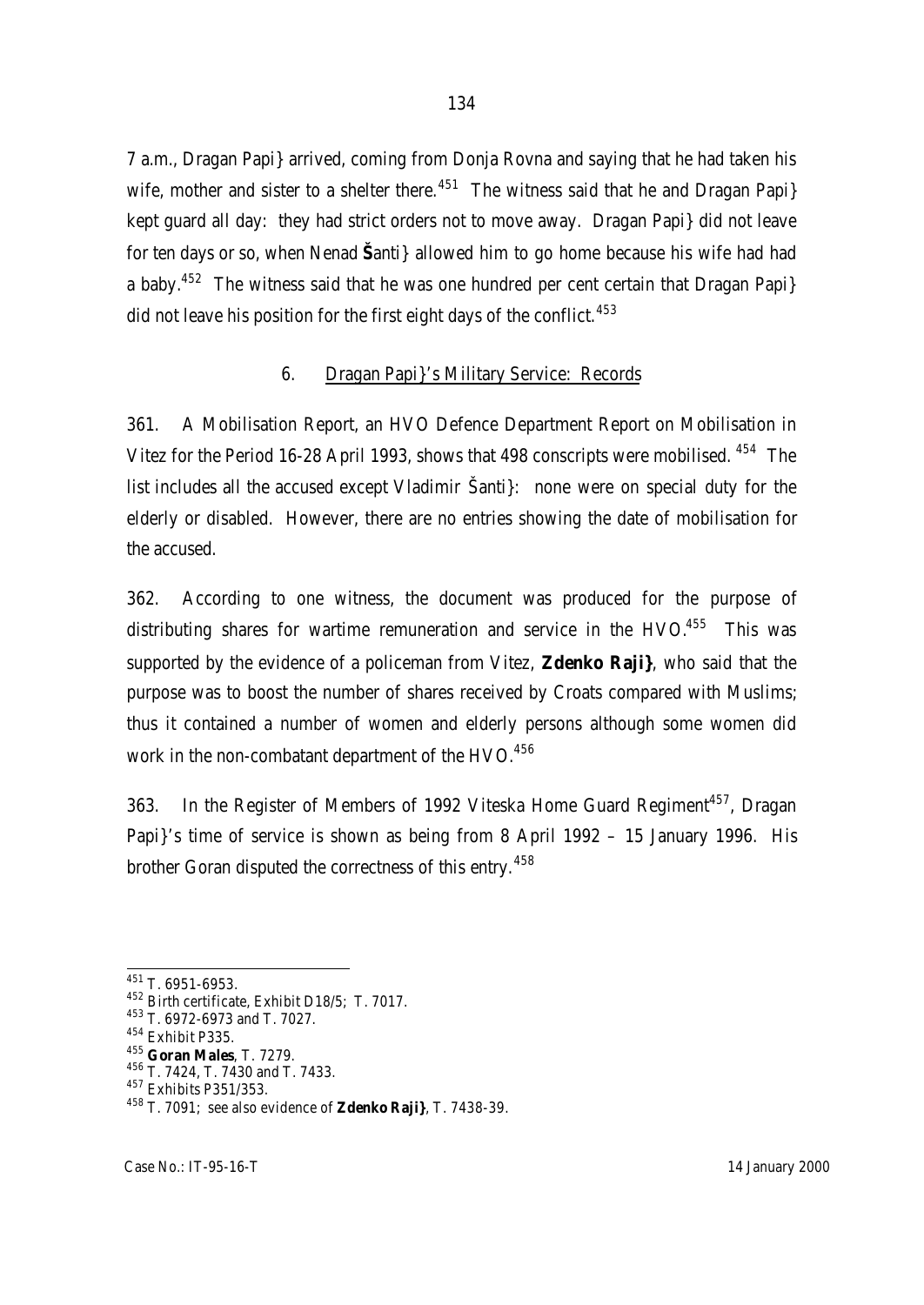7 a.m., Dragan Papi} arrived, coming from Donja Rovna and saying that he had taken his wife, mother and sister to a shelter there.<sup>451</sup> The witness said that he and Dragan Papi} kept guard all day: they had strict orders not to move away. Dragan Papi} did not leave for ten days or so, when Nenad **Š**anti} allowed him to go home because his wife had had a baby.<sup>452</sup> The witness said that he was one hundred per cent certain that Dragan Papi} did not leave his position for the first eight days of the conflict.  $453$ 

#### 6. Dragan Papi}'s Military Service: Records

361. A Mobilisation Report, an HVO Defence Department Report on Mobilisation in Vitez for the Period 16-28 April 1993, shows that 498 conscripts were mobilised. <sup>454</sup> The list includes all the accused except Vladimir Šanti}: none were on special duty for the elderly or disabled. However, there are no entries showing the date of mobilisation for the accused.

362. According to one witness, the document was produced for the purpose of distributing shares for wartime remuneration and service in the HVO. $455$  This was supported by the evidence of a policeman from Vitez, **Zdenko Raji}**, who said that the purpose was to boost the number of shares received by Croats compared with Muslims; thus it contained a number of women and elderly persons although some women did work in the non-combatant department of the HVO.<sup>456</sup>

363. In the Register of Members of 1992 Viteska Home Guard Regiment<sup>457</sup>, Dragan Papi}'s time of service is shown as being from 8 April 1992 – 15 January 1996. His brother Goran disputed the correctness of this entry.<sup>458</sup>

 $\overline{a}$ <sup>451</sup> T. 6951-6953.

<sup>452</sup> Birth certificate, Exhibit D18/5; T. 7017.

<sup>453</sup> T. 6972-6973 and T. 7027.

<sup>454</sup> Exhibit P335.

<sup>455</sup> **Goran Males**, T. 7279.

<sup>456</sup> T. 7424, T. 7430 and T. 7433.

<sup>457</sup> Exhibits P351/353.

<sup>458</sup> T. 7091; see also evidence of **Zdenko Raji}**, T. 7438-39.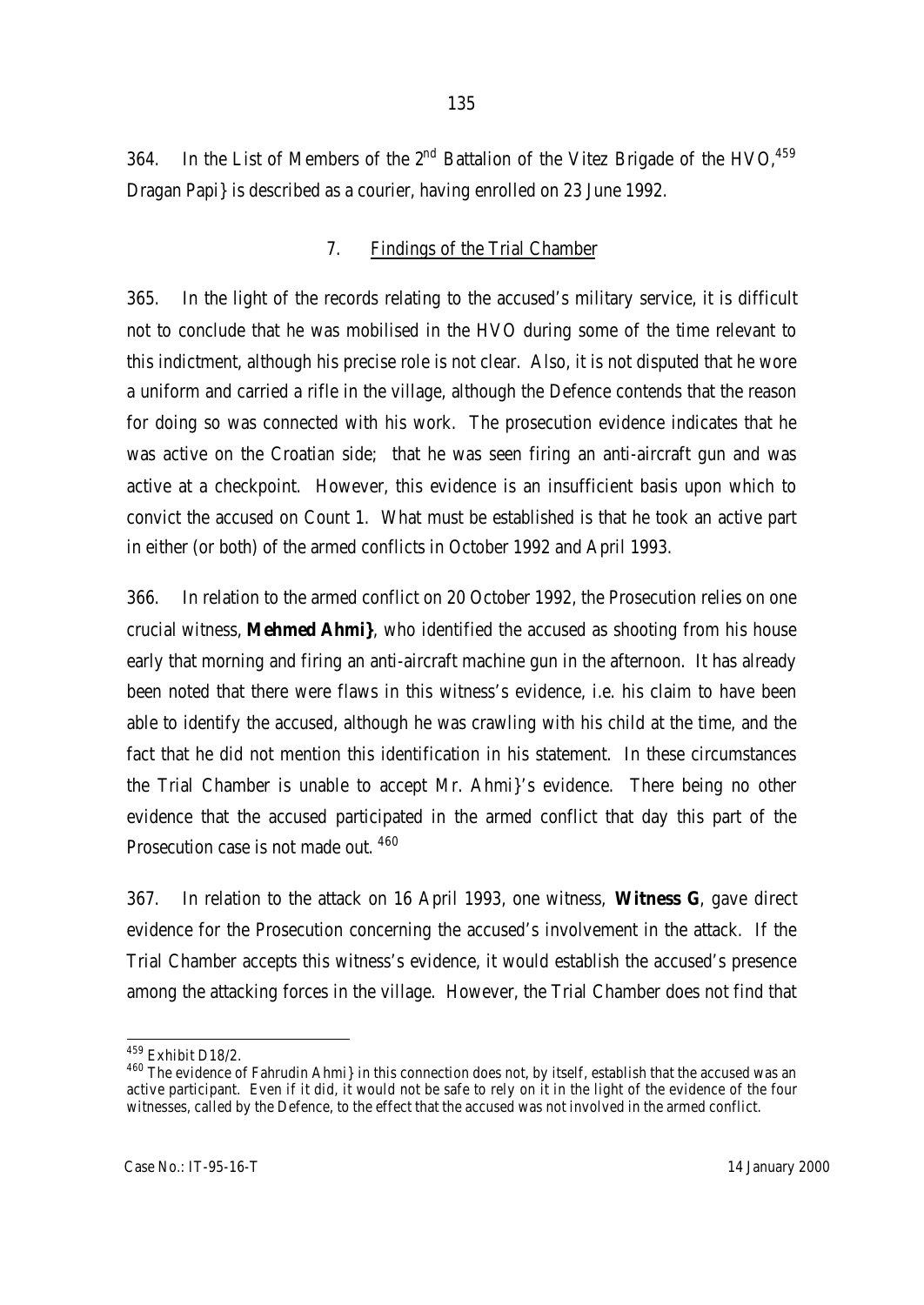364. In the List of Members of the  $2^{nd}$  Battalion of the Vitez Brigade of the HVO,<sup>459</sup> Dragan Papi} is described as a courier, having enrolled on 23 June 1992.

### 7. Findings of the Trial Chamber

365. In the light of the records relating to the accused's military service, it is difficult not to conclude that he was mobilised in the HVO during some of the time relevant to this indictment, although his precise role is not clear. Also, it is not disputed that he wore a uniform and carried a rifle in the village, although the Defence contends that the reason for doing so was connected with his work. The prosecution evidence indicates that he was active on the Croatian side; that he was seen firing an anti-aircraft gun and was active at a checkpoint. However, this evidence is an insufficient basis upon which to convict the accused on Count 1. What must be established is that he took an active part in either (or both) of the armed conflicts in October 1992 and April 1993.

366. In relation to the armed conflict on 20 October 1992, the Prosecution relies on one crucial witness, **Mehmed Ahmi}**, who identified the accused as shooting from his house early that morning and firing an anti-aircraft machine gun in the afternoon. It has already been noted that there were flaws in this witness's evidence, i.e. his claim to have been able to identify the accused, although he was crawling with his child at the time, and the fact that he did not mention this identification in his statement. In these circumstances the Trial Chamber is unable to accept Mr. Ahmi}'s evidence. There being no other evidence that the accused participated in the armed conflict that day this part of the Prosecution case is not made out. <sup>460</sup>

367. In relation to the attack on 16 April 1993, one witness, **Witness G**, gave direct evidence for the Prosecution concerning the accused's involvement in the attack. If the Trial Chamber accepts this witness's evidence, it would establish the accused's presence among the attacking forces in the village. However, the Trial Chamber does not find that

 $\overline{a}$ <sup>459</sup> Exhibit D18/2.

<sup>460</sup> The evidence of Fahrudin Ahmi} in this connection does not, by itself, establish that the accused was an active participant. Even if it did, it would not be safe to rely on it in the light of the evidence of the four witnesses, called by the Defence, to the effect that the accused was not involved in the armed conflict.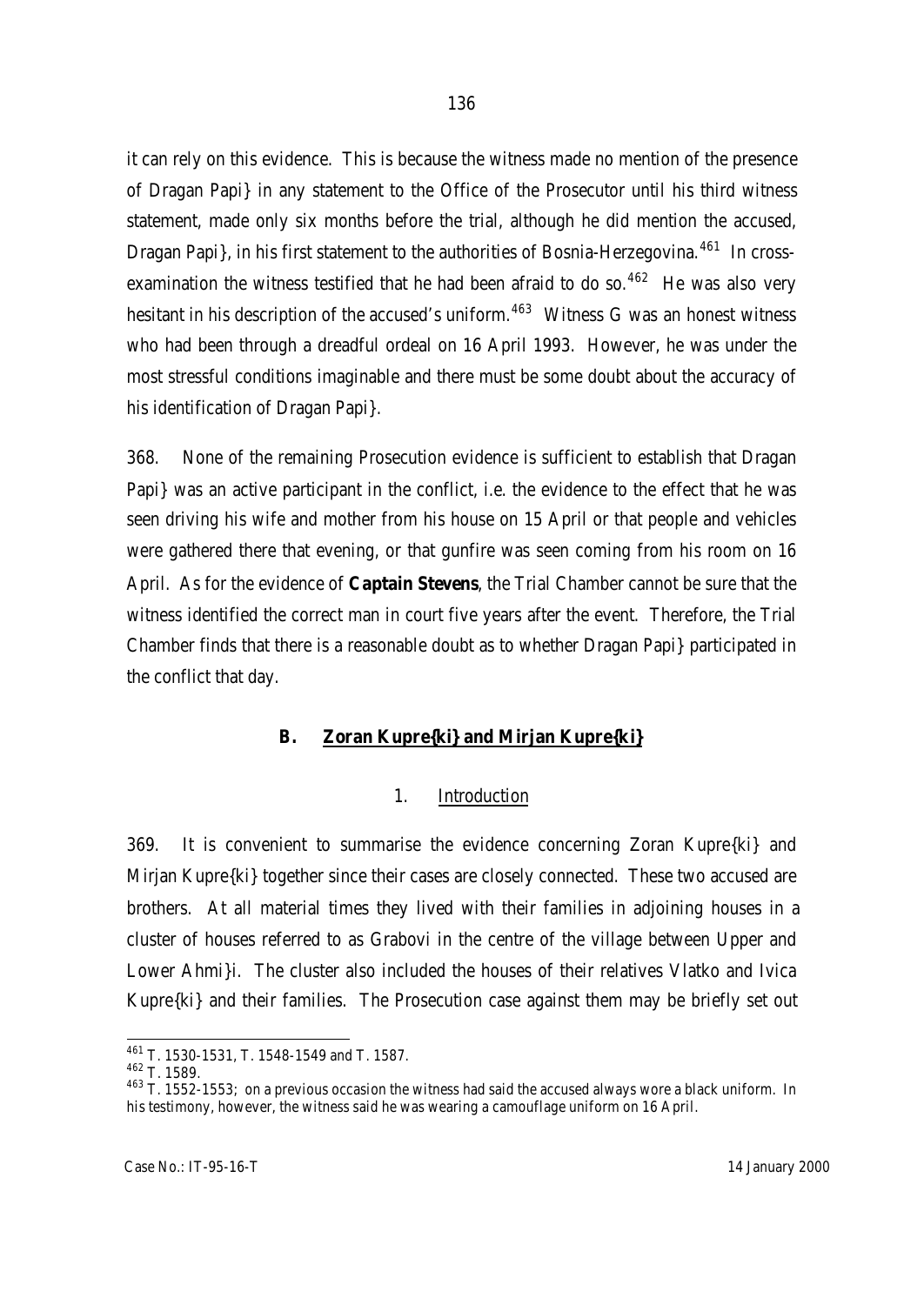it can rely on this evidence. This is because the witness made no mention of the presence of Dragan Papi} in any statement to the Office of the Prosecutor until his third witness statement, made only six months before the trial, although he did mention the accused, Dragan Papi}, in his first statement to the authorities of Bosnia-Herzegovina.<sup>461</sup> In crossexamination the witness testified that he had been afraid to do so.  $462$  He was also very hesitant in his description of the accused's uniform.<sup>463</sup> Witness G was an honest witness who had been through a dreadful ordeal on 16 April 1993. However, he was under the most stressful conditions imaginable and there must be some doubt about the accuracy of his identification of Dragan Papi}.

368. None of the remaining Prosecution evidence is sufficient to establish that Dragan Papi} was an active participant in the conflict, i.e. the evidence to the effect that he was seen driving his wife and mother from his house on 15 April or that people and vehicles were gathered there that evening, or that gunfire was seen coming from his room on 16 April. As for the evidence of **Captain Stevens**, the Trial Chamber cannot be sure that the witness identified the correct man in court five years after the event. Therefore, the Trial Chamber finds that there is a reasonable doubt as to whether Dragan Papi} participated in the conflict that day.

# **B. Zoran Kupre{ki} and Mirjan Kupre{ki}**

#### 1. Introduction

369. It is convenient to summarise the evidence concerning Zoran Kupre{ki} and Mirjan Kupre{ki} together since their cases are closely connected. These two accused are brothers. At all material times they lived with their families in adjoining houses in a cluster of houses referred to as Grabovi in the centre of the village between Upper and Lower Ahmi}i. The cluster also included the houses of their relatives Vlatko and Ivica Kupre{ki} and their families. The Prosecution case against them may be briefly set out

 $\overline{a}$ <sup>461</sup> T. 1530-1531, T. 1548-1549 and T. 1587.

<sup>462</sup> T. 1589.

 $463$  T. 1552-1553; on a previous occasion the witness had said the accused always wore a black uniform. In his testimony, however, the witness said he was wearing a camouflage uniform on 16 April.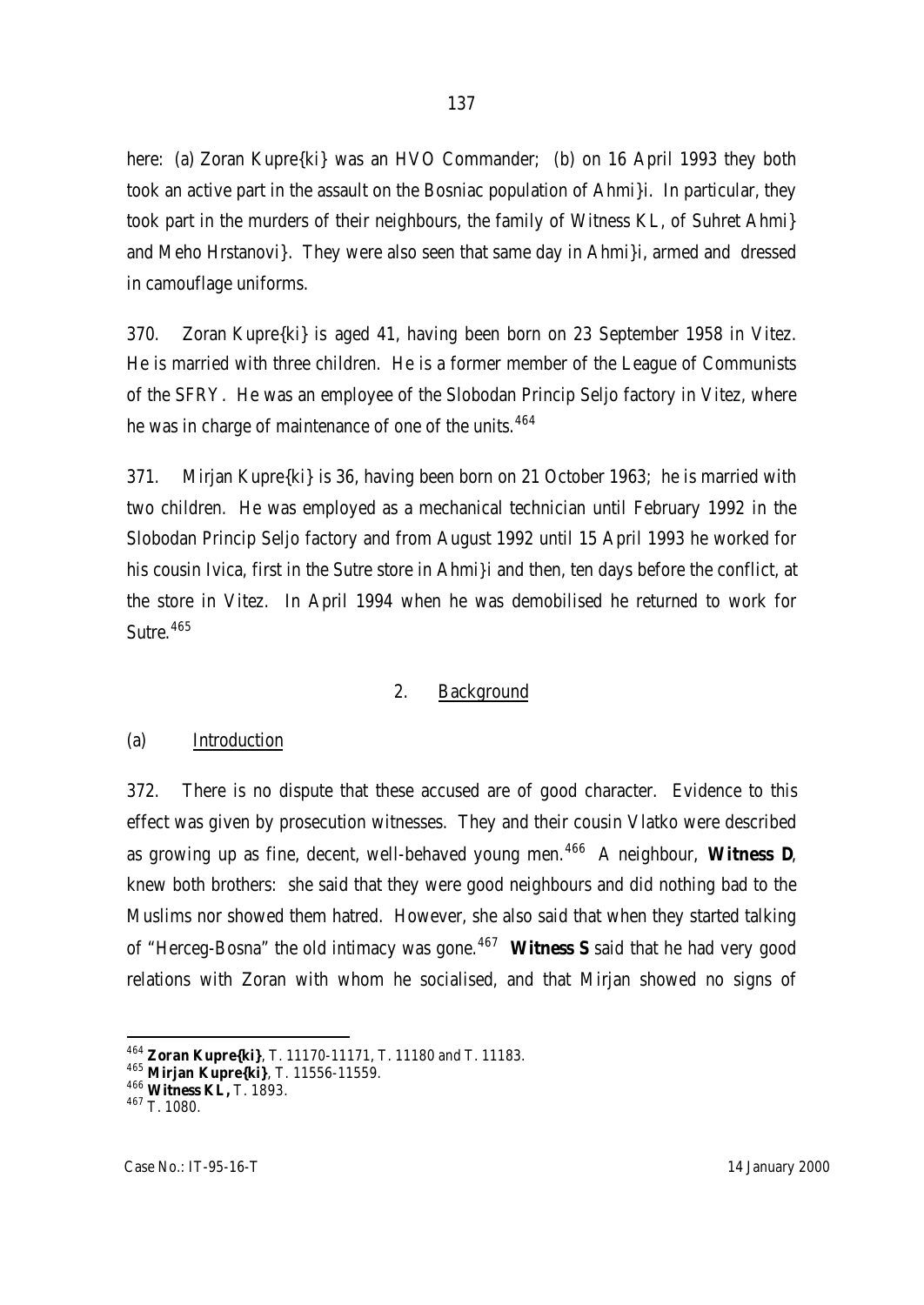here: (a) Zoran Kupre{ki} was an HVO Commander; (b) on 16 April 1993 they both took an active part in the assault on the Bosniac population of Ahmi}i. In particular, they took part in the murders of their neighbours, the family of Witness KL, of Suhret Ahmi} and Meho Hrstanovi}. They were also seen that same day in Ahmi}i, armed and dressed in camouflage uniforms.

370. Zoran Kupre{ki} is aged 41, having been born on 23 September 1958 in Vitez. He is married with three children. He is a former member of the League of Communists of the SFRY. He was an employee of the Slobodan Princip Seljo factory in Vitez, where he was in charge of maintenance of one of the units.<sup>464</sup>

371. Mirjan Kupre{ki} is 36, having been born on 21 October 1963; he is married with two children. He was employed as a mechanical technician until February 1992 in the Slobodan Princip Seljo factory and from August 1992 until 15 April 1993 he worked for his cousin Ivica, first in the Sutre store in Ahmi}i and then, ten days before the conflict, at the store in Vitez. In April 1994 when he was demobilised he returned to work for Sutre.<sup>465</sup>

# 2. Background

# (a) Introduction

372. There is no dispute that these accused are of good character. Evidence to this effect was given by prosecution witnesses. They and their cousin Vlatko were described as growing up as fine, decent, well-behaved young men.<sup>466</sup> A neighbour, **Witness D**, knew both brothers: she said that they were good neighbours and did nothing bad to the Muslims nor showed them hatred. However, she also said that when they started talking of "Herceg-Bosna" the old intimacy was gone.<sup>467</sup> Witness S said that he had very good relations with Zoran with whom he socialised, and that Mirjan showed no signs of

<sup>464</sup> **Zoran Kupre{ki}**, T. 11170-11171, T. 11180 and T. 11183.

<sup>465</sup> **Mirjan Kupre{ki}**, T. 11556-11559.

<sup>466</sup> **Witness KL,** T. 1893.

<sup>467</sup> T. 1080.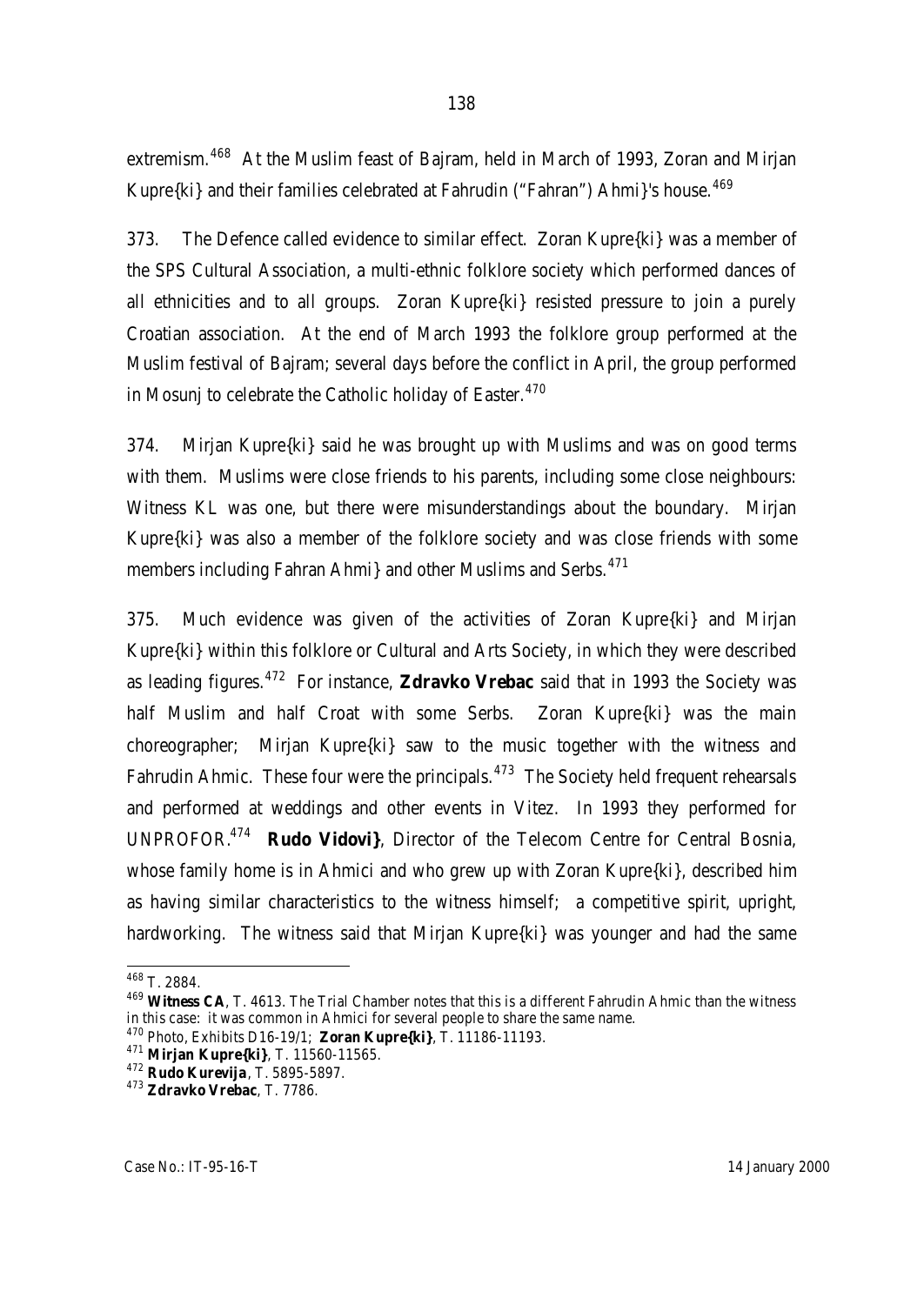extremism.<sup>468</sup> At the Muslim feast of Bajram, held in March of 1993, Zoran and Mirjan Kupre{ki} and their families celebrated at Fahrudin ("Fahran") Ahmi}'s house.<sup>469</sup>

373. The Defence called evidence to similar effect. Zoran Kupre{ki} was a member of the SPS Cultural Association, a multi-ethnic folklore society which performed dances of all ethnicities and to all groups. Zoran Kupre{ki} resisted pressure to join a purely Croatian association. At the end of March 1993 the folklore group performed at the Muslim festival of Bajram; several days before the conflict in April, the group performed in Mosuni to celebrate the Catholic holiday of Easter.<sup>470</sup>

374. Mirjan Kupre{ki} said he was brought up with Muslims and was on good terms with them. Muslims were close friends to his parents, including some close neighbours: Witness KL was one, but there were misunderstandings about the boundary. Mirjan Kupre{ki} was also a member of the folklore society and was close friends with some members including Fahran Ahmi } and other Muslims and Serbs.<sup>471</sup>

375. Much evidence was given of the activities of Zoran Kupre{ki} and Mirjan Kupre{ki} within this folklore or Cultural and Arts Society, in which they were described as leading figures.<sup>472</sup> For instance, **Zdravko Vrebac** said that in 1993 the Society was half Muslim and half Croat with some Serbs. Zoran Kupre{ki} was the main choreographer; Mirjan Kupre{ki} saw to the music together with the witness and Fahrudin Ahmic. These four were the principals. $473$  The Society held frequent rehearsals and performed at weddings and other events in Vitez. In 1993 they performed for UNPROFOR.<sup>474</sup> **Rudo Vidovi}**, Director of the Telecom Centre for Central Bosnia, whose family home is in Ahmici and who grew up with Zoran Kupre{ki}, described him as having similar characteristics to the witness himself; a competitive spirit, upright, hardworking. The witness said that Mirjan Kupre{ki} was younger and had the same

 $\overline{a}$ <sup>468</sup> T. 2884.

<sup>469</sup> **Witness CA**, T. 4613. The Trial Chamber notes that this is a different Fahrudin Ahmic than the witness in this case: it was common in Ahmici for several people to share the same name.

<sup>470</sup> Photo, Exhibits D16-19/1; **Zoran Kupre{ki}**, T. 11186-11193.

<sup>471</sup> **Mirjan Kupre{ki}**, T. 11560-11565.

<sup>472</sup> **Rudo Kurevija**, T. 5895-5897.

<sup>473</sup> **Zdravko Vrebac**, T. 7786.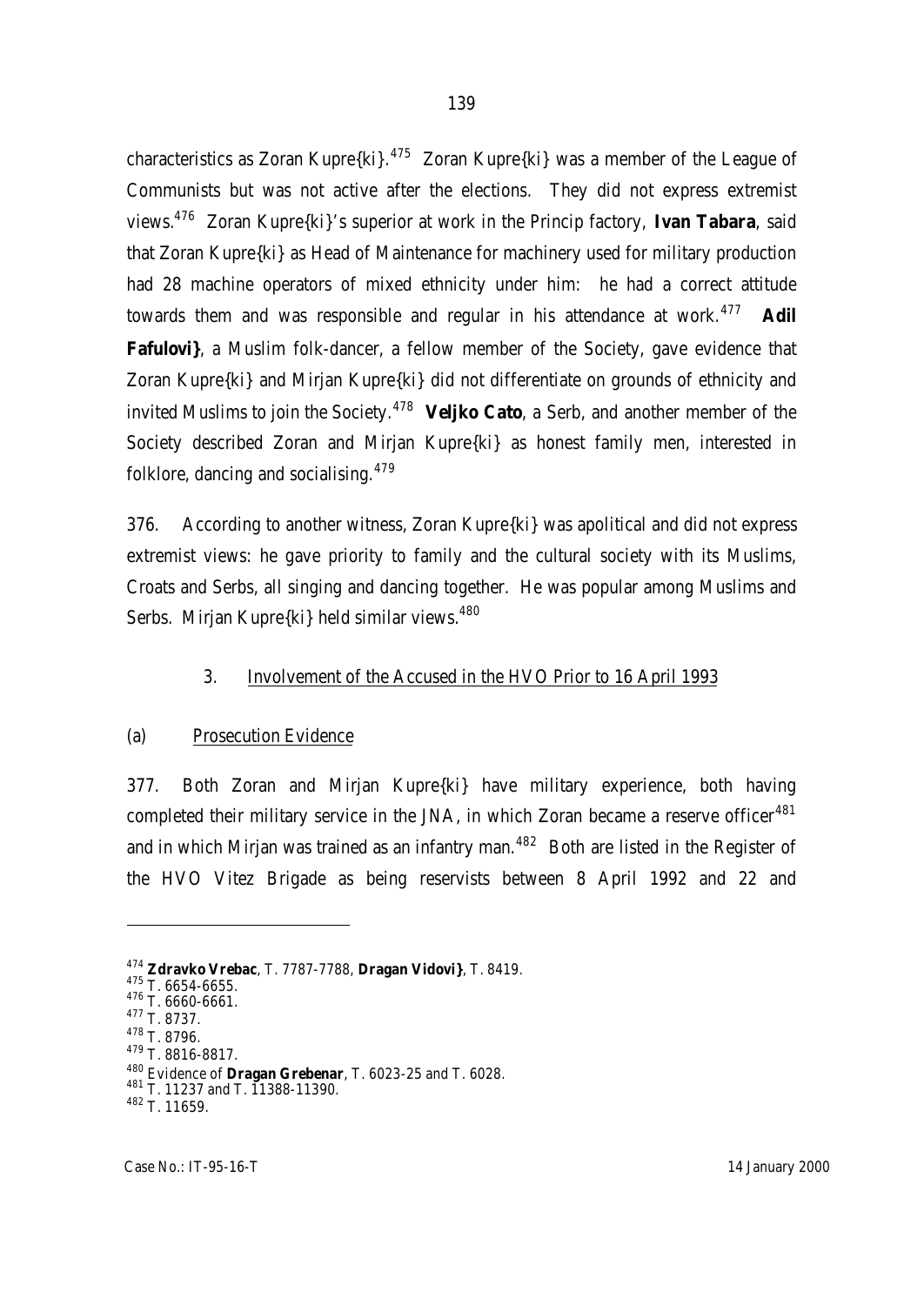characteristics as Zoran Kupre ${k}i$ .<sup>475</sup> Zoran Kupre ${k}i$ , was a member of the League of Communists but was not active after the elections. They did not express extremist views.<sup>476</sup> Zoran Kupre{ki}'s superior at work in the Princip factory, **Ivan Tabara**, said that Zoran Kupre{ki} as Head of Maintenance for machinery used for military production had 28 machine operators of mixed ethnicity under him: he had a correct attitude towards them and was responsible and regular in his attendance at work.<sup>477</sup> **Adil Fafulovi}**, a Muslim folk-dancer, a fellow member of the Society, gave evidence that Zoran Kupre{ki} and Mirjan Kupre{ki} did not differentiate on grounds of ethnicity and invited Muslims to join the Society.<sup>478</sup> Veljko Cato, a Serb, and another member of the Society described Zoran and Mirjan Kupre{ki} as honest family men, interested in folklore, dancing and socialising.<sup>479</sup>

376. According to another witness, Zoran Kupre{ki} was apolitical and did not express extremist views: he gave priority to family and the cultural society with its Muslims, Croats and Serbs, all singing and dancing together. He was popular among Muslims and Serbs. Mirjan Kupre{ki} held similar views.<sup>480</sup>

### 3. Involvement of the Accused in the HVO Prior to 16 April 1993

### (a) Prosecution Evidence

377. Both Zoran and Mirjan Kupre{ki} have military experience, both having completed their military service in the JNA, in which Zoran became a reserve officer<sup>481</sup> and in which Mirjan was trained as an infantry man.<sup>482</sup> Both are listed in the Register of the HVO Vitez Brigade as being reservists between 8 April 1992 and 22 and

l

<sup>478</sup> T. 8796.

<sup>474</sup> **Zdravko Vrebac**, T. 7787-7788, **Dragan Vidovi}**, T. 8419.

 $^{475}$  T. 6654-6655.

 $476$  T. 6660-6661.

<sup>477</sup> T. 8737.

<sup>479</sup> T. 8816-8817.

<sup>480</sup> Evidence of **Dragan Grebenar**, T. 6023-25 and T. 6028. <sup>481</sup> T. 11237 and T. 11388-11390.

<sup>482</sup> T. 11659.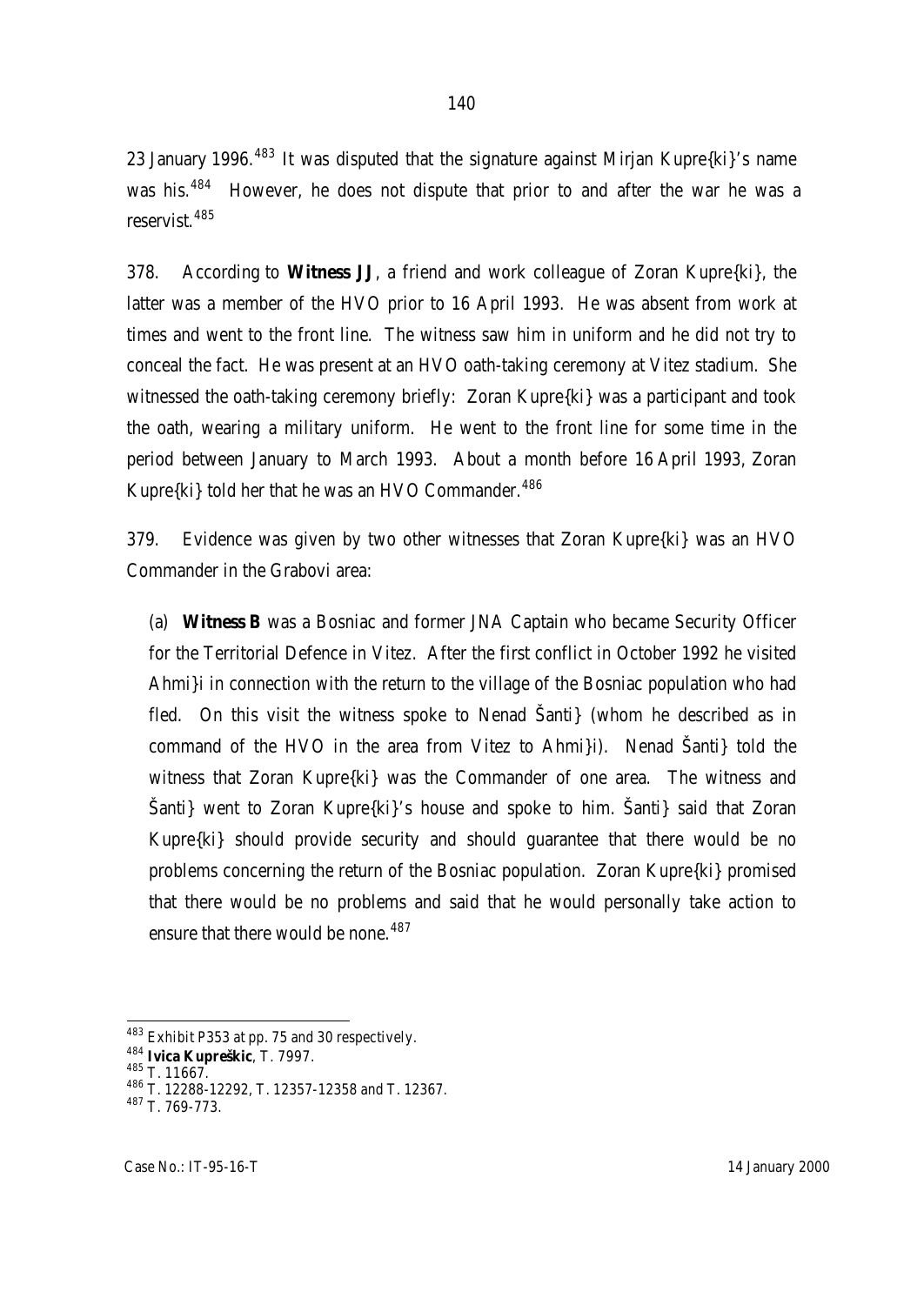23 January 1996.<sup>483</sup> It was disputed that the signature against Mirjan Kupre $\{ki\}'s$  name was his.<sup>484</sup> However, he does not dispute that prior to and after the war he was a reservist.<sup>485</sup>

378. According to **Witness JJ**, a friend and work colleague of Zoran Kupre{ki}, the latter was a member of the HVO prior to 16 April 1993. He was absent from work at times and went to the front line. The witness saw him in uniform and he did not try to conceal the fact. He was present at an HVO oath-taking ceremony at Vitez stadium. She witnessed the oath-taking ceremony briefly: Zoran Kupre{ki} was a participant and took the oath, wearing a military uniform. He went to the front line for some time in the period between January to March 1993. About a month before 16 April 1993, Zoran Kupre{ki} told her that he was an HVO Commander.<sup>486</sup>

379. Evidence was given by two other witnesses that Zoran Kupre{ki} was an HVO Commander in the Grabovi area:

(a) **Witness B** was a Bosniac and former JNA Captain who became Security Officer for the Territorial Defence in Vitez. After the first conflict in October 1992 he visited Ahmi}i in connection with the return to the village of the Bosniac population who had fled. On this visit the witness spoke to Nenad Šanti} (whom he described as in command of the HVO in the area from Vitez to Ahmi}i). Nenad Šanti} told the witness that Zoran Kupre{ki} was the Commander of one area. The witness and Šanti} went to Zoran Kupre{ki}'s house and spoke to him. Šanti} said that Zoran Kupre{ki} should provide security and should guarantee that there would be no problems concerning the return of the Bosniac population. Zoran Kupre{ki} promised that there would be no problems and said that he would personally take action to ensure that there would be none.<sup>487</sup>

 $\overline{a}$ 

 $483$  Exhibit P353 at pp. 75 and 30 respectively.

<sup>484</sup> **Ivica Kupreškic**, T. 7997.

 $485$  T. 11667.

<sup>486</sup> T. 12288-12292, T. 12357-12358 and T. 12367.

<sup>487</sup> T. 769-773.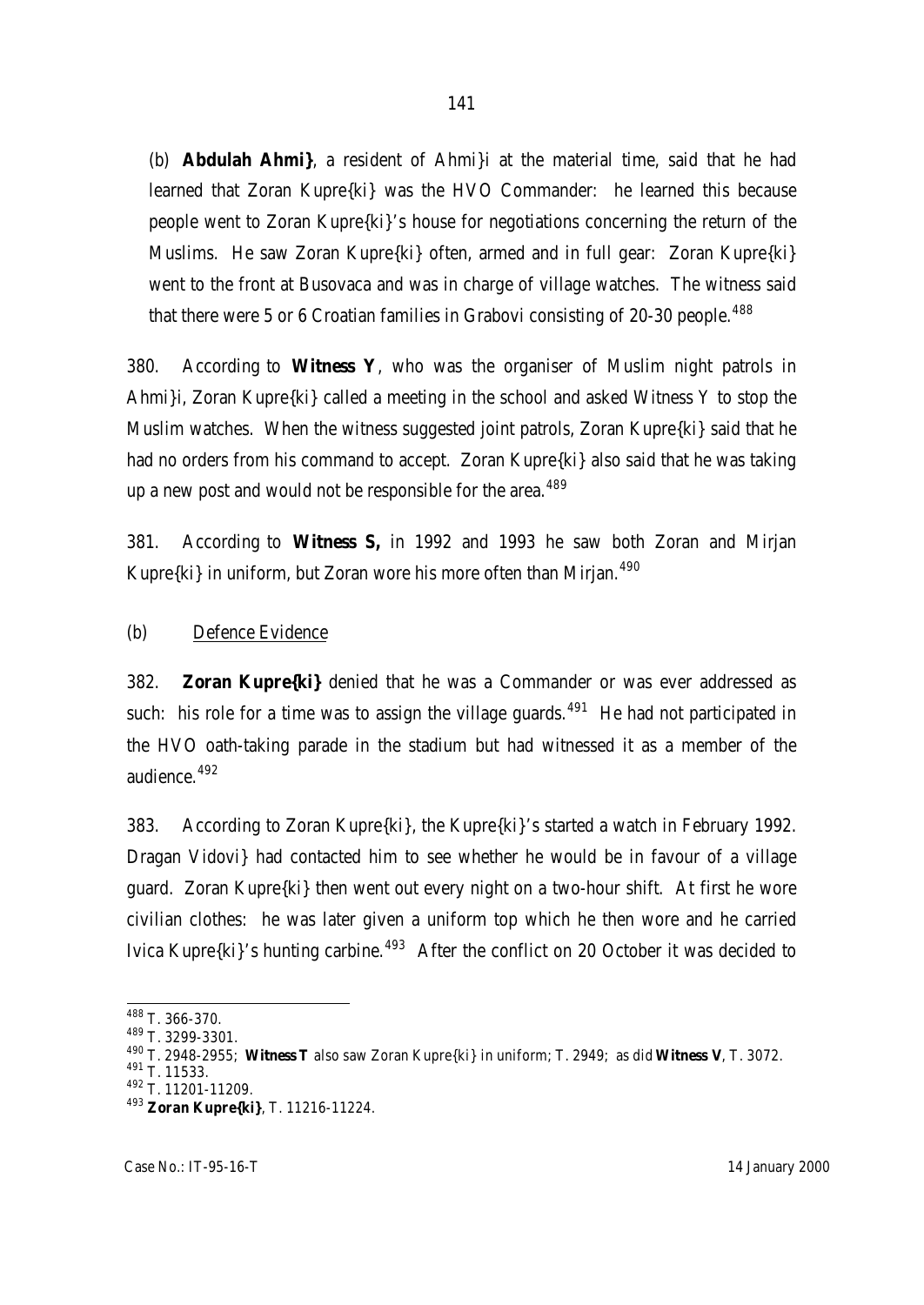(b) **Abdulah Ahmi}**, a resident of Ahmi}i at the material time, said that he had learned that Zoran Kupre{ki} was the HVO Commander: he learned this because people went to Zoran Kupre{ki}'s house for negotiations concerning the return of the Muslims. He saw Zoran Kupre{ki} often, armed and in full gear: Zoran Kupre{ki} went to the front at Busovaca and was in charge of village watches. The witness said that there were 5 or 6 Croatian families in Grabovi consisting of 20-30 people.<sup>488</sup>

380. According to **Witness Y**, who was the organiser of Muslim night patrols in Ahmi}i, Zoran Kupre{ki} called a meeting in the school and asked Witness Y to stop the Muslim watches. When the witness suggested joint patrols, Zoran Kupre{ki} said that he had no orders from his command to accept. Zoran Kupre{ki} also said that he was taking up a new post and would not be responsible for the area.<sup>489</sup>

381. According to **Witness S,** in 1992 and 1993 he saw both Zoran and Mirjan Kupre $\{ki\}$  in uniform, but Zoran wore his more often than Mirjan.<sup>490</sup>

### (b) Defence Evidence

382. **Zoran Kupre{ki}** denied that he was a Commander or was ever addressed as such: his role for a time was to assign the village guards.<sup>491</sup> He had not participated in the HVO oath-taking parade in the stadium but had witnessed it as a member of the audience.<sup>492</sup>

383. According to Zoran Kupre{ki}, the Kupre{ki}'s started a watch in February 1992. Dragan Vidovi} had contacted him to see whether he would be in favour of a village guard. Zoran Kupre{ki} then went out every night on a two-hour shift. At first he wore civilian clothes: he was later given a uniform top which he then wore and he carried Ivica Kupre{ki}'s hunting carbine.<sup>493</sup> After the conflict on 20 October it was decided to

 $\overline{a}$ 

<sup>488</sup> T. 366-370.

<sup>489</sup> T. 3299-3301.

<sup>490</sup> T. 2948-2955; **Witness T** also saw Zoran Kupre{ki} in uniform; T. 2949; as did **Witness V**, T. 3072.

<sup>491</sup> T. 11533.

<sup>492</sup> T. 11201-11209.

<sup>493</sup> **Zoran Kupre{ki}**, T. 11216-11224.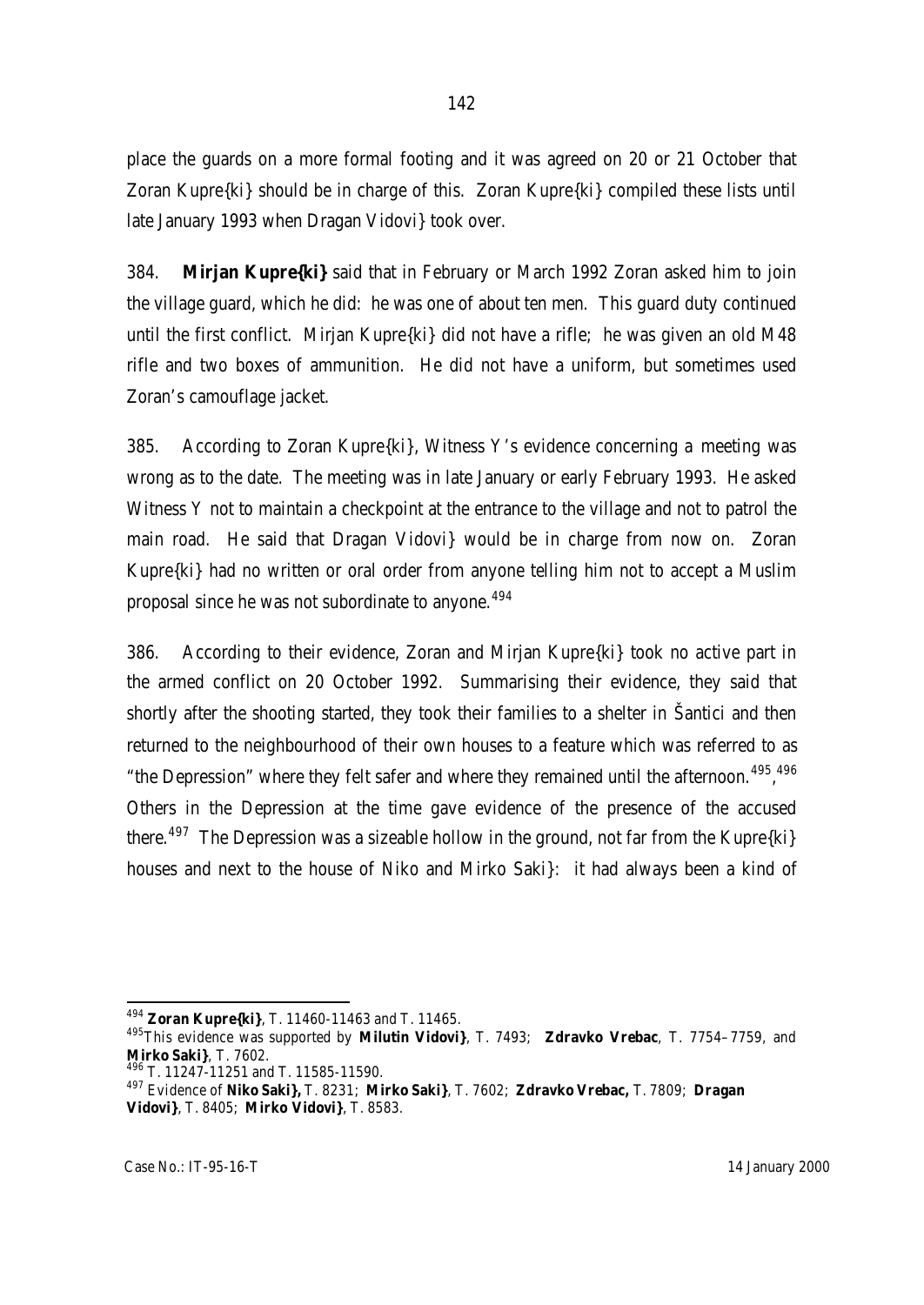place the guards on a more formal footing and it was agreed on 20 or 21 October that Zoran Kupre{ki} should be in charge of this. Zoran Kupre{ki} compiled these lists until late January 1993 when Dragan Vidovi} took over.

384. **Mirjan Kupre{ki}** said that in February or March 1992 Zoran asked him to join the village guard, which he did: he was one of about ten men*.* This guard duty continued until the first conflict. Mirjan Kupre{ki} did not have a rifle; he was given an old M48 rifle and two boxes of ammunition. He did not have a uniform, but sometimes used Zoran's camouflage jacket.

385. According to Zoran Kupre{ki}, Witness Y's evidence concerning a meeting was wrong as to the date. The meeting was in late January or early February 1993. He asked Witness Y not to maintain a checkpoint at the entrance to the village and not to patrol the main road. He said that Dragan Vidovi} would be in charge from now on. Zoran Kupre{ki} had no written or oral order from anyone telling him not to accept a Muslim proposal since he was not subordinate to anyone.<sup>494</sup>

386. According to their evidence, Zoran and Mirjan Kupre{ki} took no active part in the armed conflict on 20 October 1992. Summarising their evidence, they said that shortly after the shooting started, they took their families to a shelter in Šantici and then returned to the neighbourhood of their own houses to a feature which was referred to as "the Depression" where they felt safer and where they remained until the afternoon.<sup>495</sup>,<sup>496</sup> Others in the Depression at the time gave evidence of the presence of the accused there.<sup>497</sup> The Depression was a sizeable hollow in the ground, not far from the Kupre $\{ki\}$ houses and next to the house of Niko and Mirko Saki}: it had always been a kind of

l <sup>494</sup> **Zoran Kupre{ki}**, T. 11460-11463 and T. 11465.

<sup>495</sup>This evidence was supported by **Milutin Vidovi}**, T. 7493; **Zdravko Vrebac**, T. 7754–7759, and **Mirko Saki}**, T. 7602.

T. 11247-11251 and T. 11585-11590.

<sup>497</sup> Evidence of **Niko Saki},** T. 8231; **Mirko Saki}**, T. 7602; **Zdravko Vrebac,** T. 7809; **Dragan Vidovi}**, T. 8405; **Mirko Vidovi}**, T. 8583.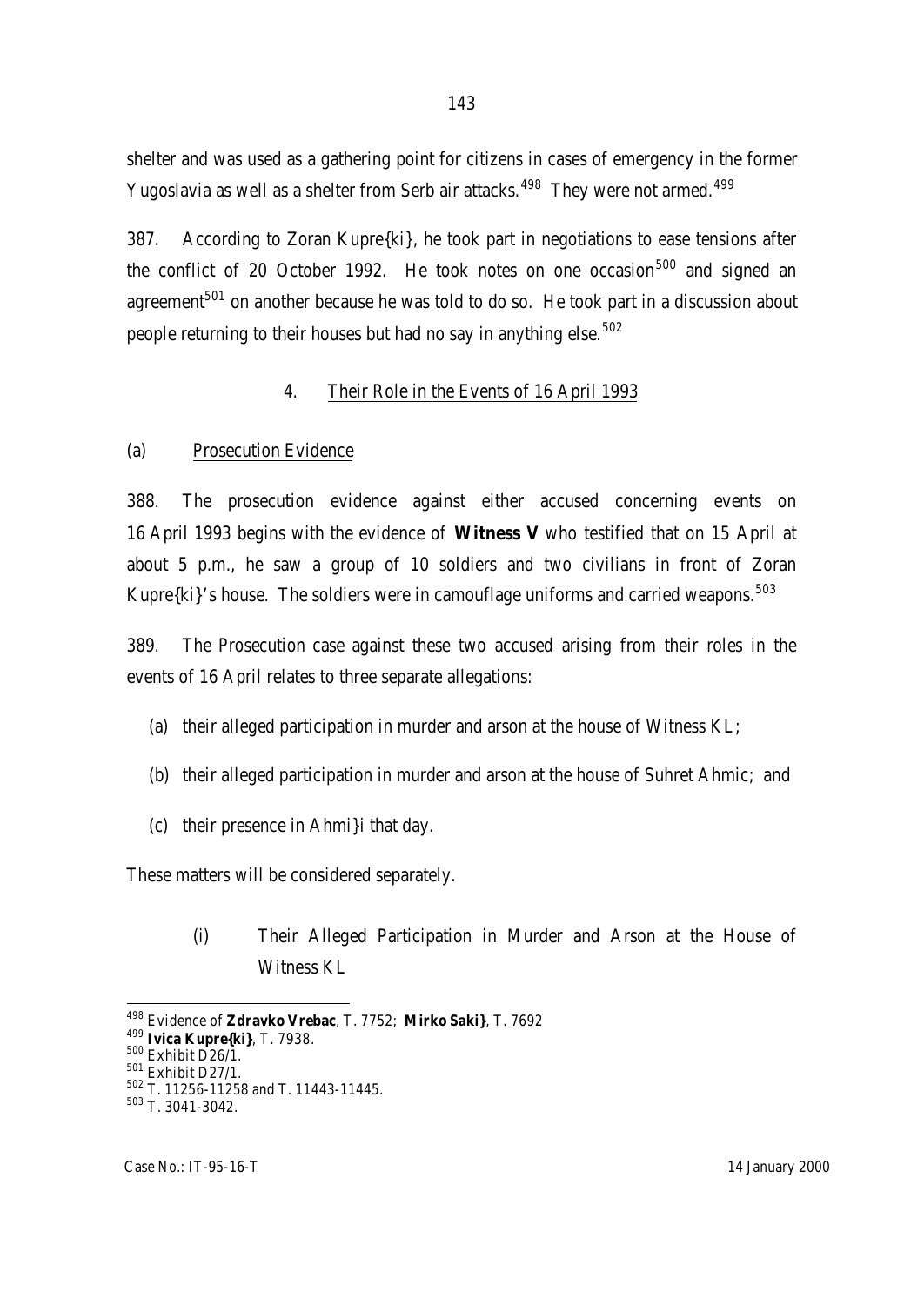shelter and was used as a gathering point for citizens in cases of emergency in the former Yugoslavia as well as a shelter from Serb air attacks.<sup>498</sup> They were not armed.<sup>499</sup>

387. According to Zoran Kupre{ki}, he took part in negotiations to ease tensions after the conflict of 20 October 1992. He took notes on one occasion<sup>500</sup> and signed an agreement<sup>501</sup> on another because he was told to do so. He took part in a discussion about people returning to their houses but had no say in anything else.<sup>502</sup>

## 4. Their Role in the Events of 16 April 1993

### (a) Prosecution Evidence

388. The prosecution evidence against either accused concerning events on 16 April 1993 begins with the evidence of **Witness V** who testified that on 15 April at about 5 p.m., he saw a group of 10 soldiers and two civilians in front of Zoran Kupre{ki}'s house. The soldiers were in camouflage uniforms and carried weapons.<sup>503</sup>

389. The Prosecution case against these two accused arising from their roles in the events of 16 April relates to three separate allegations:

- (a) their alleged participation in murder and arson at the house of Witness KL;
- (b) their alleged participation in murder and arson at the house of Suhret Ahmic; and
- (c) their presence in Ahmi}i that day.

These matters will be considered separately.

(i) Their Alleged Participation in Murder and Arson at the House of Witness KL

<sup>498</sup> Evidence of **Zdravko Vrebac**, T. 7752; **Mirko Saki}**, T. 7692

<sup>499</sup> **Ivica Kupre{ki}**, T. 7938.

<sup>500</sup> Exhibit D26/1.

 $^{501}$  Exhibit D27/1.

<sup>502</sup> T. 11256-11258 and T. 11443-11445.

<sup>503</sup> T. 3041-3042.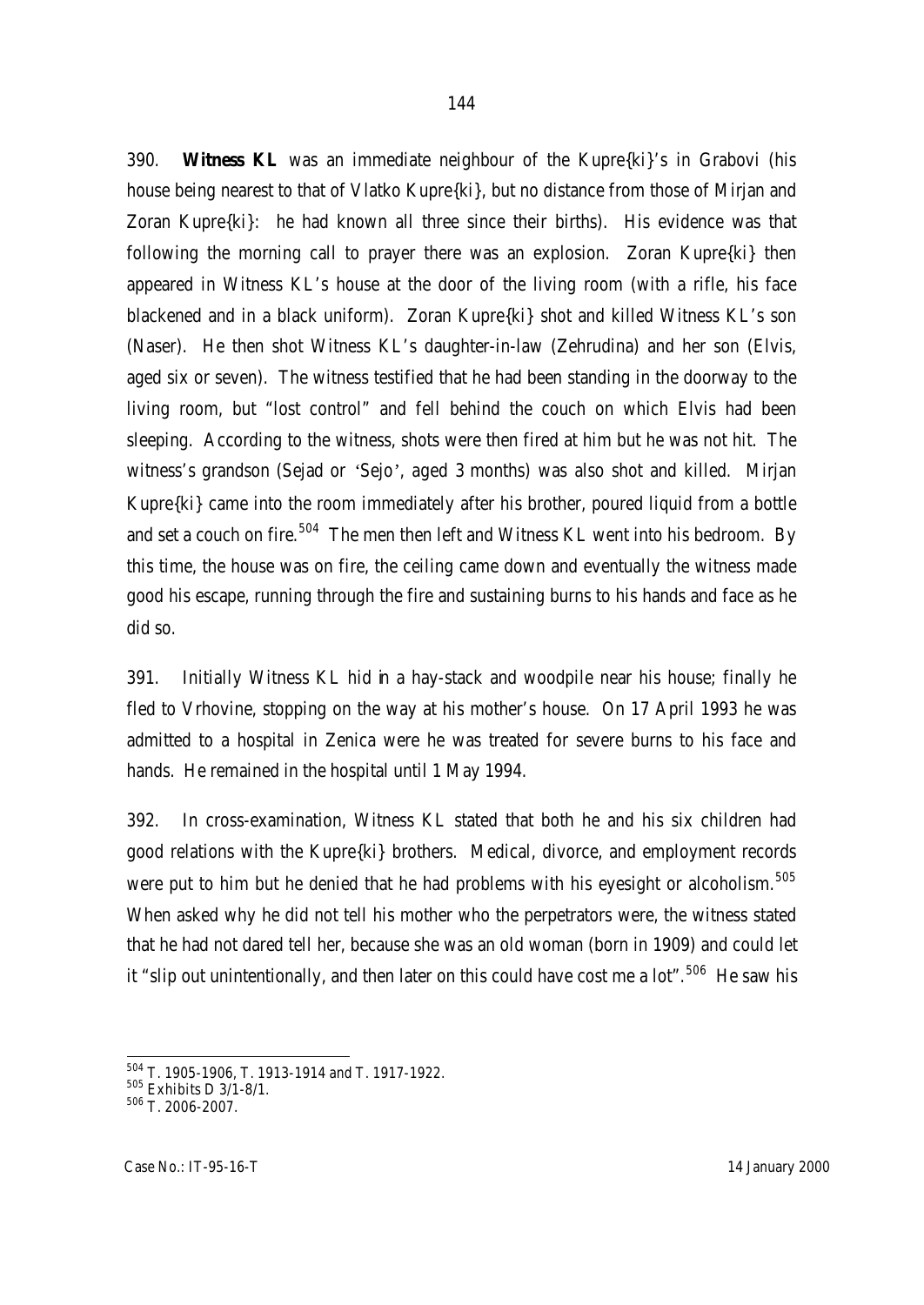390. **Witness KL** was an immediate neighbour of the Kupre{ki}'s in Grabovi (his house being nearest to that of Vlatko Kupre{ki}, but no distance from those of Mirjan and Zoran Kupre{ki}: he had known all three since their births). His evidence was that following the morning call to prayer there was an explosion. Zoran Kupre{ki} then appeared in Witness KL's house at the door of the living room (with a rifle, his face blackened and in a black uniform). Zoran Kupre{ki} shot and killed Witness KL's son (Naser). He then shot Witness KL's daughter-in-law (Zehrudina) and her son (Elvis, aged six or seven). The witness testified that he had been standing in the doorway to the living room, but "lost control" and fell behind the couch on which Elvis had been sleeping. According to the witness, shots were then fired at him but he was not hit. The witness's grandson (Sejad or 'Sejo', aged 3 months) was also shot and killed. Mirjan Kupre{ki} came into the room immediately after his brother, poured liquid from a bottle and set a couch on fire.<sup>504</sup> The men then left and Witness KL went into his bedroom. By this time, the house was on fire, the ceiling came down and eventually the witness made good his escape, running through the fire and sustaining burns to his hands and face as he did so.

391. Initially Witness KL hid in a hay-stack and woodpile near his house; finally he fled to Vrhovine, stopping on the way at his mother's house. On 17 April 1993 he was admitted to a hospital in Zenica were he was treated for severe burns to his face and hands. He remained in the hospital until 1 May 1994.

392. In cross-examination, Witness KL stated that both he and his six children had good relations with the Kupre{ki} brothers. Medical, divorce, and employment records were put to him but he denied that he had problems with his eyesight or alcoholism.<sup>505</sup> When asked why he did not tell his mother who the perpetrators were, the witness stated that he had not dared tell her, because she was an old woman (born in 1909) and could let it "slip out unintentionally, and then later on this could have cost me a lot".<sup>506</sup> He saw his

 $\overline{a}$ 

 $\frac{504}{1000}$  T. 1905-1906, T. 1913-1914 and T. 1917-1922.

<sup>505</sup> Exhibits D 3/1-8/1.

<sup>506</sup> T. 2006-2007.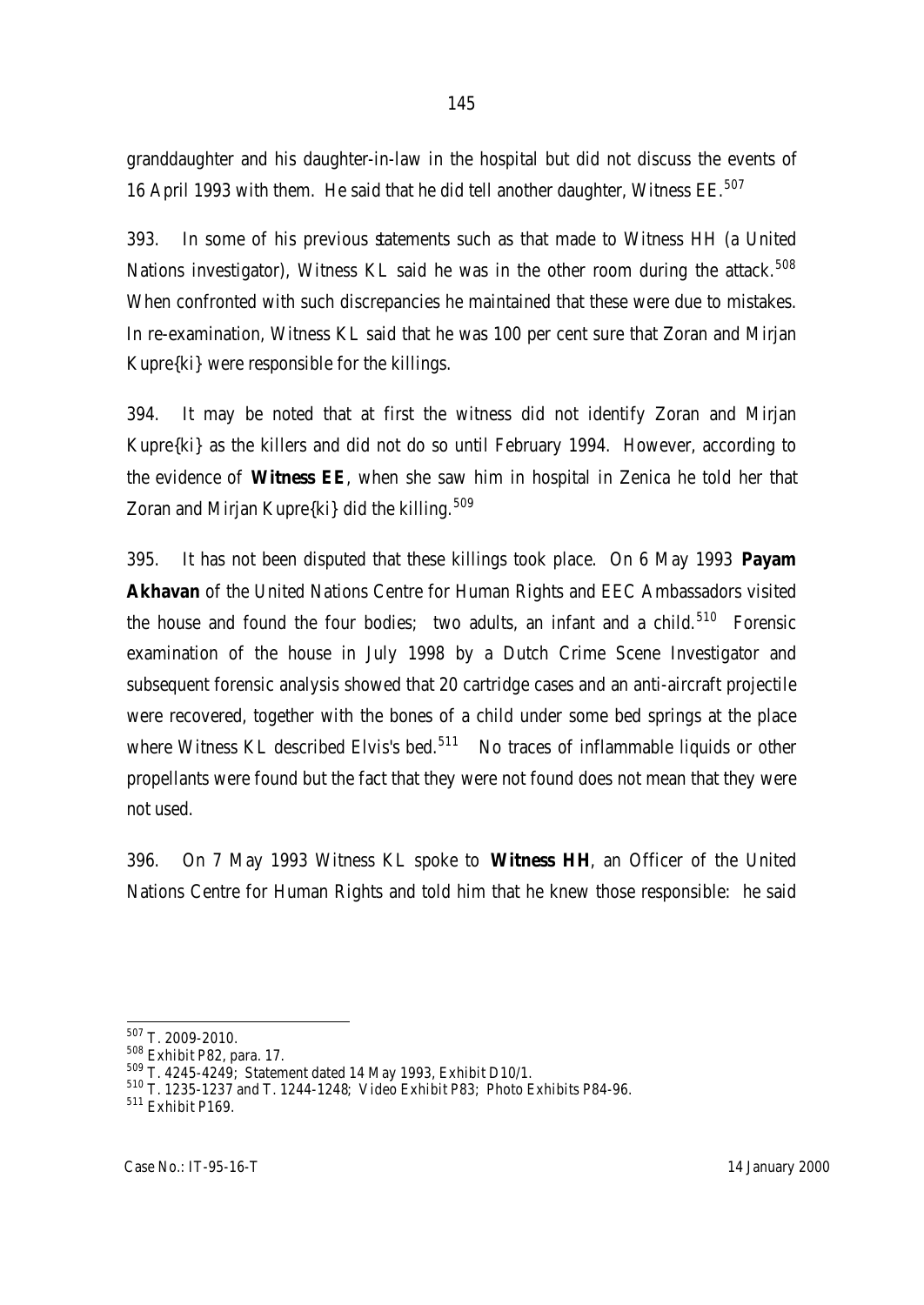granddaughter and his daughter-in-law in the hospital but did not discuss the events of 16 April 1993 with them. He said that he did tell another daughter, Witness EE.<sup>507</sup>

393. In some of his previous statements such as that made to Witness HH (a United Nations investigator), Witness KL said he was in the other room during the attack.<sup>508</sup> When confronted with such discrepancies he maintained that these were due to mistakes. In re-examination, Witness KL said that he was 100 per cent sure that Zoran and Mirjan Kupre{ki} were responsible for the killings.

394. It may be noted that at first the witness did not identify Zoran and Mirjan Kupre{ki} as the killers and did not do so until February 1994. However, according to the evidence of **Witness EE**, when she saw him in hospital in Zenica he told her that Zoran and Mirjan Kupre{ki} did the killing.<sup>509</sup>

395. It has not been disputed that these killings took place. On 6 May 1993 **Payam Akhavan** of the United Nations Centre for Human Rights and EEC Ambassadors visited the house and found the four bodies; two adults, an infant and a child.<sup>510</sup> Forensic examination of the house in July 1998 by a Dutch Crime Scene Investigator and subsequent forensic analysis showed that 20 cartridge cases and an anti-aircraft projectile were recovered, together with the bones of a child under some bed springs at the place where Witness KL described Elvis's bed.<sup>511</sup> No traces of inflammable liquids or other propellants were found but the fact that they were not found does not mean that they were not used.

396. On 7 May 1993 Witness KL spoke to **Witness HH**, an Officer of the United Nations Centre for Human Rights and told him that he knew those responsible: he said

 $\overline{a}$ <sup>507</sup> T. 2009-2010.

<sup>508</sup> Exhibit P82, para. 17.

 $^{509}$  T. 4245-4249; Statement dated 14 May 1993, Exhibit D10/1.

 $^{510}$  T. 1235-1237 and T. 1244-1248; Video Exhibit P83; Photo Exhibits P84-96.

<sup>511</sup> Exhibit P169.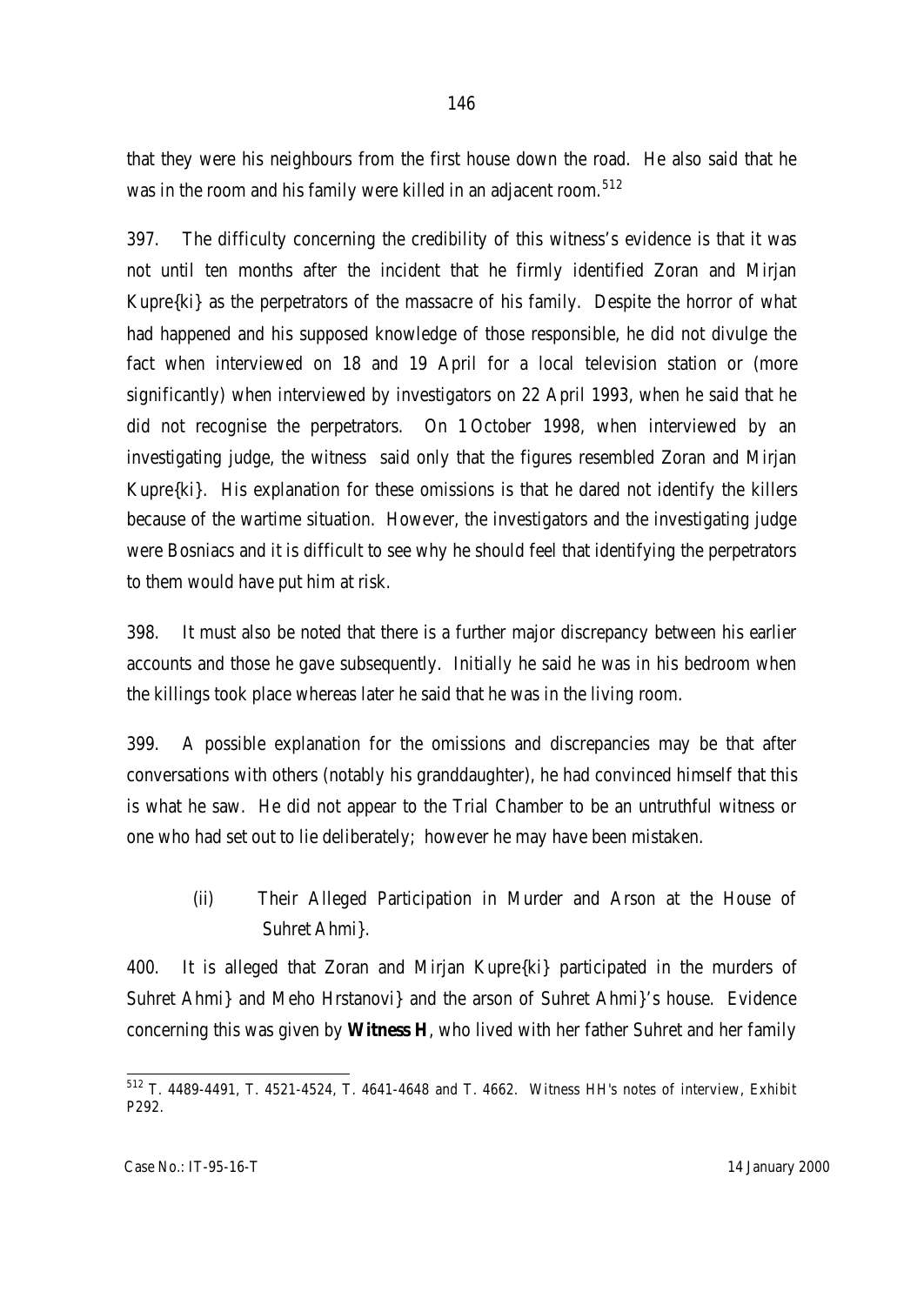that they were his neighbours from the first house down the road. He also said that he was in the room and his family were killed in an adjacent room.<sup>512</sup>

397. The difficulty concerning the credibility of this witness's evidence is that it was not until ten months after the incident that he firmly identified Zoran and Mirjan Kupre{ki} as the perpetrators of the massacre of his family. Despite the horror of what had happened and his supposed knowledge of those responsible, he did not divulge the fact when interviewed on 18 and 19 April for a local television station or (more significantly) when interviewed by investigators on 22 April 1993, when he said that he did not recognise the perpetrators. On 1 October 1998, when interviewed by an investigating judge, the witness said only that the figures resembled Zoran and Mirjan Kupre{ki}. His explanation for these omissions is that he dared not identify the killers because of the wartime situation. However, the investigators and the investigating judge were Bosniacs and it is difficult to see why he should feel that identifying the perpetrators to them would have put him at risk.

398. It must also be noted that there is a further major discrepancy between his earlier accounts and those he gave subsequently. Initially he said he was in his bedroom when the killings took place whereas later he said that he was in the living room.

399. A possible explanation for the omissions and discrepancies may be that after conversations with others (notably his granddaughter), he had convinced himself that this is what he saw. He did not appear to the Trial Chamber to be an untruthful witness or one who had set out to lie deliberately; however he may have been mistaken.

(ii) Their Alleged Participation in Murder and Arson at the House of Suhret Ahmi}.

400. It is alleged that Zoran and Mirjan Kupre{ki} participated in the murders of Suhret Ahmi} and Meho Hrstanovi} and the arson of Suhret Ahmi}'s house. Evidence concerning this was given by **Witness H**, who lived with her father Suhret and her family

 $\overline{a}$  $512$  T. 4489-4491, T. 4521-4524, T. 4641-4648 and T. 4662. Witness HH's notes of interview, Exhibit P292.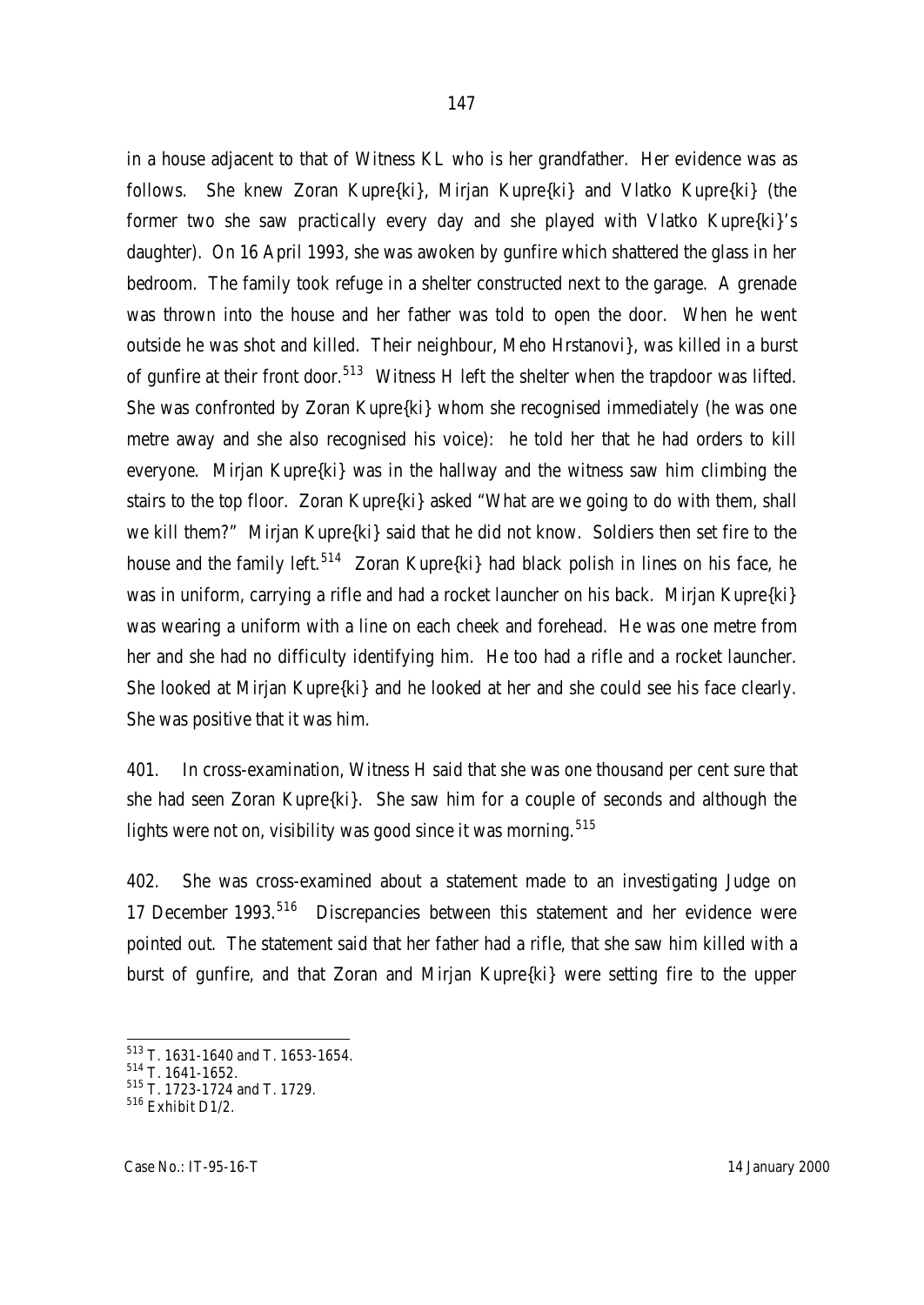in a house adjacent to that of Witness KL who is her grandfather. Her evidence was as follows. She knew Zoran Kupre{ki}, Mirjan Kupre{ki} and Vlatko Kupre{ki} (the former two she saw practically every day and she played with Vlatko Kupre{ki}'s daughter). On 16 April 1993, she was awoken by gunfire which shattered the glass in her bedroom. The family took refuge in a shelter constructed next to the garage. A grenade was thrown into the house and her father was told to open the door. When he went outside he was shot and killed. Their neighbour, Meho Hrstanovi}, was killed in a burst of gunfire at their front door.<sup>513</sup> Witness H left the shelter when the trapdoor was lifted. She was confronted by Zoran Kupre{ki} whom she recognised immediately (he was one metre away and she also recognised his voice): he told her that he had orders to kill everyone. Mirjan Kupre{ki} was in the hallway and the witness saw him climbing the stairs to the top floor. Zoran Kupre{ki} asked "What are we going to do with them, shall we kill them?" Mirjan Kupre{ki} said that he did not know. Soldiers then set fire to the house and the family left.<sup>514</sup> Zoran Kupre $\{ki\}$  had black polish in lines on his face, he was in uniform, carrying a rifle and had a rocket launcher on his back. Mirjan Kupre{ki} was wearing a uniform with a line on each cheek and forehead. He was one metre from her and she had no difficulty identifying him. He too had a rifle and a rocket launcher. She looked at Mirjan Kupre{ki} and he looked at her and she could see his face clearly. She was positive that it was him.

401. In cross-examination, Witness H said that she was one thousand per cent sure that she had seen Zoran Kupre{ki}. She saw him for a couple of seconds and although the lights were not on, visibility was good since it was morning.<sup>515</sup>

402. She was cross-examined about a statement made to an investigating Judge on 17 December 1993.<sup>516</sup> Discrepancies between this statement and her evidence were pointed out. The statement said that her father had a rifle, that she saw him killed with a burst of gunfire, and that Zoran and Mirjan Kupre{ki} were setting fire to the upper

Case No.: IT-95-16-T 14 January 2000

 $\overline{a}$ <sup>513</sup> T. 1631-1640 and T. 1653-1654.

 $\frac{514}{1}$  T. 1641-1652.

<sup>515</sup> T. 1723-1724 and T. 1729.

<sup>516</sup> Exhibit D1/2.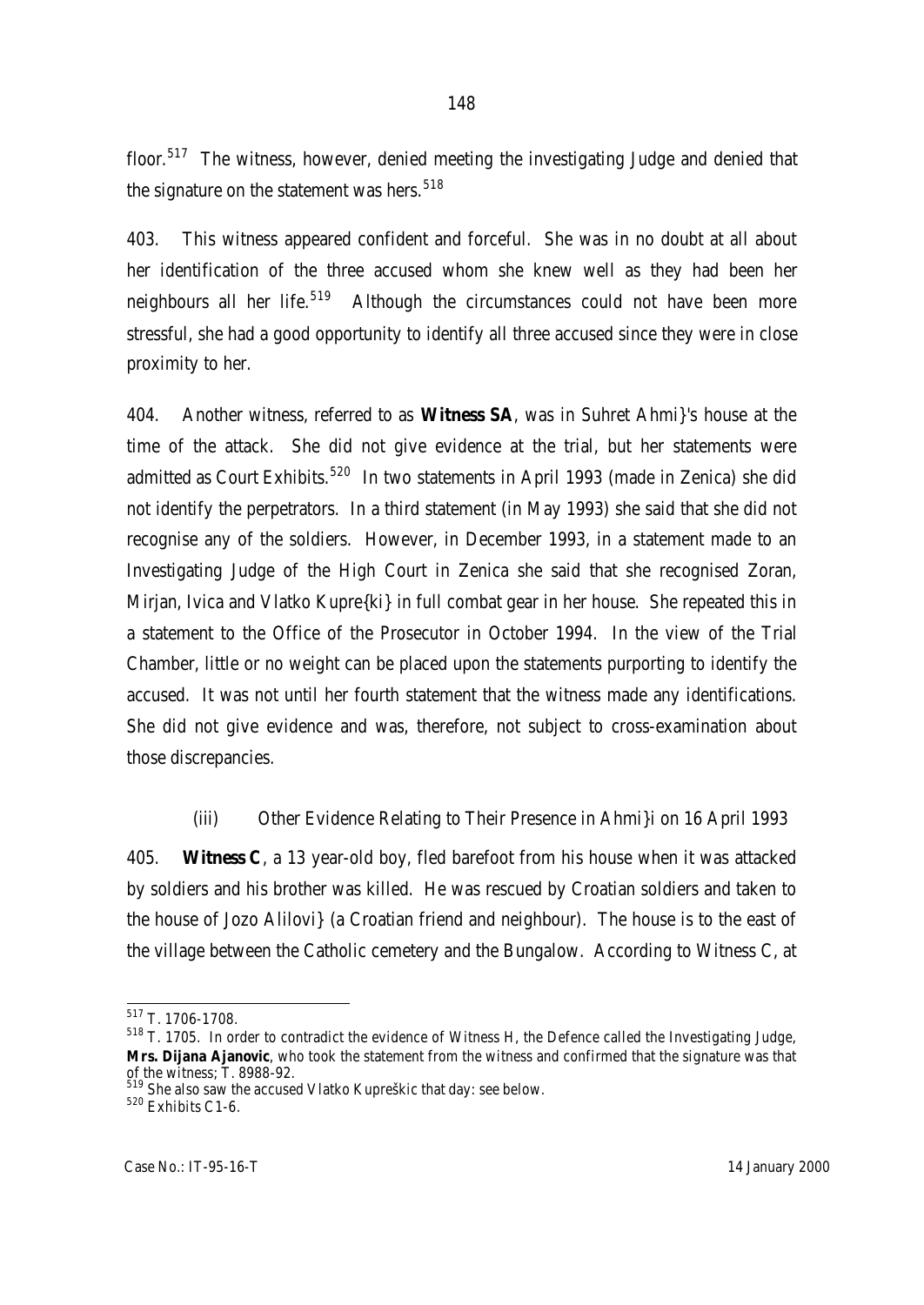floor.<sup>517</sup> The witness, however, denied meeting the investigating Judge and denied that the signature on the statement was hers.  $518$ 

403. This witness appeared confident and forceful. She was in no doubt at all about her identification of the three accused whom she knew well as they had been her neighbours all her life.<sup>519</sup> Although the circumstances could not have been more stressful, she had a good opportunity to identify all three accused since they were in close proximity to her.

404. Another witness, referred to as **Witness SA**, was in Suhret Ahmi}'s house at the time of the attack. She did not give evidence at the trial, but her statements were admitted as Court Exhibits.<sup>520</sup> In two statements in April 1993 (made in Zenica) she did not identify the perpetrators. In a third statement (in May 1993) she said that she did not recognise any of the soldiers. However, in December 1993, in a statement made to an Investigating Judge of the High Court in Zenica she said that she recognised Zoran, Mirjan, Ivica and Vlatko Kupre{ki} in full combat gear in her house. She repeated this in a statement to the Office of the Prosecutor in October 1994. In the view of the Trial Chamber, little or no weight can be placed upon the statements purporting to identify the accused. It was not until her fourth statement that the witness made any identifications. She did not give evidence and was, therefore, not subject to cross-examination about those discrepancies.

(iii) Other Evidence Relating to Their Presence in Ahmi}i on 16 April 1993

405. **Witness C**, a 13 year-old boy, fled barefoot from his house when it was attacked by soldiers and his brother was killed. He was rescued by Croatian soldiers and taken to the house of Jozo Alilovi} (a Croatian friend and neighbour). The house is to the east of the village between the Catholic cemetery and the Bungalow. According to Witness C, at

 $\overline{a}$ <sup>517</sup> T. 1706-1708.

<sup>&</sup>lt;sup>518</sup> T. 1700-1700.<br><sup>518</sup> T. 1705. In order to contradict the evidence of Witness H, the Defence called the Investigating Judge, **Mrs. Dijana Ajanovic**, who took the statement from the witness and confirmed that the signature was that of the witness; T. 8988-92.

<sup>&</sup>lt;sup>519</sup> She also saw the accused Vlatko Kupreškic that day: see below.

<sup>&</sup>lt;sup>520</sup> Exhibits C1-6.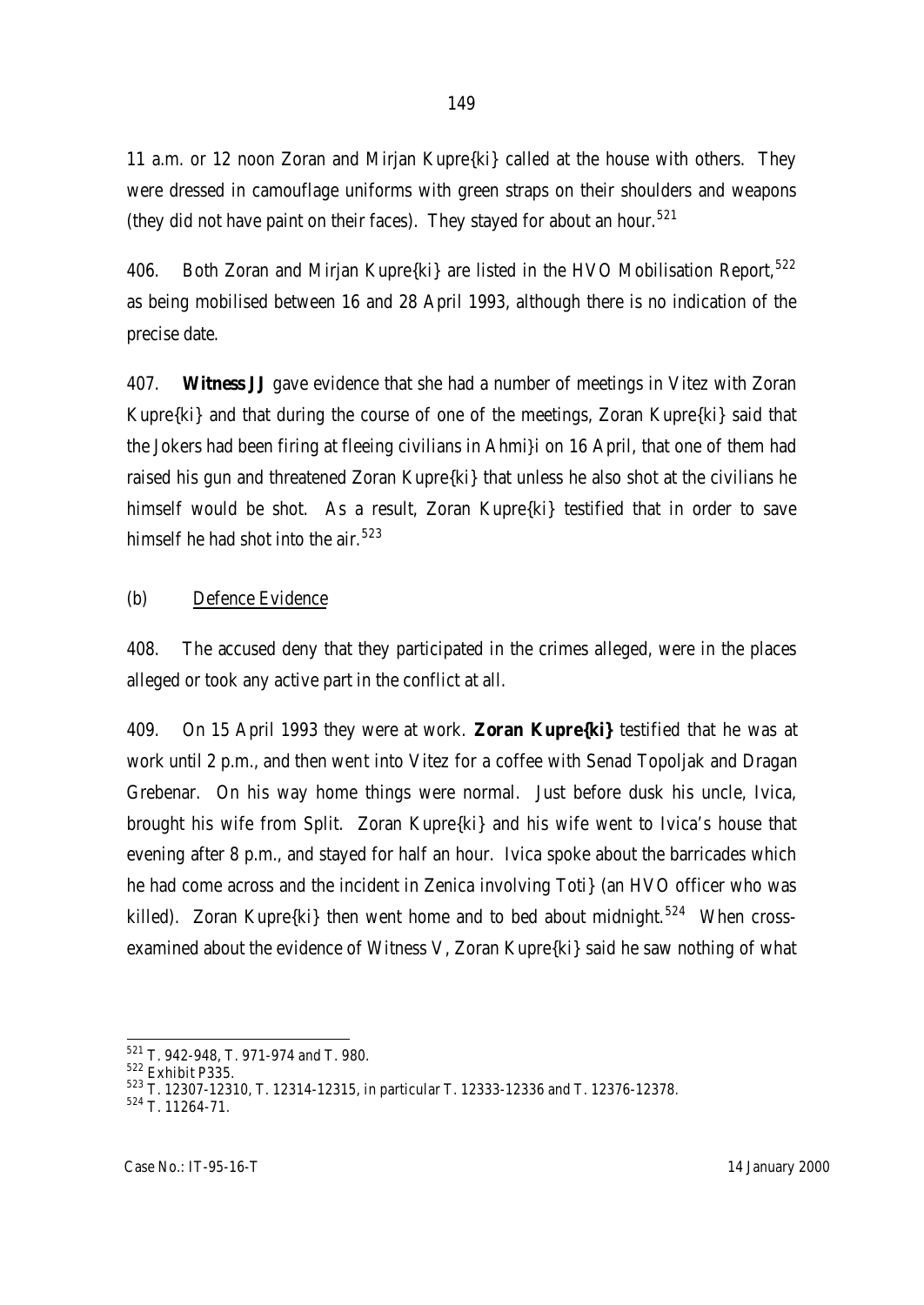11 a.m. or 12 noon Zoran and Mirjan Kupre{ki} called at the house with others. They were dressed in camouflage uniforms with green straps on their shoulders and weapons (they did not have paint on their faces). They stayed for about an hour.<sup>521</sup>

406. Both Zoran and Mirjan Kupre $\{ki\}$  are listed in the HVO Mobilisation Report,<sup>522</sup> as being mobilised between 16 and 28 April 1993, although there is no indication of the precise date.

407. **Witness JJ** gave evidence that she had a number of meetings in Vitez with Zoran Kupre{ki} and that during the course of one of the meetings, Zoran Kupre{ki} said that the Jokers had been firing at fleeing civilians in Ahmi}i on 16 April, that one of them had raised his gun and threatened Zoran Kupre{ki} that unless he also shot at the civilians he himself would be shot. As a result, Zoran Kupre{ki} testified that in order to save himself he had shot into the air. $523$ 

### (b) Defence Evidence

408. The accused deny that they participated in the crimes alleged, were in the places alleged or took any active part in the conflict at all.

409. On 15 April 1993 they were at work. **Zoran Kupre{ki}** testified that he was at work until 2 p.m., and then went into Vitez for a coffee with Senad Topoljak and Dragan Grebenar. On his way home things were normal. Just before dusk his uncle, Ivica, brought his wife from Split. Zoran Kupre{ki} and his wife went to Ivica's house that evening after 8 p.m., and stayed for half an hour. Ivica spoke about the barricades which he had come across and the incident in Zenica involving Toti} (an HVO officer who was killed). Zoran Kupre $\{ki\}$  then went home and to bed about midnight.<sup>524</sup> When crossexamined about the evidence of Witness V, Zoran Kupre{ki} said he saw nothing of what

 $\overline{a}$ <sup>521</sup> T. 942-948, T. 971-974 and T. 980.

 $\frac{522}{100}$  Exhibit P335.

 $^{523}$  T. 12307-12310, T. 12314-12315, in particular T. 12333-12336 and T. 12376-12378.

 $524$  T. 11264-71.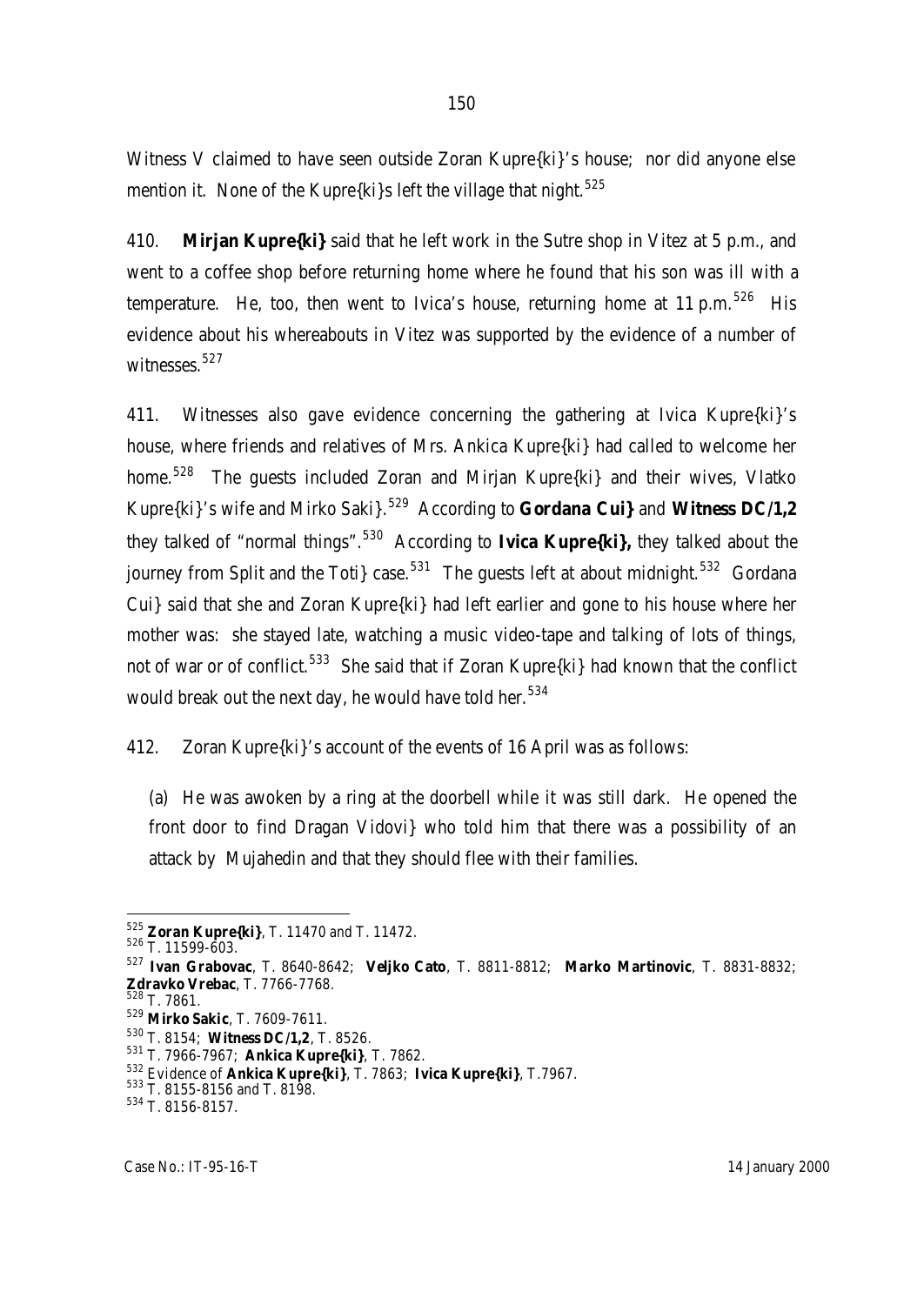Witness V claimed to have seen outside Zoran Kupre{ki}'s house; nor did anyone else mention it. None of the Kupre $\{k\}$ s left the village that night.<sup>525</sup>

410. **Mirjan Kupre{ki}** said that he left work in the Sutre shop in Vitez at 5 p.m., and went to a coffee shop before returning home where he found that his son was ill with a temperature. He, too, then went to Ivica's house, returning home at 11 p.m.  $526$  His evidence about his whereabouts in Vitez was supported by the evidence of a number of witnesses.<sup>527</sup>

411. Witnesses also gave evidence concerning the gathering at Ivica Kupre{ki}'s house, where friends and relatives of Mrs. Ankica Kupre{ki} had called to welcome her home.<sup>528</sup> The quests included Zoran and Mirjan Kupre $\{ki\}$  and their wives, Vlatko Kupre{ki}'s wife and Mirko Saki}.<sup>529</sup> According to **Gordana Cui}** and **Witness DC/1,2** they talked of "normal things".<sup>530</sup> According to **Ivica Kupre{ki},** they talked about the journey from Split and the Toti case.<sup>531</sup> The quests left at about midnight.<sup>532</sup> Gordana Cui} said that she and Zoran Kupre{ki} had left earlier and gone to his house where her mother was: she stayed late, watching a music video-tape and talking of lots of things, not of war or of conflict.<sup>533</sup> She said that if Zoran Kupre{ki} had known that the conflict would break out the next day, he would have told her.<sup>534</sup>

412. Zoran Kupre{ki}'s account of the events of 16 April was as follows:

(a) He was awoken by a ring at the doorbell while it was still dark. He opened the front door to find Dragan Vidovi} who told him that there was a possibility of an attack by Mujahedin and that they should flee with their families.

<sup>525</sup> **Zoran Kupre{ki}**, T. 11470 and T. 11472.

 $526$  T. 11599-603.

<sup>527</sup> **Ivan Grabovac**, T. 8640-8642; **Veljko Cato**, T. 8811-8812; **Marko Martinovic**, T. 8831-8832; **Zdravko Vrebac**, T. 7766-7768.

<sup>&</sup>lt;sup>528</sup> Т. 7861.

<sup>529</sup> **Mirko Sakic**, T. 7609-7611.

<sup>530</sup> T. 8154; **Witness DC/1,2**, T. 8526.

<sup>531</sup> T. 7966-7967; **Ankica Kupre{ki}**, T. 7862.

<sup>532</sup> Evidence of **Ankica Kupre{ki}**, T. 7863; **Ivica Kupre{ki}**, T.7967.

<sup>533</sup> T. 8155-8156 and T. 8198.

<sup>534</sup> T. 8156-8157.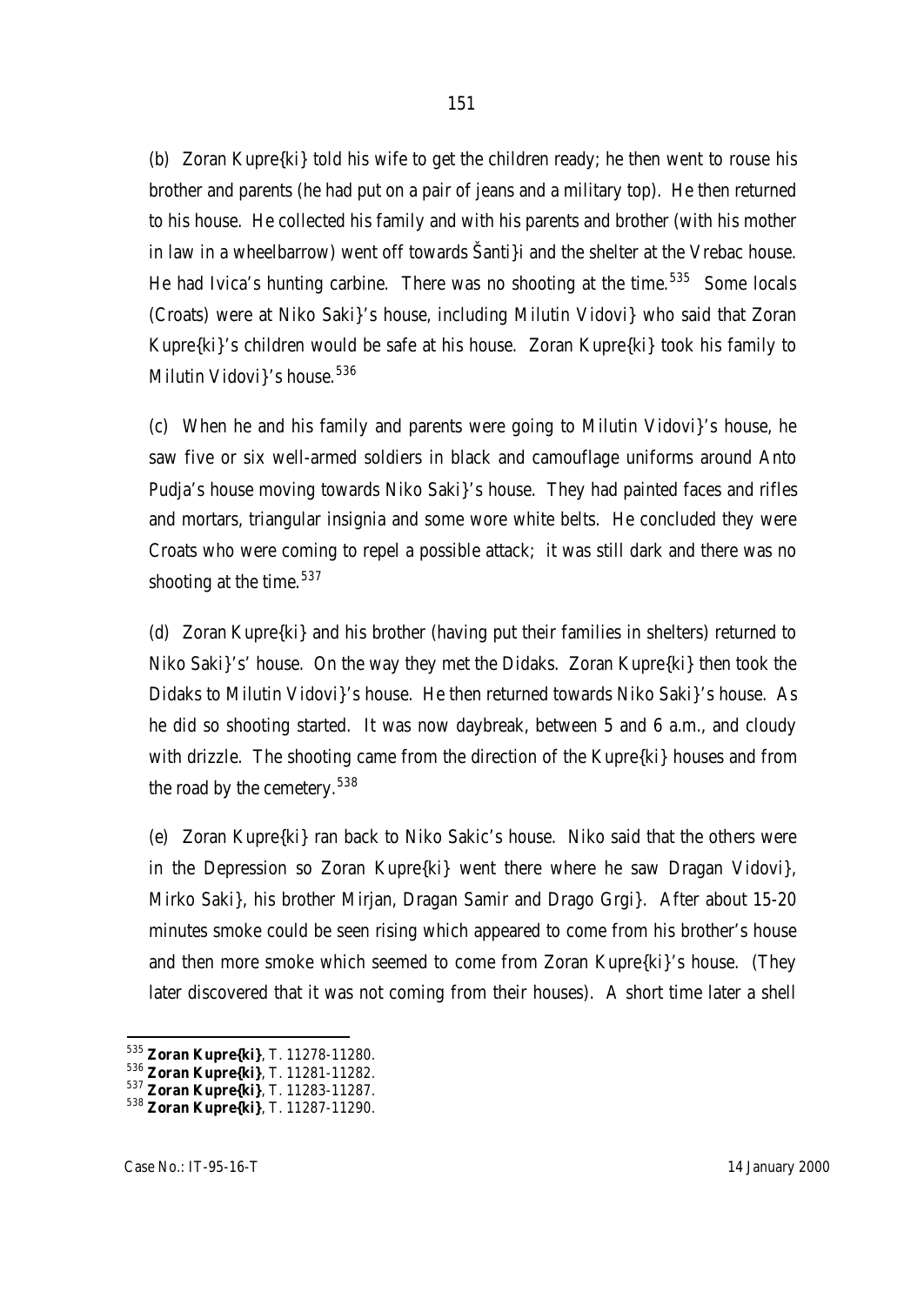(b) Zoran Kupre{ki} told his wife to get the children ready; he then went to rouse his brother and parents (he had put on a pair of jeans and a military top). He then returned to his house. He collected his family and with his parents and brother (with his mother in law in a wheelbarrow) went off towards Šanti}i and the shelter at the Vrebac house. He had Ivica's hunting carbine. There was no shooting at the time.<sup>535</sup> Some locals (Croats) were at Niko Saki}'s house, including Milutin Vidovi} who said that Zoran Kupre{ki}'s children would be safe at his house. Zoran Kupre{ki} took his family to Milutin Vidovi }'s house.<sup>536</sup>

(c) When he and his family and parents were going to Milutin Vidovi}'s house, he saw five or six well-armed soldiers in black and camouflage uniforms around Anto Pudja's house moving towards Niko Saki}'s house. They had painted faces and rifles and mortars, triangular insignia and some wore white belts. He concluded they were Croats who were coming to repel a possible attack; it was still dark and there was no shooting at the time.<sup>537</sup>

(d) Zoran Kupre{ki} and his brother (having put their families in shelters) returned to Niko Saki}'s' house. On the way they met the Didaks. Zoran Kupre{ki} then took the Didaks to Milutin Vidovi}'s house. He then returned towards Niko Saki}'s house. As he did so shooting started. It was now daybreak, between 5 and 6 a.m., and cloudy with drizzle. The shooting came from the direction of the Kupre{ki} houses and from the road by the cemetery.<sup>538</sup>

(e) Zoran Kupre{ki} ran back to Niko Sakic's house. Niko said that the others were in the Depression so Zoran Kupre{ki} went there where he saw Dragan Vidovi}, Mirko Saki}, his brother Mirjan, Dragan Samir and Drago Grgi}. After about 15-20 minutes smoke could be seen rising which appeared to come from his brother's house and then more smoke which seemed to come from Zoran Kupre{ki}'s house. (They later discovered that it was not coming from their houses). A short time later a shell

<sup>535</sup> **Zoran Kupre{ki}**, T. 11278-11280.

<sup>536</sup> **Zoran Kupre{ki}**, T. 11281-11282.

<sup>537</sup> **Zoran Kupre{ki}**, T. 11283-11287.

<sup>538</sup> **Zoran Kupre{ki}**, T. 11287-11290.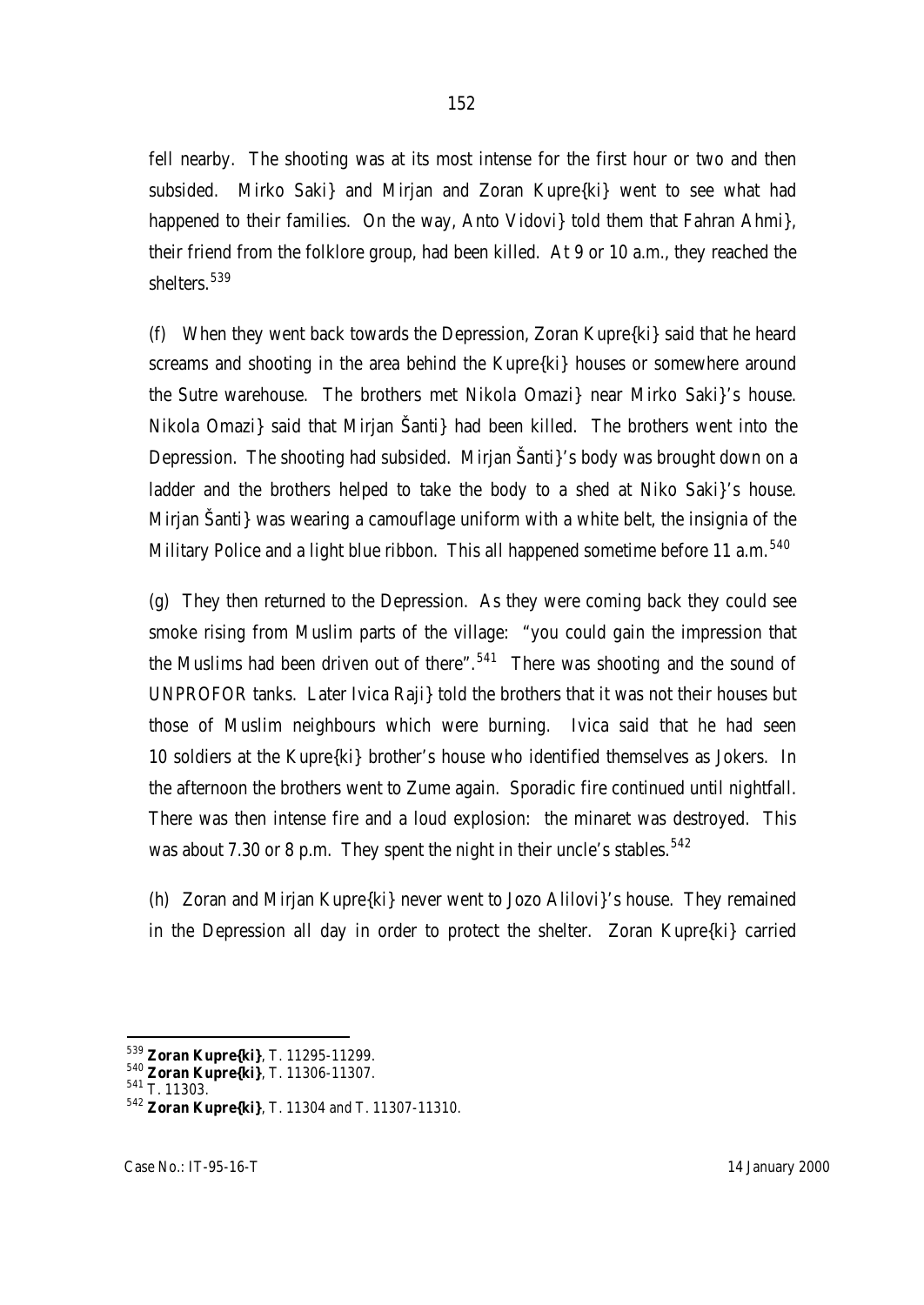fell nearby. The shooting was at its most intense for the first hour or two and then subsided. Mirko Saki} and Mirjan and Zoran Kupre{ki} went to see what had happened to their families. On the way, Anto Vidovi } told them that Fahran Ahmi }, their friend from the folklore group, had been killed. At 9 or 10 a.m., they reached the shelters.<sup>539</sup>

(f) When they went back towards the Depression, Zoran Kupre{ki} said that he heard screams and shooting in the area behind the Kupre{ki} houses or somewhere around the Sutre warehouse.The brothers met Nikola Omazi} near Mirko Saki}'s house. Nikola Omazi} said that Mirjan Šanti} had been killed. The brothers went into the Depression. The shooting had subsided. Mirjan Šanti}'s body was brought down on a ladder and the brothers helped to take the body to a shed at Niko Saki}'s house. Mirjan Šanti} was wearing a camouflage uniform with a white belt, the insignia of the Military Police and a light blue ribbon. This all happened sometime before 11 a.m.  $540$ 

(g) They then returned to the Depression. As they were coming back they could see smoke rising from Muslim parts of the village: "you could gain the impression that the Muslims had been driven out of there".<sup>541</sup> There was shooting and the sound of UNPROFOR tanks. Later Ivica Raji} told the brothers that it was not their houses but those of Muslim neighbours which were burning. Ivica said that he had seen 10 soldiers at the Kupre{ki} brother's house who identified themselves as Jokers. In the afternoon the brothers went to Zume again. Sporadic fire continued until nightfall. There was then intense fire and a loud explosion: the minaret was destroyed. This was about 7.30 or 8 p.m. They spent the night in their uncle's stables.<sup>542</sup>

(h) Zoran and Mirjan Kupre{ki} never went to Jozo Alilovi}'s house. They remained in the Depression all day in order to protect the shelter. Zoran Kupre{ki} carried

<sup>539</sup> **Zoran Kupre{ki}**, T. 11295-11299.

<sup>540</sup> **Zoran Kupre{ki}**, T. 11306-11307.

<sup>&</sup>lt;sup>541</sup> T. 11303.

<sup>542</sup> **Zoran Kupre{ki}**, T. 11304 and T. 11307-11310.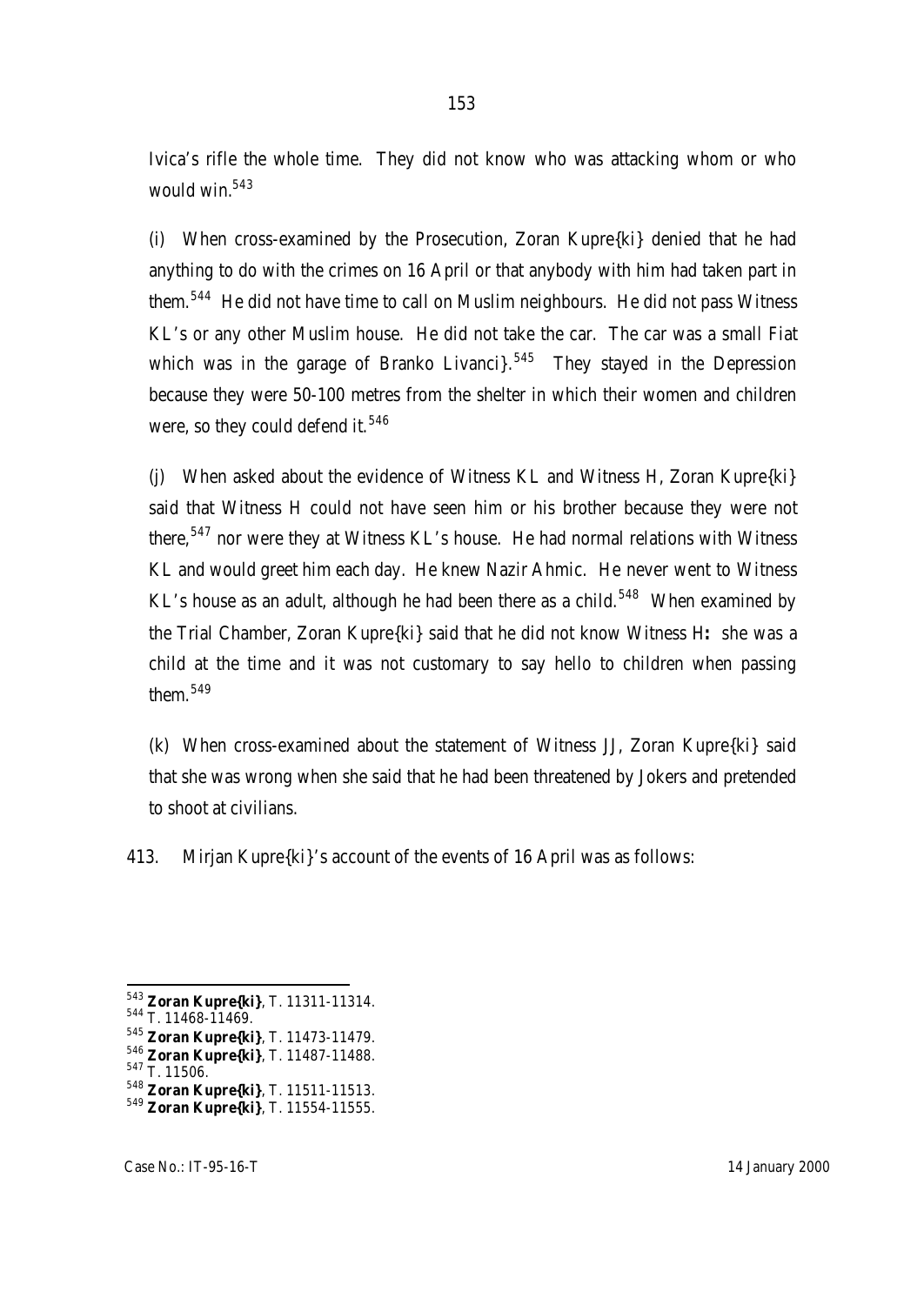Ivica's rifle the whole time.They did not know who was attacking whom or who would win.<sup>543</sup>

(i) When cross-examined by the Prosecution, Zoran Kupre{ki} denied that he had anything to do with the crimes on 16 April or that anybody with him had taken part in them.<sup>544</sup> He did not have time to call on Muslim neighbours. He did not pass Witness KL's or any other Muslim house. He did not take the car. The car was a small Fiat which was in the garage of Branko Livanci $\frac{545}{5}$  They stayed in the Depression because they were 50-100 metres from the shelter in which their women and children were, so they could defend it.<sup>546</sup>

(j) When asked about the evidence of Witness KL and Witness H, Zoran Kupre{ki} said that Witness H could not have seen him or his brother because they were not there,  $547$  nor were they at Witness KL's house. He had normal relations with Witness KL and would greet him each day. He knew Nazir Ahmic. He never went to Witness KL's house as an adult, although he had been there as a child.<sup>548</sup> When examined by the Trial Chamber, Zoran Kupre{ki} said that he did not know Witness H**:** she was a child at the time and it was not customary to say hello to children when passing them.<sup>549</sup>

(k) When cross-examined about the statement of Witness JJ, Zoran Kupre{ki} said that she was wrong when she said that he had been threatened by Jokers and pretended to shoot at civilians.

413. Mirjan Kupre{ki}'s account of the events of 16 April was as follows:

<sup>543</sup> **Zoran Kupre{ki}**, T. 11311-11314.

<sup>544</sup> T. 11468-11469.

<sup>545</sup> **Zoran Kupre{ki}**, T. 11473-11479.

<sup>546</sup> **Zoran Kupre{ki}**, T. 11487-11488.

 $547$  T. 11506.

<sup>548</sup> **Zoran Kupre{ki}**, T. 11511-11513. <sup>549</sup> **Zoran Kupre{ki}**, T. 11554-11555.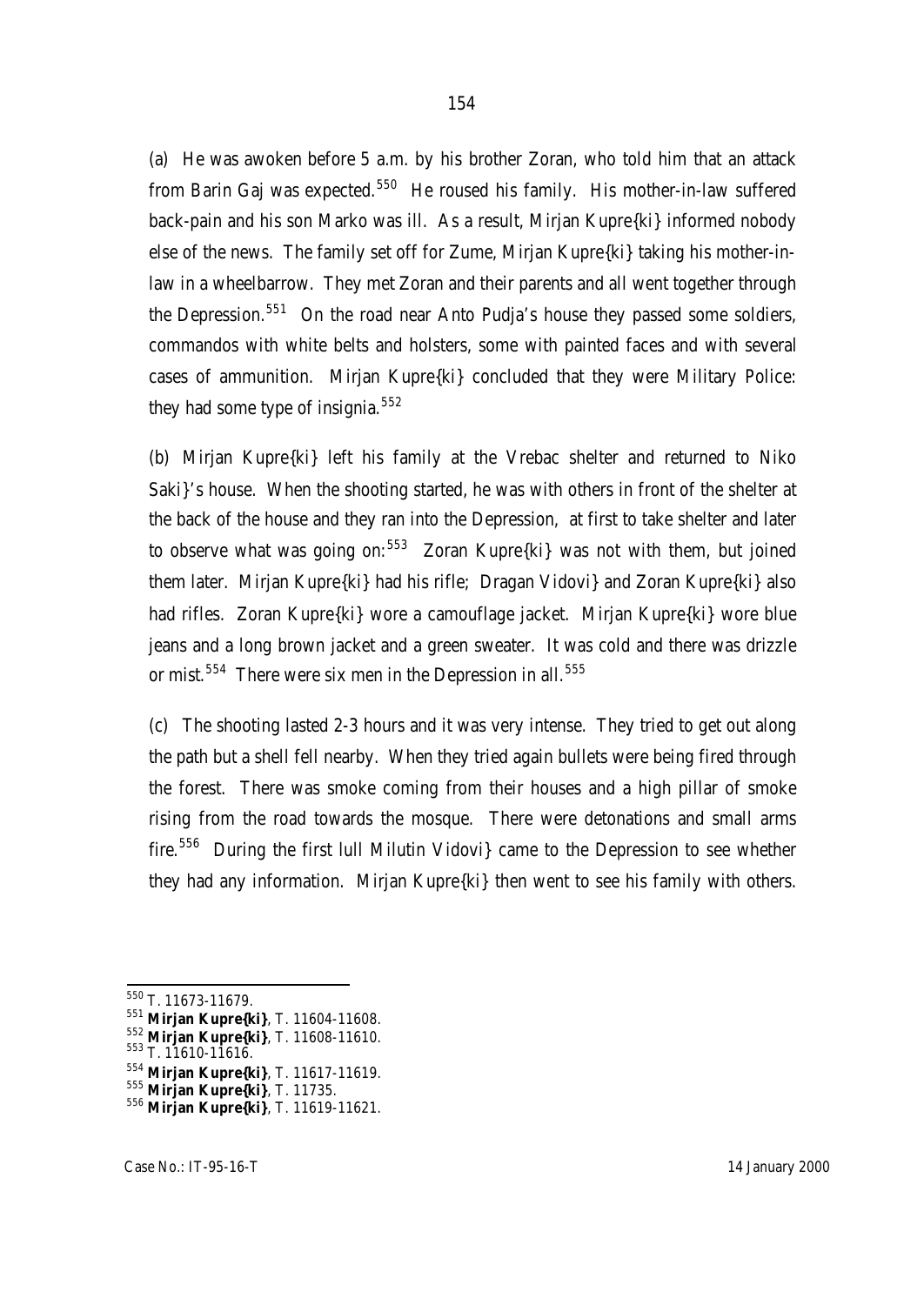(a) He was awoken before 5 a.m. by his brother Zoran, who told him that an attack from Barin Gaj was expected.<sup>550</sup> He roused his family. His mother-in-law suffered back-pain and his son Marko was ill. As a result, Mirjan Kupre{ki} informed nobody else of the news. The family set off for Zume, Mirjan Kupre{ki} taking his mother-inlaw in a wheelbarrow. They met Zoran and their parents and all went together through the Depression.<sup>551</sup> On the road near Anto Pudja's house they passed some soldiers, commandos with white belts and holsters, some with painted faces and with several cases of ammunition. Mirjan Kupre{ki} concluded that they were Military Police: they had some type of insignia.<sup>552</sup>

(b) Mirjan Kupre{ki} left his family at the Vrebac shelter and returned to Niko Saki}'s house. When the shooting started, he was with others in front of the shelter at the back of the house and they ran into the Depression, at first to take shelter and later to observe what was going on:<sup>553</sup> Zoran Kupre{ki} was not with them, but joined them later. Mirjan Kupre{ki} had his rifle; Dragan Vidovi} and Zoran Kupre{ki} also had rifles. Zoran Kupre{ki} wore a camouflage jacket. Mirjan Kupre{ki} wore blue jeans and a long brown jacket and a green sweater. It was cold and there was drizzle or mist.<sup>554</sup> There were six men in the Depression in all.<sup>555</sup>

(c) The shooting lasted 2-3 hours and it was very intense. They tried to get out along the path but a shell fell nearby. When they tried again bullets were being fired through the forest. There was smoke coming from their houses and a high pillar of smoke rising from the road towards the mosque. There were detonations and small arms fire.<sup>556</sup> During the first lull Milutin Vidovi} came to the Depression to see whether they had any information. Mirjan Kupre{ki} then went to see his family with others.

 $\overline{a}$ 

- $553$  T. 11610-11616.
- <sup>554</sup> **Mirjan Kupre{ki}**, T. 11617-11619.

<sup>&</sup>lt;sup>550</sup> Т. 11673-11679.

<sup>551</sup> **Mirjan Kupre{ki}**, T. 11604-11608.

<sup>552</sup> **Mirjan Kupre{ki}**, T. 11608-11610.

<sup>555</sup> **Mirjan Kupre{ki}**, T. 11735.

<sup>556</sup> **Mirjan Kupre{ki}**, T. 11619-11621.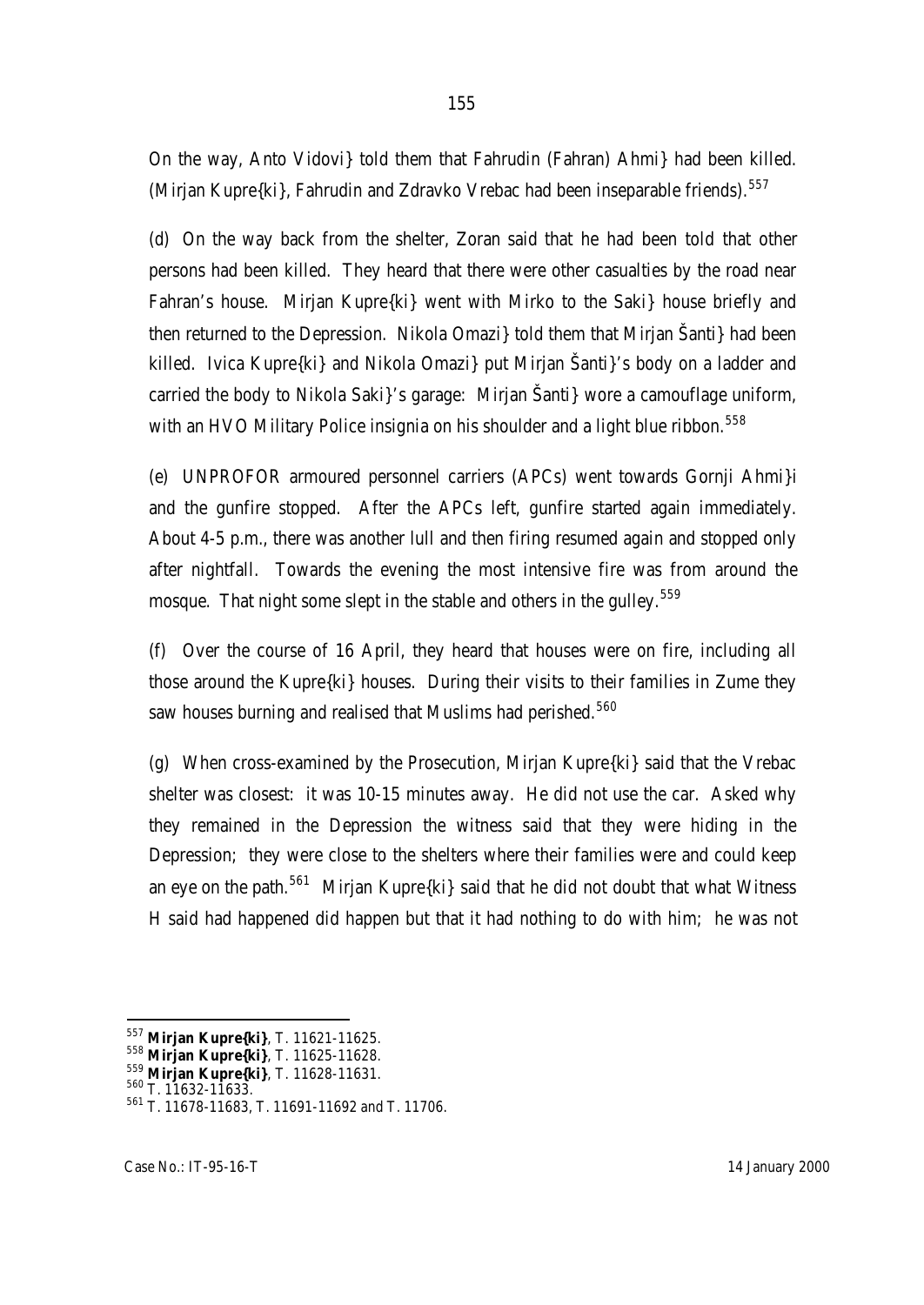On the way, Anto Vidovi} told them that Fahrudin (Fahran) Ahmi} had been killed. (Mirjan Kupre{ki}, Fahrudin and Zdravko Vrebac had been inseparable friends).<sup>557</sup>

(d) On the way back from the shelter, Zoran said that he had been told that other persons had been killed. They heard that there were other casualties by the road near Fahran's house. Mirjan Kupre{ki} went with Mirko to the Saki} house briefly and then returned to the Depression. Nikola Omazi} told them that Mirjan Šanti} had been killed. Ivica Kupre{ki} and Nikola Omazi} put Mirjan Šanti}'s body on a ladder and carried the body to Nikola Saki}'s garage: Mirjan Šanti} wore a camouflage uniform, with an HVO Military Police insignia on his shoulder and a light blue ribbon.<sup>558</sup>

(e) UNPROFOR armoured personnel carriers (APCs) went towards Gornji Ahmi}i and the gunfire stopped. After the APCs left, gunfire started again immediately. About 4-5 p.m., there was another lull and then firing resumed again and stopped only after nightfall. Towards the evening the most intensive fire was from around the mosque. That night some slept in the stable and others in the gulley.<sup>559</sup>

(f) Over the course of 16 April, they heard that houses were on fire, including all those around the Kupre{ki} houses. During their visits to their families in Zume they saw houses burning and realised that Muslims had perished.<sup>560</sup>

(g) When cross-examined by the Prosecution, Mirjan Kupre{ki} said that the Vrebac shelter was closest: it was 10-15 minutes away. He did not use the car. Asked why they remained in the Depression the witness said that they were hiding in the Depression; they were close to the shelters where their families were and could keep an eye on the path.<sup>561</sup> Mirjan Kupre $\{ki\}$  said that he did not doubt that what Witness H said had happened did happen but that it had nothing to do with him; he was not

<sup>557</sup> **Mirjan Kupre{ki}**, T. 11621-11625.

<sup>558</sup> **Mirjan Kupre{ki}**, T. 11625-11628.

<sup>559</sup> **Mirjan Kupre{ki}**, T. 11628-11631.

<sup>560</sup> T. 11632-11633.

<sup>561</sup> T. 11678-11683, T. 11691-11692 and T. 11706.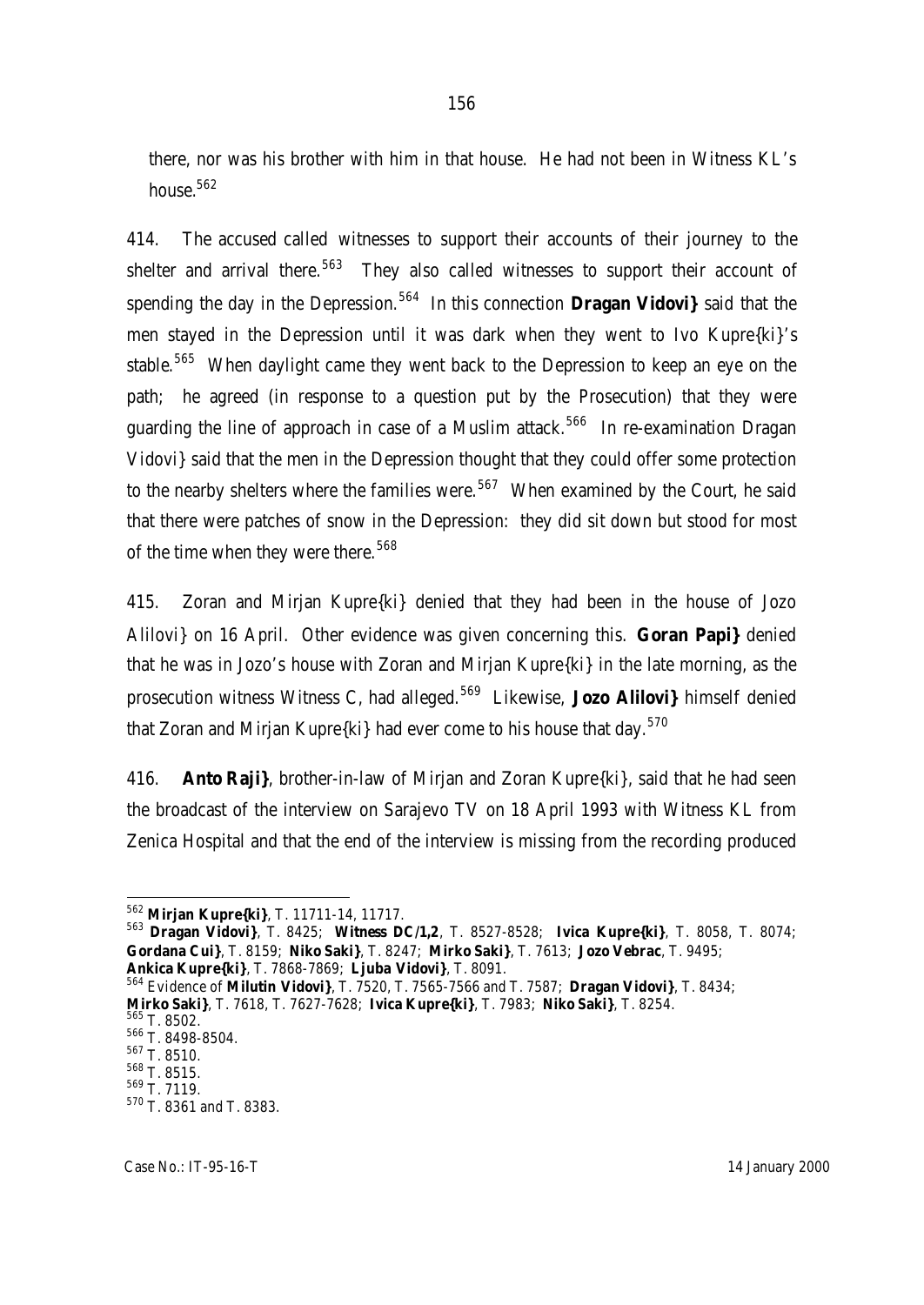there, nor was his brother with him in that house. He had not been in Witness KL's house.<sup>562</sup>

156

414. The accused called witnesses to support their accounts of their journey to the shelter and arrival there.<sup>563</sup> They also called witnesses to support their account of spending the day in the Depression.<sup>564</sup> In this connection Dragan Vidovi} said that the men stayed in the Depression until it was dark when they went to Ivo Kupre{ki}'s stable.<sup>565</sup> When daylight came they went back to the Depression to keep an eye on the path; he agreed (in response to a question put by the Prosecution) that they were guarding the line of approach in case of a Muslim attack.<sup>566</sup> In re-examination Dragan Vidovi} said that the men in the Depression thought that they could offer some protection to the nearby shelters where the families were. $567$  When examined by the Court, he said that there were patches of snow in the Depression: they did sit down but stood for most of the time when they were there.<sup>568</sup>

415. Zoran and Mirjan Kupre{ki} denied that they had been in the house of Jozo Alilovi} on 16 April. Other evidence was given concerning this. **Goran Papi}** denied that he was in Jozo's house with Zoran and Mirjan Kupre{ki} in the late morning, as the prosecution witness Witness C, had alleged.<sup>569</sup> Likewise, **Jozo Alilovi}** himself denied that Zoran and Mirjan Kupre $\{ki\}$  had ever come to his house that day.<sup>570</sup>

416. **Anto Raji}**, brother-in-law of Mirjan and Zoran Kupre{ki}, said that he had seen the broadcast of the interview on Sarajevo TV on 18 April 1993 with Witness KL from Zenica Hospital and that the end of the interview is missing from the recording produced

l <sup>562</sup> **Mirjan Kupre{ki}**, T. 11711-14, 11717.

<sup>563</sup> **Dragan Vidovi}**, T. 8425; **Witness DC/1,2**, T. 8527-8528; **Ivica Kupre{ki}**, T. 8058, T. 8074; **Gordana Cui}**, T. 8159; **Niko Saki}**, T. 8247; **Mirko Saki}**, T. 7613; **Jozo Vebrac**, T. 9495; **Ankica Kupre{ki}**, T. 7868-7869; **Ljuba Vidovi}**, T. 8091.

<sup>564</sup> Evidence of **Milutin Vidovi}**, T. 7520, T. 7565-7566 and T. 7587; **Dragan Vidovi}**, T. 8434;

**Mirko Saki}**, T. 7618, T. 7627-7628; **Ivica Kupre{ki}**, T. 7983; **Niko Saki}**, T. 8254.

<sup>565</sup> T. 8502.

<sup>566</sup> T. 8498-8504.

<sup>567</sup> T. 8510.

<sup>568</sup> T. 8515.

 $569$  T. 7119.

<sup>570</sup> T. 8361 and T. 8383.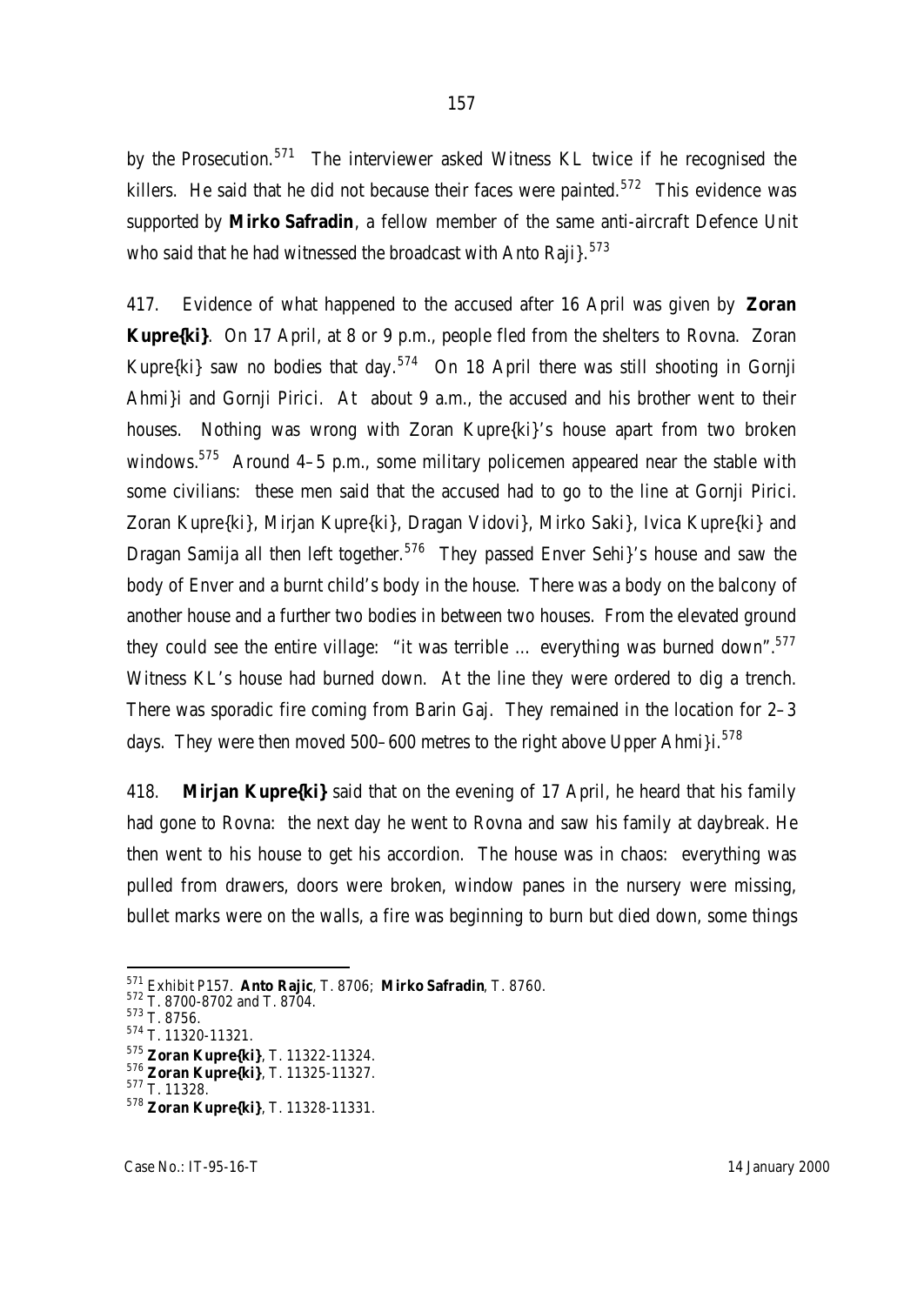by the Prosecution.<sup>571</sup> The interviewer asked Witness KL twice if he recognised the killers. He said that he did not because their faces were painted.<sup>572</sup> This evidence was supported by **Mirko Safradin**, a fellow member of the same anti-aircraft Defence Unit who said that he had witnessed the broadcast with Anto Raji}.<sup>573</sup>

417. Evidence of what happened to the accused after 16 April was given by **Zoran Kupre{ki}**. On 17 April, at 8 or 9 p.m., people fled from the shelters to Rovna. Zoran Kupre $\{ki\}$  saw no bodies that day.<sup>574</sup> On 18 April there was still shooting in Gornji Ahmi}i and Gornji Pirici. At about 9 a.m., the accused and his brother went to their houses. Nothing was wrong with Zoran Kupre{ki}'s house apart from two broken windows.<sup>575</sup> Around 4–5 p.m., some military policemen appeared near the stable with some civilians: these men said that the accused had to go to the line at Gornji Pirici. Zoran Kupre{ki}, Mirjan Kupre{ki}, Dragan Vidovi}, Mirko Saki}, Ivica Kupre{ki} and Dragan Samija all then left together.<sup>576</sup> They passed Enver Sehi $\}$ 's house and saw the body of Enver and a burnt child's body in the house. There was a body on the balcony of another house and a further two bodies in between two houses. From the elevated ground they could see the entire village: "it was terrible ... everything was burned down".<sup>577</sup> Witness KL's house had burned down. At the line they were ordered to dig a trench. There was sporadic fire coming from Barin Gaj. They remained in the location for 2–3 days. They were then moved 500–600 metres to the right above Upper Ahmi}i.<sup>578</sup>

418. **Mirjan Kupre{ki}** said that on the evening of 17 April, he heard that his family had gone to Rovna: the next day he went to Rovna and saw his family at daybreak. He then went to his house to get his accordion. The house was in chaos: everything was pulled from drawers, doors were broken, window panes in the nursery were missing, bullet marks were on the walls, a fire was beginning to burn but died down, some things

l

<sup>575</sup> **Zoran Kupre{ki}**, T. 11322-11324.

<sup>571</sup> Exhibit P157. **Anto Rajic**, T. 8706; **Mirko Safradin**, T. 8760.

 $^{572}_{-2}$  T. 8700-8702 and T. 8704.

<sup>&</sup>lt;sup>573</sup> T. 8756.

<sup>574</sup> T. 11320-11321.

<sup>576</sup> **Zoran Kupre{ki}**, T. 11325-11327.

<sup>&</sup>lt;sup>577</sup> T. 11328.

<sup>578</sup> **Zoran Kupre{ki}**, T. 11328-11331.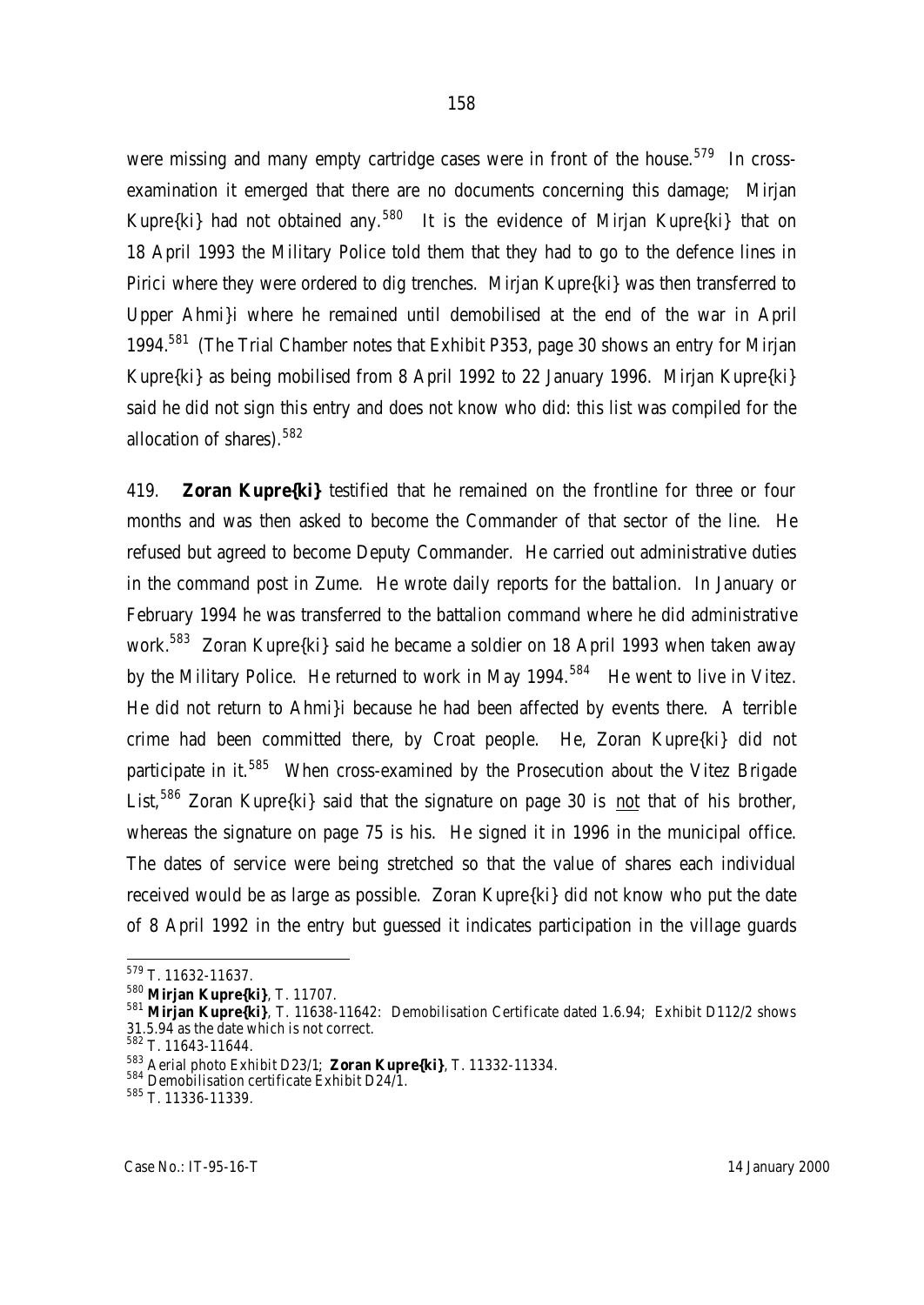were missing and many empty cartridge cases were in front of the house.<sup>579</sup> In crossexamination it emerged that there are no documents concerning this damage; Mirjan Kupre $\{ki\}$  had not obtained any.<sup>580</sup> It is the evidence of Mirjan Kupre $\{ki\}$  that on 18 April 1993 the Military Police told them that they had to go to the defence lines in Pirici where they were ordered to dig trenches. Mirjan Kupre{ki} was then transferred to Upper Ahmi}i where he remained until demobilised at the end of the war in April 1994.<sup>581</sup> (The Trial Chamber notes that Exhibit P353, page 30 shows an entry for Mirjan Kupre{ki} as being mobilised from 8 April 1992 to 22 January 1996. Mirjan Kupre{ki} said he did not sign this entry and does not know who did: this list was compiled for the allocation of shares).<sup>582</sup>

419. **Zoran Kupre{ki}** testified that he remained on the frontline for three or four months and was then asked to become the Commander of that sector of the line. He refused but agreed to become Deputy Commander. He carried out administrative duties in the command post in Zume. He wrote daily reports for the battalion. In January or February 1994 he was transferred to the battalion command where he did administrative work.<sup>583</sup> Zoran Kupre{ki} said he became a soldier on 18 April 1993 when taken away by the Military Police. He returned to work in May 1994.<sup>584</sup> He went to live in Vitez. He did not return to Ahmi}i because he had been affected by events there. A terrible crime had been committed there, by Croat people. He, Zoran Kupre{ki} did not participate in it.<sup>585</sup> When cross-examined by the Prosecution about the Vitez Brigade List,<sup>586</sup> Zoran Kupre{ki} said that the signature on page 30 is not that of his brother, whereas the signature on page 75 is his. He signed it in 1996 in the municipal office. The dates of service were being stretched so that the value of shares each individual received would be as large as possible. Zoran Kupre{ki} did not know who put the date of 8 April 1992 in the entry but guessed it indicates participation in the village guards

 $\overline{a}$ 

<sup>&</sup>lt;sup>579</sup> Т. 11632-11637.

<sup>580</sup> **Mirjan Kupre{ki}**, T. 11707.

<sup>581</sup> **Mirjan Kupre{ki}**, T. 11638-11642: Demobilisation Certificate dated 1.6.94; Exhibit D112/2 shows 31.5.94 as the date which is not correct.

<sup>582</sup> T. 11643-11644.

<sup>583</sup> Aerial photo Exhibit D23/1; **Zoran Kupre{ki}**, T. 11332-11334.

<sup>&</sup>lt;sup>584</sup> Demobilisation certificate Exhibit D24/1.

<sup>585</sup> T. 11336-11339.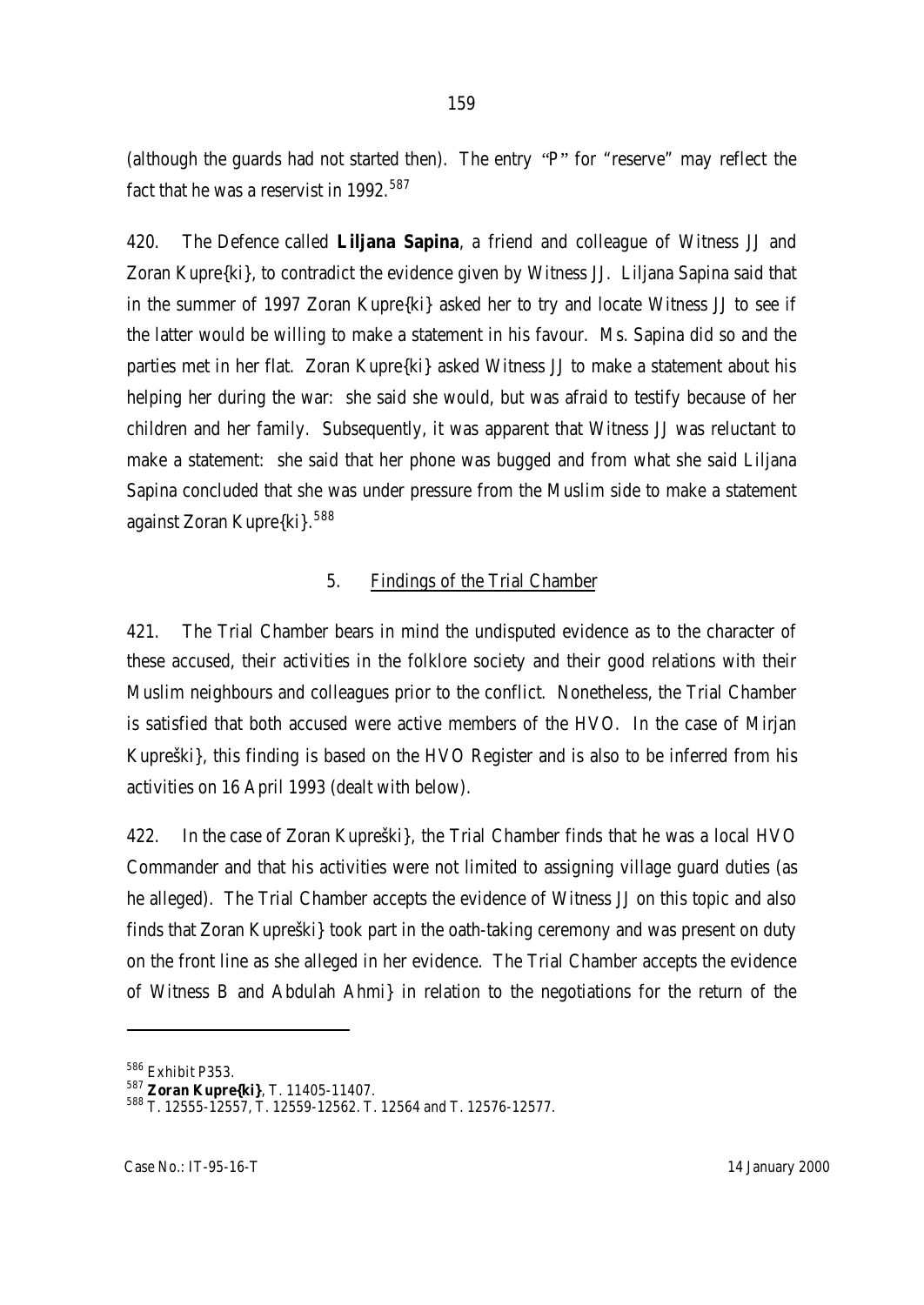(although the guards had not started then). The entry "P" for "reserve" may reflect the fact that he was a reservist in 1992.<sup>587</sup>

420. The Defence called **Liljana Sapina**, a friend and colleague of Witness JJ and Zoran Kupre{ki}, to contradict the evidence given by Witness JJ. Liljana Sapina said that in the summer of 1997 Zoran Kupre{ki} asked her to try and locate Witness JJ to see if the latter would be willing to make a statement in his favour. Ms. Sapina did so and the parties met in her flat. Zoran Kupre{ki} asked Witness JJ to make a statement about his helping her during the war: she said she would, but was afraid to testify because of her children and her family. Subsequently, it was apparent that Witness JJ was reluctant to make a statement: she said that her phone was bugged and from what she said Liljana Sapina concluded that she was under pressure from the Muslim side to make a statement against Zoran Kupre{ki}.<sup>588</sup>

# 5. Findings of the Trial Chamber

421. The Trial Chamber bears in mind the undisputed evidence as to the character of these accused, their activities in the folklore society and their good relations with their Muslim neighbours and colleagues prior to the conflict. Nonetheless, the Trial Chamber is satisfied that both accused were active members of the HVO. In the case of Mirjan Kupreški}, this finding is based on the HVO Register and is also to be inferred from his activities on 16 April 1993 (dealt with below).

422. In the case of Zoran Kupreški}, the Trial Chamber finds that he was a local HVO Commander and that his activities were not limited to assigning village guard duties (as he alleged). The Trial Chamber accepts the evidence of Witness JJ on this topic and also finds that Zoran Kupreški} took part in the oath-taking ceremony and was present on duty on the front line as she alleged in her evidence. The Trial Chamber accepts the evidence of Witness B and Abdulah Ahmi} in relation to the negotiations for the return of the

<sup>586</sup> Exhibit P353.

<sup>587</sup> **Zoran Kupre{ki}**, T. 11405-11407.

<sup>588</sup> T. 12555-12557, T. 12559-12562. T. 12564 and T. 12576-12577.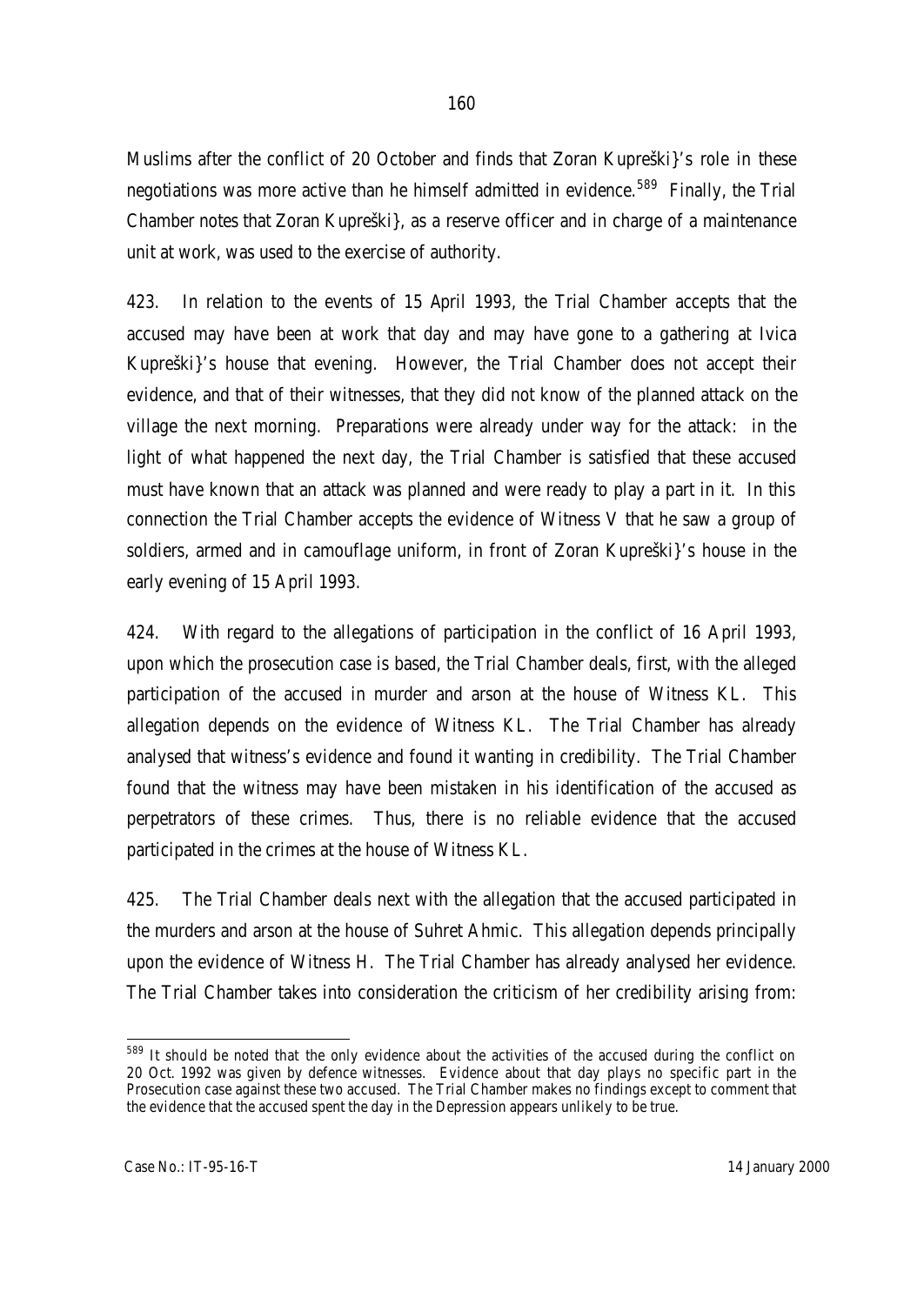Muslims after the conflict of 20 October and finds that Zoran Kupreški}'s role in these negotiations was more active than he himself admitted in evidence.<sup>589</sup> Finally, the Trial Chamber notes that Zoran Kupreški}, as a reserve officer and in charge of a maintenance unit at work, was used to the exercise of authority.

423. In relation to the events of 15 April 1993, the Trial Chamber accepts that the accused may have been at work that day and may have gone to a gathering at Ivica Kupreški}'s house that evening. However, the Trial Chamber does not accept their evidence, and that of their witnesses, that they did not know of the planned attack on the village the next morning. Preparations were already under way for the attack: in the light of what happened the next day, the Trial Chamber is satisfied that these accused must have known that an attack was planned and were ready to play a part in it. In this connection the Trial Chamber accepts the evidence of Witness V that he saw a group of soldiers, armed and in camouflage uniform, in front of Zoran Kupreški}'s house in the early evening of 15 April 1993.

424. With regard to the allegations of participation in the conflict of 16 April 1993, upon which the prosecution case is based, the Trial Chamber deals, first, with the alleged participation of the accused in murder and arson at the house of Witness KL. This allegation depends on the evidence of Witness KL. The Trial Chamber has already analysed that witness's evidence and found it wanting in credibility. The Trial Chamber found that the witness may have been mistaken in his identification of the accused as perpetrators of these crimes. Thus, there is no reliable evidence that the accused participated in the crimes at the house of Witness KL.

425. The Trial Chamber deals next with the allegation that the accused participated in the murders and arson at the house of Suhret Ahmic. This allegation depends principally upon the evidence of Witness H. The Trial Chamber has already analysed her evidence. The Trial Chamber takes into consideration the criticism of her credibility arising from:

 $\overline{a}$ <sup>589</sup> It should be noted that the only evidence about the activities of the accused during the conflict on 20 Oct. 1992 was given by defence witnesses. Evidence about that day plays no specific part in the Prosecution case against these two accused. The Trial Chamber makes no findings except to comment that the evidence that the accused spent the day in the Depression appears unlikely to be true.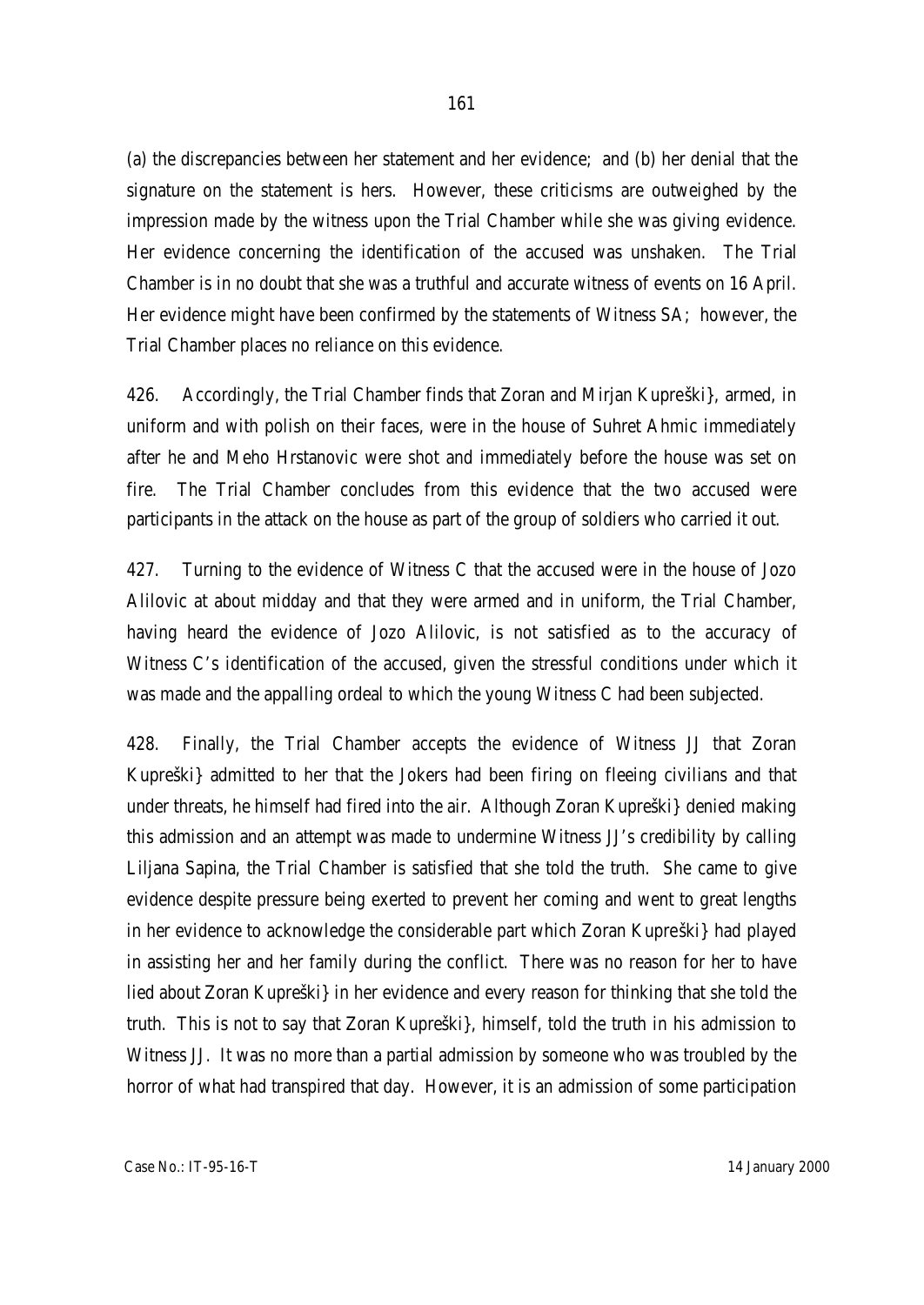(a) the discrepancies between her statement and her evidence; and (b) her denial that the signature on the statement is hers. However, these criticisms are outweighed by the impression made by the witness upon the Trial Chamber while she was giving evidence. Her evidence concerning the identification of the accused was unshaken. The Trial Chamber is in no doubt that she was a truthful and accurate witness of events on 16 April. Her evidence might have been confirmed by the statements of Witness SA; however, the Trial Chamber places no reliance on this evidence.

426. Accordingly, the Trial Chamber finds that Zoran and Mirjan Kupreški}, armed, in uniform and with polish on their faces, were in the house of Suhret Ahmic immediately after he and Meho Hrstanovic were shot and immediately before the house was set on fire. The Trial Chamber concludes from this evidence that the two accused were participants in the attack on the house as part of the group of soldiers who carried it out.

427. Turning to the evidence of Witness C that the accused were in the house of Jozo Alilovic at about midday and that they were armed and in uniform, the Trial Chamber, having heard the evidence of Jozo Alilovic, is not satisfied as to the accuracy of Witness C's identification of the accused, given the stressful conditions under which it was made and the appalling ordeal to which the young Witness C had been subjected.

428. Finally, the Trial Chamber accepts the evidence of Witness JJ that Zoran Kupreški} admitted to her that the Jokers had been firing on fleeing civilians and that under threats, he himself had fired into the air. Although Zoran Kupreški} denied making this admission and an attempt was made to undermine Witness JJ's credibility by calling Liljana Sapina, the Trial Chamber is satisfied that she told the truth. She came to give evidence despite pressure being exerted to prevent her coming and went to great lengths in her evidence to acknowledge the considerable part which Zoran Kupreški} had played in assisting her and her family during the conflict. There was no reason for her to have lied about Zoran Kupreški} in her evidence and every reason for thinking that she told the truth. This is not to say that Zoran Kupreški}, himself, told the truth in his admission to Witness JJ. It was no more than a partial admission by someone who was troubled by the horror of what had transpired that day. However, it is an admission of some participation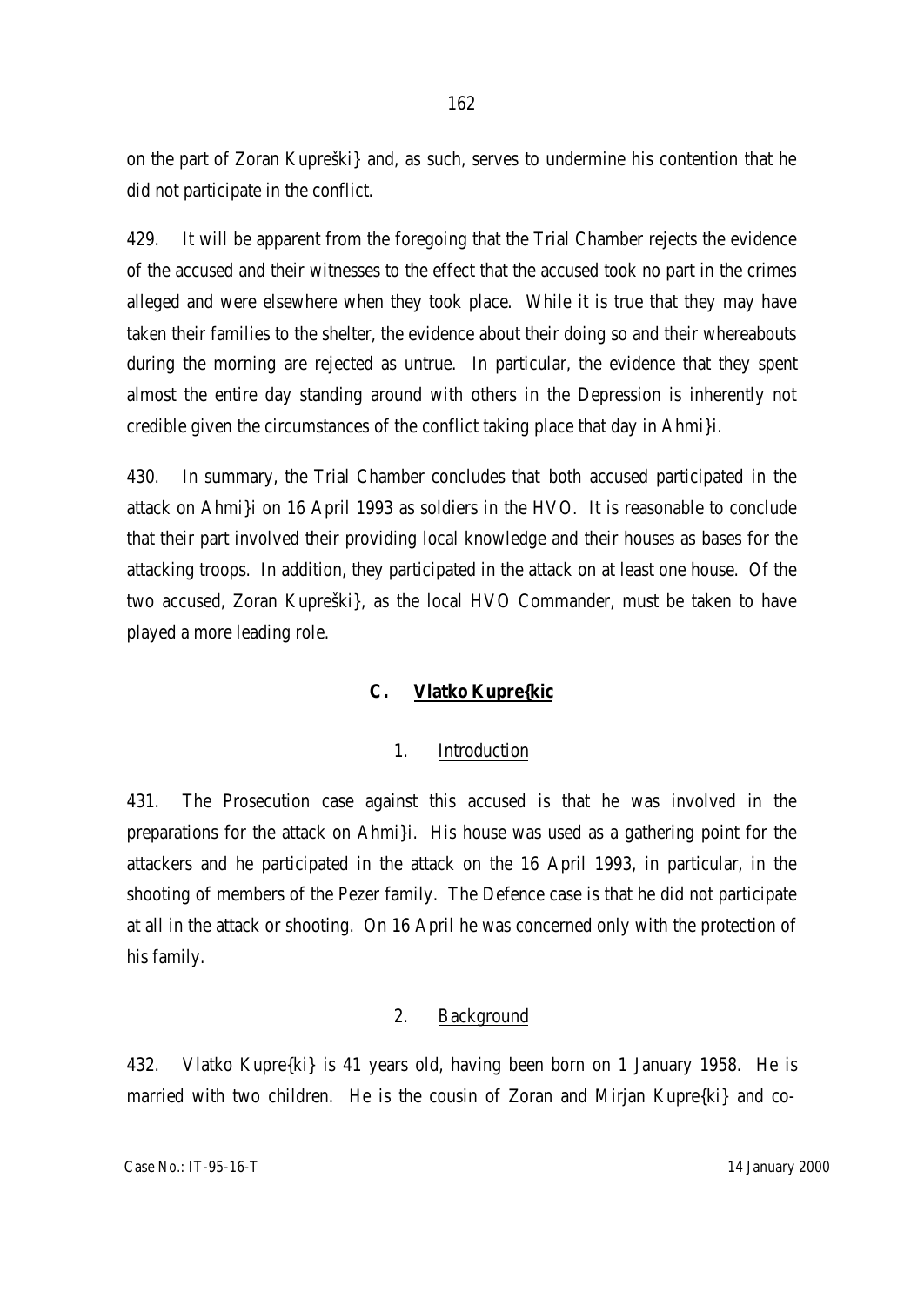on the part of Zoran Kupreški} and, as such, serves to undermine his contention that he did not participate in the conflict.

429. It will be apparent from the foregoing that the Trial Chamber rejects the evidence of the accused and their witnesses to the effect that the accused took no part in the crimes alleged and were elsewhere when they took place. While it is true that they may have taken their families to the shelter, the evidence about their doing so and their whereabouts during the morning are rejected as untrue. In particular, the evidence that they spent almost the entire day standing around with others in the Depression is inherently not credible given the circumstances of the conflict taking place that day in Ahmi}i.

430. In summary, the Trial Chamber concludes that both accused participated in the attack on Ahmi}i on 16 April 1993 as soldiers in the HVO. It is reasonable to conclude that their part involved their providing local knowledge and their houses as bases for the attacking troops. In addition, they participated in the attack on at least one house. Of the two accused, Zoran Kupreški}, as the local HVO Commander, must be taken to have played a more leading role.

# **C. Vlatko Kupre{kic**

# 1. Introduction

431. The Prosecution case against this accused is that he was involved in the preparations for the attack on Ahmi}i. His house was used as a gathering point for the attackers and he participated in the attack on the 16 April 1993, in particular, in the shooting of members of the Pezer family. The Defence case is that he did not participate at all in the attack or shooting. On 16 April he was concerned only with the protection of his family.

### 2. Background

432. Vlatko Kupre{ki} is 41 years old, having been born on 1 January 1958. He is married with two children. He is the cousin of Zoran and Mirjan Kupre{ki} and co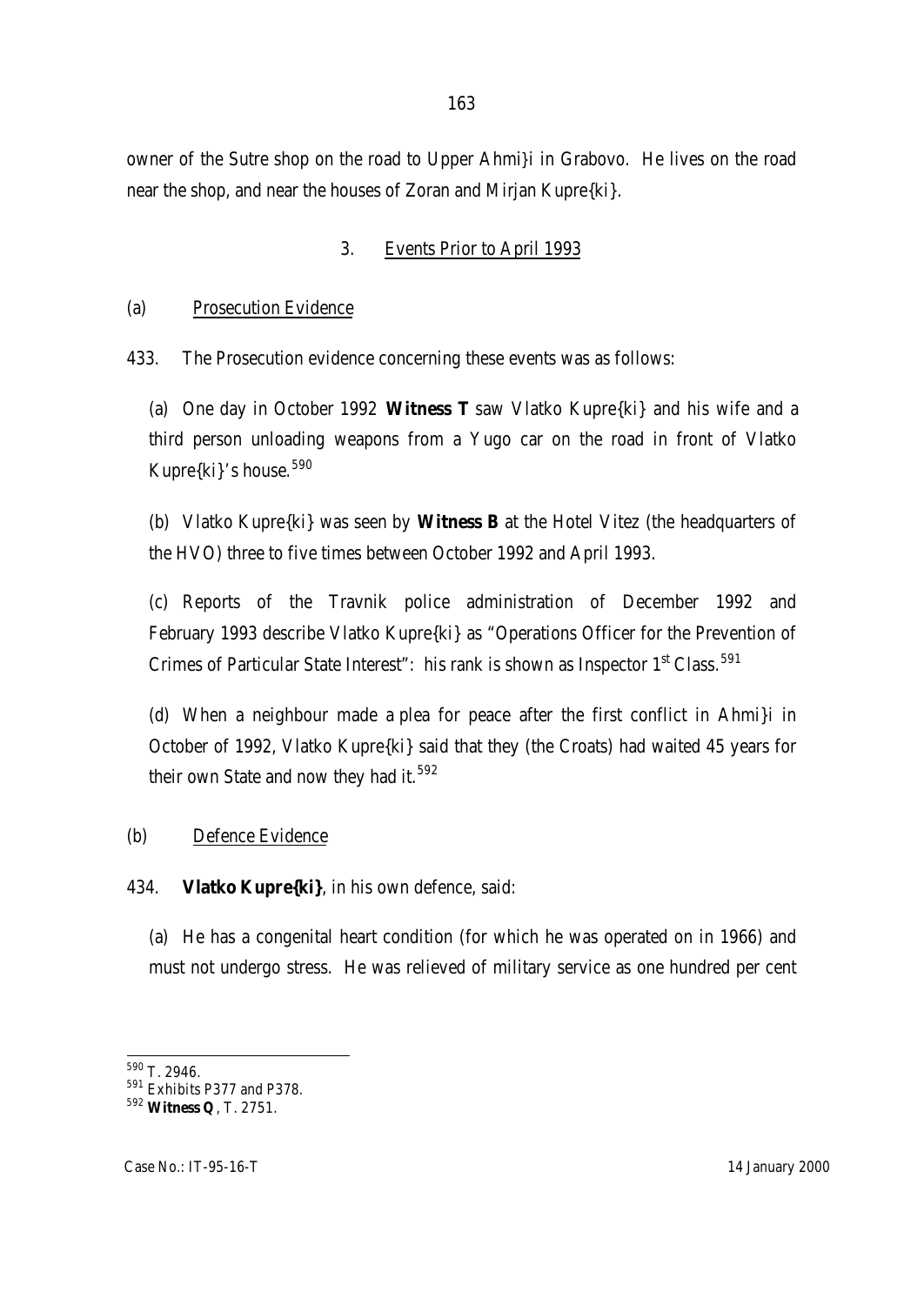owner of the Sutre shop on the road to Upper Ahmi}i in Grabovo. He lives on the road near the shop, and near the houses of Zoran and Mirjan Kupre{ki}.

# 3. Events Prior to April 1993

## (a) Prosecution Evidence

433. The Prosecution evidence concerning these events was as follows:

(a) One day in October 1992 **Witness T** saw Vlatko Kupre{ki} and his wife and a third person unloading weapons from a Yugo car on the road in front of Vlatko Kupre{ki}'s house.<sup>590</sup>

(b) Vlatko Kupre{ki} was seen by **Witness B** at the Hotel Vitez (the headquarters of the HVO) three to five times between October 1992 and April 1993.

(c) Reports of the Travnik police administration of December 1992 and February 1993 describe Vlatko Kupre{ki} as "Operations Officer for the Prevention of Crimes of Particular State Interest": his rank is shown as Inspector 1<sup>st</sup> Class.<sup>591</sup>

(d) When a neighbour made a plea for peace after the first conflict in Ahmi}i in October of 1992, Vlatko Kupre{ki} said that they (the Croats) had waited 45 years for their own State and now they had it.  $592$ 

# (b) Defence Evidence

434. **Vlatko Kupre{ki}**, in his own defence, said:

(a) He has a congenital heart condition (for which he was operated on in 1966) and must not undergo stress. He was relieved of military service as one hundred per cent

 $\overline{a}$ <sup>590</sup> Т. 2946.

 $^{591}$  Exhibits P377 and P378.

<sup>592</sup> **Witness Q**, T. 2751.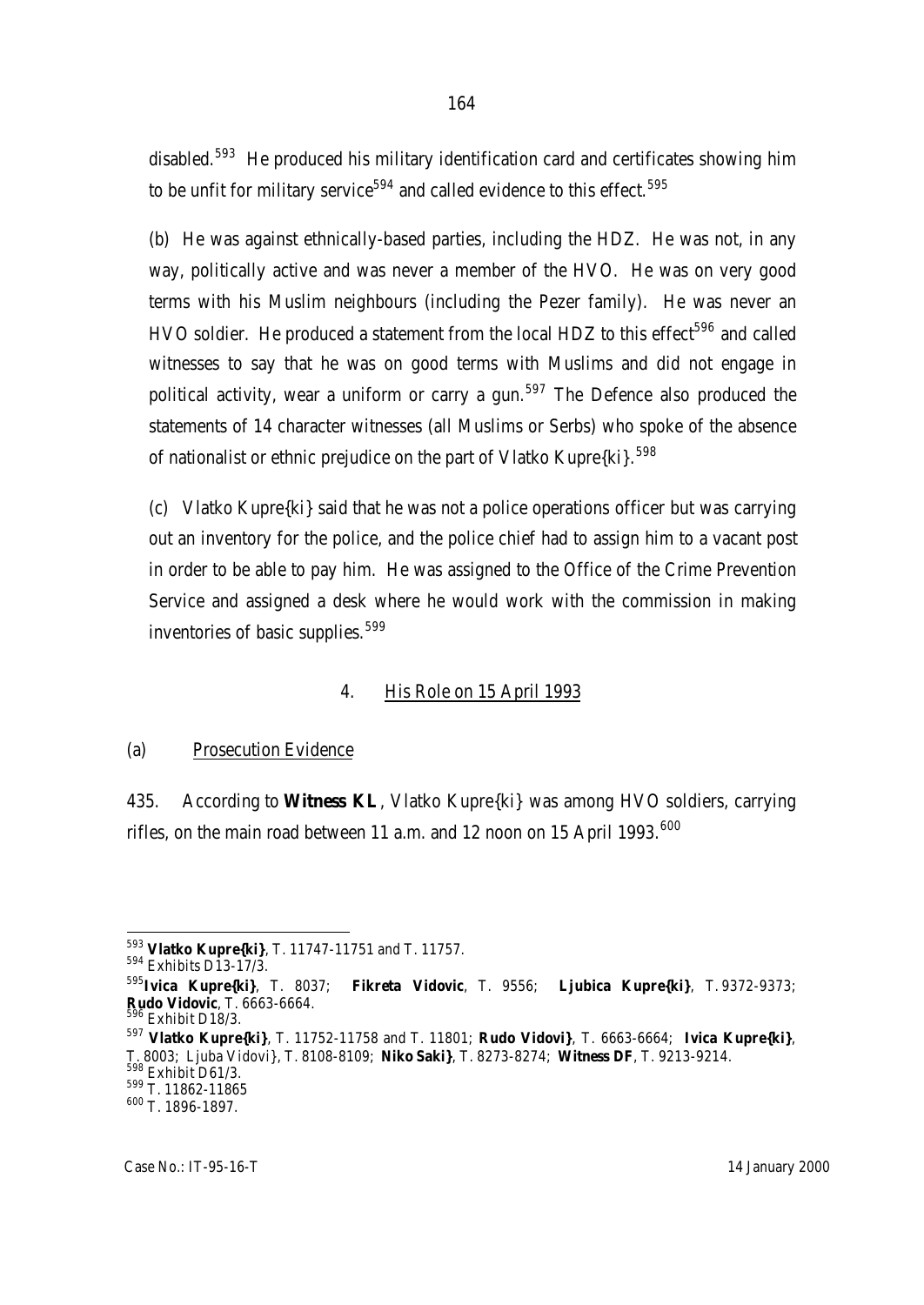disabled.<sup>593</sup> He produced his military identification card and certificates showing him to be unfit for military service<sup>594</sup> and called evidence to this effect.<sup>595</sup>

(b) He was against ethnically-based parties, including the HDZ. He was not, in any way, politically active and was never a member of the HVO. He was on very good terms with his Muslim neighbours (including the Pezer family). He was never an HVO soldier. He produced a statement from the local HDZ to this effect<sup>596</sup> and called witnesses to say that he was on good terms with Muslims and did not engage in political activity, wear a uniform or carry a gun.<sup>597</sup> The Defence also produced the statements of 14 character witnesses (all Muslims or Serbs) who spoke of the absence of nationalist or ethnic prejudice on the part of Vlatko Kupre $\{ki\}$ <sup>598</sup>

(c) Vlatko Kupre{ki} said that he was not a police operations officer but was carrying out an inventory for the police, and the police chief had to assign him to a vacant post in order to be able to pay him. He was assigned to the Office of the Crime Prevention Service and assigned a desk where he would work with the commission in making inventories of basic supplies.<sup>599</sup>

### 4. His Role on 15 April 1993

#### (a) Prosecution Evidence

435. According to **Witness KL**, Vlatko Kupre{ki} was among HVO soldiers, carrying rifles, on the main road between 11 a.m. and 12 noon on 15 April 1993.<sup>600</sup>

<sup>593</sup> **Vlatko Kupre{ki}**, T. 11747-11751 and T. 11757.

<sup>594</sup> Exhibits D13-17/3.

<sup>595</sup>**Ivica Kupre{ki}**, T. 8037; **Fikreta Vidovic**, T. 9556; **Ljubica Kupre{ki}**, T. 9372-9373; **Rudo Vidovic**, T. 6663-6664.

<sup>596</sup> Exhibit D18/3.

<sup>597</sup> **Vlatko Kupre{ki}**, T. 11752-11758 and T. 11801; **Rudo Vidovi}**, T. 6663-6664; **Ivica Kupre{ki}**, T. 8003; Ljuba Vidovi}, T. 8108-8109; **Niko Saki}**, T. 8273-8274; **Witness DF**, T. 9213-9214.

 $598$  Exhibit D61/3.

<sup>&</sup>lt;sup>599</sup> T. 11862-11865

<sup>600</sup> T. 1896-1897.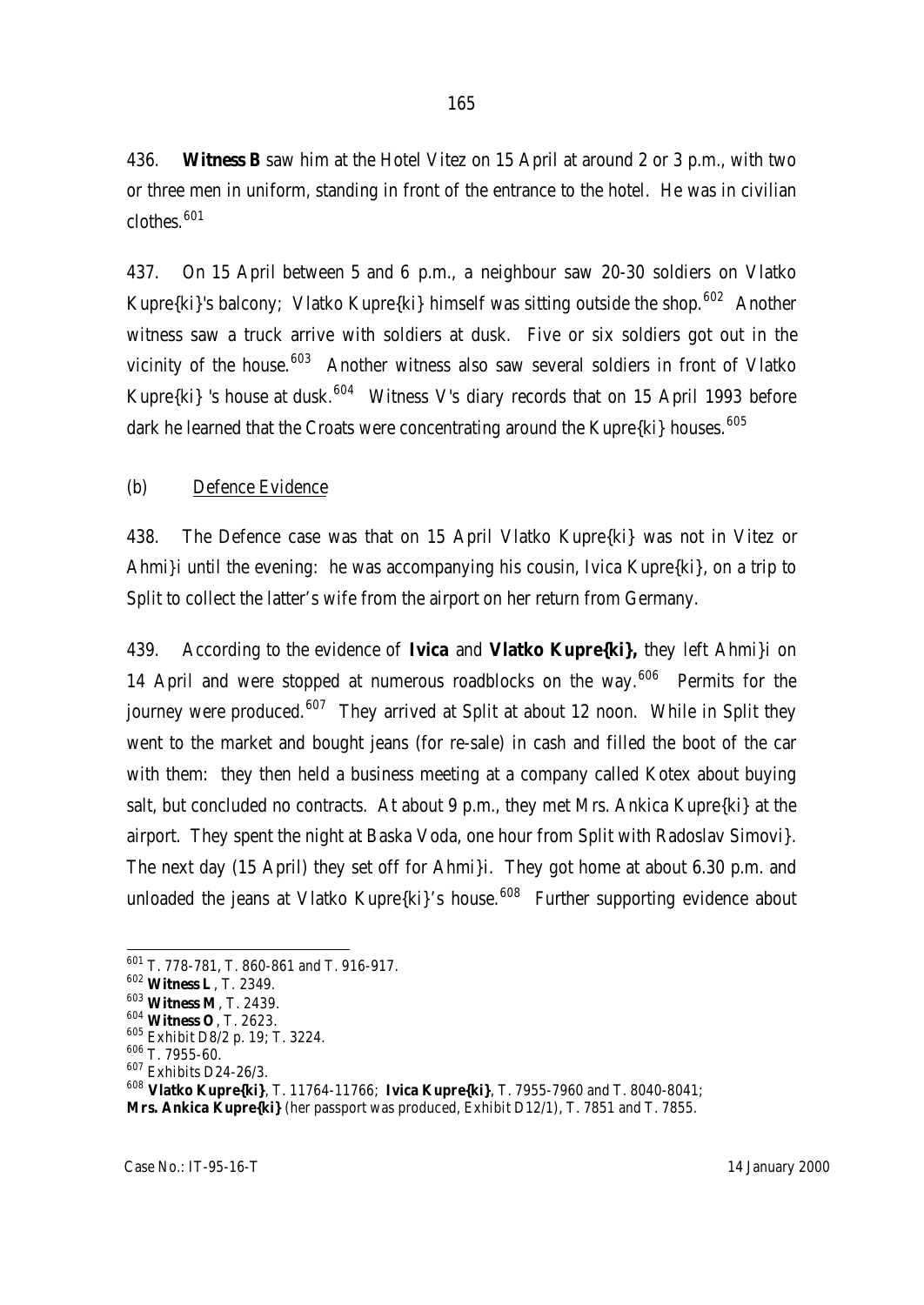436. **Witness B** saw him at the Hotel Vitez on 15 April at around 2 or 3 p.m., with two or three men in uniform, standing in front of the entrance to the hotel. He was in civilian

437. On 15 April between 5 and 6 p.m., a neighbour saw 20-30 soldiers on Vlatko Kupre $\{ki\}$ 's balcony; Vlatko Kupre $\{ki\}$  himself was sitting outside the shop.<sup>602</sup> Another witness saw a truck arrive with soldiers at dusk. Five or six soldiers got out in the vicinity of the house.<sup>603</sup> Another witness also saw several soldiers in front of Vlatko Kupre{ki} 's house at dusk.<sup>604</sup> Witness V's diary records that on 15 April 1993 before dark he learned that the Croats were concentrating around the Kupre{ki} houses.<sup>605</sup>

### (b) Defence Evidence

clothes.<sup>601</sup>

438. The Defence case was that on 15 April Vlatko Kupre{ki} was not in Vitez or Ahmi}i until the evening: he was accompanying his cousin, Ivica Kupre{ki}, on a trip to Split to collect the latter's wife from the airport on her return from Germany.

439. According to the evidence of **Ivica** and **Vlatko Kupre{ki},** they left Ahmi}i on 14 April and were stopped at numerous roadblocks on the way.<sup>606</sup> Permits for the journey were produced.<sup>607</sup> They arrived at Split at about 12 noon. While in Split they went to the market and bought jeans (for re-sale) in cash and filled the boot of the car with them: they then held a business meeting at a company called Kotex about buying salt, but concluded no contracts. At about 9 p.m., they met Mrs. Ankica Kupre{ki} at the airport. They spent the night at Baska Voda, one hour from Split with Radoslav Simovi}. The next day (15 April) they set off for Ahmi}i. They got home at about 6.30 p.m. and unloaded the jeans at Vlatko Kupre $\{ki\}'s$  house.<sup>608</sup> Further supporting evidence about

 $\overline{a}$ <sup>601</sup> T. 778-781, T. 860-861 and T. 916-917.

<sup>602</sup> **Witness L**, T. 2349.

<sup>603</sup> **Witness M**, T. 2439.

<sup>604</sup> **Witness O**, T. 2623.

<sup>605</sup> Exhibit D8/2 p. 19; T. 3224.

<sup>606</sup> T. 7955-60.

<sup>607</sup> Exhibits D24-26/3.

<sup>608</sup> **Vlatko Kupre{ki}**, T. 11764-11766; **Ivica Kupre{ki}**, T. 7955-7960 and T. 8040-8041;

**Mrs. Ankica Kupre{ki}** (her passport was produced, Exhibit D12/1), T. 7851 and T. 7855.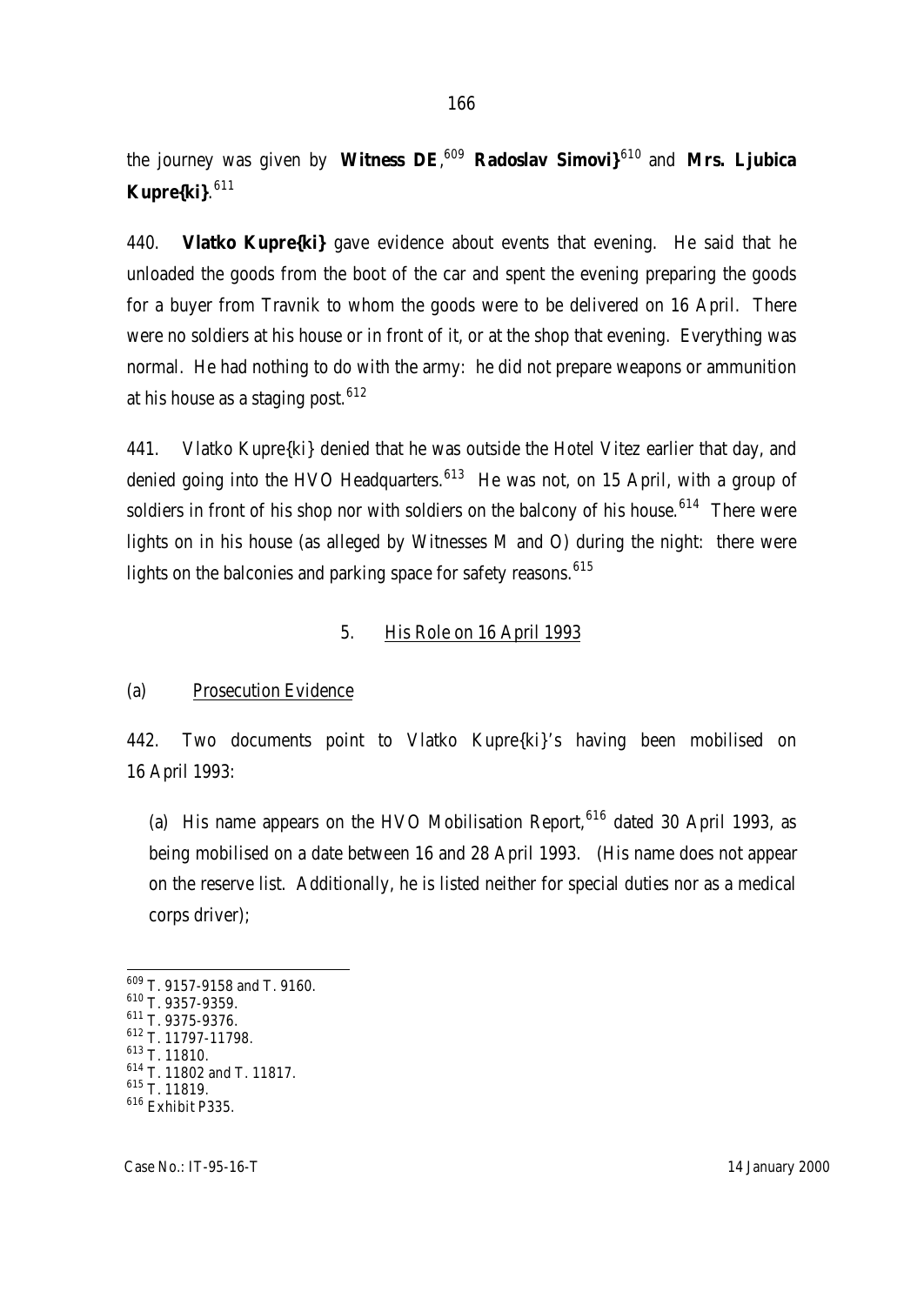the journey was given by **Witness DE**, <sup>609</sup> **Radoslav Simovi}**<sup>610</sup> and **Mrs. Ljubica Kupre{ki}**. 611

440. **Vlatko Kupre{ki}** gave evidence about events that evening. He said that he unloaded the goods from the boot of the car and spent the evening preparing the goods for a buyer from Travnik to whom the goods were to be delivered on 16 April. There were no soldiers at his house or in front of it, or at the shop that evening. Everything was normal. He had nothing to do with the army: he did not prepare weapons or ammunition at his house as a staging post.  $612$ 

441. Vlatko Kupre{ki} denied that he was outside the Hotel Vitez earlier that day, and denied going into the HVO Headquarters.<sup>613</sup> He was not, on 15 April, with a group of soldiers in front of his shop nor with soldiers on the balcony of his house.<sup>614</sup> There were lights on in his house (as alleged by Witnesses M and O) during the night: there were lights on the balconies and parking space for safety reasons.<sup>615</sup>

## 5. His Role on 16 April 1993

### (a) Prosecution Evidence

442. Two documents point to Vlatko Kupre{ki}'s having been mobilised on 16 April 1993:

(a) His name appears on the HVO Mobilisation Report,  $616$  dated 30 April 1993, as being mobilised on a date between 16 and 28 April 1993. (His name does not appear on the reserve list. Additionally, he is listed neither for special duties nor as a medical corps driver);

 $\overline{a}$ <sup>609</sup> T. 9157-9158 and T. 9160. <sup>610</sup> T. 9357-9359. <sup>611</sup> T. 9375-9376. <sup>612</sup> T. 11797-11798. <sup>613</sup> T. 11810. <sup>614</sup> T. 11802 and T. 11817. <sup>615</sup> T. 11819. <sup>616</sup> Exhibit P335.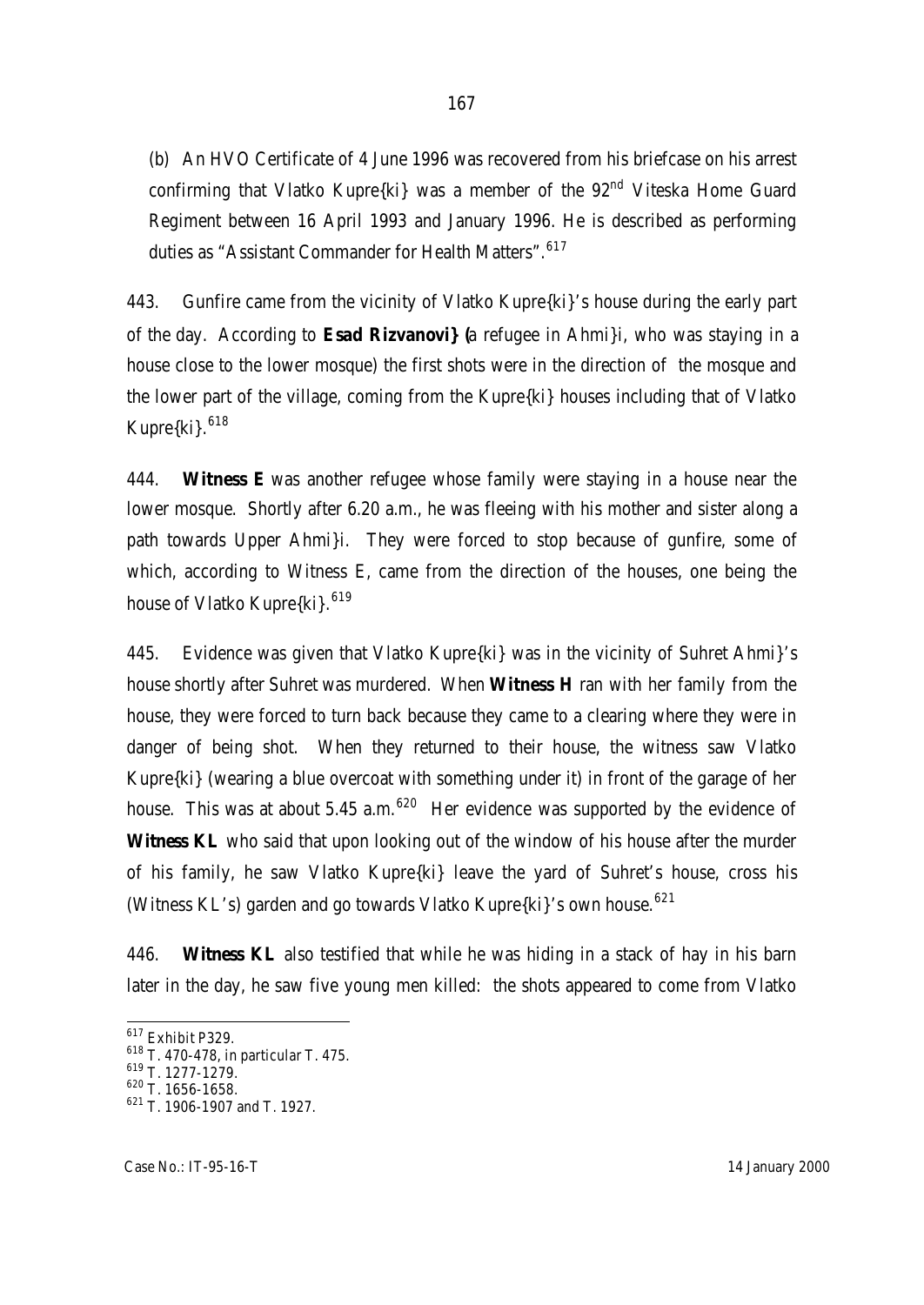(b) An HVO Certificate of 4 June 1996 was recovered from his briefcase on his arrest confirming that Vlatko Kupre{ki} was a member of the 92<sup>nd</sup> Viteska Home Guard Regiment between 16 April 1993 and January 1996. He is described as performing duties as "Assistant Commander for Health Matters".<sup>617</sup>

443. Gunfire came from the vicinity of Vlatko Kupre{ki}'s house during the early part of the day. According to **Esad Rizvanovi} (**a refugee in Ahmi}i, who was staying in a house close to the lower mosque) the first shots were in the direction of the mosque and the lower part of the village, coming from the Kupre{ki} houses including that of Vlatko Kupre{ki}.<sup>618</sup>

444. **Witness E** was another refugee whose family were staying in a house near the lower mosque. Shortly after 6.20 a.m., he was fleeing with his mother and sister along a path towards Upper Ahmi}i. They were forced to stop because of gunfire, some of which, according to Witness E, came from the direction of the houses, one being the house of Vlatko Kupre $\{ki\}$ .<sup>619</sup>

445. Evidence was given that Vlatko Kupre{ki} was in the vicinity of Suhret Ahmi}'s house shortly after Suhret was murdered. When **Witness H** ran with her family from the house, they were forced to turn back because they came to a clearing where they were in danger of being shot. When they returned to their house, the witness saw Vlatko Kupre{ki} (wearing a blue overcoat with something under it) in front of the garage of her house. This was at about 5.45 a.m. $620$  Her evidence was supported by the evidence of Witness KL who said that upon looking out of the window of his house after the murder of his family, he saw Vlatko Kupre{ki} leave the yard of Suhret's house, cross his (Witness KL's) garden and go towards Vlatko Kupre $\{ki\}'$ s own house.<sup>621</sup>

446. **Witness KL** also testified that while he was hiding in a stack of hay in his barn later in the day, he saw five young men killed: the shots appeared to come from Vlatko

 $\overline{a}$ <sup>617</sup> Exhibit P329.

<sup>618</sup> T. 470-478, in particular T. 475.

 $^{619}$  T. 1277-1279.

<sup>&</sup>lt;sup>620</sup> T. 1656-1658.

<sup>621</sup> T. 1906-1907 and T. 1927.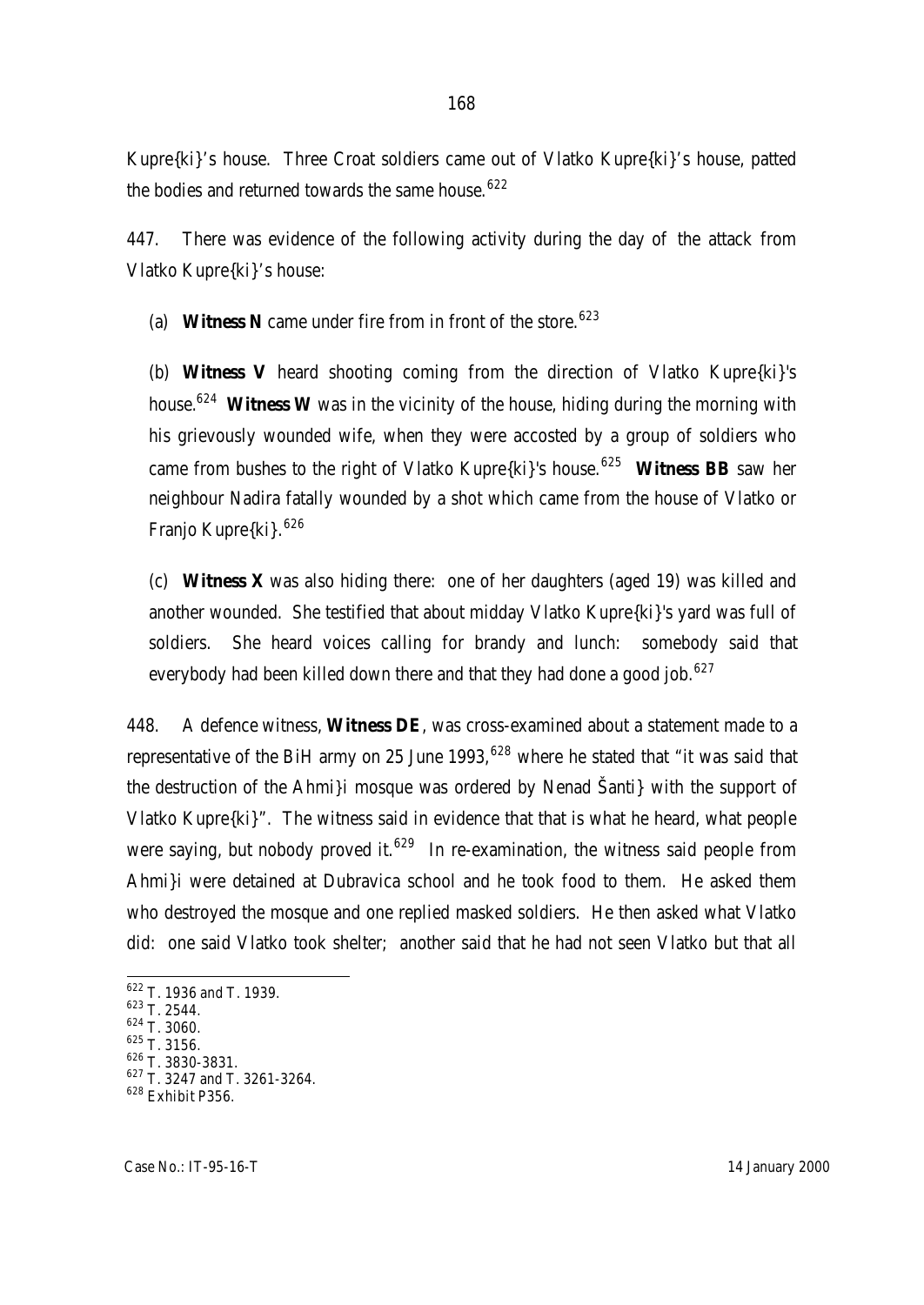Kupre{ki}'s house. Three Croat soldiers came out of Vlatko Kupre{ki}'s house, patted the bodies and returned towards the same house.<sup>622</sup>

447. There was evidence of the following activity during the day of the attack from Vlatko Kupre{ki}'s house:

(a) **Witness N** came under fire from in front of the store.<sup>623</sup>

(b) **Witness V** heard shooting coming from the direction of Vlatko Kupre{ki}'s house.<sup>624</sup> Witness W was in the vicinity of the house, hiding during the morning with his grievously wounded wife, when they were accosted by a group of soldiers who came from bushes to the right of Vlatko Kupre{ki}'s house.<sup>625</sup> Witness BB saw her neighbour Nadira fatally wounded by a shot which came from the house of Vlatko or Franjo Kupre{ki}.<sup>626</sup>

(c) **Witness X** was also hiding there: one of her daughters (aged 19) was killed and another wounded. She testified that about midday Vlatko Kupre{ki}'s yard was full of soldiers. She heard voices calling for brandy and lunch: somebody said that everybody had been killed down there and that they had done a good job.<sup>627</sup>

448. A defence witness, **Witness DE**, was cross-examined about a statement made to a representative of the BiH army on 25 June 1993,  $628$  where he stated that "it was said that the destruction of the Ahmi}i mosque was ordered by Nenad Šanti} with the support of Vlatko Kupre{ki}". The witness said in evidence that that is what he heard, what people were saying, but nobody proved it.<sup>629</sup> In re-examination, the witness said people from Ahmi}i were detained at Dubravica school and he took food to them. He asked them who destroyed the mosque and one replied masked soldiers. He then asked what Vlatko did: one said Vlatko took shelter; another said that he had not seen Vlatko but that all

 $\overline{a}$ <sup>622</sup> T. 1936 and T. 1939.

<sup>623</sup> T. 2544.

<sup>624</sup> T. 3060.

<sup>625</sup> T. 3156.

 $^{626}$  T. 3830-3831.

<sup>&</sup>lt;sup>627</sup> T. 3247 and T. 3261-3264.

<sup>628</sup> Exhibit P356.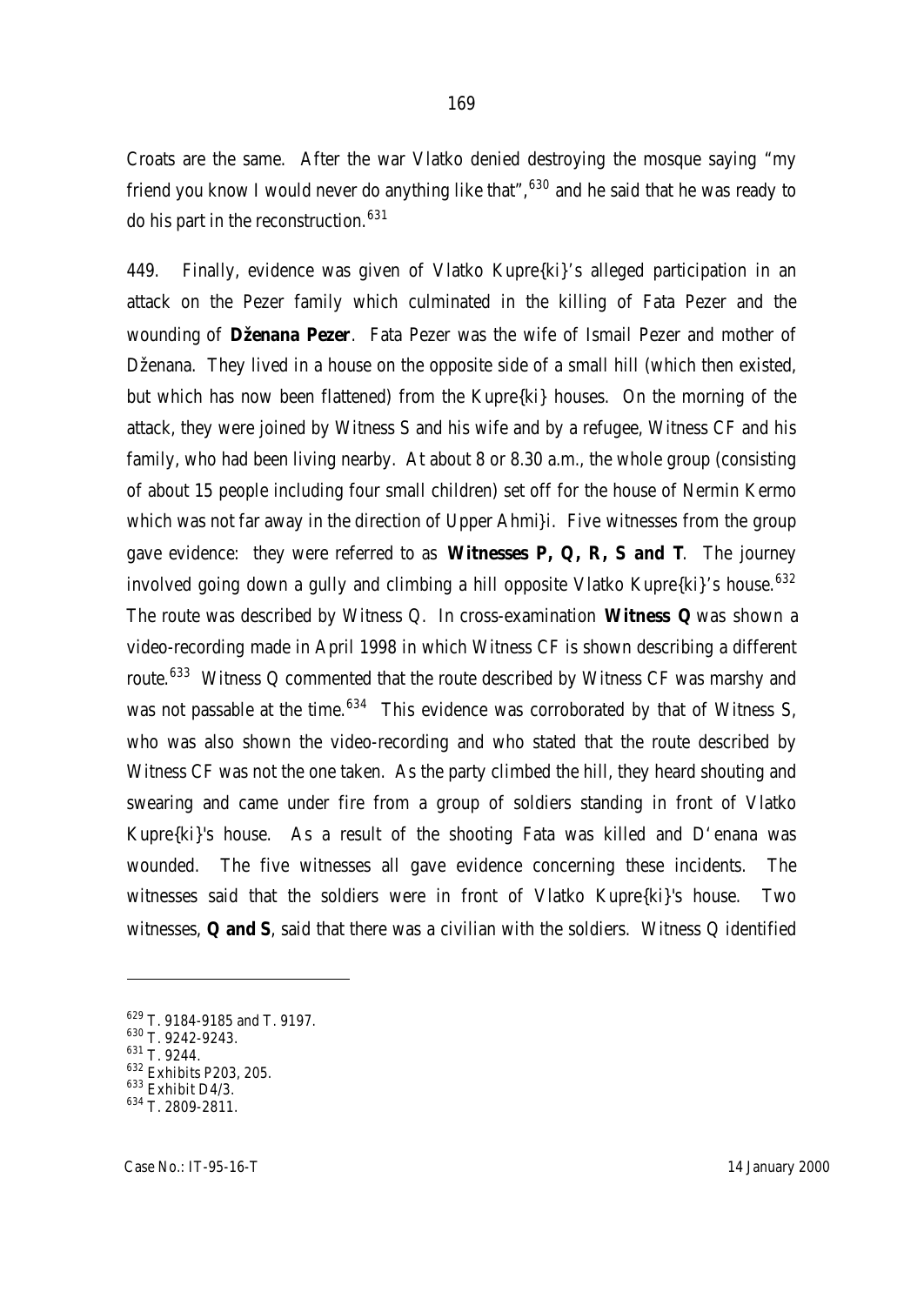Croats are the same. After the war Vlatko denied destroying the mosque saying "my friend you know I would never do anything like that",  $630$  and he said that he was ready to do his part in the reconstruction.<sup>631</sup>

449. Finally, evidence was given of Vlatko Kupre{ki}'s alleged participation in an attack on the Pezer family which culminated in the killing of Fata Pezer and the wounding of **Dženana Pezer**. Fata Pezer was the wife of Ismail Pezer and mother of Dženana. They lived in a house on the opposite side of a small hill (which then existed, but which has now been flattened) from the Kupre{ki} houses. On the morning of the attack, they were joined by Witness S and his wife and by a refugee, Witness CF and his family, who had been living nearby. At about 8 or 8.30 a.m., the whole group (consisting of about 15 people including four small children) set off for the house of Nermin Kermo which was not far away in the direction of Upper Ahmi}i. Five witnesses from the group gave evidence: they were referred to as **Witnesses P, Q, R, S and T**. The journey involved going down a gully and climbing a hill opposite Vlatko Kupre $\{ki\}'$ s house.<sup>632</sup> The route was described by Witness Q. In cross-examination **Witness Q** was shown a video-recording made in April 1998 in which Witness CF is shown describing a different route.<sup>633</sup> Witness Q commented that the route described by Witness CF was marshy and was not passable at the time.<sup>634</sup> This evidence was corroborated by that of Witness S, who was also shown the video-recording and who stated that the route described by Witness CF was not the one taken. As the party climbed the hill, they heard shouting and swearing and came under fire from a group of soldiers standing in front of Vlatko Kupre{ki}'s house. As a result of the shooting Fata was killed and D'enana was wounded. The five witnesses all gave evidence concerning these incidents. The witnesses said that the soldiers were in front of Vlatko Kupre{ki}'s house. Two witnesses, **Q and S**, said that there was a civilian with the soldiers. Witness Q identified

<sup>629</sup> T. 9184-9185 and T. 9197.

<sup>630</sup> T. 9242-9243.

<sup>631</sup> T. 9244.

<sup>632</sup> Exhibits P203, 205.  $633$  Exhibit D4/3.

<sup>634</sup> T. 2809-2811.

Case No.: IT-95-16-T 14 January 2000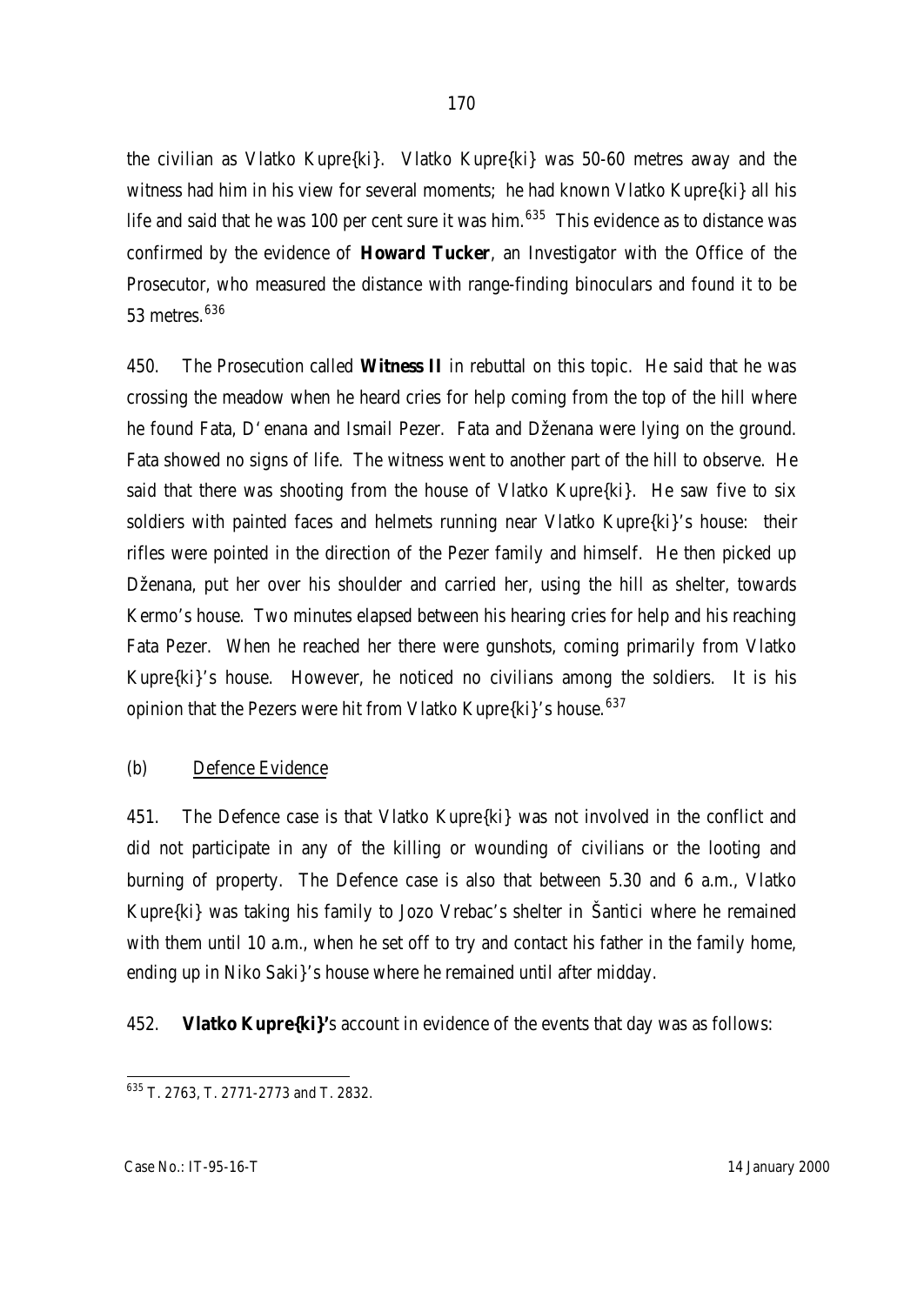the civilian as Vlatko Kupre{ki}. Vlatko Kupre{ki} was 50-60 metres away and the witness had him in his view for several moments; he had known Vlatko Kupre{ki} all his life and said that he was 100 per cent sure it was him. $635$  This evidence as to distance was confirmed by the evidence of **Howard Tucker**, an Investigator with the Office of the Prosecutor, who measured the distance with range-finding binoculars and found it to be 53 metres.<sup>636</sup>

450. The Prosecution called **Witness II** in rebuttal on this topic. He said that he was crossing the meadow when he heard cries for help coming from the top of the hill where he found Fata, D'enana and Ismail Pezer. Fata and Dženana were lying on the ground. Fata showed no signs of life. The witness went to another part of the hill to observe. He said that there was shooting from the house of Vlatko Kupre{ki}. He saw five to six soldiers with painted faces and helmets running near Vlatko Kupre{ki}'s house: their rifles were pointed in the direction of the Pezer family and himself. He then picked up Dženana, put her over his shoulder and carried her, using the hill as shelter, towards Kermo's house. Two minutes elapsed between his hearing cries for help and his reaching Fata Pezer. When he reached her there were gunshots, coming primarily from Vlatko Kupre{ki}'s house. However, he noticed no civilians among the soldiers. It is his opinion that the Pezers were hit from Vlatko Kupre $\{ki\}'$ s house.<sup>637</sup>

# (b) Defence Evidence

451. The Defence case is that Vlatko Kupre{ki} was not involved in the conflict and did not participate in any of the killing or wounding of civilians or the looting and burning of property. The Defence case is also that between 5.30 and 6 a.m., Vlatko Kupre{ki} was taking his family to Jozo Vrebac's shelter in Šantici where he remained with them until 10 a.m., when he set off to try and contact his father in the family home, ending up in Niko Saki}'s house where he remained until after midday.

452. **Vlatko Kupre{ki}'**s account in evidence of the events that day was as follows:

 $\overline{a}$ <sup>635</sup> T. 2763, T. 2771-2773 and T. 2832.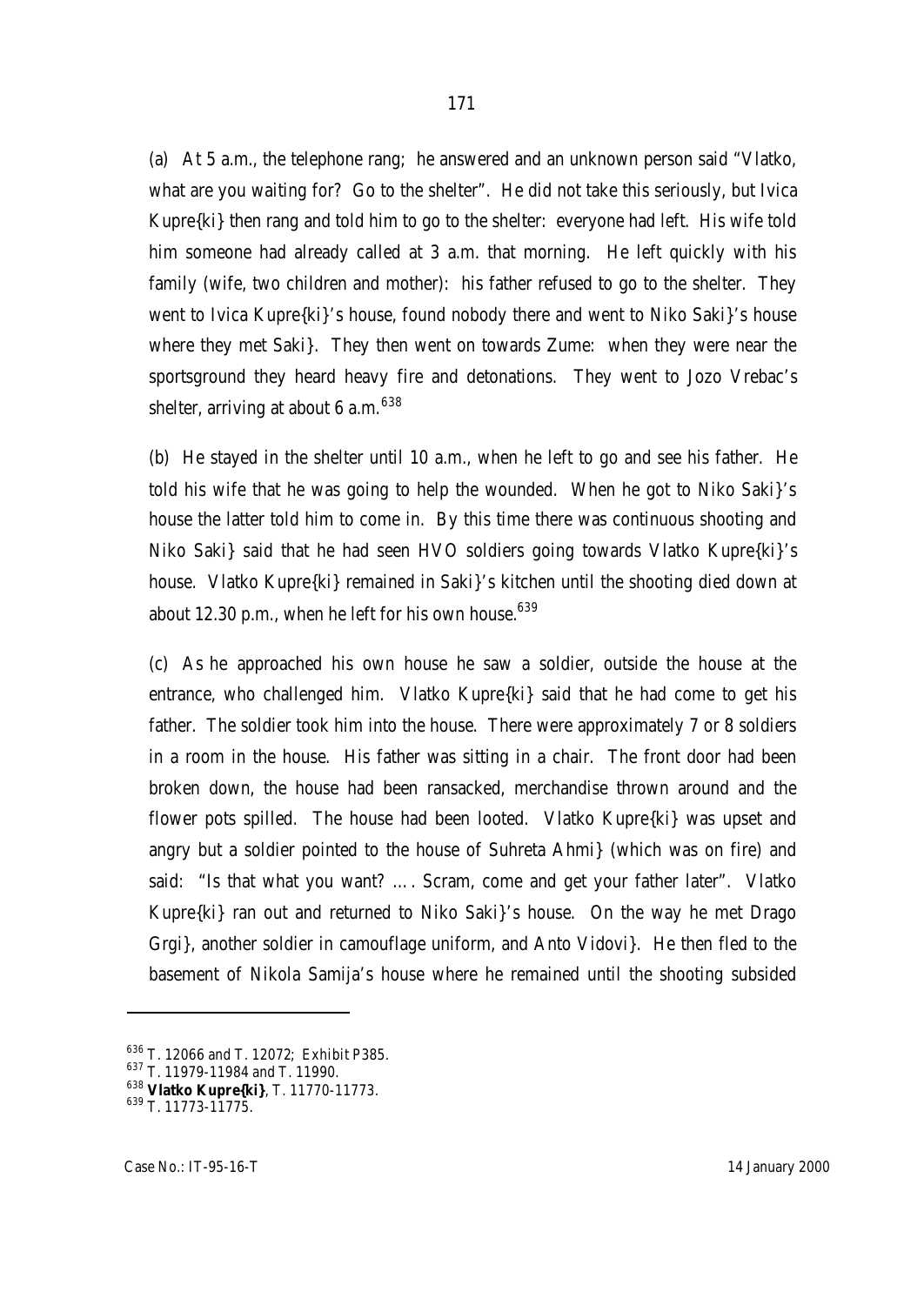(a) At 5 a.m., the telephone rang; he answered and an unknown person said "Vlatko, what are you waiting for? Go to the shelter". He did not take this seriously, but Ivica Kupre{ki} then rang and told him to go to the shelter: everyone had left. His wife told him someone had already called at 3 a.m. that morning.He left quickly with his family (wife, two children and mother): his father refused to go to the shelter. They went to Ivica Kupre{ki}'s house, found nobody there and went to Niko Saki}'s house where they met Saki}. They then went on towards Zume: when they were near the sportsground they heard heavy fire and detonations. They went to Jozo Vrebac's shelter, arriving at about 6 a.m. 638

(b) He stayed in the shelter until 10 a.m., when he left to go and see his father. He told his wife that he was going to help the wounded. When he got to Niko Saki}'s house the latter told him to come in. By this time there was continuous shooting and Niko Saki} said that he had seen HVO soldiers going towards Vlatko Kupre{ki}'s house. Vlatko Kupre{ki} remained in Saki}'s kitchen until the shooting died down at about 12.30 p.m., when he left for his own house.<sup>639</sup>

(c) As he approached his own house he saw a soldier, outside the house at the entrance, who challenged him. Vlatko Kupre{ki} said that he had come to get his father. The soldier took him into the house. There were approximately 7 or 8 soldiers in a room in the house. His father was sitting in a chair. The front door had been broken down, the house had been ransacked, merchandise thrown around and the flower pots spilled. The house had been looted. Vlatko Kupre{ki} was upset and angry but a soldier pointed to the house of Suhreta Ahmi} (which was on fire) and said: "Is that what you want? …. Scram, come and get your father later". Vlatko Kupre{ki} ran out and returned to Niko Saki}'s house. On the way he met Drago Grgi}, another soldier in camouflage uniform, and Anto Vidovi}. He then fled to the basement of Nikola Samija's house where he remained until the shooting subsided

<sup>636</sup> T. 12066 and T. 12072; Exhibit P385.

<sup>637</sup> T. 11979-11984 and T. 11990.

<sup>638</sup> **Vlatko Kupre{ki}**, T. 11770-11773.

<sup>639</sup> T. 11773-11775.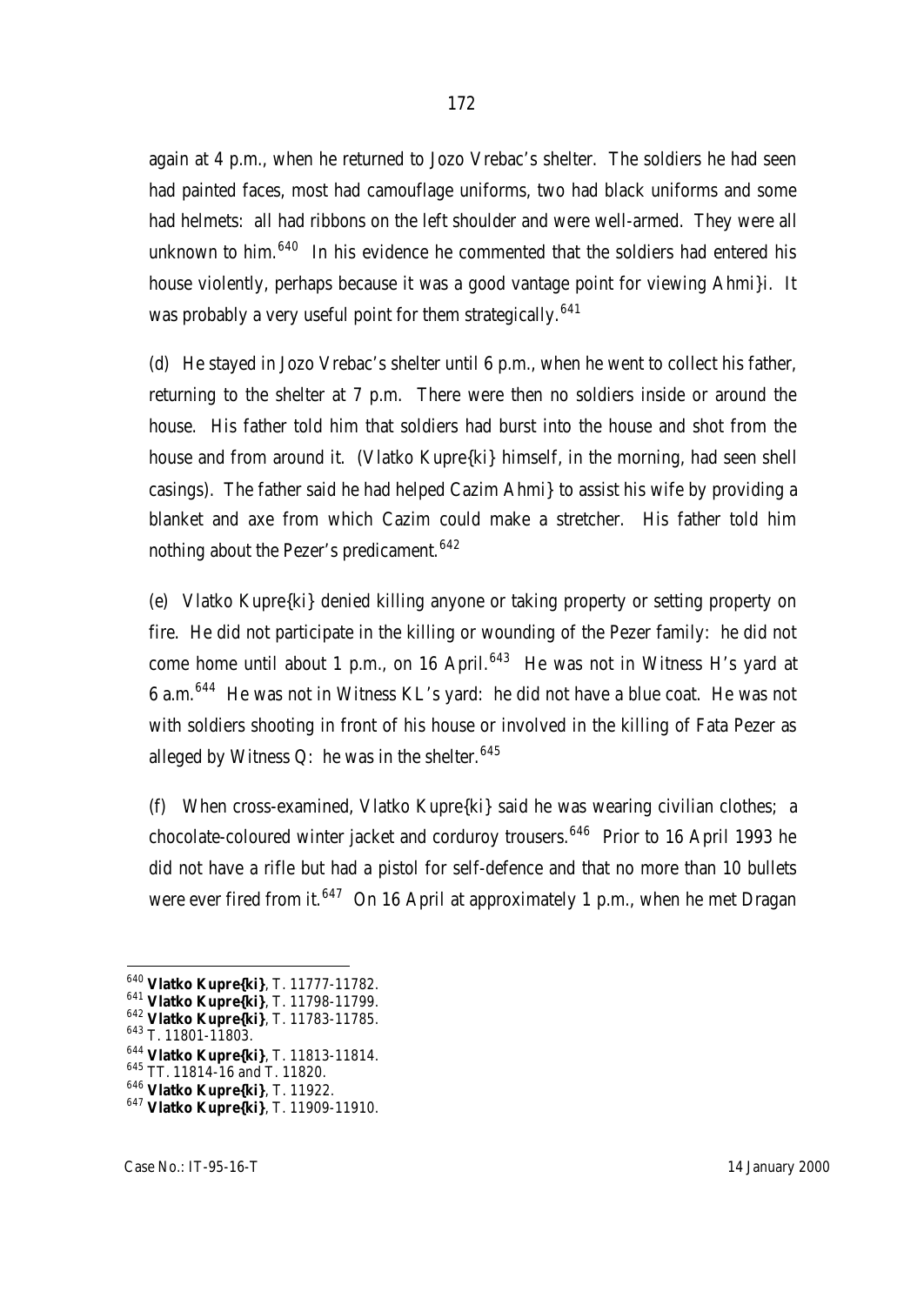again at 4 p.m., when he returned to Jozo Vrebac's shelter. The soldiers he had seen had painted faces, most had camouflage uniforms, two had black uniforms and some had helmets: all had ribbons on the left shoulder and were well-armed. They were all unknown to him.<sup>640</sup> In his evidence he commented that the soldiers had entered his house violently, perhaps because it was a good vantage point for viewing Ahmi}i. It was probably a very useful point for them strategically.<sup>641</sup>

(d) He stayed in Jozo Vrebac's shelter until 6 p.m., when he went to collect his father, returning to the shelter at 7 p.m. There were then no soldiers inside or around the house. His father told him that soldiers had burst into the house and shot from the house and from around it. (Vlatko Kupre{ki} himself, in the morning, had seen shell casings). The father said he had helped Cazim Ahmi} to assist his wife by providing a blanket and axe from which Cazim could make a stretcher. His father told him nothing about the Pezer's predicament.<sup>642</sup>

(e) Vlatko Kupre{ki} denied killing anyone or taking property or setting property on fire. He did not participate in the killing or wounding of the Pezer family: he did not come home until about 1 p.m., on 16 April.<sup>643</sup> He was not in Witness H's yard at 6 a.m.<sup>644</sup> He was not in Witness KL's yard: he did not have a blue coat. He was not with soldiers shooting in front of his house or involved in the killing of Fata Pezer as alleged by Witness  $Q$ : he was in the shelter.  $645$ 

(f) When cross-examined, Vlatko Kupre{ki} said he was wearing civilian clothes; a chocolate-coloured winter jacket and corduroy trousers.<sup>646</sup> Prior to 16 April 1993 he did not have a rifle but had a pistol for self-defence and that no more than 10 bullets were ever fired from it.<sup>647</sup> On 16 April at approximately 1 p.m., when he met Dragan

<sup>640</sup> **Vlatko Kupre{ki}**, T. 11777-11782.

<sup>641</sup> **Vlatko Kupre{ki}**, T. 11798-11799.

<sup>642</sup> **Vlatko Kupre{ki}**, T. 11783-11785.

<sup>643</sup> T. 11801-11803.

<sup>644</sup> **Vlatko Kupre{ki}**, T. 11813-11814.

<sup>645</sup> TT. 11814-16 and T. 11820.

<sup>646</sup> **Vlatko Kupre{ki}**, T. 11922.

<sup>647</sup> **Vlatko Kupre{ki}**, T. 11909-11910.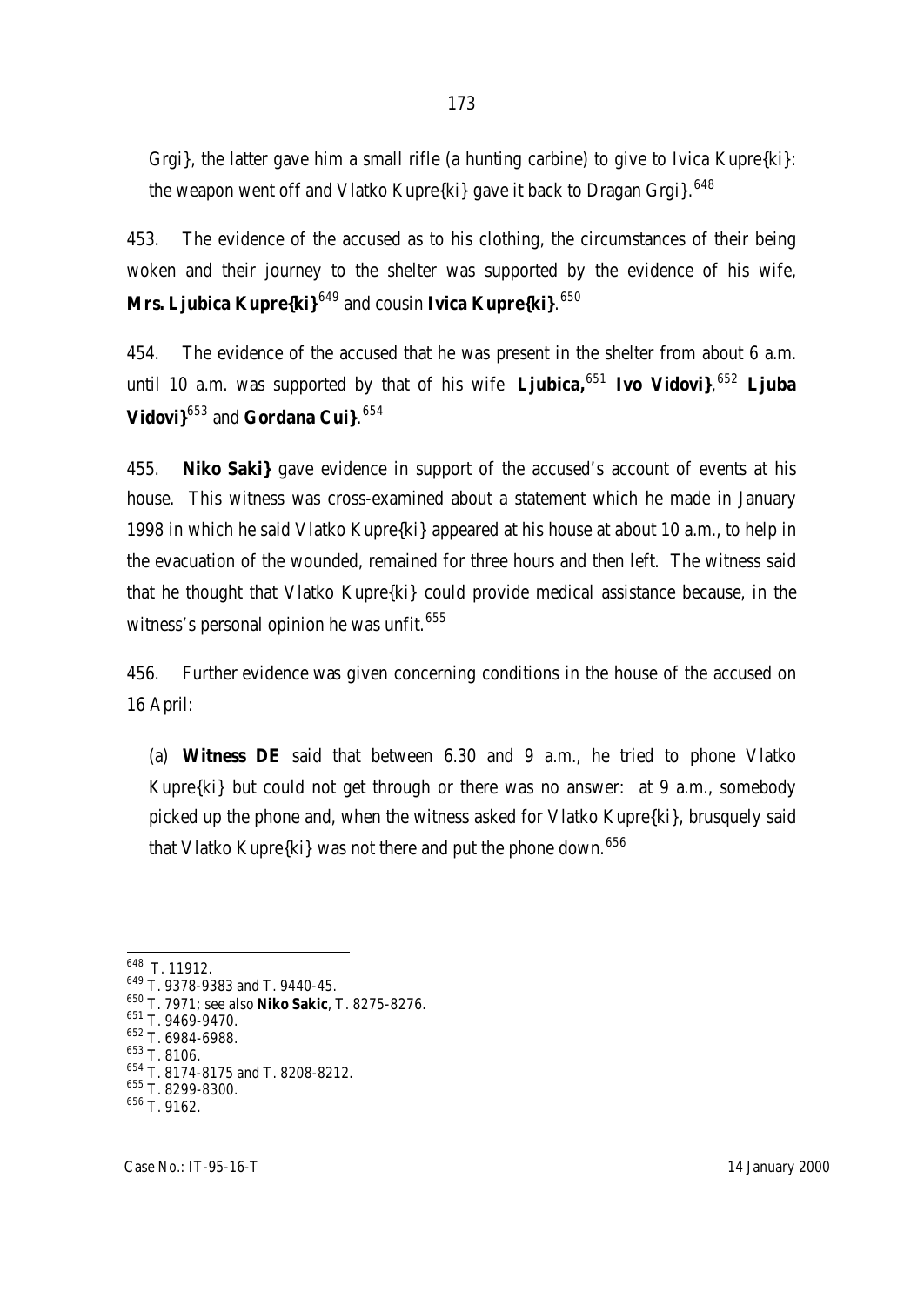Grgi}, the latter gave him a small rifle (a hunting carbine) to give to Ivica Kupre{ki}: the weapon went off and Vlatko Kupre $\{ki\}$  gave it back to Dragan Grgi $\}$ .<sup>648</sup>

453. The evidence of the accused as to his clothing, the circumstances of their being woken and their journey to the shelter was supported by the evidence of his wife, **Mrs. Ljubica Kupre{ki}<sup>649</sup> and cousin Ivica Kupre{ki}.<sup>650</sup>** 

454. The evidence of the accused that he was present in the shelter from about 6 a.m. until 10 a.m. was supported by that of his wife **Ljubica,**<sup>651</sup> **Ivo Vidovi}**, <sup>652</sup> **Ljuba Vidovi}**<sup>653</sup> and **Gordana Cui}**. 654

455. **Niko Saki}** gave evidence in support of the accused's account of events at his house. This witness was cross-examined about a statement which he made in January 1998 in which he said Vlatko Kupre{ki} appeared at his house at about 10 a.m., to help in the evacuation of the wounded, remained for three hours and then left. The witness said that he thought that Vlatko Kupre{ki} could provide medical assistance because, in the witness's personal opinion he was unfit.<sup>655</sup>

456. Further evidence was given concerning conditions in the house of the accused on 16 April:

(a) **Witness DE** said that between 6.30 and 9 a.m., he tried to phone Vlatko Kupre{ki} but could not get through or there was no answer: at 9 a.m., somebody picked up the phone and, when the witness asked for Vlatko Kupre{ki}, brusquely said that Vlatko Kupre $\{ki\}$  was not there and put the phone down.<sup>656</sup>

 648 T. 11912.

<sup>649</sup> T. 9378-9383 and T. 9440-45.

<sup>650</sup> T. 7971; see also **Niko Sakic**, T. 8275-8276.

<sup>651</sup> T. 9469-9470.

<sup>652</sup> T. 6984-6988.

<sup>653</sup> T. 8106.

<sup>654</sup> T. 8174-8175 and T. 8208-8212. <sup>655</sup> T. 8299-8300.

<sup>656</sup> T. 9162.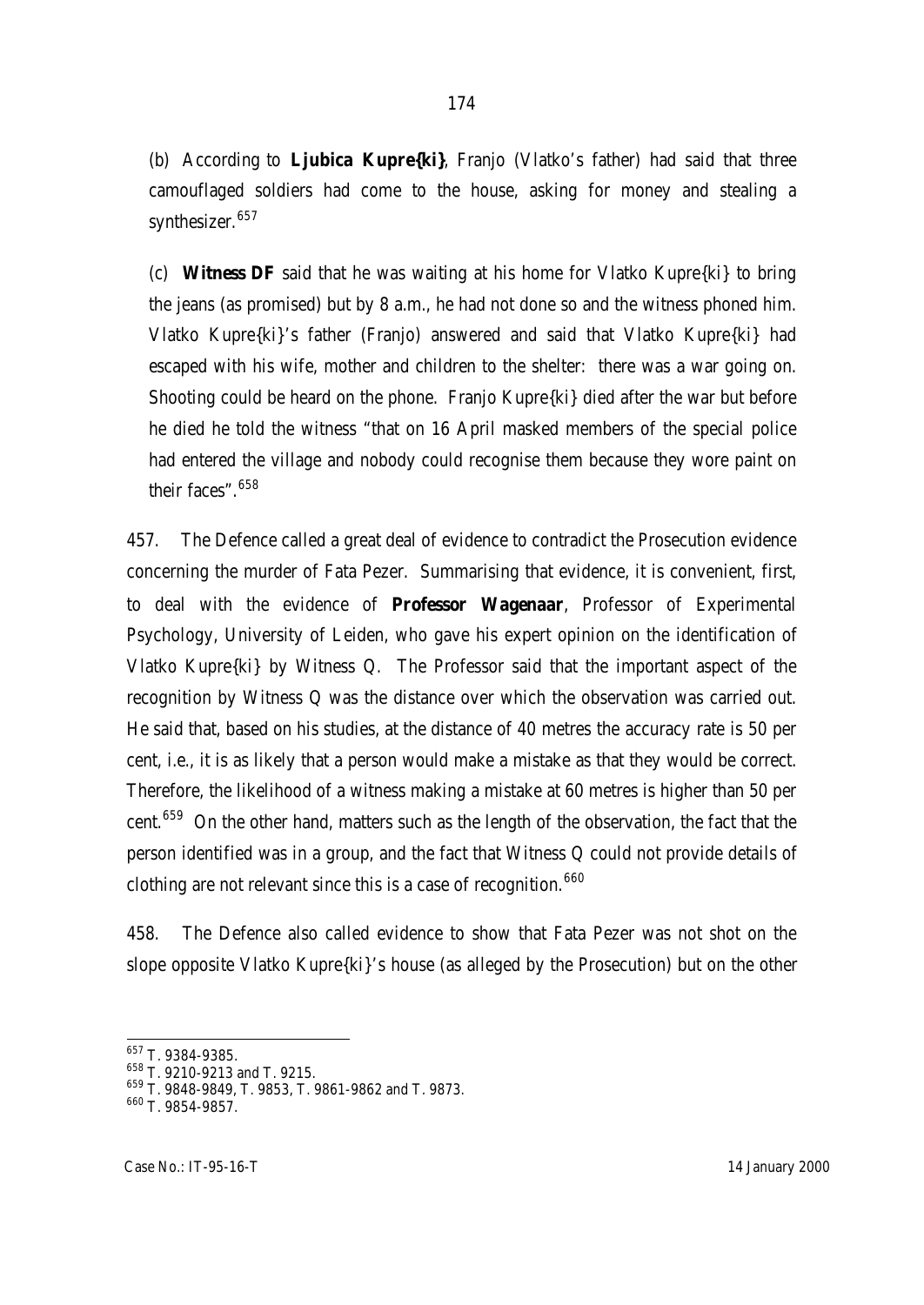(b) According to **Ljubica Kupre{ki}**, Franjo (Vlatko's father) had said that three camouflaged soldiers had come to the house, asking for money and stealing a synthesizer.<sup>657</sup>

(c) **Witness DF** said that he was waiting at his home for Vlatko Kupre{ki} to bring the jeans (as promised) but by 8 a.m., he had not done so and the witness phoned him. Vlatko Kupre{ki}'s father (Franjo) answered and said that Vlatko Kupre{ki} had escaped with his wife, mother and children to the shelter: there was a war going on. Shooting could be heard on the phone. Franjo Kupre{ki} died after the war but before he died he told the witness "that on 16 April masked members of the special police had entered the village and nobody could recognise them because they wore paint on their faces". 658

457. The Defence called a great deal of evidence to contradict the Prosecution evidence concerning the murder of Fata Pezer. Summarising that evidence, it is convenient, first, to deal with the evidence of **Professor Wagenaar**, Professor of Experimental Psychology, University of Leiden, who gave his expert opinion on the identification of Vlatko Kupre{ki} by Witness Q. The Professor said that the important aspect of the recognition by Witness Q was the distance over which the observation was carried out. He said that, based on his studies, at the distance of 40 metres the accuracy rate is 50 per cent, i.e., it is as likely that a person would make a mistake as that they would be correct. Therefore, the likelihood of a witness making a mistake at 60 metres is higher than 50 per cent.<sup>659</sup> On the other hand, matters such as the length of the observation, the fact that the person identified was in a group, and the fact that Witness Q could not provide details of clothing are not relevant since this is a case of recognition.<sup>660</sup>

458. The Defence also called evidence to show that Fata Pezer was not shot on the slope opposite Vlatko Kupre{ki}'s house (as alleged by the Prosecution) but on the other

 $\overline{a}$ <sup>657</sup> T. 9384-9385.

<sup>658</sup> T. 9210-9213 and T. 9215.

<sup>659</sup> T. 9848-9849, T. 9853, T. 9861-9862 and T. 9873.

<sup>660</sup> T. 9854-9857.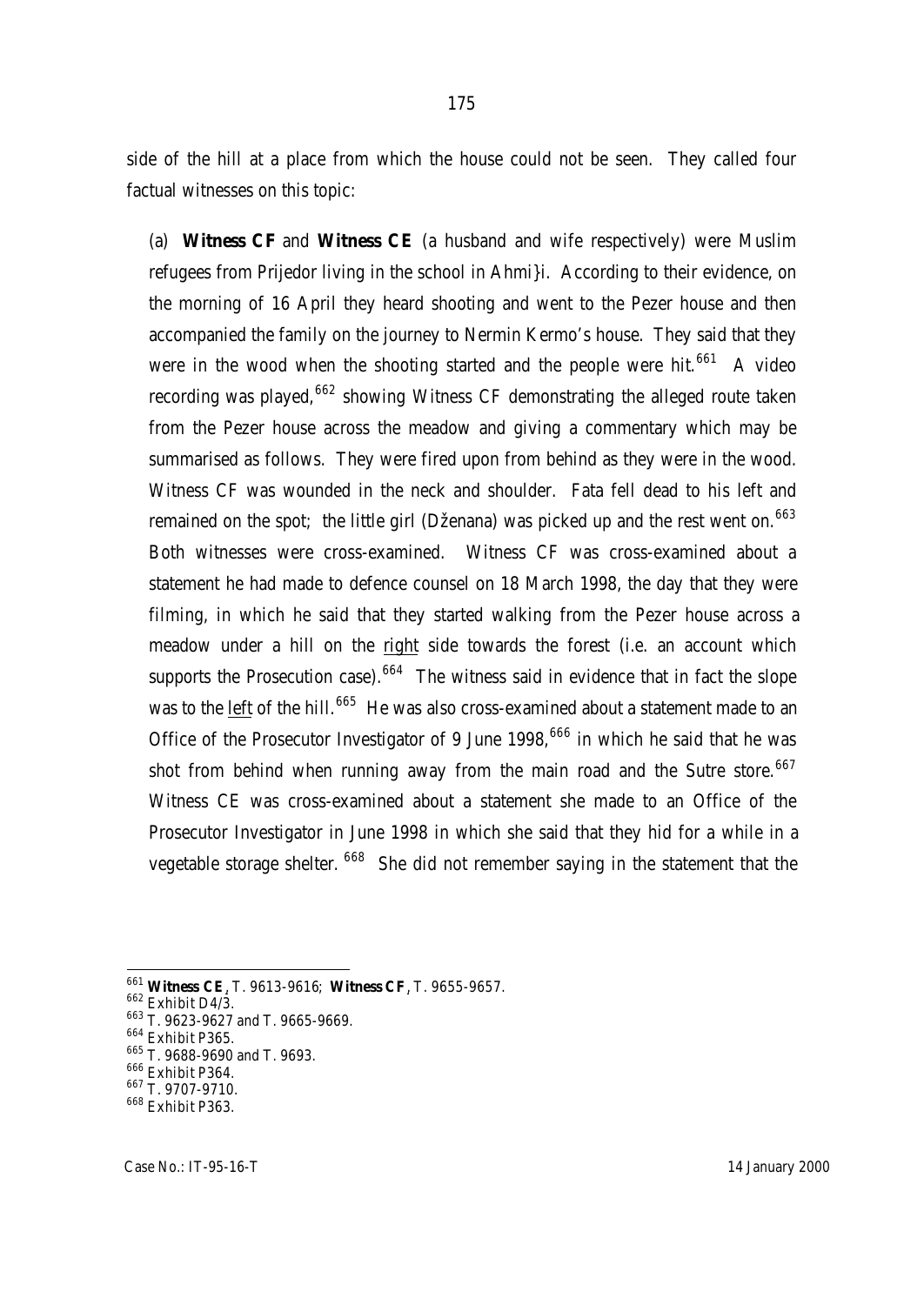side of the hill at a place from which the house could not be seen. They called four factual witnesses on this topic:

175

(a) **Witness CF** and **Witness CE** (a husband and wife respectively) were Muslim refugees from Prijedor living in the school in Ahmi}i. According to their evidence, on the morning of 16 April they heard shooting and went to the Pezer house and then accompanied the family on the journey to Nermin Kermo's house. They said that they were in the wood when the shooting started and the people were hit.<sup>661</sup> A video recording was played,  $662$  showing Witness CF demonstrating the alleged route taken from the Pezer house across the meadow and giving a commentary which may be summarised as follows. They were fired upon from behind as they were in the wood. Witness CF was wounded in the neck and shoulder. Fata fell dead to his left and remained on the spot; the little girl (Dženana) was picked up and the rest went on.<sup>663</sup> Both witnesses were cross-examined. Witness CF was cross-examined about a statement he had made to defence counsel on 18 March 1998, the day that they were filming, in which he said that they started walking from the Pezer house across a meadow under a hill on the right side towards the forest (i.e. an account which supports the Prosecution case).<sup>664</sup> The witness said in evidence that in fact the slope was to the left of the hill.<sup>665</sup> He was also cross-examined about a statement made to an Office of the Prosecutor Investigator of 9 June 1998,<sup>666</sup> in which he said that he was shot from behind when running away from the main road and the Sutre store.<sup>667</sup> Witness CE was cross-examined about a statement she made to an Office of the Prosecutor Investigator in June 1998 in which she said that they hid for a while in a vegetable storage shelter. <sup>668</sup> She did not remember saying in the statement that the

l

Case No.: IT-95-16-T 14 January 2000

<sup>661</sup> **Witness CE**, T. 9613-9616; **Witness CF**, T. 9655-9657.

<sup>662</sup> Exhibit D4/3.

<sup>663</sup> T. 9623-9627 and T. 9665-9669.

<sup>664</sup> Exhibit P365.

<sup>665</sup> T. 9688-9690 and T. 9693.

<sup>666</sup> Exhibit P364.

<sup>667</sup> T. 9707-9710.

<sup>668</sup> Exhibit P363.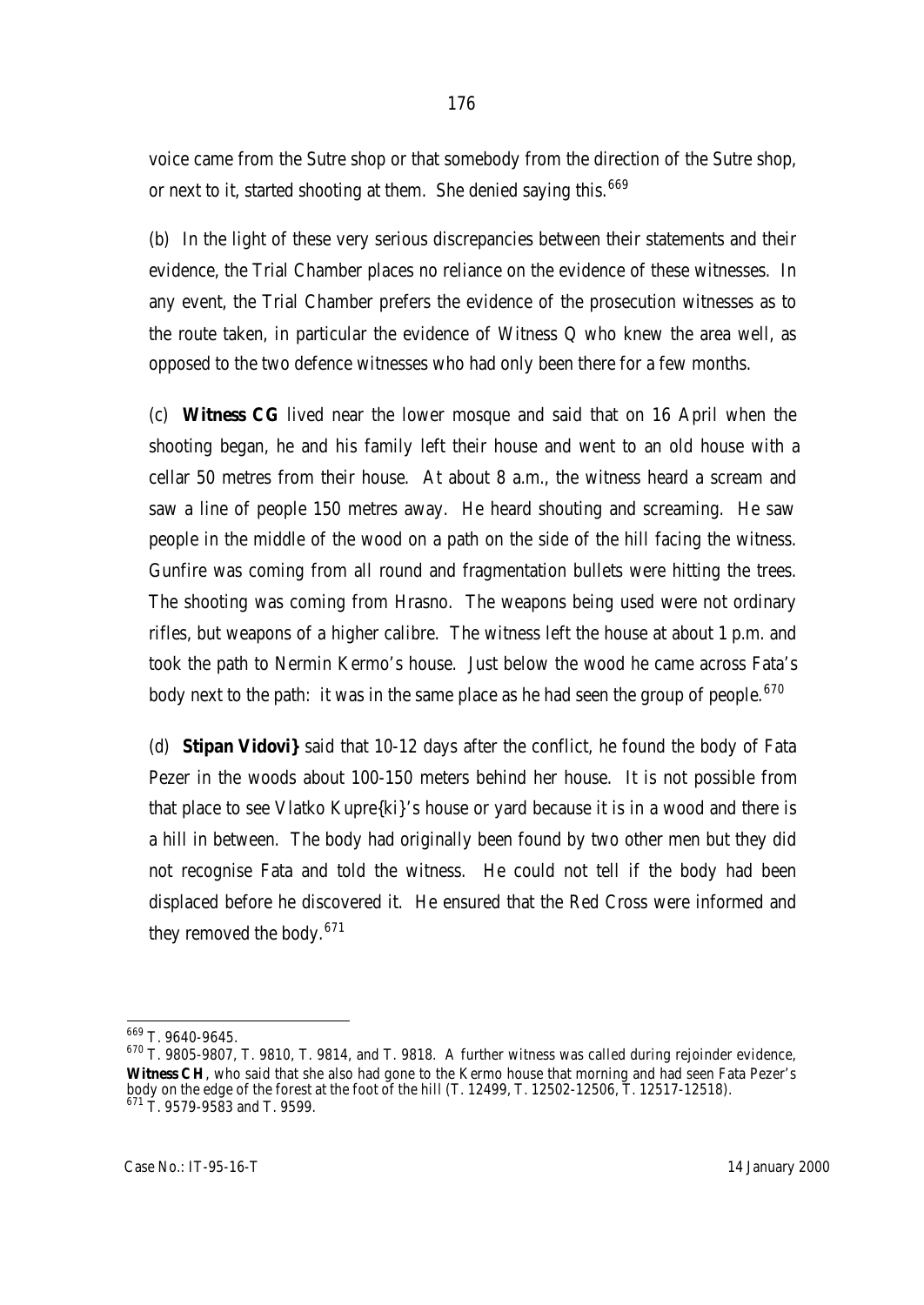voice came from the Sutre shop or that somebody from the direction of the Sutre shop, or next to it, started shooting at them. She denied saying this.<sup>669</sup>

(b) In the light of these very serious discrepancies between their statements and their evidence, the Trial Chamber places no reliance on the evidence of these witnesses. In any event, the Trial Chamber prefers the evidence of the prosecution witnesses as to the route taken, in particular the evidence of Witness Q who knew the area well, as opposed to the two defence witnesses who had only been there for a few months.

(c) **Witness CG** lived near the lower mosque and said that on 16 April when the shooting began, he and his family left their house and went to an old house with a cellar 50 metres from their house. At about 8 a.m., the witness heard a scream and saw a line of people 150 metres away. He heard shouting and screaming. He saw people in the middle of the wood on a path on the side of the hill facing the witness. Gunfire was coming from all round and fragmentation bullets were hitting the trees. The shooting was coming from Hrasno. The weapons being used were not ordinary rifles, but weapons of a higher calibre. The witness left the house at about 1 p.m. and took the path to Nermin Kermo's house. Just below the wood he came across Fata's body next to the path: it was in the same place as he had seen the group of people.<sup>670</sup>

(d) **Stipan Vidovi}** said that 10-12 days after the conflict, he found the body of Fata Pezer in the woods about 100-150 meters behind her house. It is not possible from that place to see Vlatko Kupre{ki}'s house or yard because it is in a wood and there is a hill in between. The body had originally been found by two other men but they did not recognise Fata and told the witness. He could not tell if the body had been displaced before he discovered it. He ensured that the Red Cross were informed and they removed the body.<sup>671</sup>

 $\overline{a}$ <sup>669</sup> T. 9640-9645.

<sup>670</sup> T. 9805-9807, T. 9810, T. 9814, and T. 9818. A further witness was called during rejoinder evidence, **Witness CH**, who said that she also had gone to the Kermo house that morning and had seen Fata Pezer's body on the edge of the forest at the foot of the hill (T. 12499, T. 12502-12506, T. 12517-12518).  $671$  T. 9579-9583 and T. 9599.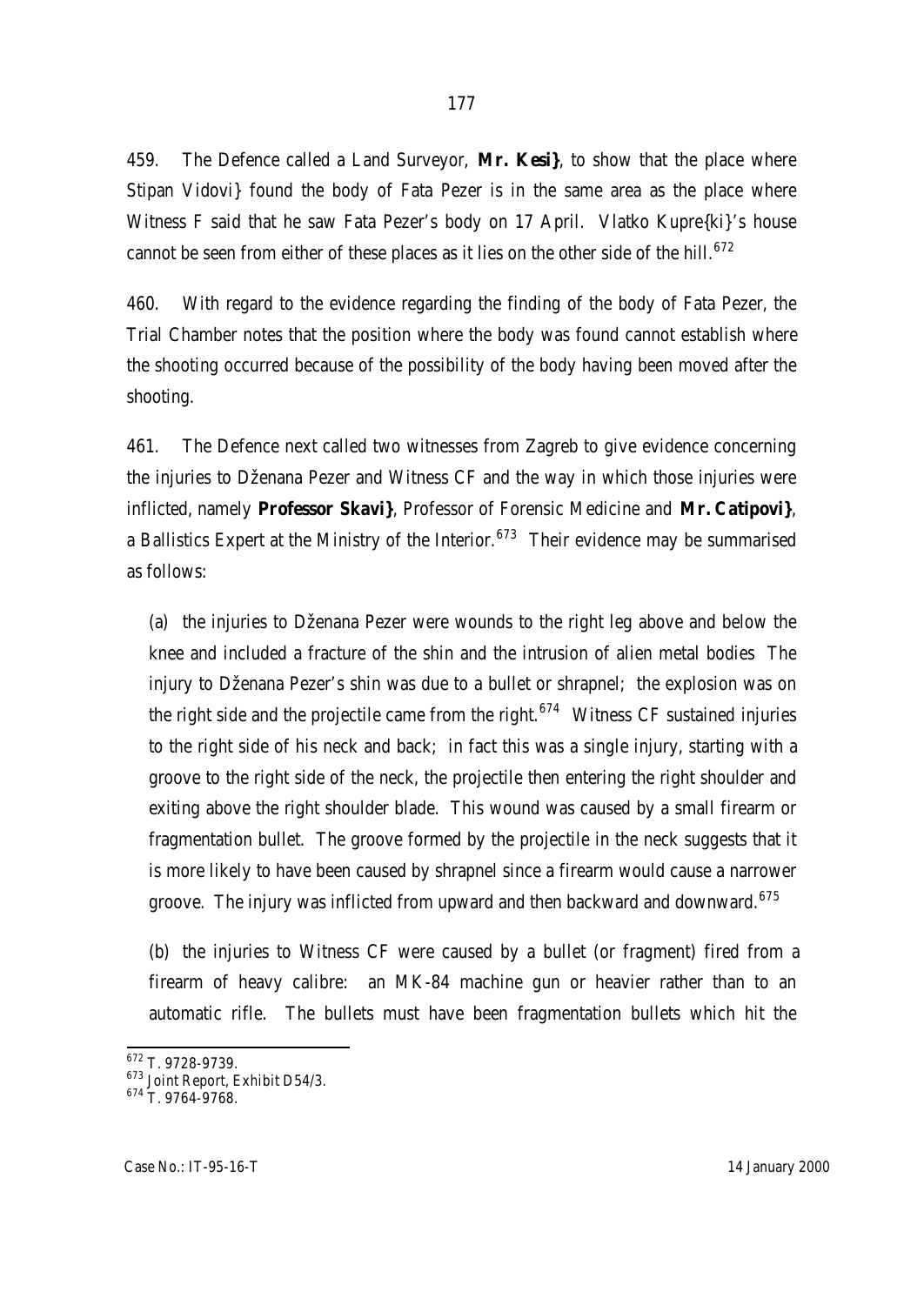459. The Defence called a Land Surveyor, **Mr. Kesi}**, to show that the place where Stipan Vidovi} found the body of Fata Pezer is in the same area as the place where Witness F said that he saw Fata Pezer's body on 17 April. Vlatko Kupre{ki}'s house cannot be seen from either of these places as it lies on the other side of the hill.<sup>672</sup>

177

460. With regard to the evidence regarding the finding of the body of Fata Pezer, the Trial Chamber notes that the position where the body was found cannot establish where the shooting occurred because of the possibility of the body having been moved after the shooting.

461. The Defence next called two witnesses from Zagreb to give evidence concerning the injuries to Dženana Pezer and Witness CF and the way in which those injuries were inflicted, namely **Professor Skavi}**, Professor of Forensic Medicine and **Mr. Catipovi}**, a Ballistics Expert at the Ministry of the Interior.<sup>673</sup> Their evidence may be summarised as follows:

(a) the injuries to Dženana Pezer were wounds to the right leg above and below the knee and included a fracture of the shin and the intrusion of alien metal bodies The injury to Dženana Pezer's shin was due to a bullet or shrapnel; the explosion was on the right side and the projectile came from the right. $674$  Witness CF sustained injuries to the right side of his neck and back; in fact this was a single injury, starting with a groove to the right side of the neck, the projectile then entering the right shoulder and exiting above the right shoulder blade. This wound was caused by a small firearm or fragmentation bullet. The groove formed by the projectile in the neck suggests that it is more likely to have been caused by shrapnel since a firearm would cause a narrower groove. The injury was inflicted from upward and then backward and downward.<sup>675</sup>

(b) the injuries to Witness CF were caused by a bullet (or fragment) fired from a firearm of heavy calibre: an MK-84 machine gun or heavier rather than to an automatic rifle. The bullets must have been fragmentation bullets which hit the

 $\overline{a}$ <sup>672</sup> T. 9728-9739.

<sup>&</sup>lt;sup>673</sup> Joint Report, Exhibit D54/3.

<sup>674</sup> T. 9764-9768.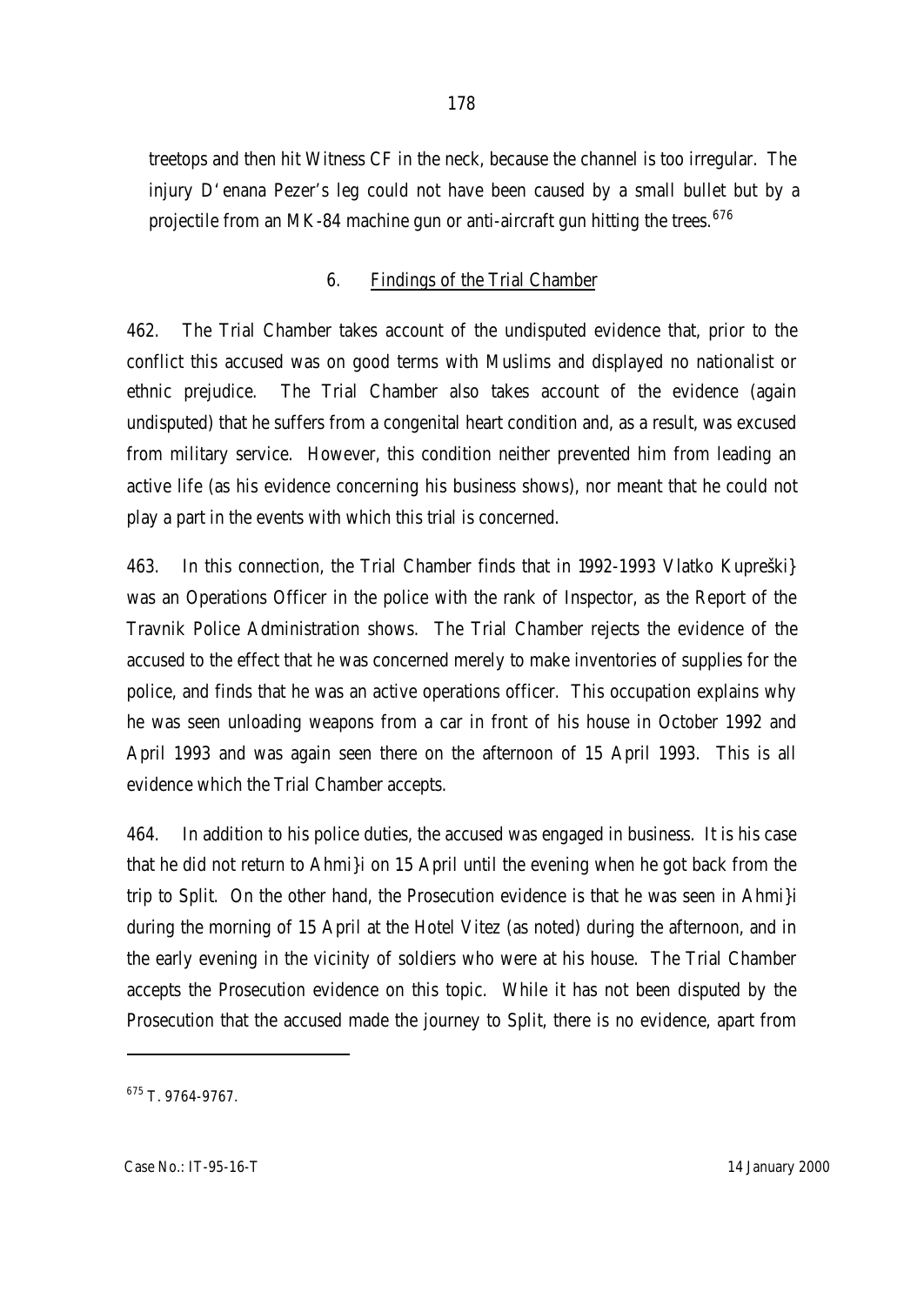treetops and then hit Witness CF in the neck, because the channel is too irregular. The injury D'enana Pezer's leg could not have been caused by a small bullet but by a projectile from an MK-84 machine gun or anti-aircraft gun hitting the trees.<sup>676</sup>

#### 6. Findings of the Trial Chamber

462. The Trial Chamber takes account of the undisputed evidence that, prior to the conflict this accused was on good terms with Muslims and displayed no nationalist or ethnic prejudice. The Trial Chamber also takes account of the evidence (again undisputed) that he suffers from a congenital heart condition and, as a result, was excused from military service. However, this condition neither prevented him from leading an active life (as his evidence concerning his business shows), nor meant that he could not play a part in the events with which this trial is concerned.

463. In this connection, the Trial Chamber finds that in 1992-1993 Vlatko Kupreški} was an Operations Officer in the police with the rank of Inspector, as the Report of the Travnik Police Administration shows. The Trial Chamber rejects the evidence of the accused to the effect that he was concerned merely to make inventories of supplies for the police, and finds that he was an active operations officer. This occupation explains why he was seen unloading weapons from a car in front of his house in October 1992 and April 1993 and was again seen there on the afternoon of 15 April 1993. This is all evidence which the Trial Chamber accepts.

464. In addition to his police duties, the accused was engaged in business. It is his case that he did not return to Ahmi}i on 15 April until the evening when he got back from the trip to Split. On the other hand, the Prosecution evidence is that he was seen in Ahmi}i during the morning of 15 April at the Hotel Vitez (as noted) during the afternoon, and in the early evening in the vicinity of soldiers who were at his house. The Trial Chamber accepts the Prosecution evidence on this topic. While it has not been disputed by the Prosecution that the accused made the journey to Split, there is no evidence, apart from

<sup>675</sup> T. 9764-9767.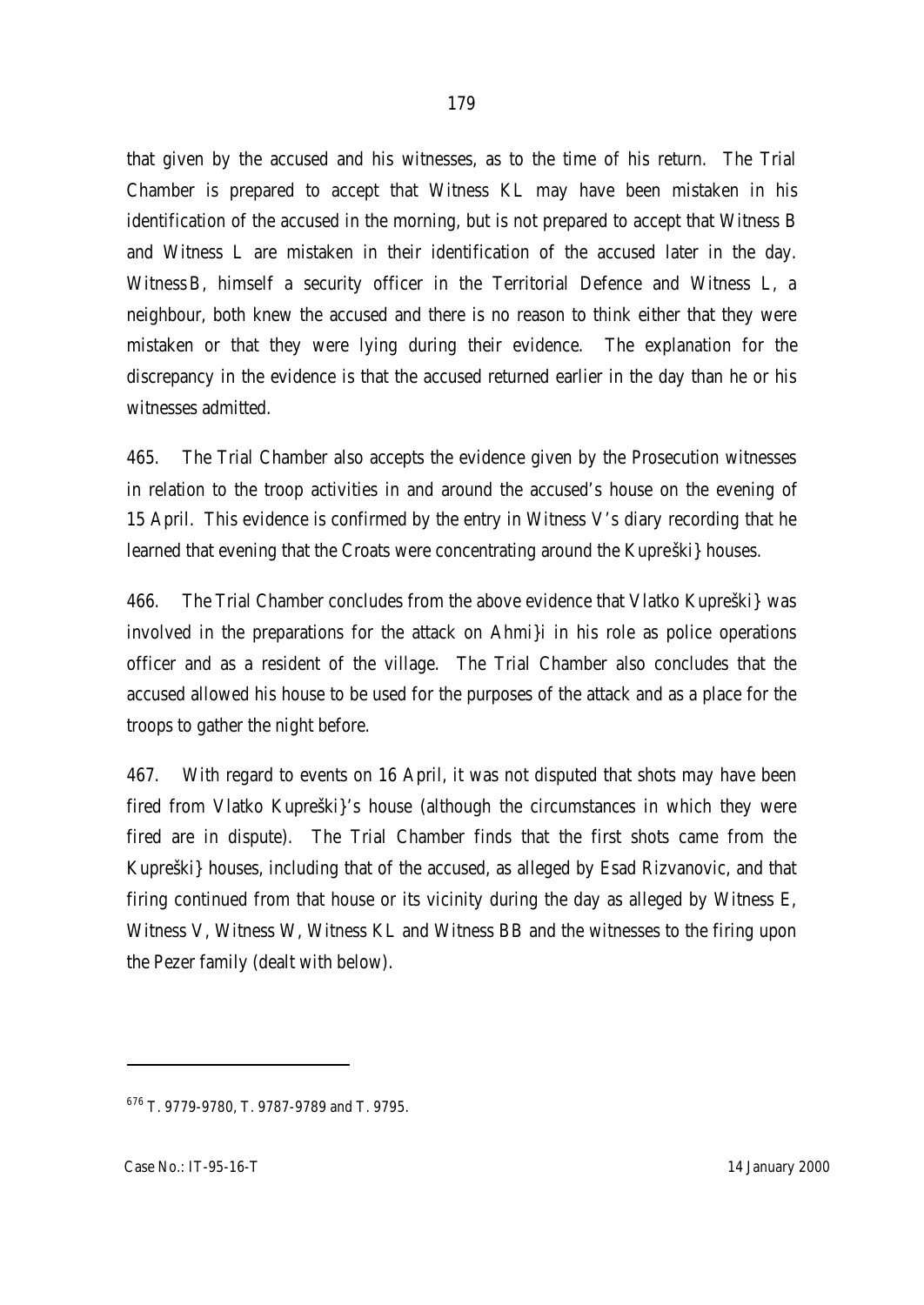that given by the accused and his witnesses, as to the time of his return. The Trial Chamber is prepared to accept that Witness KL may have been mistaken in his identification of the accused in the morning, but is not prepared to accept that Witness B and Witness L are mistaken in their identification of the accused later in the day. Witness B, himself a security officer in the Territorial Defence and Witness L, a neighbour, both knew the accused and there is no reason to think either that they were mistaken or that they were lying during their evidence. The explanation for the discrepancy in the evidence is that the accused returned earlier in the day than he or his witnesses admitted.

465. The Trial Chamber also accepts the evidence given by the Prosecution witnesses in relation to the troop activities in and around the accused's house on the evening of 15 April. This evidence is confirmed by the entry in Witness V's diary recording that he learned that evening that the Croats were concentrating around the Kupreški} houses.

466. The Trial Chamber concludes from the above evidence that Vlatko Kupreški} was involved in the preparations for the attack on Ahmi}i in his role as police operations officer and as a resident of the village. The Trial Chamber also concludes that the accused allowed his house to be used for the purposes of the attack and as a place for the troops to gather the night before.

467. With regard to events on 16 April, it was not disputed that shots may have been fired from Vlatko Kupreški}'s house (although the circumstances in which they were fired are in dispute). The Trial Chamber finds that the first shots came from the Kupreški} houses, including that of the accused, as alleged by Esad Rizvanovic, and that firing continued from that house or its vicinity during the day as alleged by Witness E, Witness V, Witness W, Witness KL and Witness BB and the witnesses to the firing upon the Pezer family (dealt with below).

<sup>676</sup> T. 9779-9780, T. 9787-9789 and T. 9795.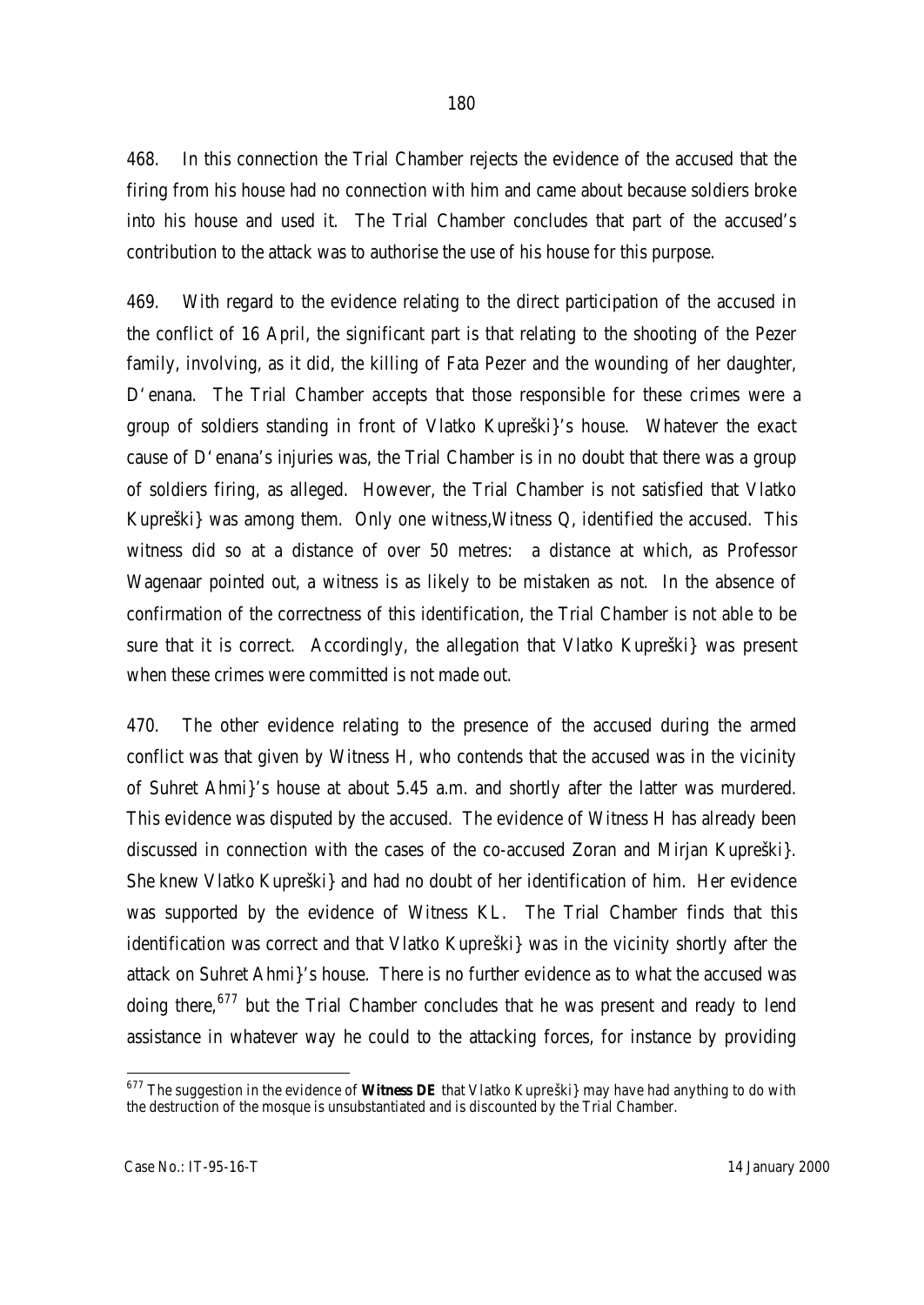468. In this connection the Trial Chamber rejects the evidence of the accused that the firing from his house had no connection with him and came about because soldiers broke into his house and used it. The Trial Chamber concludes that part of the accused's contribution to the attack was to authorise the use of his house for this purpose.

469. With regard to the evidence relating to the direct participation of the accused in the conflict of 16 April, the significant part is that relating to the shooting of the Pezer family, involving, as it did, the killing of Fata Pezer and the wounding of her daughter, D'enana. The Trial Chamber accepts that those responsible for these crimes were a group of soldiers standing in front of Vlatko Kupreški}'s house. Whatever the exact cause of D'enana's injuries was, the Trial Chamber is in no doubt that there was a group of soldiers firing, as alleged. However, the Trial Chamber is not satisfied that Vlatko Kupreški} was among them. Only one witness,Witness Q, identified the accused. This witness did so at a distance of over 50 metres: a distance at which, as Professor Wagenaar pointed out, a witness is as likely to be mistaken as not. In the absence of confirmation of the correctness of this identification, the Trial Chamber is not able to be sure that it is correct. Accordingly, the allegation that Vlatko Kupreški} was present when these crimes were committed is not made out.

470. The other evidence relating to the presence of the accused during the armed conflict was that given by Witness H, who contends that the accused was in the vicinity of Suhret Ahmi}'s house at about 5.45 a.m. and shortly after the latter was murdered. This evidence was disputed by the accused. The evidence of Witness H has already been discussed in connection with the cases of the co-accused Zoran and Mirjan Kupreški}. She knew Vlatko Kupreški} and had no doubt of her identification of him. Her evidence was supported by the evidence of Witness KL. The Trial Chamber finds that this identification was correct and that Vlatko Kupreški} was in the vicinity shortly after the attack on Suhret Ahmi}'s house. There is no further evidence as to what the accused was doing there,  $677$  but the Trial Chamber concludes that he was present and ready to lend assistance in whatever way he could to the attacking forces, for instance by providing

l <sup>677</sup> The suggestion in the evidence of **Witness DE** that Vlatko Kupreški} may have had anything to do with the destruction of the mosque is unsubstantiated and is discounted by the Trial Chamber.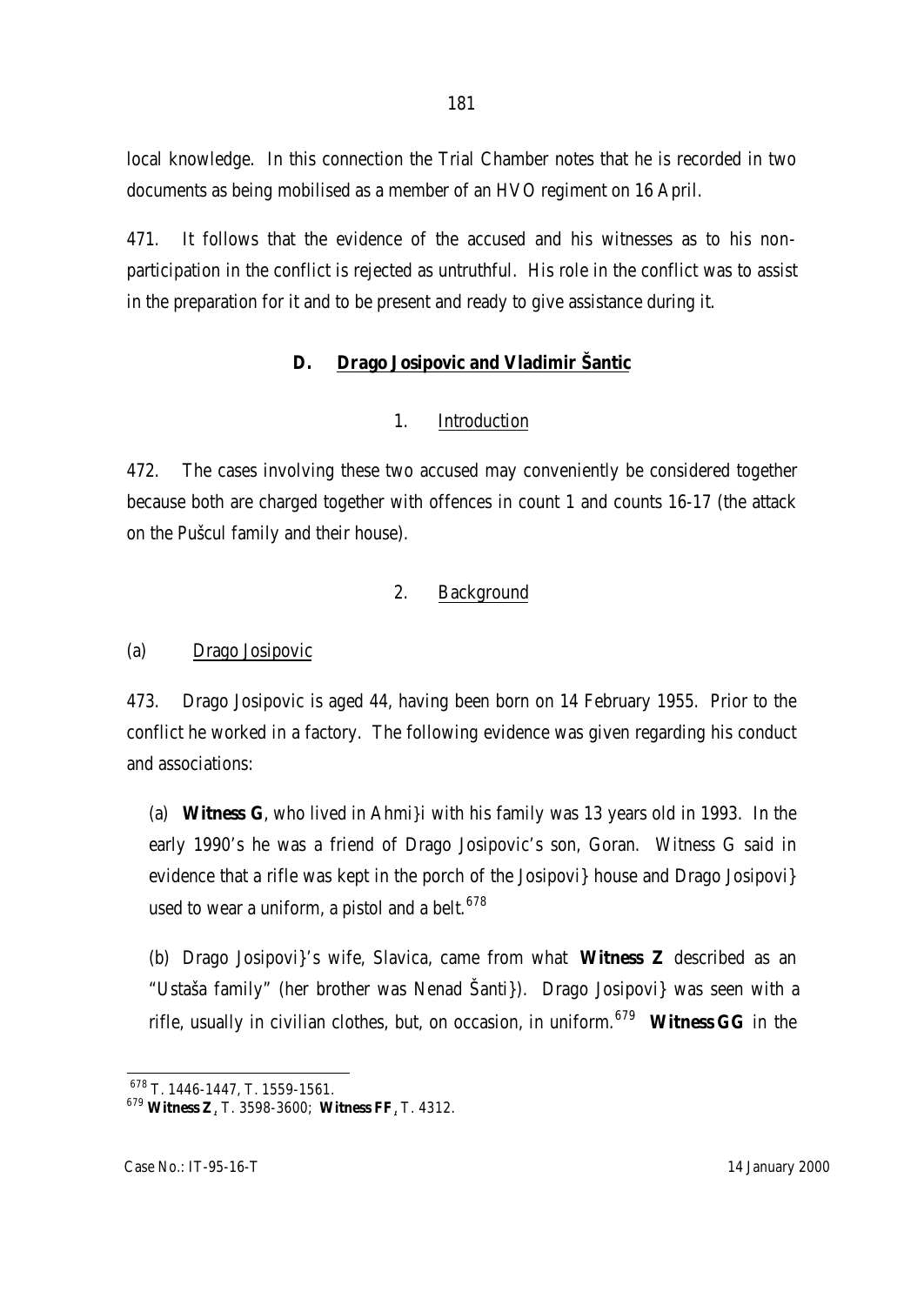local knowledge. In this connection the Trial Chamber notes that he is recorded in two documents as being mobilised as a member of an HVO regiment on 16 April.

471. It follows that the evidence of the accused and his witnesses as to his nonparticipation in the conflict is rejected as untruthful. His role in the conflict was to assist in the preparation for it and to be present and ready to give assistance during it.

## **D. Drago Josipovic and Vladimir Šantic**

## 1. Introduction

472. The cases involving these two accused may conveniently be considered together because both are charged together with offences in count 1 and counts 16-17 (the attack on the Pušcul family and their house).

## 2. Background

## (a) Drago Josipovic

473. Drago Josipovic is aged 44, having been born on 14 February 1955. Prior to the conflict he worked in a factory. The following evidence was given regarding his conduct and associations:

(a) **Witness G**, who lived in Ahmi}i with his family was 13 years old in 1993. In the early 1990's he was a friend of Drago Josipovic's son, Goran. Witness G said in evidence that a rifle was kept in the porch of the Josipovi} house and Drago Josipovi} used to wear a uniform, a pistol and a belt.<sup>678</sup>

(b) Drago Josipovi}'s wife, Slavica, came from what **Witness Z** described as an "Ustaša family" (her brother was Nenad Šanti}). Drago Josipovi} was seen with a rifle, usually in civilian clothes, but, on occasion, in uniform.<sup>679</sup> **Witness GG** in the

l <sup>678</sup> T. 1446-1447, T. 1559-1561.

<sup>679</sup> **Witness Z**, T. 3598-3600; **Witness FF**, T. 4312.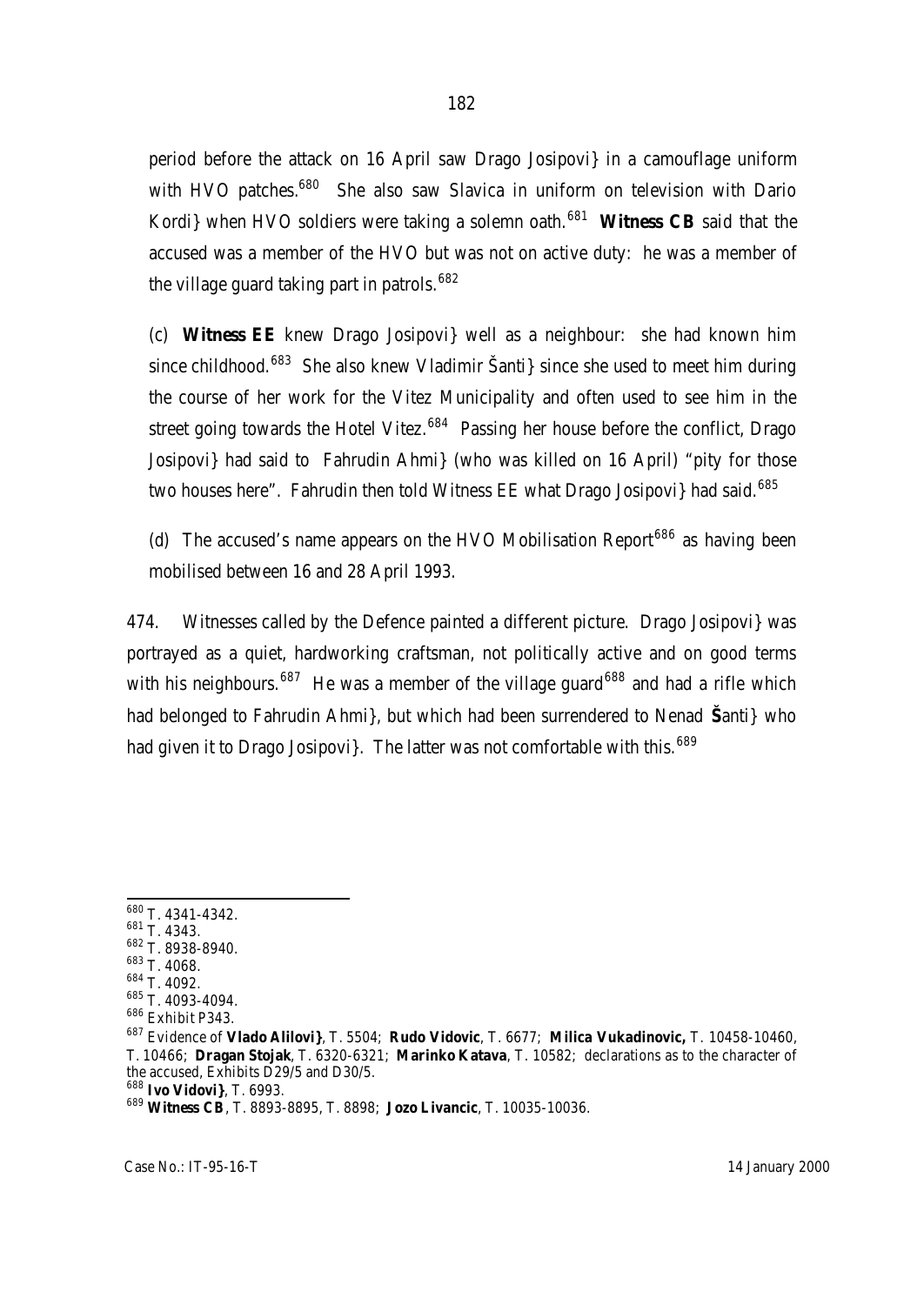182

period before the attack on 16 April saw Drago Josipovi} in a camouflage uniform with HVO patches.<sup>680</sup> She also saw Slavica in uniform on television with Dario Kordi} when HVO soldiers were taking a solemn oath.<sup>681</sup> Witness CB said that the accused was a member of the HVO but was not on active duty: he was a member of the village guard taking part in patrols. $682$ 

(c) **Witness EE** knew Drago Josipovi} well as a neighbour: she had known him since childhood.<sup>683</sup> She also knew Vladimir Šanti since she used to meet him during the course of her work for the Vitez Municipality and often used to see him in the street going towards the Hotel Vitez.<sup>684</sup> Passing her house before the conflict, Drago Josipovi} had said to Fahrudin Ahmi} (who was killed on 16 April) "pity for those two houses here". Fahrudin then told Witness EE what Drago Josipovi} had said.<sup>685</sup>

(d) The accused's name appears on the HVO Mobilisation Report<sup>686</sup> as having been mobilised between 16 and 28 April 1993.

474. Witnesses called by the Defence painted a different picture. Drago Josipovi} was portrayed as a quiet, hardworking craftsman, not politically active and on good terms with his neighbours.<sup>687</sup> He was a member of the village guard<sup>688</sup> and had a rifle which had belonged to Fahrudin Ahmi}, but which had been surrendered to Nenad **Š**anti} who had given it to Drago Josipovi}. The latter was not comfortable with this.  $689$ 

<sup>681</sup> T. 4343.

 $\overline{a}$ 

- <sup>682</sup> T. 8938-8940.
- <sup>683</sup> T. 4068.
- <sup>684</sup> T. 4092.
- <sup>685</sup> T. 4093-4094.

 $^{680}$  T. 4341-4342.

<sup>686</sup> Exhibit P343.

<sup>687</sup> Evidence of **Vlado Alilovi}**, T. 5504; **Rudo Vidovic**, T. 6677; **Milica Vukadinovic,** T. 10458-10460, T. 10466; **Dragan Stojak**, T. 6320-6321; **Marinko Katava**, T. 10582; declarations as to the character of the accused, Exhibits D29/5 and D30/5.

<sup>688</sup> **Ivo Vidovi}**, T. 6993.

<sup>689</sup> **Witness CB**, T. 8893-8895, T. 8898; **Jozo Livancic**, T. 10035-10036.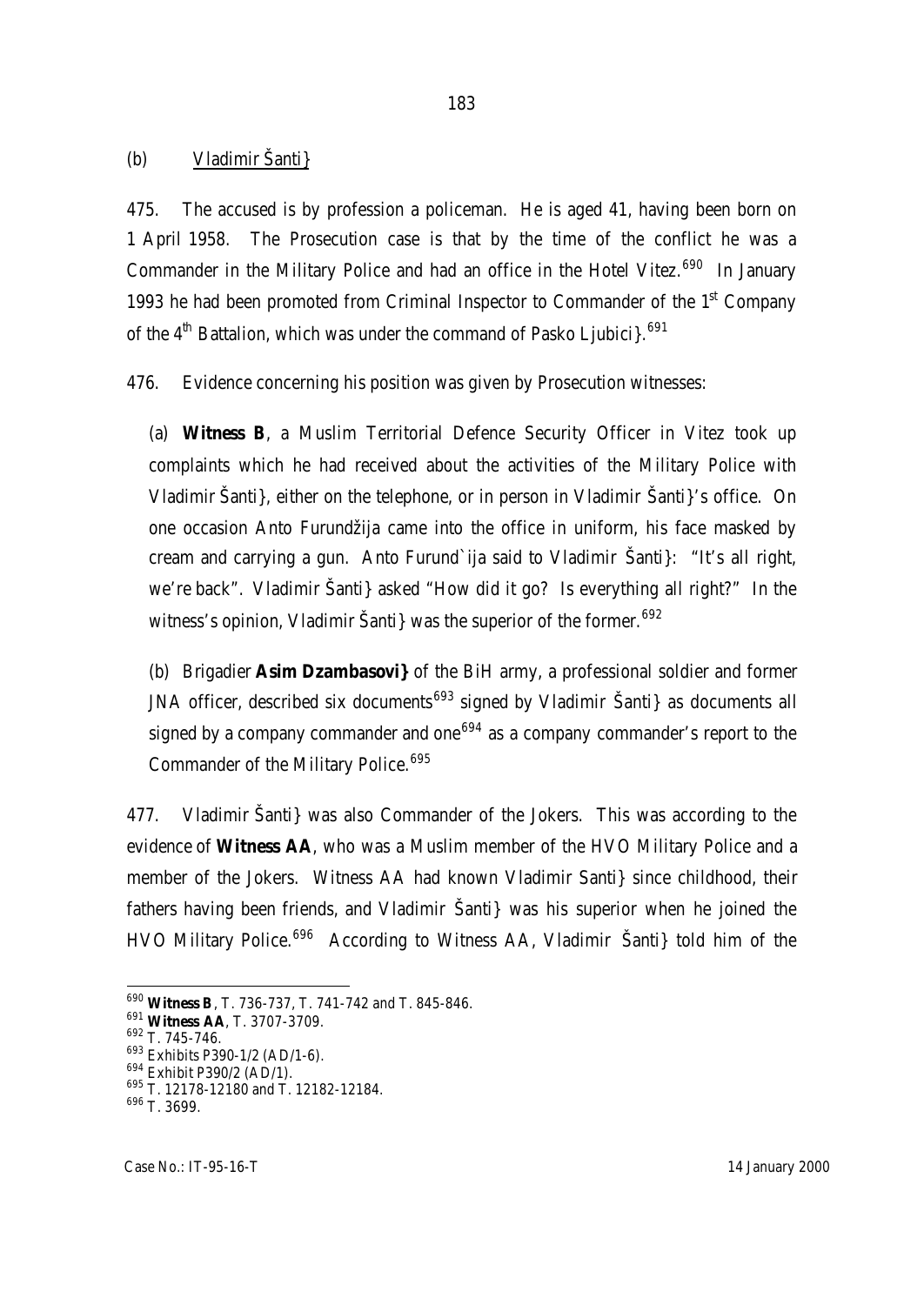#### (b) Vladimir Šanti}

475. The accused is by profession a policeman. He is aged 41, having been born on 1 April 1958. The Prosecution case is that by the time of the conflict he was a Commander in the Military Police and had an office in the Hotel Vitez.<sup>690</sup> In January 1993 he had been promoted from Criminal Inspector to Commander of the  $1<sup>st</sup>$  Company of the  $4<sup>th</sup>$  Battalion, which was under the command of Pasko Ljubici}.<sup>691</sup>

476. Evidence concerning his position was given by Prosecution witnesses:

(a) **Witness B**, a Muslim Territorial Defence Security Officer in Vitez took up complaints which he had received about the activities of the Military Police with Vladimir Šanti}, either on the telephone, or in person in Vladimir Šanti}'s office. On one occasion Anto Furundžija came into the office in uniform, his face masked by cream and carrying a gun. Anto Furund`ija said to Vladimir Šanti}: "It's all right, we're back". Vladimir Šanti} asked "How did it go? Is everything all right?" In the witness's opinion, Vladimir Šanti} was the superior of the former.<sup>692</sup>

(b) Brigadier **Asim Dzambasovi}** of the BiH army, a professional soldier and former JNA officer, described six documents<sup>693</sup> signed by Vladimir Šanti} as documents all signed by a company commander and one<sup>694</sup> as a company commander's report to the Commander of the Military Police.<sup>695</sup>

477. Vladimir Šanti} was also Commander of the Jokers. This was according to the evidence of **Witness AA**, who was a Muslim member of the HVO Military Police and a member of the Jokers. Witness AA had known Vladimir Santi} since childhood, their fathers having been friends, and Vladimir Šanti} was his superior when he joined the HVO Military Police.<sup>696</sup> According to Witness AA, Vladimir Šanti} told him of the

<sup>690</sup> **Witness B**, T. 736-737, T. 741-742 and T. 845-846.

<sup>691</sup> **Witness AA**, T. 3707-3709.

<sup>&</sup>lt;sup>692</sup> T. 745-746.

<sup>693</sup> Exhibits P390-1/2 (AD/1-6).

 $^{694}$  Exhibit P390/2 (AD/1).

<sup>695</sup> T. 12178-12180 and T. 12182-12184.

<sup>696</sup> T. 3699.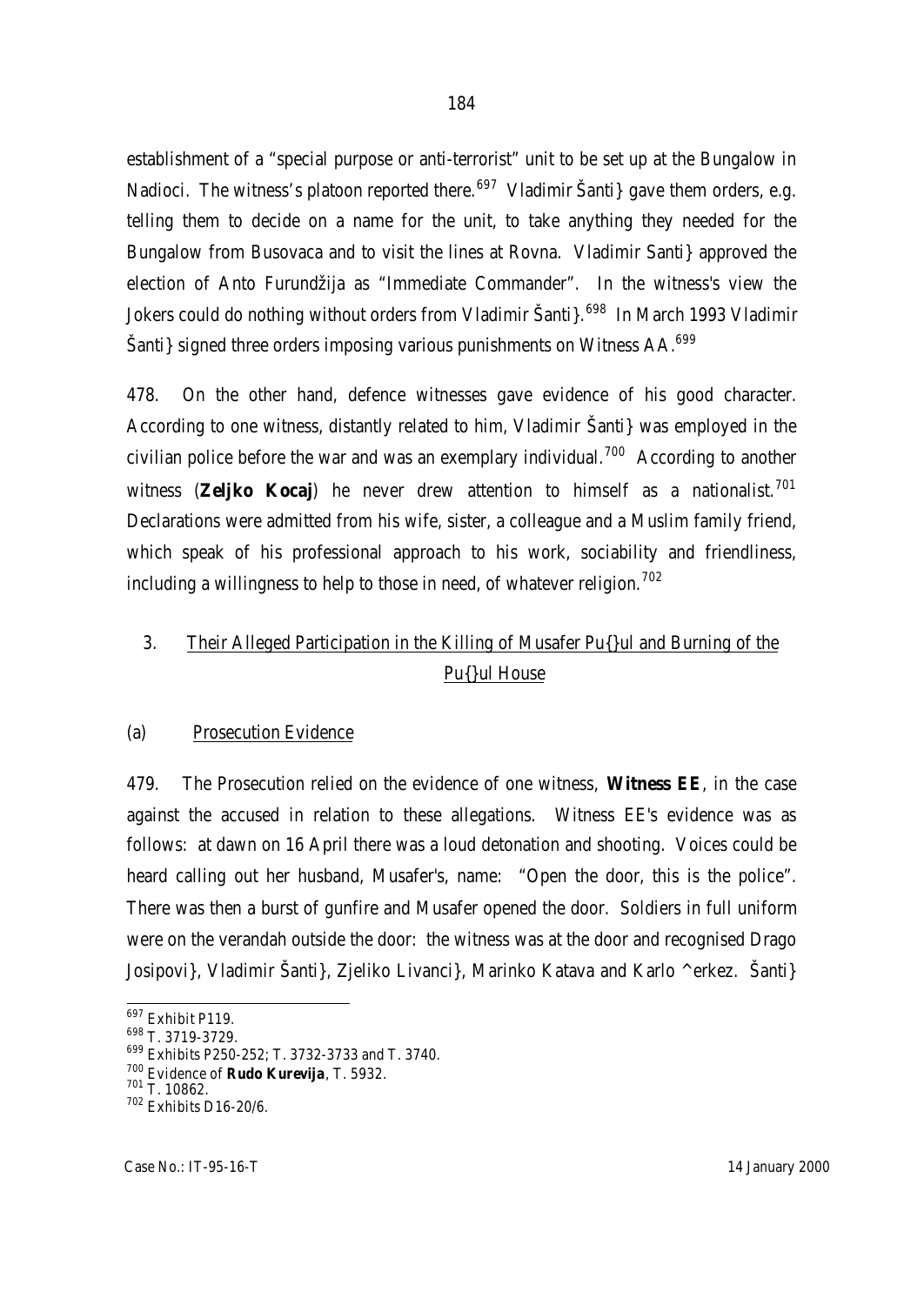establishment of a "special purpose or anti-terrorist" unit to be set up at the Bungalow in Nadioci. The witness's platoon reported there.<sup>697</sup> Vladimir Šanti} gave them orders, e.g. telling them to decide on a name for the unit, to take anything they needed for the Bungalow from Busovaca and to visit the lines at Rovna. Vladimir Santi} approved the election of Anto Furundžija as "Immediate Commander". In the witness's view the Jokers could do nothing without orders from Vladimir Šanti}.<sup>698</sup> In March 1993 Vladimir Šanti} signed three orders imposing various punishments on Witness  $AA$ .<sup>699</sup>

478. On the other hand, defence witnesses gave evidence of his good character. According to one witness, distantly related to him, Vladimir Šanti} was employed in the civilian police before the war and was an exemplary individual.<sup>700</sup> According to another witness (Zeljko Kocaj) he never drew attention to himself as a nationalist.<sup>701</sup> Declarations were admitted from his wife, sister, a colleague and a Muslim family friend, which speak of his professional approach to his work, sociability and friendliness, including a willingness to help to those in need, of whatever religion.<sup>702</sup>

# 3. Their Alleged Participation in the Killing of Musafer Pu{}ul and Burning of the Pu{}ul House

#### (a) Prosecution Evidence

479. The Prosecution relied on the evidence of one witness, **Witness EE**, in the case against the accused in relation to these allegations. Witness EE's evidence was as follows: at dawn on 16 April there was a loud detonation and shooting. Voices could be heard calling out her husband, Musafer's, name: "Open the door, this is the police". There was then a burst of gunfire and Musafer opened the door. Soldiers in full uniform were on the verandah outside the door: the witness was at the door and recognised Drago Josipovi}, Vladimir Šanti}, Zjeliko Livanci}, Marinko Katava and Karlo ^erkez. Šanti}

 $\overline{a}$ <sup>697</sup> Exhibit P119.

<sup>698</sup> T. 3719-3729.

<sup>699</sup> Exhibits P250-252; T. 3732-3733 and T. 3740.

<sup>700</sup> Evidence of **Rudo Kurevija**, T. 5932.

<sup>701</sup> T. 10862.

<sup>702</sup> Exhibits D16-20/6.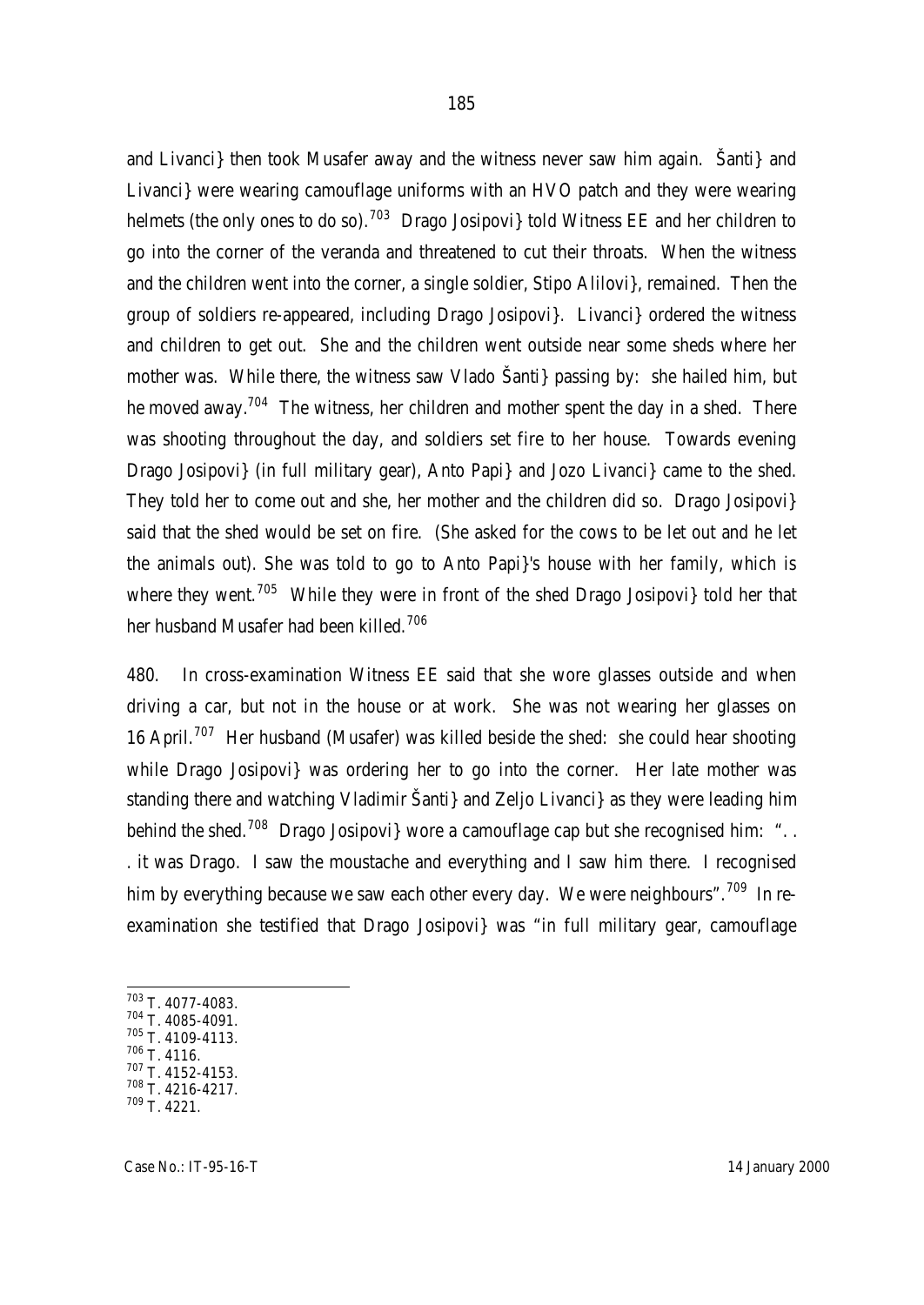and Livanci} then took Musafer away and the witness never saw him again. Šanti} and Livanci} were wearing camouflage uniforms with an HVO patch and they were wearing helmets (the only ones to do so).<sup>703</sup> Drago Josipovi} told Witness EE and her children to go into the corner of the veranda and threatened to cut their throats. When the witness and the children went into the corner, a single soldier, Stipo Alilovi}, remained. Then the group of soldiers re-appeared, including Drago Josipovi}. Livanci} ordered the witness and children to get out. She and the children went outside near some sheds where her mother was. While there, the witness saw Vlado Šanti} passing by: she hailed him, but he moved away.<sup>704</sup> The witness, her children and mother spent the day in a shed. There was shooting throughout the day, and soldiers set fire to her house. Towards evening Drago Josipovi} (in full military gear), Anto Papi} and Jozo Livanci} came to the shed. They told her to come out and she, her mother and the children did so. Drago Josipovi} said that the shed would be set on fire. (She asked for the cows to be let out and he let the animals out). She was told to go to Anto Papi}'s house with her family, which is where they went.<sup>705</sup> While they were in front of the shed Drago Josipovi told her that her husband Musafer had been killed.<sup>706</sup>

480. In cross-examination Witness EE said that she wore glasses outside and when driving a car, but not in the house or at work. She was not wearing her glasses on 16 April.<sup>707</sup> Her husband (Musafer) was killed beside the shed: she could hear shooting while Drago Josipovi} was ordering her to go into the corner. Her late mother was standing there and watching Vladimir Šanti} and Zeljo Livanci} as they were leading him behind the shed.<sup>708</sup> Drago Josipovi} wore a camouflage cap but she recognised him:  $\cdot$ . . it was Drago. I saw the moustache and everything and I saw him there. I recognised him by everything because we saw each other every day. We were neighbours".<sup>709</sup> In reexamination she testified that Drago Josipovi} was "in full military gear, camouflage

 $\overline{a}$ 

- <sup>705</sup> T. 4109-4113.
- <sup>706</sup> T. 4116. <sup>707</sup> T. 4152-4153.
- <sup>708</sup> T. 4216-4217.
- <sup>709</sup> T. 4221.

<sup>703</sup> T. 4077-4083.

<sup>704</sup> T. 4085-4091.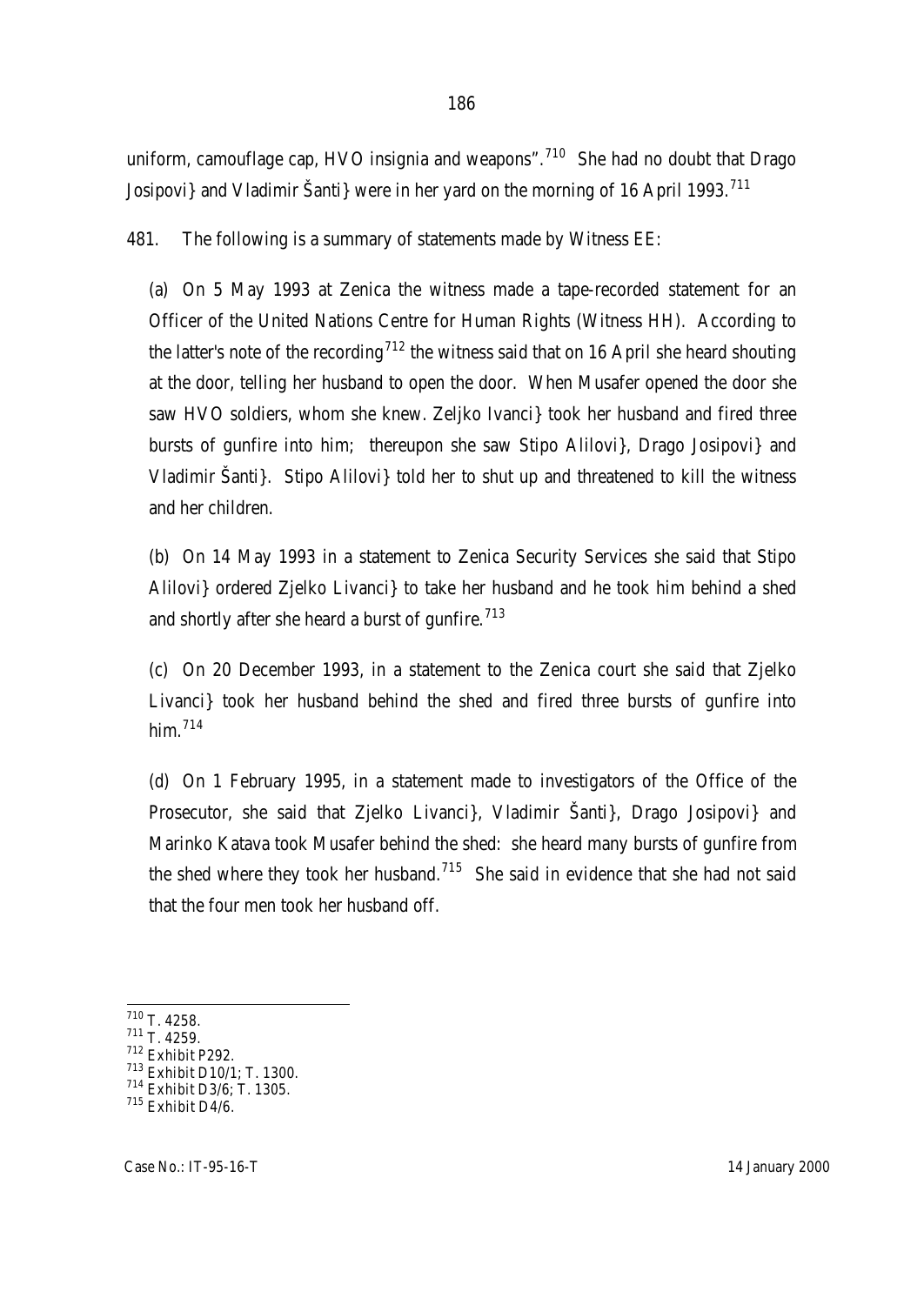uniform, camouflage cap, HVO insignia and weapons".<sup>710</sup> She had no doubt that Drago Josipovi} and Vladimir Šanti} were in her yard on the morning of 16 April 1993.<sup>711</sup>

481. The following is a summary of statements made by Witness EE:

(a) On 5 May 1993 at Zenica the witness made a tape-recorded statement for an Officer of the United Nations Centre for Human Rights (Witness HH). According to the latter's note of the recording<sup>712</sup> the witness said that on 16 April she heard shouting at the door, telling her husband to open the door. When Musafer opened the door she saw HVO soldiers, whom she knew. Zeljko Ivanci} took her husband and fired three bursts of gunfire into him; thereupon she saw Stipo Alilovi}, Drago Josipovi} and Vladimir Šanti}. Stipo Alilovi} told her to shut up and threatened to kill the witness and her children.

(b) On 14 May 1993 in a statement to Zenica Security Services she said that Stipo Alilovi} ordered Zjelko Livanci} to take her husband and he took him behind a shed and shortly after she heard a burst of qunfire.<sup>713</sup>

(c) On 20 December 1993, in a statement to the Zenica court she said that Zjelko Livanci} took her husband behind the shed and fired three bursts of qunfire into him. $714$ 

(d) On 1 February 1995, in a statement made to investigators of the Office of the Prosecutor, she said that Zjelko Livanci}, Vladimir Šanti}, Drago Josipovi} and Marinko Katava took Musafer behind the shed: she heard many bursts of gunfire from the shed where they took her husband.<sup>715</sup> She said in evidence that she had not said that the four men took her husband off.

 $\overline{a}$ 

 $^{710}$  T. 4258.

<sup>711</sup> T. 4259.

<sup>712</sup> Exhibit P292.

 $^{713}$  Exhibit D10/1; T. 1300.

<sup>714</sup> Exhibit D3/6; T. 1305.

 $715$  Exhibit D4/6.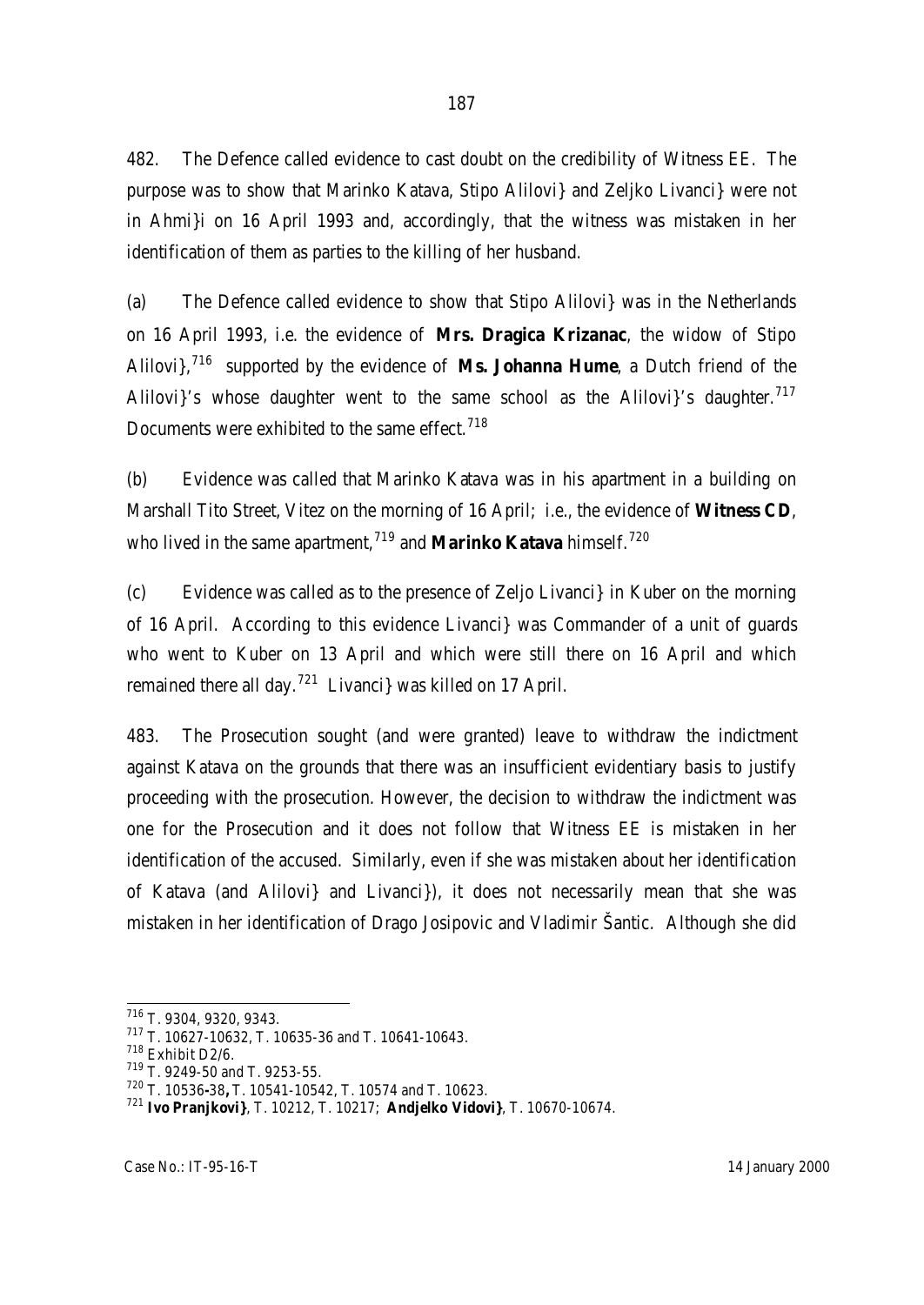482. The Defence called evidence to cast doubt on the credibility of Witness EE. The purpose was to show that Marinko Katava, Stipo Alilovi} and Zeljko Livanci} were not in Ahmi}i on 16 April 1993 and, accordingly, that the witness was mistaken in her identification of them as parties to the killing of her husband.

(a) The Defence called evidence to show that Stipo Alilovi} was in the Netherlands on 16 April 1993, i.e. the evidence of **Mrs. Dragica Krizanac**, the widow of Stipo Alilovi},<sup>716</sup> supported by the evidence of **Ms. Johanna Hume**, a Dutch friend of the Alilovi}'s whose daughter went to the same school as the Alilovi}'s daughter.<sup>717</sup> Documents were exhibited to the same effect.<sup>718</sup>

(b) Evidence was called that Marinko Katava was in his apartment in a building on Marshall Tito Street, Vitez on the morning of 16 April; i.e., the evidence of **Witness CD**, who lived in the same apartment,<sup>719</sup> and **Marinko Katava** himself.<sup>720</sup>

(c) Evidence was called as to the presence of Zeljo Livanci} in Kuber on the morning of 16 April. According to this evidence Livanci} was Commander of a unit of guards who went to Kuber on 13 April and which were still there on 16 April and which remained there all day.<sup>721</sup> Livanci } was killed on 17 April.

483. The Prosecution sought (and were granted) leave to withdraw the indictment against Katava on the grounds that there was an insufficient evidentiary basis to justify proceeding with the prosecution. However, the decision to withdraw the indictment was one for the Prosecution and it does not follow that Witness EE is mistaken in her identification of the accused. Similarly, even if she was mistaken about her identification of Katava (and Alilovi} and Livanci}), it does not necessarily mean that she was mistaken in her identification of Drago Josipovic and Vladimir Šantic. Although she did

 $\overline{a}$ <sup>716</sup> T. 9304, 9320, 9343.

<sup>717</sup> T. 10627-10632, T. 10635-36 and T. 10641-10643.

<sup>718</sup> Exhibit D2/6.

<sup>719</sup> T. 9249-50 and T. 9253-55.

<sup>720</sup> T. 10536**-**38**,** T. 10541-10542, T. 10574 and T. 10623.

<sup>721</sup> **Ivo Pranjkovi}**, T. 10212, T. 10217; **Andjelko Vidovi}**, T. 10670-10674.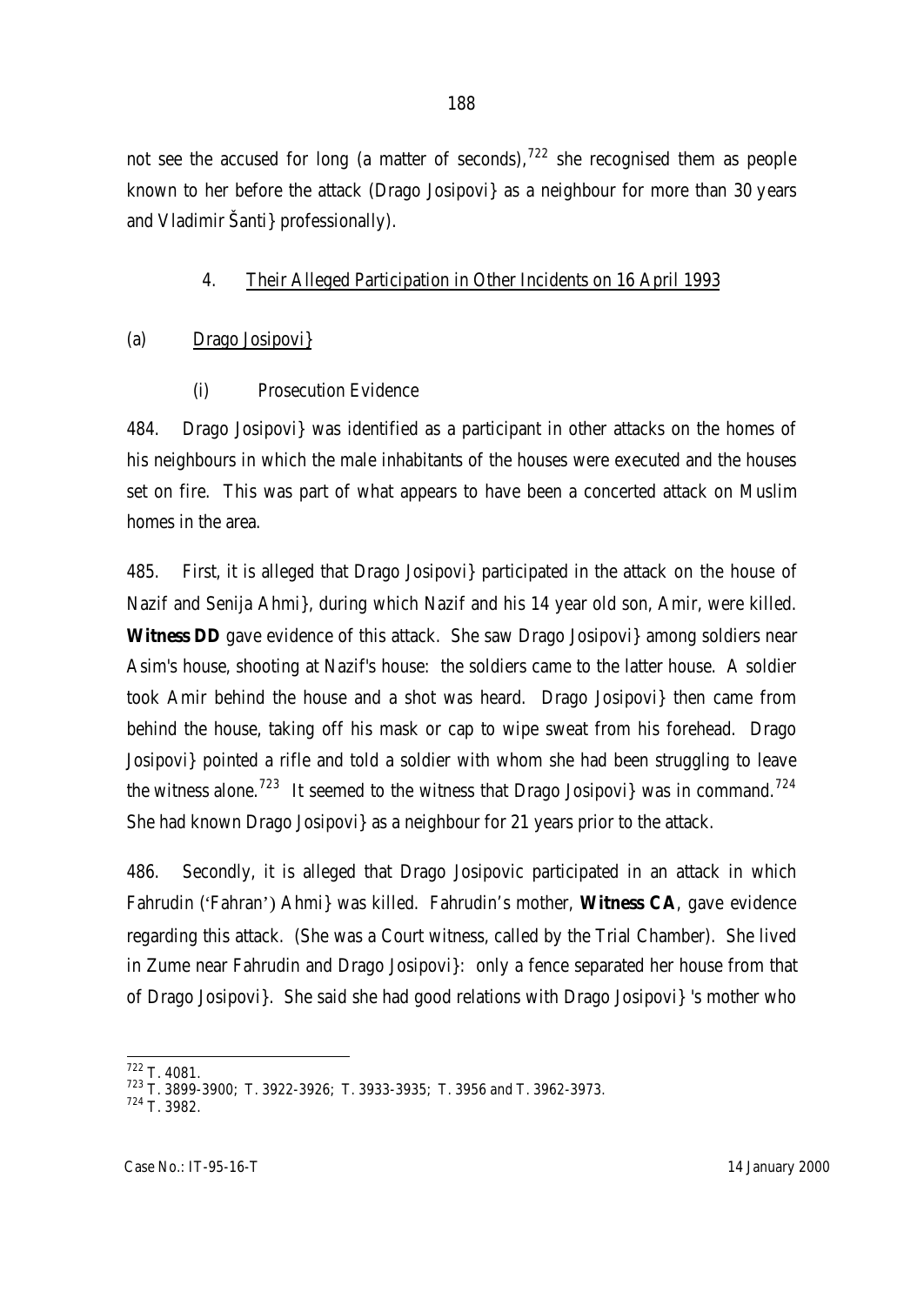not see the accused for long (a matter of seconds),  $722$  she recognised them as people known to her before the attack (Drago Josipovi} as a neighbour for more than 30 years and Vladimir Šanti} professionally).

## 4. Their Alleged Participation in Other Incidents on 16 April 1993

## (a) Drago Josipovi}

(i) Prosecution Evidence

484. Drago Josipovi} was identified as a participant in other attacks on the homes of his neighbours in which the male inhabitants of the houses were executed and the houses set on fire. This was part of what appears to have been a concerted attack on Muslim homes in the area.

485. First, it is alleged that Drago Josipovi} participated in the attack on the house of Nazif and Senija Ahmi}, during which Nazif and his 14 year old son, Amir, were killed. **Witness DD** gave evidence of this attack. She saw Drago Josipovi} among soldiers near Asim's house, shooting at Nazif's house: the soldiers came to the latter house. A soldier took Amir behind the house and a shot was heard. Drago Josipovi} then came from behind the house, taking off his mask or cap to wipe sweat from his forehead. Drago Josipovi} pointed a rifle and told a soldier with whom she had been struggling to leave the witness alone.<sup>723</sup> It seemed to the witness that Drago Josipovi was in command.<sup>724</sup> She had known Drago Josipovi} as a neighbour for 21 years prior to the attack.

486. Secondly, it is alleged that Drago Josipovic participated in an attack in which Fahrudin ('Fahran') Ahmi} was killed. Fahrudin's mother, **Witness CA**, gave evidence regarding this attack. (She was a Court witness, called by the Trial Chamber). She lived in Zume near Fahrudin and Drago Josipovi}: only a fence separated her house from that of Drago Josipovi}. She said she had good relations with Drago Josipovi} 's mother who

 $\overline{a}$  $^{722}$  T. 4081.

 $^{723}$  T. 3899-3900; T. 3922-3926; T. 3933-3935; T. 3956 and T. 3962-3973.

<sup>724</sup> T. 3982.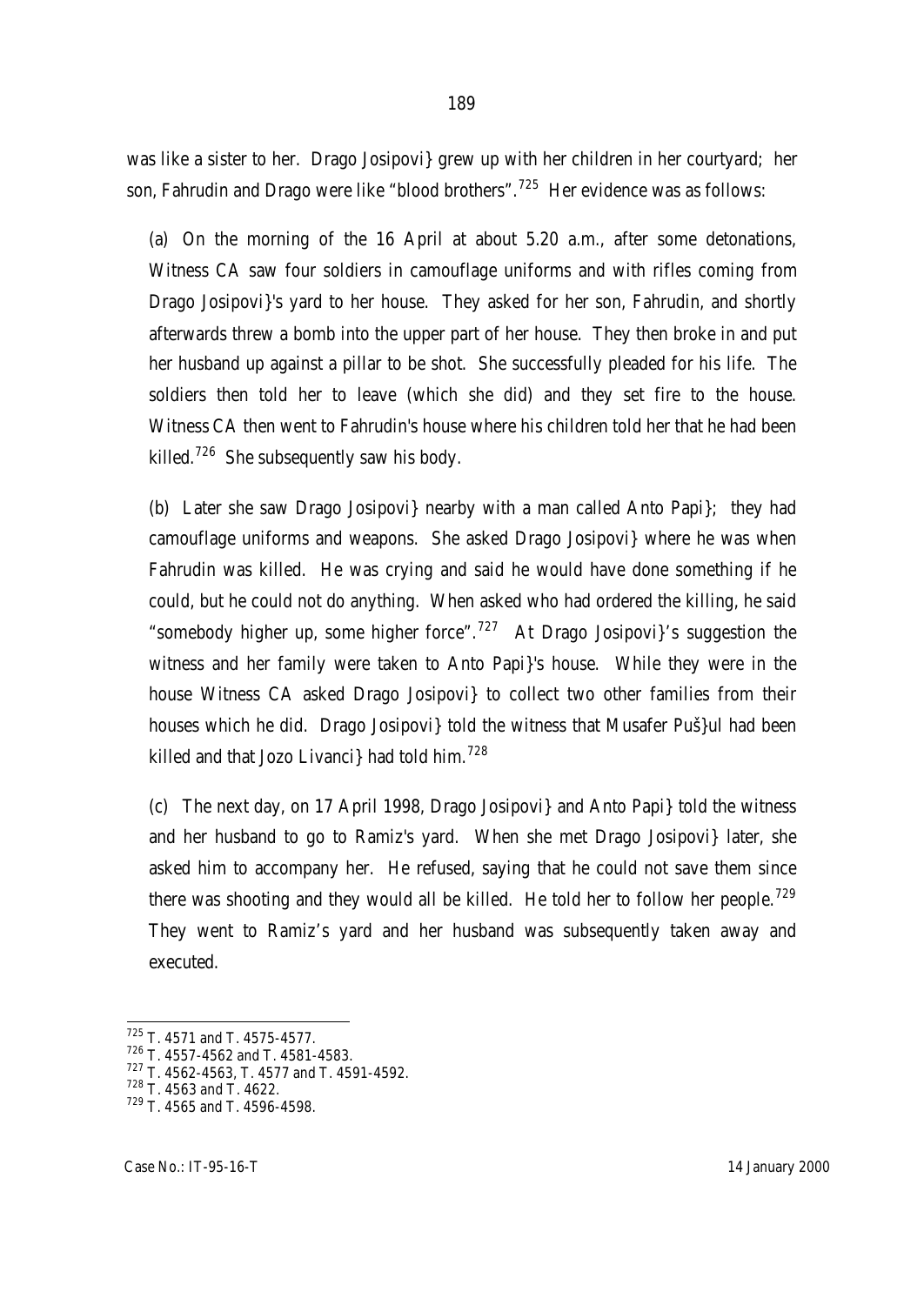was like a sister to her. Drago Josipovi} grew up with her children in her courtyard; her son, Fahrudin and Drago were like "blood brothers".<sup>725</sup> Her evidence was as follows:

(a) On the morning of the 16 April at about 5.20 a.m., after some detonations, Witness CA saw four soldiers in camouflage uniforms and with rifles coming from Drago Josipovi}'s yard to her house. They asked for her son, Fahrudin, and shortly afterwards threw a bomb into the upper part of her house. They then broke in and put her husband up against a pillar to be shot. She successfully pleaded for his life. The soldiers then told her to leave (which she did) and they set fire to the house. Witness CA then went to Fahrudin's house where his children told her that he had been killed.<sup>726</sup> She subsequently saw his body.

(b) Later she saw Drago Josipovi} nearby with a man called Anto Papi}; they had camouflage uniforms and weapons. She asked Drago Josipovi} where he was when Fahrudin was killed. He was crying and said he would have done something if he could, but he could not do anything. When asked who had ordered the killing, he said "somebody higher up, some higher force".<sup>727</sup> At Drago Josipovi}'s suggestion the witness and her family were taken to Anto Papi}'s house. While they were in the house Witness CA asked Drago Josipovi} to collect two other families from their houses which he did. Drago Josipovi} told the witness that Musafer Puš}ul had been killed and that Jozo Livanci} had told him.<sup>728</sup>

(c) The next day, on 17 April 1998, Drago Josipovi} and Anto Papi} told the witness and her husband to go to Ramiz's yard. When she met Drago Josipovi} later, she asked him to accompany her. He refused, saying that he could not save them since there was shooting and they would all be killed. He told her to follow her people.<sup>729</sup> They went to Ramiz's yard and her husband was subsequently taken away and executed.

 $\overline{a}$ 

<sup>725</sup> T. 4571 and T. 4575-4577.

<sup>726</sup> T. 4557-4562 and T. 4581-4583.

 $^{727}$  T. 4562-4563, T. 4577 and T. 4591-4592.

 $728$  T. 4563 and T. 4622.

<sup>729</sup> T. 4565 and T. 4596-4598.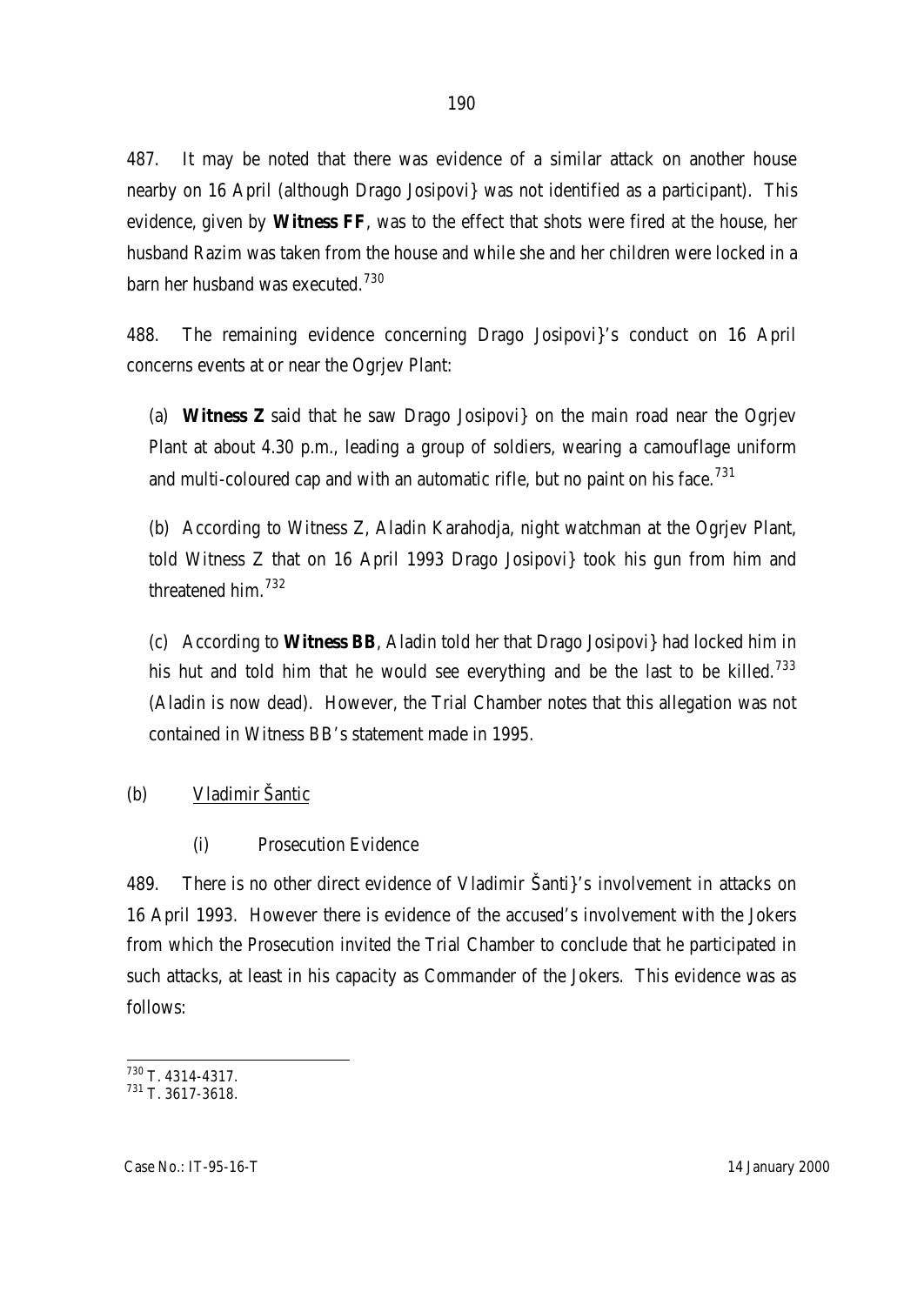487. It may be noted that there was evidence of a similar attack on another house nearby on 16 April (although Drago Josipovi} was not identified as a participant). This evidence, given by **Witness FF**, was to the effect that shots were fired at the house, her husband Razim was taken from the house and while she and her children were locked in a barn her husband was executed.<sup>730</sup>

488. The remaining evidence concerning Drago Josipovi}'s conduct on 16 April concerns events at or near the Ogrjev Plant:

(a) **Witness Z** said that he saw Drago Josipovi} on the main road near the Ogrjev Plant at about 4.30 p.m., leading a group of soldiers, wearing a camouflage uniform and multi-coloured cap and with an automatic rifle, but no paint on his face.<sup>731</sup>

(b) According to Witness Z, Aladin Karahodja, night watchman at the Ogrjev Plant, told Witness Z that on 16 April 1993 Drago Josipovi} took his gun from him and threatened him.<sup>732</sup>

(c) According to **Witness BB**, Aladin told her that Drago Josipovi} had locked him in his hut and told him that he would see everything and be the last to be killed.<sup>733</sup> (Aladin is now dead). However, the Trial Chamber notes that this allegation was not contained in Witness BB's statement made in 1995.

## (b) Vladimir Šantic

## (i) Prosecution Evidence

489. There is no other direct evidence of Vladimir Šanti}'s involvement in attacks on 16 April 1993. However there is evidence of the accused's involvement with the Jokers from which the Prosecution invited the Trial Chamber to conclude that he participated in such attacks, at least in his capacity as Commander of the Jokers. This evidence was as follows:

 $\overline{a}$  $^{730}$  T. 4314-4317.

 $^{731}$  T. 3617-3618.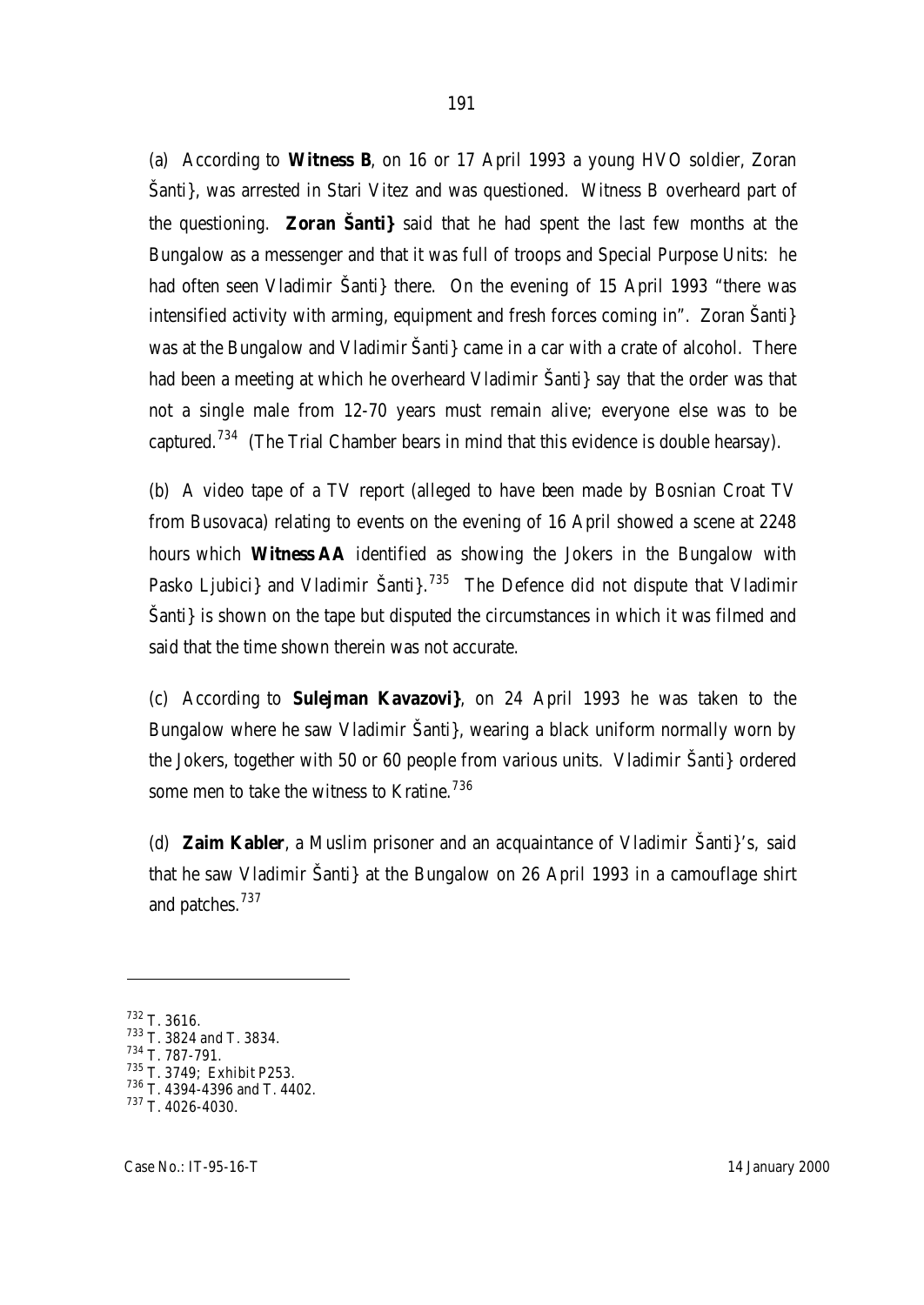(a) According to **Witness B**, on 16 or 17 April 1993 a young HVO soldier, Zoran Šanti}, was arrested in Stari Vitez and was questioned. Witness B overheard part of the questioning. **Zoran Šanti}** said that he had spent the last few months at the Bungalow as a messenger and that it was full of troops and Special Purpose Units: he had often seen Vladimir Šanti} there. On the evening of 15 April 1993 "there was intensified activity with arming, equipment and fresh forces coming in". Zoran Šanti} was at the Bungalow and Vladimir Šanti} came in a car with a crate of alcohol. There had been a meeting at which he overheard Vladimir Šanti} say that the order was that not a single male from 12-70 years must remain alive; everyone else was to be captured.<sup>734</sup> (The Trial Chamber bears in mind that this evidence is double hearsay).

(b) A video tape of a TV report (alleged to have been made by Bosnian Croat TV from Busovaca) relating to events on the evening of 16 April showed a scene at 2248 hours which **Witness AA** identified as showing the Jokers in the Bungalow with Pasko Liubici} and Vladimir Šanti $\Sigma^{735}$  The Defence did not dispute that Vladimir Šanti} is shown on the tape but disputed the circumstances in which it was filmed and said that the time shown therein was not accurate.

(c) According to **Sulejman Kavazovi}**, on 24 April 1993 he was taken to the Bungalow where he saw Vladimir Šanti}, wearing a black uniform normally worn by the Jokers, together with 50 or 60 people from various units. Vladimir Šanti} ordered some men to take the witness to Kratine.<sup>736</sup>

(d) **Zaim Kabler**, a Muslim prisoner and an acquaintance of Vladimir Šanti}'s, said that he saw Vladimir Šanti} at the Bungalow on 26 April 1993 in a camouflage shirt and patches.<sup>737</sup>

<sup>732</sup> T. 3616.

<sup>733</sup> T. 3824 and T. 3834. <sup>734</sup> T. 787-791.

<sup>735</sup> T. 3749; Exhibit P253.

<sup>736</sup> T. 4394-4396 and T. 4402.

<sup>737</sup> T. 4026-4030.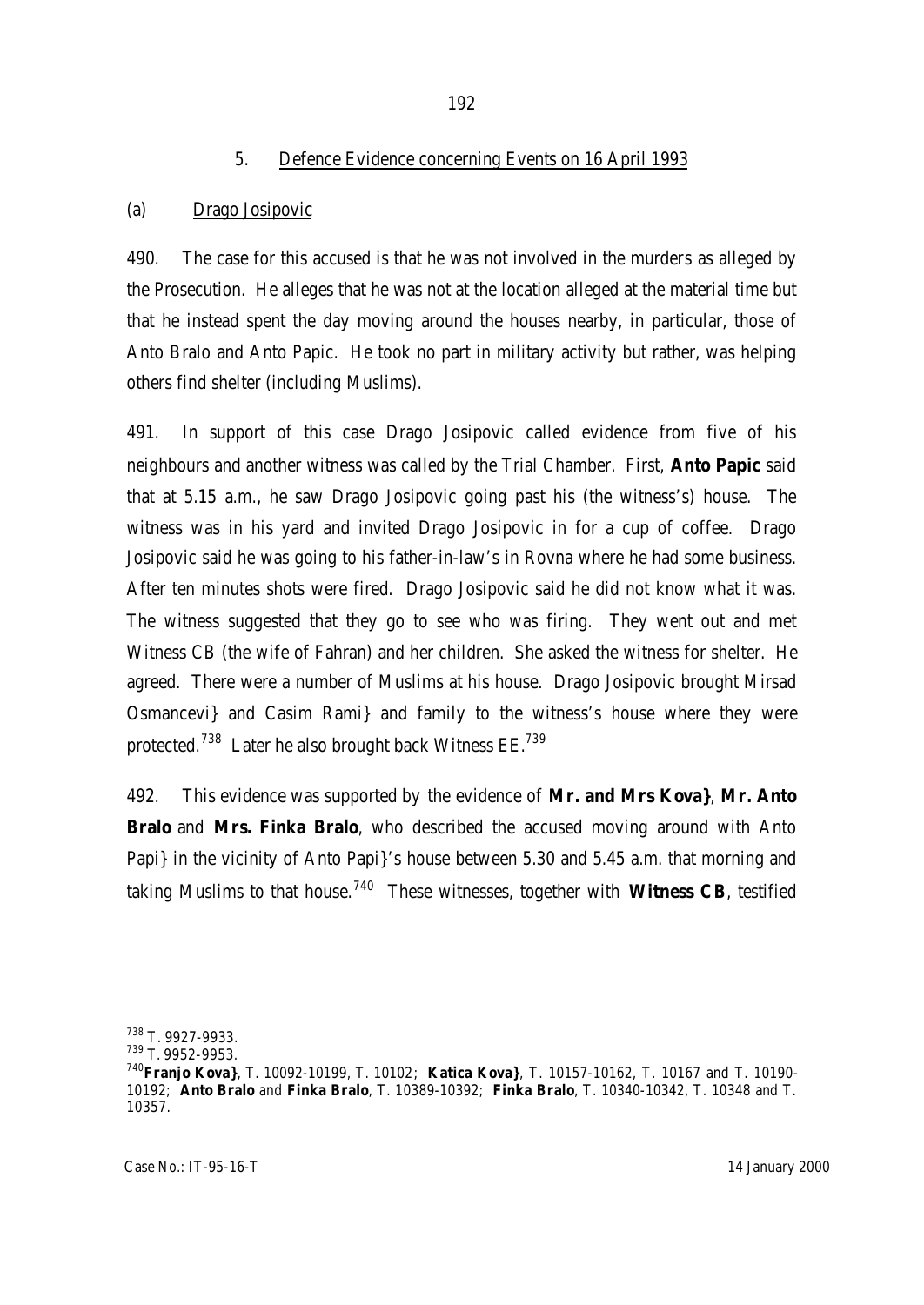#### 5. Defence Evidence concerning Events on 16 April 1993

#### (a) Drago Josipovic

490. The case for this accused is that he was not involved in the murders as alleged by the Prosecution. He alleges that he was not at the location alleged at the material time but that he instead spent the day moving around the houses nearby, in particular, those of Anto Bralo and Anto Papic. He took no part in military activity but rather, was helping others find shelter (including Muslims).

491. In support of this case Drago Josipovic called evidence from five of his neighbours and another witness was called by the Trial Chamber. First, **Anto Papic** said that at 5.15 a.m., he saw Drago Josipovic going past his (the witness's) house. The witness was in his yard and invited Drago Josipovic in for a cup of coffee. Drago Josipovic said he was going to his father-in-law's in Rovna where he had some business. After ten minutes shots were fired. Drago Josipovic said he did not know what it was. The witness suggested that they go to see who was firing. They went out and met Witness CB (the wife of Fahran) and her children. She asked the witness for shelter. He agreed. There were a number of Muslims at his house. Drago Josipovic brought Mirsad Osmancevi} and Casim Rami} and family to the witness's house where they were protected.<sup>738</sup> Later he also brought back Witness EE.<sup>739</sup>

492. This evidence was supported by the evidence of **Mr. and Mrs Kova}**, **Mr. Anto Bralo** and **Mrs. Finka Bralo**, who described the accused moving around with Anto Papi} in the vicinity of Anto Papi}'s house between 5.30 and 5.45 a.m. that morning and taking Muslims to that house.<sup>740</sup> These witnesses, together with **Witness CB**, testified

 $\overline{a}$ 

<sup>738</sup> T. 9927-9933.

<sup>739</sup> T. 9952-9953.

<sup>740</sup>**Franjo Kova}**, T. 10092-10199, T. 10102; **Katica Kova}**, T. 10157-10162, T. 10167 and T. 10190- 10192; **Anto Bralo** and **Finka Bralo**, T. 10389-10392; **Finka Bralo**, T. 10340-10342, T. 10348 and T. 10357.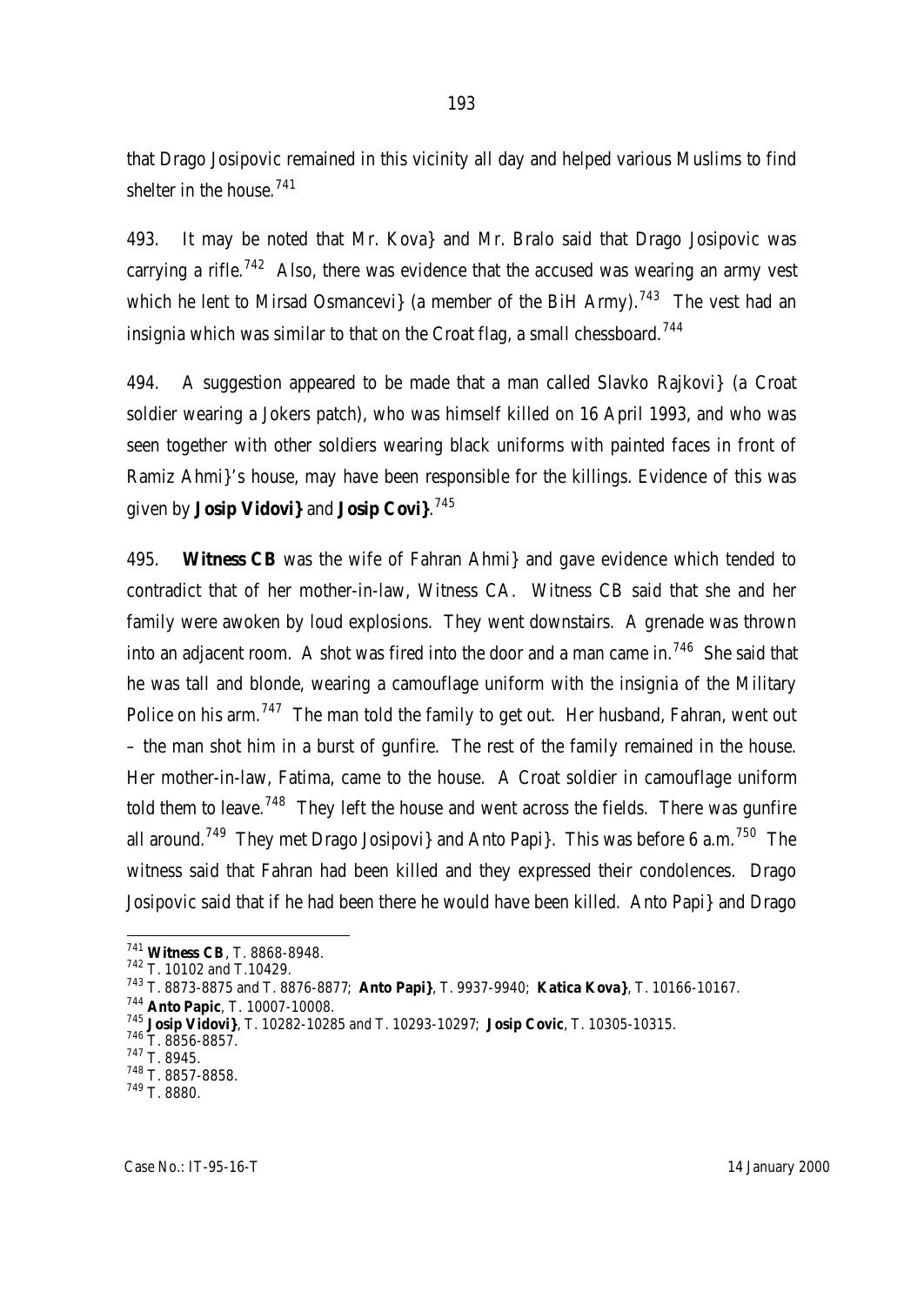that Drago Josipovic remained in this vicinity all day and helped various Muslims to find shelter in the house.<sup>741</sup>

493. It may be noted that Mr. Kova} and Mr. Bralo said that Drago Josipovic was carrying a rifle.<sup>742</sup> Also, there was evidence that the accused was wearing an army vest which he lent to Mirsad Osmancevi} (a member of the BiH Army).<sup>743</sup> The vest had an insignia which was similar to that on the Croat flag, a small chessboard.<sup>744</sup>

494. A suggestion appeared to be made that a man called Slavko Rajkovi} (a Croat soldier wearing a Jokers patch), who was himself killed on 16 April 1993, and who was seen together with other soldiers wearing black uniforms with painted faces in front of Ramiz Ahmi}'s house, may have been responsible for the killings. Evidence of this was given by **Josip Vidovi}** and **Josip Covi}**. 745

495. **Witness CB** was the wife of Fahran Ahmi} and gave evidence which tended to contradict that of her mother-in-law, Witness CA. Witness CB said that she and her family were awoken by loud explosions. They went downstairs. A grenade was thrown into an adjacent room. A shot was fired into the door and a man came in.<sup>746</sup> She said that he was tall and blonde, wearing a camouflage uniform with the insignia of the Military Police on his arm.<sup>747</sup> The man told the family to get out. Her husband, Fahran, went out – the man shot him in a burst of gunfire. The rest of the family remained in the house. Her mother-in-law, Fatima, came to the house. A Croat soldier in camouflage uniform told them to leave.<sup>748</sup> They left the house and went across the fields. There was gunfire all around.<sup>749</sup> They met Drago Josipovi and Anto Papi }. This was before 6 a.m.<sup>750</sup> The witness said that Fahran had been killed and they expressed their condolences. Drago Josipovic said that if he had been there he would have been killed. Anto Papi} and Drago

<sup>741</sup> **Witness CB**, T. 8868-8948.

<sup>742</sup> T. 10102 and T.10429.

<sup>743</sup> T. 8873-8875 and T. 8876-8877; **Anto Papi}**, T. 9937-9940; **Katica Kova}**, T. 10166-10167.

<sup>744</sup> **Anto Papic**, T. 10007-10008.

<sup>745</sup> **Josip Vidovi}**, T. 10282-10285 and T. 10293-10297; **Josip Covic**, T. 10305-10315.

<sup>746</sup> T. 8856-8857.

<sup>747</sup> T. 8945.

<sup>748</sup> T. 8857-8858.

<sup>749</sup> T. 8880.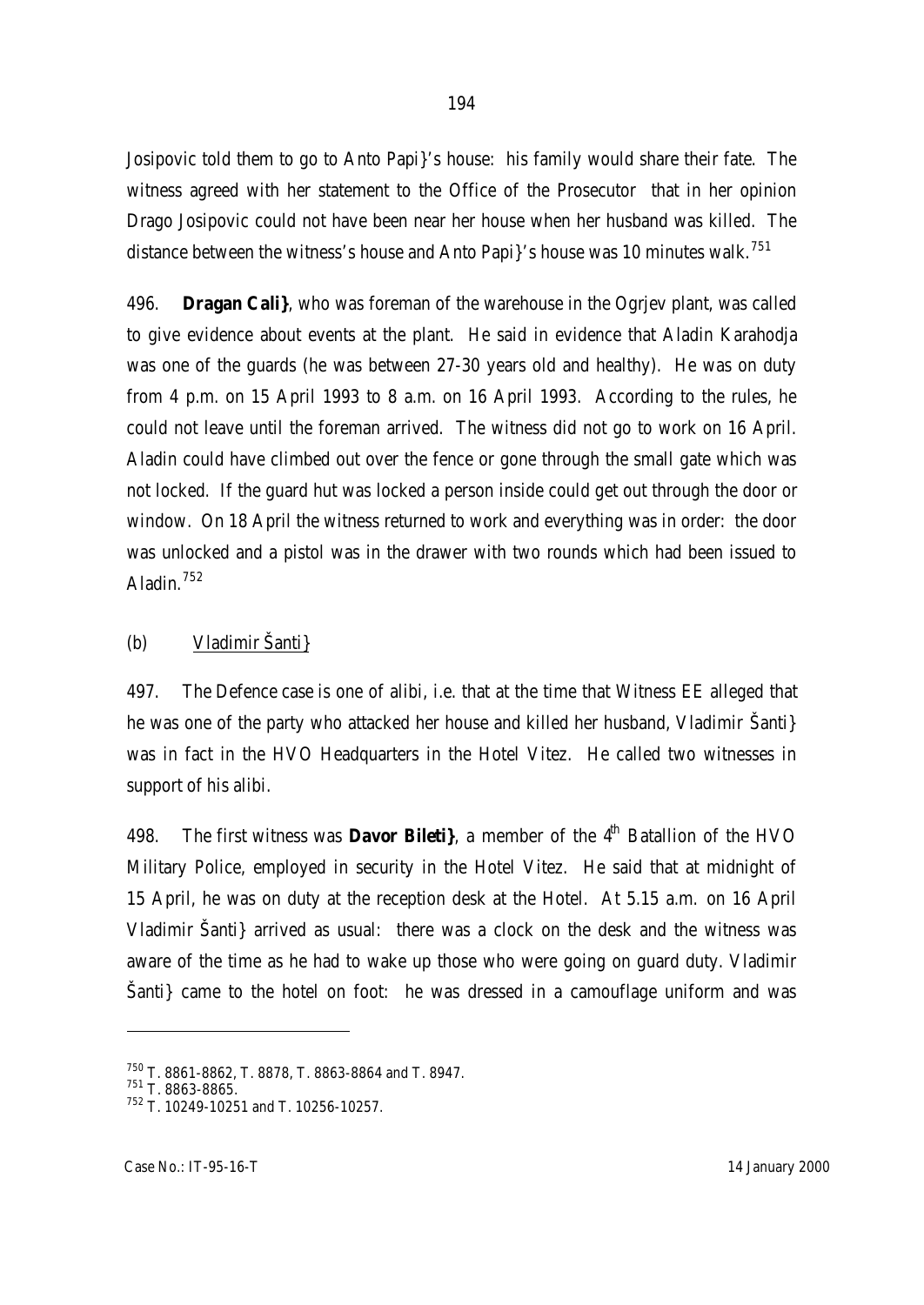Josipovic told them to go to Anto Papi}'s house: his family would share their fate. The witness agreed with her statement to the Office of the Prosecutor that in her opinion Drago Josipovic could not have been near her house when her husband was killed. The distance between the witness's house and Anto Papi}'s house was 10 minutes walk.<sup>751</sup>

496. **Dragan Cali}**, who was foreman of the warehouse in the Ogrjev plant, was called to give evidence about events at the plant. He said in evidence that Aladin Karahodja was one of the guards (he was between 27-30 years old and healthy). He was on duty from 4 p.m. on 15 April 1993 to 8 a.m. on 16 April 1993. According to the rules, he could not leave until the foreman arrived. The witness did not go to work on 16 April. Aladin could have climbed out over the fence or gone through the small gate which was not locked. If the guard hut was locked a person inside could get out through the door or window. On 18 April the witness returned to work and everything was in order: the door was unlocked and a pistol was in the drawer with two rounds which had been issued to Aladin.<sup>752</sup>

#### (b) Vladimir Šanti}

497. The Defence case is one of alibi, i.e. that at the time that Witness EE alleged that he was one of the party who attacked her house and killed her husband, Vladimir Šanti} was in fact in the HVO Headquarters in the Hotel Vitez. He called two witnesses in support of his alibi.

498. The first witness was **Davor Bileti**}, a member of the 4<sup>th</sup> Batallion of the HVO Military Police, employed in security in the Hotel Vitez. He said that at midnight of 15 April, he was on duty at the reception desk at the Hotel. At 5.15 a.m. on 16 April Vladimir Šanti} arrived as usual: there was a clock on the desk and the witness was aware of the time as he had to wake up those who were going on guard duty. Vladimir Šanti} came to the hotel on foot: he was dressed in a camouflage uniform and was

 $^{750}_{750}$  T. 8861-8862, T. 8878, T. 8863-8864 and T. 8947.

<sup>751</sup> T. 8863-8865.

<sup>752</sup> T. 10249-10251 and T. 10256-10257.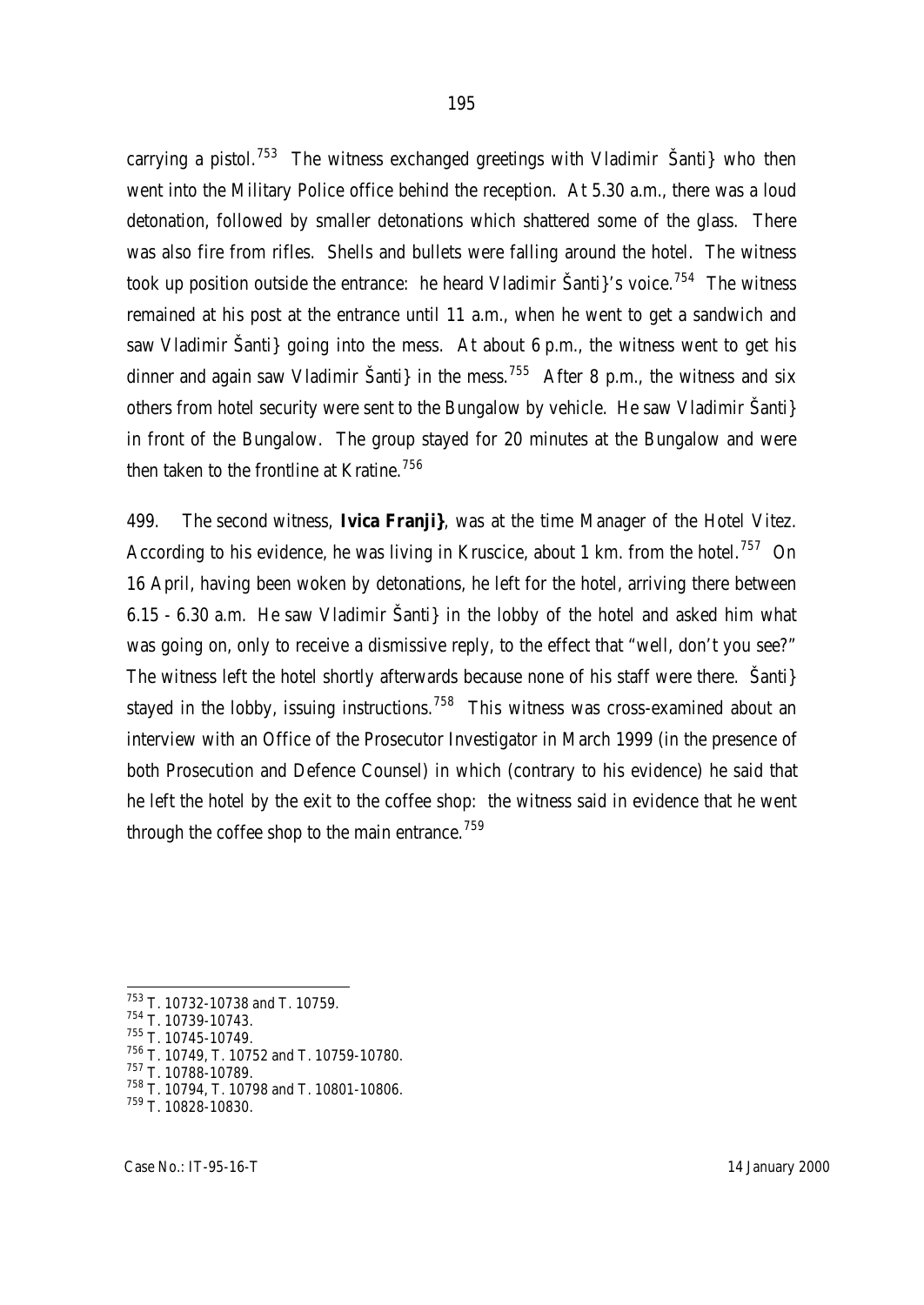carrying a pistol.<sup>753</sup> The witness exchanged greetings with Vladimir Santi} who then went into the Military Police office behind the reception. At 5.30 a.m., there was a loud detonation, followed by smaller detonations which shattered some of the glass. There was also fire from rifles. Shells and bullets were falling around the hotel. The witness took up position outside the entrance: he heard Vladimir Šanti}'s voice.<sup>754</sup> The witness remained at his post at the entrance until 11 a.m., when he went to get a sandwich and saw Vladimir Šanti} going into the mess. At about 6 p.m., the witness went to get his dinner and again saw Vladimir Šanti} in the mess.<sup>755</sup> After 8 p.m., the witness and six others from hotel security were sent to the Bungalow by vehicle. He saw Vladimir Šanti} in front of the Bungalow. The group stayed for 20 minutes at the Bungalow and were then taken to the frontline at Kratine.<sup>756</sup>

499. The second witness, **Ivica Franji}**, was at the time Manager of the Hotel Vitez. According to his evidence, he was living in Kruscice, about 1 km. from the hotel.<sup>757</sup> On 16 April, having been woken by detonations, he left for the hotel, arriving there between 6.15 - 6.30 a.m. He saw Vladimir Šanti} in the lobby of the hotel and asked him what was going on, only to receive a dismissive reply, to the effect that "well, don't you see?" The witness left the hotel shortly afterwards because none of his staff were there. Šanti} stayed in the lobby, issuing instructions.<sup>758</sup> This witness was cross-examined about an interview with an Office of the Prosecutor Investigator in March 1999 (in the presence of both Prosecution and Defence Counsel) in which (contrary to his evidence) he said that he left the hotel by the exit to the coffee shop: the witness said in evidence that he went through the coffee shop to the main entrance.<sup>759</sup>

- <sup>754</sup> T. 10739-10743.
- <sup>755</sup> T. 10745-10749.

 $\overline{a}$ <sup>753</sup> T. 10732-10738 and T. 10759.

<sup>756</sup> T. 10749, T. 10752 and T. 10759-10780.

 $^{757}_{-21}$  T. 10788-10789.

<sup>758</sup> T. 10794, T. 10798 and T. 10801-10806.

<sup>759</sup> T. 10828-10830.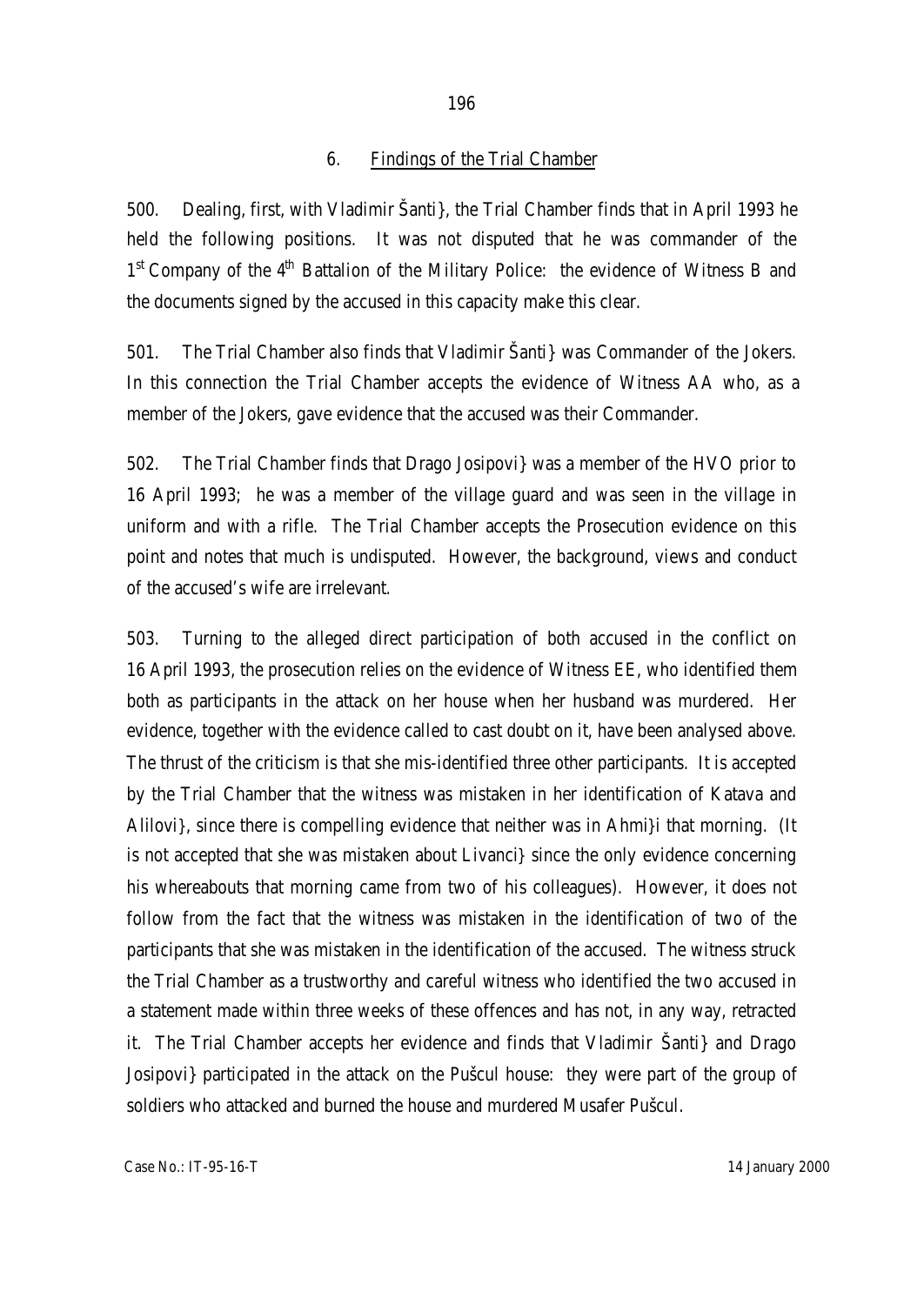#### 196

#### 6. Findings of the Trial Chamber

500. Dealing, first, with Vladimir Šanti}, the Trial Chamber finds that in April 1993 he held the following positions. It was not disputed that he was commander of the 1<sup>st</sup> Company of the 4<sup>th</sup> Battalion of the Military Police: the evidence of Witness B and the documents signed by the accused in this capacity make this clear.

501. The Trial Chamber also finds that Vladimir Šanti} was Commander of the Jokers. In this connection the Trial Chamber accepts the evidence of Witness AA who, as a member of the Jokers, gave evidence that the accused was their Commander.

502. The Trial Chamber finds that Drago Josipovi} was a member of the HVO prior to 16 April 1993; he was a member of the village guard and was seen in the village in uniform and with a rifle. The Trial Chamber accepts the Prosecution evidence on this point and notes that much is undisputed. However, the background, views and conduct of the accused's wife are irrelevant.

503. Turning to the alleged direct participation of both accused in the conflict on 16 April 1993, the prosecution relies on the evidence of Witness EE, who identified them both as participants in the attack on her house when her husband was murdered. Her evidence, together with the evidence called to cast doubt on it, have been analysed above. The thrust of the criticism is that she mis-identified three other participants. It is accepted by the Trial Chamber that the witness was mistaken in her identification of Katava and Alilovi}, since there is compelling evidence that neither was in Ahmi}i that morning. (It is not accepted that she was mistaken about Livanci} since the only evidence concerning his whereabouts that morning came from two of his colleagues). However, it does not follow from the fact that the witness was mistaken in the identification of two of the participants that she was mistaken in the identification of the accused. The witness struck the Trial Chamber as a trustworthy and careful witness who identified the two accused in a statement made within three weeks of these offences and has not, in any way, retracted it. The Trial Chamber accepts her evidence and finds that Vladimir Šanti} and Drago Josipovi} participated in the attack on the Pušcul house: they were part of the group of soldiers who attacked and burned the house and murdered Musafer Pušcul.

Case No.: IT-95-16-T 14 January 2000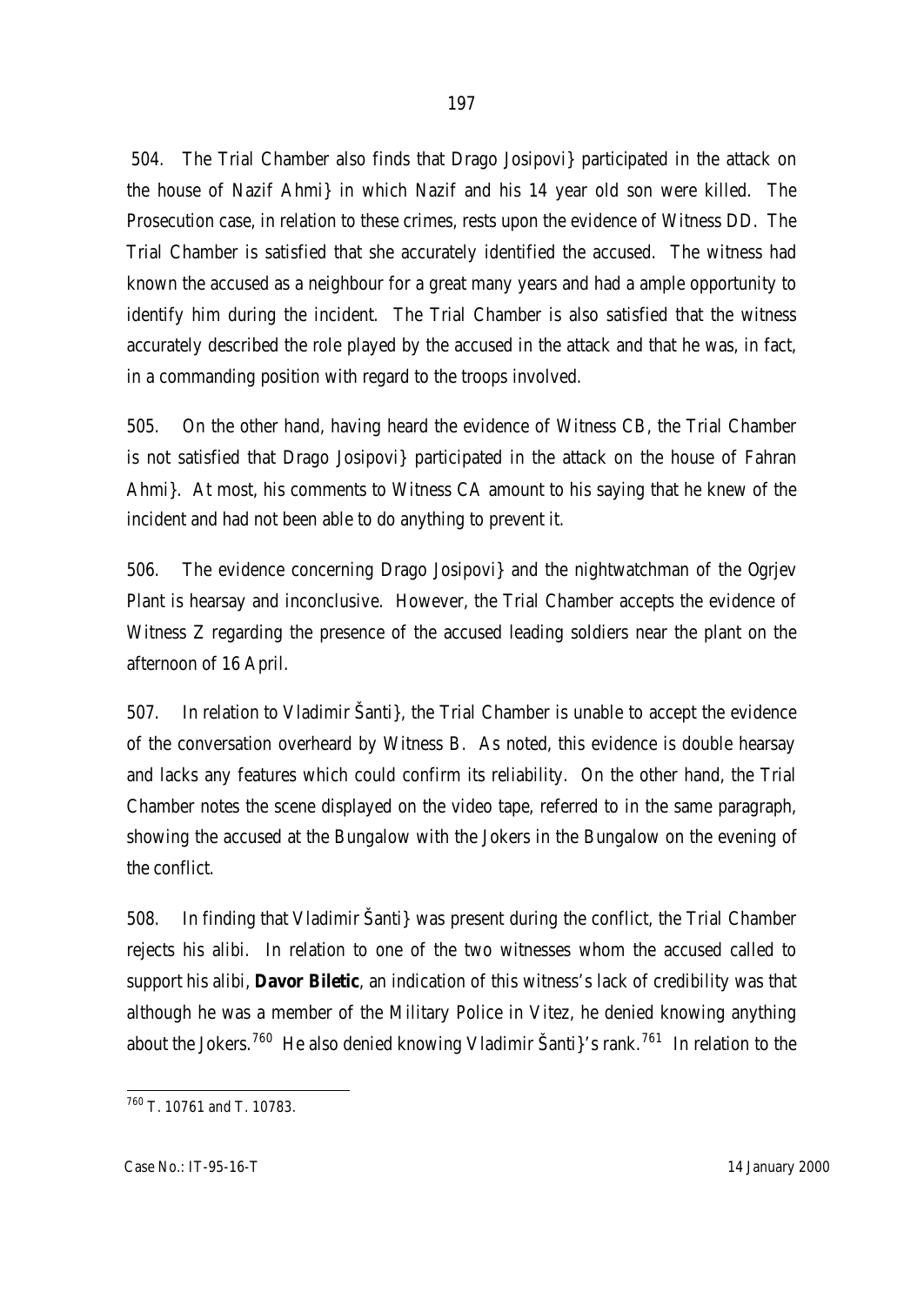504. The Trial Chamber also finds that Drago Josipovi} participated in the attack on the house of Nazif Ahmi} in which Nazif and his 14 year old son were killed. The Prosecution case, in relation to these crimes, rests upon the evidence of Witness DD. The Trial Chamber is satisfied that she accurately identified the accused. The witness had known the accused as a neighbour for a great many years and had a ample opportunity to identify him during the incident. The Trial Chamber is also satisfied that the witness accurately described the role played by the accused in the attack and that he was, in fact, in a commanding position with regard to the troops involved.

505. On the other hand, having heard the evidence of Witness CB, the Trial Chamber is not satisfied that Drago Josipovi} participated in the attack on the house of Fahran Ahmi}. At most, his comments to Witness CA amount to his saying that he knew of the incident and had not been able to do anything to prevent it.

506. The evidence concerning Drago Josipovi} and the nightwatchman of the Ogrjev Plant is hearsay and inconclusive. However, the Trial Chamber accepts the evidence of Witness Z regarding the presence of the accused leading soldiers near the plant on the afternoon of 16 April.

507. In relation to Vladimir Šanti}, the Trial Chamber is unable to accept the evidence of the conversation overheard by Witness B. As noted, this evidence is double hearsay and lacks any features which could confirm its reliability. On the other hand, the Trial Chamber notes the scene displayed on the video tape, referred to in the same paragraph, showing the accused at the Bungalow with the Jokers in the Bungalow on the evening of the conflict.

508. In finding that Vladimir Šanti} was present during the conflict, the Trial Chamber rejects his alibi. In relation to one of the two witnesses whom the accused called to support his alibi, **Davor Biletic**, an indication of this witness's lack of credibility was that although he was a member of the Military Police in Vitez, he denied knowing anything about the Jokers.<sup>760</sup> He also denied knowing Vladimir Šanti}'s rank.<sup>761</sup> In relation to the

 $\overline{a}$ <sup>760</sup> T. 10761 and T. 10783.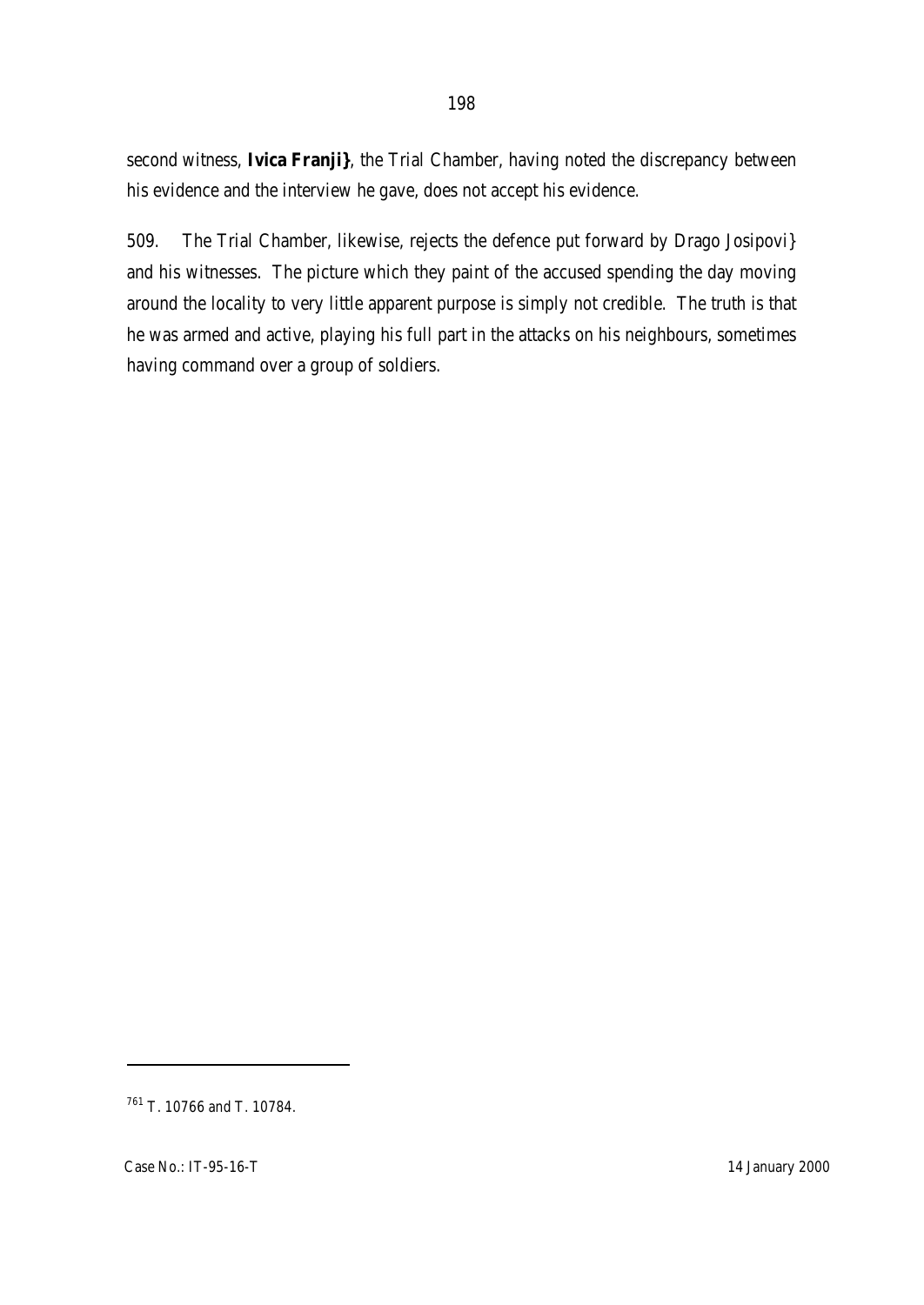second witness, **Ivica Franji}**, the Trial Chamber, having noted the discrepancy between his evidence and the interview he gave, does not accept his evidence.

509. The Trial Chamber, likewise, rejects the defence put forward by Drago Josipovi} and his witnesses. The picture which they paint of the accused spending the day moving around the locality to very little apparent purpose is simply not credible. The truth is that he was armed and active, playing his full part in the attacks on his neighbours, sometimes having command over a group of soldiers.

<sup>761</sup> T. 10766 and T. 10784.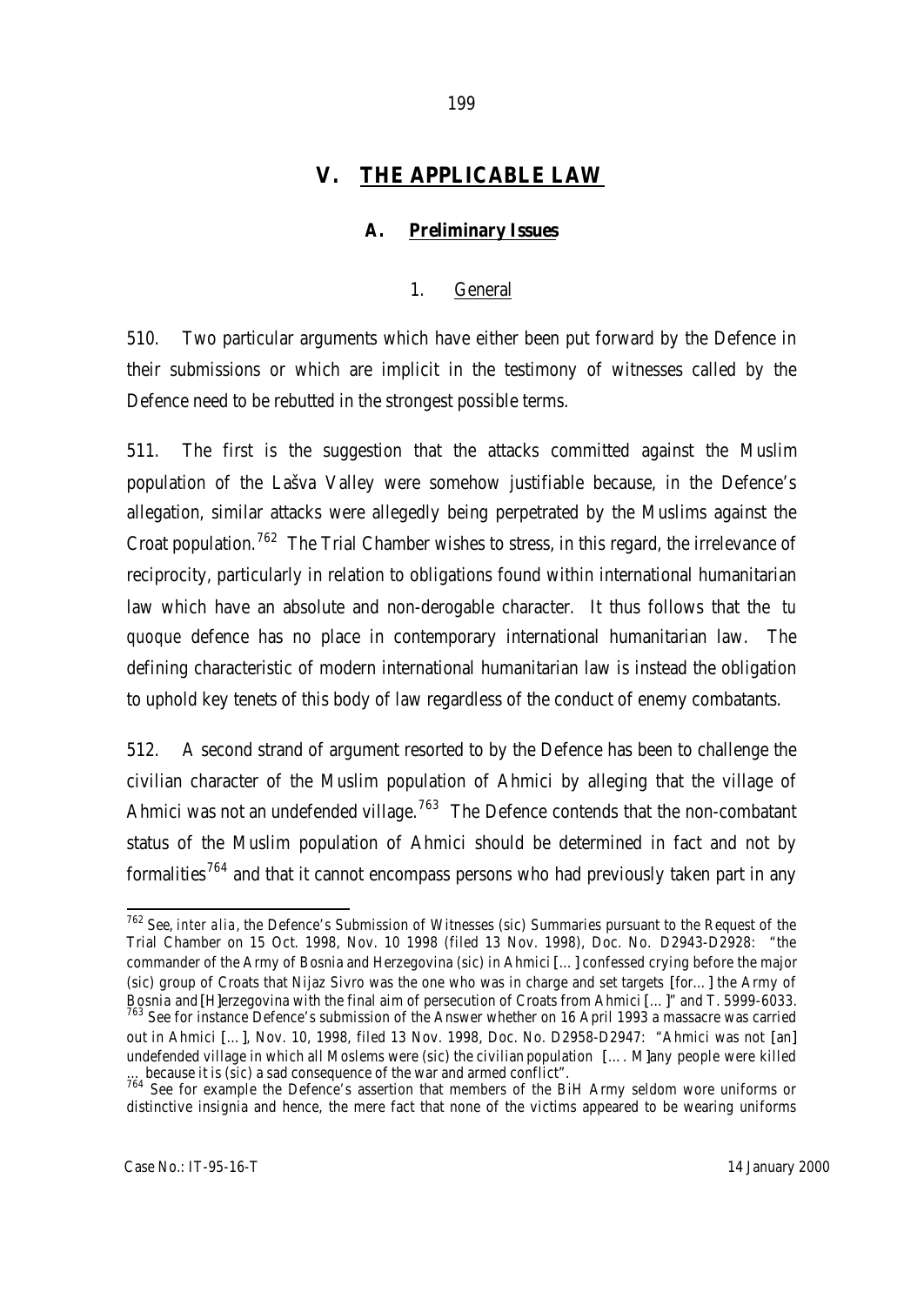# **V. THE APPLICABLE LAW**

#### **A. Preliminary Issues**

#### 1. General

510. Two particular arguments which have either been put forward by the Defence in their submissions or which are implicit in the testimony of witnesses called by the Defence need to be rebutted in the strongest possible terms.

511. The first is the suggestion that the attacks committed against the Muslim population of the Lašva Valley were somehow justifiable because, in the Defence's allegation, similar attacks were allegedly being perpetrated by the Muslims against the Croat population.<sup>762</sup> The Trial Chamber wishes to stress, in this regard, the irrelevance of reciprocity, particularly in relation to obligations found within international humanitarian law which have an absolute and non-derogable character. It thus follows that the *tu quoque* defence has no place in contemporary international humanitarian law. The defining characteristic of modern international humanitarian law is instead the obligation to uphold key tenets of this body of law regardless of the conduct of enemy combatants.

512. A second strand of argument resorted to by the Defence has been to challenge the civilian character of the Muslim population of Ahmici by alleging that the village of Ahmici was not an undefended village.<sup>763</sup> The Defence contends that the non-combatant status of the Muslim population of Ahmici should be determined in fact and not by formalities<sup>764</sup> and that it cannot encompass persons who had previously taken part in any

 $\overline{a}$ <sup>762</sup> See, *inter alia,* the Defence's Submission of Witnesses (sic) Summaries pursuant to the Request of the Trial Chamber on 15 Oct. 1998, Nov. 10 1998 (filed 13 Nov. 1998), Doc. No. D2943-D2928: "the commander of the Army of Bosnia and Herzegovina (sic) in Ahmici […] confessed crying before the major (sic) group of Croats that Nijaz Sivro was the one who was in charge and set targets [for…] the Army of Bosnia and [H]erzegovina with the final aim of persecution of Croats from Ahmici […]" and T. 5999-6033. <sup>763</sup> See for instance Defence's submission of the Answer whether on 16 April 1993 a massacre was carried out in Ahmici […], Nov. 10, 1998, filed 13 Nov. 1998, Doc. No. D2958-D2947: "Ahmici was not [an] undefended village in which all Moslems were (sic) the civilian population […. M]any people were killed … because it is (*sic*) a sad consequence of the war and armed conflict".

<sup>&</sup>lt;sup>764</sup> See for example the Defence's assertion that members of the BiH Army seldom wore uniforms or distinctive insignia and hence, the mere fact that none of the victims appeared to be wearing uniforms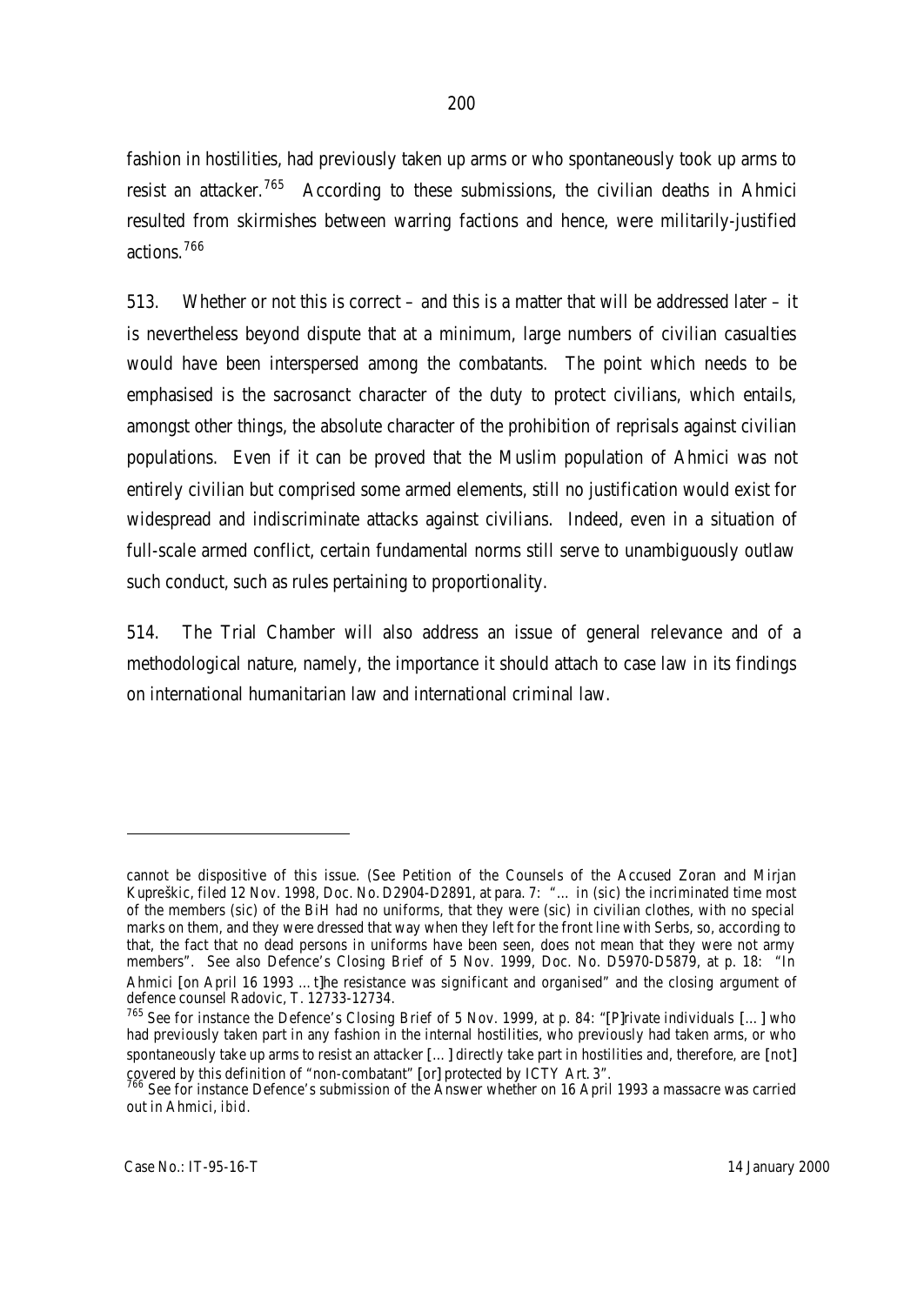fashion in hostilities, had previously taken up arms or who spontaneously took up arms to resist an attacker.<sup>765</sup> According to these submissions, the civilian deaths in Ahmici resulted from skirmishes between warring factions and hence, were militarily-justified actions.<sup>766</sup>

513. Whether or not this is correct – and this is a matter that will be addressed later – it is nevertheless beyond dispute that at a minimum, large numbers of civilian casualties would have been interspersed among the combatants. The point which needs to be emphasised is the sacrosanct character of the duty to protect civilians, which entails, amongst other things, the absolute character of the prohibition of reprisals against civilian populations. Even if it can be proved that the Muslim population of Ahmici was not entirely civilian but comprised some armed elements, still no justification would exist for widespread and indiscriminate attacks against civilians. Indeed, even in a situation of full-scale armed conflict, certain fundamental norms still serve to unambiguously outlaw such conduct, such as rules pertaining to proportionality.

514. The Trial Chamber will also address an issue of general relevance and of a methodological nature, namely, the importance it should attach to case law in its findings on international humanitarian law and international criminal law.

cannot be dispositive of this issue. (See Petition of the Counsels of the Accused Zoran and Mirjan Kupreškic, filed 12 Nov. 1998, Doc. No. D2904-D2891, at para. 7: "… in (sic) the incriminated time most of the members (sic) of the BiH had no uniforms, that they were (sic) in civilian clothes, with no special marks on them, and they were dressed that way when they left for the front line with Serbs, so, according to that, the fact that no dead persons in uniforms have been seen, does not mean that they were not army members". See also Defence's Closing Brief of 5 Nov. 1999, Doc. No. D5970-D5879, at p. 18: "In Ahmici [on April 16 1993 …t]he resistance was significant and organised" and the closing argument of defence counsel Radovic, T. 12733-12734.

<sup>765</sup> See for instance the Defence's Closing Brief of 5 Nov. 1999, at p. 84: "[P]rivate individuals […] who had previously taken part in any fashion in the internal hostilities, who previously had taken arms, or who had previously taken part in any fashion in the internal hostilities, who previously had taken arms, or who spontaneously take up arms to resist an attacker […] directly take part in hostilities and, therefore, are [not] covered by this definition of "non-combatant" [or] protected by ICTY Art. 3".

<sup>766</sup> See for instance Defence's submission of the Answer whether on 16 April 1993 a massacre was carried out in Ahmici, *ibid.*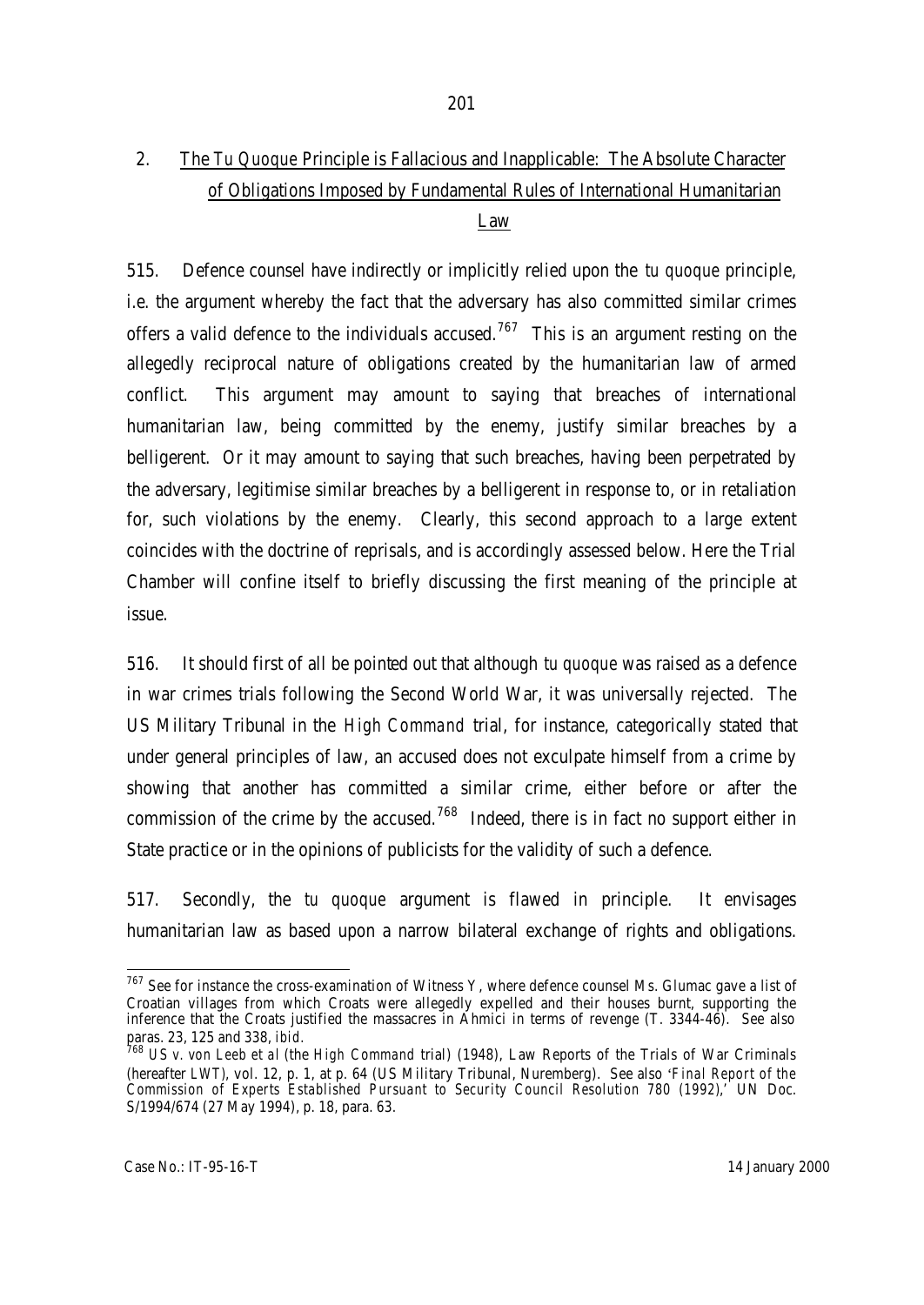# 2. The *Tu Quoque* Principle is Fallacious and Inapplicable: The Absolute Character of Obligations Imposed by Fundamental Rules of International Humanitarian

#### Law

515. Defence counsel have indirectly or implicitly relied upon the *tu quoque* principle, i.e. the argument whereby the fact that the adversary has also committed similar crimes offers a valid defence to the individuals accused.<sup>767</sup> This is an argument resting on the allegedly reciprocal nature of obligations created by the humanitarian law of armed conflict. This argument may amount to saying that breaches of international humanitarian law, being committed by the enemy, justify similar breaches by a belligerent. Or it may amount to saying that such breaches, having been perpetrated by the adversary, legitimise similar breaches by a belligerent in response to, or in retaliation for, such violations by the enemy. Clearly, this second approach to a large extent coincides with the doctrine of reprisals, and is accordingly assessed below. Here the Trial Chamber will confine itself to briefly discussing the first meaning of the principle at issue.

516. It should first of all be pointed out that although *tu quoque* was raised as a defence in war crimes trials following the Second World War, it was universally rejected. The US Military Tribunal in the *High Command* trial, for instance, categorically stated that under general principles of law, an accused does not exculpate himself from a crime by showing that another has committed a similar crime, either before or after the commission of the crime by the accused.<sup>768</sup> Indeed, there is in fact no support either in State practice or in the opinions of publicists for the validity of such a defence.

517. Secondly, the *tu quoque* argument is flawed in principle. It envisages humanitarian law as based upon a narrow bilateral exchange of rights and obligations.

 $\overline{a}$  $^{767}$  See for instance the cross-examination of Witness Y, where defence counsel Ms. Glumac gave a list of Croatian villages from which Croats were allegedly expelled and their houses burnt, supporting the inference that the Croats justified the massacres in Ahmici in terms of revenge (T. 3344-46). See also paras. 23, 125 and 338, *ibid.*

<sup>768</sup> *US v. von Leeb et al* (the *High Command* trial) (1948), Law Reports of the Trials of War Criminals (hereafter *LWT)*, vol. 12, p. 1, at p. 64 (US Military Tribunal, Nuremberg). See also '*Final Report of the Commission of Experts Established Pursuant to Security Council Resolution 780 (1992)*,' UN Doc. S/1994/674 (27 May 1994), p. 18, para. 63.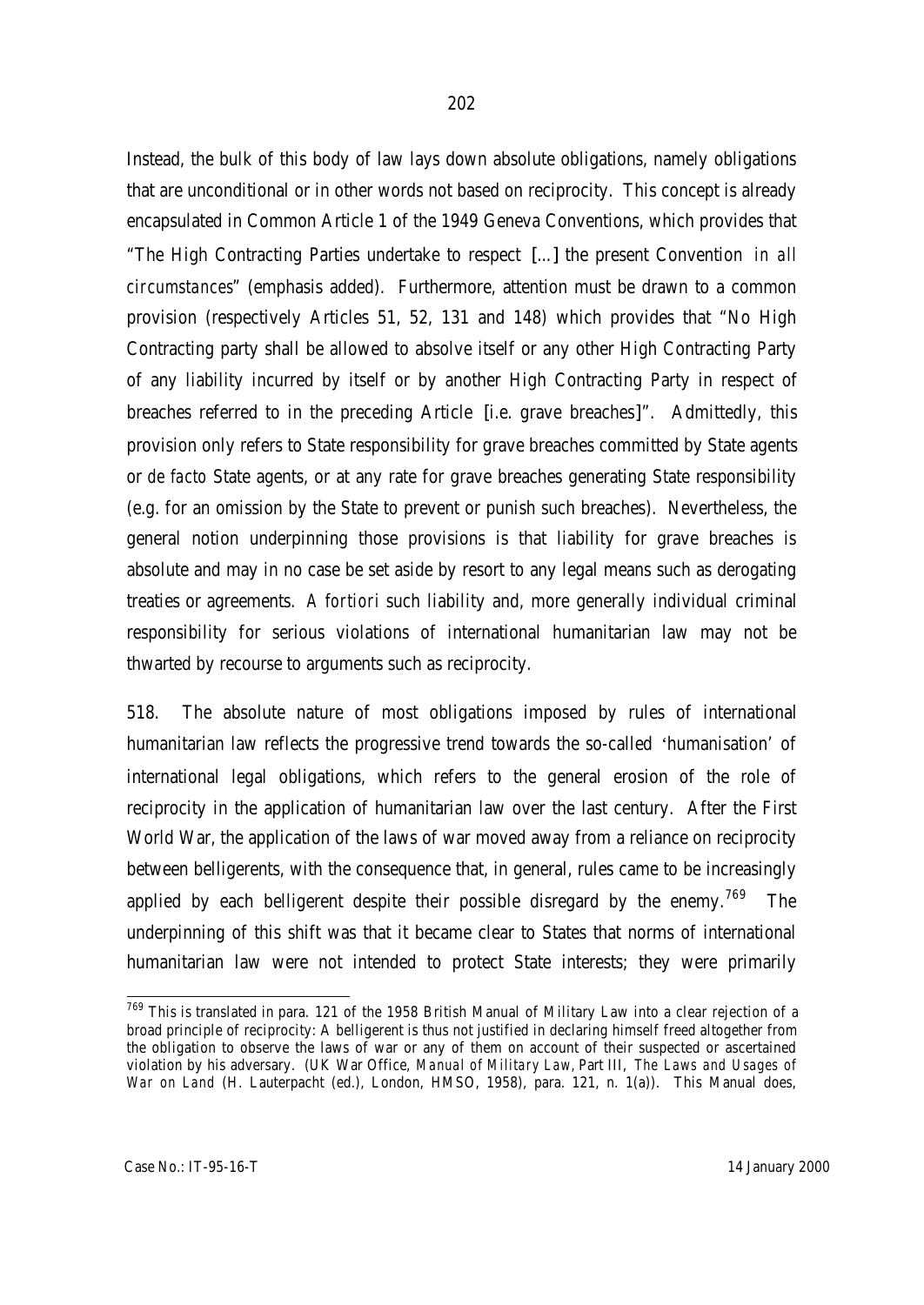Instead, the bulk of this body of law lays down absolute obligations, namely obligations that are unconditional or in other words not based on reciprocity. This concept is already encapsulated in Common Article 1 of the 1949 Geneva Conventions, which provides that "The High Contracting Parties undertake to respect [...] the present Convention *in all circumstances*" (emphasis added). Furthermore, attention must be drawn to a common provision (respectively Articles 51, 52, 131 and 148) which provides that "No High Contracting party shall be allowed to absolve itself or any other High Contracting Party of any liability incurred by itself or by another High Contracting Party in respect of breaches referred to in the preceding Article [i.e. grave breaches]". Admittedly, this provision only refers to State responsibility for grave breaches committed by State agents or *de facto* State agents, or at any rate for grave breaches generating State responsibility (e.g. for an omission by the State to prevent or punish such breaches). Nevertheless, the general notion underpinning those provisions is that liability for grave breaches is absolute and may in no case be set aside by resort to any legal means such as derogating treaties or agreements. *A fortiori* such liability and, more generally individual criminal responsibility for serious violations of international humanitarian law may not be thwarted by recourse to arguments such as reciprocity.

518. The absolute nature of most obligations imposed by rules of international humanitarian law reflects the progressive trend towards the so-called 'humanisation' of international legal obligations, which refers to the general erosion of the role of reciprocity in the application of humanitarian law over the last century. After the First World War, the application of the laws of war moved away from a reliance on reciprocity between belligerents, with the consequence that, in general, rules came to be increasingly applied by each belligerent despite their possible disregard by the enemy.<sup>769</sup> The underpinning of this shift was that it became clear to States that norms of international humanitarian law were not intended to protect State interests; they were primarily

 $\overline{a}$ <sup>769</sup> This is translated in para. 121 of the 1958 British Manual of Military Law into a clear rejection of a broad principle of reciprocity: A belligerent is thus not justified in declaring himself freed altogether from the obligation to observe the laws of war or any of them on account of their suspected or ascertained violation by his adversary. (UK War Office, *Manual of Military Law,* Part III, *The Laws and Usages of War on Land* (H. Lauterpacht (ed.), London, HMSO, 1958), para. 121, n. 1(a)). This Manual does,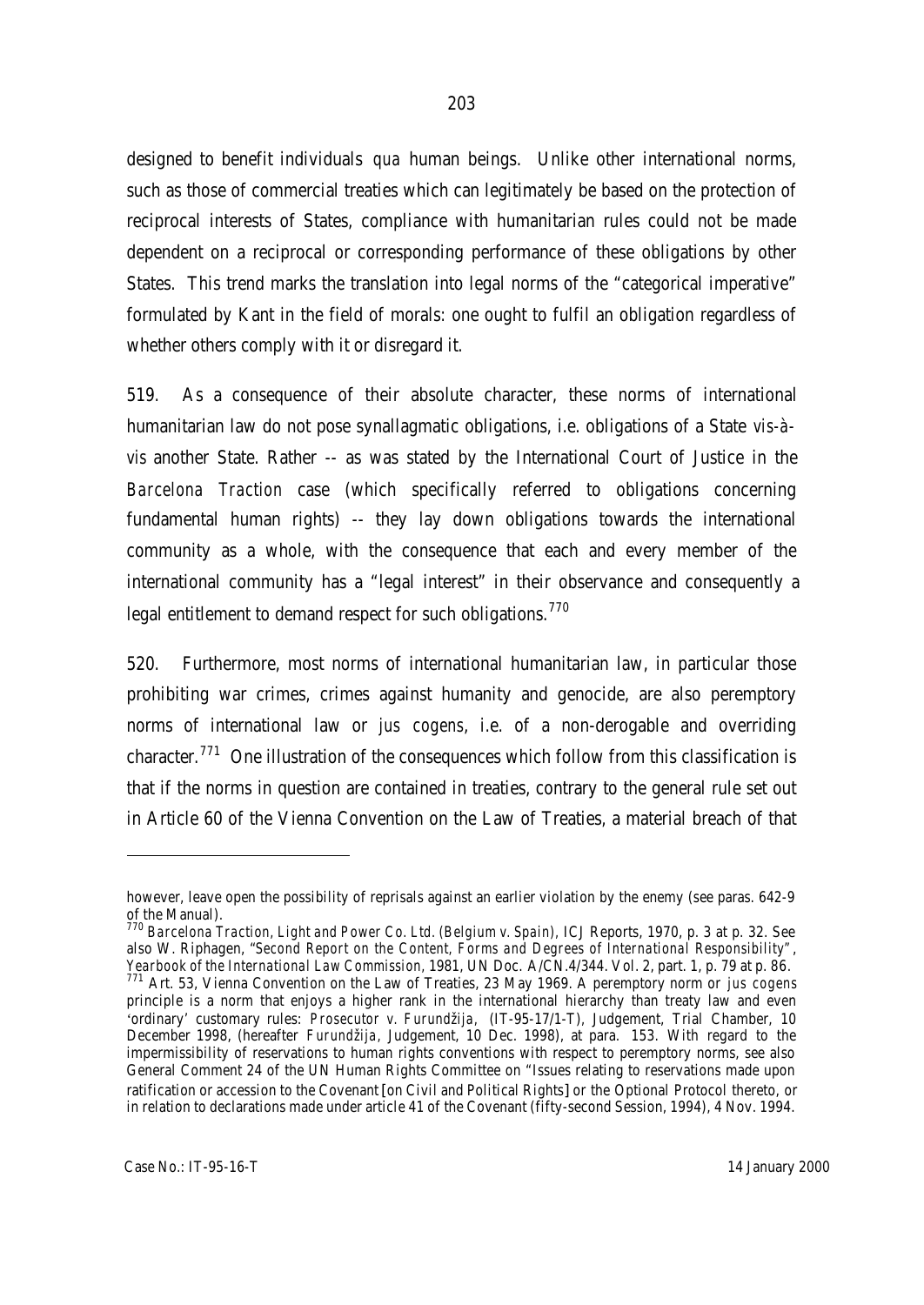203

designed to benefit individuals *qua* human beings. Unlike other international norms, such as those of commercial treaties which can legitimately be based on the protection of reciprocal interests of States, compliance with humanitarian rules could not be made dependent on a reciprocal or corresponding performance of these obligations by other States. This trend marks the translation into legal norms of the "categorical imperative" formulated by Kant in the field of morals: one ought to fulfil an obligation regardless of whether others comply with it or disregard it.

519. As a consequence of their absolute character, these norms of international humanitarian law do not pose synallagmatic obligations, i.e. obligations of a State *vis-àvis* another State. Rather -- as was stated by the International Court of Justice in the *Barcelona Traction* case (which specifically referred to obligations concerning fundamental human rights) -- they lay down obligations towards the international community as a whole, with the consequence that each and every member of the international community has a "legal interest" in their observance and consequently a legal entitlement to demand respect for such obligations.<sup>770</sup>

520. Furthermore, most norms of international humanitarian law, in particular those prohibiting war crimes, crimes against humanity and genocide, are also peremptory norms of international law or *jus cogens*, i.e. of a non-derogable and overriding character.<sup>771</sup> One illustration of the consequences which follow from this classification is that if the norms in question are contained in treaties, contrary to the general rule set out in Article 60 of the Vienna Convention on the Law of Treaties, a material breach of that

however, leave open the possibility of reprisals against an earlier violation by the enemy (see paras. 642-9 of the Manual).

<sup>770</sup> *Barcelona Traction, Light and Power Co. Ltd. (Belgium v. Spain),* ICJ Reports, 1970, p. 3 at p. 32. See also W. Riphagen, "*Second Report on the Content, Forms and Degrees of International Responsibility"*, *Yearbook of the International Law Commission,* 1981, UN Doc. A/CN.4/344. Vol. 2, part. 1, p. 79 at p. 86.

<sup>771</sup> Art. 53, Vienna Convention on the Law of Treaties, 23 May 1969. A peremptory norm or *jus cogens* principle is a norm that enjoys a higher rank in the international hierarchy than treaty law and even 'ordinary' customary rules: *Prosecutor v. Furundžija,* (IT-95-17/1-T)*,* Judgement, Trial Chamber, 10 December 1998, (hereafter *Furundžija,* Judgement, 10 Dec. 1998), at para. 153. With regard to the impermissibility of reservations to human rights conventions with respect to peremptory norms, see also General Comment 24 of the UN Human Rights Committee on "Issues relating to reservations made upon ratification or accession to the Covenant [on Civil and Political Rights] or the Optional Protocol thereto, or in relation to declarations made under article 41 of the Covenant (fifty-second Session, 1994), 4 Nov. 1994.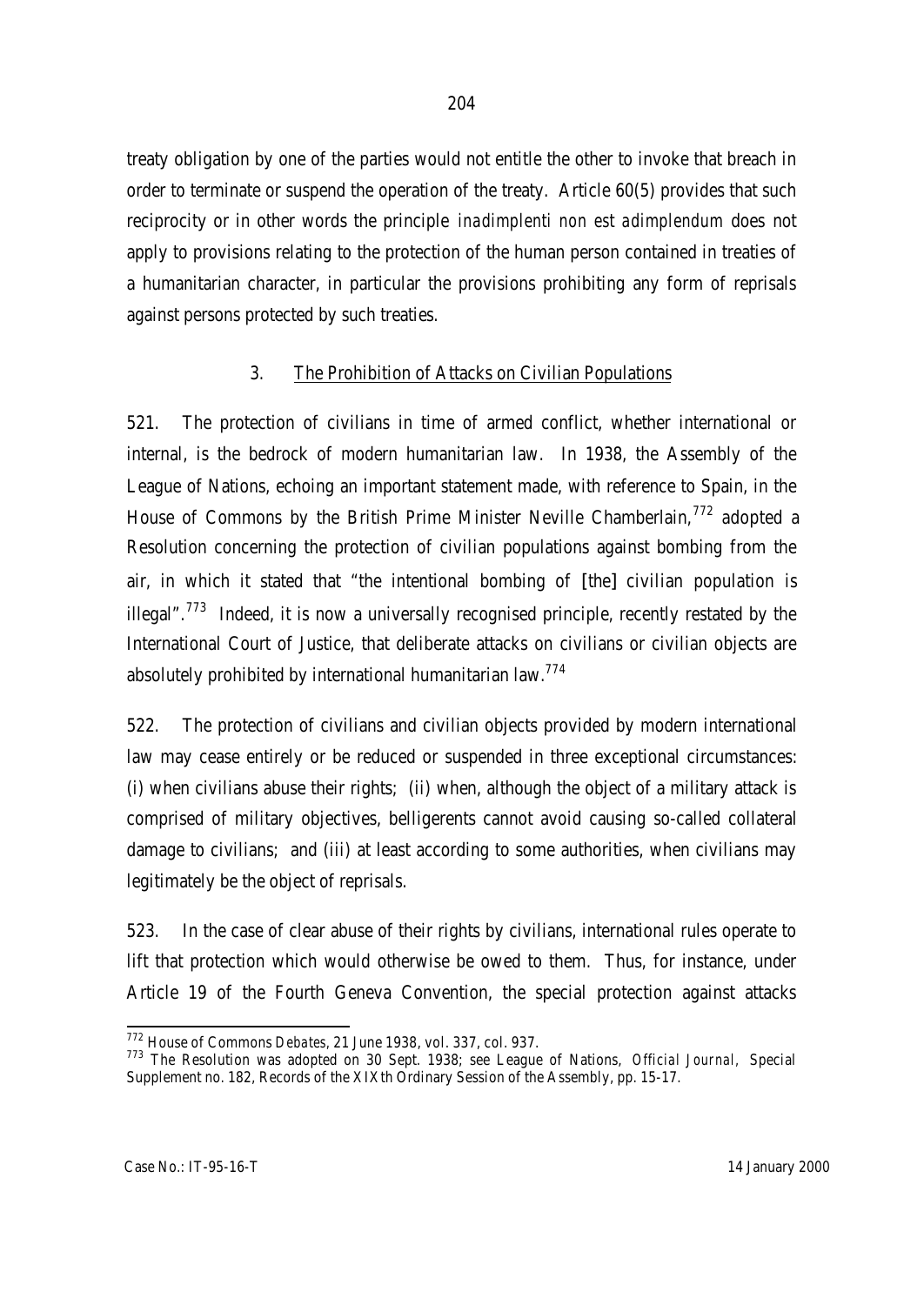treaty obligation by one of the parties would not entitle the other to invoke that breach in order to terminate or suspend the operation of the treaty. Article 60(5) provides that such reciprocity or in other words the principle *inadimplenti non est adimplendum* does not apply to provisions relating to the protection of the human person contained in treaties of a humanitarian character, in particular the provisions prohibiting any form of reprisals against persons protected by such treaties.

## 3. The Prohibition of Attacks on Civilian Populations

521. The protection of civilians in time of armed conflict, whether international or internal, is the bedrock of modern humanitarian law. In 1938, the Assembly of the League of Nations, echoing an important statement made, with reference to Spain, in the House of Commons by the British Prime Minister Neville Chamberlain,  $772$  adopted a Resolution concerning the protection of civilian populations against bombing from the air, in which it stated that "the intentional bombing of [the] civilian population is illegal". $773$  Indeed, it is now a universally recognised principle, recently restated by the International Court of Justice, that deliberate attacks on civilians or civilian objects are absolutely prohibited by international humanitarian law.<sup>774</sup>

522. The protection of civilians and civilian objects provided by modern international law may cease entirely or be reduced or suspended in three exceptional circumstances: (i) when civilians abuse their rights; (ii) when, although the object of a military attack is comprised of military objectives, belligerents cannot avoid causing so-called collateral damage to civilians; and (iii) at least according to some authorities, when civilians may legitimately be the object of reprisals.

523. In the case of clear abuse of their rights by civilians, international rules operate to lift that protection which would otherwise be owed to them. Thus, for instance, under Article 19 of the Fourth Geneva Convention, the special protection against attacks

 $\overline{a}$ <sup>772</sup> House of Commons *Debates,* 21 June 1938, vol. 337, col. 937.

<sup>773</sup> The Resolution was adopted on 30 Sept. 1938; see League of Nations, *Official Journal,* Special Supplement no. 182, Records of the XIXth Ordinary Session of the Assembly, pp. 15-17.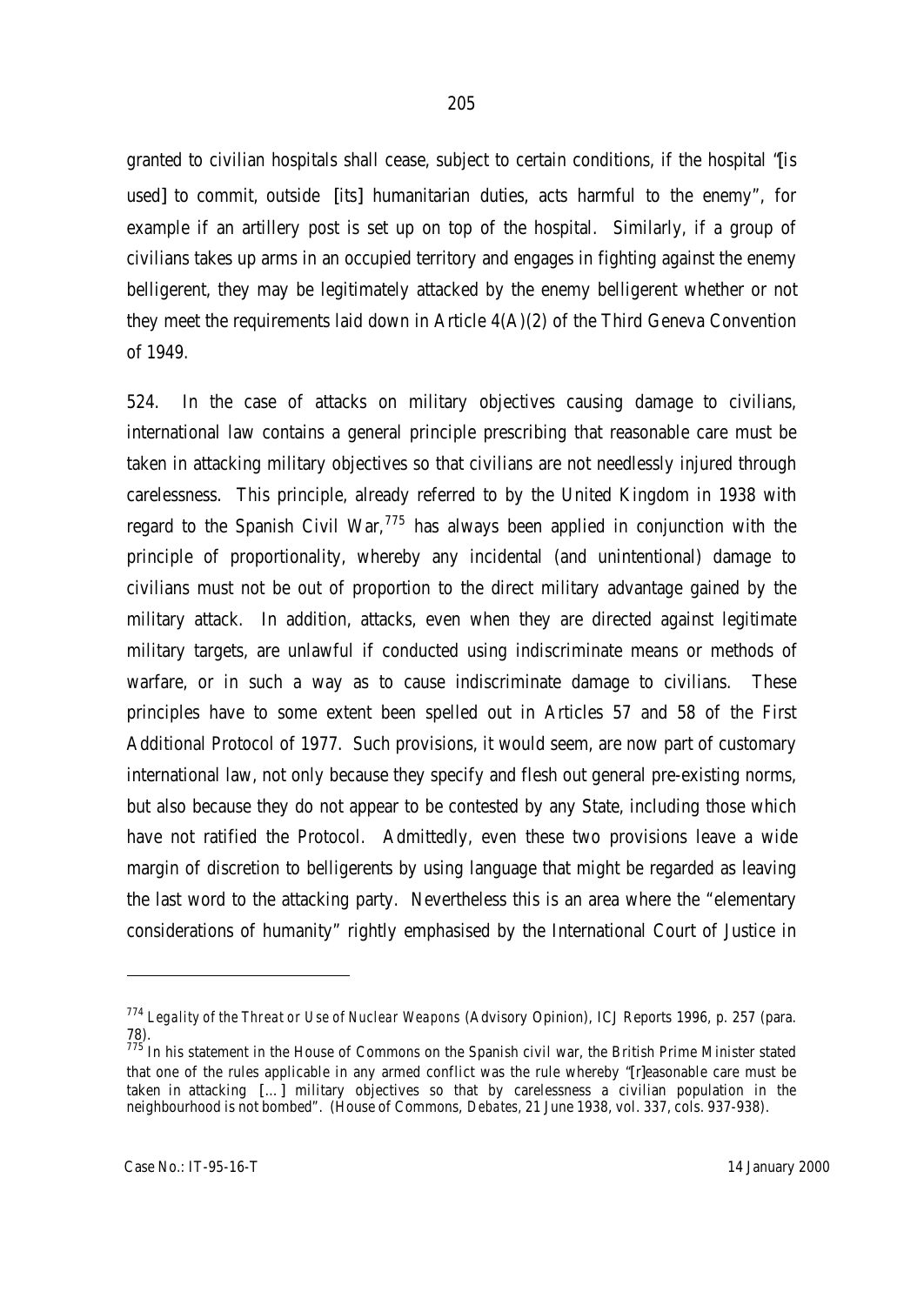granted to civilian hospitals shall cease, subject to certain conditions, if the hospital "[is used] to commit, outside [its] humanitarian duties, acts harmful to the enemy", for example if an artillery post is set up on top of the hospital. Similarly, if a group of civilians takes up arms in an occupied territory and engages in fighting against the enemy belligerent, they may be legitimately attacked by the enemy belligerent whether or not they meet the requirements laid down in Article 4(A)(2) of the Third Geneva Convention of 1949.

524. In the case of attacks on military objectives causing damage to civilians, international law contains a general principle prescribing that reasonable care must be taken in attacking military objectives so that civilians are not needlessly injured through carelessness. This principle, already referred to by the United Kingdom in 1938 with regard to the Spanish Civil War,  $775$  has always been applied in conjunction with the principle of proportionality, whereby any incidental (and unintentional) damage to civilians must not be out of proportion to the direct military advantage gained by the military attack. In addition, attacks, even when they are directed against legitimate military targets, are unlawful if conducted using indiscriminate means or methods of warfare, or in such a way as to cause indiscriminate damage to civilians. These principles have to some extent been spelled out in Articles 57 and 58 of the First Additional Protocol of 1977. Such provisions, it would seem, are now part of customary international law, not only because they specify and flesh out general pre-existing norms, but also because they do not appear to be contested by any State, including those which have not ratified the Protocol. Admittedly, even these two provisions leave a wide margin of discretion to belligerents by using language that might be regarded as leaving the last word to the attacking party. Nevertheless this is an area where the "elementary considerations of humanity" rightly emphasised by the International Court of Justice in

<sup>774</sup> *Legality of the Threat or Use of Nuclear Weapons* (Advisory Opinion), ICJ Reports 1996, p. 257 (para. 78).

 $^{775}$  In his statement in the House of Commons on the Spanish civil war, the British Prime Minister stated that one of the rules applicable in any armed conflict was the rule whereby "[r]easonable care must be taken in attacking […] military objectives so that by carelessness a civilian population in the neighbourhood is not bombed". (House of Commons, *Debates,* 21 June 1938, vol. 337, cols. 937-938).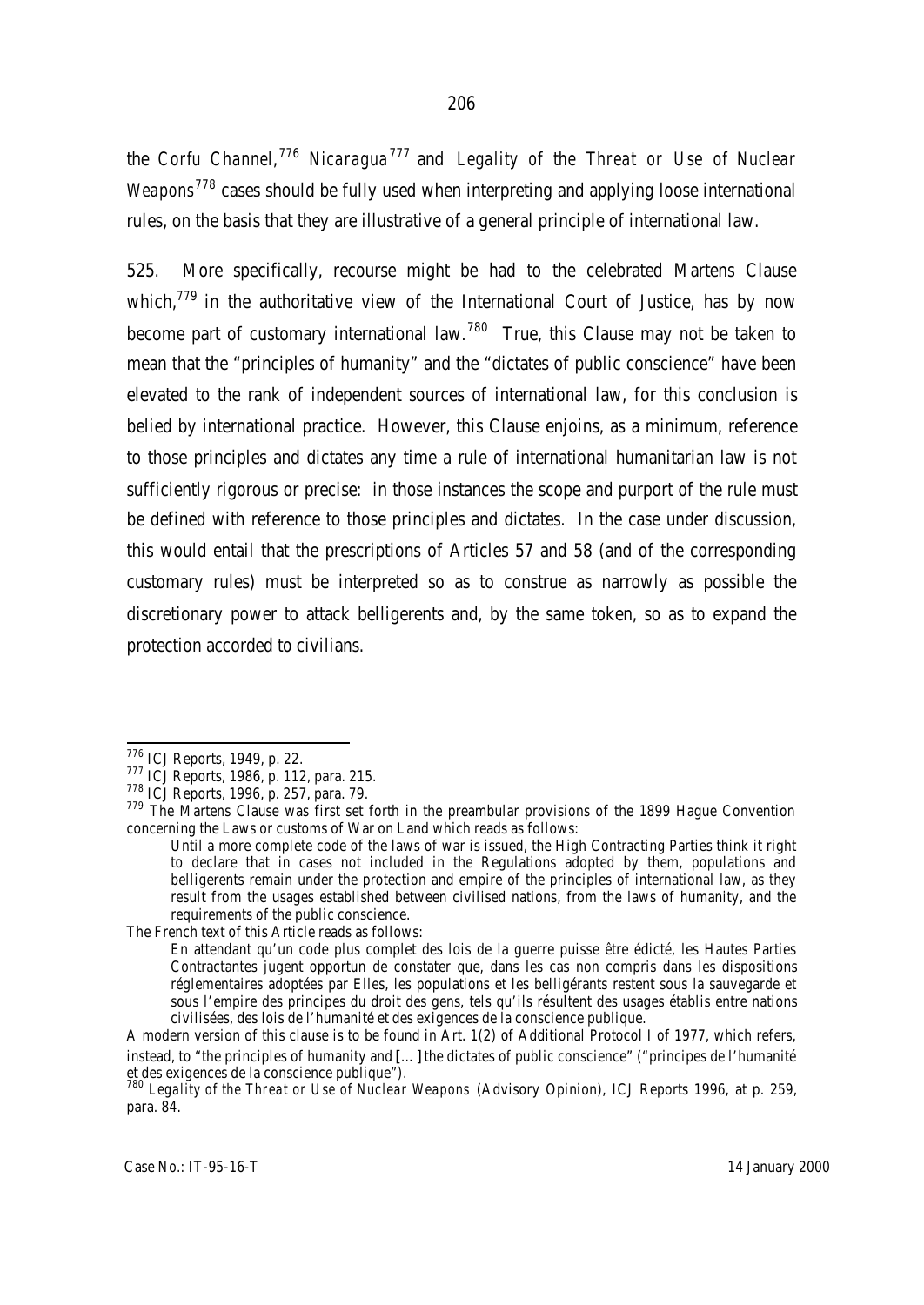the *Corfu Channel*, <sup>776</sup> *Nicaragua*<sup>777</sup> and *Legality of the Threat or Use of Nuclear Weapons*<sup>778</sup> cases should be fully used when interpreting and applying loose international rules, on the basis that they are illustrative of a general principle of international law.

525. More specifically, recourse might be had to the celebrated Martens Clause which, $779$  in the authoritative view of the International Court of Justice, has by now become part of customary international law.<sup>780</sup> True, this Clause may not be taken to mean that the "principles of humanity" and the "dictates of public conscience" have been elevated to the rank of independent sources of international law, for this conclusion is belied by international practice. However, this Clause enjoins, as a minimum, reference to those principles and dictates any time a rule of international humanitarian law is not sufficiently rigorous or precise: in those instances the scope and purport of the rule must be defined with reference to those principles and dictates. In the case under discussion, this would entail that the prescriptions of Articles 57 and 58 (and of the corresponding customary rules) must be interpreted so as to construe as narrowly as possible the discretionary power to attack belligerents and, by the same token, so as to expand the protection accorded to civilians.

The French text of this Article reads as follows:

En attendant qu'un code plus complet des lois de la guerre puisse être édicté, les Hautes Parties Contractantes jugent opportun de constater que, dans les cas non compris dans les dispositions réglementaires adoptées par Elles, les populations et les belligérants restent sous la sauvegarde et sous l'empire des principes du droit des gens, tels qu'ils résultent des usages établis entre nations civilisées, des lois de l'humanité et des exigences de la conscience publique.

j 776 ICJ Reports, 1949, p. 22.

<sup>777</sup> ICJ Reports, 1986, p. 112, para. 215.

<sup>778</sup> ICJ Reports, 1996, p. 257, para. 79.

<sup>779</sup> The Martens Clause was first set forth in the preambular provisions of the 1899 Hague Convention concerning the Laws or customs of War on Land which reads as follows:

Until a more complete code of the laws of war is issued, the High Contracting Parties think it right to declare that in cases not included in the Regulations adopted by them, populations and belligerents remain under the protection and empire of the principles of international law, as they result from the usages established between civilised nations, from the laws of humanity, and the requirements of the public conscience.

A modern version of this clause is to be found in Art. 1(2) of Additional Protocol I of 1977, which refers, instead, to "the principles of humanity and […] the dictates of public conscience" ("principes de l'humanité et des exigences de la conscience publique").

<sup>&</sup>lt;sup>780</sup> Legality of the Threat or Use of Nuclear Weapons (Advisory Opinion), ICJ Reports 1996, at p. 259, para. 84.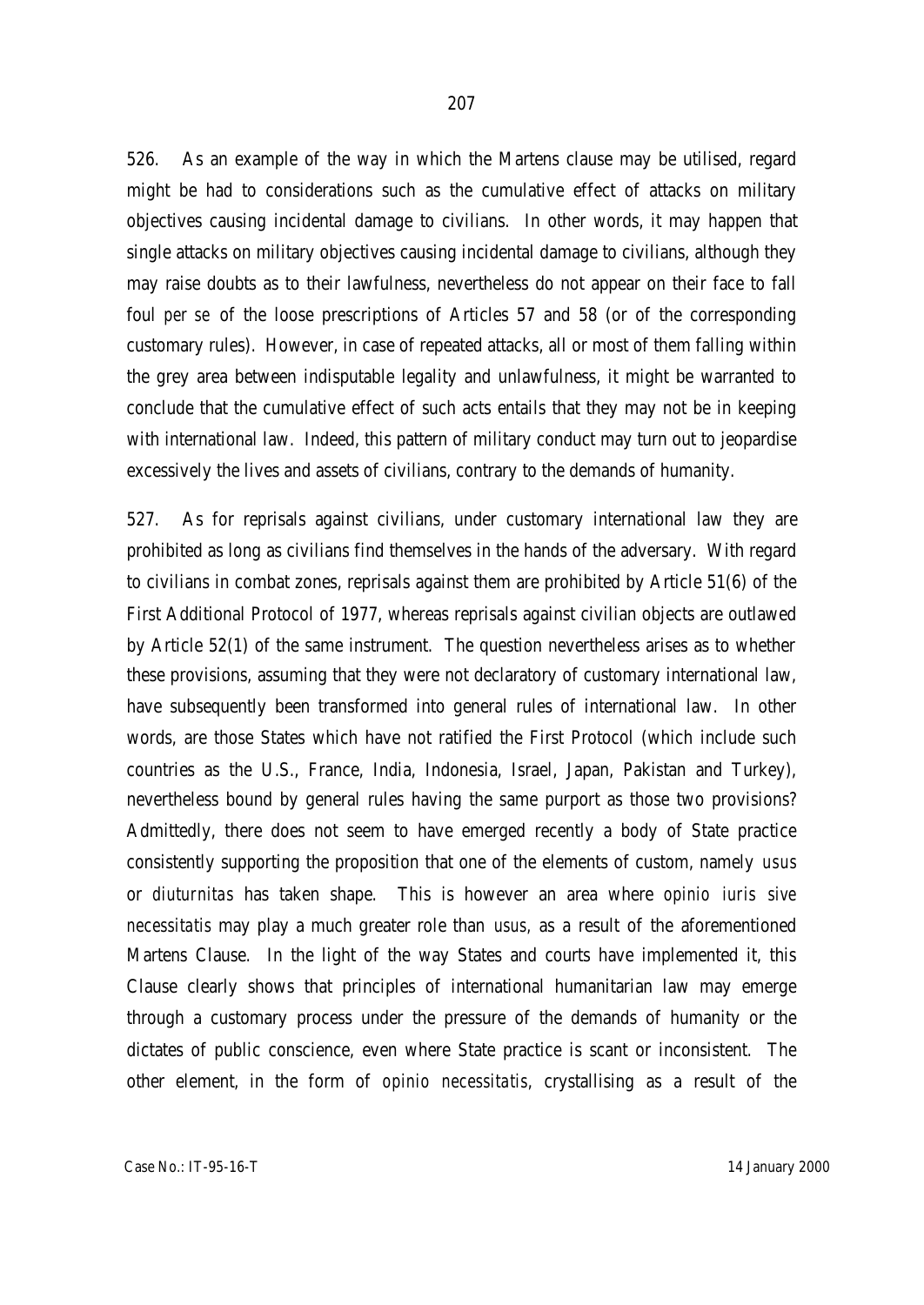526. As an example of the way in which the Martens clause may be utilised, regard might be had to considerations such as the cumulative effect of attacks on military objectives causing incidental damage to civilians. In other words, it may happen that single attacks on military objectives causing incidental damage to civilians, although they may raise doubts as to their lawfulness, nevertheless do not appear on their face to fall foul *per se* of the loose prescriptions of Articles 57 and 58 (or of the corresponding customary rules). However, in case of repeated attacks, all or most of them falling within the grey area between indisputable legality and unlawfulness, it might be warranted to conclude that the cumulative effect of such acts entails that they may not be in keeping with international law. Indeed, this pattern of military conduct may turn out to jeopardise excessively the lives and assets of civilians, contrary to the demands of humanity.

527. As for reprisals against civilians, under customary international law they are prohibited as long as civilians find themselves in the hands of the adversary. With regard to civilians in combat zones, reprisals against them are prohibited by Article 51(6) of the First Additional Protocol of 1977, whereas reprisals against civilian objects are outlawed by Article 52(1) of the same instrument. The question nevertheless arises as to whether these provisions, assuming that they were not declaratory of customary international law, have subsequently been transformed into general rules of international law. In other words, are those States which have not ratified the First Protocol (which include such countries as the U.S., France, India, Indonesia, Israel, Japan, Pakistan and Turkey), nevertheless bound by general rules having the same purport as those two provisions? Admittedly, there does not seem to have emerged recently a body of State practice consistently supporting the proposition that one of the elements of custom, namely *usus* or *diuturnitas* has taken shape. This is however an area where *opinio iuris sive necessitatis* may play a much greater role than *usus,* as a result of the aforementioned Martens Clause. In the light of the way States and courts have implemented it, this Clause clearly shows that principles of international humanitarian law may emerge through a customary process under the pressure of the demands of humanity or the dictates of public conscience, even where State practice is scant or inconsistent. The other element, in the form of *opinio necessitatis*, crystallising as a result of the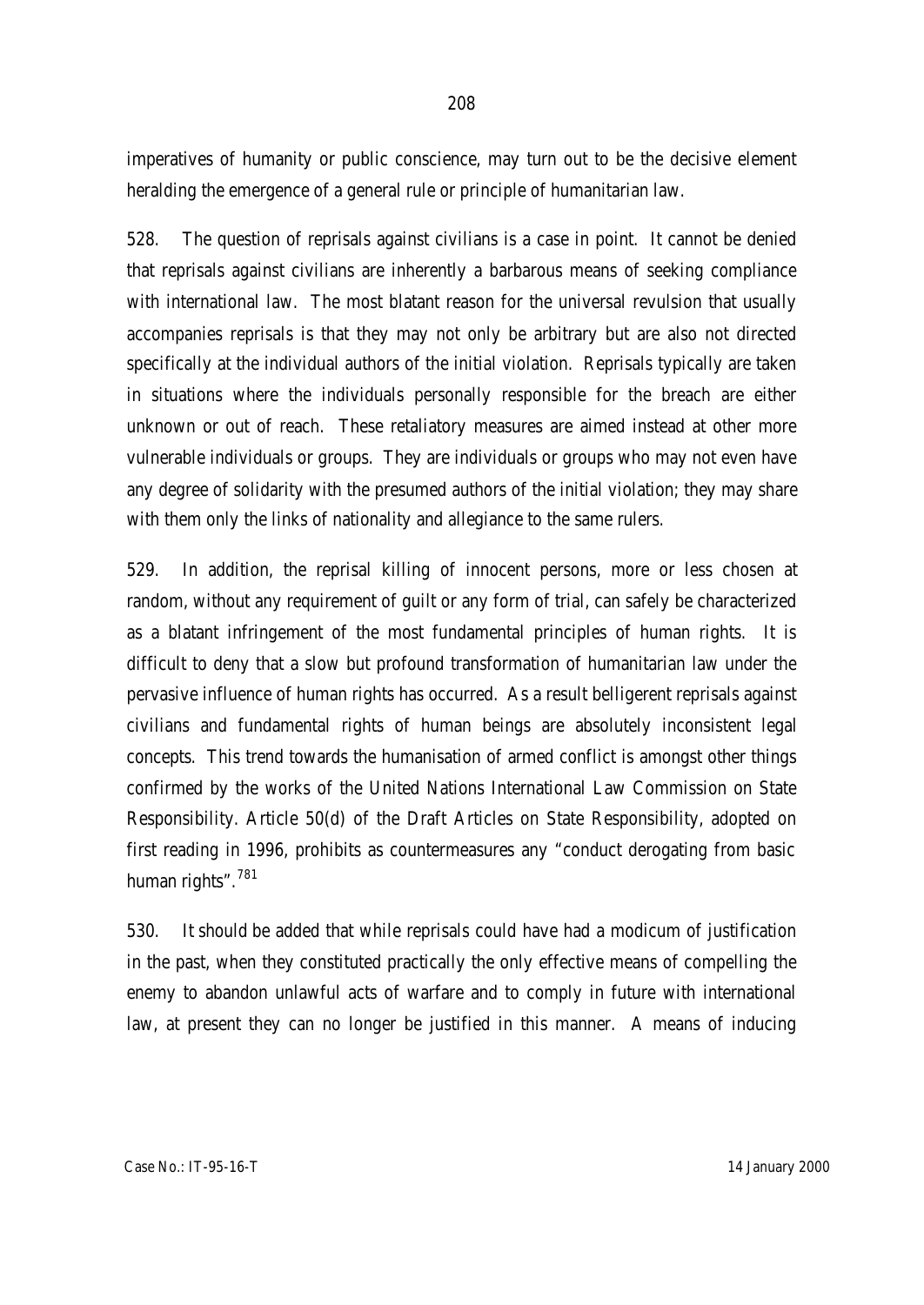imperatives of humanity or public conscience, may turn out to be the decisive element heralding the emergence of a general rule or principle of humanitarian law.

528. The question of reprisals against civilians is a case in point. It cannot be denied that reprisals against civilians are inherently a barbarous means of seeking compliance with international law. The most blatant reason for the universal revulsion that usually accompanies reprisals is that they may not only be arbitrary but are also not directed specifically at the individual authors of the initial violation. Reprisals typically are taken in situations where the individuals personally responsible for the breach are either unknown or out of reach. These retaliatory measures are aimed instead at other more vulnerable individuals or groups. They are individuals or groups who may not even have any degree of solidarity with the presumed authors of the initial violation; they may share with them only the links of nationality and allegiance to the same rulers.

529. In addition, the reprisal killing of innocent persons, more or less chosen at random, without any requirement of guilt or any form of trial, can safely be characterized as a blatant infringement of the most fundamental principles of human rights. It is difficult to deny that a slow but profound transformation of humanitarian law under the pervasive influence of human rights has occurred. As a result belligerent reprisals against civilians and fundamental rights of human beings are absolutely inconsistent legal concepts. This trend towards the humanisation of armed conflict is amongst other things confirmed by the works of the United Nations International Law Commission on State Responsibility. Article 50(d) of the Draft Articles on State Responsibility, adopted on first reading in 1996, prohibits as countermeasures any "conduct derogating from basic human rights".<sup>781</sup>

530. It should be added that while reprisals could have had a modicum of justification in the past, when they constituted practically the only effective means of compelling the enemy to abandon unlawful acts of warfare and to comply in future with international law, at present they can no longer be justified in this manner. A means of inducing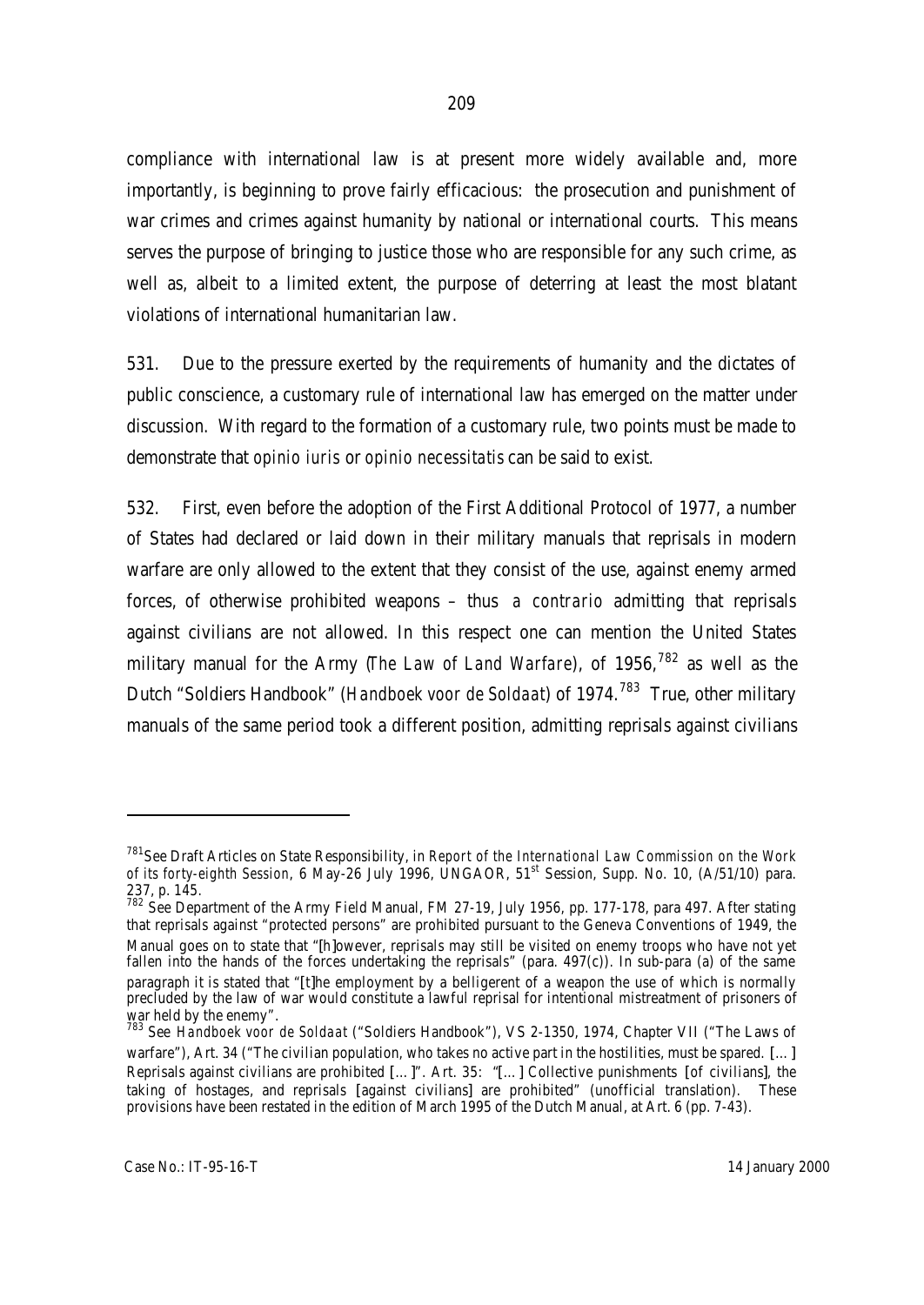compliance with international law is at present more widely available and, more importantly, is beginning to prove fairly efficacious: the prosecution and punishment of war crimes and crimes against humanity by national or international courts. This means serves the purpose of bringing to justice those who are responsible for any such crime, as well as, albeit to a limited extent, the purpose of deterring at least the most blatant violations of international humanitarian law.

531. Due to the pressure exerted by the requirements of humanity and the dictates of public conscience, a customary rule of international law has emerged on the matter under discussion. With regard to the formation of a customary rule, two points must be made to demonstrate that *opinio iuris* or *opinio necessitatis* can be said to exist.

532. First, even before the adoption of the First Additional Protocol of 1977, a number of States had declared or laid down in their military manuals that reprisals in modern warfare are only allowed to the extent that they consist of the use, against enemy armed forces, of otherwise prohibited weapons – thus *a contrario* admitting that reprisals against civilians are not allowed. In this respect one can mention the United States military manual for the Army (*The Law of Land Warfare*), of 1956,<sup>782</sup> as well as the Dutch "Soldiers Handbook" (*Handboek voor de Soldaat*) of 1974.<sup>783</sup> True, other military manuals of the same period took a different position, admitting reprisals against civilians

<sup>781</sup>See Draft Articles on State Responsibility, in *Report of the International Law Commission on the Work of its forty-eighth Session*, 6 May-26 July 1996, UNGAOR, 51st Session, Supp. No. 10, (A/51/10) para. 237, p. 145.

 $782$  See Department of the Army Field Manual, FM 27-19, July 1956, pp. 177-178, para 497. After stating that reprisals against "protected persons" are prohibited pursuant to the Geneva Conventions of 1949, the Manual goes on to state that "[h]owever, reprisals may still be visited on enemy troops who have not yet fallen into the hands of the forces undertaking the reprisals" (para. 497(c)). In sub-para (a) of the same paragraph it is stated that "[t]he employment by a belligerent of a weapon the use of which is normally precluded by the law of war would constitute a lawful reprisal for intentional mistreatment of prisoners of war held by the enemy".

<sup>783</sup> See *Handboek voor de Soldaat* ("Soldiers Handbook"), VS 2-1350, 1974, Chapter VII ("The Laws of warfare"), Art. 34 ("The civilian population, who takes no active part in the hostilities, must be spared. […] Reprisals against civilians are prohibited […]". Art. 35: "[…] Collective punishments [of civilians], the taking of hostages, and reprisals [against civilians] are prohibited" (unofficial translation). These provisions have been restated in the edition of March 1995 of the Dutch Manual, at Art. 6 (pp. 7-43).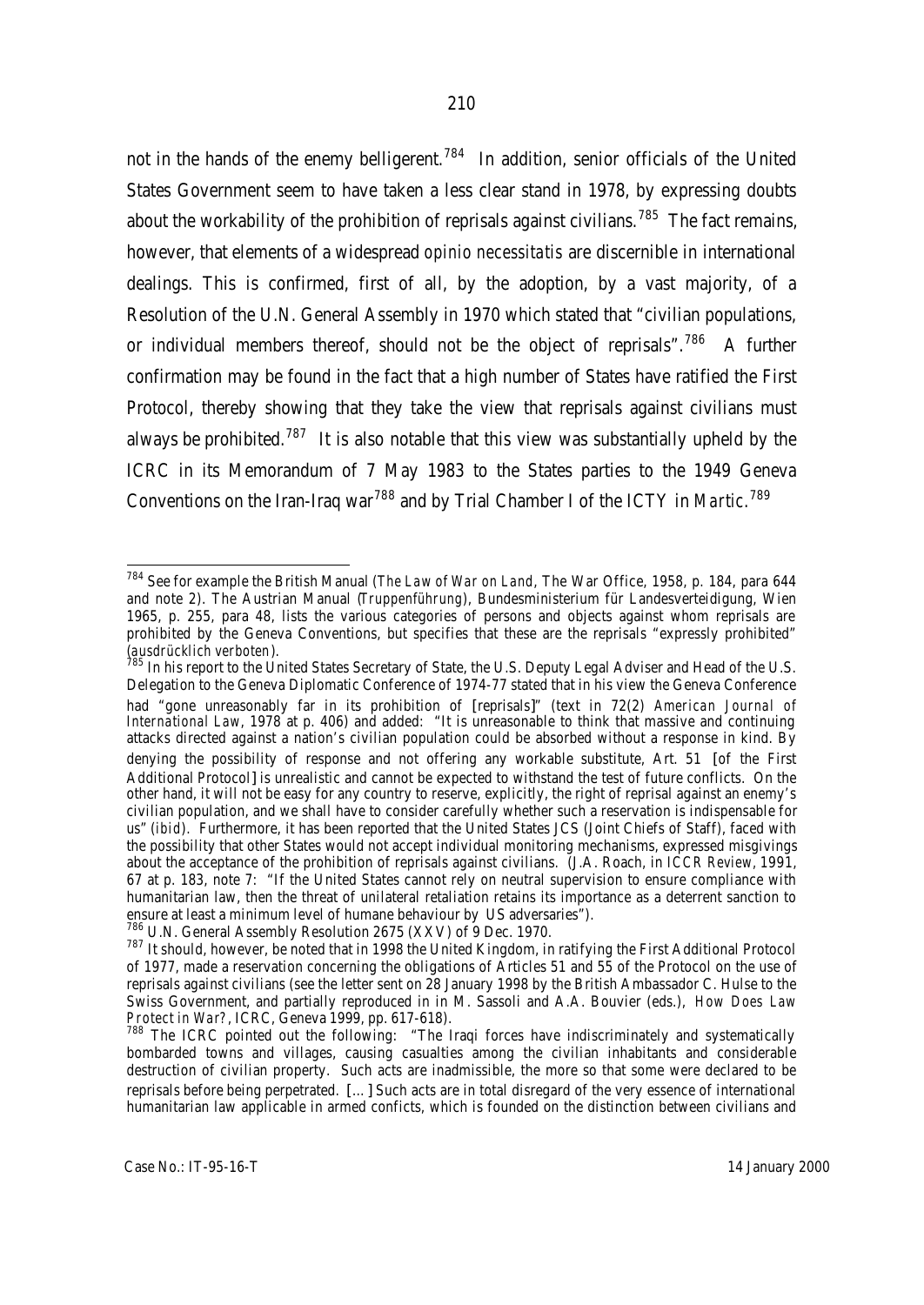not in the hands of the enemy belligerent.<sup>784</sup> In addition, senior officials of the United States Government seem to have taken a less clear stand in 1978, by expressing doubts about the workability of the prohibition of reprisals against civilians.<sup>785</sup> The fact remains, however, that elements of a widespread *opinio necessitatis* are discernible in international dealings. This is confirmed, first of all, by the adoption, by a vast majority, of a Resolution of the U.N. General Assembly in 1970 which stated that "civilian populations, or individual members thereof, should not be the object of reprisals".<sup>786</sup> A further confirmation may be found in the fact that a high number of States have ratified the First Protocol, thereby showing that they take the view that reprisals against civilians must always be prohibited.<sup>787</sup> It is also notable that this view was substantially upheld by the ICRC in its Memorandum of 7 May 1983 to the States parties to the 1949 Geneva Conventions on the Iran-Iraq war<sup>788</sup> and by Trial Chamber I of the ICTY in *Martic*.<sup>789</sup>

j <sup>784</sup> See for example the British Manual (*The Law of War on Land*, The War Office, 1958, p. 184, para 644 and note 2). The Austrian Manual (*Truppenführung*), Bundesministerium für Landesverteidigung, Wien 1965, p. 255, para 48, lists the various categories of persons and objects against whom reprisals are prohibited by the Geneva Conventions, but specifies that these are the reprisals "expressly prohibited" (*ausdrücklich verboten*).

<sup>&</sup>lt;sup>785</sup> In his report to the United States Secretary of State, the U.S. Deputy Legal Adviser and Head of the U.S. Delegation to the Geneva Diplomatic Conference of 1974-77 stated that in his view the Geneva Conference had "gone unreasonably far in its prohibition of [reprisals]" (text in 72(2) *American Journal of International Law*, 1978 at p. 406) and added: "It is unreasonable to think that massive and continuing attacks directed against a nation's civilian population could be absorbed without a response in kind. By denying the possibility of response and not offering any workable substitute, Art. 51 [of the First Additional Protocol] is unrealistic and cannot be expected to withstand the test of future conflicts. On the other hand, it will not be easy for any country to reserve, explicitly, the right of reprisal against an enemy's civilian population, and we shall have to consider carefully whether such a reservation is indispensable for us" (*ibid*). Furthermore, it has been reported that the United States JCS (Joint Chiefs of Staff), faced with the possibility that other States would not accept individual monitoring mechanisms, expressed misgivings about the acceptance of the prohibition of reprisals against civilians. (J.A. Roach, in *ICCR Review,* 1991, 67 at p. 183, note 7: "If the United States cannot rely on neutral supervision to ensure compliance with humanitarian law, then the threat of unilateral retaliation retains its importance as a deterrent sanction to ensure at least a minimum level of humane behaviour by US adversaries").

 $^{786}$  U.N. General Assembly Resolution 2675 (XXV) of 9 Dec. 1970.

<sup>&</sup>lt;sup>787</sup> It should, however, be noted that in 1998 the United Kingdom, in ratifying the First Additional Protocol of 1977, made a reservation concerning the obligations of Articles 51 and 55 of the Protocol on the use of reprisals against civilians (see the letter sent on 28 January 1998 by the British Ambassador C. Hulse to the Swiss Government, and partially reproduced in in M. Sassoli and A.A. Bouvier (eds.), *How Does Law Protect in War?*, ICRC, Geneva 1999, pp. 617-618).

 $788$  The ICRC pointed out the following: "The Iraqi forces have indiscriminately and systematically bombarded towns and villages, causing casualties among the civilian inhabitants and considerable destruction of civilian property. Such acts are inadmissible, the more so that some were declared to be reprisals before being perpetrated. […] Such acts are in total disregard of the very essence of international humanitarian law applicable in armed conficts, which is founded on the distinction between civilians and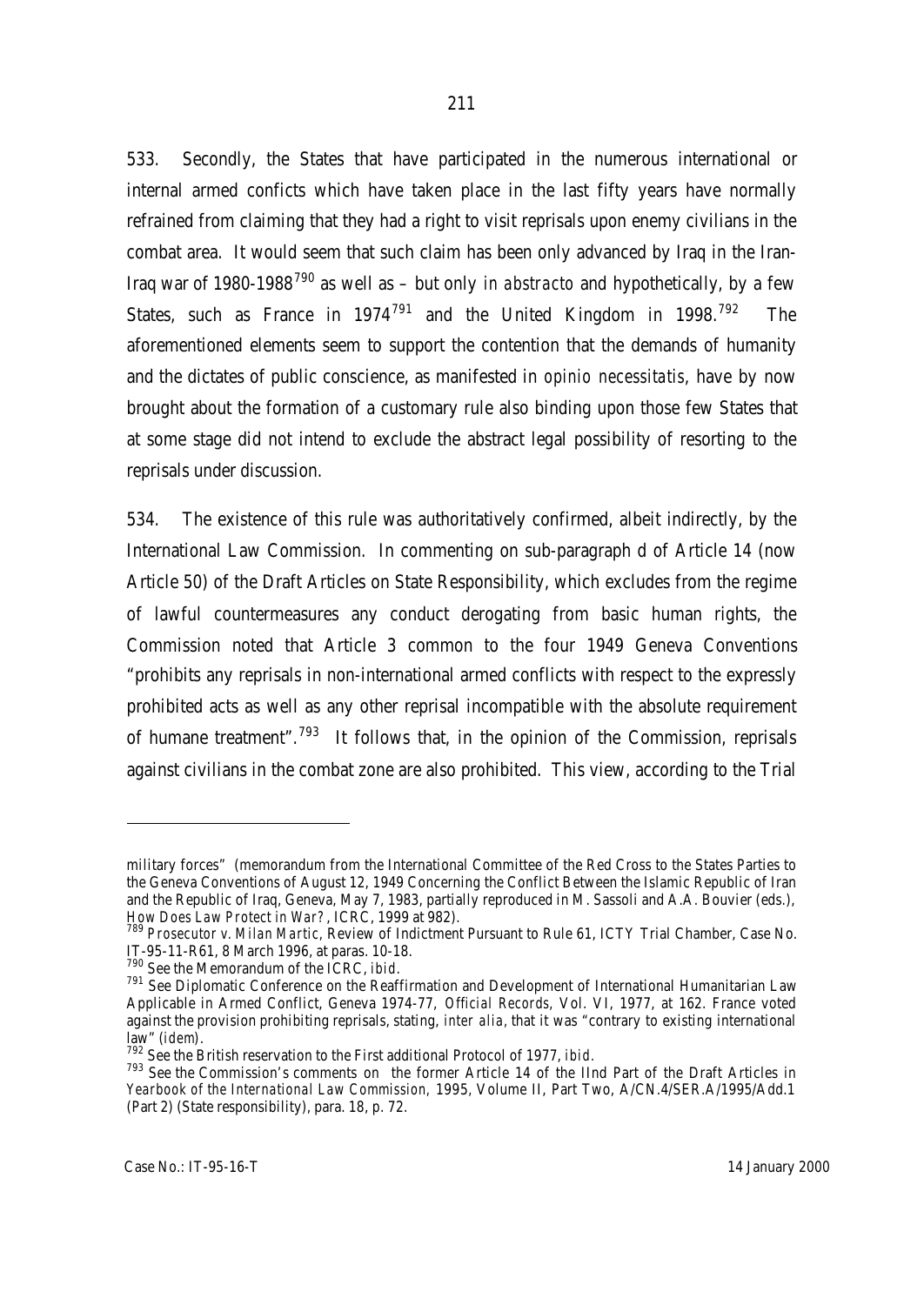533. Secondly, the States that have participated in the numerous international or internal armed conficts which have taken place in the last fifty years have normally refrained from claiming that they had a right to visit reprisals upon enemy civilians in the combat area. It would seem that such claim has been only advanced by Iraq in the Iran-Iraq war of 1980-1988<sup>790</sup> as well as – but only *in abstracto* and hypothetically, by a few States, such as France in 1974<sup>791</sup> and the United Kingdom in 1998.<sup>792</sup> The aforementioned elements seem to support the contention that the demands of humanity and the dictates of public conscience, as manifested in *opinio necessitatis*, have by now brought about the formation of a customary rule also binding upon those few States that at some stage did not intend to exclude the abstract legal possibility of resorting to the reprisals under discussion.

534. The existence of this rule was authoritatively confirmed, albeit indirectly, by the International Law Commission. In commenting on sub-paragraph d of Article 14 (now Article 50) of the Draft Articles on State Responsibility, which excludes from the regime of lawful countermeasures any conduct derogating from basic human rights, the Commission noted that Article 3 common to the four 1949 Geneva Conventions "prohibits any reprisals in non-international armed conflicts with respect to the expressly prohibited acts as well as any other reprisal incompatible with the absolute requirement of humane treatment".<sup>793</sup> It follows that, in the opinion of the Commission, reprisals against civilians in the combat zone are also prohibited. This view, according to the Trial

military forces" (memorandum from the International Committee of the Red Cross to the States Parties to the Geneva Conventions of August 12, 1949 Concerning the Conflict Between the Islamic Republic of Iran and the Republic of Iraq, Geneva, May 7, 1983, partially reproduced in M. Sassoli and A.A. Bouvier (eds.), *How Does Law Protect in War?*, ICRC, 1999 at 982).

<sup>789</sup> *Prosecutor v. Milan Martic,* Review of Indictment Pursuant to Rule 61, ICTY Trial Chamber, Case No. IT-95-11-R61, 8 March 1996, at paras. 10-18.

<sup>790</sup> See the Memorandum of the ICRC, *ibid*.

<sup>&</sup>lt;sup>791</sup> See Diplomatic Conference on the Reaffirmation and Development of International Humanitarian Law Applicable in Armed Conflict, Geneva 1974-77, *Official Records,* Vol. VI, 1977, at 162. France voted against the provision prohibiting reprisals, stating, *inter alia,* that it was "contrary to existing international law" (*idem*).

<sup>792</sup> See the British reservation to the First additional Protocol of 1977, *ibid.*

<sup>793</sup> See the Commission's comments on the former Article 14 of the IInd Part of the Draft Articles in *Yearbook of the International Law Commission,* 1995*,* Volume II, Part Two, A/CN.4/SER.A/1995/Add.1 (Part 2) (State responsibility), para. 18, p. 72.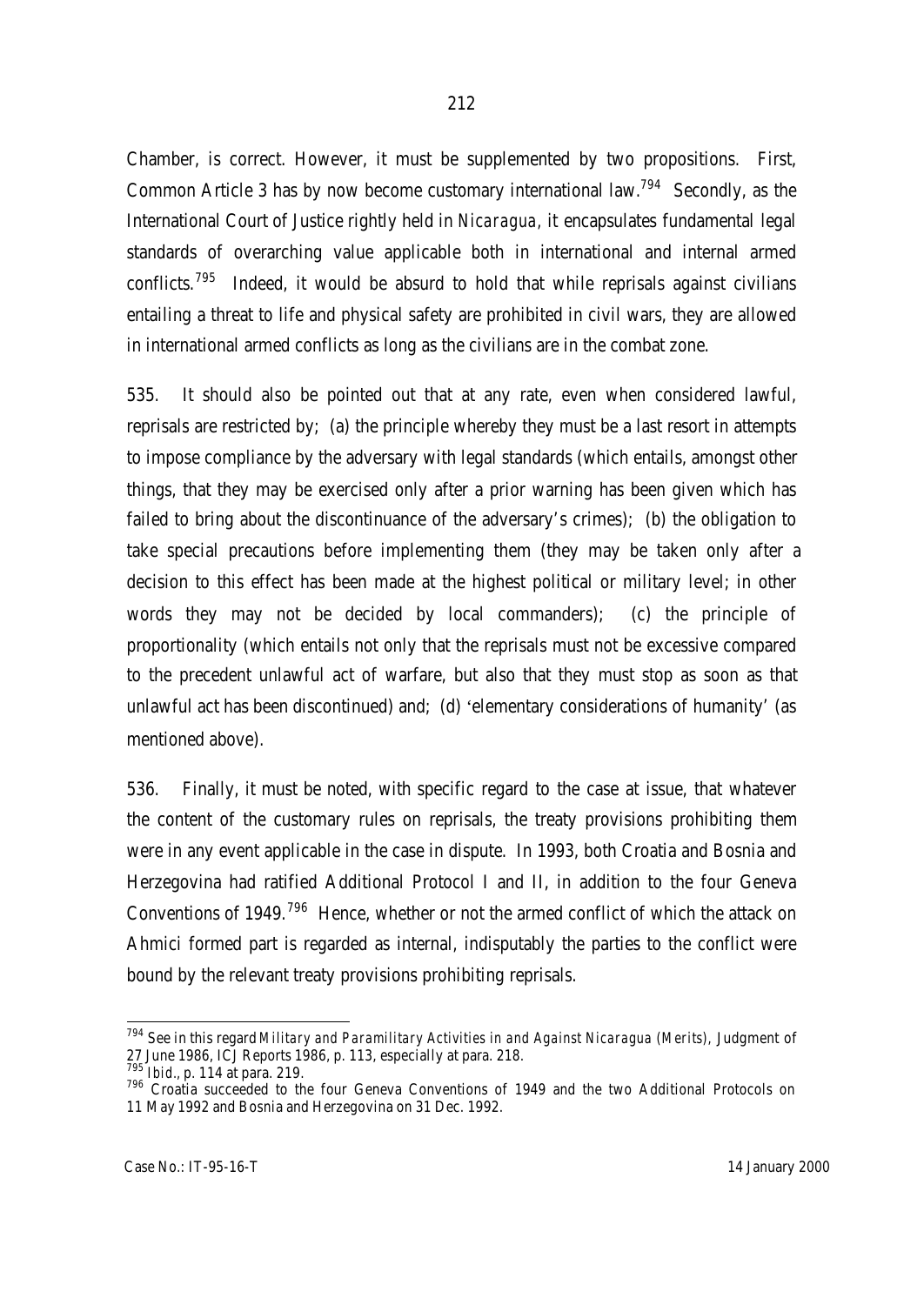Chamber, is correct. However, it must be supplemented by two propositions. First, Common Article 3 has by now become customary international law.<sup>794</sup> Secondly, as the International Court of Justice rightly held in *Nicaragua,* it encapsulates fundamental legal standards of overarching value applicable both in international and internal armed conflicts.<sup>795</sup> Indeed, it would be absurd to hold that while reprisals against civilians entailing a threat to life and physical safety are prohibited in civil wars, they are allowed in international armed conflicts as long as the civilians are in the combat zone.

535. It should also be pointed out that at any rate, even when considered lawful, reprisals are restricted by; (a) the principle whereby they must be a last resort in attempts to impose compliance by the adversary with legal standards (which entails, amongst other things, that they may be exercised only after a prior warning has been given which has failed to bring about the discontinuance of the adversary's crimes); (b) the obligation to take special precautions before implementing them (they may be taken only after a decision to this effect has been made at the highest political or military level; in other words they may not be decided by local commanders); (c) the principle of proportionality (which entails not only that the reprisals must not be excessive compared to the precedent unlawful act of warfare, but also that they must stop as soon as that unlawful act has been discontinued) and; (d) 'elementary considerations of humanity' (as mentioned above).

536. Finally, it must be noted, with specific regard to the case at issue, that whatever the content of the customary rules on reprisals, the treaty provisions prohibiting them were in any event applicable in the case in dispute. In 1993, both Croatia and Bosnia and Herzegovina had ratified Additional Protocol I and II, in addition to the four Geneva Conventions of 1949.<sup>796</sup> Hence, whether or not the armed conflict of which the attack on Ahmici formed part is regarded as internal, indisputably the parties to the conflict were bound by the relevant treaty provisions prohibiting reprisals.

 $\overline{a}$ <sup>794</sup> See in this regard *Military and Paramilitary Activities in and Against Nicaragua (Merits), Judgment of* 27 June 1986, ICJ Reports 1986, p. 113, especially at para. 218.

<sup>795</sup> *Ibid.,* p. 114 at para. 219.

<sup>&</sup>lt;sup>796</sup> Croatia succeeded to the four Geneva Conventions of 1949 and the two Additional Protocols on 11 May 1992 and Bosnia and Herzegovina on 31 Dec. 1992.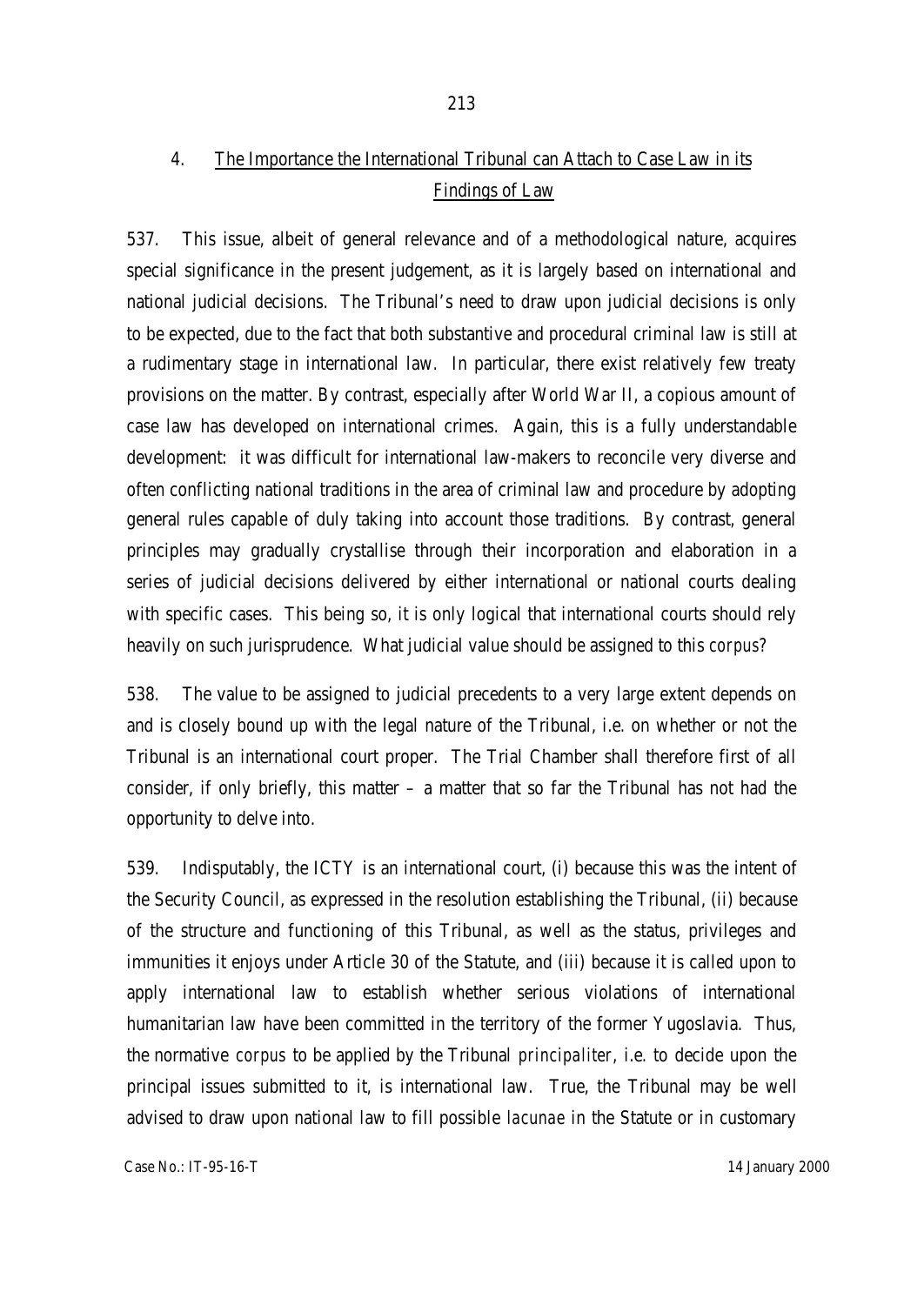## 4. The Importance the International Tribunal can Attach to Case Law in its Findings of Law

537. This issue, albeit of general relevance and of a methodological nature, acquires special significance in the present judgement, as it is largely based on international and national judicial decisions. The Tribunal's need to draw upon judicial decisions is only to be expected, due to the fact that both substantive and procedural criminal law is still at a rudimentary stage in international law. In particular, there exist relatively few treaty provisions on the matter. By contrast, especially after World War II, a copious amount of case law has developed on international crimes. Again, this is a fully understandable development: it was difficult for international law-makers to reconcile very diverse and often conflicting national traditions in the area of criminal law and procedure by adopting general rules capable of duly taking into account those traditions. By contrast, general principles may gradually crystallise through their incorporation and elaboration in a series of judicial decisions delivered by either international or national courts dealing with specific cases. This being so, it is only logical that international courts should rely heavily on such jurisprudence. What judicial value should be assigned to this *corpus*?

538. The value to be assigned to judicial precedents to a very large extent depends on and is closely bound up with the legal nature of the Tribunal, i.e. on whether or not the Tribunal is an international court proper. The Trial Chamber shall therefore first of all consider, if only briefly, this matter – a matter that so far the Tribunal has not had the opportunity to delve into.

539. Indisputably, the ICTY is an international court, (i) because this was the intent of the Security Council, as expressed in the resolution establishing the Tribunal, (ii) because of the structure and functioning of this Tribunal, as well as the status, privileges and immunities it enjoys under Article 30 of the Statute, and (iii) because it is called upon to apply international law to establish whether serious violations of international humanitarian law have been committed in the territory of the former Yugoslavia. Thus, the normative *corpus* to be applied by the Tribunal *principaliter*, i.e. to decide upon the principal issues submitted to it, is international law. True, the Tribunal may be well advised to draw upon national law to fill possible *lacunae* in the Statute or in customary

Case No.: IT-95-16-T 14 January 2000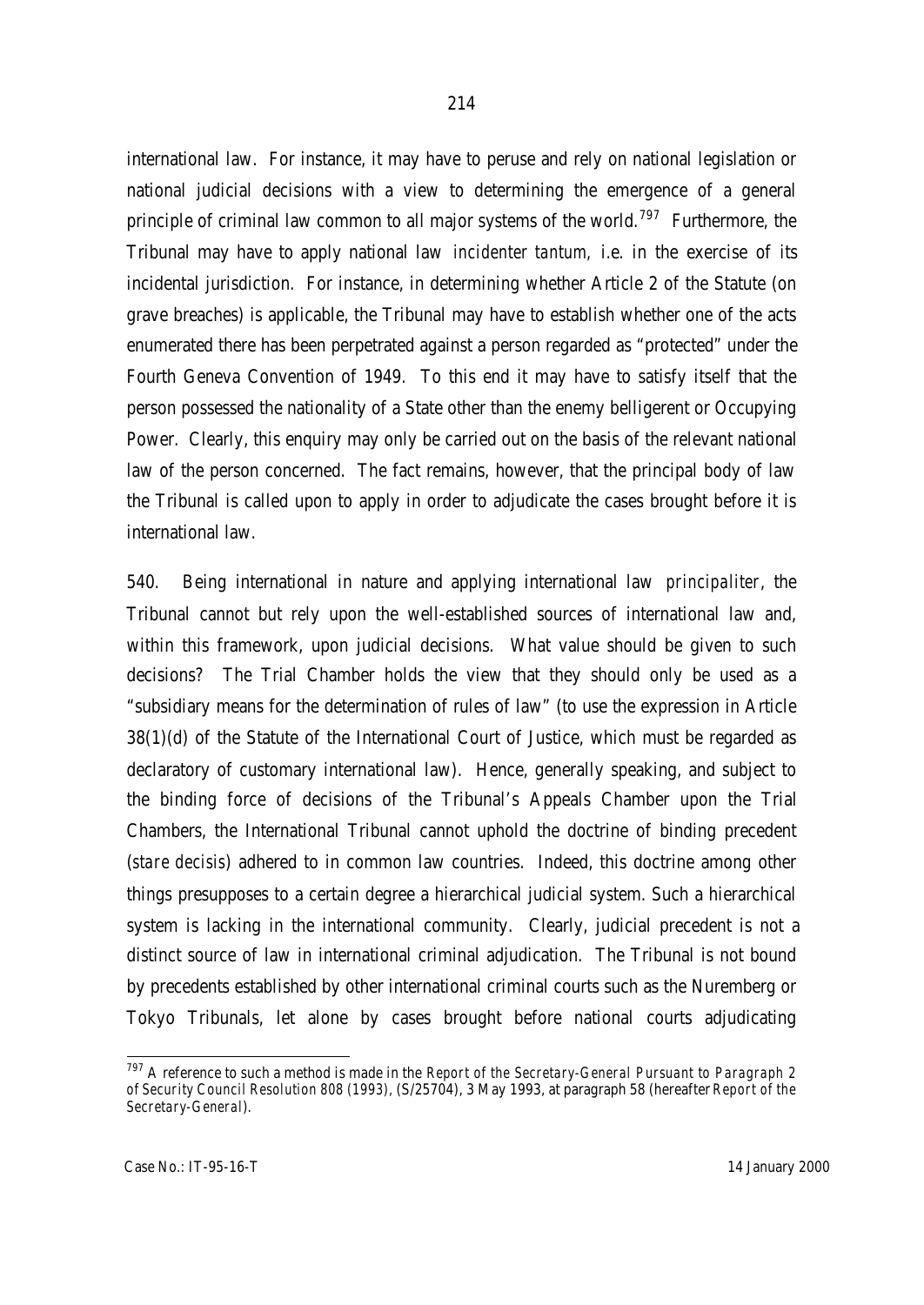international law. For instance, it may have to peruse and rely on national legislation or national judicial decisions with a view to determining the emergence of a general principle of criminal law common to all major systems of the world.<sup>797</sup> Furthermore, the Tribunal may have to apply national law *incidenter tantum,* i.e. in the exercise of its incidental jurisdiction. For instance, in determining whether Article 2 of the Statute (on grave breaches) is applicable, the Tribunal may have to establish whether one of the acts enumerated there has been perpetrated against a person regarded as "protected" under the Fourth Geneva Convention of 1949. To this end it may have to satisfy itself that the person possessed the nationality of a State other than the enemy belligerent or Occupying Power. Clearly, this enquiry may only be carried out on the basis of the relevant national law of the person concerned. The fact remains, however, that the principal body of law the Tribunal is called upon to apply in order to adjudicate the cases brought before it is international law.

540. Being international in nature and applying international law *principaliter*, the Tribunal cannot but rely upon the well-established sources of international law and, within this framework, upon judicial decisions. What value should be given to such decisions? The Trial Chamber holds the view that they should only be used as a "subsidiary means for the determination of rules of law" (to use the expression in Article 38(1)(d) of the Statute of the International Court of Justice, which must be regarded as declaratory of customary international law). Hence, generally speaking, and subject to the binding force of decisions of the Tribunal's Appeals Chamber upon the Trial Chambers, the International Tribunal cannot uphold the doctrine of binding precedent (*stare decisis*) adhered to in common law countries. Indeed, this doctrine among other things presupposes to a certain degree a hierarchical judicial system. Such a hierarchical system is lacking in the international community. Clearly, judicial precedent is not a distinct source of law in international criminal adjudication. The Tribunal is not bound by precedents established by other international criminal courts such as the Nuremberg or Tokyo Tribunals, let alone by cases brought before national courts adjudicating

 $\overline{a}$ 

<sup>797</sup> A reference to such a method is made in the *Report of the Secretary-General Pursuant to Paragraph 2 of Security Council Resolution 808 (1993),* (S/25704), 3 May 1993, at paragraph 58 (hereafter *Report of the Secretary-General*).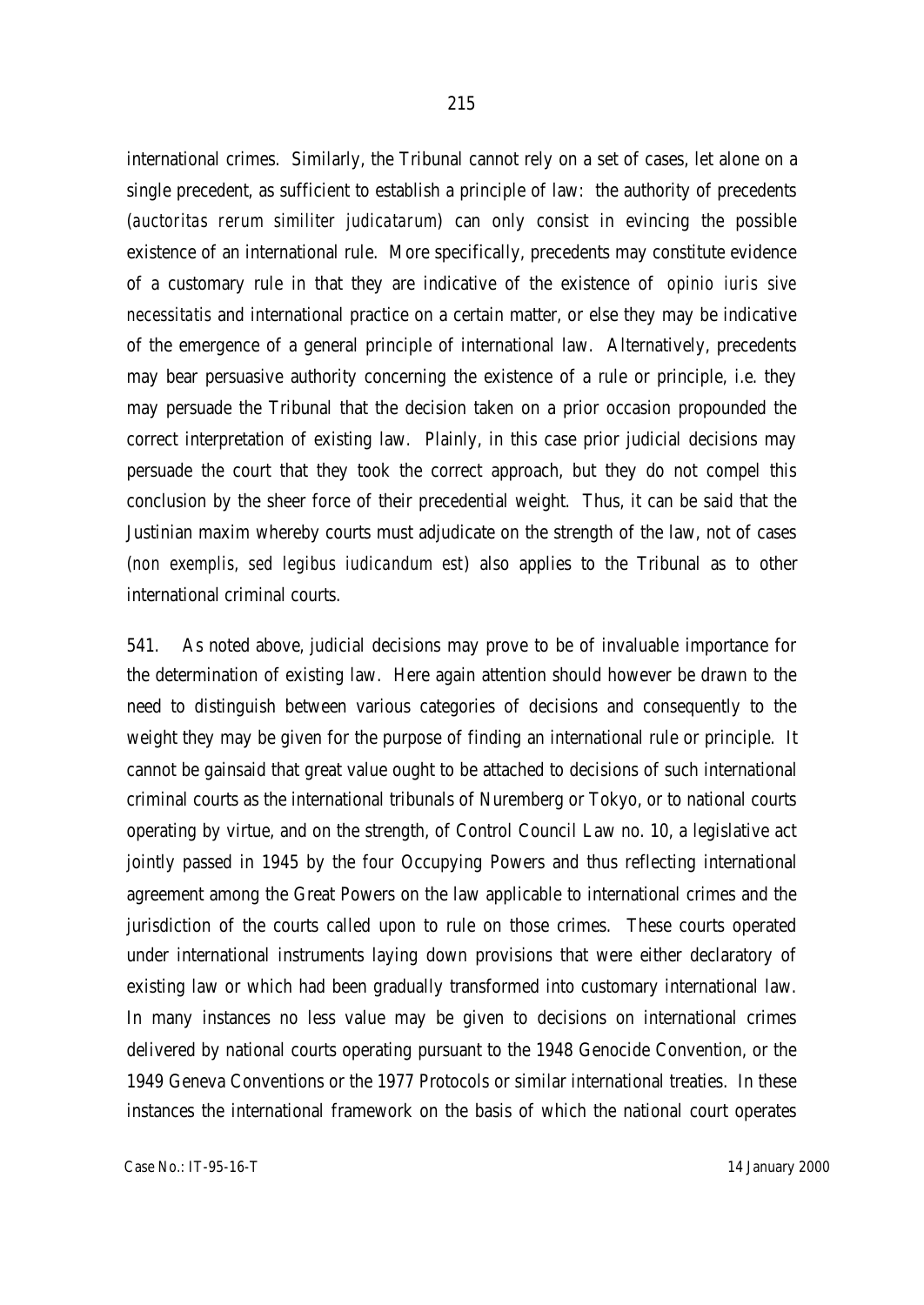international crimes. Similarly, the Tribunal cannot rely on a set of cases, let alone on a single precedent, as sufficient to establish a principle of law: the authority of precedents (*auctoritas rerum similiter judicatarum*) can only consist in evincing the possible existence of an international rule. More specifically, precedents may constitute evidence of a customary rule in that they are indicative of the existence of *opinio iuris sive necessitatis* and international practice on a certain matter, or else they may be indicative of the emergence of a general principle of international law. Alternatively, precedents may bear persuasive authority concerning the existence of a rule or principle, i.e. they may persuade the Tribunal that the decision taken on a prior occasion propounded the correct interpretation of existing law. Plainly, in this case prior judicial decisions may persuade the court that they took the correct approach, but they do not compel this conclusion by the sheer force of their precedential weight. Thus, it can be said that the Justinian maxim whereby courts must adjudicate on the strength of the law, not of cases (*non exemplis, sed legibus iudicandum est*) also applies to the Tribunal as to other international criminal courts.

541. As noted above, judicial decisions may prove to be of invaluable importance for the determination of existing law. Here again attention should however be drawn to the need to distinguish between various categories of decisions and consequently to the weight they may be given for the purpose of finding an international rule or principle. It cannot be gainsaid that great value ought to be attached to decisions of such international criminal courts as the international tribunals of Nuremberg or Tokyo, or to national courts operating by virtue, and on the strength, of Control Council Law no. 10, a legislative act jointly passed in 1945 by the four Occupying Powers and thus reflecting international agreement among the Great Powers on the law applicable to international crimes and the jurisdiction of the courts called upon to rule on those crimes. These courts operated under international instruments laying down provisions that were either declaratory of existing law or which had been gradually transformed into customary international law. In many instances no less value may be given to decisions on international crimes delivered by national courts operating pursuant to the 1948 Genocide Convention, or the 1949 Geneva Conventions or the 1977 Protocols or similar international treaties. In these instances the international framework on the basis of which the national court operates

Case No.: IT-95-16-T 14 January 2000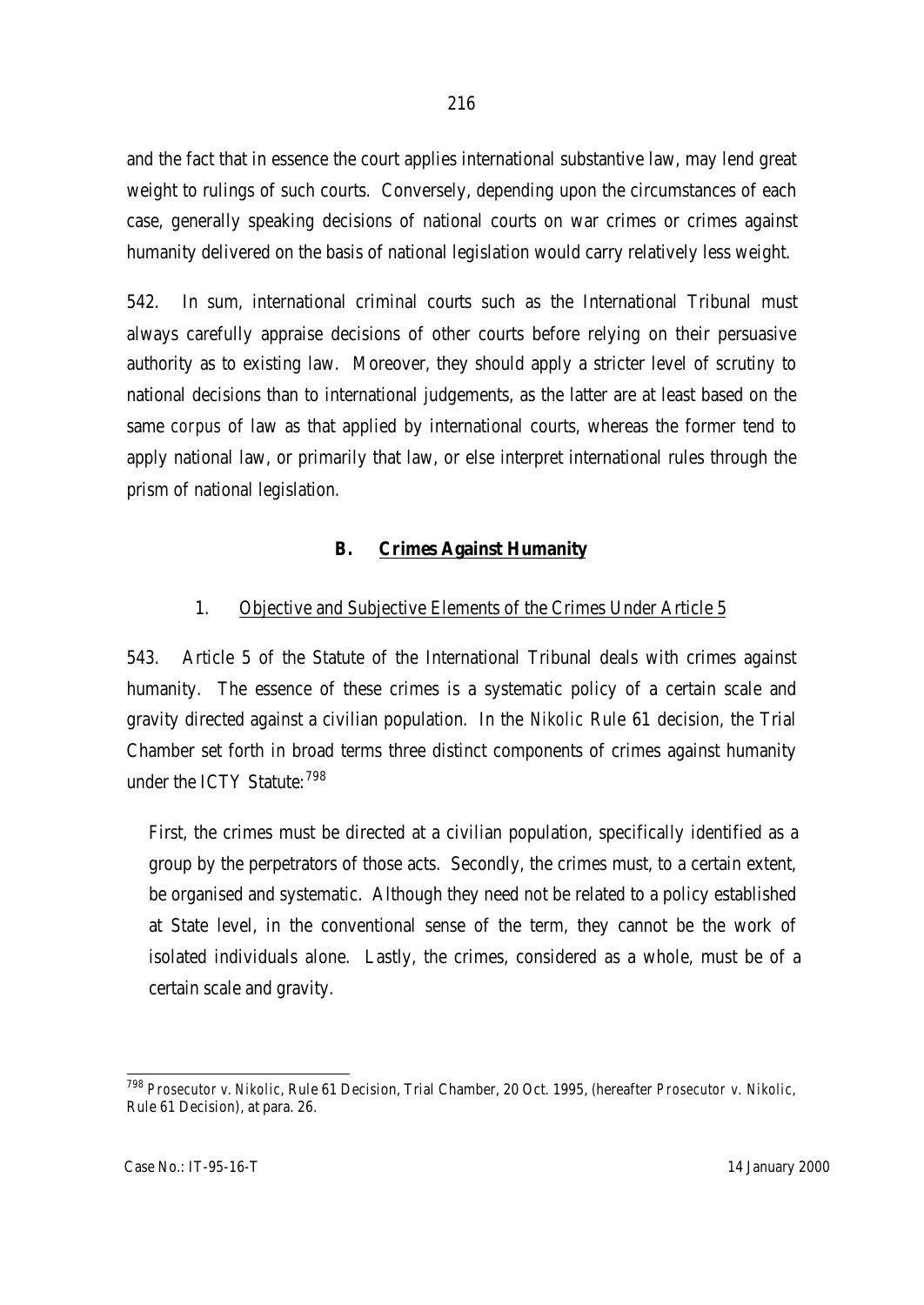and the fact that in essence the court applies international substantive law, may lend great weight to rulings of such courts. Conversely, depending upon the circumstances of each case, generally speaking decisions of national courts on war crimes or crimes against humanity delivered on the basis of national legislation would carry relatively less weight.

542. In sum, international criminal courts such as the International Tribunal must always carefully appraise decisions of other courts before relying on their persuasive authority as to existing law. Moreover, they should apply a stricter level of scrutiny to national decisions than to international judgements, as the latter are at least based on the same *corpus* of law as that applied by international courts, whereas the former tend to apply national law, or primarily that law, or else interpret international rules through the prism of national legislation.

## **B. Crimes Against Humanity**

## 1. Objective and Subjective Elements of the Crimes Under Article 5

543. Article 5 of the Statute of the International Tribunal deals with crimes against humanity. The essence of these crimes is a systematic policy of a certain scale and gravity directed against a civilian population. In the *Nikolic* Rule 61 decision, the Trial Chamber set forth in broad terms three distinct components of crimes against humanity under the ICTY Statute: 798

First, the crimes must be directed at a civilian population, specifically identified as a group by the perpetrators of those acts. Secondly, the crimes must, to a certain extent, be organised and systematic. Although they need not be related to a policy established at State level, in the conventional sense of the term, they cannot be the work of isolated individuals alone. Lastly, the crimes, considered as a whole, must be of a certain scale and gravity.

 $\overline{a}$ <sup>798</sup> *Prosecutor v. Nikolic,* Rule 61 Decision, Trial Chamber, 20 Oct. 1995, *(*hereafter *Prosecutor v. Nikolic,* Rule 61 Decision), at para. 26.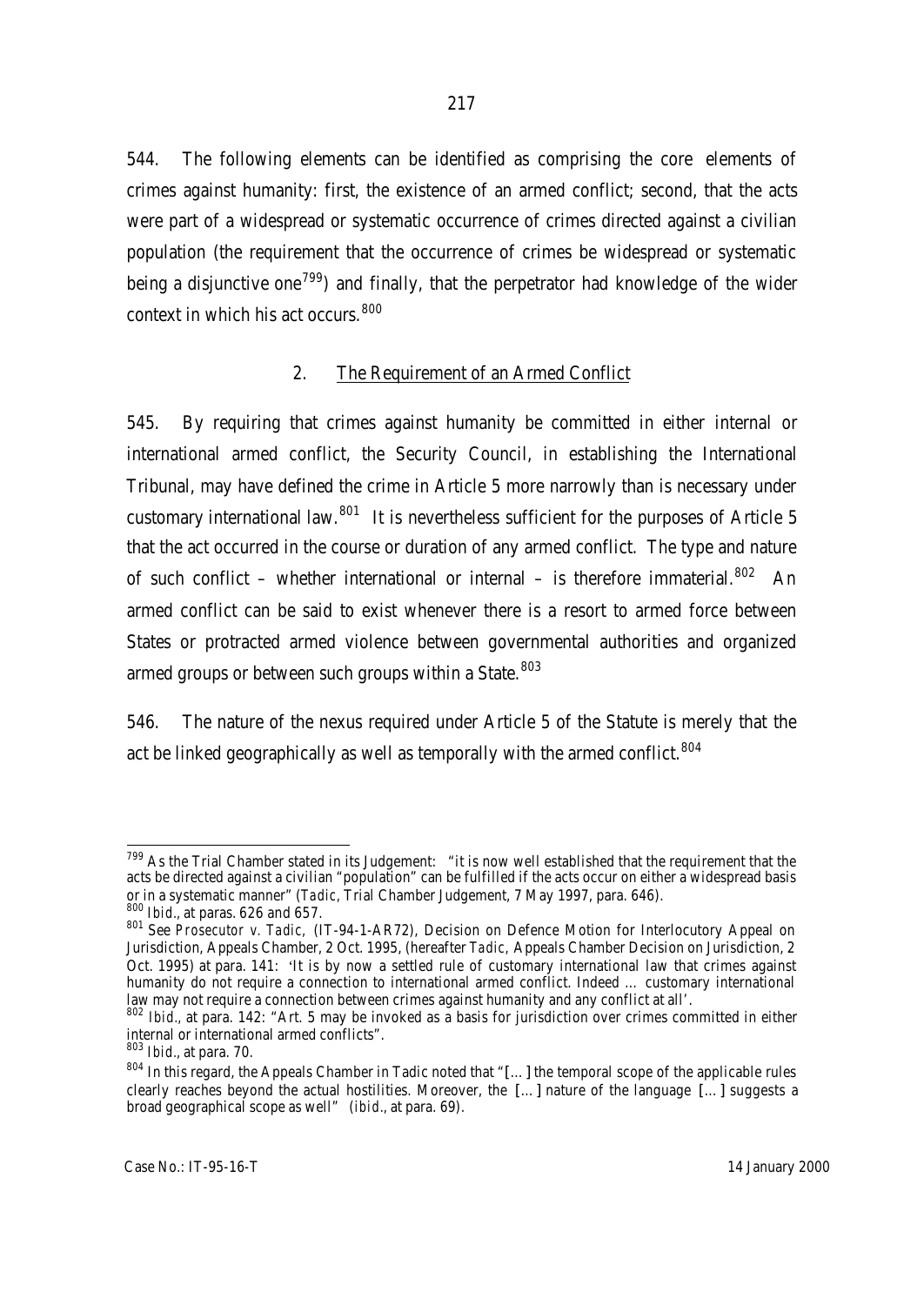544. The following elements can be identified as comprising the core elements of crimes against humanity: first, the existence of an armed conflict; second, that the acts were part of a widespread or systematic occurrence of crimes directed against a civilian population (the requirement that the occurrence of crimes be widespread or systematic being a disjunctive one<sup>799</sup>) and finally, that the perpetrator had knowledge of the wider context in which his act occurs.<sup>800</sup>

### 2. The Requirement of an Armed Conflict

545. By requiring that crimes against humanity be committed in either internal or international armed conflict, the Security Council, in establishing the International Tribunal, may have defined the crime in Article 5 more narrowly than is necessary under customary international law.<sup>801</sup> It is nevertheless sufficient for the purposes of Article 5 that the act occurred in the course or duration of any armed conflict. The type and nature of such conflict – whether international or internal – is therefore immaterial.<sup>802</sup> An armed conflict can be said to exist whenever there is a resort to armed force between States or protracted armed violence between governmental authorities and organized armed groups or between such groups within a State.<sup>803</sup>

546. The nature of the nexus required under Article 5 of the Statute is merely that the act be linked geographically as well as temporally with the armed conflict.<sup>804</sup>

 $\overline{a}$  $^{799}$  As the Trial Chamber stated in its Judgement: "it is now well established that the requirement that the acts be directed against a civilian "population" can be fulfilled if the acts occur on either a widespread basis or in a systematic manner" (*Tadic,* Trial Chamber Judgement, 7 May 1997, para. 646). <sup>800</sup> *Ibid.,* at paras. 626 and 657.

<sup>801</sup> See *Prosecutor v. Tadic,* (IT-94-1-AR72), Decision on Defence Motion for Interlocutory Appeal on Jurisdiction, Appeals Chamber, 2 Oct. 1995, (hereafter *Tadic,* Appeals Chamber Decision on Jurisdiction, 2 Oct. 1995) at para. 141: 'It is by now a settled rule of customary international law that crimes against humanity do not require a connection to international armed conflict. Indeed … customary international law may not require a connection between crimes against humanity and any conflict at all'.

<sup>802</sup> *Ibid.,* at para. 142: "Art. 5 may be invoked as a basis for jurisdiction over crimes committed in either internal or international armed conflicts".

<sup>803</sup> *Ibid.,* at para. 70.

<sup>804</sup> In this regard, the Appeals Chamber in Tadic noted that "[...] the temporal scope of the applicable rules clearly reaches beyond the actual hostilities. Moreover, the […] nature of the language […] suggests a broad geographical scope as well" (*ibid.,* at para. 69).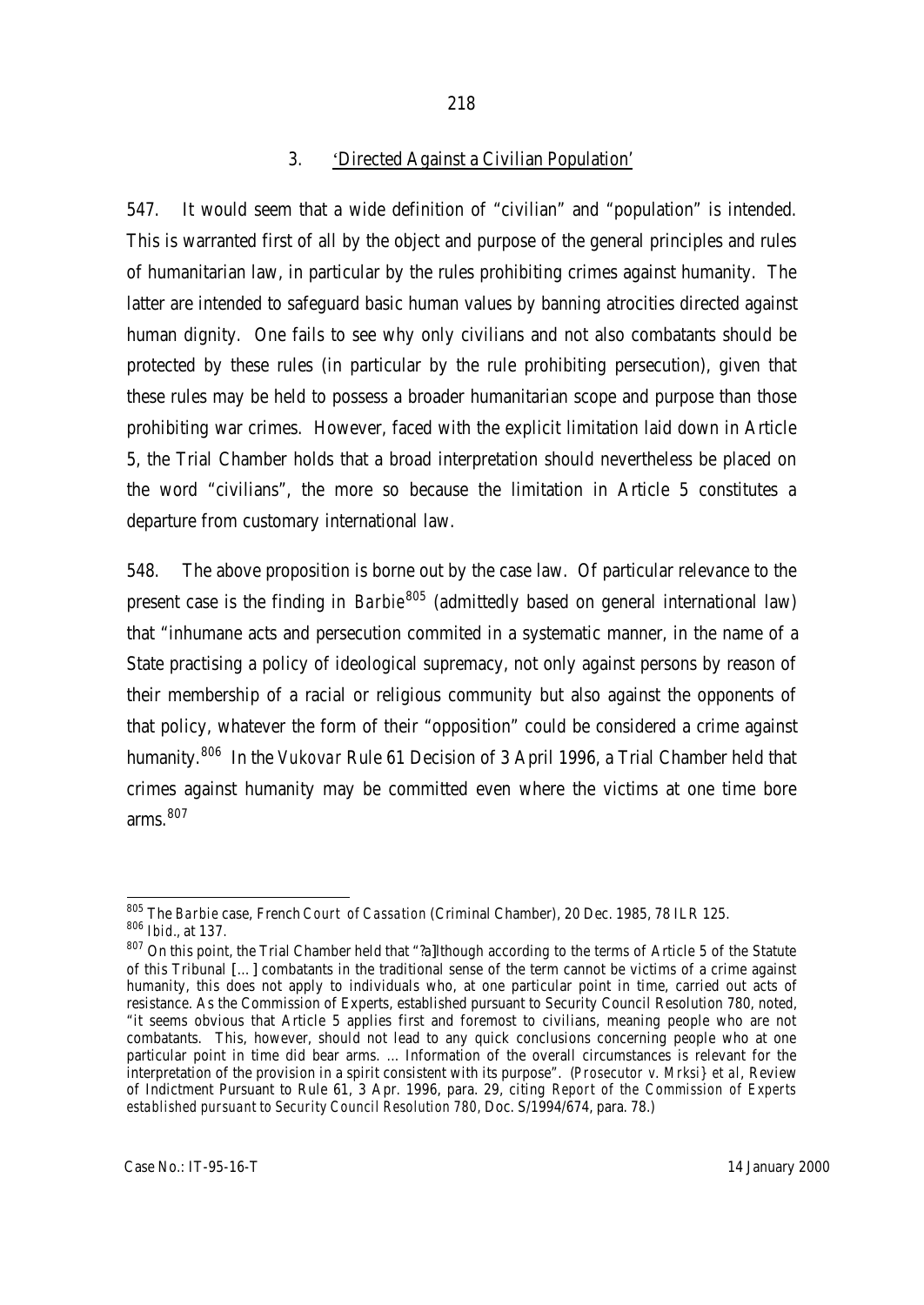### 3. 'Directed Against a Civilian Population'

547. It would seem that a wide definition of "civilian" and "population" is intended. This is warranted first of all by the object and purpose of the general principles and rules of humanitarian law, in particular by the rules prohibiting crimes against humanity. The latter are intended to safeguard basic human values by banning atrocities directed against human dignity. One fails to see why only civilians and not also combatants should be protected by these rules (in particular by the rule prohibiting persecution), given that these rules may be held to possess a broader humanitarian scope and purpose than those prohibiting war crimes. However, faced with the explicit limitation laid down in Article 5, the Trial Chamber holds that a broad interpretation should nevertheless be placed on the word "civilians", the more so because the limitation in Article 5 constitutes a departure from customary international law.

548. The above proposition is borne out by the case law. Of particular relevance to the present case is the finding in *Barbie*<sup>805</sup> (admittedly based on general international law) that "inhumane acts and persecution commited in a systematic manner, in the name of a State practising a policy of ideological supremacy, not only against persons by reason of their membership of a racial or religious community but also against the opponents of that policy, whatever the form of their "opposition" could be considered a crime against humanity.<sup>806</sup> In the *Vukovar* Rule 61 Decision of 3 April 1996, a Trial Chamber held that crimes against humanity may be committed even where the victims at one time bore arms. $807$ 

 $\overline{a}$ <sup>805</sup> The *Barbie* case, French *Court of Cassation* (Criminal Chamber), 20 Dec. 1985, 78 ILR 125. <sup>806</sup> *Ibid.,* at 137*.*

<sup>807</sup> On this point, the Trial Chamber held that "?a]lthough according to the terms of Article 5 of the Statute of this Tribunal […] combatants in the traditional sense of the term cannot be victims of a crime against humanity, this does not apply to individuals who, at one particular point in time, carried out acts of resistance. As the Commission of Experts, established pursuant to Security Council Resolution 780, noted, "it seems obvious that Article 5 applies first and foremost to civilians, meaning people who are not combatants. This, however, should not lead to any quick conclusions concerning people who at one particular point in time did bear arms. ... Information of the overall circumstances is relevant for the interpretation of the provision in a spirit consistent with its purpose". (*Prosecutor v. Mrksi} et al*, Review of Indictment Pursuant to Rule 61, 3 Apr. 1996, para. 29, citing *Report of the Commission of Experts established pursuant to Security Council Resolution 780,* Doc. S/1994/674, para. 78.)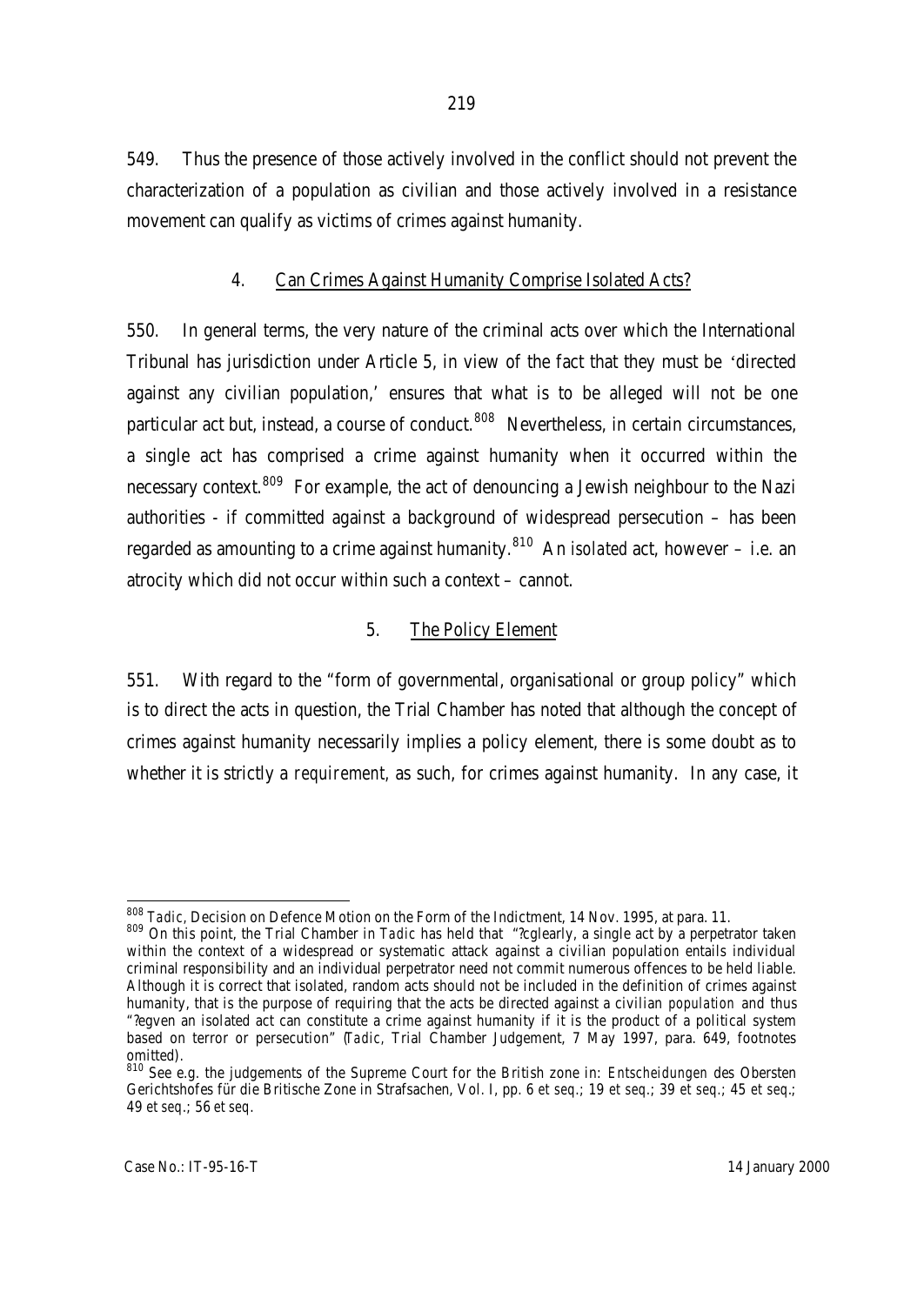549. Thus the presence of those actively involved in the conflict should not prevent the characterization of a population as civilian and those actively involved in a resistance movement can qualify as victims of crimes against humanity.

### 4. Can Crimes Against Humanity Comprise Isolated Acts?

550. In general terms, the very nature of the criminal acts over which the International Tribunal has jurisdiction under Article 5, in view of the fact that they must be 'directed against any civilian population,' ensures that what is to be alleged will not be one particular act but, instead, a course of conduct.<sup>808</sup> Nevertheless, in certain circumstances, a single act has comprised a crime against humanity when it occurred within the necessary context.<sup>809</sup> For example, the act of denouncing a Jewish neighbour to the Nazi authorities - if committed against a background of widespread persecution – has been regarded as amounting to a crime against humanity.<sup>810</sup> An *isolated* act, however – i.e. an atrocity which did not occur within such a context – cannot.

## 5. The Policy Element

551. With regard to the "form of governmental, organisational or group policy" which is to direct the acts in question, the Trial Chamber has noted that although the concept of crimes against humanity necessarily implies a policy element, there is some doubt as to whether it is strictly a *requirement,* as such, for crimes against humanity. In any case, it

 $\overline{a}$ <sup>808</sup> *Tadic,* Decision on Defence Motion on the Form of the Indictment, 14 Nov. 1995, at para. 11.

<sup>809</sup> On this point, the Trial Chamber in *Tadic* has held that "?cglearly, a single act by a perpetrator taken within the context of a widespread or systematic attack against a civilian population entails individual criminal responsibility and an individual perpetrator need not commit numerous offences to be held liable. Although it is correct that isolated, random acts should not be included in the definition of crimes against humanity, that is the purpose of requiring that the acts be directed against a civilian *population* and thus "?egven an isolated act can constitute a crime against humanity if it is the product of a political system based on terror or persecution" (*Tadic,* Trial Chamber Judgement, 7 May 1997, para. 649, footnotes omitted).

<sup>810</sup> See e.g. the judgements of the Supreme Court for the British zone in: *Entscheidungen* des Obersten Gerichtshofes für die Britische Zone in Strafsachen, Vol. I, pp. 6 *et seq*.; 19 *et seq*.; 39 *et seq*.; 45 *et seq*.; 49 *et seq*.; 56 *et seq*.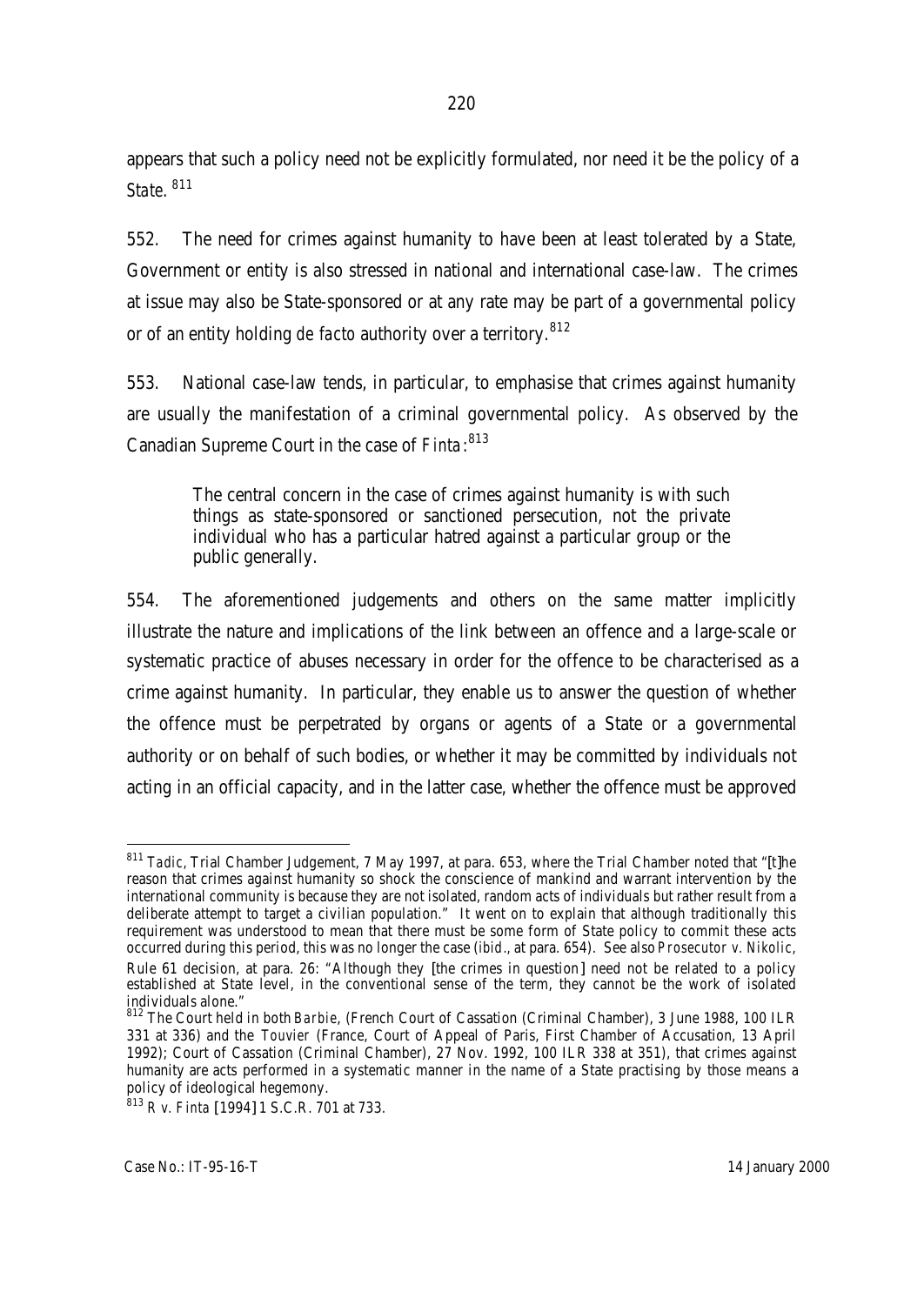appears that such a policy need not be explicitly formulated, nor need it be the policy of a *State*. 811

552. The need for crimes against humanity to have been at least tolerated by a State, Government or entity is also stressed in national and international case-law. The crimes at issue may also be State-sponsored or at any rate may be part of a governmental policy or of an entity holding *de facto* authority over a territory.<sup>812</sup>

553. National case-law tends, in particular, to emphasise that crimes against humanity are usually the manifestation of a criminal governmental policy. As observed by the Canadian Supreme Court in the case of *Finta*: 813

The central concern in the case of crimes against humanity is with such things as state-sponsored or sanctioned persecution, not the private individual who has a particular hatred against a particular group or the public generally.

554. The aforementioned judgements and others on the same matter implicitly illustrate the nature and implications of the link between an offence and a large-scale or systematic practice of abuses necessary in order for the offence to be characterised as a crime against humanity. In particular, they enable us to answer the question of whether the offence must be perpetrated by organs or agents of a State or a governmental authority or on behalf of such bodies, or whether it may be committed by individuals not acting in an official capacity, and in the latter case, whether the offence must be approved

l

<sup>&</sup>lt;sup>811</sup> Tadic, Trial Chamber Judgement, 7 May 1997, at para. 653, where the Trial Chamber noted that "[t]he reason that crimes against humanity so shock the conscience of mankind and warrant intervention by the international community is because they are not isolated, random acts of individuals but rather result from a deliberate attempt to target a civilian population." It went on to explain that although traditionally this requirement was understood to mean that there must be some form of State policy to commit these acts occurred during this period, this was no longer the case (*ibid.,* at para. 654). See also *Prosecutor v. Nikolic,* Rule 61 decision, at para. 26: "Although they [the crimes in question] need not be related to a policy established at State level, in the conventional sense of the term, they cannot be the work of isolated individuals alone."

<sup>812</sup> The Court held in both *Barbie*, (French Court of Cassation (Criminal Chamber), 3 June 1988, 100 ILR 331 at 336) and the *Touvier* (France, Court of Appeal of Paris, First Chamber of Accusation, 13 April 1992); Court of Cassation (Criminal Chamber), 27 Nov. 1992, 100 ILR 338 at 351), that crimes against humanity are acts performed in a systematic manner in the name of a State practising by those means a policy of ideological hegemony.

<sup>813</sup> *R v. Finta* [1994] 1 S.C.R. 701 at 733.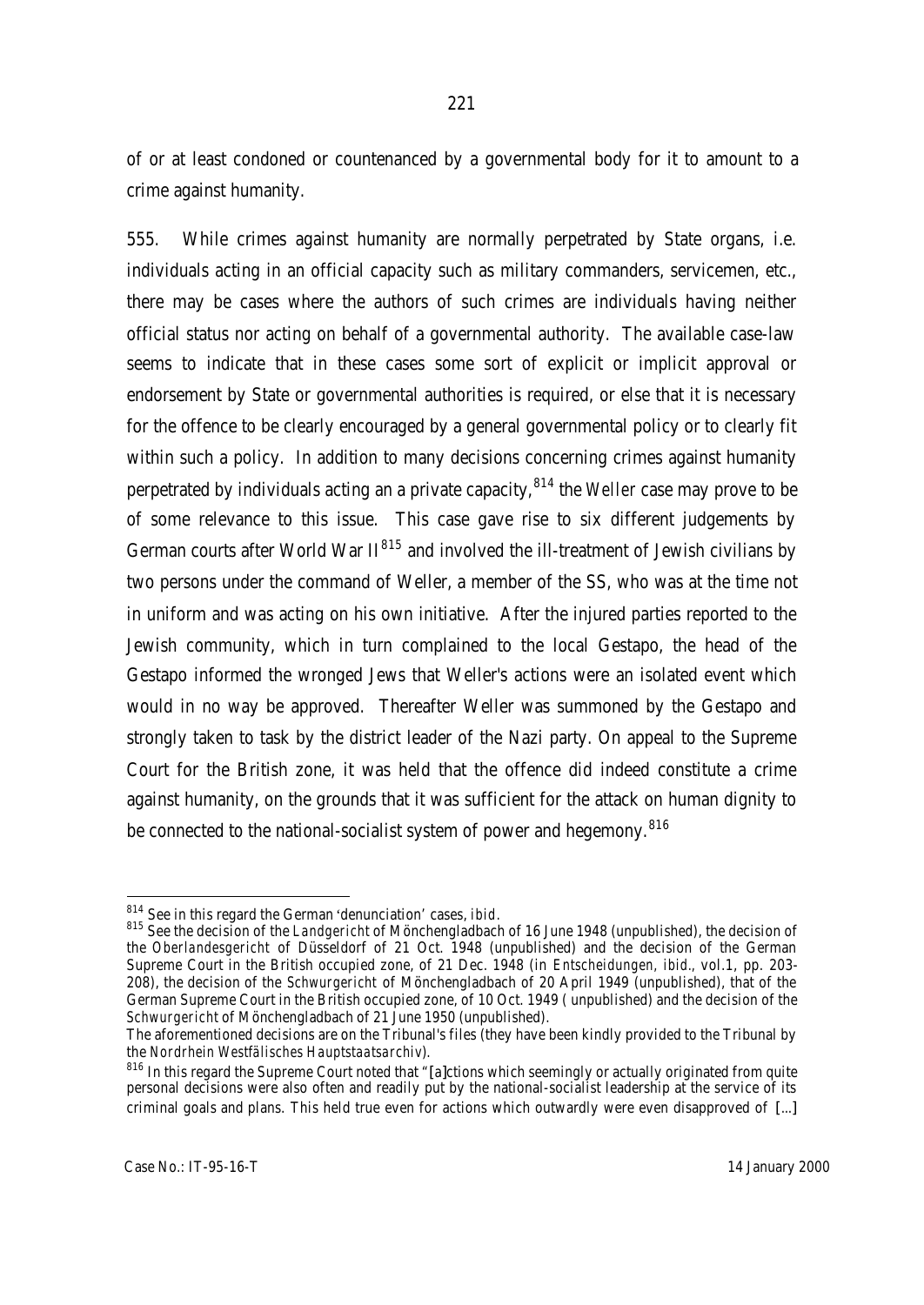of or at least condoned or countenanced by a governmental body for it to amount to a crime against humanity.

555. While crimes against humanity are normally perpetrated by State organs, i.e. individuals acting in an official capacity such as military commanders, servicemen, etc., there may be cases where the authors of such crimes are individuals having neither official status nor acting on behalf of a governmental authority. The available case-law seems to indicate that in these cases some sort of explicit or implicit approval or endorsement by State or governmental authorities is required, or else that it is necessary for the offence to be clearly encouraged by a general governmental policy or to clearly fit within such a policy. In addition to many decisions concerning crimes against humanity perpetrated by individuals acting an a private capacity,<sup>814</sup> the *Weller* case may prove to be of some relevance to this issue. This case gave rise to six different judgements by German courts after World War  $II^{815}$  and involved the ill-treatment of Jewish civilians by two persons under the command of Weller, a member of the SS, who was at the time not in uniform and was acting on his own initiative. After the injured parties reported to the Jewish community, which in turn complained to the local Gestapo, the head of the Gestapo informed the wronged Jews that Weller's actions were an isolated event which would in no way be approved. Thereafter Weller was summoned by the Gestapo and strongly taken to task by the district leader of the Nazi party. On appeal to the Supreme Court for the British zone, it was held that the offence did indeed constitute a crime against humanity, on the grounds that it was sufficient for the attack on human dignity to be connected to the national-socialist system of power and hegemony.<sup>816</sup>

l

<sup>814</sup> See in this regard the German 'denunciation' cases, *ibid*.

<sup>815</sup> See the decision of the *Landgericht* of Mönchengladbach of 16 June 1948 (unpublished), the decision of the *Oberlandesgericht* of Düsseldorf of 21 Oct. 1948 (unpublished) and the decision of the German Supreme Court in the British occupied zone, of 21 Dec. 1948 (in *Entscheidungen, ibid.,* vol.1, pp. 203- 208), the decision of the *Schwurgericht* of Mönchengladbach of 20 April 1949 (unpublished), that of the German Supreme Court in the British occupied zone, of 10 Oct. 1949 ( unpublished) and the decision of the *Schwurgericht* of Mönchengladbach of 21 June 1950 (unpublished).

The aforementioned decisions are on the Tribunal's files (they have been kindly provided to the Tribunal by the *Nordrhein Westfälisches Hauptstaatsarchiv*).

<sup>816</sup> In this regard the Supreme Court noted that "[a]ctions which seemingly or actually originated from quite personal decisions were also often and readily put by the national-socialist leadership at the service of its criminal goals and plans. This held true even for actions which outwardly were even disapproved of [...]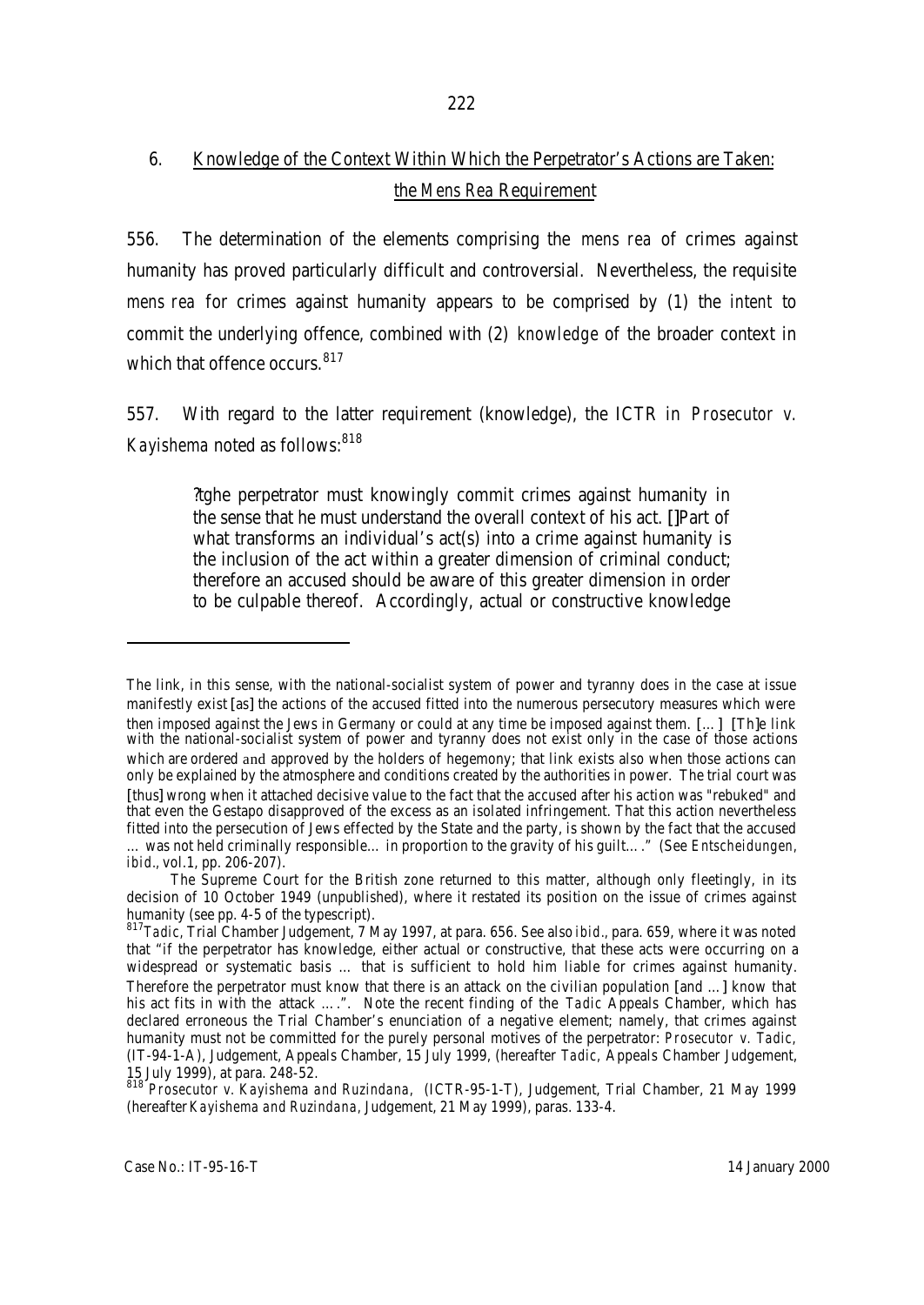## 6. Knowledge of the Context Within Which the Perpetrator's Actions are Taken: the *Mens Rea* Requirement

556. The determination of the elements comprising the *mens rea* of crimes against humanity has proved particularly difficult and controversial. Nevertheless, the requisite *mens rea* for crimes against humanity appears to be comprised by (1) the *intent* to commit the underlying offence, combined with (2) *knowledge* of the broader context in which that offence occurs.<sup>817</sup>

557. With regard to the latter requirement (knowledge), the ICTR in *Prosecutor v.* Kayishema noted as follows:<sup>818</sup>

?tghe perpetrator must knowingly commit crimes against humanity in the sense that he must understand the overall context of his act. []Part of what transforms an individual's act(s) into a crime against humanity is the inclusion of the act within a greater dimension of criminal conduct; therefore an accused should be aware of this greater dimension in order to be culpable thereof. Accordingly, actual or constructive knowledge

j

The link, in this sense, with the national-socialist system of power and tyranny does in the case at issue manifestly exist [as] the actions of the accused fitted into the numerous persecutory measures which were then imposed against the Jews in Germany or could at any time be imposed against them. […] [Th]e link with the national-socialist system of power and tyranny does not exist only in the case of those actions which are ordered and approved by the holders of hegemony; that link exists also when those actions can only be explained by the atmosphere and conditions created by the authorities in power. The trial court was [thus] wrong when it attached decisive value to the fact that the accused after his action was "rebuked" and that even the Gestapo disapproved of the excess as an isolated infringement. That this action nevertheless fitted into the persecution of Jews effected by the State and the party, is shown by the fact that the accused … was not held criminally responsible… in proportion to the gravity of his guilt…." (See *Entscheidungen, ibid.,* vol.1, pp. 206-207).

The Supreme Court for the British zone returned to this matter, although only fleetingly, in its decision of 10 October 1949 (unpublished), where it restated its position on the issue of crimes against humanity (see pp. 4-5 of the typescript).

<sup>817</sup>*Tadic,* Trial Chamber Judgement, 7 May 1997, at para. 656. See also *ibid.,* para. 659, where it was noted that "if the perpetrator has knowledge, either actual or constructive, that these acts were occurring on a widespread or systematic basis … that is sufficient to hold him liable for crimes against humanity. Therefore the perpetrator must know that there is an attack on the civilian population [and …] know that his act fits in with the attack ….". Note the recent finding of the *Tadic* Appeals Chamber, which has declared erroneous the Trial Chamber's enunciation of a negative element; namely, that crimes against humanity must not be committed for the purely personal motives of the perpetrator: *Prosecutor v. Tadic,* (IT-94-1-A), Judgement, Appeals Chamber, 15 July 1999, (hereafter *Tadic,* Appeals Chamber Judgement, 15 July 1999), at para. 248-52.<br><sup>818</sup> Press: ...

<sup>818</sup> *Prosecutor v. Kayishema and Ruzindana,* (ICTR-95-1-T), Judgement, Trial Chamber, 21 May 1999 (hereafter *Kayishema and Ruzindana,* Judgement, 21 May 1999), paras. 133-4.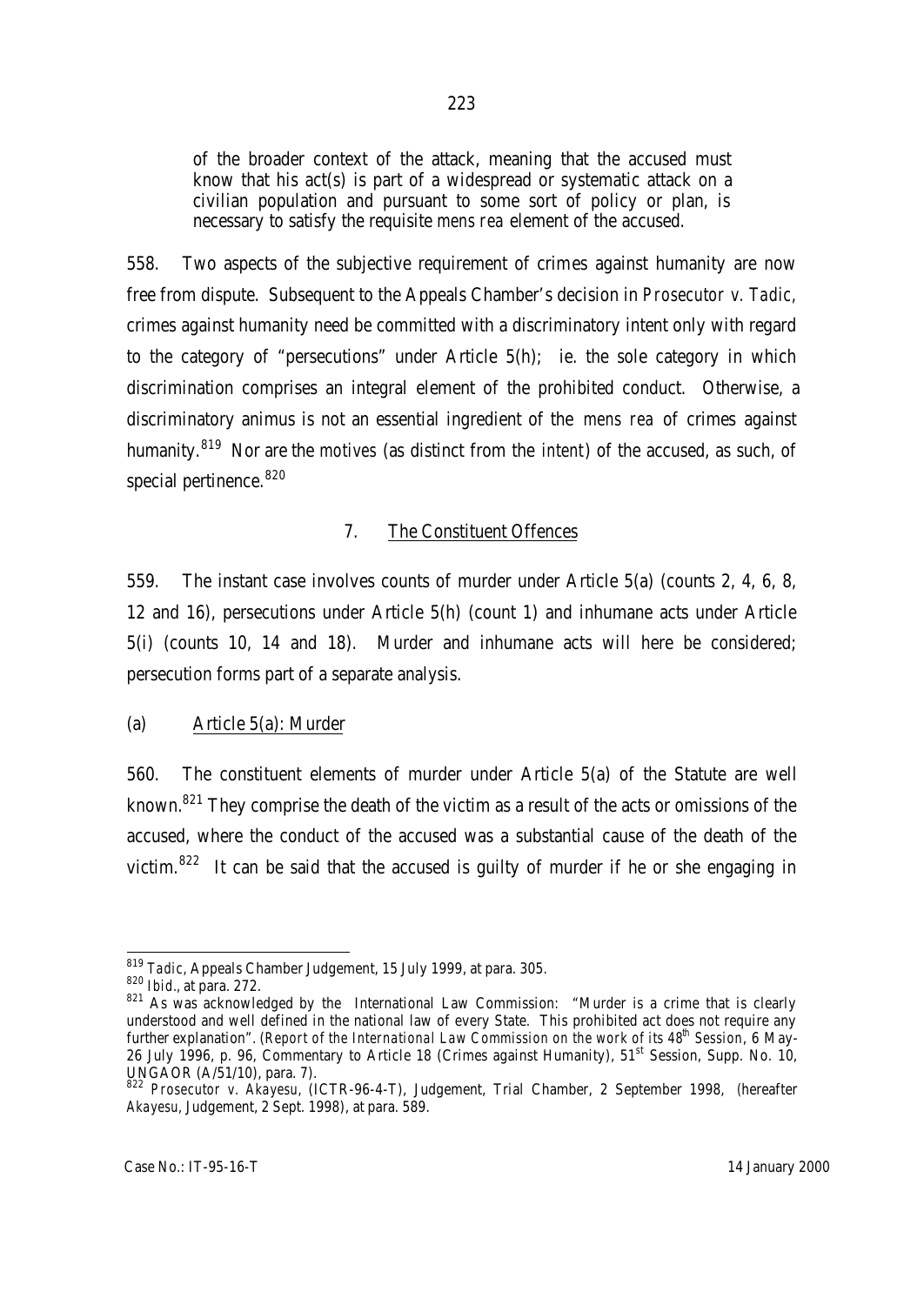of the broader context of the attack, meaning that the accused must know that his act(s) is part of a widespread or systematic attack on a civilian population and pursuant to some sort of policy or plan, is necessary to satisfy the requisite *mens rea* element of the accused.

558. Two aspects of the subjective requirement of crimes against humanity are now free from dispute. Subsequent to the Appeals Chamber's decision in *Prosecutor v. Tadic,* crimes against humanity need be committed with a discriminatory intent only with regard to the category of "persecutions" under Article 5(h); ie. the sole category in which discrimination comprises an integral element of the prohibited conduct. Otherwise, a discriminatory animus is not an essential ingredient of the *mens rea* of crimes against humanity.<sup>819</sup> Nor are the *motives* (as distinct from the *intent*) of the accused, as such, of special pertinence. 820

#### 7. The Constituent Offences

559. The instant case involves counts of murder under Article 5(a) (counts 2, 4, 6, 8, 12 and 16), persecutions under Article 5(h) (count 1) and inhumane acts under Article 5(i) (counts 10, 14 and 18). Murder and inhumane acts will here be considered; persecution forms part of a separate analysis.

#### (a) Article 5(a): Murder

560. The constituent elements of murder under Article 5(a) of the Statute are well known.<sup>821</sup> They comprise the death of the victim as a result of the acts or omissions of the accused, where the conduct of the accused was a substantial cause of the death of the victim. $822$  It can be said that the accused is guilty of murder if he or she engaging in

 $\overline{a}$ <sup>819</sup> *Tadic,* Appeals Chamber Judgement, 15 July 1999, at para. 305.

<sup>820</sup> *Ibid.,* at para. 272.

<sup>821</sup> As was acknowledged by the International Law Commission: "Murder is a crime that is clearly understood and well defined in the national law of every State. This prohibited act does not require any further explanation". (*Report of the International Law Commission on the work of its 48th Session*, 6 May-26 July 1996, p. 96, Commentary to Article 18 (Crimes against Humanity), 51<sup>st</sup> Session, Supp. No. 10, UNGAOR (A/51/10), para. 7).

<sup>822</sup> *Prosecutor v. Akayesu,* (ICTR-96-4-T), Judgement, Trial Chamber, 2 September 1998, *(*hereafter *Akayesu,* Judgement, 2 Sept. 1998), at para. 589.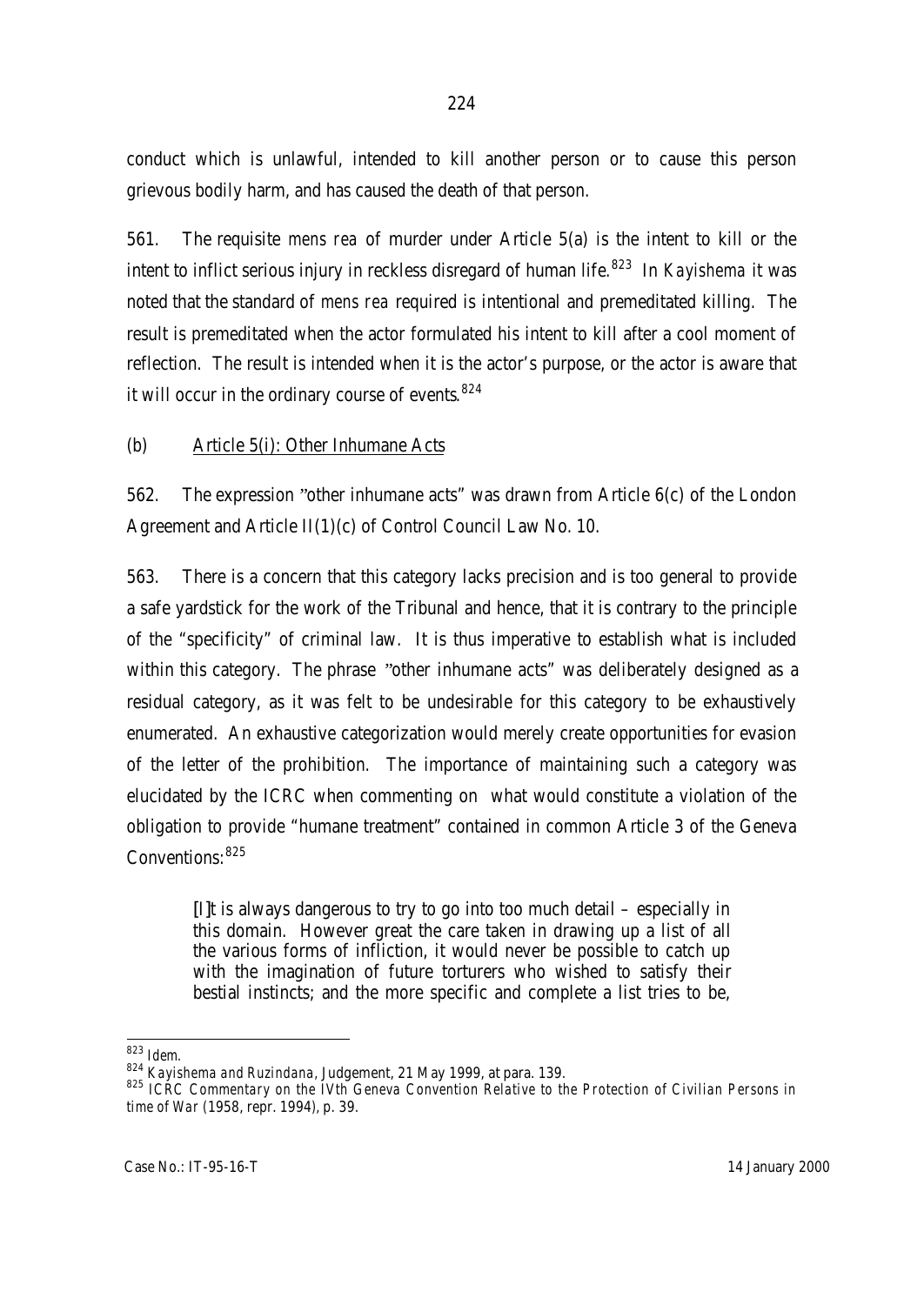conduct which is unlawful, intended to kill another person or to cause this person grievous bodily harm, and has caused the death of that person.

561. The requisite *mens rea* of murder under Article 5(a) is the intent to kill or the intent to inflict serious injury in reckless disregard of human life.<sup>823</sup> In *Kayishema* it was noted that the standard of *mens rea* required is intentional and premeditated killing. The result is premeditated when the actor formulated his intent to kill after a cool moment of reflection. The result is intended when it is the actor's purpose, or the actor is aware that it will occur in the ordinary course of events. <sup>824</sup>

#### (b) Article 5(i): Other Inhumane Acts

562. The expression "other inhumane acts" was drawn from Article 6(c) of the London Agreement and Article II(1)(c) of Control Council Law No. 10.

563. There is a concern that this category lacks precision and is too general to provide a safe yardstick for the work of the Tribunal and hence, that it is contrary to the principle of the "specificity" of criminal law. It is thus imperative to establish what is included within this category. The phrase "other inhumane acts" was deliberately designed as a residual category, as it was felt to be undesirable for this category to be exhaustively enumerated. An exhaustive categorization would merely create opportunities for evasion of the letter of the prohibition. The importance of maintaining such a category was elucidated by the ICRC when commenting on what would constitute a violation of the obligation to provide "humane treatment" contained in common Article 3 of the Geneva Conventions: 825

[I]t is always dangerous to try to go into too much detail – especially in this domain. However great the care taken in drawing up a list of all the various forms of infliction, it would never be possible to catch up with the imagination of future torturers who wished to satisfy their bestial instincts; and the more specific and complete a list tries to be,

 $\overline{a}$ <sup>823</sup> *Idem.*

<sup>824</sup> *Kayishema and Ruzindana,* Judgement, 21 May 1999, at para. 139.

<sup>825</sup> *ICRC Commentary on the IVth Geneva Convention Relative to the Protection of Civilian Persons in time of War (*1958, repr. 1994*),* p. 39.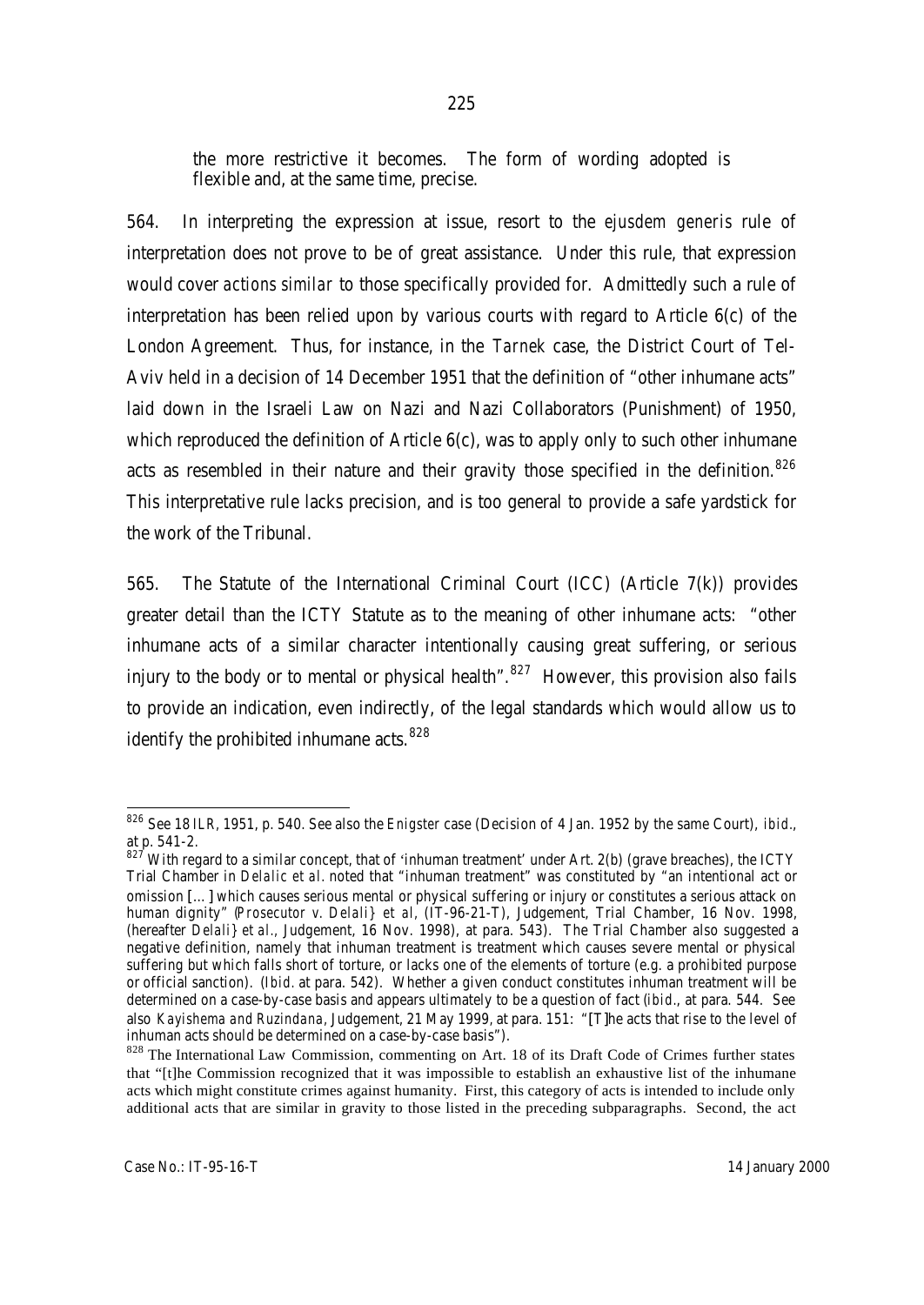the more restrictive it becomes. The form of wording adopted is flexible and, at the same time, precise.

564. In interpreting the expression at issue, resort to the *ejusdem generis* rule of interpretation does not prove to be of great assistance. Under this rule, that expression would cover *actions similar* to those specifically provided for. Admittedly such a rule of interpretation has been relied upon by various courts with regard to Article 6(c) of the London Agreement. Thus, for instance, in the *Tarnek* case, the District Court of Tel-Aviv held in a decision of 14 December 1951 that the definition of "other inhumane acts" laid down in the Israeli Law on Nazi and Nazi Collaborators (Punishment) of 1950, which reproduced the definition of Article 6(c), was to apply only to such other inhumane acts as resembled in their nature and their gravity those specified in the definition.<sup>826</sup> This interpretative rule lacks precision, and is too general to provide a safe yardstick for the work of the Tribunal.

565. The Statute of the International Criminal Court (ICC) (Article 7(k)) provides greater detail than the ICTY Statute as to the meaning of other inhumane acts: "other inhumane acts of a similar character intentionally causing great suffering, or serious injury to the body or to mental or physical health". $827$  However, this provision also fails to provide an indication, even indirectly, of the legal standards which would allow us to identify the prohibited inhumane acts.  $828$ 

 $\overline{\phantom{a}}$ <sup>826</sup> See 18 *ILR,* 1951, p. 540. See also the *Enigster* case (Decision of 4 Jan. 1952 by the same Court), *ibid.*, at p. 541-2.

 $827$  With regard to a similar concept, that of 'inhuman treatment' under Art. 2(b) (grave breaches), the ICTY Trial Chamber in *Delalic et al.* noted that "inhuman treatment" was constituted by "an intentional act or omission […] which causes serious mental or physical suffering or injury or constitutes a serious attack on human dignity" (*Prosecutor v. Delali} et al,* (IT-96-21-T), Judgement, Trial Chamber, 16 Nov. 1998, (hereafter *Delali} et al.,* Judgement, 16 Nov. 1998), at para. 543). The Trial Chamber also suggested a negative definition, namely that inhuman treatment is treatment which causes severe mental or physical suffering but which falls short of torture, or lacks one of the elements of torture (e.g. a prohibited purpose or official sanction). (*Ibid.* at para. 542). Whether a given conduct constitutes inhuman treatment will be determined on a case-by-case basis and appears ultimately to be a question of fact (*ibid.*, at para. 544. See also *Kayishema and Ruzindana,* Judgement, 21 May 1999*,* at para. 151: "[T]he acts that rise to the level of inhuman acts should be determined on a case-by-case basis").

<sup>828</sup> The International Law Commission, commenting on Art. 18 of its Draft Code of Crimes further states that "[t]he Commission recognized that it was impossible to establish an exhaustive list of the inhumane acts which might constitute crimes against humanity. First, this category of acts is intended to include only additional acts that are similar in gravity to those listed in the preceding subparagraphs. Second, the act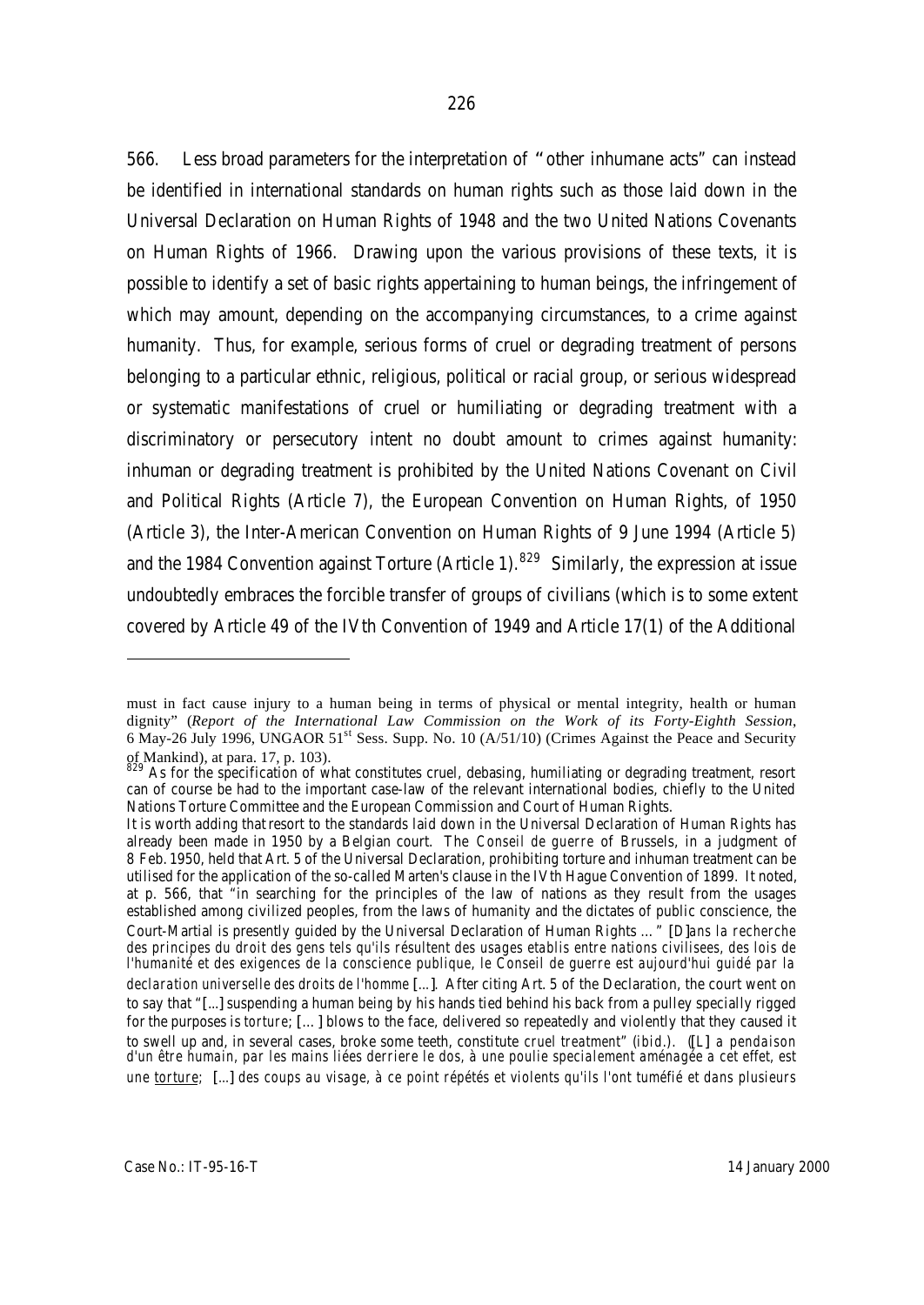566. Less broad parameters for the interpretation of "other inhumane acts" can instead be identified in international standards on human rights such as those laid down in the Universal Declaration on Human Rights of 1948 and the two United Nations Covenants on Human Rights of 1966. Drawing upon the various provisions of these texts, it is possible to identify a set of basic rights appertaining to human beings, the infringement of which may amount, depending on the accompanying circumstances, to a crime against humanity. Thus, for example, serious forms of cruel or degrading treatment of persons belonging to a particular ethnic, religious, political or racial group, or serious widespread or systematic manifestations of cruel or humiliating or degrading treatment with a discriminatory or persecutory intent no doubt amount to crimes against humanity: inhuman or degrading treatment is prohibited by the United Nations Covenant on Civil and Political Rights (Article 7), the European Convention on Human Rights, of 1950 (Article 3), the Inter-American Convention on Human Rights of 9 June 1994 (Article 5) and the 1984 Convention against Torture (Article 1).<sup>829</sup> Similarly, the expression at issue undoubtedly embraces the forcible transfer of groups of civilians (which is to some extent covered by Article 49 of the IVth Convention of 1949 and Article 17(1) of the Additional

j

must in fact cause injury to a human being in terms of physical or mental integrity, health or human dignity" (*Report of the International Law Commission on the Work of its Forty-Eighth Session*, 6 May-26 July 1996, UNGAOR 51st Sess. Supp. No. 10 (A/51/10) (Crimes Against the Peace and Security of Mankind), at para. 17, p. 103).

 $829$  As for the specification of what constitutes cruel, debasing, humiliating or degrading treatment, resort can of course be had to the important case-law of the relevant international bodies, chiefly to the United Nations Torture Committee and the European Commission and Court of Human Rights.

It is worth adding that resort to the standards laid down in the Universal Declaration of Human Rights has already been made in 1950 by a Belgian court. The *Conseil de guerre* of Brussels, in a judgment of 8 Feb. 1950, held that Art. 5 of the Universal Declaration, prohibiting torture and inhuman treatment can be utilised for the application of the so-called Marten's clause in the IVth Hague Convention of 1899. It noted, at p. 566, that "in searching for the principles of the law of nations as they result from the usages established among civilized peoples, from the laws of humanity and the dictates of public conscience, the Court-Martial is presently guided by the Universal Declaration of Human Rights …" [*D*]*ans la recherche des principes du droit des gens tels qu'ils résultent des usages etablis entre nations civilisees, des lois de l'humanité et des exigences de la conscience publique, le Conseil de guerre est aujourd'hui guidé par la declaration universelle des droits de l'homme [...].* After citing Art. 5 of the Declaration, the court went on to say that "[...] suspending a human being by his hands tied behind his back from a pulley specially rigged for the purposes is *torture*; […] blows to the face, delivered so repeatedly and violently that they caused it to swell up and, in several cases, broke some teeth, constitute *cruel treatment*" (*ibid*.). ([*L*] *a pendaison d'un être humain, par les mains liées derriere le dos, à une poulie specialement aménagée a cet effet, est une torture; [...] des coups au visage, à ce point répétés et violents qu'ils l'ont tuméfié et dans plusieurs*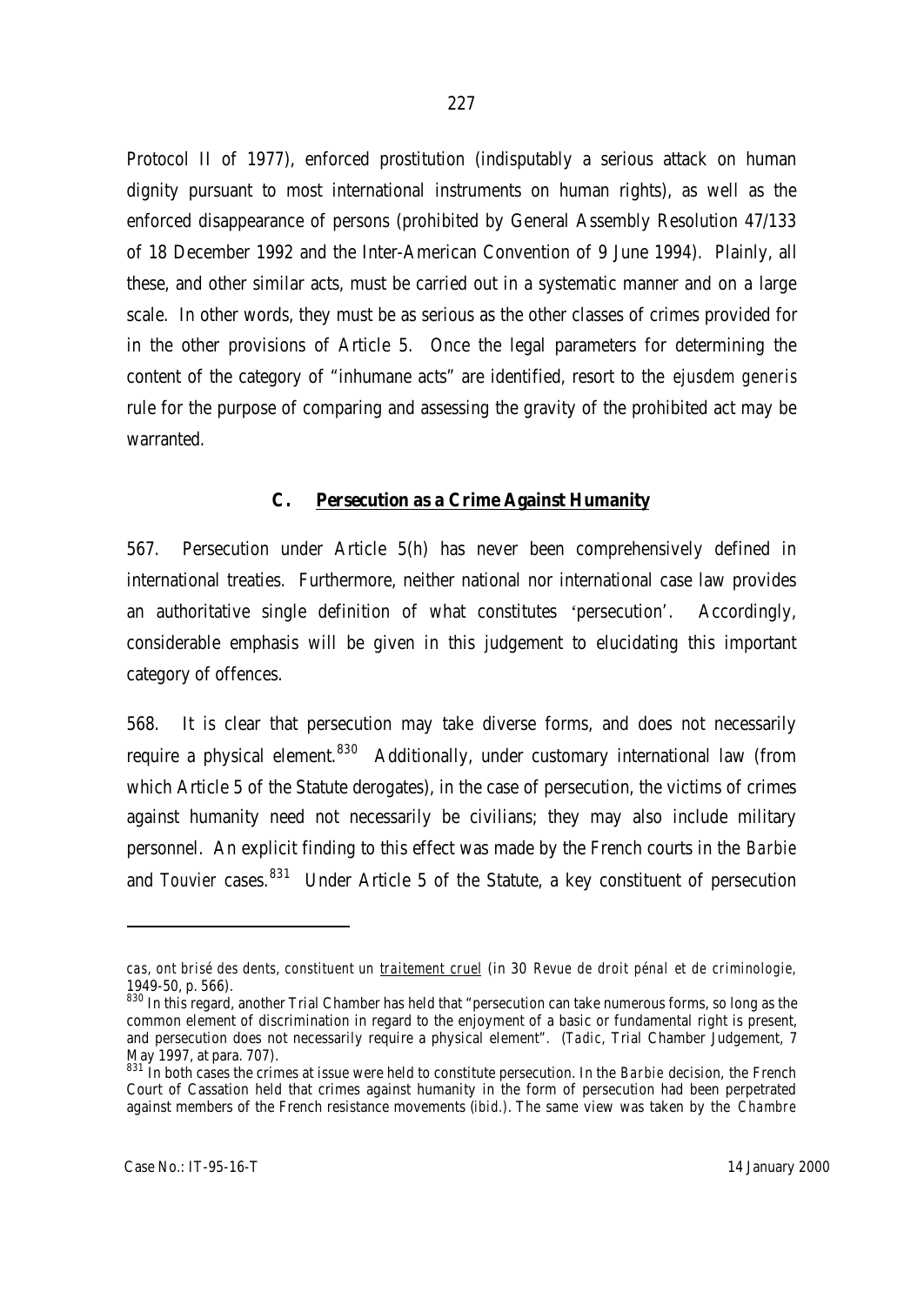Protocol II of 1977), enforced prostitution (indisputably a serious attack on human dignity pursuant to most international instruments on human rights), as well as the enforced disappearance of persons (prohibited by General Assembly Resolution 47/133 of 18 December 1992 and the Inter-American Convention of 9 June 1994). Plainly, all these, and other similar acts, must be carried out in a systematic manner and on a large scale. In other words, they must be as serious as the other classes of crimes provided for in the other provisions of Article 5. Once the legal parameters for determining the content of the category of "inhumane acts" are identified, resort to the *ejusdem generis* rule for the purpose of comparing and assessing the gravity of the prohibited act may be warranted.

#### **C. Persecution as a Crime Against Humanity**

567. Persecution under Article 5(h) has never been comprehensively defined in international treaties. Furthermore, neither national nor international case law provides an authoritative single definition of what constitutes 'persecution'. Accordingly, considerable emphasis will be given in this judgement to elucidating this important category of offences.

568. It is clear that persecution may take diverse forms, and does not necessarily require a physical element.<sup>830</sup> Additionally, under customary international law (from which Article 5 of the Statute derogates), in the case of persecution, the victims of crimes against humanity need not necessarily be civilians; they may also include military personnel. An explicit finding to this effect was made by the French courts in the *Barbie* and *Touvier* cases.<sup>831</sup> Under Article 5 of the Statute, a key constituent of persecution

l

*cas, ont brisé des dents, constituent un traitement cruel* (in 30 *Revue de droit pénal et de criminologie,* 1949-50, p. 566).

<sup>&</sup>lt;sup>830</sup> In this regard, another Trial Chamber has held that "persecution can take numerous forms, so long as the common element of discrimination in regard to the enjoyment of a basic or fundamental right is present, and persecution does not necessarily require a physical element". (*Tadic,* Trial Chamber Judgement, 7 May 1997, at para. 707).

<sup>&</sup>lt;sup>831</sup> In both cases the crimes at issue were held to constitute persecution. In the *Barbie* decision, the French Court of Cassation held that crimes against humanity in the form of persecution had been perpetrated against members of the French resistance movements (*ibid.)*. The same view was taken by the *Chambre*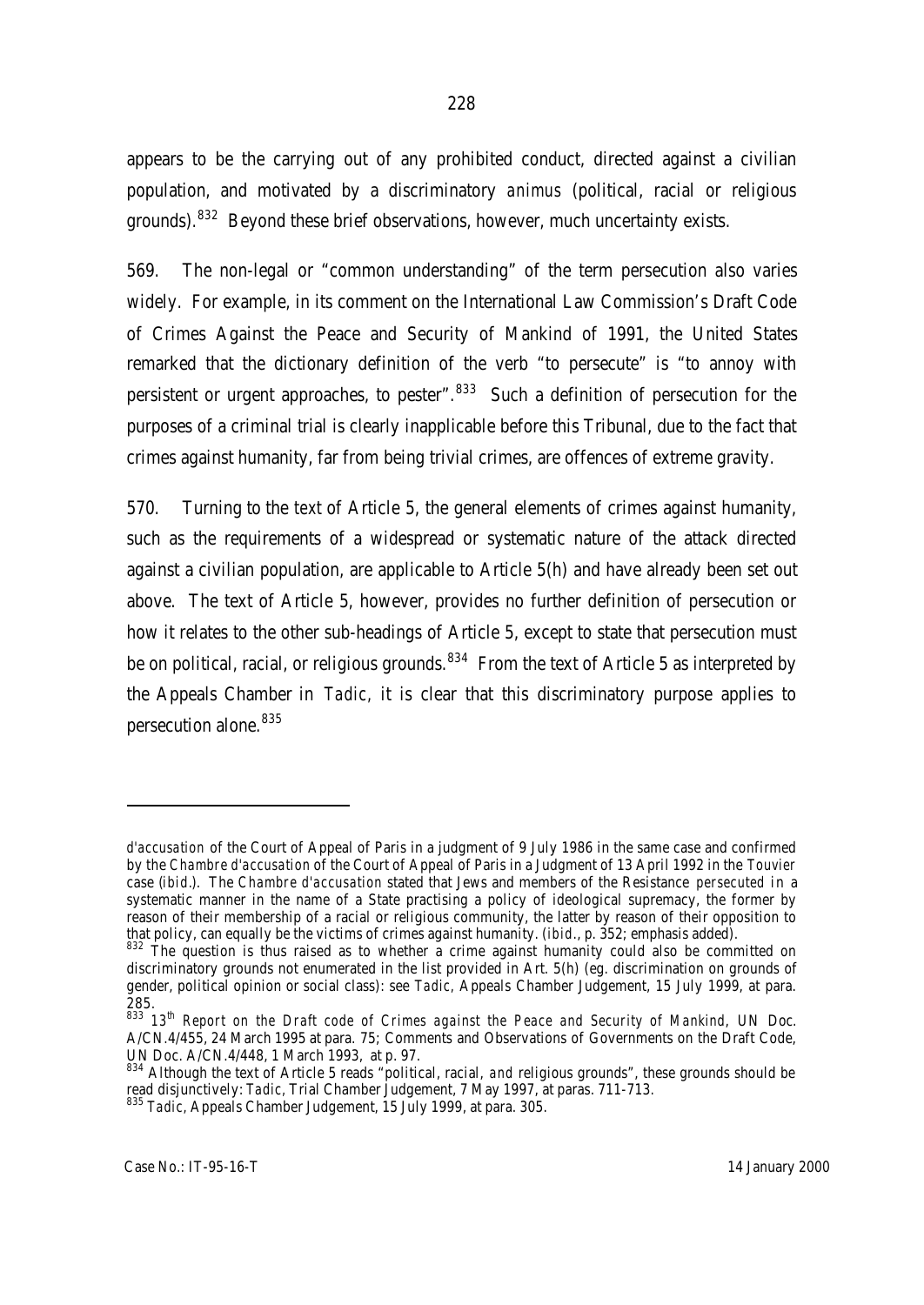appears to be the carrying out of any prohibited conduct, directed against a civilian population, and motivated by a discriminatory *animus* (political, racial or religious grounds).<sup>832</sup> Beyond these brief observations, however, much uncertainty exists.

569. The non-legal or "common understanding" of the term persecution also varies widely. For example, in its comment on the International Law Commission's Draft Code of Crimes Against the Peace and Security of Mankind of 1991, the United States remarked that the dictionary definition of the verb "to persecute" is "to annoy with persistent or urgent approaches, to pester".<sup>833</sup> Such a definition of persecution for the purposes of a criminal trial is clearly inapplicable before this Tribunal, due to the fact that crimes against humanity, far from being trivial crimes, are offences of extreme gravity.

570. Turning to the *text* of Article 5, the general elements of crimes against humanity, such as the requirements of a widespread or systematic nature of the attack directed against a civilian population, are applicable to Article 5(h) and have already been set out above. The text of Article 5, however, provides no further definition of persecution or how it relates to the other sub-headings of Article 5, except to state that persecution must be on political, racial, or religious grounds.<sup>834</sup> From the text of Article 5 as interpreted by the Appeals Chamber in *Tadic,* it is clear that this discriminatory purpose applies to persecution alone.<sup>835</sup>

j

*d'accusation* of the Court of Appeal of Paris in a judgment of 9 July 1986 in the same case and confirmed by the *Chambre d'accusation* of the Court of Appeal of Paris in a Judgment of 13 April 1992 in the *Touvier* case (*ibid.*). The *Chambre d'accusation* stated that Jews and members of the Resistance *persecuted* in a systematic manner in the name of a State practising a policy of ideological supremacy, the former by reason of their membership of a racial or religious community, the latter by reason of their opposition to that policy, can equally be the victims of crimes against humanity. (*ibid*., p. 352; emphasis added).

 $832$  The question is thus raised as to whether a crime against humanity could also be committed on discriminatory grounds not enumerated in the list provided in Art. 5(h) (eg. discrimination on grounds of gender, political opinion or social class): see *Tadic,* Appeals Chamber Judgement, 15 July 1999, at para. 285.

<sup>833</sup> *13th Report on the Draft code of Crimes against the Peace and Security of Mankind*, UN Doc. A/CN.4/455, 24 March 1995 at para. 75; Comments and Observations of Governments on the Draft Code, UN Doc. A/CN.4/448, 1 March 1993, at p. 97.

<sup>834</sup> Although the text of Article 5 reads "political, racial, *and* religious grounds", these grounds should be read disjunctively: *Tadic,* Trial Chamber Judgement, 7 May 1997, at paras. 711-713.

<sup>835</sup> *Tadic,* Appeals Chamber Judgement, 15 July 1999, at para. 305.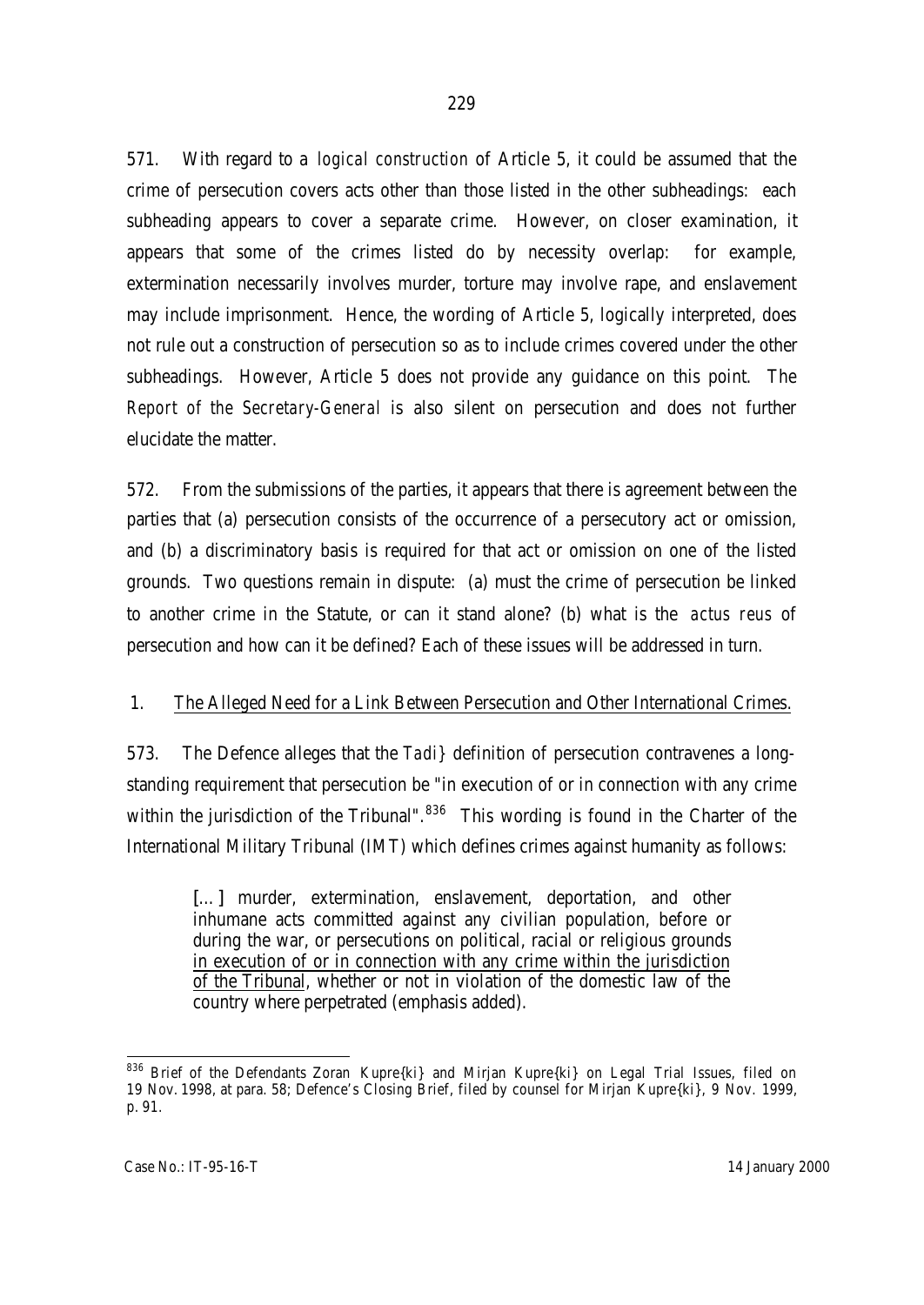571. With regard to a *logical construction* of Article 5, it could be assumed that the crime of persecution covers acts other than those listed in the other subheadings: each subheading appears to cover a separate crime. However, on closer examination, it appears that some of the crimes listed do by necessity overlap: for example, extermination necessarily involves murder, torture may involve rape, and enslavement may include imprisonment. Hence, the wording of Article 5, logically interpreted, does not rule out a construction of persecution so as to include crimes covered under the other subheadings. However, Article 5 does not provide any guidance on this point. The *Report of the Secretary-General* is also silent on persecution and does not further elucidate the matter.

572. From the submissions of the parties, it appears that there is agreement between the parties that (a) persecution consists of the occurrence of a persecutory act or omission, and (b) a discriminatory basis is required for that act or omission on one of the listed grounds. Two questions remain in dispute: (a) must the crime of persecution be linked to another crime in the Statute, or can it stand alone? (b) what is the *actus reus* of persecution and how can it be defined? Each of these issues will be addressed in turn.

### 1. The Alleged Need for a Link Between Persecution and Other International Crimes.

573. The Defence alleges that the *Tadi}* definition of persecution contravenes a longstanding requirement that persecution be "in execution of or in connection with any crime within the jurisdiction of the Tribunal". $836$  This wording is found in the Charter of the International Military Tribunal (IMT) which defines crimes against humanity as follows:

[...] murder, extermination, enslavement, deportation, and other inhumane acts committed against any civilian population, before or during the war, or persecutions on political, racial or religious grounds in execution of or in connection with any crime within the jurisdiction of the Tribunal, whether or not in violation of the domestic law of the country where perpetrated (emphasis added).

 $\overline{a}$  $836$  Brief of the Defendants Zoran Kupre{ki} and Mirjan Kupre{ki} on Legal Trial Issues, filed on 19 Nov. 1998, at para. 58; Defence's Closing Brief, filed by counsel for Mirjan Kupre{ki}, 9 Nov. 1999, p. 91.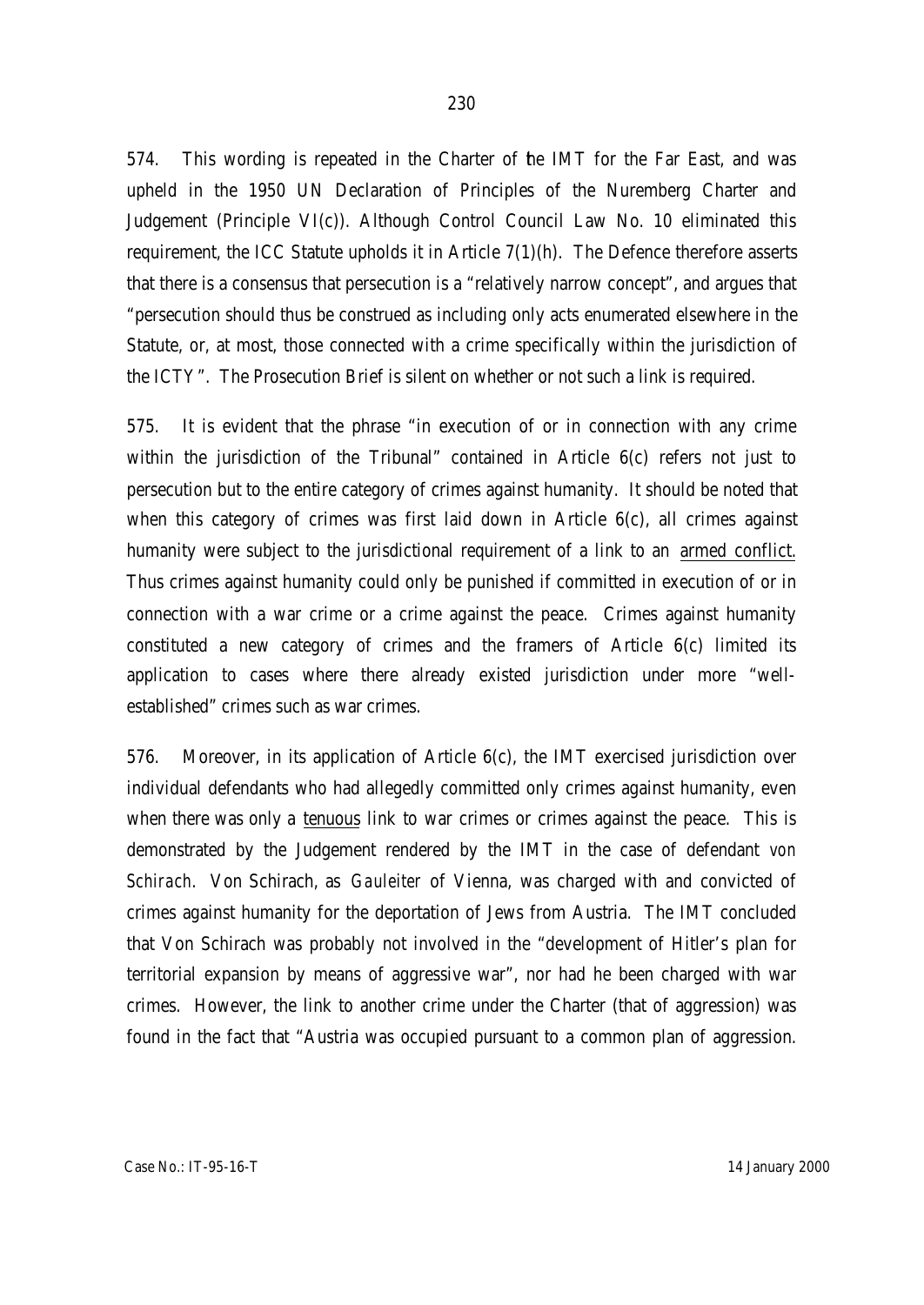574. This wording is repeated in the Charter of the IMT for the Far East, and was upheld in the 1950 UN Declaration of Principles of the Nuremberg Charter and Judgement (Principle VI(c)). Although Control Council Law No. 10 eliminated this requirement, the ICC Statute upholds it in Article 7(1)(h). The Defence therefore asserts that there is a consensus that persecution is a "relatively narrow concept", and argues that "persecution should thus be construed as including only acts enumerated elsewhere in the Statute, or, at most, those connected with a crime specifically within the jurisdiction of the ICTY". The Prosecution Brief is silent on whether or not such a link is required.

575. It is evident that the phrase "in execution of or in connection with any crime within the jurisdiction of the Tribunal" contained in Article 6(c) refers not just to persecution but to the entire category of crimes against humanity. It should be noted that when this category of crimes was first laid down in Article 6(c), all crimes against humanity were subject to the jurisdictional requirement of a link to an armed conflict. Thus crimes against humanity could only be punished if committed in execution of or in connection with a war crime or a crime against the peace. Crimes against humanity constituted a new category of crimes and the framers of Article 6(c) limited its application to cases where there already existed jurisdiction under more "wellestablished" crimes such as war crimes.

576. Moreover, in its application of Article 6(c), the IMT exercised jurisdiction over individual defendants who had allegedly committed only crimes against humanity, even when there was only a tenuous link to war crimes or crimes against the peace. This is demonstrated by the Judgement rendered by the IMT in the case of defendant *von Schirach*. Von Schirach, as *Gauleiter* of Vienna, was charged with and convicted of crimes against humanity for the deportation of Jews from Austria. The IMT concluded that Von Schirach was probably not involved in the "development of Hitler's plan for territorial expansion by means of aggressive war", nor had he been charged with war crimes. However, the link to another crime under the Charter (that of aggression) was found in the fact that "Austria was occupied pursuant to a common plan of aggression.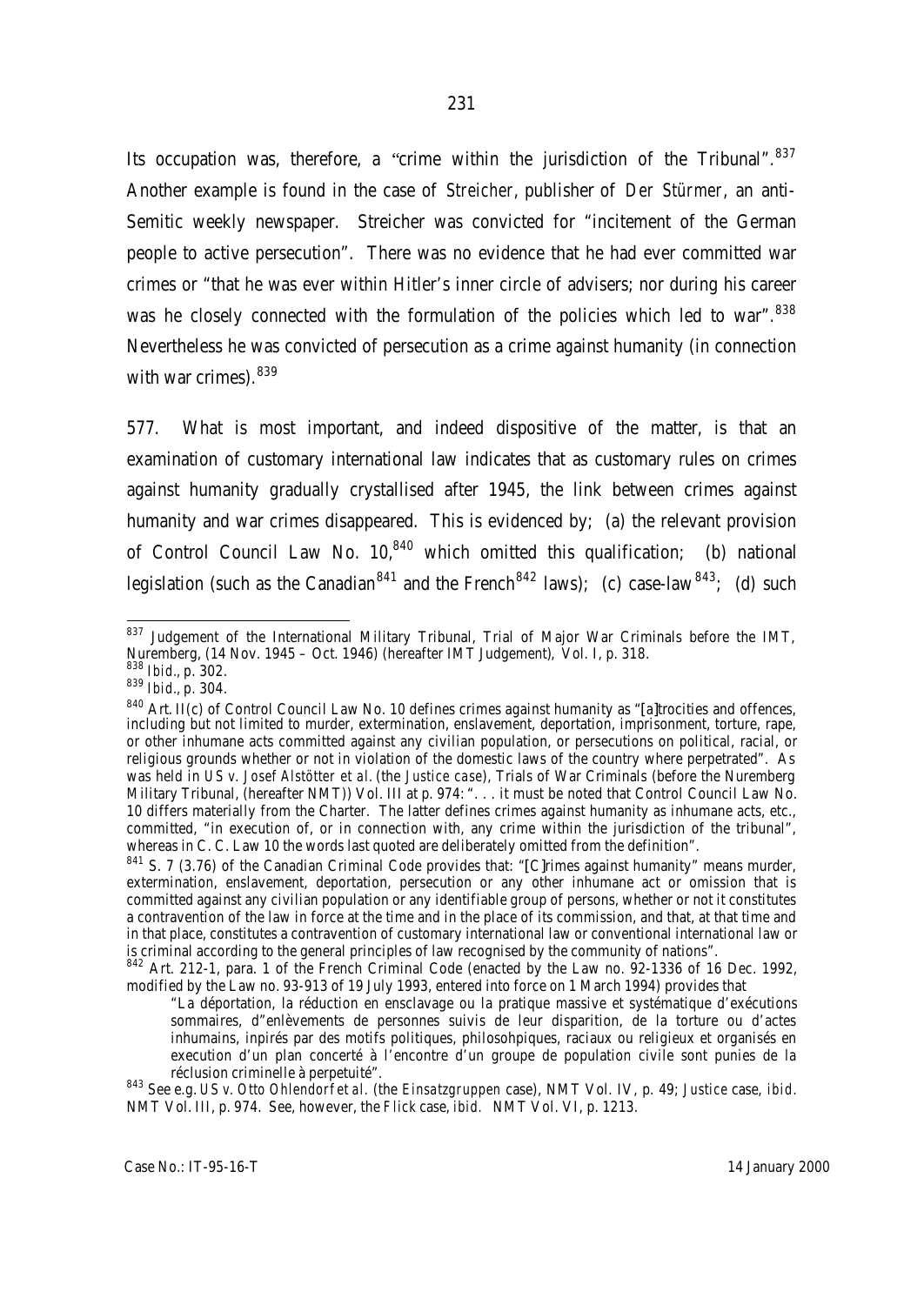Its occupation was, therefore, a "crime within the jurisdiction of the Tribunal". $837$ Another example is found in the case of *Streicher*, publisher of *Der Stürmer*, an anti-Semitic weekly newspaper. Streicher was convicted for "incitement of the German people to active persecution". There was no evidence that he had ever committed war crimes or "that he was ever within Hitler's inner circle of advisers; nor during his career was he closely connected with the formulation of the policies which led to war".<sup>838</sup> Nevertheless he was convicted of persecution as a crime against humanity (in connection with war crimes).  $839$ 

577. What is most important, and indeed dispositive of the matter, is that an examination of customary international law indicates that as customary rules on crimes against humanity gradually crystallised after 1945, the link between crimes against humanity and war crimes disappeared. This is evidenced by; (a) the relevant provision of Control Council Law No.  $10<sub>10</sub><sup>840</sup>$  which omitted this qualification; (b) national legislation (such as the Canadian<sup>841</sup> and the French<sup>842</sup> laws); (c) case-law<sup>843</sup>; (d) such

j  $837$  Judgement of the International Military Tribunal, Trial of Major War Criminals before the IMT, Nuremberg, (14 Nov. 1945 – Oct. 1946) (hereafter IMT Judgement), Vol. I, p. 318. <sup>838</sup> *Ibid.,* p. 302.

<sup>839</sup> *Ibid.,* p. 304.

<sup>840</sup> Art. II(c) of Control Council Law No. 10 defines crimes against humanity as "[a]trocities and offences, including but not limited to murder, extermination, enslavement, deportation, imprisonment, torture, rape, or other inhumane acts committed against any civilian population, or persecutions on political, racial, or religious grounds whether or not in violation of the domestic laws of the country where perpetrated". As was held in *US v. Josef Alstötter et al.* (the *Justice case*), Trials of War Criminals (before the Nuremberg Military Tribunal, (hereafter NMT)) Vol. III at p. 974: ". . . it must be noted that Control Council Law No. 10 differs materially from the Charter. The latter defines crimes against humanity as inhumane acts, etc., committed, "in execution of, or in connection with, any crime within the jurisdiction of the tribunal", whereas in C. C. Law 10 the words last quoted are deliberately omitted from the definition".

<sup>&</sup>lt;sup>841</sup> S. 7 (3.76) of the Canadian Criminal Code provides that: "[C]rimes against humanity" means murder, extermination, enslavement, deportation, persecution or any other inhumane act or omission that is committed against any civilian population or any identifiable group of persons, whether or not it constitutes a contravention of the law in force at the time and in the place of its commission, and that, at that time and in that place, constitutes a contravention of customary international law or conventional international law or is criminal according to the general principles of law recognised by the community of nations".

<sup>842</sup> Art. 212-1, para. 1 of the French Criminal Code (enacted by the Law no. 92-1336 of 16 Dec. 1992, modified by the Law no. 93-913 of 19 July 1993, entered into force on 1 March 1994) provides that

<sup>&</sup>quot;La déportation, la réduction en ensclavage ou la pratique massive et systématique d'exécutions sommaires, d"enlèvements de personnes suivis de leur disparition, de la torture ou d'actes inhumains, inpirés par des motifs politiques, philosohpiques, raciaux ou religieux et organisés en execution d'un plan concerté à l'encontre d'un groupe de population civile sont punies de la réclusion criminelle à perpetuité".

<sup>843</sup> See e.g. *US v. Otto Ohlendorf et al.* (the *Einsatzgruppen* case), NMT Vol. IV, p. 49; *Justice* case, *ibid.* NMT Vol. III, p. 974. See, however, the *Flick* case, *ibid.* NMT Vol. VI, p. 1213.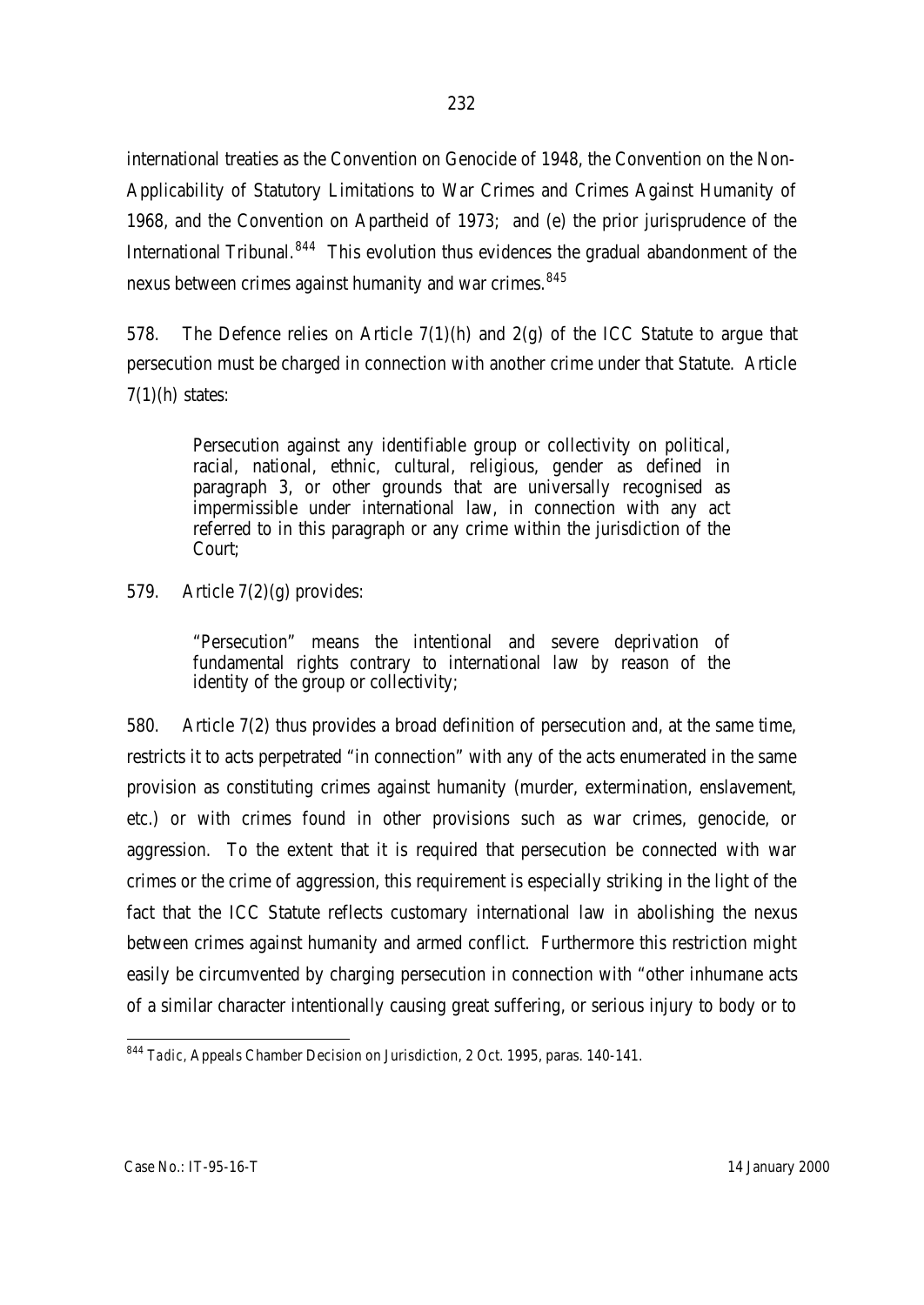international treaties as the Convention on Genocide of 1948, the Convention on the Non-Applicability of Statutory Limitations to War Crimes and Crimes Against Humanity of 1968, and the Convention on Apartheid of 1973; and (e) the prior jurisprudence of the International Tribunal.<sup>844</sup> This evolution thus evidences the gradual abandonment of the nexus between crimes against humanity and war crimes. 845

578. The Defence relies on Article 7(1)(h) and 2(g) of the ICC Statute to argue that persecution must be charged in connection with another crime under that Statute. Article 7(1)(h) states:

Persecution against any identifiable group or collectivity on political, racial, national, ethnic, cultural, religious, gender as defined in paragraph 3, or other grounds that are universally recognised as impermissible under international law, in connection with any act referred to in this paragraph or any crime within the jurisdiction of the Court;

579. Article 7(2)(g) provides:

"Persecution" means the intentional and severe deprivation of fundamental rights contrary to international law by reason of the identity of the group or collectivity;

580. Article 7(2) thus provides a broad definition of persecution and, at the same time, restricts it to acts perpetrated "in connection" with any of the acts enumerated in the same provision as constituting crimes against humanity (murder, extermination, enslavement, etc.) or with crimes found in other provisions such as war crimes, genocide, or aggression. To the extent that it is required that persecution be connected with war crimes or the crime of aggression, this requirement is especially striking in the light of the fact that the ICC Statute reflects customary international law in abolishing the nexus between crimes against humanity and armed conflict. Furthermore this restriction might easily be circumvented by charging persecution in connection with "other inhumane acts of a similar character intentionally causing great suffering, or serious injury to body or to

 $\overline{a}$ <sup>844</sup> *Tadic,* Appeals Chamber Decision on Jurisdiction, 2 Oct. 1995, paras. 140-141.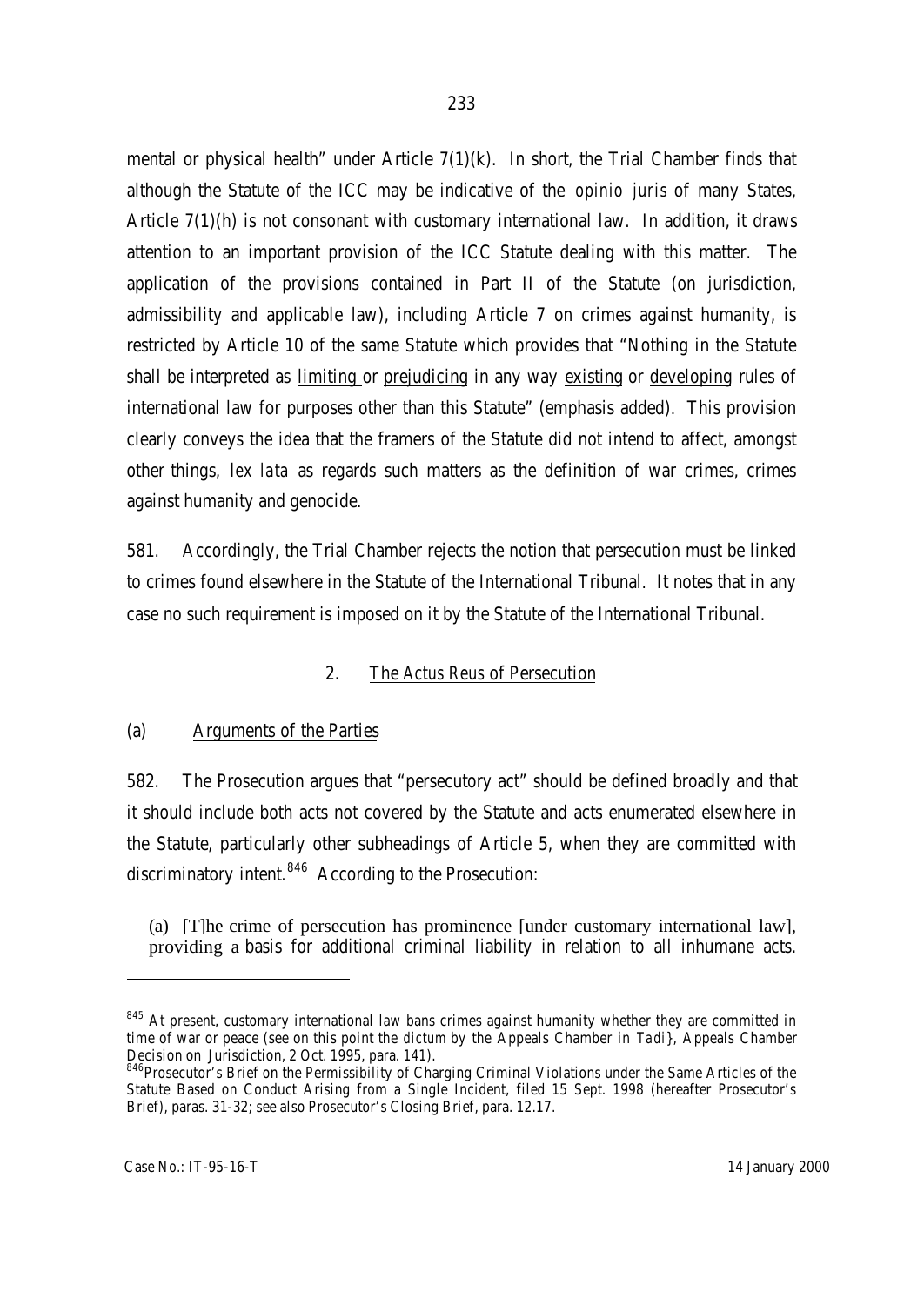mental or physical health" under Article 7(1)(k). In short, the Trial Chamber finds that although the Statute of the ICC may be indicative of the *opinio juris* of many States, Article 7(1)(h) is not consonant with customary international law. In addition, it draws attention to an important provision of the ICC Statute dealing with this matter. The application of the provisions contained in Part II of the Statute (on jurisdiction, admissibility and applicable law), including Article 7 on crimes against humanity, is restricted by Article 10 of the same Statute which provides that "Nothing in the Statute shall be interpreted as limiting or prejudicing in any way existing or developing rules of international law for purposes other than this Statute" (emphasis added). This provision clearly conveys the idea that the framers of the Statute did not intend to affect, amongst other things, *lex lata* as regards such matters as the definition of war crimes, crimes against humanity and genocide.

581. Accordingly, the Trial Chamber rejects the notion that persecution must be linked to crimes found elsewhere in the Statute of the International Tribunal. It notes that in any case no such requirement is imposed on it by the Statute of the International Tribunal.

#### 2. The *Actus Reus* of Persecution

#### (a) Arguments of the Parties

582. The Prosecution argues that "persecutory act" should be defined broadly and that it should include both acts not covered by the Statute and acts enumerated elsewhere in the Statute, particularly other subheadings of Article 5, when they are committed with discriminatory intent.<sup>846</sup> According to the Prosecution:

(a) [T]he crime of persecution has prominence [under customary international law], providing a basis for additional criminal liability in relation to all inhumane acts.

l

<sup>845</sup> At present, customary international law bans crimes against humanity whether they are committed in time of war or peace (see on this point the *dictum* by the Appeals Chamber in *Tadi*}, Appeals Chamber Decision on Jurisdiction, 2 Oct. 1995, para. 141).

<sup>&</sup>lt;sup>846</sup>Prosecutor's Brief on the Permissibility of Charging Criminal Violations under the Same Articles of the Statute Based on Conduct Arising from a Single Incident, filed 15 Sept. 1998 (hereafter Prosecutor's Brief), paras. 31-32; see also Prosecutor's Closing Brief, para. 12.17.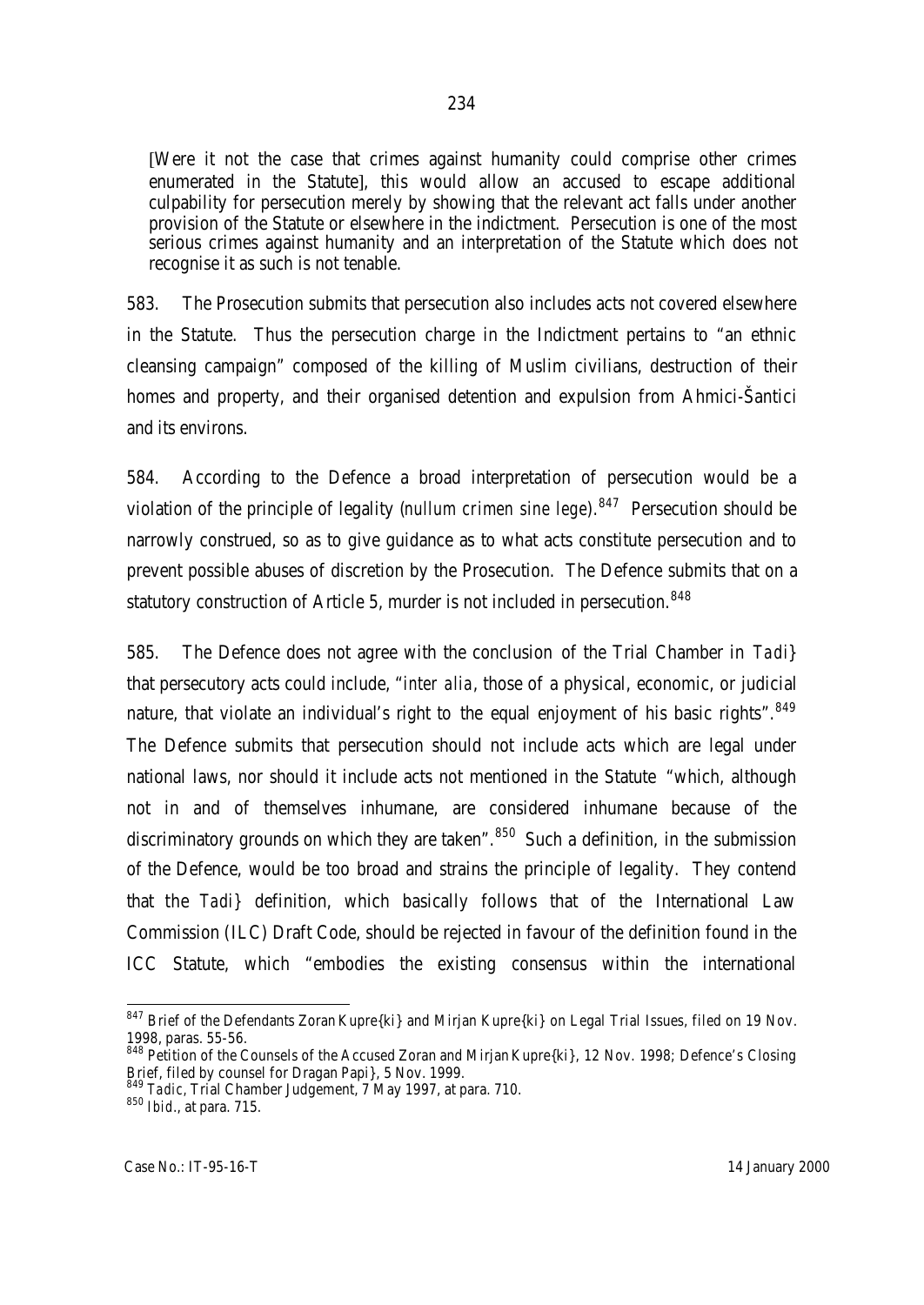[Were it not the case that crimes against humanity could comprise other crimes enumerated in the Statute], this would allow an accused to escape additional culpability for persecution merely by showing that the relevant act falls under another provision of the Statute or elsewhere in the indictment. Persecution is one of the most serious crimes against humanity and an interpretation of the Statute which does not recognise it as such is not tenable.

583. The Prosecution submits that persecution also includes acts not covered elsewhere in the Statute. Thus the persecution charge in the Indictment pertains to "an ethnic cleansing campaign" composed of the killing of Muslim civilians, destruction of their homes and property, and their organised detention and expulsion from Ahmici-Šantici and its environs.

584. According to the Defence a broad interpretation of persecution would be a violation of the principle of legality (*nullum crimen sine lege*).<sup>847</sup> Persecution should be narrowly construed, so as to give guidance as to what acts constitute persecution and to prevent possible abuses of discretion by the Prosecution. The Defence submits that on a statutory construction of Article 5, murder is not included in persecution.<sup>848</sup>

585. The Defence does not agree with the conclusion of the Trial Chamber in *Tadi*} that persecutory acts could include, "*inter alia*, those of a physical, economic, or judicial nature, that violate an individual's right to the equal enjoyment of his basic rights". <sup>849</sup> The Defence submits that persecution should not include acts which are legal under national laws, nor should it include acts not mentioned in the Statute "which, although not in and of themselves inhumane, are considered inhumane because of the discriminatory grounds on which they are taken".<sup>850</sup> Such a definition, in the submission of the Defence, would be too broad and strains the principle of legality. They contend that the *Tadi}* definition, which basically follows that of the International Law Commission (ILC) Draft Code, should be rejected in favour of the definition found in the ICC Statute, which "embodies the existing consensus within the international

 $\overline{a}$  $847$  Brief of the Defendants Zoran Kupre{ki} and Mirjan Kupre{ki} on Legal Trial Issues, filed on 19 Nov. 1998, paras. 55-56.

<sup>&</sup>lt;sup>848</sup> Petition of the Counsels of the Accused Zoran and Mirjan Kupre{ki}, 12 Nov. 1998; Defence's Closing Brief, filed by counsel for Dragan Papi}, 5 Nov. 1999.

<sup>849</sup> *Tadic,* Trial Chamber Judgement, 7 May 1997, at para. 710. <sup>850</sup> *Ibid*., at para. 715.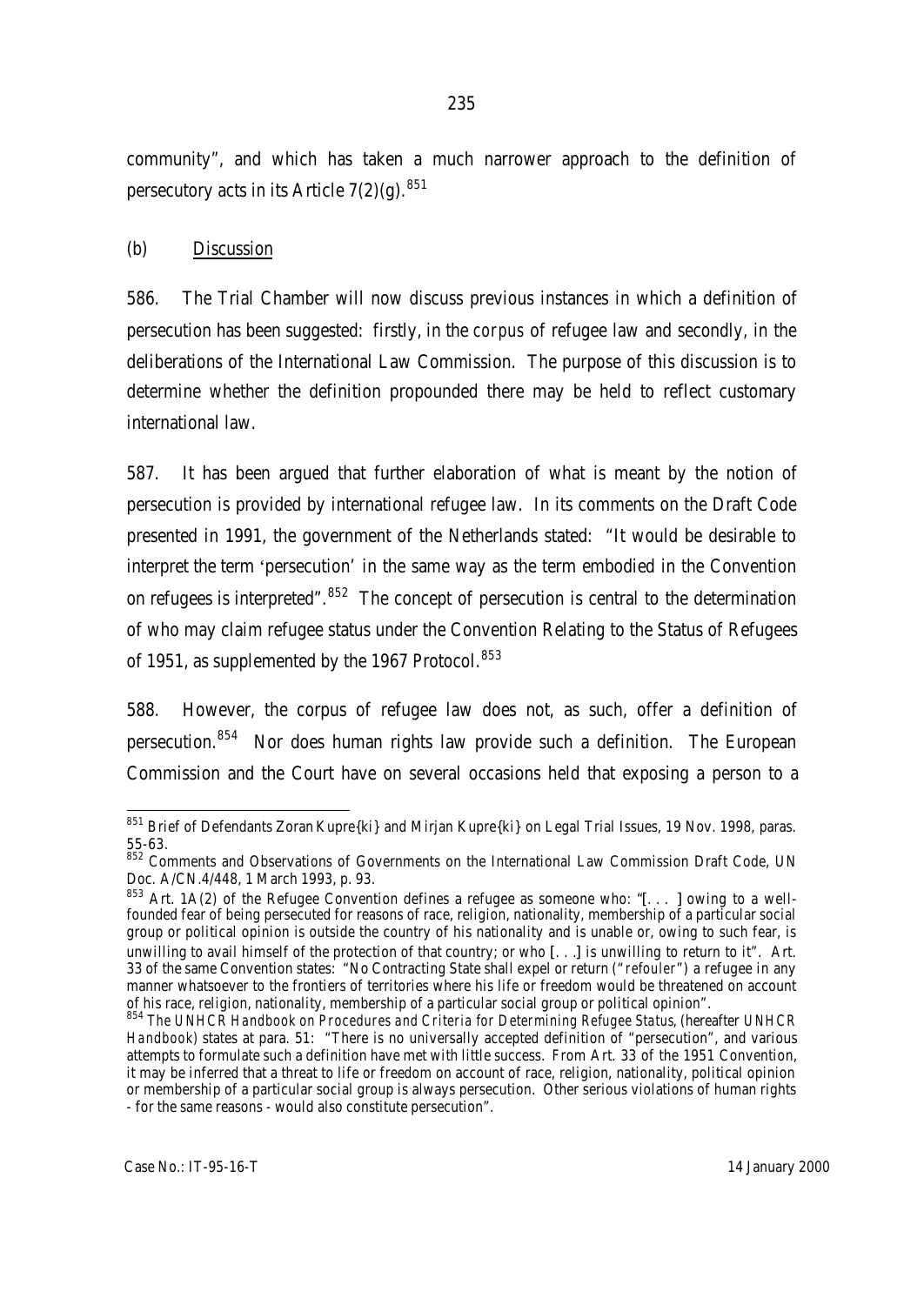community", and which has taken a much narrower approach to the definition of persecutory acts in its Article 7(2)(g).  $^{851}$ 

#### (b) Discussion

586. The Trial Chamber will now discuss previous instances in which a definition of persecution has been suggested: firstly, in the *corpus* of refugee law and secondly, in the deliberations of the International Law Commission. The purpose of this discussion is to determine whether the definition propounded there may be held to reflect customary international law.

587. It has been argued that further elaboration of what is meant by the notion of persecution is provided by international refugee law. In its comments on the Draft Code presented in 1991, the government of the Netherlands stated: "It would be desirable to interpret the term 'persecution' in the same way as the term embodied in the Convention on refugees is interpreted". $852$  The concept of persecution is central to the determination of who may claim refugee status under the Convention Relating to the Status of Refugees of 1951, as supplemented by the 1967 Protocol.<sup>853</sup>

588. However, the corpus of refugee law does not, as such, offer a definition of persecution.<sup>854</sup> Nor does human rights law provide such a definition. The European Commission and the Court have on several occasions held that exposing a person to a

 $\overline{\phantom{a}}$  $851$  Brief of Defendants Zoran Kupre{ki} and Mirjan Kupre{ki} on Legal Trial Issues, 19 Nov. 1998, paras. 55-63.

<sup>&</sup>lt;sup>852</sup> Comments and Observations of Governments on the International Law Commission Draft Code, UN Doc. A/CN.4/448, 1 March 1993, p. 93.

<sup>&</sup>lt;sup>853</sup> Art. 1A(2) of the Refugee Convention defines a refugee as someone who: "[...] owing to a wellfounded fear of being persecuted for reasons of race, religion, nationality, membership of a particular social group or political opinion is outside the country of his nationality and is unable or, owing to such fear, is unwilling to avail himself of the protection of that country; or who [. . .] is unwilling to return to it". Art. 33 of the same Convention states: "No Contracting State shall expel or return ("*refouler*") a refugee in any manner whatsoever to the frontiers of territories where his life or freedom would be threatened on account of his race, religion, nationality, membership of a particular social group or political opinion".

<sup>854</sup> *The UNHCR Handbook on Procedures and Criteria for Determining Refugee Status*, (hereafter *UNHCR Handbook)* states at para. 51: "There is no universally accepted definition of "persecution", and various attempts to formulate such a definition have met with little success. From Art. 33 of the 1951 Convention, it may be inferred that a threat to life or freedom on account of race, religion, nationality, political opinion or membership of a particular social group is always persecution. Other serious violations of human rights - for the same reasons - would also constitute persecution".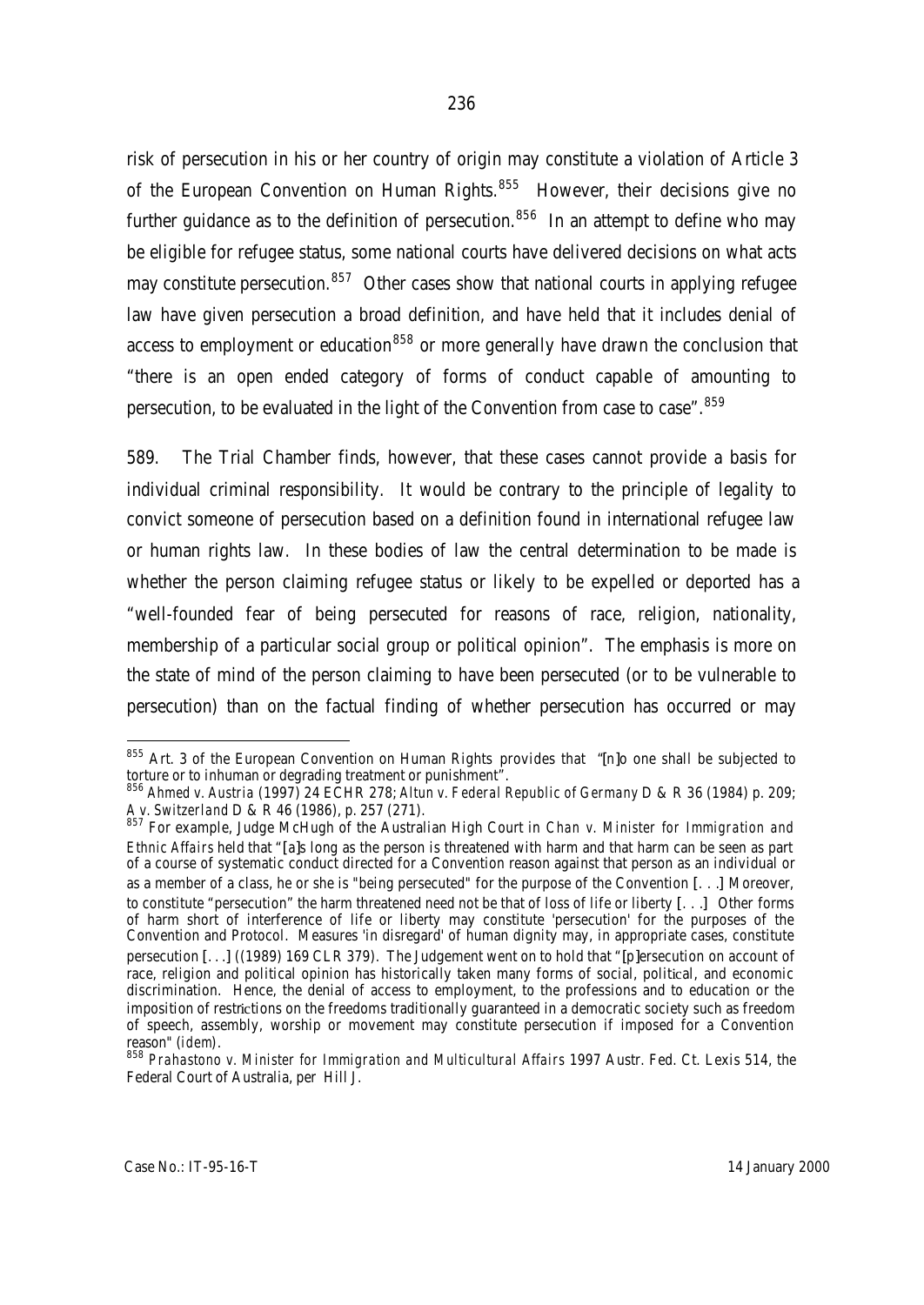risk of persecution in his or her country of origin may constitute a violation of Article 3 of the European Convention on Human Rights.<sup>855</sup> However, their decisions give no further quidance as to the definition of persecution.<sup>856</sup> In an attempt to define who may be eligible for refugee status, some national courts have delivered decisions on what acts may constitute persecution. $857$  Other cases show that national courts in applying refugee law have given persecution a broad definition, and have held that it includes denial of access to employment or education<sup>858</sup> or more generally have drawn the conclusion that "there is an open ended category of forms of conduct capable of amounting to persecution, to be evaluated in the light of the Convention from case to case". 859

589. The Trial Chamber finds, however, that these cases cannot provide a basis for individual criminal responsibility. It would be contrary to the principle of legality to convict someone of persecution based on a definition found in international refugee law or human rights law. In these bodies of law the central determination to be made is whether the person claiming refugee status or likely to be expelled or deported has a "well-founded fear of being persecuted for reasons of race, religion, nationality, membership of a particular social group or political opinion". The emphasis is more on the state of mind of the person claiming to have been persecuted (or to be vulnerable to persecution) than on the factual finding of whether persecution has occurred or may

j

<sup>&</sup>lt;sup>855</sup> Art. 3 of the European Convention on Human Rights provides that "[n]o one shall be subjected to torture or to inhuman or degrading treatment or punishment".

<sup>856</sup> *Ahmed v. Austria* (1997) 24 ECHR 278; *Altun v. Federal Republic of Germany* D & R 36 (1984) p. 209; *A v. Switzerland* D & R 46 (1986), p. 257 (271).

<sup>857</sup> For example, Judge McHugh of the Australian High Court in *Chan v. Minister for Immigration and Ethnic Affairs* held that "[a]s long as the person is threatened with harm and that harm can be seen as part of a course of systematic conduct directed for a Convention reason against that person as an individual or as a member of a class, he or she is "being persecuted" for the purpose of the Convention [. . .] Moreover, to constitute "persecution" the harm threatened need not be that of loss of life or liberty [. . .] Other forms of harm short of interference of life or liberty may constitute 'persecution' for the purposes of the Convention and Protocol. Measures 'in disregard' of human dignity may, in appropriate cases, constitute persecution [. . .] ((1989) 169 CLR 379). The Judgement went on to hold that "[p]ersecution on account of race, religion and political opinion has historically taken many forms of social, political, and economic discrimination. Hence, the denial of access to employment, to the professions and to education or the imposition of restrictions on the freedoms traditionally guaranteed in a democratic society such as freedom of speech, assembly, worship or movement may constitute persecution if imposed for a Convention reason" (*idem*).

<sup>858</sup> Prahastono v. Minister for Immigration and Multicultural Affairs 1997 Austr. Fed. Ct. Lexis 514, the Federal Court of Australia, per Hill J.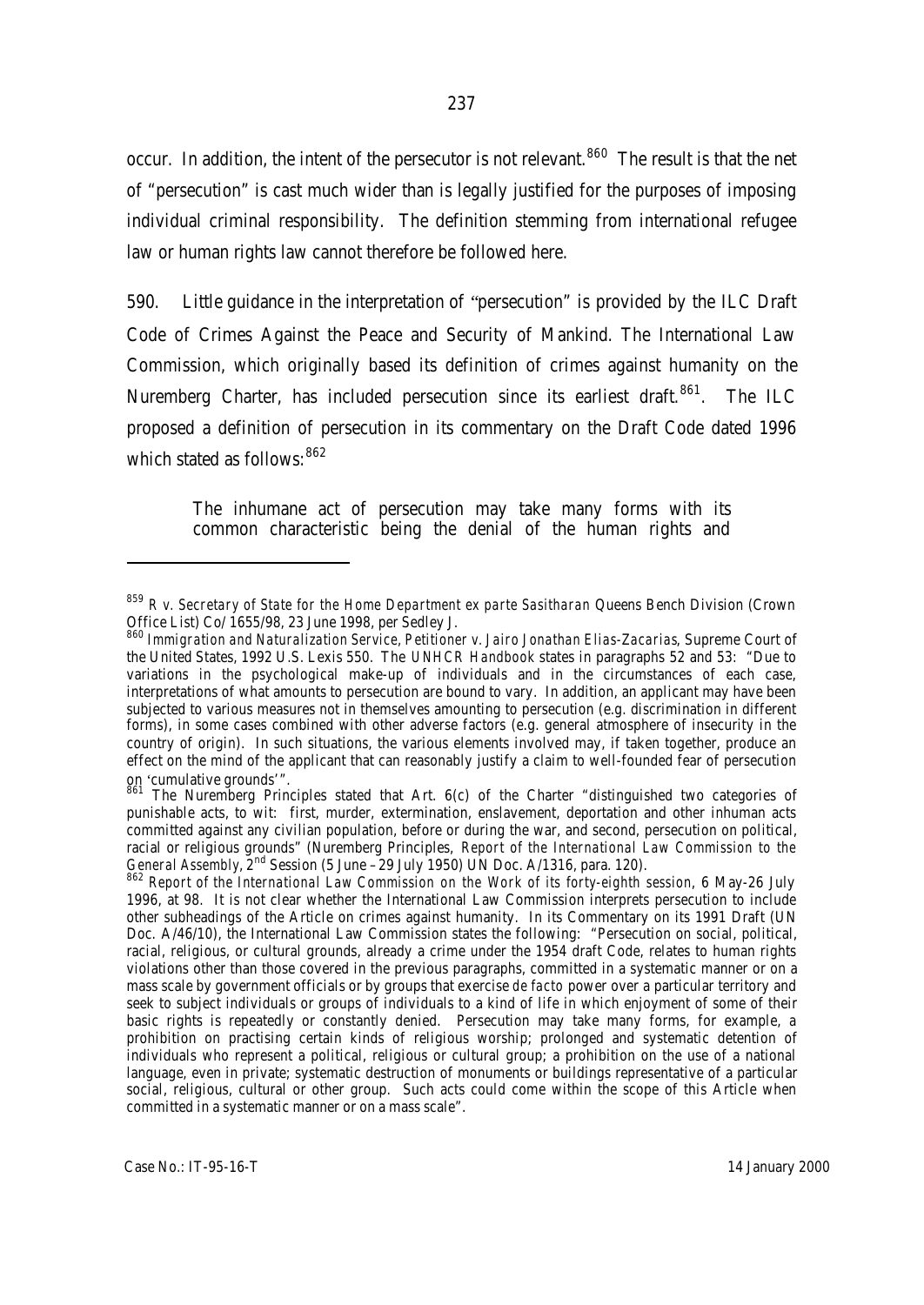occur. In addition, the intent of the persecutor is not relevant.<sup>860</sup> The result is that the net of "persecution" is cast much wider than is legally justified for the purposes of imposing individual criminal responsibility. The definition stemming from international refugee law or human rights law cannot therefore be followed here.

590. Little guidance in the interpretation of "persecution" is provided by the ILC Draft Code of Crimes Against the Peace and Security of Mankind. The International Law Commission, which originally based its definition of crimes against humanity on the Nuremberg Charter, has included persecution since its earliest draft.<sup>861</sup>. The ILC proposed a definition of persecution in its commentary on the Draft Code dated 1996 which stated as follows: 862

The inhumane act of persecution may take many forms with its common characteristic being the denial of the human rights and

j

<sup>859</sup> *R v. Secretary of State for the Home Department ex parte Sasitharan* Queens Bench Division (Crown Office List) Co/ 1655/98, 23 June 1998, per Sedley J.

<sup>860</sup> *Immigration and Naturalization Service, Petitioner v. Jairo Jonathan Elias-Zacarias*, Supreme Court of the United States, 1992 U.S. Lexis 550. The *UNHCR Handbook* states in paragraphs 52 and 53: "Due to variations in the psychological make-up of individuals and in the circumstances of each case, interpretations of what amounts to persecution are bound to vary. In addition, an applicant may have been subjected to various measures not in themselves amounting to persecution (e.g. discrimination in different forms), in some cases combined with other adverse factors (e.g. general atmosphere of insecurity in the country of origin). In such situations, the various elements involved may, if taken together, produce an effect on the mind of the applicant that can reasonably justify a claim to well-founded fear of persecution

on 'cumulative grounds'*"*.<br><sup>861</sup> The Nuremberg Principles stated that Art. 6(c) of the Charter "distinguished two categories of punishable acts, to wit: first, murder, extermination, enslavement, deportation and other inhuman acts committed against any civilian population, before or during the war, and second, persecution on political, racial or religious grounds" (Nuremberg Principles, *Report of the International Law Commission to the General Assembly*, 2nd Session (5 June –29 July 1950) UN Doc. A/1316, para. 120).

<sup>862</sup> *Report of the International Law Commission on the Work of its forty-eighth session*, 6 May-26 July 1996, at 98. It is not clear whether the International Law Commission interprets persecution to include other subheadings of the Article on crimes against humanity. In its Commentary on its 1991 Draft (UN Doc. A/46/10), the International Law Commission states the following: "Persecution on social, political, racial, religious, or cultural grounds, already a crime under the 1954 draft Code, relates to human rights violations other than those covered in the previous paragraphs, committed in a systematic manner or on a mass scale by government officials or by groups that exercise *de facto* power over a particular territory and seek to subject individuals or groups of individuals to a kind of life in which enjoyment of some of their basic rights is repeatedly or constantly denied. Persecution may take many forms, for example, a prohibition on practising certain kinds of religious worship; prolonged and systematic detention of individuals who represent a political, religious or cultural group; a prohibition on the use of a national language, even in private; systematic destruction of monuments or buildings representative of a particular social, religious, cultural or other group. Such acts could come within the scope of this Article when committed in a systematic manner or on a mass scale".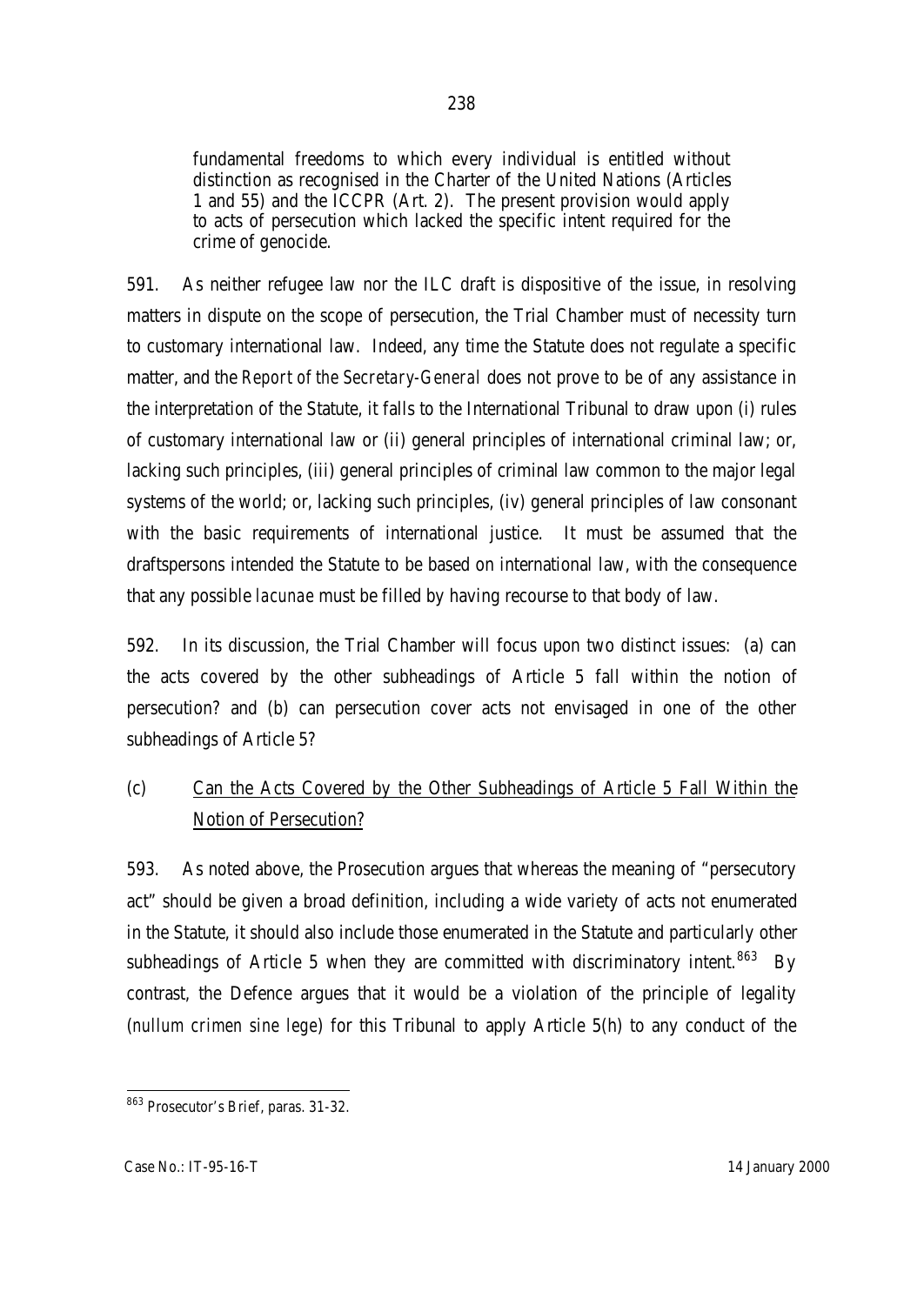fundamental freedoms to which every individual is entitled without distinction as recognised in the Charter of the United Nations (Articles 1 and 55) and the ICCPR (Art. 2). The present provision would apply to acts of persecution which lacked the specific intent required for the crime of genocide.

591. As neither refugee law nor the ILC draft is dispositive of the issue, in resolving matters in dispute on the scope of persecution, the Trial Chamber must of necessity turn to customary international law. Indeed, any time the Statute does not regulate a specific matter, and the *Report of the Secretary-General* does not prove to be of any assistance in the interpretation of the Statute, it falls to the International Tribunal to draw upon (i) rules of customary international law or (ii) general principles of international criminal law; or, lacking such principles, (iii) general principles of criminal law common to the major legal systems of the world; or, lacking such principles, (iv) general principles of law consonant with the basic requirements of international justice. It must be assumed that the draftspersons intended the Statute to be based on international law, with the consequence that any possible *lacunae* must be filled by having recourse to that body of law.

592. In its discussion, the Trial Chamber will focus upon two distinct issues: (a) can the acts covered by the other subheadings of Article 5 fall within the notion of persecution? and (b) can persecution cover acts not envisaged in one of the other subheadings of Article 5?

## (c) Can the Acts Covered by the Other Subheadings of Article 5 Fall Within the Notion of Persecution?

593. As noted above, the Prosecution argues that whereas the meaning of "persecutory act" should be given a broad definition, including a wide variety of acts not enumerated in the Statute, it should also include those enumerated in the Statute and particularly other subheadings of Article 5 when they are committed with discriminatory intent.<sup>863</sup> By contrast, the Defence argues that it would be a violation of the principle of legality (*nullum crimen sine lege*) for this Tribunal to apply Article 5(h) to any conduct of the

 $\overline{a}$ <sup>863</sup> Prosecutor's Brief, paras. 31-32.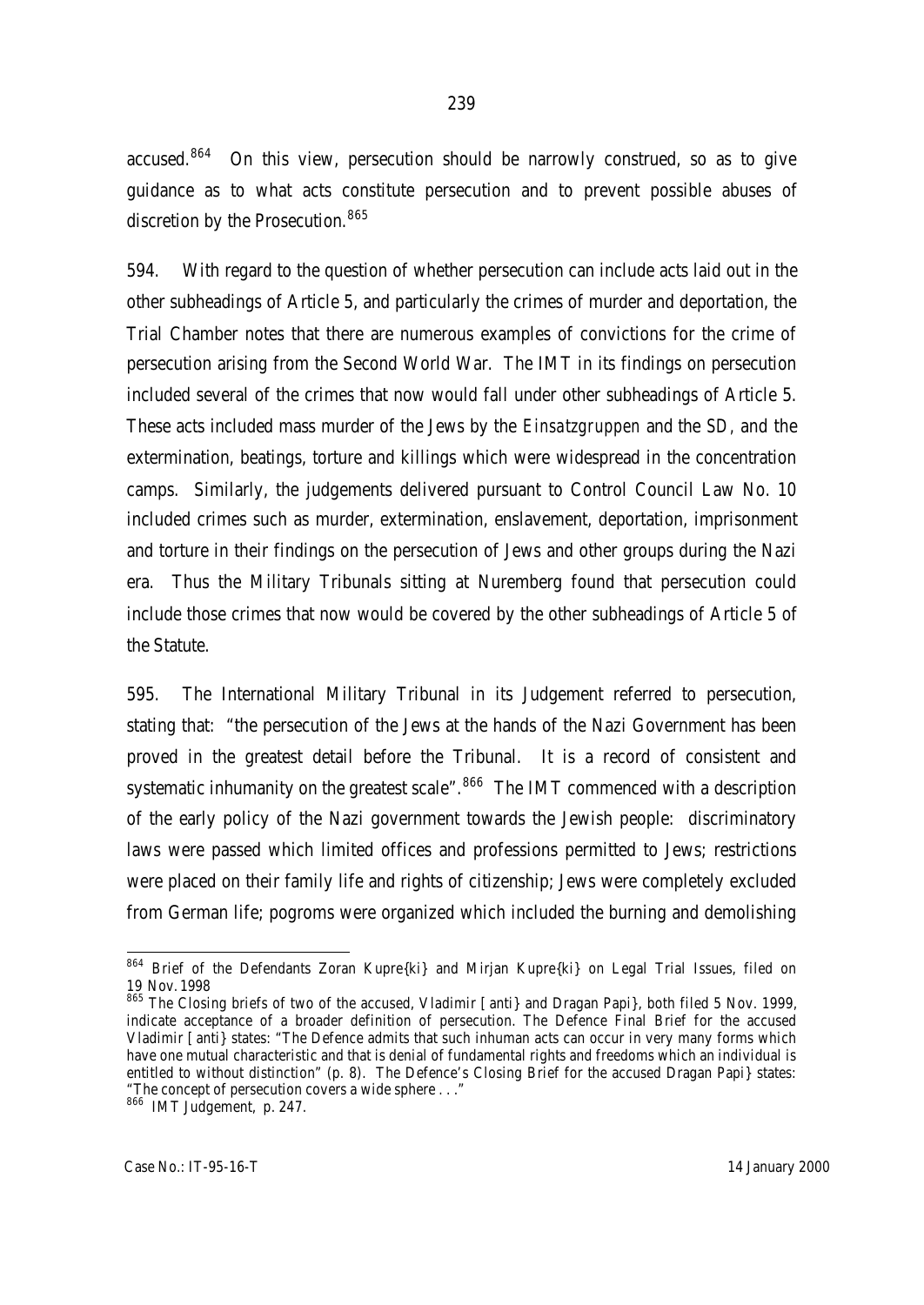accused.<sup>864</sup> On this view, persecution should be narrowly construed, so as to give guidance as to what acts constitute persecution and to prevent possible abuses of discretion by the Prosecution.<sup>865</sup>

594. With regard to the question of whether persecution can include acts laid out in the other subheadings of Article 5, and particularly the crimes of murder and deportation, the Trial Chamber notes that there are numerous examples of convictions for the crime of persecution arising from the Second World War. The IMT in its findings on persecution included several of the crimes that now would fall under other subheadings of Article 5. These acts included mass murder of the Jews by the *Einsatzgruppen* and the *SD,* and the extermination, beatings, torture and killings which were widespread in the concentration camps. Similarly, the judgements delivered pursuant to Control Council Law No. 10 included crimes such as murder, extermination, enslavement, deportation, imprisonment and torture in their findings on the persecution of Jews and other groups during the Nazi era. Thus the Military Tribunals sitting at Nuremberg found that persecution could include those crimes that now would be covered by the other subheadings of Article 5 of the Statute.

595. The International Military Tribunal in its Judgement referred to persecution, stating that: "the persecution of the Jews at the hands of the Nazi Government has been proved in the greatest detail before the Tribunal. It is a record of consistent and systematic inhumanity on the greatest scale".<sup>866</sup> The IMT commenced with a description of the early policy of the Nazi government towards the Jewish people: discriminatory laws were passed which limited offices and professions permitted to Jews; restrictions were placed on their family life and rights of citizenship; Jews were completely excluded from German life; pogroms were organized which included the burning and demolishing

 $\overline{a}$  $864$  Brief of the Defendants Zoran Kupre{ki} and Mirjan Kupre{ki} on Legal Trial Issues, filed on 19 Nov. 1998

<sup>865</sup> The Closing briefs of two of the accused, Vladimir [anti] and Dragan Papi], both filed 5 Nov. 1999, indicate acceptance of a broader definition of persecution. The Defence Final Brief for the accused Vladimir [anti} states: "The Defence admits that such inhuman acts can occur in very many forms which have one mutual characteristic and that is denial of fundamental rights and freedoms which an individual is entitled to without distinction" (p. 8). The Defence's Closing Brief for the accused Dragan Papi} states: "The concept of persecution covers a wide sphere . . ."

<sup>866</sup> IMT Judgement, p. 247.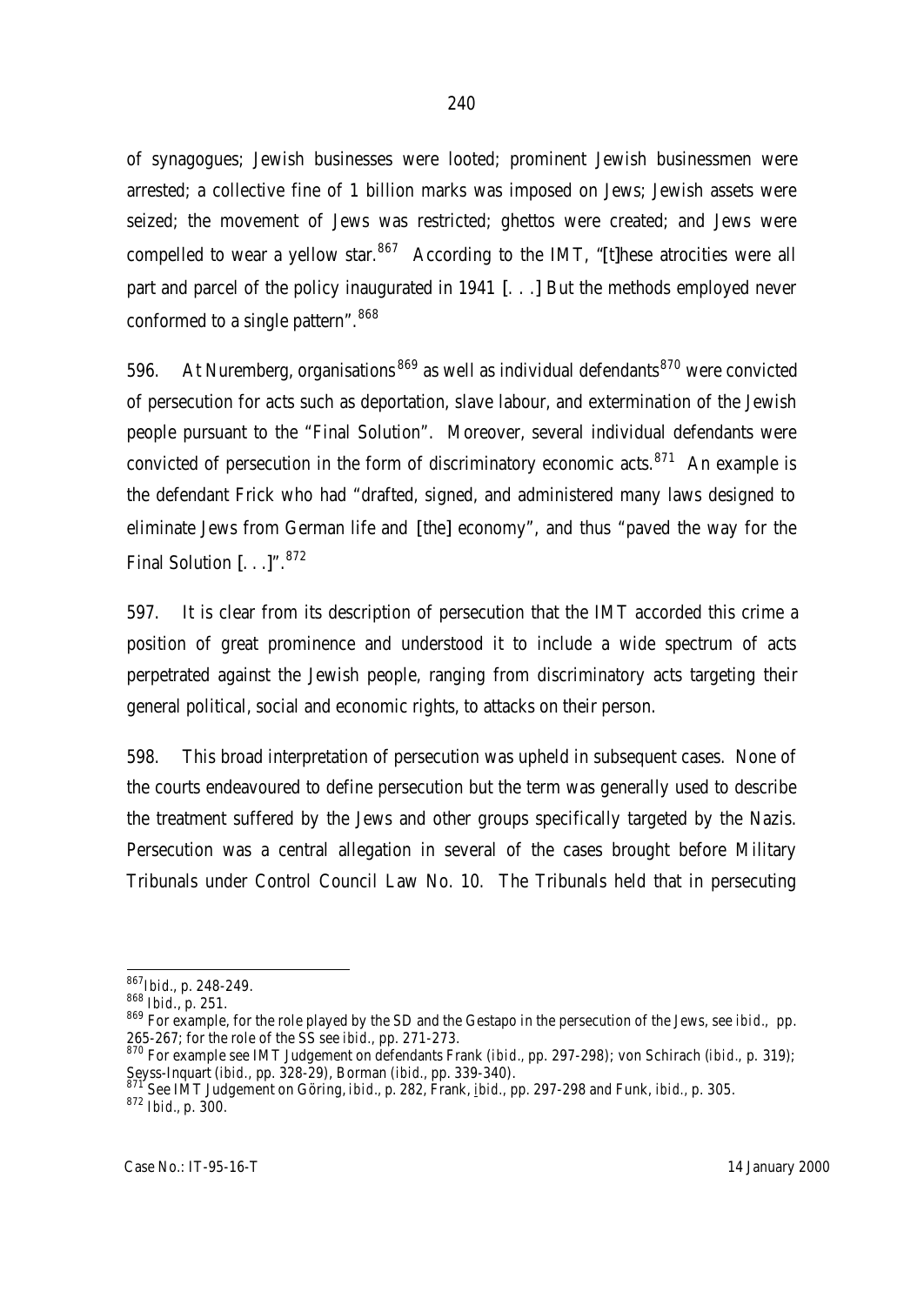of synagogues; Jewish businesses were looted; prominent Jewish businessmen were arrested; a collective fine of 1 billion marks was imposed on Jews; Jewish assets were seized; the movement of Jews was restricted; ghettos were created; and Jews were compelled to wear a yellow star.  $867$  According to the IMT, "[t]hese atrocities were all part and parcel of the policy inaugurated in 1941 [. . .] But the methods employed never conformed to a single pattern".<sup>868</sup>

596. At Nuremberg, organisations  $869$  as well as individual defendants  $870$  were convicted of persecution for acts such as deportation, slave labour, and extermination of the Jewish people pursuant to the "Final Solution". Moreover, several individual defendants were convicted of persecution in the form of discriminatory economic acts. $871$  An example is the defendant Frick who had "drafted, signed, and administered many laws designed to eliminate Jews from German life and [the] economy", and thus "paved the way for the Final Solution [...]".<sup>872</sup>

597. It is clear from its description of persecution that the IMT accorded this crime a position of great prominence and understood it to include a wide spectrum of acts perpetrated against the Jewish people, ranging from discriminatory acts targeting their general political, social and economic rights, to attacks on their person.

598. This broad interpretation of persecution was upheld in subsequent cases. None of the courts endeavoured to define persecution but the term was generally used to describe the treatment suffered by the Jews and other groups specifically targeted by the Nazis. Persecution was a central allegation in several of the cases brought before Military Tribunals under Control Council Law No. 10. The Tribunals held that in persecuting

 $\overline{a}$ <sup>867</sup>*Ibid.*, p. 248-249.

<sup>868</sup> *Ibid*., p. 251.

<sup>869</sup> For example, for the role played by the SD and the Gestapo in the persecution of the Jews, see *ibid.,* pp. 265-267; for the role of the SS see *ibid.,* pp. 271-273.

<sup>870</sup> For example see IMT Judgement on defendants Frank (*ibid.,* pp. 297-298); von Schirach (*ibid.*, p. 319); Seyss-Inquart (*ibid.,* pp. 328-29), Borman *(ibid.,* pp. 339-340).

<sup>871</sup> See IMT Judgement on Göring, *ibid.,* p. 282, Frank, *ibid.,* pp. 297-298 and Funk, *ibid.,* p. 305. <sup>872</sup> *Ibid.,* p. 300.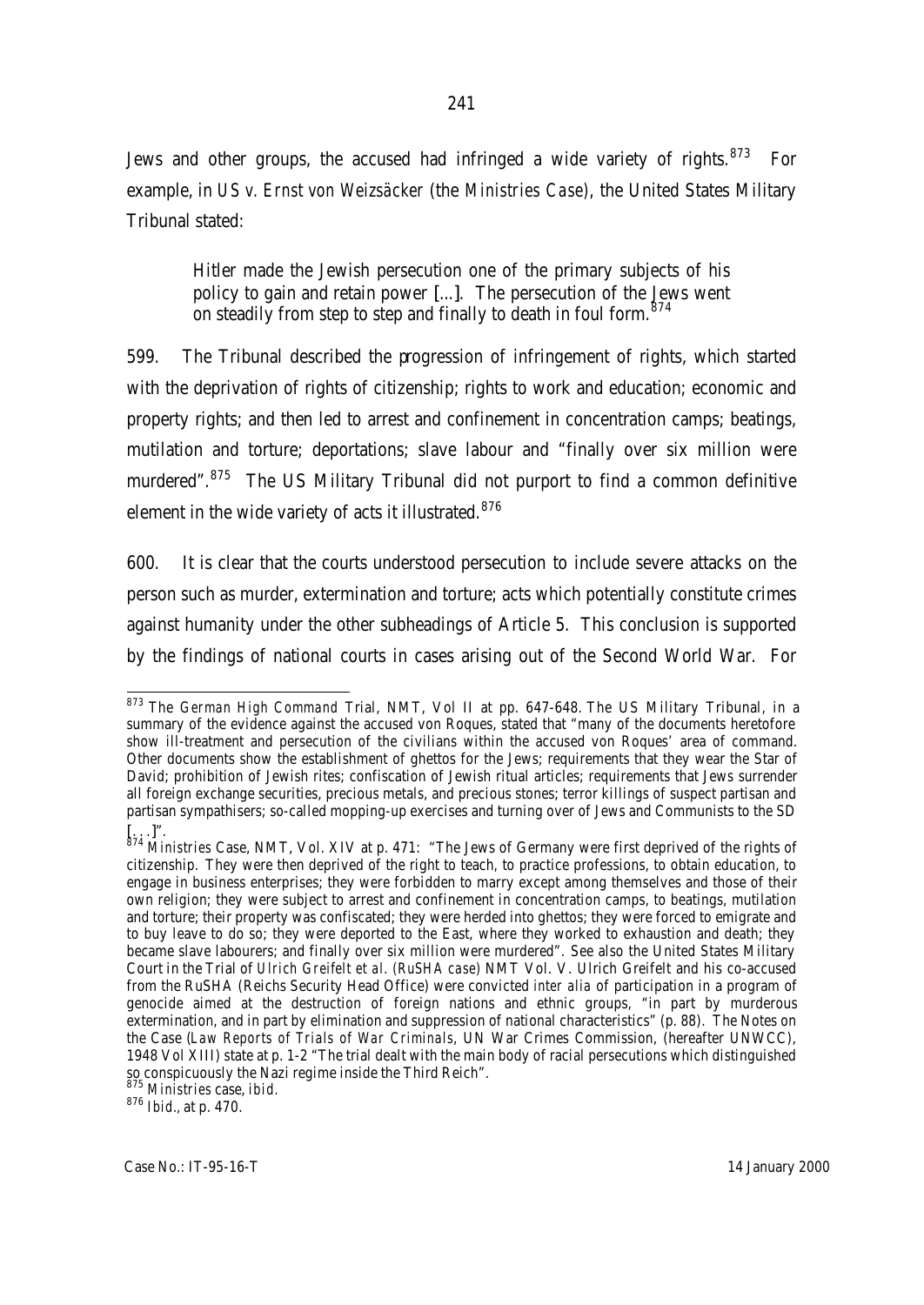Jews and other groups, the accused had infringed a wide variety of rights. $873$  For example, in *US v. Ernst von Weizsäcker* (the *Ministries Case)*, the United States Military Tribunal stated:

241

Hitler made the Jewish persecution one of the primary subjects of his policy to gain and retain power [...]. The persecution of the Jews went on steadily from step to step and finally to death in foul form.<sup>874</sup>

599. The Tribunal described the progression of infringement of rights, which started with the deprivation of rights of citizenship; rights to work and education; economic and property rights; and then led to arrest and confinement in concentration camps; beatings, mutilation and torture; deportations; slave labour and "finally over six million were murdered".<sup>875</sup> The US Military Tribunal did not purport to find a common definitive element in the wide variety of acts it illustrated. 876

600. It is clear that the courts understood persecution to include severe attacks on the person such as murder, extermination and torture; acts which potentially constitute crimes against humanity under the other subheadings of Article 5. This conclusion is supported by the findings of national courts in cases arising out of the Second World War. For

j <sup>873</sup> The *German High Command* Trial, NMT, Vol II at pp. 647-648. The US Military Tribunal, in a summary of the evidence against the accused von Roques, stated that "many of the documents heretofore show ill-treatment and persecution of the civilians within the accused von Roques' area of command. Other documents show the establishment of ghettos for the Jews; requirements that they wear the Star of David; prohibition of Jewish rites; confiscation of Jewish ritual articles; requirements that Jews surrender all foreign exchange securities, precious metals, and precious stones; terror killings of suspect partisan and partisan sympathisers; so-called mopping-up exercises and turning over of Jews and Communists to the SD  $[\, \ldots ]''$ .

<sup>874</sup> *Ministries* Case, NMT, Vol. XIV at p. 471: "The Jews of Germany were first deprived of the rights of citizenship. They were then deprived of the right to teach, to practice professions, to obtain education, to engage in business enterprises; they were forbidden to marry except among themselves and those of their own religion; they were subject to arrest and confinement in concentration camps, to beatings, mutilation and torture; their property was confiscated; they were herded into ghettos; they were forced to emigrate and to buy leave to do so; they were deported to the East, where they worked to exhaustion and death; they became slave labourers; and finally over six million were murdered". See also the United States Military Court in the Trial of *Ulrich Greifelt et al. (RuSHA case)* NMT Vol. V. Ulrich Greifelt and his co-accused from the RuSHA (Reichs Security Head Office) were convicted *inter alia* of participation in a program of genocide aimed at the destruction of foreign nations and ethnic groups, "in part by murderous extermination, and in part by elimination and suppression of national characteristics" (p. 88). The Notes on the Case (*Law Reports of Trials of War Criminals*, UN War Crimes Commission, (hereafter UNWCC), 1948 Vol XIII) state at p. 1-2 "The trial dealt with the main body of racial persecutions which distinguished so conspicuously the Nazi regime inside the Third Reich".

<sup>875</sup> *Ministries* case, *ibid.*

<sup>876</sup> *Ibid.,* at p. 470.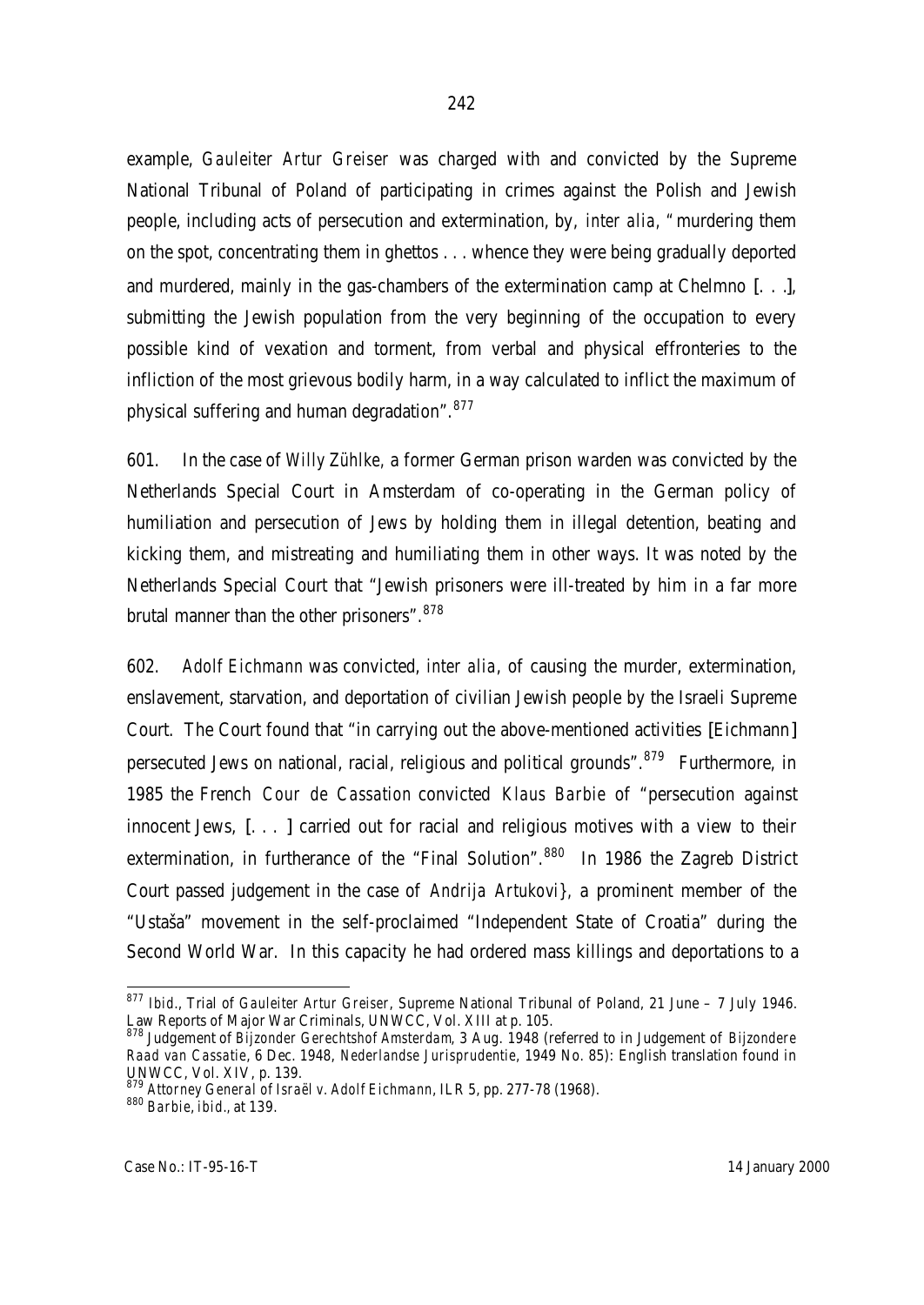example, *Gauleiter Artur Greiser* was charged with and convicted by the Supreme National Tribunal of Poland of participating in crimes against the Polish and Jewish people, including acts of persecution and extermination, by, *inter alia, "*murdering them on the spot, concentrating them in ghettos . . . whence they were being gradually deported and murdered, mainly in the gas-chambers of the extermination camp at Chelmno [. . .], submitting the Jewish population from the very beginning of the occupation to every possible kind of vexation and torment, from verbal and physical effronteries to the infliction of the most grievous bodily harm, in a way calculated to inflict the maximum of physical suffering and human degradation". 877

601. In the case of *Willy Zühlke,* a former German prison warden was convicted by the Netherlands Special Court in Amsterdam of co-operating in the German policy of humiliation and persecution of Jews by holding them in illegal detention, beating and kicking them, and mistreating and humiliating them in other ways. It was noted by the Netherlands Special Court that "Jewish prisoners were ill-treated by him in a far more brutal manner than the other prisoners". <sup>878</sup>

602. *Adolf Eichmann* was convicted, *inter alia*, of causing the murder, extermination, enslavement, starvation, and deportation of civilian Jewish people by the Israeli Supreme Court. The Court found that "in carrying out the above-mentioned activities [Eichmann] persecuted Jews on national, racial, religious and political grounds".<sup>879</sup> Furthermore, in 1985 the French *Cour de Cassation* convicted *Klaus Barbie* of "persecution against innocent Jews, [. . . ] carried out for racial and religious motives with a view to their extermination, in furtherance of the "Final Solution".<sup>880</sup> In 1986 the Zagreb District Court passed judgement in the case of *Andrija Artukovi},* a prominent member of the "Ustaša" movement in the self-proclaimed "Independent State of Croatia" during the Second World War. In this capacity he had ordered mass killings and deportations to a

 $\overline{a}$ <sup>877</sup> *Ibid*., Trial of *Gauleiter Artur Greiser*, Supreme National Tribunal of Poland, 21 June – 7 July 1946. Law Reports of Major War Criminals, UNWCC, Vol. XIII at p. 105.

<sup>878</sup> Judgement of *Bijzonder Gerechtshof Amsterdam*, 3 Aug. 1948 (referred to in Judgement of *Bijzondere Raad van Cassatie*, 6 Dec. 1948, *Nederlandse Jurisprudentie*, 1949 No. 85): English translation found in UNWCC, Vol. XIV, p. 139.

<sup>879</sup> *Attorney General of Israël v. Adolf Eichmann*, ILR 5, pp. 277-78 (1968). <sup>880</sup> *Barbie*, *ibid.,* at 139.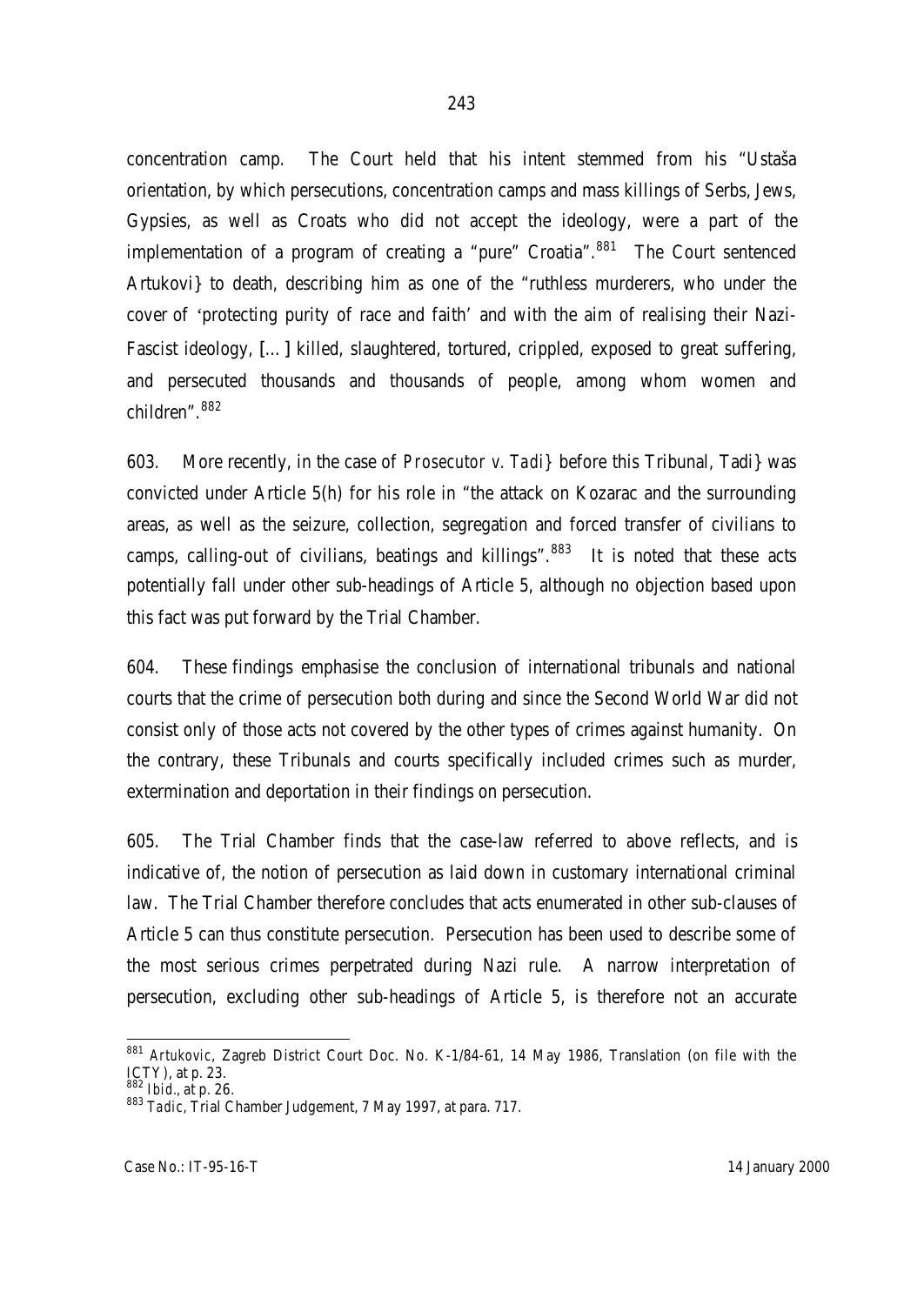concentration camp. The Court held that his intent stemmed from his "Ustaša orientation, by which persecutions, concentration camps and mass killings of Serbs, Jews, Gypsies, as well as Croats who did not accept the ideology, were a part of the implementation of a program of creating a "pure" Croatia". $881$  The Court sentenced Artukovi} to death, describing him as one of the "ruthless murderers, who under the cover of 'protecting purity of race and faith' and with the aim of realising their Nazi-Fascist ideology, […] killed, slaughtered, tortured, crippled, exposed to great suffering, and persecuted thousands and thousands of people, among whom women and children". 882

603. More recently, in the case of *Prosecutor v. Tadi}* before this Tribunal*,* Tadi} was convicted under Article 5(h) for his role in "the attack on Kozarac and the surrounding areas, as well as the seizure, collection, segregation and forced transfer of civilians to camps, calling-out of civilians, beatings and killings".  $883$  It is noted that these acts potentially fall under other sub-headings of Article 5, although no objection based upon this fact was put forward by the Trial Chamber.

604. These findings emphasise the conclusion of international tribunals and national courts that the crime of persecution both during and since the Second World War did not consist only of those acts not covered by the other types of crimes against humanity. On the contrary, these Tribunals and courts specifically included crimes such as murder, extermination and deportation in their findings on persecution.

605. The Trial Chamber finds that the case-law referred to above reflects, and is indicative of, the notion of persecution as laid down in customary international criminal law. The Trial Chamber therefore concludes that acts enumerated in other sub-clauses of Article 5 can thus constitute persecution. Persecution has been used to describe some of the most serious crimes perpetrated during Nazi rule. A narrow interpretation of persecution, excluding other sub-headings of Article 5, is therefore not an accurate

<sup>882</sup> *Ibid.,* at p. 26.

 $\overline{a}$ 

<sup>881</sup> *Artukovic*, Zagreb District Court Doc. No. K-1/84-61, 14 May 1986, Translation (on file with the ICTY), at p. 23.

<sup>883</sup> *Tadic,* Trial Chamber Judgement, 7 May 1997, at para. 717.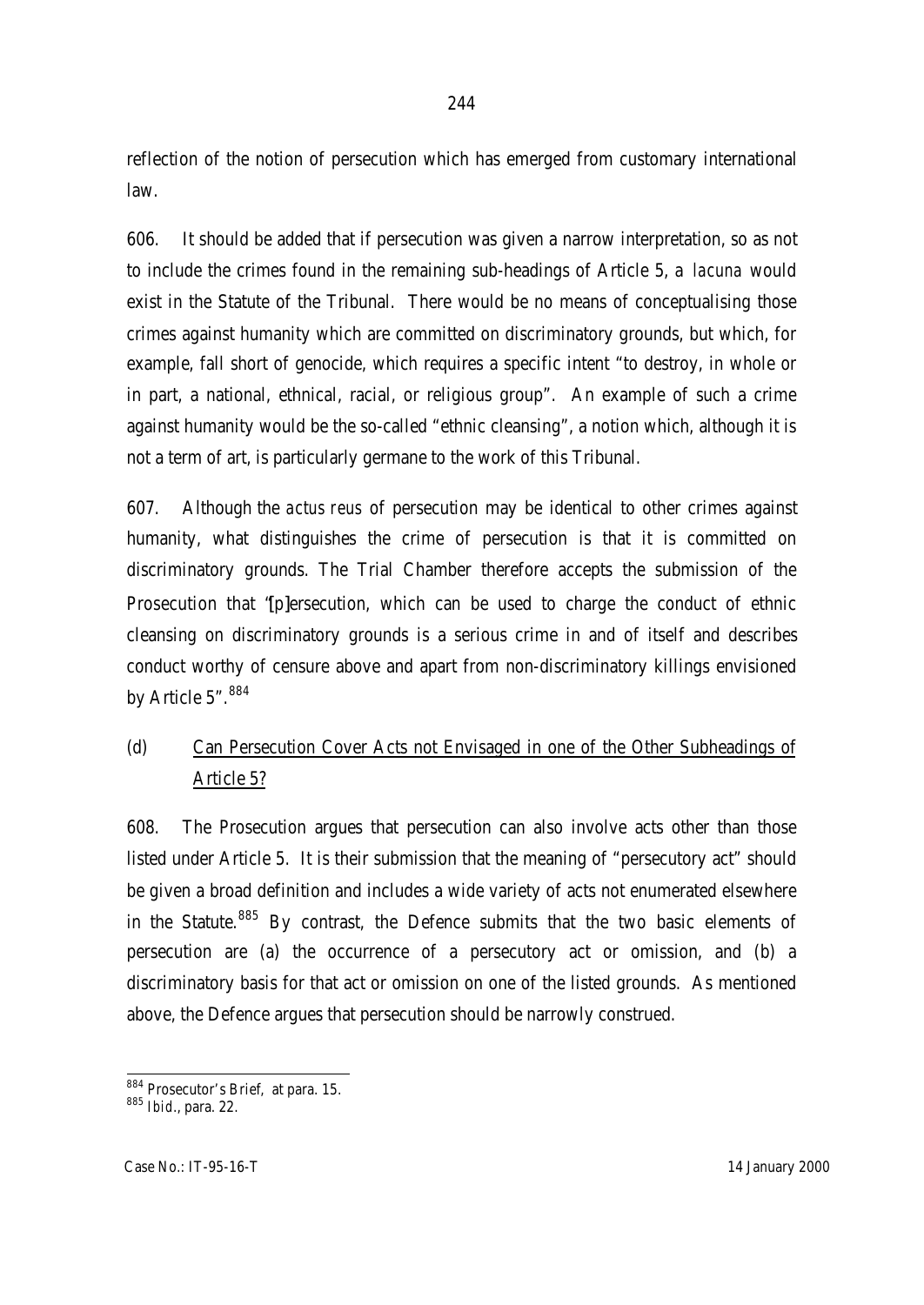reflection of the notion of persecution which has emerged from customary international law.

606. It should be added that if persecution was given a narrow interpretation, so as not to include the crimes found in the remaining sub-headings of Article 5, a *lacuna* would exist in the Statute of the Tribunal. There would be no means of conceptualising those crimes against humanity which are committed on discriminatory grounds, but which, for example, fall short of genocide, which requires a specific intent "to destroy, in whole or in part, a national, ethnical, racial, or religious group". An example of such a crime against humanity would be the so-called "ethnic cleansing", a notion which, although it is not a term of art, is particularly germane to the work of this Tribunal.

607. Although the *actus reus* of persecution may be identical to other crimes against humanity, what distinguishes the crime of persecution is that it is committed on discriminatory grounds. The Trial Chamber therefore accepts the submission of the Prosecution that "[p]ersecution, which can be used to charge the conduct of ethnic cleansing on discriminatory grounds is a serious crime in and of itself and describes conduct worthy of censure above and apart from non-discriminatory killings envisioned by Article 5". 884

# (d) Can Persecution Cover Acts not Envisaged in one of the Other Subheadings of Article 5?

608. The Prosecution argues that persecution can also involve acts other than those listed under Article 5. It is their submission that the meaning of "persecutory act" should be given a broad definition and includes a wide variety of acts not enumerated elsewhere in the Statute. $885$  By contrast, the Defence submits that the two basic elements of persecution are (a) the occurrence of a persecutory act or omission, and (b) a discriminatory basis for that act or omission on one of the listed grounds. As mentioned above, the Defence argues that persecution should be narrowly construed.

 $\overline{\phantom{a}}$ <sup>884</sup> Prosecutor's Brief, at para. 15.

<sup>885</sup> *Ibid*., para. 22.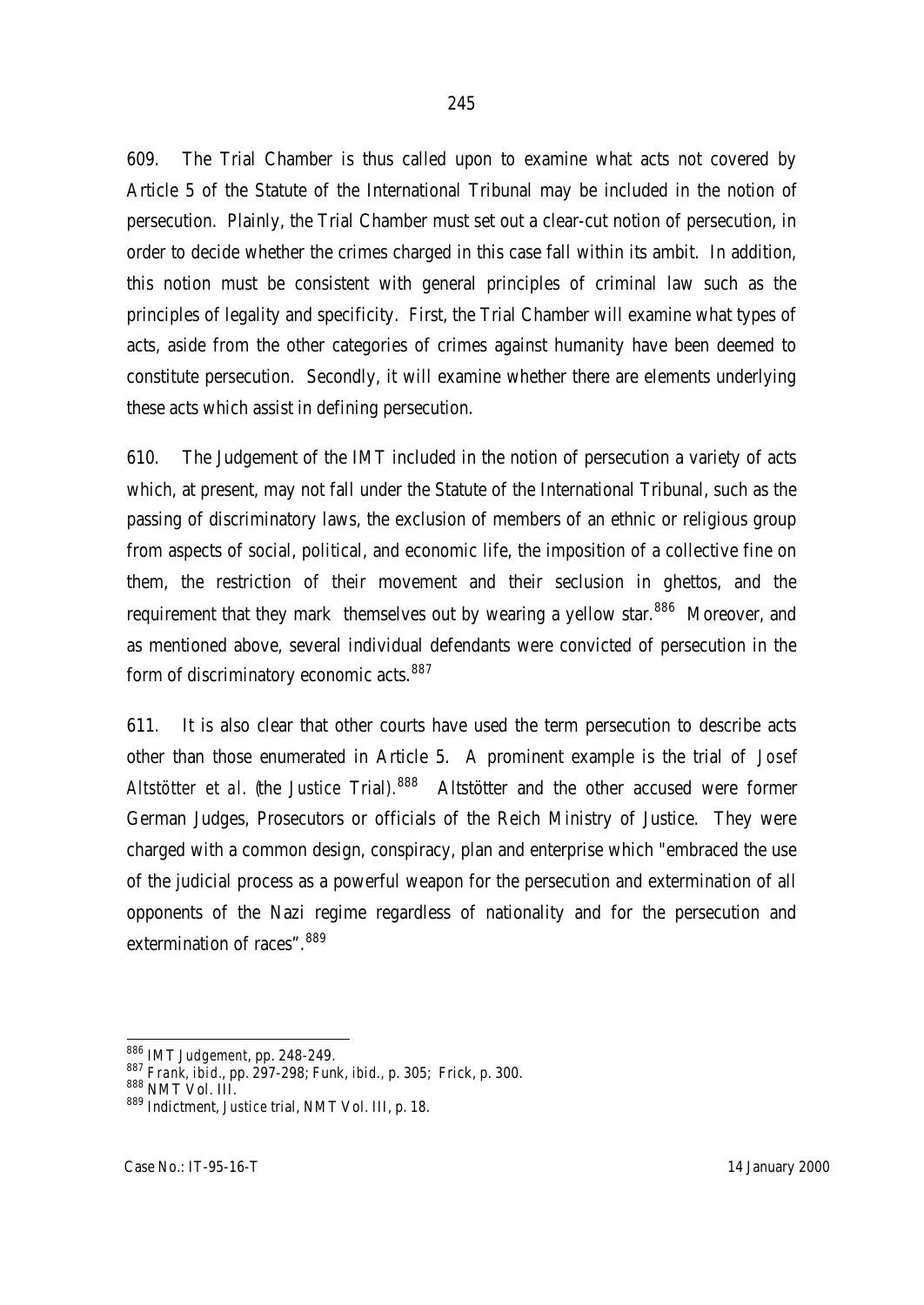245

609. The Trial Chamber is thus called upon to examine what acts not covered by Article 5 of the Statute of the International Tribunal may be included in the notion of persecution. Plainly, the Trial Chamber must set out a clear-cut notion of persecution, in order to decide whether the crimes charged in this case fall within its ambit. In addition, this notion must be consistent with general principles of criminal law such as the principles of legality and specificity. First, the Trial Chamber will examine what types of acts, aside from the other categories of crimes against humanity have been deemed to constitute persecution. Secondly, it will examine whether there are elements underlying these acts which assist in defining persecution.

610. The Judgement of the IMT included in the notion of persecution a variety of acts which, at present, may not fall under the Statute of the International Tribunal, such as the passing of discriminatory laws, the exclusion of members of an ethnic or religious group from aspects of social, political, and economic life, the imposition of a collective fine on them, the restriction of their movement and their seclusion in ghettos, and the requirement that they mark themselves out by wearing a yellow star.<sup>886</sup> Moreover, and as mentioned above, several individual defendants were convicted of persecution in the form of discriminatory economic acts.<sup>887</sup>

611. It is also clear that other courts have used the term persecution to describe acts other than those enumerated in Article 5. A prominent example is the trial of *Josef Altstötter et al. (*the *Justice* Trial*).*<sup>888</sup> Altstötter and the other accused were former German Judges, Prosecutors or officials of the Reich Ministry of Justice. They were charged with a common design, conspiracy, plan and enterprise which "embraced the use of the judicial process as a powerful weapon for the persecution and extermination of all opponents of the Nazi regime regardless of nationality and for the persecution and extermination of races". 889

 $\overline{a}$ <sup>886</sup> IMT *Judgement*, pp. 248-249.

<sup>887</sup> *Frank, ibid.*, pp. 297-298; Funk, *ibid.,* p. 305; Frick, p. 300.

<sup>888</sup> NMT Vol. III.

<sup>889</sup> Indictment, *Justice* trial, NMT Vol. III, p. 18.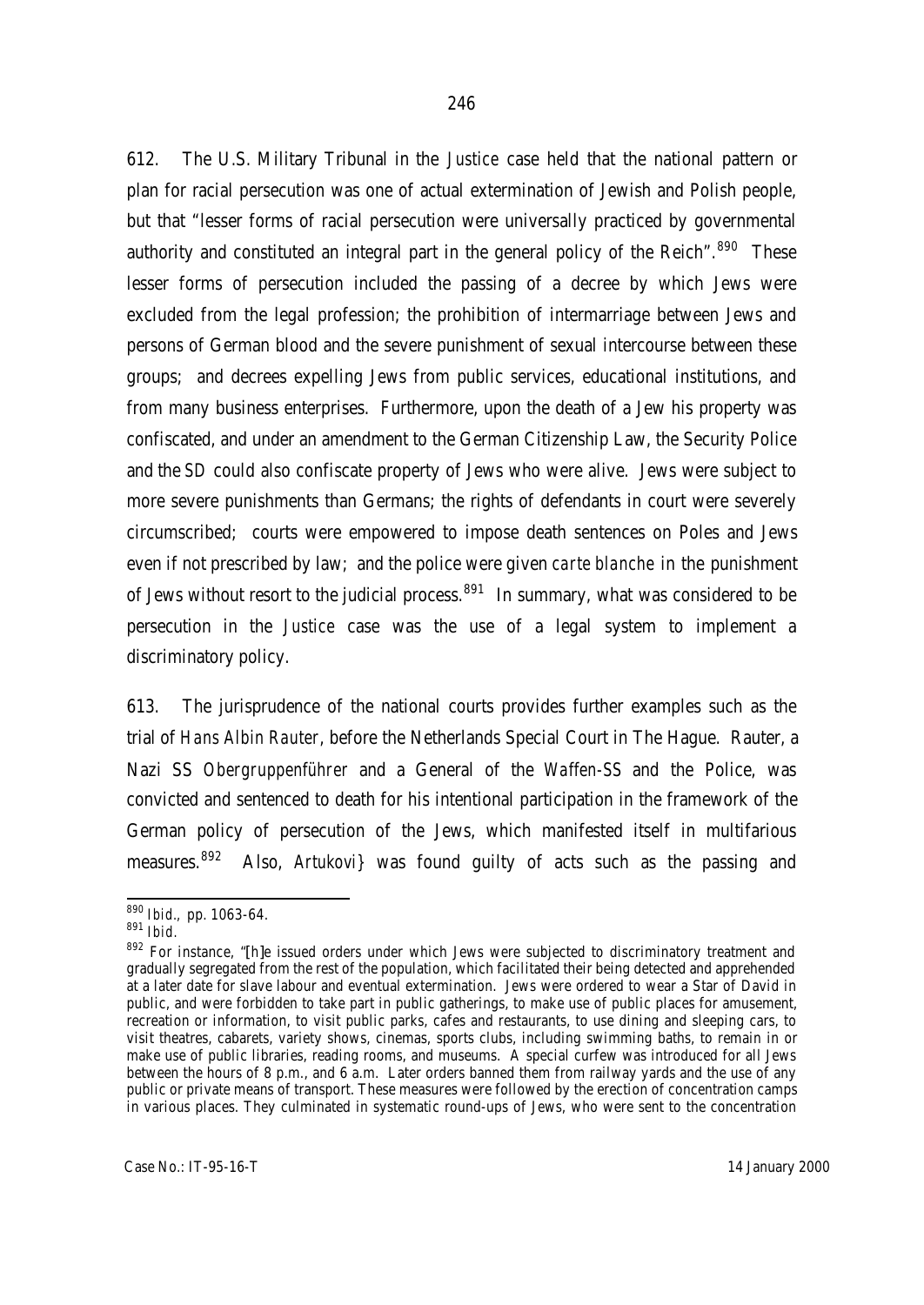612. The U.S. Military Tribunal in the *Justice* case held that the national pattern or plan for racial persecution was one of actual extermination of Jewish and Polish people, but that "lesser forms of racial persecution were universally practiced by governmental authority and constituted an integral part in the general policy of the Reich".<sup>890</sup> These lesser forms of persecution included the passing of a decree by which Jews were excluded from the legal profession; the prohibition of intermarriage between Jews and persons of German blood and the severe punishment of sexual intercourse between these groups; and decrees expelling Jews from public services, educational institutions, and from many business enterprises. Furthermore, upon the death of a Jew his property was confiscated, and under an amendment to the German Citizenship Law, the Security Police and the *SD* could also confiscate property of Jews who were alive. Jews were subject to more severe punishments than Germans; the rights of defendants in court were severely circumscribed; courts were empowered to impose death sentences on Poles and Jews even if not prescribed by law; and the police were given *carte blanche* in the punishment of Jews without resort to the judicial process.  $891$  In summary, what was considered to be persecution in the *Justice* case was the use of a legal system to implement a discriminatory policy.

613. The jurisprudence of the national courts provides further examples such as the trial of *Hans Albin Rauter*, before the Netherlands Special Court in The Hague. Rauter, a Nazi SS *Obergruppenführer* and a General of the *Waffen-SS* and the Police, was convicted and sentenced to death for his intentional participation in the framework of the German policy of persecution of the Jews, which manifested itself in multifarious measures.<sup>892</sup> Also, *Artukovi}* was found guilty of acts such as the passing and

 $\overline{a}$ 

<sup>890</sup> *Ibid.,* pp. 1063-64.

<sup>891</sup> *Ibid.*

<sup>892</sup> For instance, "[h]e issued orders under which Jews were subjected to discriminatory treatment and gradually segregated from the rest of the population, which facilitated their being detected and apprehended at a later date for slave labour and eventual extermination. Jews were ordered to wear a Star of David in public, and were forbidden to take part in public gatherings, to make use of public places for amusement, recreation or information, to visit public parks, cafes and restaurants, to use dining and sleeping cars, to visit theatres, cabarets, variety shows, cinemas, sports clubs, including swimming baths, to remain in or make use of public libraries, reading rooms, and museums. A special curfew was introduced for all Jews between the hours of 8 p.m., and 6 a.m. Later orders banned them from railway yards and the use of any public or private means of transport. These measures were followed by the erection of concentration camps in various places. They culminated in systematic round-ups of Jews, who were sent to the concentration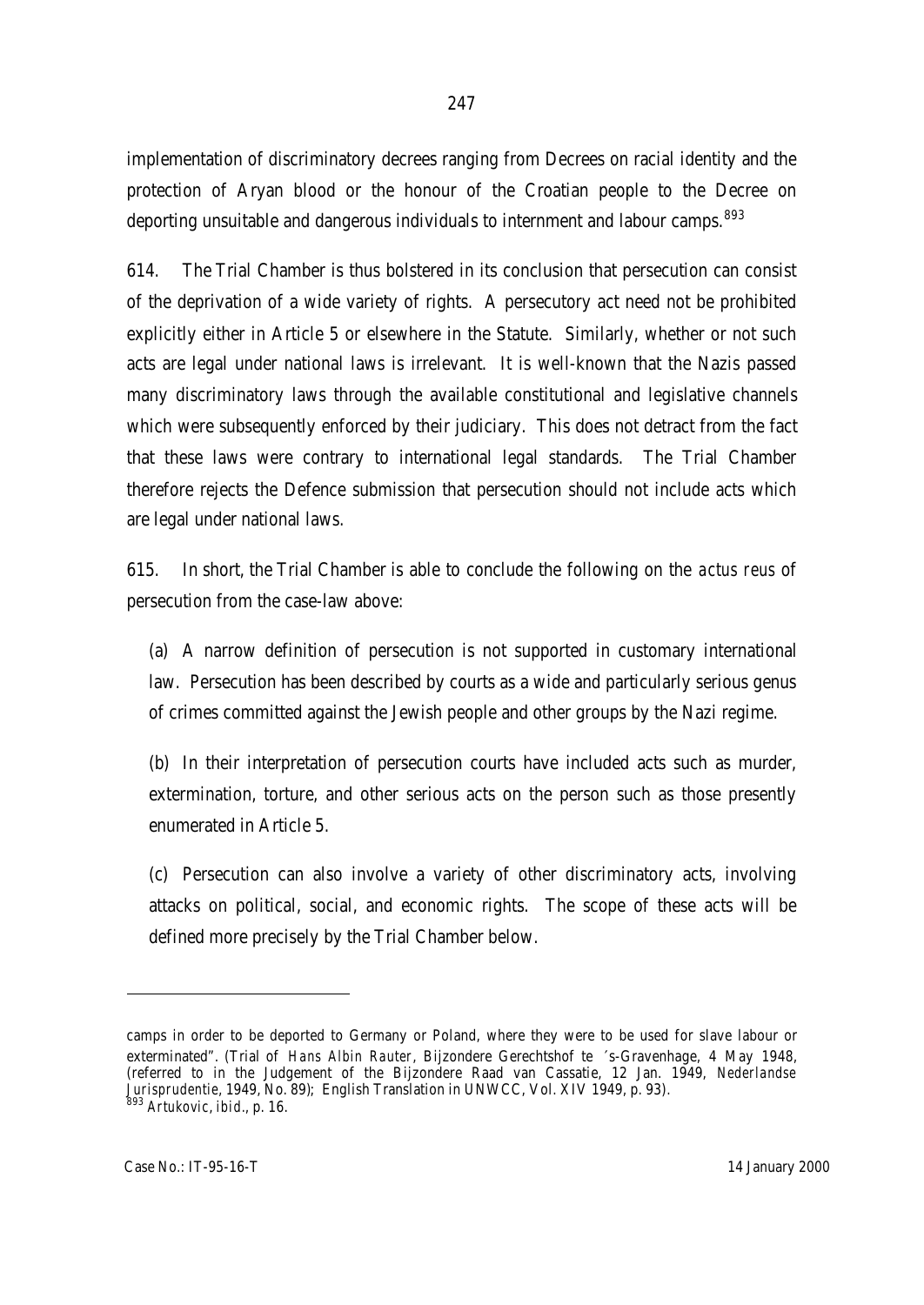implementation of discriminatory decrees ranging from Decrees on racial identity and the protection of Aryan blood or the honour of the Croatian people to the Decree on deporting unsuitable and dangerous individuals to internment and labour camps.<sup>893</sup>

614. The Trial Chamber is thus bolstered in its conclusion that persecution can consist of the deprivation of a wide variety of rights. A persecutory act need not be prohibited explicitly either in Article 5 or elsewhere in the Statute. Similarly, whether or not such acts are legal under national laws is irrelevant. It is well-known that the Nazis passed many discriminatory laws through the available constitutional and legislative channels which were subsequently enforced by their judiciary. This does not detract from the fact that these laws were contrary to international legal standards. The Trial Chamber therefore rejects the Defence submission that persecution should not include acts which are legal under national laws.

615. In short, the Trial Chamber is able to conclude the following on the *actus reus* of persecution from the case-law above:

(a) A narrow definition of persecution is not supported in customary international law. Persecution has been described by courts as a wide and particularly serious genus of crimes committed against the Jewish people and other groups by the Nazi regime.

(b) In their interpretation of persecution courts have included acts such as murder, extermination, torture, and other serious acts on the person such as those presently enumerated in Article 5.

(c) Persecution can also involve a variety of other discriminatory acts, involving attacks on political, social, and economic rights. The scope of these acts will be defined more precisely by the Trial Chamber below.

camps in order to be deported to Germany or Poland, where they were to be used for slave labour or exterminated". (Trial of *Hans Albin Rauter*, Bijzondere Gerechtshof te ′s-Gravenhage, 4 May 1948, (referred to in the Judgement of the Bijzondere Raad van Cassatie, 12 Jan. 1949, *Nederlandse Jurisprudentie*, 1949, No. 89); English Translation in UNWCC, Vol. XIV 1949, p. 93). <sup>893</sup> *Artukovic*, *ibid.*, p. 16.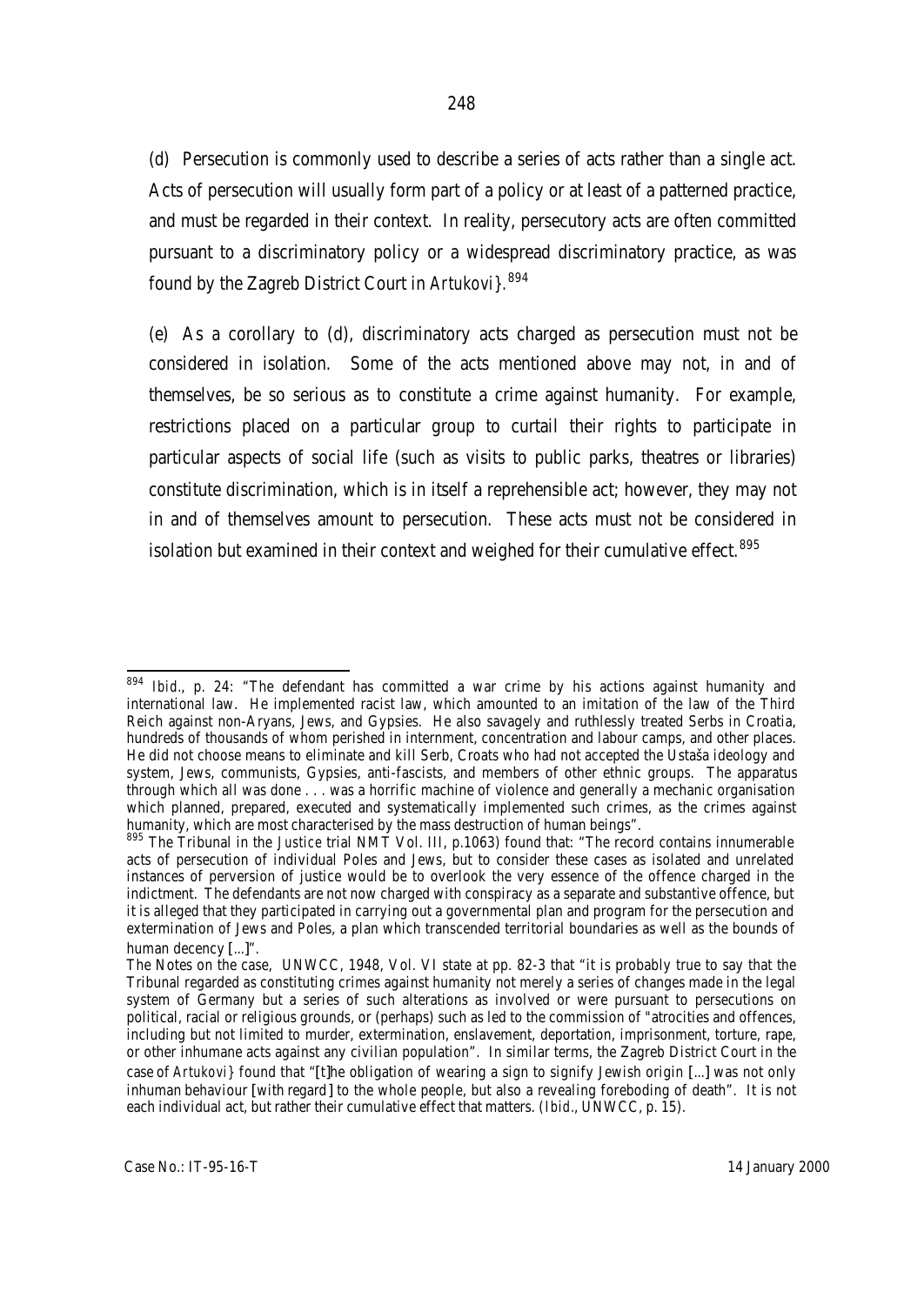(d) Persecution is commonly used to describe a series of acts rather than a single act. Acts of persecution will usually form part of a policy or at least of a patterned practice, and must be regarded in their context. In reality, persecutory acts are often committed pursuant to a discriminatory policy or a widespread discriminatory practice, as was found by the Zagreb District Court in *Artukovi}.*<sup>894</sup>

(e) As a corollary to (d), discriminatory acts charged as persecution must not be considered in isolation. Some of the acts mentioned above may not, in and of themselves, be so serious as to constitute a crime against humanity. For example, restrictions placed on a particular group to curtail their rights to participate in particular aspects of social life (such as visits to public parks, theatres or libraries) constitute discrimination, which is in itself a reprehensible act; however, they may not in and of themselves amount to persecution. These acts must not be considered in isolation but examined in their context and weighed for their cumulative effect.<sup>895</sup>

j

<sup>&</sup>lt;sup>894</sup> *Ibid.*, p. 24: "The defendant has committed a war crime by his actions against humanity and international law. He implemented racist law, which amounted to an imitation of the law of the Third Reich against non-Aryans, Jews, and Gypsies. He also savagely and ruthlessly treated Serbs in Croatia, hundreds of thousands of whom perished in internment, concentration and labour camps, and other places. He did not choose means to eliminate and kill Serb, Croats who had not accepted the Ustaša ideology and system, Jews, communists, Gypsies, anti-fascists, and members of other ethnic groups. The apparatus through which all was done . . . was a horrific machine of violence and generally a mechanic organisation which planned, prepared, executed and systematically implemented such crimes, as the crimes against humanity, which are most characterised by the mass destruction of human beings".

<sup>895</sup> The Tribunal in the *Justice* trial NMT Vol. III, p.1063) found that: "The record contains innumerable acts of persecution of individual Poles and Jews, but to consider these cases as isolated and unrelated instances of perversion of justice would be to overlook the very essence of the offence charged in the indictment. The defendants are not now charged with conspiracy as a separate and substantive offence, but it is alleged that they participated in carrying out a governmental plan and program for the persecution and extermination of Jews and Poles, a plan which transcended territorial boundaries as well as the bounds of human decency [...]".

The Notes on the case, UNWCC, 1948, Vol. VI state at pp. 82-3 that "it is probably true to say that the Tribunal regarded as constituting crimes against humanity not merely a series of changes made in the legal system of Germany but a series of such alterations as involved or were pursuant to persecutions on political, racial or religious grounds, or (perhaps) such as led to the commission of "atrocities and offences, including but not limited to murder, extermination, enslavement, deportation, imprisonment, torture, rape, or other inhumane acts against any civilian population". In similar terms, the Zagreb District Court in the case of *Artukovi}* found that "[t]he obligation of wearing a sign to signify Jewish origin [...] was not only inhuman behaviour [with regard] to the whole people, but also a revealing foreboding of death". It is not each individual act, but rather their cumulative effect that matters. (*Ibid.*, UNWCC, p. 15).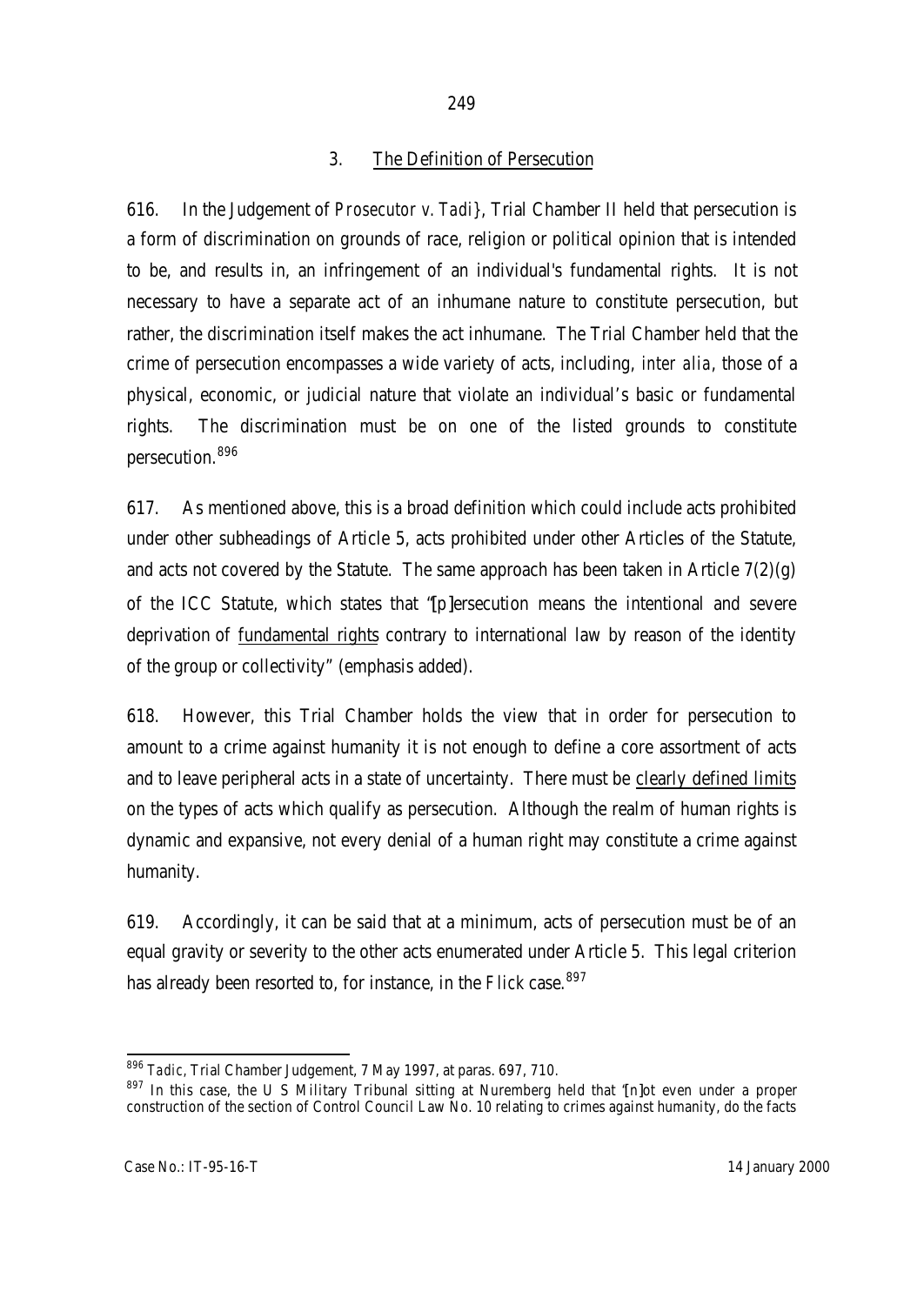### 3. The Definition of Persecution

616. In the Judgement of *Prosecutor v. Tadi}*, Trial Chamber II held that persecution is a form of discrimination on grounds of race, religion or political opinion that is intended to be, and results in, an infringement of an individual's fundamental rights. It is not necessary to have a separate act of an inhumane nature to constitute persecution, but rather, the discrimination itself makes the act inhumane. The Trial Chamber held that the crime of persecution encompasses a wide variety of acts, including, *inter alia*, those of a physical, economic, or judicial nature that violate an individual's basic or fundamental rights. The discrimination must be on one of the listed grounds to constitute persecution.<sup>896</sup>

617. As mentioned above, this is a broad definition which could include acts prohibited under other subheadings of Article 5, acts prohibited under other Articles of the Statute, and acts not covered by the Statute. The same approach has been taken in Article 7(2)(g) of the ICC Statute, which states that "[p]ersecution means the intentional and severe deprivation of fundamental rights contrary to international law by reason of the identity of the group or collectivity" (emphasis added).

618. However, this Trial Chamber holds the view that in order for persecution to amount to a crime against humanity it is not enough to define a core assortment of acts and to leave peripheral acts in a state of uncertainty. There must be clearly defined limits on the types of acts which qualify as persecution. Although the realm of human rights is dynamic and expansive, not every denial of a human right may constitute a crime against humanity.

619. Accordingly, it can be said that at a minimum, acts of persecution must be of an equal gravity or severity to the other acts enumerated under Article 5. This legal criterion has already been resorted to, for instance, in the *Flick* case.<sup>897</sup>

 $\overline{a}$ 

<sup>896</sup> *Tadic,* Trial Chamber Judgement, 7 May 1997, at paras. 697, 710.

 $897$  In this case, the U S Military Tribunal sitting at Nuremberg held that '[n]ot even under a proper construction of the section of Control Council Law No. 10 relating to crimes against humanity, do the facts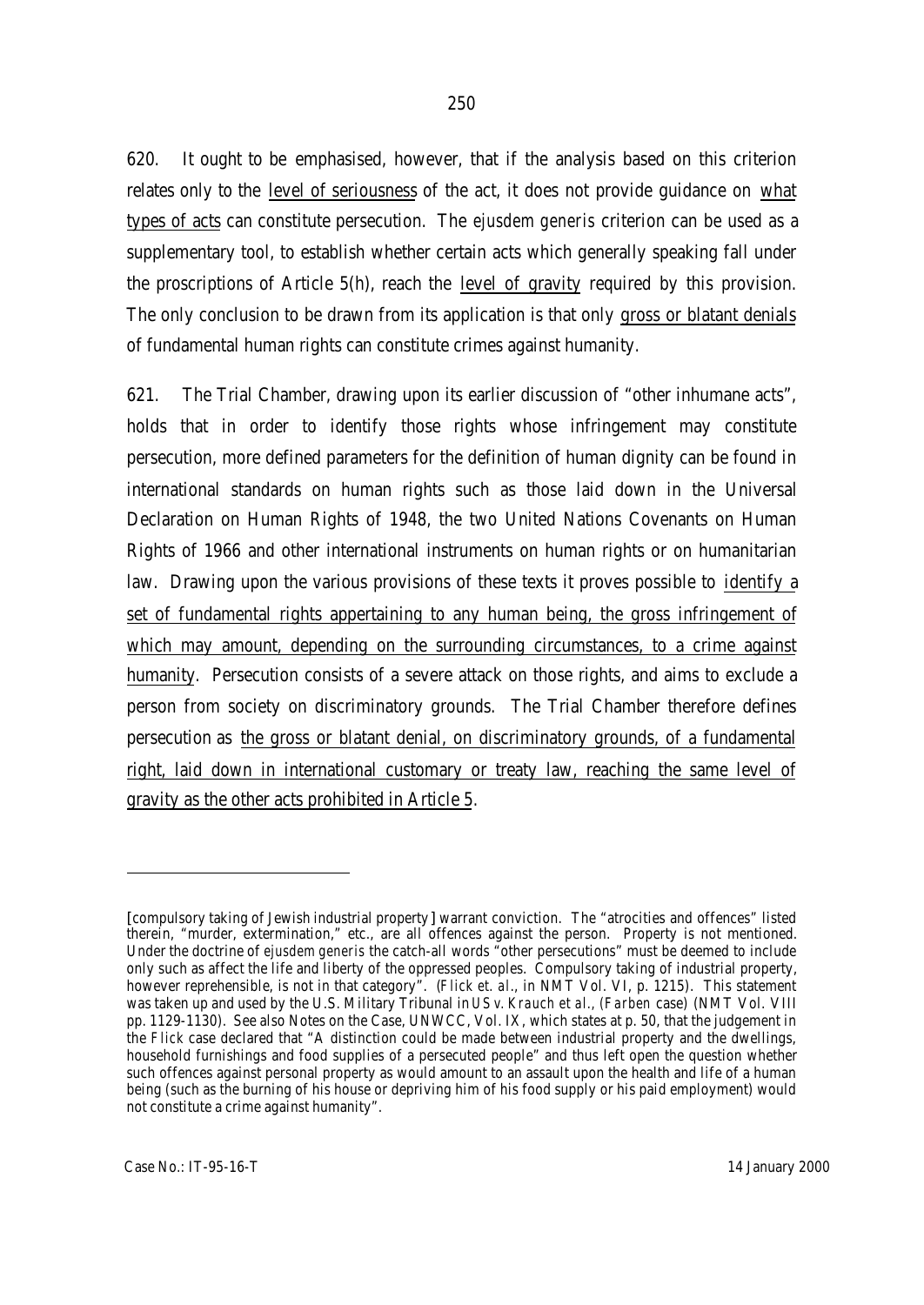620. It ought to be emphasised, however, that if the analysis based on this criterion relates only to the level of seriousness of the act, it does not provide guidance on what types of acts can constitute persecution. The *ejusdem generis* criterion can be used as a supplementary tool, to establish whether certain acts which generally speaking fall under the proscriptions of Article 5(h), reach the level of gravity required by this provision. The only conclusion to be drawn from its application is that only gross or blatant denials of fundamental human rights can constitute crimes against humanity.

621. The Trial Chamber, drawing upon its earlier discussion of "other inhumane acts", holds that in order to identify those rights whose infringement may constitute persecution, more defined parameters for the definition of human dignity can be found in international standards on human rights such as those laid down in the Universal Declaration on Human Rights of 1948, the two United Nations Covenants on Human Rights of 1966 and other international instruments on human rights or on humanitarian law. Drawing upon the various provisions of these texts it proves possible to identify a set of fundamental rights appertaining to any human being, the gross infringement of which may amount, depending on the surrounding circumstances, to a crime against humanity. Persecution consists of a severe attack on those rights, and aims to exclude a person from society on discriminatory grounds. The Trial Chamber therefore defines persecution as the gross or blatant denial, on discriminatory grounds, of a fundamental right, laid down in international customary or treaty law, reaching the same level of gravity as the other acts prohibited in Article 5.

<sup>[</sup>compulsory taking of Jewish industrial property] warrant conviction. The "atrocities and offences" listed therein, "murder, extermination," etc., are all offences against the person. Property is not mentioned. Under the doctrine of *ejusdem generis* the catch-all words "other persecutions" must be deemed to include only such as affect the life and liberty of the oppressed peoples. Compulsory taking of industrial property, however reprehensible, is not in that category". (*Flick et. al*., in NMT Vol. VI, p. 1215). This statement was taken up and used by the U.S. Military Tribunal in *US v. Krauch et al., (Farben* case) (NMT Vol. VIII pp. 1129-1130). See also Notes on the Case, UNWCC, Vol. IX, which states at p. 50, that the judgement in the *Flick* case declared that "A distinction could be made between industrial property and the dwellings, household furnishings and food supplies of a persecuted people" and thus left open the question whether such offences against personal property as would amount to an assault upon the health and life of a human being (such as the burning of his house or depriving him of his food supply or his paid employment) would not constitute a crime against humanity".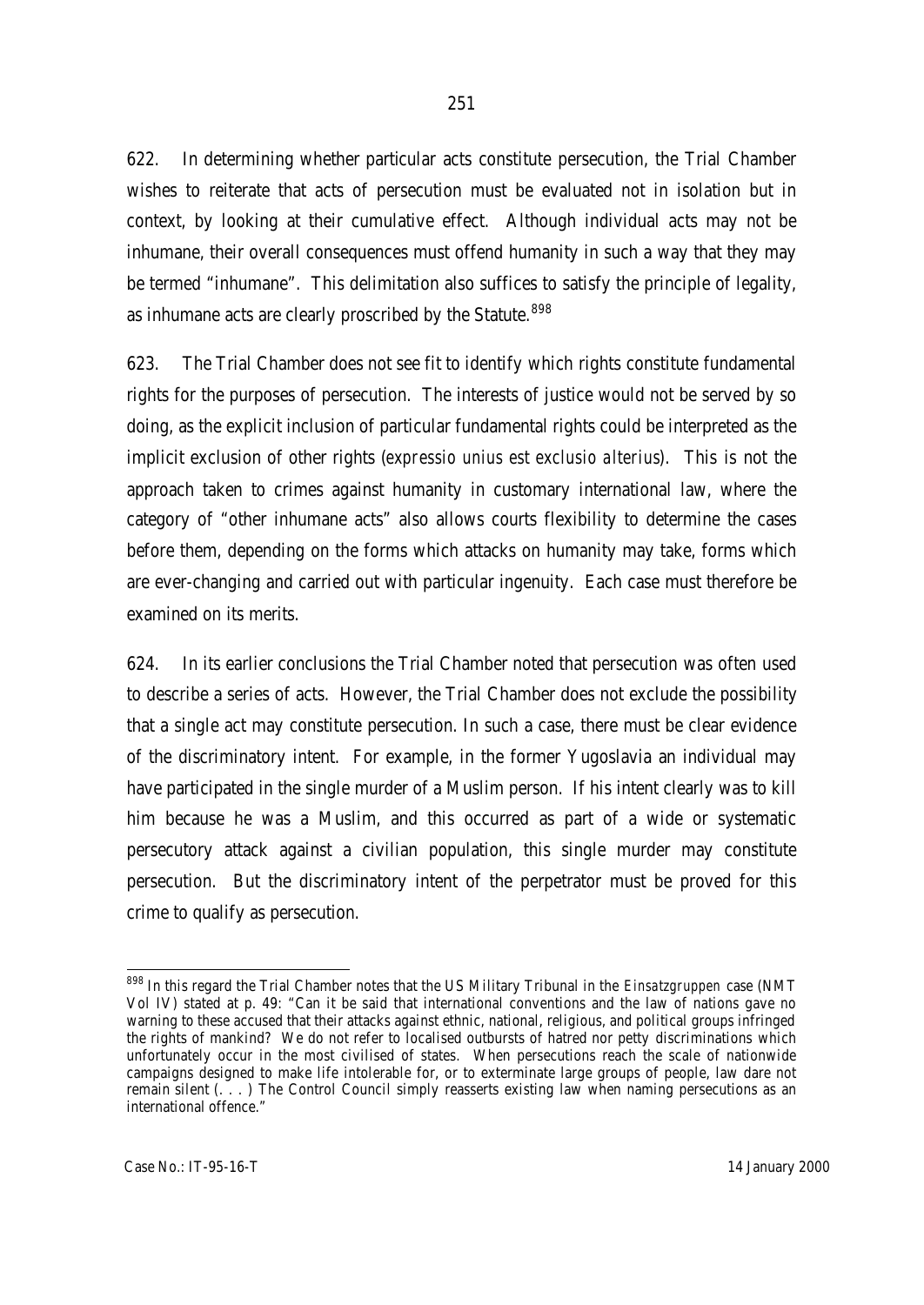622. In determining whether particular acts constitute persecution, the Trial Chamber wishes to reiterate that acts of persecution must be evaluated not in isolation but in context, by looking at their cumulative effect. Although individual acts may not be inhumane, their overall consequences must offend humanity in such a way that they may be termed "inhumane". This delimitation also suffices to satisfy the principle of legality, as inhumane acts are clearly proscribed by the Statute.<sup>898</sup>

623. The Trial Chamber does not see fit to identify which rights constitute fundamental rights for the purposes of persecution. The interests of justice would not be served by so doing, as the explicit inclusion of particular fundamental rights could be interpreted as the implicit exclusion of other rights (*expressio unius est exclusio alterius*). This is not the approach taken to crimes against humanity in customary international law, where the category of "other inhumane acts" also allows courts flexibility to determine the cases before them, depending on the forms which attacks on humanity may take, forms which are ever-changing and carried out with particular ingenuity. Each case must therefore be examined on its merits.

624. In its earlier conclusions the Trial Chamber noted that persecution was often used to describe a series of acts. However, the Trial Chamber does not exclude the possibility that a single act may constitute persecution. In such a case, there must be clear evidence of the discriminatory intent. For example, in the former Yugoslavia an individual may have participated in the single murder of a Muslim person. If his intent clearly was to kill him because he was a Muslim, and this occurred as part of a wide or systematic persecutory attack against a civilian population, this single murder may constitute persecution. But the discriminatory intent of the perpetrator must be proved for this crime to qualify as persecution.

 $\overline{a}$ <sup>898</sup> In this regard the Trial Chamber notes that the US Military Tribunal in the *Einsatzgruppen* case (NMT Vol IV) stated at p. 49: "Can it be said that international conventions and the law of nations gave no warning to these accused that their attacks against ethnic, national, religious, and political groups infringed the rights of mankind? We do not refer to localised outbursts of hatred nor petty discriminations which unfortunately occur in the most civilised of states. When persecutions reach the scale of nationwide campaigns designed to make life intolerable for, or to exterminate large groups of people, law dare not remain silent (....) The Control Council simply reasserts existing law when naming persecutions as an international offence."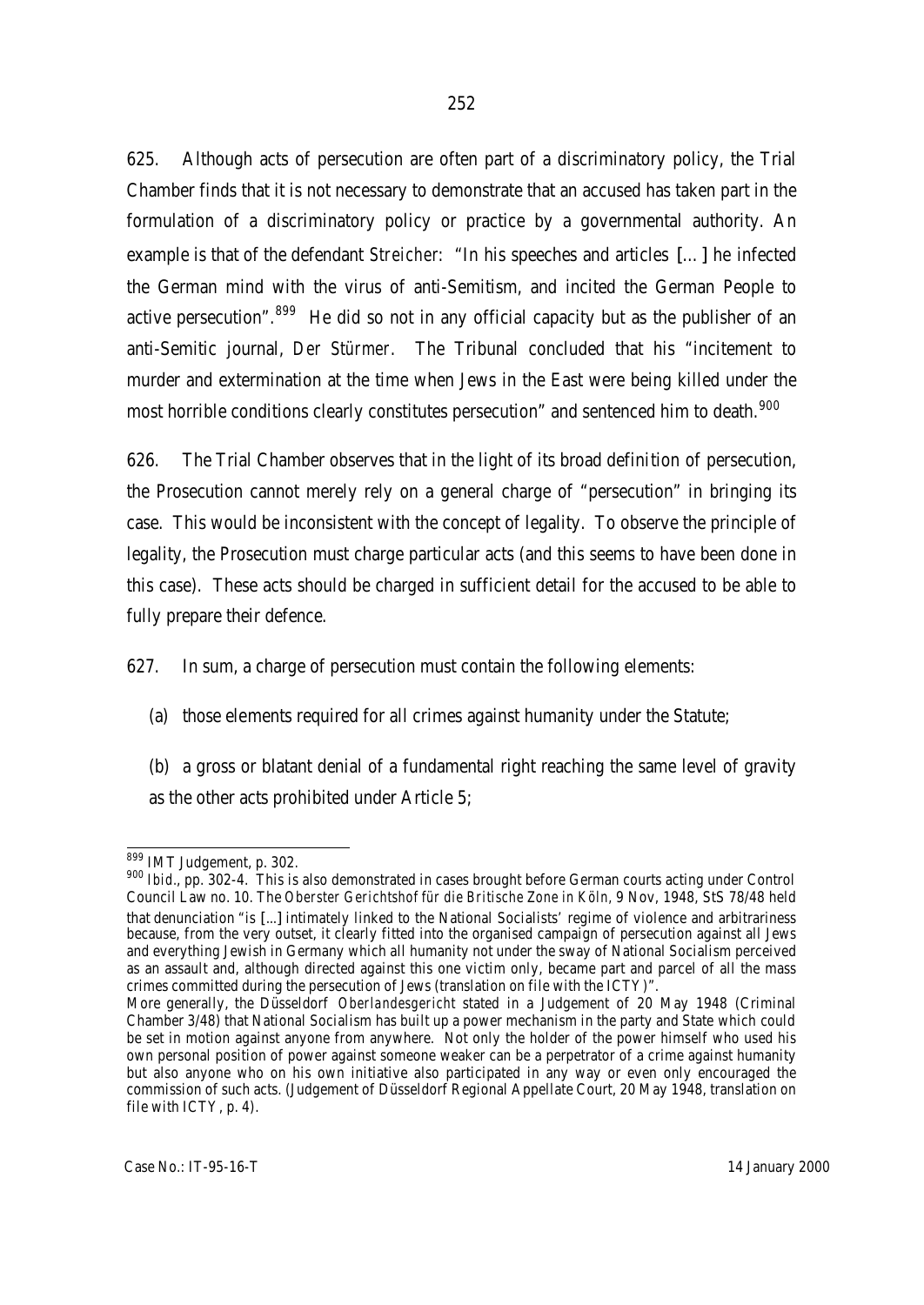625. Although acts of persecution are often part of a discriminatory policy, the Trial Chamber finds that it is not necessary to demonstrate that an accused has taken part in the formulation of a discriminatory policy or practice by a governmental authority. An example is that of the defendant *Streicher*: "In his speeches and articles […] he infected the German mind with the virus of anti-Semitism, and incited the German People to active persecution".<sup>899</sup> He did so not in any official capacity but as the publisher of an anti-Semitic journal, *Der Stürmer*. The Tribunal concluded that his "incitement to murder and extermination at the time when Jews in the East were being killed under the most horrible conditions clearly constitutes persecution" and sentenced him to death.<sup>900</sup>

626. The Trial Chamber observes that in the light of its broad definition of persecution, the Prosecution cannot merely rely on a general charge of "persecution" in bringing its case. This would be inconsistent with the concept of legality. To observe the principle of legality, the Prosecution must charge particular acts (and this seems to have been done in this case). These acts should be charged in sufficient detail for the accused to be able to fully prepare their defence.

627. In sum, a charge of persecution must contain the following elements:

- (a) those elements required for all crimes against humanity under the Statute;
- (b) a gross or blatant denial of a fundamental right reaching the same level of gravity as the other acts prohibited under Article 5;

 $\overline{a}$ <sup>899</sup> IMT Judgement, p. 302.

<sup>900</sup> *Ibid.*, pp. 302-4. This is also demonstrated in cases brought before German courts acting under Control Council Law no. 10. The *Oberster Gerichtshof für die Britische Zone in Köln,* 9 Nov, 1948, StS 78/48 held that denunciation "is [...] intimately linked to the National Socialists' regime of violence and arbitrariness because, from the very outset, it clearly fitted into the organised campaign of persecution against all Jews and everything Jewish in Germany which all humanity not under the sway of National Socialism perceived as an assault and, although directed against this one victim only, became part and parcel of all the mass crimes committed during the persecution of Jews (translation on file with the ICTY)".

More generally, the Düsseldorf *Oberlandesgericht* stated in a Judgement of 20 May 1948 (Criminal Chamber 3/48) that National Socialism has built up a power mechanism in the party and State which could be set in motion against anyone from anywhere. Not only the holder of the power himself who used his own personal position of power against someone weaker can be a perpetrator of a crime against humanity but also anyone who on his own initiative also participated in any way or even only encouraged the commission of such acts. (Judgement of Düsseldorf Regional Appellate Court, 20 May 1948, translation on file with ICTY, p. 4).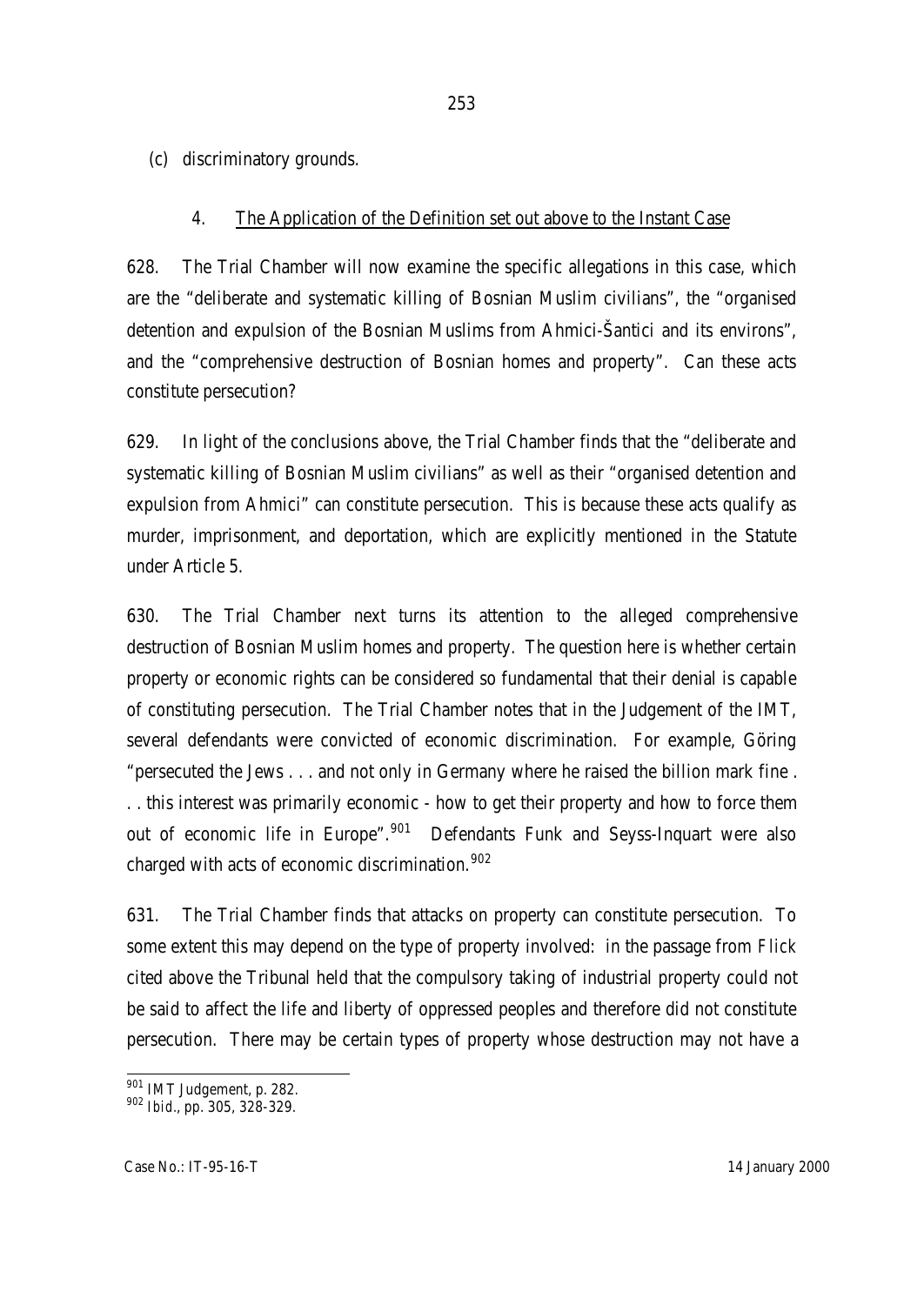253

(c) discriminatory grounds.

# 4. The Application of the Definition set out above to the Instant Case

628. The Trial Chamber will now examine the specific allegations in this case, which are the "deliberate and systematic killing of Bosnian Muslim civilians", the "organised detention and expulsion of the Bosnian Muslims from Ahmici-Šantici and its environs", and the "comprehensive destruction of Bosnian homes and property". Can these acts constitute persecution?

629. In light of the conclusions above, the Trial Chamber finds that the "deliberate and systematic killing of Bosnian Muslim civilians" as well as their "organised detention and expulsion from Ahmici" can constitute persecution. This is because these acts qualify as murder, imprisonment, and deportation, which are explicitly mentioned in the Statute under Article 5.

630. The Trial Chamber next turns its attention to the alleged comprehensive destruction of Bosnian Muslim homes and property. The question here is whether certain property or economic rights can be considered so fundamental that their denial is capable of constituting persecution. The Trial Chamber notes that in the Judgement of the IMT, several defendants were convicted of economic discrimination. For example, Göring "persecuted the Jews . . . and not only in Germany where he raised the billion mark fine . . . this interest was primarily economic - how to get their property and how to force them out of economic life in Europe".<sup>901</sup> Defendants Funk and Seyss-Inquart were also charged with acts of economic discrimination.<sup>902</sup>

631. The Trial Chamber finds that attacks on property can constitute persecution. To some extent this may depend on the type of property involved: in the passage from *Flick* cited above the Tribunal held that the compulsory taking of industrial property could not be said to affect the life and liberty of oppressed peoples and therefore did not constitute persecution. There may be certain types of property whose destruction may not have a

 $\overline{\phantom{0}}$ <sup>901</sup> IMT Judgement, p. 282.

<sup>902</sup> *Ibid.*, pp. 305, 328-329.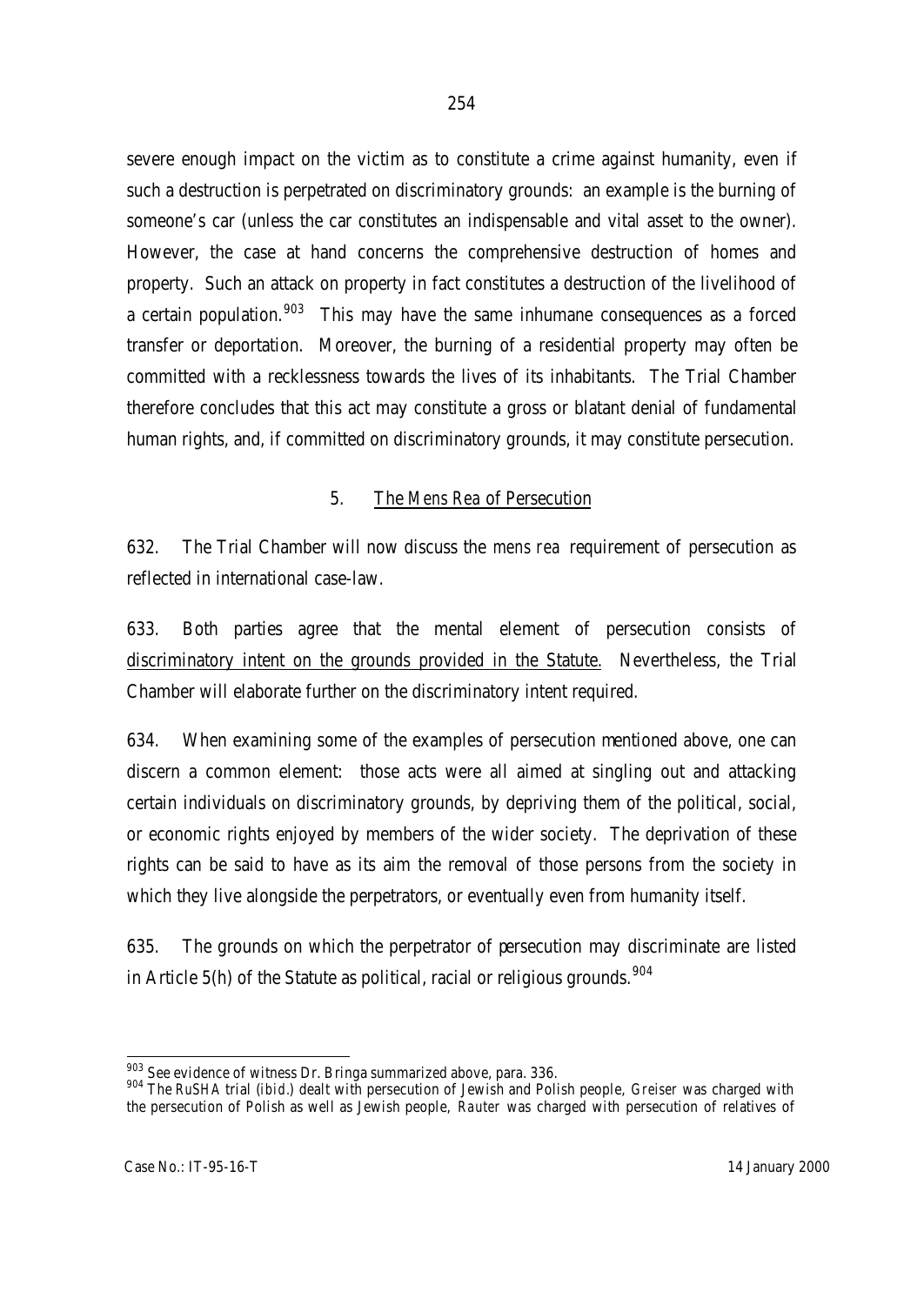severe enough impact on the victim as to constitute a crime against humanity, even if such a destruction is perpetrated on discriminatory grounds: an example is the burning of someone's car (unless the car constitutes an indispensable and vital asset to the owner). However, the case at hand concerns the comprehensive destruction of homes and property. Such an attack on property in fact constitutes a destruction of the livelihood of a certain population.<sup>903</sup> This may have the same inhumane consequences as a forced transfer or deportation. Moreover, the burning of a residential property may often be committed with a recklessness towards the lives of its inhabitants. The Trial Chamber therefore concludes that this act may constitute a gross or blatant denial of fundamental human rights, and, if committed on discriminatory grounds, it may constitute persecution.

## 5. The *Mens Rea* of Persecution

632. The Trial Chamber will now discuss the *mens rea* requirement of persecution as reflected in international case-law.

633. Both parties agree that the mental element of persecution consists of discriminatory intent on the grounds provided in the Statute. Nevertheless, the Trial Chamber will elaborate further on the discriminatory intent required.

634. When examining some of the examples of persecution mentioned above, one can discern a common element: those acts were all aimed at singling out and attacking certain individuals on discriminatory grounds, by depriving them of the political, social, or economic rights enjoyed by members of the wider society. The deprivation of these rights can be said to have as its aim the removal of those persons from the society in which they live alongside the perpetrators, or eventually even from humanity itself.

635. The grounds on which the perpetrator of persecution may discriminate are listed in Article 5(h) of the Statute as political, racial or religious grounds.<sup>904</sup>

 $\overline{a}$  $^{903}_{12}$  See evidence of witness Dr. Bringa summarized above, para. 336.

<sup>904</sup> The *RuSHA* trial (*ibid.*) dealt with persecution of Jewish and Polish people, *Greiser* was charged with the persecution of Polish as well as Jewish people, *Rauter* was charged with persecution of relatives of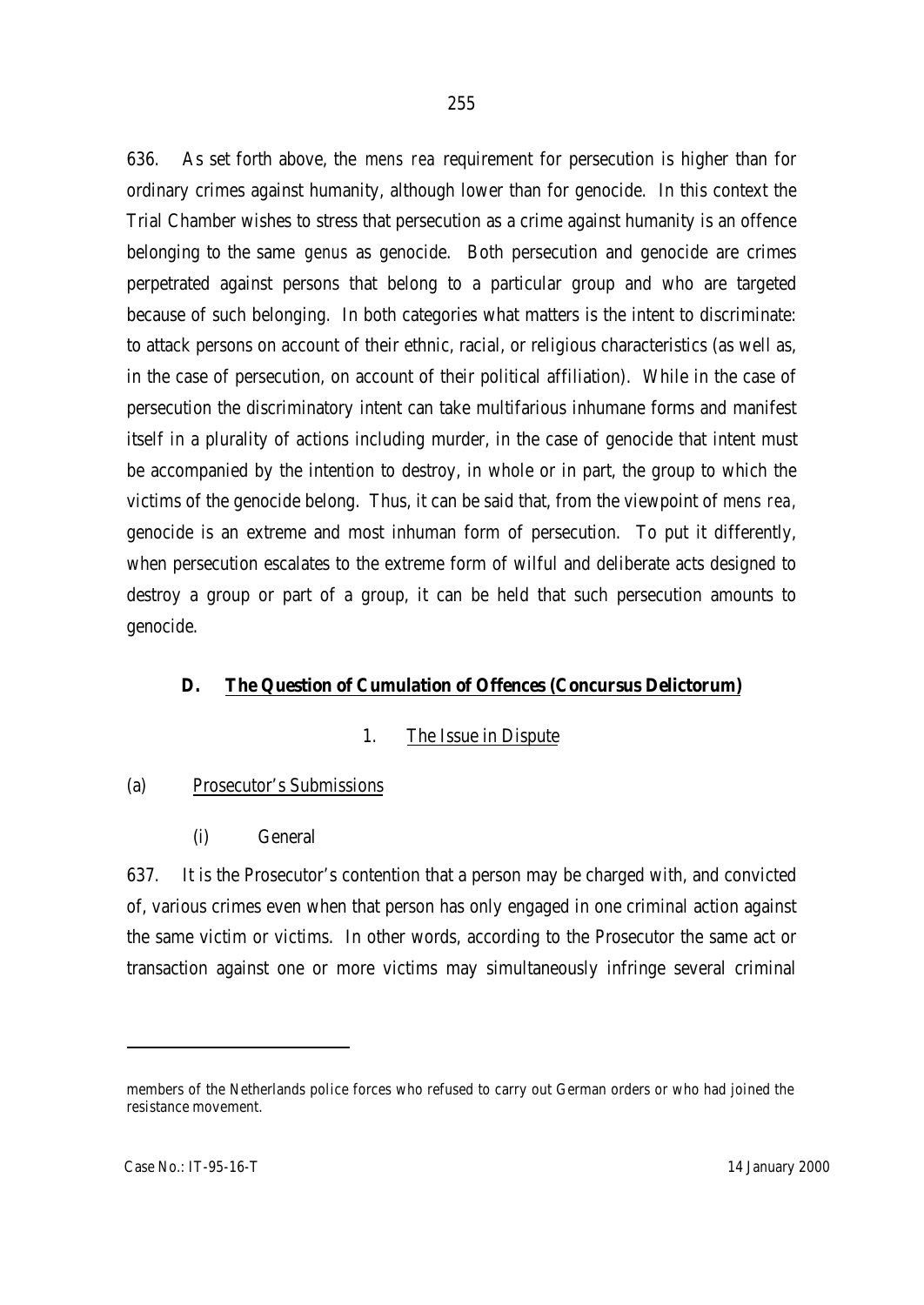636. As set forth above, the *mens rea* requirement for persecution is higher than for ordinary crimes against humanity, although lower than for genocide. In this context the Trial Chamber wishes to stress that persecution as a crime against humanity is an offence belonging to the same *genus* as genocide. Both persecution and genocide are crimes perpetrated against persons that belong to a particular group and who are targeted because of such belonging. In both categories what matters is the intent to discriminate: to attack persons on account of their ethnic, racial, or religious characteristics (as well as, in the case of persecution, on account of their political affiliation). While in the case of persecution the discriminatory intent can take multifarious inhumane forms and manifest itself in a plurality of actions including murder, in the case of genocide that intent must be accompanied by the intention to destroy, in whole or in part, the group to which the victims of the genocide belong. Thus, it can be said that, from the viewpoint of *mens rea,* genocide is an extreme and most inhuman form of persecution. To put it differently, when persecution escalates to the extreme form of wilful and deliberate acts designed to destroy a group or part of a group, it can be held that such persecution amounts to genocide.

# **D. The Question of Cumulation of Offences (***Concursus Delictorum***)**

## 1. The Issue in Dispute

- (a) Prosecutor's Submissions
	- (i) General

637. It is the Prosecutor's contention that a person may be charged with, and convicted of, various crimes even when that person has only engaged in one criminal action against the same victim or victims. In other words, according to the Prosecutor the same act or transaction against one or more victims may simultaneously infringe several criminal

members of the Netherlands police forces who refused to carry out German orders or who had joined the resistance movement.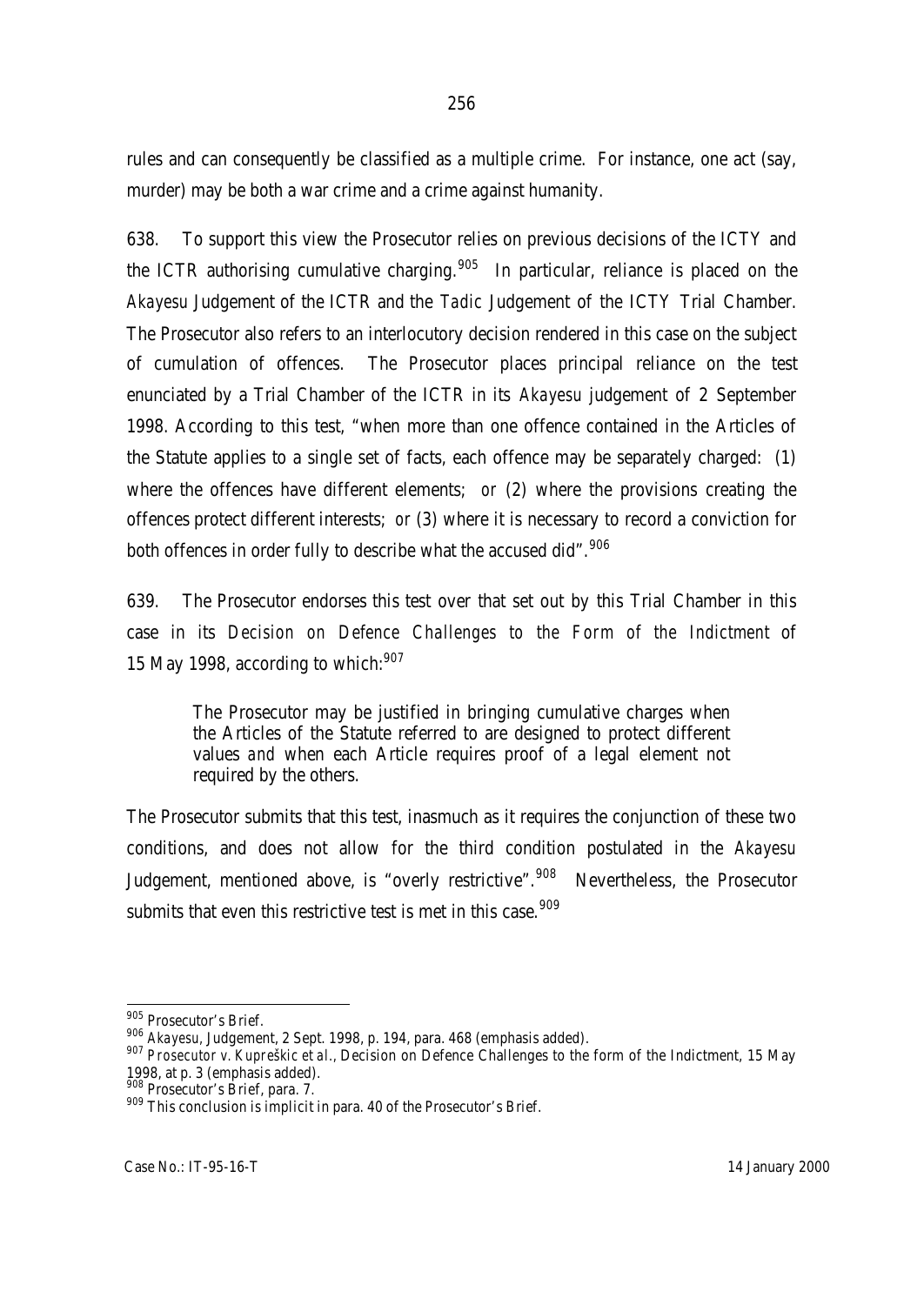rules and can consequently be classified as a multiple crime. For instance, one act (say, murder) may be both a war crime and a crime against humanity.

638. To support this view the Prosecutor relies on previous decisions of the ICTY and the ICTR authorising cumulative charging.<sup>905</sup> In particular, reliance is placed on the *Akayesu* Judgement of the ICTR and the *Tadic* Judgement of the ICTY Trial Chamber. The Prosecutor also refers to an interlocutory decision rendered in this case on the subject of cumulation of offences. The Prosecutor places principal reliance on the test enunciated by a Trial Chamber of the ICTR in its *Akayesu* judgement of 2 September 1998. According to this test, "when more than one offence contained in the Articles of the Statute applies to a single set of facts, each offence may be separately charged: (1) where the offences have different elements; *or* (2) where the provisions creating the offences protect different interests; *or* (3) where it is necessary to record a conviction for both offences in order fully to describe what the accused did".<sup>906</sup>

639. The Prosecutor endorses this test over that set out by this Trial Chamber in this case in its *Decision on Defence Challenges to the Form of the Indictment* of 15 May 1998, according to which: $907$ 

The Prosecutor may be justified in bringing cumulative charges when the Articles of the Statute referred to are designed to protect different values *and* when each Article requires proof of a legal element not required by the others.

The Prosecutor submits that this test, inasmuch as it requires the conjunction of these two conditions, and does not allow for the third condition postulated in the *Akayesu* Judgement, mentioned above, is "overly restrictive".<sup>908</sup> Nevertheless, the Prosecutor submits that even this restrictive test is met in this case.<sup>909</sup>

 $\overline{a}$ 905 Prosecutor's Brief.

<sup>906</sup> *Akayesu,* Judgement, 2 Sept. 1998, p. 194, para. 468 (emphasis added).

<sup>907</sup> *Prosecutor v. Kupreškic et al.,* Decision on Defence Challenges to the form of the Indictment, 15 May 1998, at p. 3 (emphasis added).

<sup>&</sup>lt;sup>908</sup> Prosecutor's Brief, para. 7.

<sup>909</sup> This conclusion is implicit in para. 40 of the Prosecutor's Brief.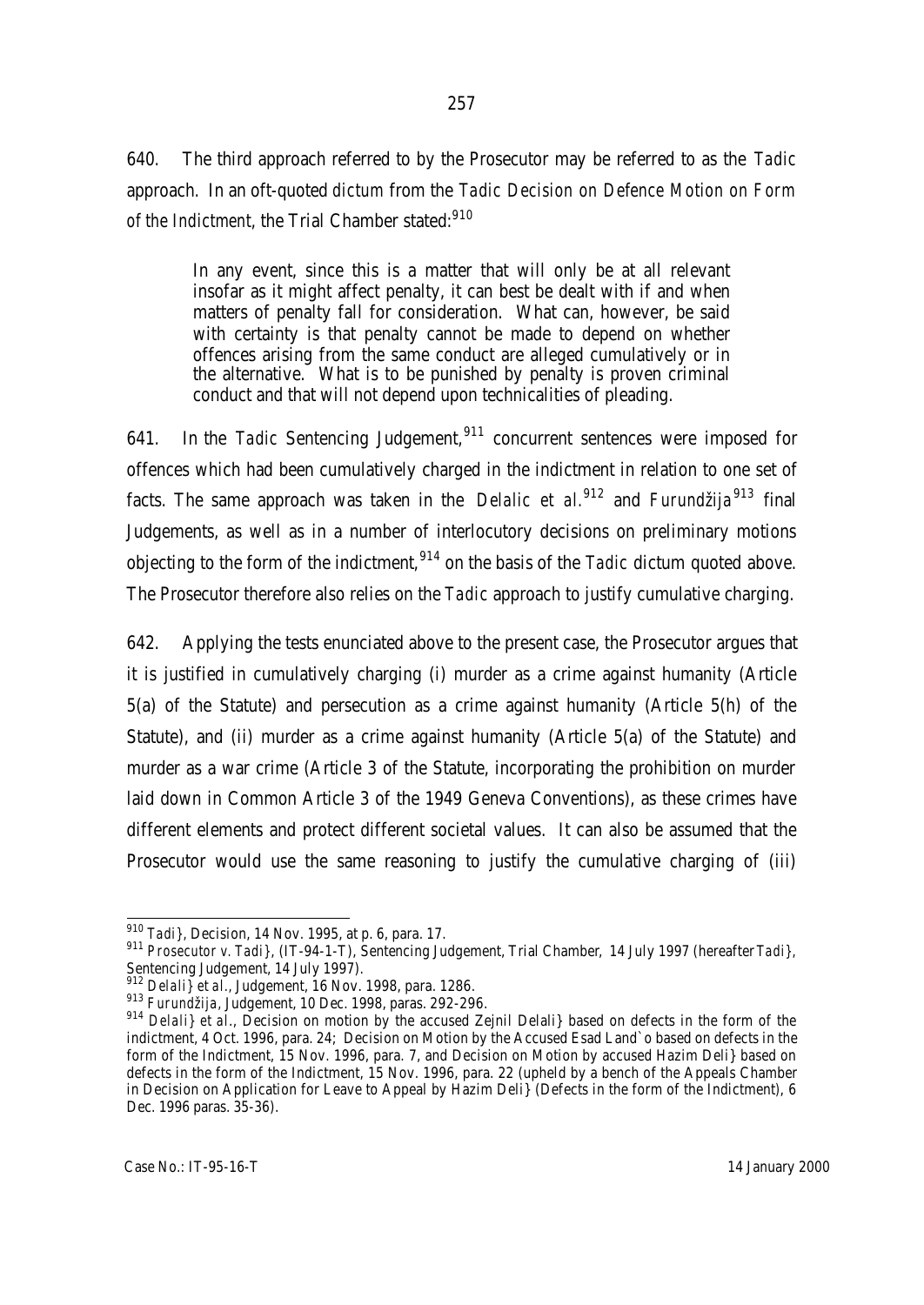640. The third approach referred to by the Prosecutor may be referred to as the *Tadic* approach. In an oft-quoted *dictum* from the *Tadic Decision on Defence Motion on Form* of the Indictment, the Trial Chamber stated:<sup>910</sup>

In any event, since this is a matter that will only be at all relevant insofar as it might affect penalty, it can best be dealt with if and when matters of penalty fall for consideration. What can, however, be said with certainty is that penalty cannot be made to depend on whether offences arising from the same conduct are alleged cumulatively or in the alternative. What is to be punished by penalty is proven criminal conduct and that will not depend upon technicalities of pleading.

641. In the *Tadic* Sentencing Judgement,<sup>911</sup> concurrent sentences were imposed for offences which had been cumulatively charged in the indictment in relation to one set of facts. The same approach was taken in the *Delalic et al.*<sup>912</sup> and *Furundžija*<sup>913</sup> final Judgements, as well as in a number of interlocutory decisions on preliminary motions objecting to the form of the indictment,<sup>914</sup> on the basis of the *Tadic* dictum quoted above. The Prosecutor therefore also relies on the *Tadic* approach to justify cumulative charging.

642. Applying the tests enunciated above to the present case, the Prosecutor argues that it is justified in cumulatively charging (i) murder as a crime against humanity (Article 5(a) of the Statute) and persecution as a crime against humanity (Article 5(h) of the Statute), and (ii) murder as a crime against humanity (Article 5(a) of the Statute) and murder as a war crime (Article 3 of the Statute, incorporating the prohibition on murder laid down in Common Article 3 of the 1949 Geneva Conventions), as these crimes have different elements and protect different societal values. It can also be assumed that the Prosecutor would use the same reasoning to justify the cumulative charging of (iii)

 $\overline{\phantom{0}}$ <sup>910</sup> *Tadi},* Decision, 14 Nov. 1995, at p. 6, para. 17.

<sup>911</sup> *Prosecutor v. Tadi}*, (IT-94-1-T), Sentencing Judgement, Trial Chamber, 14 July 1997 (hereafter *Tadi},* Sentencing Judgement, 14 July 1997).

<sup>912</sup> *Delali} et al.,* Judgement, 16 Nov. 1998, para. 1286.

<sup>913</sup> *Furundžija,* Judgement, 10 Dec. 1998, paras. 292-296.

<sup>914</sup> *Delali} et al*., Decision on motion by the accused Zejnil Delali} based on defects in the form of the indictment, 4 Oct. 1996, para. 24; Decision on Motion by the Accused Esad Land`o based on defects in the form of the Indictment, 15 Nov. 1996, para. 7, and Decision on Motion by accused Hazim Deli} based on defects in the form of the Indictment, 15 Nov. 1996, para. 22 (upheld by a bench of the Appeals Chamber in Decision on Application for Leave to Appeal by Hazim Deli} (Defects in the form of the Indictment*)*, 6 Dec. 1996 paras. 35-36).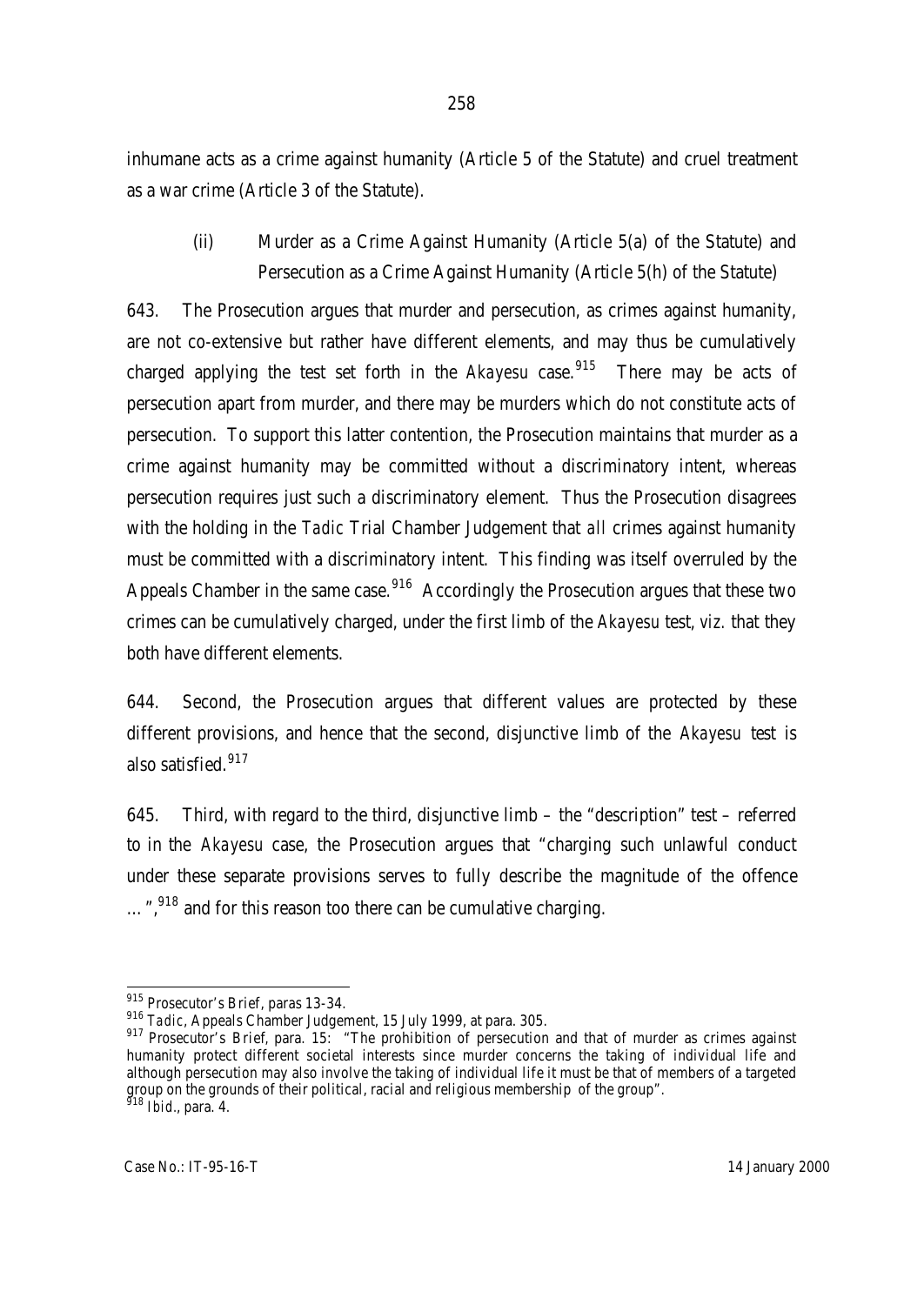inhumane acts as a crime against humanity (Article 5 of the Statute) and cruel treatment as a war crime (Article 3 of the Statute).

(ii) Murder as a Crime Against Humanity (Article 5(a) of the Statute) and Persecution as a Crime Against Humanity (Article 5(h) of the Statute)

643. The Prosecution argues that murder and persecution, as crimes against humanity, are not co-extensive but rather have different elements, and may thus be cumulatively charged applying the test set forth in the Akayesu case.<sup>915</sup> There may be acts of persecution apart from murder, and there may be murders which do not constitute acts of persecution. To support this latter contention, the Prosecution maintains that murder as a crime against humanity may be committed without a discriminatory intent, whereas persecution requires just such a discriminatory element. Thus the Prosecution disagrees with the holding in the *Tadic* Trial Chamber Judgement that *all* crimes against humanity must be committed with a discriminatory intent. This finding was itself overruled by the Appeals Chamber in the same case.<sup>916</sup> Accordingly the Prosecution argues that these two crimes can be cumulatively charged, under the first limb of the *Akayesu* test, *viz.* that they both have different elements.

644. Second, the Prosecution argues that different values are protected by these different provisions, and hence that the second, disjunctive limb of the *Akayesu* test is also satisfied.<sup>917</sup>

645. Third, with regard to the third, disjunctive limb – the "description" test – referred to in the *Akayesu* case, the Prosecution argues that "charging such unlawful conduct under these separate provisions serves to fully describe the magnitude of the offence  $\ldots$ ,  $\frac{918}{10}$  and for this reason too there can be cumulative charging.

 $\overline{a}$ <sup>915</sup> Prosecutor's Brief, paras 13-34.

<sup>916</sup> *Tadic*, Appeals Chamber Judgement, 15 July 1999, at para. 305.

<sup>917</sup> Prosecutor's Brief*,* para. 15: "The prohibition of persecution and that of murder as crimes against humanity protect different societal interests since murder concerns the taking of individual life and although persecution may also involve the taking of individual life it must be that of members of a targeted group on the grounds of their political, racial and religious membership of the group". <sup>918</sup> *Ibid.*, para. 4.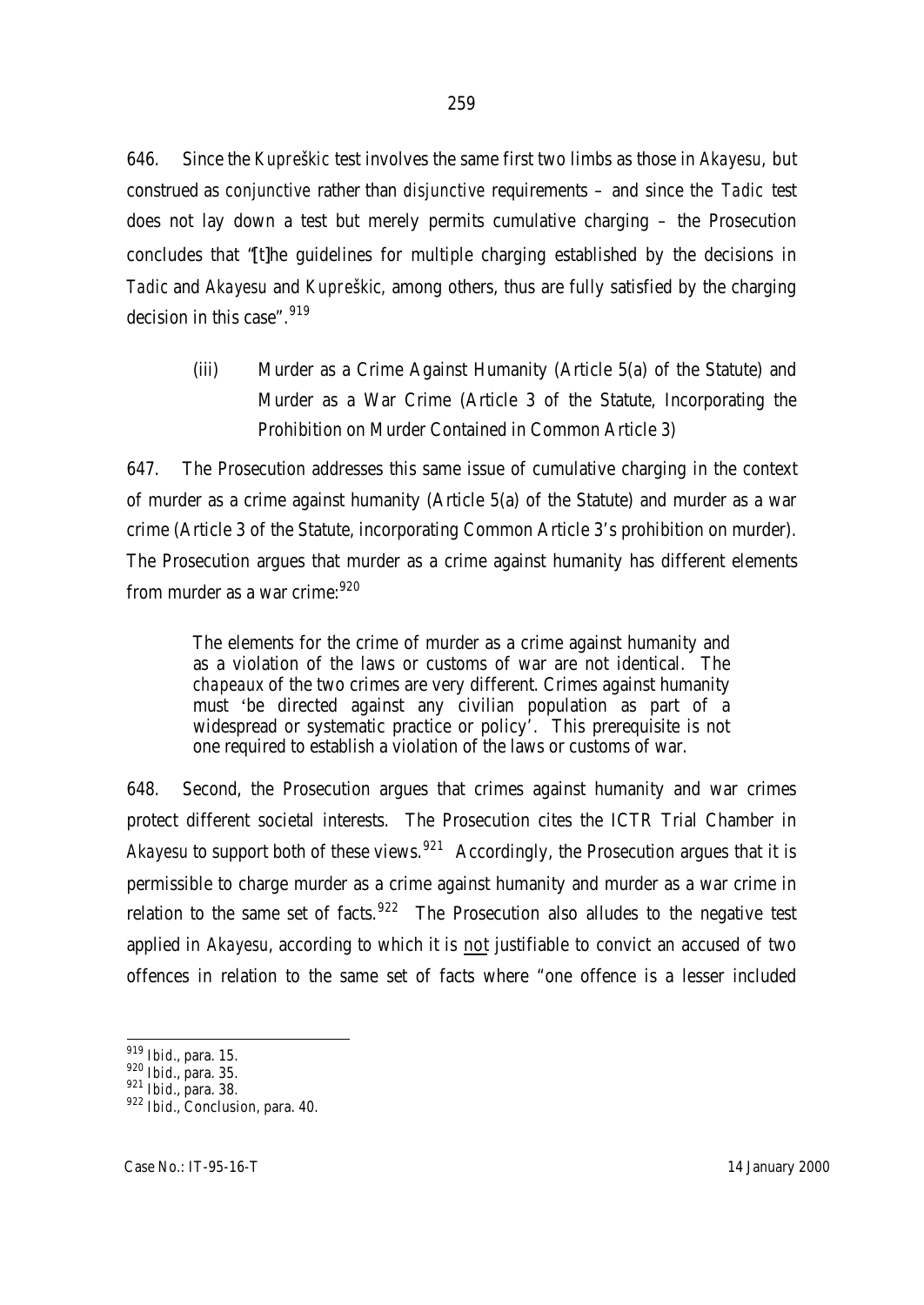646. Since the *Kupreškic* test involves the same first two limbs as those in *Akayesu*, but construed as *conjunctive* rather than *disjunctive* requirements – and since the *Tadic* test does not lay down a test but merely permits cumulative charging – the Prosecution concludes that "[t]he guidelines for multiple charging established by the decisions in *Tadic* and *Akayesu* and *Kupreški*c*,* among others, thus are fully satisfied by the charging decision in this case".<sup>919</sup>

(iii) Murder as a Crime Against Humanity (Article 5(a) of the Statute) and Murder as a War Crime (Article 3 of the Statute, Incorporating the Prohibition on Murder Contained in Common Article 3)

647. The Prosecution addresses this same issue of cumulative charging in the context of murder as a crime against humanity (Article 5(a) of the Statute) and murder as a war crime (Article 3 of the Statute, incorporating Common Article 3's prohibition on murder). The Prosecution argues that murder as a crime against humanity has different elements from murder as a war crime:<sup>920</sup>

The elements for the crime of murder as a crime against humanity and as a violation of the laws or customs of war are not identical. The *chapeaux* of the two crimes are very different. Crimes against humanity must 'be directed against any civilian population as part of a widespread or systematic practice or policy'. This prerequisite is not one required to establish a violation of the laws or customs of war.

648. Second, the Prosecution argues that crimes against humanity and war crimes protect different societal interests. The Prosecution cites the ICTR Trial Chamber in Akayesu to support both of these views.<sup>921</sup> Accordingly, the Prosecution argues that it is permissible to charge murder as a crime against humanity and murder as a war crime in relation to the same set of facts.  $922$  The Prosecution also alludes to the negative test applied in *Akayesu*, according to which it is not justifiable to convict an accused of two offences in relation to the same set of facts where "one offence is a lesser included

 $\overline{a}$ <sup>919</sup> *Ibid.*, para. 15.

<sup>920</sup> *Ibid.*, para. 35.

<sup>921</sup> *Ibid.*, para. 38.

<sup>922</sup> *Ibid.*, Conclusion, para. 40.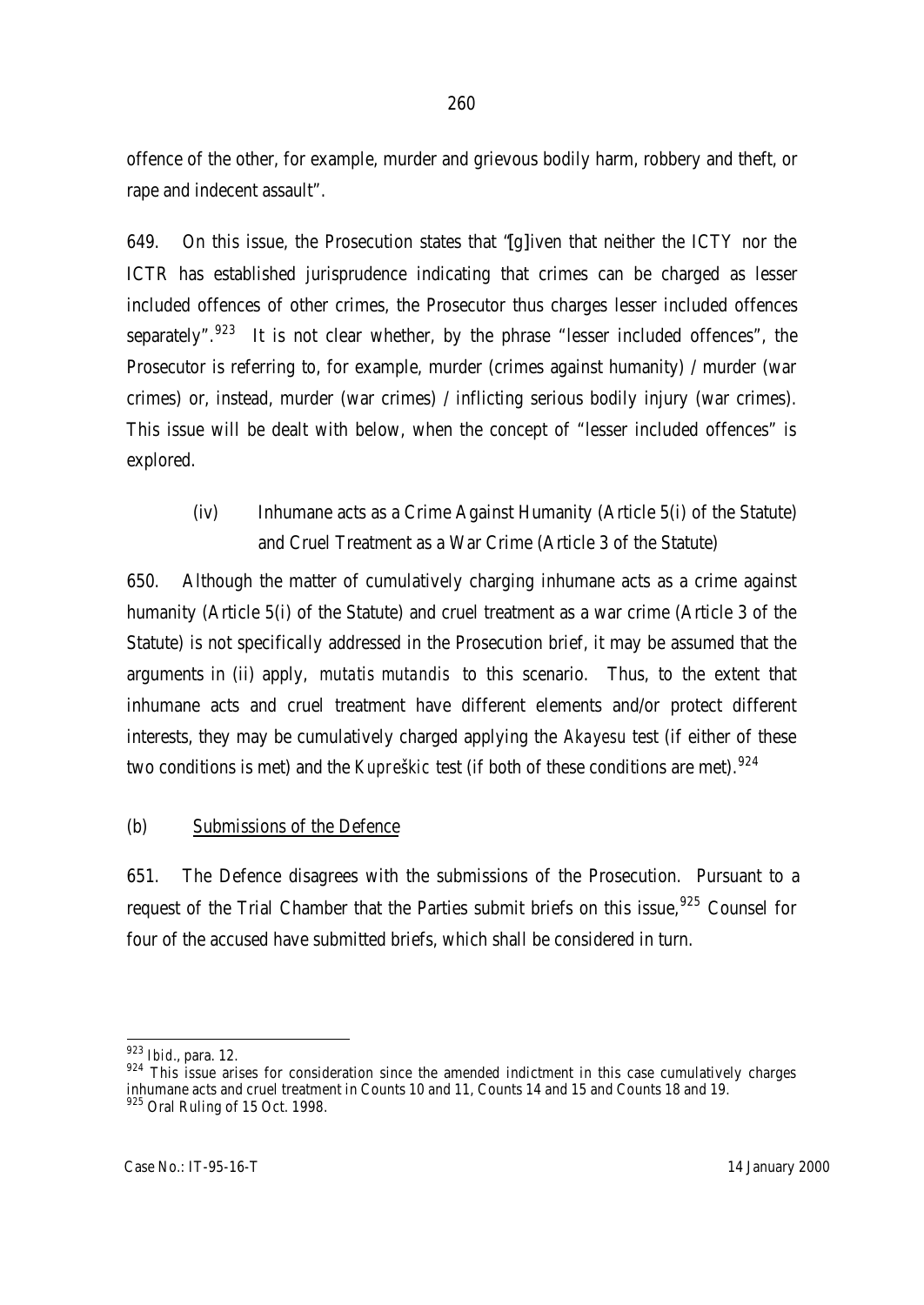offence of the other, for example, murder and grievous bodily harm, robbery and theft, or rape and indecent assault".

649. On this issue, the Prosecution states that "[g]iven that neither the ICTY nor the ICTR has established jurisprudence indicating that crimes can be charged as lesser included offences of other crimes, the Prosecutor thus charges lesser included offences separately".<sup>923</sup> It is not clear whether, by the phrase "lesser included offences", the Prosecutor is referring to, for example, murder (crimes against humanity) / murder (war crimes) or, instead, murder (war crimes) / inflicting serious bodily injury (war crimes). This issue will be dealt with below, when the concept of "lesser included offences" is explored.

(iv) Inhumane acts as a Crime Against Humanity (Article 5(i) of the Statute) and Cruel Treatment as a War Crime (Article 3 of the Statute)

650. Although the matter of cumulatively charging inhumane acts as a crime against humanity (Article 5(i) of the Statute) and cruel treatment as a war crime (Article 3 of the Statute) is not specifically addressed in the Prosecution brief, it may be assumed that the arguments in (ii) apply, *mutatis mutandis* to this scenario. Thus, to the extent that inhumane acts and cruel treatment have different elements and/or protect different interests, they may be cumulatively charged applying the *Akayesu* test (if either of these two conditions is met) and the *Kupreškic* test (if both of these conditions are met).<sup>924</sup>

## (b) Submissions of the Defence

651. The Defence disagrees with the submissions of the Prosecution. Pursuant to a request of the Trial Chamber that the Parties submit briefs on this issue, <sup>925</sup> Counsel for four of the accused have submitted briefs, which shall be considered in turn.

 $\overline{a}$ <sup>923</sup> *Ibid.*, para. 12.

<sup>924</sup> This issue arises for consideration since the amended indictment in this case cumulatively charges inhumane acts and cruel treatment in Counts 10 and 11, Counts 14 and 15 and Counts 18 and 19.  $925$  Oral Ruling of 15 Oct. 1998.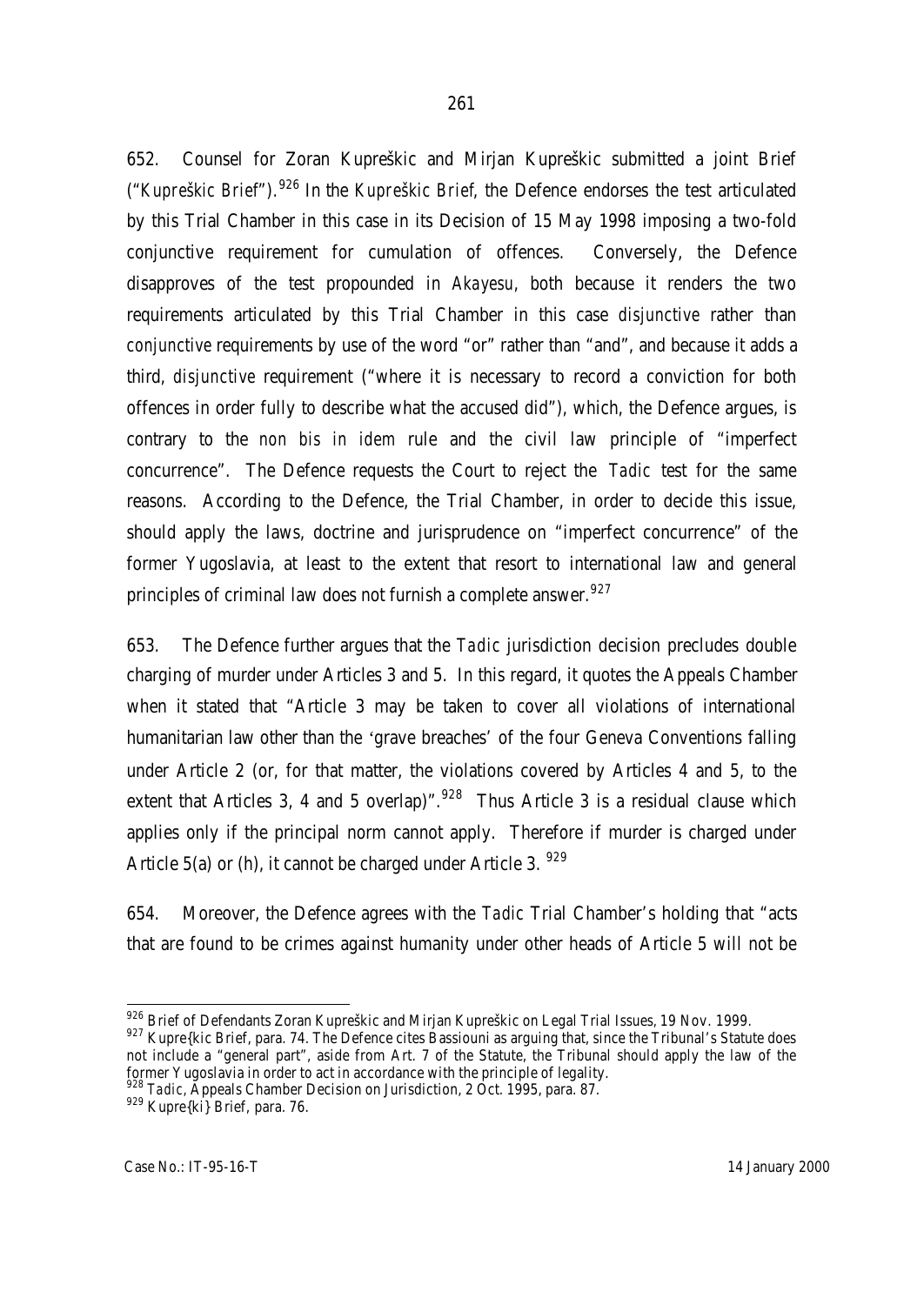652. Counsel for Zoran Kupreškic and Mirjan Kupreškic submitted a joint Brief ("*Kupreškic Brief*").<sup>926</sup> In the *Kupreškic Brief*, the Defence endorses the test articulated by this Trial Chamber in this case in its Decision of 15 May 1998 imposing a two-fold conjunctive requirement for cumulation of offences. Conversely, the Defence disapproves of the test propounded in *Akayesu*, both because it renders the two requirements articulated by this Trial Chamber in this case *disjunctive* rather than *conjunctive* requirements by use of the word "or" rather than "and", and because it adds a third, *disjunctive* requirement ("where it is necessary to record a conviction for both offences in order fully to describe what the accused did"), which, the Defence argues, is contrary to the *non bis in idem* rule and the civil law principle of "imperfect concurrence". The Defence requests the Court to reject the *Tadic* test for the same reasons. According to the Defence, the Trial Chamber, in order to decide this issue, should apply the laws, doctrine and jurisprudence on "imperfect concurrence" of the former Yugoslavia, at least to the extent that resort to international law and general principles of criminal law does not furnish a complete answer.<sup>927</sup>

653. The Defence further argues that the *Tadic* jurisdiction decision precludes double charging of murder under Articles 3 and 5. In this regard, it quotes the Appeals Chamber when it stated that "Article 3 may be taken to cover all violations of international humanitarian law other than the 'grave breaches' of the four Geneva Conventions falling under Article 2 (or, for that matter, the violations covered by Articles 4 and 5, to the extent that Articles 3, 4 and 5 overlap)".  $928$  Thus Article 3 is a residual clause which applies only if the principal norm cannot apply. Therefore if murder is charged under Article 5(a) or (h), it cannot be charged under Article 3. 929

654. Moreover, the Defence agrees with the *Tadic* Trial Chamber's holding that "acts that are found to be crimes against humanity under other heads of Article 5 will not be

 $\overline{a}$ <sup>926</sup> Brief of Defendants Zoran Kupreškic and Mirjan Kupreškic on Legal Trial Issues*,* 19 Nov. 1999.

<sup>927</sup> Kupre{kic Brief, para. 74. The Defence cites Bassiouni as arguing that, since the Tribunal's Statute does not include a "general part", aside from Art. 7 of the Statute, the Tribunal should apply the law of the former Yugoslavia in order to act in accordance with the principle of legality.

<sup>&</sup>lt;sup>928</sup> *Tadic,* Appeals Chamber Decision on Jurisdiction, 2 Oct. 1995, para. 87.

<sup>929</sup> Kupre{ki} Brief, para. 76.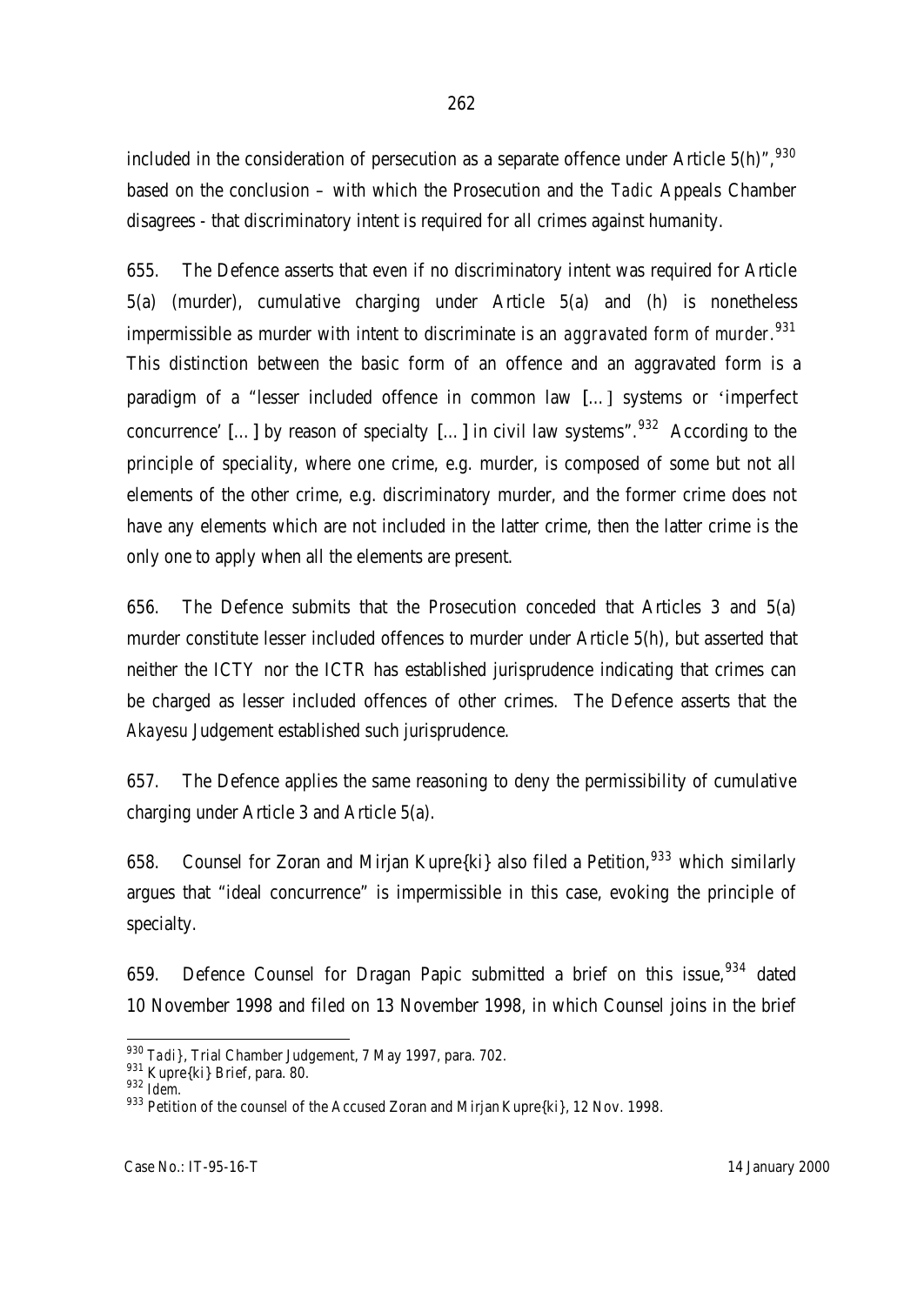included in the consideration of persecution as a separate offence under Article  $5(h)$ ",  $930$ based on the conclusion – with which the Prosecution and the *Tadic* Appeals Chamber disagrees - that discriminatory intent is required for all crimes against humanity.

655. The Defence asserts that even if no discriminatory intent was required for Article 5(a) (murder), cumulative charging under Article 5(a) and (h) is nonetheless impermissible as murder with intent to discriminate is an *aggravated form of murder*. 931 This distinction between the basic form of an offence and an aggravated form is a paradigm of a "lesser included offence in common law […] systems or 'imperfect concurrence' [...] by reason of specialty [...] in civil law systems".  $932$  According to the principle of speciality, where one crime, e.g. murder, is composed of some but not all elements of the other crime, e.g. discriminatory murder, and the former crime does not have any elements which are not included in the latter crime, then the latter crime is the only one to apply when all the elements are present.

656. The Defence submits that the Prosecution conceded that Articles 3 and 5(a) murder constitute lesser included offences to murder under Article 5(h), but asserted that neither the ICTY nor the ICTR has established jurisprudence indicating that crimes can be charged as lesser included offences of other crimes. The Defence asserts that the *Akayesu* Judgement established such jurisprudence.

657. The Defence applies the same reasoning to deny the permissibility of cumulative charging under Article 3 and Article 5(a).

658. Counsel for Zoran and Mirjan Kupre $\{ki\}$  also filed a Petition,<sup>933</sup> which similarly argues that "ideal concurrence" is impermissible in this case, evoking the principle of specialty.

659. Defence Counsel for Dragan Papic submitted a brief on this issue,  $934$  dated 10 November 1998 and filed on 13 November 1998, in which Counsel joins in the brief

 $\overline{a}$ <sup>930</sup> *Tadi}*, Trial Chamber Judgement, 7 May 1997, para. 702.

 $^{931}$  Kupre{ki} Brief, para. 80.

<sup>932</sup> *Idem.*

<sup>933</sup> Petition of the counsel of the Accused Zoran and Mirjan Kupre{ki}, 12 Nov. 1998.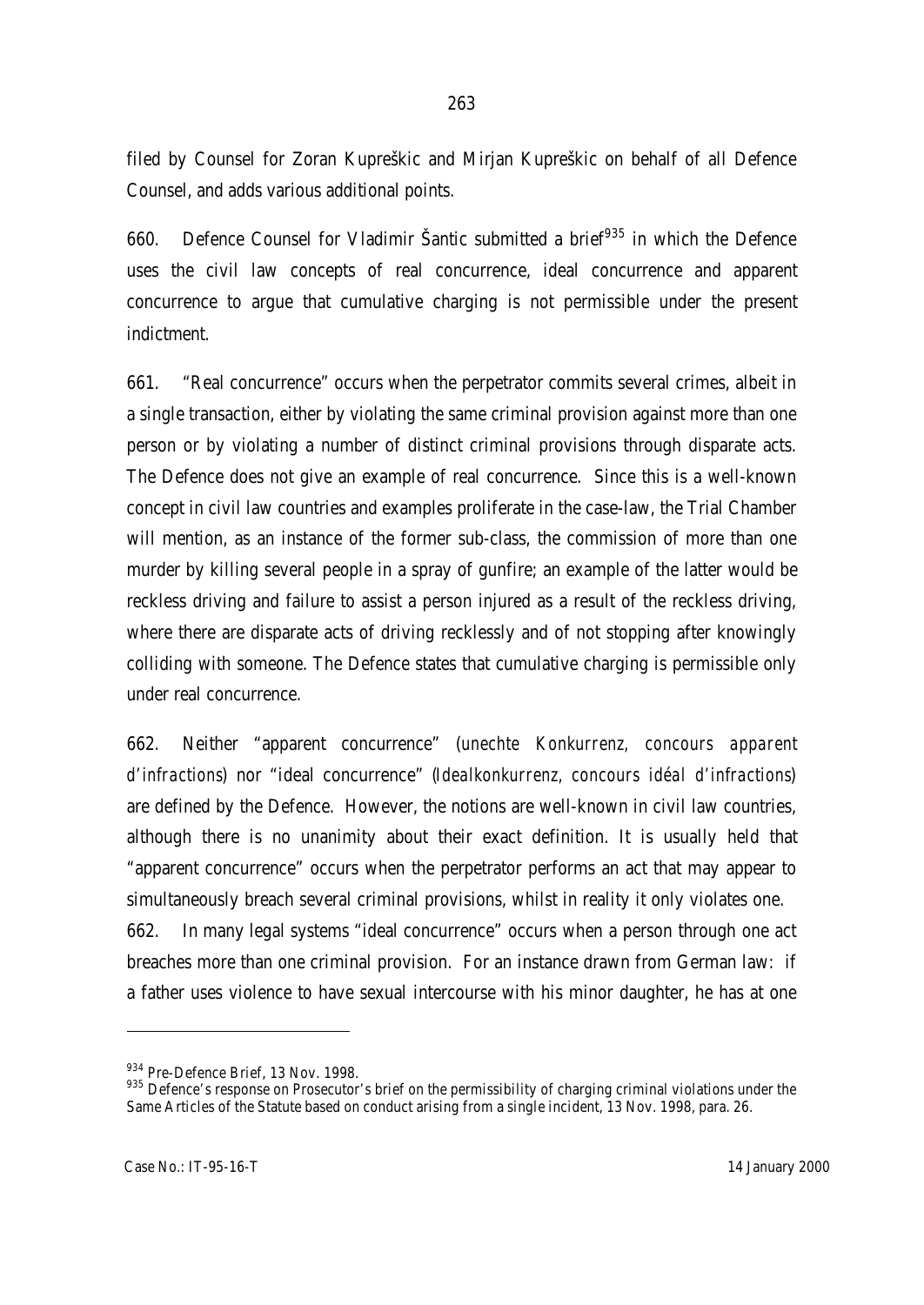filed by Counsel for Zoran Kupreškic and Mirjan Kupreškic on behalf of all Defence Counsel, and adds various additional points.

660. Defence Counsel for Vladimir Šantic submitted a brief $935$  in which the Defence uses the civil law concepts of real concurrence, ideal concurrence and apparent concurrence to argue that cumulative charging is not permissible under the present indictment.

661. "Real concurrence" occurs when the perpetrator commits several crimes, albeit in a single transaction, either by violating the same criminal provision against more than one person or by violating a number of distinct criminal provisions through disparate acts. The Defence does not give an example of real concurrence. Since this is a well-known concept in civil law countries and examples proliferate in the case-law, the Trial Chamber will mention, as an instance of the former sub-class, the commission of more than one murder by killing several people in a spray of gunfire; an example of the latter would be reckless driving and failure to assist a person injured as a result of the reckless driving, where there are disparate acts of driving recklessly and of not stopping after knowingly colliding with someone. The Defence states that cumulative charging is permissible only under real concurrence.

662. Neither "apparent concurrence" (*unechte Konkurrenz, concours apparent d'infractions*) nor "ideal concurrence" (*Idealkonkurrenz, concours idéal d'infractions*) are defined by the Defence. However, the notions are well-known in civil law countries, although there is no unanimity about their exact definition. It is usually held that "apparent concurrence" occurs when the perpetrator performs an act that may appear to simultaneously breach several criminal provisions, whilst in reality it only violates one. 662. In many legal systems "ideal concurrence" occurs when a person through one act breaches more than one criminal provision. For an instance drawn from German law: if a father uses violence to have sexual intercourse with his minor daughter, he has at one

<sup>934</sup> Pre-Defence Brief, 13 Nov. 1998.

<sup>935</sup> Defence's response on Prosecutor's brief on the permissibility of charging criminal violations under the Same Articles of the Statute based on conduct arising from a single incident, 13 Nov. 1998, para. 26.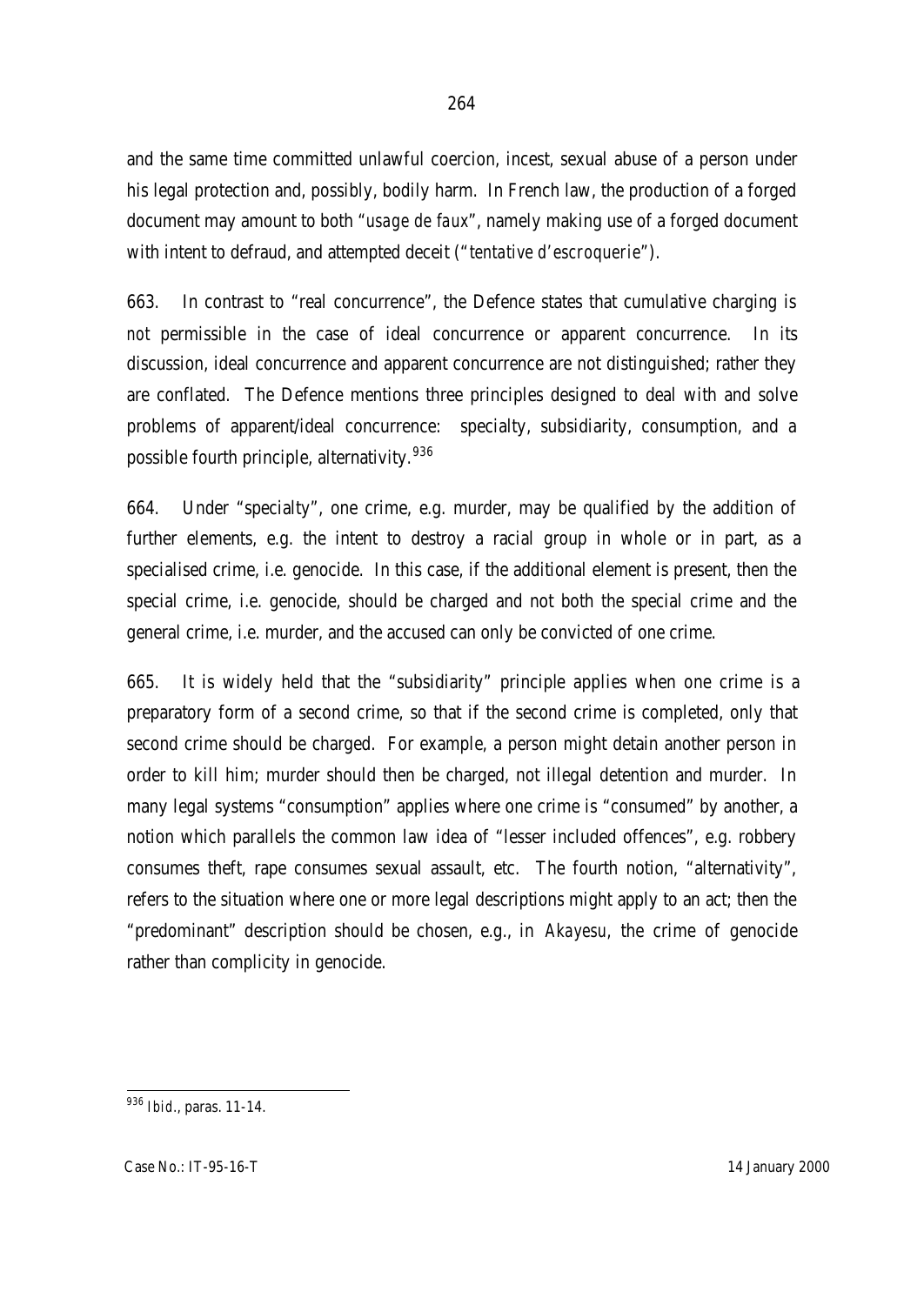and the same time committed unlawful coercion, incest, sexual abuse of a person under his legal protection and, possibly, bodily harm. In French law, the production of a forged document may amount to both "*usage de faux*", namely making use of a forged document with intent to defraud, and attempted deceit ("*tentative d'escroquerie*").

663. In contrast to "real concurrence", the Defence states that cumulative charging is *not* permissible in the case of ideal concurrence or apparent concurrence. In its discussion, ideal concurrence and apparent concurrence are not distinguished; rather they are conflated. The Defence mentions three principles designed to deal with and solve problems of apparent/ideal concurrence: specialty, subsidiarity, consumption, and a possible fourth principle, alternativity.<sup>936</sup>

664. Under "specialty", one crime, e.g. murder, may be qualified by the addition of further elements, e.g. the intent to destroy a racial group in whole or in part, as a specialised crime, i.e. genocide. In this case, if the additional element is present, then the special crime, i.e. genocide, should be charged and not both the special crime and the general crime, i.e. murder, and the accused can only be convicted of one crime.

665. It is widely held that the "subsidiarity" principle applies when one crime is a preparatory form of a second crime, so that if the second crime is completed, only that second crime should be charged. For example, a person might detain another person in order to kill him; murder should then be charged, not illegal detention and murder. In many legal systems "consumption" applies where one crime is "consumed" by another, a notion which parallels the common law idea of "lesser included offences", e.g. robbery consumes theft, rape consumes sexual assault, etc. The fourth notion, "alternativity", refers to the situation where one or more legal descriptions might apply to an act; then the "predominant" description should be chosen, e.g., in *Akayesu*, the crime of genocide rather than complicity in genocide.

 $\overline{a}$ <sup>936</sup> *Ibid*., paras. 11-14.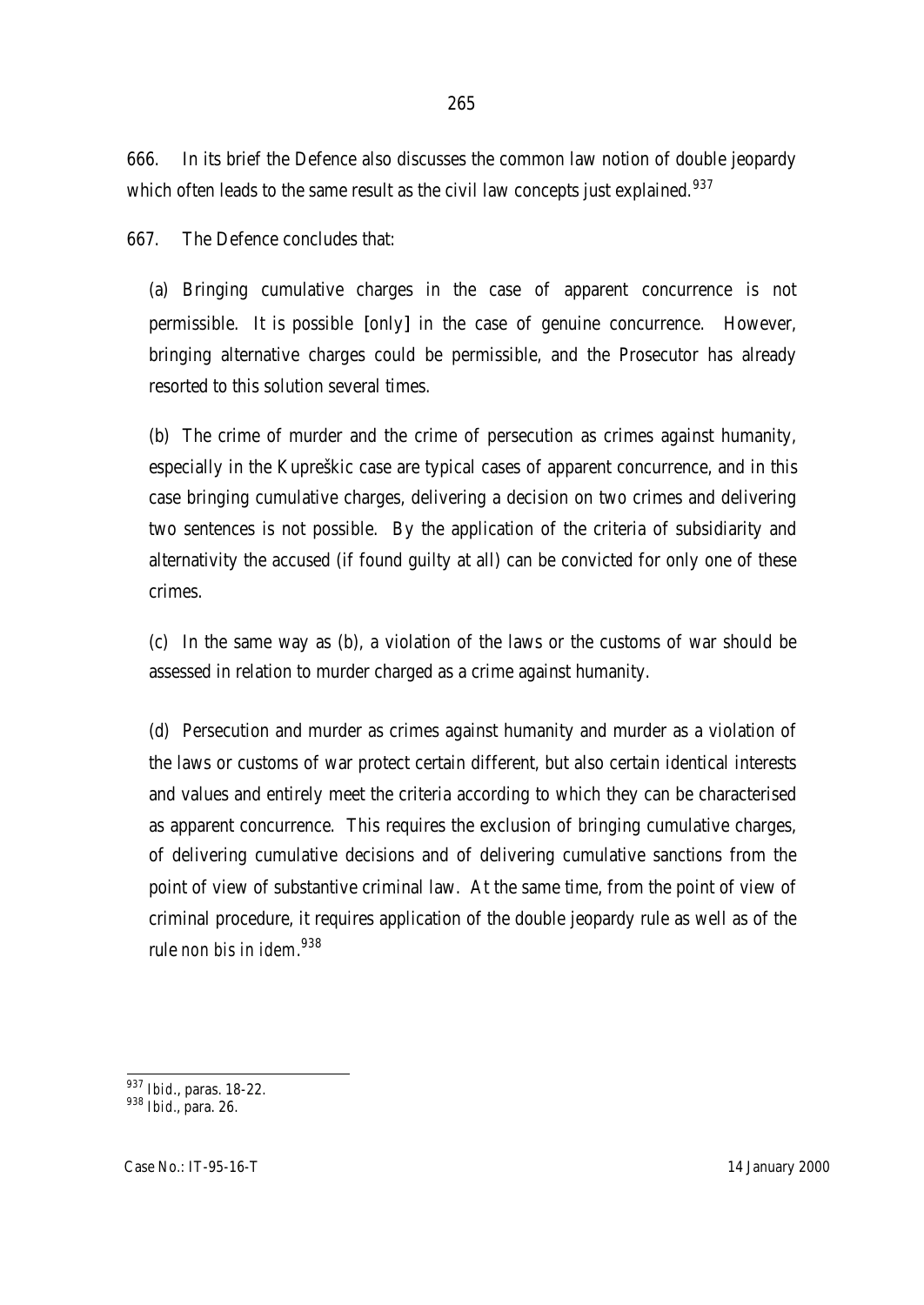666. In its brief the Defence also discusses the common law notion of double jeopardy which often leads to the same result as the civil law concepts just explained.<sup>937</sup>

265

667. The Defence concludes that:

(a) Bringing cumulative charges in the case of apparent concurrence is not permissible. It is possible [only] in the case of genuine concurrence. However, bringing alternative charges could be permissible, and the Prosecutor has already resorted to this solution several times.

(b) The crime of murder and the crime of persecution as crimes against humanity, especially in the Kupreškic case are typical cases of apparent concurrence, and in this case bringing cumulative charges, delivering a decision on two crimes and delivering two sentences is not possible. By the application of the criteria of subsidiarity and alternativity the accused (if found guilty at all) can be convicted for only one of these crimes.

(c) In the same way as (b), a violation of the laws or the customs of war should be assessed in relation to murder charged as a crime against humanity.

(d) Persecution and murder as crimes against humanity and murder as a violation of the laws or customs of war protect certain different, but also certain identical interests and values and entirely meet the criteria according to which they can be characterised as apparent concurrence. This requires the exclusion of bringing cumulative charges, of delivering cumulative decisions and of delivering cumulative sanctions from the point of view of substantive criminal law. At the same time, from the point of view of criminal procedure, it requires application of the double jeopardy rule as well as of the rule *non bis in idem*. 938

 $\overline{\phantom{0}}$ 

<sup>937</sup> *Ibid*., paras. 18-22.

<sup>938</sup> *Ibid.*, para. 26.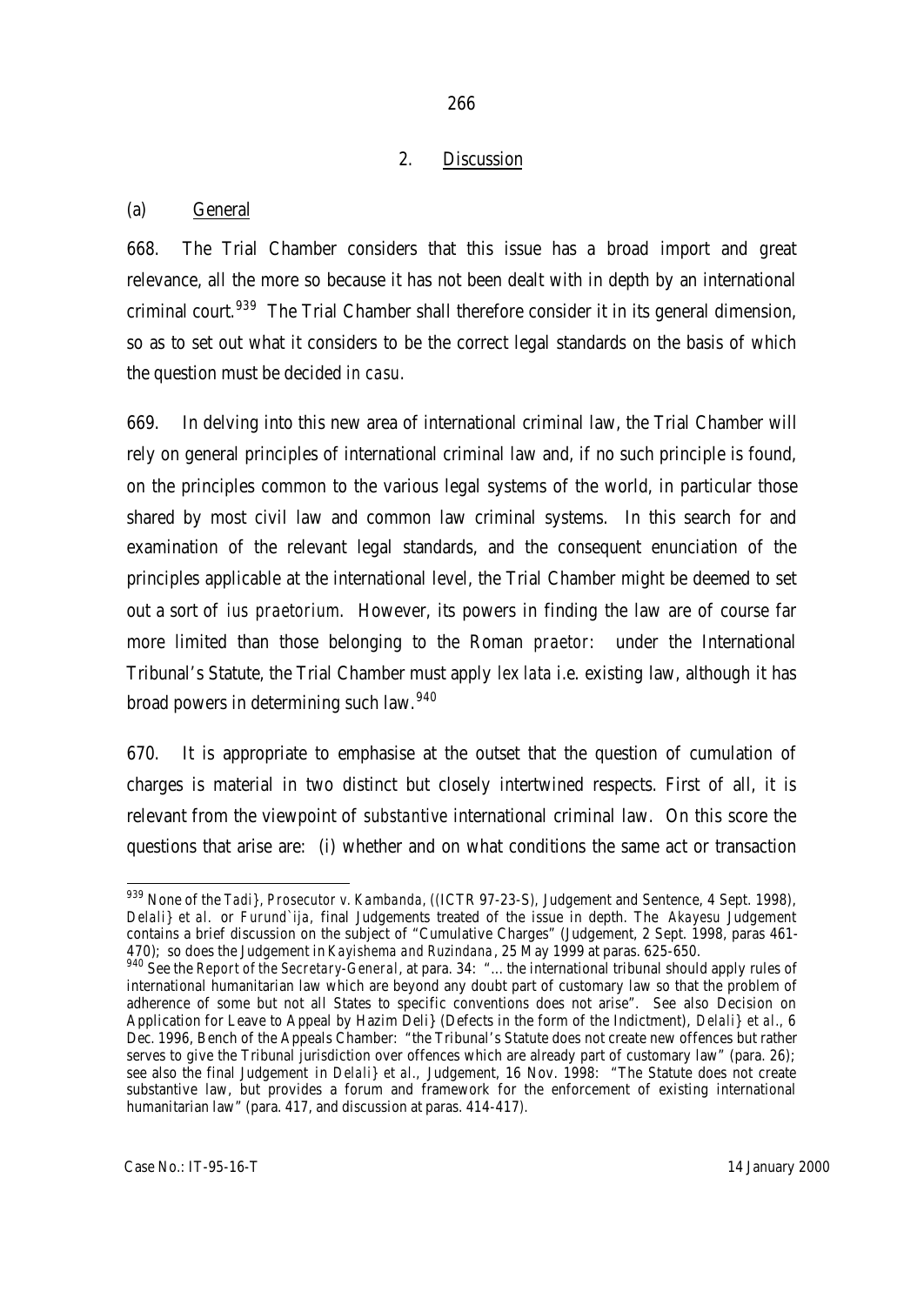#### 266

#### 2. Discussion

#### (a) General

668. The Trial Chamber considers that this issue has a broad import and great relevance, all the more so because it has not been dealt with in depth by an international criminal court.<sup>939</sup> The Trial Chamber shall therefore consider it in its general dimension, so as to set out what it considers to be the correct legal standards on the basis of which the question must be decided *in casu*.

669. In delving into this new area of international criminal law, the Trial Chamber will rely on general principles of international criminal law and, if no such principle is found, on the principles common to the various legal systems of the world, in particular those shared by most civil law and common law criminal systems. In this search for and examination of the relevant legal standards, and the consequent enunciation of the principles applicable at the international level, the Trial Chamber might be deemed to set out a sort of *ius praetorium*. However, its powers in finding the law are of course far more limited than those belonging to the Roman *praetor*: under the International Tribunal's Statute, the Trial Chamber must apply *lex lata* i.e. existing law, although it has broad powers in determining such law.<sup>940</sup>

670. It is appropriate to emphasise at the outset that the question of cumulation of charges is material in two distinct but closely intertwined respects. First of all, it is relevant from the viewpoint of *substantive* international criminal law. On this score the questions that arise are: (i) whether and on what conditions the same act or transaction

 $\overline{a}$ <sup>939</sup> None of the *Tadi}, Prosecutor v. Kambanda, ((*ICTR 97-23-S*),* Judgement and Sentence, 4 Sept. 1998), *Delali} et al.* or *Furund`ija,* final Judgements treated of the issue in depth. The *Akayesu* Judgement contains a brief discussion on the subject of "Cumulative Charges" (Judgement, 2 Sept. 1998, paras 461- 470); so does the Judgement in *Kayishema and Ruzindana*, 25 May 1999 at paras. 625-650.

<sup>940</sup> See the *Report of the Secretary-General*, at para. 34: "... the international tribunal should apply rules of international humanitarian law which are beyond any doubt part of customary law so that the problem of adherence of some but not all States to specific conventions does not arise". See also Decision on Application for Leave to Appeal by Hazim Deli} (Defects in the form of the Indictment), *Delali} et al.,* 6 Dec. 1996, Bench of the Appeals Chamber: "the Tribunal's Statute does not create new offences but rather serves to give the Tribunal jurisdiction over offences which are already part of customary law" (para. 26); see also the final Judgement in *Delali} et al.*, Judgement, 16 Nov. 1998: "The Statute does not create substantive law, but provides a forum and framework for the enforcement of existing international humanitarian law" (para. 417, and discussion at paras. 414-417*).*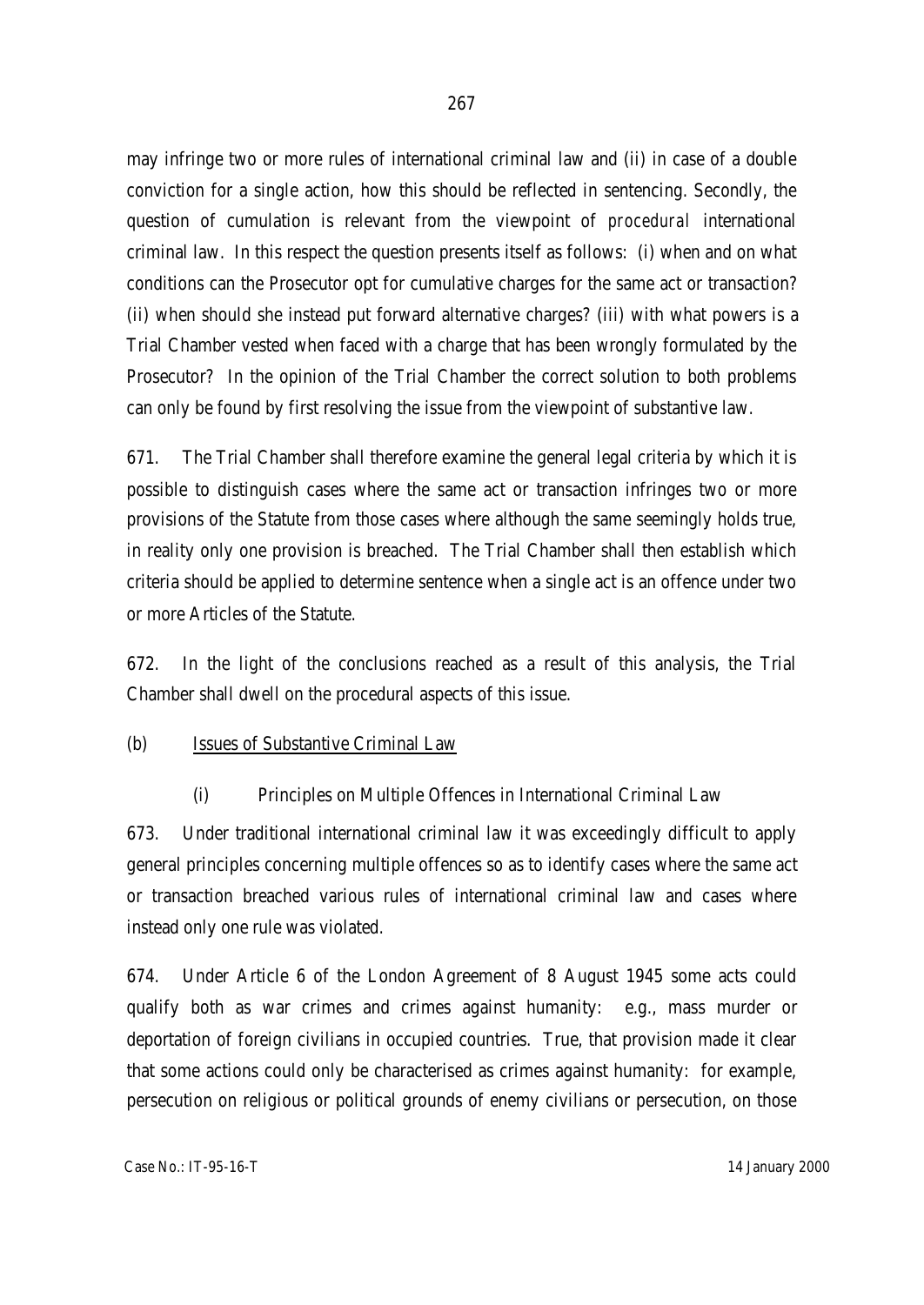may infringe two or more rules of international criminal law and (ii) in case of a double conviction for a single action, how this should be reflected in sentencing. Secondly, the question of cumulation is relevant from the viewpoint of *procedural* international criminal law. In this respect the question presents itself as follows: (i) when and on what conditions can the Prosecutor opt for cumulative charges for the same act or transaction? (ii) when should she instead put forward alternative charges? (iii) with what powers is a Trial Chamber vested when faced with a charge that has been wrongly formulated by the Prosecutor? In the opinion of the Trial Chamber the correct solution to both problems can only be found by first resolving the issue from the viewpoint of substantive law.

671. The Trial Chamber shall therefore examine the general legal criteria by which it is possible to distinguish cases where the same act or transaction infringes two or more provisions of the Statute from those cases where although the same seemingly holds true, in reality only one provision is breached. The Trial Chamber shall then establish which criteria should be applied to determine sentence when a single act is an offence under two or more Articles of the Statute.

672. In the light of the conclusions reached as a result of this analysis, the Trial Chamber shall dwell on the procedural aspects of this issue.

#### (b) Issues of Substantive Criminal Law

(i) Principles on Multiple Offences in International Criminal Law

673. Under traditional international criminal law it was exceedingly difficult to apply general principles concerning multiple offences so as to identify cases where the same act or transaction breached various rules of international criminal law and cases where instead only one rule was violated.

674. Under Article 6 of the London Agreement of 8 August 1945 some acts could qualify both as war crimes and crimes against humanity: e.g., mass murder or deportation of foreign civilians in occupied countries. True, that provision made it clear that some actions could only be characterised as crimes against humanity: for example, persecution on religious or political grounds of enemy civilians or persecution, on those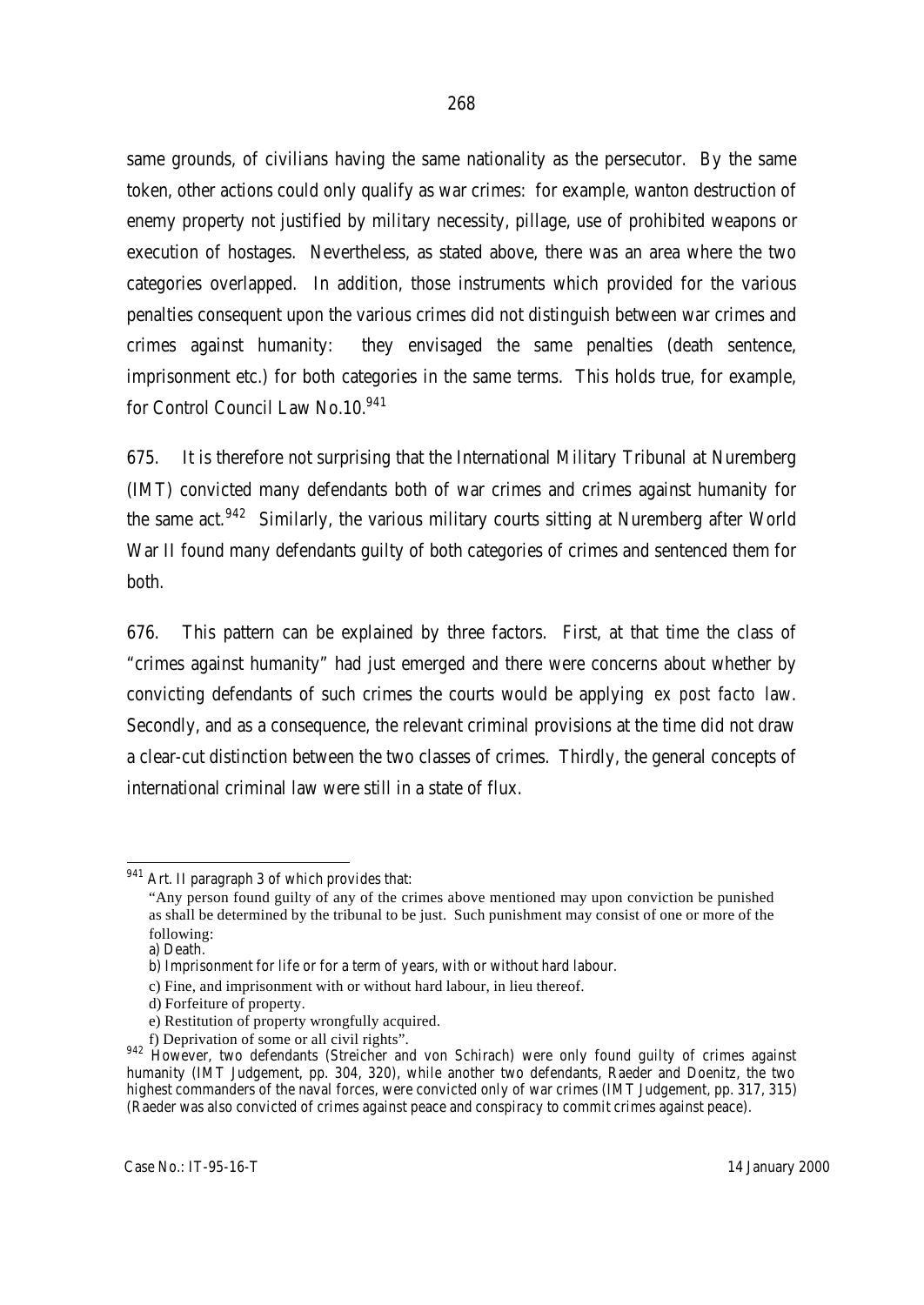same grounds, of civilians having the same nationality as the persecutor. By the same token, other actions could only qualify as war crimes: for example, wanton destruction of enemy property not justified by military necessity, pillage, use of prohibited weapons or execution of hostages. Nevertheless, as stated above, there was an area where the two categories overlapped. In addition, those instruments which provided for the various penalties consequent upon the various crimes did not distinguish between war crimes and crimes against humanity: they envisaged the same penalties (death sentence, imprisonment etc.) for both categories in the same terms. This holds true, for example, for Control Council Law No.10.941

675. It is therefore not surprising that the International Military Tribunal at Nuremberg (IMT) convicted many defendants both of war crimes and crimes against humanity for the same act.<sup>942</sup> Similarly, the various military courts sitting at Nuremberg after World War II found many defendants guilty of both categories of crimes and sentenced them for both.

676. This pattern can be explained by three factors. First, at that time the class of "crimes against humanity" had just emerged and there were concerns about whether by convicting defendants of such crimes the courts would be applying *ex post facto* law. Secondly, and as a consequence, the relevant criminal provisions at the time did not draw a clear-cut distinction between the two classes of crimes. Thirdly, the general concepts of international criminal law were still in a state of flux.

 $\overline{a}$  $941$  Art. II paragraph 3 of which provides that:

<sup>&</sup>quot;Any person found guilty of any of the crimes above mentioned may upon conviction be punished as shall be determined by the tribunal to be just. Such punishment may consist of one or more of the following:

a) Death.

b) Imprisonment for life or for a term of years, with or without hard labour.

c) Fine, and imprisonment with or without hard labour, in lieu thereof.

d) Forfeiture of property.

e) Restitution of property wrongfully acquired.

f) Deprivation of some or all civil rights".

 $942$  However, two defendants (Streicher and von Schirach) were only found guilty of crimes against humanity (IMT Judgement, pp. 304, 320), while another two defendants, Raeder and Doenitz, the two highest commanders of the naval forces, were convicted only of war crimes (IMT Judgement, pp. 317, 315) (Raeder was also convicted of crimes against peace and conspiracy to commit crimes against peace).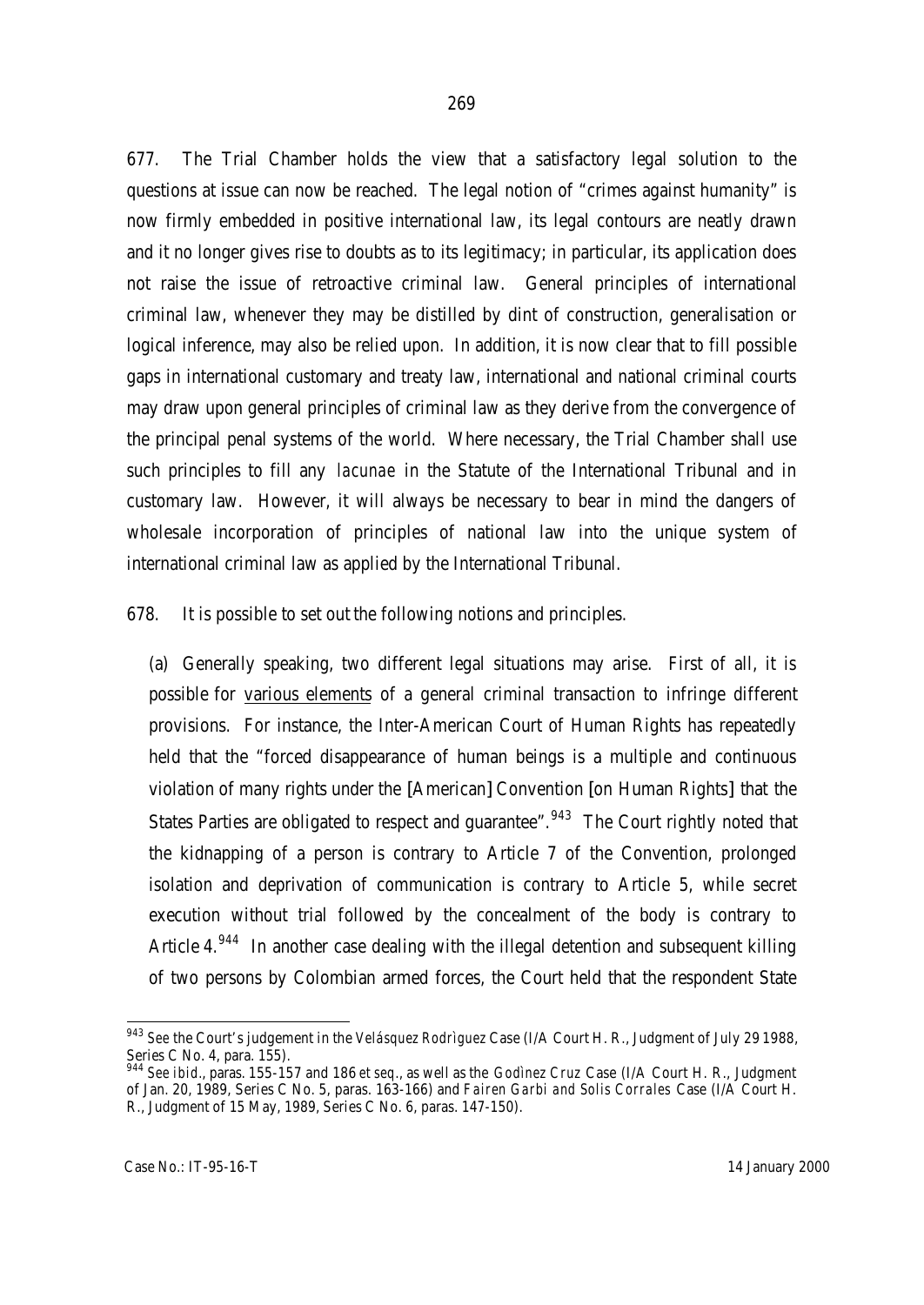677. The Trial Chamber holds the view that a satisfactory legal solution to the questions at issue can now be reached. The legal notion of "crimes against humanity" is now firmly embedded in positive international law, its legal contours are neatly drawn and it no longer gives rise to doubts as to its legitimacy; in particular, its application does not raise the issue of retroactive criminal law. General principles of international criminal law, whenever they may be distilled by dint of construction, generalisation or logical inference, may also be relied upon. In addition, it is now clear that to fill possible gaps in international customary and treaty law, international and national criminal courts may draw upon general principles of criminal law as they derive from the convergence of the principal penal systems of the world. Where necessary, the Trial Chamber shall use such principles to fill any *lacunae* in the Statute of the International Tribunal and in customary law. However, it will always be necessary to bear in mind the dangers of wholesale incorporation of principles of national law into the unique system of international criminal law as applied by the International Tribunal.

678. It is possible to set out the following notions and principles.

(a) Generally speaking, two different legal situations may arise. First of all, it is possible for various elements of a general criminal transaction to infringe different provisions. For instance, the Inter-American Court of Human Rights has repeatedly held that the "forced disappearance of human beings is a multiple and continuous violation of many rights under the [American] Convention [on Human Rights] that the States Parties are obligated to respect and guarantee".<sup>943</sup> The Court rightly noted that the kidnapping of a person is contrary to Article 7 of the Convention, prolonged isolation and deprivation of communication is contrary to Article 5, while secret execution without trial followed by the concealment of the body is contrary to Article 4.<sup>944</sup> In another case dealing with the illegal detention and subsequent killing of two persons by Colombian armed forces, the Court held that the respondent State

 $\overline{a}$ <sup>943</sup> *See* the Court's judgement in the *Velásquez Rodrìguez* Case (I/A Court H. R., Judgment of July 29 1988, Series C No. 4, para. 155).

<sup>944</sup> *See ibid.*, paras. 155-157 and 186 *et seq*., as well as the *Godìnez Cruz* Case (I/A Court H. R., Judgment of Jan. 20, 1989, Series C No. 5, paras. 163-166) and *Fairen Garbi and Solis Corrales* Case (I/A Court H. R., Judgment of 15 May, 1989, Series C No. 6, paras. 147-150).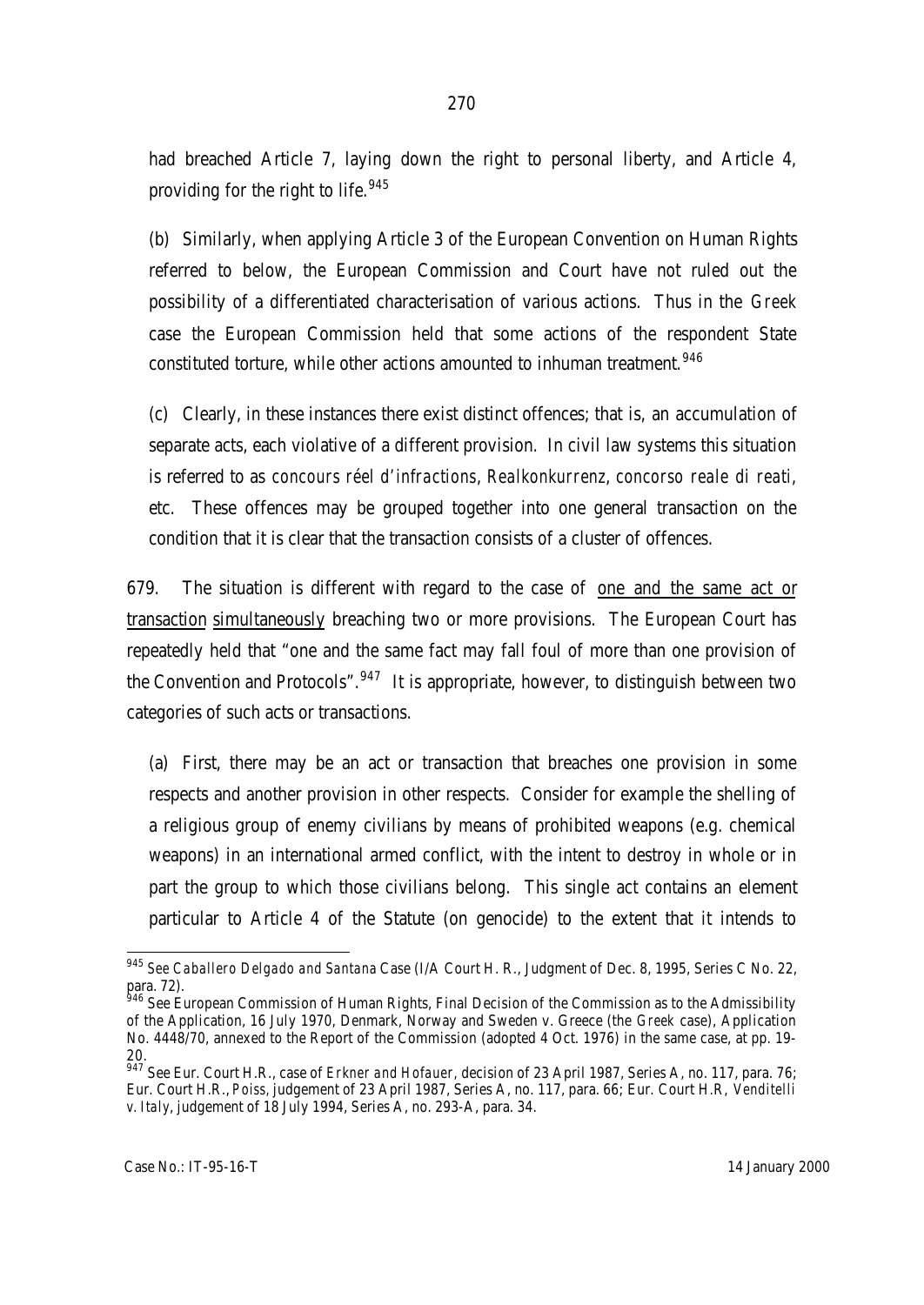had breached Article 7, laying down the right to personal liberty, and Article 4, providing for the right to life.<sup>945</sup>

(b) Similarly, when applying Article 3 of the European Convention on Human Rights referred to below, the European Commission and Court have not ruled out the possibility of a differentiated characterisation of various actions. Thus in the *Greek* case the European Commission held that some actions of the respondent State constituted torture, while other actions amounted to inhuman treatment.<sup>946</sup>

(c) Clearly, in these instances there exist distinct offences; that is, an accumulation of separate acts, each violative of a different provision. In civil law systems this situation is referred to as *concours réel d'infractions*, *Realkonkurrenz*, *concorso reale di reati*, etc. These offences may be grouped together into one general transaction on the condition that it is clear that the transaction consists of a cluster of offences.

679. The situation is different with regard to the case of one and the same act or transaction simultaneously breaching two or more provisions. The European Court has repeatedly held that "one and the same fact may fall foul of more than one provision of the Convention and Protocols".<sup>947</sup> It is appropriate, however, to distinguish between two categories of such acts or transactions.

(a) First, there may be an act or transaction that breaches one provision in some respects and another provision in other respects. Consider for example the shelling of a religious group of enemy civilians by means of prohibited weapons (e.g. chemical weapons) in an international armed conflict, with the intent to destroy in whole or in part the group to which those civilians belong. This single act contains an element particular to Article 4 of the Statute (on genocide) to the extent that it intends to

 $\overline{a}$ <sup>945</sup> *See Caballero Delgado and Santana* Case (I/A Court H. R., Judgment of Dec. 8, 1995, Series C No. 22, para. 72).

 $946$  See European Commission of Human Rights, Final Decision of the Commission as to the Admissibility of the Application, 16 July 1970, Denmark, Norway and Sweden v. Greece (the *Greek* case), Application No. 4448/70, annexed to the Report of the Commission (adopted 4 Oct. 1976) in the same case, at pp. 19- 20.

<sup>947</sup> See Eur. Court H.R., case of *Erkner and Hofauer,* decision of 23 April 1987, Series A, no. 117, para. 76; Eur. Court H.R., *Poiss,* judgement of 23 April 1987, Series A, no. 117, para. 66; Eur. Court H.R, *Venditelli v. Italy*, judgement of 18 July 1994, Series A, no. 293-A, para. 34.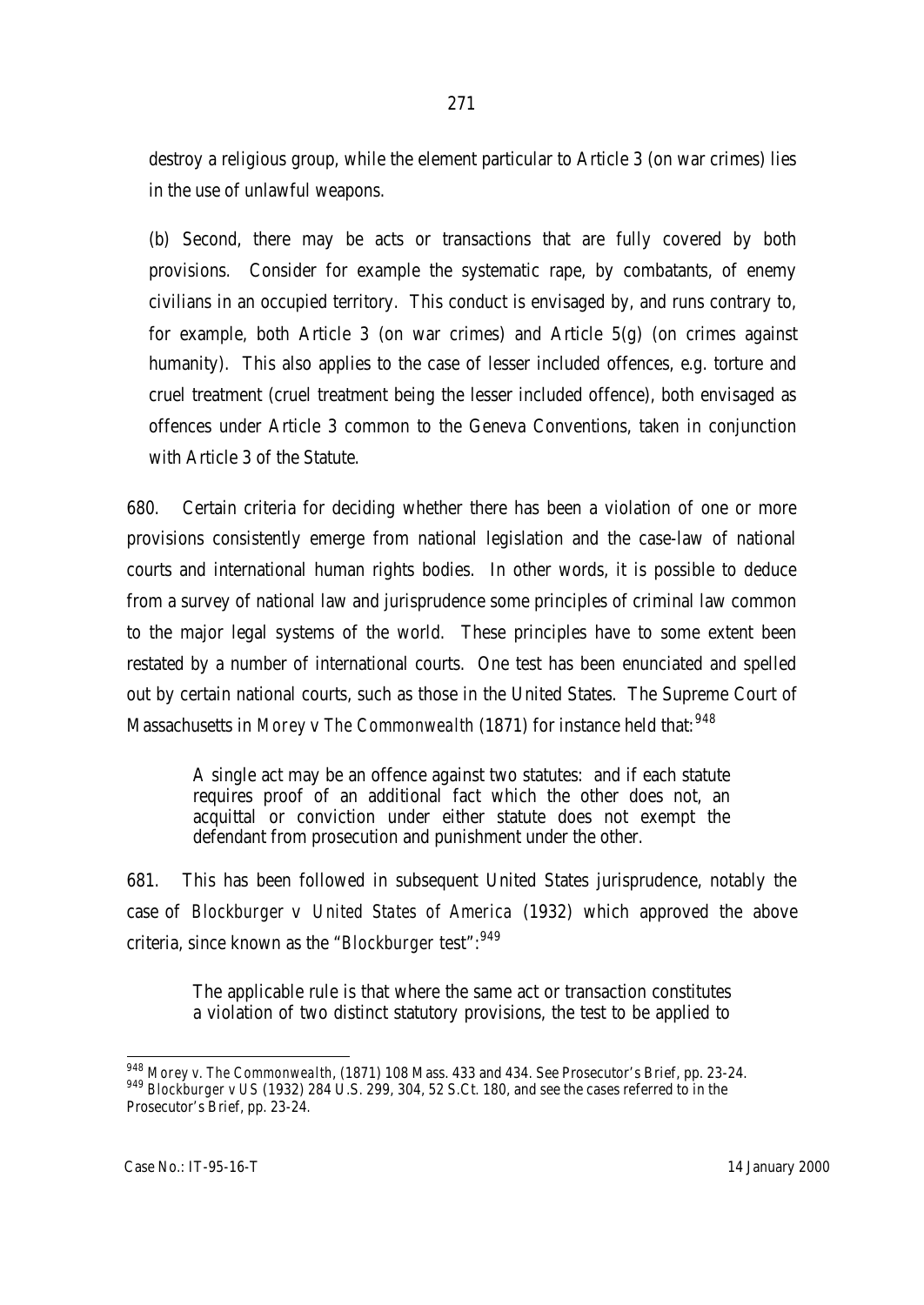destroy a religious group, while the element particular to Article 3 (on war crimes) lies in the use of unlawful weapons.

(b) Second, there may be acts or transactions that are fully covered by both provisions. Consider for example the systematic rape, by combatants, of enemy civilians in an occupied territory. This conduct is envisaged by, and runs contrary to, for example, both Article 3 (on war crimes) and Article 5(g) (on crimes against humanity). This also applies to the case of lesser included offences, e.g. torture and cruel treatment (cruel treatment being the lesser included offence), both envisaged as offences under Article 3 common to the Geneva Conventions, taken in conjunction with Article 3 of the Statute.

680. Certain criteria for deciding whether there has been a violation of one or more provisions consistently emerge from national legislation and the case-law of national courts and international human rights bodies. In other words, it is possible to deduce from a survey of national law and jurisprudence some principles of criminal law common to the major legal systems of the world. These principles have to some extent been restated by a number of international courts. One test has been enunciated and spelled out by certain national courts, such as those in the United States. The Supreme Court of Massachusetts in *Morey* v The Commonwealth (1871) for instance held that:<sup>948</sup>

A single act may be an offence against two statutes: and if each statute requires proof of an additional fact which the other does not, an acquittal or conviction under either statute does not exempt the defendant from prosecution and punishment under the other.

681. This has been followed in subsequent United States jurisprudence, notably the case of *Blockburger* v *United States of America* (1932) which approved the above criteria, since known as the "*Blockburger* test":<sup>949</sup>

The applicable rule is that where the same act or transaction constitutes a violation of two distinct statutory provisions, the test to be applied to

 $\overline{a}$ <sup>948</sup> *Morey v. The Commonwealth*, (1871) 108 Mass. 433 and 434. See Prosecutor's Brief, pp. 23-24. <sup>949</sup> *Blockburger v US* (1932) 284 U.S. 299, 304, 52 S.Ct. 180, and see the cases referred to in the Prosecutor's Brief, pp. 23-24*.*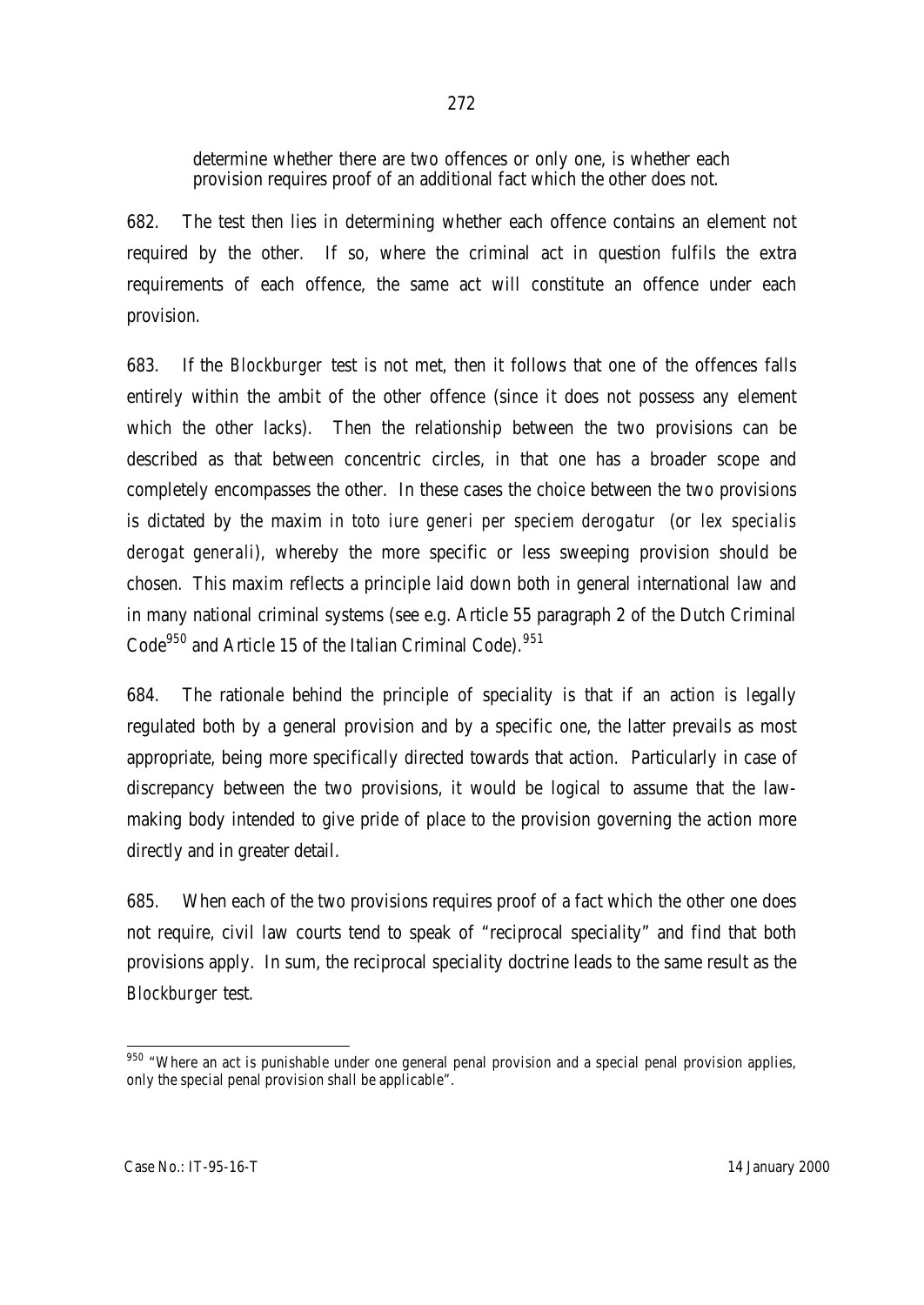determine whether there are two offences or only one, is whether each provision requires proof of an additional fact which the other does not.

682. The test then lies in determining whether each offence contains an element not required by the other. If so, where the criminal act in question fulfils the extra requirements of each offence, the same act will constitute an offence under each provision.

683. If the *Blockburger* test is not met, then it follows that one of the offences falls entirely within the ambit of the other offence (since it does not possess any element which the other lacks). Then the relationship between the two provisions can be described as that between concentric circles, in that one has a broader scope and completely encompasses the other. In these cases the choice between the two provisions is dictated by the maxim *in toto iure generi per speciem derogatur* (or *lex specialis derogat generali*), whereby the more specific or less sweeping provision should be chosen*.* This maxim reflects a principle laid down both in general international law and in many national criminal systems (see e.g. Article 55 paragraph 2 of the Dutch Criminal Code<sup>950</sup> and Article 15 of the Italian Criminal Code).<sup>951</sup>

684. The rationale behind the principle of speciality is that if an action is legally regulated both by a general provision and by a specific one, the latter prevails as most appropriate, being more specifically directed towards that action. Particularly in case of discrepancy between the two provisions, it would be logical to assume that the lawmaking body intended to give pride of place to the provision governing the action more directly and in greater detail.

685. When each of the two provisions requires proof of a fact which the other one does not require, civil law courts tend to speak of "reciprocal speciality" and find that both provisions apply. In sum, the reciprocal speciality doctrine leads to the same result as the *Blockburger* test.

 $\overline{a}$  $950$  "Where an act is punishable under one general penal provision and a special penal provision applies, only the special penal provision shall be applicable".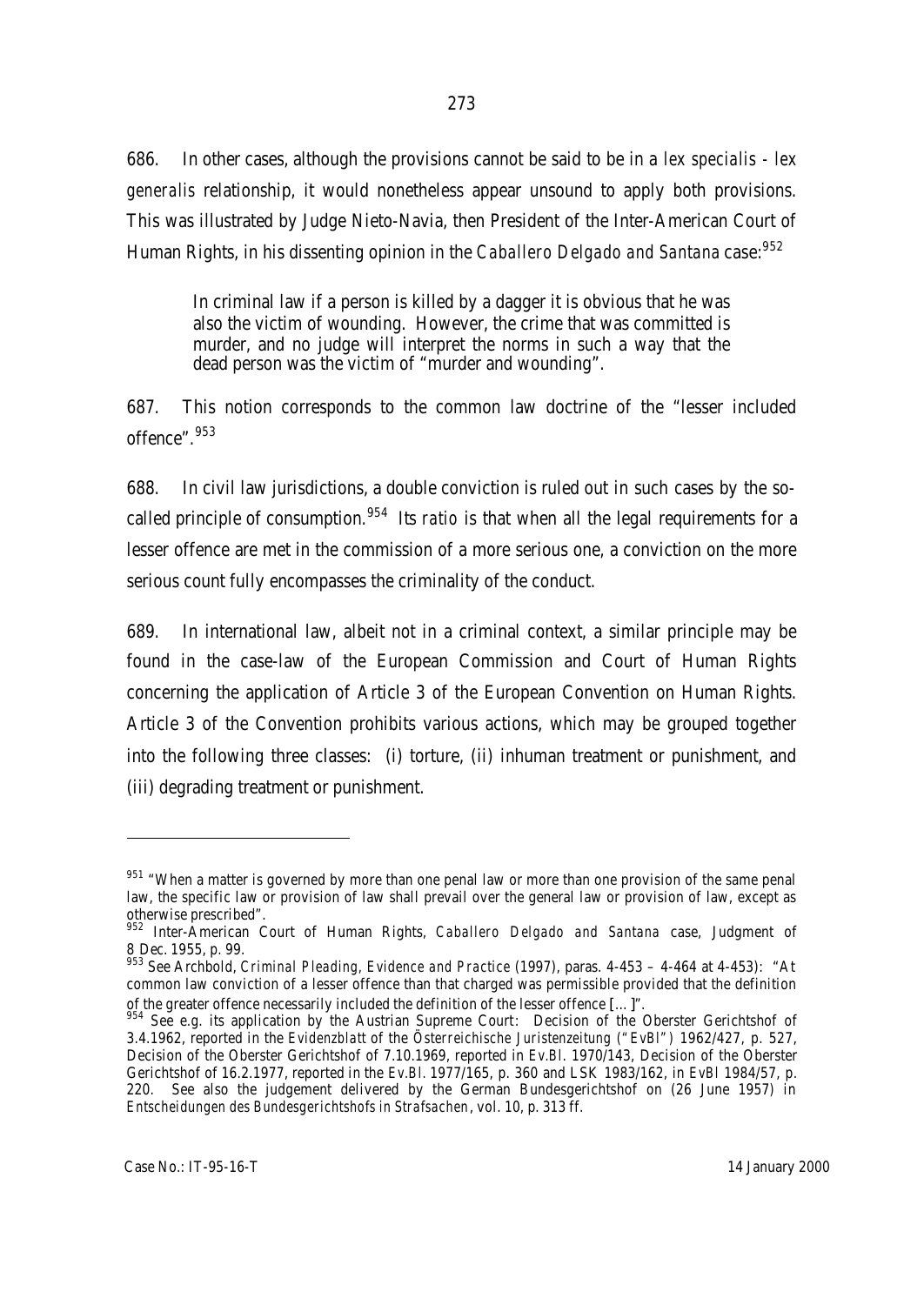686. In other cases, although the provisions cannot be said to be in a *lex specialis - lex generalis* relationship, it would nonetheless appear unsound to apply both provisions. This was illustrated by Judge Nieto-Navia, then President of the Inter-American Court of Human Rights, in his dissenting opinion in the *Caballero Delgado and Santana* case:<sup>952</sup>

In criminal law if a person is killed by a dagger it is obvious that he was also the victim of wounding. However, the crime that was committed is murder, and no judge will interpret the norms in such a way that the dead person was the victim of "murder and wounding".

687. This notion corresponds to the common law doctrine of the "lesser included offence".<sup>953</sup>

688. In civil law jurisdictions, a double conviction is ruled out in such cases by the socalled principle of consumption.<sup>954</sup> Its *ratio* is that when all the legal requirements for a lesser offence are met in the commission of a more serious one, a conviction on the more serious count fully encompasses the criminality of the conduct.

689. In international law, albeit not in a criminal context, a similar principle may be found in the case-law of the European Commission and Court of Human Rights concerning the application of Article 3 of the European Convention on Human Rights. Article 3 of the Convention prohibits various actions, which may be grouped together into the following three classes: (i) torture, (ii) inhuman treatment or punishment, and (iii) degrading treatment or punishment.

<sup>951 &</sup>quot;When a matter is governed by more than one penal law or more than one provision of the same penal law, the specific law or provision of law shall prevail over the general law or provision of law, except as otherwise prescribed".

<sup>952</sup> Inter-American Court of Human Rights, *Caballero Delgado and Santana* case, Judgment of 8 Dec. 1955, p. 99.

<sup>953</sup> See Archbold, *Criminal Pleading, Evidence and Practice* (1997), paras. 4-453 – 4-464 at 4-453): "At common law conviction of a lesser offence than that charged was permissible provided that the definition of the greater offence necessarily included the definition of the lesser offence […]".

<sup>954</sup> See e.g. its application by the Austrian Supreme Court: Decision of the Oberster Gerichtshof of 3.4.1962, reported in the *Evidenzblatt* of the *Österreichische Juristenzeitung ("EvBl")* 1962/427, p. 527, Decision of the Oberster Gerichtshof of 7.10.1969, reported in *Ev.Bl*. 1970/143, Decision of the Oberster Gerichtshof of 16.2.1977, reported in the *Ev.Bl.* 1977/165, p. 360 and LSK 1983/162, in *EvBl* 1984/57, p. 220. See also the judgement delivered by the German Bundesgerichtshof on (26 June 1957*)* in *Entscheidungen des Bundesgerichtshofs in Strafsachen*, vol. 10, p. 313 ff.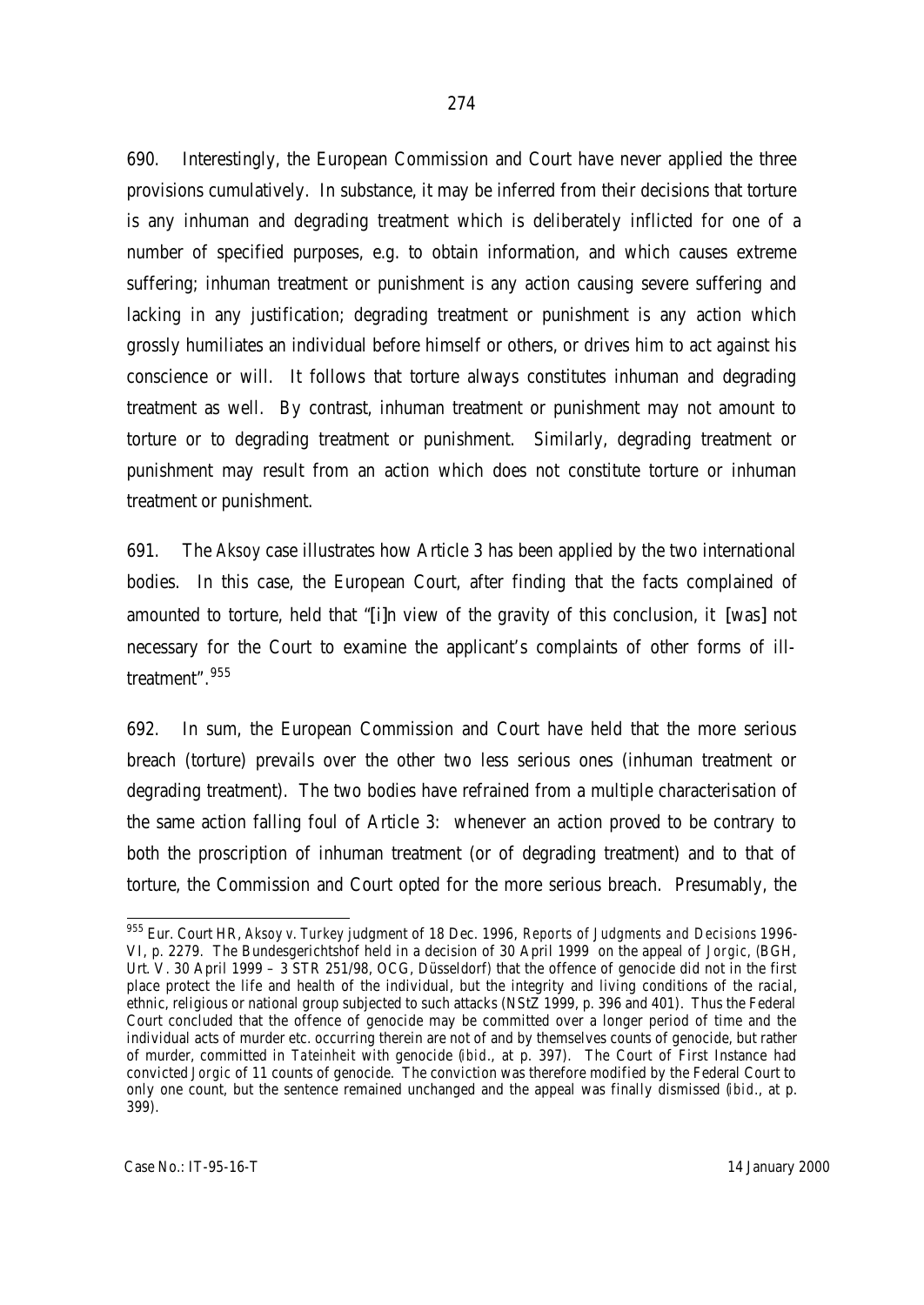690. Interestingly, the European Commission and Court have never applied the three provisions cumulatively. In substance, it may be inferred from their decisions that torture is any inhuman and degrading treatment which is deliberately inflicted for one of a number of specified purposes, e.g. to obtain information, and which causes extreme suffering; inhuman treatment or punishment is any action causing severe suffering and lacking in any justification; degrading treatment or punishment is any action which grossly humiliates an individual before himself or others, or drives him to act against his conscience or will. It follows that torture always constitutes inhuman and degrading treatment as well. By contrast, inhuman treatment or punishment may not amount to torture or to degrading treatment or punishment. Similarly, degrading treatment or punishment may result from an action which does not constitute torture or inhuman treatment or punishment.

691. The *Aksoy* case illustrates how Article 3 has been applied by the two international bodies. In this case, the European Court, after finding that the facts complained of amounted to torture, held that "[i]n view of the gravity of this conclusion, it [was] not necessary for the Court to examine the applicant's complaints of other forms of illtreatment".<sup>955</sup>

692. In sum, the European Commission and Court have held that the more serious breach (torture) prevails over the other two less serious ones (inhuman treatment or degrading treatment). The two bodies have refrained from a multiple characterisation of the same action falling foul of Article 3: whenever an action proved to be contrary to both the proscription of inhuman treatment (or of degrading treatment) and to that of torture, the Commission and Court opted for the more serious breach. Presumably, the

 $\overline{\phantom{0}}$ <sup>955</sup> Eur. Court HR, *Aksoy v. Turkey* judgment of 18 Dec. 1996, *Reports of Judgments and Decisions* 1996- VI, p. 2279. The Bundesgerichtshof held in a decision of 30 April 1999 on the appeal of *Jorgic, (*BGH, Urt. V. 30 April 1999 – 3 STR 251/98, OCG, Düsseldorf*)* that the offence of genocide did not in the first place protect the life and health of the individual, but the integrity and living conditions of the racial, ethnic, religious or national group subjected to such attacks (NStZ 1999, p. 396 and 401). Thus the Federal Court concluded that the offence of genocide may be committed over a longer period of time and the individual acts of murder etc. occurring therein are not of and by themselves counts of genocide, but rather of murder, committed in *Tateinheit* with genocide (*ibid*., at p. 397). The Court of First Instance had convicted *Jorgic* of 11 counts of genocide. The conviction was therefore modified by the Federal Court to only one count, but the sentence remained unchanged and the appeal was finally dismissed (*ibid*., at p. 399).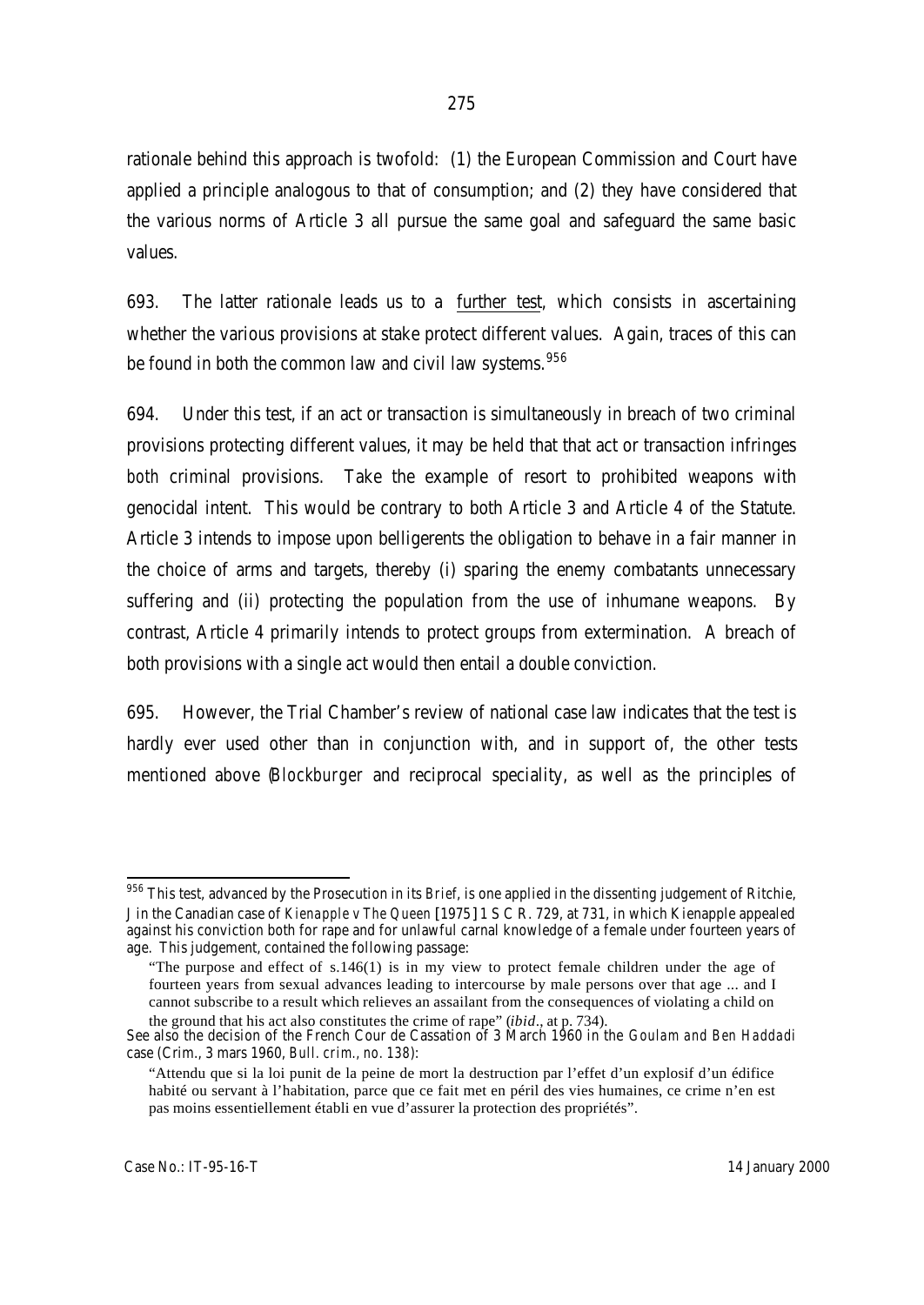rationale behind this approach is twofold: (1) the European Commission and Court have applied a principle analogous to that of consumption; and (2) they have considered that the various norms of Article 3 all pursue the same goal and safeguard the same basic values.

693. The latter rationale leads us to a further test, which consists in ascertaining whether the various provisions at stake protect different values. Again, traces of this can be found in both the common law and civil law systems.<sup>956</sup>

694. Under this test, if an act or transaction is simultaneously in breach of two criminal provisions protecting different values, it may be held that that act or transaction infringes *both* criminal provisions. Take the example of resort to prohibited weapons with genocidal intent. This would be contrary to both Article 3 and Article 4 of the Statute. Article 3 intends to impose upon belligerents the obligation to behave in a fair manner in the choice of arms and targets, thereby (i) sparing the enemy combatants unnecessary suffering and (ii) protecting the population from the use of inhumane weapons. By contrast, Article 4 primarily intends to protect groups from extermination. A breach of both provisions with a single act would then entail a double conviction.

695. However, the Trial Chamber's review of national case law indicates that the test is hardly ever used other than in conjunction with, and in support of, the other tests mentioned above (*Blockburger* and reciprocal speciality, as well as the principles of

 $\overline{a}$ <sup>956</sup> This test, advanced by the Prosecution in its *Brief*, is one applied in the dissenting judgement of Ritchie, J in the Canadian case of *Kienapple v The Queen* [1975] 1 S C R. 729, at 731, in which Kienapple appealed against his conviction both for rape and for unlawful carnal knowledge of a female under fourteen years of age. This judgement, contained the following passage:

<sup>&</sup>quot;The purpose and effect of s.146(1) is in my view to protect female children under the age of fourteen years from sexual advances leading to intercourse by male persons over that age ... and I cannot subscribe to a result which relieves an assailant from the consequences of violating a child on the ground that his act also constitutes the crime of rape" (*ibid*., at p. 734).

See also the decision of the French Cour de Cassation of 3 March 1960 in the *Goulam and Ben Haddadi* case (Crim., 3 mars 1960, *Bull. crim., no. 138*):

<sup>&</sup>quot;Attendu que si la loi punit de la peine de mort la destruction par l'effet d'un explosif d'un édifice habité ou servant à l'habitation, parce que ce fait met en péril des vies humaines, ce crime n'en est pas moins essentiellement établi en vue d'assurer la protection des propriétés".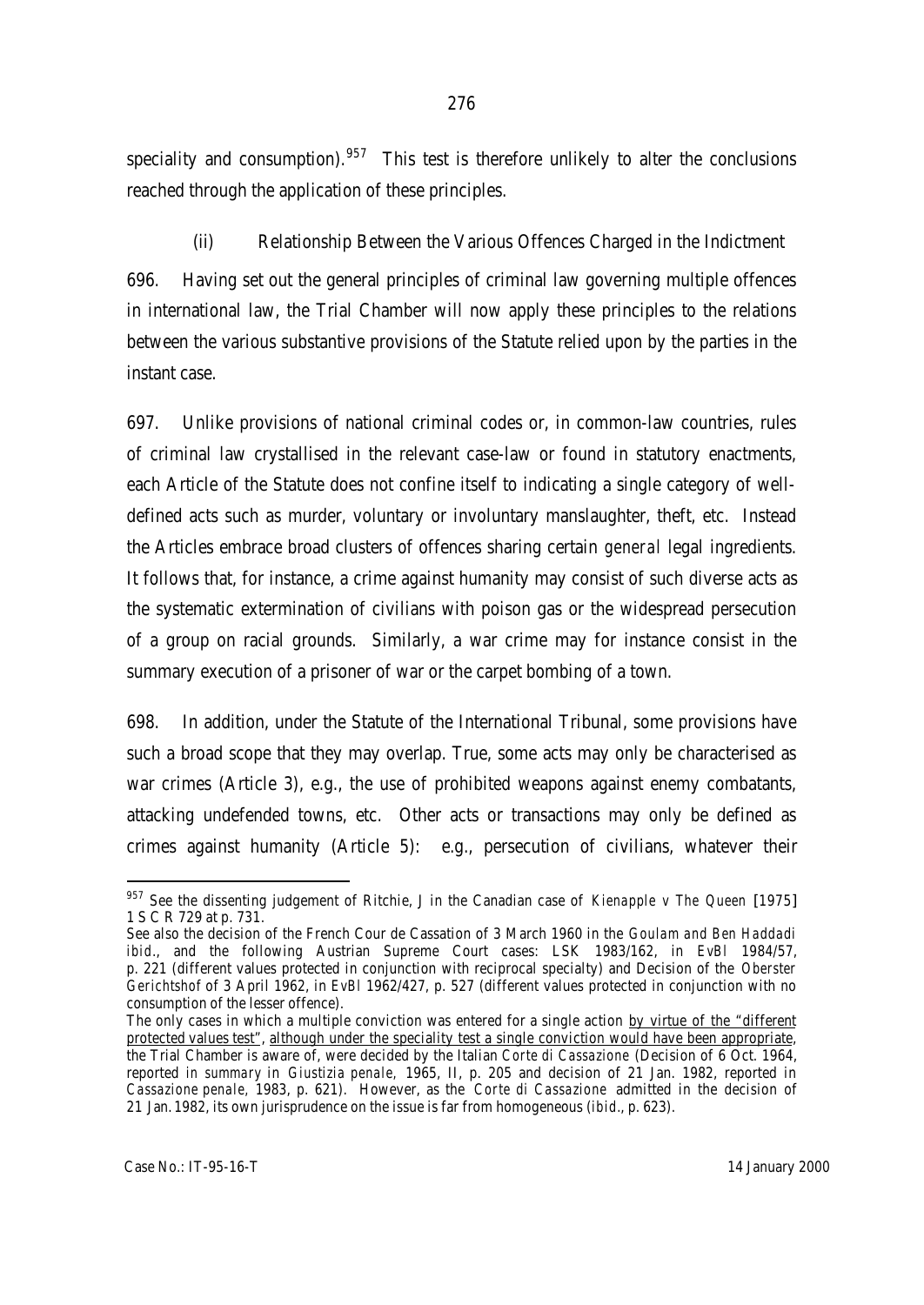speciality and consumption).<sup>957</sup> This test is therefore unlikely to alter the conclusions reached through the application of these principles.

(ii) Relationship Between the Various Offences Charged in the Indictment

696. Having set out the general principles of criminal law governing multiple offences in international law, the Trial Chamber will now apply these principles to the relations between the various substantive provisions of the Statute relied upon by the parties in the instant case.

697. Unlike provisions of national criminal codes or, in common-law countries, rules of criminal law crystallised in the relevant case-law or found in statutory enactments, each Article of the Statute does not confine itself to indicating a single category of welldefined acts such as murder, voluntary or involuntary manslaughter, theft, etc. Instead the Articles embrace broad clusters of offences sharing certain *general* legal ingredients. It follows that, for instance, a crime against humanity may consist of such diverse acts as the systematic extermination of civilians with poison gas or the widespread persecution of a group on racial grounds. Similarly, a war crime may for instance consist in the summary execution of a prisoner of war or the carpet bombing of a town.

698. In addition, under the Statute of the International Tribunal, some provisions have such a broad scope that they may overlap. True, some acts may only be characterised as war crimes (Article 3), e.g., the use of prohibited weapons against enemy combatants, attacking undefended towns, etc. Other acts or transactions may only be defined as crimes against humanity (Article 5): e.g., persecution of civilians, whatever their

<sup>957</sup> See the dissenting judgement of Ritchie, J in the Canadian case of *Kienapple v The Queen* [1975] 1 S C R 729 at p. 731.

See also the decision of the French Cour de Cassation of 3 March 1960 in the *Goulam and Ben Haddadi ibid*., and the following Austrian Supreme Court cases: LSK 1983/162, in *EvBl* 1984/57, p. 221 (different values protected in conjunction with reciprocal specialty) and Decision of the *Oberster Gerichtshof* of 3 April 1962, in *EvBl* 1962/427, p. 527 (different values protected in conjunction with no consumption of the lesser offence).

The only cases in which a multiple conviction was entered for a single action by virtue of the "different" protected values test", although under the speciality test a single conviction would have been appropriate, the Trial Chamber is aware of, were decided by the Italian *Corte di Cassazione* (Decision of 6 Oct. 1964, reported *in summary* in *Giustizia penale,* 1965, II, p. 205 and decision of 21 Jan. 1982, reported in *Cassazione penale,* 1983, p. 621). However, as the *Corte di Cassazione* admitted in the decision of 21 Jan. 1982, its own jurisprudence on the issue is far from homogeneous (*ibid.*, p. 623).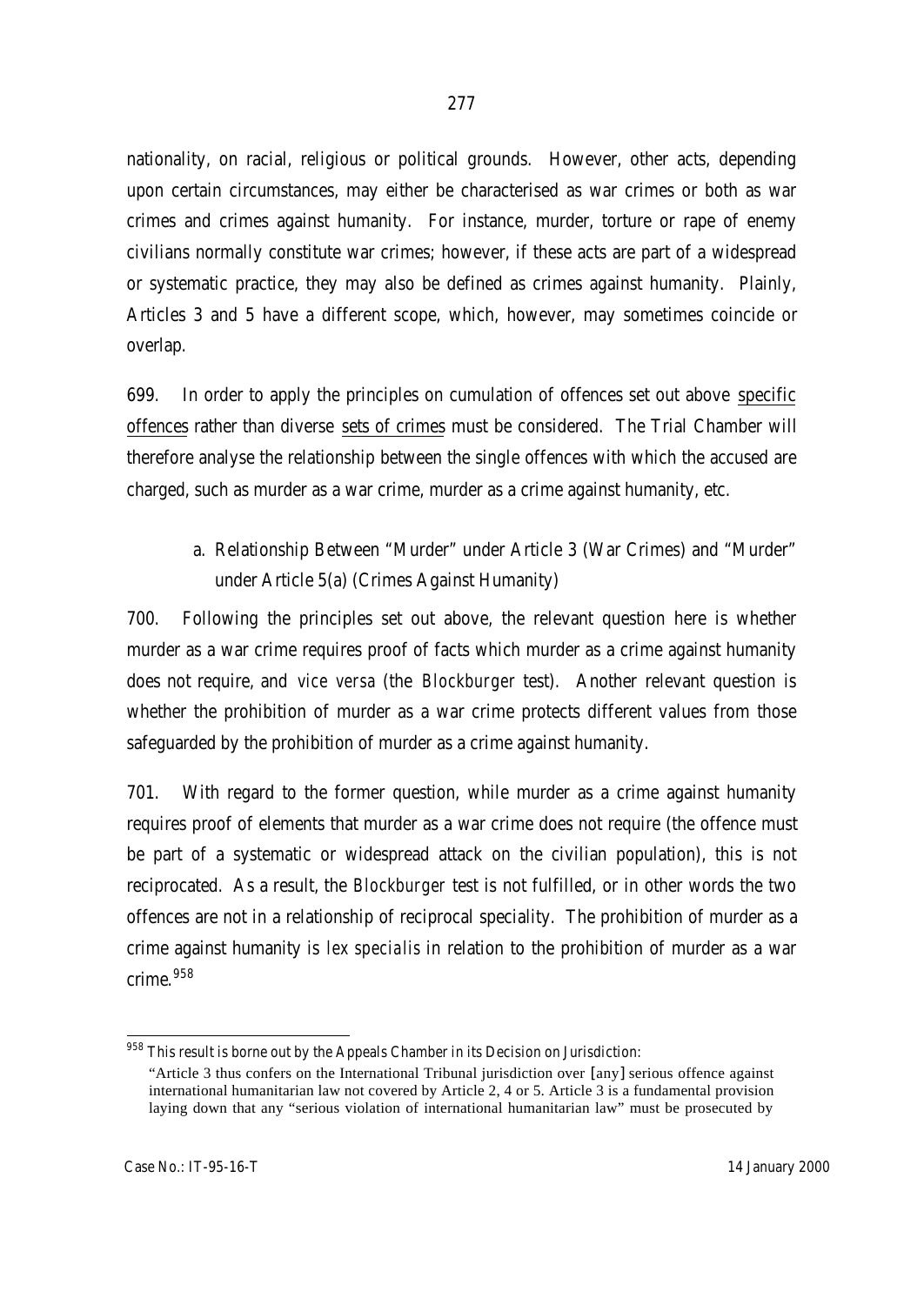nationality, on racial, religious or political grounds. However, other acts, depending upon certain circumstances, may either be characterised as war crimes or both as war crimes and crimes against humanity. For instance, murder, torture or rape of enemy civilians normally constitute war crimes; however, if these acts are part of a widespread or systematic practice, they may also be defined as crimes against humanity. Plainly, Articles 3 and 5 have a different scope, which, however, may sometimes coincide or overlap.

699. In order to apply the principles on cumulation of offences set out above specific offences rather than diverse sets of crimes must be considered. The Trial Chamber will therefore analyse the relationship between the single offences with which the accused are charged, such as murder as a war crime, murder as a crime against humanity, etc.

a. Relationship Between "Murder" under Article 3 (War Crimes) and "Murder" under Article 5(a) (Crimes Against Humanity)

700. Following the principles set out above, the relevant question here is whether murder as a war crime requires proof of facts which murder as a crime against humanity does not require, and *vice versa* (the *Blockburger* test). Another relevant question is whether the prohibition of murder as a war crime protects different values from those safeguarded by the prohibition of murder as a crime against humanity.

701. With regard to the former question, while murder as a crime against humanity requires proof of elements that murder as a war crime does not require (the offence must be part of a systematic or widespread attack on the civilian population), this is not reciprocated. As a result, the *Blockburger* test is not fulfilled, or in other words the two offences are not in a relationship of reciprocal speciality. The prohibition of murder as a crime against humanity is *lex specialis* in relation to the prohibition of murder as a war crime.<sup>958</sup>

 $\overline{a}$  $958$  This result is borne out by the Appeals Chamber in its Decision on Jurisdiction:

<sup>&</sup>quot;Article 3 thus confers on the International Tribunal jurisdiction over [any] serious offence against international humanitarian law not covered by Article 2, 4 or 5. Article 3 is a fundamental provision laying down that any "serious violation of international humanitarian law" must be prosecuted by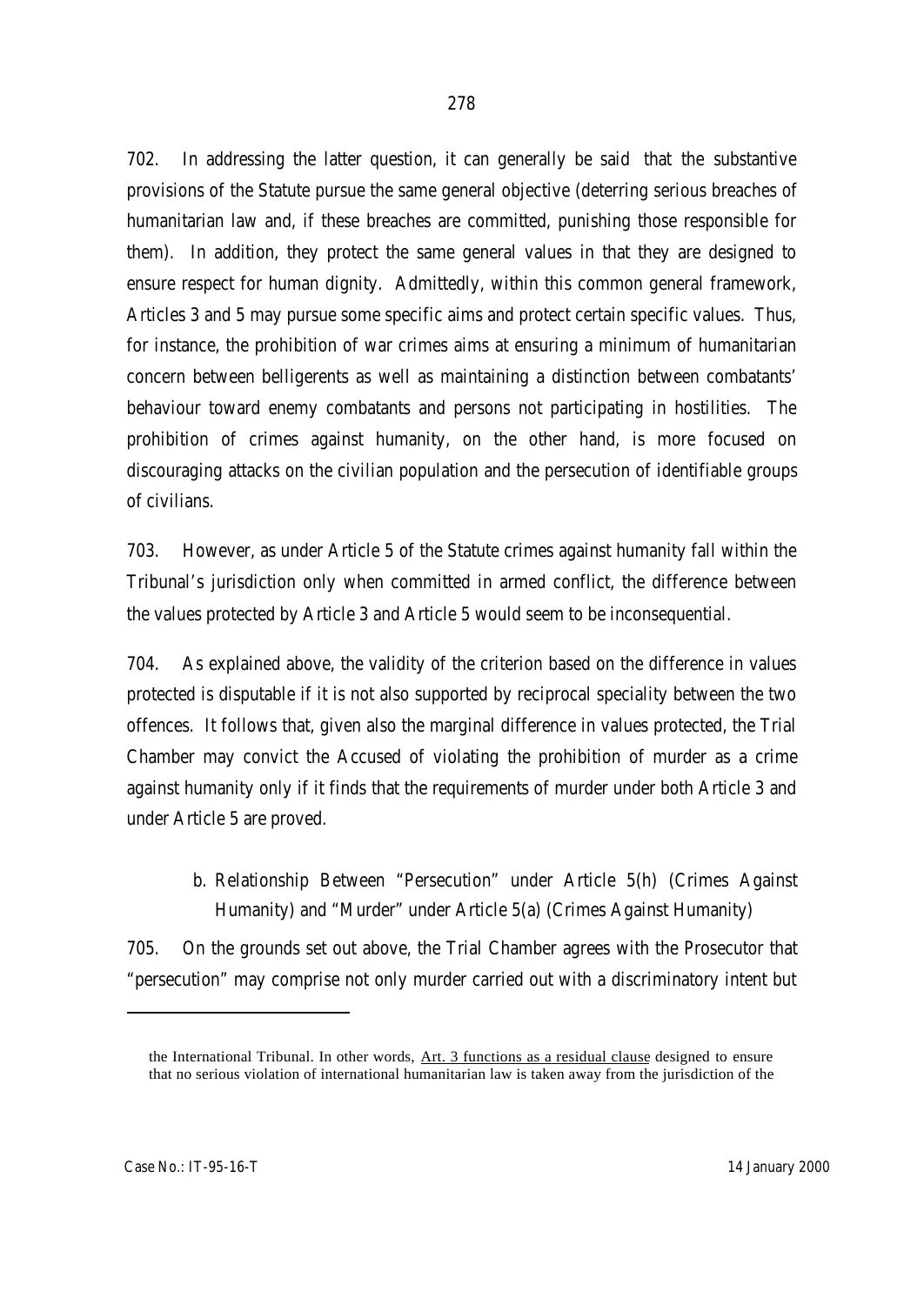702. In addressing the latter question, it can generally be said that the substantive provisions of the Statute pursue the same general objective (deterring serious breaches of humanitarian law and, if these breaches are committed, punishing those responsible for them). In addition, they protect the same general values in that they are designed to ensure respect for human dignity. Admittedly, within this common general framework, Articles 3 and 5 may pursue some specific aims and protect certain specific values. Thus, for instance, the prohibition of war crimes aims at ensuring a minimum of humanitarian concern between belligerents as well as maintaining a distinction between combatants' behaviour toward enemy combatants and persons not participating in hostilities. The prohibition of crimes against humanity, on the other hand, is more focused on discouraging attacks on the civilian population and the persecution of identifiable groups of civilians.

703. However, as under Article 5 of the Statute crimes against humanity fall within the Tribunal's jurisdiction only when committed in armed conflict, the difference between the values protected by Article 3 and Article 5 would seem to be inconsequential.

704. As explained above, the validity of the criterion based on the difference in values protected is disputable if it is not also supported by reciprocal speciality between the two offences. It follows that, given also the marginal difference in values protected, the Trial Chamber may convict the Accused of violating the prohibition of murder as a crime against humanity only if it finds that the requirements of murder under both Article 3 and under Article 5 are proved.

b. Relationship Between "Persecution" under Article 5(h) (Crimes Against Humanity) and "Murder" under Article 5(a) (Crimes Against Humanity)

705. On the grounds set out above, the Trial Chamber agrees with the Prosecutor that "persecution" may comprise not only murder carried out with a discriminatory intent but

the International Tribunal. In other words, Art. 3 functions as a residual clause designed to ensure that no serious violation of international humanitarian law is taken away from the jurisdiction of the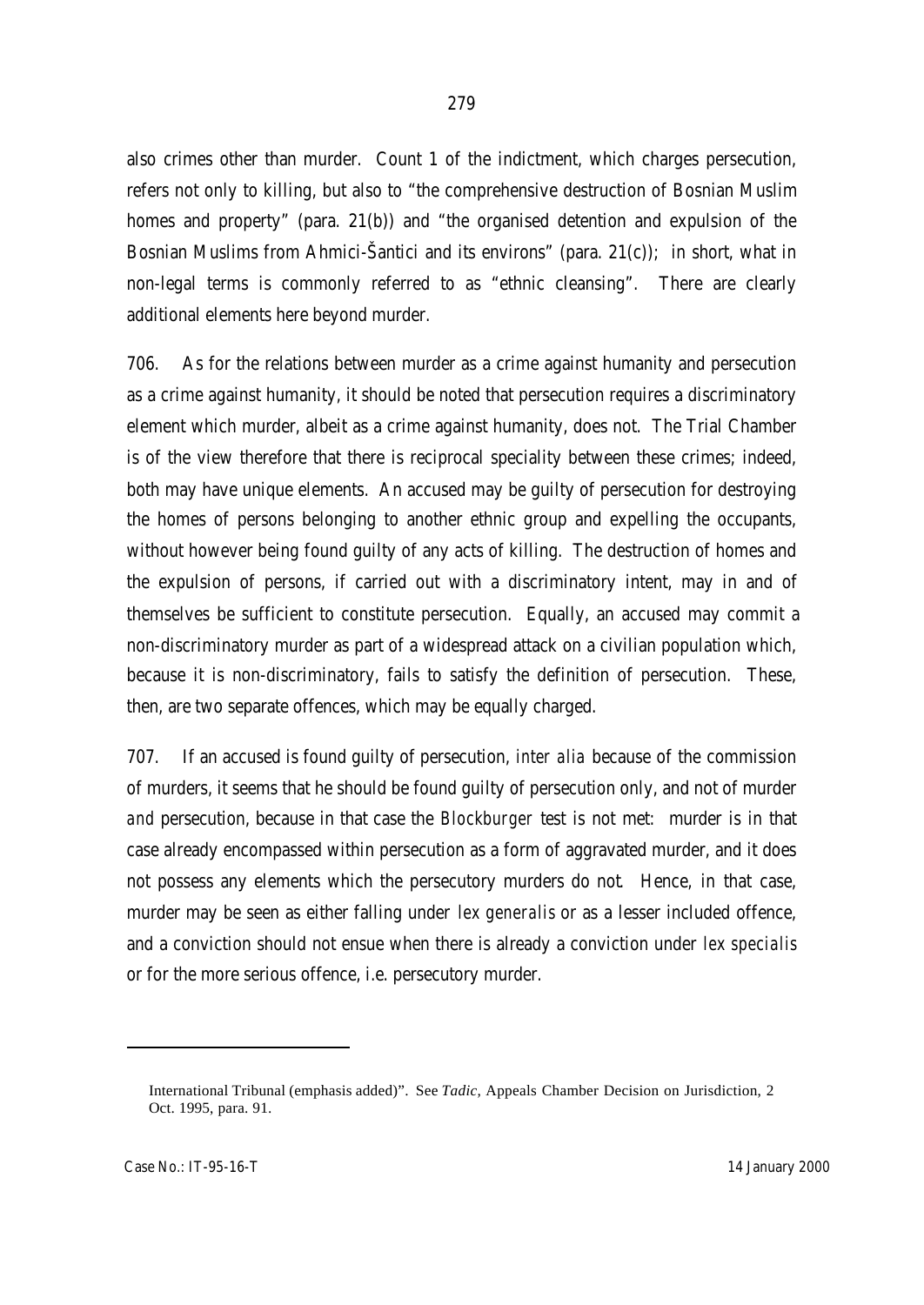also crimes other than murder. Count 1 of the indictment, which charges persecution, refers not only to killing, but also to "the comprehensive destruction of Bosnian Muslim homes and property" (para. 21(b)) and "the organised detention and expulsion of the Bosnian Muslims from Ahmici-Šantici and its environs" (para. 21(c)); in short, what in non-legal terms is commonly referred to as "ethnic cleansing". There are clearly additional elements here beyond murder.

706. As for the relations between murder as a crime against humanity and persecution as a crime against humanity, it should be noted that persecution requires a discriminatory element which murder, albeit as a crime against humanity, does not. The Trial Chamber is of the view therefore that there is reciprocal speciality between these crimes; indeed, both may have unique elements. An accused may be guilty of persecution for destroying the homes of persons belonging to another ethnic group and expelling the occupants, without however being found guilty of any acts of killing. The destruction of homes and the expulsion of persons, if carried out with a discriminatory intent, may in and of themselves be sufficient to constitute persecution. Equally, an accused may commit a non-discriminatory murder as part of a widespread attack on a civilian population which, because it is non-discriminatory, fails to satisfy the definition of persecution. These, then, are two separate offences, which may be equally charged.

707. If an accused is found guilty of persecution, *inter alia* because of the commission of murders, it seems that he should be found guilty of persecution only, and not of murder *and* persecution, because in that case the *Blockburger* test is not met: murder is in that case already encompassed within persecution as a form of aggravated murder, and it does not possess any elements which the persecutory murders do not*.* Hence, in that case, murder may be seen as either falling under *lex generalis* or as a lesser included offence, and a conviction should not ensue when there is already a conviction under *lex specialis* or for the more serious offence, i.e. persecutory murder.

International Tribunal (emphasis added)". See *Tadic,* Appeals Chamber Decision on Jurisdiction, 2 Oct. 1995, para. 91.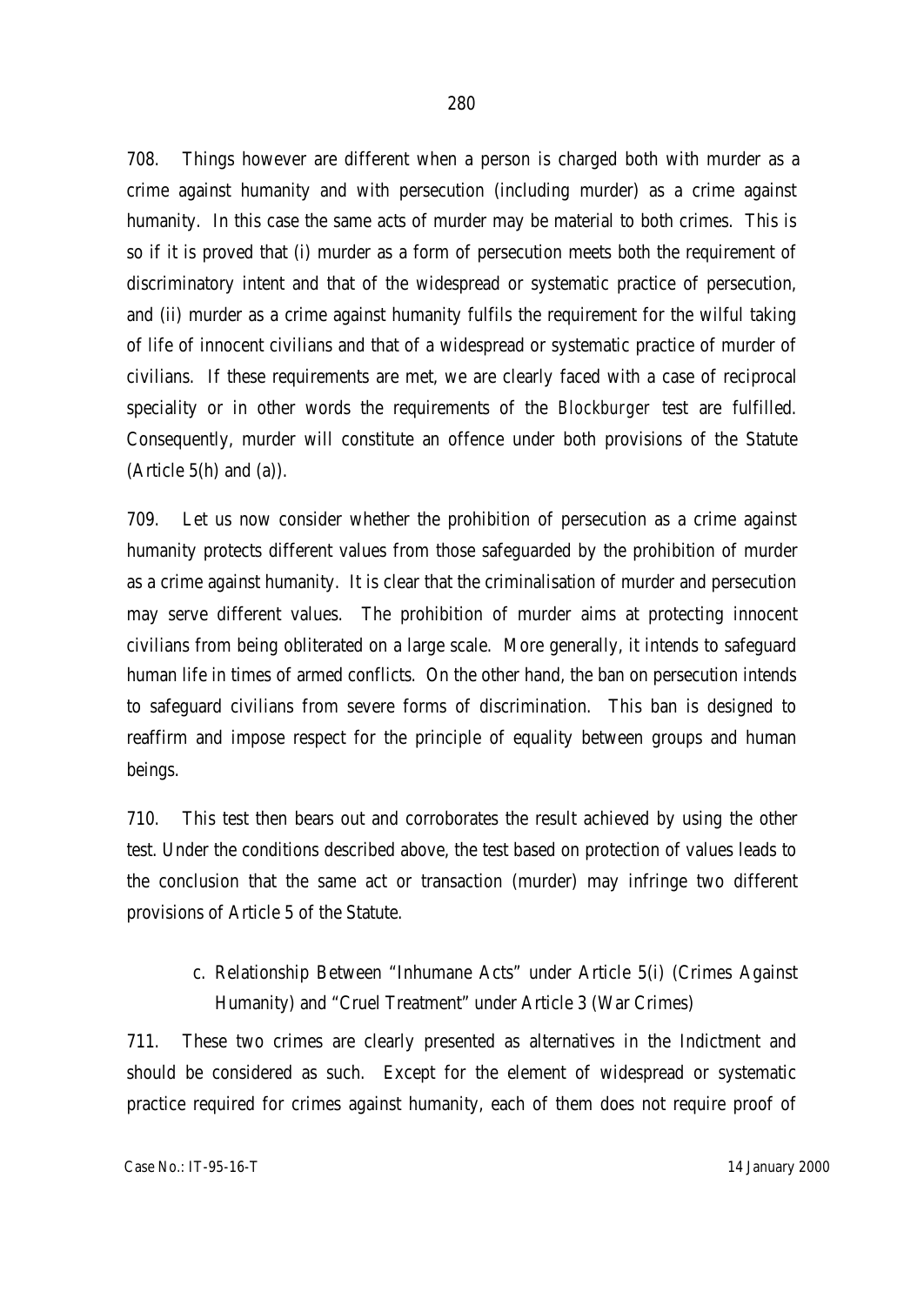708. Things however are different when a person is charged both with murder as a crime against humanity and with persecution (including murder) as a crime against humanity. In this case the same acts of murder may be material to both crimes. This is so if it is proved that (i) murder as a form of persecution meets both the requirement of discriminatory intent and that of the widespread or systematic practice of persecution, and (ii) murder as a crime against humanity fulfils the requirement for the wilful taking of life of innocent civilians and that of a widespread or systematic practice of murder of civilians. If these requirements are met, we are clearly faced with a case of reciprocal speciality or in other words the requirements of the *Blockburger* test are fulfilled. Consequently, murder will constitute an offence under both provisions of the Statute (Article 5(h) and (a)).

709. Let us now consider whether the prohibition of persecution as a crime against humanity protects different values from those safeguarded by the prohibition of murder as a crime against humanity. It is clear that the criminalisation of murder and persecution may serve different values. The prohibition of murder aims at protecting innocent civilians from being obliterated on a large scale. More generally, it intends to safeguard human life in times of armed conflicts. On the other hand, the ban on persecution intends to safeguard civilians from severe forms of discrimination. This ban is designed to reaffirm and impose respect for the principle of equality between groups and human beings.

710. This test then bears out and corroborates the result achieved by using the other test. Under the conditions described above, the test based on protection of values leads to the conclusion that the same act or transaction (murder) may infringe two different provisions of Article 5 of the Statute.

c. Relationship Between "Inhumane Acts" under Article 5(i) (Crimes Against Humanity) and "Cruel Treatment" under Article 3 (War Crimes)

711. These two crimes are clearly presented as alternatives in the Indictment and should be considered as such. Except for the element of widespread or systematic practice required for crimes against humanity, each of them does not require proof of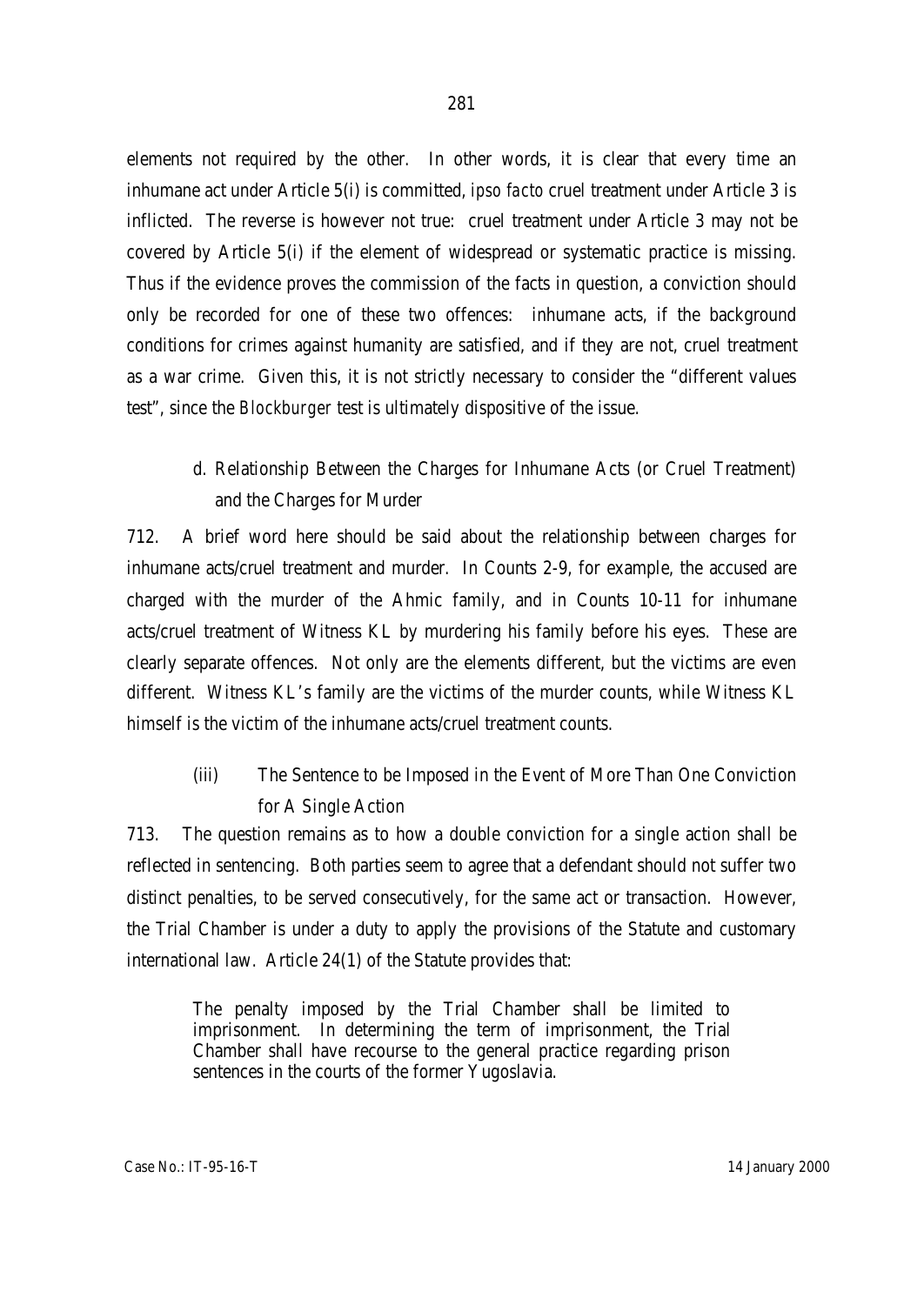elements not required by the other. In other words, it is clear that every time an inhumane act under Article 5(i) is committed, *ipso facto* cruel treatment under Article 3 is inflicted. The reverse is however not true: cruel treatment under Article 3 may not be covered by Article 5(i) if the element of widespread or systematic practice is missing. Thus if the evidence proves the commission of the facts in question, a conviction should only be recorded for one of these two offences: inhumane acts, if the background conditions for crimes against humanity are satisfied, and if they are not, cruel treatment as a war crime. Given this, it is not strictly necessary to consider the "different values test", since the *Blockburger* test is ultimately dispositive of the issue.

281

d. Relationship Between the Charges for Inhumane Acts (or Cruel Treatment) and the Charges for Murder

712. A brief word here should be said about the relationship between charges for inhumane acts/cruel treatment and murder. In Counts 2-9, for example, the accused are charged with the murder of the Ahmic family, and in Counts 10-11 for inhumane acts/cruel treatment of Witness KL by murdering his family before his eyes. These are clearly separate offences. Not only are the elements different, but the victims are even different. Witness KL's family are the victims of the murder counts, while Witness KL himself is the victim of the inhumane acts/cruel treatment counts.

(iii) The Sentence to be Imposed in the Event of More Than One Conviction for A Single Action

713. The question remains as to how a double conviction for a single action shall be reflected in sentencing. Both parties seem to agree that a defendant should not suffer two distinct penalties, to be served consecutively, for the same act or transaction. However, the Trial Chamber is under a duty to apply the provisions of the Statute and customary international law. Article 24(1) of the Statute provides that:

The penalty imposed by the Trial Chamber shall be limited to imprisonment. In determining the term of imprisonment, the Trial Chamber shall have recourse to the general practice regarding prison sentences in the courts of the former Yugoslavia.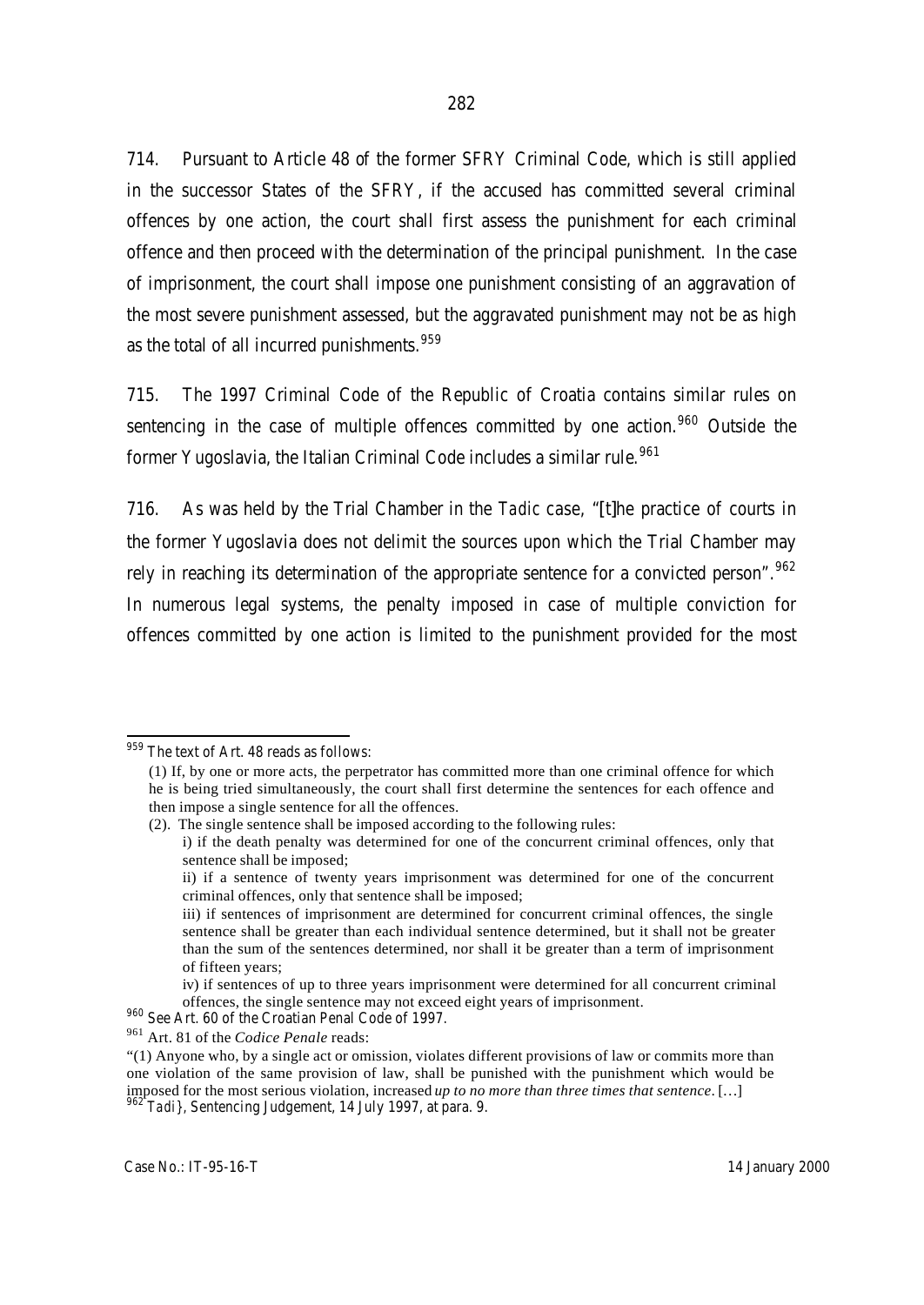714. Pursuant to Article 48 of the former SFRY Criminal Code, which is still applied in the successor States of the SFRY, if the accused has committed several criminal offences by one action, the court shall first assess the punishment for each criminal offence and then proceed with the determination of the principal punishment. In the case of imprisonment, the court shall impose one punishment consisting of an aggravation of the most severe punishment assessed, but the aggravated punishment may not be as high as the total of all incurred punishments.<sup>959</sup>

715. The 1997 Criminal Code of the Republic of Croatia contains similar rules on sentencing in the case of multiple offences committed by one action.<sup>960</sup> Outside the former Yugoslavia, the Italian Criminal Code includes a similar rule.<sup>961</sup>

716. As was held by the Trial Chamber in the *Tadic* case, "[t]he practice of courts in the former Yugoslavia does not delimit the sources upon which the Trial Chamber may rely in reaching its determination of the appropriate sentence for a convicted person".  $962$ In numerous legal systems, the penalty imposed in case of multiple conviction for offences committed by one action is limited to the punishment provided for the most

j <sup>959</sup> The text of Art. 48 reads as follows:

<sup>(1)</sup> If, by one or more acts, the perpetrator has committed more than one criminal offence for which he is being tried simultaneously, the court shall first determine the sentences for each offence and then impose a single sentence for all the offences.

<sup>(2).</sup> The single sentence shall be imposed according to the following rules:

i) if the death penalty was determined for one of the concurrent criminal offences, only that sentence shall be imposed;

ii) if a sentence of twenty years imprisonment was determined for one of the concurrent criminal offences, only that sentence shall be imposed;

iii) if sentences of imprisonment are determined for concurrent criminal offences, the single sentence shall be greater than each individual sentence determined, but it shall not be greater than the sum of the sentences determined, nor shall it be greater than a term of imprisonment of fifteen years;

iv) if sentences of up to three years imprisonment were determined for all concurrent criminal offences, the single sentence may not exceed eight years of imprisonment.

<sup>960</sup> See Art. 60 of the Croatian Penal Code of 1997.

<sup>961</sup> Art. 81 of the *Codice Penale* reads:

<sup>&</sup>quot;(1) Anyone who, by a single act or omission, violates different provisions of law or commits more than one violation of the same provision of law, shall be punished with the punishment which would be imposed for the most serious violation, increased *up to no more than three times that sentence*. [...] <sup>962</sup> *Tadi},* Sentencing Judgement, 14 July 1997, at para. 9.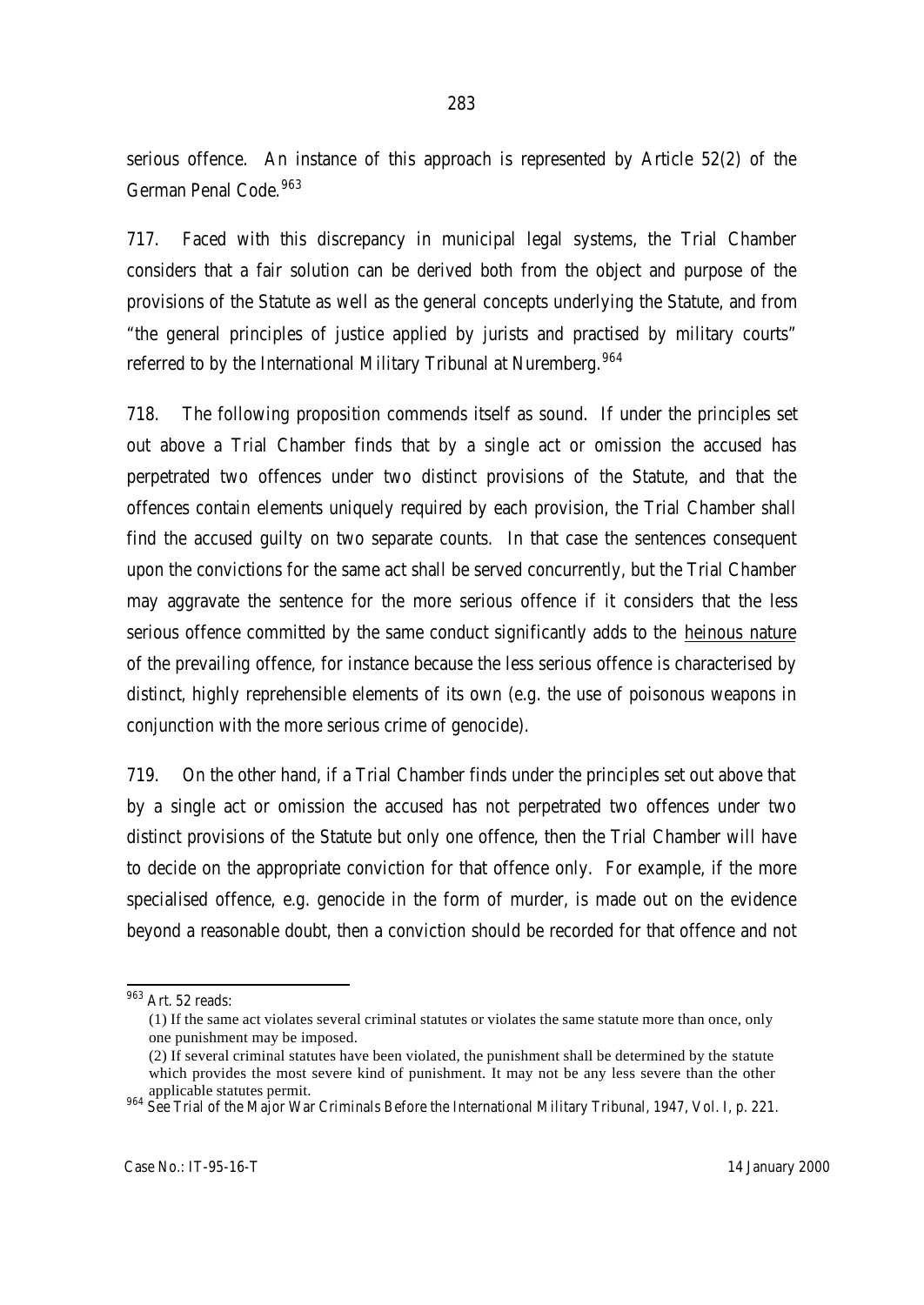serious offence. An instance of this approach is represented by Article 52(2) of the German Penal Code.<sup>963</sup>

717. Faced with this discrepancy in municipal legal systems, the Trial Chamber considers that a fair solution can be derived both from the object and purpose of the provisions of the Statute as well as the general concepts underlying the Statute, and from "the general principles of justice applied by jurists and practised by military courts" referred to by the International Military Tribunal at Nuremberg.<sup>964</sup>

718. The following proposition commends itself as sound. If under the principles set out above a Trial Chamber finds that by a single act or omission the accused has perpetrated two offences under two distinct provisions of the Statute, and that the offences contain elements uniquely required by each provision, the Trial Chamber shall find the accused guilty on two separate counts. In that case the sentences consequent upon the convictions for the same act shall be served concurrently, but the Trial Chamber may aggravate the sentence for the more serious offence if it considers that the less serious offence committed by the same conduct significantly adds to the heinous nature of the prevailing offence, for instance because the less serious offence is characterised by distinct, highly reprehensible elements of its own (e.g. the use of poisonous weapons in conjunction with the more serious crime of genocide).

719. On the other hand, if a Trial Chamber finds under the principles set out above that by a single act or omission the accused has not perpetrated two offences under two distinct provisions of the Statute but only one offence, then the Trial Chamber will have to decide on the appropriate conviction for that offence only. For example, if the more specialised offence, e.g. genocide in the form of murder, is made out on the evidence beyond a reasonable doubt, then a conviction should be recorded for that offence and not

 $\overline{a}$ 963 Art. 52 reads:

<sup>(1)</sup> If the same act violates several criminal statutes or violates the same statute more than once, only one punishment may be imposed.

<sup>(2)</sup> If several criminal statutes have been violated, the punishment shall be determined by the statute which provides the most severe kind of punishment. It may not be any less severe than the other applicable statutes permit.

<sup>&</sup>lt;sup>964</sup> See Trial of the Major War Criminals Before the International Military Tribunal, 1947, Vol. I, p. 221.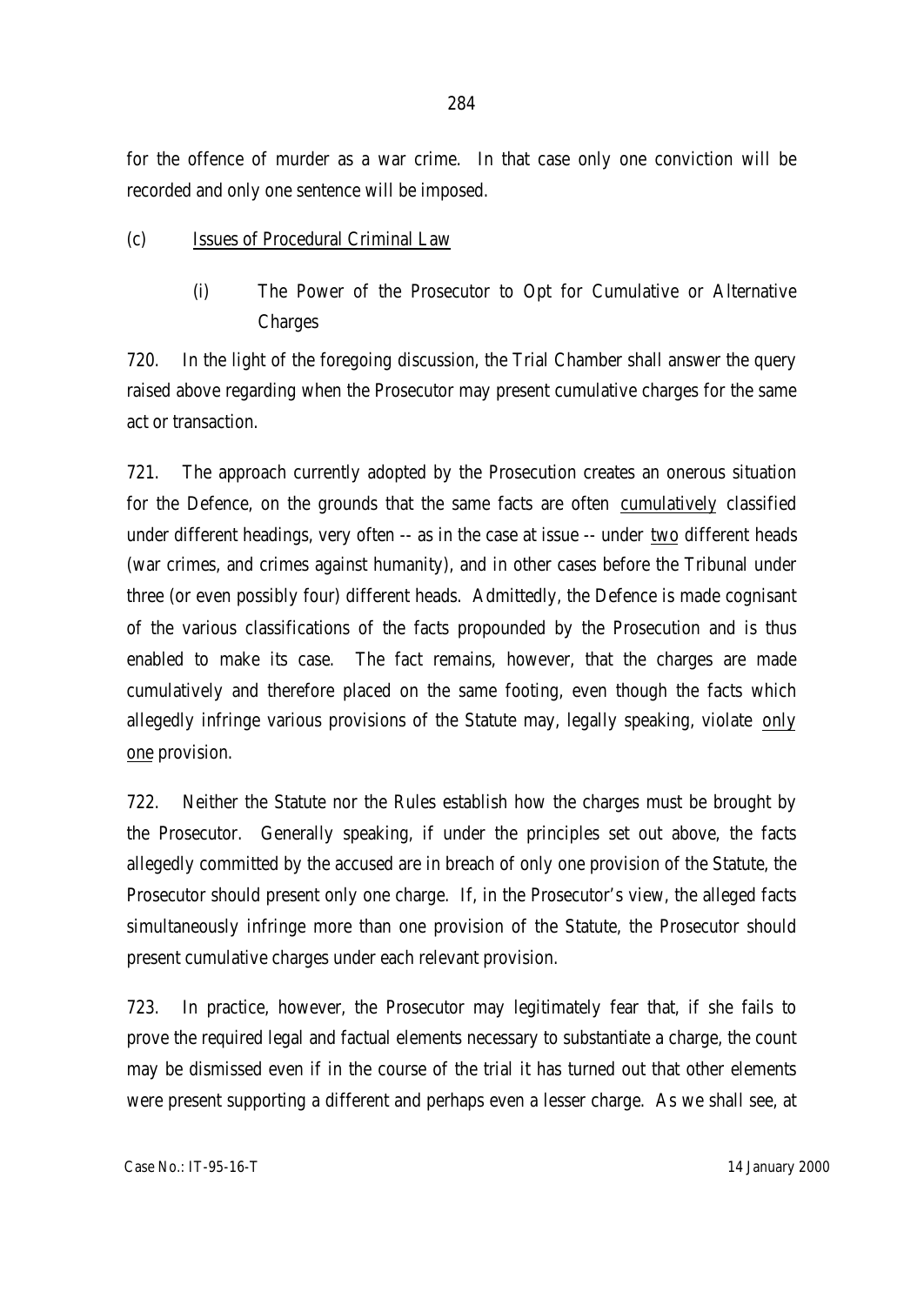for the offence of murder as a war crime. In that case only one conviction will be recorded and only one sentence will be imposed.

#### (c) Issues of Procedural Criminal Law

(i) The Power of the Prosecutor to Opt for Cumulative or Alternative **Charges** 

720. In the light of the foregoing discussion, the Trial Chamber shall answer the query raised above regarding when the Prosecutor may present cumulative charges for the same act or transaction.

721. The approach currently adopted by the Prosecution creates an onerous situation for the Defence, on the grounds that the same facts are often cumulatively classified under different headings, very often -- as in the case at issue -- under two different heads (war crimes, and crimes against humanity), and in other cases before the Tribunal under three (or even possibly four) different heads. Admittedly, the Defence is made cognisant of the various classifications of the facts propounded by the Prosecution and is thus enabled to make its case. The fact remains, however, that the charges are made cumulatively and therefore placed on the same footing, even though the facts which allegedly infringe various provisions of the Statute may, legally speaking, violate only one provision.

722. Neither the Statute nor the Rules establish how the charges must be brought by the Prosecutor. Generally speaking, if under the principles set out above, the facts allegedly committed by the accused are in breach of only one provision of the Statute, the Prosecutor should present only one charge. If, in the Prosecutor's view, the alleged facts simultaneously infringe more than one provision of the Statute, the Prosecutor should present cumulative charges under each relevant provision.

723. In practice, however, the Prosecutor may legitimately fear that, if she fails to prove the required legal and factual elements necessary to substantiate a charge, the count may be dismissed even if in the course of the trial it has turned out that other elements were present supporting a different and perhaps even a lesser charge. As we shall see, at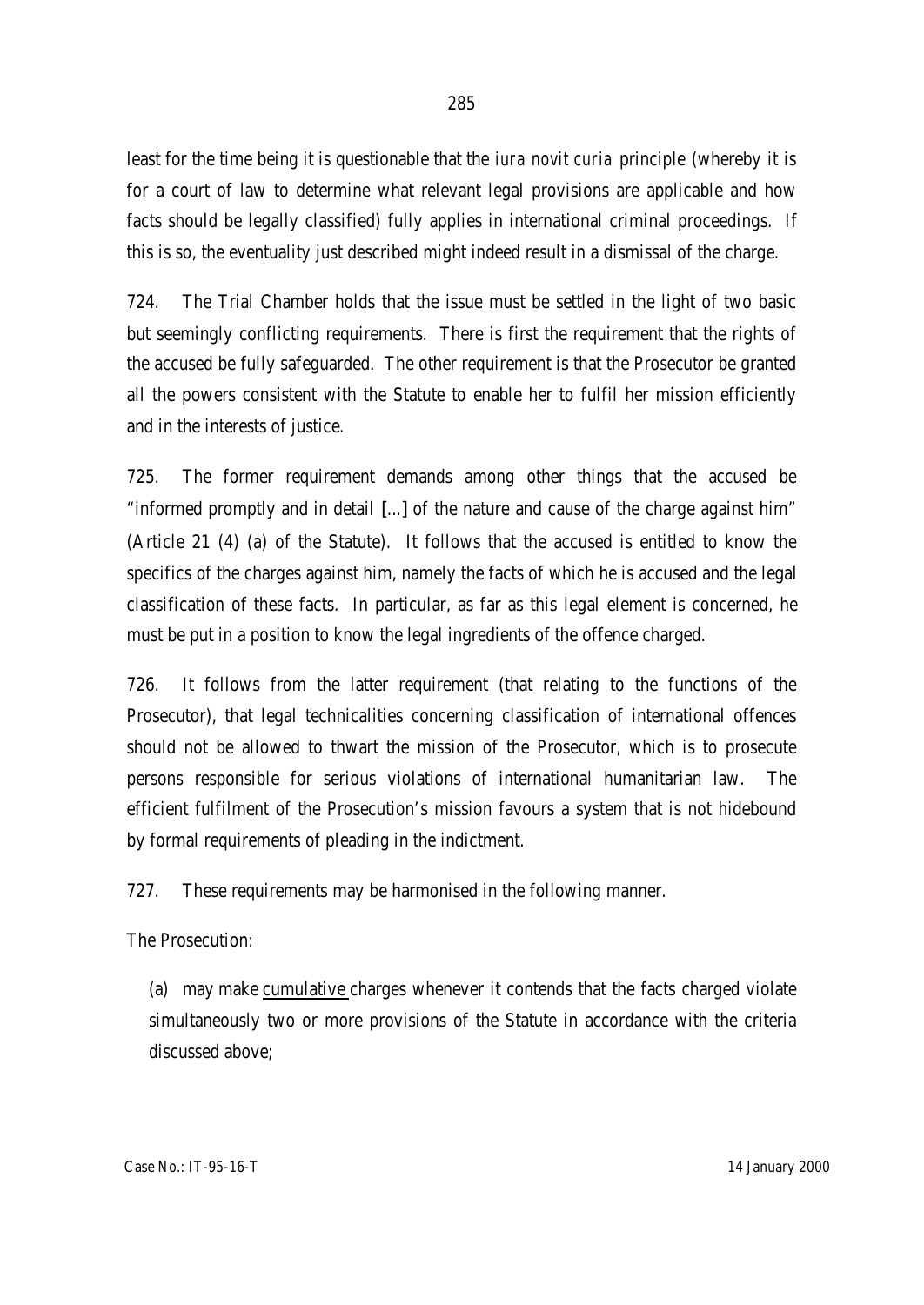least for the time being it is questionable that the *iura novit curia* principle (whereby it is for a court of law to determine what relevant legal provisions are applicable and how facts should be legally classified) fully applies in international criminal proceedings. If this is so, the eventuality just described might indeed result in a dismissal of the charge.

724. The Trial Chamber holds that the issue must be settled in the light of two basic but seemingly conflicting requirements. There is first the requirement that the rights of the accused be fully safeguarded. The other requirement is that the Prosecutor be granted all the powers consistent with the Statute to enable her to fulfil her mission efficiently and in the interests of justice.

725. The former requirement demands among other things that the accused be "informed promptly and in detail [...] of the nature and cause of the charge against him" (Article 21 (4) (a) of the Statute). It follows that the accused is entitled to know the specifics of the charges against him, namely the facts of which he is accused and the legal classification of these facts. In particular, as far as this legal element is concerned, he must be put in a position to know the legal ingredients of the offence charged.

726. It follows from the latter requirement (that relating to the functions of the Prosecutor), that legal technicalities concerning classification of international offences should not be allowed to thwart the mission of the Prosecutor, which is to prosecute persons responsible for serious violations of international humanitarian law. The efficient fulfilment of the Prosecution's mission favours a system that is not hidebound by formal requirements of pleading in the indictment.

727. These requirements may be harmonised in the following manner.

The Prosecution:

(a) may make cumulative charges whenever it contends that the facts charged violate simultaneously two or more provisions of the Statute in accordance with the criteria discussed above;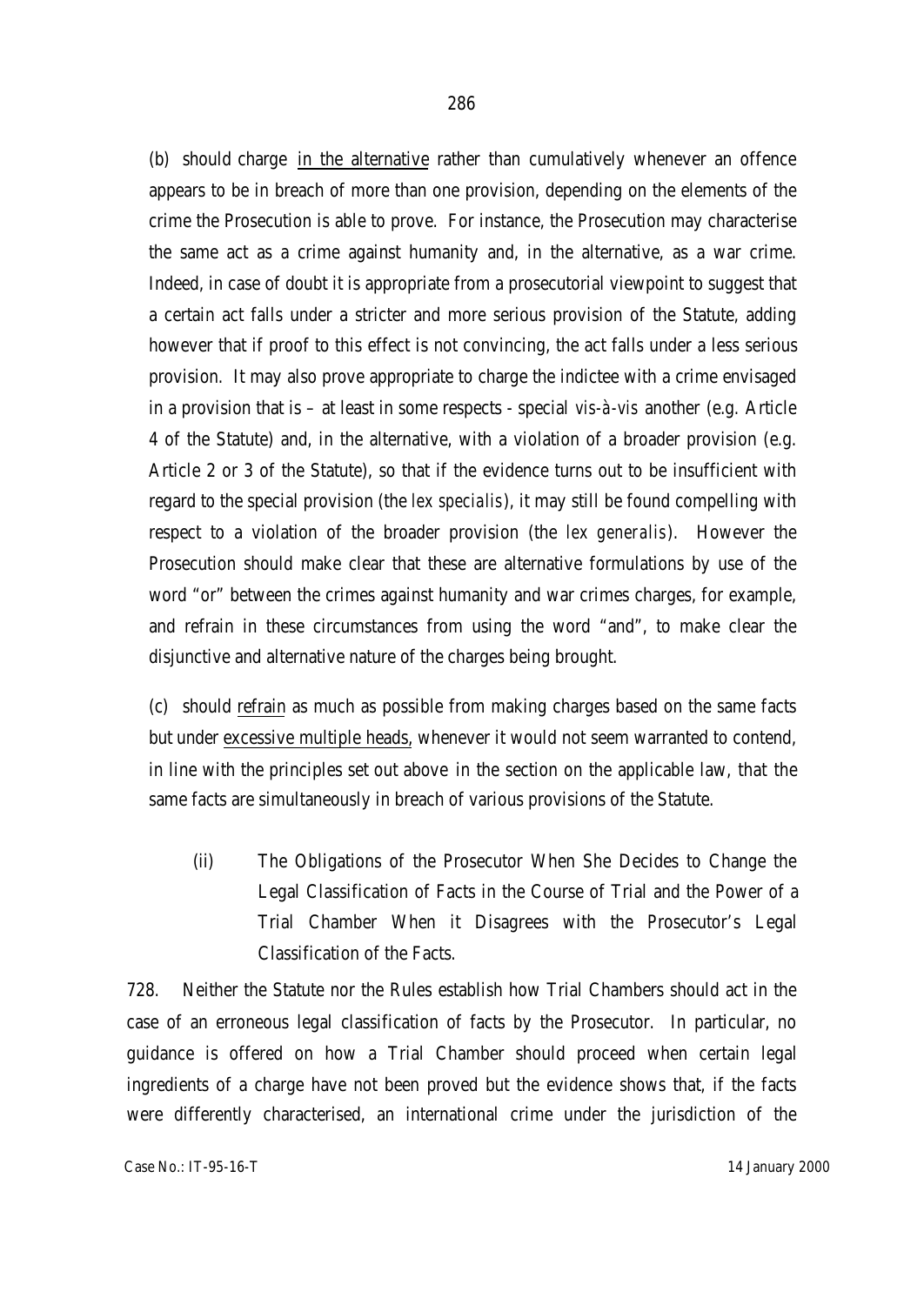(b) should charge in the alternative rather than cumulatively whenever an offence appears to be in breach of more than one provision, depending on the elements of the crime the Prosecution is able to prove. For instance, the Prosecution may characterise the same act as a crime against humanity and, in the alternative, as a war crime. Indeed, in case of doubt it is appropriate from a prosecutorial viewpoint to suggest that a certain act falls under a stricter and more serious provision of the Statute, adding however that if proof to this effect is not convincing, the act falls under a less serious provision. It may also prove appropriate to charge the indictee with a crime envisaged in a provision that is – at least in some respects - special *vis-à-vis* another (e.g. Article 4 of the Statute) and, in the alternative, with a violation of a broader provision (e.g. Article 2 or 3 of the Statute), so that if the evidence turns out to be insufficient with regard to the special provision (the *lex specialis*), it may still be found compelling with respect to a violation of the broader provision (the *lex generalis*). However the Prosecution should make clear that these are alternative formulations by use of the word "or" between the crimes against humanity and war crimes charges, for example, and refrain in these circumstances from using the word "and", to make clear the disjunctive and alternative nature of the charges being brought.

(c) should refrain as much as possible from making charges based on the same facts but under excessive multiple heads, whenever it would not seem warranted to contend, in line with the principles set out above in the section on the applicable law, that the same facts are simultaneously in breach of various provisions of the Statute.

(ii) The Obligations of the Prosecutor When She Decides to Change the Legal Classification of Facts in the Course of Trial and the Power of a Trial Chamber When it Disagrees with the Prosecutor's Legal Classification of the Facts.

728. Neither the Statute nor the Rules establish how Trial Chambers should act in the case of an erroneous legal classification of facts by the Prosecutor. In particular, no guidance is offered on how a Trial Chamber should proceed when certain legal ingredients of a charge have not been proved but the evidence shows that, if the facts were differently characterised, an international crime under the jurisdiction of the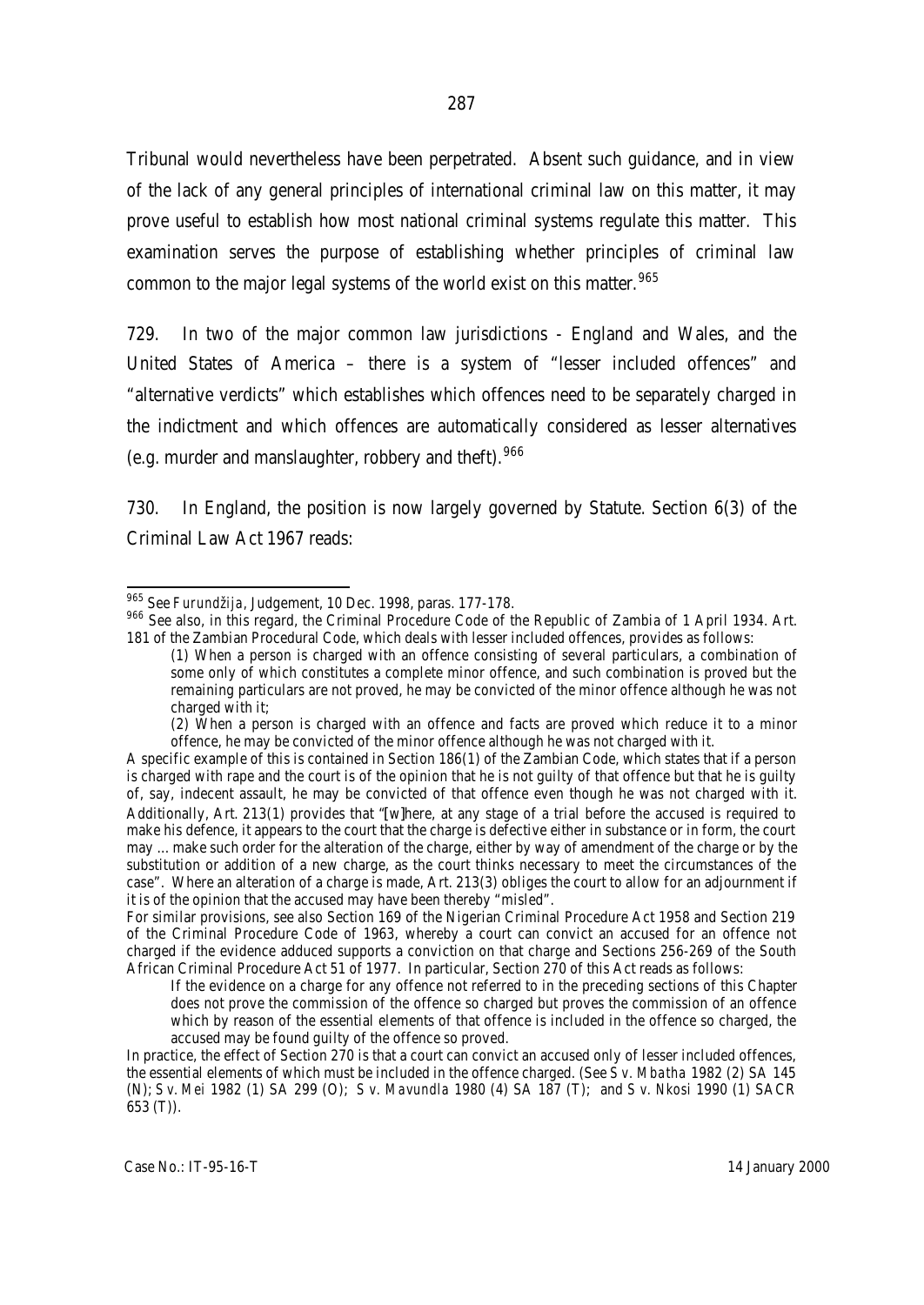287

Tribunal would nevertheless have been perpetrated. Absent such guidance, and in view of the lack of any general principles of international criminal law on this matter, it may prove useful to establish how most national criminal systems regulate this matter. This examination serves the purpose of establishing whether principles of criminal law common to the major legal systems of the world exist on this matter.<sup>965</sup>

729. In two of the major common law jurisdictions - England and Wales, and the United States of America – there is a system of "lesser included offences" and "alternative verdicts" which establishes which offences need to be separately charged in the indictment and which offences are automatically considered as lesser alternatives (e.g. murder and manslaughter, robbery and theft).<sup>966</sup>

730. In England, the position is now largely governed by Statute. Section 6(3) of the Criminal Law Act 1967 reads:

j <sup>965</sup> See *Furundžija,* Judgement, 10 Dec. 1998, paras. 177-178.

<sup>966</sup> See also, in this regard, the Criminal Procedure Code of the Republic of Zambia of 1 April 1934. Art. 181 of the Zambian Procedural Code, which deals with lesser included offences, provides as follows:

<sup>(1)</sup> When a person is charged with an offence consisting of several particulars, a combination of some only of which constitutes a complete minor offence, and such combination is proved but the remaining particulars are not proved, he may be convicted of the minor offence although he was not charged with it:

<sup>(2)</sup> When a person is charged with an offence and facts are proved which reduce it to a minor offence, he may be convicted of the minor offence although he was not charged with it.

A specific example of this is contained in Section 186(1) of the Zambian Code, which states that if a person is charged with rape and the court is of the opinion that he is not guilty of that offence but that he is guilty of, say, indecent assault, he may be convicted of that offence even though he was not charged with it. Additionally, Art. 213(1) provides that "[w]here, at any stage of a trial before the accused is required to make his defence, it appears to the court that the charge is defective either in substance or in form, the court may ... make such order for the alteration of the charge, either by way of amendment of the charge or by the substitution or addition of a new charge, as the court thinks necessary to meet the circumstances of the case". Where an alteration of a charge is made, Art. 213(3) obliges the court to allow for an adjournment if it is of the opinion that the accused may have been thereby "misled".

For similar provisions, see also Section 169 of the Nigerian Criminal Procedure Act 1958 and Section 219 of the Criminal Procedure Code of 1963, whereby a court can convict an accused for an offence not charged if the evidence adduced supports a conviction on that charge and Sections 256-269 of the South African Criminal Procedure Act 51 of 1977. In particular, Section 270 of this Act reads as follows:

If the evidence on a charge for any offence not referred to in the preceding sections of this Chapter does not prove the commission of the offence so charged but proves the commission of an offence which by reason of the essential elements of that offence is included in the offence so charged, the accused may be found guilty of the offence so proved.

In practice, the effect of Section 270 is that a court can convict an accused only of lesser included offences, the essential elements of which must be included in the offence charged. (See *S v. Mbatha* 1982 (2) SA 145 (N); *S v. Mei* 1982 (1) SA 299 (O); *S v. Mavundla* 1980 (4) SA 187 (T); and *S v. Nkosi* 1990 (1) SACR 653 (T)).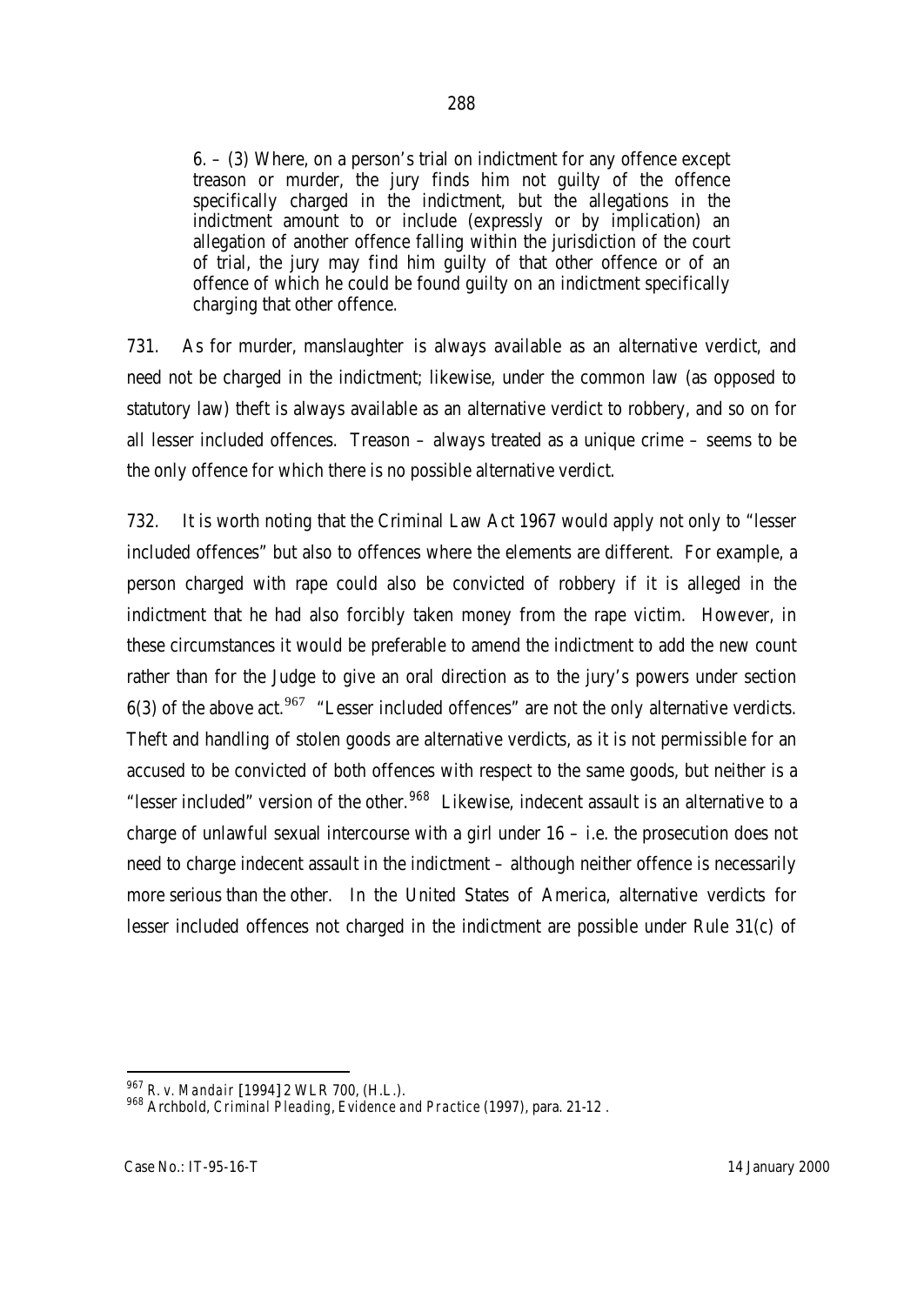6. – (3) Where, on a person's trial on indictment for any offence except treason or murder, the jury finds him not guilty of the offence specifically charged in the indictment, but the allegations in the indictment amount to or include (expressly or by implication) an allegation of another offence falling within the jurisdiction of the court of trial, the jury may find him guilty of that other offence or of an offence of which he could be found guilty on an indictment specifically charging that other offence.

731. As for murder, manslaughter is always available as an alternative verdict, and need not be charged in the indictment; likewise, under the common law (as opposed to statutory law) theft is always available as an alternative verdict to robbery, and so on for all lesser included offences. Treason – always treated as a unique crime – seems to be the only offence for which there is no possible alternative verdict.

732. It is worth noting that the Criminal Law Act 1967 would apply not only to "lesser included offences" but also to offences where the elements are different. For example, a person charged with rape could also be convicted of robbery if it is alleged in the indictment that he had also forcibly taken money from the rape victim. However, in these circumstances it would be preferable to amend the indictment to add the new count rather than for the Judge to give an oral direction as to the jury's powers under section 6(3) of the above act.  $967$  "Lesser included offences" are not the only alternative verdicts. Theft and handling of stolen goods are alternative verdicts, as it is not permissible for an accused to be convicted of both offences with respect to the same goods, but neither is a "lesser included" version of the other.<sup>968</sup> Likewise, indecent assault is an alternative to a charge of unlawful sexual intercourse with a girl under 16 – i.e. the prosecution does not need to charge indecent assault in the indictment – although neither offence is necessarily more serious than the other. In the United States of America, alternative verdicts for lesser included offences not charged in the indictment are possible under Rule 31(c) of

l

<sup>967</sup> *R. v. Mandair* [1994] 2 WLR 700, (H.L.).

<sup>968</sup> Archbold, *Criminal Pleading*, *Evidence and Practice* (1997), para. 21-12 *.*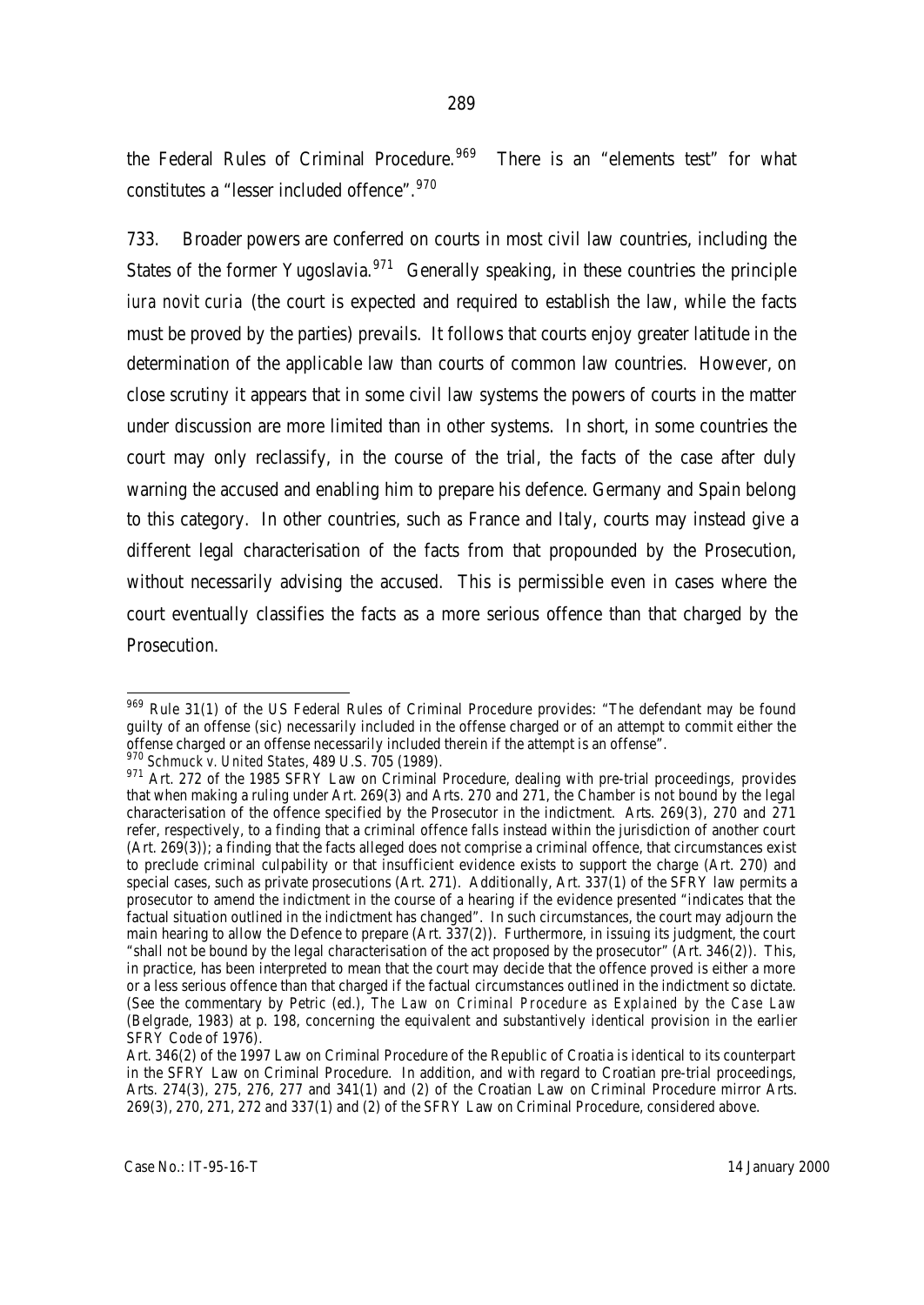the Federal Rules of Criminal Procedure.<sup>969</sup> There is an "elements test" for what constitutes a "lesser included offence".<sup>970</sup>

733. Broader powers are conferred on courts in most civil law countries, including the States of the former Yugoslavia.<sup>971</sup> Generally speaking, in these countries the principle *iura novit curia* (the court is expected and required to establish the law, while the facts must be proved by the parties) prevails. It follows that courts enjoy greater latitude in the determination of the applicable law than courts of common law countries. However, on close scrutiny it appears that in some civil law systems the powers of courts in the matter under discussion are more limited than in other systems. In short, in some countries the court may only reclassify, in the course of the trial, the facts of the case after duly warning the accused and enabling him to prepare his defence. Germany and Spain belong to this category. In other countries, such as France and Italy, courts may instead give a different legal characterisation of the facts from that propounded by the Prosecution, without necessarily advising the accused. This is permissible even in cases where the court eventually classifies the facts as a more serious offence than that charged by the Prosecution.

j <sup>969</sup> Rule 31(1) of the US Federal Rules of Criminal Procedure provides: "The defendant may be found guilty of an offense (sic) necessarily included in the offense charged or of an attempt to commit either the offense charged or an offense necessarily included therein if the attempt is an offense".

<sup>970</sup> *Schmuck v. United States,* 489 U.S. 705 (1989).

<sup>971</sup> **Art.** 272 of the 1985 SFRY Law on Criminal Procedure, dealing with pre-trial proceedings, provides that when making a ruling under Art. 269(3) and Arts. 270 and 271, the Chamber is not bound by the legal characterisation of the offence specified by the Prosecutor in the indictment. Arts. 269(3), 270 and 271 refer, respectively, to a finding that a criminal offence falls instead within the jurisdiction of another court (Art. 269(3)); a finding that the facts alleged does not comprise a criminal offence, that circumstances exist to preclude criminal culpability or that insufficient evidence exists to support the charge (Art. 270) and special cases, such as private prosecutions (Art. 271). Additionally, Art. 337(1) of the SFRY law permits a prosecutor to amend the indictment in the course of a hearing if the evidence presented "indicates that the factual situation outlined in the indictment has changed". In such circumstances, the court may adjourn the main hearing to allow the Defence to prepare (Art. 337(2)). Furthermore, in issuing its judgment, the court "shall not be bound by the legal characterisation of the act proposed by the prosecutor" (Art. 346(2)). This, in practice, has been interpreted to mean that the court may decide that the offence proved is either a more or a less serious offence than that charged if the factual circumstances outlined in the indictment so dictate. (See the commentary by Petric (ed.), *The Law on Criminal Procedure as Explained by the Case Law* (Belgrade, 1983) at p. 198, concerning the equivalent and substantively identical provision in the earlier SFRY Code of 1976).

Art. 346(2) of the 1997 Law on Criminal Procedure of the Republic of Croatia is identical to its counterpart in the SFRY Law on Criminal Procedure. In addition, and with regard to Croatian pre-trial proceedings, Arts. 274(3), 275, 276, 277 and 341(1) and (2) of the Croatian Law on Criminal Procedure mirror Arts. 269(3), 270, 271, 272 and 337(1) and (2) of the SFRY Law on Criminal Procedure, considered above.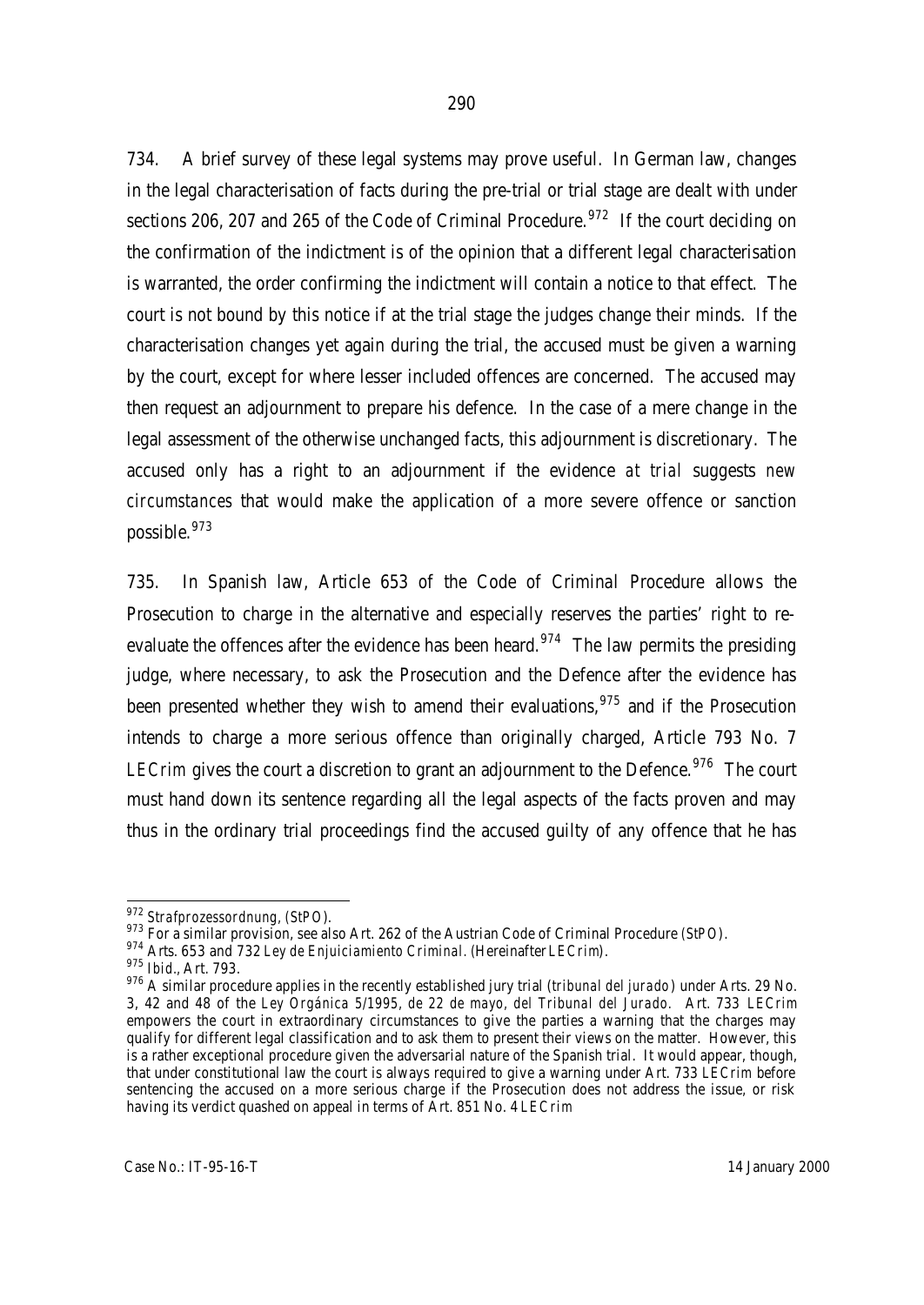734. A brief survey of these legal systems may prove useful. In German law, changes in the legal characterisation of facts during the pre-trial or trial stage are dealt with under sections 206, 207 and 265 of the Code of Criminal Procedure.<sup>972</sup> If the court deciding on the confirmation of the indictment is of the opinion that a different legal characterisation is warranted, the order confirming the indictment will contain a notice to that effect. The court is not bound by this notice if at the trial stage the judges change their minds. If the characterisation changes yet again during the trial, the accused must be given a warning by the court, except for where lesser included offences are concerned. The accused may then request an adjournment to prepare his defence. In the case of a mere change in the legal assessment of the otherwise unchanged facts, this adjournment is discretionary. The accused only has a right to an adjournment if the evidence *at trial* suggests *new circumstances* that would make the application of a more severe offence or sanction possible.<sup>973</sup>

735. In Spanish law, Article 653 of the Code of Criminal Procedure allows the Prosecution to charge in the alternative and especially reserves the parties' right to reevaluate the offences after the evidence has been heard.<sup>974</sup> The law permits the presiding judge, where necessary, to ask the Prosecution and the Defence after the evidence has been presented whether they wish to amend their evaluations,  $975$  and if the Prosecution intends to charge a more serious offence than originally charged, Article 793 No. 7 *LECrim* gives the court a discretion to grant an adjournment to the Defence.<sup>976</sup> The court must hand down its sentence regarding all the legal aspects of the facts proven and may thus in the ordinary trial proceedings find the accused guilty of any offence that he has

 $\overline{a}$ <sup>972</sup> *Strafprozessordnung, (StPO*).

<sup>973</sup> For a similar provision, see also Art. 262 of the Austrian Code of Criminal Procedure *(StPO*).

<sup>974</sup> Arts. 653 and 732 *Ley de Enjuiciamiento Criminal. (*Hereinafter *LECrim*).

<sup>975</sup> *Ibid.,* Art. 793.

<sup>976</sup> A similar procedure applies in the recently established jury trial (*tribunal del jurado*) under Arts. 29 No. 3, 42 and 48 of the *Ley Orgánica 5/1995, de 22 de mayo, del Tribunal del Jurado.* Art. 733 *LECrim* empowers the court in extraordinary circumstances to give the parties a warning that the charges may qualify for different legal classification and to ask them to present their views on the matter. However, this is a rather exceptional procedure given the adversarial nature of the Spanish trial. It would appear, though, that under constitutional law the court is always required to give a warning under Art. 733 *LECrim* before sentencing the accused on a more serious charge if the Prosecution does not address the issue, or risk having its verdict quashed on appeal in terms of Art. 851 No. 4 *LECrim*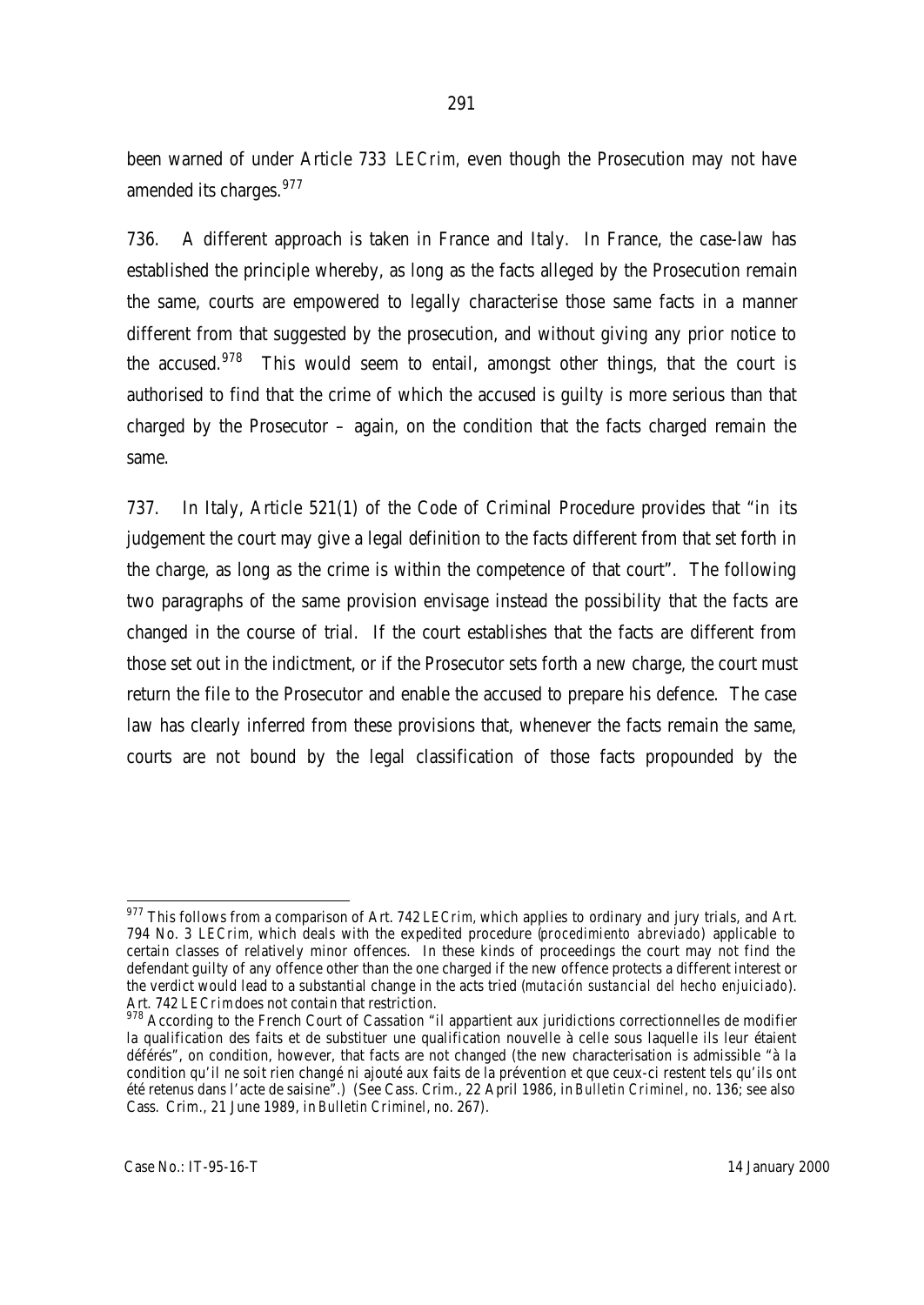been warned of under Article 733 *LECrim,* even though the Prosecution may not have amended its charges.<sup>977</sup>

736. A different approach is taken in France and Italy. In France, the case-law has established the principle whereby, as long as the facts alleged by the Prosecution remain the same, courts are empowered to legally characterise those same facts in a manner different from that suggested by the prosecution, and without giving any prior notice to the accused.<sup>978</sup> This would seem to entail, amongst other things, that the court is authorised to find that the crime of which the accused is guilty is more serious than that charged by the Prosecutor – again, on the condition that the facts charged remain the same.

737. In Italy, Article 521(1) of the Code of Criminal Procedure provides that "in its judgement the court may give a legal definition to the facts different from that set forth in the charge, as long as the crime is within the competence of that court". The following two paragraphs of the same provision envisage instead the possibility that the facts are changed in the course of trial. If the court establishes that the facts are different from those set out in the indictment, or if the Prosecutor sets forth a new charge, the court must return the file to the Prosecutor and enable the accused to prepare his defence. The case law has clearly inferred from these provisions that, whenever the facts remain the same, courts are not bound by the legal classification of those facts propounded by the

 $\overline{a}$ <sup>977</sup> This follows from a comparison of Art. 742 *LECrim,* which applies to ordinary and jury trials, and Art. 794 No. 3 *LECrim,* which deals with the expedited procedure (*procedimiento abreviado*) applicable to certain classes of relatively minor offences. In these kinds of proceedings the court may not find the defendant guilty of any offence other than the one charged if the new offence protects a different interest or the verdict would lead to a substantial change in the acts tried (*mutación sustancial del hecho enjuiciado*). Art. 742 *LECrim* does not contain that restriction.

 $978$  According to the French Court of Cassation "il appartient aux juridictions correctionnelles de modifier la qualification des faits et de substituer une qualification nouvelle à celle sous laquelle ils leur étaient déférés", on condition, however, that facts are not changed (the new characterisation is admissible "à la condition qu'il ne soit rien changé ni ajouté aux faits de la prévention et que ceux-ci restent tels qu'ils ont été retenus dans l'acte de saisine".) (See Cass. Crim., 22 April 1986, in *Bulletin Criminel*, no. 136; see also Cass. Crim., 21 June 1989, in *Bulletin Criminel*, no. 267).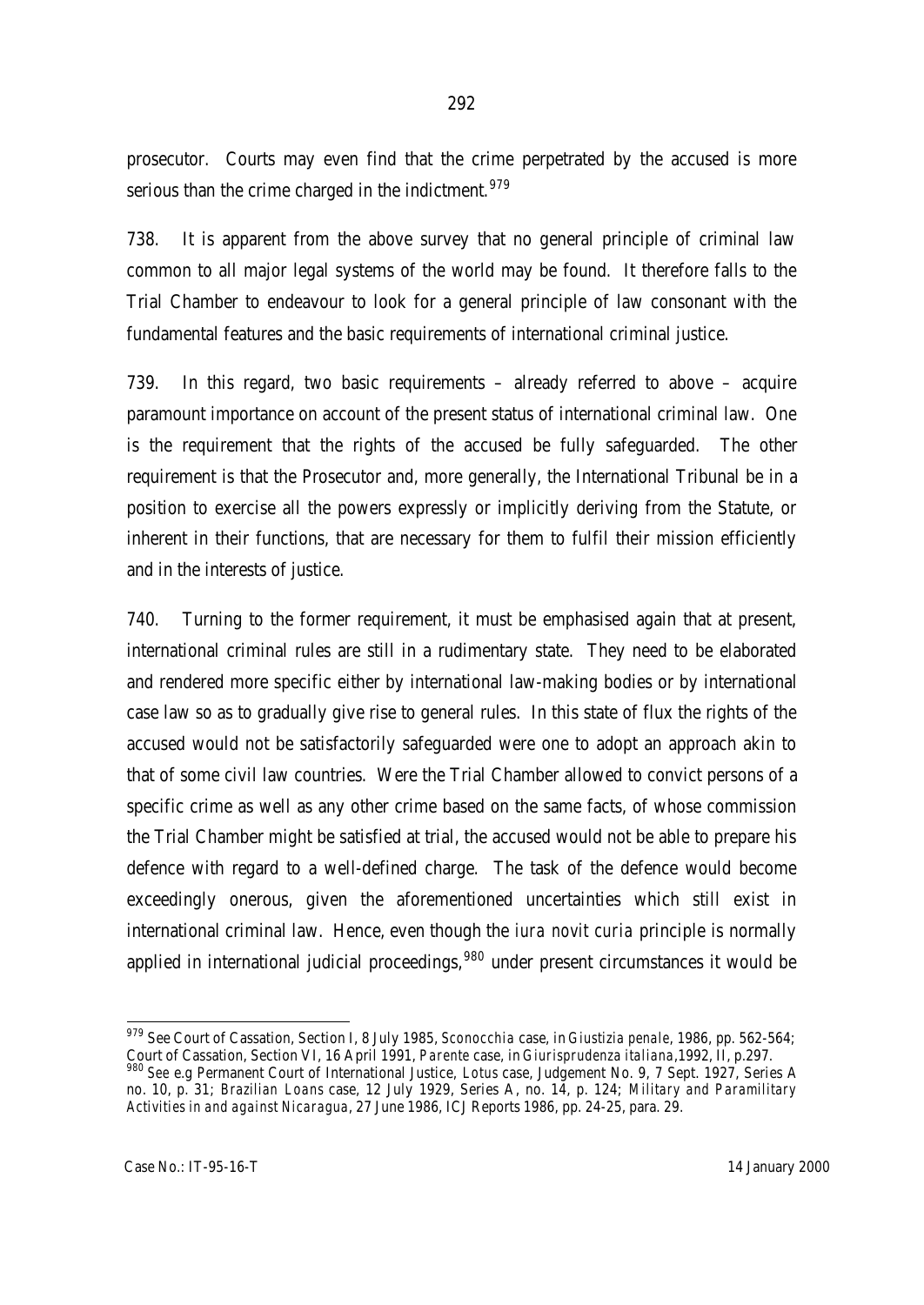prosecutor. Courts may even find that the crime perpetrated by the accused is more serious than the crime charged in the indictment.<sup>979</sup>

738. It is apparent from the above survey that no general principle of criminal law common to all major legal systems of the world may be found. It therefore falls to the Trial Chamber to endeavour to look for a general principle of law consonant with the fundamental features and the basic requirements of international criminal justice.

739. In this regard, two basic requirements – already referred to above – acquire paramount importance on account of the present status of international criminal law. One is the requirement that the rights of the accused be fully safeguarded. The other requirement is that the Prosecutor and, more generally, the International Tribunal be in a position to exercise all the powers expressly or implicitly deriving from the Statute, or inherent in their functions, that are necessary for them to fulfil their mission efficiently and in the interests of justice.

740. Turning to the former requirement, it must be emphasised again that at present, international criminal rules are still in a rudimentary state. They need to be elaborated and rendered more specific either by international law-making bodies or by international case law so as to gradually give rise to general rules. In this state of flux the rights of the accused would not be satisfactorily safeguarded were one to adopt an approach akin to that of some civil law countries. Were the Trial Chamber allowed to convict persons of a specific crime as well as any other crime based on the same facts, of whose commission the Trial Chamber might be satisfied at trial, the accused would not be able to prepare his defence with regard to a well-defined charge. The task of the defence would become exceedingly onerous, given the aforementioned uncertainties which still exist in international criminal law. Hence, even though the *iura novit curia* principle is normally applied in international judicial proceedings,  $980$  under present circumstances it would be

 $\overline{a}$ <sup>979</sup> See Court of Cassation, Section I, 8 July 1985, *Sconocchia* case, in *Giustizia penale*, 1986, pp. 562-564; Court of Cassation, Section VI, 16 April 1991, *Parente* case, in *Giurisprudenza italiana*,1992, II, p.297.

<sup>980</sup> *See* e.g Permanent Court of International Justice, *Lotus* case, Judgement No. 9, 7 Sept. 1927, Series A no. 10, p. 31; *Brazilian Loans* case, 12 July 1929, Series A, no. 14, p. 124; *Military and Paramilitary Activities in and against Nicaragua*, 27 June 1986, ICJ Reports 1986, pp. 24-25, para. 29.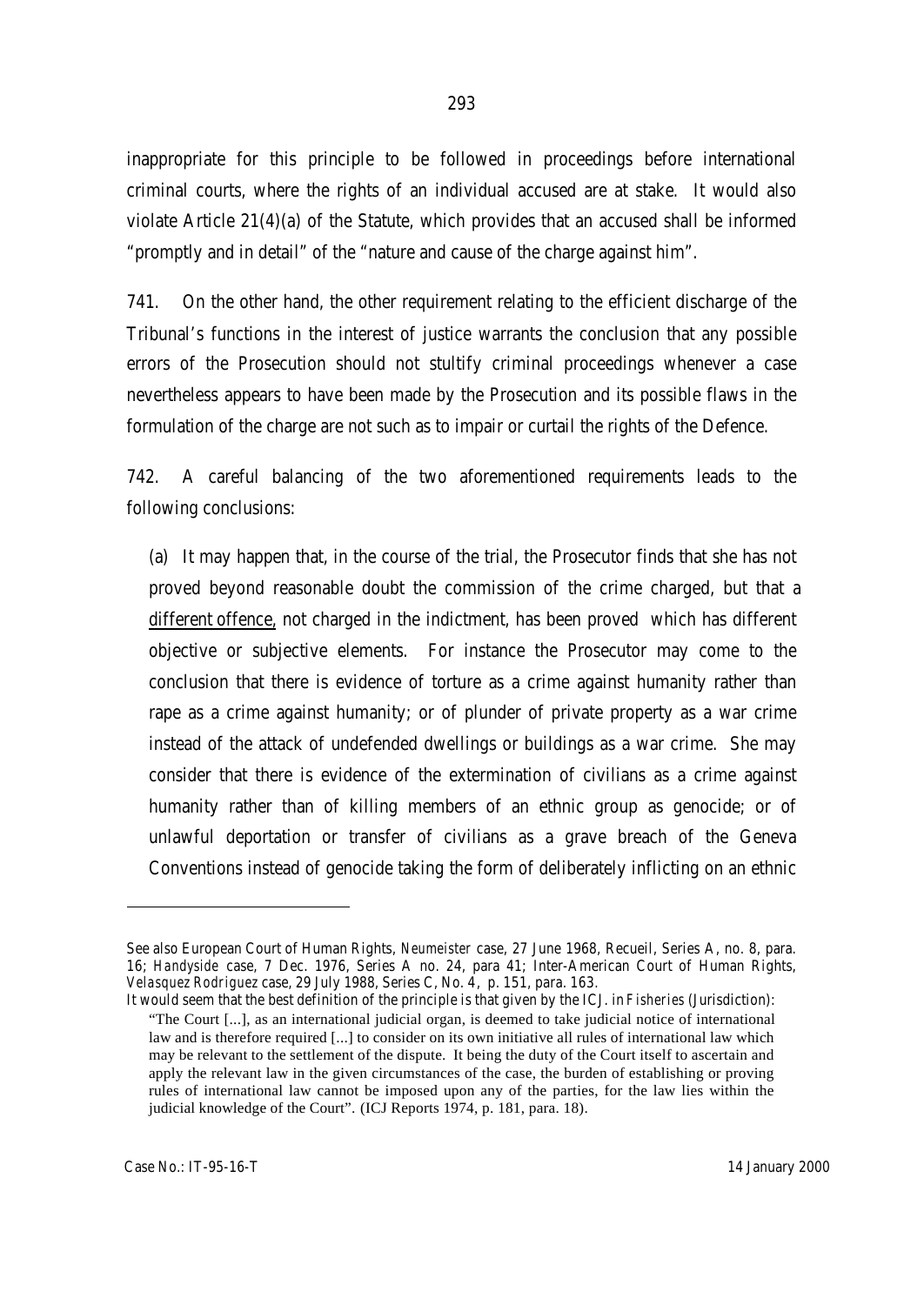inappropriate for this principle to be followed in proceedings before international criminal courts, where the rights of an individual accused are at stake. It would also violate Article 21(4)(a) of the Statute, which provides that an accused shall be informed "promptly and in detail" of the "nature and cause of the charge against him".

741. On the other hand, the other requirement relating to the efficient discharge of the Tribunal's functions in the interest of justice warrants the conclusion that any possible errors of the Prosecution should not stultify criminal proceedings whenever a case nevertheless appears to have been made by the Prosecution and its possible flaws in the formulation of the charge are not such as to impair or curtail the rights of the Defence.

742. A careful balancing of the two aforementioned requirements leads to the following conclusions:

(a) It may happen that, in the course of the trial, the Prosecutor finds that she has not proved beyond reasonable doubt the commission of the crime charged, but that a different offence, not charged in the indictment, has been proved which has different objective or subjective elements. For instance the Prosecutor may come to the conclusion that there is evidence of torture as a crime against humanity rather than rape as a crime against humanity; or of plunder of private property as a war crime instead of the attack of undefended dwellings or buildings as a war crime. She may consider that there is evidence of the extermination of civilians as a crime against humanity rather than of killing members of an ethnic group as genocide; or of unlawful deportation or transfer of civilians as a grave breach of the Geneva Conventions instead of genocide taking the form of deliberately inflicting on an ethnic

l

See also European Court of Human Rights, *Neumeister* case, 27 June 1968, Recueil, Series A, no. 8, para. 16; *Handyside* case, 7 Dec. 1976, Series A no. 24, para 41; Inter-American Court of Human Rights, *Velasquez Rodriguez* case, 29 July 1988, Series C, No. 4, p. 151, para. 163.

It would seem that the best definition of the principle is that given by the ICJ. in *Fisheries* (Jurisdiction): "The Court [...], as an international judicial organ, is deemed to take judicial notice of international law and is therefore required [...] to consider on its own initiative all rules of international law which may be relevant to the settlement of the dispute. It being the duty of the Court itself to ascertain and apply the relevant law in the given circumstances of the case, the burden of establishing or proving rules of international law cannot be imposed upon any of the parties, for the law lies within the judicial knowledge of the Court". (ICJ Reports 1974, p. 181, para. 18).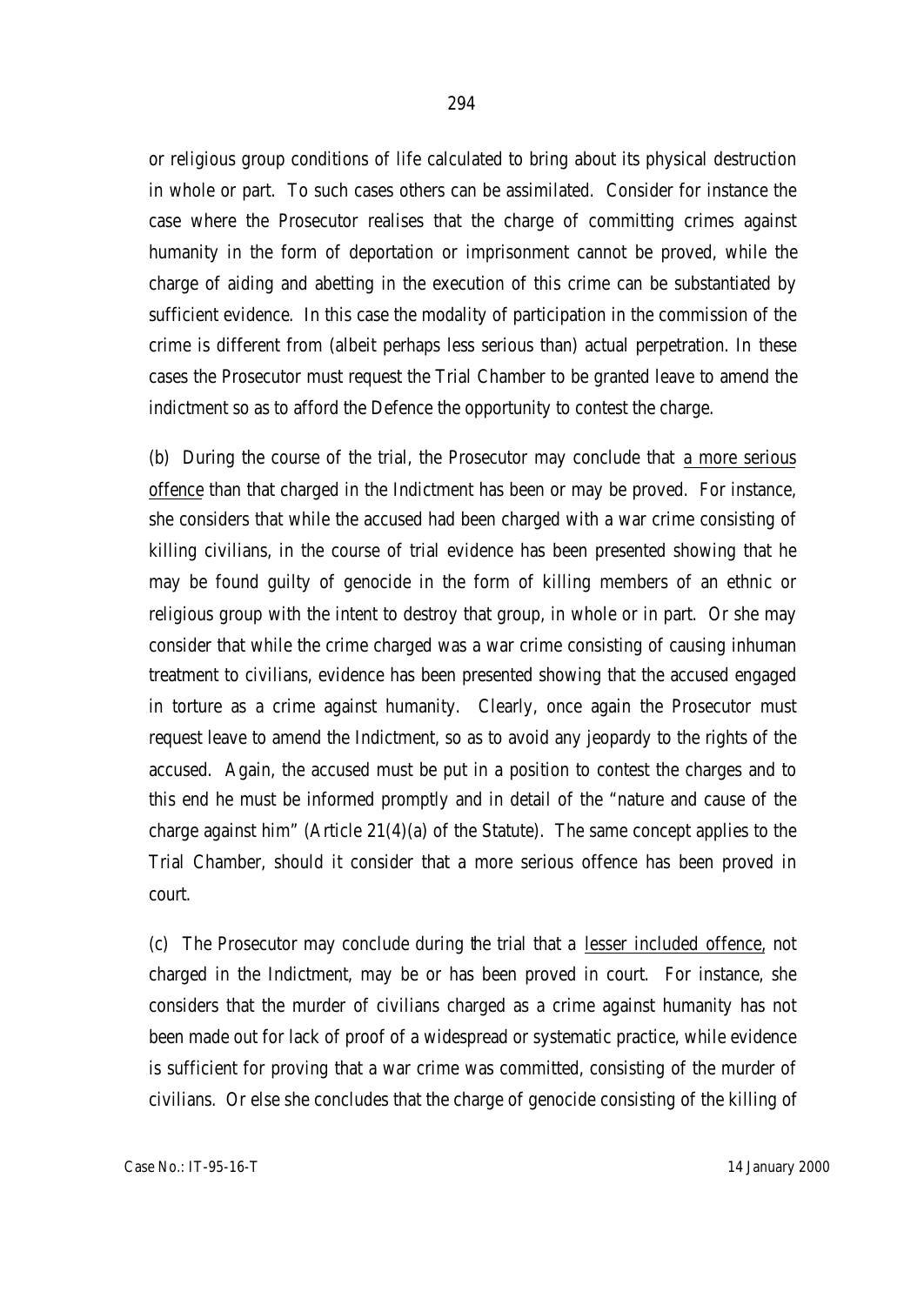or religious group conditions of life calculated to bring about its physical destruction in whole or part. To such cases others can be assimilated. Consider for instance the case where the Prosecutor realises that the charge of committing crimes against humanity in the form of deportation or imprisonment cannot be proved, while the charge of aiding and abetting in the execution of this crime can be substantiated by sufficient evidence. In this case the modality of participation in the commission of the crime is different from (albeit perhaps less serious than) actual perpetration. In these cases the Prosecutor must request the Trial Chamber to be granted leave to amend the indictment so as to afford the Defence the opportunity to contest the charge.

(b) During the course of the trial, the Prosecutor may conclude that a more serious offence than that charged in the Indictment has been or may be proved. For instance, she considers that while the accused had been charged with a war crime consisting of killing civilians, in the course of trial evidence has been presented showing that he may be found guilty of genocide in the form of killing members of an ethnic or religious group with the intent to destroy that group, in whole or in part. Or she may consider that while the crime charged was a war crime consisting of causing inhuman treatment to civilians, evidence has been presented showing that the accused engaged in torture as a crime against humanity. Clearly, once again the Prosecutor must request leave to amend the Indictment, so as to avoid any jeopardy to the rights of the accused. Again, the accused must be put in a position to contest the charges and to this end he must be informed promptly and in detail of the "nature and cause of the charge against him" (Article 21(4)(a) of the Statute). The same concept applies to the Trial Chamber, should it consider that a more serious offence has been proved in court.

(c) The Prosecutor may conclude during the trial that a lesser included offence, not charged in the Indictment, may be or has been proved in court. For instance, she considers that the murder of civilians charged as a crime against humanity has not been made out for lack of proof of a widespread or systematic practice, while evidence is sufficient for proving that a war crime was committed, consisting of the murder of civilians. Or else she concludes that the charge of genocide consisting of the killing of

Case No.: IT-95-16-T 14 January 2000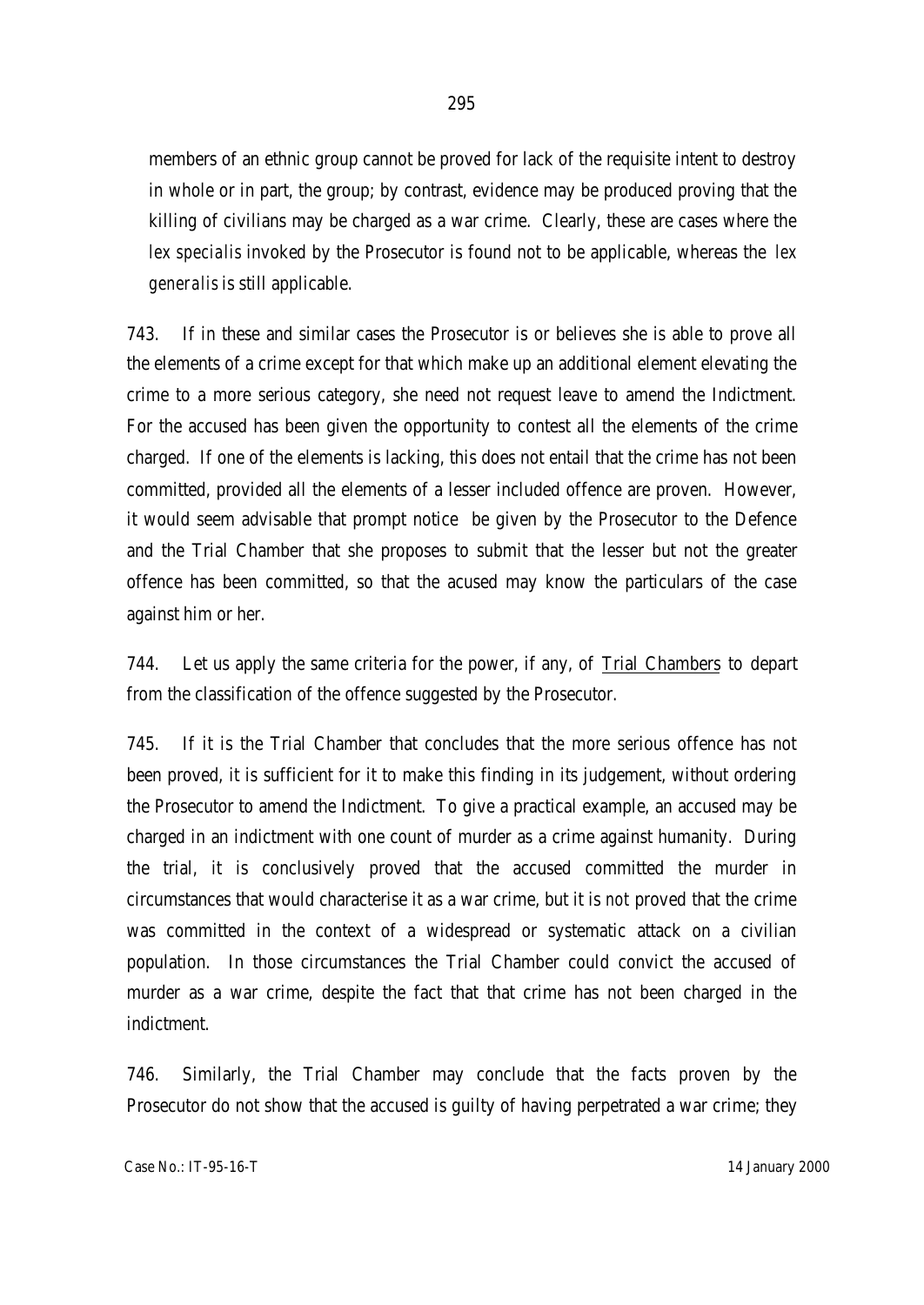members of an ethnic group cannot be proved for lack of the requisite intent to destroy in whole or in part, the group; by contrast, evidence may be produced proving that the killing of civilians may be charged as a war crime. Clearly, these are cases where the *lex specialis* invoked by the Prosecutor is found not to be applicable, whereas the *lex generalis* is still applicable.

743. If in these and similar cases the Prosecutor is or believes she is able to prove all the elements of a crime except for that which make up an additional element elevating the crime to a more serious category, she need not request leave to amend the Indictment. For the accused has been given the opportunity to contest all the elements of the crime charged. If one of the elements is lacking, this does not entail that the crime has not been committed, provided all the elements of a lesser included offence are proven. However, it would seem advisable that prompt notice be given by the Prosecutor to the Defence and the Trial Chamber that she proposes to submit that the lesser but not the greater offence has been committed, so that the acused may know the particulars of the case against him or her.

744. Let us apply the same criteria for the power, if any, of Trial Chambers to depart from the classification of the offence suggested by the Prosecutor.

745. If it is the Trial Chamber that concludes that the more serious offence has not been proved, it is sufficient for it to make this finding in its judgement, without ordering the Prosecutor to amend the Indictment. To give a practical example, an accused may be charged in an indictment with one count of murder as a crime against humanity. During the trial, it is conclusively proved that the accused committed the murder in circumstances that would characterise it as a war crime, but it is *not* proved that the crime was committed in the context of a widespread or systematic attack on a civilian population. In those circumstances the Trial Chamber could convict the accused of murder as a war crime, despite the fact that that crime has not been charged in the indictment.

746. Similarly, the Trial Chamber may conclude that the facts proven by the Prosecutor do not show that the accused is guilty of having perpetrated a war crime; they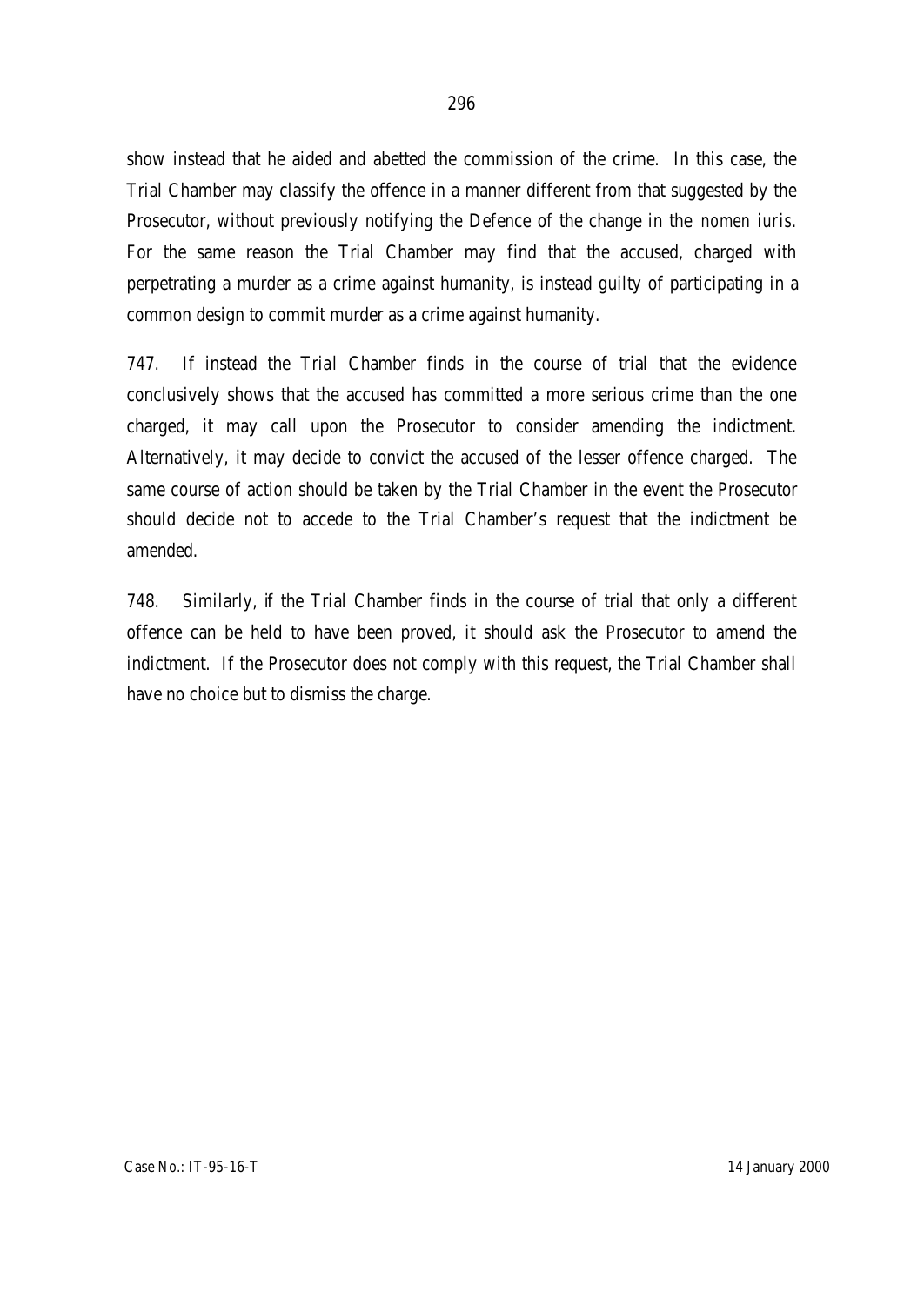show instead that he aided and abetted the commission of the crime. In this case, the Trial Chamber may classify the offence in a manner different from that suggested by the Prosecutor, without previously notifying the Defence of the change in the *nomen iuris*. For the same reason the Trial Chamber may find that the accused, charged with perpetrating a murder as a crime against humanity, is instead guilty of participating in a common design to commit murder as a crime against humanity.

747. If instead the Trial Chamber finds in the course of trial that the evidence conclusively shows that the accused has committed a more serious crime than the one charged, it may call upon the Prosecutor to consider amending the indictment. Alternatively, it may decide to convict the accused of the lesser offence charged. The same course of action should be taken by the Trial Chamber in the event the Prosecutor should decide not to accede to the Trial Chamber's request that the indictment be amended.

748. Similarly, if the Trial Chamber finds in the course of trial that only a different offence can be held to have been proved, it should ask the Prosecutor to amend the indictment. If the Prosecutor does not comply with this request, the Trial Chamber shall have no choice but to dismiss the charge.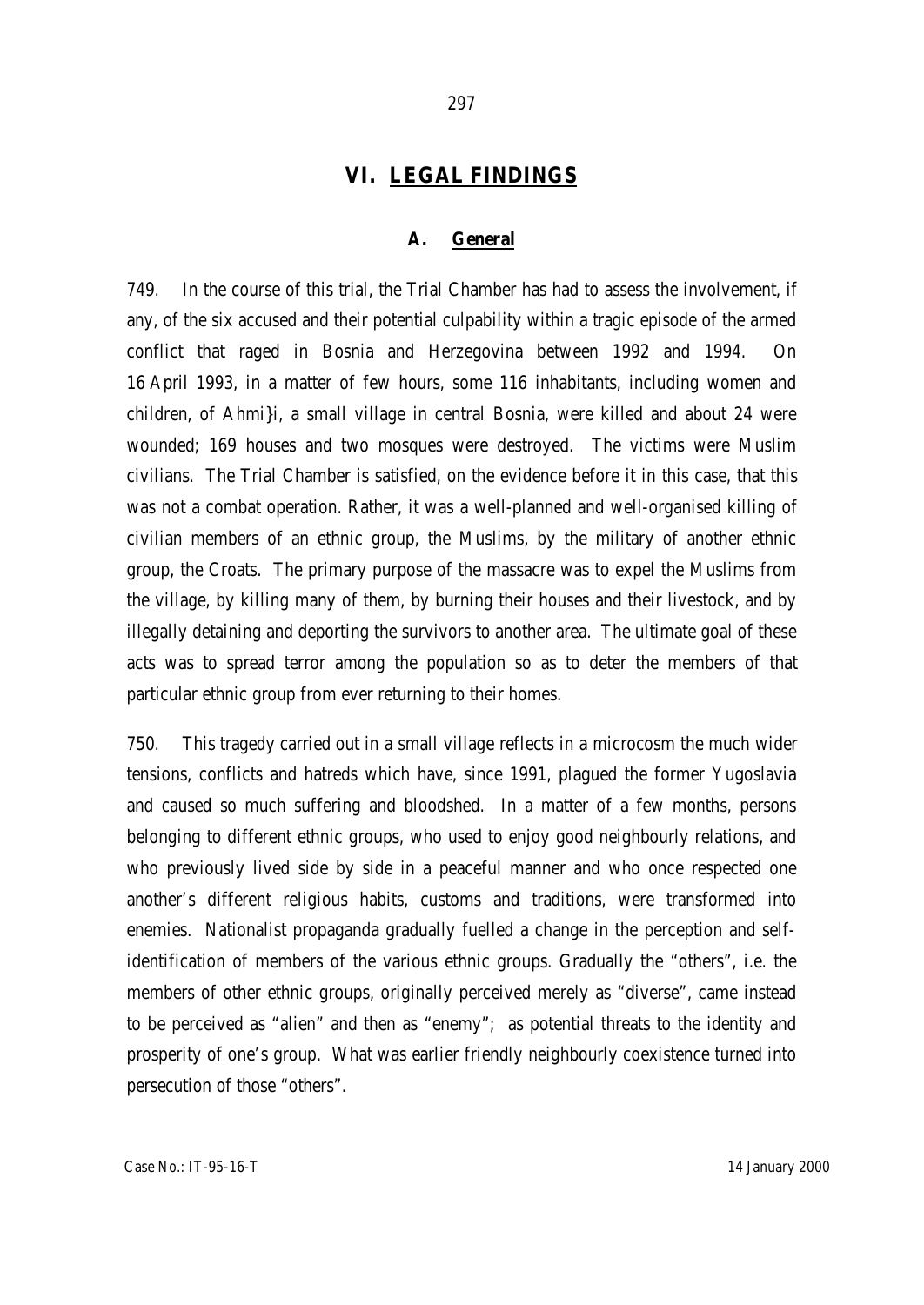### **VI. LEGAL FINDINGS**

#### **A. General**

749. In the course of this trial, the Trial Chamber has had to assess the involvement, if any, of the six accused and their potential culpability within a tragic episode of the armed conflict that raged in Bosnia and Herzegovina between 1992 and 1994. On 16 April 1993, in a matter of few hours, some 116 inhabitants, including women and children, of Ahmi}i, a small village in central Bosnia, were killed and about 24 were wounded; 169 houses and two mosques were destroyed. The victims were Muslim civilians. The Trial Chamber is satisfied, on the evidence before it in this case, that this was not a combat operation. Rather, it was a well-planned and well-organised killing of civilian members of an ethnic group, the Muslims, by the military of another ethnic group, the Croats. The primary purpose of the massacre was to expel the Muslims from the village, by killing many of them, by burning their houses and their livestock, and by illegally detaining and deporting the survivors to another area. The ultimate goal of these acts was to spread terror among the population so as to deter the members of that particular ethnic group from ever returning to their homes.

750. This tragedy carried out in a small village reflects in a microcosm the much wider tensions, conflicts and hatreds which have, since 1991, plagued the former Yugoslavia and caused so much suffering and bloodshed. In a matter of a few months, persons belonging to different ethnic groups, who used to enjoy good neighbourly relations, and who previously lived side by side in a peaceful manner and who once respected one another's different religious habits, customs and traditions, were transformed into enemies. Nationalist propaganda gradually fuelled a change in the perception and selfidentification of members of the various ethnic groups. Gradually the "others", i.e. the members of other ethnic groups, originally perceived merely as "diverse", came instead to be perceived as "alien" and then as "enemy"; as potential threats to the identity and prosperity of one's group. What was earlier friendly neighbourly coexistence turned into persecution of those "others".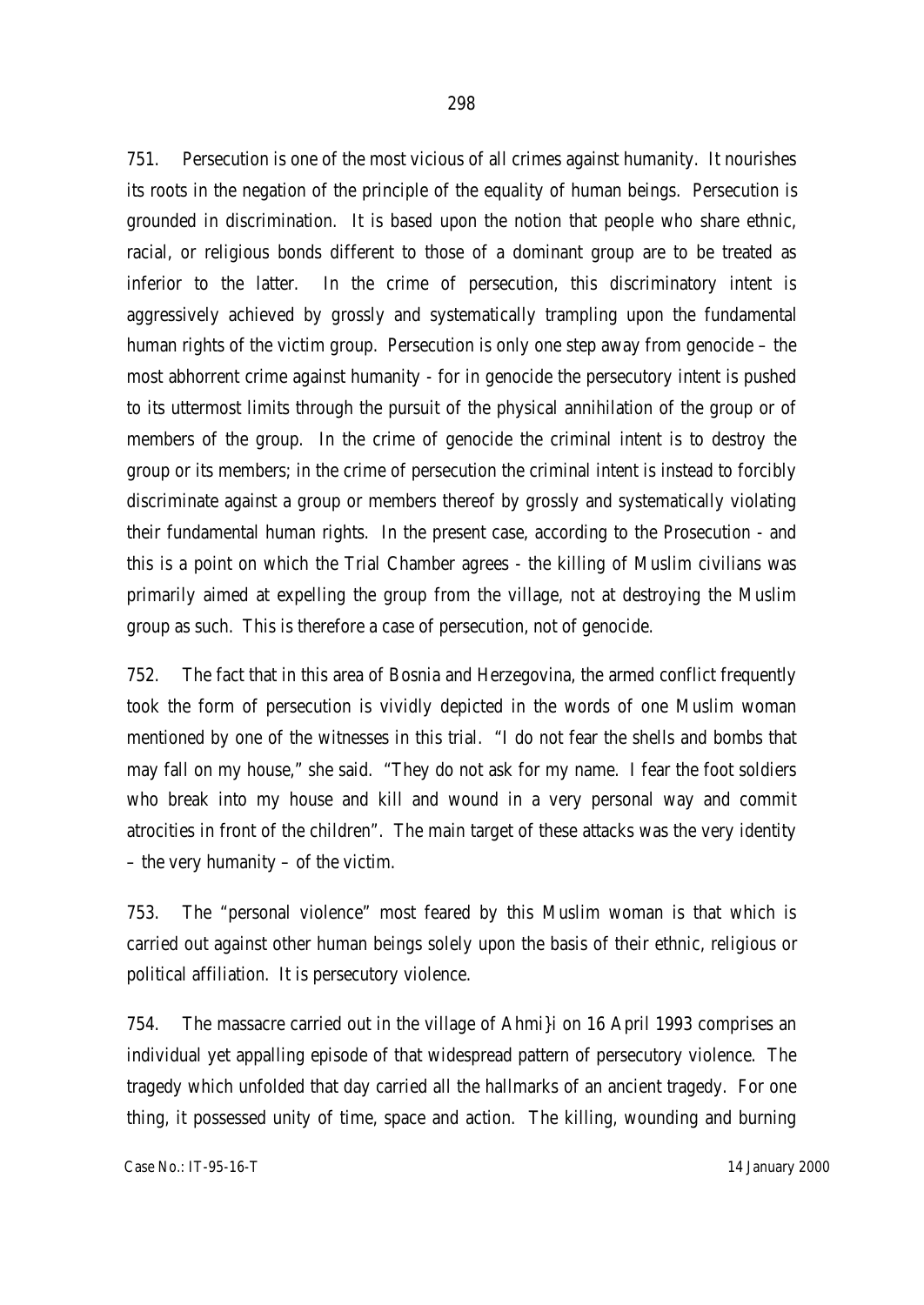751. Persecution is one of the most vicious of all crimes against humanity. It nourishes its roots in the negation of the principle of the equality of human beings. Persecution is grounded in discrimination. It is based upon the notion that people who share ethnic, racial, or religious bonds different to those of a dominant group are to be treated as inferior to the latter. In the crime of persecution, this discriminatory intent is aggressively achieved by grossly and systematically trampling upon the fundamental human rights of the victim group. Persecution is only one step away from genocide – the most abhorrent crime against humanity - for in genocide the persecutory intent is pushed to its uttermost limits through the pursuit of the physical annihilation of the group or of members of the group. In the crime of genocide the criminal intent is to destroy the group or its members; in the crime of persecution the criminal intent is instead to forcibly discriminate against a group or members thereof by grossly and systematically violating their fundamental human rights. In the present case, according to the Prosecution - and this is a point on which the Trial Chamber agrees - the killing of Muslim civilians was primarily aimed at expelling the group from the village, not at destroying the Muslim group as such. This is therefore a case of persecution, not of genocide.

752. The fact that in this area of Bosnia and Herzegovina, the armed conflict frequently took the form of persecution is vividly depicted in the words of one Muslim woman mentioned by one of the witnesses in this trial. "I do not fear the shells and bombs that may fall on my house," she said. "They do not ask for my name. I fear the foot soldiers who break into my house and kill and wound in a very personal way and commit atrocities in front of the children". The main target of these attacks was the very identity  $-$  the very humanity  $-$  of the victim.

753. The "personal violence" most feared by this Muslim woman is that which is carried out against other human beings solely upon the basis of their ethnic, religious or political affiliation. It is persecutory violence.

754. The massacre carried out in the village of Ahmi}i on 16 April 1993 comprises an individual yet appalling episode of that widespread pattern of persecutory violence. The tragedy which unfolded that day carried all the hallmarks of an ancient tragedy. For one thing, it possessed unity of time, space and action. The killing, wounding and burning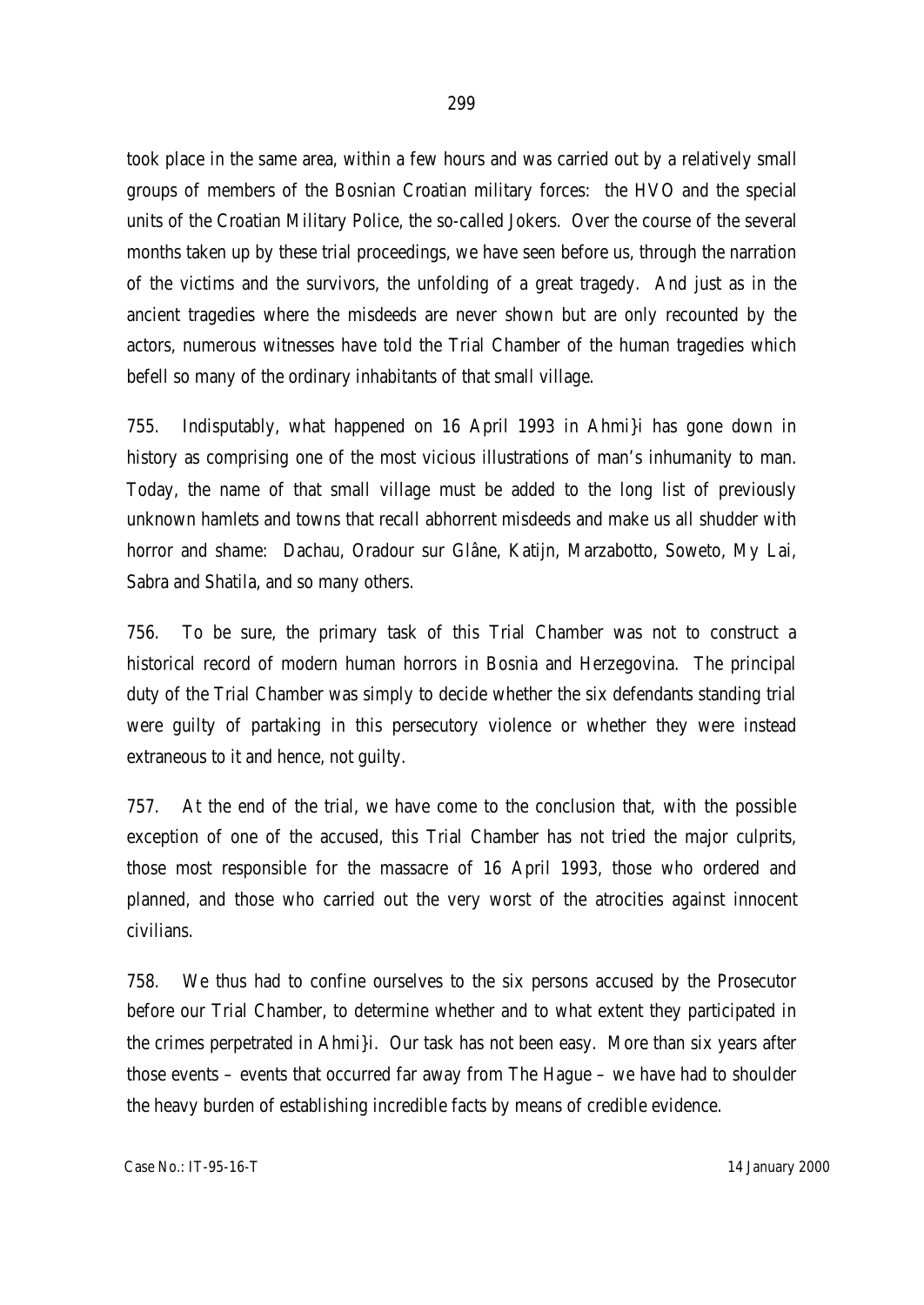took place in the same area, within a few hours and was carried out by a relatively small groups of members of the Bosnian Croatian military forces: the HVO and the special units of the Croatian Military Police, the so-called Jokers. Over the course of the several months taken up by these trial proceedings, we have seen before us, through the narration of the victims and the survivors, the unfolding of a great tragedy. And just as in the ancient tragedies where the misdeeds are never shown but are only recounted by the actors, numerous witnesses have told the Trial Chamber of the human tragedies which befell so many of the ordinary inhabitants of that small village.

755. Indisputably, what happened on 16 April 1993 in Ahmi}i has gone down in history as comprising one of the most vicious illustrations of man's inhumanity to man. Today, the name of that small village must be added to the long list of previously unknown hamlets and towns that recall abhorrent misdeeds and make us all shudder with horror and shame: Dachau, Oradour sur Glâne, Katijn, Marzabotto, Soweto, My Lai, Sabra and Shatila, and so many others.

756. To be sure, the primary task of this Trial Chamber was not to construct a historical record of modern human horrors in Bosnia and Herzegovina. The principal duty of the Trial Chamber was simply to decide whether the six defendants standing trial were guilty of partaking in this persecutory violence or whether they were instead extraneous to it and hence, not guilty.

757. At the end of the trial, we have come to the conclusion that, with the possible exception of one of the accused, this Trial Chamber has not tried the major culprits, those most responsible for the massacre of 16 April 1993, those who ordered and planned, and those who carried out the very worst of the atrocities against innocent civilians.

758. We thus had to confine ourselves to the six persons accused by the Prosecutor before our Trial Chamber, to determine whether and to what extent they participated in the crimes perpetrated in Ahmi}i. Our task has not been easy. More than six years after those events – events that occurred far away from The Hague – we have had to shoulder the heavy burden of establishing incredible facts by means of credible evidence.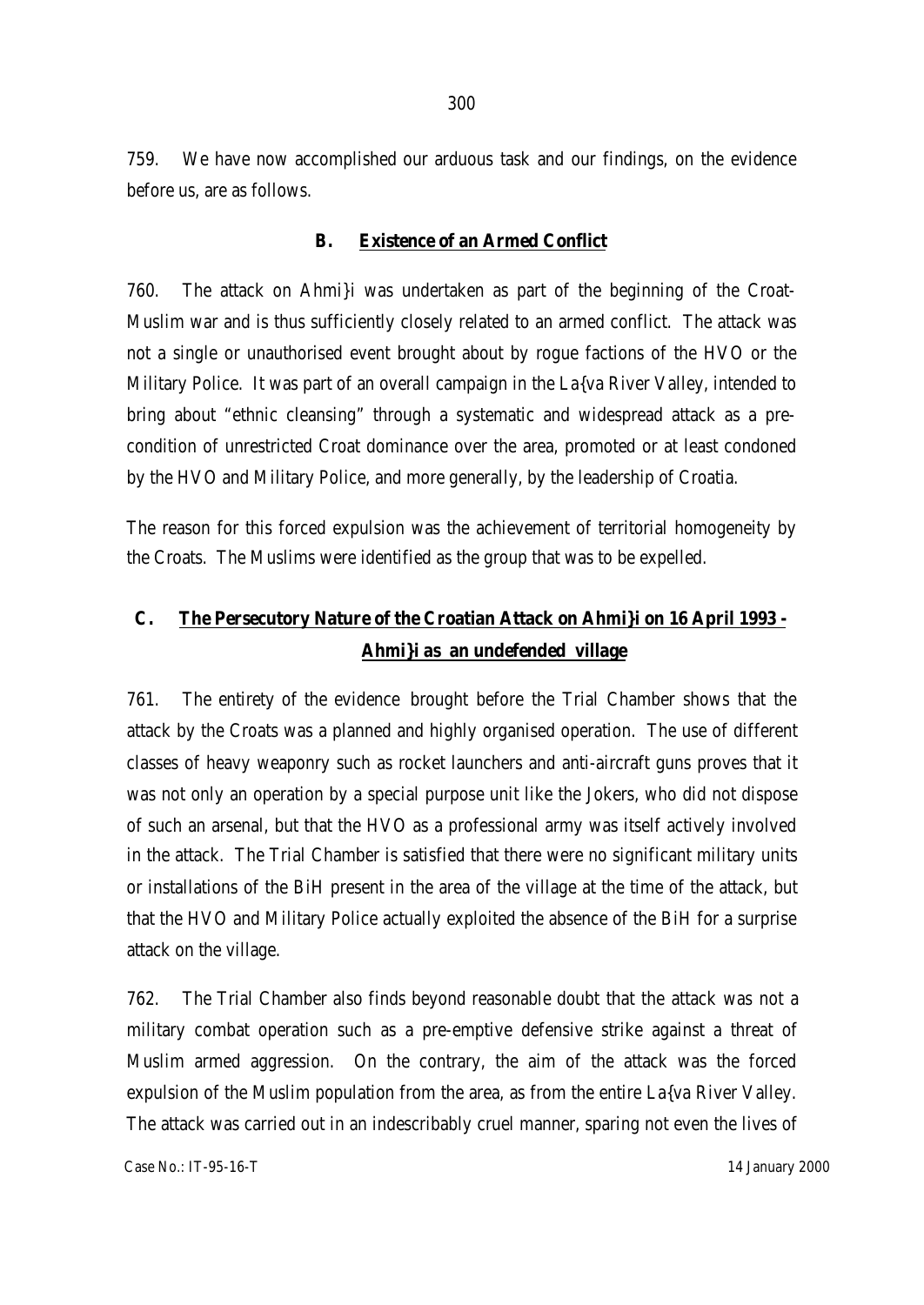759. We have now accomplished our arduous task and our findings, on the evidence before us, are as follows.

#### **B. Existence of an Armed Conflict**

760. The attack on Ahmi}i was undertaken as part of the beginning of the Croat-Muslim war and is thus sufficiently closely related to an armed conflict. The attack was not a single or unauthorised event brought about by rogue factions of the HVO or the Military Police. It was part of an overall campaign in the La{va River Valley, intended to bring about "ethnic cleansing" through a systematic and widespread attack as a precondition of unrestricted Croat dominance over the area, promoted or at least condoned by the HVO and Military Police, and more generally, by the leadership of Croatia.

The reason for this forced expulsion was the achievement of territorial homogeneity by the Croats. The Muslims were identified as the group that was to be expelled.

# **C. The Persecutory Nature of the Croatian Attack on Ahmi}i on 16 April 1993 - Ahmi}i as an undefended village**

761. The entirety of the evidence brought before the Trial Chamber shows that the attack by the Croats was a planned and highly organised operation. The use of different classes of heavy weaponry such as rocket launchers and anti-aircraft guns proves that it was not only an operation by a special purpose unit like the Jokers, who did not dispose of such an arsenal, but that the HVO as a professional army was itself actively involved in the attack. The Trial Chamber is satisfied that there were no significant military units or installations of the BiH present in the area of the village at the time of the attack, but that the HVO and Military Police actually exploited the absence of the BiH for a surprise attack on the village.

762. The Trial Chamber also finds beyond reasonable doubt that the attack was not a military combat operation such as a pre-emptive defensive strike against a threat of Muslim armed aggression. On the contrary, the aim of the attack was the forced expulsion of the Muslim population from the area, as from the entire La{va River Valley. The attack was carried out in an indescribably cruel manner, sparing not even the lives of

Case No.: IT-95-16-T 14 January 2000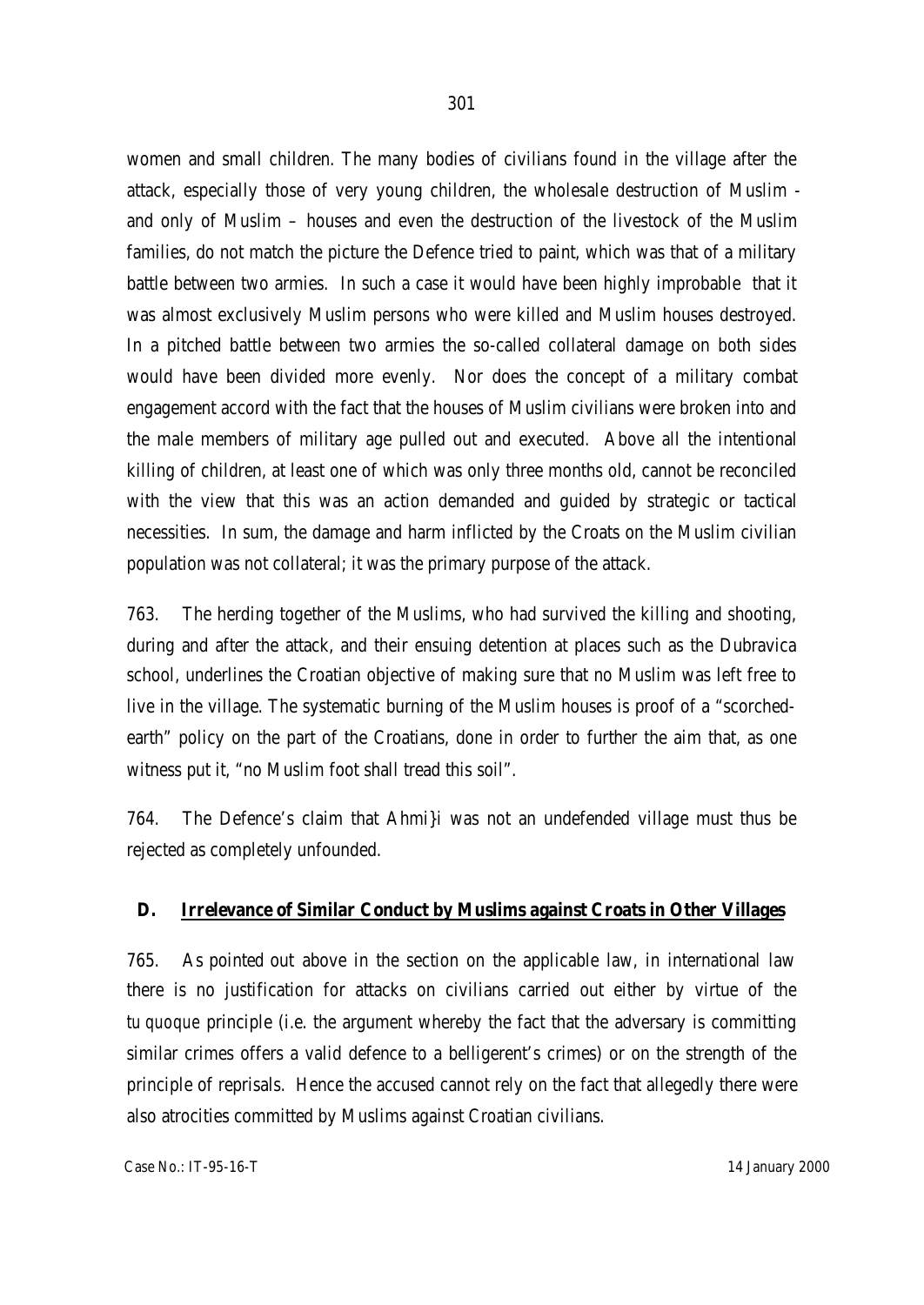women and small children. The many bodies of civilians found in the village after the attack, especially those of very young children, the wholesale destruction of Muslim and only of Muslim – houses and even the destruction of the livestock of the Muslim families, do not match the picture the Defence tried to paint, which was that of a military battle between two armies. In such a case it would have been highly improbable that it was almost exclusively Muslim persons who were killed and Muslim houses destroyed. In a pitched battle between two armies the so-called collateral damage on both sides would have been divided more evenly. Nor does the concept of a military combat engagement accord with the fact that the houses of Muslim civilians were broken into and the male members of military age pulled out and executed. Above all the intentional killing of children, at least one of which was only three months old, cannot be reconciled with the view that this was an action demanded and guided by strategic or tactical necessities. In sum, the damage and harm inflicted by the Croats on the Muslim civilian population was not collateral; it was the primary purpose of the attack.

763. The herding together of the Muslims, who had survived the killing and shooting, during and after the attack, and their ensuing detention at places such as the Dubravica school, underlines the Croatian objective of making sure that no Muslim was left free to live in the village. The systematic burning of the Muslim houses is proof of a "scorchedearth" policy on the part of the Croatians, done in order to further the aim that, as one witness put it, "no Muslim foot shall tread this soil".

764. The Defence's claim that Ahmi}i was not an undefended village must thus be rejected as completely unfounded.

### **D. Irrelevance of Similar Conduct by Muslims against Croats in Other Villages**

765. As pointed out above in the section on the applicable law, in international law there is no justification for attacks on civilians carried out either by virtue of the *tu quoque* principle (i.e. the argument whereby the fact that the adversary is committing similar crimes offers a valid defence to a belligerent's crimes) or on the strength of the principle of reprisals. Hence the accused cannot rely on the fact that allegedly there were also atrocities committed by Muslims against Croatian civilians.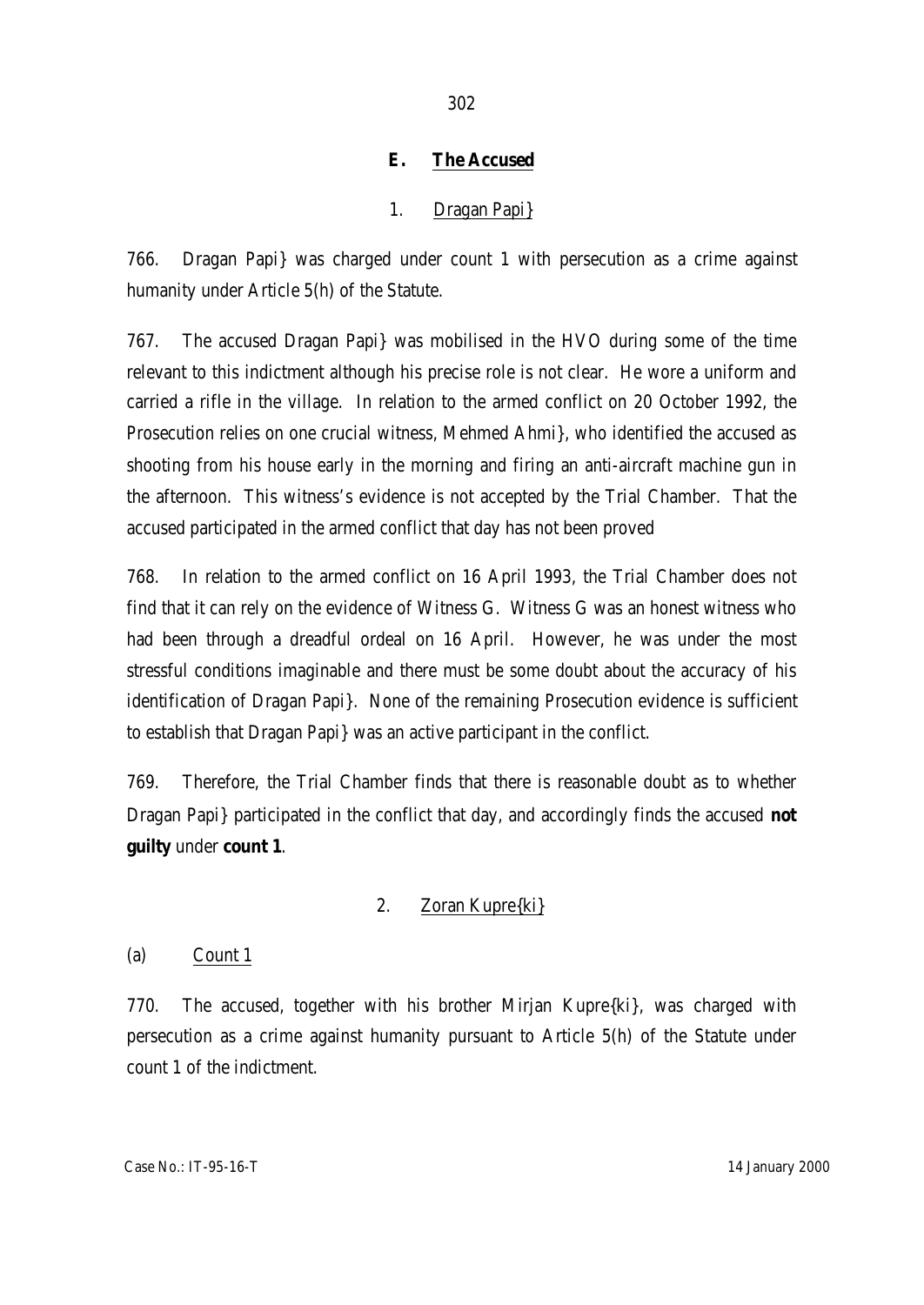302

#### **E. The Accused**

### 1. Dragan Papi}

766. Dragan Papi} was charged under count 1 with persecution as a crime against humanity under Article 5(h) of the Statute.

767. The accused Dragan Papi} was mobilised in the HVO during some of the time relevant to this indictment although his precise role is not clear. He wore a uniform and carried a rifle in the village. In relation to the armed conflict on 20 October 1992, the Prosecution relies on one crucial witness, Mehmed Ahmi}, who identified the accused as shooting from his house early in the morning and firing an anti-aircraft machine gun in the afternoon. This witness's evidence is not accepted by the Trial Chamber. That the accused participated in the armed conflict that day has not been proved

768. In relation to the armed conflict on 16 April 1993, the Trial Chamber does not find that it can rely on the evidence of Witness G. Witness G was an honest witness who had been through a dreadful ordeal on 16 April. However, he was under the most stressful conditions imaginable and there must be some doubt about the accuracy of his identification of Dragan Papi}. None of the remaining Prosecution evidence is sufficient to establish that Dragan Papi} was an active participant in the conflict.

769. Therefore, the Trial Chamber finds that there is reasonable doubt as to whether Dragan Papi} participated in the conflict that day, and accordingly finds the accused **not guilty** under **count 1**.

### 2. Zoran Kupre{ki}

#### (a) Count 1

770. The accused, together with his brother Mirjan Kupre{ki}, was charged with persecution as a crime against humanity pursuant to Article 5(h) of the Statute under count 1 of the indictment.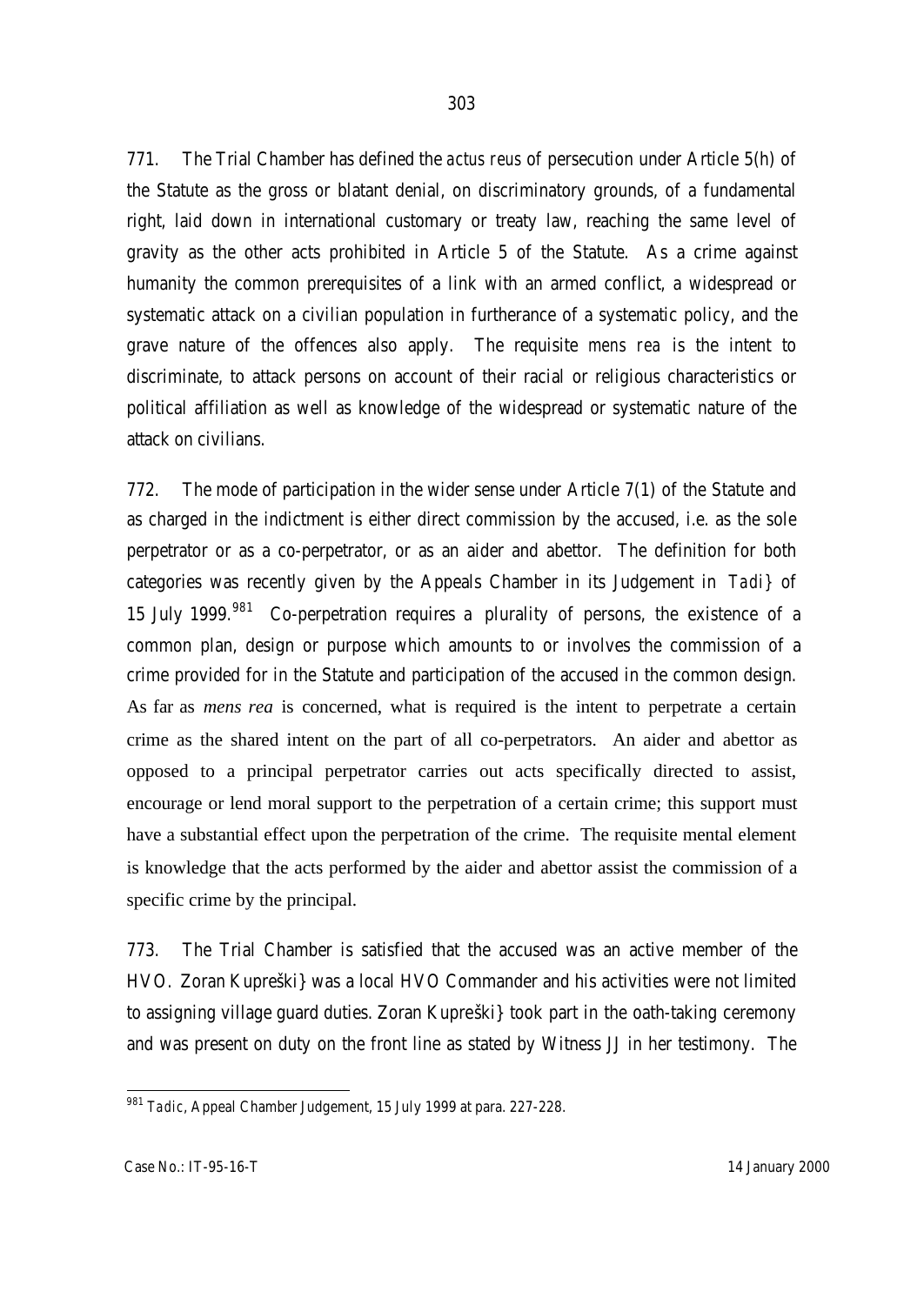771. The Trial Chamber has defined the *actus reus* of persecution under Article 5(h) of the Statute as the gross or blatant denial, on discriminatory grounds, of a fundamental right, laid down in international customary or treaty law, reaching the same level of gravity as the other acts prohibited in Article 5 of the Statute. As a crime against humanity the common prerequisites of a link with an armed conflict, a widespread or systematic attack on a civilian population in furtherance of a systematic policy, and the grave nature of the offences also apply. The requisite *mens rea* is the intent to discriminate, to attack persons on account of their racial or religious characteristics or political affiliation as well as knowledge of the widespread or systematic nature of the attack on civilians.

772. The mode of participation in the wider sense under Article 7(1) of the Statute and as charged in the indictment is either direct commission by the accused, i.e. as the sole perpetrator or as a co-perpetrator, or as an aider and abettor. The definition for both categories was recently given by the Appeals Chamber in its Judgement in *Tadi}* of 15 July 1999.<sup>981</sup> Co-perpetration requires a plurality of persons, the existence of a common plan, design or purpose which amounts to or involves the commission of a crime provided for in the Statute and participation of the accused in the common design. As far as *mens rea* is concerned, what is required is the intent to perpetrate a certain crime as the shared intent on the part of all co-perpetrators. An aider and abettor as opposed to a principal perpetrator carries out acts specifically directed to assist, encourage or lend moral support to the perpetration of a certain crime; this support must have a substantial effect upon the perpetration of the crime. The requisite mental element is knowledge that the acts performed by the aider and abettor assist the commission of a specific crime by the principal.

773. The Trial Chamber is satisfied that the accused was an active member of the HVO. Zoran Kupreški} was a local HVO Commander and his activities were not limited to assigning village guard duties. Zoran Kupreški} took part in the oath-taking ceremony and was present on duty on the front line as stated by Witness JJ in her testimony. The

 $\overline{a}$ <sup>981</sup> *Tadic*, Appeal Chamber Judgement, 15 July 1999 at para. 227-228.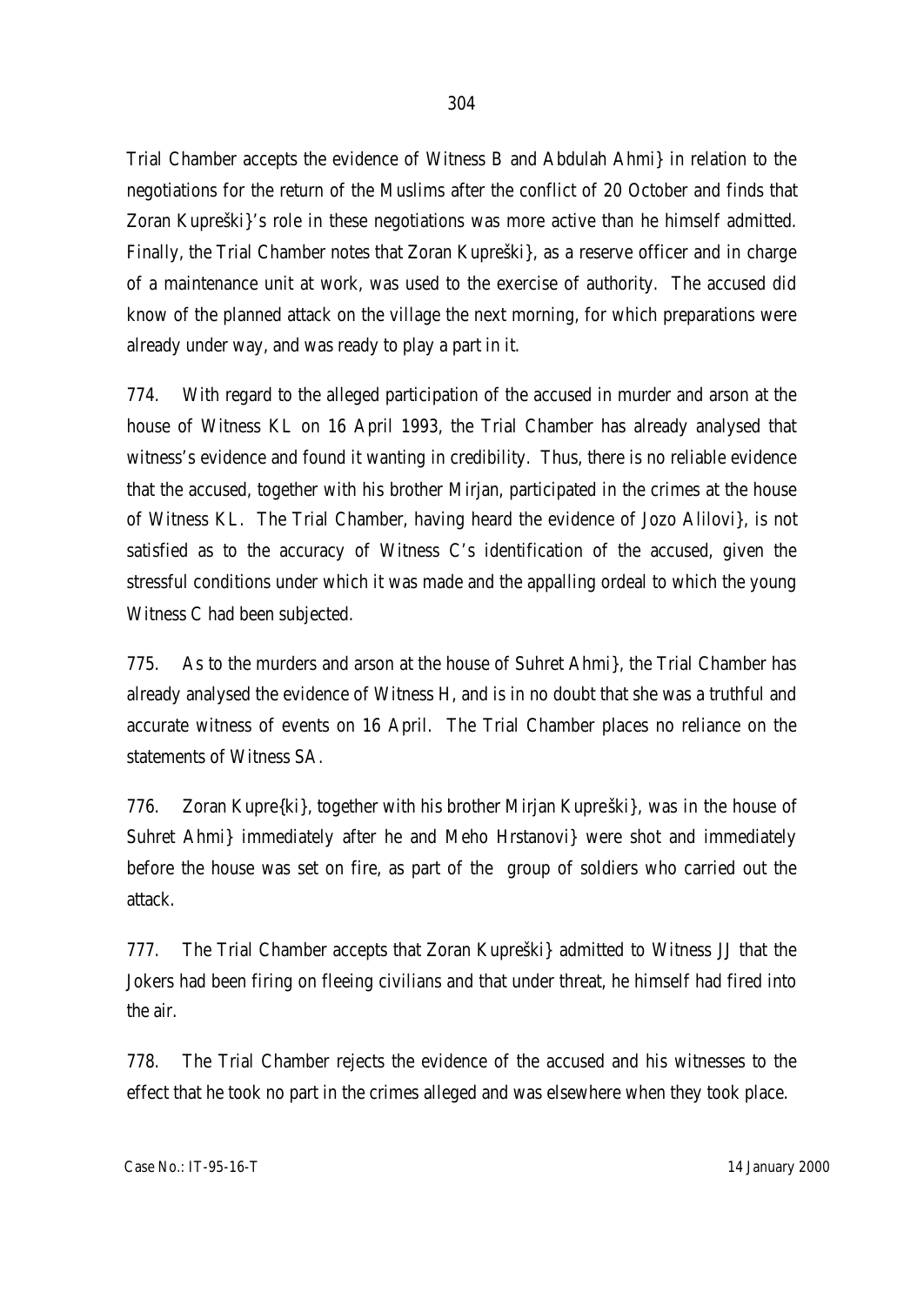304

Trial Chamber accepts the evidence of Witness B and Abdulah Ahmi} in relation to the negotiations for the return of the Muslims after the conflict of 20 October and finds that Zoran Kupreški}'s role in these negotiations was more active than he himself admitted. Finally, the Trial Chamber notes that Zoran Kupreški}, as a reserve officer and in charge of a maintenance unit at work, was used to the exercise of authority. The accused did know of the planned attack on the village the next morning, for which preparations were already under way, and was ready to play a part in it.

774. With regard to the alleged participation of the accused in murder and arson at the house of Witness KL on 16 April 1993, the Trial Chamber has already analysed that witness's evidence and found it wanting in credibility. Thus, there is no reliable evidence that the accused, together with his brother Mirjan, participated in the crimes at the house of Witness KL. The Trial Chamber, having heard the evidence of Jozo Alilovi}, is not satisfied as to the accuracy of Witness C's identification of the accused, given the stressful conditions under which it was made and the appalling ordeal to which the young Witness C had been subjected.

775. As to the murders and arson at the house of Suhret Ahmi}, the Trial Chamber has already analysed the evidence of Witness H, and is in no doubt that she was a truthful and accurate witness of events on 16 April. The Trial Chamber places no reliance on the statements of Witness SA.

776. Zoran Kupre{ki}, together with his brother Mirjan Kupreški}, was in the house of Suhret Ahmi} immediately after he and Meho Hrstanovi} were shot and immediately before the house was set on fire, as part of the group of soldiers who carried out the attack.

777. The Trial Chamber accepts that Zoran Kupreški} admitted to Witness JJ that the Jokers had been firing on fleeing civilians and that under threat, he himself had fired into the air.

778. The Trial Chamber rejects the evidence of the accused and his witnesses to the effect that he took no part in the crimes alleged and was elsewhere when they took place.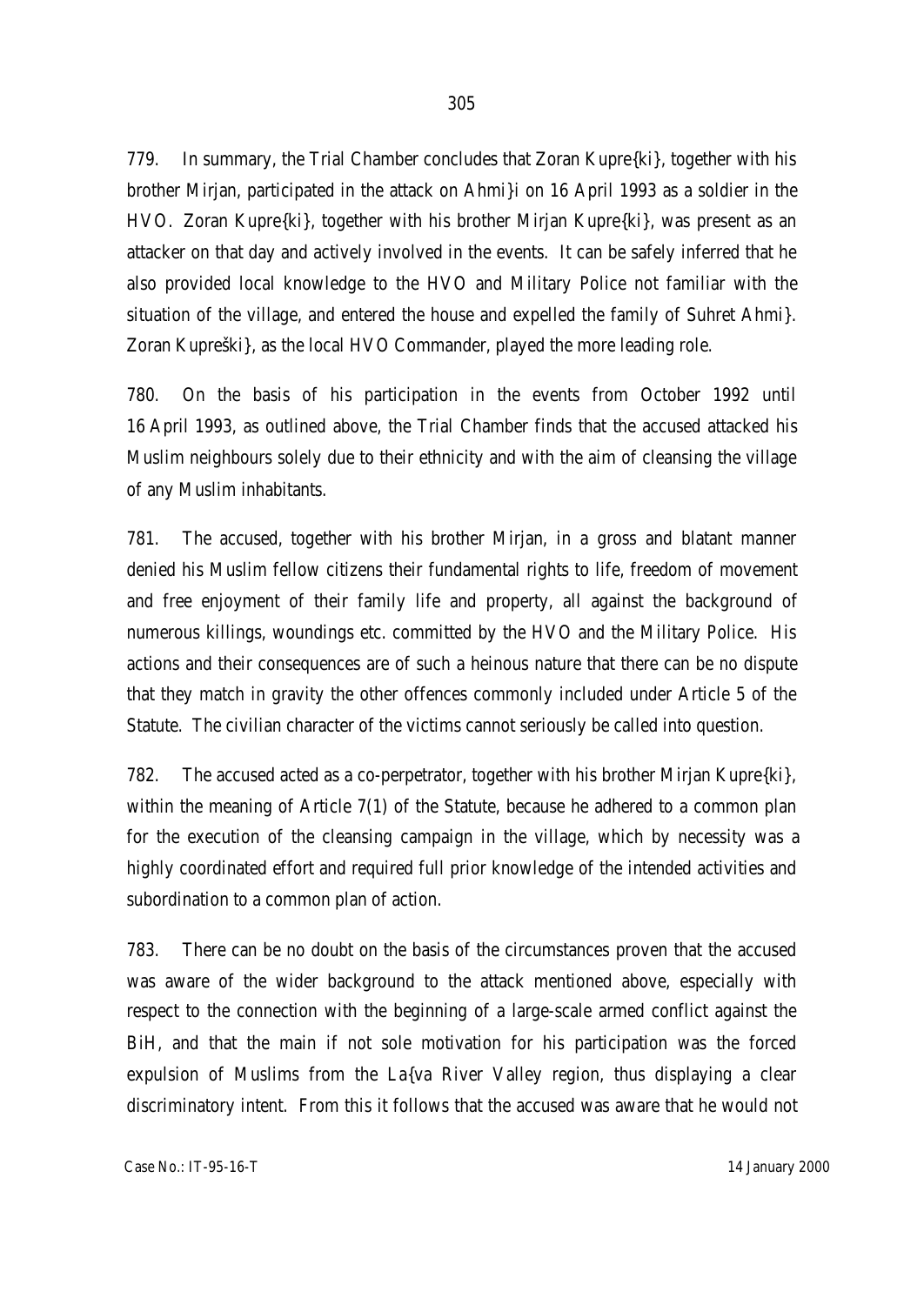779. In summary, the Trial Chamber concludes that Zoran Kupre{ki}, together with his brother Mirjan, participated in the attack on Ahmi}i on 16 April 1993 as a soldier in the HVO. Zoran Kupre{ki}, together with his brother Mirjan Kupre{ki}, was present as an attacker on that day and actively involved in the events. It can be safely inferred that he also provided local knowledge to the HVO and Military Police not familiar with the situation of the village, and entered the house and expelled the family of Suhret Ahmi}. Zoran Kupreški}, as the local HVO Commander, played the more leading role.

780. On the basis of his participation in the events from October 1992 until 16 April 1993, as outlined above, the Trial Chamber finds that the accused attacked his Muslim neighbours solely due to their ethnicity and with the aim of cleansing the village of any Muslim inhabitants.

781. The accused, together with his brother Mirjan, in a gross and blatant manner denied his Muslim fellow citizens their fundamental rights to life, freedom of movement and free enjoyment of their family life and property, all against the background of numerous killings, woundings etc. committed by the HVO and the Military Police. His actions and their consequences are of such a heinous nature that there can be no dispute that they match in gravity the other offences commonly included under Article 5 of the Statute. The civilian character of the victims cannot seriously be called into question.

782. The accused acted as a co-perpetrator, together with his brother Mirjan Kupre{ki}, within the meaning of Article 7(1) of the Statute, because he adhered to a common plan for the execution of the cleansing campaign in the village, which by necessity was a highly coordinated effort and required full prior knowledge of the intended activities and subordination to a common plan of action.

783. There can be no doubt on the basis of the circumstances proven that the accused was aware of the wider background to the attack mentioned above, especially with respect to the connection with the beginning of a large-scale armed conflict against the BiH, and that the main if not sole motivation for his participation was the forced expulsion of Muslims from the La{va River Valley region, thus displaying a clear discriminatory intent. From this it follows that the accused was aware that he would not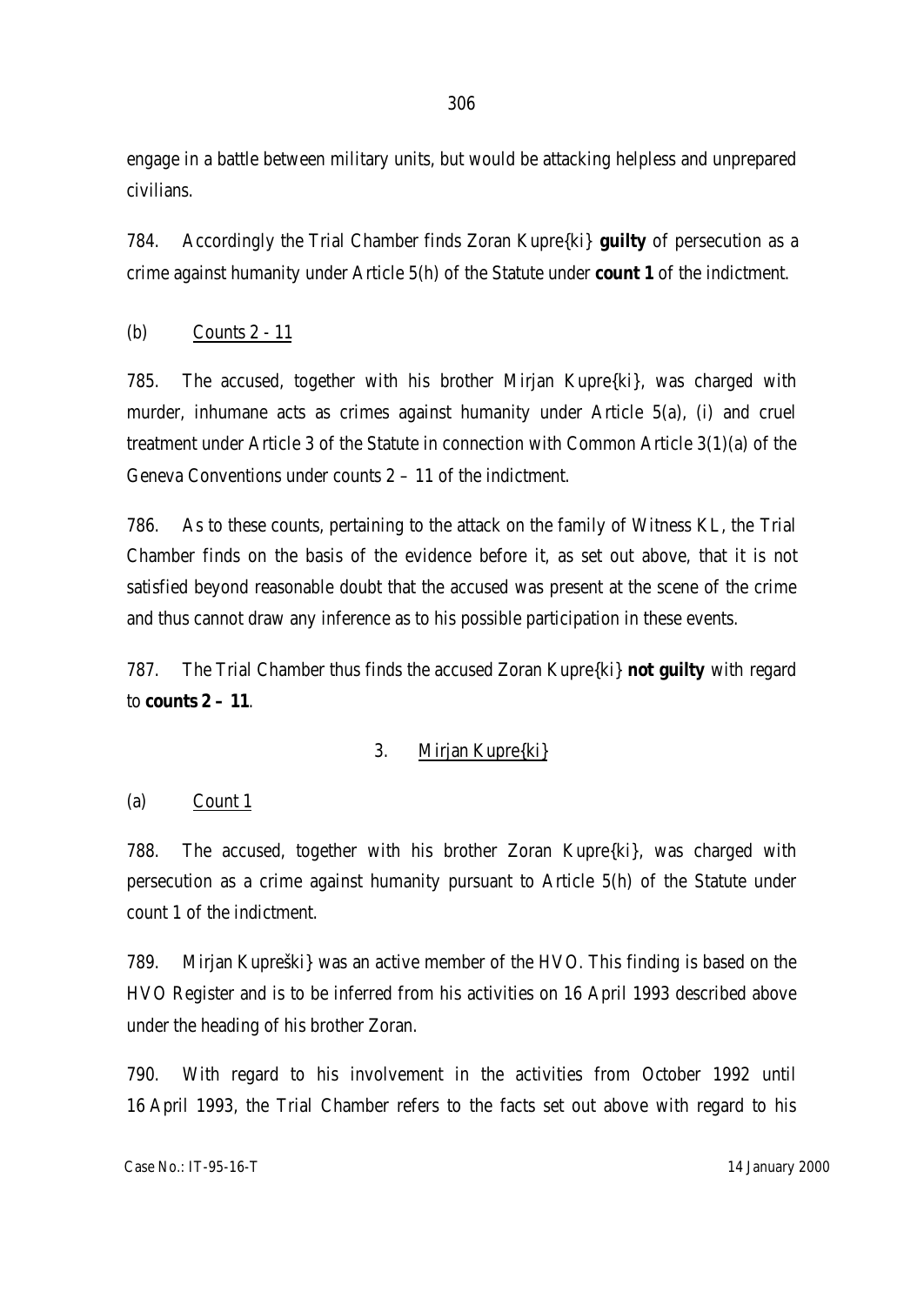engage in a battle between military units, but would be attacking helpless and unprepared civilians.

784. Accordingly the Trial Chamber finds Zoran Kupre{ki} **guilty** of persecution as a crime against humanity under Article 5(h) of the Statute under **count 1** of the indictment.

## (b) Counts 2 - 11

785. The accused, together with his brother Mirjan Kupre{ki}, was charged with murder, inhumane acts as crimes against humanity under Article 5(a), (i) and cruel treatment under Article 3 of the Statute in connection with Common Article 3(1)(a) of the Geneva Conventions under counts 2 – 11 of the indictment.

786. As to these counts, pertaining to the attack on the family of Witness KL, the Trial Chamber finds on the basis of the evidence before it, as set out above, that it is not satisfied beyond reasonable doubt that the accused was present at the scene of the crime and thus cannot draw any inference as to his possible participation in these events.

787. The Trial Chamber thus finds the accused Zoran Kupre{ki} **not guilty** with regard to **counts 2 – 11**.

#### 3. Mirjan Kupre{ki}

#### (a) Count 1

788. The accused, together with his brother Zoran Kupre{ki}, was charged with persecution as a crime against humanity pursuant to Article 5(h) of the Statute under count 1 of the indictment.

789. Mirjan Kupreški} was an active member of the HVO. This finding is based on the HVO Register and is to be inferred from his activities on 16 April 1993 described above under the heading of his brother Zoran.

790. With regard to his involvement in the activities from October 1992 until 16 April 1993, the Trial Chamber refers to the facts set out above with regard to his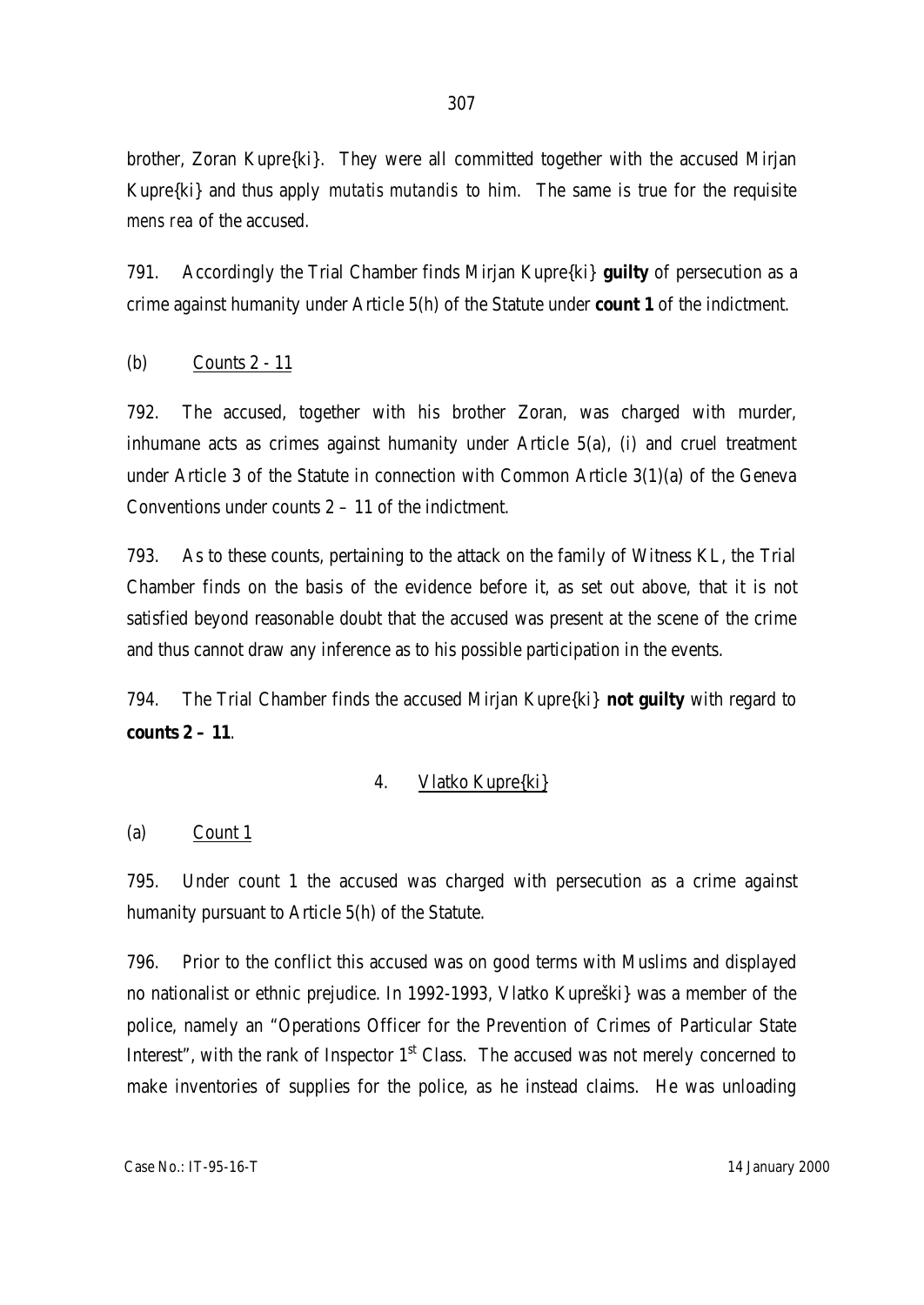brother, Zoran Kupre{ki}. They were all committed together with the accused Mirjan Kupre{ki} and thus apply *mutatis mutandis* to him. The same is true for the requisite *mens rea* of the accused.

791. Accordingly the Trial Chamber finds Mirjan Kupre{ki} **guilty** of persecution as a crime against humanity under Article 5(h) of the Statute under **count 1** of the indictment.

### (b) Counts 2 - 11

792. The accused, together with his brother Zoran, was charged with murder, inhumane acts as crimes against humanity under Article 5(a), (i) and cruel treatment under Article 3 of the Statute in connection with Common Article 3(1)(a) of the Geneva Conventions under counts 2 – 11 of the indictment.

793. As to these counts, pertaining to the attack on the family of Witness KL, the Trial Chamber finds on the basis of the evidence before it, as set out above, that it is not satisfied beyond reasonable doubt that the accused was present at the scene of the crime and thus cannot draw any inference as to his possible participation in the events.

794. The Trial Chamber finds the accused Mirjan Kupre{ki} **not guilty** with regard to **counts 2 – 11**.

### 4. Vlatko Kupre{ki}

### (a) Count 1

795. Under count 1 the accused was charged with persecution as a crime against humanity pursuant to Article 5(h) of the Statute.

796. Prior to the conflict this accused was on good terms with Muslims and displayed no nationalist or ethnic prejudice. In 1992-1993, Vlatko Kupreški} was a member of the police, namely an "Operations Officer for the Prevention of Crimes of Particular State Interest", with the rank of Inspector  $1<sup>st</sup>$  Class. The accused was not merely concerned to make inventories of supplies for the police, as he instead claims. He was unloading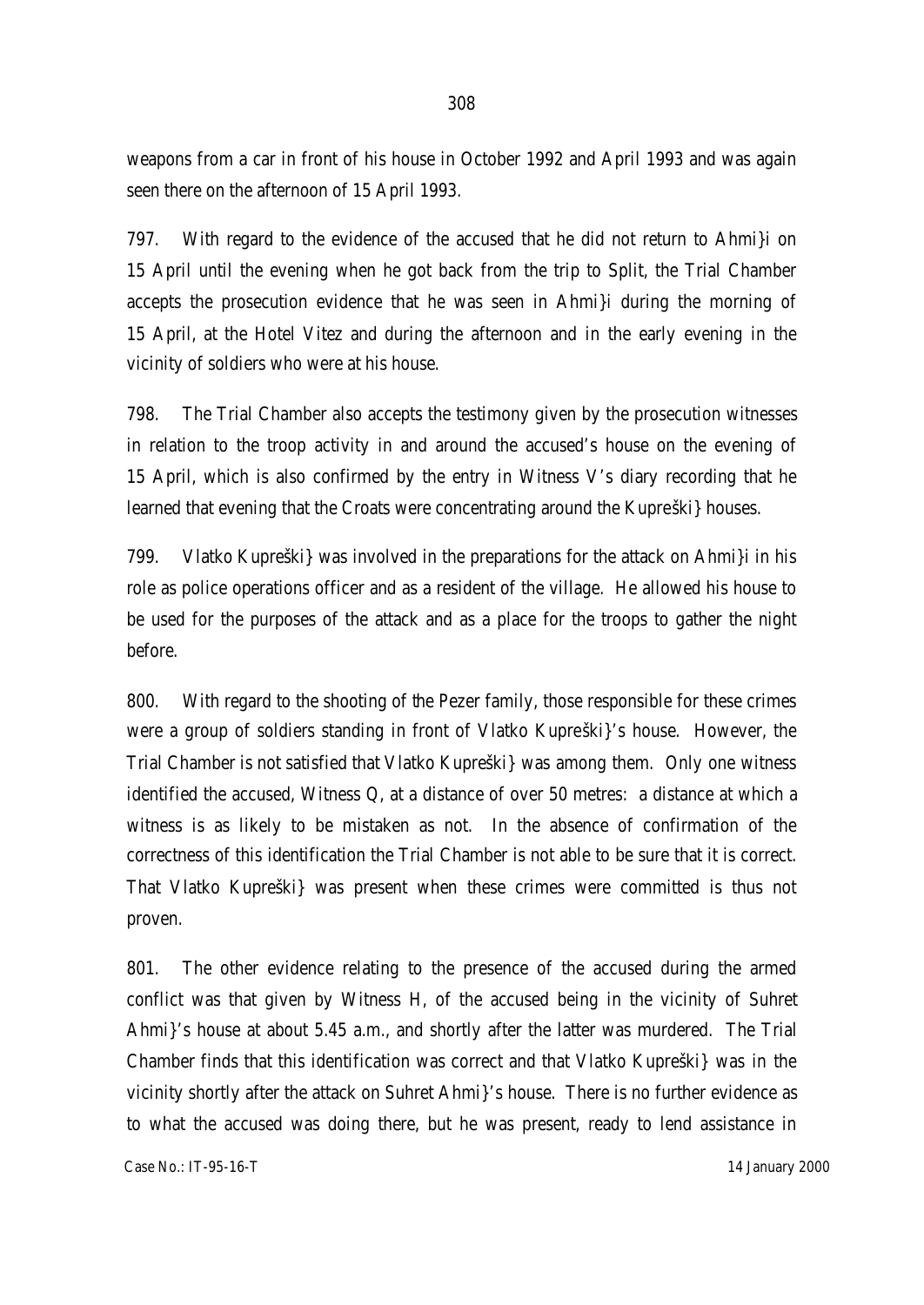weapons from a car in front of his house in October 1992 and April 1993 and was again seen there on the afternoon of 15 April 1993.

797. With regard to the evidence of the accused that he did not return to Ahmi}i on 15 April until the evening when he got back from the trip to Split, the Trial Chamber accepts the prosecution evidence that he was seen in Ahmi}i during the morning of 15 April, at the Hotel Vitez and during the afternoon and in the early evening in the vicinity of soldiers who were at his house.

798. The Trial Chamber also accepts the testimony given by the prosecution witnesses in relation to the troop activity in and around the accused's house on the evening of 15 April, which is also confirmed by the entry in Witness V's diary recording that he learned that evening that the Croats were concentrating around the Kupreški} houses.

799. Vlatko Kupreški} was involved in the preparations for the attack on Ahmi}i in his role as police operations officer and as a resident of the village. He allowed his house to be used for the purposes of the attack and as a place for the troops to gather the night before.

800. With regard to the shooting of the Pezer family, those responsible for these crimes were a group of soldiers standing in front of Vlatko Kupreški}'s house. However, the Trial Chamber is not satisfied that Vlatko Kupreški} was among them. Only one witness identified the accused, Witness Q, at a distance of over 50 metres: a distance at which a witness is as likely to be mistaken as not. In the absence of confirmation of the correctness of this identification the Trial Chamber is not able to be sure that it is correct. That Vlatko Kupreški} was present when these crimes were committed is thus not proven.

801. The other evidence relating to the presence of the accused during the armed conflict was that given by Witness H, of the accused being in the vicinity of Suhret Ahmi}'s house at about 5.45 a.m., and shortly after the latter was murdered. The Trial Chamber finds that this identification was correct and that Vlatko Kupreški} was in the vicinity shortly after the attack on Suhret Ahmi}'s house. There is no further evidence as to what the accused was doing there, but he was present, ready to lend assistance in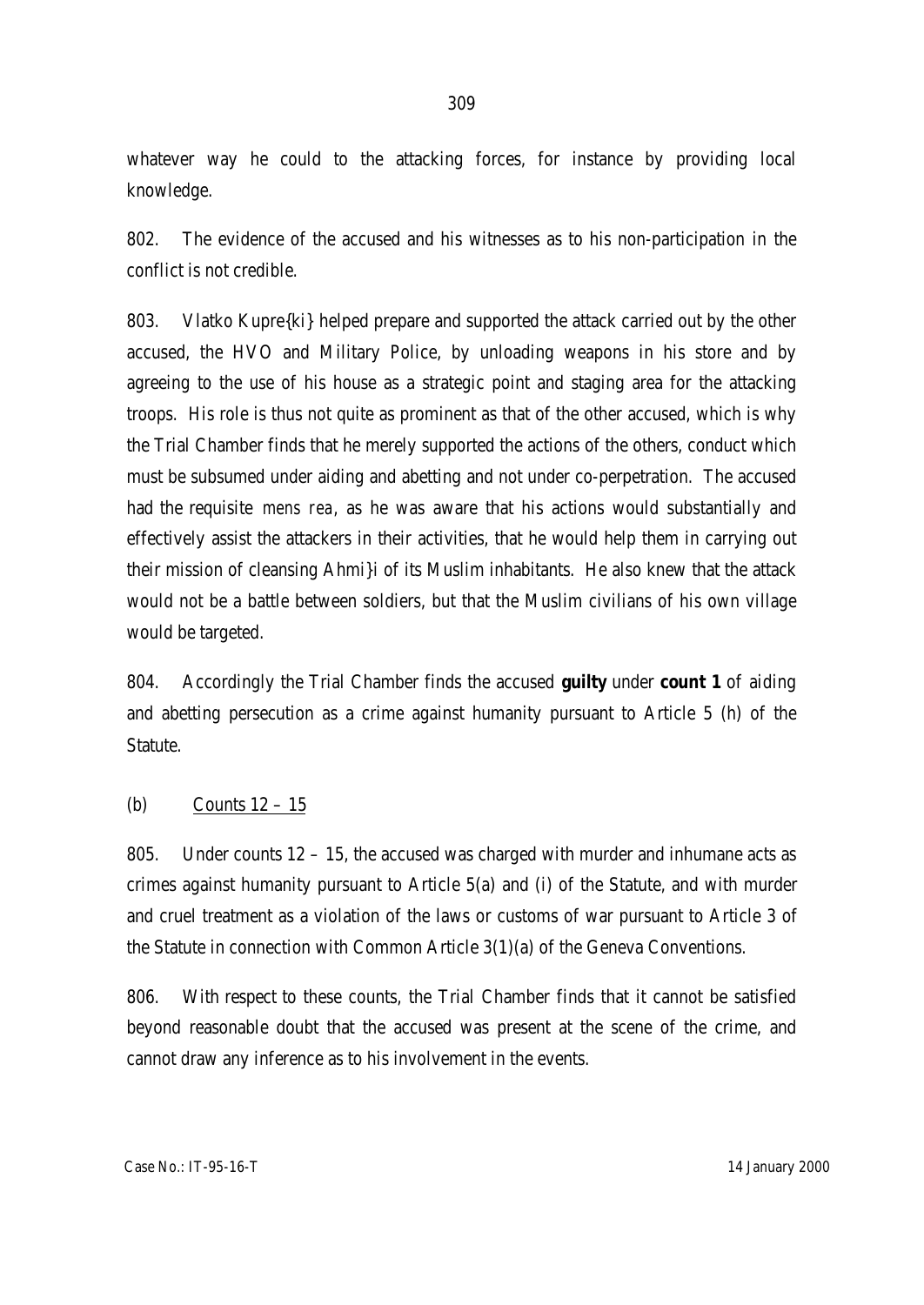whatever way he could to the attacking forces, for instance by providing local knowledge.

802. The evidence of the accused and his witnesses as to his non-participation in the conflict is not credible.

803. Vlatko Kupre{ki} helped prepare and supported the attack carried out by the other accused, the HVO and Military Police, by unloading weapons in his store and by agreeing to the use of his house as a strategic point and staging area for the attacking troops. His role is thus not quite as prominent as that of the other accused, which is why the Trial Chamber finds that he merely supported the actions of the others, conduct which must be subsumed under aiding and abetting and not under co-perpetration. The accused had the requisite *mens rea*, as he was aware that his actions would substantially and effectively assist the attackers in their activities, that he would help them in carrying out their mission of cleansing Ahmi}i of its Muslim inhabitants. He also knew that the attack would not be a battle between soldiers, but that the Muslim civilians of his own village would be targeted.

804. Accordingly the Trial Chamber finds the accused **guilty** under **count 1** of aiding and abetting persecution as a crime against humanity pursuant to Article 5 (h) of the Statute.

#### (b) Counts  $12 - 15$

805. Under counts 12 – 15, the accused was charged with murder and inhumane acts as crimes against humanity pursuant to Article 5(a) and (i) of the Statute, and with murder and cruel treatment as a violation of the laws or customs of war pursuant to Article 3 of the Statute in connection with Common Article 3(1)(a) of the Geneva Conventions.

806. With respect to these counts, the Trial Chamber finds that it cannot be satisfied beyond reasonable doubt that the accused was present at the scene of the crime, and cannot draw any inference as to his involvement in the events.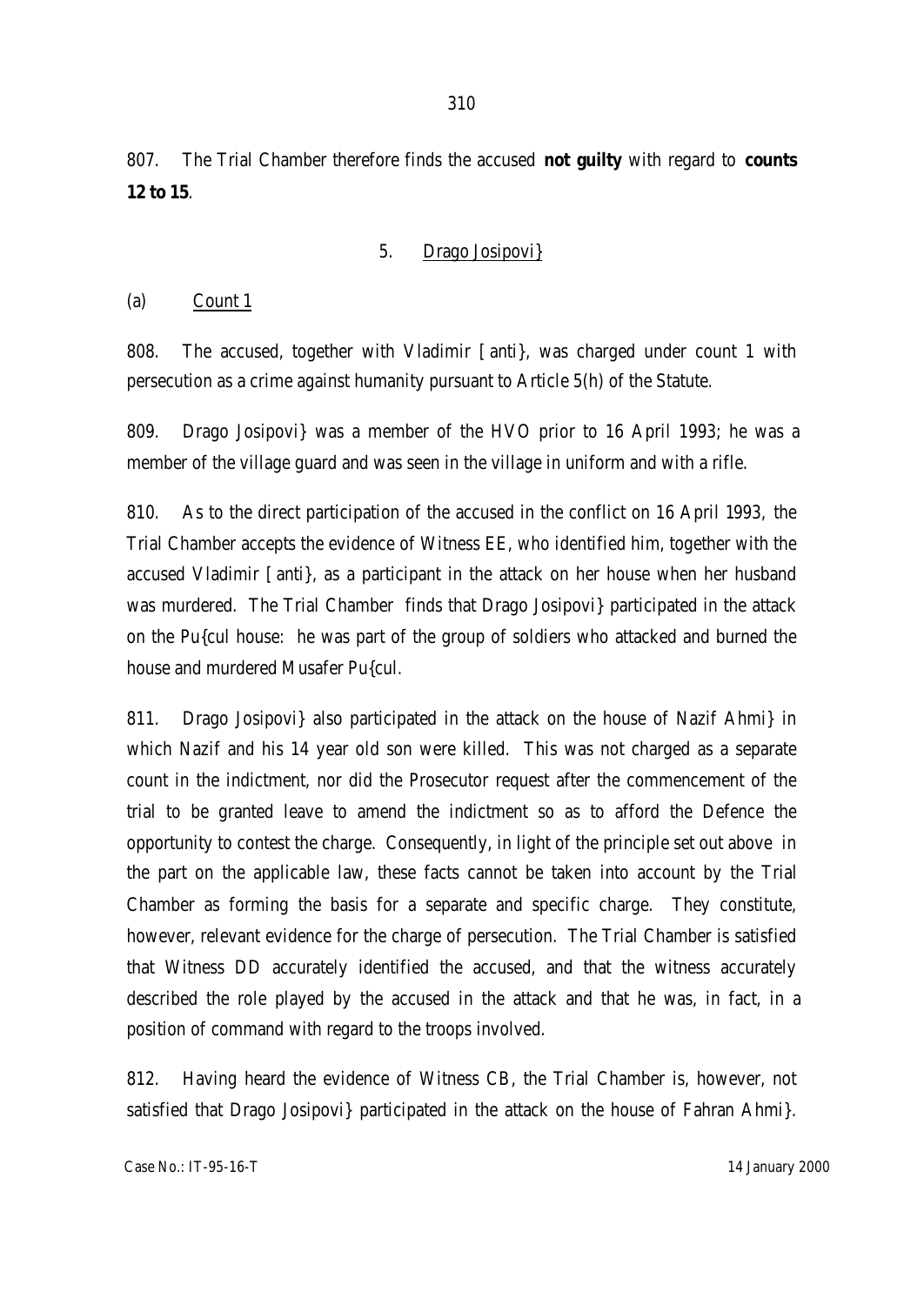807. The Trial Chamber therefore finds the accused **not guilty** with regard to **counts 12 to 15**.

#### 5. Drago Josipovi}

#### (a) Count 1

808. The accused, together with Vladimir [anti}, was charged under count 1 with persecution as a crime against humanity pursuant to Article 5(h) of the Statute.

809. Drago Josipovi} was a member of the HVO prior to 16 April 1993; he was a member of the village guard and was seen in the village in uniform and with a rifle.

810. As to the direct participation of the accused in the conflict on 16 April 1993, the Trial Chamber accepts the evidence of Witness EE, who identified him, together with the accused Vladimir [anti}, as a participant in the attack on her house when her husband was murdered. The Trial Chamber finds that Drago Josipovi} participated in the attack on the Pu{cul house: he was part of the group of soldiers who attacked and burned the house and murdered Musafer Pu{cul.

811. Drago Josipovi} also participated in the attack on the house of Nazif Ahmi} in which Nazif and his 14 year old son were killed. This was not charged as a separate count in the indictment, nor did the Prosecutor request after the commencement of the trial to be granted leave to amend the indictment so as to afford the Defence the opportunity to contest the charge. Consequently, in light of the principle set out above in the part on the applicable law, these facts cannot be taken into account by the Trial Chamber as forming the basis for a separate and specific charge. They constitute, however, relevant evidence for the charge of persecution. The Trial Chamber is satisfied that Witness DD accurately identified the accused, and that the witness accurately described the role played by the accused in the attack and that he was, in fact, in a position of command with regard to the troops involved.

812. Having heard the evidence of Witness CB, the Trial Chamber is, however, not satisfied that Drago Josipovi} participated in the attack on the house of Fahran Ahmi}.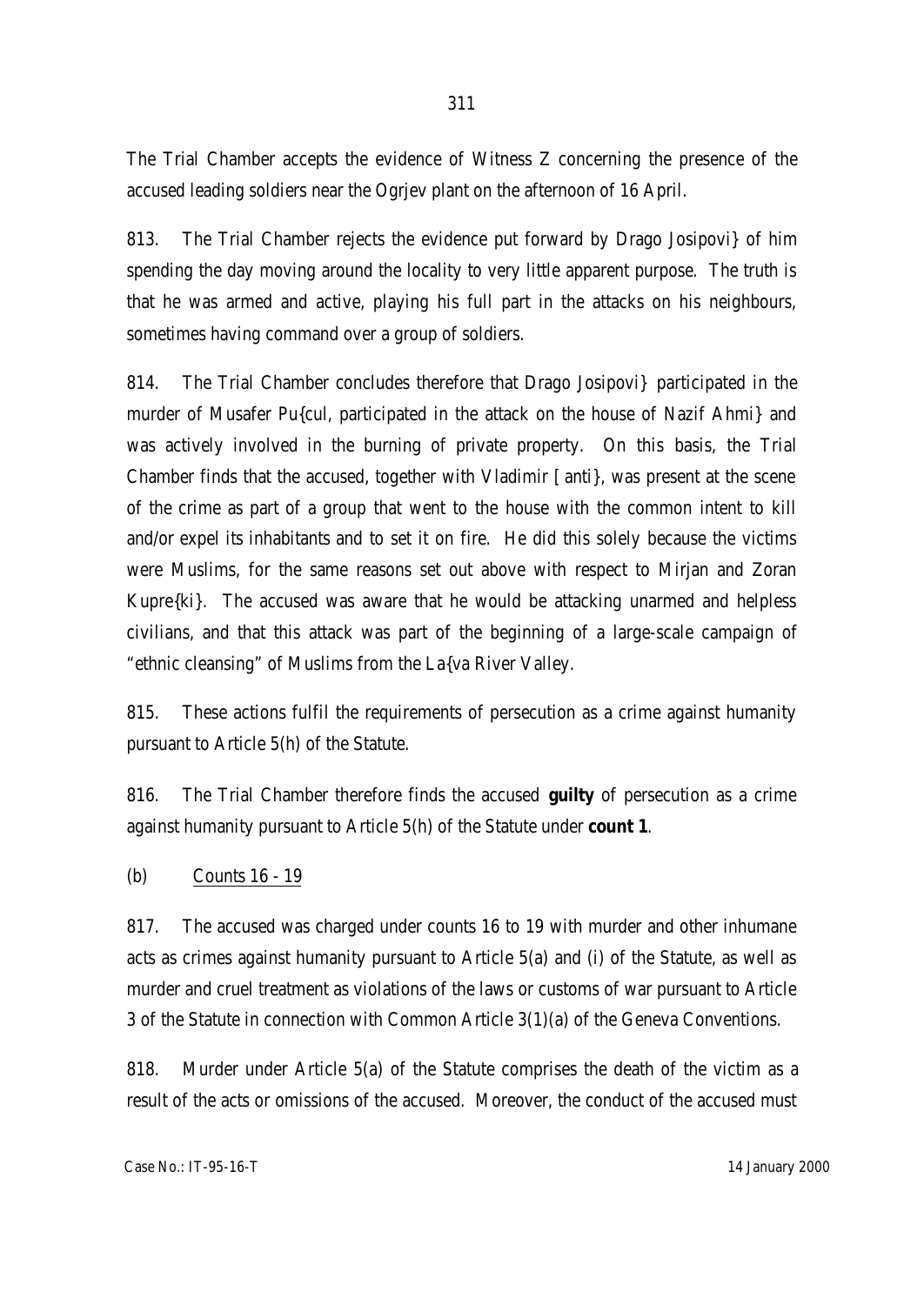The Trial Chamber accepts the evidence of Witness Z concerning the presence of the accused leading soldiers near the Ogrjev plant on the afternoon of 16 April.

813. The Trial Chamber rejects the evidence put forward by Drago Josipovi} of him spending the day moving around the locality to very little apparent purpose. The truth is that he was armed and active, playing his full part in the attacks on his neighbours, sometimes having command over a group of soldiers.

814. The Trial Chamber concludes therefore that Drago Josipovi} participated in the murder of Musafer Pu{cul, participated in the attack on the house of Nazif Ahmi} and was actively involved in the burning of private property. On this basis, the Trial Chamber finds that the accused, together with Vladimir [anti}, was present at the scene of the crime as part of a group that went to the house with the common intent to kill and/or expel its inhabitants and to set it on fire. He did this solely because the victims were Muslims, for the same reasons set out above with respect to Mirjan and Zoran Kupre{ki}. The accused was aware that he would be attacking unarmed and helpless civilians, and that this attack was part of the beginning of a large-scale campaign of "ethnic cleansing" of Muslims from the La{va River Valley.

815. These actions fulfil the requirements of persecution as a crime against humanity pursuant to Article 5(h) of the Statute.

816. The Trial Chamber therefore finds the accused **guilty** of persecution as a crime against humanity pursuant to Article 5(h) of the Statute under **count 1**.

### (b) Counts 16 - 19

817. The accused was charged under counts 16 to 19 with murder and other inhumane acts as crimes against humanity pursuant to Article 5(a) and (i) of the Statute, as well as murder and cruel treatment as violations of the laws or customs of war pursuant to Article 3 of the Statute in connection with Common Article 3(1)(a) of the Geneva Conventions.

818. Murder under Article 5(a) of the Statute comprises the death of the victim as a result of the acts or omissions of the accused. Moreover, the conduct of the accused must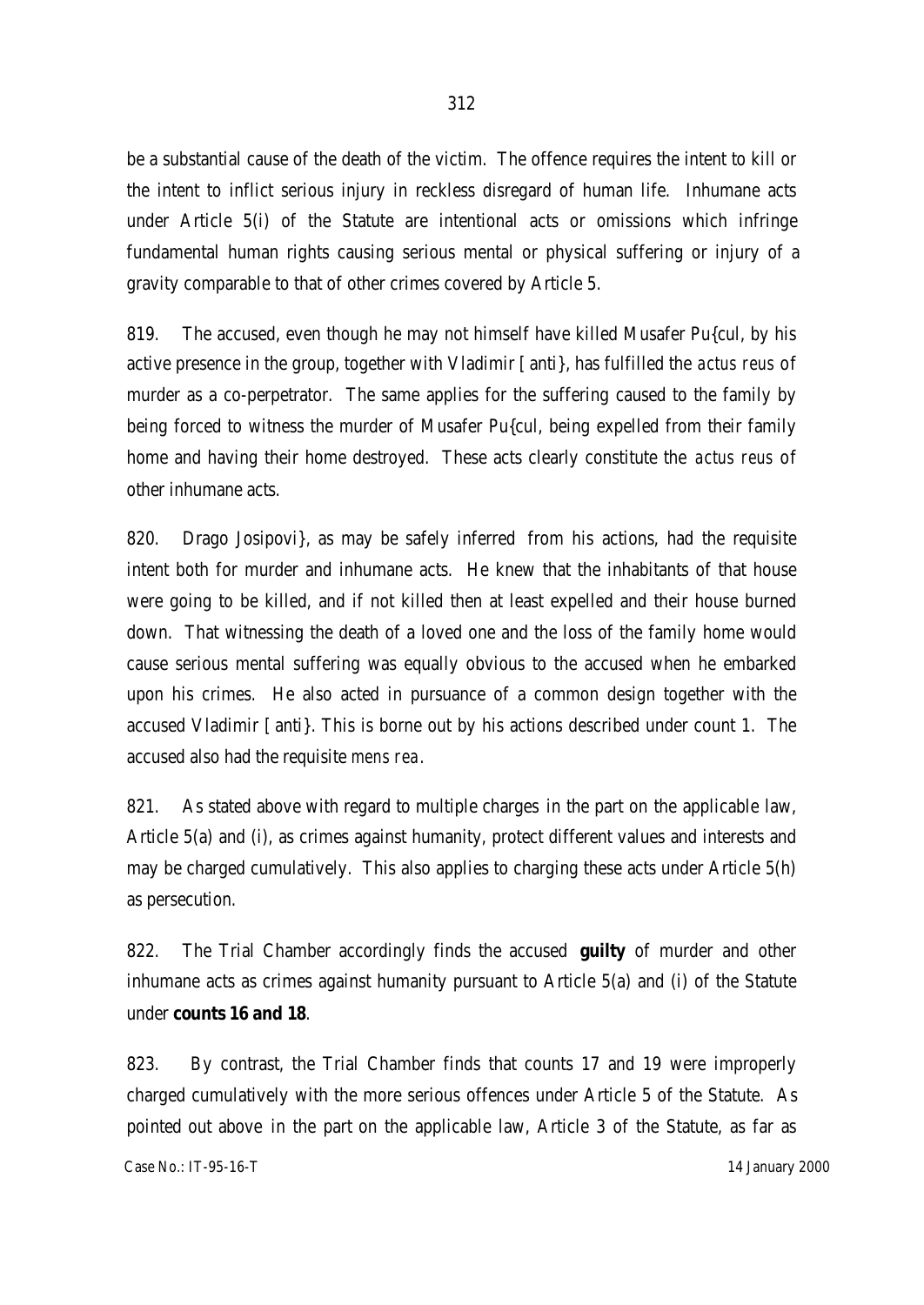be a substantial cause of the death of the victim. The offence requires the intent to kill or the intent to inflict serious injury in reckless disregard of human life. Inhumane acts under Article 5(i) of the Statute are intentional acts or omissions which infringe fundamental human rights causing serious mental or physical suffering or injury of a gravity comparable to that of other crimes covered by Article 5.

819. The accused, even though he may not himself have killed Musafer Pu{cul, by his active presence in the group, together with Vladimir [anti}, has fulfilled the *actus reus* of murder as a co-perpetrator. The same applies for the suffering caused to the family by being forced to witness the murder of Musafer Pu{cul, being expelled from their family home and having their home destroyed. These acts clearly constitute the *actus reus* of other inhumane acts.

820. Drago Josipovi}, as may be safely inferred from his actions, had the requisite intent both for murder and inhumane acts. He knew that the inhabitants of that house were going to be killed, and if not killed then at least expelled and their house burned down. That witnessing the death of a loved one and the loss of the family home would cause serious mental suffering was equally obvious to the accused when he embarked upon his crimes. He also acted in pursuance of a common design together with the accused Vladimir [anti}. This is borne out by his actions described under count 1. The accused also had the requisite *mens rea*.

821. As stated above with regard to multiple charges in the part on the applicable law, Article 5(a) and (i), as crimes against humanity, protect different values and interests and may be charged cumulatively. This also applies to charging these acts under Article 5(h) as persecution.

822. The Trial Chamber accordingly finds the accused **guilty** of murder and other inhumane acts as crimes against humanity pursuant to Article 5(a) and (i) of the Statute under **counts 16 and 18**.

823. By contrast, the Trial Chamber finds that counts 17 and 19 were improperly charged cumulatively with the more serious offences under Article 5 of the Statute. As pointed out above in the part on the applicable law, Article 3 of the Statute, as far as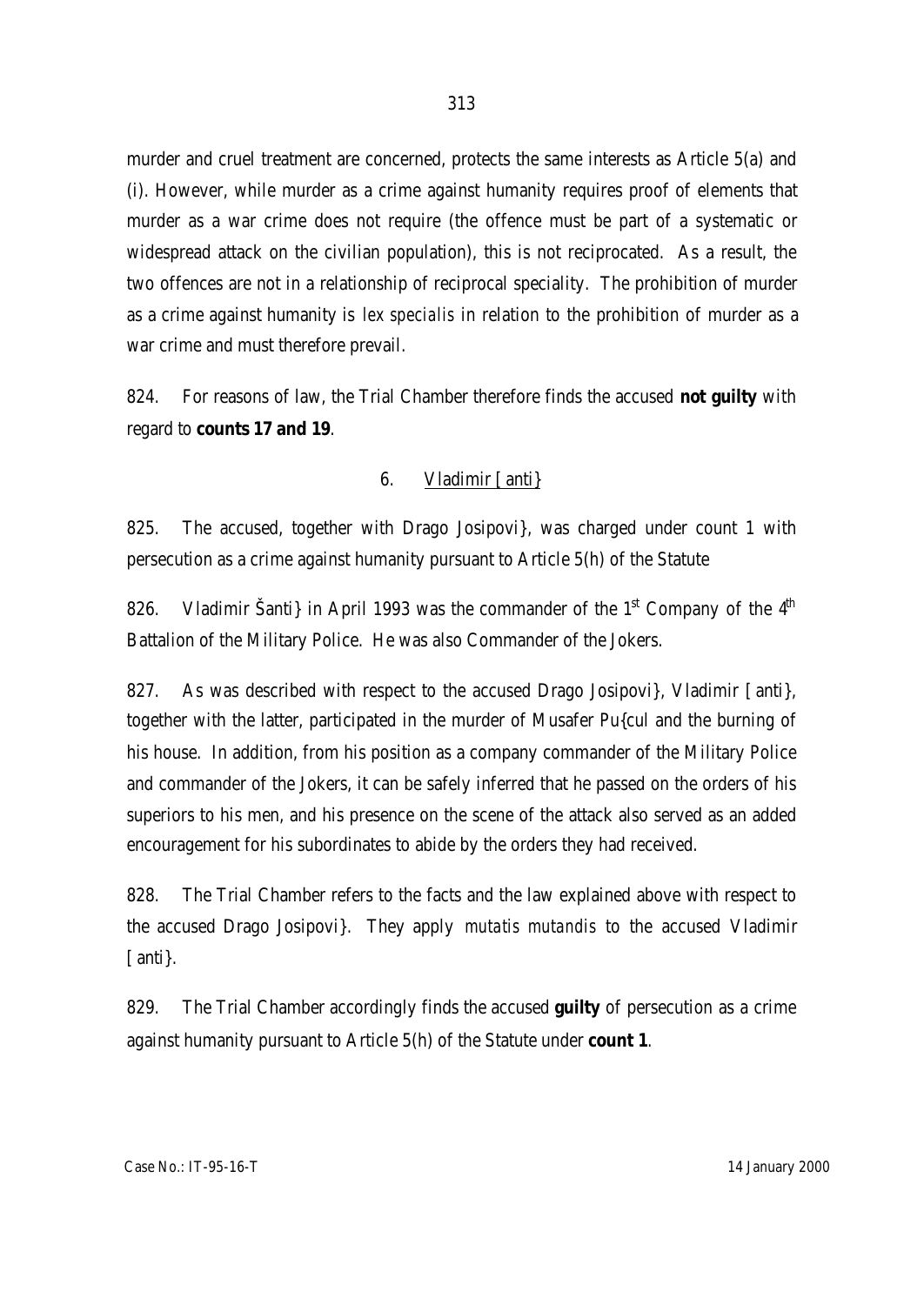murder and cruel treatment are concerned, protects the same interests as Article 5(a) and (i). However, while murder as a crime against humanity requires proof of elements that murder as a war crime does not require (the offence must be part of a systematic or widespread attack on the civilian population), this is not reciprocated. As a result, the two offences are not in a relationship of reciprocal speciality. The prohibition of murder as a crime against humanity is *lex specialis* in relation to the prohibition of murder as a war crime and must therefore prevail.

824. For reasons of law, the Trial Chamber therefore finds the accused **not guilty** with regard to **counts 17 and 19**.

#### 6. Vladimir [anti}

825. The accused, together with Drago Josipovi}, was charged under count 1 with persecution as a crime against humanity pursuant to Article 5(h) of the Statute

826. Vladimir Šanti} in April 1993 was the commander of the 1<sup>st</sup> Company of the 4<sup>th</sup> Battalion of the Military Police. He was also Commander of the Jokers.

827. As was described with respect to the accused Drago Josipovi}, Vladimir [anti}, together with the latter, participated in the murder of Musafer Pu{cul and the burning of his house. In addition, from his position as a company commander of the Military Police and commander of the Jokers, it can be safely inferred that he passed on the orders of his superiors to his men, and his presence on the scene of the attack also served as an added encouragement for his subordinates to abide by the orders they had received.

828. The Trial Chamber refers to the facts and the law explained above with respect to the accused Drago Josipovi}. They apply *mutatis mutandis* to the accused Vladimir [anti}.

829. The Trial Chamber accordingly finds the accused **guilty** of persecution as a crime against humanity pursuant to Article 5(h) of the Statute under **count 1**.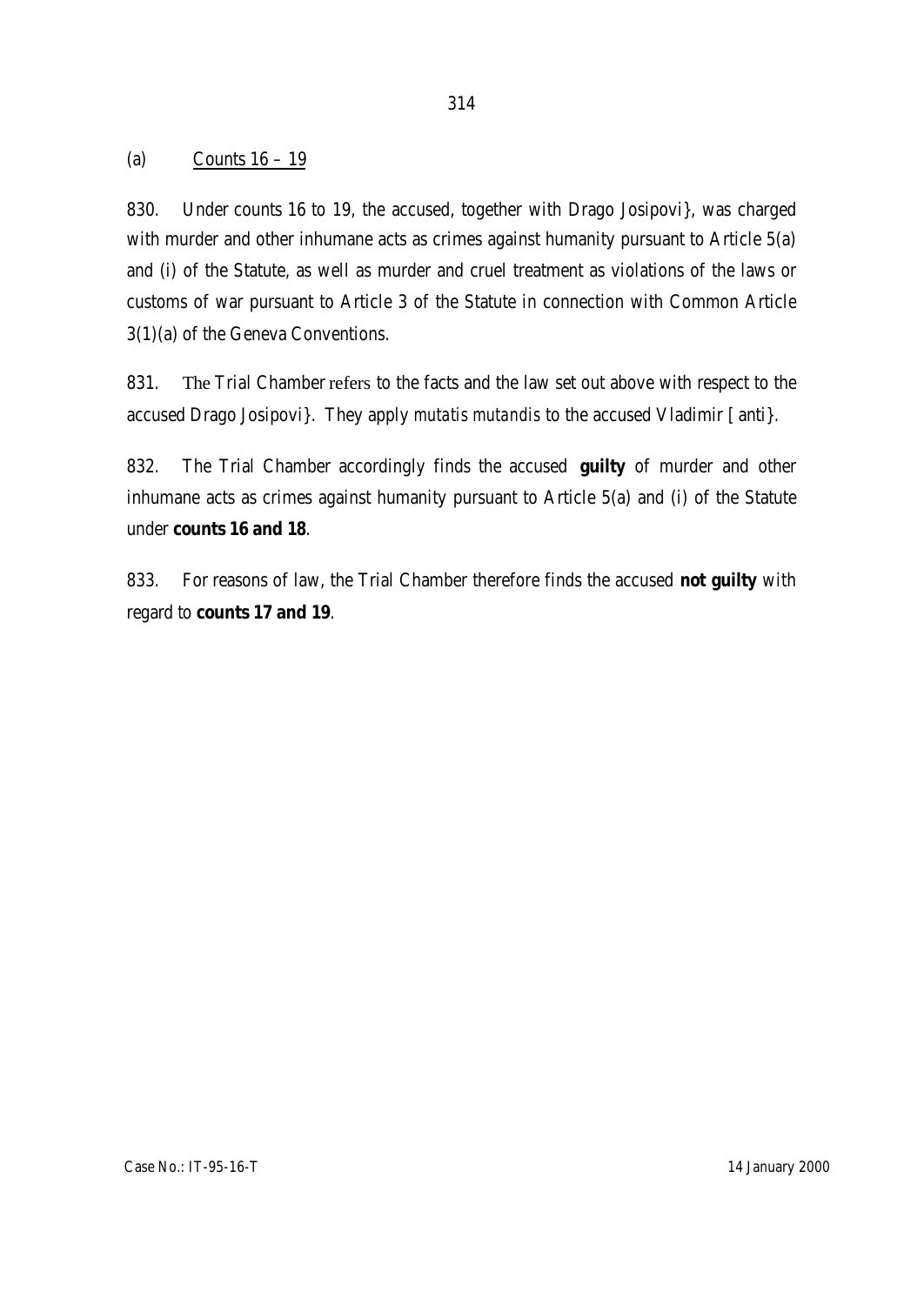### (a) Counts  $16 - 19$

830. Under counts 16 to 19, the accused, together with Drago Josipovi}, was charged with murder and other inhumane acts as crimes against humanity pursuant to Article 5(a) and (i) of the Statute, as well as murder and cruel treatment as violations of the laws or customs of war pursuant to Article 3 of the Statute in connection with Common Article 3(1)(a) of the Geneva Conventions.

314

831. The Trial Chamber refers to the facts and the law set out above with respect to the accused Drago Josipovi}. They apply *mutatis mutandis* to the accused Vladimir [anti}.

832. The Trial Chamber accordingly finds the accused **guilty** of murder and other inhumane acts as crimes against humanity pursuant to Article 5(a) and (i) of the Statute under **counts 16 and 18**.

833. For reasons of law, the Trial Chamber therefore finds the accused **not guilty** with regard to **counts 17 and 19**.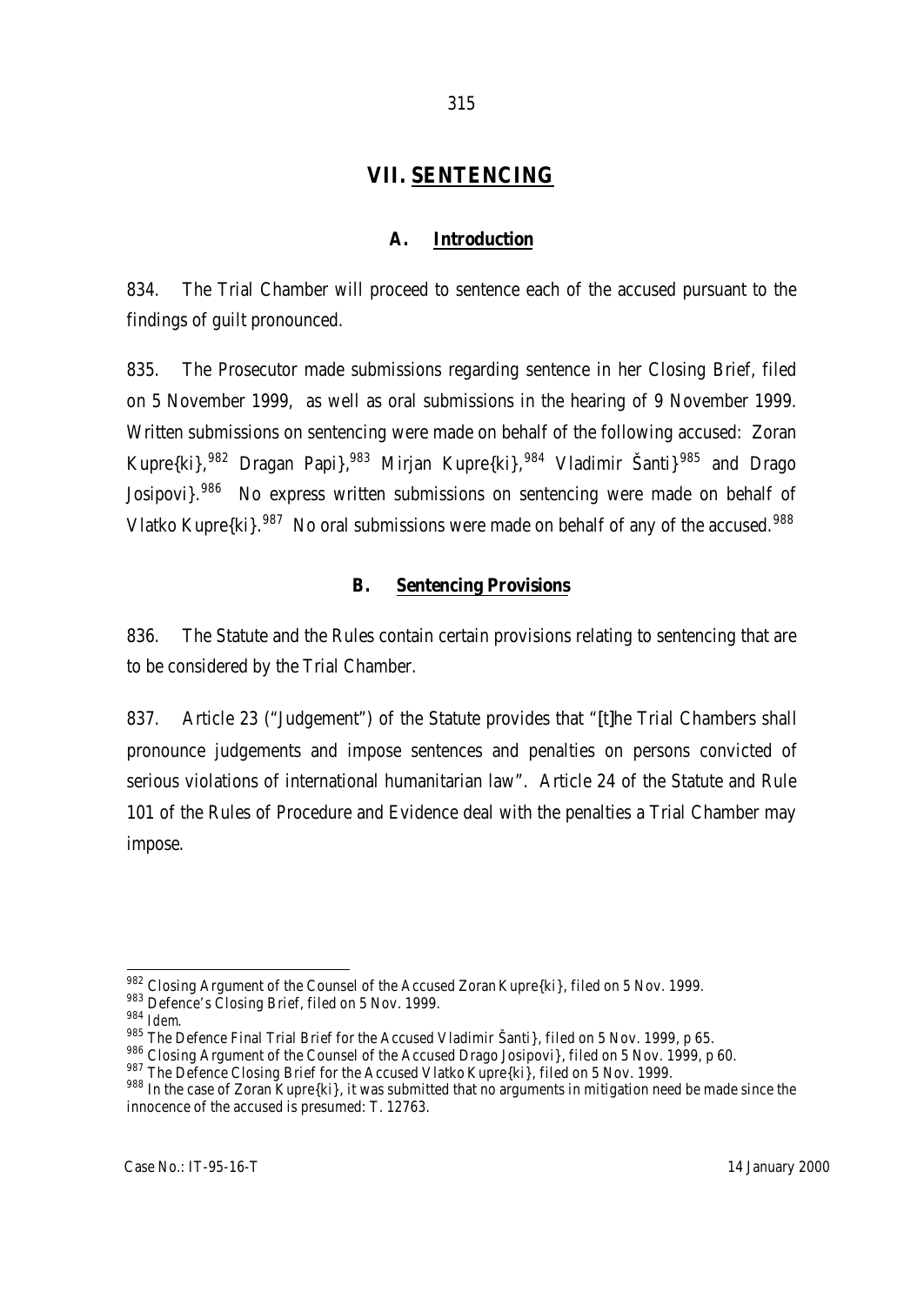## **VII. SENTENCING**

#### **A. Introduction**

834. The Trial Chamber will proceed to sentence each of the accused pursuant to the findings of guilt pronounced.

835. The Prosecutor made submissions regarding sentence in her Closing Brief, filed on 5 November 1999, as well as oral submissions in the hearing of 9 November 1999. Written submissions on sentencing were made on behalf of the following accused: Zoran Kupre{ki},<sup>982</sup> Dragan Papi},<sup>983</sup> Mirjan Kupre{ki},<sup>984</sup> Vladimir Šanti}<sup>985</sup> and Drago Josipovi}.<sup>986</sup> No express written submissions on sentencing were made on behalf of Vlatko Kupre $\{ki\}$ .<sup>987</sup> No oral submissions were made on behalf of any of the accused.<sup>988</sup>

#### **B. Sentencing Provisions**

836. The Statute and the Rules contain certain provisions relating to sentencing that are to be considered by the Trial Chamber.

837. Article 23 ("Judgement") of the Statute provides that "[t]he Trial Chambers shall pronounce judgements and impose sentences and penalties on persons convicted of serious violations of international humanitarian law". Article 24 of the Statute and Rule 101 of the Rules of Procedure and Evidence deal with the penalties a Trial Chamber may impose.

 $\overline{a}$ 

986 Closing Argument of the Counsel of the Accused Drago Josipovi}, filed on 5 Nov. 1999, p 60.

 $982$  Closing Argument of the Counsel of the Accused Zoran Kupre{ki}, filed on 5 Nov. 1999.

<sup>983</sup> Defence's Closing Brief, filed on 5 Nov. 1999.

<sup>984</sup> *Idem*.

<sup>985</sup> The Defence Final Trial Brief for the Accused Vladimir Šanti}, filed on 5 Nov. 1999, p 65.

<sup>987</sup> The Defence Closing Brief for the Accused Vlatko Kupre{ki}, filed on 5 Nov. 1999.

<sup>988</sup> In the case of Zoran Kupre{ki}, it was submitted that no arguments in mitigation need be made since the innocence of the accused is presumed: T. 12763.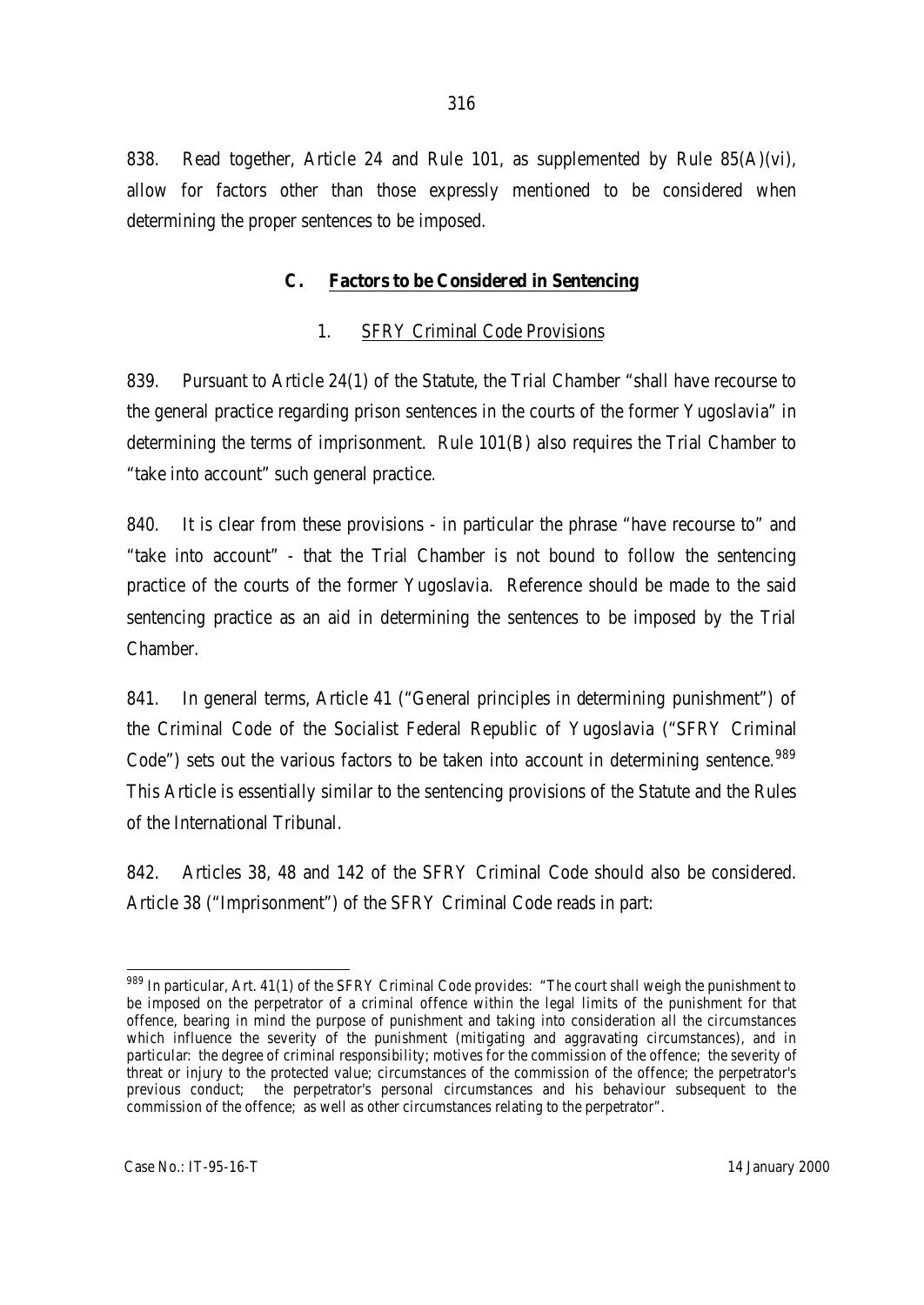838. Read together, Article 24 and Rule 101, as supplemented by Rule 85(A)(vi), allow for factors other than those expressly mentioned to be considered when determining the proper sentences to be imposed.

## **C. Factors to be Considered in Sentencing**

### 1. SFRY Criminal Code Provisions

839. Pursuant to Article 24(1) of the Statute, the Trial Chamber "shall have recourse to the general practice regarding prison sentences in the courts of the former Yugoslavia" in determining the terms of imprisonment. Rule 101(B) also requires the Trial Chamber to "take into account" such general practice.

840. It is clear from these provisions - in particular the phrase "have recourse to" and "take into account" - that the Trial Chamber is not bound to follow the sentencing practice of the courts of the former Yugoslavia. Reference should be made to the said sentencing practice as an aid in determining the sentences to be imposed by the Trial Chamber.

841. In general terms, Article 41 ("General principles in determining punishment") of the Criminal Code of the Socialist Federal Republic of Yugoslavia ("SFRY Criminal Code") sets out the various factors to be taken into account in determining sentence.<sup>989</sup> This Article is essentially similar to the sentencing provisions of the Statute and the Rules of the International Tribunal.

842. Articles 38, 48 and 142 of the SFRY Criminal Code should also be considered. Article 38 ("Imprisonment") of the SFRY Criminal Code reads in part:

 $\overline{a}$ <sup>989</sup> In particular, Art. 41(1) of the SFRY Criminal Code provides: "The court shall weigh the punishment to be imposed on the perpetrator of a criminal offence within the legal limits of the punishment for that offence, bearing in mind the purpose of punishment and taking into consideration all the circumstances which influence the severity of the punishment (mitigating and aggravating circumstances), and in particular: the degree of criminal responsibility; motives for the commission of the offence; the severity of threat or injury to the protected value; circumstances of the commission of the offence; the perpetrator's previous conduct; the perpetrator's personal circumstances and his behaviour subsequent to the commission of the offence; as well as other circumstances relating to the perpetrator".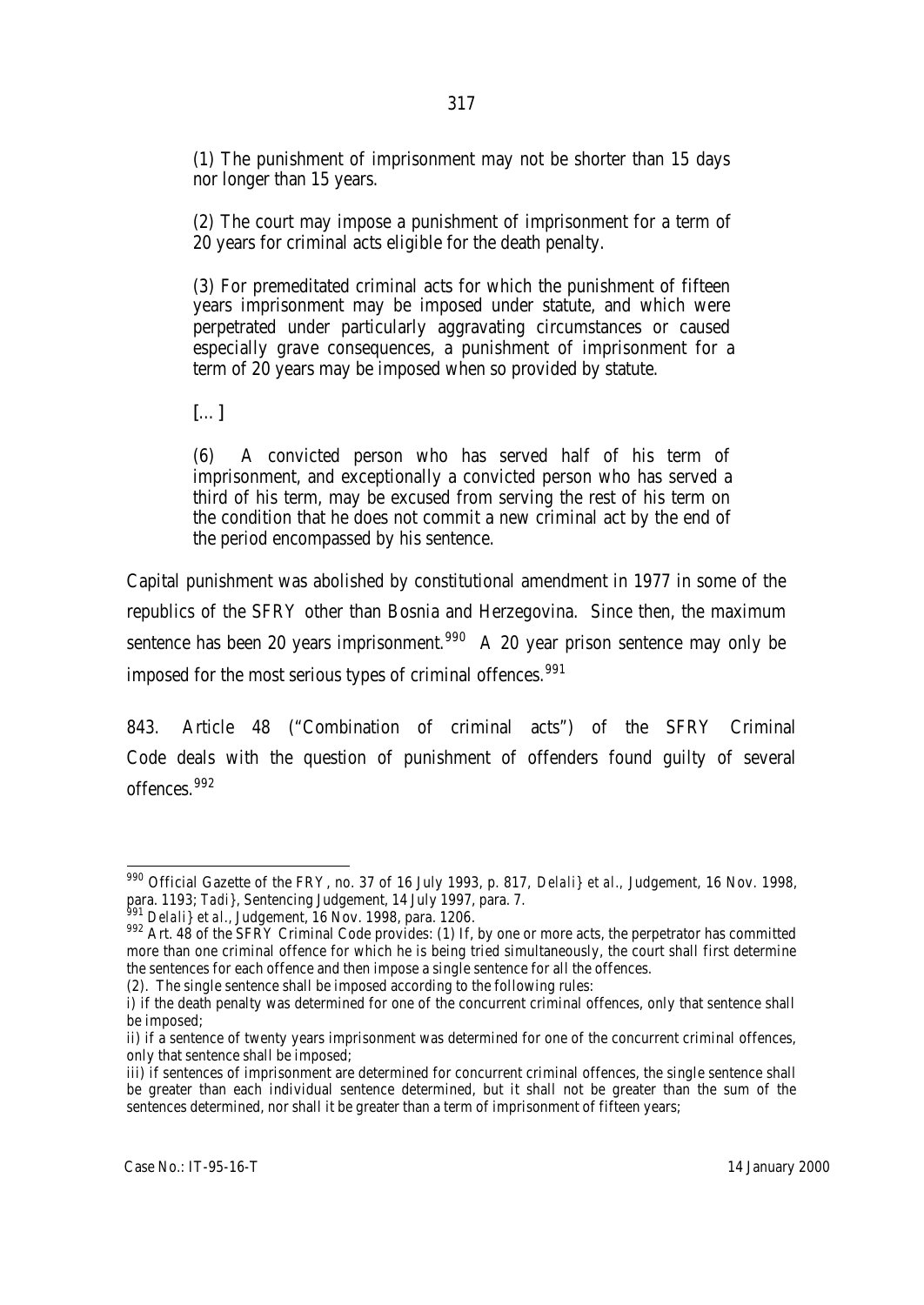(1) The punishment of imprisonment may not be shorter than 15 days nor longer than 15 years.

(2) The court may impose a punishment of imprisonment for a term of 20 years for criminal acts eligible for the death penalty.

(3) For premeditated criminal acts for which the punishment of fifteen years imprisonment may be imposed under statute, and which were perpetrated under particularly aggravating circumstances or caused especially grave consequences, a punishment of imprisonment for a term of 20 years may be imposed when so provided by statute.

 $[\ldots]$ 

(6) A convicted person who has served half of his term of imprisonment, and exceptionally a convicted person who has served a third of his term, may be excused from serving the rest of his term on the condition that he does not commit a new criminal act by the end of the period encompassed by his sentence.

Capital punishment was abolished by constitutional amendment in 1977 in some of the republics of the SFRY other than Bosnia and Herzegovina. Since then, the maximum sentence has been 20 years imprisonment.<sup>990</sup> A 20 year prison sentence may only be imposed for the most serious types of criminal offences.<sup>991</sup>

843. Article 48 ("Combination of criminal acts") of the SFRY Criminal Code deals with the question of punishment of offenders found guilty of several offences.<sup>992</sup>

 $\overline{a}$ <sup>990</sup> Official Gazette of the FRY, no. 37 of 16 July 1993, p. 817, *Delali} et al.,* Judgement, 16 Nov. 1998, para. 1193; *Tadi},* Sentencing Judgement, 14 July 1997, para. 7.

<sup>991</sup> *Delali} et al.,* Judgement, 16 Nov. 1998, para. 1206.

 $992$  Art. 48 of the SFRY Criminal Code provides: (1) If, by one or more acts, the perpetrator has committed more than one criminal offence for which he is being tried simultaneously, the court shall first determine the sentences for each offence and then impose a single sentence for all the offences.

<sup>(2).</sup> The single sentence shall be imposed according to the following rules:

i) if the death penalty was determined for one of the concurrent criminal offences, only that sentence shall be imposed;

ii) if a sentence of twenty years imprisonment was determined for one of the concurrent criminal offences, only that sentence shall be imposed;

iii) if sentences of imprisonment are determined for concurrent criminal offences, the single sentence shall be greater than each individual sentence determined, but it shall not be greater than the sum of the sentences determined, nor shall it be greater than a term of imprisonment of fifteen years;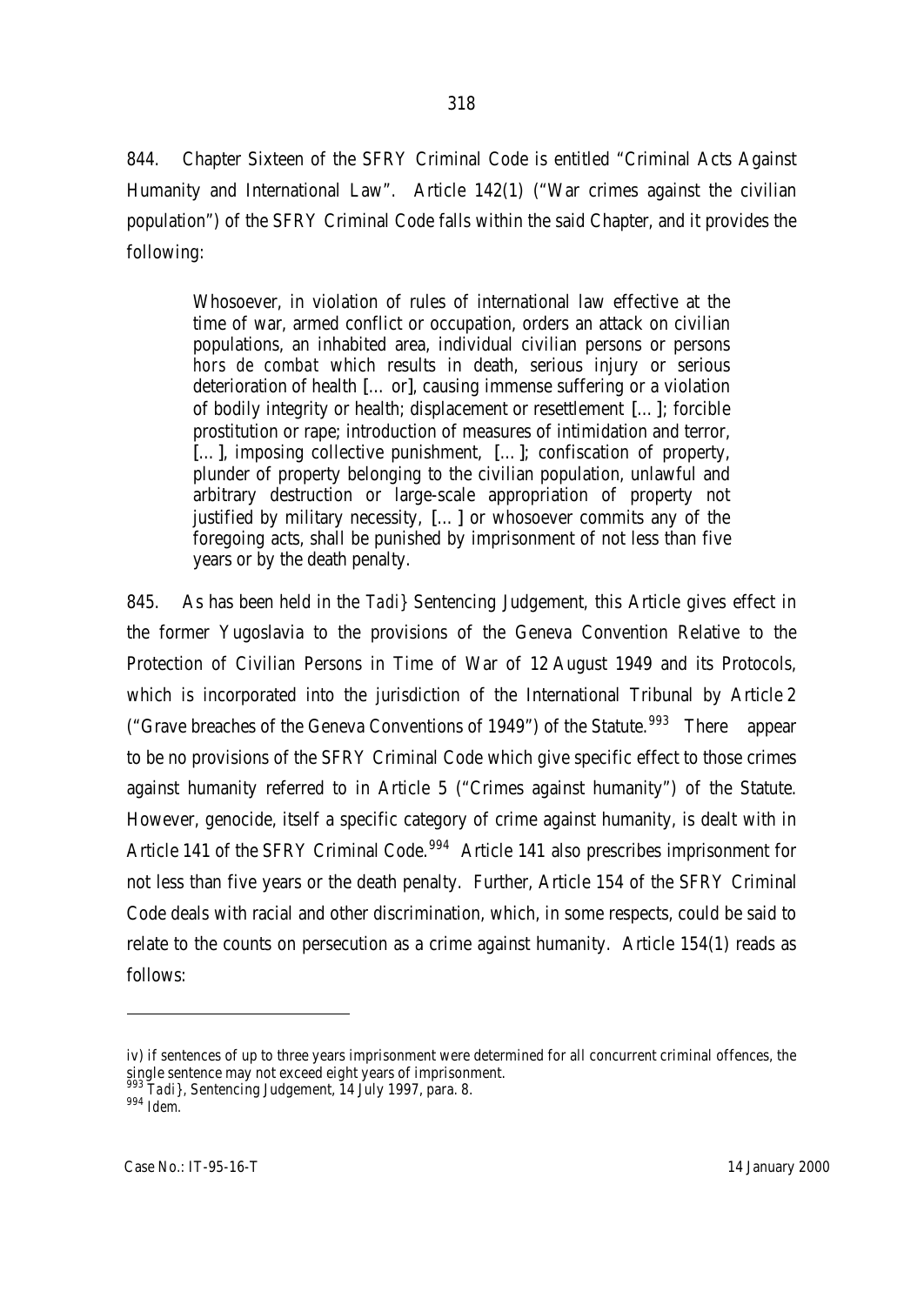844. Chapter Sixteen of the SFRY Criminal Code is entitled "Criminal Acts Against Humanity and International Law". Article 142(1) ("War crimes against the civilian population") of the SFRY Criminal Code falls within the said Chapter, and it provides the following:

Whosoever, in violation of rules of international law effective at the time of war, armed conflict or occupation, orders an attack on civilian populations, an inhabited area, individual civilian persons or persons *hors de combat* which results in death, serious injury or serious deterioration of health [… or], causing immense suffering or a violation of bodily integrity or health; displacement or resettlement […]; forcible prostitution or rape; introduction of measures of intimidation and terror, [...], imposing collective punishment, [...]; confiscation of property, plunder of property belonging to the civilian population, unlawful and arbitrary destruction or large-scale appropriation of property not justified by military necessity, [...] or whosoever commits any of the foregoing acts, shall be punished by imprisonment of not less than five years or by the death penalty.

845. As has been held in the *Tadi}* Sentencing Judgement, this Article gives effect in the former Yugoslavia to the provisions of the Geneva Convention Relative to the Protection of Civilian Persons in Time of War of 12 August 1949 and its Protocols, which is incorporated into the jurisdiction of the International Tribunal by Article 2 ("Grave breaches of the Geneva Conventions of 1949") of the Statute.<sup>993</sup> There appear to be no provisions of the SFRY Criminal Code which give specific effect to those crimes against humanity referred to in Article 5 ("Crimes against humanity") of the Statute. However, genocide, itself a specific category of crime against humanity, is dealt with in Article 141 of the SFRY Criminal Code.<sup>994</sup> Article 141 also prescribes imprisonment for not less than five years or the death penalty. Further, Article 154 of the SFRY Criminal Code deals with racial and other discrimination, which, in some respects, could be said to relate to the counts on persecution as a crime against humanity. Article 154(1) reads as follows:

l

iv) if sentences of up to three years imprisonment were determined for all concurrent criminal offences, the single sentence may not exceed eight years of imprisonment.

<sup>&</sup>lt;sup>993</sup> *Tadi},* Sentencing Judgement, 14 July 1997, para. 8.

<sup>994</sup> *Idem.*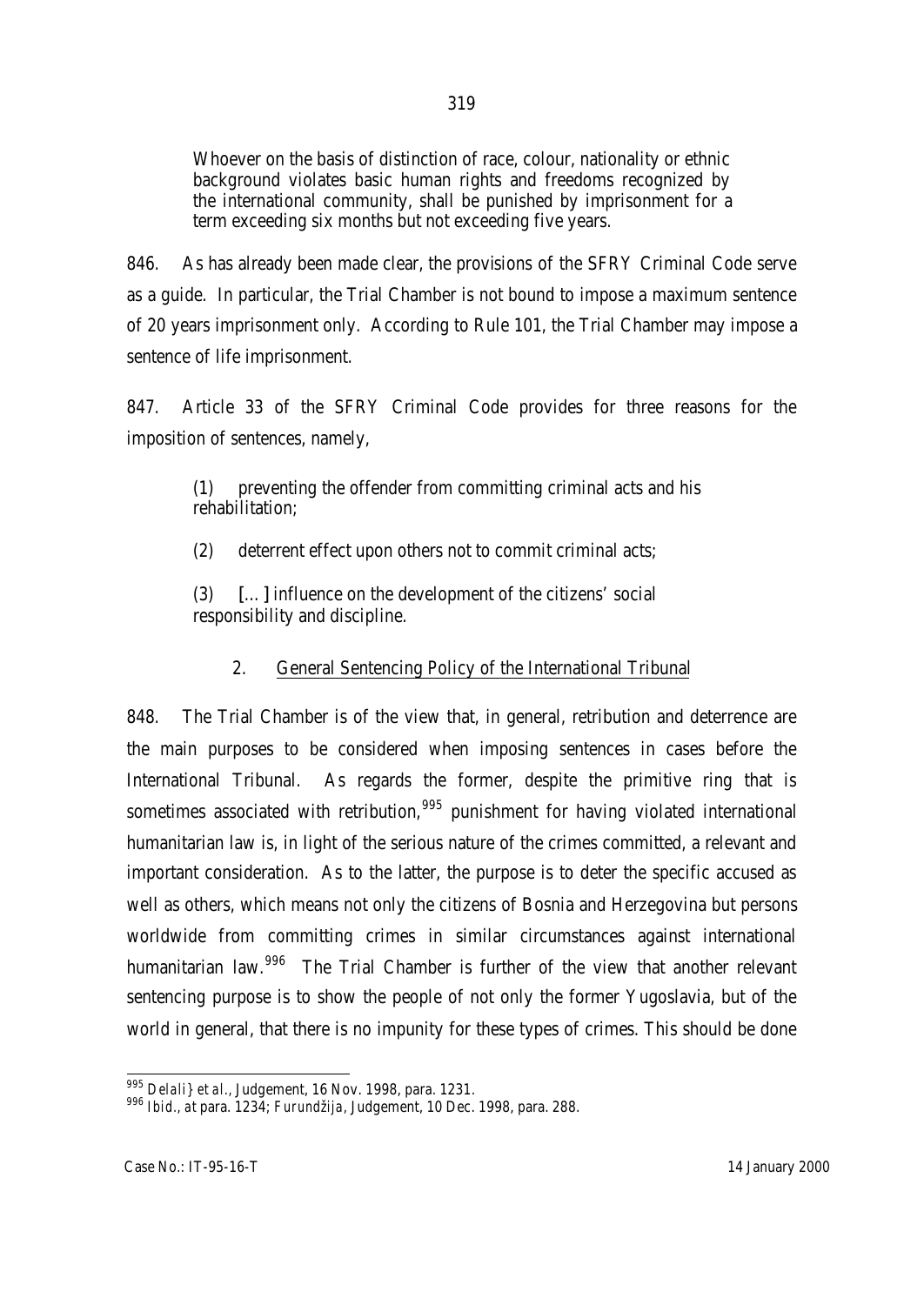Whoever on the basis of distinction of race, colour, nationality or ethnic background violates basic human rights and freedoms recognized by the international community, shall be punished by imprisonment for a term exceeding six months but not exceeding five years.

846. As has already been made clear, the provisions of the SFRY Criminal Code serve as a guide. In particular, the Trial Chamber is not bound to impose a maximum sentence of 20 years imprisonment only. According to Rule 101, the Trial Chamber may impose a sentence of life imprisonment.

847. Article 33 of the SFRY Criminal Code provides for three reasons for the imposition of sentences, namely,

(1) preventing the offender from committing criminal acts and his rehabilitation;

(2) deterrent effect upon others not to commit criminal acts;

 $(3)$   $\ldots$  influence on the development of the citizens' social responsibility and discipline.

2. General Sentencing Policy of the International Tribunal

848. The Trial Chamber is of the view that, in general, retribution and deterrence are the main purposes to be considered when imposing sentences in cases before the International Tribunal. As regards the former, despite the primitive ring that is sometimes associated with retribution,<sup>995</sup> punishment for having violated international humanitarian law is, in light of the serious nature of the crimes committed, a relevant and important consideration. As to the latter, the purpose is to deter the specific accused as well as others, which means not only the citizens of Bosnia and Herzegovina but persons worldwide from committing crimes in similar circumstances against international humanitarian law.<sup>996</sup> The Trial Chamber is further of the view that another relevant sentencing purpose is to show the people of not only the former Yugoslavia, but of the world in general, that there is no impunity for these types of crimes. This should be done

 $\overline{\phantom{0}}$ <sup>995</sup> *Delali} et al.,* Judgement, 16 Nov. 1998, para. 1231.

<sup>996</sup> *Ibid., at* para. 1234; *Furundžija,* Judgement, 10 Dec. 1998, para. 288.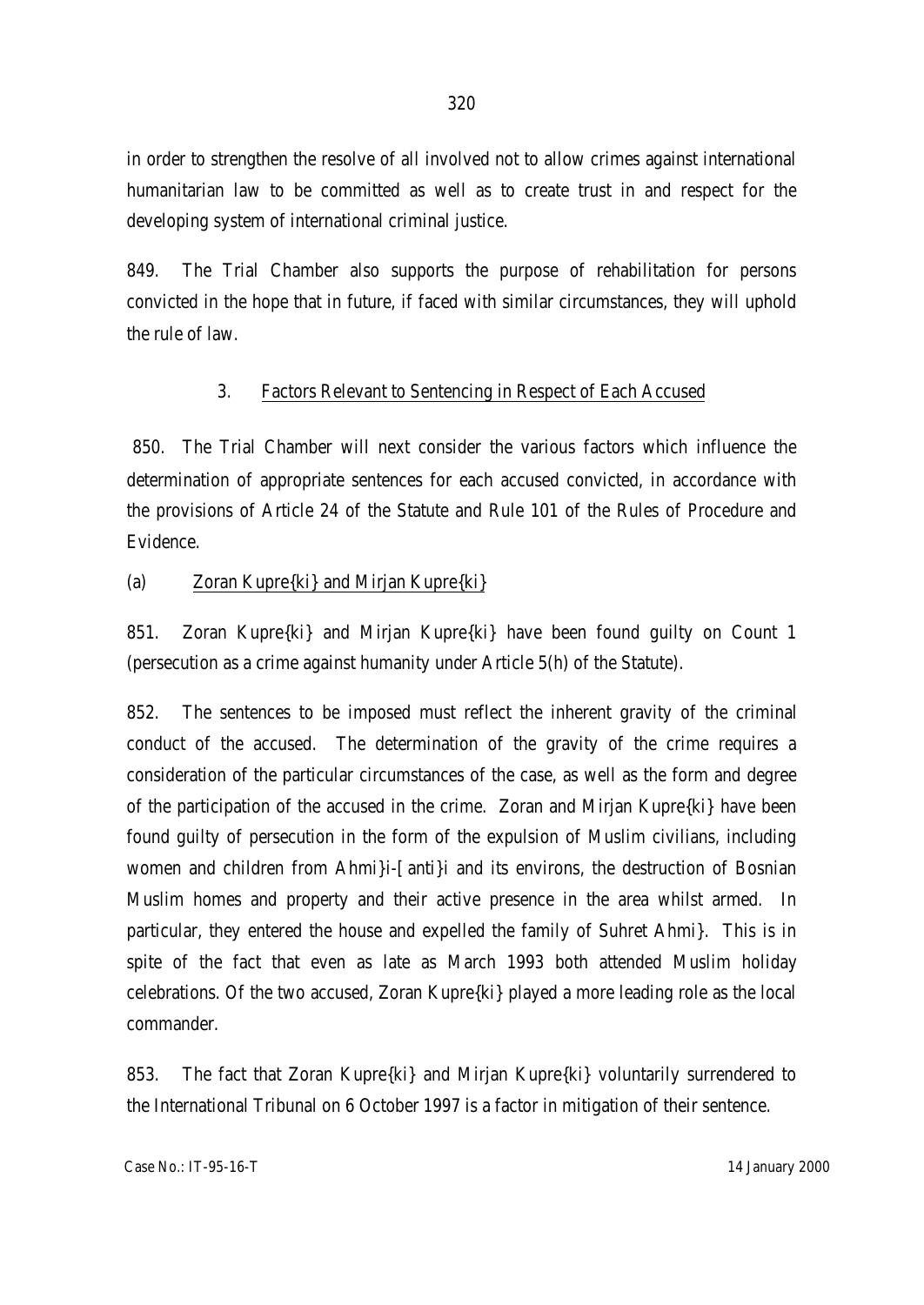in order to strengthen the resolve of all involved not to allow crimes against international humanitarian law to be committed as well as to create trust in and respect for the developing system of international criminal justice.

849. The Trial Chamber also supports the purpose of rehabilitation for persons convicted in the hope that in future, if faced with similar circumstances, they will uphold the rule of law.

# 3. Factors Relevant to Sentencing in Respect of Each Accused

850. The Trial Chamber will next consider the various factors which influence the determination of appropriate sentences for each accused convicted, in accordance with the provisions of Article 24 of the Statute and Rule 101 of the Rules of Procedure and Evidence.

## (a) Zoran Kupre{ki} and Mirjan Kupre{ki}

851. Zoran Kupre{ki} and Mirjan Kupre{ki} have been found guilty on Count 1 (persecution as a crime against humanity under Article 5(h) of the Statute).

852. The sentences to be imposed must reflect the inherent gravity of the criminal conduct of the accused. The determination of the gravity of the crime requires a consideration of the particular circumstances of the case, as well as the form and degree of the participation of the accused in the crime. Zoran and Mirjan Kupre{ki} have been found guilty of persecution in the form of the expulsion of Muslim civilians, including women and children from Ahmi}i-[anti}i and its environs, the destruction of Bosnian Muslim homes and property and their active presence in the area whilst armed. In particular, they entered the house and expelled the family of Suhret Ahmi}. This is in spite of the fact that even as late as March 1993 both attended Muslim holiday celebrations. Of the two accused, Zoran Kupre{ki} played a more leading role as the local commander.

853. The fact that Zoran Kupre{ki} and Mirjan Kupre{ki} voluntarily surrendered to the International Tribunal on 6 October 1997 is a factor in mitigation of their sentence.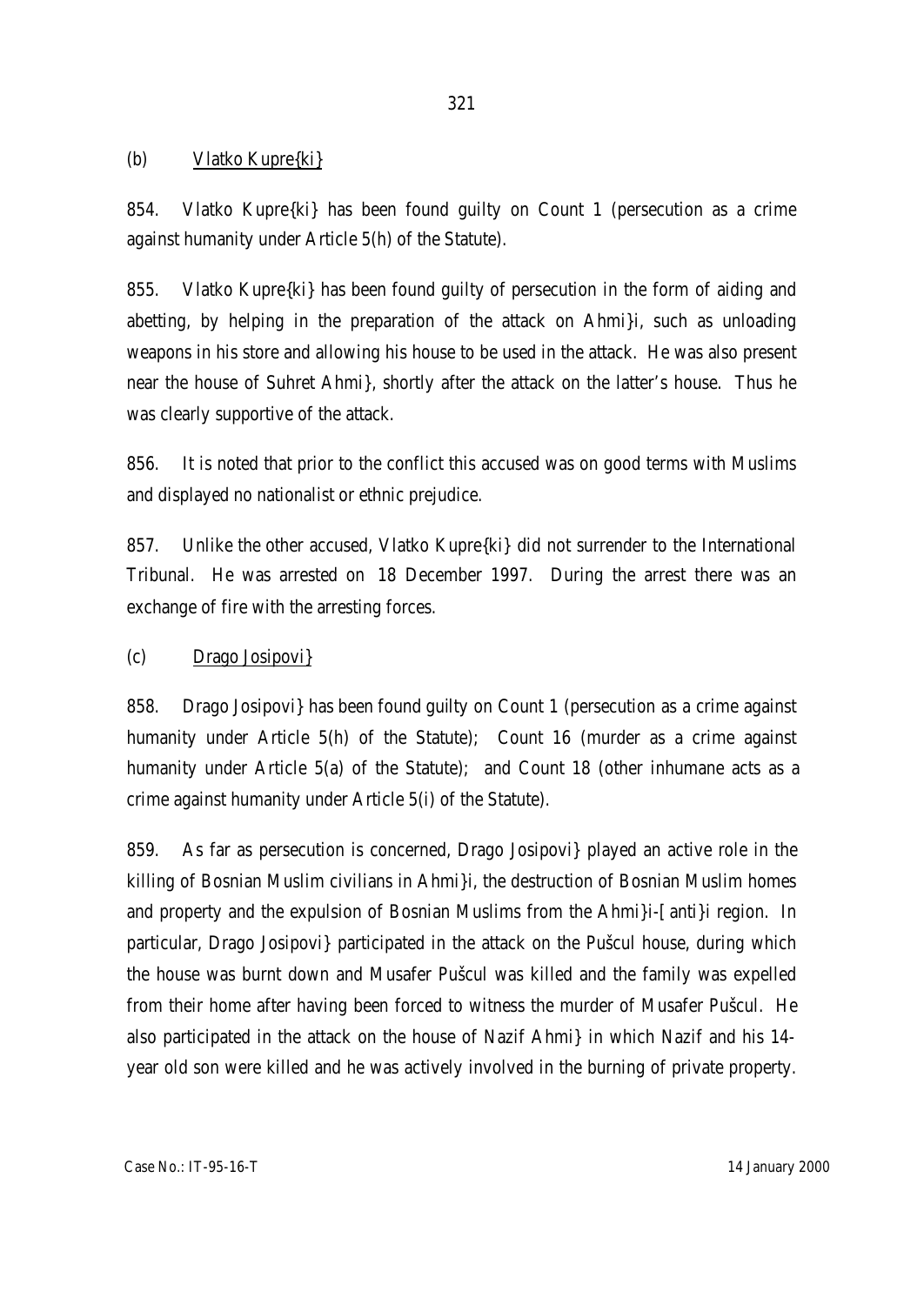## 321

# (b) Vlatko Kupre{ki}

854. Vlatko Kupre{ki} has been found guilty on Count 1 (persecution as a crime against humanity under Article 5(h) of the Statute).

855. Vlatko Kupre{ki} has been found guilty of persecution in the form of aiding and abetting, by helping in the preparation of the attack on Ahmi}i, such as unloading weapons in his store and allowing his house to be used in the attack. He was also present near the house of Suhret Ahmi}, shortly after the attack on the latter's house. Thus he was clearly supportive of the attack.

856. It is noted that prior to the conflict this accused was on good terms with Muslims and displayed no nationalist or ethnic prejudice.

857. Unlike the other accused, Vlatko Kupre{ki} did not surrender to the International Tribunal. He was arrested on 18 December 1997. During the arrest there was an exchange of fire with the arresting forces.

# (c) Drago Josipovi}

858. Drago Josipovi} has been found guilty on Count 1 (persecution as a crime against humanity under Article 5(h) of the Statute); Count 16 (murder as a crime against humanity under Article 5(a) of the Statute); and Count 18 (other inhumane acts as a crime against humanity under Article 5(i) of the Statute).

859. As far as persecution is concerned, Drago Josipovi} played an active role in the killing of Bosnian Muslim civilians in Ahmi}i, the destruction of Bosnian Muslim homes and property and the expulsion of Bosnian Muslims from the Ahmi}i-[anti}i region. In particular, Drago Josipovi} participated in the attack on the Pušcul house, during which the house was burnt down and Musafer Pušcul was killed and the family was expelled from their home after having been forced to witness the murder of Musafer Pušcul. He also participated in the attack on the house of Nazif Ahmi} in which Nazif and his 14 year old son were killed and he was actively involved in the burning of private property.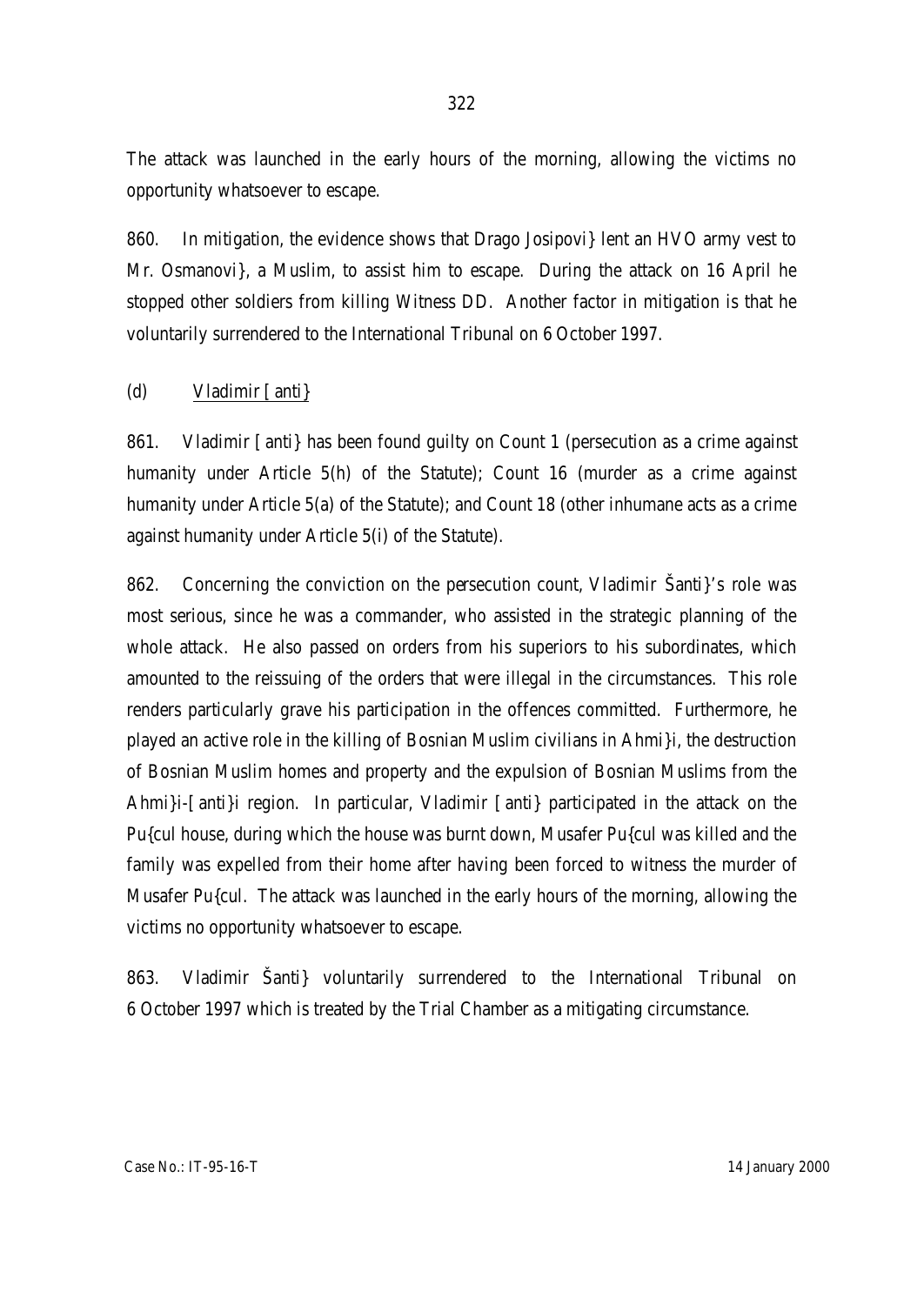The attack was launched in the early hours of the morning, allowing the victims no opportunity whatsoever to escape.

860. In mitigation, the evidence shows that Drago Josipovi} lent an HVO army vest to Mr. Osmanovi}, a Muslim, to assist him to escape. During the attack on 16 April he stopped other soldiers from killing Witness DD. Another factor in mitigation is that he voluntarily surrendered to the International Tribunal on 6 October 1997.

# (d) Vladimir [anti}

861. Vladimir [anti} has been found guilty on Count 1 (persecution as a crime against humanity under Article 5(h) of the Statute); Count 16 (murder as a crime against humanity under Article 5(a) of the Statute); and Count 18 (other inhumane acts as a crime against humanity under Article 5(i) of the Statute).

862. Concerning the conviction on the persecution count, Vladimir Šanti}'s role was most serious, since he was a commander, who assisted in the strategic planning of the whole attack. He also passed on orders from his superiors to his subordinates, which amounted to the reissuing of the orders that were illegal in the circumstances. This role renders particularly grave his participation in the offences committed. Furthermore, he played an active role in the killing of Bosnian Muslim civilians in Ahmi}i, the destruction of Bosnian Muslim homes and property and the expulsion of Bosnian Muslims from the Ahmi}i-[anti}i region. In particular, Vladimir [anti} participated in the attack on the Pu{cul house, during which the house was burnt down, Musafer Pu{cul was killed and the family was expelled from their home after having been forced to witness the murder of Musafer Pu{cul. The attack was launched in the early hours of the morning, allowing the victims no opportunity whatsoever to escape.

863. Vladimir Šanti} voluntarily surrendered to the International Tribunal on 6 October 1997 which is treated by the Trial Chamber as a mitigating circumstance.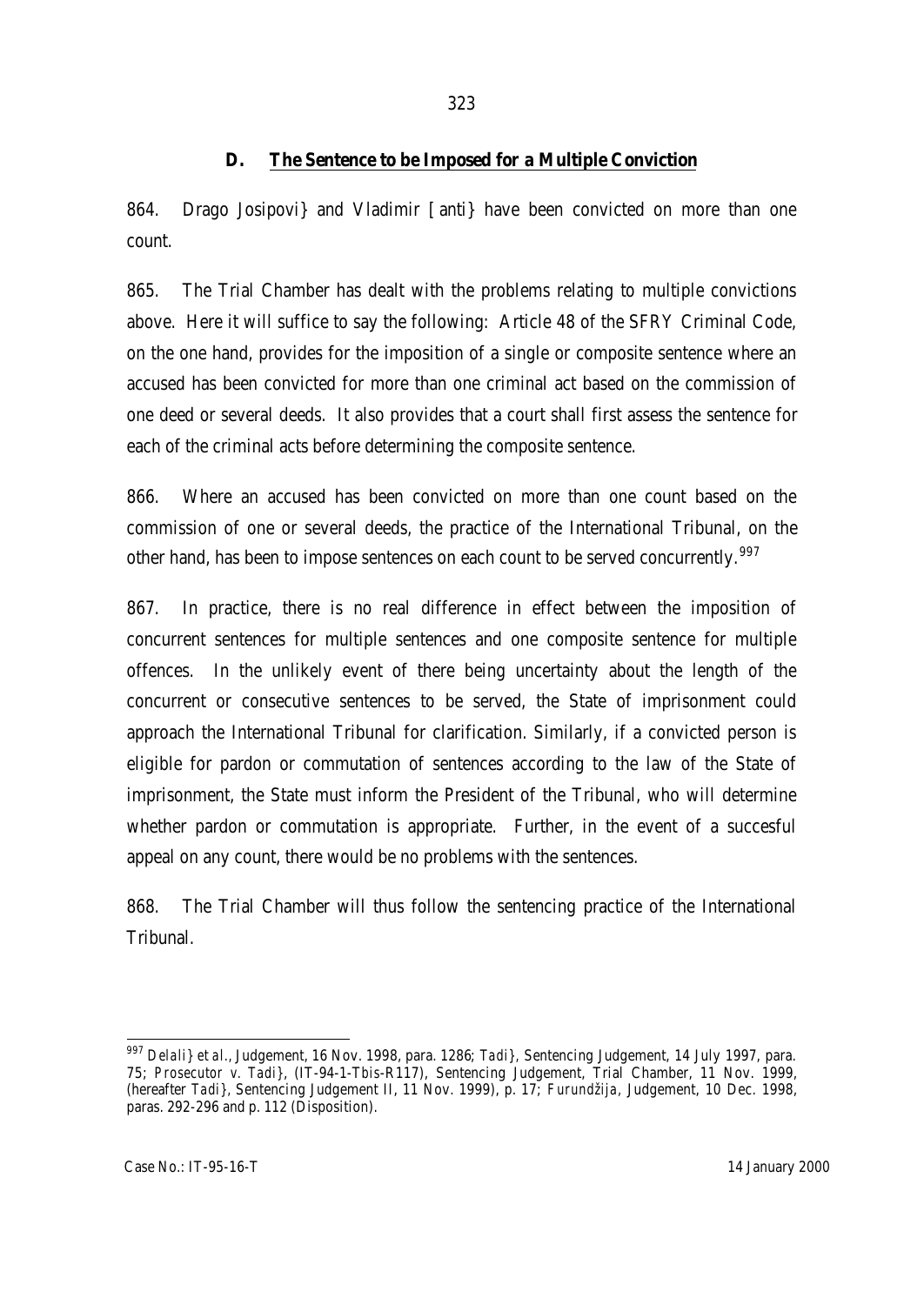## **D. The Sentence to be Imposed for a Multiple Conviction**

864. Drago Josipovi} and Vladimir [anti} have been convicted on more than one count.

865. The Trial Chamber has dealt with the problems relating to multiple convictions above. Here it will suffice to say the following: Article 48 of the SFRY Criminal Code, on the one hand, provides for the imposition of a single or composite sentence where an accused has been convicted for more than one criminal act based on the commission of one deed or several deeds. It also provides that a court shall first assess the sentence for each of the criminal acts before determining the composite sentence.

866. Where an accused has been convicted on more than one count based on the commission of one or several deeds, the practice of the International Tribunal, on the other hand, has been to impose sentences on each count to be served concurrently.<sup>997</sup>

867. In practice, there is no real difference in effect between the imposition of concurrent sentences for multiple sentences and one composite sentence for multiple offences. In the unlikely event of there being uncertainty about the length of the concurrent or consecutive sentences to be served, the State of imprisonment could approach the International Tribunal for clarification. Similarly, if a convicted person is eligible for pardon or commutation of sentences according to the law of the State of imprisonment, the State must inform the President of the Tribunal, who will determine whether pardon or commutation is appropriate. Further, in the event of a succesful appeal on any count, there would be no problems with the sentences.

868. The Trial Chamber will thus follow the sentencing practice of the International Tribunal.

 $\overline{a}$ <sup>997</sup> *Delali} et al.,* Judgement, 16 Nov. 1998, para. 1286; *Tadi},* Sentencing Judgement, 14 July 1997, para. 75; *Prosecutor v. Tadi}*, (IT-94-1-T*bis*-R117), Sentencing Judgement, Trial Chamber, 11 Nov. 1999, (hereafter *Tadi},* Sentencing Judgement II, 11 Nov. 1999), p. 17; *Furundžija,* Judgement, 10 Dec. 1998, paras. 292-296 and p. 112 (Disposition).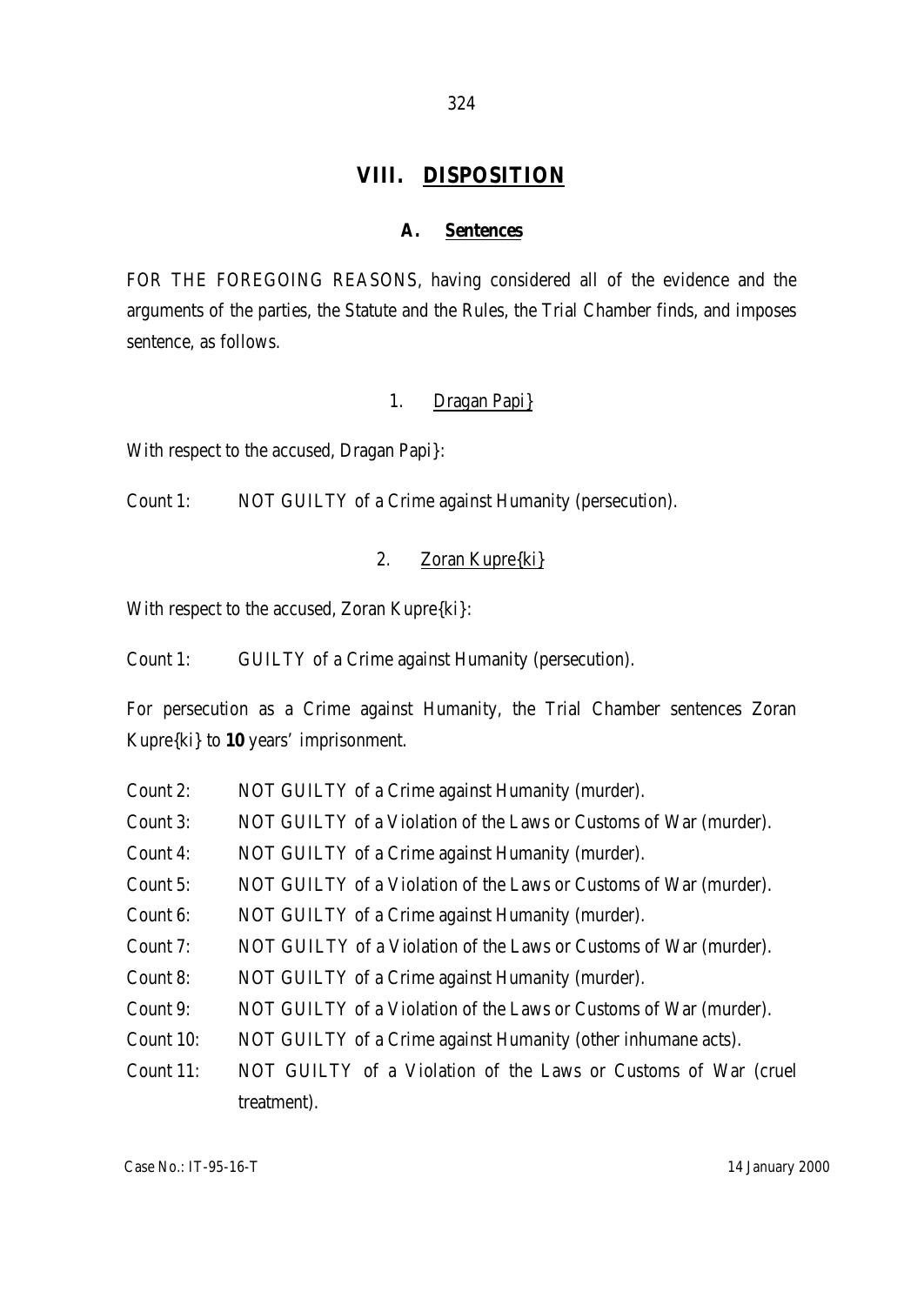# **VIII. DISPOSITION**

### **A. Sentences**

FOR THE FOREGOING REASONS, having considered all of the evidence and the arguments of the parties, the Statute and the Rules, the Trial Chamber finds, and imposes sentence, as follows.

## 1. Dragan Papi}

With respect to the accused, Dragan Papi}:

Count 1: NOT GUILTY of a Crime against Humanity (persecution).

## 2. Zoran Kupre{ki}

With respect to the accused, Zoran Kupre{ki}:

Count 1: GUILTY of a Crime against Humanity (persecution).

For persecution as a Crime against Humanity, the Trial Chamber sentences Zoran Kupre{ki} to **10** years' imprisonment.

- Count 2: NOT GUILTY of a Crime against Humanity (murder).
- Count 3: NOT GUILTY of a Violation of the Laws or Customs of War (murder).
- Count 4: NOT GUILTY of a Crime against Humanity (murder).
- Count 5: NOT GUILTY of a Violation of the Laws or Customs of War (murder).
- Count 6: NOT GUILTY of a Crime against Humanity (murder).
- Count 7: NOT GUILTY of a Violation of the Laws or Customs of War (murder).
- Count 8: NOT GUILTY of a Crime against Humanity (murder).
- Count 9: NOT GUILTY of a Violation of the Laws or Customs of War (murder).
- Count 10: NOT GUILTY of a Crime against Humanity (other inhumane acts).
- Count 11: NOT GUILTY of a Violation of the Laws or Customs of War (cruel treatment).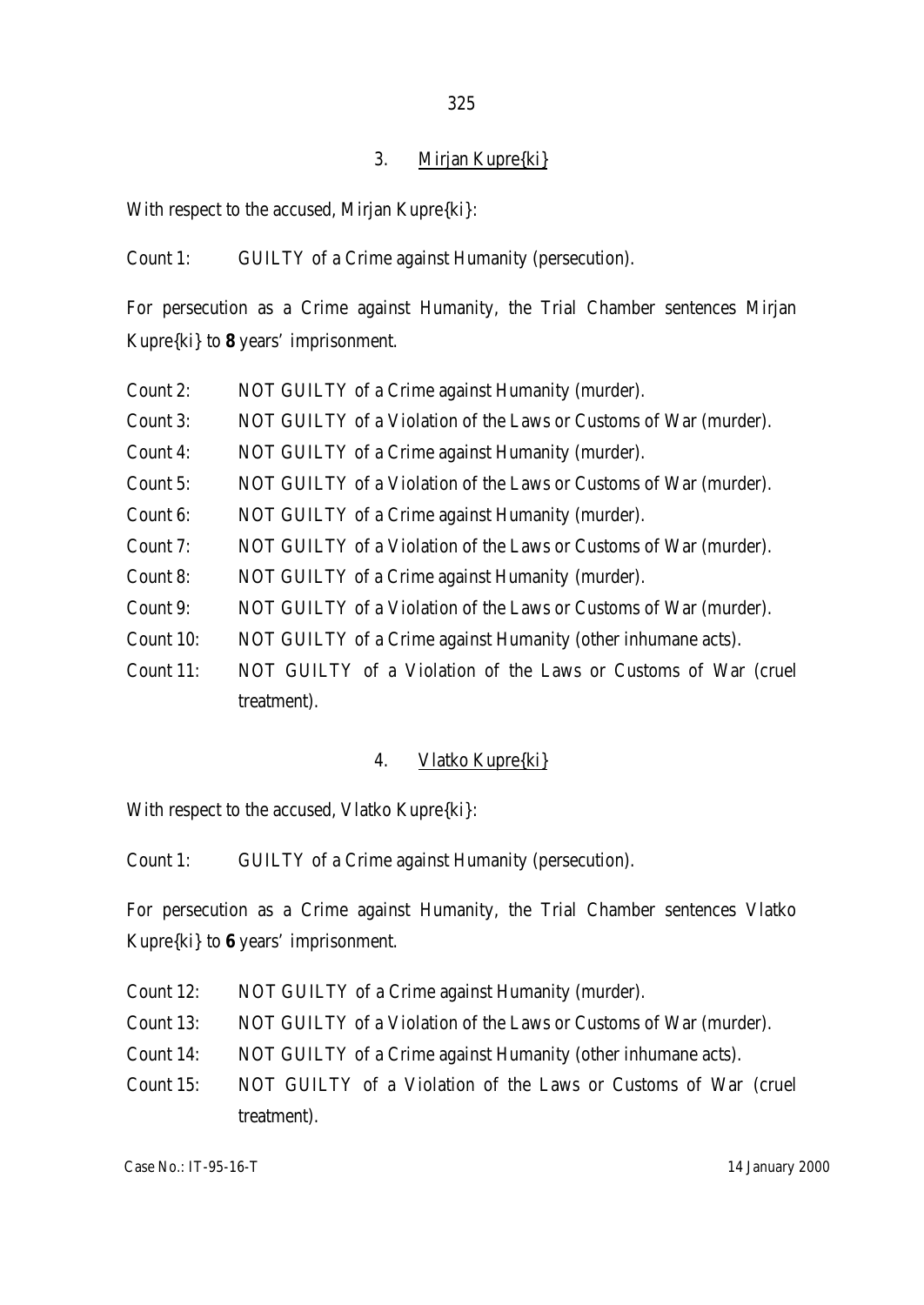#### 325

## 3. Mirjan Kupre{ki}

With respect to the accused, Mirjan Kupre{ki}:

Count 1: GUILTY of a Crime against Humanity (persecution).

For persecution as a Crime against Humanity, the Trial Chamber sentences Mirjan Kupre{ki} to **8** years' imprisonment.

- Count 2: NOT GUILTY of a Crime against Humanity (murder).
- Count 3: NOT GUILTY of a Violation of the Laws or Customs of War (murder).
- Count 4: NOT GUILTY of a Crime against Humanity (murder).
- Count 5: NOT GUILTY of a Violation of the Laws or Customs of War (murder).
- Count 6: NOT GUILTY of a Crime against Humanity (murder).
- Count 7: NOT GUILTY of a Violation of the Laws or Customs of War (murder).
- Count 8: NOT GUILTY of a Crime against Humanity (murder).
- Count 9: NOT GUILTY of a Violation of the Laws or Customs of War (murder).
- Count 10: NOT GUILTY of a Crime against Humanity (other inhumane acts).
- Count 11: NOT GUILTY of a Violation of the Laws or Customs of War (cruel treatment).

# 4. Vlatko Kupre{ki}

With respect to the accused, Vlatko Kupre{ki}:

Count 1: GUILTY of a Crime against Humanity (persecution).

For persecution as a Crime against Humanity, the Trial Chamber sentences Vlatko Kupre{ki} to **6** years' imprisonment.

- Count 12: NOT GUILTY of a Crime against Humanity (murder).
- Count 13: NOT GUILTY of a Violation of the Laws or Customs of War (murder).
- Count 14: NOT GUILTY of a Crime against Humanity (other inhumane acts).
- Count 15: NOT GUILTY of a Violation of the Laws or Customs of War (cruel treatment).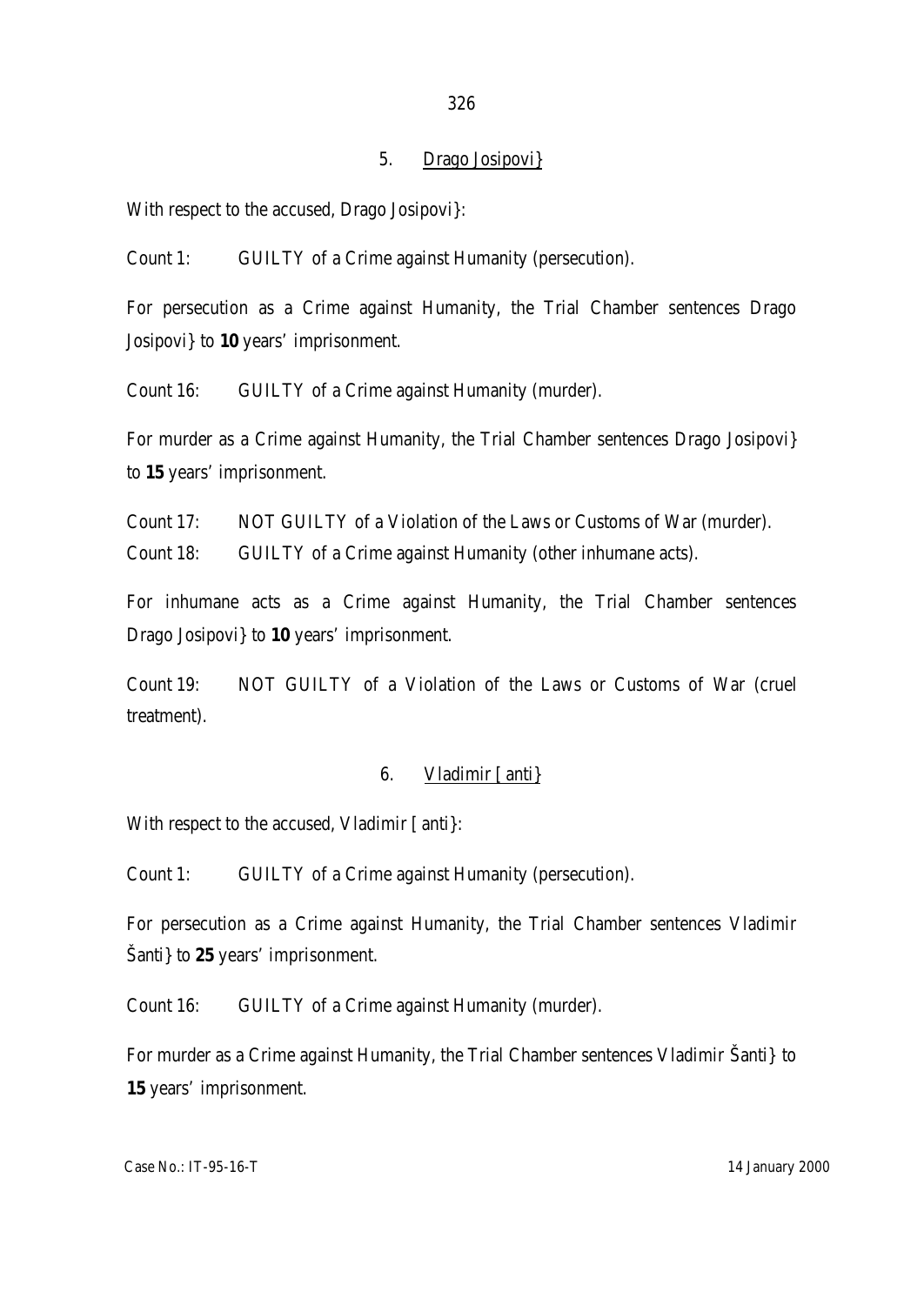#### 326

#### 5. Drago Josipovi}

With respect to the accused, Drago Josipovi}:

Count 1: GUILTY of a Crime against Humanity (persecution).

For persecution as a Crime against Humanity, the Trial Chamber sentences Drago Josipovi} to **10** years' imprisonment.

Count 16: GUILTY of a Crime against Humanity (murder).

For murder as a Crime against Humanity, the Trial Chamber sentences Drago Josipovi} to **15** years' imprisonment.

Count 17: NOT GUILTY of a Violation of the Laws or Customs of War (murder). Count 18: GUILTY of a Crime against Humanity (other inhumane acts).

For inhumane acts as a Crime against Humanity, the Trial Chamber sentences Drago Josipovi} to **10** years' imprisonment.

Count 19: NOT GUILTY of a Violation of the Laws or Customs of War (cruel treatment).

#### 6. Vladimir [anti}

With respect to the accused, Vladimir [anti]:

Count 1: GUILTY of a Crime against Humanity (persecution).

For persecution as a Crime against Humanity, the Trial Chamber sentences Vladimir Šanti} to **25** years' imprisonment.

Count 16: GUILTY of a Crime against Humanity (murder).

For murder as a Crime against Humanity, the Trial Chamber sentences Vladimir Šanti} to **15** years' imprisonment.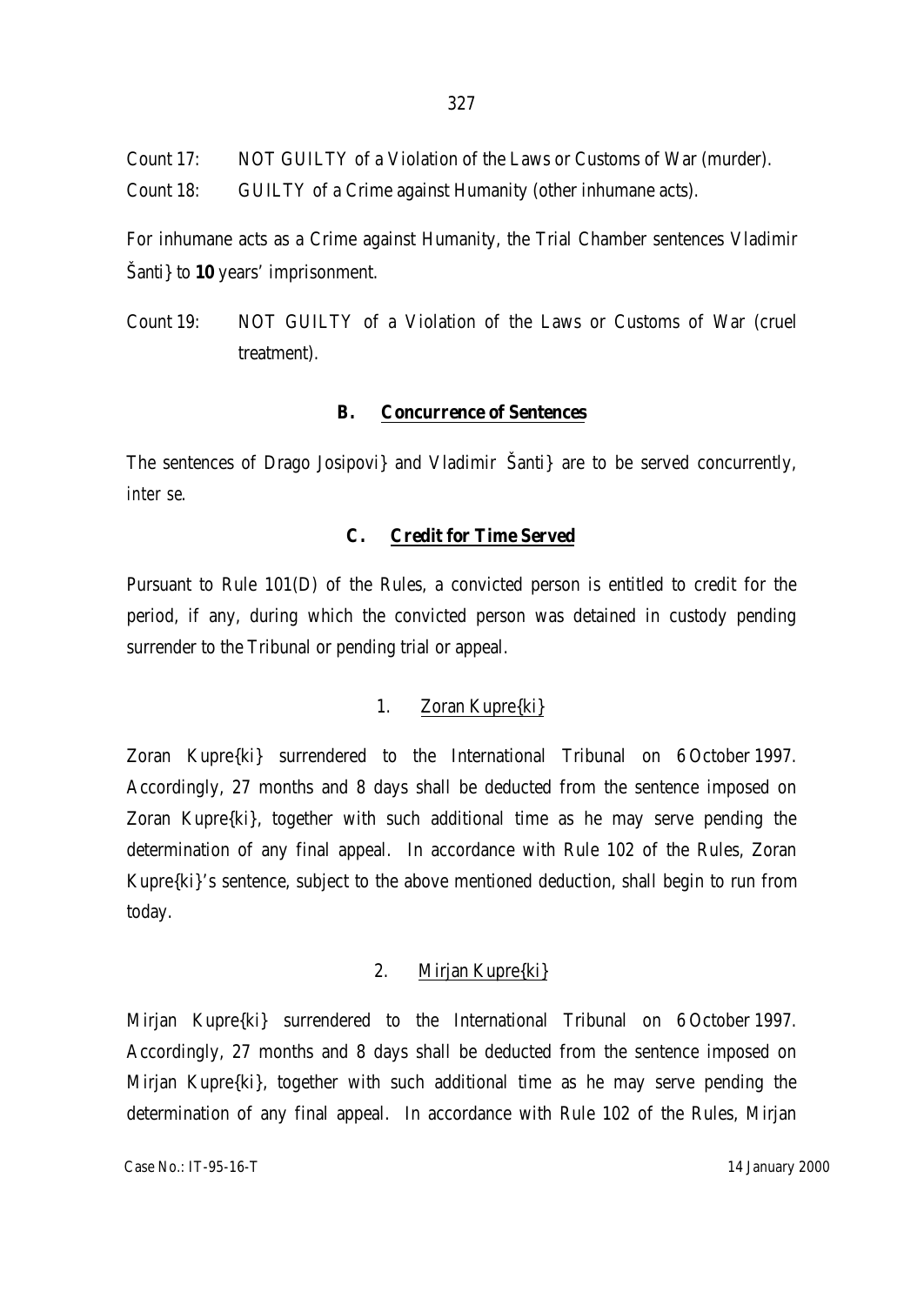Count 17: NOT GUILTY of a Violation of the Laws or Customs of War (murder).

Count 18: GUILTY of a Crime against Humanity (other inhumane acts).

For inhumane acts as a Crime against Humanity, the Trial Chamber sentences Vladimir Šanti} to **10** years' imprisonment.

Count 19: NOT GUILTY of a Violation of the Laws or Customs of War (cruel treatment).

# **B. Concurrence of Sentences**

The sentences of Drago Josipovi} and Vladimir Šanti} are to be served concurrently, *inter se*.

# **C. Credit for Time Served**

Pursuant to Rule 101(D) of the Rules, a convicted person is entitled to credit for the period, if any, during which the convicted person was detained in custody pending surrender to the Tribunal or pending trial or appeal.

# 1. Zoran Kupre{ki}

Zoran Kupre{ki} surrendered to the International Tribunal on 6 October 1997. Accordingly, 27 months and 8 days shall be deducted from the sentence imposed on Zoran Kupre{ki}, together with such additional time as he may serve pending the determination of any final appeal. In accordance with Rule 102 of the Rules, Zoran Kupre{ki}'s sentence, subject to the above mentioned deduction, shall begin to run from today.

# 2. Mirjan Kupre{ki}

Mirjan Kupre{ki} surrendered to the International Tribunal on 6 October 1997. Accordingly, 27 months and 8 days shall be deducted from the sentence imposed on Mirjan Kupre{ki}, together with such additional time as he may serve pending the determination of any final appeal. In accordance with Rule 102 of the Rules, Mirjan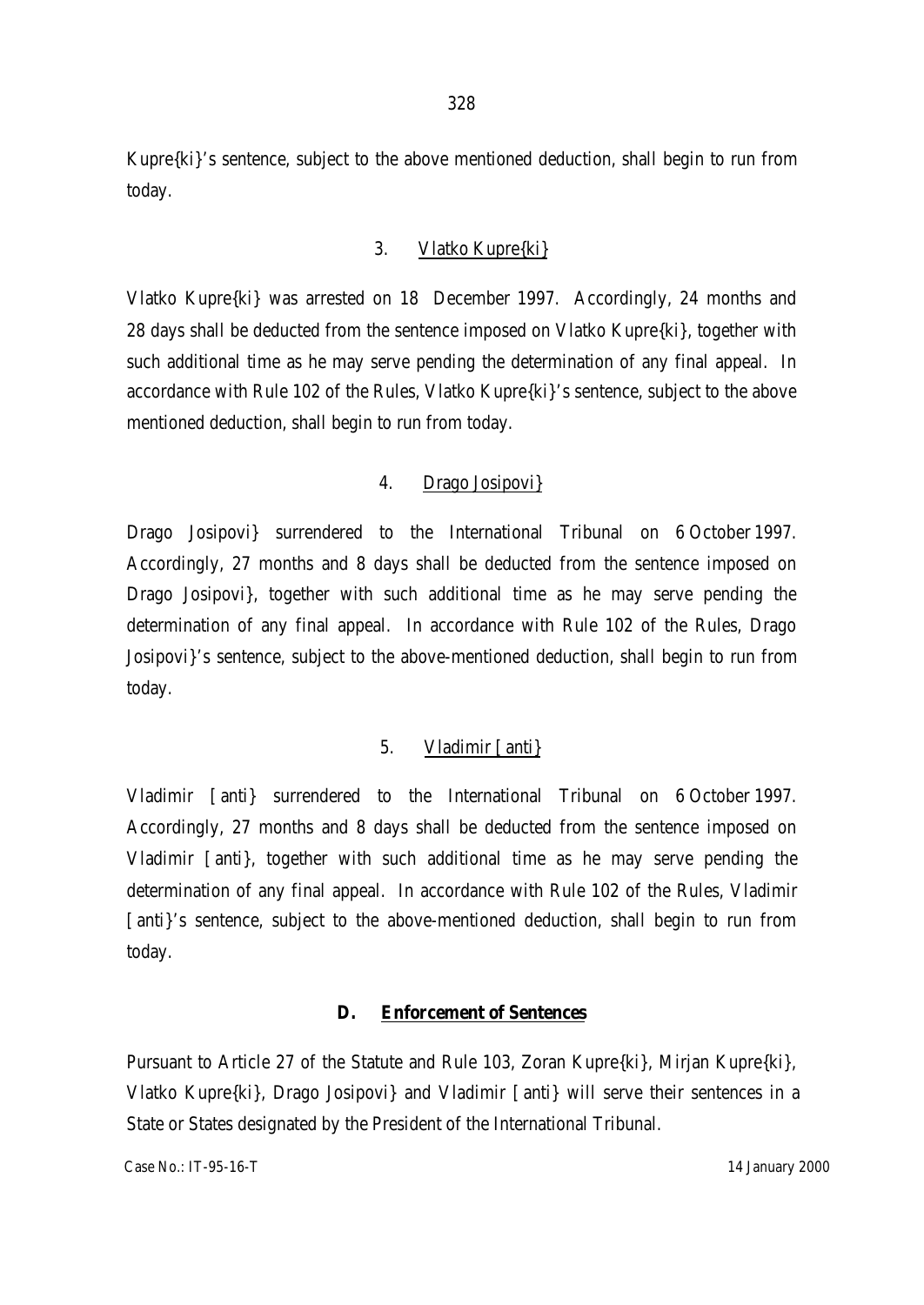Kupre{ki}'s sentence, subject to the above mentioned deduction, shall begin to run from today.

## 3. Vlatko Kupre{ki}

Vlatko Kupre{ki} was arrested on 18 December 1997. Accordingly, 24 months and 28 days shall be deducted from the sentence imposed on Vlatko Kupre{ki}, together with such additional time as he may serve pending the determination of any final appeal. In accordance with Rule 102 of the Rules, Vlatko Kupre{ki}'s sentence, subject to the above mentioned deduction, shall begin to run from today.

## 4. Drago Josipovi}

Drago Josipovi} surrendered to the International Tribunal on 6 October 1997. Accordingly, 27 months and 8 days shall be deducted from the sentence imposed on Drago Josipovi}, together with such additional time as he may serve pending the determination of any final appeal. In accordance with Rule 102 of the Rules, Drago Josipovi}'s sentence, subject to the above-mentioned deduction, shall begin to run from today.

# 5. Vladimir [anti}

Vladimir [anti} surrendered to the International Tribunal on 6 October 1997. Accordingly, 27 months and 8 days shall be deducted from the sentence imposed on Vladimir [anti}, together with such additional time as he may serve pending the determination of any final appeal. In accordance with Rule 102 of the Rules, Vladimir [anti]'s sentence, subject to the above-mentioned deduction, shall begin to run from today.

## **D. Enforcement of Sentences**

Pursuant to Article 27 of the Statute and Rule 103, Zoran Kupre{ki}, Mirjan Kupre{ki}, Vlatko Kupre{ki}, Drago Josipovi} and Vladimir [anti} will serve their sentences in a State or States designated by the President of the International Tribunal.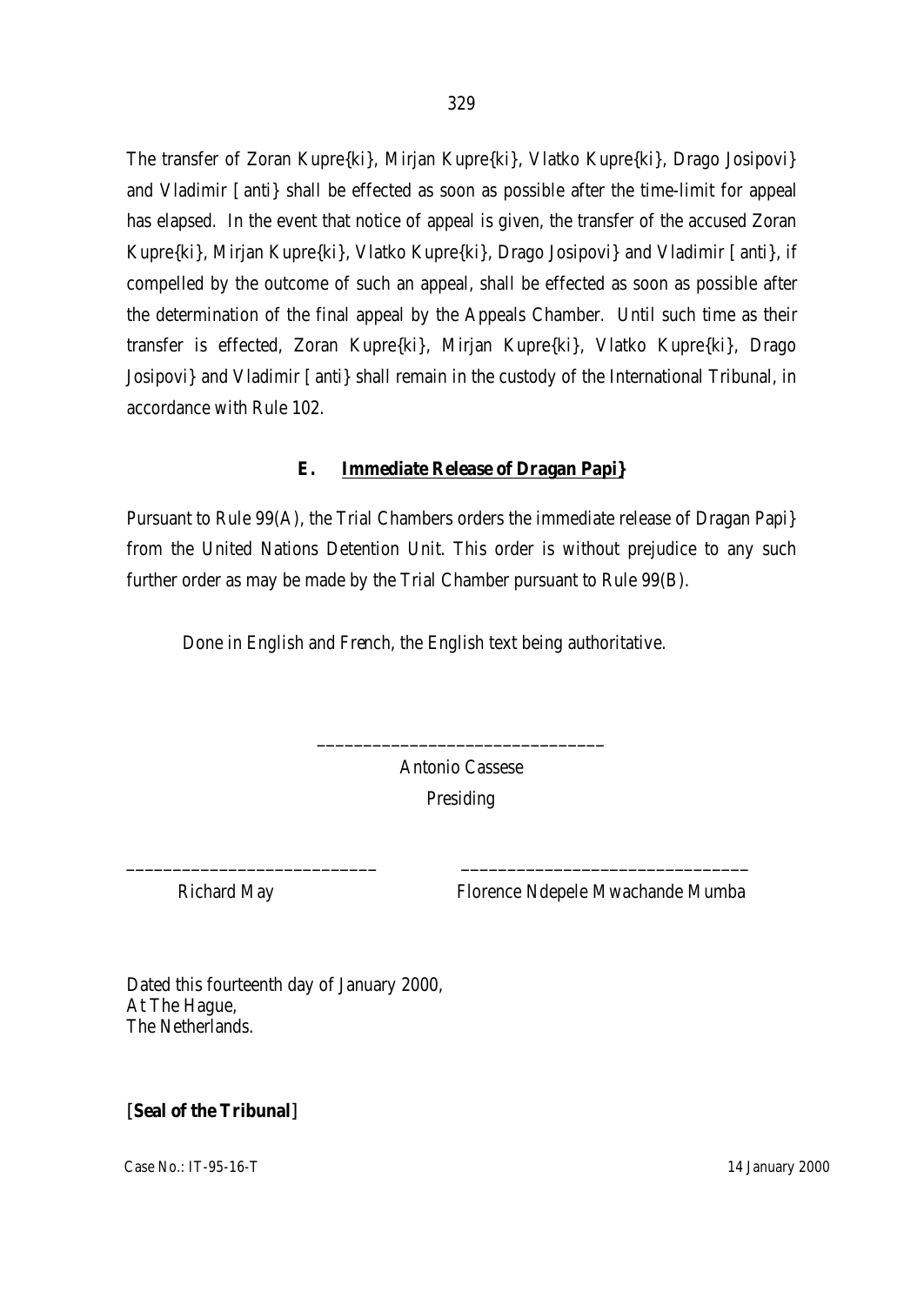The transfer of Zoran Kupre{ki}, Mirjan Kupre{ki}, Vlatko Kupre{ki}, Drago Josipovi} and Vladimir [anti} shall be effected as soon as possible after the time-limit for appeal has elapsed. In the event that notice of appeal is given, the transfer of the accused Zoran Kupre{ki}, Mirjan Kupre{ki}, Vlatko Kupre{ki}, Drago Josipovi} and Vladimir [anti}, if compelled by the outcome of such an appeal, shall be effected as soon as possible after the determination of the final appeal by the Appeals Chamber. Until such time as their transfer is effected, Zoran Kupre{ki}, Mirjan Kupre{ki}, Vlatko Kupre{ki}, Drago Josipovi} and Vladimir [anti} shall remain in the custody of the International Tribunal, in accordance with Rule 102.

# **E. Immediate Release of Dragan Papi}**

Pursuant to Rule 99(A), the Trial Chambers orders the immediate release of Dragan Papi} from the United Nations Detention Unit. This order is without prejudice to any such further order as may be made by the Trial Chamber pursuant to Rule 99(B).

Done in English and French, the English text being authoritative.

Antonio Cassese Presiding

\_\_\_\_\_\_\_\_\_\_\_\_\_\_\_\_\_\_\_\_\_\_\_\_\_\_\_ \_\_\_\_\_\_\_\_\_\_\_\_\_\_\_\_\_\_\_\_\_\_\_\_\_\_\_\_\_\_\_

\_\_\_\_\_\_\_\_\_\_\_\_\_\_\_\_\_\_\_\_\_\_\_\_\_\_\_\_\_\_\_

Richard May Florence Ndepele Mwachande Mumba

Dated this fourteenth day of January 2000, At The Hague, The Netherlands.

# **[Seal of the Tribunal]**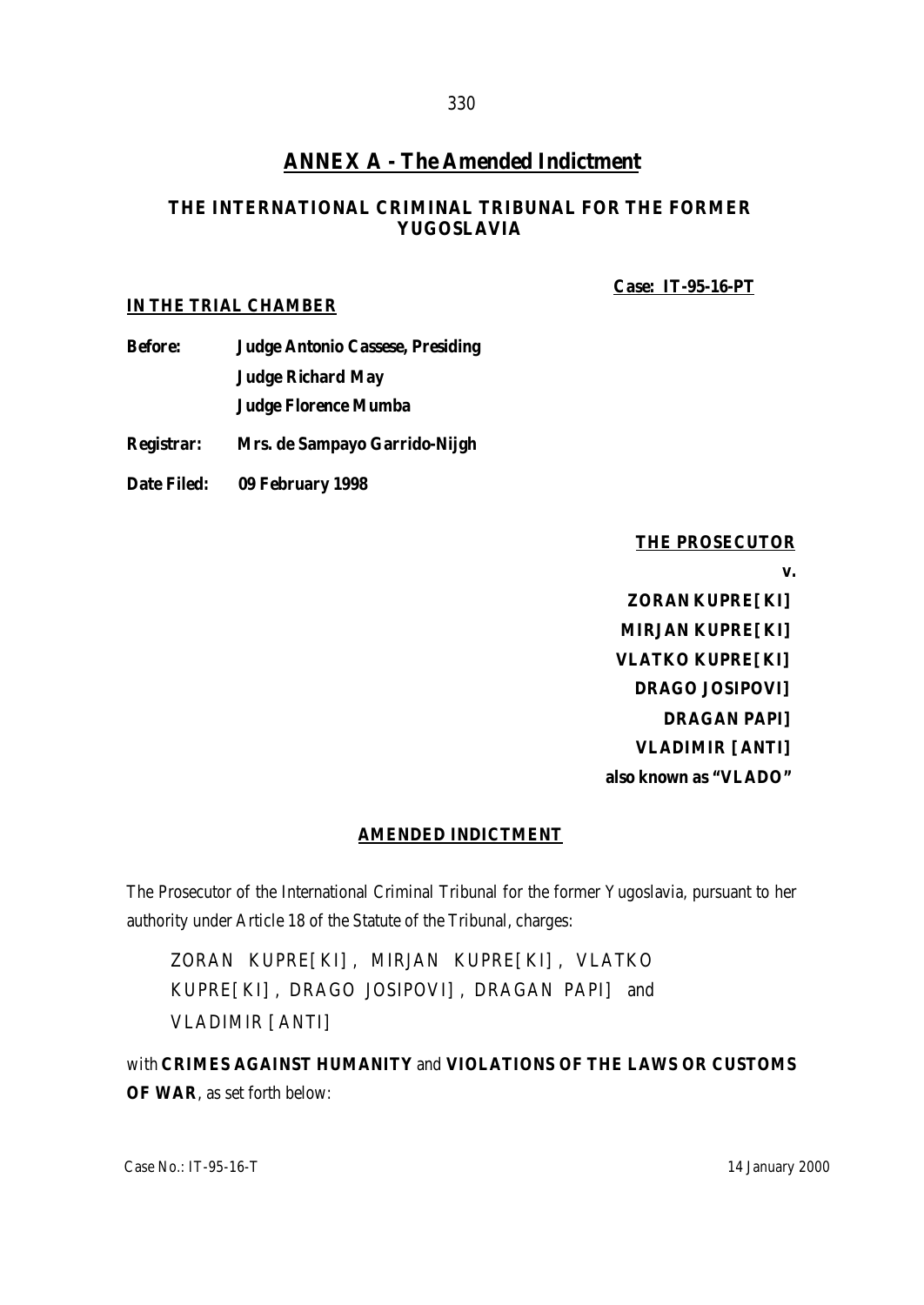# **ANNEX A - The Amended Indictment**

## **THE INTERNATIONAL CRIMINAL TRIBUNAL FOR THE FORMER YUGOSLAVIA**

#### **Case: IT-95-16-PT**

### **IN THE TRIAL CHAMBER**

- **Before: Judge Antonio Cassese, Presiding Judge Richard May Judge Florence Mumba**
- **Registrar: Mrs. de Sampayo Garrido-Nijgh**
- **Date Filed: 09 February 1998**

**THE PROSECUTOR**

**v.**

**ZORAN KUPRE[KI] MIRJAN KUPRE[KI] VLATKO KUPRE[KI] DRAGO JOSIPOVI] DRAGAN PAPI] VLADIMIR [ANTI] also known as "VLADO"**

#### **AMENDED INDICTMENT**

The Prosecutor of the International Criminal Tribunal for the former Yugoslavia, pursuant to her authority under Article 18 of the Statute of the Tribunal, charges:

ZORAN KUPRE[KI], MIRJAN KUPRE[KI], VLATKO KUPRE[KI], DRAGO JOSIPOVI], DRAGAN PAPI] and VLADIMIR [ANTI]

with **CRIMES AGAINST HUMANITY** and **VIOLATIONS OF THE LAWS OR CUSTOMS OF WAR**, as set forth below: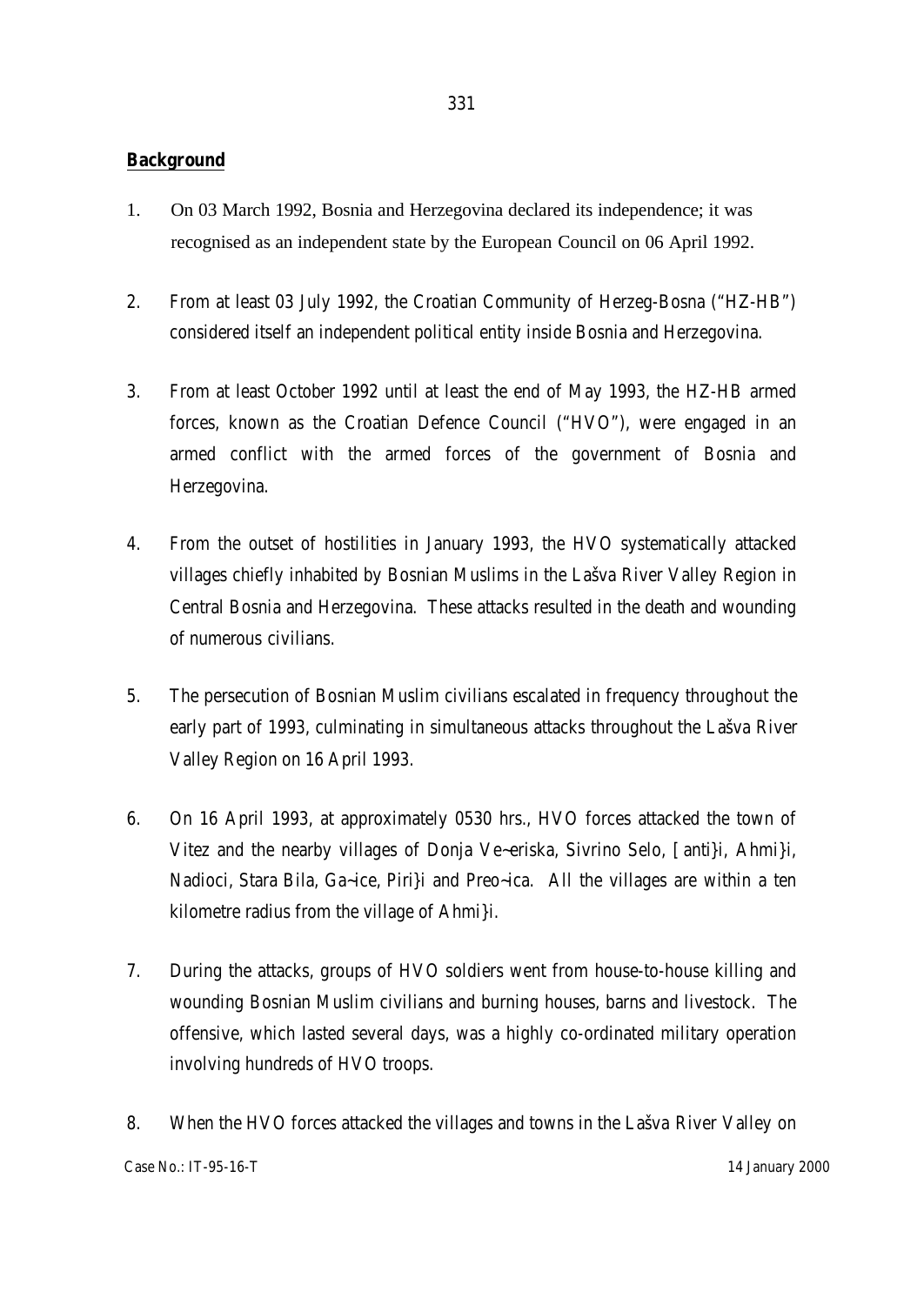### **Background**

- 1. On 03 March 1992, Bosnia and Herzegovina declared its independence; it was recognised as an independent state by the European Council on 06 April 1992.
- 2. From at least 03 July 1992, the Croatian Community of Herzeg-Bosna ("HZ-HB") considered itself an independent political entity inside Bosnia and Herzegovina.
- 3. From at least October 1992 until at least the end of May 1993, the HZ-HB armed forces, known as the Croatian Defence Council ("HVO"), were engaged in an armed conflict with the armed forces of the government of Bosnia and Herzegovina.
- 4. From the outset of hostilities in January 1993, the HVO systematically attacked villages chiefly inhabited by Bosnian Muslims in the Lašva River Valley Region in Central Bosnia and Herzegovina. These attacks resulted in the death and wounding of numerous civilians.
- 5. The persecution of Bosnian Muslim civilians escalated in frequency throughout the early part of 1993, culminating in simultaneous attacks throughout the Lašva River Valley Region on 16 April 1993.
- 6. On 16 April 1993, at approximately 0530 hrs., HVO forces attacked the town of Vitez and the nearby villages of Donja Ve~eriska, Sivrino Selo, [anti}i, Ahmi}i, Nadioci, Stara Bila, Ga~ice, Piri}i and Preo~ica. All the villages are within a ten kilometre radius from the village of Ahmi}i.
- 7. During the attacks, groups of HVO soldiers went from house-to-house killing and wounding Bosnian Muslim civilians and burning houses, barns and livestock. The offensive, which lasted several days, was a highly co-ordinated military operation involving hundreds of HVO troops.
- Case No.: IT-95-16-T 14 January 2000 8. When the HVO forces attacked the villages and towns in the Lašva River Valley on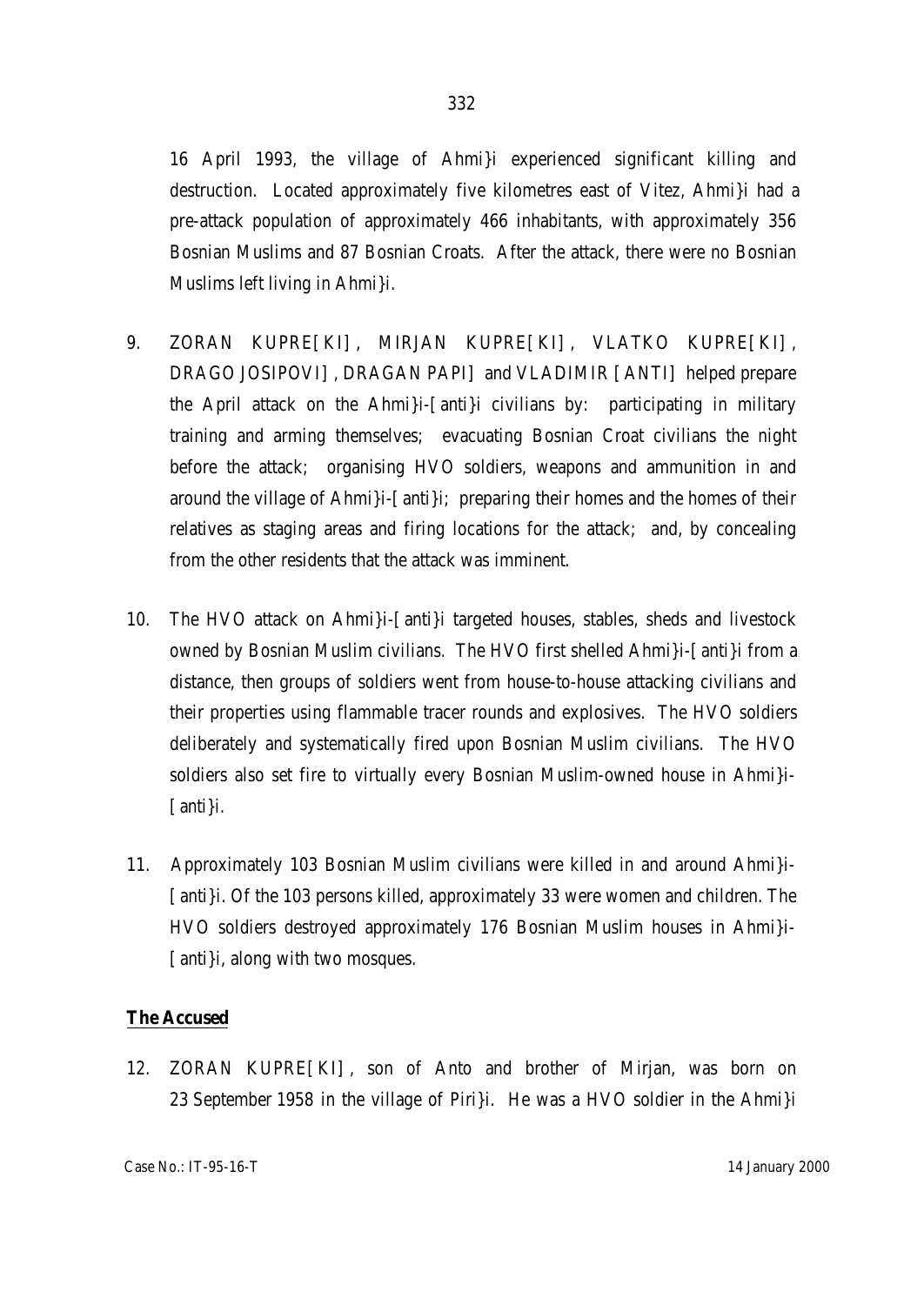16 April 1993, the village of Ahmi}i experienced significant killing and destruction. Located approximately five kilometres east of Vitez, Ahmi}i had a pre-attack population of approximately 466 inhabitants, with approximately 356 Bosnian Muslims and 87 Bosnian Croats. After the attack, there were no Bosnian Muslims left living in Ahmi}i.

- 9. ZORAN KUPRE[KI], MIRJAN KUPRE[KI], VLATKO KUPRE[KI], DRAGO JOSIPOVI], DRAGAN PAPI] and VLADIMIR [ANTI] helped prepare the April attack on the Ahmi}i-[anti}i civilians by: participating in military training and arming themselves; evacuating Bosnian Croat civilians the night before the attack; organising HVO soldiers, weapons and ammunition in and around the village of Ahmi}i-[anti}i; preparing their homes and the homes of their relatives as staging areas and firing locations for the attack; and, by concealing from the other residents that the attack was imminent.
- 10. The HVO attack on Ahmi}i-[anti}i targeted houses, stables, sheds and livestock owned by Bosnian Muslim civilians. The HVO first shelled Ahmi}i-[anti}i from a distance, then groups of soldiers went from house-to-house attacking civilians and their properties using flammable tracer rounds and explosives. The HVO soldiers deliberately and systematically fired upon Bosnian Muslim civilians. The HVO soldiers also set fire to virtually every Bosnian Muslim-owned house in Ahmi}i- [anti}i.
- 11. Approximately 103 Bosnian Muslim civilians were killed in and around Ahmi}i- [anti]: Of the 103 persons killed, approximately 33 were women and children. The HVO soldiers destroyed approximately 176 Bosnian Muslim houses in Ahmi}i- [anti}i, along with two mosques.

#### **The Accused**

12. ZORAN KUPRE[KI], son of Anto and brother of Mirjan, was born on 23 September 1958 in the village of Piri}i. He was a HVO soldier in the Ahmi}i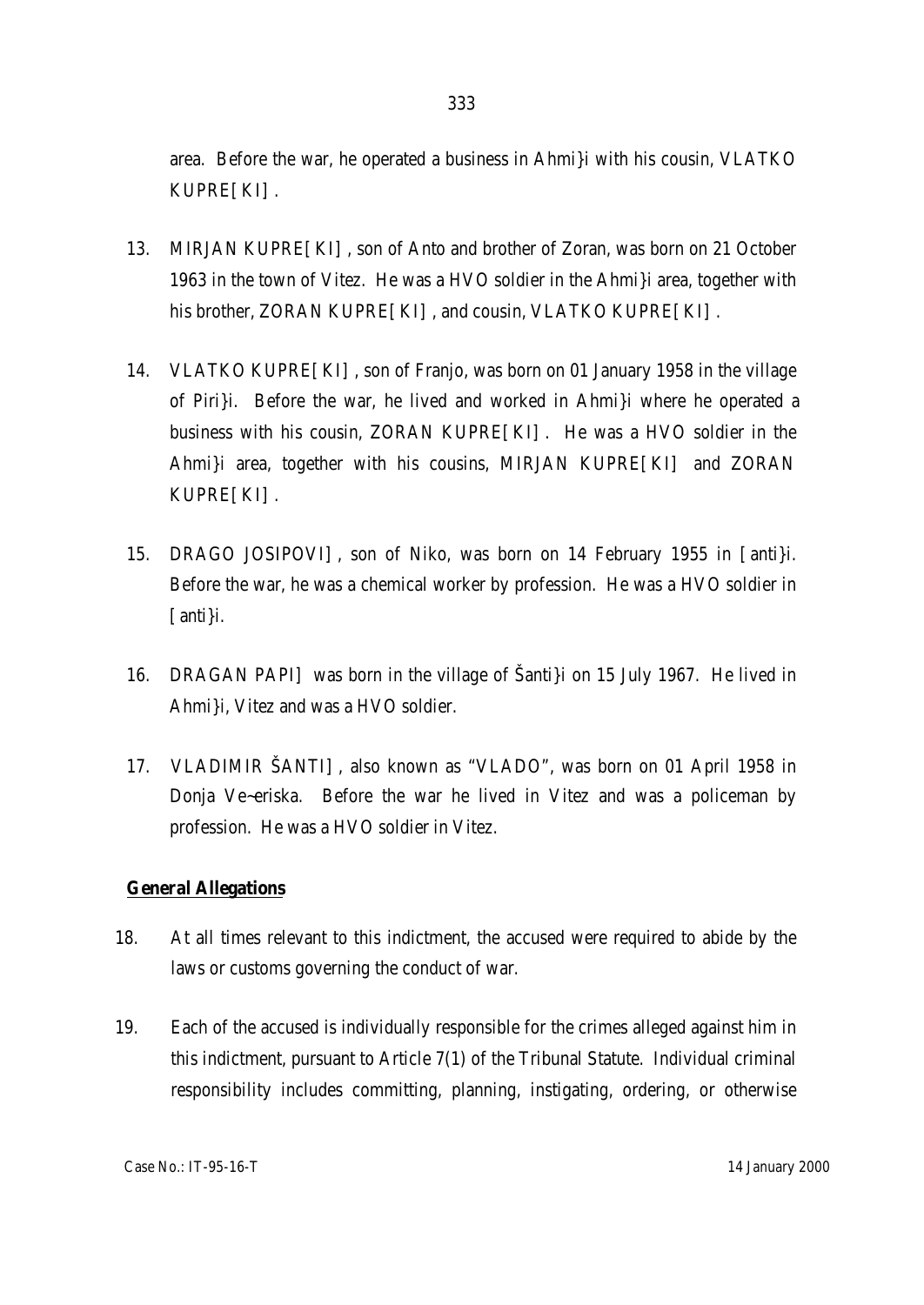area. Before the war, he operated a business in Ahmi}i with his cousin, VLATKO KUPRE[KI].

- 13. MIRJAN KUPRE[KI], son of Anto and brother of Zoran, was born on 21 October 1963 in the town of Vitez. He was a HVO soldier in the Ahmi}i area, together with his brother, ZORAN KUPRE [KI], and cousin, VLATKO KUPRE [KI].
- 14. VLATKO KUPRE[KI], son of Franjo, was born on 01 January 1958 in the village of Piri}i. Before the war, he lived and worked in Ahmi}i where he operated a business with his cousin, ZORAN KUPRE[KI]. He was a HVO soldier in the Ahmi}i area, together with his cousins, MIRJAN KUPRE[KI] and ZORAN KUPRE[KI].
- 15. DRAGO JOSIPOVI], son of Niko, was born on 14 February 1955 in [anti}i. Before the war, he was a chemical worker by profession. He was a HVO soldier in [anti}i.
- 16. DRAGAN PAPI] was born in the village of Šanti}i on 15 July 1967. He lived in Ahmi}i, Vitez and was a HVO soldier.
- 17. VLADIMIR ŠANTI], also known as "VLADO", was born on 01 April 1958 in Donja Ve~eriska. Before the war he lived in Vitez and was a policeman by profession. He was a HVO soldier in Vitez.

## **General Allegations**

- 18. At all times relevant to this indictment, the accused were required to abide by the laws or customs governing the conduct of war.
- 19. Each of the accused is individually responsible for the crimes alleged against him in this indictment, pursuant to Article 7(1) of the Tribunal Statute. Individual criminal responsibility includes committing, planning, instigating, ordering, or otherwise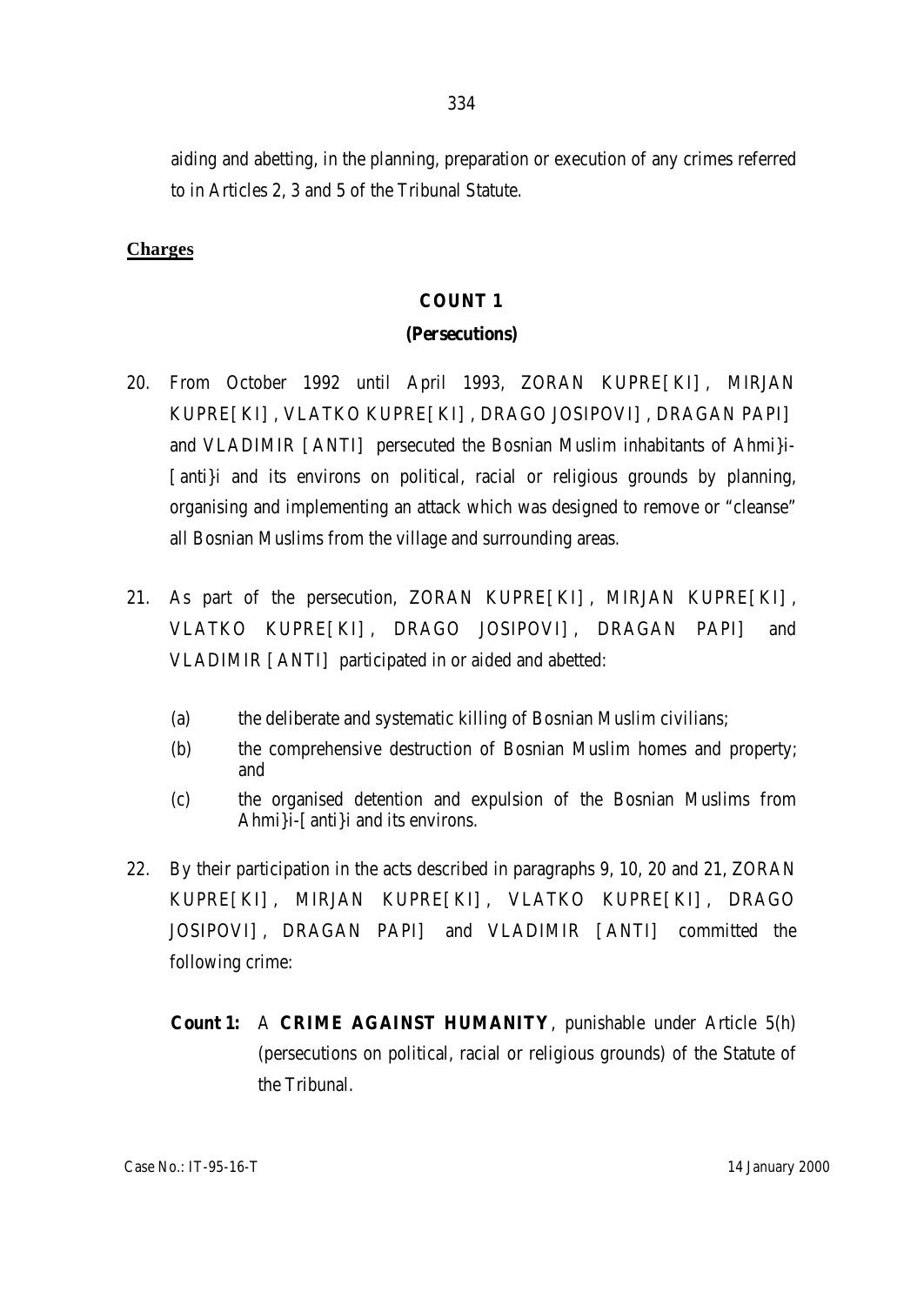aiding and abetting, in the planning, preparation or execution of any crimes referred to in Articles 2, 3 and 5 of the Tribunal Statute.

### **Charges**

# **COUNT 1**

## **(Persecutions)**

- 20. From October 1992 until April 1993, ZORAN KUPRE[KI], MIRJAN KUPRE[KI], VLATKO KUPRE[KI], DRAGO JOSIPOVI], DRAGAN PAPI] and VLADIMIR [ANTI] persecuted the Bosnian Muslim inhabitants of Ahmi}i- [anti}i and its environs on political, racial or religious grounds by planning, organising and implementing an attack which was designed to remove or "cleanse" all Bosnian Muslims from the village and surrounding areas.
- 21. As part of the persecution, ZORAN KUPRE[KI], MIRJAN KUPRE[KI], VLATKO KUPRE[KI], DRAGO JOSIPOVI], DRAGAN PAPI] and VLADIMIR [ANTI] participated in or aided and abetted:
	- (a) the deliberate and systematic killing of Bosnian Muslim civilians;
	- (b) the comprehensive destruction of Bosnian Muslim homes and property; and
	- (c) the organised detention and expulsion of the Bosnian Muslims from Ahmi}i-[anti}i and its environs.
- 22. By their participation in the acts described in paragraphs 9, 10, 20 and 21, ZORAN KUPRE[KI], MIRJAN KUPRE[KI], VLATKO KUPRE[KI], DRAGO JOSIPOVI], DRAGAN PAPI] and VLADIMIR [ANTI] committed the following crime:
	- **Count 1:** A **CRIME AGAINST HUMANITY**, punishable under Article 5(h) (persecutions on political, racial or religious grounds) of the Statute of the Tribunal.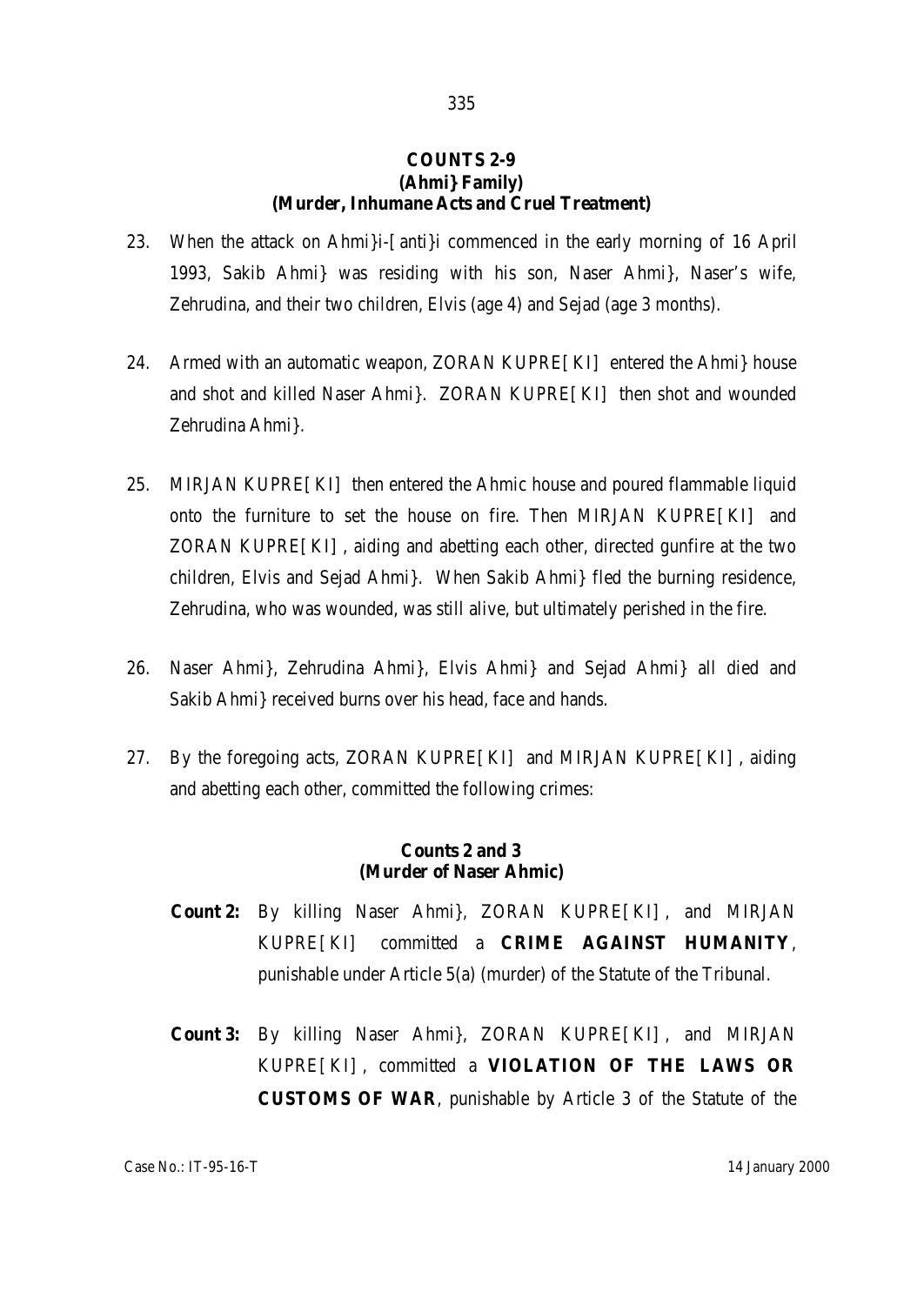### **COUNTS 2-9 (Ahmi} Family) (Murder, Inhumane Acts and Cruel Treatment)**

- 23. When the attack on Ahmi}i-[anti}i commenced in the early morning of 16 April 1993, Sakib Ahmi} was residing with his son, Naser Ahmi}, Naser's wife, Zehrudina, and their two children, Elvis (age 4) and Sejad (age 3 months).
- 24. Armed with an automatic weapon, ZORAN KUPRE[KI] entered the Ahmi} house and shot and killed Naser Ahmi}. ZORAN KUPRE[KI] then shot and wounded Zehrudina Ahmi}.
- 25. MIRJAN KUPRE[KI] then entered the Ahmic house and poured flammable liquid onto the furniture to set the house on fire. Then MIRJAN KUPRE[KI] and ZORAN KUPRE[KI], aiding and abetting each other, directed gunfire at the two children, Elvis and Sejad Ahmi}. When Sakib Ahmi} fled the burning residence, Zehrudina, who was wounded, was still alive, but ultimately perished in the fire.
- 26. Naser Ahmi}, Zehrudina Ahmi}, Elvis Ahmi} and Sejad Ahmi} all died and Sakib Ahmi} received burns over his head, face and hands.
- 27. By the foregoing acts, ZORAN KUPRE[KI] and MIRJAN KUPRE[KI], aiding and abetting each other, committed the following crimes:

### **Counts 2 and 3 (Murder of Naser Ahmic)**

- **Count 2:** By killing Naser Ahmi}, ZORAN KUPRE[KI], and MIRJAN KUPRE[KI] committed a **CRIME AGAINST HUMANITY**, punishable under Article 5(a) (murder) of the Statute of the Tribunal.
- **Count 3:** By killing Naser Ahmi}, ZORAN KUPRE[KI], and MIRJAN KUPRE[KI], committed a **VIOLATION OF THE LAWS OR CUSTOMS OF WAR**, punishable by Article 3 of the Statute of the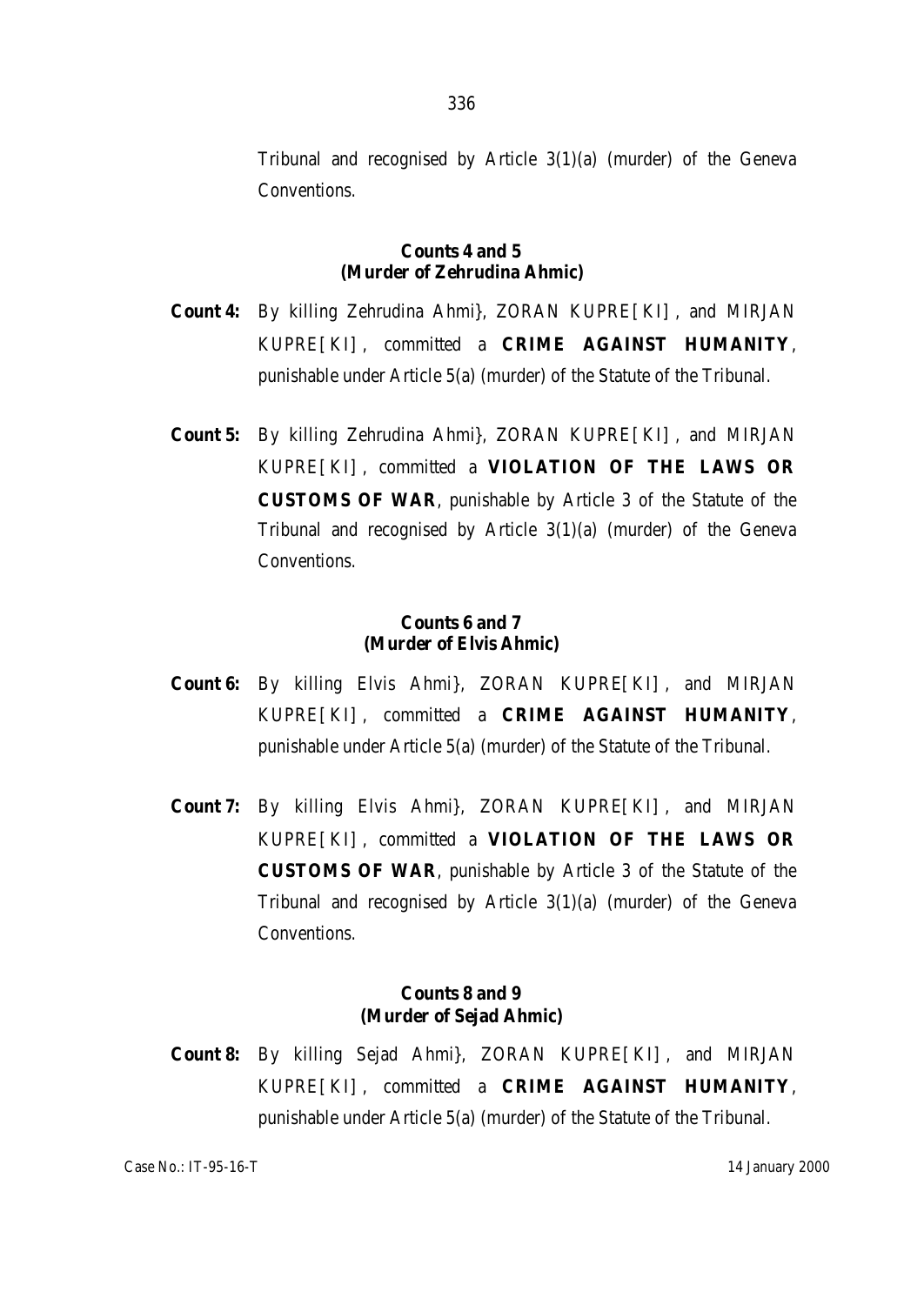Tribunal and recognised by Article 3(1)(a) (murder) of the Geneva Conventions.

#### **Counts 4 and 5 (Murder of Zehrudina Ahmic)**

- **Count 4:** By killing Zehrudina Ahmi}, ZORAN KUPRE[KI], and MIRJAN KUPRE[KI], committed a **CRIME AGAINST HUMANITY**, punishable under Article 5(a) (murder) of the Statute of the Tribunal.
- **Count 5:** By killing Zehrudina Ahmi}, ZORAN KUPRE[KI], and MIRJAN KUPRE[KI], committed a **VIOLATION OF THE LAWS OR CUSTOMS OF WAR**, punishable by Article 3 of the Statute of the Tribunal and recognised by Article 3(1)(a) (murder) of the Geneva Conventions.

#### **Counts 6 and 7 (Murder of Elvis Ahmic)**

- **Count 6:** By killing Elvis Ahmi}, ZORAN KUPRE[KI], and MIRJAN KUPRE[KI], committed a **CRIME AGAINST HUMANITY**, punishable under Article 5(a) (murder) of the Statute of the Tribunal.
- **Count 7:** By killing Elvis Ahmi}, ZORAN KUPRE[KI], and MIRJAN KUPRE[KI], committed a **VIOLATION OF THE LAWS OR CUSTOMS OF WAR**, punishable by Article 3 of the Statute of the Tribunal and recognised by Article 3(1)(a) (murder) of the Geneva Conventions.

## **Counts 8 and 9 (Murder of Sejad Ahmic)**

**Count 8:** By killing Sejad Ahmi}, ZORAN KUPRE[KI], and MIRJAN KUPRE[KI], committed a **CRIME AGAINST HUMANITY**, punishable under Article 5(a) (murder) of the Statute of the Tribunal.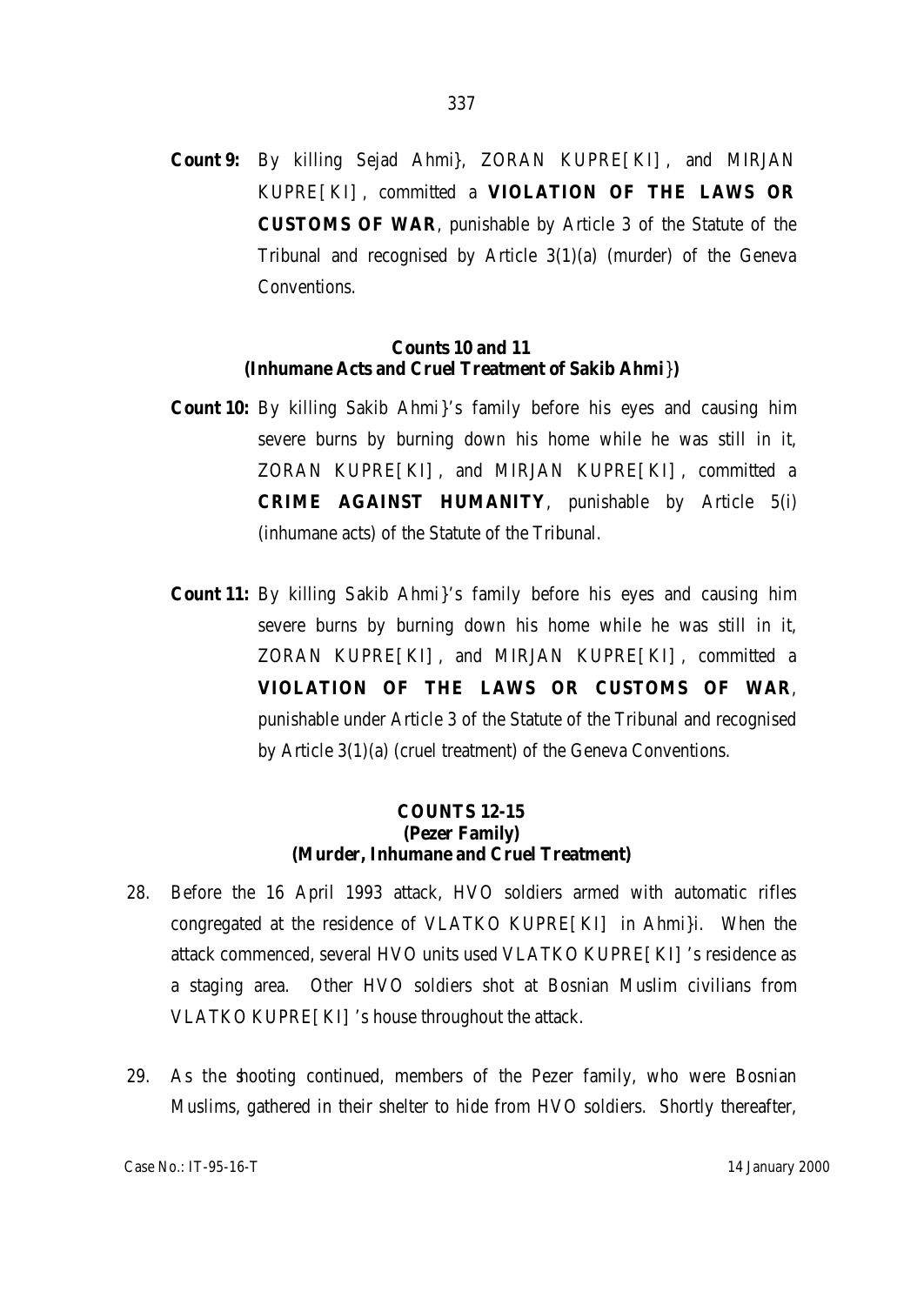#### **Counts 10 and 11 (Inhumane Acts and Cruel Treatment of Sakib Ahmi**}**)**

Conventions.

- **Count 10:** By killing Sakib Ahmi}'s family before his eyes and causing him severe burns by burning down his home while he was still in it, ZORAN KUPRE[KI], and MIRJAN KUPRE[KI], committed a **CRIME AGAINST HUMANITY**, punishable by Article 5(i) (inhumane acts) of the Statute of the Tribunal.
- **Count 11:** By killing Sakib Ahmi}'s family before his eyes and causing him severe burns by burning down his home while he was still in it, ZORAN KUPRE[KI], and MIRJAN KUPRE[KI], committed a **VIOLATION OF THE LAWS OR CUSTOMS OF WAR**, punishable under Article 3 of the Statute of the Tribunal and recognised by Article 3(1)(a) (cruel treatment) of the Geneva Conventions.

## **COUNTS 12-15 (Pezer Family) (Murder, Inhumane and Cruel Treatment)**

- 28. Before the 16 April 1993 attack, HVO soldiers armed with automatic rifles congregated at the residence of VLATKO KUPRE[KI] in Ahmi}i. When the attack commenced, several HVO units used VLATKO KUPRE[KI]'s residence as a staging area. Other HVO soldiers shot at Bosnian Muslim civilians from VLATKO KUPRE[KI]'s house throughout the attack.
- 29. As the shooting continued, members of the Pezer family, who were Bosnian Muslims, gathered in their shelter to hide from HVO soldiers. Shortly thereafter,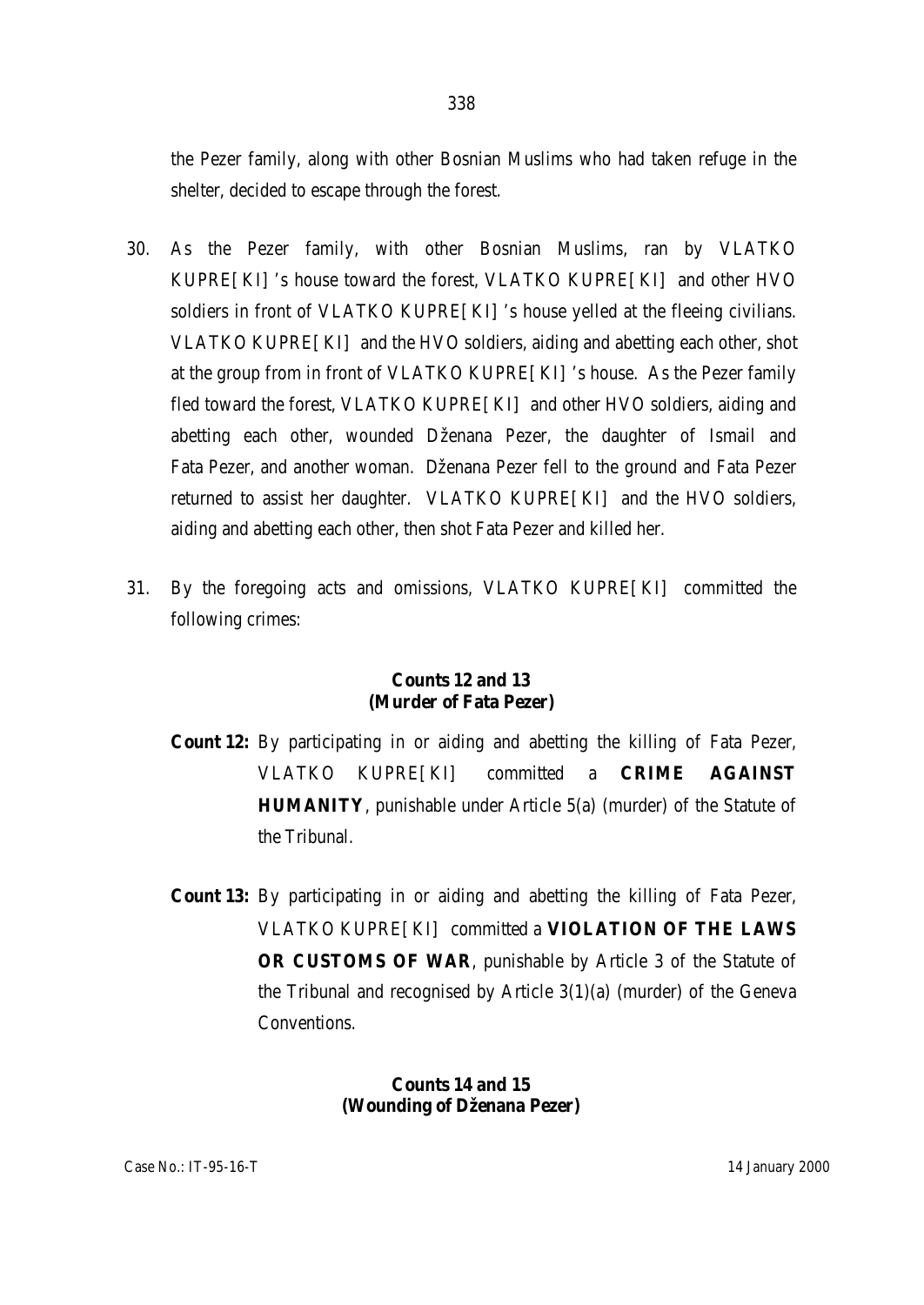the Pezer family, along with other Bosnian Muslims who had taken refuge in the shelter, decided to escape through the forest.

- 30. As the Pezer family, with other Bosnian Muslims, ran by VLATKO KUPRE[KI]'s house toward the forest, VLATKO KUPRE[KI] and other HVO soldiers in front of VLATKO KUPRE[KI] 's house yelled at the fleeing civilians. VLATKO KUPRE[KI] and the HVO soldiers, aiding and abetting each other, shot at the group from in front of VLATKO KUPRE[KI]'s house. As the Pezer family fled toward the forest, VLATKO KUPRE[KI] and other HVO soldiers, aiding and abetting each other, wounded Dženana Pezer, the daughter of Ismail and Fata Pezer, and another woman. Dženana Pezer fell to the ground and Fata Pezer returned to assist her daughter. VLATKO KUPRE[KI] and the HVO soldiers, aiding and abetting each other, then shot Fata Pezer and killed her.
- 31. By the foregoing acts and omissions, VLATKO KUPRE[KI] committed the following crimes:

## **Counts 12 and 13 (Murder of Fata Pezer)**

- **Count 12:** By participating in or aiding and abetting the killing of Fata Pezer, VLATKO KUPRE[KI] committed a **CRIME AGAINST HUMANITY**, punishable under Article 5(a) (murder) of the Statute of the Tribunal.
- **Count 13:** By participating in or aiding and abetting the killing of Fata Pezer, VLATKO KUPRE[KI] committed a **VIOLATION OF THE LAWS OR CUSTOMS OF WAR**, punishable by Article 3 of the Statute of the Tribunal and recognised by Article 3(1)(a) (murder) of the Geneva Conventions.

## **Counts 14 and 15 (Wounding of Dženana Pezer)**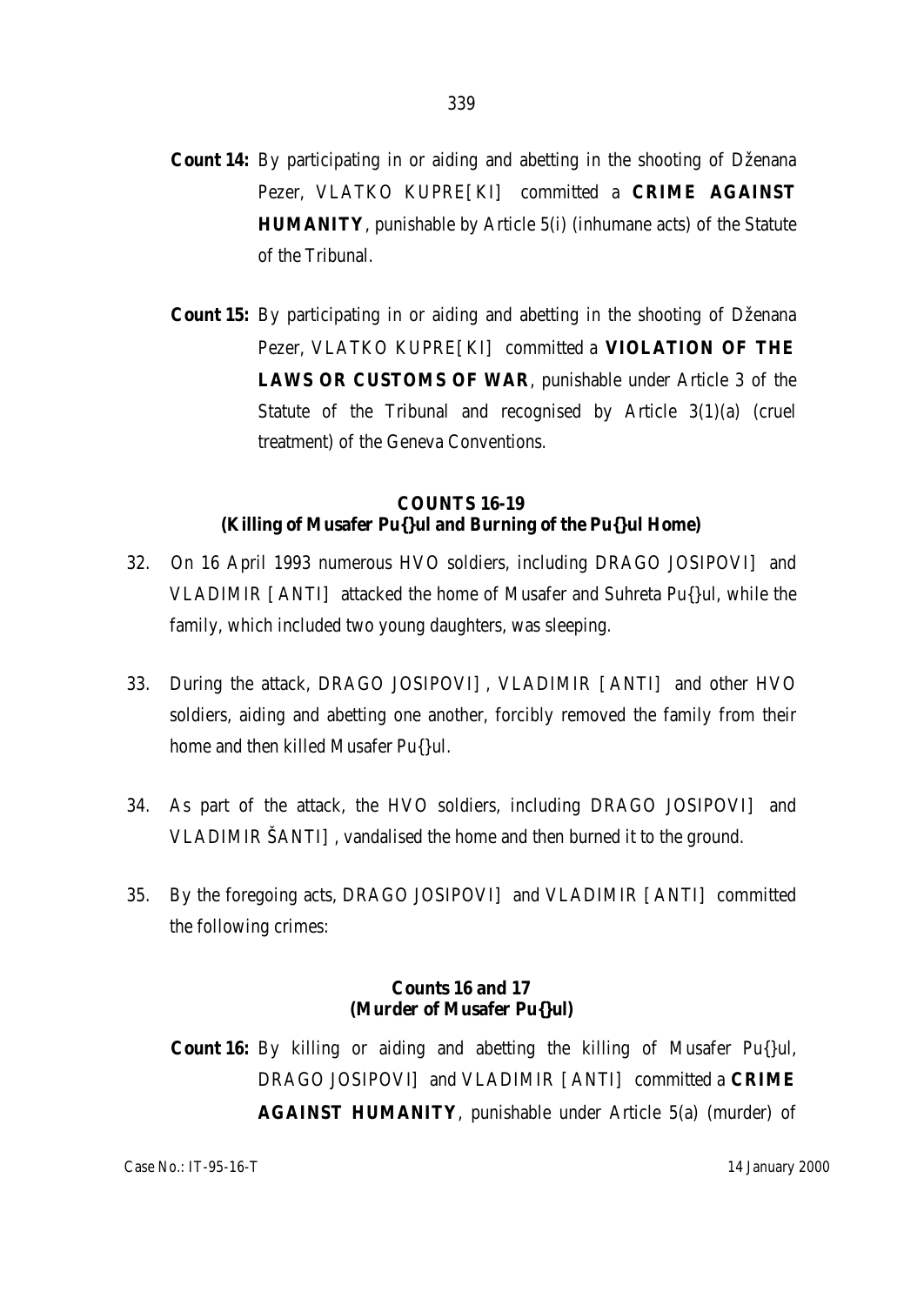- **Count 14:** By participating in or aiding and abetting in the shooting of Dženana Pezer, VLATKO KUPRE[KI] committed a **CRIME AGAINST HUMANITY**, punishable by Article 5(i) (inhumane acts) of the Statute of the Tribunal.
- **Count 15:** By participating in or aiding and abetting in the shooting of Dženana Pezer, VLATKO KUPRE[KI] committed a **VIOLATION OF THE LAWS OR CUSTOMS OF WAR**, punishable under Article 3 of the Statute of the Tribunal and recognised by Article 3(1)(a) (cruel treatment) of the Geneva Conventions.

# **COUNTS 16-19 (Killing of Musafer Pu{}ul and Burning of the Pu{}ul Home)**

- 32. On 16 April 1993 numerous HVO soldiers, including DRAGO JOSIPOVI] and VLADIMIR [ANTI] attacked the home of Musafer and Suhreta Pu{}ul, while the family, which included two young daughters, was sleeping.
- 33. During the attack, DRAGO JOSIPOVI], VLADIMIR [ANTI] and other HVO soldiers, aiding and abetting one another, forcibly removed the family from their home and then killed Musafer Pu{}ul.
- 34. As part of the attack, the HVO soldiers, including DRAGO JOSIPOVI] and VLADIMIR ŠANTI], vandalised the home and then burned it to the ground.
- 35. By the foregoing acts, DRAGO JOSIPOVI] and VLADIMIR [ANTI] committed the following crimes:

## **Counts 16 and 17 (Murder of Musafer Pu{}ul)**

**Count 16:** By killing or aiding and abetting the killing of Musafer Pu{}ul, DRAGO JOSIPOVI] and VLADIMIR [ANTI] committed a **CRIME AGAINST HUMANITY**, punishable under Article 5(a) (murder) of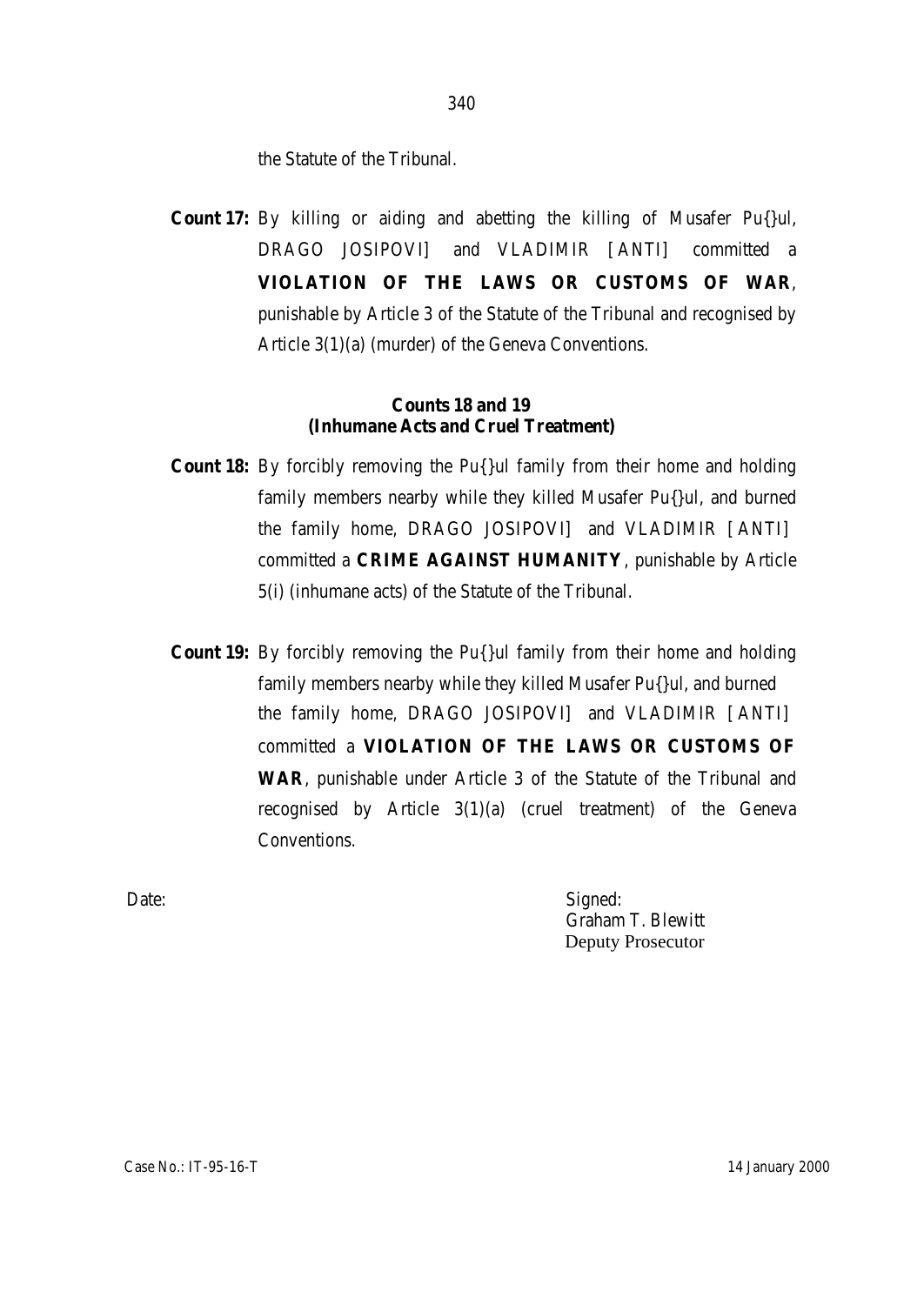the Statute of the Tribunal.

**Count 17:** By killing or aiding and abetting the killing of Musafer Pu{}ul, DRAGO JOSIPOVI] and VLADIMIR [ANTI] committed a **VIOLATION OF THE LAWS OR CUSTOMS OF WAR**, punishable by Article 3 of the Statute of the Tribunal and recognised by Article 3(1)(a) (murder) of the Geneva Conventions.

### **Counts 18 and 19 (Inhumane Acts and Cruel Treatment)**

- **Count 18:** By forcibly removing the Pu{}ul family from their home and holding family members nearby while they killed Musafer Pu{}ul, and burned the family home, DRAGO JOSIPOVI] and VLADIMIR [ANTI] committed a **CRIME AGAINST HUMANITY**, punishable by Article 5(i) (inhumane acts) of the Statute of the Tribunal.
- **Count 19:** By forcibly removing the Pu{}ul family from their home and holding family members nearby while they killed Musafer Pu{}ul, and burned the family home, DRAGO JOSIPOVI] and VLADIMIR [ANTI] committed a **VIOLATION OF THE LAWS OR CUSTOMS OF WAR**, punishable under Article 3 of the Statute of the Tribunal and recognised by Article 3(1)(a) (cruel treatment) of the Geneva Conventions.

Date: Signed: Signed: Signed: Signed: Signed: Signed: Signed: Signed: Signed: Signed: Signed: Signed: Signed: Signed: Signed: Signed: Signed: Signed: Signed: Signed: Signed: Signed: Signed: Signed: Signed: Signed: Signed: Graham T. Blewitt Deputy Prosecutor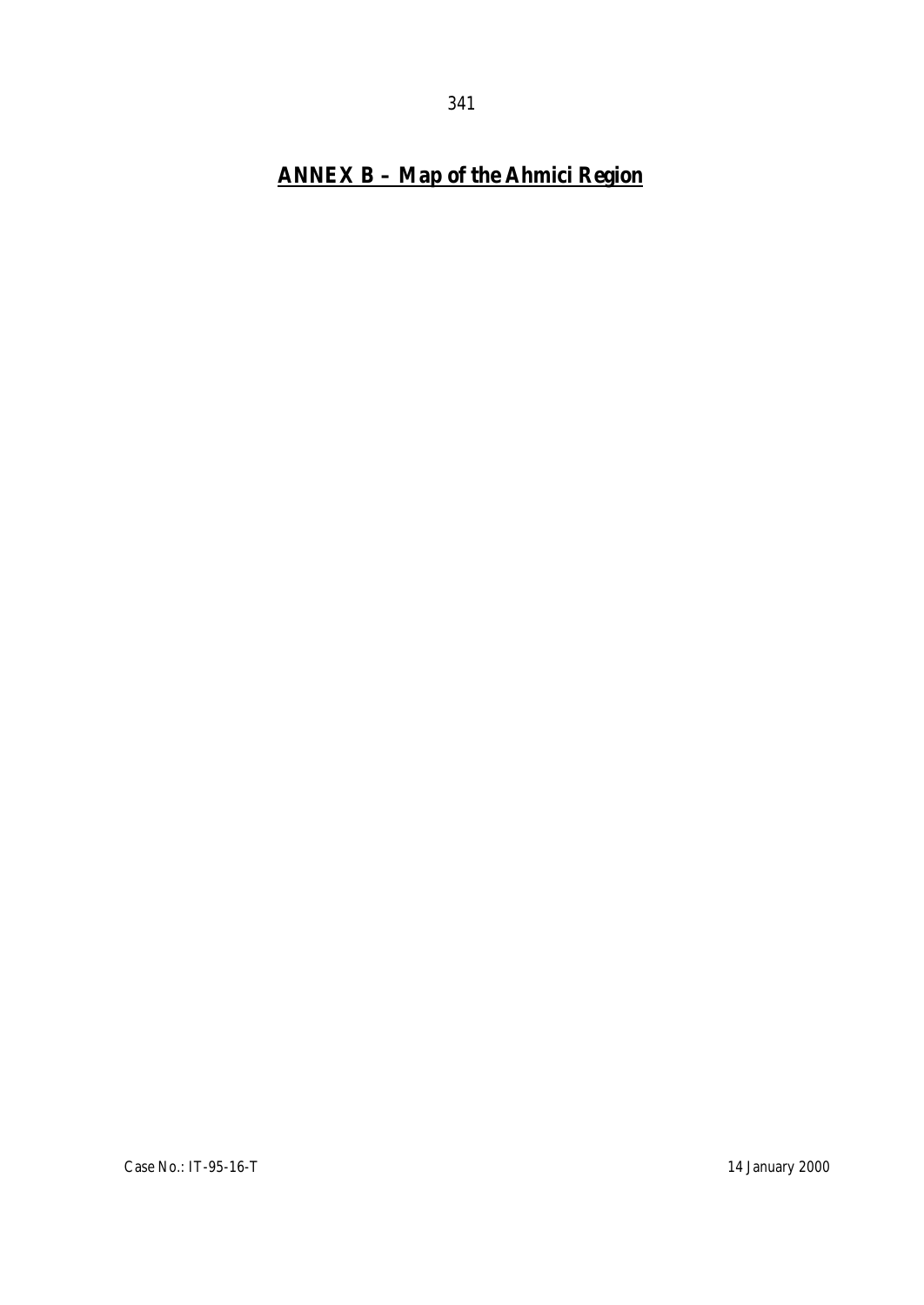# **ANNEX B – Map of the Ahmici Region**